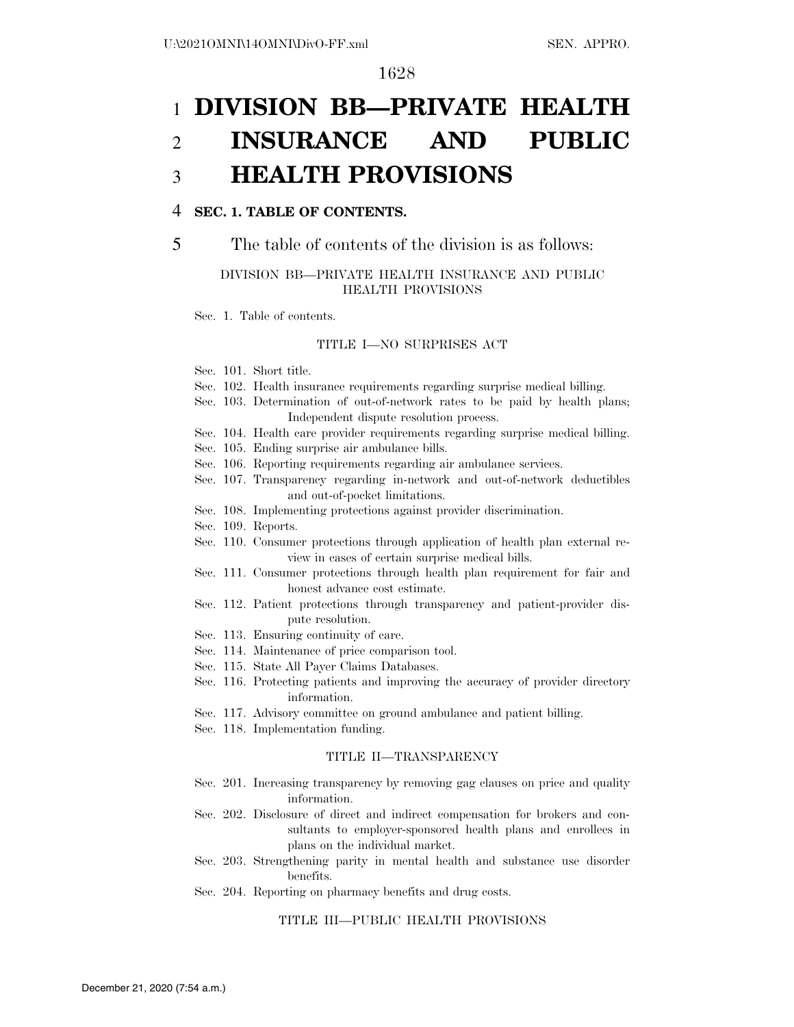# 1 **DIVISION BB—PRIVATE HEALTH**  2 **INSURANCE AND PUBLIC**  3 **HEALTH PROVISIONS**

#### 4 **SEC. 1. TABLE OF CONTENTS.**

#### DIVISION BB—PRIVATE HEALTH INSURANCE AND PUBLIC HEALTH PROVISIONS

Sec. 1. Table of contents.

#### TITLE I—NO SURPRISES ACT

- Sec. 101. Short title.
- Sec. 102. Health insurance requirements regarding surprise medical billing.
- Sec. 103. Determination of out-of-network rates to be paid by health plans; Independent dispute resolution process.
- Sec. 104. Health care provider requirements regarding surprise medical billing.
- Sec. 105. Ending surprise air ambulance bills.
- Sec. 106. Reporting requirements regarding air ambulance services.
- Sec. 107. Transparency regarding in-network and out-of-network deductibles and out-of-pocket limitations.
- Sec. 108. Implementing protections against provider discrimination.
- Sec. 109. Reports.
- Sec. 110. Consumer protections through application of health plan external review in cases of certain surprise medical bills.
- Sec. 111. Consumer protections through health plan requirement for fair and honest advance cost estimate.
- Sec. 112. Patient protections through transparency and patient-provider dispute resolution.
- Sec. 113. Ensuring continuity of care.
- Sec. 114. Maintenance of price comparison tool.
- Sec. 115. State All Payer Claims Databases.
- Sec. 116. Protecting patients and improving the accuracy of provider directory information.
- Sec. 117. Advisory committee on ground ambulance and patient billing.
- Sec. 118. Implementation funding.

#### TITLE II—TRANSPARENCY

- Sec. 201. Increasing transparency by removing gag clauses on price and quality information.
- Sec. 202. Disclosure of direct and indirect compensation for brokers and consultants to employer-sponsored health plans and enrollees in plans on the individual market.
- Sec. 203. Strengthening parity in mental health and substance use disorder benefits.
- Sec. 204. Reporting on pharmacy benefits and drug costs.

#### TITLE III—PUBLIC HEALTH PROVISIONS

<sup>5</sup> The table of contents of the division is as follows: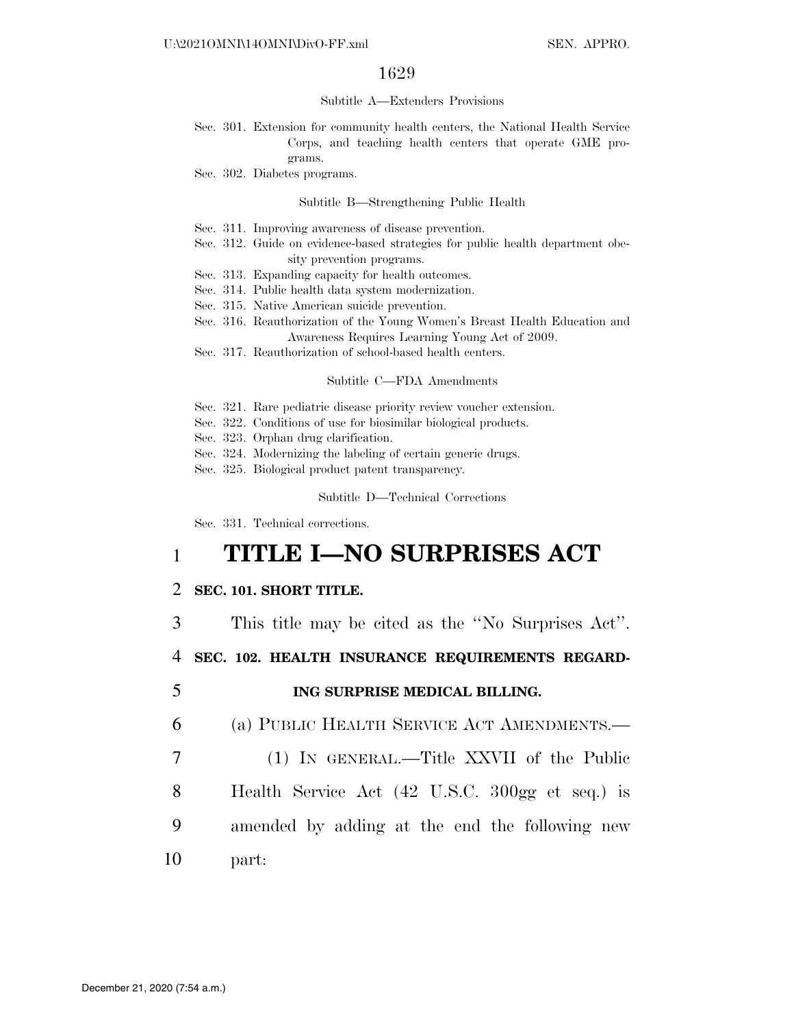#### Subtitle A—Extenders Provisions

- Sec. 301. Extension for community health centers, the National Health Service Corps, and teaching health centers that operate GME programs.
- Sec. 302. Diabetes programs.

#### Subtitle B—Strengthening Public Health

- Sec. 311. Improving awareness of disease prevention.
- Sec. 312. Guide on evidence-based strategies for public health department obesity prevention programs.
- Sec. 313. Expanding capacity for health outcomes.
- Sec. 314. Public health data system modernization.
- Sec. 315. Native American suicide prevention.
- Sec. 316. Reauthorization of the Young Women's Breast Health Education and Awareness Requires Learning Young Act of 2009.
- Sec. 317. Reauthorization of school-based health centers.

#### Subtitle C—FDA Amendments

- Sec. 321. Rare pediatric disease priority review voucher extension.
- Sec. 322. Conditions of use for biosimilar biological products.
- Sec. 323. Orphan drug clarification.
- Sec. 324. Modernizing the labeling of certain generic drugs.
- Sec. 325. Biological product patent transparency.

Subtitle D—Technical Corrections

Sec. 331. Technical corrections.

# 1 **TITLE I—NO SURPRISES ACT**

#### 2 **SEC. 101. SHORT TITLE.**

3 This title may be cited as the ''No Surprises Act''.

4 **SEC. 102. HEALTH INSURANCE REQUIREMENTS REGARD-**

5 **ING SURPRISE MEDICAL BILLING.** 

6 (a) PUBLIC HEALTH SERVICE ACT AMENDMENTS.—

- 7 (1) IN GENERAL.—Title XXVII of the Public
- 8 Health Service Act (42 U.S.C. 300gg et seq.) is
- 9 amended by adding at the end the following new
- 10 part: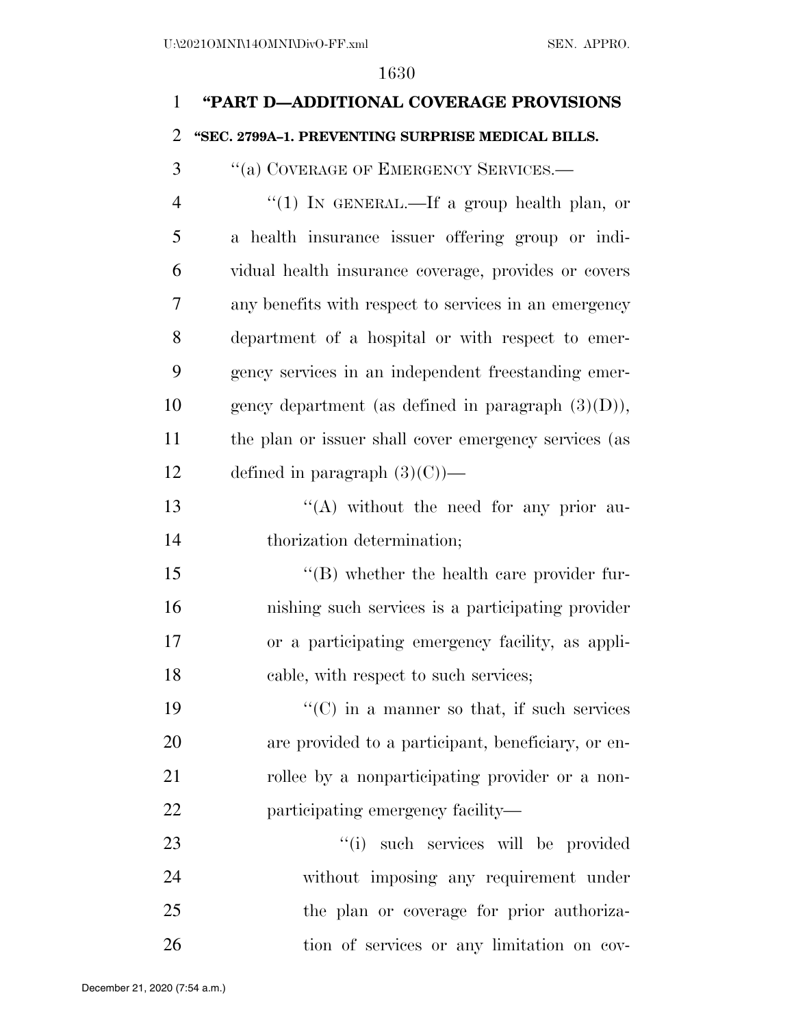# **''PART D—ADDITIONAL COVERAGE PROVISIONS**

### **''SEC. 2799A–1. PREVENTING SURPRISE MEDICAL BILLS.**

''(a) COVERAGE OF EMERGENCY SERVICES.—

4 "(1) In GENERAL.—If a group health plan, or a health insurance issuer offering group or indi- vidual health insurance coverage, provides or covers any benefits with respect to services in an emergency department of a hospital or with respect to emer- gency services in an independent freestanding emer-10 gency department (as defined in paragraph  $(3)(D)$ ), the plan or issuer shall cover emergency services (as 12 defined in paragraph  $(3)(C)$ —

13 ''(A) without the need for any prior au-thorization determination;

 ''(B) whether the health care provider fur- nishing such services is a participating provider or a participating emergency facility, as appli-cable, with respect to such services;

19  $"({\rm C})$  in a manner so that, if such services are provided to a participant, beneficiary, or en-21 rollee by a nonparticipating provider or a non-22 participating emergency facility—

 ''(i) such services will be provided without imposing any requirement under the plan or coverage for prior authoriza-tion of services or any limitation on cov-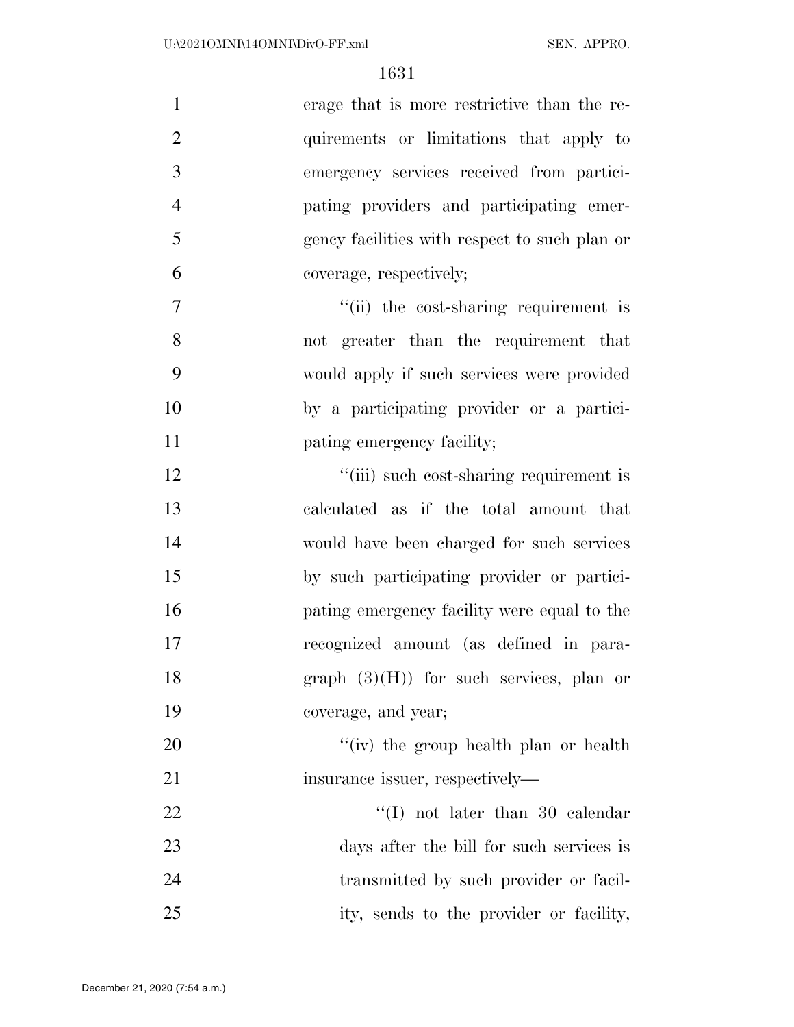| $\mathbf{1}$   | erage that is more restrictive than the re-   |
|----------------|-----------------------------------------------|
| $\overline{2}$ | quirements or limitations that apply to       |
| 3              | emergency services received from partici-     |
| $\overline{4}$ | pating providers and participating emer-      |
| 5              | gency facilities with respect to such plan or |
| 6              | coverage, respectively;                       |
| $\tau$         | "(ii) the cost-sharing requirement is         |
| 8              | not greater than the requirement that         |
| 9              | would apply if such services were provided    |
| 10             | by a participating provider or a partici-     |
| 11             | pating emergency facility;                    |
| 12             | "(iii) such cost-sharing requirement is       |
| 13             | calculated as if the total amount that        |
| 14             | would have been charged for such services     |
| 15             | by such participating provider or partici-    |
| 16             | pating emergency facility were equal to the   |
| 17             | recognized amount (as defined in para-        |
| 18             | graph $(3)(H)$ ) for such services, plan or   |
| 19             | coverage, and year;                           |
| 20             | "(iv) the group health plan or health         |
| 21             | insurance issuer, respectively—               |
| 22             | $\lq (I)$ not later than 30 calendar          |
| 23             | days after the bill for such services is      |
| 24             | transmitted by such provider or facil-        |
| 25             | ity, sends to the provider or facility,       |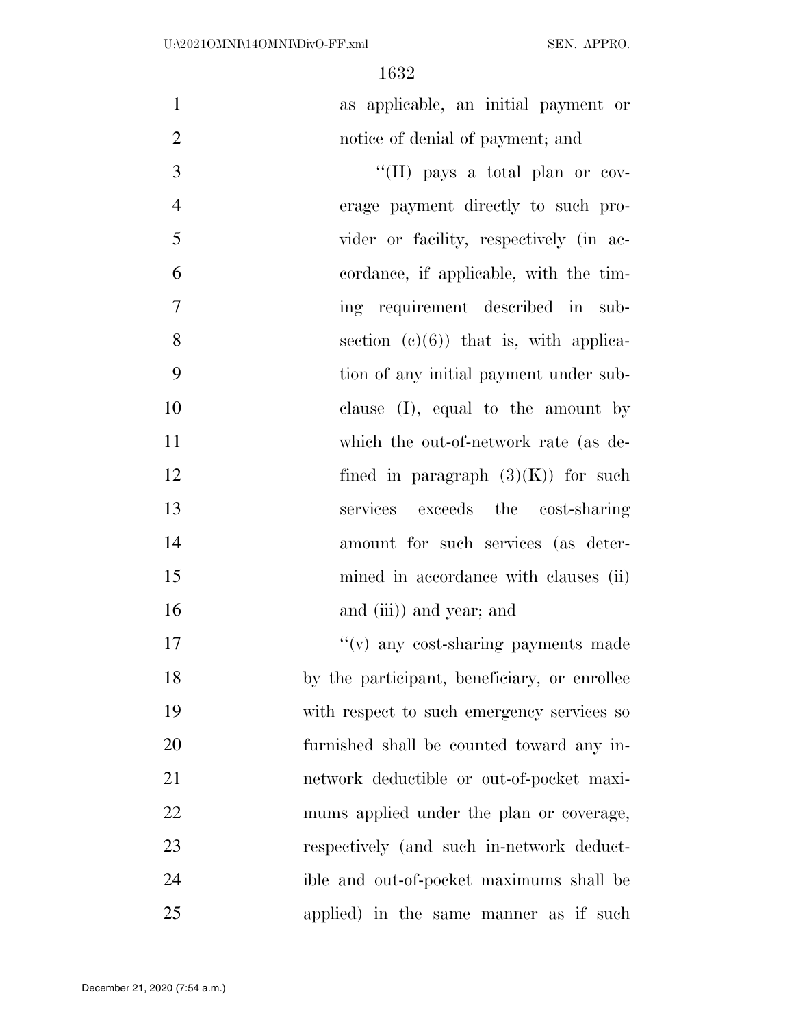| $\mathbf{1}$   | as applicable, an initial payment or         |
|----------------|----------------------------------------------|
| $\overline{2}$ | notice of denial of payment; and             |
| 3              | "(II) pays a total plan or cov-              |
| $\overline{4}$ | erage payment directly to such pro-          |
| 5              | vider or facility, respectively (in ac-      |
| 6              | cordance, if applicable, with the tim-       |
| $\overline{7}$ | ing requirement described in sub-            |
| 8              | section $(e)(6)$ that is, with applica-      |
| 9              | tion of any initial payment under sub-       |
| 10             | clause $(I)$ , equal to the amount by        |
| 11             | which the out-of-network rate (as de-        |
| 12             | fined in paragraph $(3)(K)$ for such         |
| 13             | services exceeds the cost-sharing            |
| 14             | amount for such services (as deter-          |
| 15             | mined in accordance with clauses (ii)        |
| 16             | and (iii)) and year; and                     |
| 17             | "(v) any cost-sharing payments made          |
| 18             | by the participant, beneficiary, or enrollee |
| 19             | with respect to such emergency services so   |
| 20             | furnished shall be counted toward any in-    |
| 21             | network deductible or out-of-pocket maxi-    |
| 22             | mums applied under the plan or coverage,     |
| 23             | respectively (and such in-network deduct-    |
| 24             | ible and out-of-pocket maximums shall be     |
| 25             | applied) in the same manner as if such       |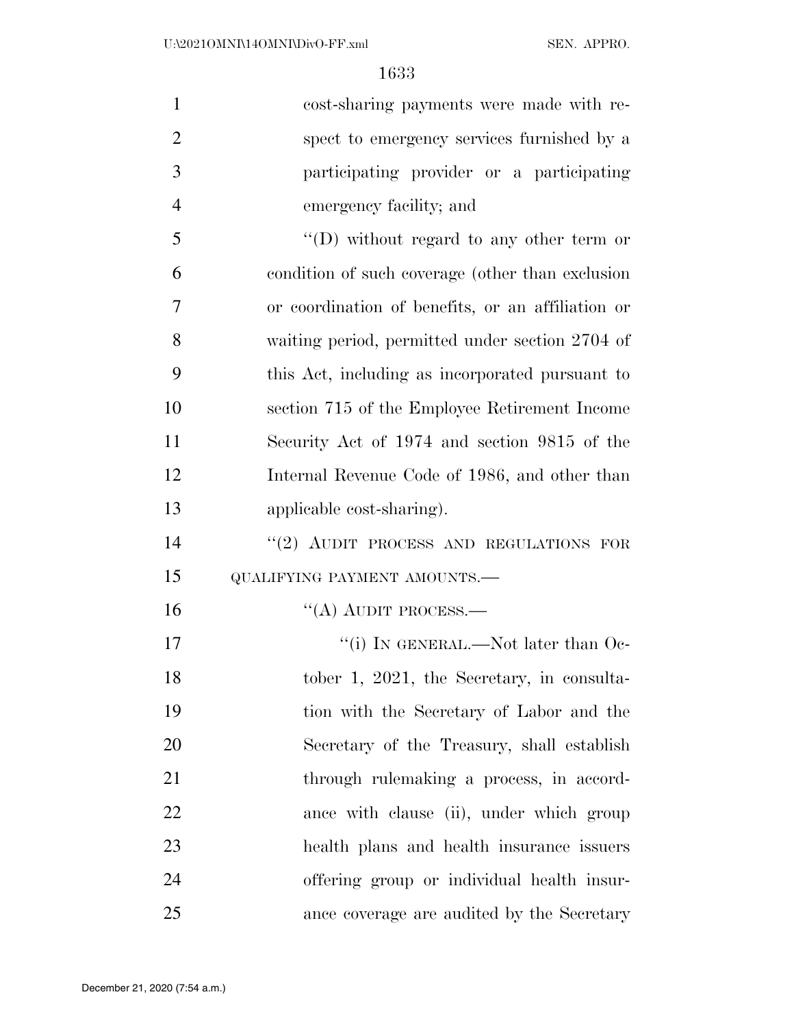| $\mathbf{1}$   | cost-sharing payments were made with re-          |
|----------------|---------------------------------------------------|
| $\overline{2}$ | spect to emergency services furnished by a        |
| 3              | participating provider or a participating         |
| $\overline{4}$ | emergency facility; and                           |
| 5              | "(D) without regard to any other term or          |
| 6              | condition of such coverage (other than exclusion  |
| 7              | or coordination of benefits, or an affiliation or |
| 8              | waiting period, permitted under section 2704 of   |
| 9              | this Act, including as incorporated pursuant to   |
| 10             | section 715 of the Employee Retirement Income     |
| 11             | Security Act of 1974 and section 9815 of the      |
| 12             | Internal Revenue Code of 1986, and other than     |
| 13             | applicable cost-sharing).                         |
| 14             | "(2) AUDIT PROCESS AND REGULATIONS FOR            |
| 15             | QUALIFYING PAYMENT AMOUNTS.-                      |
| 16             | "(A) AUDIT PROCESS.—                              |
| 17             | "(i) IN GENERAL.—Not later than Oc-               |
| 18             | tober 1, 2021, the Secretary, in consulta-        |
| 19             | tion with the Secretary of Labor and the          |
| 20             | Secretary of the Treasury, shall establish        |
| 21             | through rulemaking a process, in accord-          |
| 22             | ance with clause (ii), under which group          |
| 23             | health plans and health insurance issuers         |
| 24             | offering group or individual health insur-        |
| 25             | ance coverage are audited by the Secretary        |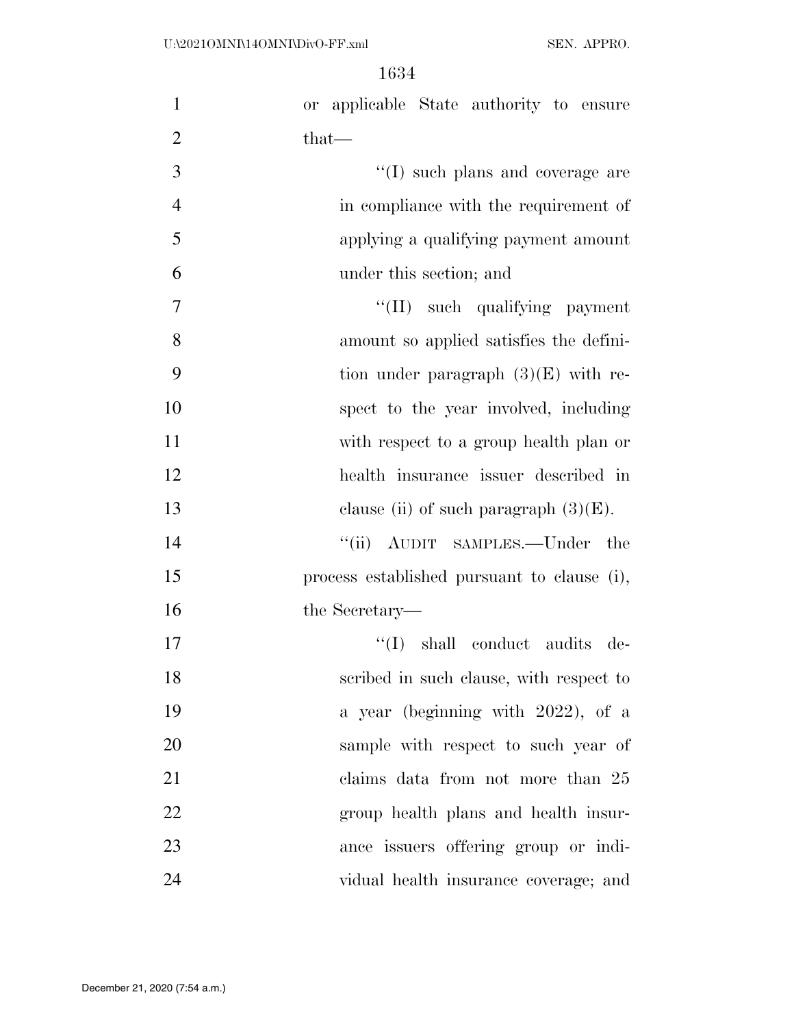| $\mathbf{1}$   | or applicable State authority to ensure     |
|----------------|---------------------------------------------|
| $\overline{2}$ | $that-$                                     |
| 3              | $\lq\lq$ such plans and coverage are        |
| $\overline{4}$ | in compliance with the requirement of       |
| 5              | applying a qualifying payment amount        |
| 6              | under this section; and                     |
| 7              | "(II) such qualifying payment               |
| 8              | amount so applied satisfies the defini-     |
| 9              | tion under paragraph $(3)(E)$ with re-      |
| 10             | spect to the year involved, including       |
| 11             | with respect to a group health plan or      |
| 12             | health insurance issuer described in        |
| 13             | clause (ii) of such paragraph $(3)(E)$ .    |
| 14             | "(ii) AUDIT SAMPLES.—Under the              |
| 15             | process established pursuant to clause (i), |
| 16             | the Secretary—                              |
| 17             | "(I) shall conduct audits de-               |
| 18             | scribed in such clause, with respect to     |
| 19             | a year (beginning with 2022), of a          |
| 20             | sample with respect to such year of         |
| 21             | claims data from not more than 25           |
| 22             | group health plans and health insur-        |
| 23             | ance issuers offering group or indi-        |
| 24             | vidual health insurance coverage; and       |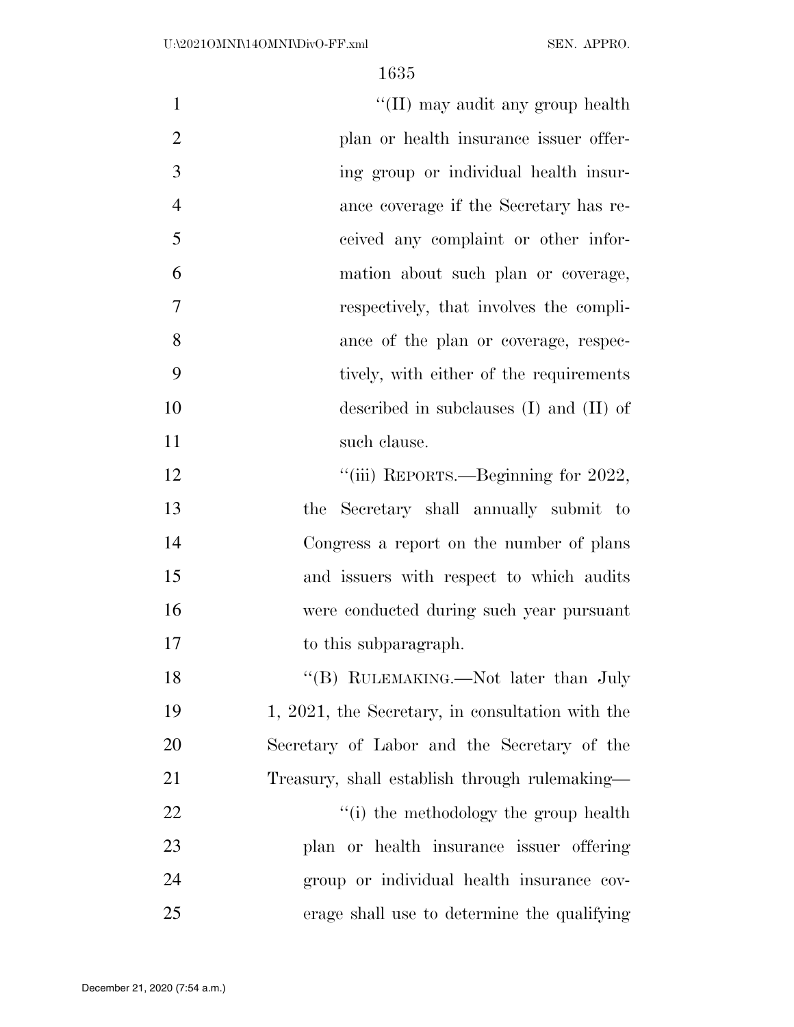| $\mathbf{1}$   | "(II) may audit any group health                 |
|----------------|--------------------------------------------------|
| $\overline{2}$ | plan or health insurance issuer offer-           |
| 3              | ing group or individual health insur-            |
| $\overline{4}$ | ance coverage if the Secretary has re-           |
| 5              | ceived any complaint or other infor-             |
| 6              | mation about such plan or coverage,              |
| 7              | respectively, that involves the compli-          |
| 8              | ance of the plan or coverage, respec-            |
| 9              | tively, with either of the requirements          |
| 10             | described in subclauses $(I)$ and $(II)$ of      |
| 11             | such clause.                                     |
| 12             | "(iii) REPORTS.—Beginning for 2022,              |
| 13             | the Secretary shall annually submit to           |
| 14             | Congress a report on the number of plans         |
| 15             | and issuers with respect to which audits         |
| 16             | were conducted during such year pursuant         |
| 17             | to this subparagraph.                            |
| 18             | "(B) RULEMAKING.—Not later than July             |
| 19             | 1, 2021, the Secretary, in consultation with the |
| 20             | Secretary of Labor and the Secretary of the      |
| 21             | Treasury, shall establish through rulemaking—    |
| 22             | "(i) the methodology the group health            |
| 23             | plan or health insurance issuer offering         |
| 24             | group or individual health insurance cov-        |
| 25             | erage shall use to determine the qualifying      |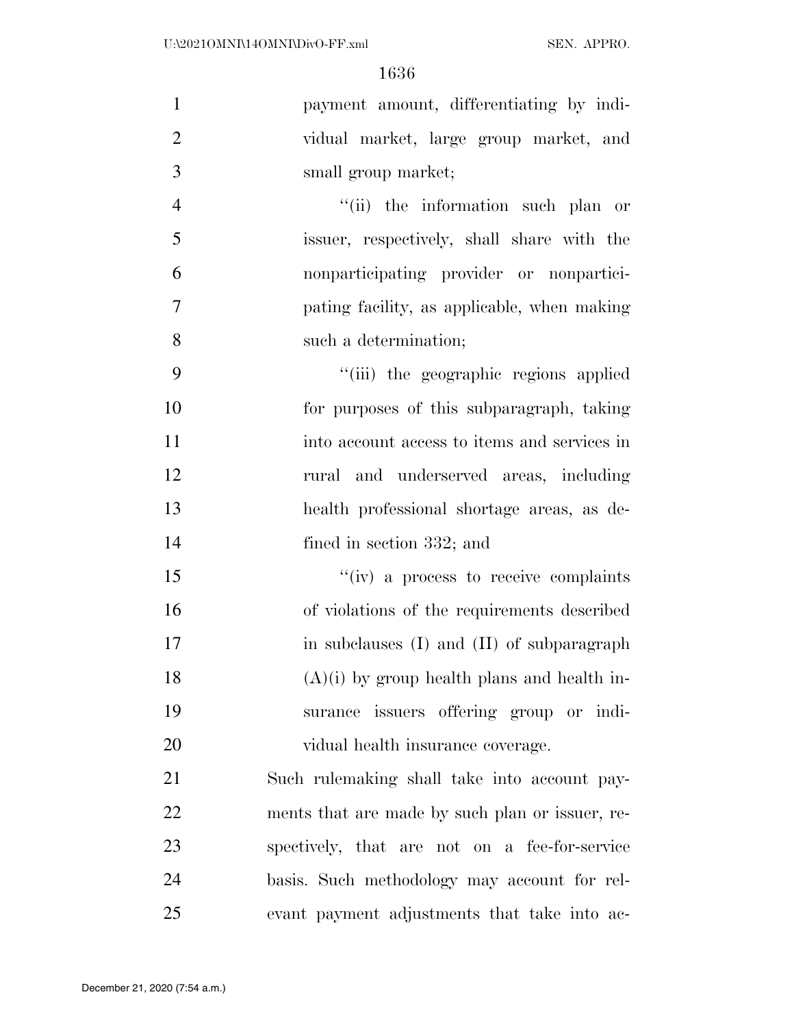| $\mathbf{1}$   | payment amount, differentiating by indi-        |
|----------------|-------------------------------------------------|
| $\overline{2}$ | vidual market, large group market, and          |
| 3              | small group market;                             |
| $\overline{4}$ | "(ii) the information such plan or              |
| 5              | issuer, respectively, shall share with the      |
| 6              | nonparticipating provider or nonpartici-        |
| 7              | pating facility, as applicable, when making     |
| 8              | such a determination;                           |
| 9              | "(iii) the geographic regions applied           |
| 10             | for purposes of this subparagraph, taking       |
| 11             | into account access to items and services in    |
| 12             | rural and underserved areas, including          |
| 13             | health professional shortage areas, as de-      |
| 14             | fined in section 332; and                       |
| 15             | "(iv) a process to receive complaints           |
| 16             | of violations of the requirements described     |
| 17             | in subclauses (I) and (II) of subparagraph      |
| 18             | $(A)(i)$ by group health plans and health in-   |
| 19             | surance issuers offering group or indi-         |
| 20             | vidual health insurance coverage.               |
| 21             | Such rulemaking shall take into account pay-    |
| 22             | ments that are made by such plan or issuer, re- |
| 23             | spectively, that are not on a fee-for-service   |
| 24             | basis. Such methodology may account for rel-    |
| 25             | evant payment adjustments that take into ac-    |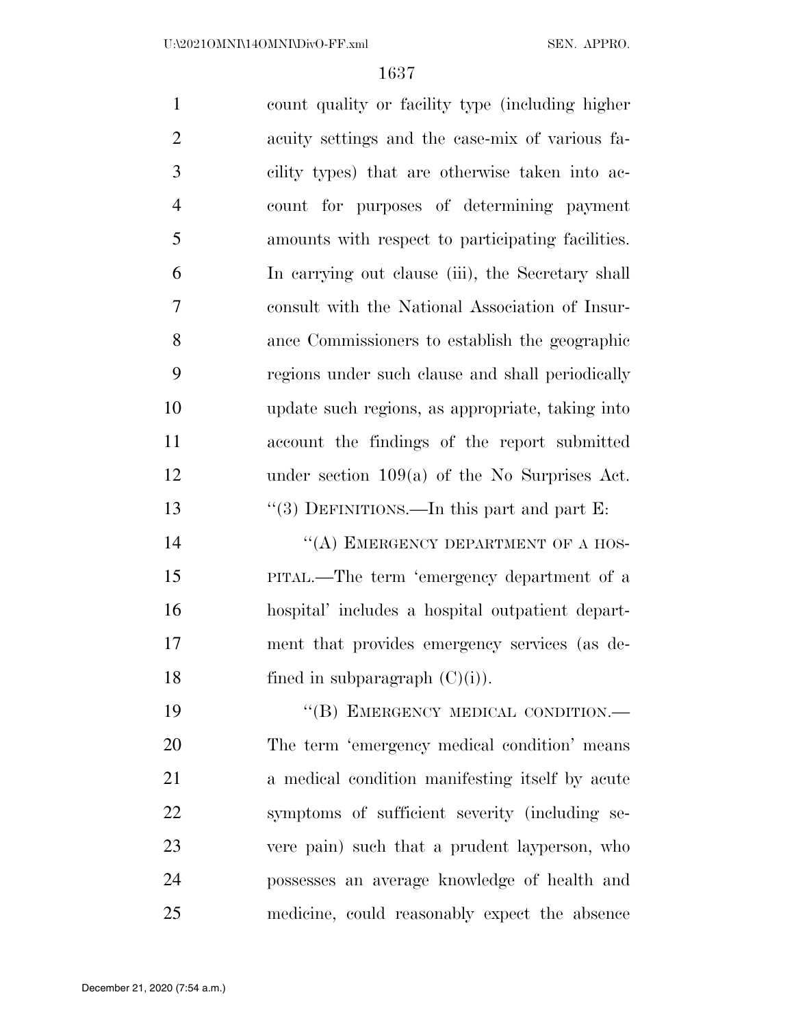count quality or facility type (including higher acuity settings and the case-mix of various fa- cility types) that are otherwise taken into ac- count for purposes of determining payment amounts with respect to participating facilities. In carrying out clause (iii), the Secretary shall consult with the National Association of Insur- ance Commissioners to establish the geographic regions under such clause and shall periodically update such regions, as appropriate, taking into account the findings of the report submitted under section 109(a) of the No Surprises Act. 13 "(3) DEFINITIONS.—In this part and part E: 14 "(A) EMERGENCY DEPARTMENT OF A HOS- PITAL.—The term 'emergency department of a hospital' includes a hospital outpatient depart- ment that provides emergency services (as de-18 fined in subparagraph  $(C)(i)$ . 19 "(B) EMERGENCY MEDICAL CONDITION.— The term 'emergency medical condition' means

 a medical condition manifesting itself by acute symptoms of sufficient severity (including se- vere pain) such that a prudent layperson, who possesses an average knowledge of health and medicine, could reasonably expect the absence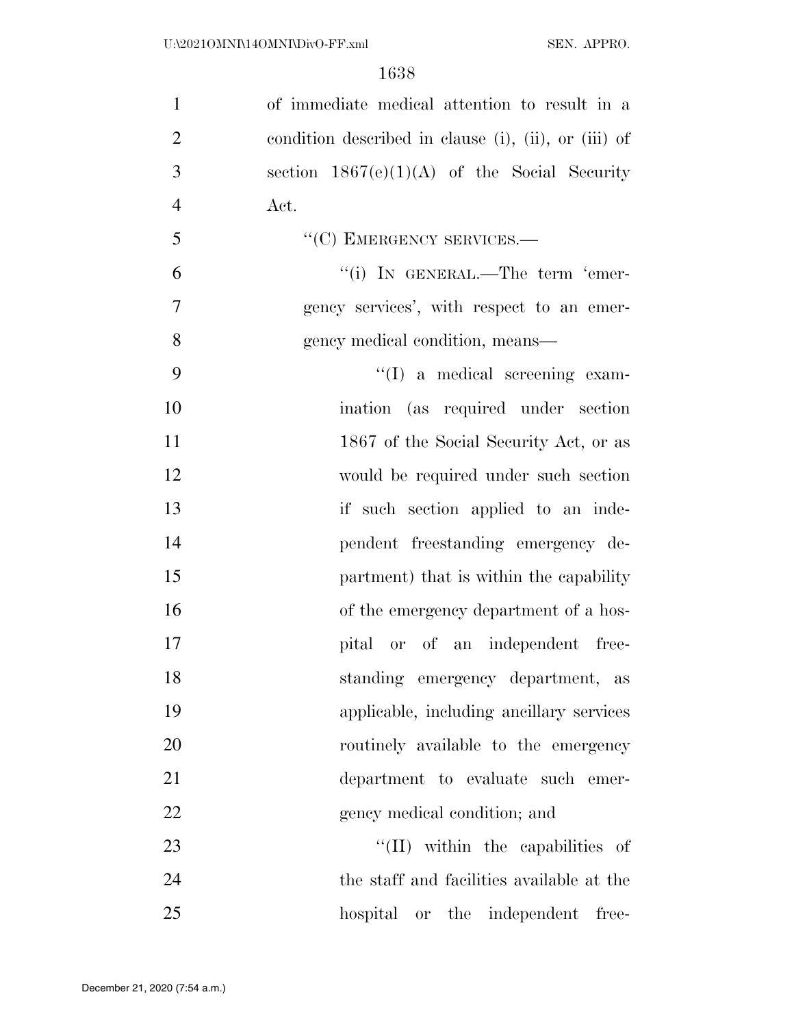| $\mathbf{1}$   | of immediate medical attention to result in a        |
|----------------|------------------------------------------------------|
| $\overline{2}$ | condition described in clause (i), (ii), or (iii) of |
| 3              | section $1867(e)(1)(A)$ of the Social Security       |
| $\overline{4}$ | Act.                                                 |
| 5              | "(C) EMERGENCY SERVICES.-                            |
| 6              | "(i) IN GENERAL.—The term 'emer-                     |
| $\tau$         | gency services', with respect to an emer-            |
| 8              | gency medical condition, means—                      |
| 9              | $\lq\lq$ a medical screening exam-                   |
| 10             | ination (as required under section                   |
| 11             | 1867 of the Social Security Act, or as               |
| 12             | would be required under such section                 |
| 13             | if such section applied to an inde-                  |
| 14             | pendent freestanding emergency de-                   |
| 15             | partment) that is within the capability              |
| 16             | of the emergency department of a hos-                |
| 17             | pital or of an independent free-                     |
| 18             | standing emergency department, as                    |
| 19             | applicable, including ancillary services             |
| 20             | routinely available to the emergency                 |
| 21             | department to evaluate such emer-                    |
| 22             | gency medical condition; and                         |
| 23             | "(II) within the capabilities of                     |
| 24             | the staff and facilities available at the            |
| 25             | hospital or the independent free-                    |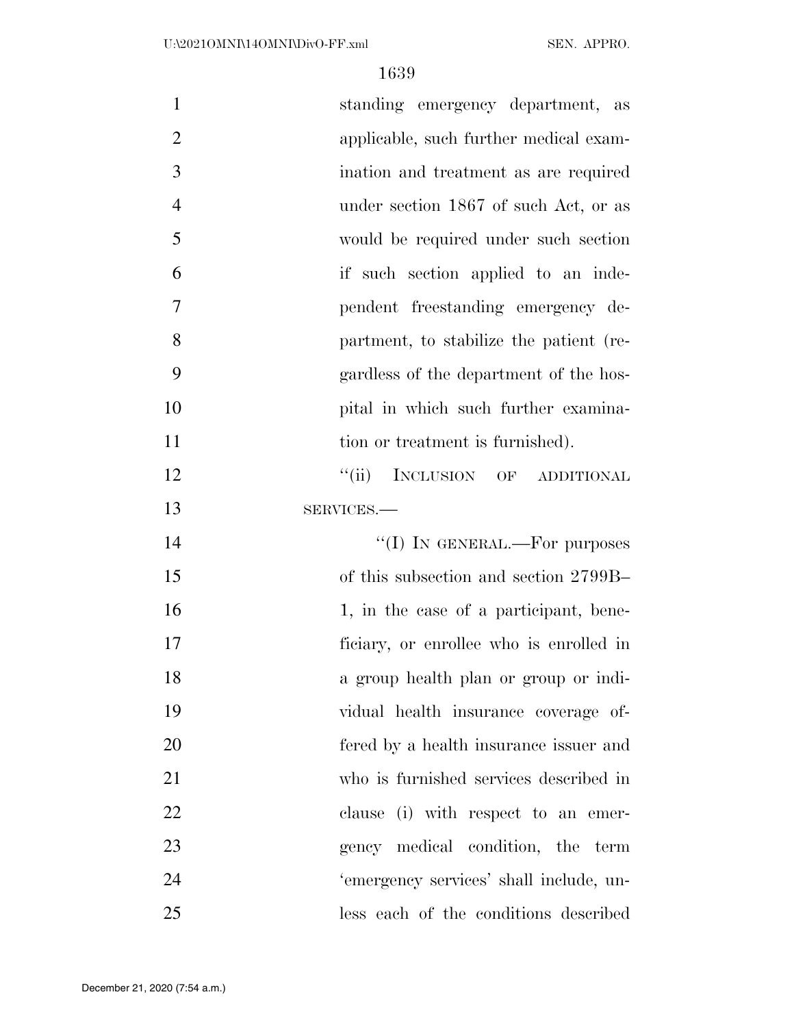| $\mathbf{1}$   | standing emergency department, as       |
|----------------|-----------------------------------------|
| $\overline{2}$ | applicable, such further medical exam-  |
| 3              | ination and treatment as are required   |
| $\overline{4}$ | under section 1867 of such Act, or as   |
| 5              | would be required under such section    |
| 6              | if such section applied to an inde-     |
| $\overline{7}$ | pendent freestanding emergency de-      |
| 8              | partment, to stabilize the patient (re- |
| 9              | gardless of the department of the hos-  |
| 10             | pital in which such further examina-    |
| 11             | tion or treatment is furnished).        |
| 12             | "(ii) INCLUSION OF ADDITIONAL           |
| 13             | SERVICES.-                              |
|                |                                         |
| 14             | "(I) IN GENERAL.—For purposes           |
| 15             | of this subsection and section 2799B-   |
| 16             | 1, in the case of a participant, bene-  |
| 17             | ficiary, or enrollee who is enrolled in |
| 18             | a group health plan or group or indi-   |
| 19             | vidual health insurance coverage of-    |
| 20             | fered by a health insurance issuer and  |
| 21             | who is furnished services described in  |
| 22             | clause (i) with respect to an emer-     |
| 23             | gency medical condition, the term       |
| 24             | 'emergency services' shall include, un- |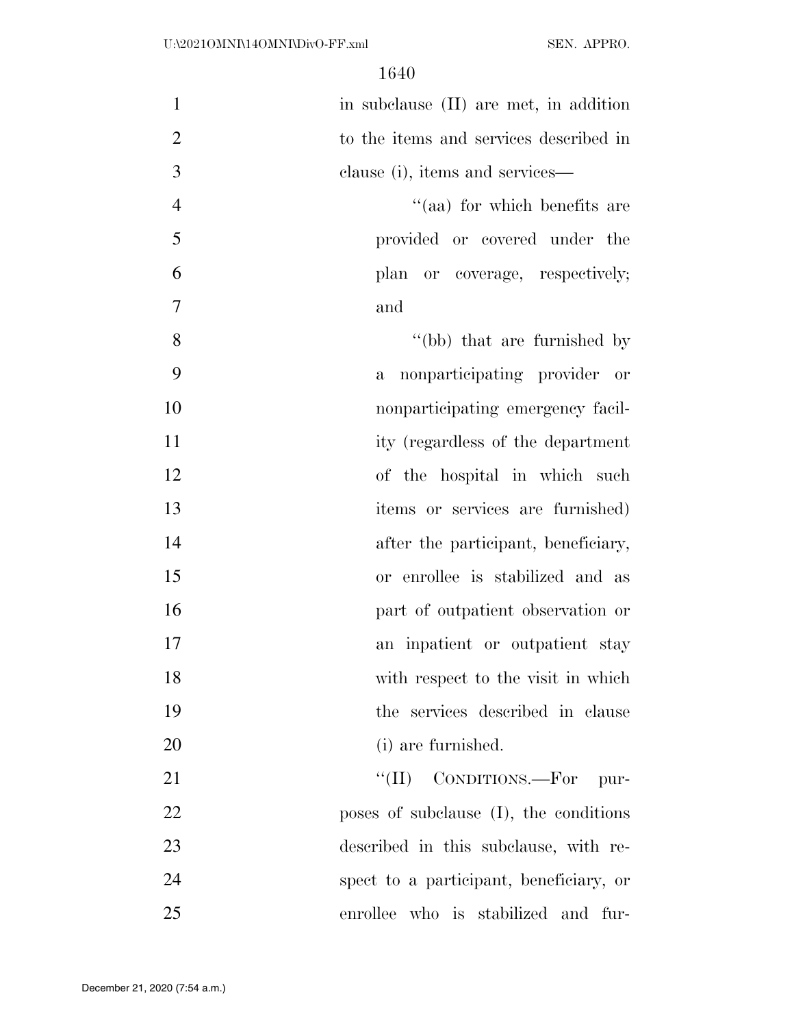| $\mathbf{1}$   | in subclause (II) are met, in addition       |
|----------------|----------------------------------------------|
| $\overline{2}$ | to the items and services described in       |
| 3              | clause (i), items and services—              |
| $\overline{4}$ | "(aa) for which benefits are                 |
| 5              | provided or covered under the                |
| 6              | plan or coverage, respectively;              |
| 7              | and                                          |
| 8              | "(bb) that are furnished by                  |
| 9              | nonparticipating provider or<br>$\mathbf{a}$ |
| 10             | nonparticipating emergency facil-            |
| 11             | ity (regardless of the department            |
| 12             | of the hospital in which such                |
| 13             | items or services are furnished)             |
| 14             | after the participant, beneficiary,          |
| 15             | or enrollee is stabilized and as             |
| 16             | part of outpatient observation or            |
| 17             | an inpatient or outpatient stay              |
| 18             | with respect to the visit in which           |
| 19             | the services described in clause             |
| 20             | (i) are furnished.                           |
| 21             | $``(\Pi)$<br>CONDITIONS.-For<br>pur-         |
| 22             | poses of subclause (I), the conditions       |
| 23             | described in this subclause, with re-        |
| 24             | spect to a participant, beneficiary, or      |
| 25             | enrollee who is stabilized and fur-          |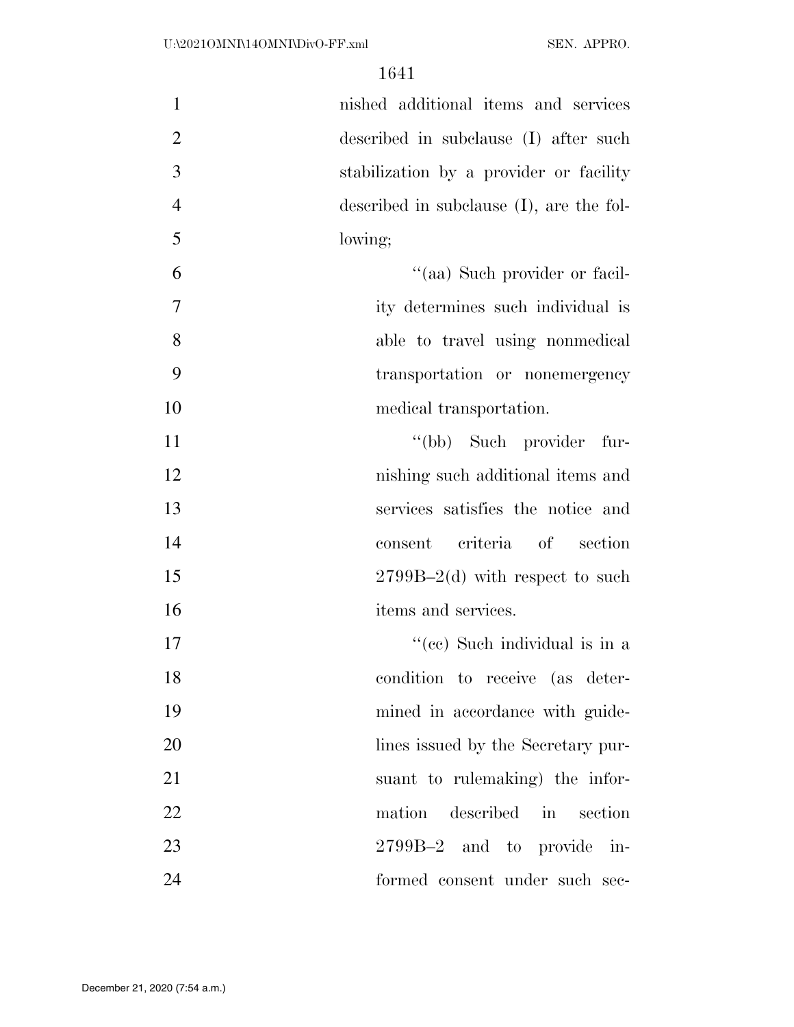| $\mathbf{1}$   | nished additional items and services        |
|----------------|---------------------------------------------|
| $\overline{2}$ | described in subclause (I) after such       |
| 3              | stabilization by a provider or facility     |
| $\overline{4}$ | described in subclause $(I)$ , are the fol- |
| 5              | lowing;                                     |
| 6              | "(aa) Such provider or facil-               |
| $\tau$         | ity determines such individual is           |
| 8              | able to travel using nonmedical             |
| 9              | transportation or nonemergency              |
| 10             | medical transportation.                     |
| 11             | "(bb) Such provider fur-                    |
| 12             | nishing such additional items and           |
| 13             | services satisfies the notice and           |
| 14             | criteria of section<br>consent              |
| 15             | $2799B-2(d)$ with respect to such           |
| 16             | items and services.                         |
| 17             | "(cc) Such individual is in a               |
| 18             | condition to receive (as deter-             |
| 19             | mined in accordance with guide-             |
| 20             | lines issued by the Secretary pur-          |
| 21             | suant to rulemaking) the infor-             |
| 22             | described in section<br>mation              |
| 23             | 2799B-2 and to provide in-                  |
| 24             | formed consent under such sec-              |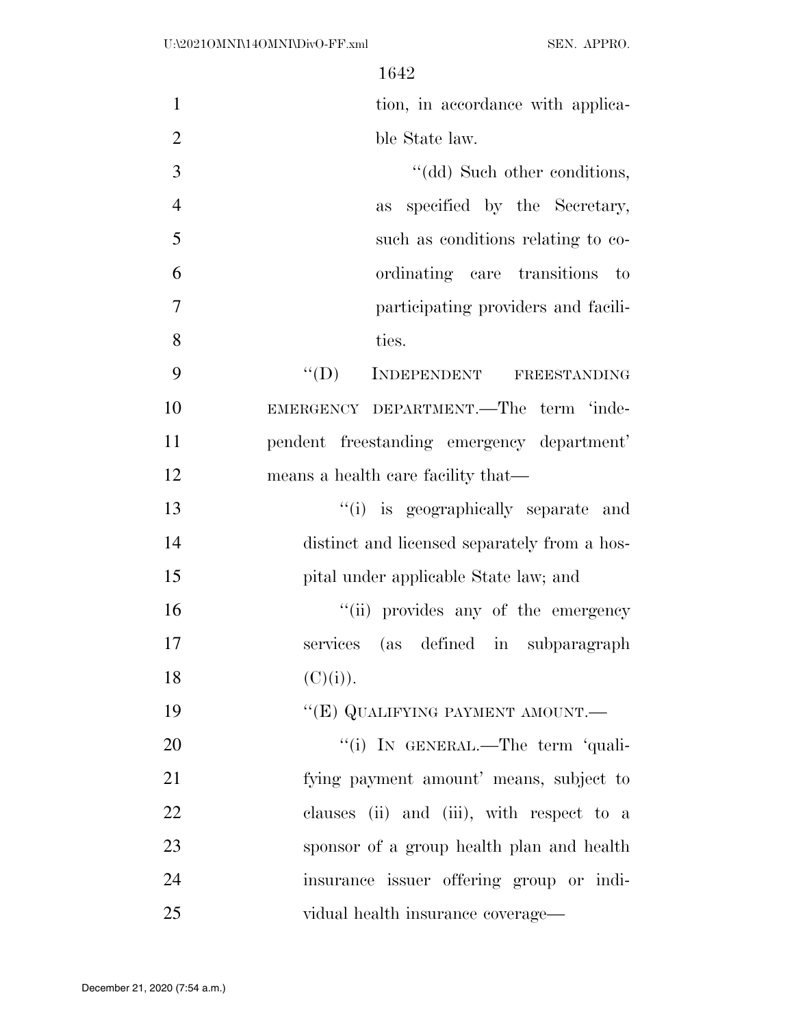| $\mathbf{1}$   | tion, in accordance with applica-            |
|----------------|----------------------------------------------|
| $\overline{2}$ | ble State law.                               |
| 3              | "(dd) Such other conditions,                 |
| $\overline{4}$ | specified by the Secretary,<br>as            |
| 5              | such as conditions relating to co-           |
| 6              | ordinating care transitions to               |
| 7              | participating providers and facili-          |
| 8              | ties.                                        |
| 9              | "(D) INDEPENDENT FREESTANDING                |
| 10             | EMERGENCY DEPARTMENT.—The term 'inde-        |
| 11             | pendent freestanding emergency department'   |
| 12             | means a health care facility that—           |
| 13             | "(i) is geographically separate and          |
| 14             | distinct and licensed separately from a hos- |
| 15             | pital under applicable State law; and        |
| 16             | "(ii) provides any of the emergency          |
| 17             | services (as defined in subparagraph         |
| 18             | (C)(i)).                                     |
| 19             | "(E) QUALIFYING PAYMENT AMOUNT.—             |
| 20             | "(i) IN GENERAL.—The term 'quali-            |
| 21             | fying payment amount' means, subject to      |
| 22             | clauses (ii) and (iii), with respect to a    |
| 23             | sponsor of a group health plan and health    |
| 24             | insurance issuer offering group or indi-     |
| 25             | vidual health insurance coverage—            |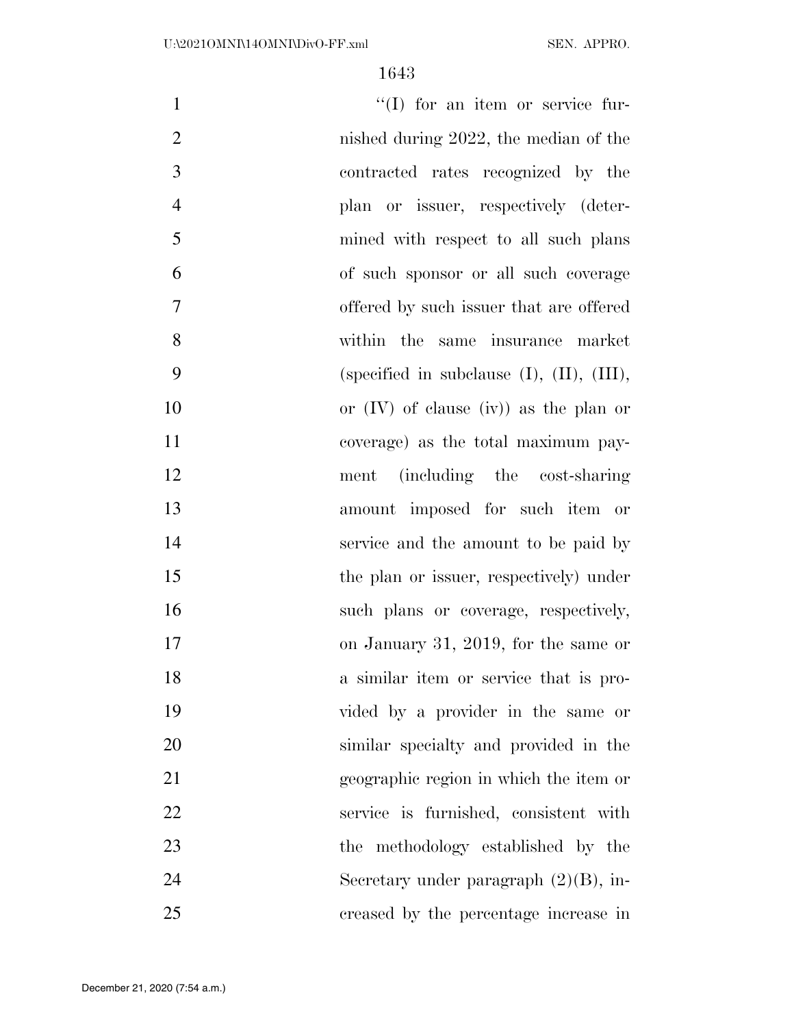| $\mathbf{1}$   | $\lq\lq$ (I) for an item or service fur-           |
|----------------|----------------------------------------------------|
| $\mathbf{2}$   | nished during $2022$ , the median of the           |
| 3              | contracted rates recognized by the                 |
| $\overline{4}$ | plan or issuer, respectively (deter-               |
| 5              | mined with respect to all such plans               |
| 6              | of such sponsor or all such coverage               |
| $\overline{7}$ | offered by such issuer that are offered            |
| 8              | within the same insurance market                   |
| 9              | (specified in subclause $(I)$ , $(II)$ , $(III)$ , |
| 10             | or $(IV)$ of clause $(iv)$ as the plan or          |
| 11             | coverage) as the total maximum pay-                |
| 12             | ment (including the cost-sharing                   |
| 13             | amount imposed for such item or                    |
| 14             | service and the amount to be paid by               |
| 15             | the plan or issuer, respectively) under            |
| 16             | such plans or coverage, respectively,              |
| 17             | on January 31, 2019, for the same or               |
| 18             | a similar item or service that is pro-             |
| 19             | vided by a provider in the same or                 |
| 20             | similar specialty and provided in the              |
| 21             | geographic region in which the item or             |
| 22             | service is furnished, consistent with              |
| 23             | the methodology established by the                 |
| 24             | Secretary under paragraph $(2)(B)$ , in-           |
| 25             | creased by the percentage increase in              |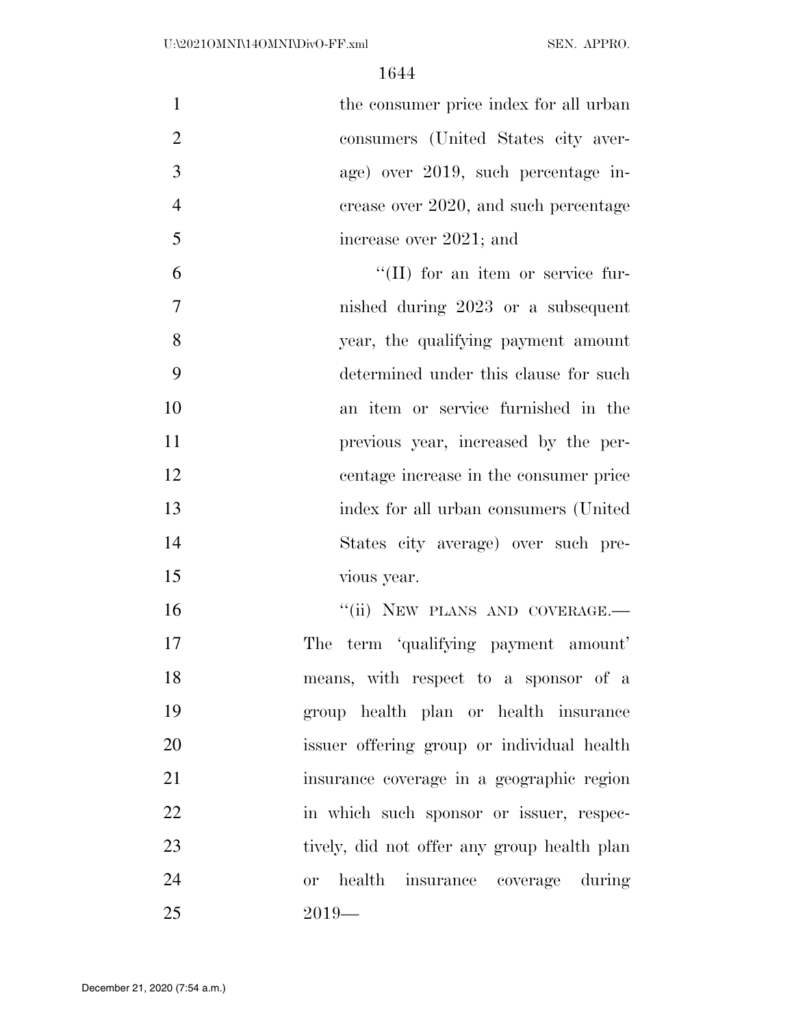| $\mathbf{1}$   | the consumer price index for all urban  |
|----------------|-----------------------------------------|
| $\overline{2}$ | consumers (United States city aver-     |
| 3              | age) over 2019, such percentage in-     |
| $\overline{4}$ | crease over 2020, and such percentage   |
| 5              | increase over 2021; and                 |
| 6              | "(II) for an item or service fur-       |
| $\overline{7}$ | nished during 2023 or a subsequent      |
| 8              | year, the qualifying payment amount     |
| 9              | determined under this clause for such   |
| 10             | an item or service furnished in the     |
| 11             | previous year, increased by the per-    |
| 12             | centage increase in the consumer price  |
| 13             | index for all urban consumers (United   |
| 14             | States city average) over such pre-     |
| 15             | vious year.                             |
| 16             | "(ii) NEW PLANS AND COVERAGE.-          |
| 17             | term 'qualifying payment amount'<br>The |
| 18             | means, with respect to a sponsor of a   |
| 19             | group health plan or health insurance   |
|                |                                         |

 issuer offering group or individual health insurance coverage in a geographic region in which such sponsor or issuer, respec- tively, did not offer any group health plan or health insurance coverage during 2019—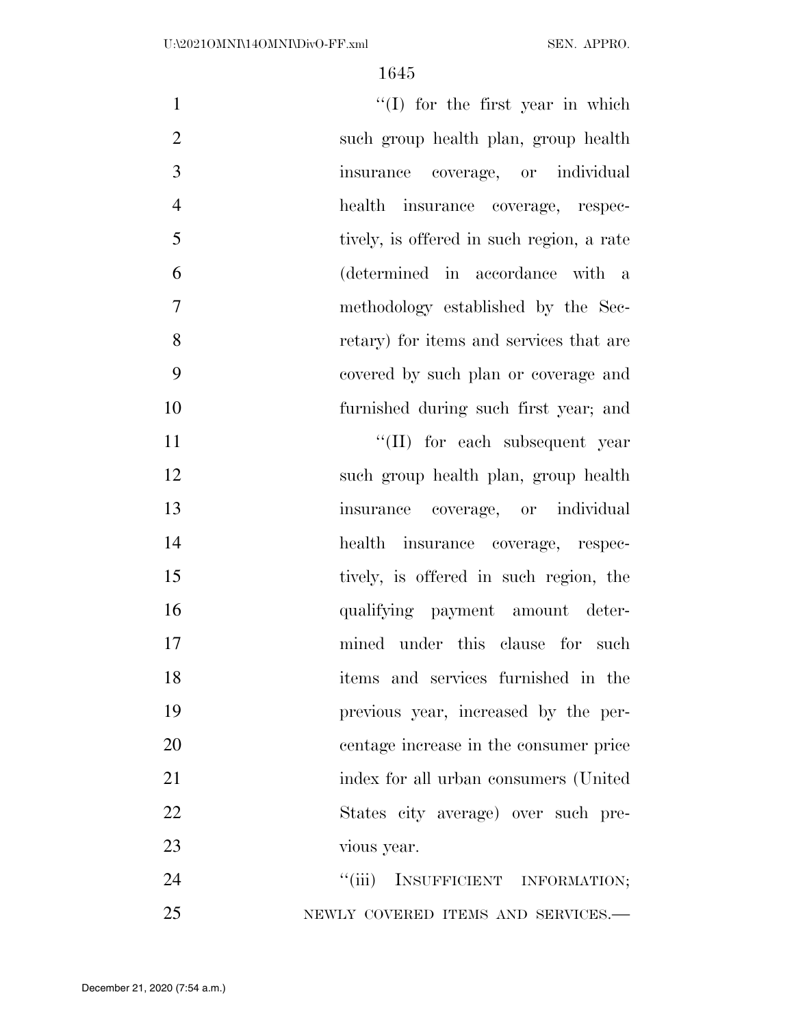| $\mathbf{1}$   | $\lq(1)$ for the first year in which      |
|----------------|-------------------------------------------|
| $\overline{2}$ | such group health plan, group health      |
| 3              | insurance coverage, or individual         |
| $\overline{4}$ | health insurance coverage, respec-        |
| 5              | tively, is offered in such region, a rate |
| 6              | (determined in accordance with a          |
| 7              | methodology established by the Sec-       |
| 8              | retary) for items and services that are   |
| 9              | covered by such plan or coverage and      |
| 10             | furnished during such first year; and     |
| 11             | "(II) for each subsequent year            |
| 12             | such group health plan, group health      |
| 13             | insurance coverage, or individual         |
| 14             | health insurance coverage, respec-        |
| 15             | tively, is offered in such region, the    |
| 16             | qualifying payment amount deter-          |
| 17             | mined under this clause for such          |
| 18             | items and services furnished in the       |
| 19             | previous year, increased by the per-      |
| 20             | centage increase in the consumer price    |
| 21             | index for all urban consumers (United     |
| 22             | States city average) over such pre-       |
| 23             | vious year.                               |
| 24             | "(iii) INSUFFICIENT INFORMATION;          |
| 25             | NEWLY COVERED ITEMS AND SERVICES.-        |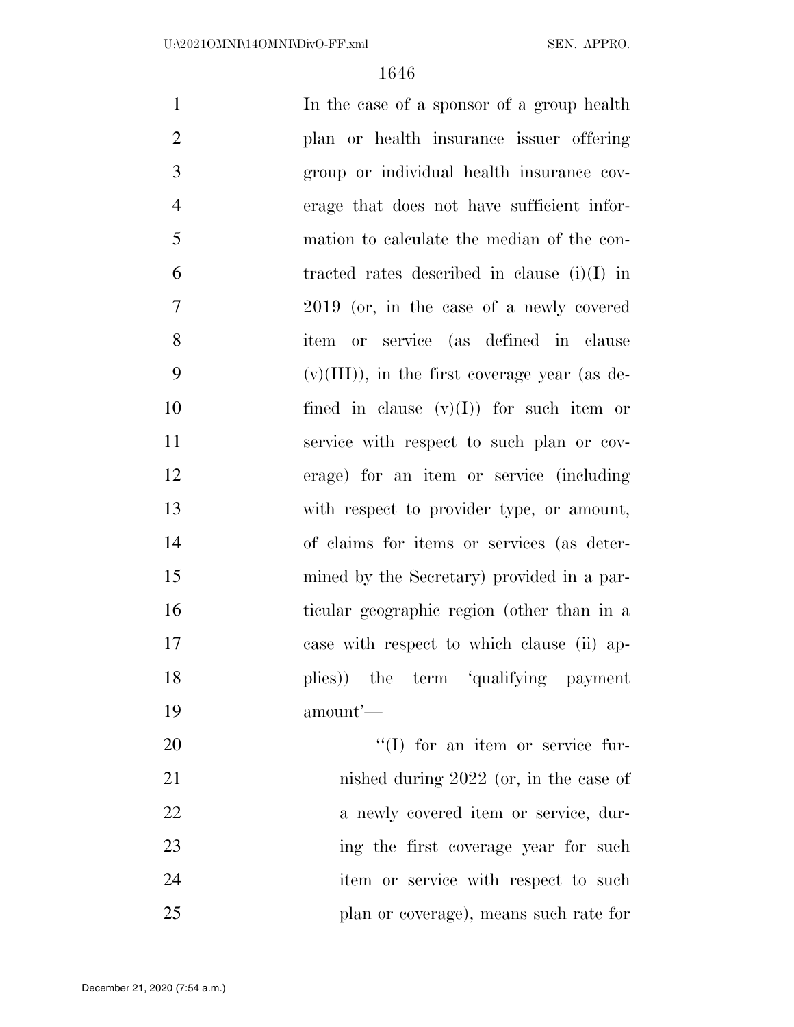| $\mathbf{1}$   | In the case of a sponsor of a group health      |
|----------------|-------------------------------------------------|
| $\overline{2}$ | plan or health insurance issuer offering        |
| 3              | group or individual health insurance cov-       |
| $\overline{4}$ | erage that does not have sufficient infor-      |
| 5              | mation to calculate the median of the con-      |
| 6              | tracted rates described in clause $(i)(I)$ in   |
| 7              | 2019 (or, in the case of a newly covered        |
| 8              | item or service (as defined in clause           |
| 9              | $(v)(III)$ , in the first coverage year (as de- |
| 10             | fined in clause $(v)(I)$ for such item or       |
| 11             | service with respect to such plan or cov-       |
| 12             | erage) for an item or service (including        |
| 13             | with respect to provider type, or amount,       |
| 14             | of claims for items or services (as deter-      |
| 15             | mined by the Secretary) provided in a par-      |
| 16             | ticular geographic region (other than in a      |
| 17             | case with respect to which clause (ii) ap-      |
| 18             | plies)) the term 'qualifying payment            |
| 19             | amount'—                                        |
| 20             | $\lq\lq$ (I) for an item or service fur-        |
| 21             | nished during $2022$ (or, in the case of        |
| 22             | a newly covered item or service, dur-           |
| 23             | ing the first coverage year for such            |
| 24             | item or service with respect to such            |
| 25             | plan or coverage), means such rate for          |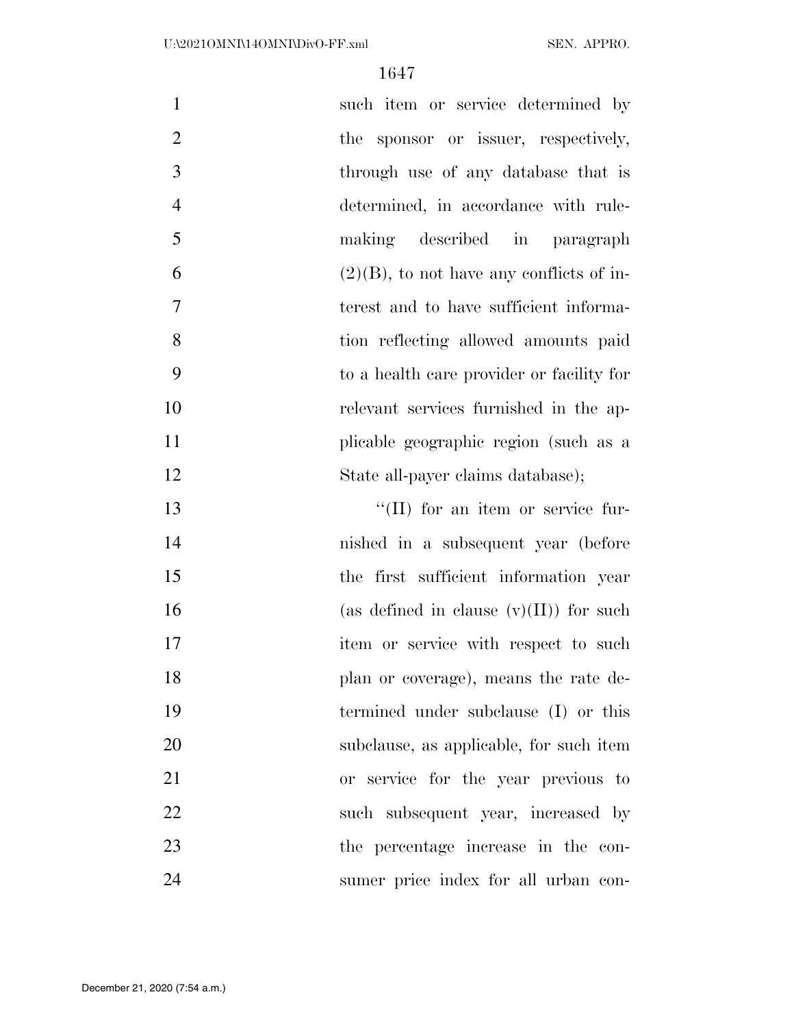| $\mathbf{1}$   | such item or service determined by          |
|----------------|---------------------------------------------|
| $\overline{2}$ | the sponsor or issuer, respectively,        |
| 3              | through use of any database that is         |
| $\overline{4}$ | determined, in accordance with rule-        |
| 5              | making described in paragraph               |
| 6              | $(2)(B)$ , to not have any conflicts of in- |
| $\overline{7}$ | terest and to have sufficient informa-      |
| 8              | tion reflecting allowed amounts paid        |
| 9              | to a health care provider or facility for   |
| 10             | relevant services furnished in the ap-      |
| 11             | plicable geographic region (such as a       |
| 12             | State all-payer claims database);           |
| 13             | "(II) for an item or service fur-           |
| 14             | nished in a subsequent year (before         |
| 15             | the first sufficient information year       |
| 16             | (as defined in clause $(v)(II)$ ) for such  |
| 17             | item or service with respect to such        |
| 18             | plan or coverage), means the rate de-       |
| 19             | termined under subclause (I) or this        |
| 20             | subclause, as applicable, for such item     |
| 21             | or service for the year previous to         |
| 22             | such subsequent year, increased by          |
| 23             | the percentage increase in the con-         |
| 24             | sumer price index for all urban con-        |

December 21, 2020 (7:54 a.m.)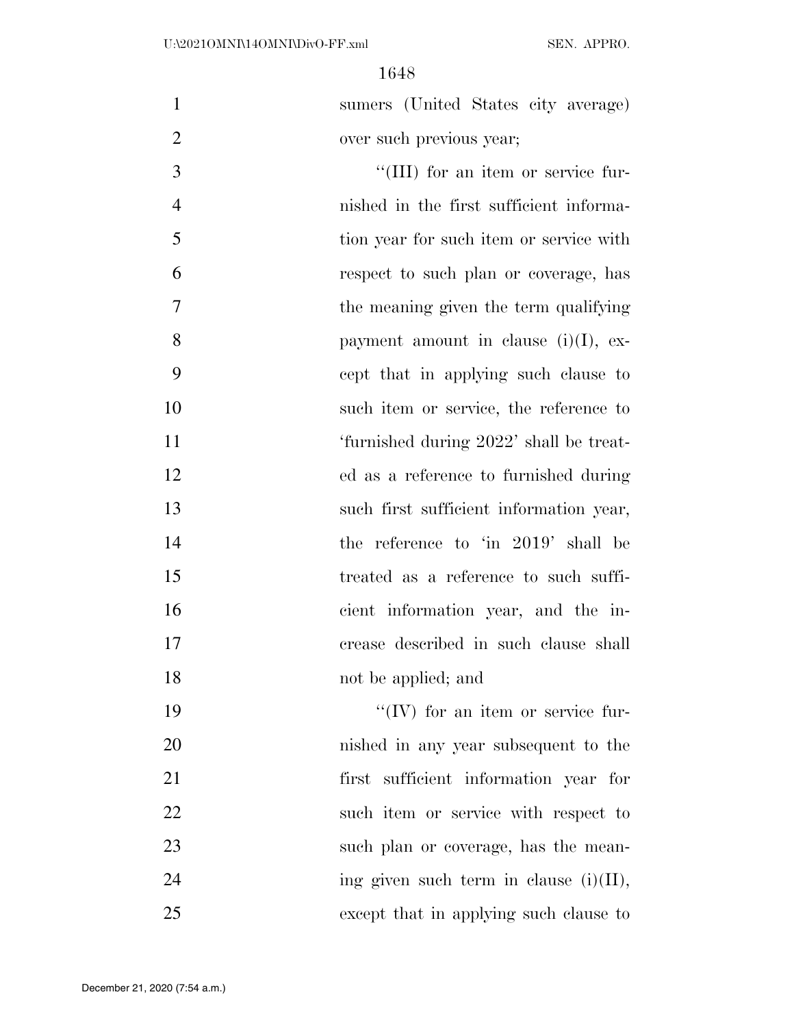sumers (United States city average) over such previous year;

 $\frac{1}{2}$  (III) for an item or service fur- nished in the first sufficient informa- tion year for such item or service with respect to such plan or coverage, has the meaning given the term qualifying 8 payment amount in clause  $(i)(I)$ , ex- cept that in applying such clause to such item or service, the reference to 'furnished during 2022' shall be treat- ed as a reference to furnished during such first sufficient information year, 14 the reference to 'in 2019' shall be treated as a reference to such suffi- cient information year, and the in- crease described in such clause shall 18 not be applied; and

 $\frac{1}{2}$  TV for an item or service fur- nished in any year subsequent to the first sufficient information year for such item or service with respect to 23 such plan or coverage, has the mean-24 ing given such term in clause  $(i)(II)$ , except that in applying such clause to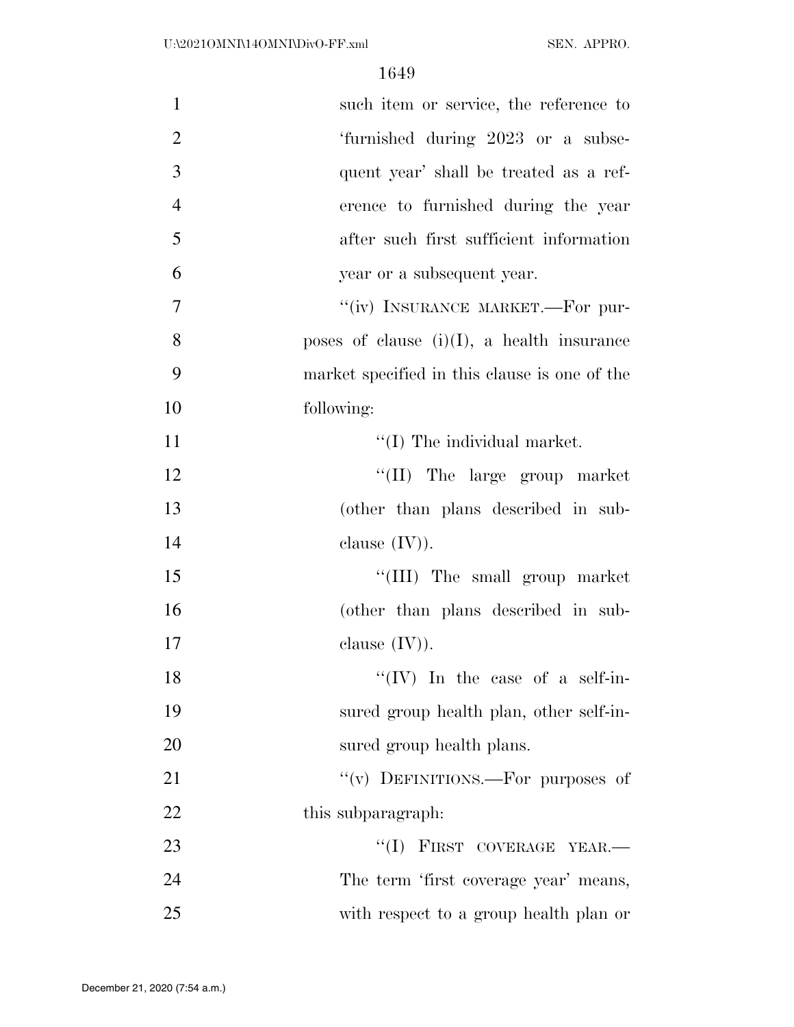| $\mathbf{1}$   | such item or service, the reference to        |
|----------------|-----------------------------------------------|
| $\overline{2}$ | 'furnished during 2023 or a subse-            |
| 3              | quent year' shall be treated as a ref-        |
| $\overline{4}$ | erence to furnished during the year           |
| 5              | after such first sufficient information       |
| 6              | year or a subsequent year.                    |
| $\overline{7}$ | "(iv) INSURANCE MARKET.—For pur-              |
| 8              | poses of clause $(i)(I)$ , a health insurance |
| 9              | market specified in this clause is one of the |
| 10             | following:                                    |
| 11             | $\lq\lq$ (I) The individual market.           |
| 12             | $\lq\lq$ (II) The large group market          |
| 13             | (other than plans described in sub-           |
| 14             | clause $(IV)$ ).                              |
| 15             | "(III) The small group market                 |
| 16             | (other than plans described in sub-           |
| 17             | clause $(IV)$ ).                              |
| 18             | " $(IV)$ In the case of a self-in-            |
| 19             | sured group health plan, other self-in-       |
| 20             | sured group health plans.                     |
| 21             | "(v) DEFINITIONS.—For purposes of             |
| 22             | this subparagraph.                            |
| 23             | "(I) FIRST COVERAGE YEAR.-                    |
| 24             | The term 'first coverage year' means,         |
| 25             | with respect to a group health plan or        |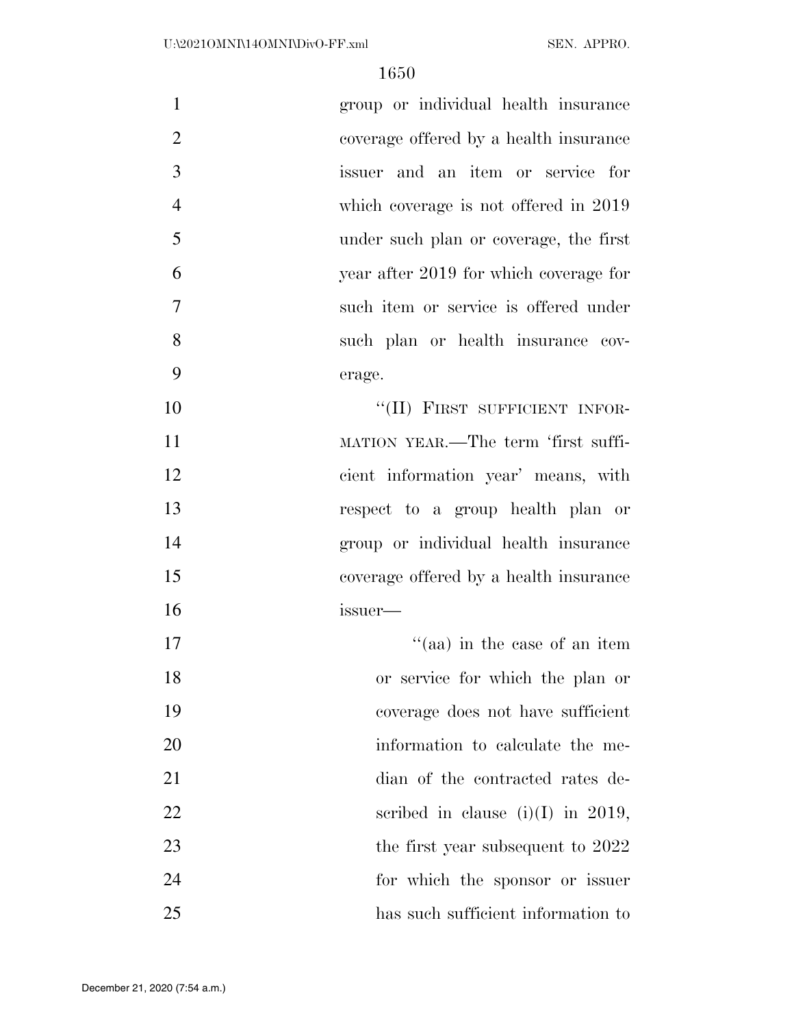| $\mathbf{1}$<br>group or individual health insurance     |
|----------------------------------------------------------|
| $\overline{2}$<br>coverage offered by a health insurance |
| 3<br>issuer and an item or service for                   |
| $\overline{4}$<br>which coverage is not offered in 2019  |
| 5<br>under such plan or coverage, the first              |
| 6<br>year after 2019 for which coverage for              |
| $\tau$<br>such item or service is offered under          |
| 8<br>such plan or health insurance cov-                  |
| 9<br>erage.                                              |
| 10<br>"(II) FIRST SUFFICIENT INFOR-                      |
| 11<br>MATION YEAR.—The term 'first suffi-                |
| 12<br>cient information year' means, with                |
| 13<br>respect to a group health plan or                  |
| 14<br>group or individual health insurance               |
| 15<br>coverage offered by a health insurance             |
| 16<br>issuer—                                            |
| 17<br>"(aa) in the case of an item                       |
| 18<br>or service for which the plan or                   |
| 19<br>coverage does not have sufficient                  |
| 20<br>information to calculate the me-                   |
| 21<br>dian of the contracted rates de-                   |
| 22<br>scribed in clause (i)(I) in 2019,                  |
| 23<br>the first year subsequent to 2022                  |
| 24<br>for which the sponsor or issuer                    |
| 25<br>has such sufficient information to                 |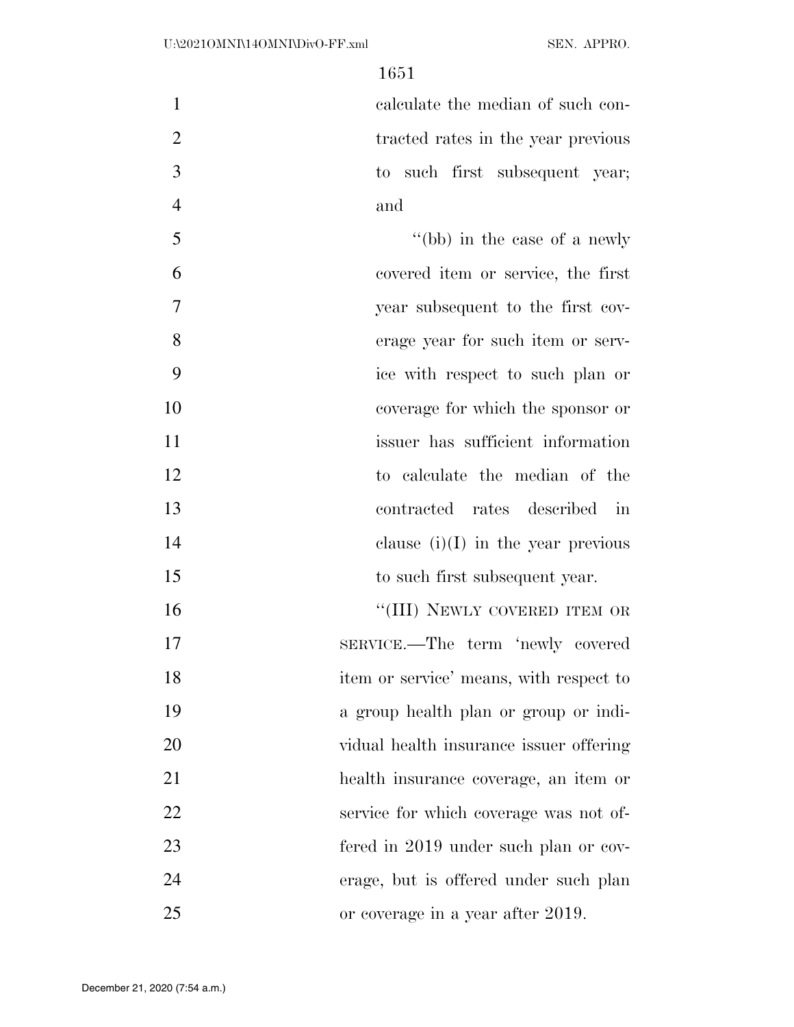calculate the median of such con-2 tracted rates in the year previous to such first subsequent year; and

5 ''(bb) in the case of a newly covered item or service, the first year subsequent to the first cov- erage year for such item or serv- ice with respect to such plan or coverage for which the sponsor or 11 issuer has sufficient information to calculate the median of the contracted rates described in 14 clause  $(i)(I)$  in the year previous 15 to such first subsequent year. 16 "(III) NEWLY COVERED ITEM OR

 SERVICE.—The term 'newly covered item or service' means, with respect to a group health plan or group or indi- vidual health insurance issuer offering health insurance coverage, an item or service for which coverage was not of- fered in 2019 under such plan or cov- erage, but is offered under such plan or coverage in a year after 2019.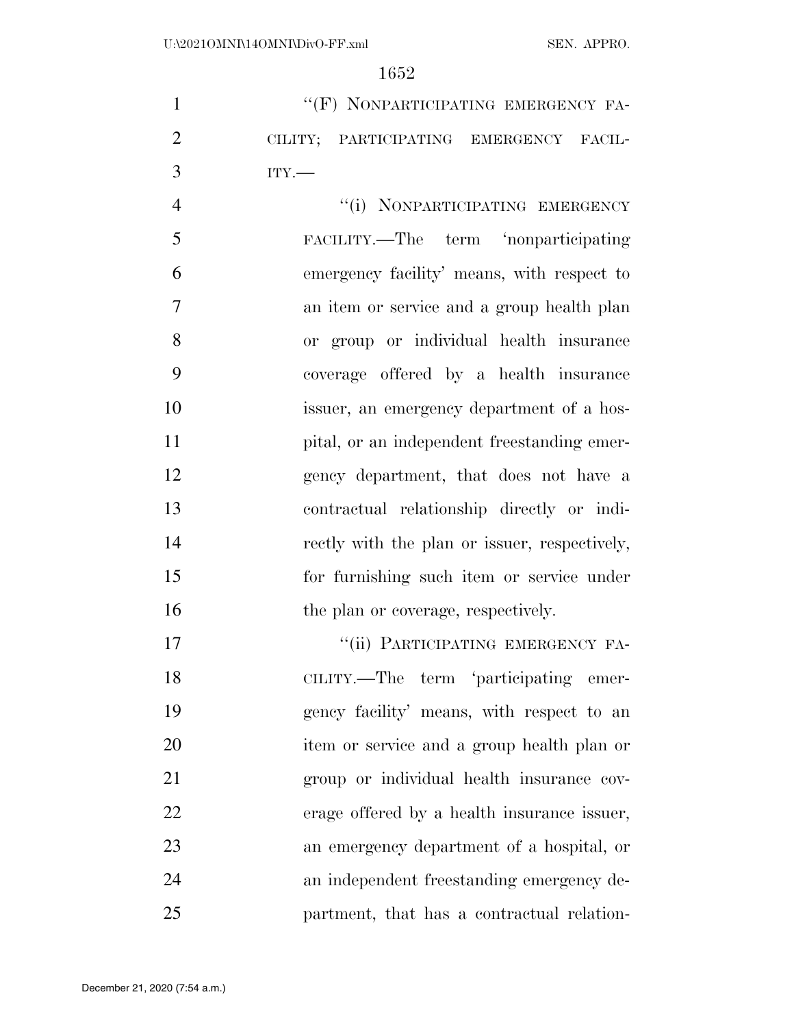1 ""(F) NONPARTICIPATING EMERGENCY FA- CILITY; PARTICIPATING EMERGENCY FACIL-ITY.—

4 "(i) NONPARTICIPATING EMERGENCY FACILITY.—The term 'nonparticipating emergency facility' means, with respect to an item or service and a group health plan or group or individual health insurance coverage offered by a health insurance issuer, an emergency department of a hos-11 pital, or an independent freestanding emer- gency department, that does not have a contractual relationship directly or indi- rectly with the plan or issuer, respectively, for furnishing such item or service under 16 the plan or coverage, respectively.

17 "'(ii) PARTICIPATING EMERGENCY FA- CILITY.—The term 'participating emer- gency facility' means, with respect to an item or service and a group health plan or group or individual health insurance cov- erage offered by a health insurance issuer, an emergency department of a hospital, or an independent freestanding emergency de-partment, that has a contractual relation-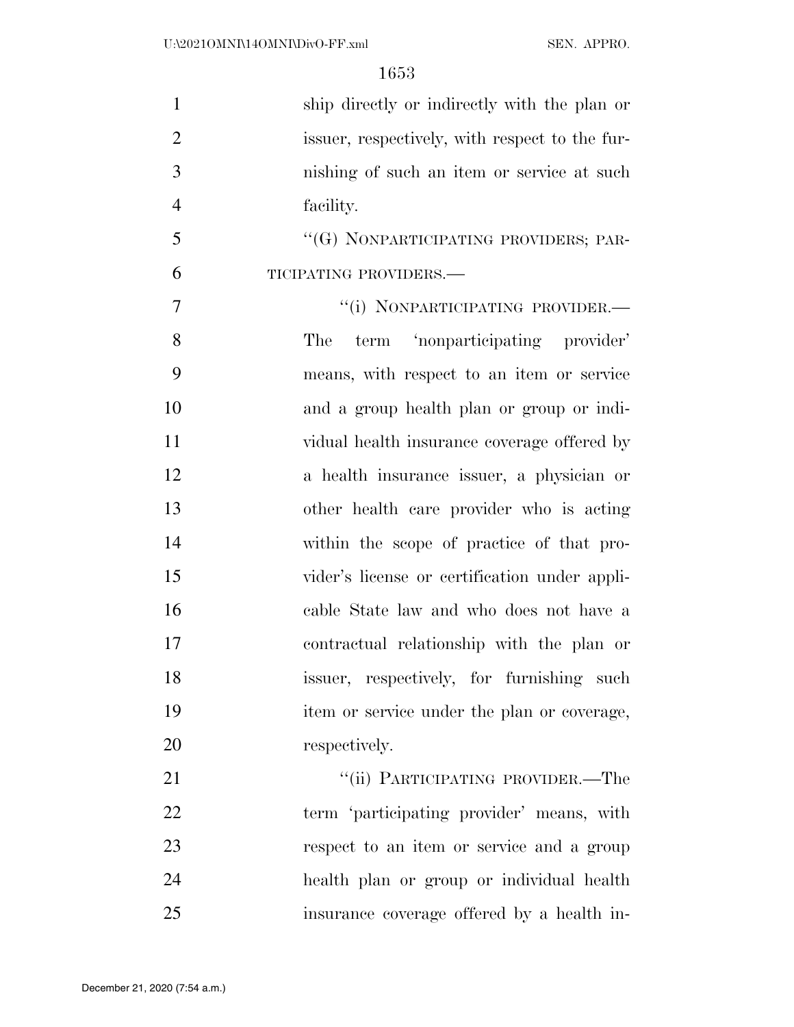| $\mathbf{1}$   | ship directly or indirectly with the plan or   |
|----------------|------------------------------------------------|
| $\overline{2}$ | issuer, respectively, with respect to the fur- |
| 3              | nishing of such an item or service at such     |
| $\overline{4}$ | facility.                                      |
| 5              | "(G) NONPARTICIPATING PROVIDERS; PAR-          |
| 6              | TICIPATING PROVIDERS.-                         |
| 7              | "(i) NONPARTICIPATING PROVIDER.-               |
| 8              | term 'nonparticipating provider'<br>The        |
| 9              | means, with respect to an item or service      |
| 10             | and a group health plan or group or indi-      |
| 11             | vidual health insurance coverage offered by    |
| 12             | a health insurance issuer, a physician or      |
| 13             | other health care provider who is acting       |
| 14             | within the scope of practice of that pro-      |
| 15             | vider's license or certification under appli-  |
| 16             | cable State law and who does not have a        |
| 17             | contractual relationship with the plan or      |
| 18             | issuer, respectively, for furnishing such      |
| 19             | item or service under the plan or coverage,    |
| 20             | respectively.                                  |
| 21             | "(ii) PARTICIPATING PROVIDER.—The              |
| 22             | term 'participating provider' means, with      |
| 23             | respect to an item or service and a group      |
| 24             | health plan or group or individual health      |
| 25             | insurance coverage offered by a health in-     |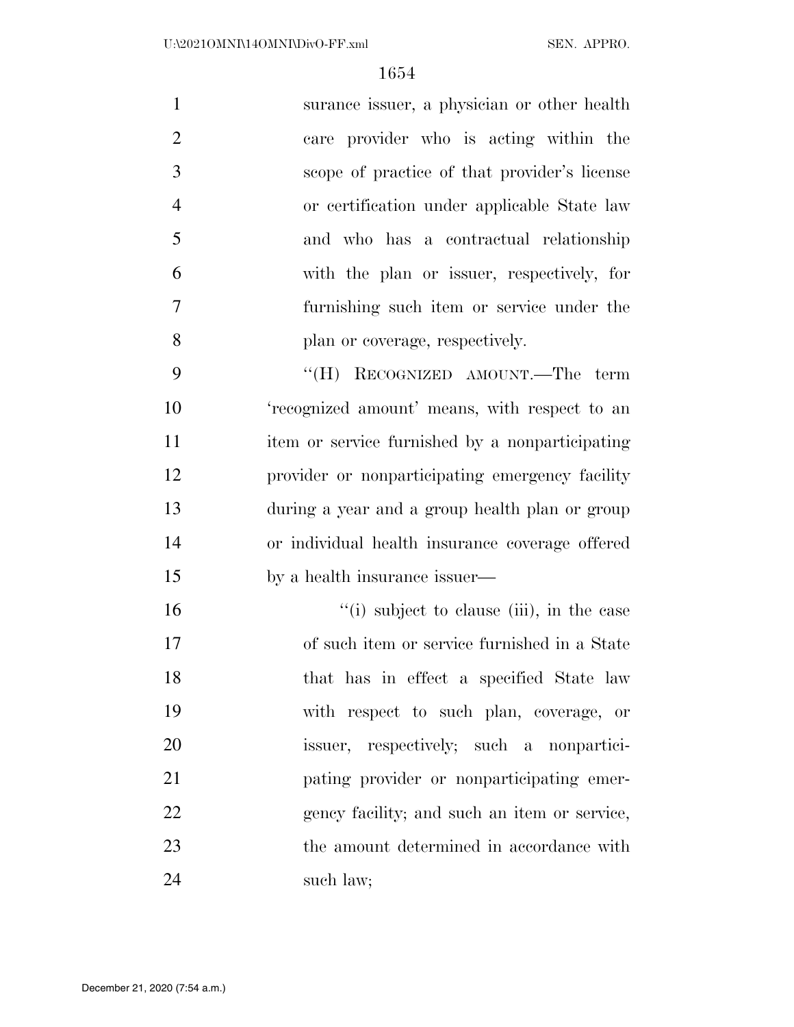|                | surance issuer, a physician or other health  |
|----------------|----------------------------------------------|
| $\overline{2}$ | care provider who is acting within the       |
| 3              | scope of practice of that provider's license |
| $\overline{4}$ | or certification under applicable State law  |
| $\overline{5}$ | and who has a contractual relationship       |
| 6              | with the plan or issuer, respectively, for   |
| 7              | furnishing such item or service under the    |
| 8              | plan or coverage, respectively.              |

9 "(H) RECOGNIZED AMOUNT.—The term 'recognized amount' means, with respect to an item or service furnished by a nonparticipating provider or nonparticipating emergency facility during a year and a group health plan or group or individual health insurance coverage offered by a health insurance issuer—

16  $"$ (i) subject to clause (iii), in the case of such item or service furnished in a State 18 that has in effect a specified State law with respect to such plan, coverage, or issuer, respectively; such a nonpartici- pating provider or nonparticipating emer-22 gency facility; and such an item or service, 23 the amount determined in accordance with 24 such law;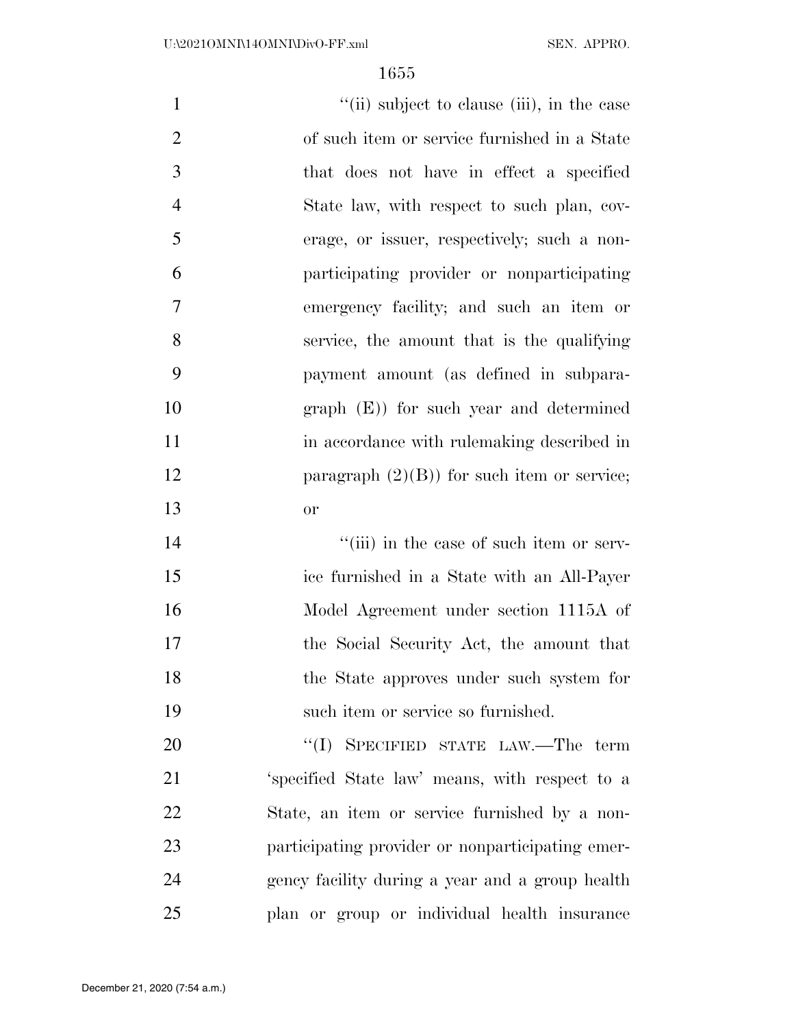| $\mathbf{1}$   | "(ii) subject to clause (iii), in the case     |
|----------------|------------------------------------------------|
| $\overline{2}$ | of such item or service furnished in a State   |
| 3              | that does not have in effect a specified       |
| $\overline{4}$ | State law, with respect to such plan, cov-     |
| 5              | erage, or issuer, respectively; such a non-    |
| 6              | participating provider or nonparticipating     |
| $\overline{7}$ | emergency facility; and such an item or        |
| 8              | service, the amount that is the qualifying     |
| 9              | payment amount (as defined in subpara-         |
| 10             | $graph (E)$ for such year and determined       |
| 11             | in accordance with rule making described in    |
| 12             | paragraph $(2)(B)$ for such item or service;   |
| 13             | <b>or</b>                                      |
| 14             | "(iii) in the case of such item or serv-       |
| 15             | ice furnished in a State with an All-Payer     |
| 16             | Model Agreement under section 1115A of         |
| 17             | the Social Security Act, the amount that       |
| 18             | the State approves under such system for       |
| 19             | such item or service so furnished.             |
| 20             | "(I) SPECIFIED STATE LAW.—The term             |
| 21             | 'specified State law' means, with respect to a |
|                |                                                |

 State, an item or service furnished by a non- participating provider or nonparticipating emer- gency facility during a year and a group health plan or group or individual health insurance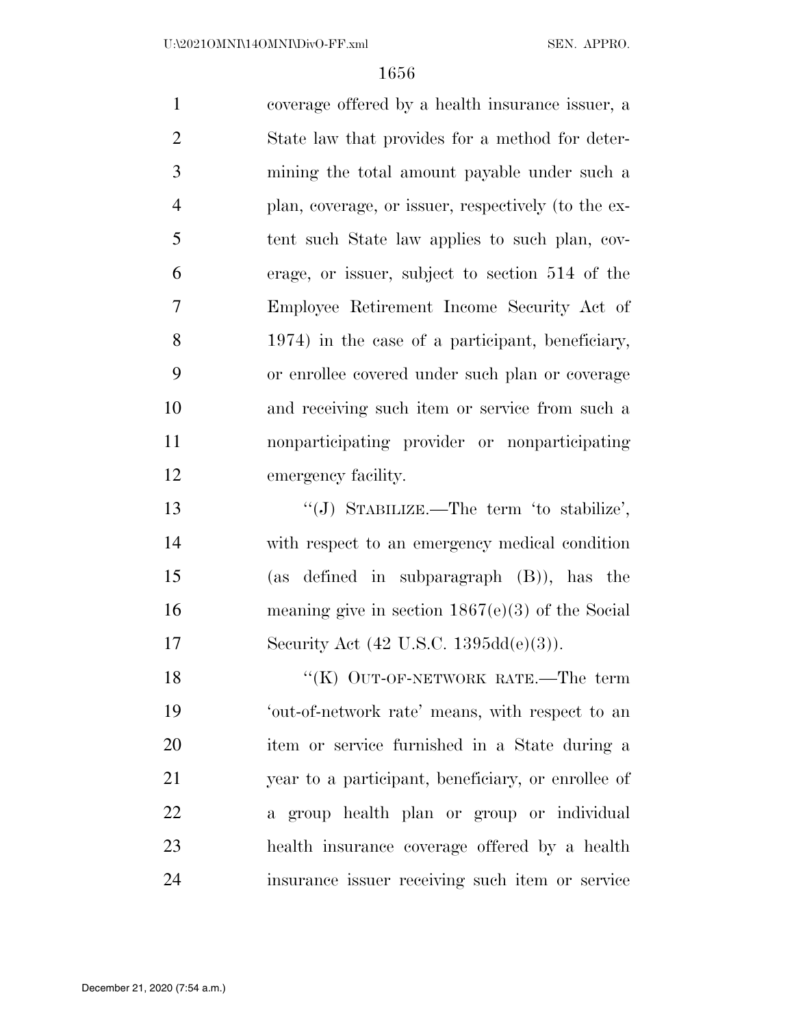coverage offered by a health insurance issuer, a State law that provides for a method for deter- mining the total amount payable under such a plan, coverage, or issuer, respectively (to the ex- tent such State law applies to such plan, cov- erage, or issuer, subject to section 514 of the Employee Retirement Income Security Act of 1974) in the case of a participant, beneficiary, or enrollee covered under such plan or coverage and receiving such item or service from such a nonparticipating provider or nonparticipating emergency facility. ''(J) STABILIZE.—The term 'to stabilize',

 with respect to an emergency medical condition (as defined in subparagraph (B)), has the meaning give in section 1867(e)(3) of the Social Security Act (42 U.S.C. 1395dd(e)(3)).

18 "(K) OUT-OF-NETWORK RATE.—The term 'out-of-network rate' means, with respect to an item or service furnished in a State during a year to a participant, beneficiary, or enrollee of a group health plan or group or individual health insurance coverage offered by a health insurance issuer receiving such item or service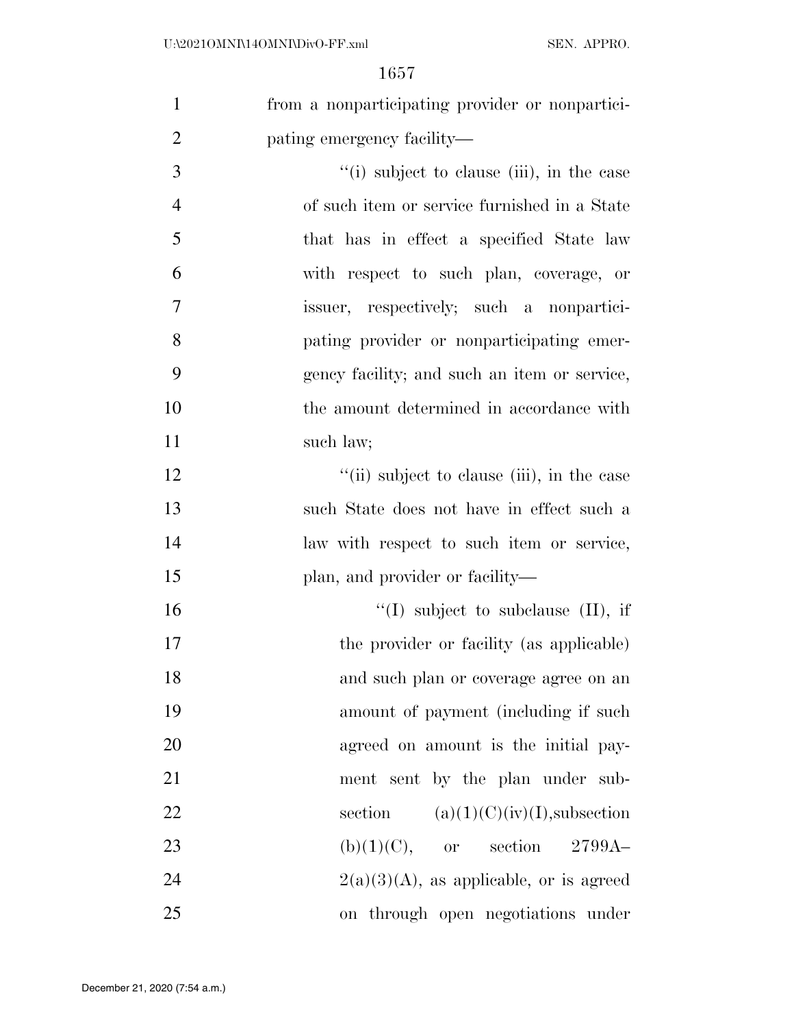| from a nonparticipating provider or nonpartici- |
|-------------------------------------------------|
| pating emergency facility—                      |

3 ''(i) subject to clause (iii), in the case of such item or service furnished in a State 5 that has in effect a specified State law with respect to such plan, coverage, or issuer, respectively; such a nonpartici- pating provider or nonparticipating emer- gency facility; and such an item or service, the amount determined in accordance with 11 such law;

12 ''(ii) subject to clause (iii), in the case 13 such State does not have in effect such a 14 law with respect to such item or service, 15 plan, and provider or facility—

 $"(I)$  subject to subclause  $(II)$ , if 17 the provider or facility (as applicable) and such plan or coverage agree on an amount of payment (including if such agreed on amount is the initial pay- ment sent by the plan under sub-22 section  $(a)(1)(C)(iv)(I)$ , subsection 23 (b)(1)(C), or section  $2799A 2(a)(3)(A)$ , as applicable, or is agreed on through open negotiations under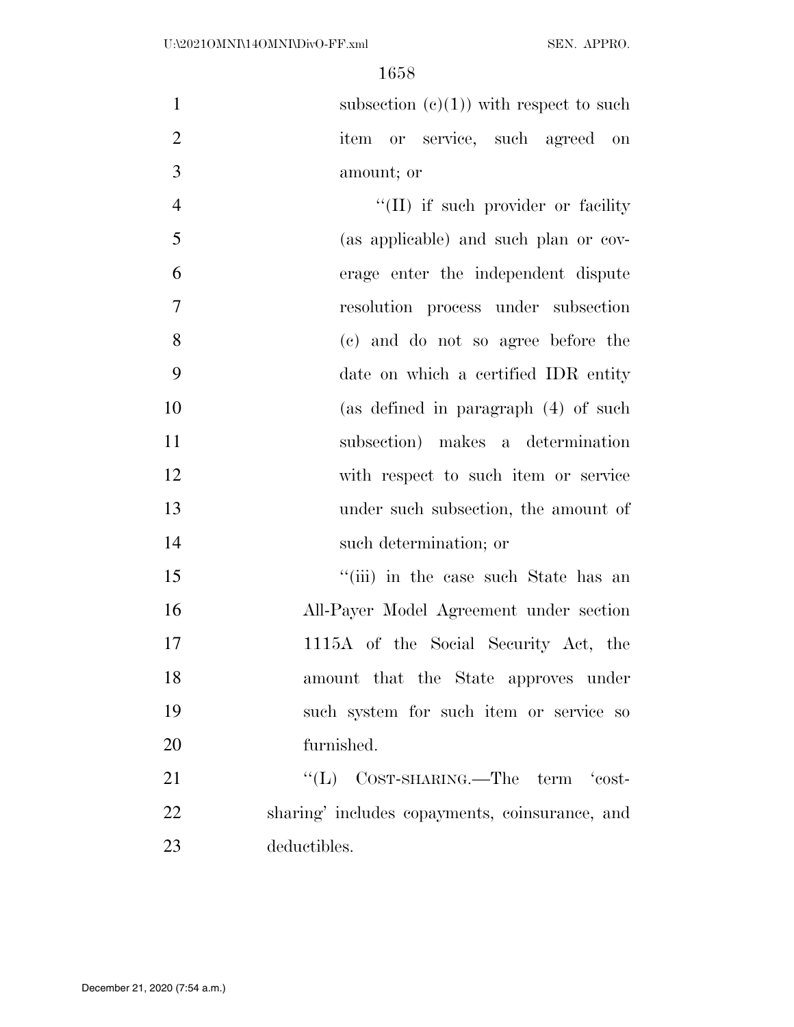1 subsection  $(c)(1)$  with respect to such item or service, such agreed on amount; or

4 ''(II) if such provider or facility (as applicable) and such plan or cov- erage enter the independent dispute resolution process under subsection (c) and do not so agree before the date on which a certified IDR entity (as defined in paragraph (4) of such subsection) makes a determination with respect to such item or service under such subsection, the amount of such determination; or

15 ''(iii) in the case such State has an All-Payer Model Agreement under section 1115A of the Social Security Act, the amount that the State approves under such system for such item or service so furnished.

21 "'(L) COST-SHARING.—The term 'cost- sharing' includes copayments, coinsurance, and deductibles.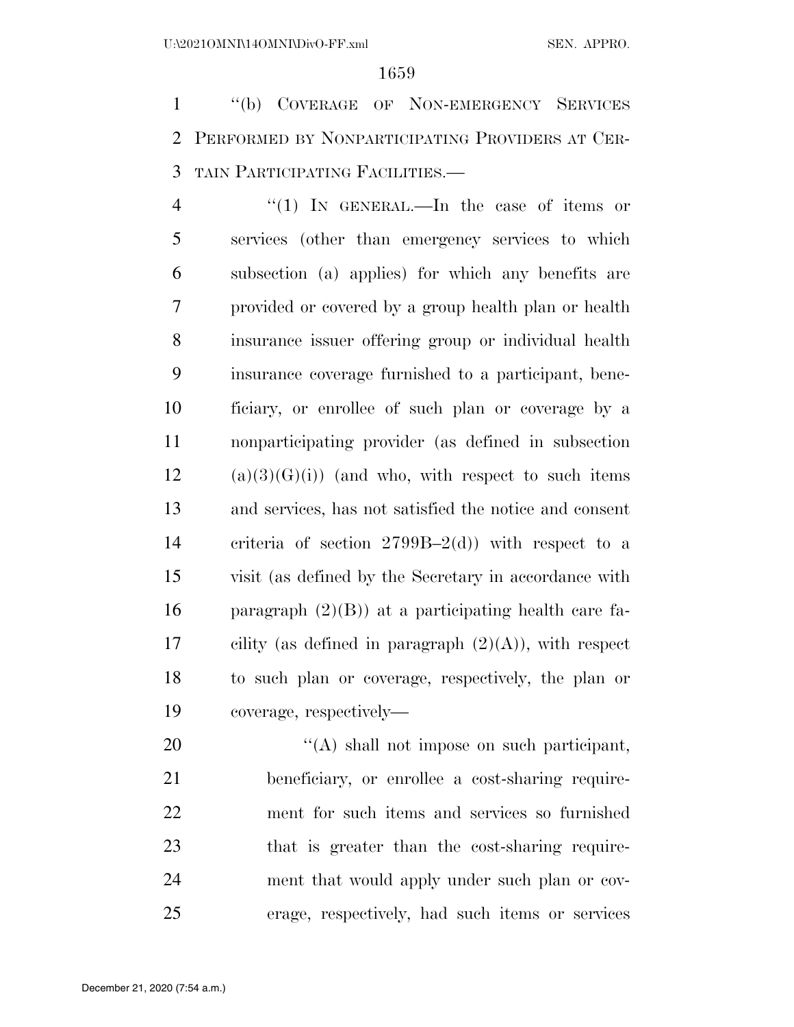1 "(b) COVERAGE OF NON-EMERGENCY SERVICES PERFORMED BY NONPARTICIPATING PROVIDERS AT CER-TAIN PARTICIPATING FACILITIES.—

4 "(1) IN GENERAL.—In the case of items or services (other than emergency services to which subsection (a) applies) for which any benefits are provided or covered by a group health plan or health insurance issuer offering group or individual health insurance coverage furnished to a participant, bene- ficiary, or enrollee of such plan or coverage by a nonparticipating provider (as defined in subsection (a)(3)(G)(i)) (and who, with respect to such items and services, has not satisfied the notice and consent criteria of section 2799B–2(d)) with respect to a visit (as defined by the Secretary in accordance with 16 paragraph  $(2)(B)$  at a participating health care fa-17 cility (as defined in paragraph  $(2)(A)$ ), with respect to such plan or coverage, respectively, the plan or coverage, respectively—

 $\langle (A)$  shall not impose on such participant, beneficiary, or enrollee a cost-sharing require- ment for such items and services so furnished 23 that is greater than the cost-sharing require- ment that would apply under such plan or cov-erage, respectively, had such items or services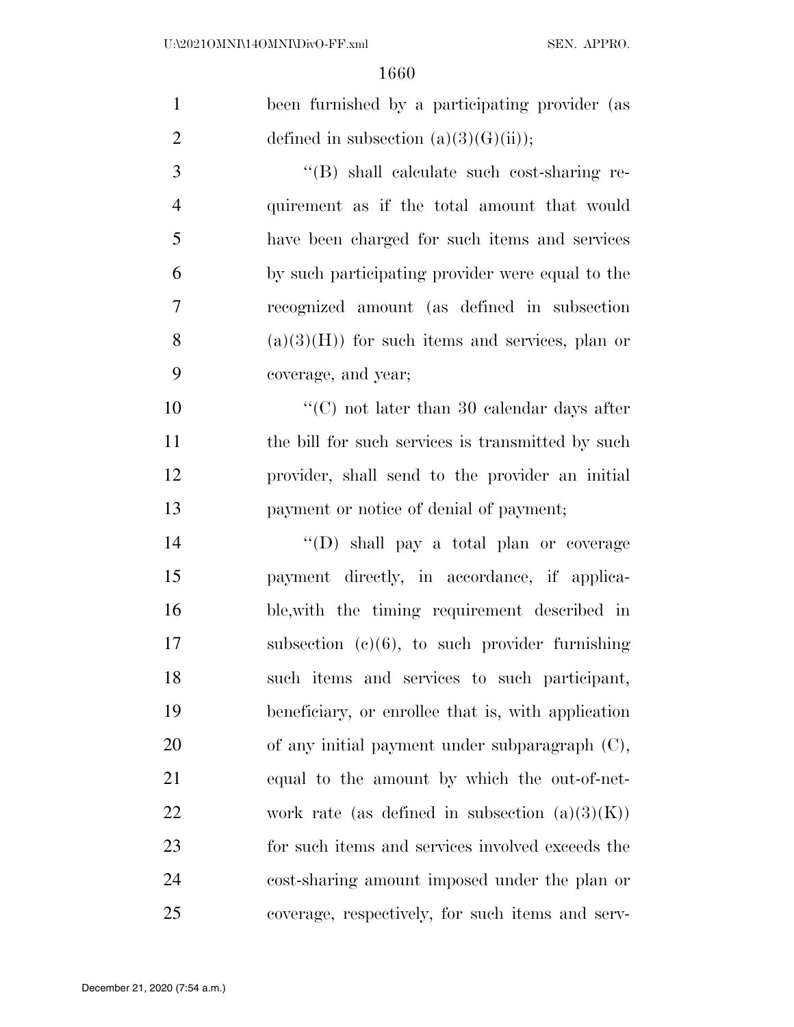| $\mathbf{1}$   | been furnished by a participating provider (as     |
|----------------|----------------------------------------------------|
| $\overline{2}$ | defined in subsection $(a)(3)(G)(ii)$ ;            |
| 3              | "(B) shall calculate such cost-sharing re-         |
| $\overline{4}$ | quirement as if the total amount that would        |
| 5              | have been charged for such items and services      |
| 6              | by such participating provider were equal to the   |
| 7              | recognized amount (as defined in subsection        |
| 8              | $(a)(3)(H)$ for such items and services, plan or   |
| 9              | coverage, and year;                                |
| 10             | "(C) not later than 30 calendar days after         |
| 11             | the bill for such services is transmitted by such  |
| 12             | provider, shall send to the provider an initial    |
| 13             | payment or notice of denial of payment;            |
| 14             | "(D) shall pay a total plan or coverage            |
| 15             | payment directly, in accordance, if applica-       |
| 16             | ble, with the timing requirement described in      |
| 17             | subsection $(c)(6)$ , to such provider furnishing  |
| 18             | such items and services to such participant,       |
| 19             | beneficiary, or enrollee that is, with application |
| 20             | of any initial payment under subparagraph $(C)$ ,  |
| 21             | equal to the amount by which the out-of-net-       |
| 22             | work rate (as defined in subsection $(a)(3)(K)$ )  |
| 23             | for such items and services involved exceeds the   |
| 24             | cost-sharing amount imposed under the plan or      |
| 25             | coverage, respectively, for such items and serv-   |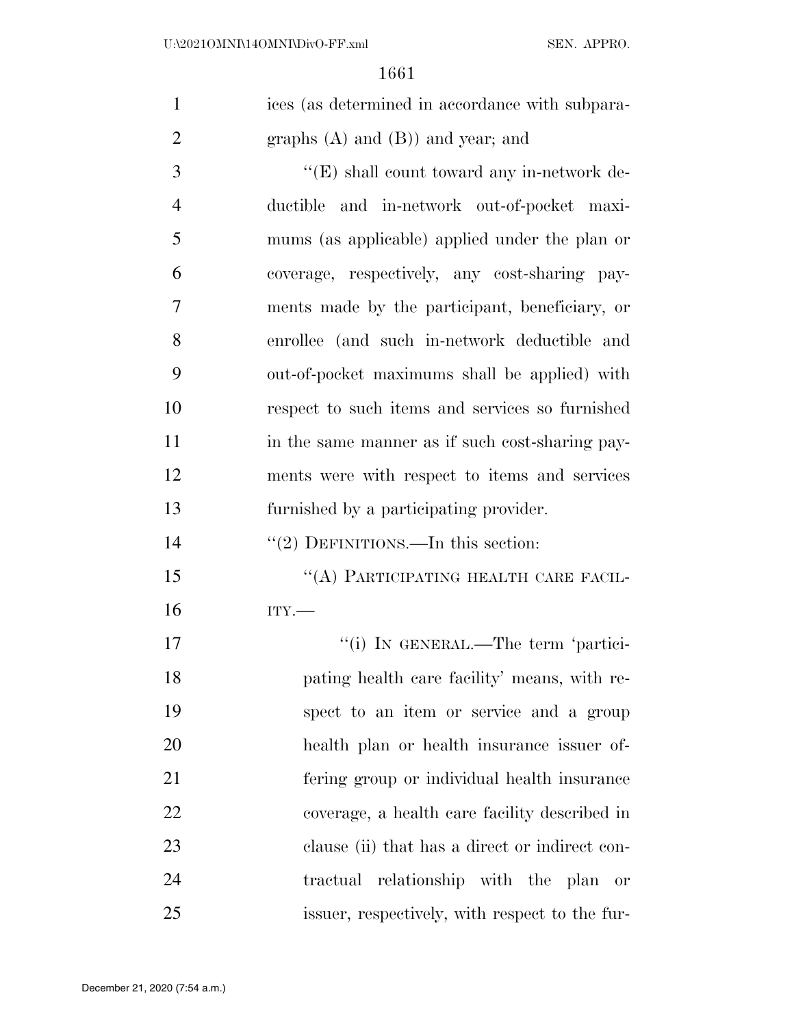| $\mathbf{1}$   | ices (as determined in accordance with subpara- |
|----------------|-------------------------------------------------|
| $\overline{2}$ | graphs $(A)$ and $(B)$ ) and year; and          |
| 3              | " $(E)$ shall count toward any in-network de-   |
| $\overline{4}$ | ductible and in-network out-of-pocket maxi-     |
| 5              | mums (as applicable) applied under the plan or  |
| 6              | coverage, respectively, any cost-sharing pay-   |
| 7              | ments made by the participant, beneficiary, or  |
| 8              | enrollee (and such in-network deductible and    |
| 9              | out-of-pocket maximums shall be applied) with   |
| 10             | respect to such items and services so furnished |
| 11             | in the same manner as if such cost-sharing pay- |
| 12             | ments were with respect to items and services   |
| 13             | furnished by a participating provider.          |
| 14             | "(2) DEFINITIONS.—In this section:              |
| 15             | "(A) PARTICIPATING HEALTH CARE FACIL-           |
| 16             | ITY.                                            |
| 17             | "(i) IN GENERAL.—The term 'partici-             |
| 18             | pating health care facility' means, with re-    |
| 19             | spect to an item or service and a group         |
| <b>20</b>      | health plan or health insurance issuer of-      |
| 21             | fering group or individual health insurance     |
| 22             | coverage, a health care facility described in   |
| 23             | clause (ii) that has a direct or indirect con-  |
| 24             | tractual relationship with the plan or          |
| 25             | issuer, respectively, with respect to the fur-  |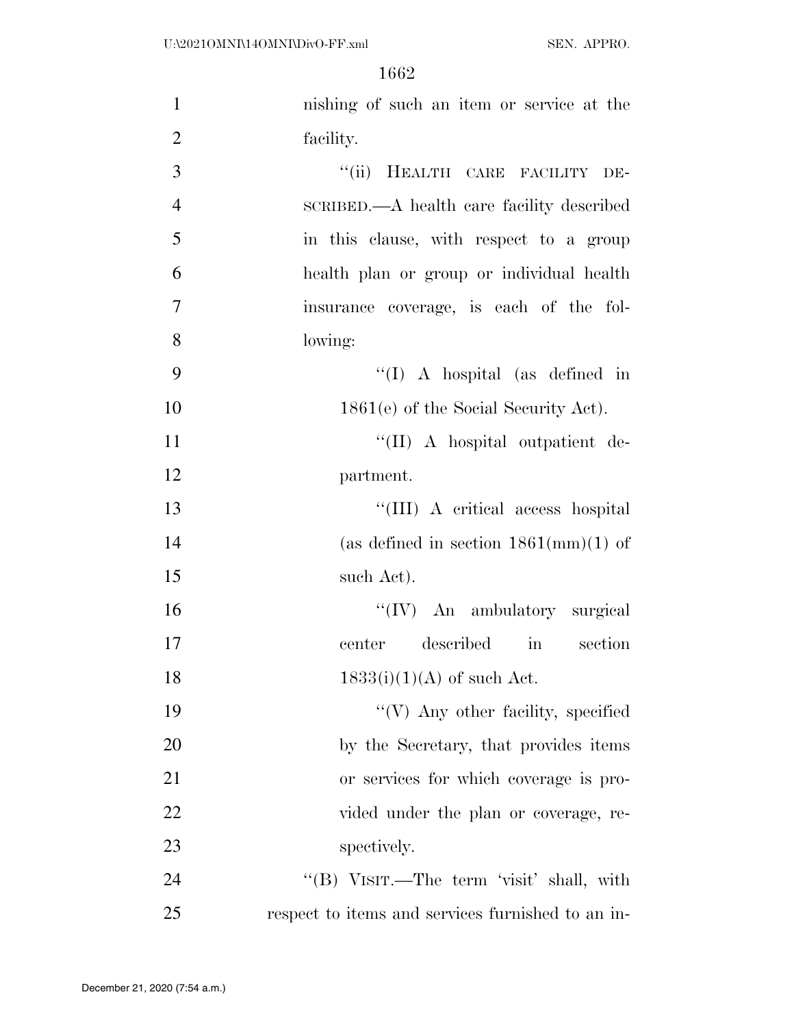| $\mathbf{1}$   | nishing of such an item or service at the         |
|----------------|---------------------------------------------------|
| $\overline{2}$ | facility.                                         |
| 3              | "(ii) HEALTH CARE FACILITY DE-                    |
| $\overline{4}$ | SCRIBED.—A health care facility described         |
| 5              | in this clause, with respect to a group           |
| 6              | health plan or group or individual health         |
| $\tau$         | insurance coverage, is each of the fol-           |
| 8              | lowing:                                           |
| 9              | $\lq\lq$ (I) A hospital (as defined in            |
| 10             | $1861(e)$ of the Social Security Act).            |
| 11             | "(II) A hospital outpatient de-                   |
| 12             | partment.                                         |
| 13             | "(III) A critical access hospital                 |
| 14             | (as defined in section $1861 \text{(mm)}(1)$ of   |
| 15             | such Act).                                        |
| 16             | "(IV) An ambulatory surgical                      |
| 17             | described<br>section<br>in in<br>center           |
| 18             | $1833(i)(1)(A)$ of such Act.                      |
| 19             | $\lq\lq(V)$ Any other facility, specified         |
| 20             | by the Secretary, that provides items             |
| 21             | or services for which coverage is pro-            |
| 22             | vided under the plan or coverage, re-             |
| 23             | spectively.                                       |
| 24             | "(B) VISIT.—The term 'visit' shall, with          |
| 25             | respect to items and services furnished to an in- |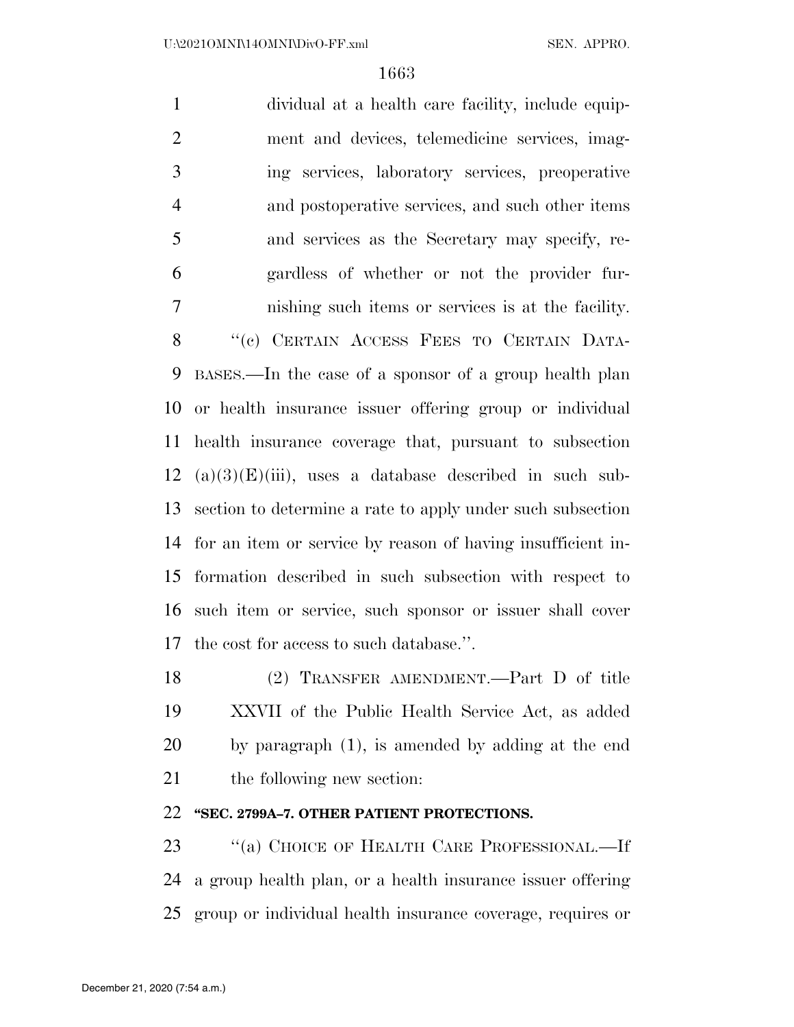dividual at a health care facility, include equip- ment and devices, telemedicine services, imag- ing services, laboratory services, preoperative and postoperative services, and such other items and services as the Secretary may specify, re- gardless of whether or not the provider fur- nishing such items or services is at the facility. 8 "(c) CERTAIN ACCESS FEES TO CERTAIN DATA- BASES.—In the case of a sponsor of a group health plan or health insurance issuer offering group or individual health insurance coverage that, pursuant to subsection 12 (a)(3)(E)(iii), uses a database described in such sub- section to determine a rate to apply under such subsection for an item or service by reason of having insufficient in- formation described in such subsection with respect to such item or service, such sponsor or issuer shall cover the cost for access to such database.''.

 (2) TRANSFER AMENDMENT.—Part D of title XXVII of the Public Health Service Act, as added by paragraph (1), is amended by adding at the end 21 the following new section:

### **''SEC. 2799A–7. OTHER PATIENT PROTECTIONS.**

23 "(a) CHOICE OF HEALTH CARE PROFESSIONAL.—If a group health plan, or a health insurance issuer offering group or individual health insurance coverage, requires or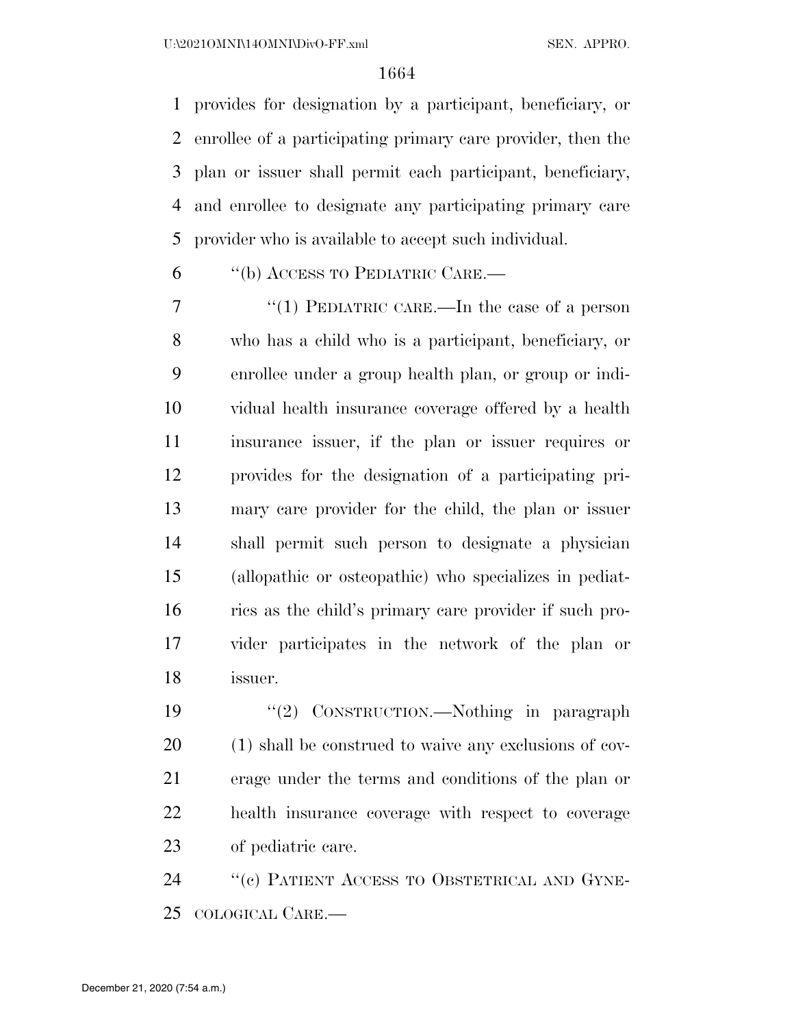provides for designation by a participant, beneficiary, or enrollee of a participating primary care provider, then the plan or issuer shall permit each participant, beneficiary, and enrollee to designate any participating primary care provider who is available to accept such individual.

''(b) ACCESS TO PEDIATRIC CARE.—

 ''(1) PEDIATRIC CARE.—In the case of a person who has a child who is a participant, beneficiary, or enrollee under a group health plan, or group or indi- vidual health insurance coverage offered by a health insurance issuer, if the plan or issuer requires or provides for the designation of a participating pri- mary care provider for the child, the plan or issuer shall permit such person to designate a physician (allopathic or osteopathic) who specializes in pediat- rics as the child's primary care provider if such pro- vider participates in the network of the plan or issuer.

 ''(2) CONSTRUCTION.—Nothing in paragraph (1) shall be construed to waive any exclusions of cov- erage under the terms and conditions of the plan or health insurance coverage with respect to coverage of pediatric care.

24 "(c) PATIENT ACCESS TO OBSTETRICAL AND GYNE-COLOGICAL CARE.—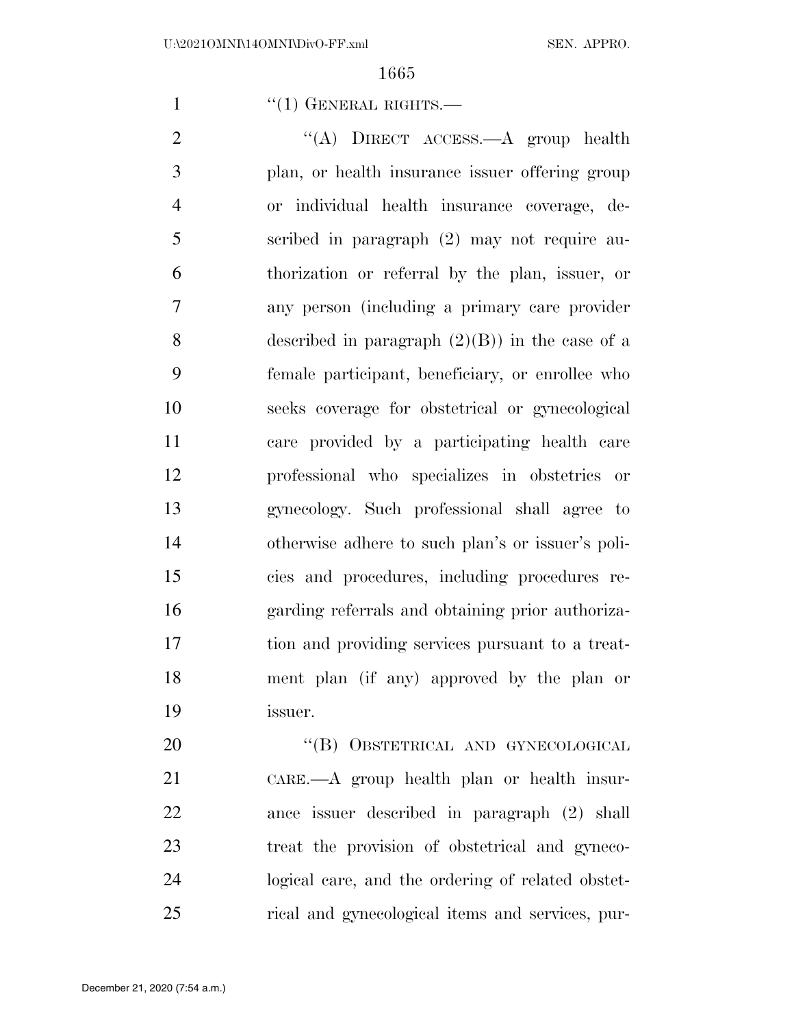1 "(1) GENERAL RIGHTS.—

2 "(A) DIRECT ACCESS.—A group health plan, or health insurance issuer offering group or individual health insurance coverage, de- scribed in paragraph (2) may not require au- thorization or referral by the plan, issuer, or any person (including a primary care provider 8 described in paragraph  $(2)(B)$  in the case of a female participant, beneficiary, or enrollee who seeks coverage for obstetrical or gynecological care provided by a participating health care professional who specializes in obstetrics or gynecology. Such professional shall agree to otherwise adhere to such plan's or issuer's poli- cies and procedures, including procedures re- garding referrals and obtaining prior authoriza- tion and providing services pursuant to a treat- ment plan (if any) approved by the plan or issuer.

20 "(B) OBSTETRICAL AND GYNECOLOGICAL CARE.—A group health plan or health insur- ance issuer described in paragraph (2) shall treat the provision of obstetrical and gyneco- logical care, and the ordering of related obstet-rical and gynecological items and services, pur-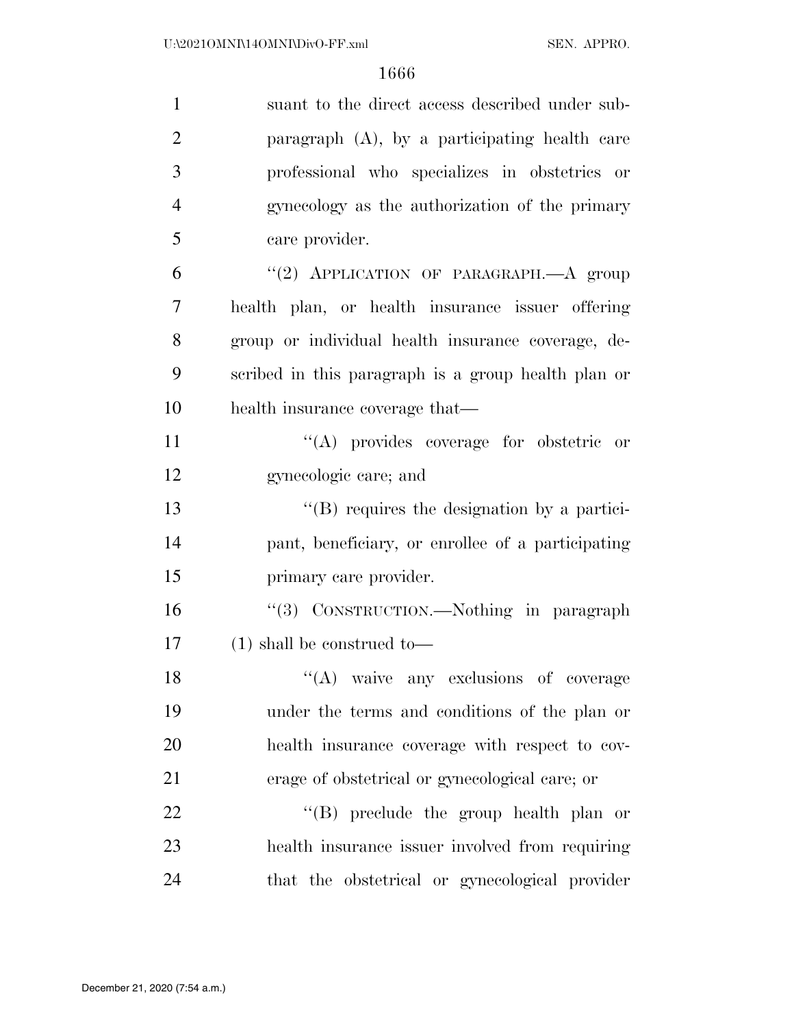| $\mathbf{1}$   | suant to the direct access described under sub-     |
|----------------|-----------------------------------------------------|
| $\overline{2}$ | paragraph $(A)$ , by a participating health care    |
| 3              | professional who specializes in obstetrics or       |
| $\overline{4}$ | gynecology as the authorization of the primary      |
| 5              | care provider.                                      |
| 6              | "(2) APPLICATION OF PARAGRAPH.- A group             |
| 7              | health plan, or health insurance issuer offering    |
| 8              | group or individual health insurance coverage, de-  |
| 9              | scribed in this paragraph is a group health plan or |
| 10             | health insurance coverage that—                     |
| 11             | "(A) provides coverage for obstetric or             |
| 12             | gynecologic care; and                               |
| 13             | $\lq\lq$ requires the designation by a partici-     |
| 14             | pant, beneficiary, or enrollee of a participating   |
| 15             | primary care provider.                              |
| 16             | "(3) CONSTRUCTION.—Nothing in paragraph             |
| 17             | $(1)$ shall be construed to-                        |
| 18             | "(A) waive any exclusions of coverage               |
| 19             | under the terms and conditions of the plan or       |
| 20             | health insurance coverage with respect to cov-      |
| 21             | erage of obstetrical or gynecological care; or      |
| 22             | $\lq\lq$ (B) preclude the group health plan or      |
| 23             | health insurance issuer involved from requiring     |
| 24             | that the obstetrical or gynecological provider      |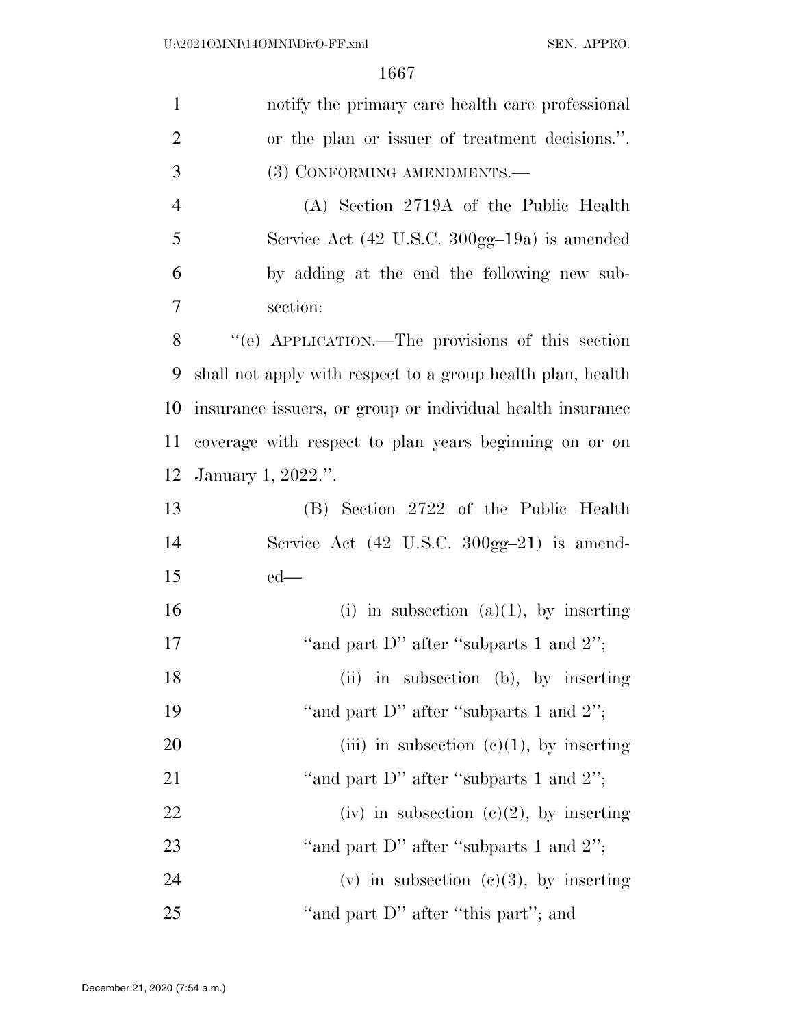| $\mathbf{1}$   | notify the primary care health care professional                  |
|----------------|-------------------------------------------------------------------|
| $\overline{2}$ | or the plan or issuer of treatment decisions.".                   |
| 3              | (3) CONFORMING AMENDMENTS.-                                       |
| 4              | (A) Section 2719A of the Public Health                            |
| 5              | Service Act $(42 \text{ U.S.C. } 300 \text{gg} - 19a)$ is amended |
| 6              | by adding at the end the following new sub-                       |
| 7              | section:                                                          |
| 8              | "(e) APPLICATION.—The provisions of this section                  |
| 9              | shall not apply with respect to a group health plan, health       |
| 10             | insurance issuers, or group or individual health insurance        |
| 11             | coverage with respect to plan years beginning on or on            |
| 12             | January 1, 2022.".                                                |
| 13             | (B) Section 2722 of the Public Health                             |
| 14             | Service Act $(42 \text{ U.S.C. } 300 \text{gg} - 21)$ is amend-   |
| 15             | $ed$ —                                                            |
| 16             | (i) in subsection (a)(1), by inserting                            |
| 17             | "and part D" after "subparts 1 and $2$ ";                         |
| 18             | (ii) in subsection (b), by inserting                              |
| 19             | "and part D" after "subparts 1 and $2$ ";                         |
| 20             | (iii) in subsection $(c)(1)$ , by inserting                       |
| 21             | "and part D" after "subparts 1 and $2$ ";                         |
| 22             | (iv) in subsection (c)(2), by inserting                           |
| 23             | "and part D" after "subparts 1 and $2$ ";                         |
| 24             | (v) in subsection (c)(3), by inserting                            |
| 25             | "and part D" after "this part"; and                               |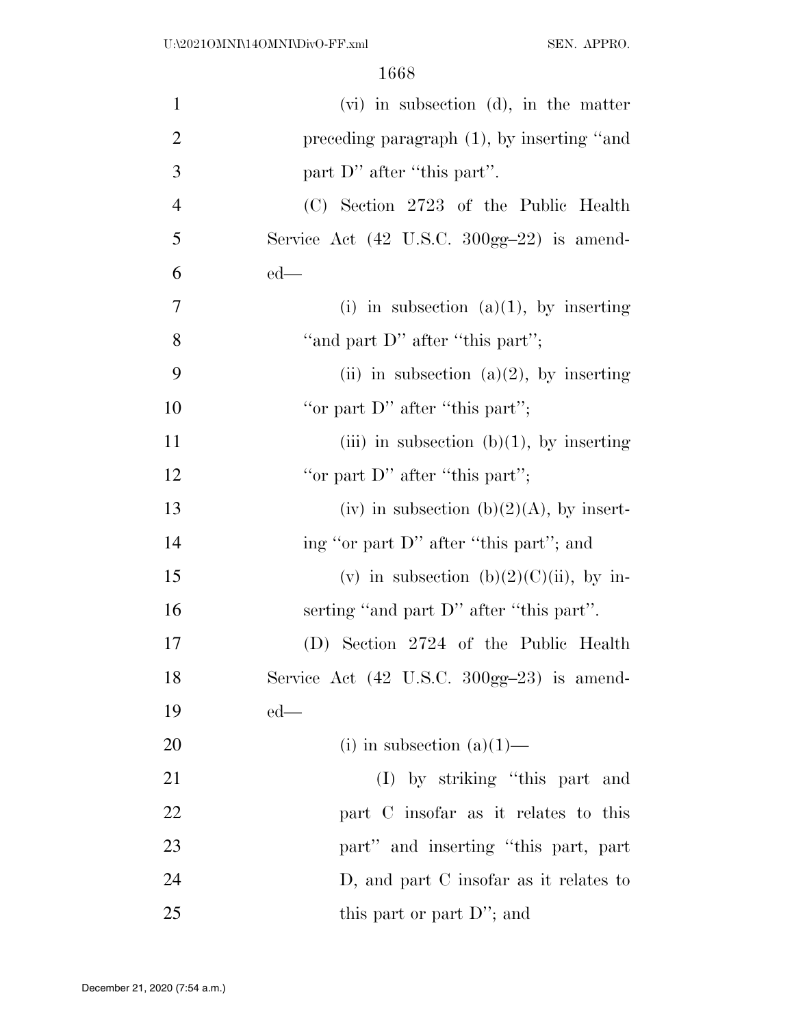| $\mathbf{1}$   | $(vi)$ in subsection $(d)$ , in the matter                      |
|----------------|-----------------------------------------------------------------|
| $\overline{2}$ | preceding paragraph $(1)$ , by inserting "and                   |
| 3              | part D" after "this part".                                      |
| $\overline{4}$ | (C) Section 2723 of the Public Health                           |
| 5              | Service Act $(42 \text{ U.S.C. } 300 \text{gg} - 22)$ is amend- |
| 6              | $ed$ —                                                          |
| $\tau$         | (i) in subsection (a)(1), by inserting                          |
| 8              | "and part D" after "this part";                                 |
| 9              | (ii) in subsection (a)(2), by inserting                         |
| 10             | "or part $D$ " after "this part";                               |
| 11             | (iii) in subsection (b)(1), by inserting                        |
| 12             | "or part $D$ " after "this part";                               |
| 13             | (iv) in subsection (b)(2)(A), by insert-                        |
| 14             | ing "or part D" after "this part"; and                          |
| 15             | (v) in subsection (b)(2)(C)(ii), by in-                         |
| 16             | serting "and part D" after "this part".                         |
| 17             | (D) Section 2724 of the Public Health                           |
| 18             | Service Act (42 U.S.C. 300gg-23) is amend-                      |
| 19             | $ed$ —                                                          |
| 20             | (i) in subsection $(a)(1)$ —                                    |
| 21             | (I) by striking "this part and                                  |
| 22             | part C insofar as it relates to this                            |
| 23             | part" and inserting "this part, part                            |
| 24             | D, and part C insofar as it relates to                          |
| 25             | this part or part D"; and                                       |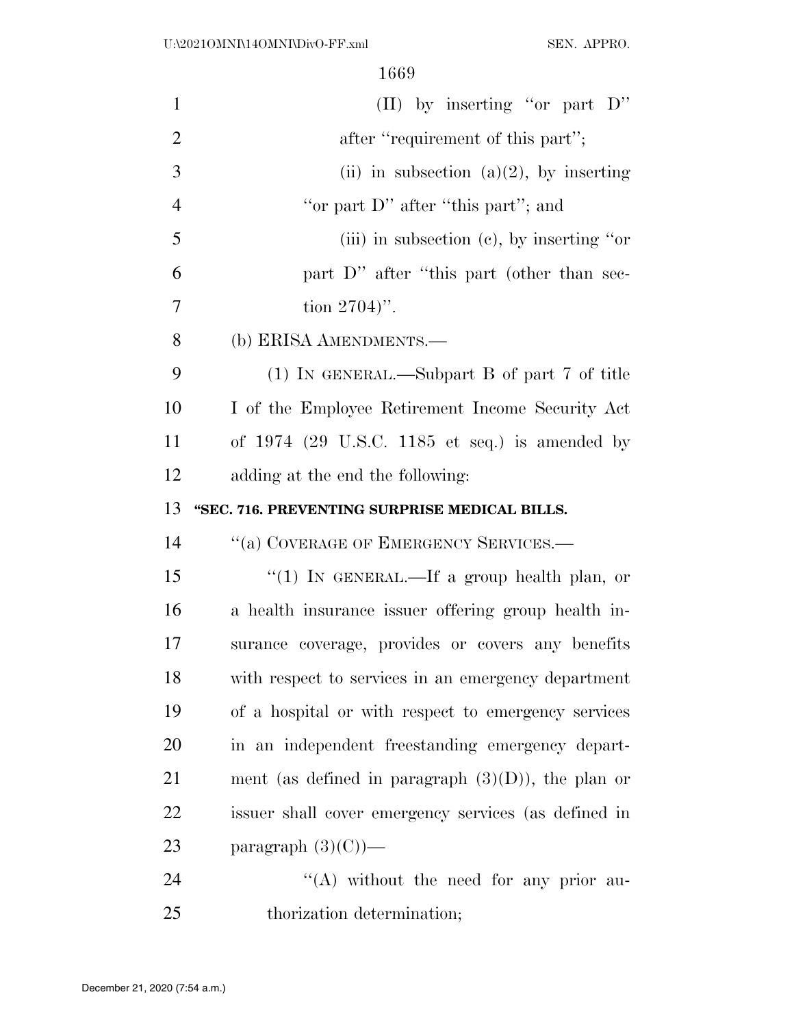| $\mathbf{1}$   | (II) by inserting "or part $D$ "                      |
|----------------|-------------------------------------------------------|
| $\overline{2}$ | after "requirement of this part";                     |
| 3              | (ii) in subsection (a)(2), by inserting               |
| $\overline{4}$ | "or part D" after "this part"; and                    |
| 5              | (iii) in subsection (c), by inserting "or             |
| 6              | part D" after "this part (other than sec-             |
| $\overline{7}$ | tion $2704$ .                                         |
| 8              | (b) ERISA AMENDMENTS.—                                |
| 9              | (1) IN GENERAL.—Subpart B of part 7 of title          |
| 10             | I of the Employee Retirement Income Security Act      |
| 11             | of $1974$ (29 U.S.C. 1185 et seq.) is amended by      |
| 12             | adding at the end the following:                      |
| 13             | "SEC. 716. PREVENTING SURPRISE MEDICAL BILLS.         |
| 14             | "(a) COVERAGE OF EMERGENCY SERVICES.—                 |
| 15             | "(1) IN GENERAL.—If a group health plan, or           |
| 16             | a health insurance issuer offering group health in-   |
| 17             | surance coverage, provides or covers any benefits     |
| 18             | with respect to services in an emergency department   |
| 19             | of a hospital or with respect to emergency services   |
| 20             | in an independent freestanding emergency depart-      |
| 21             | ment (as defined in paragraph $(3)(D)$ ), the plan or |
| 22             | issuer shall cover emergency services (as defined in  |
| 23             | paragraph $(3)(C)$ —                                  |
| 24             | "(A) without the need for any prior au-               |
| 25             |                                                       |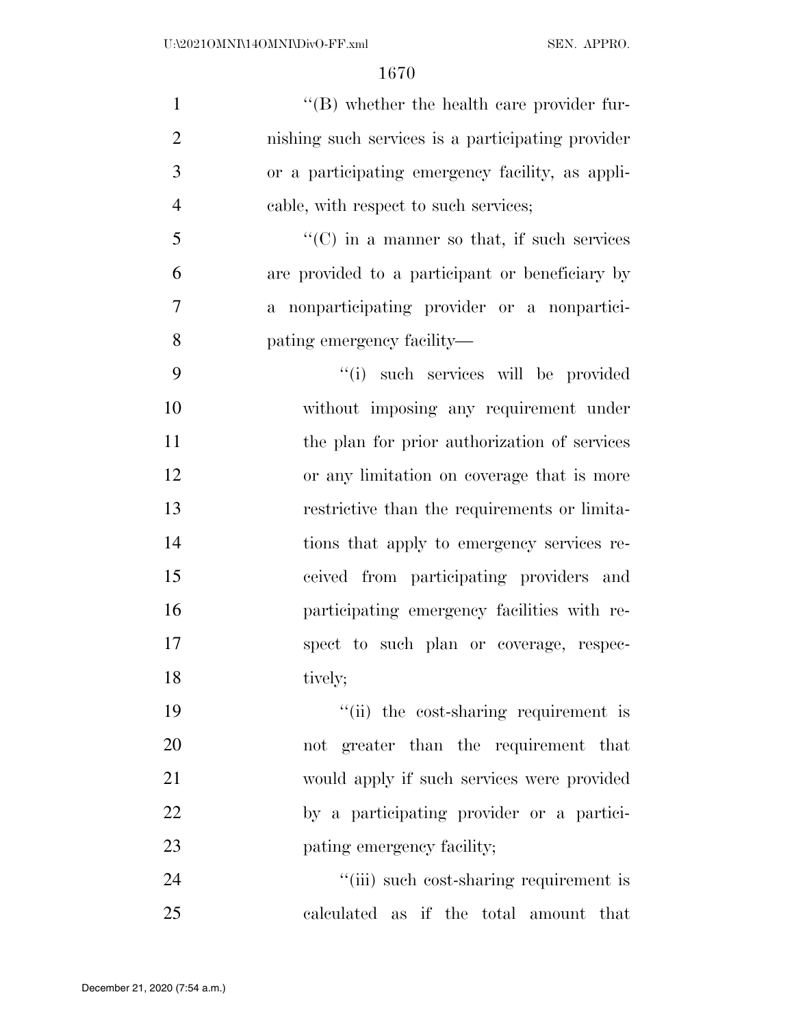| $\mathbf{1}$   | $\lq\lq$ whether the health care provider fur-     |
|----------------|----------------------------------------------------|
| $\mathfrak{2}$ | nishing such services is a participating provider  |
| 3              | or a participating emergency facility, as appli-   |
| $\overline{4}$ | cable, with respect to such services;              |
| 5              | $\lq\lq$ (C) in a manner so that, if such services |
| 6              | are provided to a participant or beneficiary by    |
| $\overline{7}$ | a nonparticipating provider or a nonpartici-       |
| 8              | pating emergency facility—                         |
| 9              | "(i) such services will be provided                |
| 10             | without imposing any requirement under             |
| 11             | the plan for prior authorization of services       |
| 12             | or any limitation on coverage that is more         |
| 13             | restrictive than the requirements or limita-       |
| 14             | tions that apply to emergency services re-         |
| 15             | ceived from participating providers and            |
| 16             | participating emergency facilities with re-        |
| 17             | spect to such plan or coverage, respec-            |
| 18             | tively;                                            |
| 19             | "(ii) the cost-sharing requirement is              |
| 20             | not greater than the requirement that              |
| 21             | would apply if such services were provided         |
| 22             | by a participating provider or a partici-          |
| 23             | pating emergency facility;                         |
| 24             | "(iii) such cost-sharing requirement is            |
| 25             | calculated as if the total amount that             |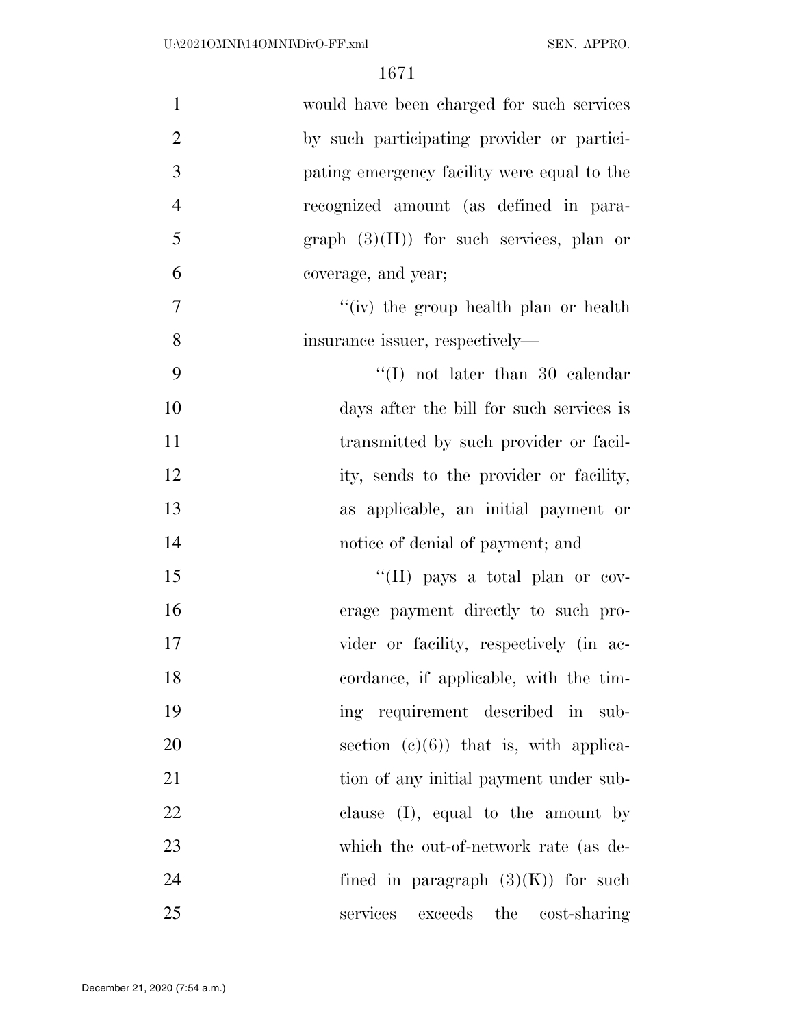| $\mathbf{1}$   | would have been charged for such services   |
|----------------|---------------------------------------------|
| $\overline{2}$ | by such participating provider or partici-  |
| 3              | pating emergency facility were equal to the |
| $\overline{4}$ | recognized amount (as defined in para-      |
| 5              | graph $(3)(H)$ for such services, plan or   |
| 6              | coverage, and year;                         |
| $\tau$         | "(iv) the group health plan or health       |
| 8              | insurance issuer, respectively—             |
| 9              | $\lq\lq$ (I) not later than 30 calendar     |
| 10             | days after the bill for such services is    |
| 11             | transmitted by such provider or facil-      |
| 12             | ity, sends to the provider or facility,     |
| 13             | as applicable, an initial payment or        |
| 14             | notice of denial of payment; and            |
| 15             | "(II) pays a total plan or cov-             |
| 16             | erage payment directly to such pro-         |
| 17             | vider or facility, respectively (in ac-     |
| 18             | cordance, if applicable, with the tim-      |
| 19             | ing requirement described in sub-           |
| 20             | section $(e)(6)$ that is, with applica-     |
| 21             | tion of any initial payment under sub-      |
| 22             | clause $(I)$ , equal to the amount by       |
| 23             | which the out-of-network rate (as de-       |
| 24             | fined in paragraph $(3)(K)$ for such        |
| 25             | services<br>exceeds the cost-sharing        |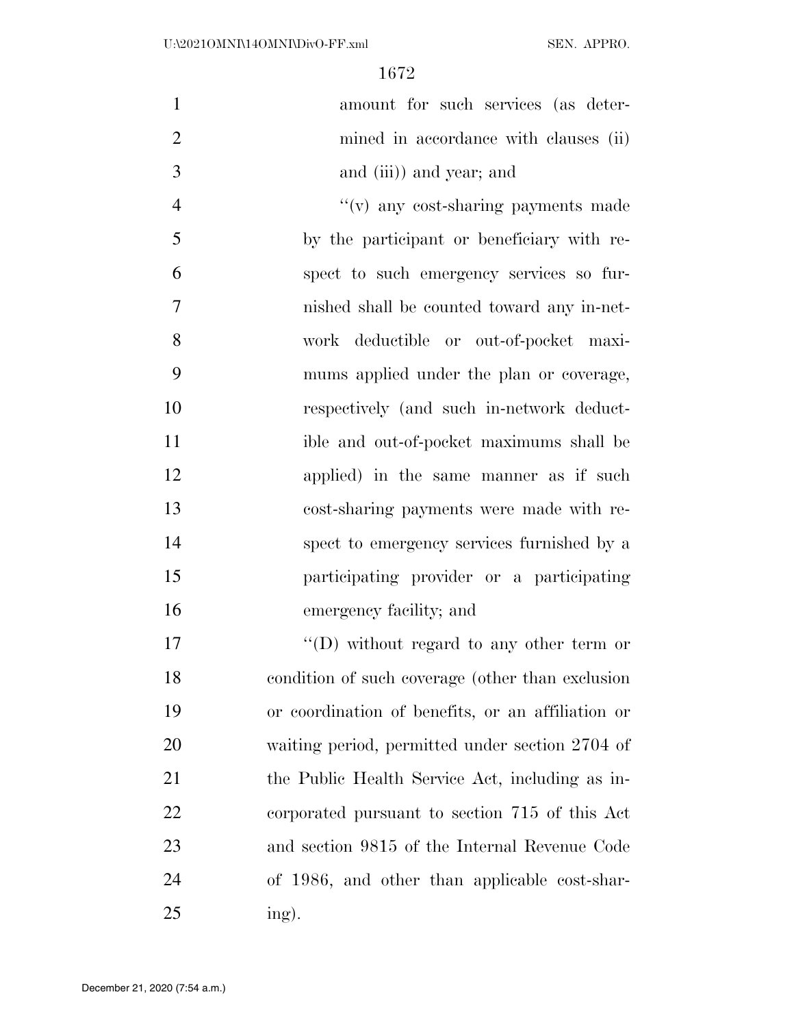| $\mathbf{1}$   | amount for such services (as deter-               |
|----------------|---------------------------------------------------|
| $\overline{2}$ | mined in accordance with clauses (ii)             |
| 3              | and (iii)) and year; and                          |
| $\overline{4}$ | "(v) any cost-sharing payments made               |
| 5              | by the participant or beneficiary with re-        |
| 6              | spect to such emergency services so fur-          |
| $\overline{7}$ | nished shall be counted toward any in-net-        |
| 8              | work deductible or out-of-pocket maxi-            |
| 9              | mums applied under the plan or coverage,          |
| 10             | respectively (and such in-network deduct-         |
| 11             | ible and out-of-pocket maximums shall be          |
| 12             | applied) in the same manner as if such            |
| 13             | cost-sharing payments were made with re-          |
| 14             | spect to emergency services furnished by a        |
| 15             | participating provider or a participating         |
| 16             | emergency facility; and                           |
| 17             | "(D) without regard to any other term or          |
| 18             | condition of such coverage (other than exclusion  |
| 19             | or coordination of benefits, or an affiliation or |
| 20             | waiting period, permitted under section 2704 of   |
| 21             | the Public Health Service Act, including as in-   |
| 22             | corporated pursuant to section 715 of this Act    |
| 23             | and section 9815 of the Internal Revenue Code     |
| 24             | of 1986, and other than applicable cost-shar-     |
| 25             | ing).                                             |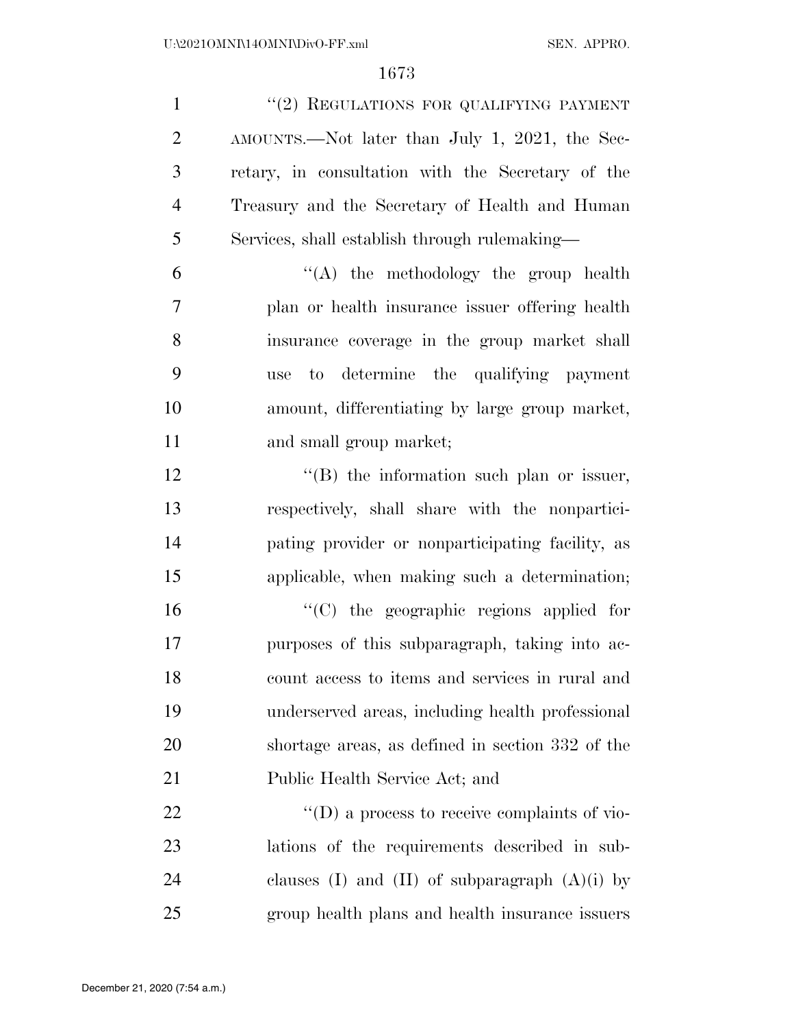1 ''(2) REGULATIONS FOR QUALIFYING PAYMENT AMOUNTS.—Not later than July 1, 2021, the Sec- retary, in consultation with the Secretary of the Treasury and the Secretary of Health and Human Services, shall establish through rulemaking—

 $(6)$   $(4)$  the methodology the group health plan or health insurance issuer offering health insurance coverage in the group market shall use to determine the qualifying payment amount, differentiating by large group market, and small group market;

 $\langle G \rangle$  the information such plan or issuer, respectively, shall share with the nonpartici- pating provider or nonparticipating facility, as applicable, when making such a determination;

 ''(C) the geographic regions applied for purposes of this subparagraph, taking into ac- count access to items and services in rural and underserved areas, including health professional shortage areas, as defined in section 332 of the Public Health Service Act; and

  $"$  (D) a process to receive complaints of vio- lations of the requirements described in sub-24 clauses (I) and (II) of subparagraph  $(A)(i)$  by group health plans and health insurance issuers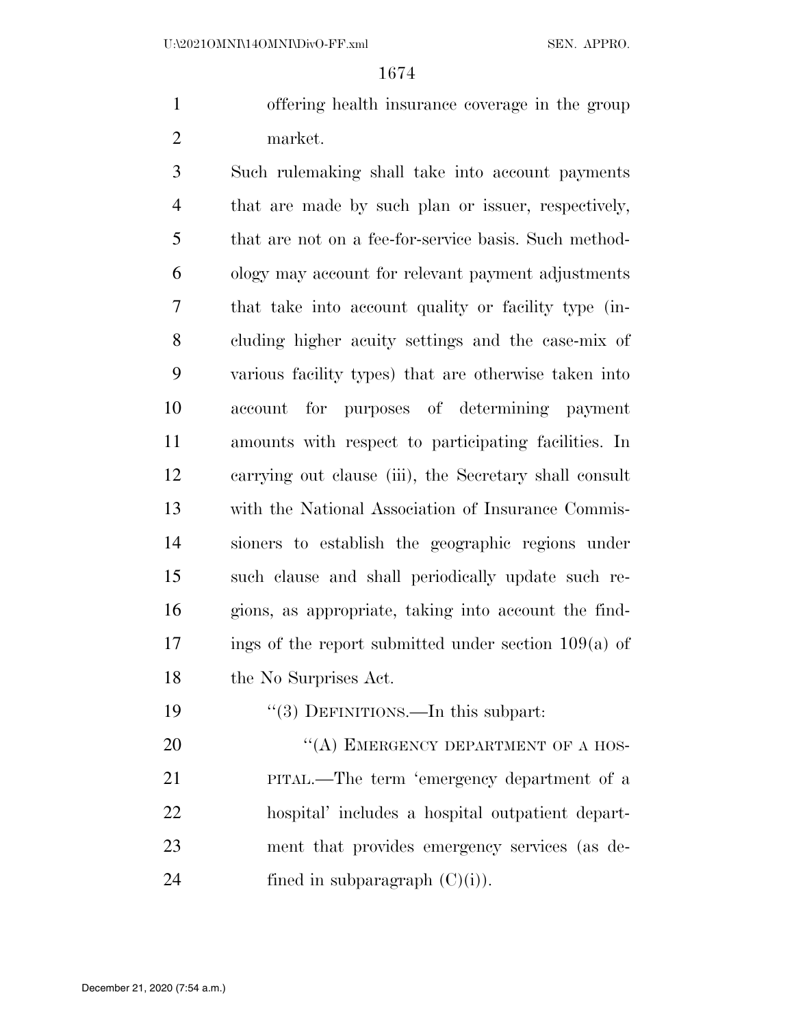offering health insurance coverage in the group market.

 Such rulemaking shall take into account payments that are made by such plan or issuer, respectively, that are not on a fee-for-service basis. Such method- ology may account for relevant payment adjustments that take into account quality or facility type (in- cluding higher acuity settings and the case-mix of various facility types) that are otherwise taken into account for purposes of determining payment amounts with respect to participating facilities. In carrying out clause (iii), the Secretary shall consult with the National Association of Insurance Commis- sioners to establish the geographic regions under such clause and shall periodically update such re- gions, as appropriate, taking into account the find- ings of the report submitted under section  $109(a)$  of the No Surprises Act.

19 "(3) DEFINITIONS.—In this subpart:

20 "(A) EMERGENCY DEPARTMENT OF A HOS- PITAL.—The term 'emergency department of a hospital' includes a hospital outpatient depart- ment that provides emergency services (as de-24 fined in subparagraph  $(C)(i)$ .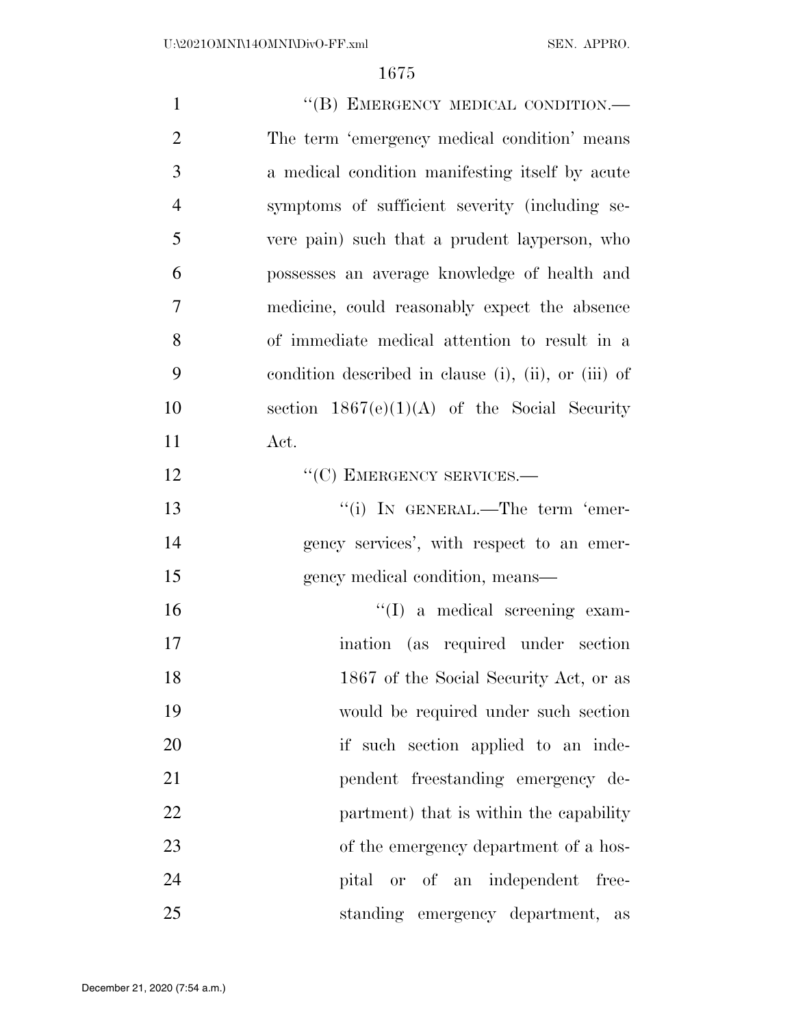| $\mathbf{1}$   | "(B) EMERGENCY MEDICAL CONDITION.-                   |
|----------------|------------------------------------------------------|
| $\overline{2}$ | The term 'emergency medical condition' means         |
| 3              | a medical condition manifesting itself by acute      |
| $\overline{4}$ | symptoms of sufficient severity (including se-       |
| 5              | vere pain) such that a prudent layperson, who        |
| 6              | possesses an average knowledge of health and         |
| 7              | medicine, could reasonably expect the absence        |
| 8              | of immediate medical attention to result in a        |
| 9              | condition described in clause (i), (ii), or (iii) of |
| 10             | section $1867(e)(1)(A)$ of the Social Security       |
| 11             | Act.                                                 |
| 12             | $``(C)$ EMERGENCY SERVICES.—                         |
| 13             | "(i) IN GENERAL.—The term 'emer-                     |
| 14             | gency services', with respect to an emer-            |
| 15             | gency medical condition, means—                      |
| 16             | $\lq\lq$ (I) a medical screening exam-               |
| 17             | ination (as required under section                   |
| 18             | 1867 of the Social Security Act, or as               |
| 19             | would be required under such section                 |
| 20             | if such section applied to an inde-                  |
| 21             | pendent freestanding emergency de-                   |
| 22             | partment) that is within the capability              |
| 23             | of the emergency department of a hos-                |
| 24             | pital or of an independent<br>free-                  |
| 25             | standing emergency department, as                    |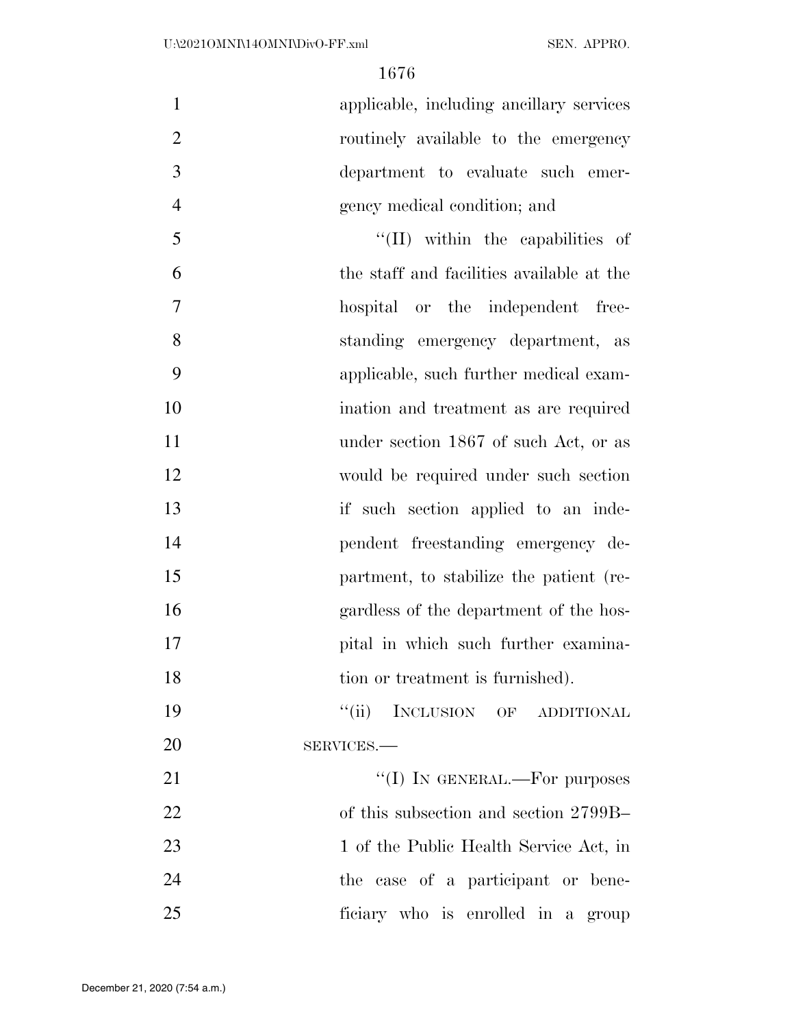applicable, including ancillary services routinely available to the emergency department to evaluate such emer-gency medical condition; and

5 ''(II) within the capabilities of the staff and facilities available at the hospital or the independent free- standing emergency department, as applicable, such further medical exam- ination and treatment as are required 11 under section 1867 of such Act, or as would be required under such section 13 if such section applied to an inde- pendent freestanding emergency de- partment, to stabilize the patient (re- gardless of the department of the hos-17 pital in which such further examina-18 tion or treatment is furnished).

19 "(ii) INCLUSION OF ADDITIONAL SERVICES.—

 $\text{``(I)}$  In GENERAL.—For purposes of this subsection and section 2799B– 23 1 of the Public Health Service Act, in the case of a participant or bene-ficiary who is enrolled in a group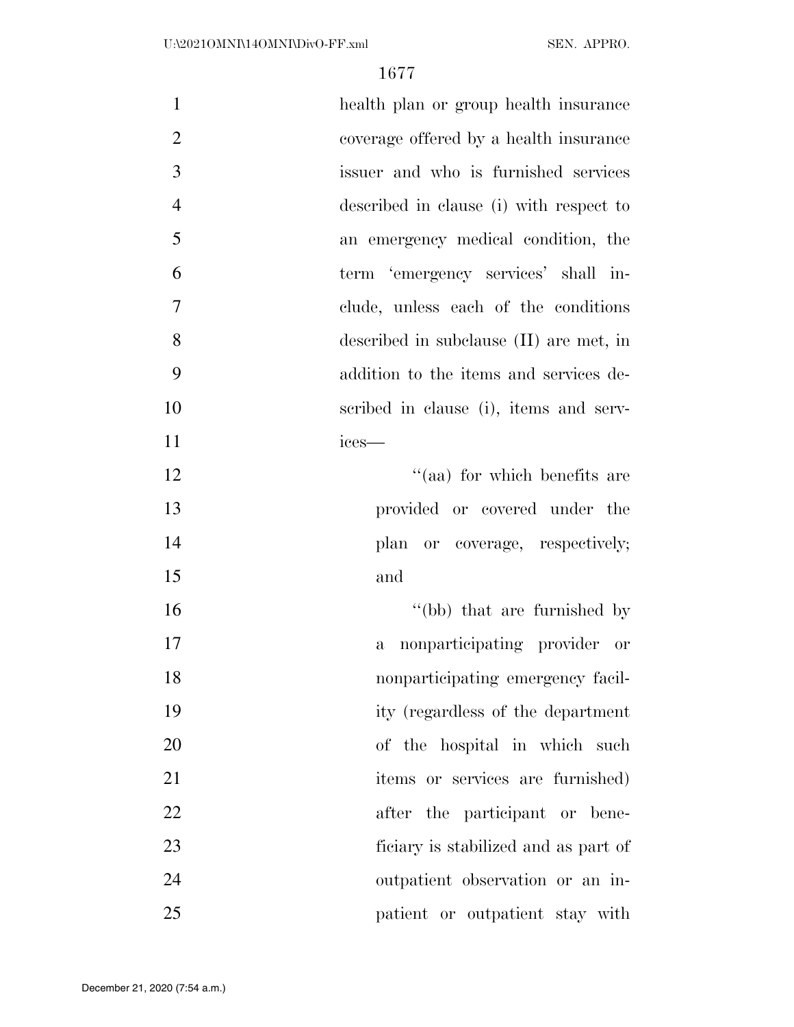| $\mathbf{1}$   | health plan or group health insurance        |
|----------------|----------------------------------------------|
| $\mathbf{2}$   | coverage offered by a health insurance       |
| 3              | issuer and who is furnished services         |
| $\overline{4}$ | described in clause (i) with respect to      |
| 5              | an emergency medical condition, the          |
| 6              | term 'emergency services' shall in-          |
| 7              | clude, unless each of the conditions         |
| 8              | described in subclause $(II)$ are met, in    |
| 9              | addition to the items and services de-       |
| 10             | scribed in clause (i), items and serv-       |
| 11             | ices-                                        |
| 12             | "(aa) for which benefits are                 |
| 13             | provided or covered under the                |
| 14             | plan or coverage, respectively;              |
| 15             | and                                          |
| 16             | "(bb) that are furnished by                  |
| 17             | nonparticipating provider or<br>$\mathbf{a}$ |
| 18             | nonparticipating emergency facil-            |
| 19             | ity (regardless of the department            |
| 20             | of the hospital in which such                |
| 21             | items or services are furnished)             |
| 22             | after the participant or bene-               |
| 23             | ficiary is stabilized and as part of         |
| 24             | outpatient observation or an in-             |
| 25             | patient or outpatient stay with              |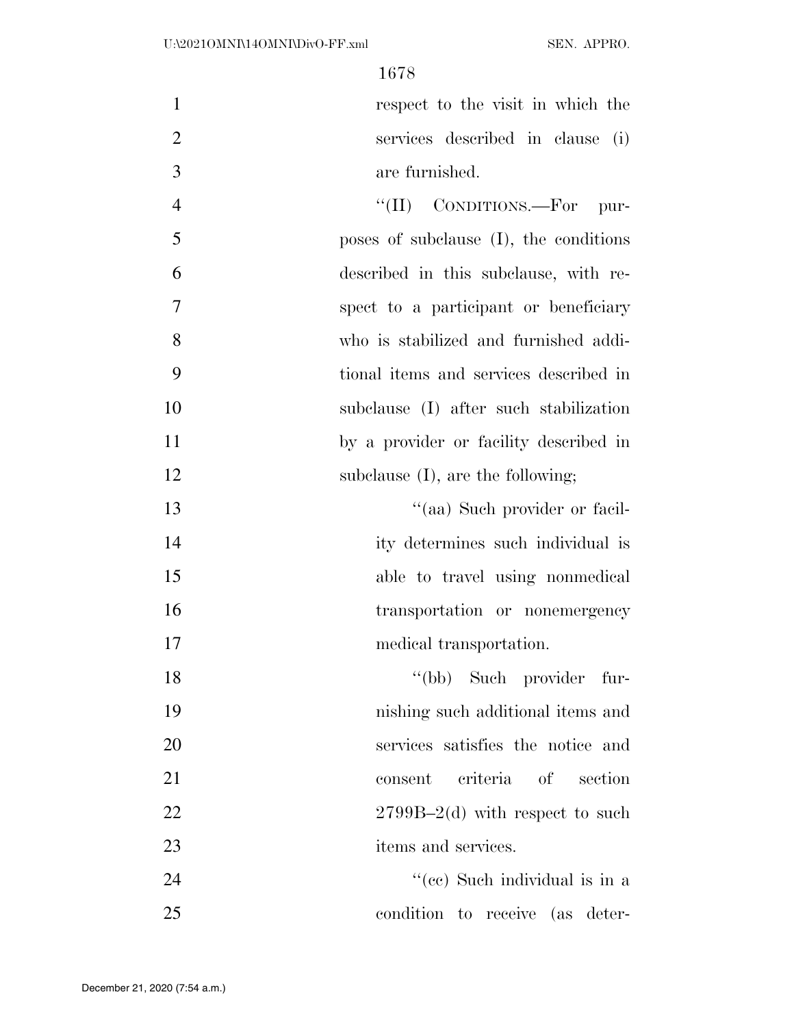| $\mathbf{1}$   | respect to the visit in which the         |
|----------------|-------------------------------------------|
| $\overline{2}$ | services described in clause (i)          |
| 3              | are furnished.                            |
| $\overline{4}$ | "(II) CONDITIONS.—For pur-                |
| 5              | poses of subclause $(I)$ , the conditions |
| 6              | described in this subclause, with re-     |
| $\overline{7}$ | spect to a participant or beneficiary     |
| 8              | who is stabilized and furnished addi-     |
| 9              | tional items and services described in    |
| 10             | subclause (I) after such stabilization    |
| 11             | by a provider or facility described in    |
| 12             | subclause $(I)$ , are the following;      |
| 13             | "(aa) Such provider or facil-             |
| 14             | ity determines such individual is         |
| 15             | able to travel using nonmedical           |
| 16             | transportation or nonemergency            |
| 17             | medical transportation.                   |
| 18             | "(bb) Such provider fur-                  |
| 19             | nishing such additional items and         |
| 20             | services satisfies the notice and         |
| 21             | criteria of<br>section<br>consent         |
| 22             | $2799B-2(d)$ with respect to such         |
| 23             | items and services.                       |
| 24             | "(cc) Such individual is in a             |
| 25             | condition to receive (as deter-           |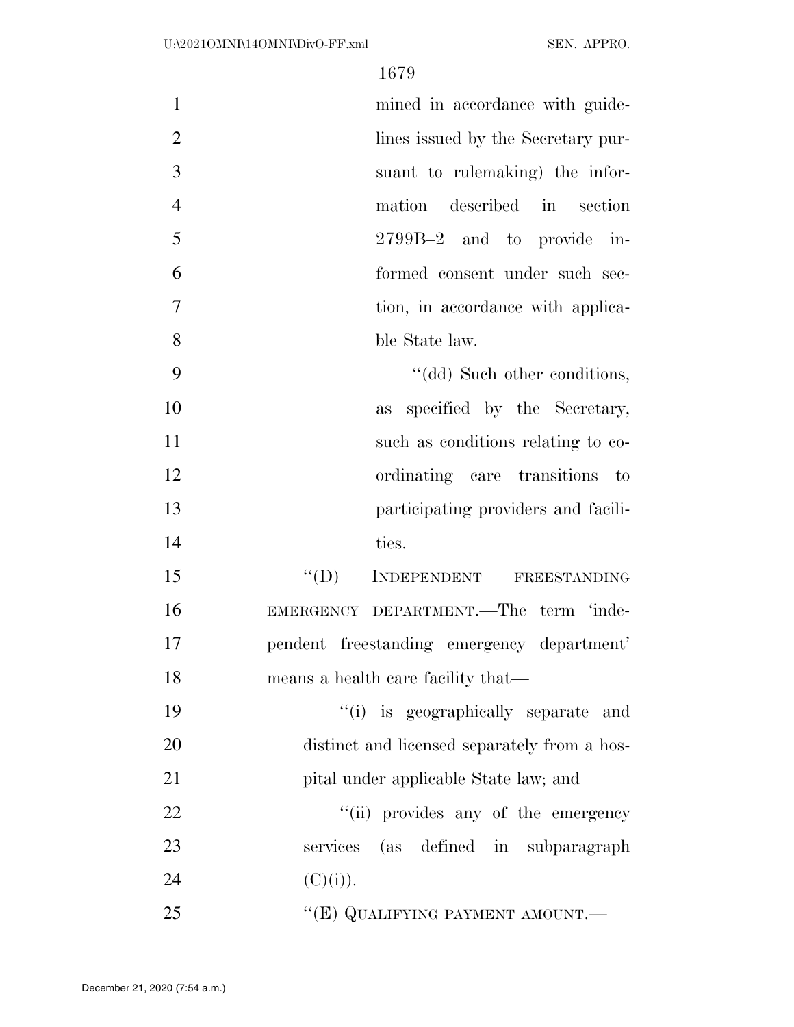| $\mathbf{1}$   | mined in accordance with guide-              |
|----------------|----------------------------------------------|
| $\overline{2}$ | lines issued by the Secretary pur-           |
| 3              | suant to rulemaking) the infor-              |
| $\overline{4}$ | mation described in section                  |
| 5              | 2799B-2 and to provide in-                   |
| 6              | formed consent under such sec-               |
| $\overline{7}$ | tion, in accordance with applica-            |
| 8              | ble State law.                               |
| 9              | "(dd) Such other conditions,                 |
| 10             | as specified by the Secretary,               |
| 11             | such as conditions relating to co-           |
| 12             | ordinating care transitions<br>$\sim$ to     |
| 13             | participating providers and facili-          |
| 14             | ties.                                        |
| 15             | $\lq\lq (D)$<br>INDEPENDENT<br>FREESTANDING  |
| 16             | EMERGENCY DEPARTMENT.-The term 'inde-        |
| 17             | pendent freestanding emergency department'   |
| 18             | means a health care facility that—           |
| 19             | "(i) is geographically separate and          |
| 20             | distinct and licensed separately from a hos- |
| 21             | pital under applicable State law; and        |
| 22             | "(ii) provides any of the emergency          |
| 23             | services (as defined in subparagraph         |
| 24             | (C)(i)).                                     |
|                |                                              |

25 "(E) QUALIFYING PAYMENT AMOUNT.—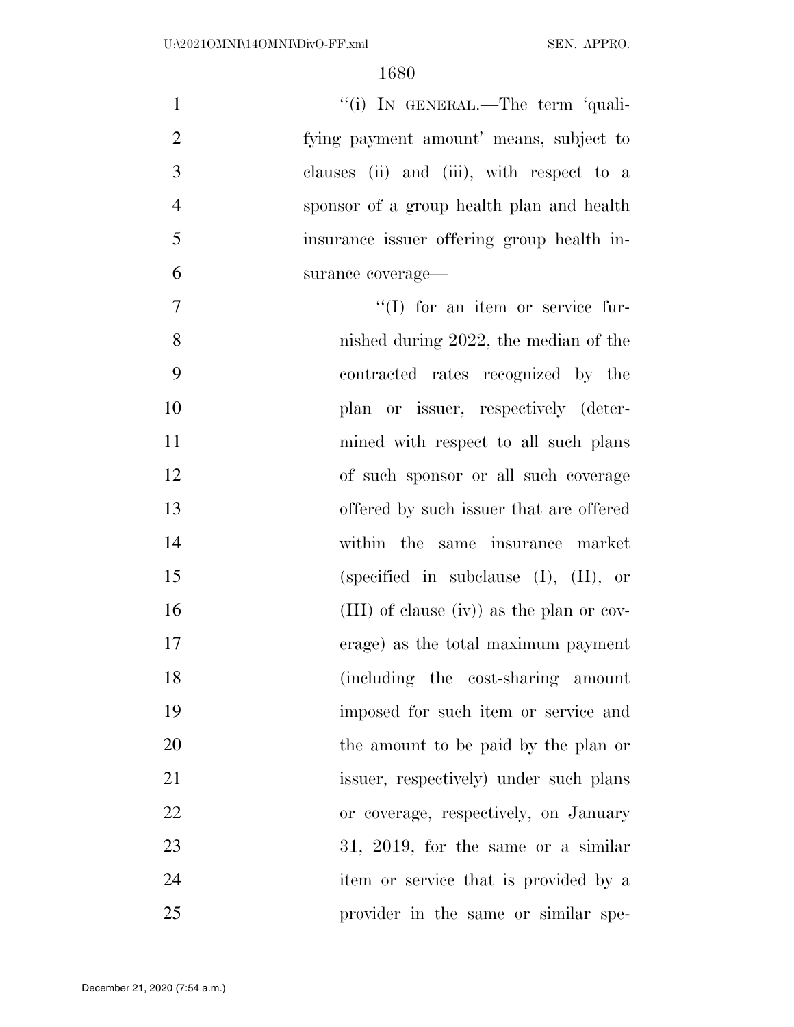| $\mathbf{1}$   | "(i) IN GENERAL.—The term 'quali-           |
|----------------|---------------------------------------------|
| $\overline{2}$ | fying payment amount' means, subject to     |
| 3              | clauses (ii) and (iii), with respect to a   |
| $\overline{4}$ | sponsor of a group health plan and health   |
| 5              | insurance issuer offering group health in-  |
| 6              | surance coverage-                           |
| $\overline{7}$ | $\lq\lq$ (I) for an item or service fur-    |
| 8              | nished during $2022$ , the median of the    |
| 9              | contracted rates recognized by the          |
| 10             | plan or issuer, respectively (deter-        |
| 11             | mined with respect to all such plans        |
| 12             | of such sponsor or all such coverage        |
| 13             | offered by such issuer that are offered     |
| 14             | within the same insurance market            |
| 15             | (specified in subclause $(I)$ , $(II)$ , or |
| 16             | (III) of clause (iv)) as the plan or cov-   |
| 17             | erage) as the total maximum payment         |
| 18             | (including the cost-sharing amount          |
| 19             | imposed for such item or service and        |
| 20             | the amount to be paid by the plan or        |
| 21             | issuer, respectively) under such plans      |
| 22             | or coverage, respectively, on January       |
| 23             | 31, 2019, for the same or a similar         |
| 24             | item or service that is provided by a       |
| 25             | provider in the same or similar spe-        |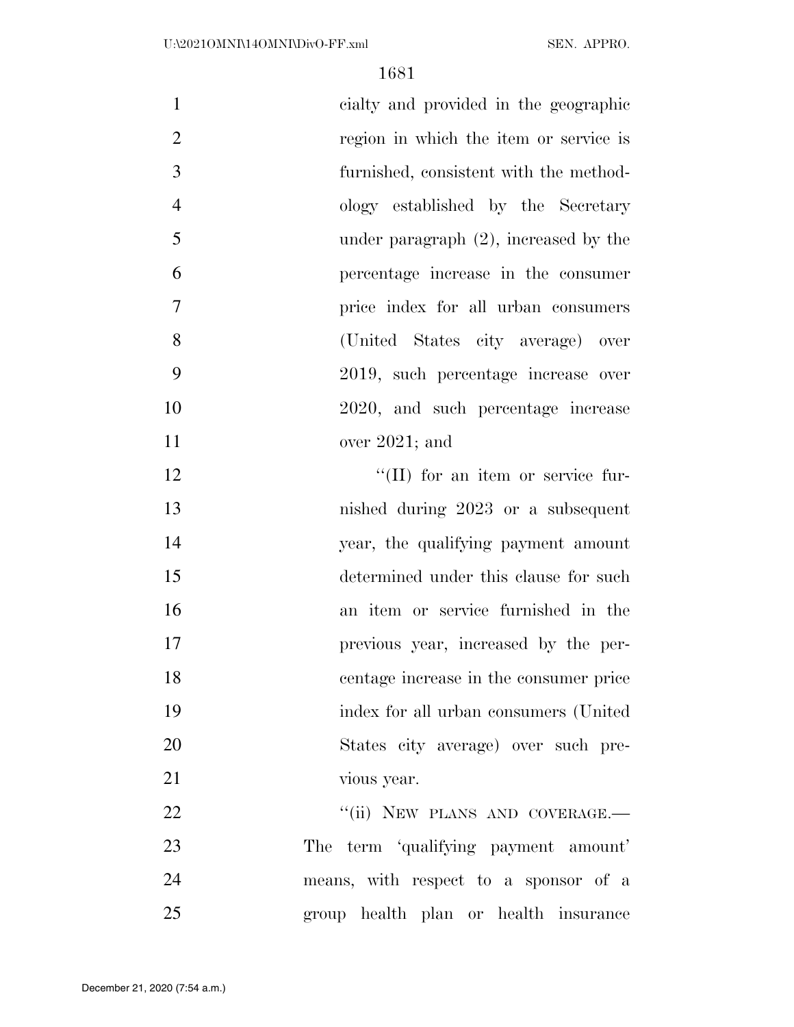| $\mathbf{1}$   | cialty and provided in the geographic     |
|----------------|-------------------------------------------|
| $\overline{2}$ | region in which the item or service is    |
| 3              | furnished, consistent with the method-    |
| $\overline{4}$ | ology established by the Secretary        |
| 5              | under paragraph $(2)$ , increased by the  |
| 6              | percentage increase in the consumer       |
| 7              | price index for all urban consumers       |
| 8              | (United States city average) over         |
| 9              | 2019, such percentage increase over       |
| 10             | 2020, and such percentage increase        |
| 11             | over $2021$ ; and                         |
| 12             | $\lq\lq$ (II) for an item or service fur- |
| 13             | nished during 2023 or a subsequent        |
| 14             | year, the qualifying payment amount       |
| 15             | determined under this clause for such     |
| 16             | an item or service furnished in the       |
| 17             | previous year, increased by the per-      |
| 18             | centage increase in the consumer price    |
| 19             | index for all urban consumers (United     |
| 20             | States city average) over such pre-       |
| 21             | vious year.                               |
| 22             | "(ii) NEW PLANS AND COVERAGE.-            |
| 23             | The term 'qualifying payment amount'      |
| 24             | means, with respect to a sponsor of a     |
| 25             | group health plan or health insurance     |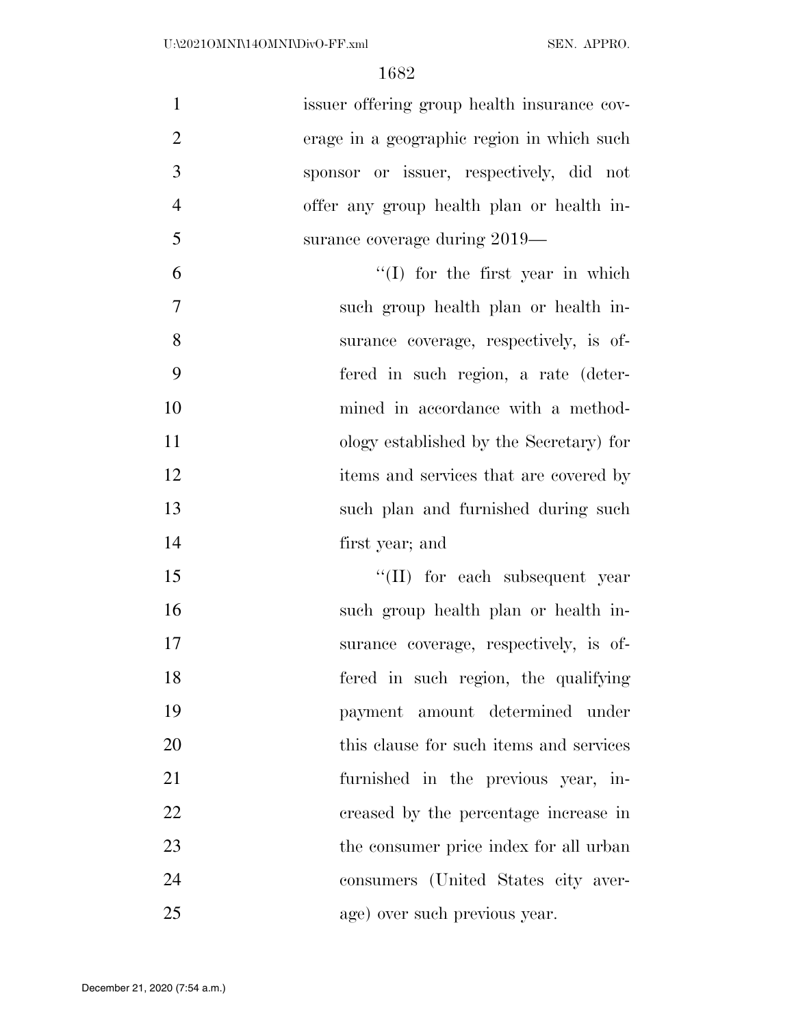| $\mathbf{1}$   | issuer offering group health insurance cov- |
|----------------|---------------------------------------------|
| $\overline{2}$ | erage in a geographic region in which such  |
| 3              | sponsor or issuer, respectively, did not    |
| $\overline{4}$ | offer any group health plan or health in-   |
| 5              | surance coverage during 2019—               |
| 6              | $\lq(1)$ for the first year in which        |
| $\tau$         | such group health plan or health in-        |
| 8              | surance coverage, respectively, is of-      |
| 9              | fered in such region, a rate (deter-        |
| 10             | mined in accordance with a method-          |
| 11             | ology established by the Secretary) for     |
| 12             | items and services that are covered by      |
| 13             | such plan and furnished during such         |
| 14             | first year; and                             |
| 15             | $\lq\lq$ (II) for each subsequent year      |
| 16             | such group health plan or health in-        |
| 17             | surance coverage, respectively, is of-      |
| 18             | fered in such region, the qualifying        |
| 19             | payment amount determined under             |
| 20             | this clause for such items and services     |
| 21             | furnished in the previous year, in-         |
| 22             | creased by the percentage increase in       |
| 23             | the consumer price index for all urban      |
| 24             | consumers (United States city aver-         |
| 25             | age) over such previous year.               |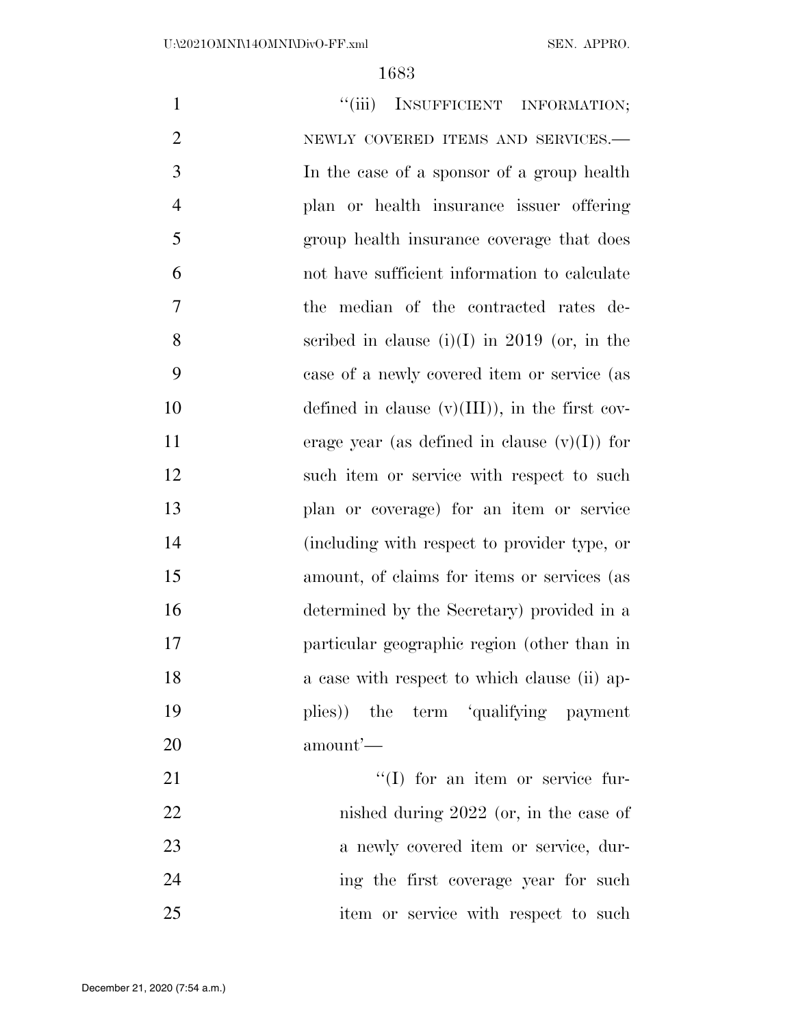| $\mathbf{1}$   | ``(iii)<br>INSUFFICIENT INFORMATION;             |
|----------------|--------------------------------------------------|
| $\overline{2}$ | NEWLY COVERED ITEMS AND SERVICES.-               |
| 3              | In the case of a sponsor of a group health       |
| $\overline{4}$ | plan or health insurance issuer offering         |
| 5              | group health insurance coverage that does        |
| 6              | not have sufficient information to calculate     |
| 7              | the median of the contracted rates de-           |
| 8              | scribed in clause $(i)(I)$ in 2019 (or, in the   |
| 9              | case of a newly covered item or service (as      |
| 10             | defined in clause $(v)(III)$ , in the first cov- |
| 11             | erage year (as defined in clause $(v)(I)$ ) for  |
| 12             | such item or service with respect to such        |
| 13             | plan or coverage) for an item or service         |
| 14             | (including with respect to provider type, or     |
| 15             | amount, of claims for items or services (as      |
| 16             | determined by the Secretary) provided in a       |
| 17             | particular geographic region (other than in      |
| 18             | a case with respect to which clause (ii) ap-     |
| 19             | plies)) the term 'qualifying payment             |
| 20             | amount'—                                         |
| 21             | "(I) for an item or service fur-                 |
| 22             | nished during $2022$ (or, in the case of         |
| 23             | a newly covered item or service, dur-            |
| 24             | ing the first coverage year for such             |
| 25             | item or service with respect to such             |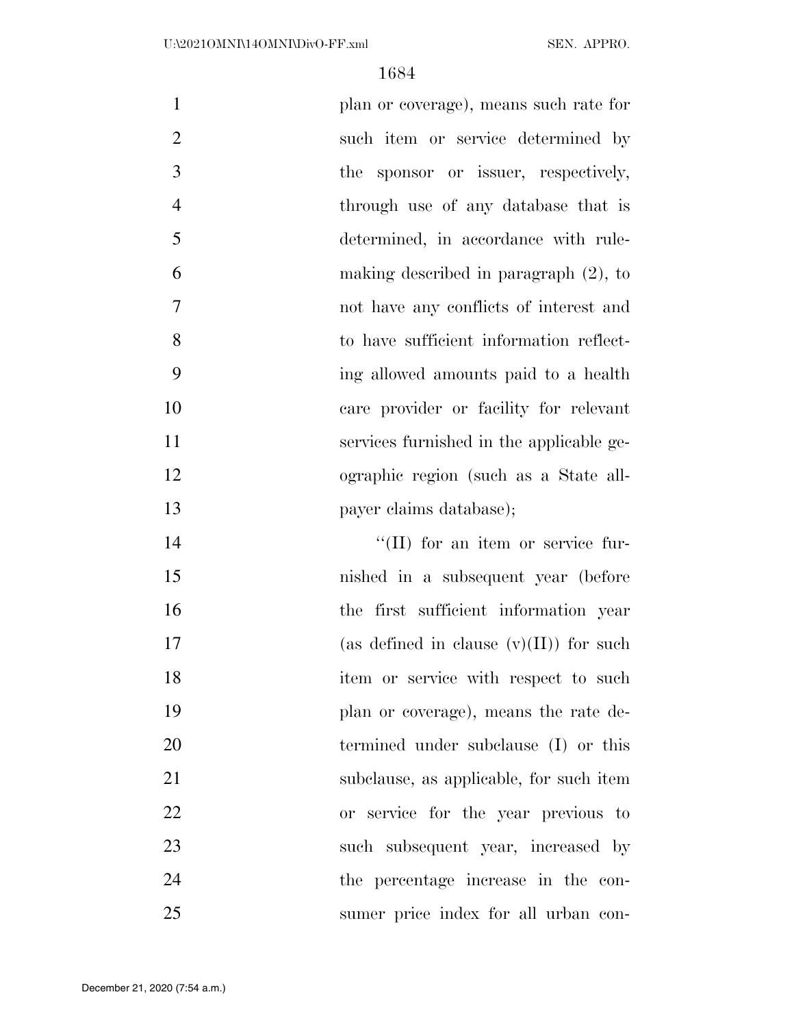| $\mathbf{1}$   | plan or coverage), means such rate for     |
|----------------|--------------------------------------------|
| $\overline{2}$ | such item or service determined by         |
| 3              | the sponsor or issuer, respectively,       |
| $\overline{4}$ | through use of any database that is        |
| 5              | determined, in accordance with rule-       |
| 6              | making described in paragraph $(2)$ , to   |
| $\overline{7}$ | not have any conflicts of interest and     |
| 8              | to have sufficient information reflect-    |
| 9              | ing allowed amounts paid to a health       |
| 10             | care provider or facility for relevant     |
| 11             | services furnished in the applicable ge-   |
| 12             | ographic region (such as a State all-      |
|                |                                            |
| 13             | payer claims database);                    |
| 14             | "(II) for an item or service fur-          |
| 15             | nished in a subsequent year (before        |
| 16             | the first sufficient information year      |
| 17             | (as defined in clause $(v)(II)$ ) for such |
| 18             | item or service with respect to such       |
| 19             | plan or coverage), means the rate de-      |
| 20             | termined under subclause (I) or this       |
| 21             | subclause, as applicable, for such item    |
| 22             | or service for the year previous to        |
| 23             | such subsequent year, increased by         |

sumer price index for all urban con-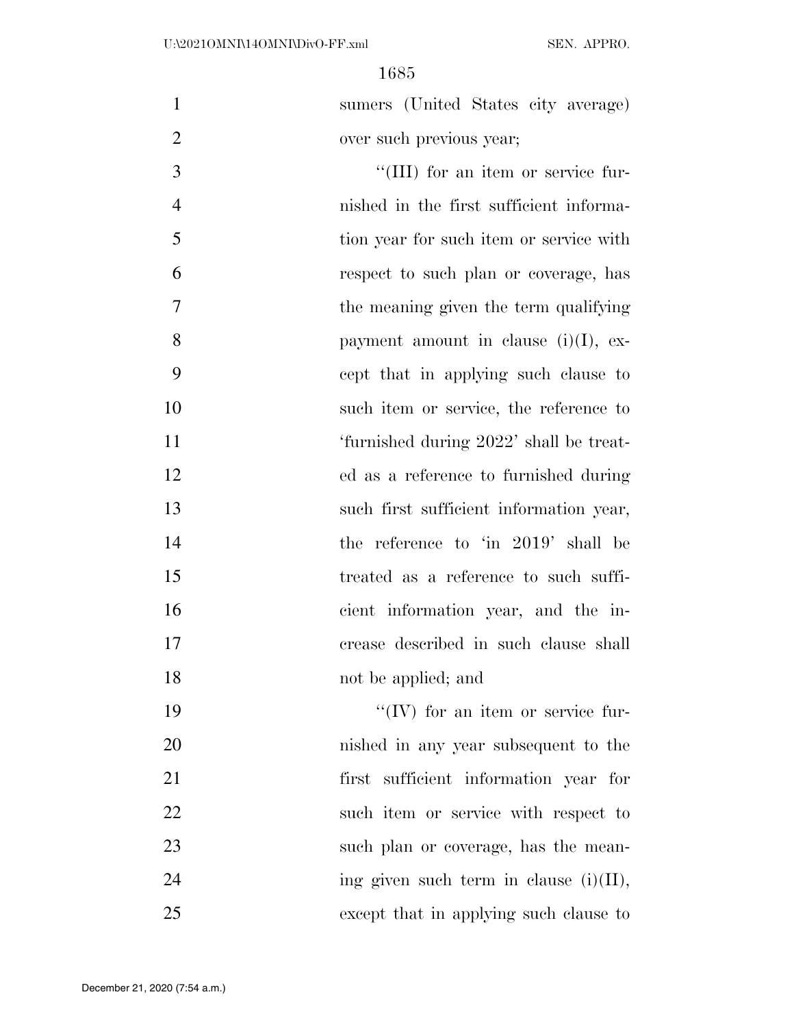sumers (United States city average) over such previous year;

 $\frac{1}{2}$  (III) for an item or service fur- nished in the first sufficient informa- tion year for such item or service with respect to such plan or coverage, has the meaning given the term qualifying 8 payment amount in clause  $(i)(I)$ , ex- cept that in applying such clause to such item or service, the reference to 'furnished during 2022' shall be treat- ed as a reference to furnished during such first sufficient information year, 14 the reference to 'in 2019' shall be treated as a reference to such suffi- cient information year, and the in- crease described in such clause shall 18 not be applied; and

 $\frac{1}{2}$  TV for an item or service fur- nished in any year subsequent to the first sufficient information year for such item or service with respect to 23 such plan or coverage, has the mean-24 ing given such term in clause  $(i)(II)$ , except that in applying such clause to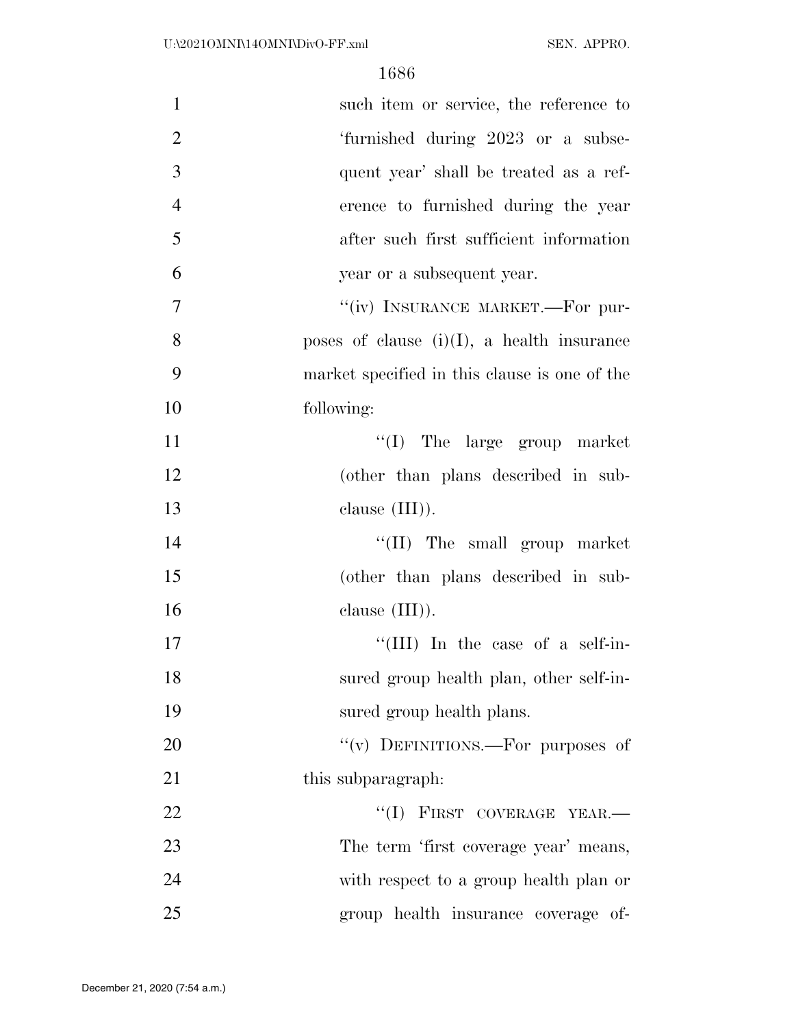| $\mathbf{1}$   | such item or service, the reference to        |
|----------------|-----------------------------------------------|
| $\overline{2}$ | 'furnished during 2023 or a subse-            |
| 3              | quent year' shall be treated as a ref-        |
| $\overline{4}$ | erence to furnished during the year           |
| 5              | after such first sufficient information       |
| 6              | year or a subsequent year.                    |
| $\overline{7}$ | "(iv) INSURANCE MARKET.—For pur-              |
| 8              | poses of clause $(i)(I)$ , a health insurance |
| 9              | market specified in this clause is one of the |
| 10             | following:                                    |
| 11             | $\lq\lq$ (I) The large group market           |
| 12             | (other than plans described in sub-           |
| 13             | clause $(III)$ ).                             |
| 14             | $\lq\lq$ (II) The small group market          |
| 15             | (other than plans described in sub-           |
| 16             | clause $(III)$ ).                             |
| 17             | "(III) In the case of a self-in-              |
| 18             | sured group health plan, other self-in-       |
| 19             | sured group health plans.                     |
| 20             | "(v) DEFINITIONS.—For purposes of             |
| 21             | this subparagraph.                            |
| 22             | "(I) FIRST COVERAGE YEAR.-                    |
| 23             | The term 'first coverage year' means,         |
| 24             | with respect to a group health plan or        |
| 25             | group health insurance coverage of-           |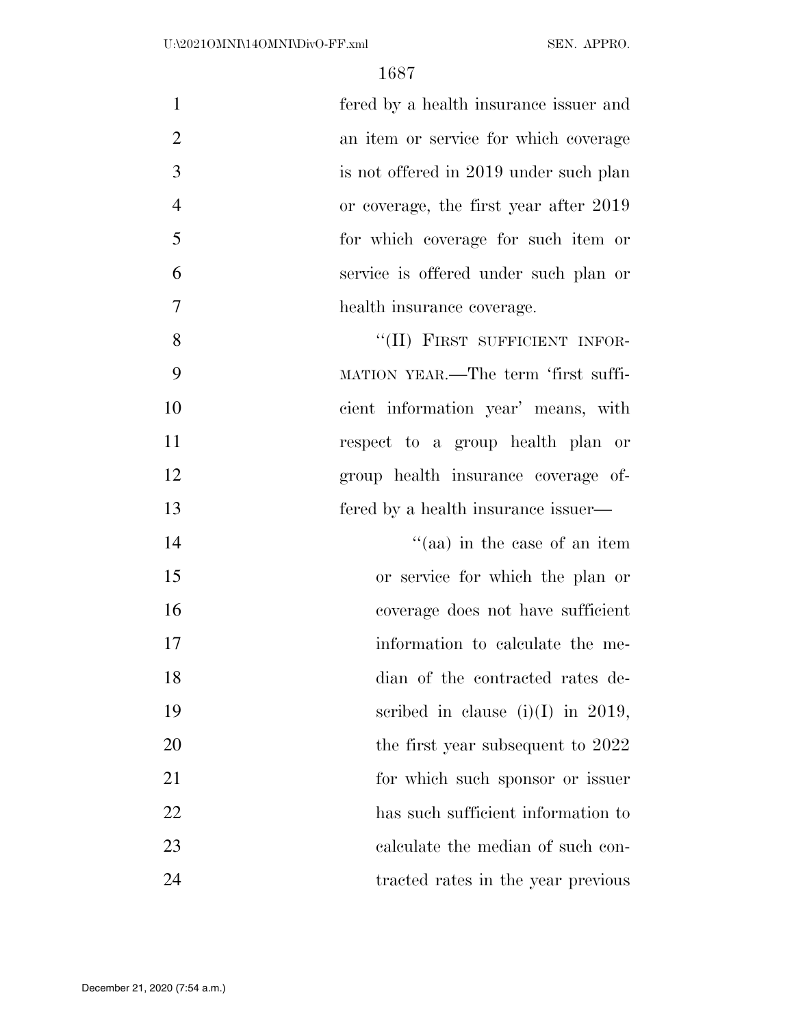| $\mathbf{1}$   | fered by a health insurance issuer and |
|----------------|----------------------------------------|
| $\overline{2}$ | an item or service for which coverage  |
| 3              | is not offered in 2019 under such plan |
| $\overline{4}$ | or coverage, the first year after 2019 |
| 5              | for which coverage for such item or    |
| 6              | service is offered under such plan or  |
| $\overline{7}$ | health insurance coverage.             |
| 8              | "(II) FIRST SUFFICIENT INFOR-          |
| 9              | MATION YEAR.—The term 'first suffi-    |
| 10             | cient information year' means, with    |
| 11             | respect to a group health plan or      |
| 12             | group health insurance coverage of-    |
| 13             | fered by a health insurance issuer—    |
| 14             | "(aa) in the case of an item           |
| 15             | or service for which the plan or       |
| 16             | coverage does not have sufficient      |
| 17             | information to calculate the me-       |
| 18             | dian of the contracted rates de-       |
| 19             | scribed in clause $(i)(I)$ in 2019,    |
| 20             | the first year subsequent to 2022      |
| 21             | for which such sponsor or issuer       |
| 22             | has such sufficient information to     |
| 23             | calculate the median of such con-      |
| 24             | tracted rates in the year previous     |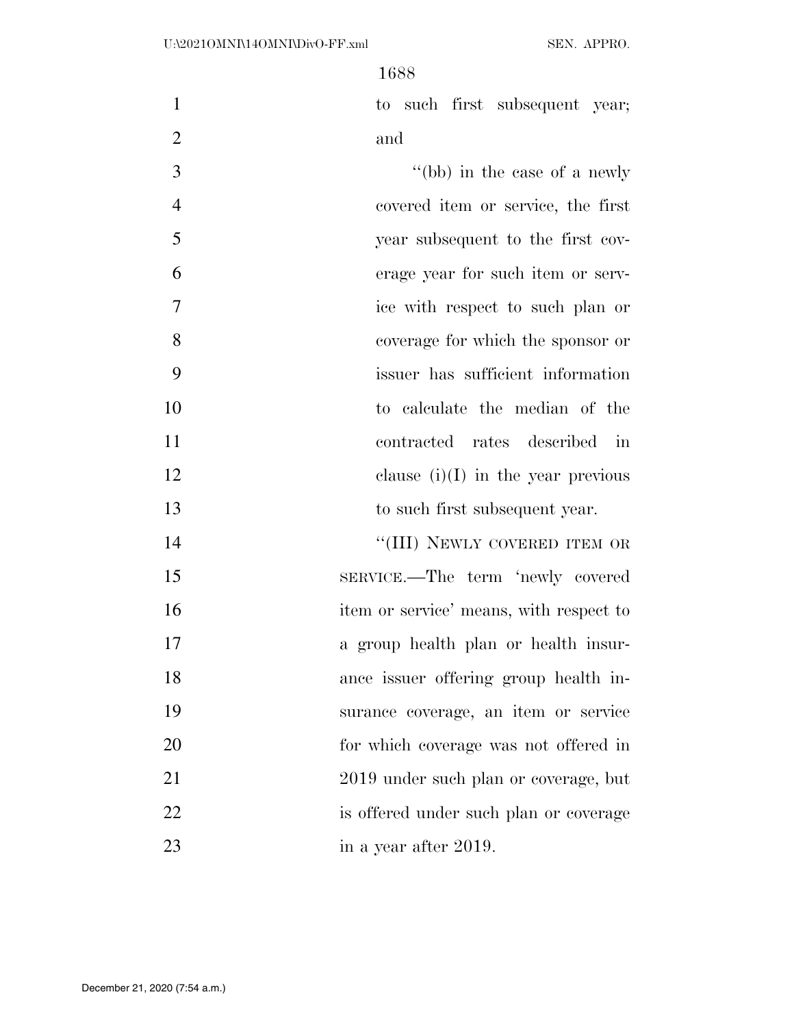1 to such first subsequent year; and

3 ''(bb) in the case of a newly covered item or service, the first year subsequent to the first cov- erage year for such item or serv- ice with respect to such plan or coverage for which the sponsor or issuer has sufficient information to calculate the median of the contracted rates described in 12 clause  $(i)(I)$  in the year previous to such first subsequent year. 14 "(III) NEWLY COVERED ITEM OR

 SERVICE.—The term 'newly covered 16 item or service' means, with respect to a group health plan or health insur- ance issuer offering group health in- surance coverage, an item or service for which coverage was not offered in 2019 under such plan or coverage, but is offered under such plan or coverage 23 in a year after 2019.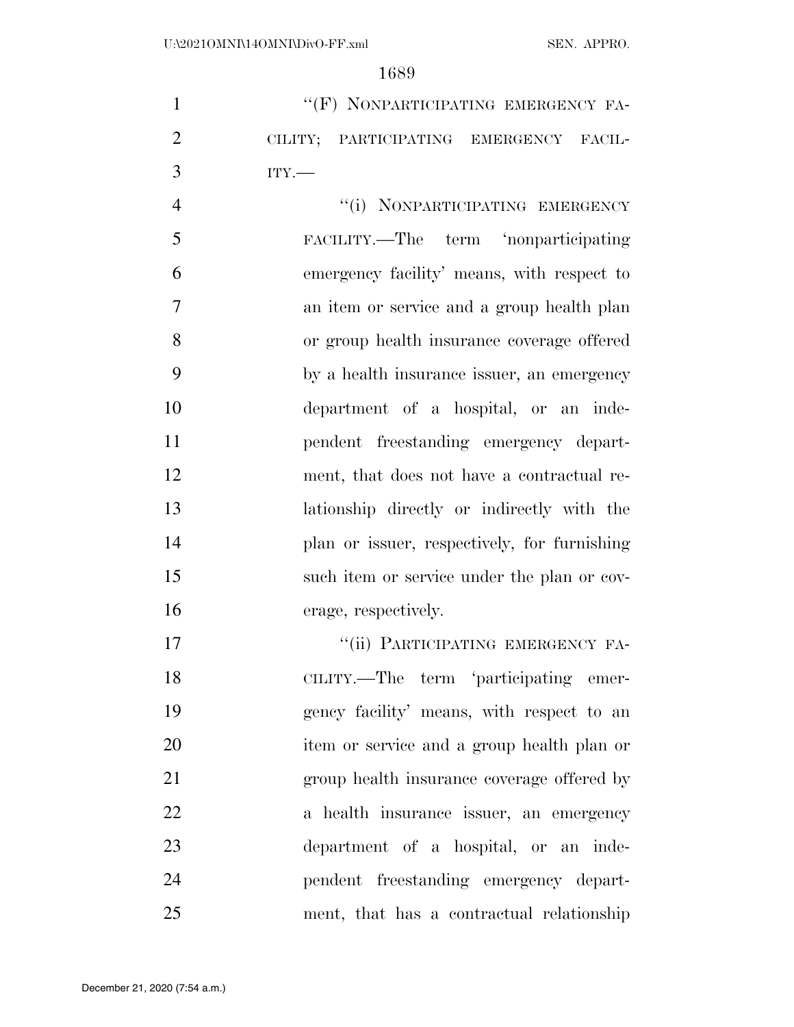1 ""(F) NONPARTICIPATING EMERGENCY FA- CILITY; PARTICIPATING EMERGENCY FACIL-ITY.—

4 "(i) NONPARTICIPATING EMERGENCY FACILITY.—The term 'nonparticipating emergency facility' means, with respect to an item or service and a group health plan or group health insurance coverage offered by a health insurance issuer, an emergency department of a hospital, or an inde- pendent freestanding emergency depart- ment, that does not have a contractual re- lationship directly or indirectly with the plan or issuer, respectively, for furnishing such item or service under the plan or cov-erage, respectively.

17 "'(ii) PARTICIPATING EMERGENCY FA- CILITY.—The term 'participating emer- gency facility' means, with respect to an item or service and a group health plan or group health insurance coverage offered by a health insurance issuer, an emergency department of a hospital, or an inde- pendent freestanding emergency depart-ment, that has a contractual relationship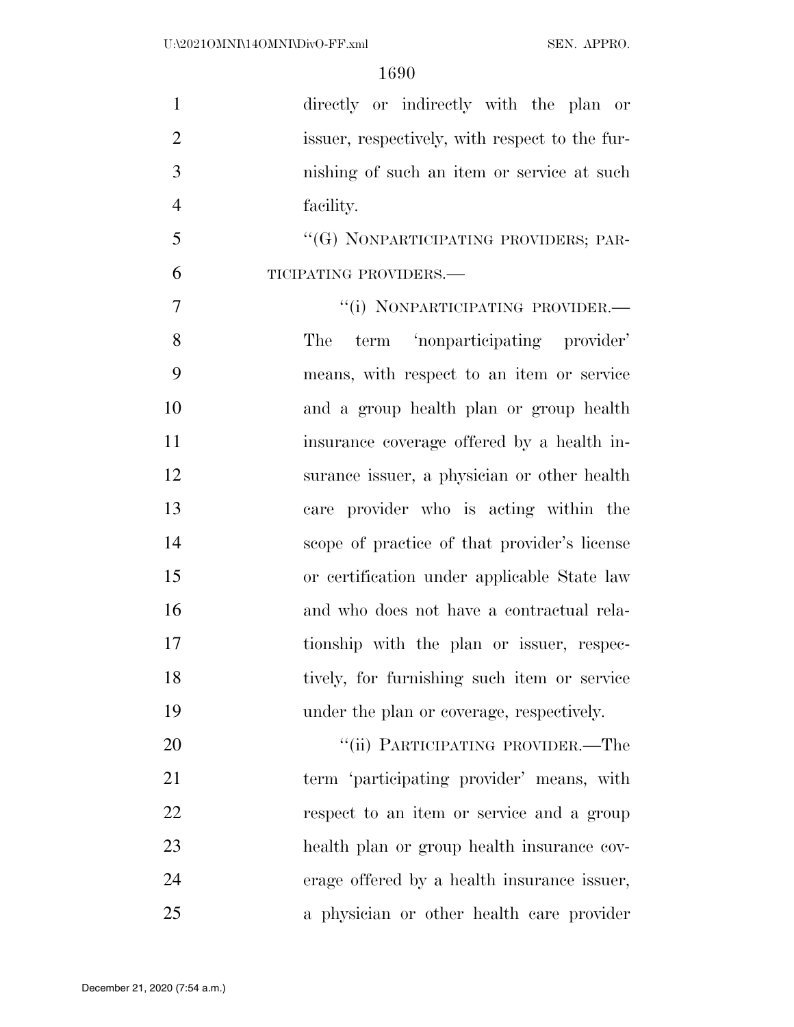| $\mathbf{1}$   | directly or indirectly with the plan or        |
|----------------|------------------------------------------------|
| $\overline{2}$ | issuer, respectively, with respect to the fur- |
| 3              | nishing of such an item or service at such     |
| $\overline{4}$ | facility.                                      |
| 5              | "(G) NONPARTICIPATING PROVIDERS; PAR-          |
| 6              | TICIPATING PROVIDERS.-                         |
| $\tau$         | "(i) NONPARTICIPATING PROVIDER.-               |
| 8              | term 'nonparticipating provider'<br>The        |
| 9              | means, with respect to an item or service      |
| 10             | and a group health plan or group health        |
| 11             | insurance coverage offered by a health in-     |
| 12             | surance issuer, a physician or other health    |
| 13             | care provider who is acting within the         |
| 14             | scope of practice of that provider's license   |
| 15             | or certification under applicable State law    |
| 16             | and who does not have a contractual rela-      |
| 17             | tionship with the plan or issuer, respec-      |
| 18             | tively, for furnishing such item or service    |
| 19             | under the plan or coverage, respectively.      |
| 20             | "(ii) PARTICIPATING PROVIDER.—The              |
| 21             | term 'participating provider' means, with      |
| 22             | respect to an item or service and a group      |
| 23             | health plan or group health insurance cov-     |
| 24             | erage offered by a health insurance issuer,    |
| 25             | a physician or other health care provider      |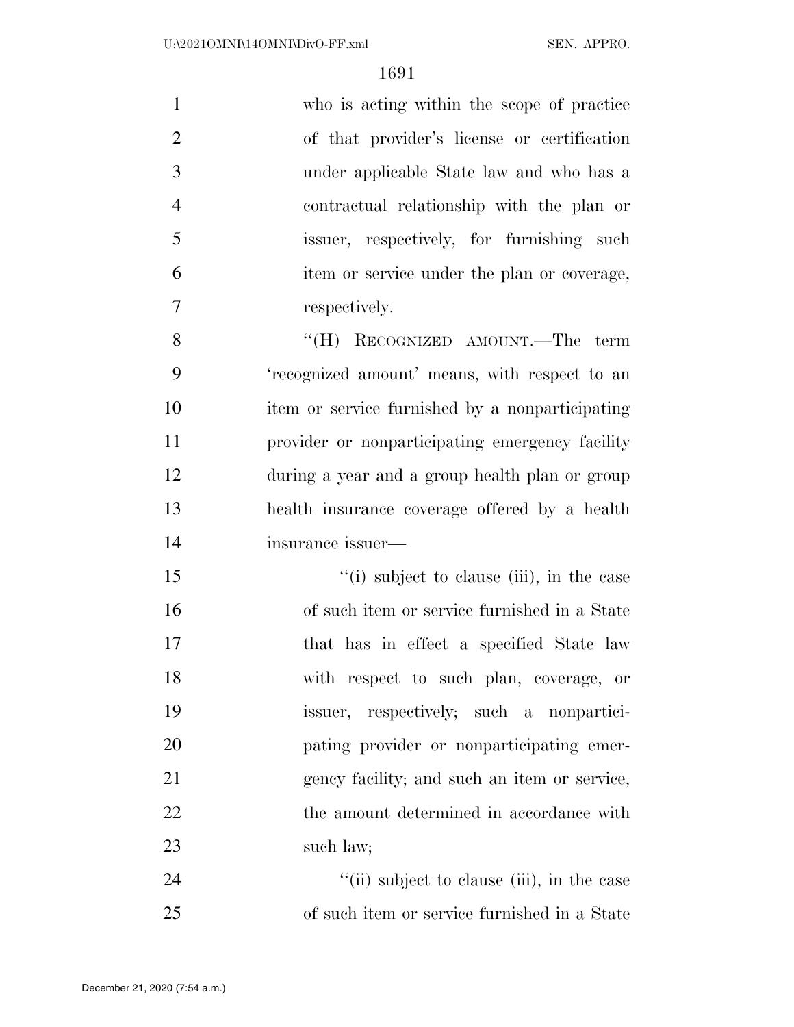| $\mathbf{1}$   | who is acting within the scope of practice      |
|----------------|-------------------------------------------------|
| $\overline{2}$ | of that provider's license or certification     |
| 3              | under applicable State law and who has a        |
| $\overline{4}$ | contractual relationship with the plan or       |
| 5              | issuer, respectively, for furnishing such       |
| 6              | item or service under the plan or coverage,     |
| $\tau$         | respectively.                                   |
| 8              | "(H) RECOGNIZED AMOUNT.—The term                |
| 9              | 'recognized amount' means, with respect to an   |
| 10             | item or service furnished by a nonparticipating |
| 11             | provider or nonparticipating emergency facility |
| 12             | during a year and a group health plan or group  |
| 13             | health insurance coverage offered by a health   |
| 14             | insurance issuer—                               |
| 15             | "(i) subject to clause (iii), in the case       |
| 16             | of such item or service furnished in a State    |
| 17             | that has in effect a specified State law        |
| 18             | with respect to such plan, coverage, or         |
| 19             | issuer, respectively; such a nonpartici-        |
| 20             | pating provider or nonparticipating emer-       |
| 21             | gency facility; and such an item or service,    |
| 22             | the amount determined in accordance with        |
| 23             | such law;                                       |
| 24             | "(ii) subject to clause (iii), in the case      |
| 25             | of such item or service furnished in a State    |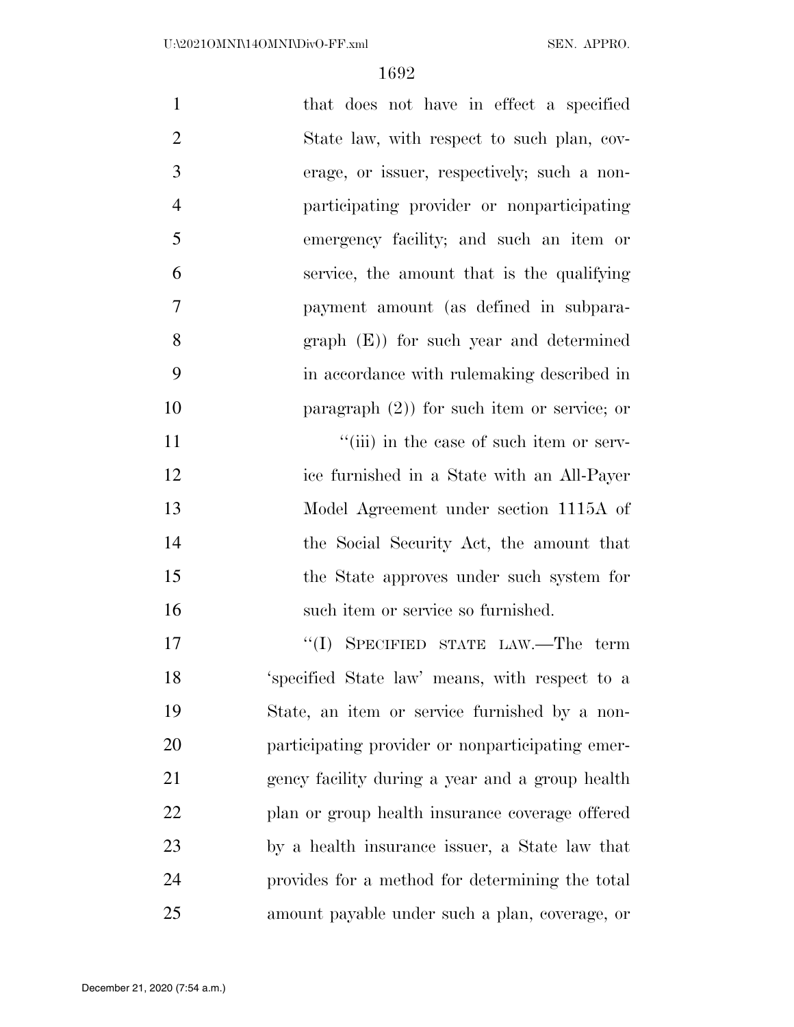| $\mathbf{1}$   | that does not have in effect a specified         |
|----------------|--------------------------------------------------|
| $\overline{2}$ | State law, with respect to such plan, cov-       |
| 3              | erage, or issuer, respectively; such a non-      |
| $\overline{4}$ | participating provider or nonparticipating       |
| 5              | emergency facility; and such an item or          |
| 6              | service, the amount that is the qualifying       |
| $\overline{7}$ | payment amount (as defined in subpara-           |
| 8              | $graph$ (E)) for such year and determined        |
| 9              | in accordance with rule making described in      |
| 10             | paragraph $(2)$ ) for such item or service; or   |
| 11             | "(iii) in the case of such item or serv-         |
| 12             | ice furnished in a State with an All-Payer       |
| 13             | Model Agreement under section 1115A of           |
| 14             | the Social Security Act, the amount that         |
| 15             | the State approves under such system for         |
| 16             | such item or service so furnished.               |
| 17             | "(I) SPECIFIED STATE LAW.—The term               |
| 18             | 'specified State law' means, with respect to a   |
| 19             | State, an item or service furnished by a non-    |
| 20             | participating provider or nonparticipating emer- |
| 21             | gency facility during a year and a group health  |
| 22             | plan or group health insurance coverage offered  |
| 23             | by a health insurance issuer, a State law that   |
| 24             | provides for a method for determining the total  |
| 25             | amount payable under such a plan, coverage, or   |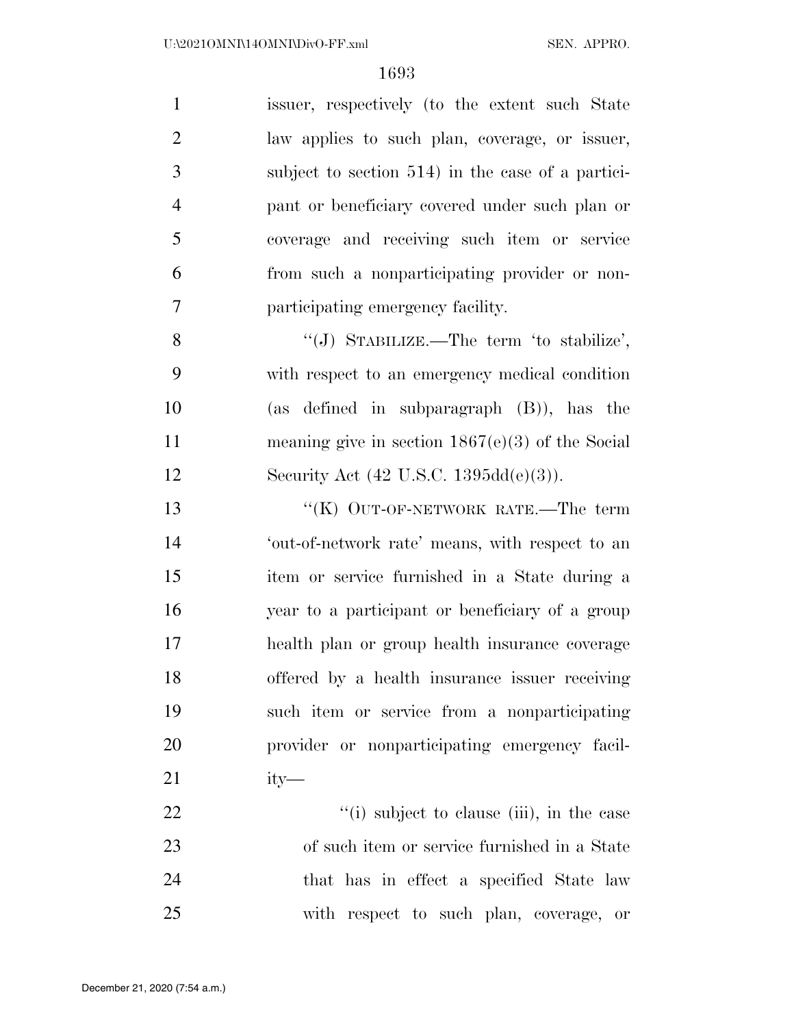issuer, respectively (to the extent such State law applies to such plan, coverage, or issuer, subject to section 514) in the case of a partici- pant or beneficiary covered under such plan or coverage and receiving such item or service from such a nonparticipating provider or non-participating emergency facility.

8 "(J) STABILIZE.—The term 'to stabilize', with respect to an emergency medical condition (as defined in subparagraph (B)), has the meaning give in section 1867(e)(3) of the Social Security Act (42 U.S.C. 1395dd(e)(3)).

13 "(K) OUT-OF-NETWORK RATE.—The term 'out-of-network rate' means, with respect to an item or service furnished in a State during a year to a participant or beneficiary of a group health plan or group health insurance coverage offered by a health insurance issuer receiving such item or service from a nonparticipating provider or nonparticipating emergency facil-ity—

22 ''(i) subject to clause (iii), in the case of such item or service furnished in a State 24 that has in effect a specified State law with respect to such plan, coverage, or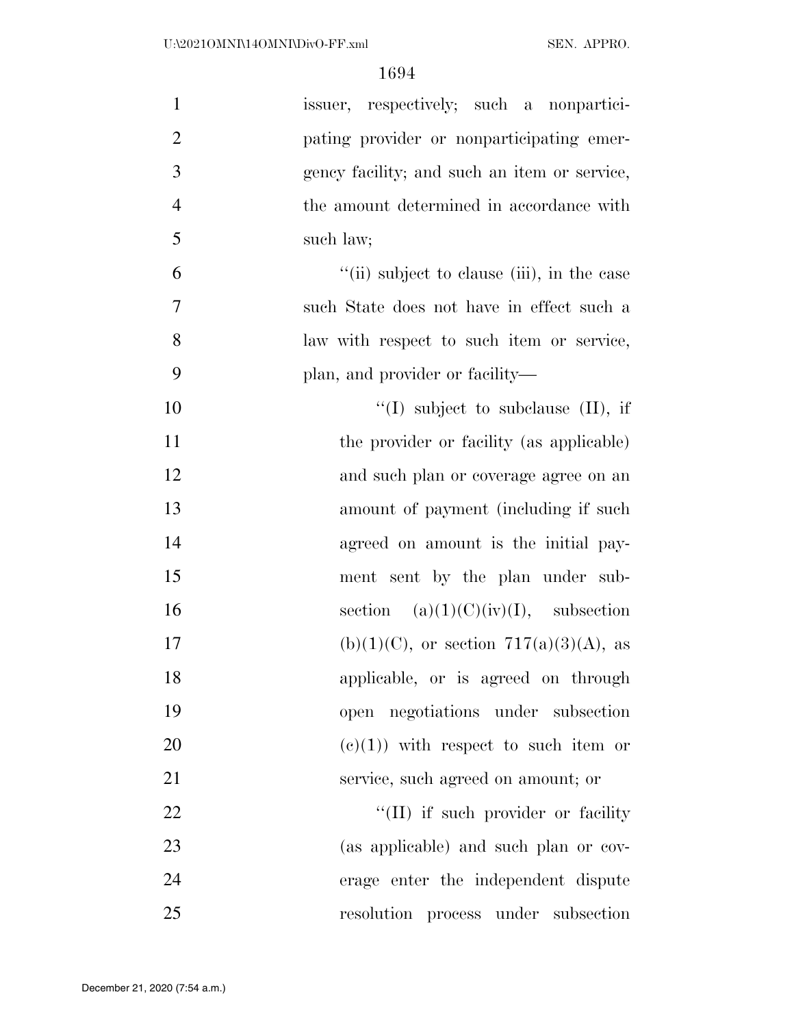| $\mathbf{1}$   | issuer, respectively; such a nonpartici-     |
|----------------|----------------------------------------------|
| $\overline{2}$ | pating provider or nonparticipating emer-    |
| 3              | gency facility; and such an item or service, |
| $\overline{4}$ | the amount determined in accordance with     |
| 5              | such law;                                    |
| 6              | "(ii) subject to clause (iii), in the case   |
| $\overline{7}$ | such State does not have in effect such a    |
| 8              | law with respect to such item or service,    |
| 9              | plan, and provider or facility—              |
| 10             | "(I) subject to subclause $(II)$ , if        |
| 11             | the provider or facility (as applicable)     |
| 12             | and such plan or coverage agree on an        |
| 13             | amount of payment (including if such         |
| 14             | agreed on amount is the initial pay-         |
| 15             | ment sent by the plan under sub-             |
| 16             | section $(a)(1)(C)(iv)(I)$ , subsection      |
| 17             | $(b)(1)(C)$ , or section 717(a)(3)(A), as    |
| 18             | applicable, or is agreed on through          |
| 19             | open negotiations under subsection           |
| 20             | $(e)(1)$ with respect to such item or        |
| 21             | service, such agreed on amount; or           |
| 22             | "(II) if such provider or facility"          |
| 23             | (as applicable) and such plan or cov-        |
| 24             | erage enter the independent dispute          |
| 25             | resolution process under subsection          |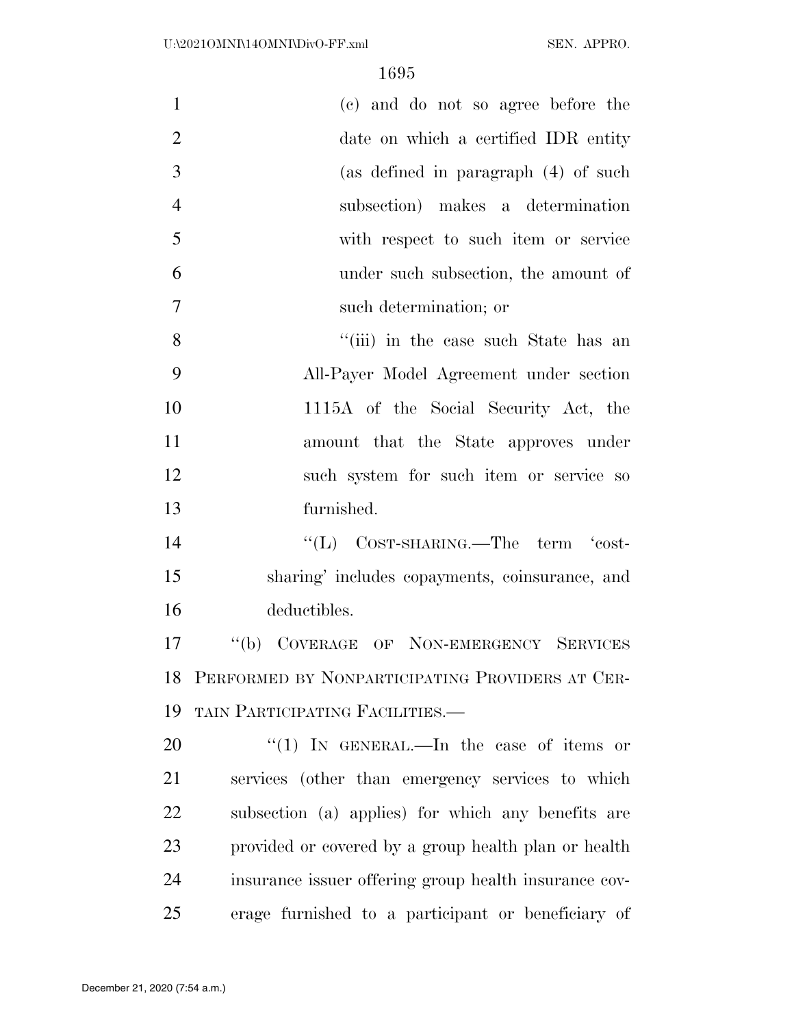| $\mathbf{1}$   | (c) and do not so agree before the                    |
|----------------|-------------------------------------------------------|
| $\overline{2}$ | date on which a certified IDR entity                  |
| 3              | (as defined in paragraph (4) of such                  |
| $\overline{4}$ | subsection) makes a determination                     |
| 5              | with respect to such item or service                  |
| 6              | under such subsection, the amount of                  |
| $\overline{7}$ | such determination; or                                |
| 8              | "(iii) in the case such State has an                  |
| 9              | All-Payer Model Agreement under section               |
| 10             | 1115A of the Social Security Act, the                 |
| 11             | amount that the State approves under                  |
| 12             | such system for such item or service so               |
| 13             | furnished.                                            |
| 14             | " $(L)$ COST-SHARING.—The term 'cost-                 |
| 15             | sharing' includes copayments, coinsurance, and        |
| 16             | deductibles.                                          |
| 17             | $\lq (b)$<br>COVERAGE OF NON-EMERGENCY SERVICES       |
|                | 18 PERFORMED BY NONPARTICIPATING PROVIDERS AT CER-    |
| 19             | TAIN PARTICIPATING FACILITIES.                        |
| 20             | "(1) IN GENERAL.—In the case of items or              |
| 21             | services (other than emergency services to which      |
| 22             | subsection (a) applies) for which any benefits are    |
| 23             | provided or covered by a group health plan or health  |
| 24             | insurance issuer offering group health insurance cov- |
| 25             | erage furnished to a participant or beneficiary of    |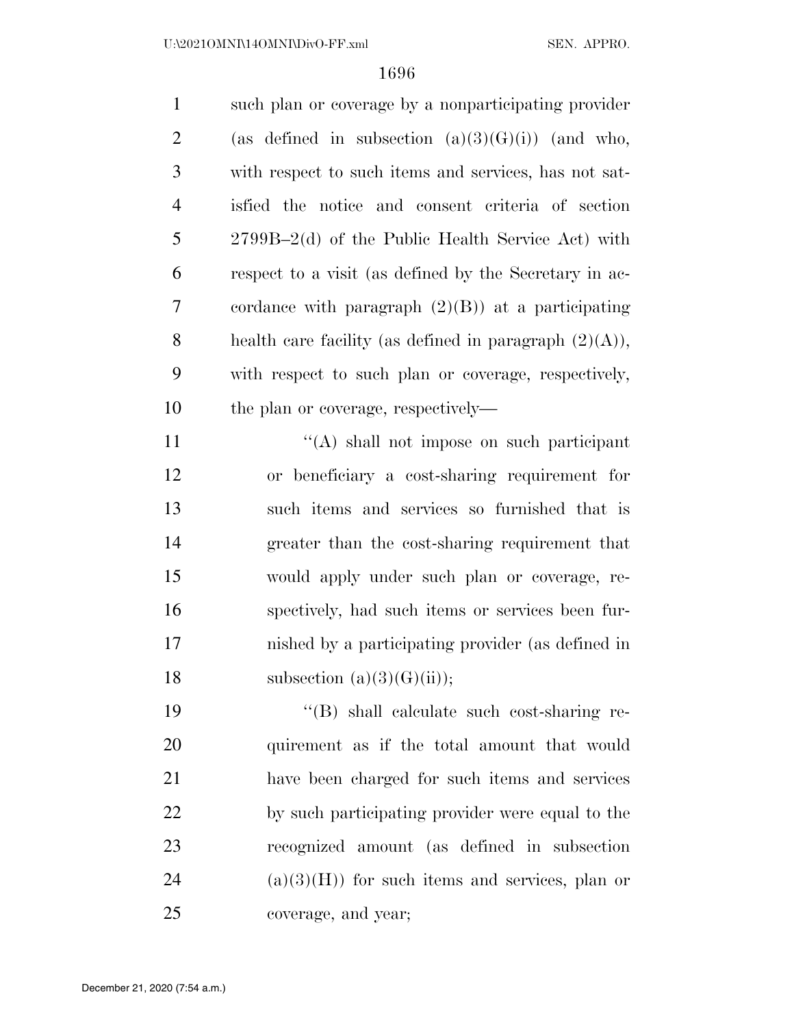such plan or coverage by a nonparticipating provider 2 (as defined in subsection  $(a)(3)(G)(i)$ ) (and who, with respect to such items and services, has not sat- isfied the notice and consent criteria of section 2799B–2(d) of the Public Health Service Act) with respect to a visit (as defined by the Secretary in ac- cordance with paragraph (2)(B)) at a participating 8 health care facility (as defined in paragraph  $(2)(A)$ ), with respect to such plan or coverage, respectively, 10 the plan or coverage, respectively—

11 ''(A) shall not impose on such participant or beneficiary a cost-sharing requirement for such items and services so furnished that is greater than the cost-sharing requirement that would apply under such plan or coverage, re- spectively, had such items or services been fur- nished by a participating provider (as defined in 18 subsection  $(a)(3)(G)(ii)$ ;

 ''(B) shall calculate such cost-sharing re- quirement as if the total amount that would have been charged for such items and services by such participating provider were equal to the recognized amount (as defined in subsection (a)(3)(H)) for such items and services, plan or coverage, and year;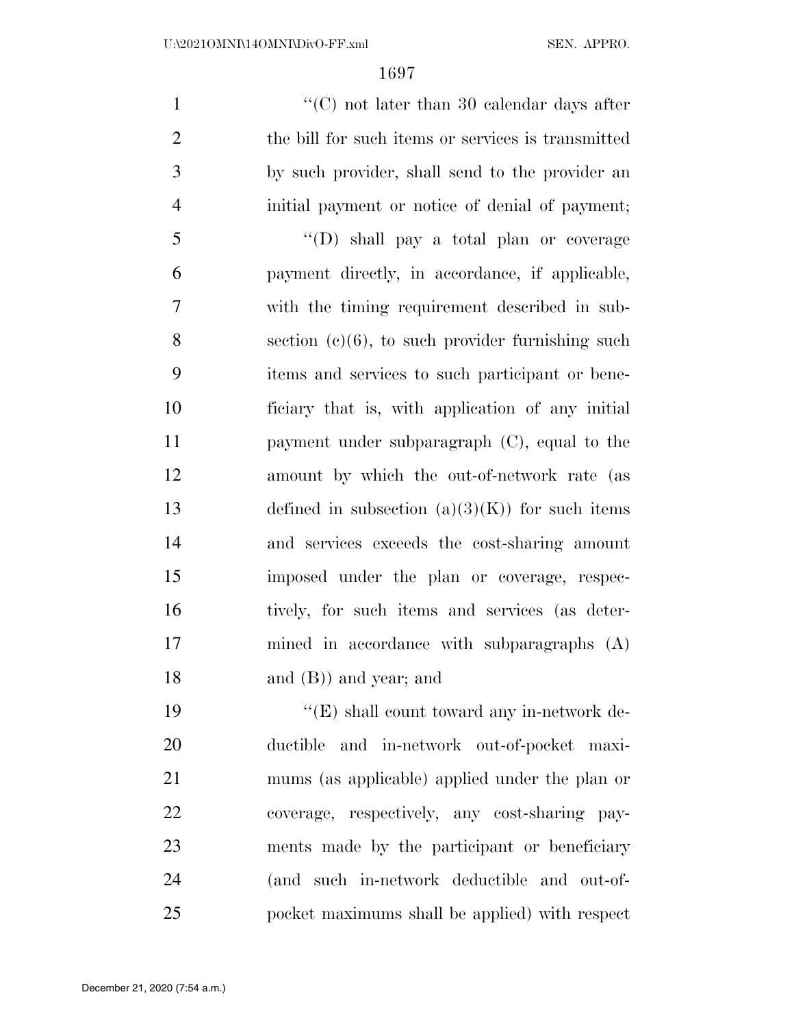$\lq(0)$  not later than 30 calendar days after the bill for such items or services is transmitted by such provider, shall send to the provider an initial payment or notice of denial of payment; ''(D) shall pay a total plan or coverage payment directly, in accordance, if applicable, with the timing requirement described in sub- section (c)(6), to such provider furnishing such items and services to such participant or bene- ficiary that is, with application of any initial payment under subparagraph (C), equal to the amount by which the out-of-network rate (as 13 defined in subsection  $(a)(3)(K)$  for such items and services exceeds the cost-sharing amount imposed under the plan or coverage, respec- tively, for such items and services (as deter- mined in accordance with subparagraphs (A) and (B)) and year; and

19 ''(E) shall count toward any in-network de- ductible and in-network out-of-pocket maxi- mums (as applicable) applied under the plan or coverage, respectively, any cost-sharing pay- ments made by the participant or beneficiary (and such in-network deductible and out-of-pocket maximums shall be applied) with respect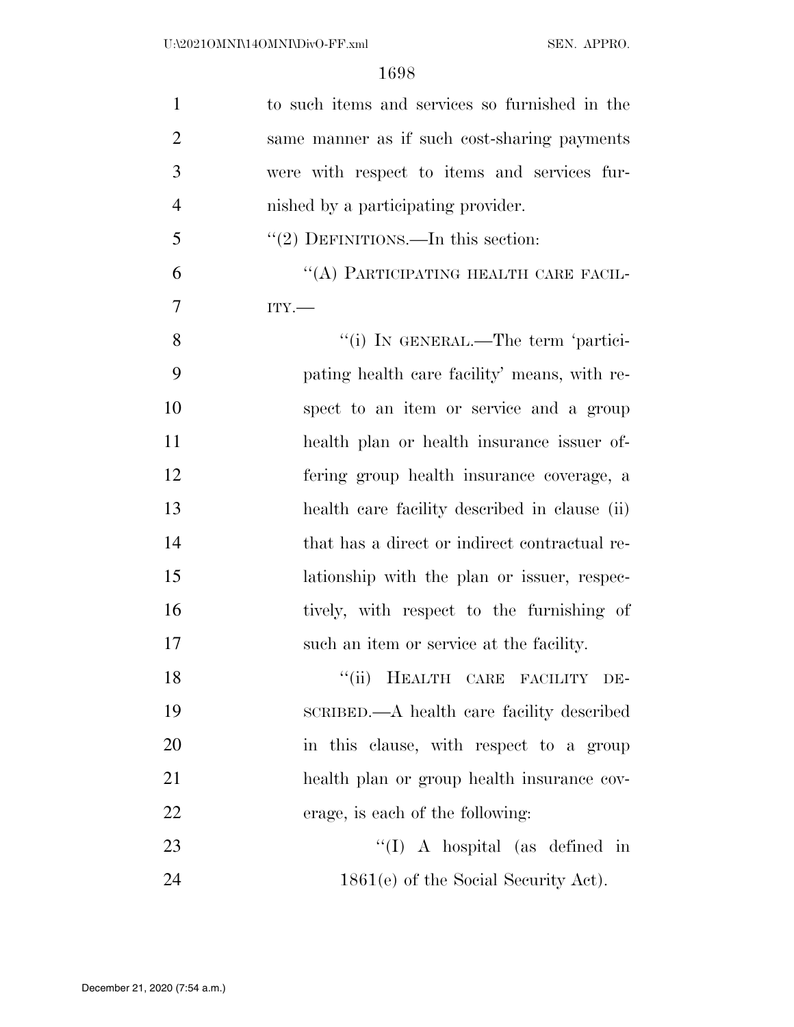| 1              | to such items and services so furnished in the |
|----------------|------------------------------------------------|
| $\overline{2}$ | same manner as if such cost-sharing payments   |
| 3              | were with respect to items and services fur-   |
| $\overline{4}$ | nished by a participating provider.            |
| 5              | "(2) DEFINITIONS.—In this section:             |
| 6              | "(A) PARTICIPATING HEALTH CARE FACIL-          |
| $\overline{7}$ | $ITY$ .                                        |
| 8              | "(i) IN GENERAL.—The term 'partici-            |
| 9              | pating health care facility' means, with re-   |
| 10             | spect to an item or service and a group        |
| 11             | health plan or health insurance issuer of-     |
| 12             | fering group health insurance coverage, a      |
| 13             | health care facility described in clause (ii)  |
| 14             | that has a direct or indirect contractual re-  |
| 15             | lationship with the plan or issuer, respec-    |
| 16             | tively, with respect to the furnishing of      |
| 17             | such an item or service at the facility.       |
| 18             | "(ii) HEALTH CARE FACILITY<br>DE-              |
| 19             | SCRIBED.—A health care facility described      |
| 20             | in this clause, with respect to a group        |
| 21             | health plan or group health insurance cov-     |
| 22             | erage, is each of the following:               |
| 23             | "(I) A hospital (as defined in                 |
| 24             | $1861(e)$ of the Social Security Act).         |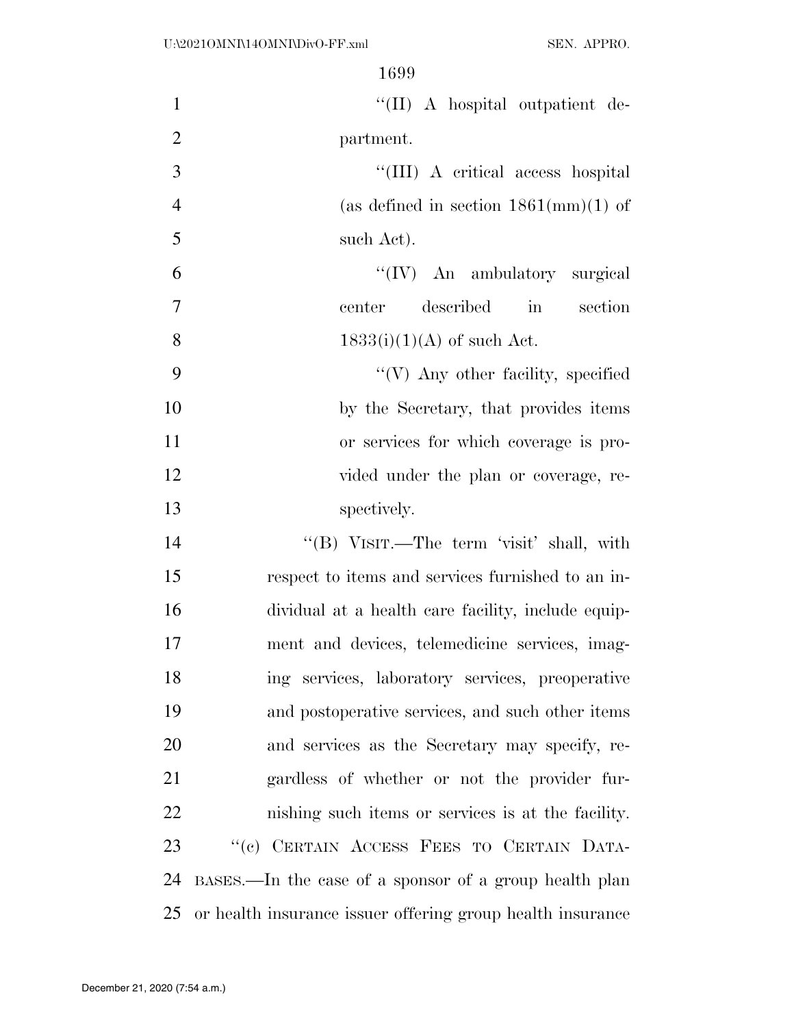| "(II) A hospital outpatient de-                            | $\mathbf{1}$   |
|------------------------------------------------------------|----------------|
| partment.                                                  | $\overline{2}$ |
| "(III) A critical access hospital                          | 3              |
| (as defined in section $1861 \text{(mm)}(1)$ of            | $\overline{4}$ |
| such Act).                                                 | 5              |
| "(IV) An ambulatory surgical                               | 6              |
| described in section<br>center                             | $\overline{7}$ |
| $1833(i)(1)(A)$ of such Act.                               | 8              |
| "(V) Any other facility, specified                         | 9              |
| by the Secretary, that provides items                      | 10             |
| or services for which coverage is pro-                     | 11             |
| vided under the plan or coverage, re-                      | 12             |
| spectively.                                                | 13             |
| "(B) VISIT.—The term 'visit' shall, with                   | 14             |
| respect to items and services furnished to an in-          | 15             |
| dividual at a health care facility, include equip-         | 16             |
| ment and devices, telemedicine services, imag-             | 17             |
| ing services, laboratory services, preoperative            | 18             |
| and postoperative services, and such other items           | 19             |
| and services as the Secretary may specify, re-             | 20             |
| gardless of whether or not the provider fur-               | 21             |
| nishing such items or services is at the facility.         | 22             |
| "(c) CERTAIN ACCESS FEES TO CERTAIN DATA-                  | 23             |
| BASES.—In the case of a sponsor of a group health plan     | 24             |
| or health insurance issuer offering group health insurance | 25             |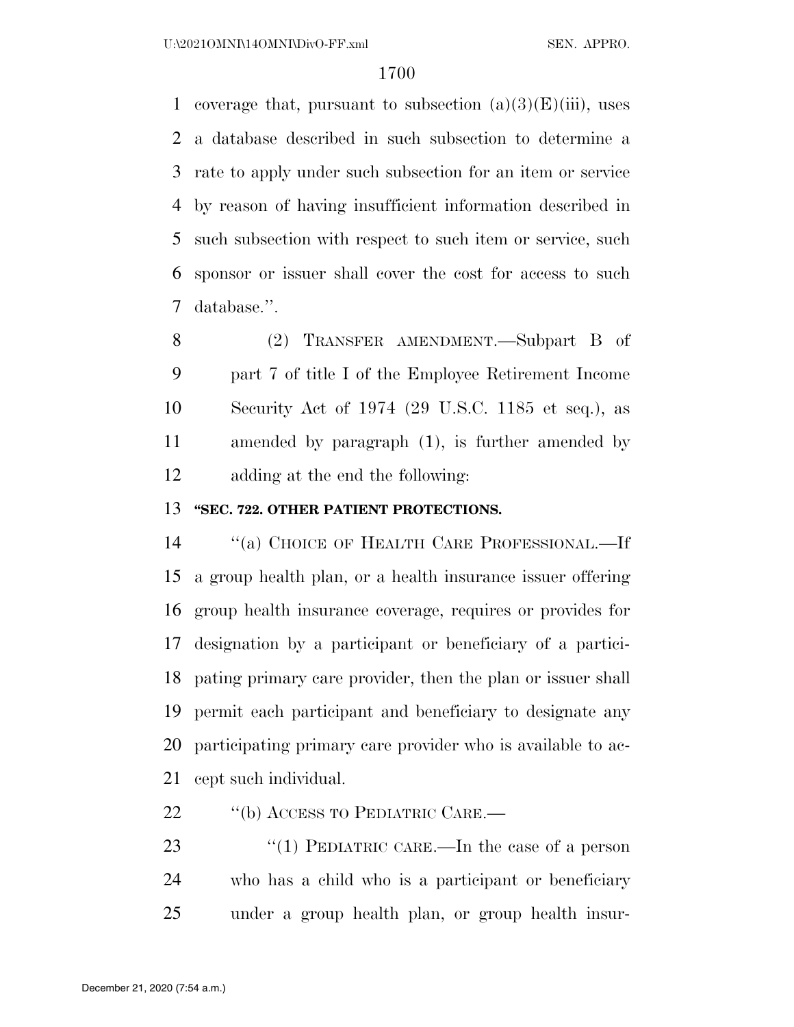1 coverage that, pursuant to subsection  $(a)(3)(E)(iii)$ , uses a database described in such subsection to determine a rate to apply under such subsection for an item or service by reason of having insufficient information described in such subsection with respect to such item or service, such sponsor or issuer shall cover the cost for access to such database.''.

 (2) TRANSFER AMENDMENT.—Subpart B of part 7 of title I of the Employee Retirement Income Security Act of 1974 (29 U.S.C. 1185 et seq.), as amended by paragraph (1), is further amended by adding at the end the following:

### **''SEC. 722. OTHER PATIENT PROTECTIONS.**

 ''(a) CHOICE OF HEALTH CARE PROFESSIONAL.—If a group health plan, or a health insurance issuer offering group health insurance coverage, requires or provides for designation by a participant or beneficiary of a partici- pating primary care provider, then the plan or issuer shall permit each participant and beneficiary to designate any participating primary care provider who is available to ac-cept such individual.

22 "(b) ACCESS TO PEDIATRIC CARE.—

23 "(1) PEDIATRIC CARE.—In the case of a person who has a child who is a participant or beneficiary under a group health plan, or group health insur-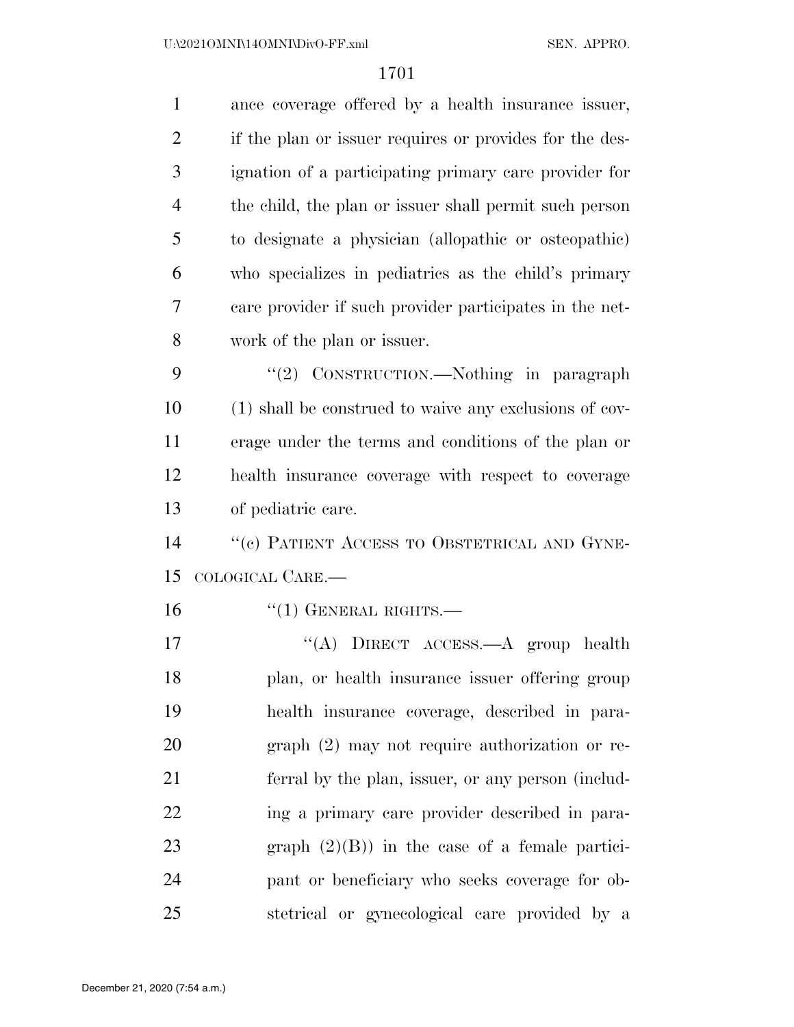| $\mathbf{1}$   | ance coverage offered by a health insurance issuer,     |
|----------------|---------------------------------------------------------|
| 2              | if the plan or issuer requires or provides for the des- |
| 3              | ignation of a participating primary care provider for   |
| $\overline{4}$ | the child, the plan or issuer shall permit such person  |
| 5              | to designate a physician (allopathic or osteopathic)    |
| 6              | who specializes in pediatrics as the child's primary    |
| 7              | care provider if such provider participates in the net- |
| 8              | work of the plan or issuer.                             |
| 9              | "(2) CONSTRUCTION.—Nothing in paragraph                 |
| 10             | (1) shall be construed to waive any exclusions of cov-  |
| 11             | erage under the terms and conditions of the plan or     |

 health insurance coverage with respect to coverage of pediatric care.

14 "(c) PATIENT ACCESS TO OBSTETRICAL AND GYNE-COLOGICAL CARE.—

16 "(1) GENERAL RIGHTS.—

17 "(A) DIRECT ACCESS.—A group health plan, or health insurance issuer offering group health insurance coverage, described in para- graph (2) may not require authorization or re- ferral by the plan, issuer, or any person (includ- ing a primary care provider described in para- graph (2)(B)) in the case of a female partici- pant or beneficiary who seeks coverage for ob-stetrical or gynecological care provided by a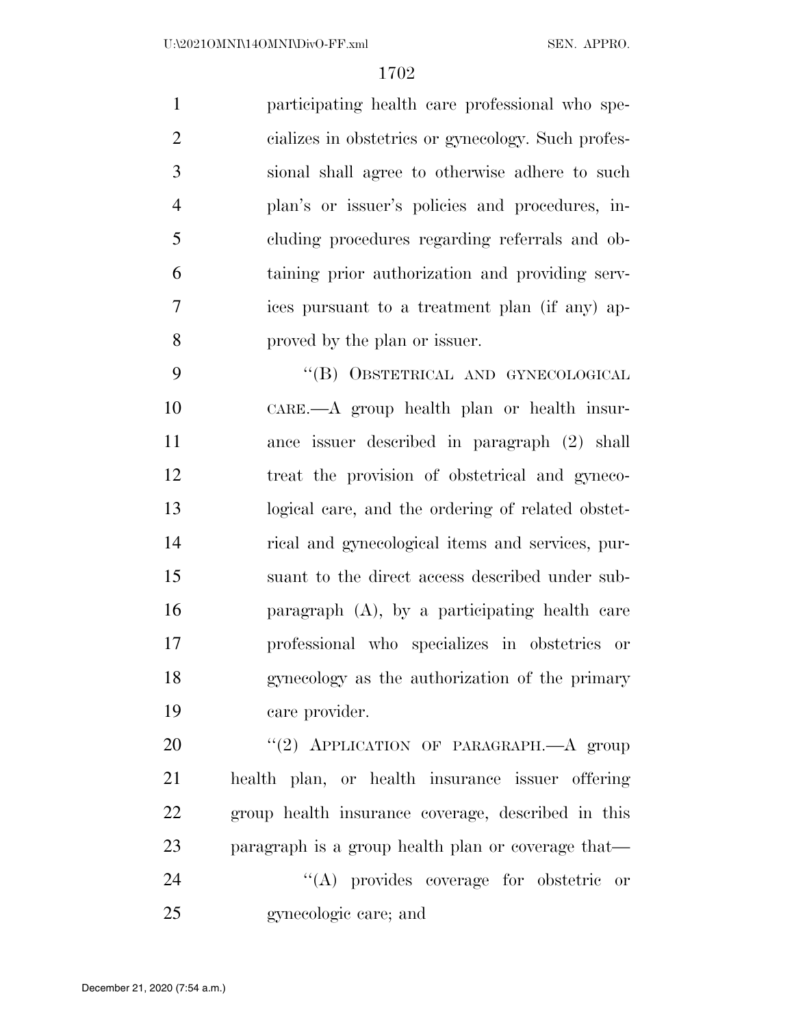participating health care professional who spe- cializes in obstetrics or gynecology. Such profes- sional shall agree to otherwise adhere to such plan's or issuer's policies and procedures, in- cluding procedures regarding referrals and ob- taining prior authorization and providing serv- ices pursuant to a treatment plan (if any) ap-proved by the plan or issuer.

 ''(B) OBSTETRICAL AND GYNECOLOGICAL CARE.—A group health plan or health insur- ance issuer described in paragraph (2) shall treat the provision of obstetrical and gyneco- logical care, and the ordering of related obstet- rical and gynecological items and services, pur- suant to the direct access described under sub- paragraph (A), by a participating health care professional who specializes in obstetrics or gynecology as the authorization of the primary care provider.

20 "(2) APPLICATION OF PARAGRAPH.—A group health plan, or health insurance issuer offering group health insurance coverage, described in this paragraph is a group health plan or coverage that— ''(A) provides coverage for obstetric or gynecologic care; and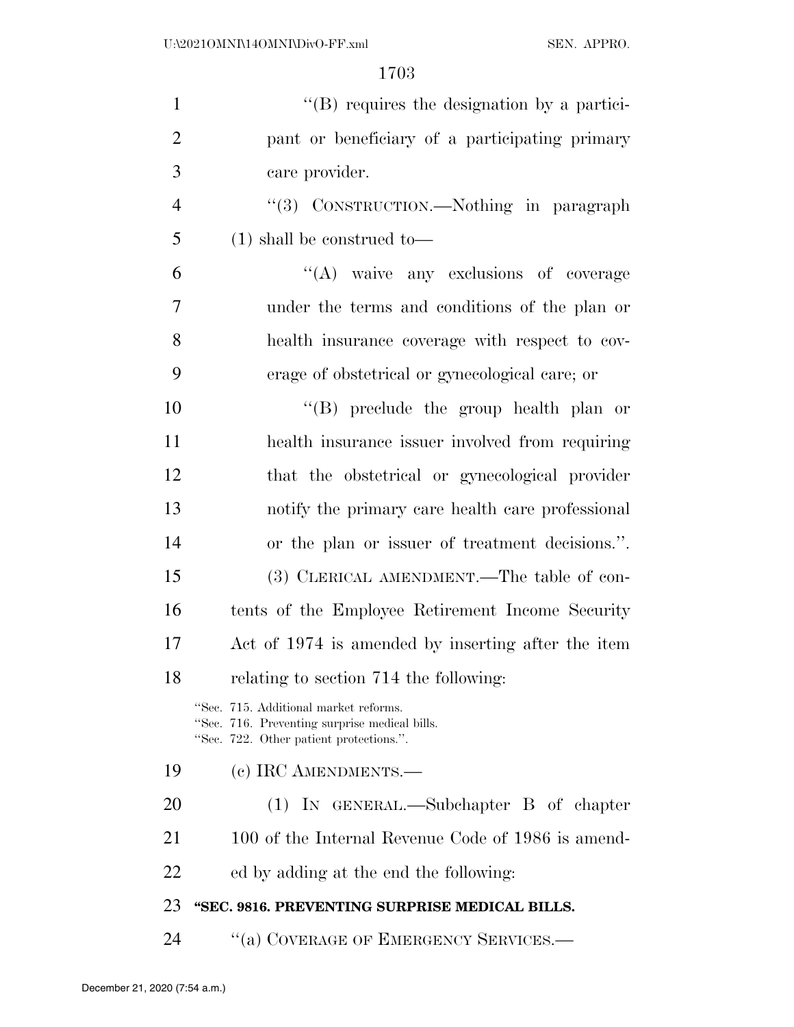| $\mathbf{1}$   | $\lq\lq$ requires the designation by a partici-                                                                                   |
|----------------|-----------------------------------------------------------------------------------------------------------------------------------|
| $\overline{2}$ | pant or beneficiary of a participating primary                                                                                    |
| 3              | care provider.                                                                                                                    |
| $\overline{4}$ | "(3) CONSTRUCTION.—Nothing in paragraph                                                                                           |
| 5              | $(1)$ shall be construed to-                                                                                                      |
| 6              | "(A) waive any exclusions of coverage                                                                                             |
| 7              | under the terms and conditions of the plan or                                                                                     |
| 8              | health insurance coverage with respect to cov-                                                                                    |
| 9              | erage of obstetrical or gynecological care; or                                                                                    |
| 10             | $\lq\lq$ (B) preclude the group health plan or                                                                                    |
| 11             | health insurance issuer involved from requiring                                                                                   |
| 12             | that the obstetrical or gynecological provider                                                                                    |
| 13             | notify the primary care health care professional                                                                                  |
| 14             | or the plan or issuer of treatment decisions.".                                                                                   |
| 15             | (3) CLERICAL AMENDMENT.—The table of con-                                                                                         |
| 16             | tents of the Employee Retirement Income Security                                                                                  |
| 17             | Act of 1974 is amended by inserting after the item                                                                                |
| 18             | relating to section 714 the following:                                                                                            |
|                | "Sec. 715. Additional market reforms.<br>"Sec. 716. Preventing surprise medical bills.<br>"Sec. 722. Other patient protections.". |
| 19             | (c) IRC AMENDMENTS.—                                                                                                              |
| 20             | $(1)$ IN GENERAL.—Subchapter B of chapter                                                                                         |
| 21             | 100 of the Internal Revenue Code of 1986 is amend-                                                                                |
| 22             | ed by adding at the end the following:                                                                                            |
| 23             | "SEC. 9816. PREVENTING SURPRISE MEDICAL BILLS.                                                                                    |
| 24             | "(a) COVERAGE OF EMERGENCY SERVICES.—                                                                                             |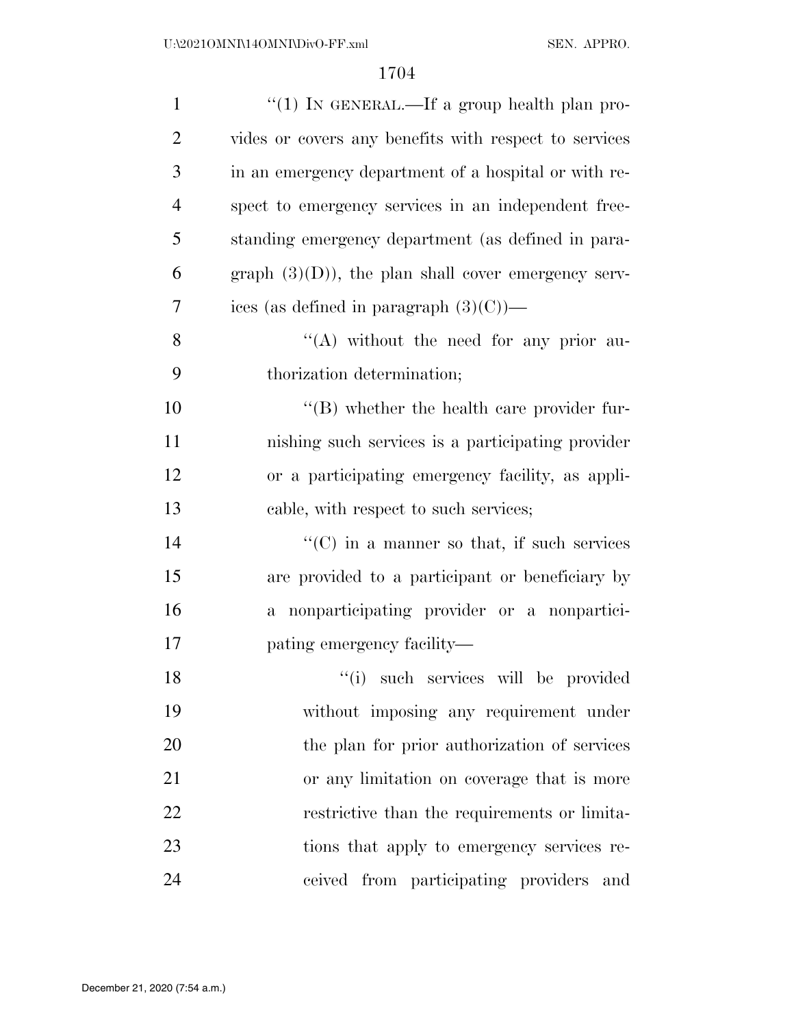| $\mathbf{1}$   | "(1) IN GENERAL.—If a group health plan pro-               |
|----------------|------------------------------------------------------------|
| $\overline{2}$ | vides or covers any benefits with respect to services      |
| 3              | in an emergency department of a hospital or with re-       |
| $\overline{4}$ | spect to emergency services in an independent free-        |
| 5              | standing emergency department (as defined in para-         |
| 6              | graph $(3)(D)$ , the plan shall cover emergency serv-      |
| 7              | ices (as defined in paragraph $(3)(C)$ )—                  |
| 8              | "(A) without the need for any prior au-                    |
| 9              | thorization determination;                                 |
| 10             | $\lq\lq$ whether the health care provider fur-             |
| 11             | nishing such services is a participating provider          |
| 12             | or a participating emergency facility, as appli-           |
| 13             | cable, with respect to such services;                      |
| 14             | $\lq\lq$ (C) in a manner so that, if such services         |
| 15             | are provided to a participant or beneficiary by            |
| 16             | nonparticipating provider or a nonpartici-<br>$\mathbf{a}$ |
| 17             | pating emergency facility—                                 |
| 18             | "(i) such services will be provided                        |
| 19             | without imposing any requirement under                     |
| 20             | the plan for prior authorization of services               |
| 21             | or any limitation on coverage that is more                 |
| 22             | restrictive than the requirements or limita-               |
| 23             | tions that apply to emergency services re-                 |
| 24             | ceived from participating providers<br>and                 |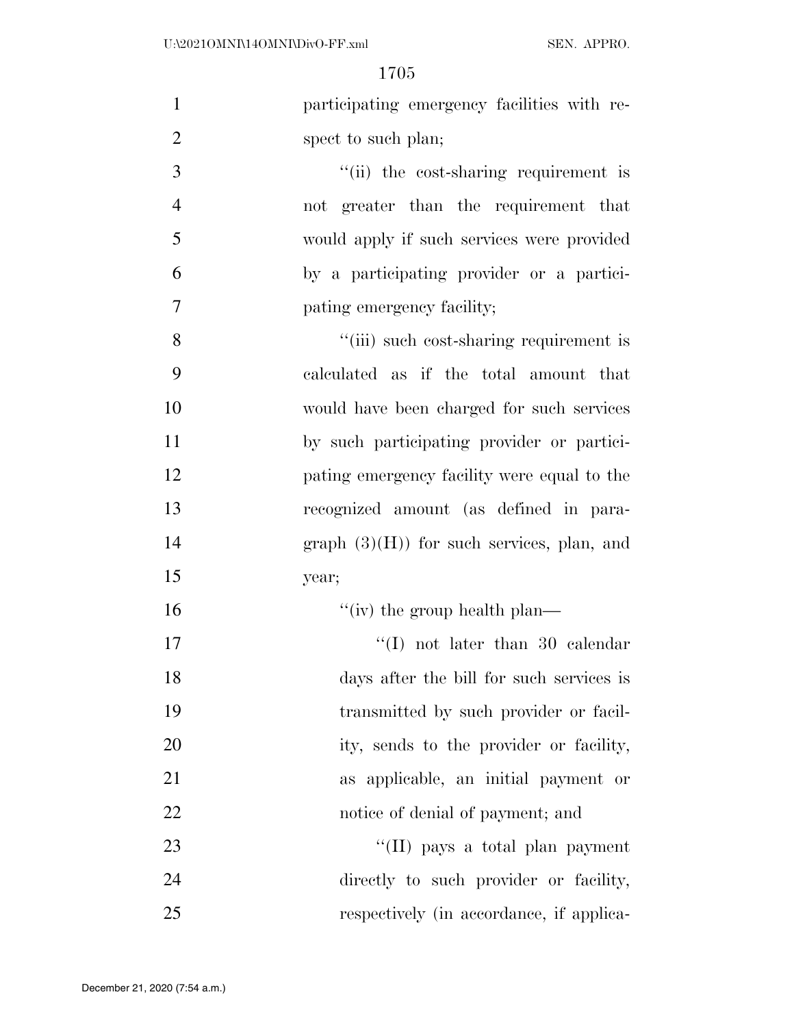| $\mathbf{1}$   | participating emergency facilities with re- |
|----------------|---------------------------------------------|
| $\overline{2}$ | spect to such plan;                         |
| 3              | "(ii) the cost-sharing requirement is       |
| $\overline{4}$ | not greater than the requirement that       |
| 5              | would apply if such services were provided  |
| 6              | by a participating provider or a partici-   |
| $\overline{7}$ | pating emergency facility;                  |
| 8              | "(iii) such cost-sharing requirement is     |
| 9              | calculated as if the total amount that      |
| 10             | would have been charged for such services   |
| 11             | by such participating provider or partici-  |
| 12             | pating emergency facility were equal to the |
| 13             | recognized amount (as defined in para-      |
| 14             | $graph (3)(H)$ for such services, plan, and |
| 15             | year;                                       |
| 16             | "(iv) the group health plan—                |
| 17             | $\lq\lq$ (I) not later than 30 calendar     |
| 18             | days after the bill for such services is    |
| 19             | transmitted by such provider or facil-      |
| 20             | ity, sends to the provider or facility,     |
| 21             | as applicable, an initial payment or        |
| 22             | notice of denial of payment; and            |
| 23             | "(II) pays a total plan payment             |
| 24             | directly to such provider or facility,      |
| 25             | respectively (in accordance, if applica-    |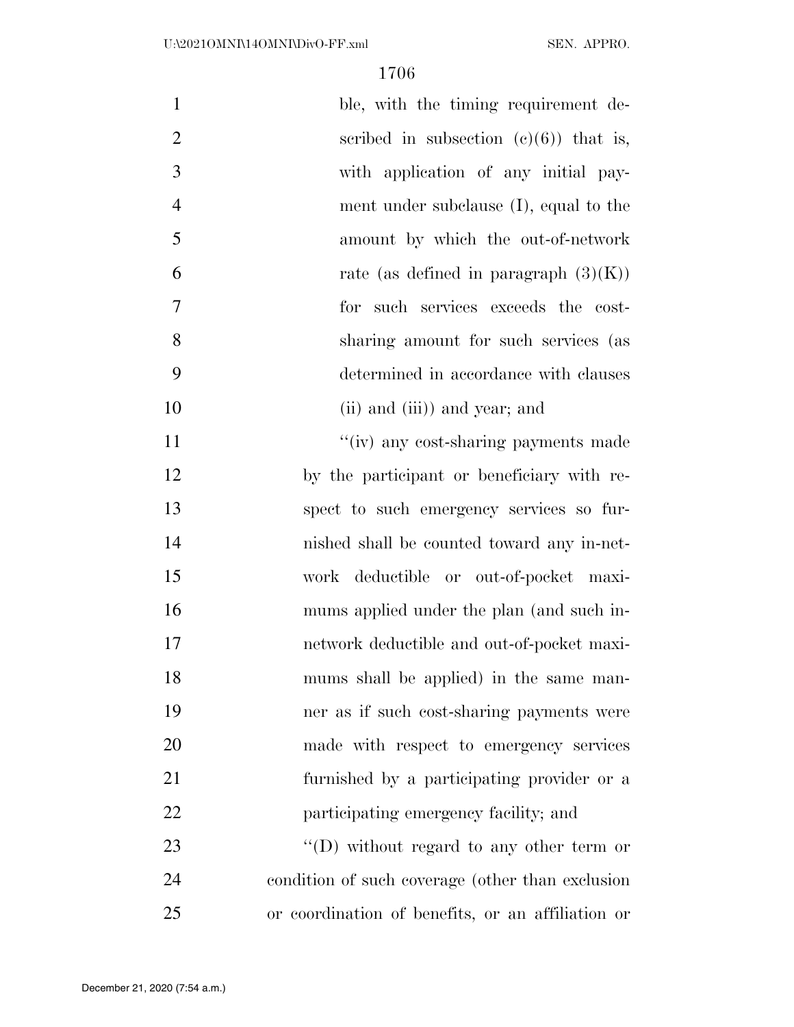| $\mathbf{1}$   | ble, with the timing requirement de-              |
|----------------|---------------------------------------------------|
| $\overline{2}$ | scribed in subsection $(e)(6)$ that is,           |
| 3              | with application of any initial pay-              |
| $\overline{4}$ | ment under subclause $(I)$ , equal to the         |
| 5              | amount by which the out-of-network                |
| 6              | rate (as defined in paragraph $(3)(K)$ )          |
| 7              | for such services exceeds the cost-               |
| 8              | sharing amount for such services (as              |
| 9              | determined in accordance with clauses             |
| 10             | (ii) and (iii)) and year; and                     |
| 11             | "(iv) any cost-sharing payments made              |
| 12             | by the participant or beneficiary with re-        |
| 13             | spect to such emergency services so fur-          |
| 14             | nished shall be counted toward any in-net-        |
| 15             | work deductible or out-of-pocket maxi-            |
| 16             | mums applied under the plan (and such in-         |
| 17             | network deductible and out-of-pocket maxi-        |
| 18             | mums shall be applied) in the same man-           |
| 19             | ner as if such cost-sharing payments were         |
| 20             | made with respect to emergency services           |
| 21             | furnished by a participating provider or a        |
| 22             | participating emergency facility; and             |
| 23             | "(D) without regard to any other term or          |
| 24             | condition of such coverage (other than exclusion  |
| 25             | or coordination of benefits, or an affiliation or |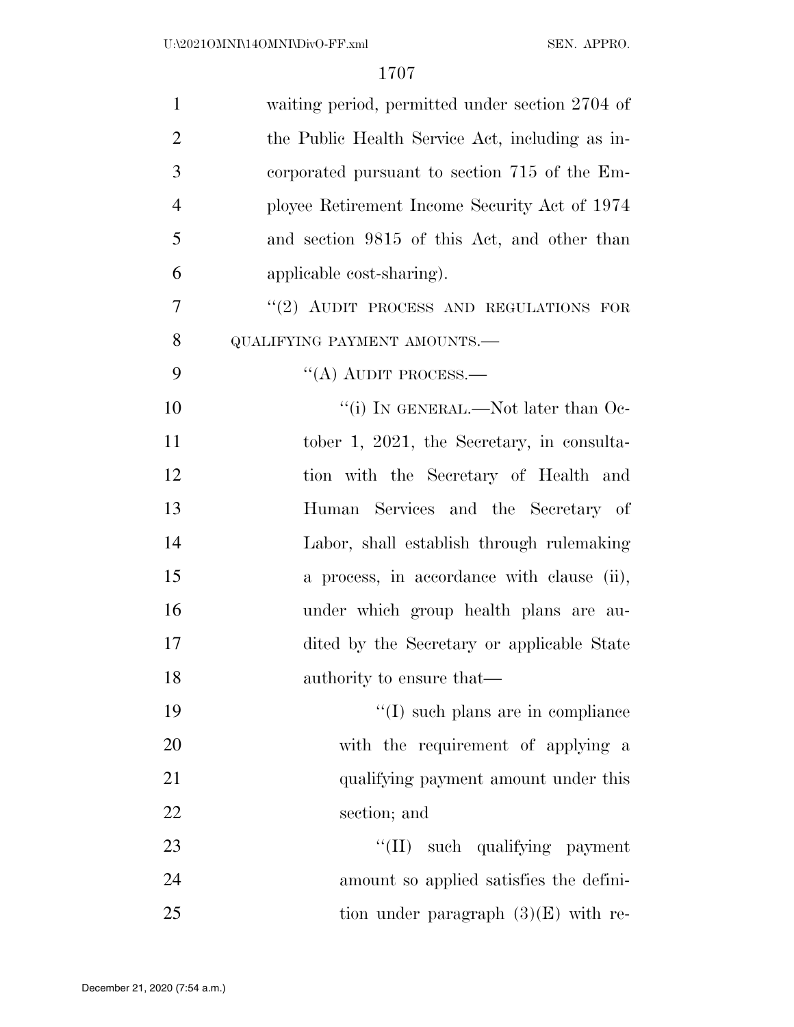| $\mathbf{1}$   | waiting period, permitted under section 2704 of |
|----------------|-------------------------------------------------|
| $\overline{2}$ | the Public Health Service Act, including as in- |
| 3              | corporated pursuant to section 715 of the Em-   |
| $\overline{4}$ | ployee Retirement Income Security Act of 1974   |
| 5              | and section 9815 of this Act, and other than    |
| 6              | applicable cost-sharing).                       |
| 7              | "(2) AUDIT PROCESS AND REGULATIONS FOR          |
| 8              | QUALIFYING PAYMENT AMOUNTS.-                    |
| 9              | $\lq\lq$ (A) AUDIT PROCESS.—                    |
| 10             | "(i) IN GENERAL.—Not later than $Oe$ -          |
| 11             | tober 1, 2021, the Secretary, in consulta-      |
| 12             | tion with the Secretary of Health and           |
| 13             | Human Services and the Secretary of             |
| 14             | Labor, shall establish through rulemaking       |
| 15             | a process, in accordance with clause (ii),      |
| 16             | under which group health plans are au-          |
| 17             | dited by the Secretary or applicable State      |
| 18             | authority to ensure that—                       |
| 19             | "(I) such plans are in compliance               |
| 20             | with the requirement of applying a              |
| 21             | qualifying payment amount under this            |
| 22             | section; and                                    |
| 23             | "(II) such qualifying payment                   |
| 24             | amount so applied satisfies the defini-         |
| 25             | tion under paragraph $(3)(E)$ with re-          |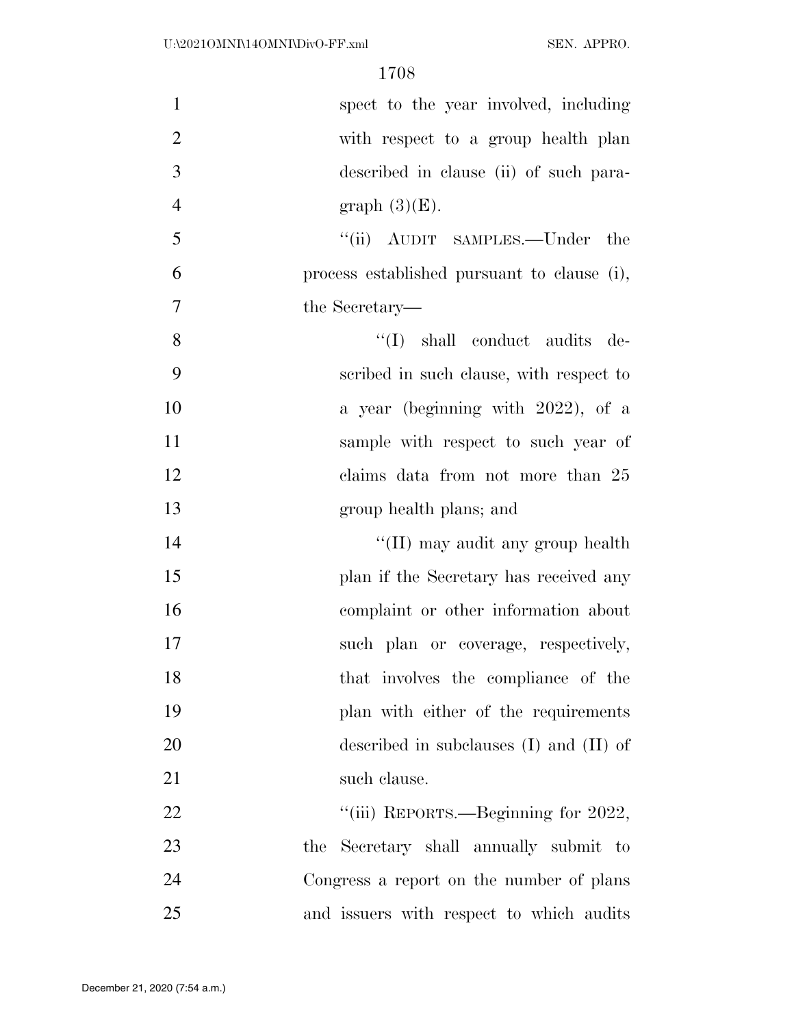| $\mathbf{1}$   | spect to the year involved, including       |
|----------------|---------------------------------------------|
| $\overline{2}$ | with respect to a group health plan         |
| 3              | described in clause (ii) of such para-      |
| $\overline{4}$ | graph $(3)(E)$ .                            |
| 5              | "(ii) AUDIT SAMPLES.—Under the              |
| 6              | process established pursuant to clause (i), |
| 7              | the Secretary—                              |
| 8              | "(I) shall conduct audits de-               |
| 9              | scribed in such clause, with respect to     |
| 10             | a year (beginning with 2022), of a          |
| 11             | sample with respect to such year of         |
| 12             | claims data from not more than 25           |
| 13             | group health plans; and                     |
| 14             | "(II) may audit any group health            |
| 15             | plan if the Secretary has received any      |
| 16             | complaint or other information about        |
| 17             | such plan or coverage, respectively,        |
| 18             | that involves the compliance of the         |
| 19             | plan with either of the requirements        |
| 20             | described in subclauses $(I)$ and $(II)$ of |
| 21             | such clause.                                |
| 22             | "(iii) REPORTS.—Beginning for 2022,         |
| 23             | the Secretary shall annually submit to      |
| 24             | Congress a report on the number of plans    |
| 25             | and issuers with respect to which audits    |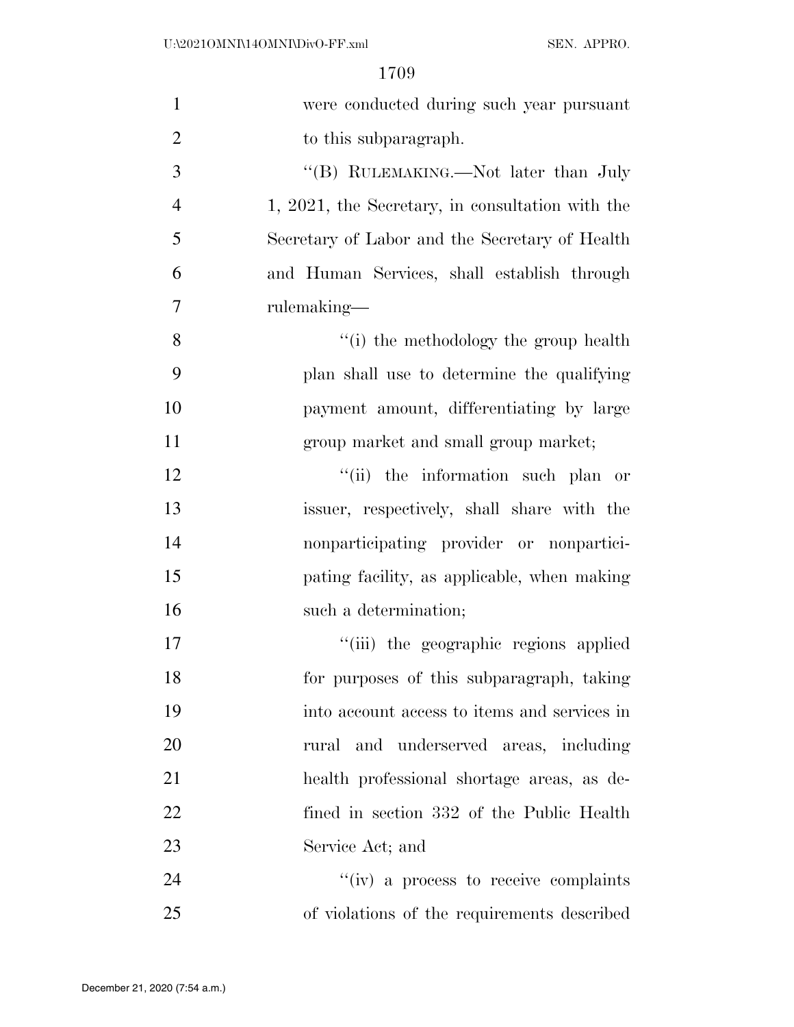| $\mathbf{1}$   | were conducted during such year pursuant         |
|----------------|--------------------------------------------------|
| $\overline{2}$ | to this subparagraph.                            |
| 3              | "(B) RULEMAKING.—Not later than July             |
| $\overline{4}$ | 1, 2021, the Secretary, in consultation with the |
| 5              | Secretary of Labor and the Secretary of Health   |
| 6              | and Human Services, shall establish through      |
| $\overline{7}$ | rulemaking—                                      |
| 8              | "(i) the methodology the group health            |
| 9              | plan shall use to determine the qualifying       |
| 10             | payment amount, differentiating by large         |
| 11             | group market and small group market;             |
| 12             | "(ii) the information such plan or               |
| 13             | issuer, respectively, shall share with the       |
| 14             | nonparticipating provider or nonpartici-         |
| 15             | pating facility, as applicable, when making      |
| 16             | such a determination;                            |
| 17             | "(iii) the geographic regions applied            |
| 18             | for purposes of this subparagraph, taking        |
| 19             | into account access to items and services in     |
| 20             | rural and underserved areas, including           |
| 21             | health professional shortage areas, as de-       |
| 22             | fined in section 332 of the Public Health        |
| 23             | Service Act; and                                 |
| 24             | "(iv) a process to receive complaints            |
| 25             | of violations of the requirements described      |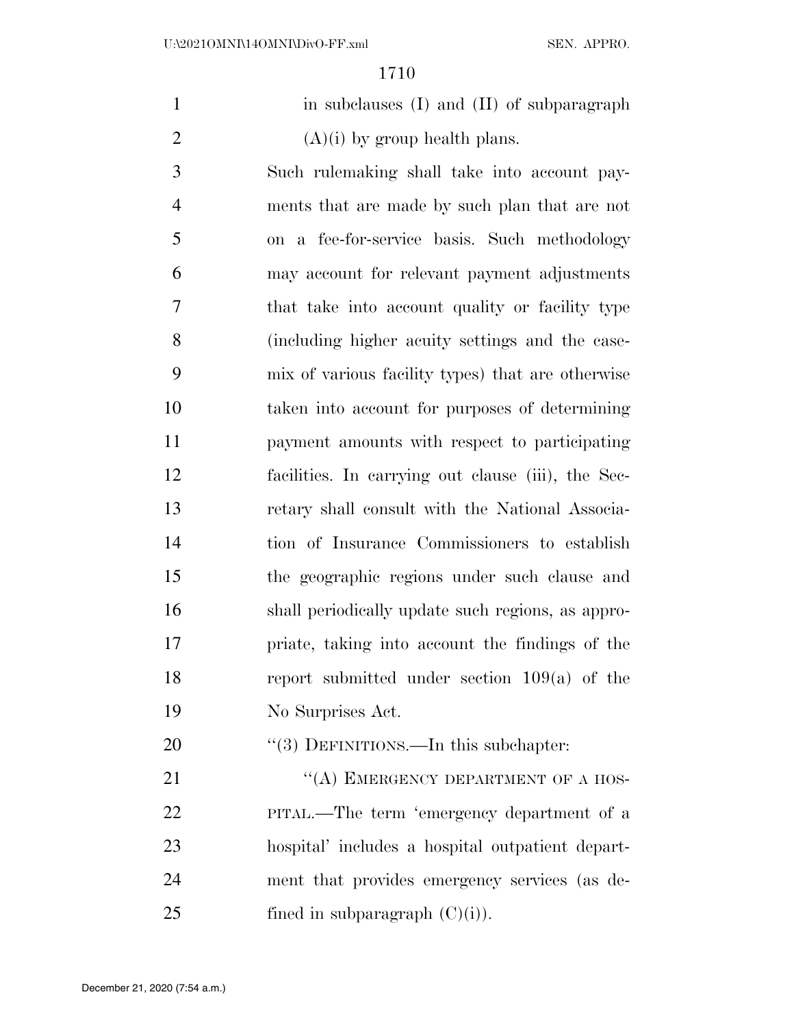1 in subclauses (I) and (II) of subparagraph 2  $(A)(i)$  by group health plans.

 Such rulemaking shall take into account pay- ments that are made by such plan that are not on a fee-for-service basis. Such methodology may account for relevant payment adjustments that take into account quality or facility type (including higher acuity settings and the case- mix of various facility types) that are otherwise taken into account for purposes of determining payment amounts with respect to participating facilities. In carrying out clause (iii), the Sec- retary shall consult with the National Associa- tion of Insurance Commissioners to establish the geographic regions under such clause and shall periodically update such regions, as appro- priate, taking into account the findings of the report submitted under section 109(a) of the No Surprises Act.

20 "(3) DEFINITIONS.—In this subchapter:

21 "(A) EMERGENCY DEPARTMENT OF A HOS- PITAL.—The term 'emergency department of a hospital' includes a hospital outpatient depart- ment that provides emergency services (as de-25 fined in subparagraph  $(C)(i)$ .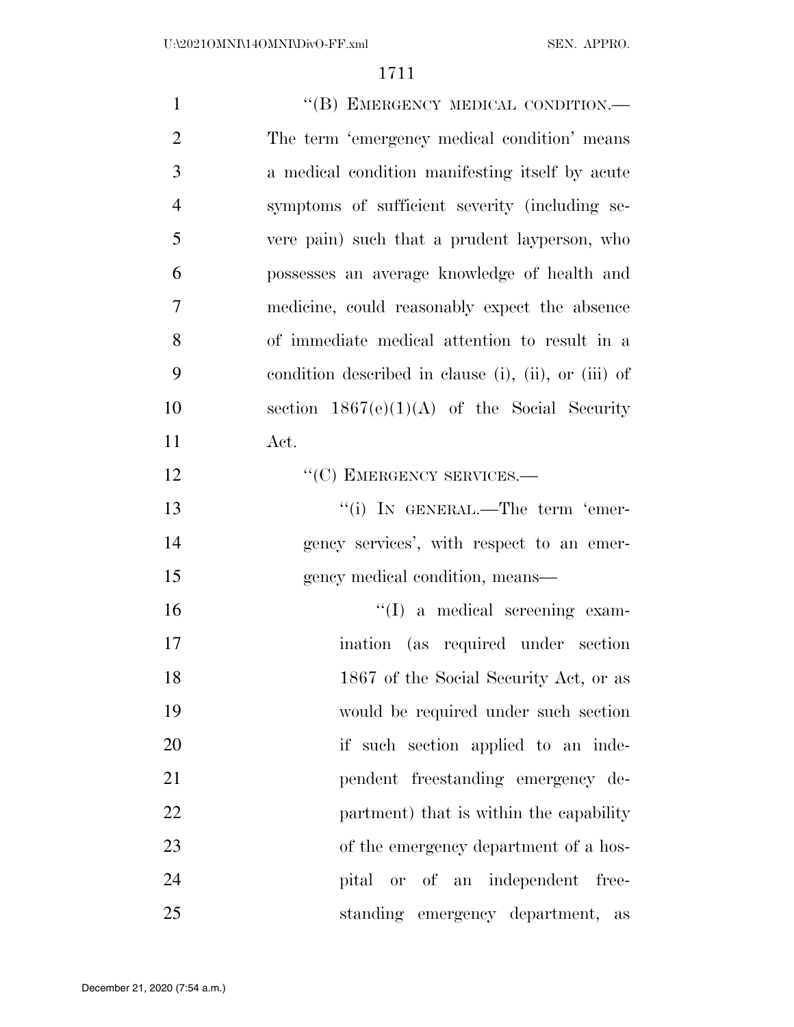| $\mathbf{1}$   | "(B) EMERGENCY MEDICAL CONDITION.-                   |
|----------------|------------------------------------------------------|
| $\overline{2}$ | The term 'emergency medical condition' means         |
| 3              | a medical condition manifesting itself by acute      |
| $\overline{4}$ | symptoms of sufficient severity (including se-       |
| 5              | vere pain) such that a prudent layperson, who        |
| 6              | possesses an average knowledge of health and         |
| $\overline{7}$ | medicine, could reasonably expect the absence        |
| 8              | of immediate medical attention to result in a        |
| 9              | condition described in clause (i), (ii), or (iii) of |
| 10             | section $1867(e)(1)(A)$ of the Social Security       |
| 11             | Act.                                                 |
| 12             | "(C) EMERGENCY SERVICES.-                            |
| 13             | "(i) IN GENERAL.—The term 'emer-                     |
| 14             | gency services', with respect to an emer-            |
| 15             | gency medical condition, means—                      |
| 16             | "(I) a medical screening exam-                       |
| 17             | ination (as required under section                   |
| 18             | 1867 of the Social Security Act, or as               |
| 19             | would be required under such section                 |
| 20             | if such section applied to an inde-                  |
| 21             | pendent freestanding emergency de-                   |
| 22             | partment) that is within the capability              |
| 23             | of the emergency department of a hos-                |
| 24             | pital or of an independent<br>free-                  |
| 25             | standing emergency department,<br>as                 |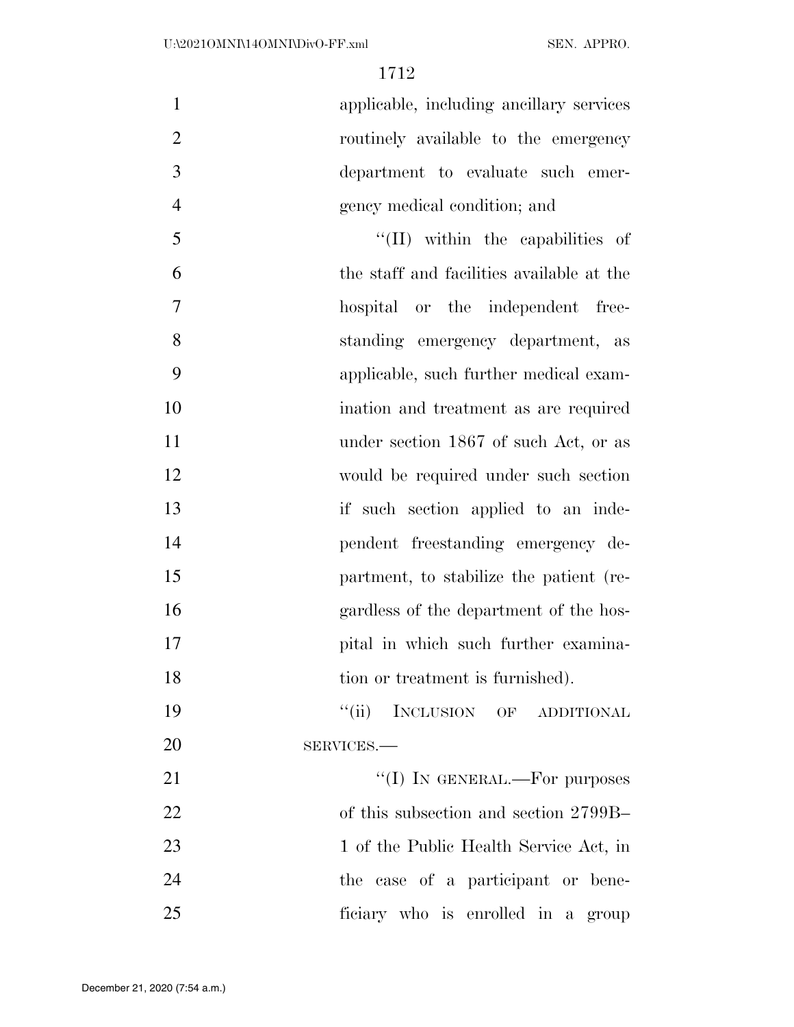applicable, including ancillary services routinely available to the emergency department to evaluate such emer-gency medical condition; and

5 ''(II) within the capabilities of the staff and facilities available at the hospital or the independent free- standing emergency department, as applicable, such further medical exam- ination and treatment as are required 11 under section 1867 of such Act, or as would be required under such section 13 if such section applied to an inde- pendent freestanding emergency de- partment, to stabilize the patient (re- gardless of the department of the hos-17 pital in which such further examina-18 tion or treatment is furnished).

19 "(ii) INCLUSION OF ADDITIONAL SERVICES.—

 $\text{``(I)}$  In GENERAL.—For purposes of this subsection and section 2799B– 23 1 of the Public Health Service Act, in the case of a participant or bene-ficiary who is enrolled in a group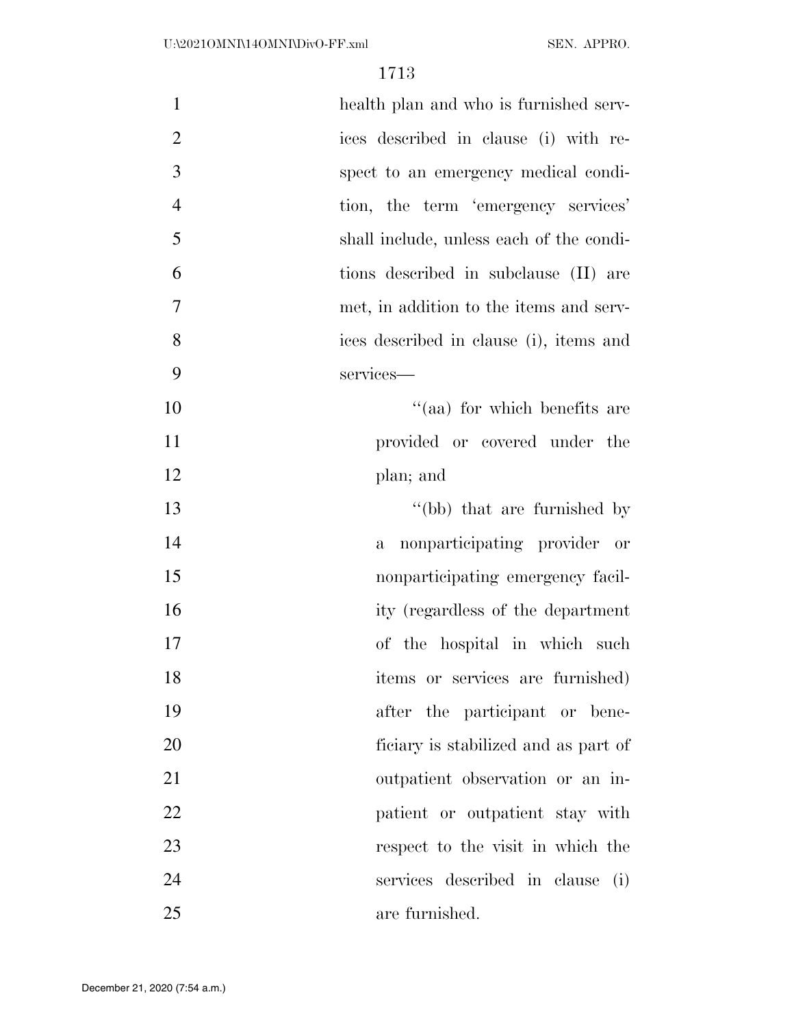| $\mathbf{1}$   | health plan and who is furnished serv-       |
|----------------|----------------------------------------------|
| $\overline{2}$ | ices described in clause (i) with re-        |
| 3              | spect to an emergency medical condi-         |
| $\overline{4}$ | tion, the term 'emergency services'          |
| 5              | shall include, unless each of the condi-     |
| 6              | tions described in subclause (II) are        |
| 7              | met, in addition to the items and serv-      |
| 8              | ices described in clause (i), items and      |
| 9              | services-                                    |
| 10             | "(aa) for which benefits are                 |
| 11             | provided or covered under the                |
| 12             | plan; and                                    |
| 13             | "(bb) that are furnished by                  |
| 14             | nonparticipating provider or<br>$\mathbf{a}$ |
| 15             | nonparticipating emergency facil-            |
| 16             | ity (regardless of the department            |
| 17             | of the hospital in which such                |
| 18             | items or services are furnished)             |
| 19             | after the participant or bene-               |
| 20             | ficiary is stabilized and as part of         |
| 21             | outpatient observation or an in-             |
| 22             | patient or outpatient stay with              |
| 23             | respect to the visit in which the            |
| 24             | services described in clause (i)             |
| 25             | are furnished.                               |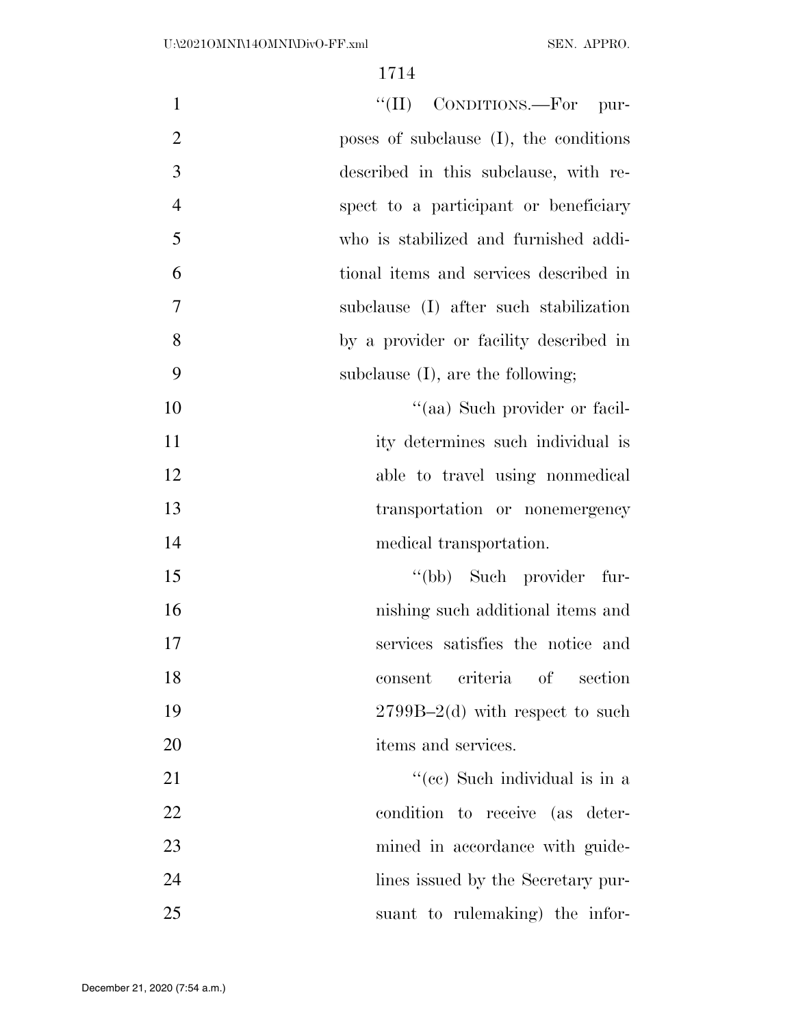| "(II) CONDITIONS.—For pur-<br>$\mathbf{1}$              |                |
|---------------------------------------------------------|----------------|
| poses of subclause (I), the conditions                  | $\overline{2}$ |
| 3<br>described in this subclause, with re-              |                |
| $\overline{4}$<br>spect to a participant or beneficiary |                |
| 5<br>who is stabilized and furnished addi-              |                |
| 6<br>tional items and services described in             |                |
| 7<br>subclause (I) after such stabilization             |                |
| 8<br>by a provider or facility described in             |                |
| 9<br>subclause $(I)$ , are the following;               |                |
| "(aa) Such provider or facil-                           | 10             |
| ity determines such individual is                       | 11             |
| able to travel using nonmedical                         | 12             |
| transportation or nonemergency                          | 13             |
| medical transportation.                                 | 14             |
| "(bb) Such provider fur-                                | 15             |
| nishing such additional items and                       | 16             |
| services satisfies the notice and                       | 17             |
| criteria<br>$\mathrm{of}$<br>consent<br>section         | 18             |
| $2799B-2(d)$ with respect to such                       | 19             |
| items and services.                                     | 20             |
| "(cc) Such individual is in a                           | 21             |
| condition to receive (as deter-                         | 22             |
| mined in accordance with guide-                         | 23             |
| lines issued by the Secretary pur-                      | 24             |
| suant to rulemaking) the infor-                         | 25             |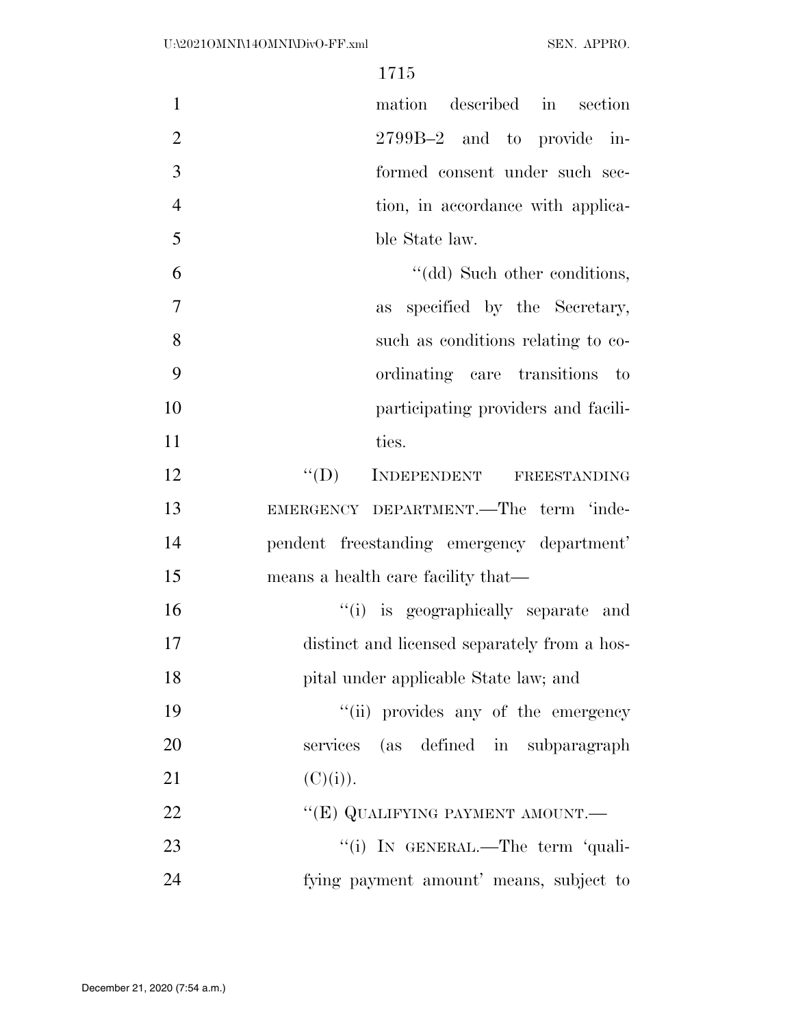| $\mathbf{1}$   | mation described in section                  |
|----------------|----------------------------------------------|
| $\mathbf{2}$   | 2799B-2 and to provide in-                   |
| $\overline{3}$ | formed consent under such sec-               |
| $\overline{4}$ | tion, in accordance with applica-            |
| 5              | ble State law.                               |
| 6              | "(dd) Such other conditions,                 |
| $\tau$         | specified by the Secretary,<br>as            |
| 8              | such as conditions relating to co-           |
| 9              | ordinating care transitions to               |
| 10             | participating providers and facili-          |
| 11             | ties.                                        |
| 12             | INDEPENDENT FREESTANDING<br>$\lq\lq (D)$     |
| 13             | EMERGENCY DEPARTMENT.—The term 'inde-        |
| 14             | pendent freestanding emergency department'   |
| 15             | means a health care facility that—           |
| 16             | "(i) is geographically separate and          |
| 17             | distinct and licensed separately from a hos- |
| 18             | pital under applicable State law; and        |
| 19             | "(ii) provides any of the emergency          |
| 20             | services (as defined in subparagraph         |
| 21             | (C)(i)).                                     |
| 22             | "(E) QUALIFYING PAYMENT AMOUNT.-             |
| 23             | "(i) IN GENERAL.—The term 'quali-            |
| 24             | fying payment amount' means, subject to      |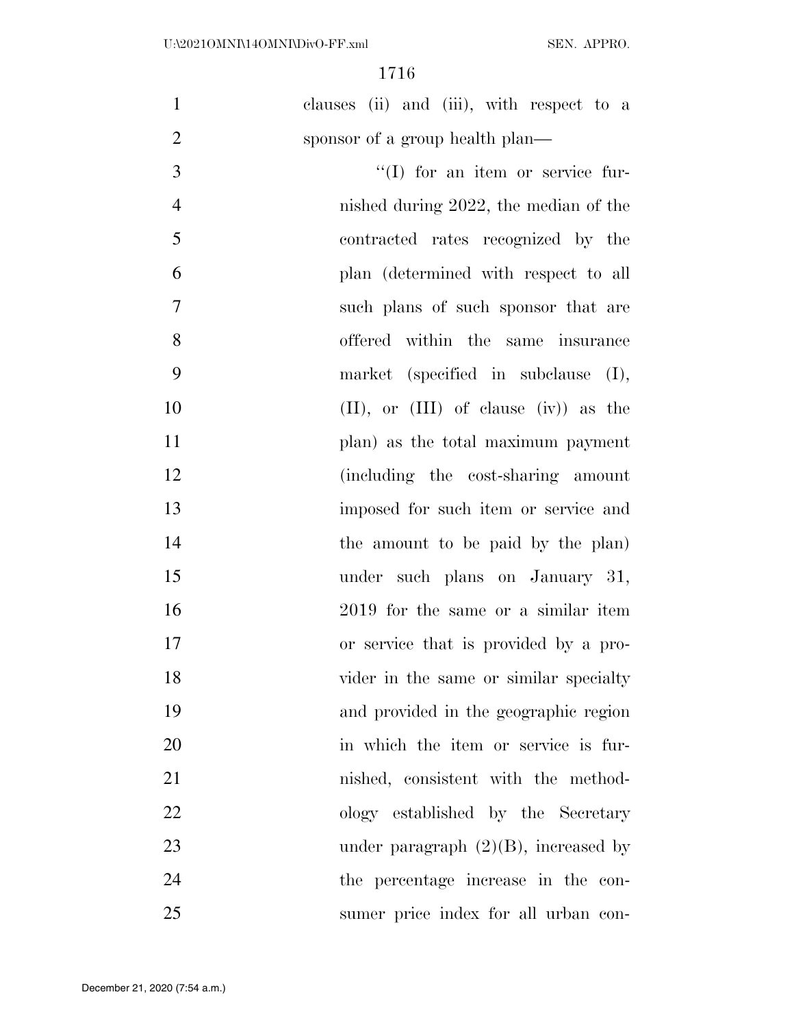| $\mathbf{1}$   | clauses (ii) and (iii), with respect to a   |
|----------------|---------------------------------------------|
| $\overline{2}$ | sponsor of a group health plan—             |
| 3              | $\lq\lq$ (I) for an item or service fur-    |
| $\overline{4}$ | nished during 2022, the median of the       |
| 5              | contracted rates recognized by the          |
| 6              | plan (determined with respect to all        |
| $\overline{7}$ | such plans of such sponsor that are         |
| 8              | offered within the same insurance           |
| 9              | market (specified in subclause (I),         |
| 10             | $(II)$ , or $(III)$ of clause $(iv)$ as the |
| 11             | plan) as the total maximum payment          |
| 12             | (including the cost-sharing amount          |
| 13             | imposed for such item or service and        |
| 14             | the amount to be paid by the plan)          |
| 15             | under such plans on January 31,             |
| 16             | 2019 for the same or a similar item         |
| 17             | or service that is provided by a pro-       |
| 18             | vider in the same or similar specialty      |
| 19             | and provided in the geographic region       |
| 20             | in which the item or service is fur-        |
| 21             | nished, consistent with the method-         |
| 22             | ology established by the Secretary          |
| 23             | under paragraph $(2)(B)$ , increased by     |
| 24             | the percentage increase in the con-         |
| 25             | sumer price index for all urban con-        |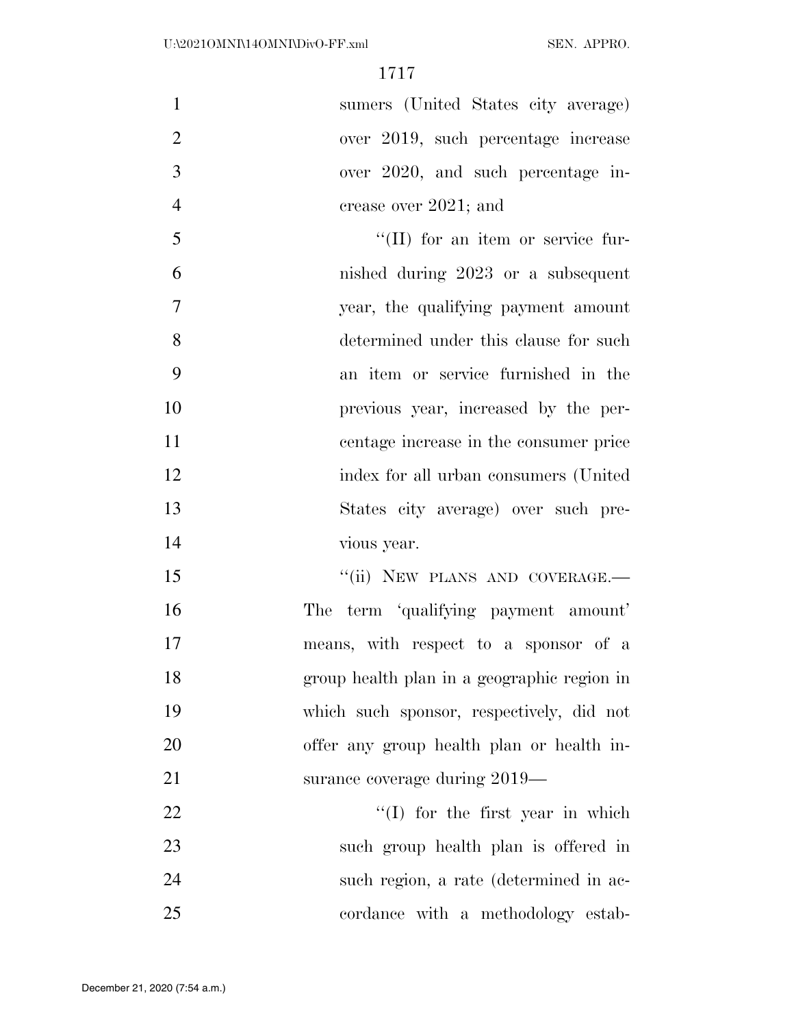sumers (United States city average) over 2019, such percentage increase over 2020, and such percentage in-4 crease over 2021; and

5 ''(II) for an item or service fur- nished during 2023 or a subsequent year, the qualifying payment amount determined under this clause for such an item or service furnished in the previous year, increased by the per- centage increase in the consumer price index for all urban consumers (United States city average) over such pre-vious year.

15 "(ii) NEW PLANS AND COVERAGE.— The term 'qualifying payment amount' means, with respect to a sponsor of a group health plan in a geographic region in which such sponsor, respectively, did not offer any group health plan or health in-21 surance coverage during 2019—

22 ''(I) for the first year in which such group health plan is offered in such region, a rate (determined in ac-25 cordance with a methodology estab-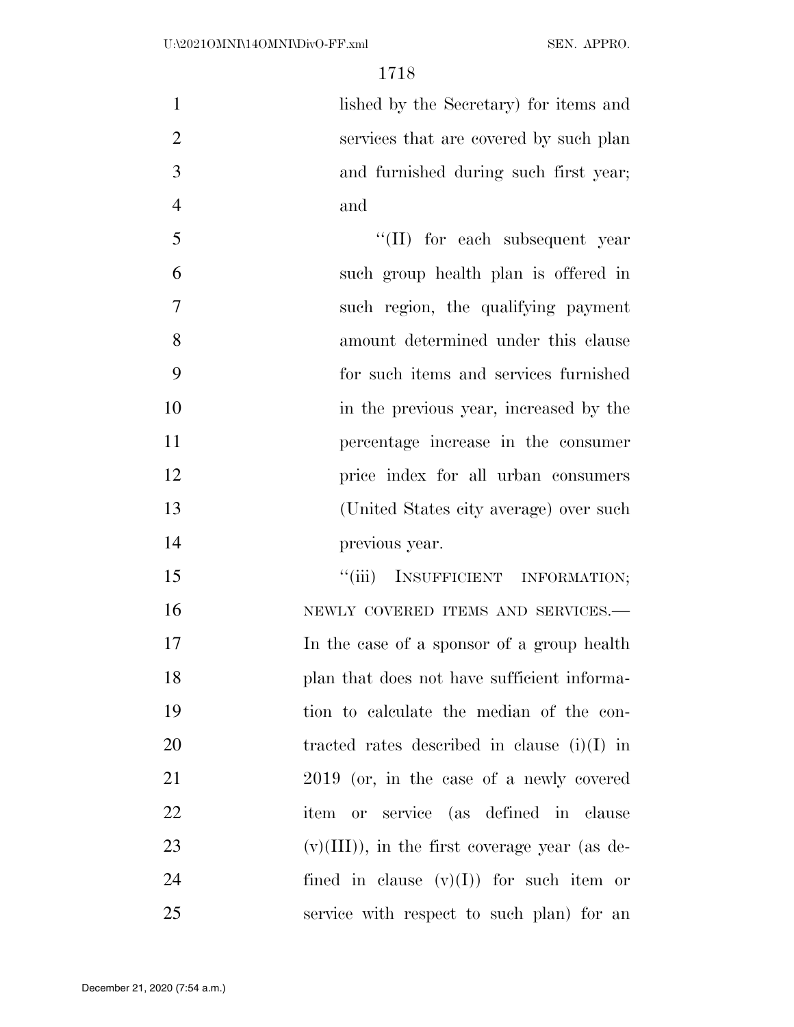lished by the Secretary) for items and services that are covered by such plan and furnished during such first year; and

 $\frac{1}{2}$  (II) for each subsequent year such group health plan is offered in such region, the qualifying payment amount determined under this clause for such items and services furnished in the previous year, increased by the percentage increase in the consumer price index for all urban consumers (United States city average) over such previous year.

15 "(iii) INSUFFICIENT INFORMATION; 16 NEWLY COVERED ITEMS AND SERVICES. In the case of a sponsor of a group health 18 plan that does not have sufficient informa- tion to calculate the median of the con- tracted rates described in clause (i)(I) in 2019 (or, in the case of a newly covered item or service (as defined in clause 23 (v)(III)), in the first coverage year (as de-24 fined in clause  $(v)(I)$  for such item or service with respect to such plan) for an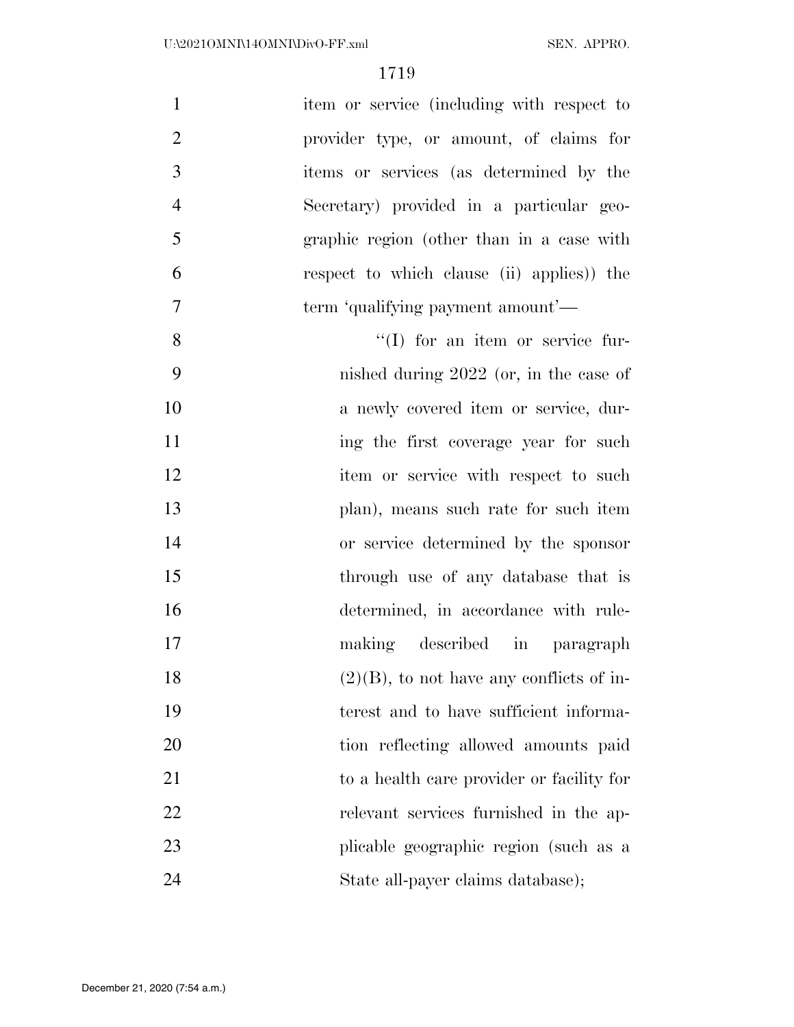| $\mathbf{1}$   | item or service (including with respect to  |
|----------------|---------------------------------------------|
| $\overline{2}$ | provider type, or amount, of claims for     |
| 3              | items or services (as determined by the     |
| $\overline{4}$ | Secretary) provided in a particular geo-    |
| 5              | graphic region (other than in a case with   |
| 6              | respect to which clause (ii) applies) the   |
| $\overline{7}$ | term 'qualifying payment amount'—           |
| 8              | $\lq\lq$ (I) for an item or service fur-    |
| 9              | nished during $2022$ (or, in the case of    |
| 10             | a newly covered item or service, dur-       |
| 11             | ing the first coverage year for such        |
| 12             | item or service with respect to such        |
| 13             | plan), means such rate for such item        |
| 14             | or service determined by the sponsor        |
| 15             | through use of any database that is         |
| 16             | determined, in accordance with rule-        |
| 17             | making described<br>in paragraph            |
| 18             | $(2)(B)$ , to not have any conflicts of in- |
| 19             | terest and to have sufficient informa-      |
| 20             | tion reflecting allowed amounts paid        |
| 21             | to a health care provider or facility for   |
| 22             | relevant services furnished in the ap-      |
| 23             | plicable geographic region (such as a       |
| 24             | State all-payer claims database);           |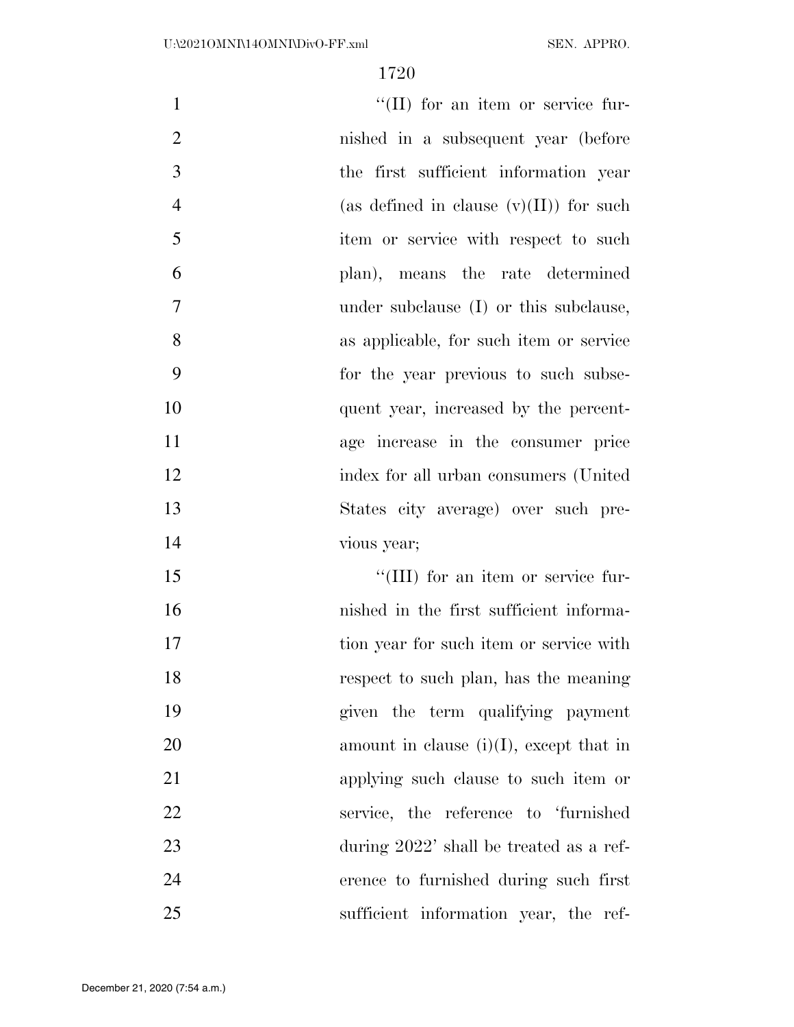| $\mathbf{1}$   | $\lq\lq$ (II) for an item or service fur-  |
|----------------|--------------------------------------------|
| $\overline{2}$ | nished in a subsequent year (before        |
| 3              | the first sufficient information year      |
| $\overline{4}$ | (as defined in clause $(v)(II)$ ) for such |
| 5              | item or service with respect to such       |
| 6              | plan), means the rate determined           |
| 7              | under subclause (I) or this subclause,     |
| 8              | as applicable, for such item or service    |
| 9              | for the year previous to such subse-       |
| 10             | quent year, increased by the percent-      |
| 11             | age increase in the consumer price         |
| 12             | index for all urban consumers (United      |
| 13             | States city average) over such pre-        |
| 14             | vious year;                                |
| 15             | $\lq\lq$ (III) for an item or service fur- |
| 16             | nished in the first sufficient informa-    |
| 17             | tion year for such item or service with    |
| 18             | respect to such plan, has the meaning      |
| 19             | given the term qualifying payment          |
| 20             | amount in clause $(i)(I)$ , except that in |
| 21             | applying such clause to such item or       |
| 22             | service, the reference to 'furnished       |
| 23             | during 2022' shall be treated as a ref-    |
| 24             | erence to furnished during such first      |

sufficient information year, the ref-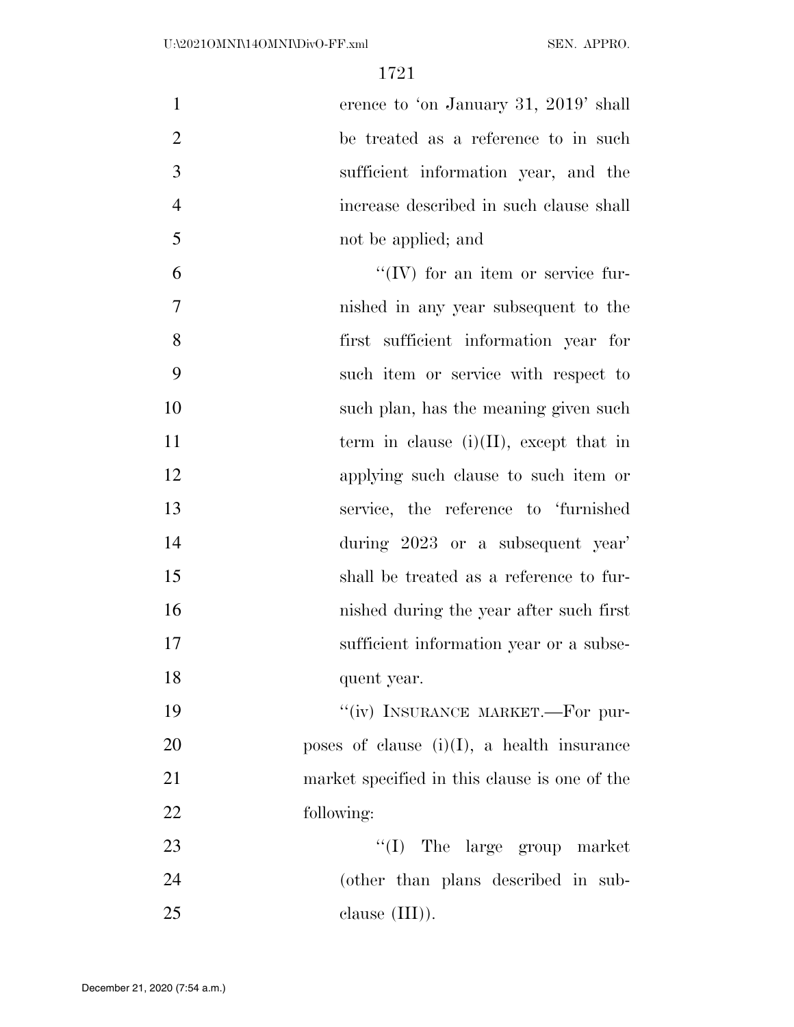erence to 'on January 31, 2019' shall be treated as a reference to in such sufficient information year, and the increase described in such clause shall not be applied; and

 ''(IV) for an item or service fur- nished in any year subsequent to the first sufficient information year for such item or service with respect to 10 such plan, has the meaning given such  $\frac{10}{3}$ 11 term in clause  $(i)(II)$ , except that in applying such clause to such item or service, the reference to 'furnished during 2023 or a subsequent year' shall be treated as a reference to fur- nished during the year after such first 17 sufficient information year or a subse-quent year.

19 "(iv) INSURANCE MARKET.—For pur- poses of clause (i)(I), a health insurance market specified in this clause is one of the following:

 ''(I) The large group market (other than plans described in sub-25 clause (III).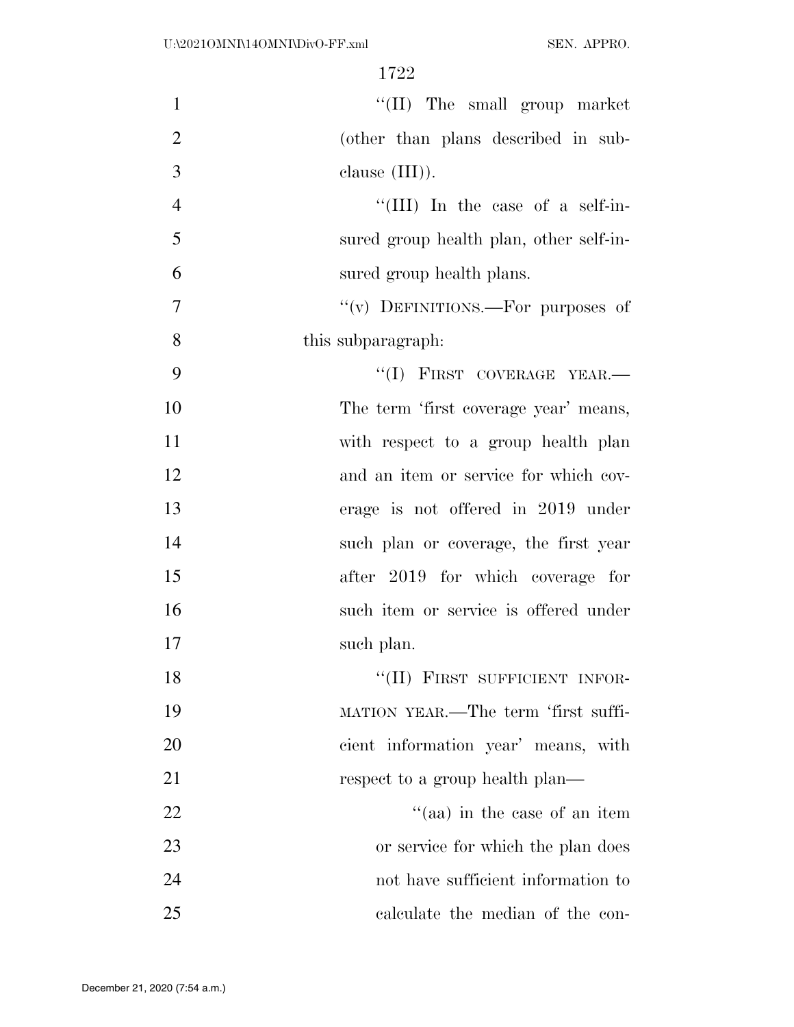| $\mathbf{1}$   | "(II) The small group market            |
|----------------|-----------------------------------------|
| $\overline{2}$ | (other than plans described in sub-     |
| 3              | clause $(III)$ ).                       |
| $\overline{4}$ | "(III) In the case of a self-in-        |
| 5              | sured group health plan, other self-in- |
| 6              | sured group health plans.               |
| 7              | "(v) DEFINITIONS.—For purposes of       |
| 8              | this subparagraph.                      |
| 9              | "(I) FIRST COVERAGE YEAR.-              |
| 10             | The term 'first coverage year' means,   |
| 11             | with respect to a group health plan     |
| 12             | and an item or service for which cov-   |
| 13             | erage is not offered in 2019 under      |
| 14             | such plan or coverage, the first year   |
| 15             | after 2019 for which coverage for       |
| 16             | such item or service is offered under   |
| 17             | such plan.                              |
| 18             | "(II) FIRST SUFFICIENT INFOR-           |
| 19             | MATION YEAR.—The term 'first suffi-     |
| 20             | cient information year' means, with     |
| 21             | respect to a group health plan—         |
| <u>22</u>      | "(aa) in the case of an item            |
| 23             | or service for which the plan does      |
| 24             | not have sufficient information to      |
| 25             | calculate the median of the con-        |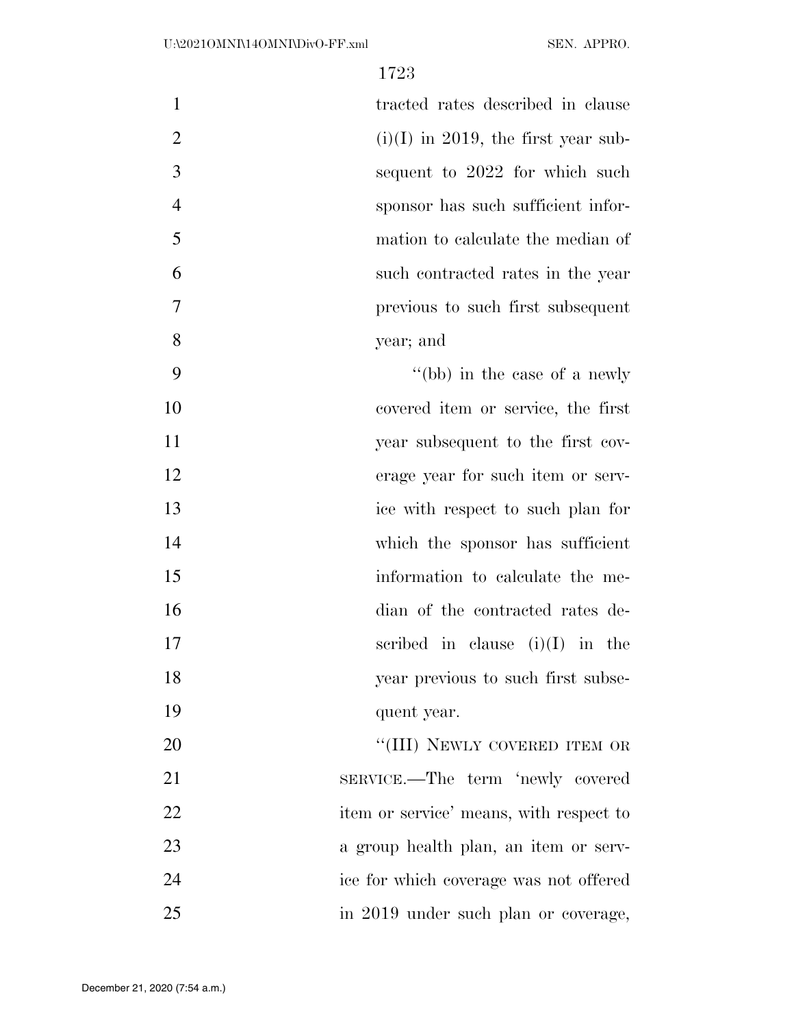| 1              | tracted rates described in clause     |
|----------------|---------------------------------------|
| $\overline{2}$ | $(i)(I)$ in 2019, the first year sub- |
| 3              | sequent to 2022 for which such        |
| $\overline{4}$ | sponsor has such sufficient infor-    |
| 5              | mation to calculate the median of     |
| 6              | such contracted rates in the year     |
| 7              | previous to such first subsequent     |
| 8              | year; and                             |
| 9              | "(bb) in the case of a newly          |
| 10             | covered item or service, the first    |
| 11             | year subsequent to the first cov-     |
| 12             | erage year for such item or serv-     |
| 13             | ice with respect to such plan for     |
| 14             | which the sponsor has sufficient      |
| 15             | information to calculate the me-      |
| 16             | dian of the contracted rates de-      |
| 17             | scribed in clause $(i)(I)$ in the     |
| 18             | year previous to such first subse-    |
| 19             | quent year.                           |
| 20             | "(III) NEWLY COVERED ITEM OR          |
| 21             | SERVICE.—The term 'newly covered      |
|                |                                       |

 item or service' means, with respect to a group health plan, an item or serv-

 ice for which coverage was not offered in 2019 under such plan or coverage,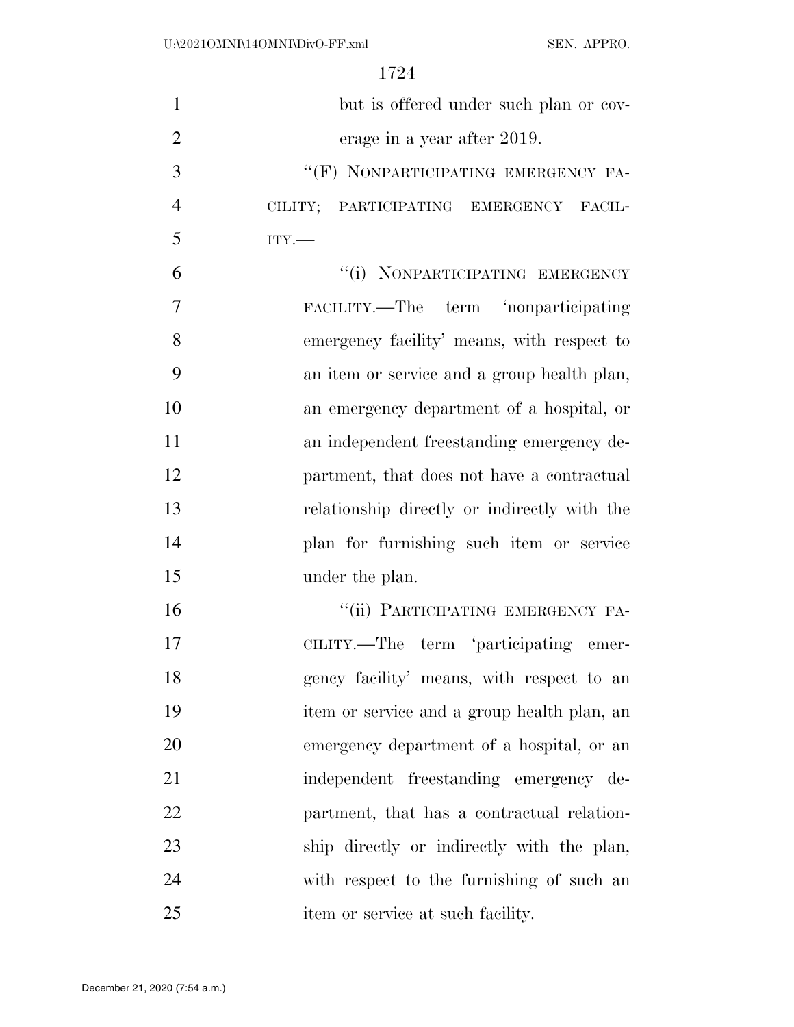| $\mathbf{1}$   | but is offered under such plan or cov-       |
|----------------|----------------------------------------------|
| $\overline{2}$ | erage in a year after 2019.                  |
| 3              | "(F) NONPARTICIPATING EMERGENCY FA-          |
| $\overline{4}$ | CILITY; PARTICIPATING EMERGENCY FACIL-       |
| 5              | $ITY$ .                                      |
| 6              | "(i) NONPARTICIPATING EMERGENCY              |
| 7              | FACILITY.—The term 'nonparticipating         |
| 8              | emergency facility' means, with respect to   |
| 9              | an item or service and a group health plan,  |
| 10             | an emergency department of a hospital, or    |
| 11             | an independent freestanding emergency de-    |
| 12             | partment, that does not have a contractual   |
| 13             | relationship directly or indirectly with the |
| 14             | plan for furnishing such item or service     |
| 15             | under the plan.                              |
| 16             | "(ii) PARTICIPATING EMERGENCY FA-            |
| 17             | CILITY.—The term 'participating emer-        |
| 18             | gency facility' means, with respect to an    |
| 19             | item or service and a group health plan, an  |
| 20             | emergency department of a hospital, or an    |
| 21             | independent freestanding emergency de-       |
| 22             | partment, that has a contractual relation-   |
| 23             | ship directly or indirectly with the plan,   |
| 24             | with respect to the furnishing of such an    |
| 25             | item or service at such facility.            |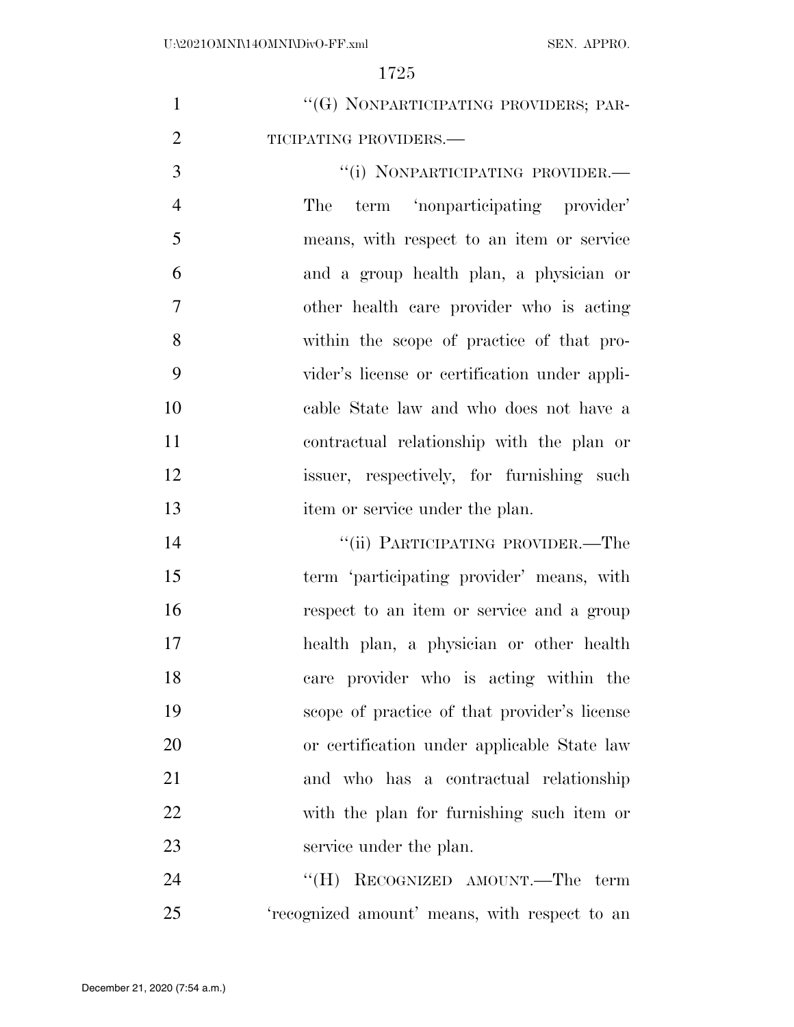|   | "(G) NONPARTICIPATING PROVIDERS; PAR- |
|---|---------------------------------------|
| 2 | TICIPATING PROVIDERS.—                |

 ''(i) NONPARTICIPATING PROVIDER.— The term 'nonparticipating provider' means, with respect to an item or service and a group health plan, a physician or other health care provider who is acting within the scope of practice of that pro- vider's license or certification under appli- cable State law and who does not have a contractual relationship with the plan or issuer, respectively, for furnishing such 13 item or service under the plan.

 ''(ii) PARTICIPATING PROVIDER.—The term 'participating provider' means, with respect to an item or service and a group health plan, a physician or other health care provider who is acting within the scope of practice of that provider's license or certification under applicable State law and who has a contractual relationship with the plan for furnishing such item or 23 service under the plan.

24 "(H) RECOGNIZED AMOUNT.—The term 'recognized amount' means, with respect to an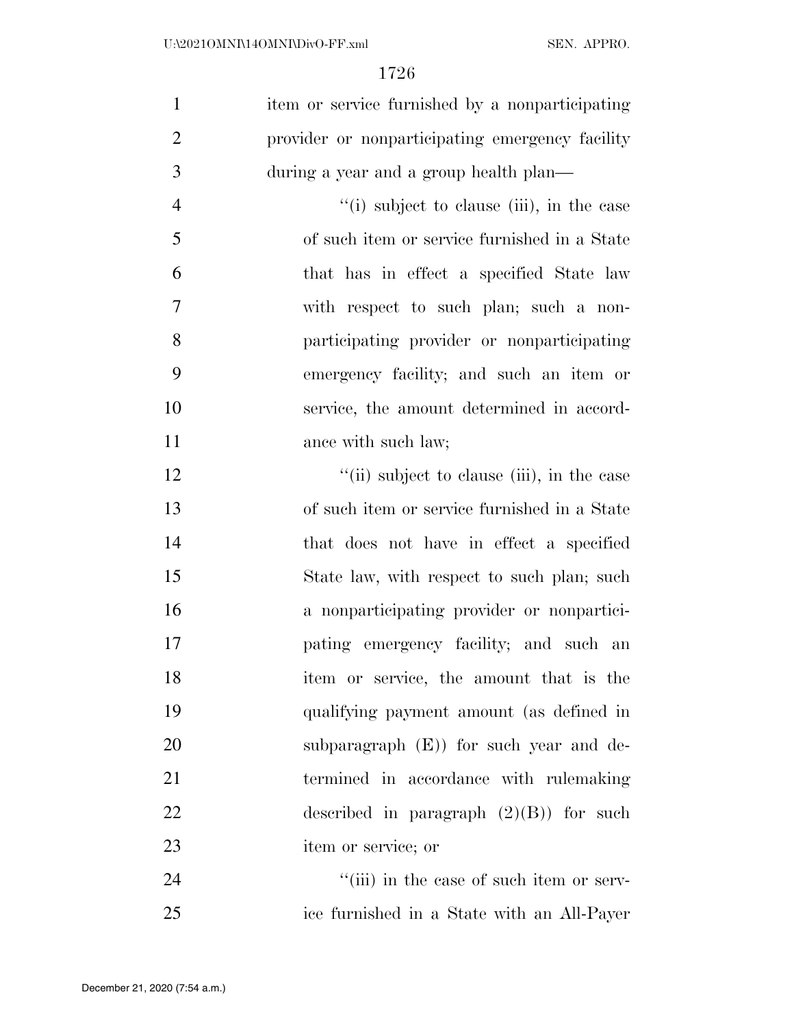| item or service furnished by a nonparticipating |
|-------------------------------------------------|
| provider or nonparticipating emergency facility |
| during a year and a group health plan—          |
| "(i) subject to clause (iii), in the case       |
| of such item or service furnished in a State    |
| that has in effect a specified State law        |
| with respect to such plan; such a non-          |
| participating provider or nonparticipating      |
| emergency facility; and such an item or         |
| service, the amount determined in accord-       |
| ance with such law;                             |
| "(ii) subject to clause (iii), in the case      |
| of such item or service furnished in a State    |
| that does not have in effect a specified        |
| State law, with respect to such plan; such      |
| a nonparticipating provider or nonpartici-      |
| pating emergency facility; and such an          |
| item or service, the amount that is the         |
| qualifying payment amount (as defined in        |
| subparagraph $(E)$ for such year and de-        |
| termined in accordance with rulemaking          |
| described in paragraph $(2)(B)$ for such        |
| item or service; or                             |
| "(iii) in the case of such item or serv-        |
|                                                 |

ice furnished in a State with an All-Payer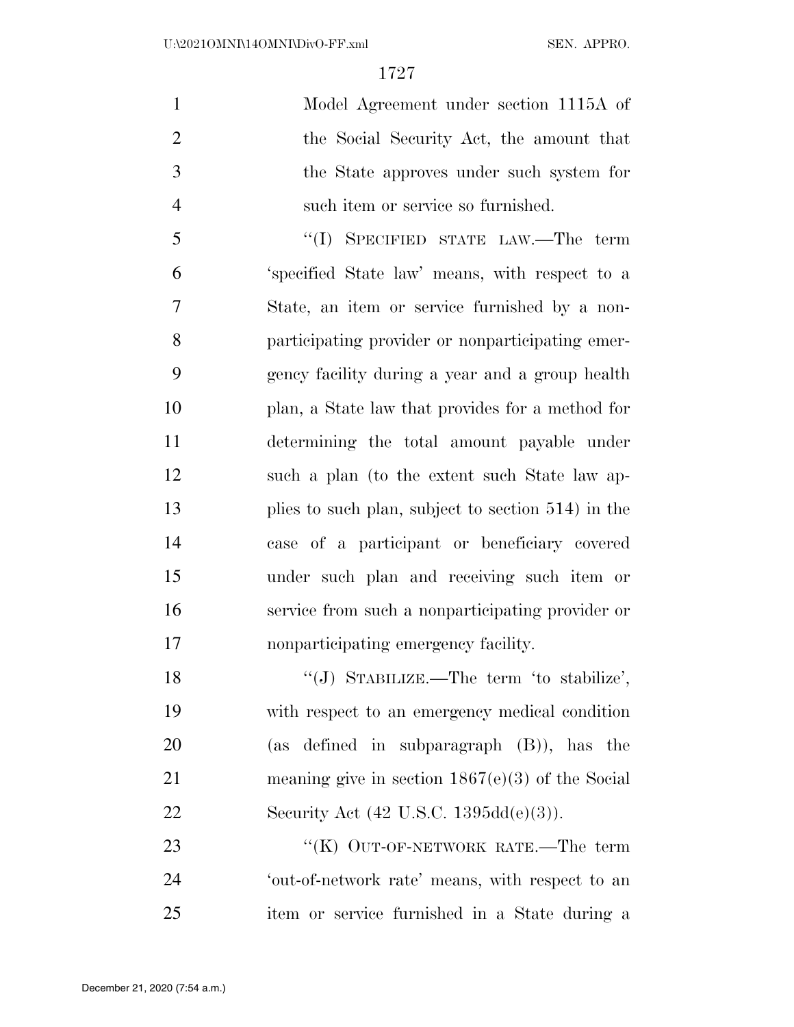Model Agreement under section 1115A of the Social Security Act, the amount that the State approves under such system for such item or service so furnished.

 ''(I) SPECIFIED STATE LAW.—The term 'specified State law' means, with respect to a State, an item or service furnished by a non- participating provider or nonparticipating emer- gency facility during a year and a group health plan, a State law that provides for a method for determining the total amount payable under such a plan (to the extent such State law ap- plies to such plan, subject to section 514) in the case of a participant or beneficiary covered under such plan and receiving such item or service from such a nonparticipating provider or nonparticipating emergency facility.

18 "(J) STABILIZE.—The term 'to stabilize', with respect to an emergency medical condition (as defined in subparagraph (B)), has the meaning give in section 1867(e)(3) of the Social 22 Security Act (42 U.S.C. 1395dd(e)(3)).

23 "'(K) OUT-OF-NETWORK RATE.—The term 'out-of-network rate' means, with respect to an item or service furnished in a State during a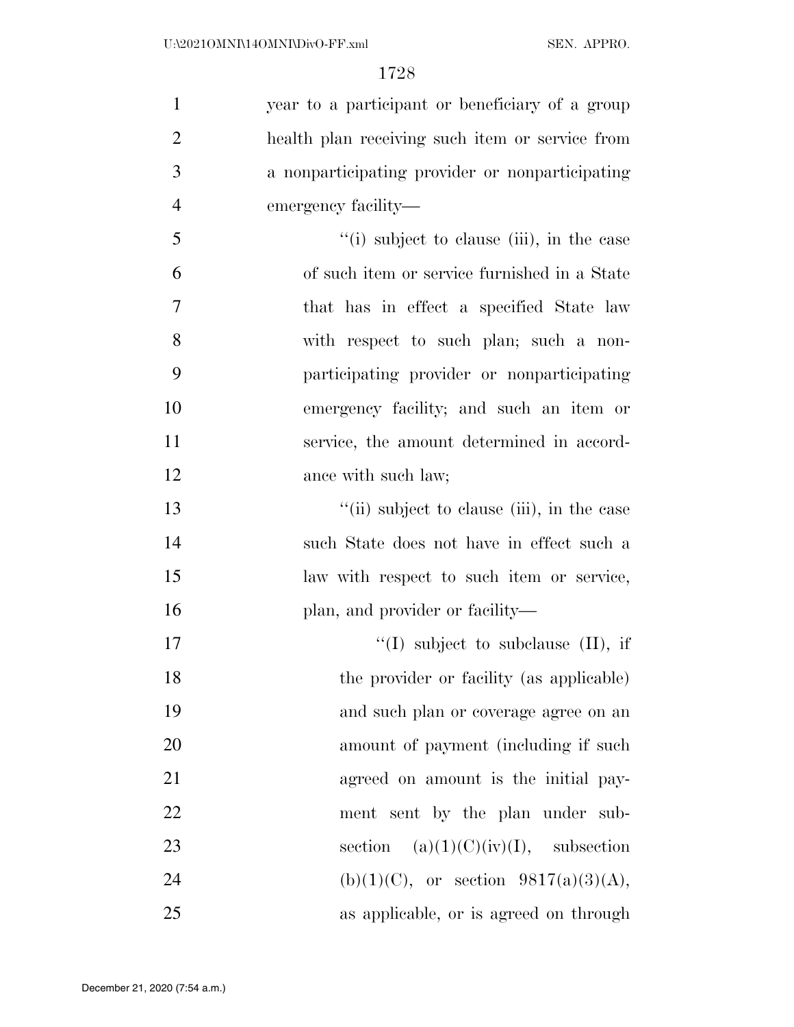| $\mathbf{1}$   | year to a participant or beneficiary of a group |
|----------------|-------------------------------------------------|
| $\overline{2}$ | health plan receiving such item or service from |
| 3              | a nonparticipating provider or nonparticipating |
| $\overline{4}$ | emergency facility—                             |
| 5              | "(i) subject to clause (iii), in the case       |
| 6              | of such item or service furnished in a State    |
| 7              | that has in effect a specified State law        |
| 8              | with respect to such plan; such a non-          |
| 9              | participating provider or nonparticipating      |
| 10             | emergency facility; and such an item or         |
| 11             | service, the amount determined in accord-       |
| 12             | ance with such law;                             |
| 13             | "(ii) subject to clause (iii), in the case      |
| 14             | such State does not have in effect such a       |
| 15             | law with respect to such item or service,       |
| 16             | plan, and provider or facility—                 |
| 17             | "(I) subject to subclause $(II)$ , if           |
| 18             | the provider or facility (as applicable)        |
| 19             | and such plan or coverage agree on an           |
| 20             | amount of payment (including if such            |
| 21             | agreed on amount is the initial pay-            |
| 22             | ment sent by the plan under sub-                |
| 23             | section $(a)(1)(C)(iv)(I)$ , subsection         |
| 24             | (b)(1)(C), or section $9817(a)(3)(A)$ ,         |
| 25             | as applicable, or is agreed on through          |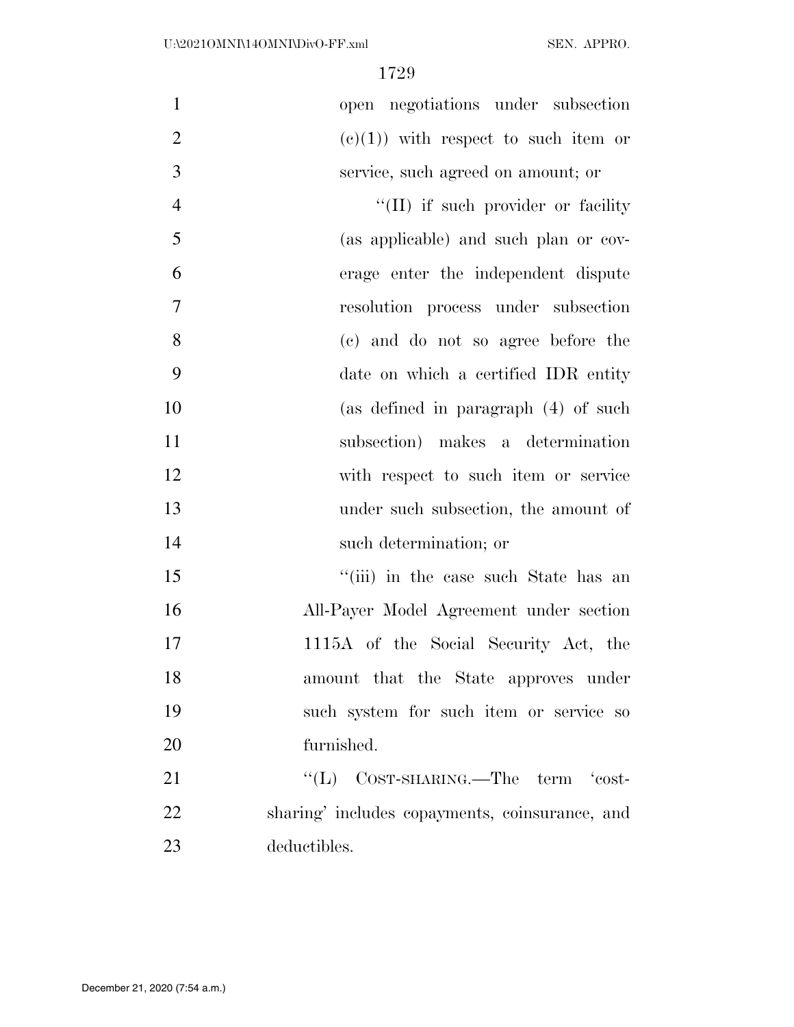| $\mathbf{1}$   | open negotiations under subsection             |
|----------------|------------------------------------------------|
| $\overline{2}$ | $(e)(1)$ with respect to such item or          |
| 3              | service, such agreed on amount; or             |
| $\overline{4}$ | $\lq$ (II) if such provider or facility        |
| 5              | (as applicable) and such plan or cov-          |
| 6              | erage enter the independent dispute            |
| $\overline{7}$ | resolution process under subsection            |
| 8              | (c) and do not so agree before the             |
| 9              | date on which a certified IDR entity           |
| 10             | (as defined in paragraph $(4)$ of such         |
| 11             | subsection) makes a determination              |
| 12             | with respect to such item or service           |
| 13             | under such subsection, the amount of           |
| 14             | such determination; or                         |
| 15             | "(iii) in the case such State has an           |
| 16             | All-Payer Model Agreement under section        |
| 17             | 1115A of the Social Security Act, the          |
| 18             | amount that the State approves under           |
| 19             | such system for such item or service so        |
| 20             | furnished.                                     |
| 21             | " $(L)$ COST-SHARING.—The term 'cost-          |
| 22             | sharing' includes copayments, coinsurance, and |
| 23             | deductibles.                                   |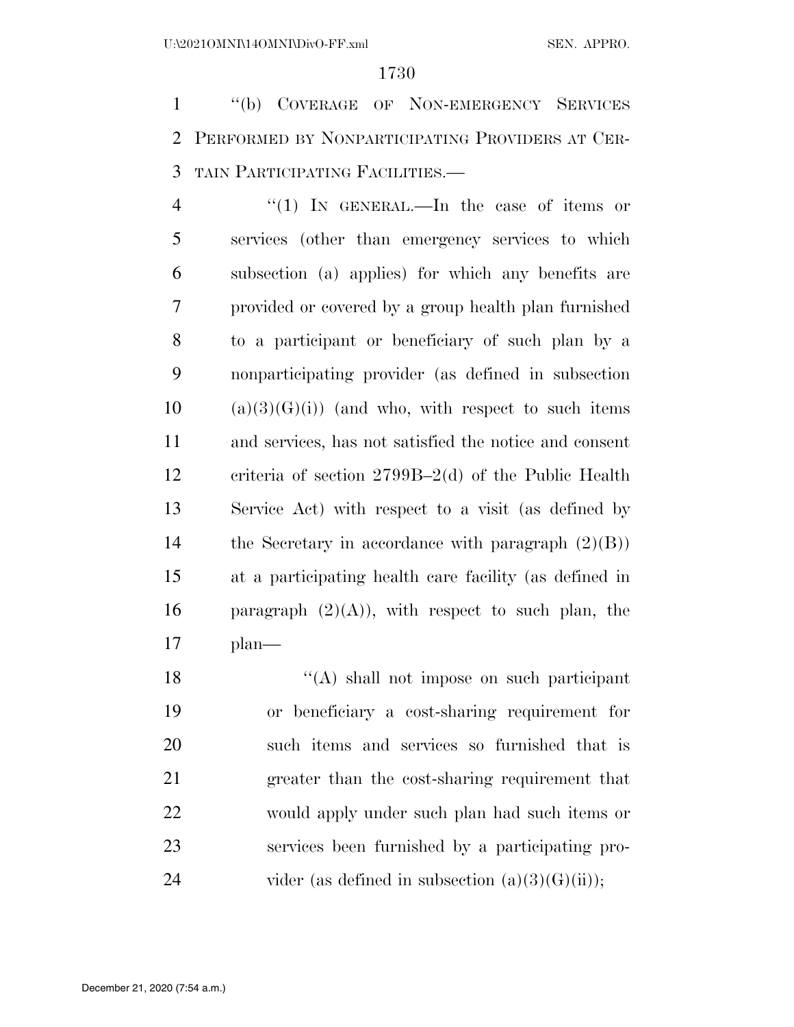''(b) COVERAGE OF NON-EMERGENCY SERVICES PERFORMED BY NONPARTICIPATING PROVIDERS AT CER-TAIN PARTICIPATING FACILITIES.—

4 "(1) IN GENERAL.—In the case of items or services (other than emergency services to which subsection (a) applies) for which any benefits are provided or covered by a group health plan furnished to a participant or beneficiary of such plan by a nonparticipating provider (as defined in subsection (a)(3)(G)(i)) (and who, with respect to such items and services, has not satisfied the notice and consent criteria of section 2799B–2(d) of the Public Health Service Act) with respect to a visit (as defined by the Secretary in accordance with paragraph (2)(B)) at a participating health care facility (as defined in 16 paragraph  $(2)(A)$ , with respect to such plan, the plan—

18 ''(A) shall not impose on such participant or beneficiary a cost-sharing requirement for such items and services so furnished that is greater than the cost-sharing requirement that would apply under such plan had such items or services been furnished by a participating pro-24 vider (as defined in subsection  $(a)(3)(G)(ii)$ );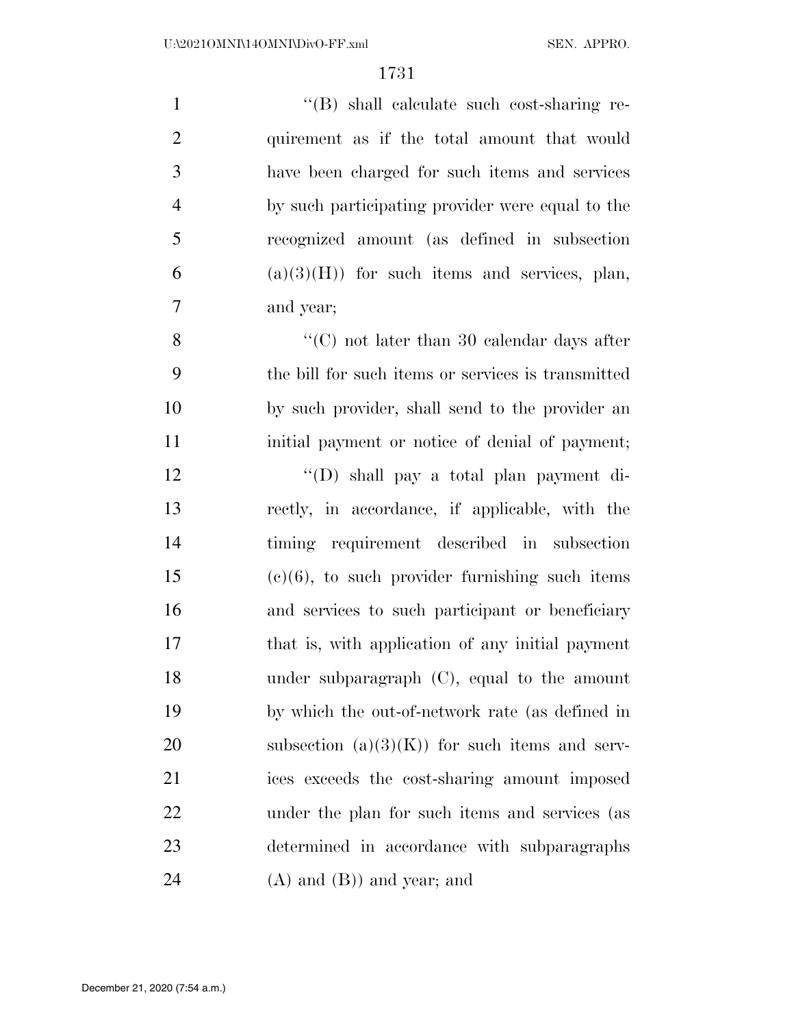| $\mathbf{1}$ | "(B) shall calculate such cost-sharing re-         |
|--------------|----------------------------------------------------|
| 2            | quirement as if the total amount that would        |
| 3            | have been charged for such items and services      |
| 4            | by such participating provider were equal to the   |
| 5            | recognized amount (as defined in subsection        |
| 6            | $(a)(3)(H)$ for such items and services, plan,     |
| 7            | and year;                                          |
| 8            | $\lq\lq$ (C) not later than 30 calendar days after |
| ⌒            |                                                    |

 the bill for such items or services is transmitted by such provider, shall send to the provider an 11 initial payment or notice of denial of payment;

 ''(D) shall pay a total plan payment di- rectly, in accordance, if applicable, with the timing requirement described in subsection (c)(6), to such provider furnishing such items and services to such participant or beneficiary that is, with application of any initial payment under subparagraph (C), equal to the amount by which the out-of-network rate (as defined in 20 subsection  $(a)(3)(K)$  for such items and serv- ices exceeds the cost-sharing amount imposed under the plan for such items and services (as determined in accordance with subparagraphs (A) and (B)) and year; and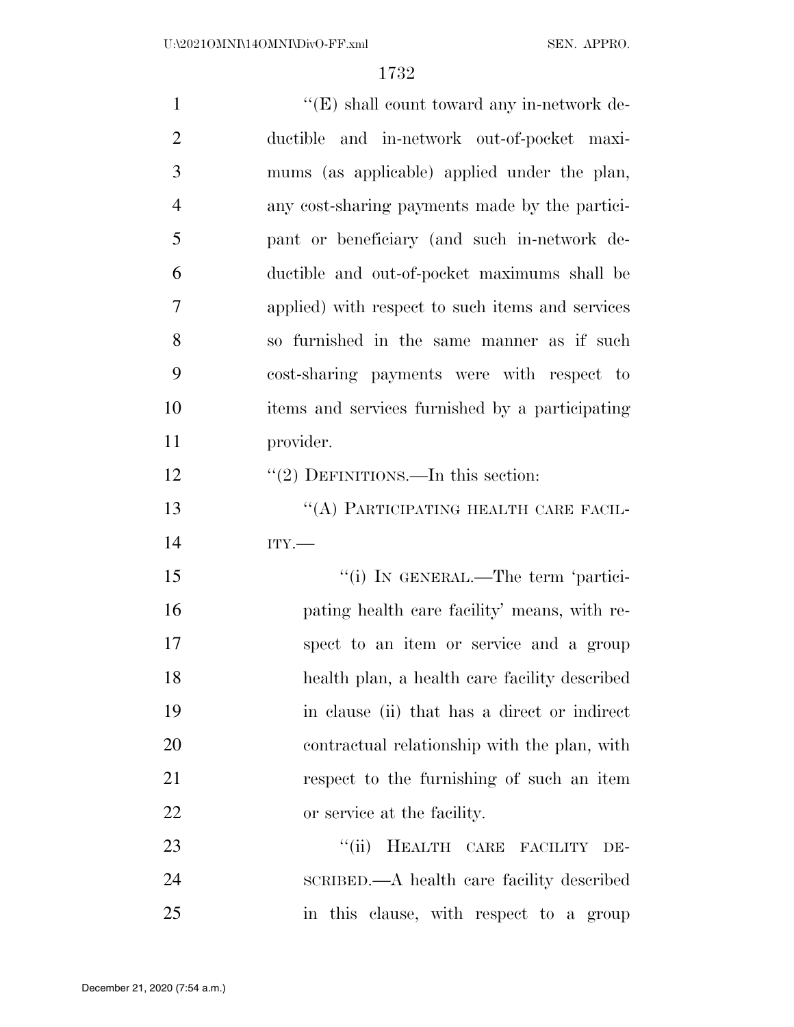| $\mathbf{1}$   | $\lq\lq(E)$ shall count toward any in-network de- |
|----------------|---------------------------------------------------|
| $\overline{2}$ | ductible and in-network out-of-pocket maxi-       |
| 3              | mums (as applicable) applied under the plan,      |
| $\overline{4}$ | any cost-sharing payments made by the partici-    |
| 5              | pant or beneficiary (and such in-network de-      |
| 6              | ductible and out-of-pocket maximums shall be      |
| $\overline{7}$ | applied) with respect to such items and services  |
| 8              | so furnished in the same manner as if such        |
| 9              | cost-sharing payments were with respect to        |
| 10             | items and services furnished by a participating   |
| 11             | provider.                                         |
| 12             | "(2) DEFINITIONS.—In this section:                |
| 13             | "(A) PARTICIPATING HEALTH CARE FACIL-             |
| 14             | ITY.                                              |
| 15             | "(i) IN GENERAL.—The term 'partici-               |
| 16             | pating health care facility' means, with re-      |
| 17             | spect to an item or service and a group           |
| 18             | health plan, a health care facility described     |
| 19             | in clause (ii) that has a direct or indirect      |
| 20             | contractual relationship with the plan, with      |
| 21             | respect to the furnishing of such an item         |
| 22             | or service at the facility.                       |
| 23             | HEALTH CARE FACILITY<br>``(ii)<br>DE-             |
| 24             | SCRIBED.—A health care facility described         |
| 25             | in this clause, with respect to a group           |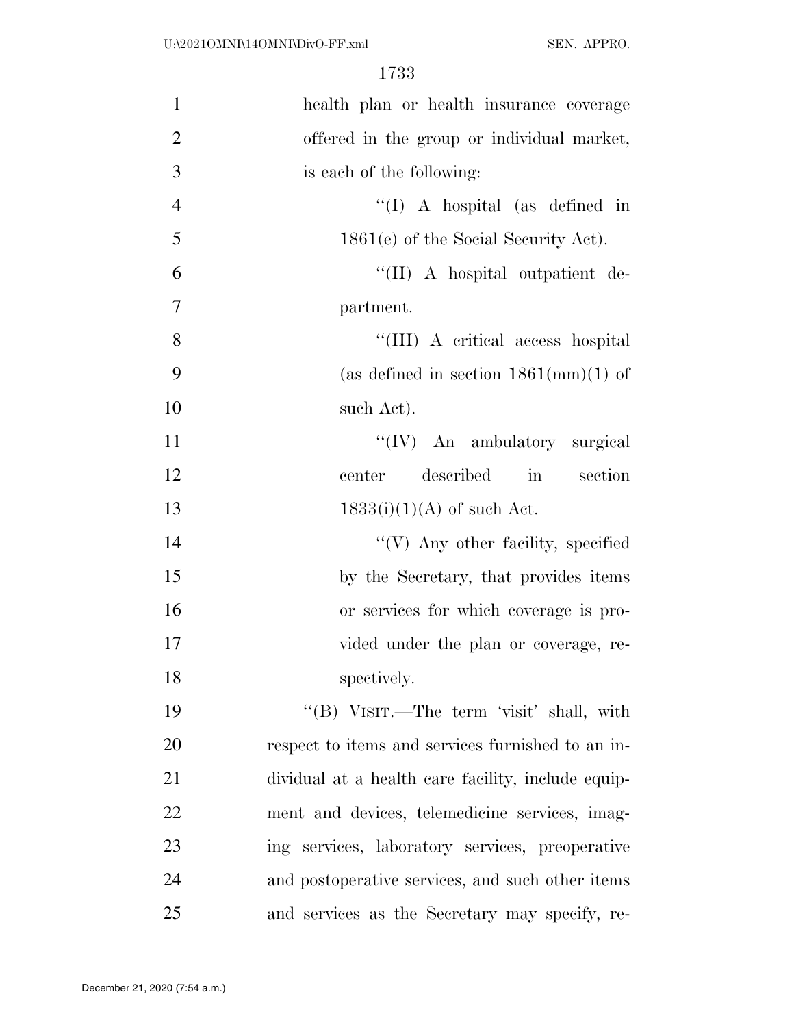| $\mathbf{1}$   | health plan or health insurance coverage           |
|----------------|----------------------------------------------------|
| $\overline{2}$ | offered in the group or individual market,         |
| 3              | is each of the following:                          |
| $\overline{4}$ | "(I) A hospital (as defined in                     |
| 5              | $1861(e)$ of the Social Security Act).             |
| 6              | "(II) A hospital outpatient de-                    |
| $\overline{7}$ | partment.                                          |
| 8              | "(III) A critical access hospital                  |
| 9              | (as defined in section $1861 \text{(mm)}(1)$ of    |
| 10             | such Act).                                         |
| 11             | "(IV) An ambulatory surgical                       |
| 12             | described<br>in section<br>center                  |
| 13             | $1833(i)(1)(A)$ of such Act.                       |
| 14             | "(V) Any other facility, specified                 |
| 15             | by the Secretary, that provides items              |
| 16             | or services for which coverage is pro-             |
| 17             | vided under the plan or coverage, re-              |
| 18             | spectively.                                        |
| 19             | "(B) VISIT.—The term 'visit' shall, with           |
| 20             | respect to items and services furnished to an in-  |
| 21             | dividual at a health care facility, include equip- |
| 22             | ment and devices, telemedicine services, imag-     |
| 23             | ing services, laboratory services, preoperative    |
| 24             | and postoperative services, and such other items   |
| 25             | and services as the Secretary may specify, re-     |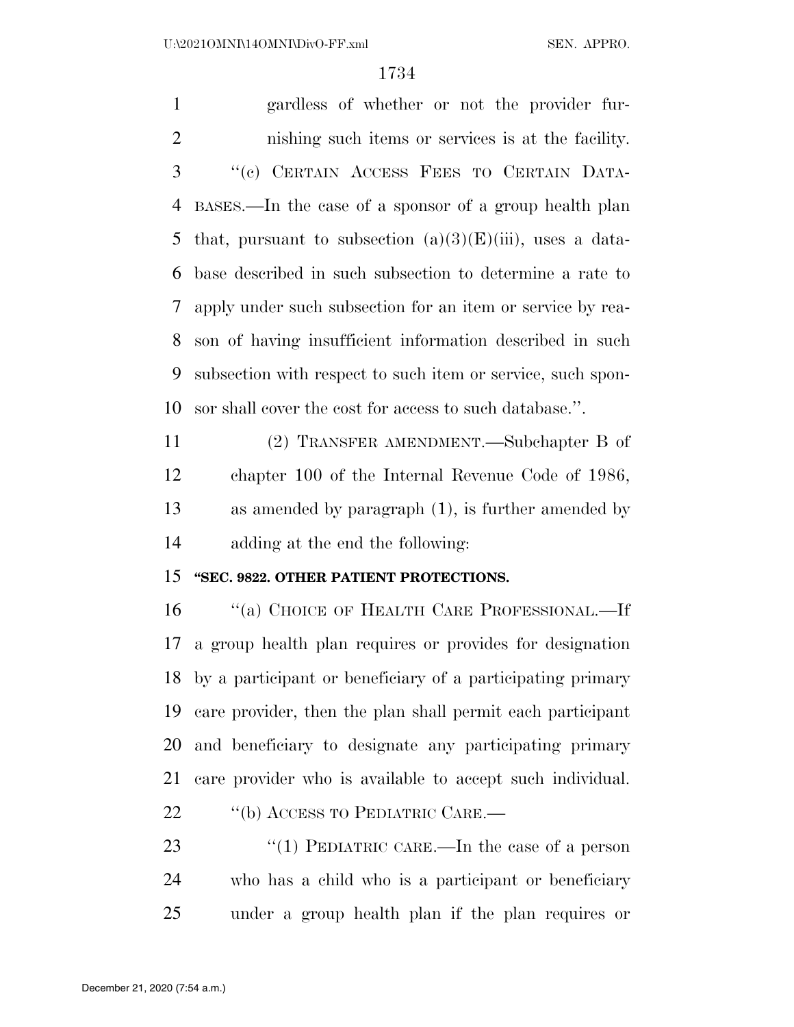gardless of whether or not the provider fur- nishing such items or services is at the facility. ''(c) CERTAIN ACCESS FEES TO CERTAIN DATA- BASES.—In the case of a sponsor of a group health plan 5 that, pursuant to subsection  $(a)(3)(E)(iii)$ , uses a data- base described in such subsection to determine a rate to apply under such subsection for an item or service by rea- son of having insufficient information described in such subsection with respect to such item or service, such spon-sor shall cover the cost for access to such database.''.

 (2) TRANSFER AMENDMENT.—Subchapter B of chapter 100 of the Internal Revenue Code of 1986, as amended by paragraph (1), is further amended by adding at the end the following:

## **''SEC. 9822. OTHER PATIENT PROTECTIONS.**

16 "(a) CHOICE OF HEALTH CARE PROFESSIONAL.—If a group health plan requires or provides for designation by a participant or beneficiary of a participating primary care provider, then the plan shall permit each participant and beneficiary to designate any participating primary care provider who is available to accept such individual. 22 "(b) ACCESS TO PEDIATRIC CARE.—

23 "(1) PEDIATRIC CARE.—In the case of a person who has a child who is a participant or beneficiary under a group health plan if the plan requires or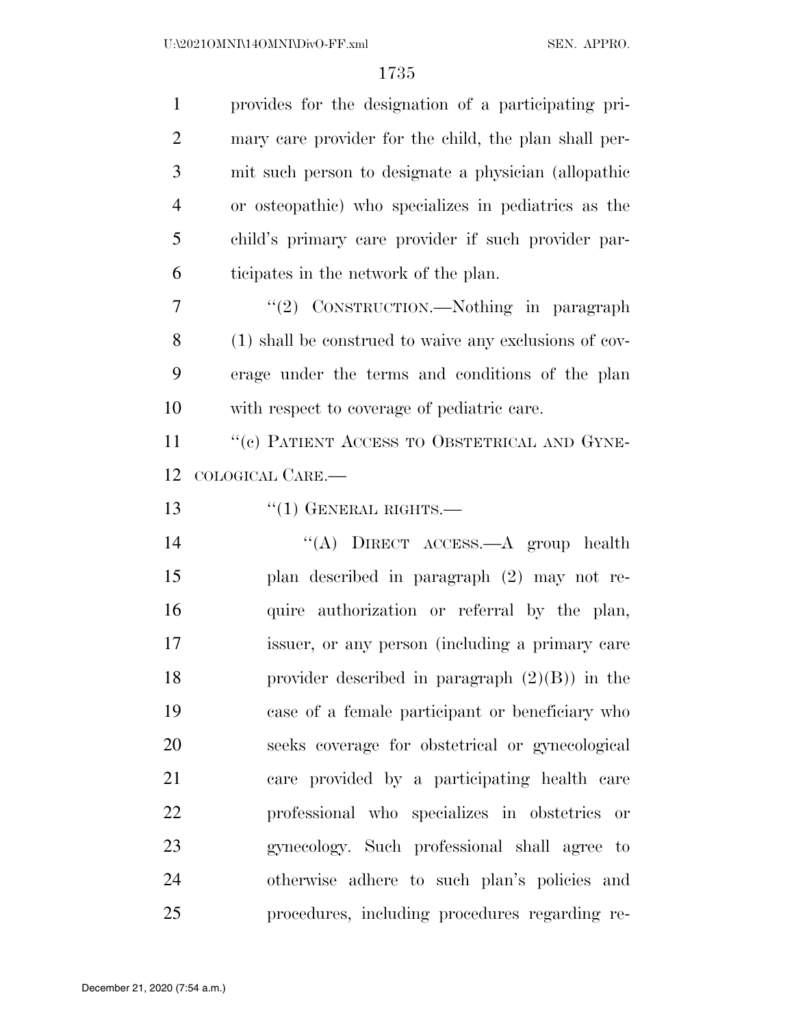| $\mathbf{1}$   | provides for the designation of a participating pri-   |
|----------------|--------------------------------------------------------|
| $\overline{2}$ | mary care provider for the child, the plan shall per-  |
| 3              | mit such person to designate a physician (allopathic   |
| $\overline{4}$ | or osteopathic) who specializes in pediatrics as the   |
| 5              | child's primary care provider if such provider par-    |
| 6              | ticipates in the network of the plan.                  |
| 7              | "(2) CONSTRUCTION.—Nothing in paragraph                |
| 8              | (1) shall be construed to waive any exclusions of cov- |
| 9              | erage under the terms and conditions of the plan       |
| 10             | with respect to coverage of pediatric care.            |
| 11             | "(c) PATIENT ACCESS TO OBSTETRICAL AND GYNE-           |
| 12             | COLOGICAL CARE.                                        |
| 13             | $``(1)$ GENERAL RIGHTS.—                               |
| 14             | "(A) DIRECT ACCESS.—A group health                     |
| 15             | plan described in paragraph (2) may not re-            |
| 16             | quire authorization or referral by the plan,           |
| 17             | issuer, or any person (including a primary care        |
| 18             | provider described in paragraph $(2)(B)$ in the        |
| 19             | case of a female participant or beneficiary who        |
| 20             | seeks coverage for obstetrical or gynecological        |
| 21             | care provided by a participating health care           |
| 22             | professional who specializes in obstetries or          |
| 23             | gynecology. Such professional shall agree to           |
| 24             | otherwise adhere to such plan's policies and           |
| 25             | procedures, including procedures regarding re-         |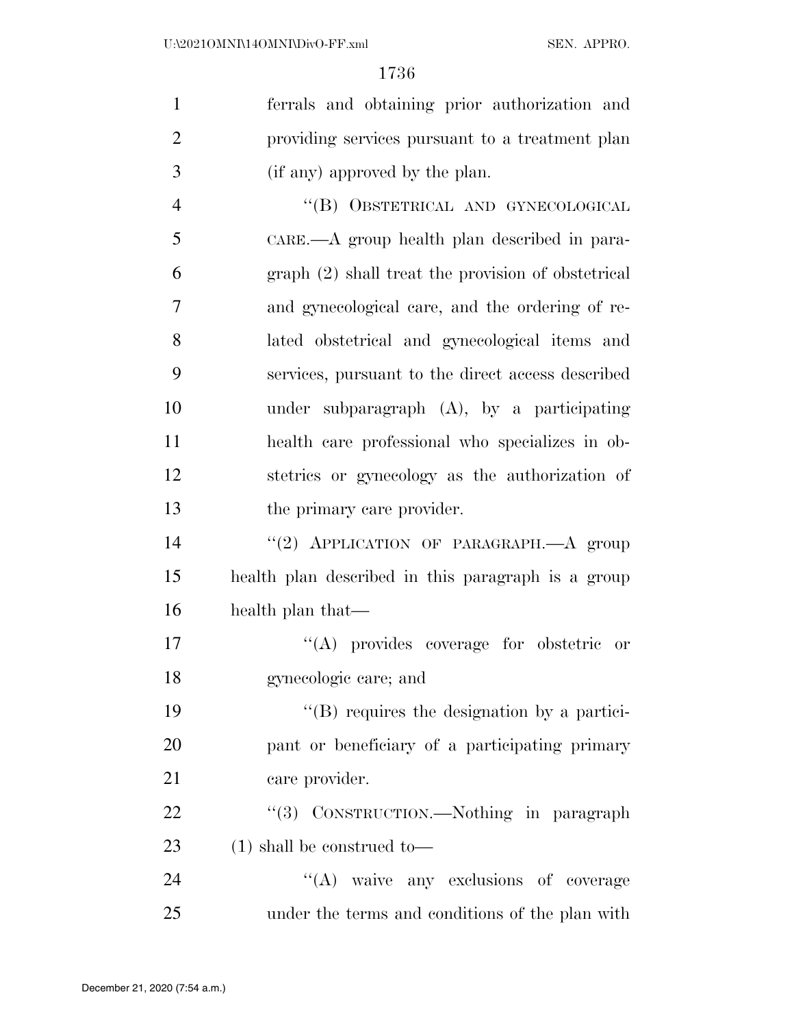| $\mathbf{1}$   | ferrals and obtaining prior authorization and       |
|----------------|-----------------------------------------------------|
| $\overline{2}$ | providing services pursuant to a treatment plan     |
| 3              | (if any) approved by the plan.                      |
| $\overline{4}$ | "(B) OBSTETRICAL AND GYNECOLOGICAL                  |
| 5              | CARE.—A group health plan described in para-        |
| 6              | graph (2) shall treat the provision of obstetrical  |
| $\tau$         | and gynecological care, and the ordering of re-     |
| 8              | lated obstetrical and gynecological items and       |
| 9              | services, pursuant to the direct access described   |
| 10             | under subparagraph $(A)$ , by a participating       |
| 11             | health care professional who specializes in ob-     |
| 12             | stetries or gynecology as the authorization of      |
| 13             | the primary care provider.                          |
| 14             | "(2) APPLICATION OF PARAGRAPH.- A group             |
| 15             | health plan described in this paragraph is a group  |
| 16             | health plan that—                                   |
| 17             | "(A) provides coverage for obstetric or             |
| 18             | gynecologic care; and                               |
| 19             | $\lq\lq (B)$ requires the designation by a partici- |
| <b>20</b>      | pant or beneficiary of a participating primary      |
| 21             | care provider.                                      |
| 22             | "(3) CONSTRUCTION.—Nothing in paragraph             |
| 23             | $(1)$ shall be construed to<br>—                    |
| 24             | "(A) waive any exclusions of coverage               |
| 25             | under the terms and conditions of the plan with     |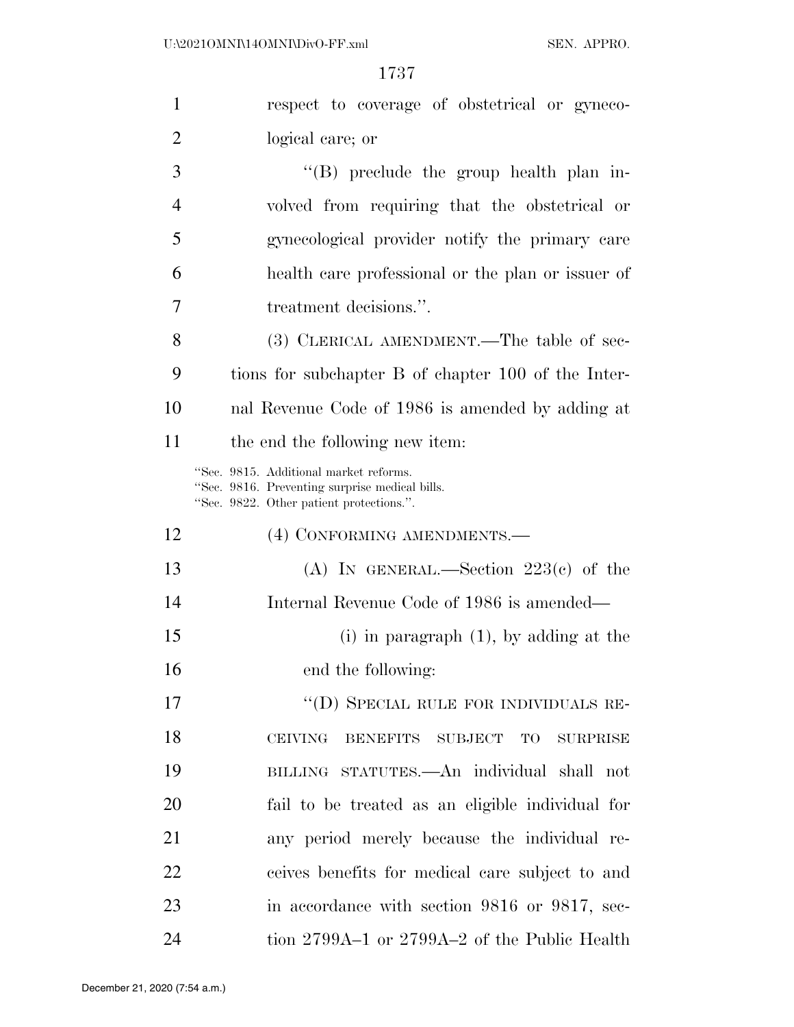| $\mathbf{1}$   | respect to coverage of obstetrical or gyneco-                                                                                        |
|----------------|--------------------------------------------------------------------------------------------------------------------------------------|
| $\overline{2}$ | logical care; or                                                                                                                     |
| 3              | $\lq\lq$ (B) preclude the group health plan in-                                                                                      |
| $\overline{4}$ | volved from requiring that the obstetrical or                                                                                        |
| 5              | gynecological provider notify the primary care                                                                                       |
| 6              | health care professional or the plan or issuer of                                                                                    |
| 7              | treatment decisions.".                                                                                                               |
| 8              | (3) CLERICAL AMENDMENT.—The table of sec-                                                                                            |
| 9              | tions for subchapter B of chapter 100 of the Inter-                                                                                  |
| 10             | nal Revenue Code of 1986 is amended by adding at                                                                                     |
| 11             | the end the following new item:                                                                                                      |
|                | "Sec. 9815. Additional market reforms.<br>"Sec. 9816. Preventing surprise medical bills.<br>"Sec. 9822. Other patient protections.". |
| 12             | (4) CONFORMING AMENDMENTS.—                                                                                                          |
| 13             | (A) IN GENERAL.—Section $223(c)$ of the                                                                                              |
| 14             | Internal Revenue Code of 1986 is amended—                                                                                            |
| 15             | (i) in paragraph $(1)$ , by adding at the                                                                                            |
| 16             | end the following:                                                                                                                   |
| 17             | "(D) SPECIAL RULE FOR INDIVIDUALS RE-                                                                                                |
| 18             | <b>CEIVING</b><br>BENEFITS SUBJECT TO<br>SURPRISE                                                                                    |
| 19             | BILLING STATUTES.—An individual shall not                                                                                            |
| 20             | fail to be treated as an eligible individual for                                                                                     |
| 21             | any period merely because the individual re-                                                                                         |
| 22             | ceives benefits for medical care subject to and                                                                                      |
| 23             | in accordance with section 9816 or 9817, sec-                                                                                        |
| 24             | tion 2799A-1 or 2799A-2 of the Public Health                                                                                         |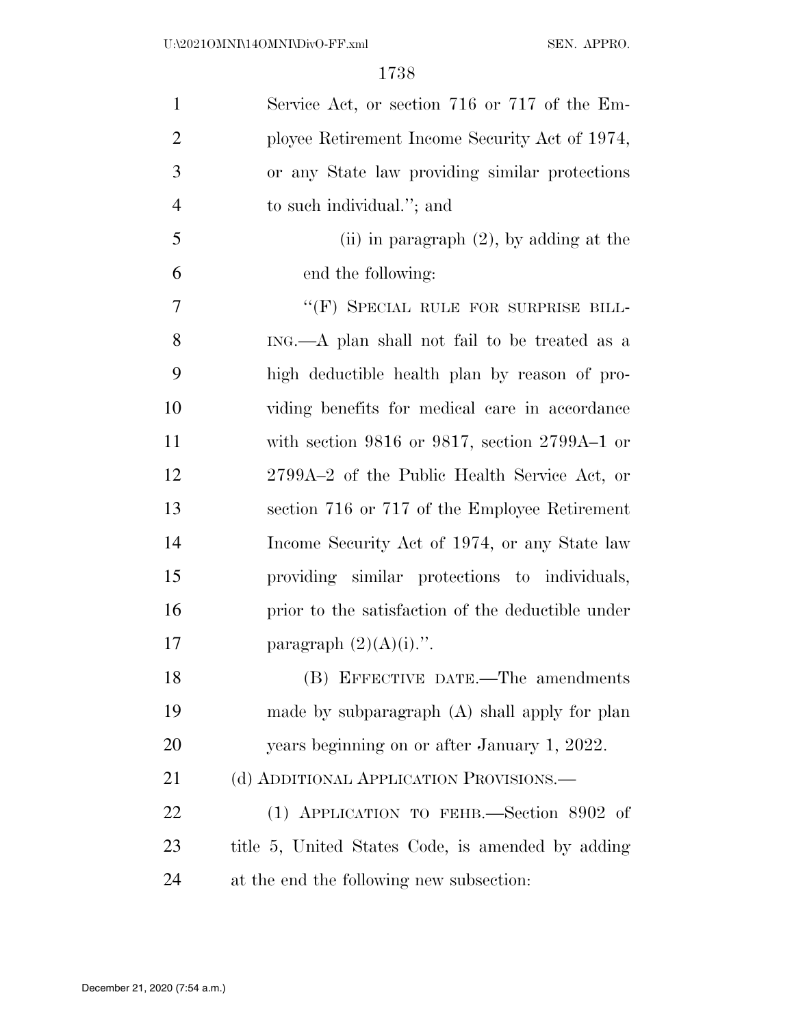| $\mathbf{1}$   | Service Act, or section 716 or 717 of the Em-        |
|----------------|------------------------------------------------------|
| $\overline{2}$ | ployee Retirement Income Security Act of 1974,       |
| 3              | or any State law providing similar protections       |
| $\overline{4}$ | to such individual."; and                            |
| 5              | (ii) in paragraph $(2)$ , by adding at the           |
| 6              | end the following:                                   |
| 7              | "(F) SPECIAL RULE FOR SURPRISE BILL-                 |
| 8              | ING.—A plan shall not fail to be treated as a        |
| 9              | high deductible health plan by reason of pro-        |
| 10             | viding benefits for medical care in accordance       |
| 11             | with section $9816$ or $9817$ , section $2799A-1$ or |
| 12             | 2799A-2 of the Public Health Service Act, or         |
| 13             | section 716 or 717 of the Employee Retirement        |
| 14             | Income Security Act of 1974, or any State law        |
| 15             | providing similar protections to individuals,        |
| 16             | prior to the satisfaction of the deductible under    |
| 17             | paragraph $(2)(A)(i)$ .".                            |
| 18             | (B) EFFECTIVE DATE.-The amendments                   |
| 19             | made by subparagraph $(A)$ shall apply for plan      |
| 20             | years beginning on or after January 1, 2022.         |
| 21             | (d) ADDITIONAL APPLICATION PROVISIONS.               |
| 22             | (1) APPLICATION TO FEHB. Section 8902 of             |
| 23             | title 5, United States Code, is amended by adding    |
| 24             | at the end the following new subsection:             |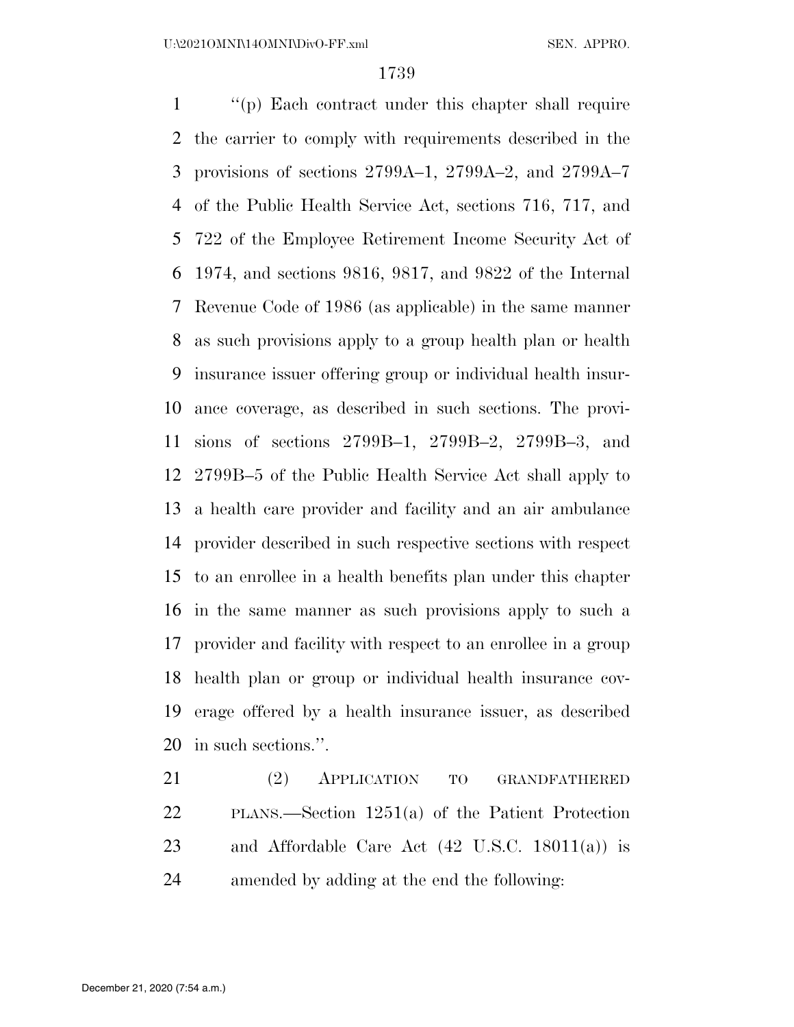''(p) Each contract under this chapter shall require the carrier to comply with requirements described in the provisions of sections 2799A–1, 2799A–2, and 2799A–7 of the Public Health Service Act, sections 716, 717, and 722 of the Employee Retirement Income Security Act of 1974, and sections 9816, 9817, and 9822 of the Internal Revenue Code of 1986 (as applicable) in the same manner as such provisions apply to a group health plan or health insurance issuer offering group or individual health insur- ance coverage, as described in such sections. The provi- sions of sections 2799B–1, 2799B–2, 2799B–3, and 2799B–5 of the Public Health Service Act shall apply to a health care provider and facility and an air ambulance provider described in such respective sections with respect to an enrollee in a health benefits plan under this chapter in the same manner as such provisions apply to such a provider and facility with respect to an enrollee in a group health plan or group or individual health insurance cov- erage offered by a health insurance issuer, as described in such sections.''.

 (2) APPLICATION TO GRANDFATHERED PLANS.—Section 1251(a) of the Patient Protection and Affordable Care Act (42 U.S.C. 18011(a)) is amended by adding at the end the following: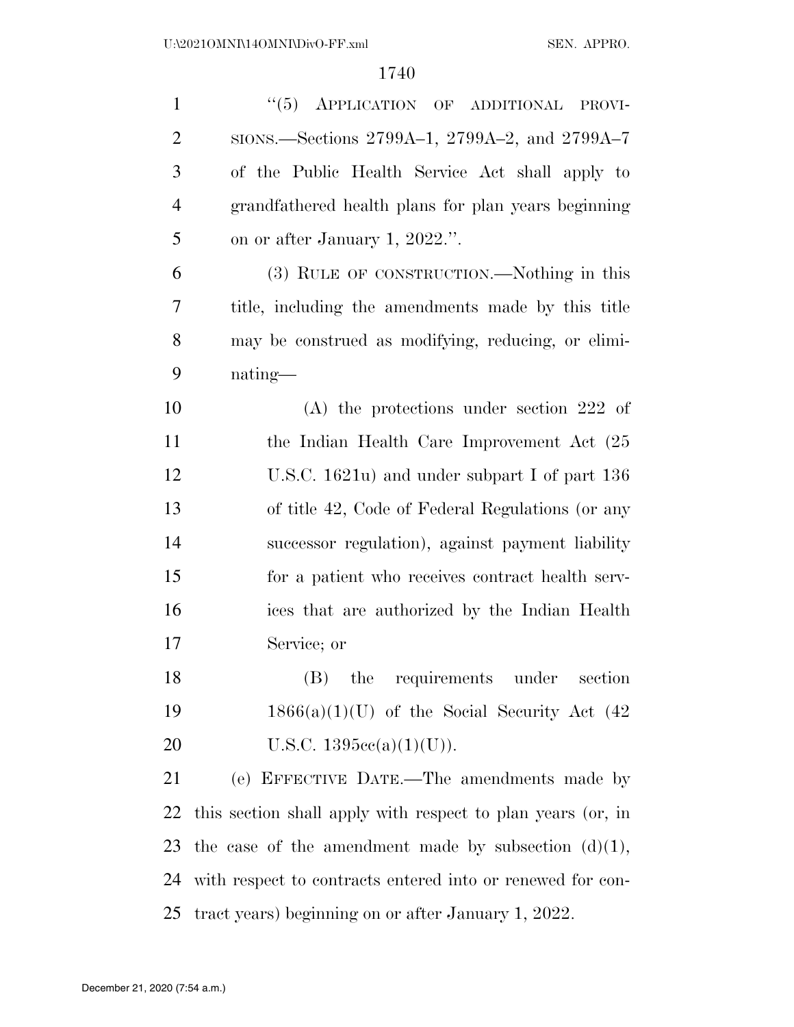| $\mathbf{1}$   | "(5) APPLICATION OF ADDITIONAL<br>PROVI-                    |
|----------------|-------------------------------------------------------------|
| $\overline{2}$ | SIONS.—Sections 2799A-1, 2799A-2, and 2799A-7               |
| 3              | of the Public Health Service Act shall apply to             |
| $\overline{4}$ | grandfathered health plans for plan years beginning         |
| 5              | on or after January 1, 2022.".                              |
| 6              | (3) RULE OF CONSTRUCTION.—Nothing in this                   |
| 7              | title, including the amendments made by this title          |
| 8              | may be construed as modifying, reducing, or elimi-          |
| 9              | nating-                                                     |
| 10             | $(A)$ the protections under section 222 of                  |
| 11             | the Indian Health Care Improvement Act (25)                 |
| 12             | U.S.C. $1621u$ and under subpart I of part 136              |
| 13             | of title 42, Code of Federal Regulations (or any            |
| 14             | successor regulation), against payment liability            |
| 15             | for a patient who receives contract health serv-            |
| 16             | ices that are authorized by the Indian Health               |
| 17             | Service; or                                                 |
| 18             | (B) the requirements under<br>section                       |
| 19             | $1866(a)(1)(U)$ of the Social Security Act (42)             |
| 20             | U.S.C. $1395cc(a)(1)(U)$ .                                  |
| 21             | (e) EFFECTIVE DATE.—The amendments made by                  |
| 22             | this section shall apply with respect to plan years (or, in |
| 23             | the case of the amendment made by subsection $(d)(1)$ ,     |
| 24             | with respect to contracts entered into or renewed for con-  |
| 25             | tract years) beginning on or after January 1, 2022.         |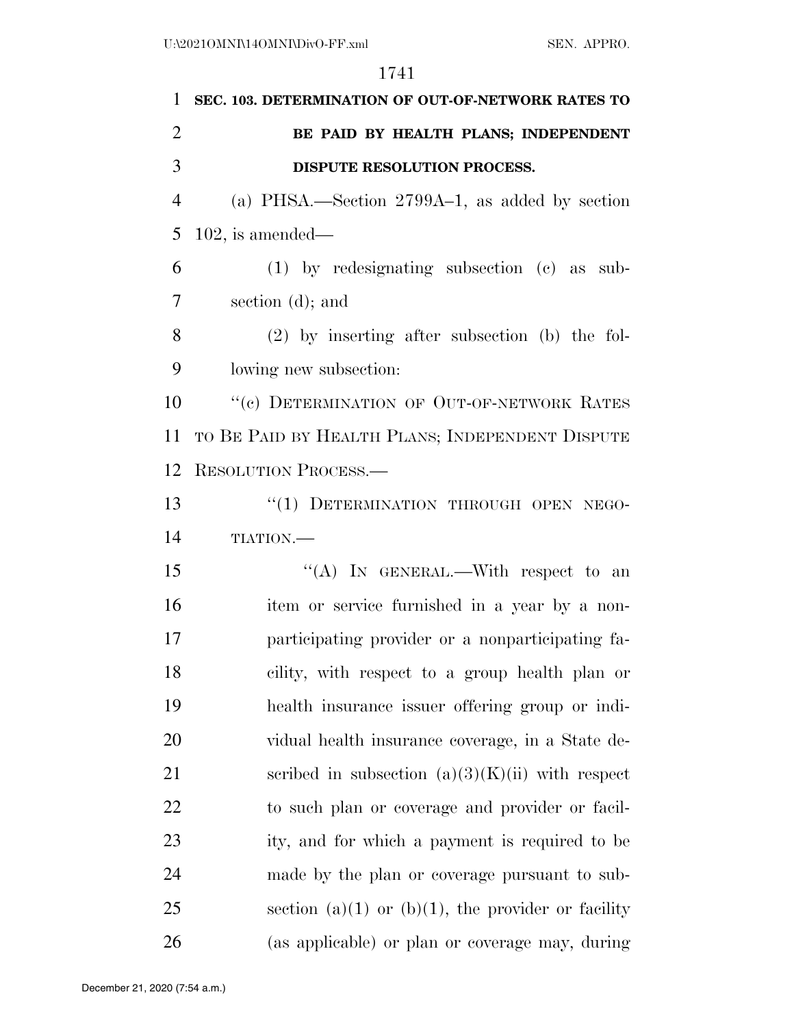| $\mathbf{1}$   | SEC. 103. DETERMINATION OF OUT-OF-NETWORK RATES TO |
|----------------|----------------------------------------------------|
| $\overline{2}$ | BE PAID BY HEALTH PLANS; INDEPENDENT               |
| 3              | DISPUTE RESOLUTION PROCESS.                        |
| $\overline{4}$ | (a) PHSA.—Section $2799A-1$ , as added by section  |
| 5              | $102$ , is amended—                                |
| 6              | $(1)$ by redesignating subsection $(e)$ as sub-    |
| $\overline{7}$ | section $(d)$ ; and                                |
| 8              | $(2)$ by inserting after subsection (b) the fol-   |
| 9              | lowing new subsection:                             |
| 10             | "(c) DETERMINATION OF OUT-OF-NETWORK RATES         |
| 11             | TO BE PAID BY HEALTH PLANS; INDEPENDENT DISPUTE    |
| 12             | RESOLUTION PROCESS.                                |
| 13             | "(1) DETERMINATION THROUGH OPEN NEGO-              |
| 14             | TIATION.                                           |
| 15             | "(A) IN GENERAL.—With respect to an                |
| 16             | item or service furnished in a year by a non-      |
| 17             | participating provider or a nonparticipating fa-   |
| 18             | cility, with respect to a group health plan or     |
| 19             | health insurance issuer offering group or indi-    |
| 20             | vidual health insurance coverage, in a State de-   |
| 21             | scribed in subsection $(a)(3)(K)(ii)$ with respect |
| 22             | to such plan or coverage and provider or facil-    |
| 23             | ity, and for which a payment is required to be     |
| 24             | made by the plan or coverage pursuant to sub-      |
| 25             | section (a)(1) or (b)(1), the provider or facility |
| 26             | (as applicable) or plan or coverage may, during    |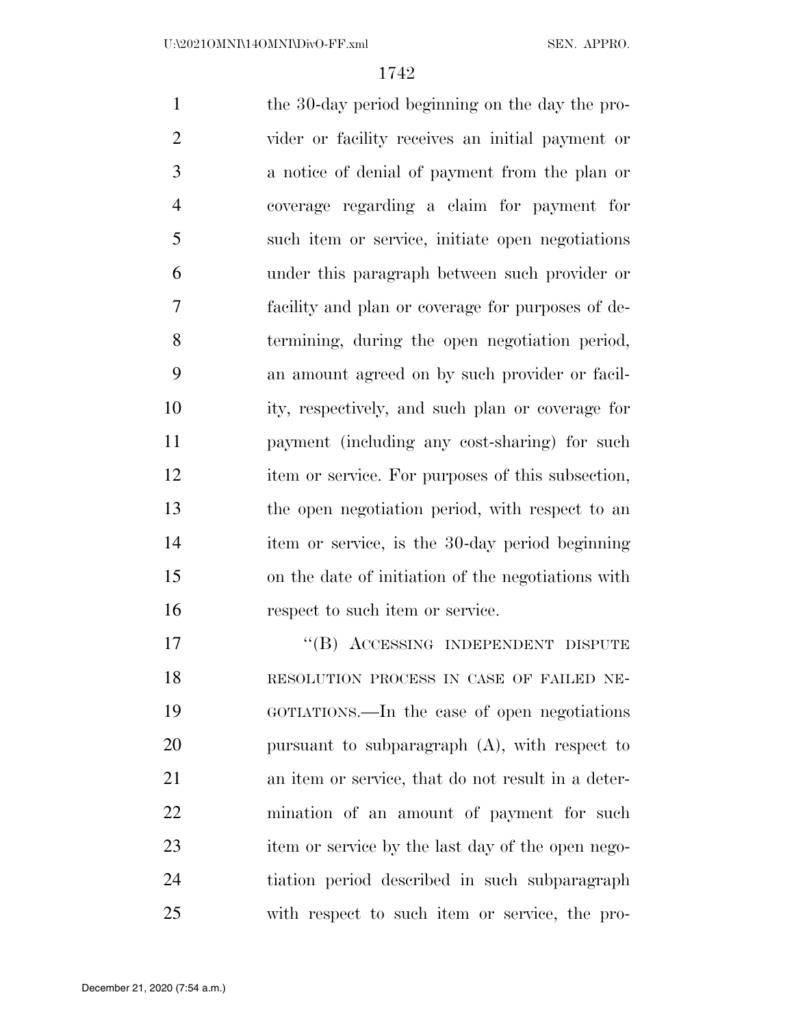the 30-day period beginning on the day the pro- vider or facility receives an initial payment or a notice of denial of payment from the plan or coverage regarding a claim for payment for such item or service, initiate open negotiations under this paragraph between such provider or facility and plan or coverage for purposes of de- termining, during the open negotiation period, an amount agreed on by such provider or facil- ity, respectively, and such plan or coverage for payment (including any cost-sharing) for such item or service. For purposes of this subsection, the open negotiation period, with respect to an item or service, is the 30-day period beginning on the date of initiation of the negotiations with 16 respect to such item or service. 17 "(B) ACCESSING INDEPENDENT DISPUTE

 RESOLUTION PROCESS IN CASE OF FAILED NE- GOTIATIONS.—In the case of open negotiations pursuant to subparagraph (A), with respect to an item or service, that do not result in a deter- mination of an amount of payment for such item or service by the last day of the open nego- tiation period described in such subparagraph with respect to such item or service, the pro-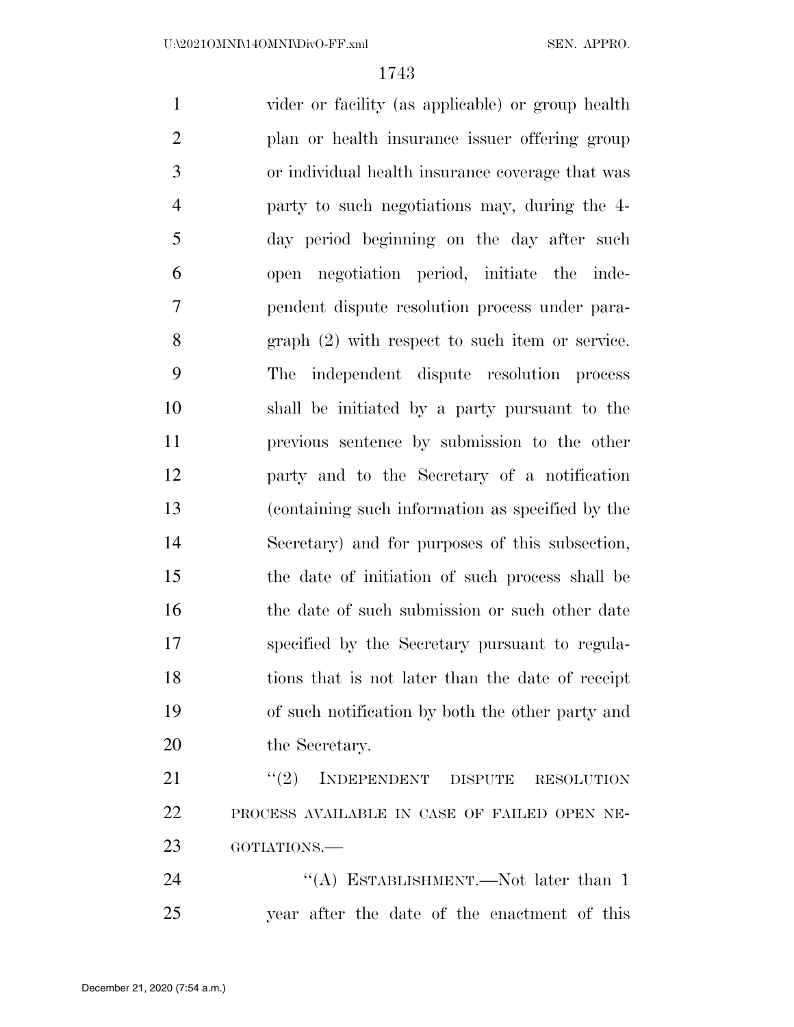vider or facility (as applicable) or group health plan or health insurance issuer offering group or individual health insurance coverage that was party to such negotiations may, during the 4- day period beginning on the day after such open negotiation period, initiate the inde- pendent dispute resolution process under para- graph (2) with respect to such item or service. The independent dispute resolution process shall be initiated by a party pursuant to the previous sentence by submission to the other party and to the Secretary of a notification (containing such information as specified by the Secretary) and for purposes of this subsection, the date of initiation of such process shall be 16 the date of such submission or such other date specified by the Secretary pursuant to regula- tions that is not later than the date of receipt of such notification by both the other party and 20 the Secretary. 21 "(2) INDEPENDENT DISPUTE RESOLUTION PROCESS AVAILABLE IN CASE OF FAILED OPEN NE-

GOTIATIONS.—

24 "(A) ESTABLISHMENT.—Not later than 1 year after the date of the enactment of this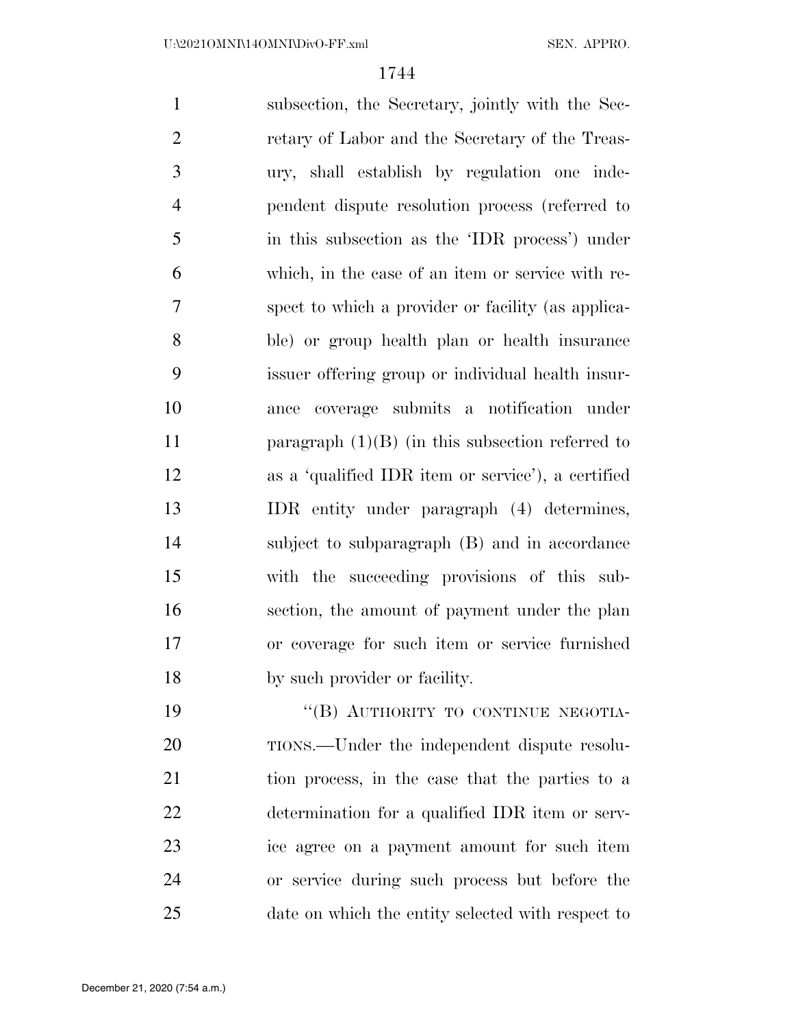subsection, the Secretary, jointly with the Sec- retary of Labor and the Secretary of the Treas- ury, shall establish by regulation one inde- pendent dispute resolution process (referred to in this subsection as the 'IDR process') under which, in the case of an item or service with re- spect to which a provider or facility (as applica- ble) or group health plan or health insurance issuer offering group or individual health insur- ance coverage submits a notification under 11 paragraph (1)(B) (in this subsection referred to as a 'qualified IDR item or service'), a certified IDR entity under paragraph (4) determines, subject to subparagraph (B) and in accordance with the succeeding provisions of this sub- section, the amount of payment under the plan or coverage for such item or service furnished by such provider or facility.

19 "(B) AUTHORITY TO CONTINUE NEGOTIA-20 TIONS.—Under the independent dispute resolu- tion process, in the case that the parties to a determination for a qualified IDR item or serv- ice agree on a payment amount for such item or service during such process but before the date on which the entity selected with respect to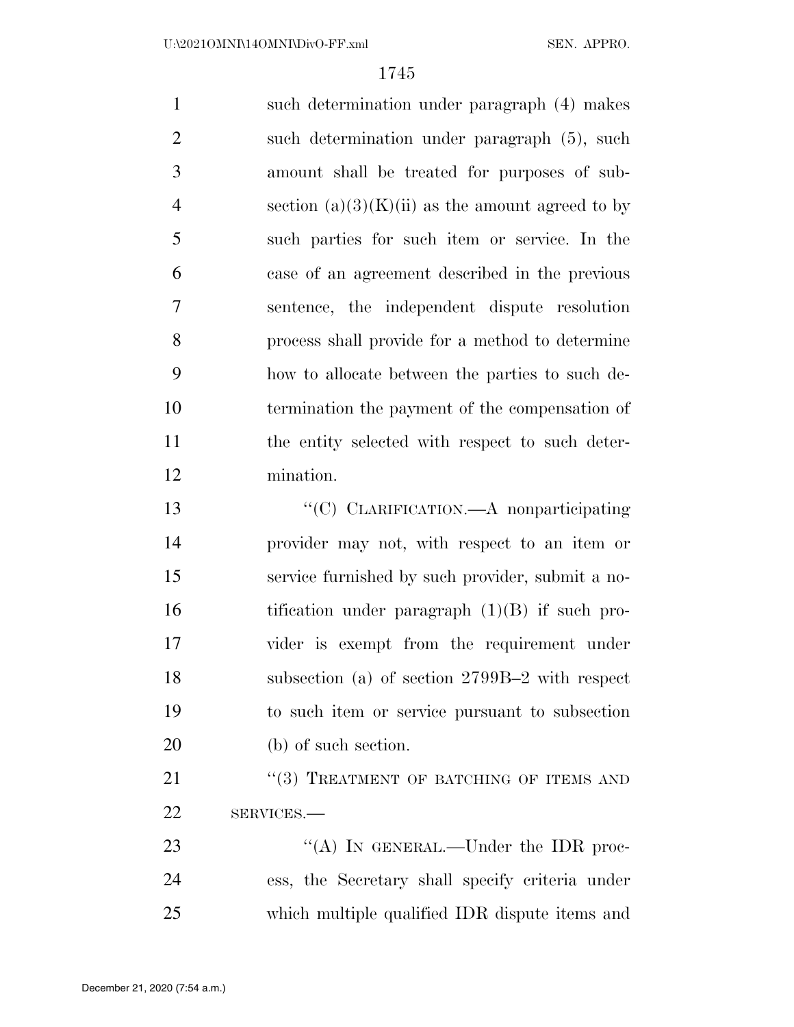such determination under paragraph (4) makes such determination under paragraph (5), such amount shall be treated for purposes of sub-4 section  $(a)(3)(K)(ii)$  as the amount agreed to by such parties for such item or service. In the case of an agreement described in the previous sentence, the independent dispute resolution process shall provide for a method to determine how to allocate between the parties to such de- termination the payment of the compensation of the entity selected with respect to such deter- mination. ''(C) CLARIFICATION.—A nonparticipating provider may not, with respect to an item or service furnished by such provider, submit a no-16 tification under paragraph (1)(B) if such pro- vider is exempt from the requirement under subsection (a) of section 2799B–2 with respect to such item or service pursuant to subsection (b) of such section.

21 "(3) TREATMENT OF BATCHING OF ITEMS AND SERVICES.—

23 "(A) IN GENERAL.—Under the IDR proc- ess, the Secretary shall specify criteria under which multiple qualified IDR dispute items and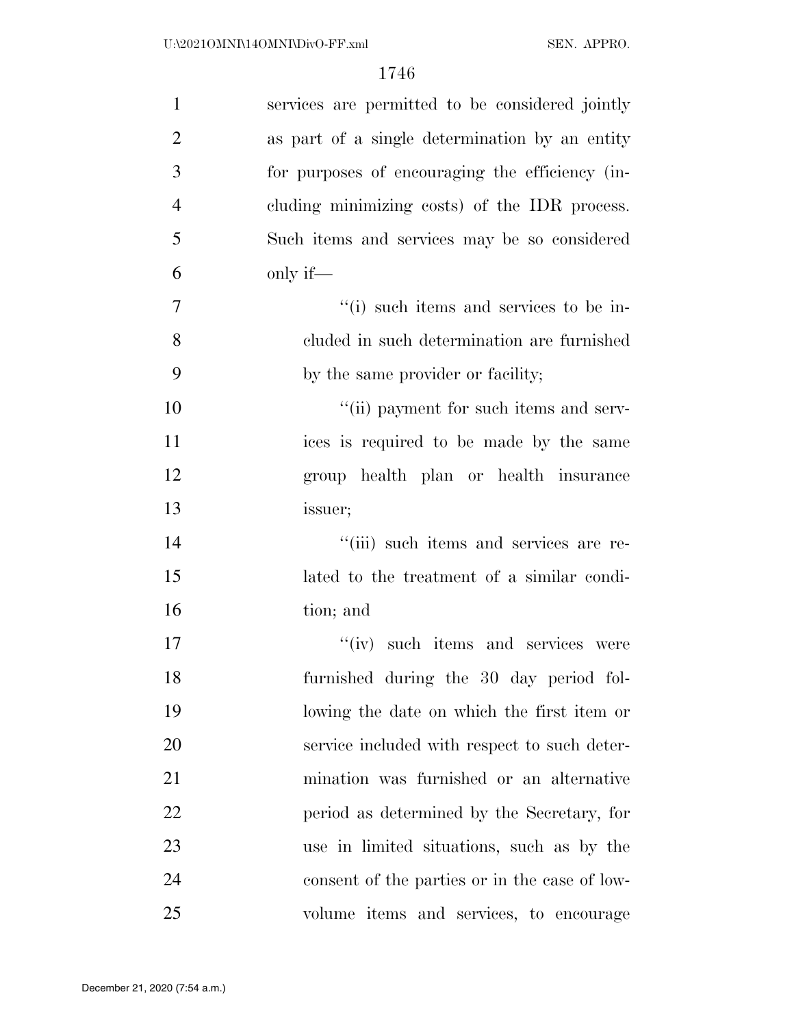| $\mathbf{1}$   | services are permitted to be considered jointly |
|----------------|-------------------------------------------------|
| $\overline{2}$ | as part of a single determination by an entity  |
| 3              | for purposes of encouraging the efficiency (in- |
| $\overline{4}$ | cluding minimizing costs) of the IDR process.   |
| 5              | Such items and services may be so considered    |
| 6              | only if—                                        |
| $\overline{7}$ | "(i) such items and services to be in-          |
| 8              | cluded in such determination are furnished      |
| 9              | by the same provider or facility;               |
| 10             | "(ii) payment for such items and serv-          |
| 11             | ices is required to be made by the same         |
| 12             | group health plan or health insurance           |
| 13             | issuer;                                         |
| 14             | "(iii) such items and services are re-          |
| 15             | lated to the treatment of a similar condi-      |
| 16             | tion; and                                       |
| 17             | "(iv) such items and services were              |
| 18             | furnished during the 30 day period fol-         |
| 19             | lowing the date on which the first item or      |
| 20             | service included with respect to such deter-    |
| 21             | mination was furnished or an alternative        |
| 22             | period as determined by the Secretary, for      |
| 23             | use in limited situations, such as by the       |
| 24             | consent of the parties or in the case of low-   |
| 25             | volume items and services, to encourage         |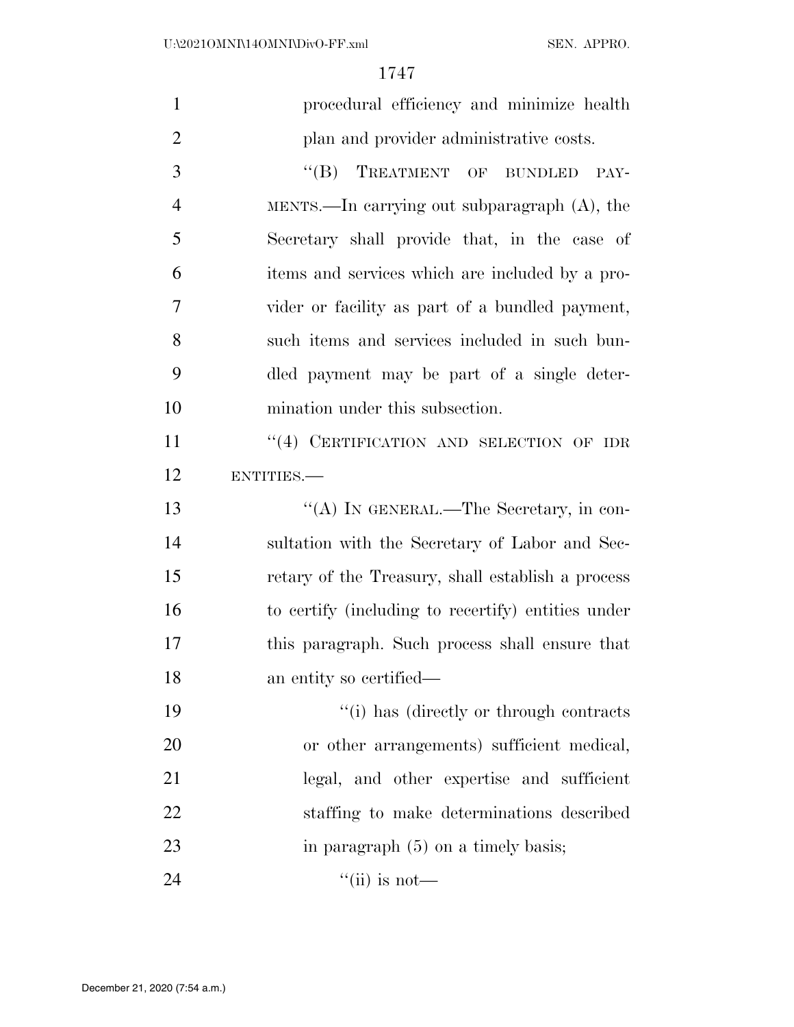| $\mathbf{1}$   | procedural efficiency and minimize health          |
|----------------|----------------------------------------------------|
| $\overline{2}$ | plan and provider administrative costs.            |
| 3              | "(B) TREATMENT OF BUNDLED<br>PAY-                  |
| $\overline{4}$ | MENTS.—In carrying out subparagraph $(A)$ , the    |
| 5              | Secretary shall provide that, in the case of       |
| 6              | items and services which are included by a pro-    |
| 7              | vider or facility as part of a bundled payment,    |
| 8              | such items and services included in such bun-      |
| 9              | dled payment may be part of a single deter-        |
| 10             | mination under this subsection.                    |
| 11             | "(4) CERTIFICATION AND SELECTION OF IDR            |
| 12             | ENTITIES.                                          |
| 13             | "(A) IN GENERAL.—The Secretary, in con-            |
| 14             | sultation with the Secretary of Labor and Sec-     |
| 15             | retary of the Treasury, shall establish a process  |
| 16             | to certify (including to recertify) entities under |
| 17             | this paragraph. Such process shall ensure that     |
| 18             | an entity so certified—                            |
| 19             | "(i) has (directly or through contracts            |
| 20             | or other arrangements) sufficient medical,         |
| 21             | legal, and other expertise and sufficient          |
| 22             | staffing to make determinations described          |
| 23             | in paragraph $(5)$ on a timely basis;              |
| 24             | $\lq\lq$ (ii) is not—                              |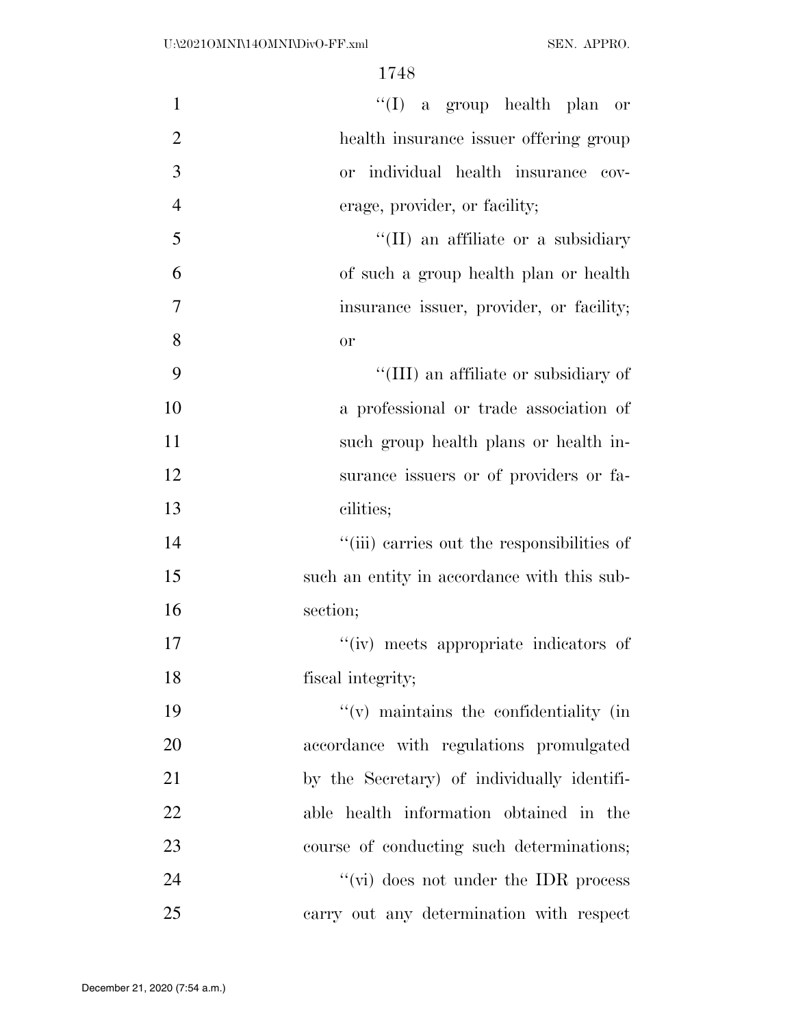| $\mathbf{1}$   | "(I) a group health plan or                 |
|----------------|---------------------------------------------|
| $\mathbf{2}$   | health insurance issuer offering group      |
| 3              | or individual health insurance cov-         |
| $\overline{4}$ | erage, provider, or facility;               |
| 5              | "(II) an affiliate or a subsidiary          |
| 6              | of such a group health plan or health       |
| $\tau$         | insurance issuer, provider, or facility;    |
| 8              | or                                          |
| 9              | "(III) an affiliate or subsidiary of        |
| 10             | a professional or trade association of      |
| 11             | such group health plans or health in-       |
| 12             | surance issuers or of providers or fa-      |
| 13             | cilities;                                   |
| 14             | "(iii) carries out the responsibilities of  |
| 15             | such an entity in accordance with this sub- |
| 16             | section;                                    |
| 17             | "(iv) meets appropriate indicators of       |
| 18             | fiscal integrity;                           |
| 19             | $f'(v)$ maintains the confidentiality (in   |
| 20             | accordance with regulations promulgated     |
| 21             | by the Secretary) of individually identifi- |
| 22             | able health information obtained in the     |
| 23             | course of conducting such determinations;   |
| 24             | "(vi) does not under the IDR process        |
| 25             | carry out any determination with respect    |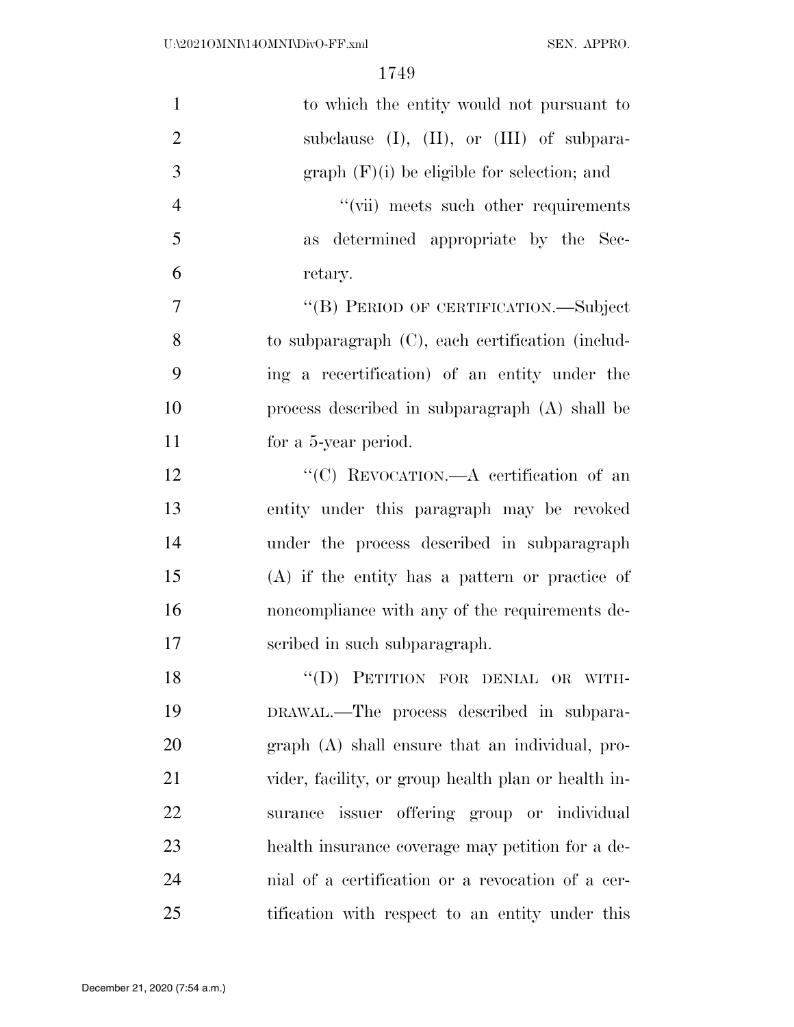| $\mathbf{1}$   | to which the entity would not pursuant to           |
|----------------|-----------------------------------------------------|
| $\overline{2}$ | subclause $(I)$ , $(II)$ , or $(III)$ of subpara-   |
| 3              | $graph$ (F)(i) be eligible for selection; and       |
| $\overline{4}$ | "(vii) meets such other requirements                |
| 5              | as determined appropriate by the Sec-               |
| 6              | retary.                                             |
| 7              | "(B) PERIOD OF CERTIFICATION.—Subject               |
| 8              | to subparagraph (C), each certification (includ-    |
| 9              | ing a recertification) of an entity under the       |
| 10             | process described in subparagraph $(A)$ shall be    |
| 11             | for a 5-year period.                                |
| 12             | "(C) REVOCATION.—A certification of an              |
| 13             | entity under this paragraph may be revoked          |
| 14             | under the process described in subparagraph         |
| 15             | $(A)$ if the entity has a pattern or practice of    |
| 16             | noncompliance with any of the requirements de-      |
| 17             | scribed in such subparagraph.                       |
| 18             | "(D) PETITION FOR DENIAL OR WITH-                   |
| 19             | DRAWAL.—The process described in subpara-           |
| 20             | $graph(A)$ shall ensure that an individual, pro-    |
| 21             | vider, facility, or group health plan or health in- |
| 22             | issuer offering group or individual<br>surance      |
| 23             | health insurance coverage may petition for a de-    |
| 24             | mial of a certification or a revocation of a cer-   |
| 25             | tification with respect to an entity under this     |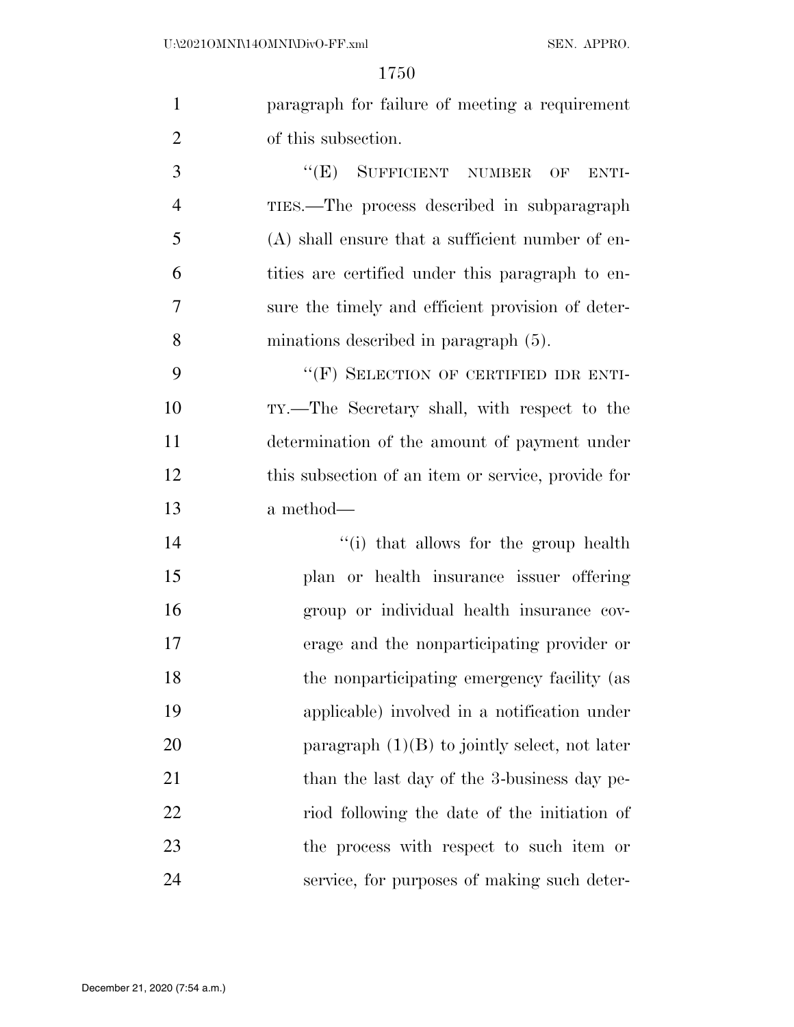|                | paragraph for failure of meeting a requirement |
|----------------|------------------------------------------------|
| $\overline{2}$ | of this subsection.                            |

3 "(E) SUFFICIENT NUMBER OF ENTI- TIES.—The process described in subparagraph (A) shall ensure that a sufficient number of en- tities are certified under this paragraph to en- sure the timely and efficient provision of deter-minations described in paragraph (5).

9 "(F) SELECTION OF CERTIFIED IDR ENTI- TY.—The Secretary shall, with respect to the determination of the amount of payment under this subsection of an item or service, provide for a method—

14 ''(i) that allows for the group health plan or health insurance issuer offering group or individual health insurance cov- erage and the nonparticipating provider or 18 the nonparticipating emergency facility (as applicable) involved in a notification under 20 paragraph  $(1)(B)$  to jointly select, not later 21 than the last day of the 3-business day pe- riod following the date of the initiation of the process with respect to such item or service, for purposes of making such deter-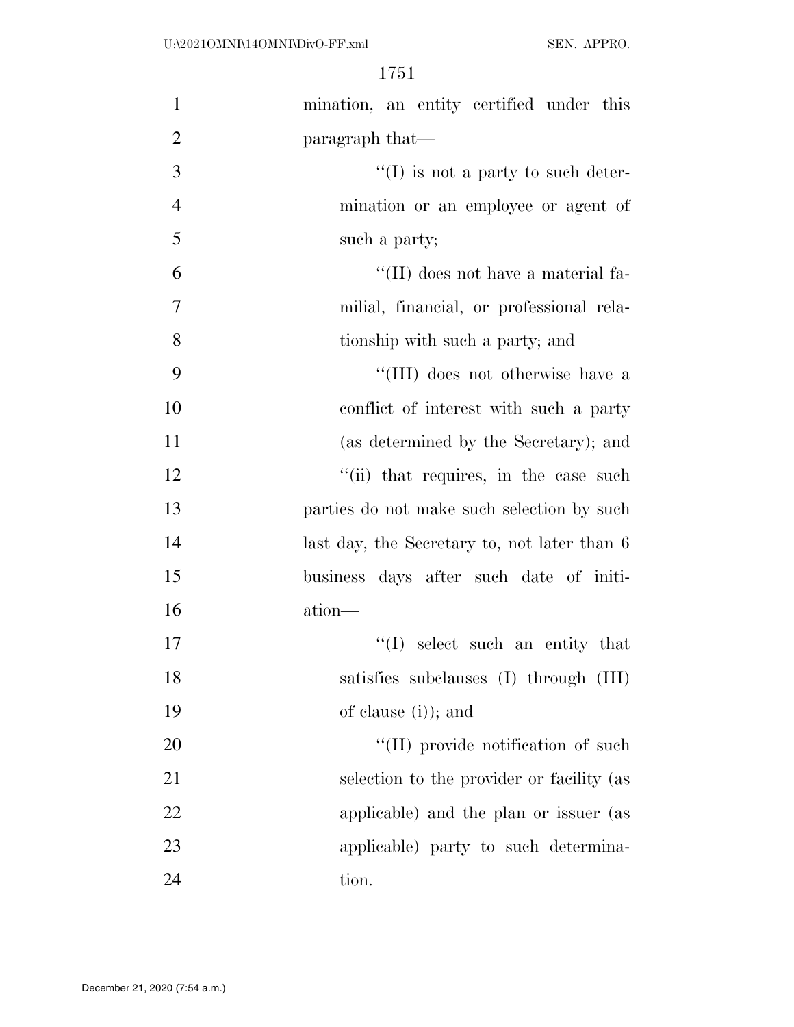| $\mathbf{1}$   | mination, an entity certified under this     |
|----------------|----------------------------------------------|
| $\overline{2}$ | paragraph that—                              |
| 3              | $\lq\lq$ is not a party to such deter-       |
| $\overline{4}$ | mination or an employee or agent of          |
| 5              | such a party;                                |
| 6              | "(II) does not have a material fa-           |
| 7              | milial, financial, or professional rela-     |
| 8              | tionship with such a party; and              |
| 9              | "(III) does not otherwise have a             |
| 10             | conflict of interest with such a party       |
| 11             | (as determined by the Secretary); and        |
| 12             | "(ii) that requires, in the case such        |
| 13             | parties do not make such selection by such   |
| 14             | last day, the Secretary to, not later than 6 |
| 15             | business days after such date of initi-      |
| 16             | ation-                                       |
| 17             | "(I) select such an entity that              |
| 18             | satisfies subclauses (I) through (III)       |
| 19             | of clause $(i)$ ; and                        |
| 20             | "(II) provide notification of such           |
| 21             | selection to the provider or facility (as    |
| 22             | applicable) and the plan or issuer (as       |
| 23             | applicable) party to such determina-         |
| 24             | tion.                                        |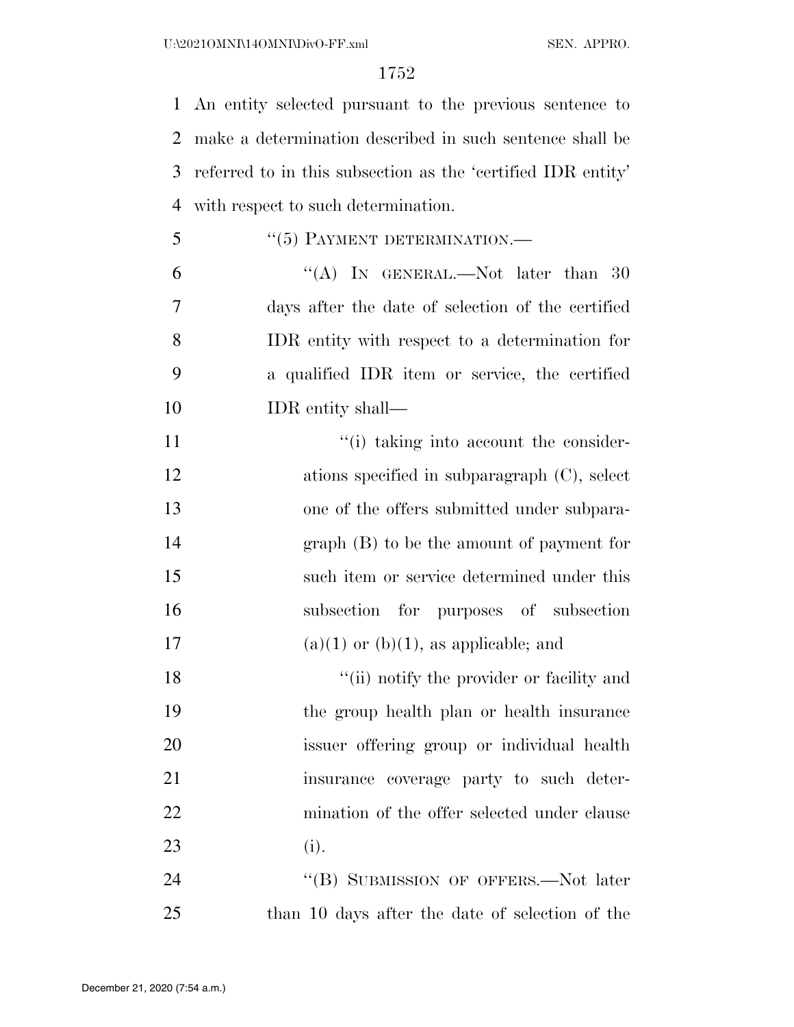An entity selected pursuant to the previous sentence to make a determination described in such sentence shall be referred to in this subsection as the 'certified IDR entity' with respect to such determination.

- 5 "(5) PAYMENT DETERMINATION.—
- 6  $\text{``(A)}$  In GENERAL.—Not later than 30 days after the date of selection of the certified IDR entity with respect to a determination for a qualified IDR item or service, the certified IDR entity shall—
- 11  $\frac{1}{10}$  taking into account the consider-12 ations specified in subparagraph (C), select one of the offers submitted under subpara- graph (B) to be the amount of payment for such item or service determined under this subsection for purposes of subsection 17 (a)(1) or (b)(1), as applicable; and

18 ''(ii) notify the provider or facility and the group health plan or health insurance issuer offering group or individual health insurance coverage party to such deter-22 mination of the offer selected under clause (i).

24 "(B) SUBMISSION OF OFFERS.—Not later than 10 days after the date of selection of the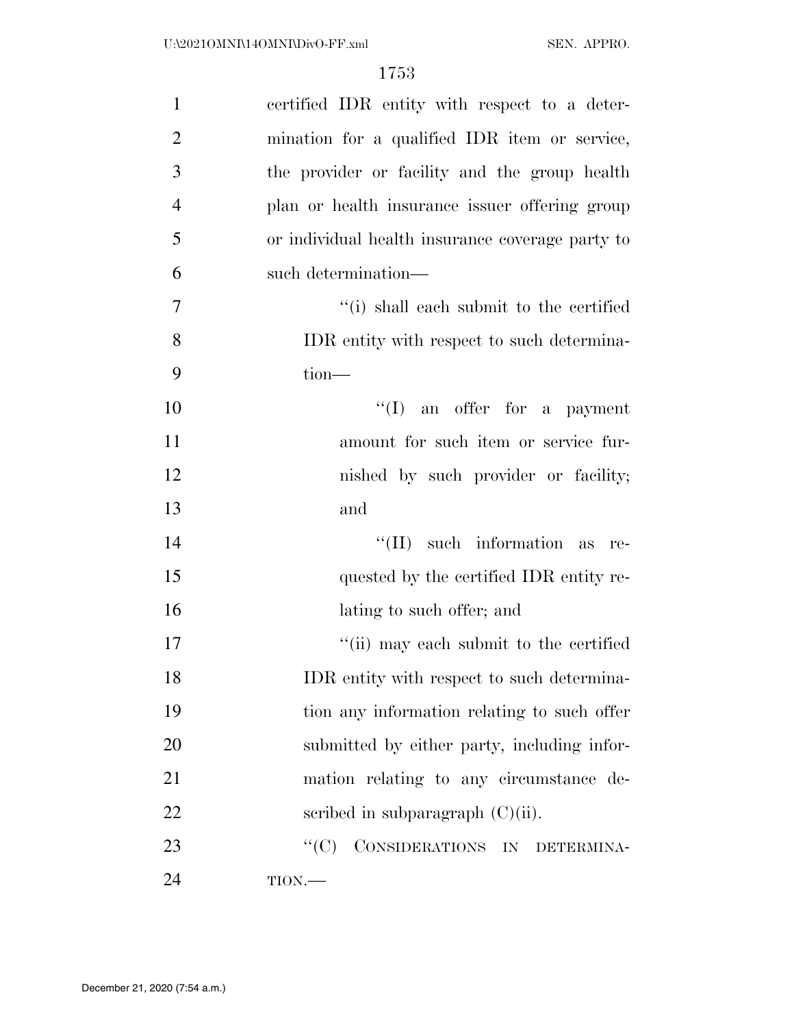| $\mathbf{1}$   | certified IDR entity with respect to a deter-    |
|----------------|--------------------------------------------------|
| $\overline{2}$ | mination for a qualified IDR item or service,    |
| 3              | the provider or facility and the group health    |
| $\overline{4}$ | plan or health insurance issuer offering group   |
| 5              | or individual health insurance coverage party to |
| 6              | such determination—                              |
| 7              | "(i) shall each submit to the certified          |
| 8              | IDR entity with respect to such determina-       |
| 9              | $tion-$                                          |
| 10             | $\lq\lq$ (I) an offer for a payment              |
| 11             | amount for such item or service fur-             |
| 12             | nished by such provider or facility;             |
| 13             | and                                              |
| 14             | such information as<br>$``(\Pi)$<br>re-          |
| 15             | quested by the certified IDR entity re-          |
| 16             | lating to such offer; and                        |
| 17             | "(ii) may each submit to the certified           |
| 18             | IDR entity with respect to such determina-       |
| 19             | tion any information relating to such offer      |
| 20             | submitted by either party, including infor-      |
| 21             | mation relating to any circumstance de-          |
| 22             | scribed in subparagraph $(C)(ii)$ .              |
| 23             | CONSIDERATIONS IN DETERMINA-<br>``(C)            |
| 24             | $TION$ .                                         |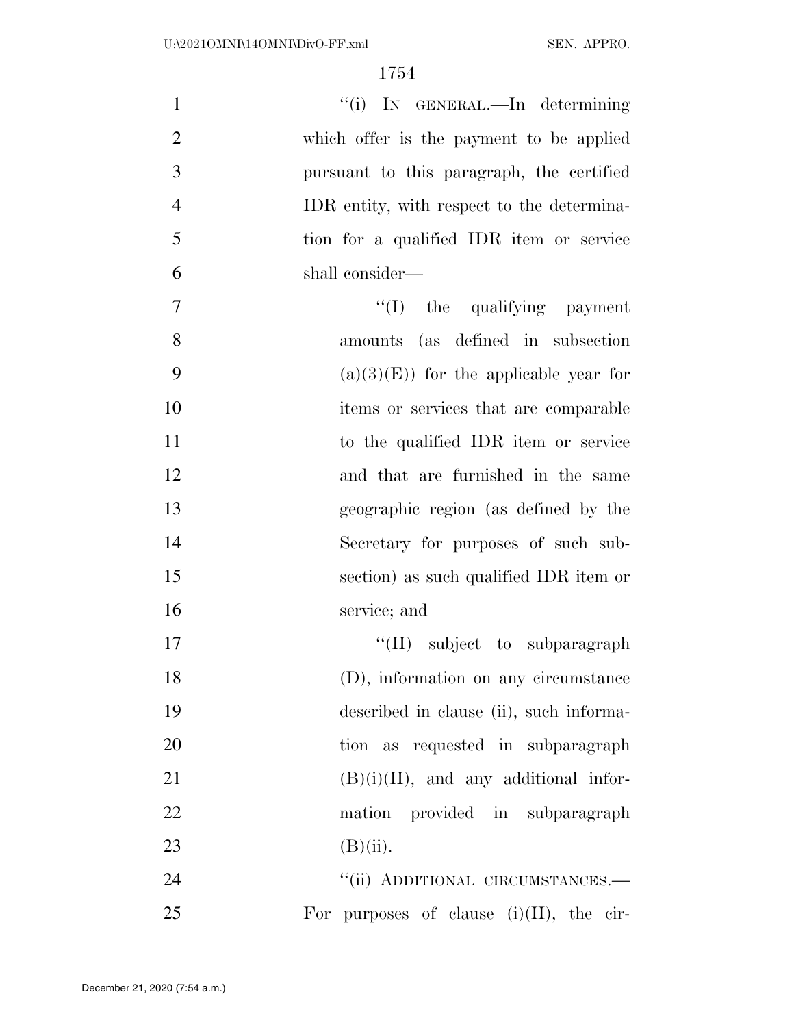| $\mathbf{1}$   | "(i) IN GENERAL.—In determining             |
|----------------|---------------------------------------------|
| $\overline{2}$ | which offer is the payment to be applied    |
| 3              | pursuant to this paragraph, the certified   |
| $\overline{4}$ | IDR entity, with respect to the determina-  |
| 5              | tion for a qualified IDR item or service    |
| 6              | shall consider—                             |
| $\tau$         | $\lq\lq$ the qualifying payment             |
| 8              | amounts (as defined in subsection           |
| 9              | $(a)(3)(E)$ for the applicable year for     |
| 10             | items or services that are comparable       |
| 11             | to the qualified IDR item or service        |
| 12             | and that are furnished in the same          |
| 13             | geographic region (as defined by the        |
| 14             | Secretary for purposes of such sub-         |
| 15             | section) as such qualified IDR item or      |
| 16             | service; and                                |
| 17             | $\lq\lq$ (II) subject to subparagraph       |
| 18             | (D), information on any circumstance        |
| 19             | described in clause (ii), such informa-     |
| 20             | tion as requested in subparagraph           |
| 21             | $(B)(i)(II)$ , and any additional infor-    |
| 22             | mation provided in subparagraph             |
| 23             | $(B)(ii)$ .                                 |
| 24             | "(ii) ADDITIONAL CIRCUMSTANCES.-            |
| 25             | For purposes of clause $(i)(II)$ , the cir- |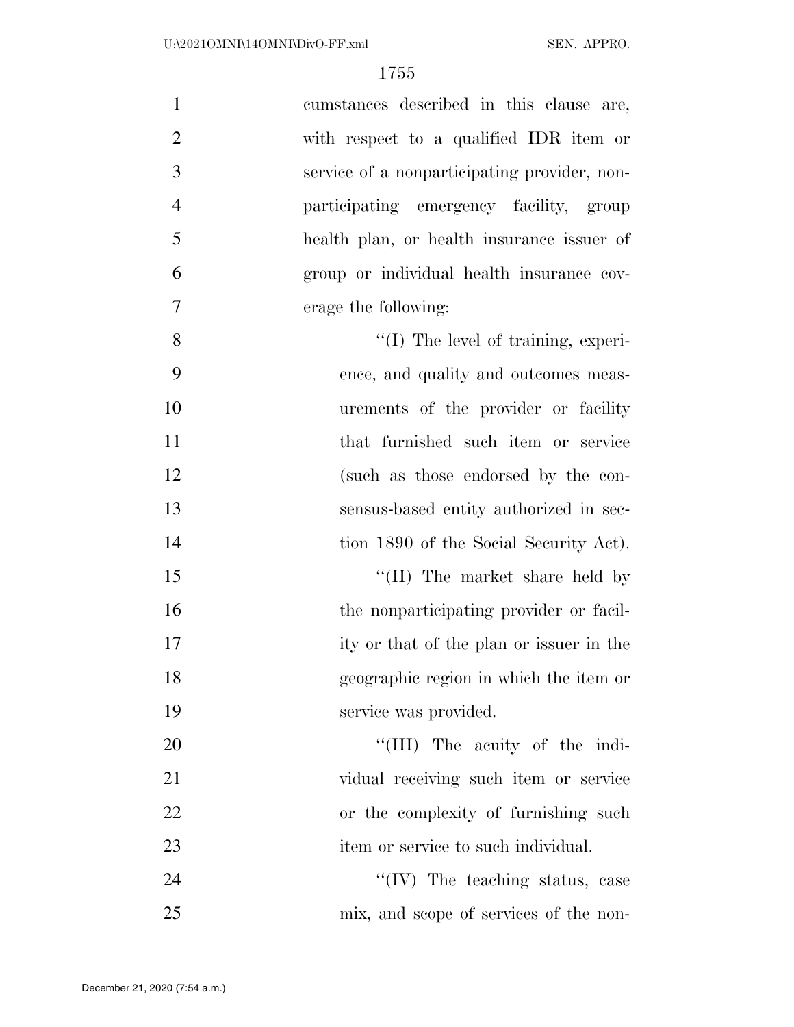| $\mathbf{1}$   | cumstances described in this clause are,     |
|----------------|----------------------------------------------|
| $\overline{2}$ | with respect to a qualified IDR item or      |
| 3              | service of a nonparticipating provider, non- |
| $\overline{4}$ | participating emergency facility, group      |
| 5              | health plan, or health insurance issuer of   |
| 6              | group or individual health insurance cov-    |
| 7              | erage the following:                         |
| 8              | $\lq\lq$ (I) The level of training, experi-  |
| 9              | ence, and quality and outcomes meas-         |
| 10             | urements of the provider or facility         |
| 11             | that furnished such item or service          |
| 12             | (such as those endorsed by the con-          |
| 13             | sensus-based entity authorized in sec-       |
| 14             | tion 1890 of the Social Security Act).       |
| 15             | "(II) The market share held by               |
| 16             | the nonparticipating provider or facil-      |
| 17             | ity or that of the plan or issuer in the     |
| 18             | geographic region in which the item or       |
| 19             | service was provided.                        |
| 20             | "(III) The acuity of the indi-               |
| 21             | vidual receiving such item or service        |
| 22             | or the complexity of furnishing such         |
| 23             | item or service to such individual.          |
| 24             | $\lq\lq$ (IV) The teaching status, case      |
| 25             | mix, and scope of services of the non-       |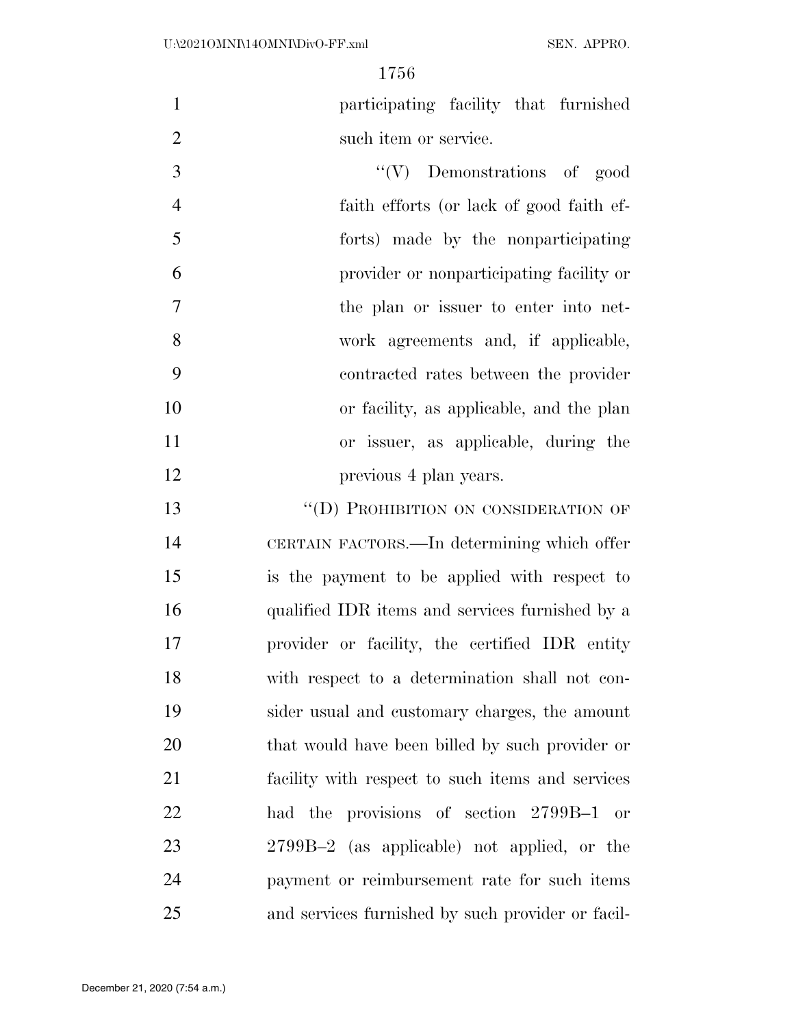participating facility that furnished 2 such item or service.

 ''(V) Demonstrations of good faith efforts (or lack of good faith ef- forts) made by the nonparticipating provider or nonparticipating facility or the plan or issuer to enter into net- work agreements and, if applicable, contracted rates between the provider or facility, as applicable, and the plan or issuer, as applicable, during the 12 previous 4 plan years.

13 "(D) PROHIBITION ON CONSIDERATION OF CERTAIN FACTORS.—In determining which offer is the payment to be applied with respect to qualified IDR items and services furnished by a provider or facility, the certified IDR entity with respect to a determination shall not con- sider usual and customary charges, the amount that would have been billed by such provider or facility with respect to such items and services had the provisions of section 2799B–1 or 2799B–2 (as applicable) not applied, or the payment or reimbursement rate for such items and services furnished by such provider or facil-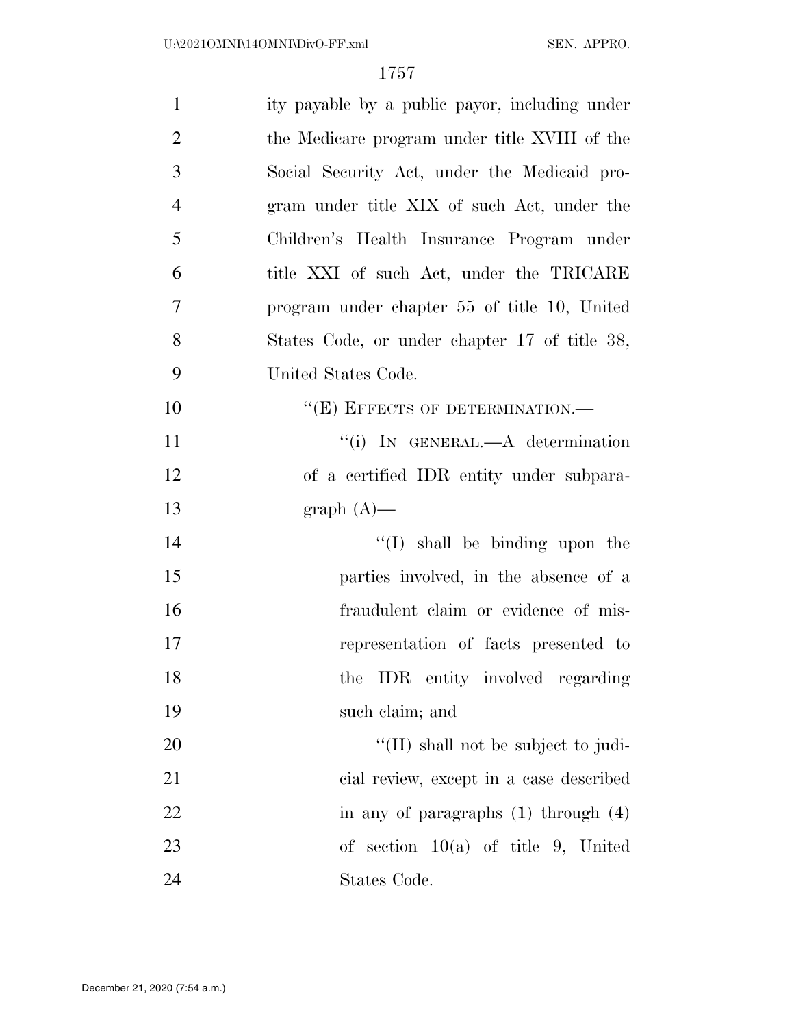| $\mathbf{1}$   | ity payable by a public payor, including under        |
|----------------|-------------------------------------------------------|
| $\overline{2}$ | the Medicare program under title XVIII of the         |
| 3              | Social Security Act, under the Medicaid pro-          |
| $\overline{4}$ | gram under title XIX of such Act, under the           |
| 5              | Children's Health Insurance Program under             |
| 6              | title XXI of such Act, under the TRICARE              |
| $\tau$         | program under chapter 55 of title 10, United          |
| 8              | States Code, or under chapter 17 of title 38,         |
| 9              | United States Code.                                   |
| 10             | $``(E)$ EFFECTS OF DETERMINATION.—                    |
| 11             | "(i) IN GENERAL.—A determination                      |
| 12             | of a certified IDR entity under subpara-              |
| 13             | $graph(A)$ —                                          |
| 14             | $\lq\lq$ shall be binding upon the                    |
| 15             | parties involved, in the absence of a                 |
| 16             | fraudulent claim or evidence of mis-                  |
| 17             | representation of facts presented to                  |
| 18             | the IDR entity involved regarding                     |
| 19             | such claim; and                                       |
| <b>20</b>      | $\lq$ <sup>"</sup> (II) shall not be subject to judi- |
| 21             | cial review, except in a case described               |
| 22             | in any of paragraphs $(1)$ through $(4)$              |
| 23             | of section $10(a)$ of title 9, United                 |
| 24             | States Code.                                          |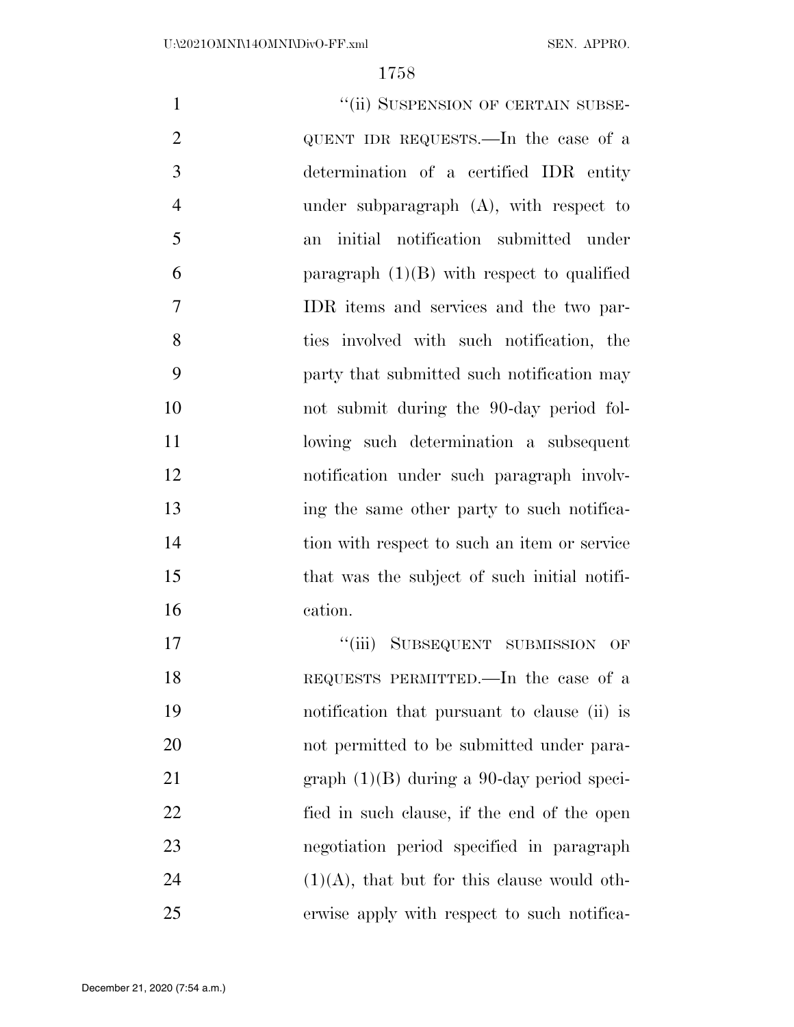| $\mathbf{1}$      | "(ii) SUSPENSION OF CERTAIN SUBSE-                       |
|-------------------|----------------------------------------------------------|
| $\overline{2}$    | QUENT IDR REQUESTS.—In the case of a                     |
| 3                 | determination of a certified IDR entity                  |
| $\overline{4}$    | under subparagraph (A), with respect to                  |
| 5                 | initial notification submitted under<br>an               |
| 6                 | paragraph $(1)(B)$ with respect to qualified             |
| $\overline{7}$    | IDR items and services and the two par-                  |
| 8                 | ties involved with such notification, the                |
| 9                 | party that submitted such notification may               |
| 10                | not submit during the 90-day period fol-                 |
| 11                | lowing such determination a subsequent                   |
| 12                | notification under such paragraph involv-                |
| 13                | ing the same other party to such notifica-               |
| 14                | tion with respect to such an item or service             |
| 15                | that was the subject of such initial notifi-             |
| 16                | cation.                                                  |
| 17                | "(iii) SUBSEQUENT SUBMISSION OF                          |
| 18                | REQUESTS PERMITTED.—In the case of a                     |
| 19                | notification that pursuant to clause (ii) is             |
| 20                | not permitted to be submitted under para-                |
| $\mathbf{\Omega}$ | (1)(D) 1 ' 00 1' 1'<br><b>Contract Contract Contract</b> |

 graph (1)(B) during a 90-day period speci- fied in such clause, if the end of the open negotiation period specified in paragraph (1)(A), that but for this clause would oth-erwise apply with respect to such notifica-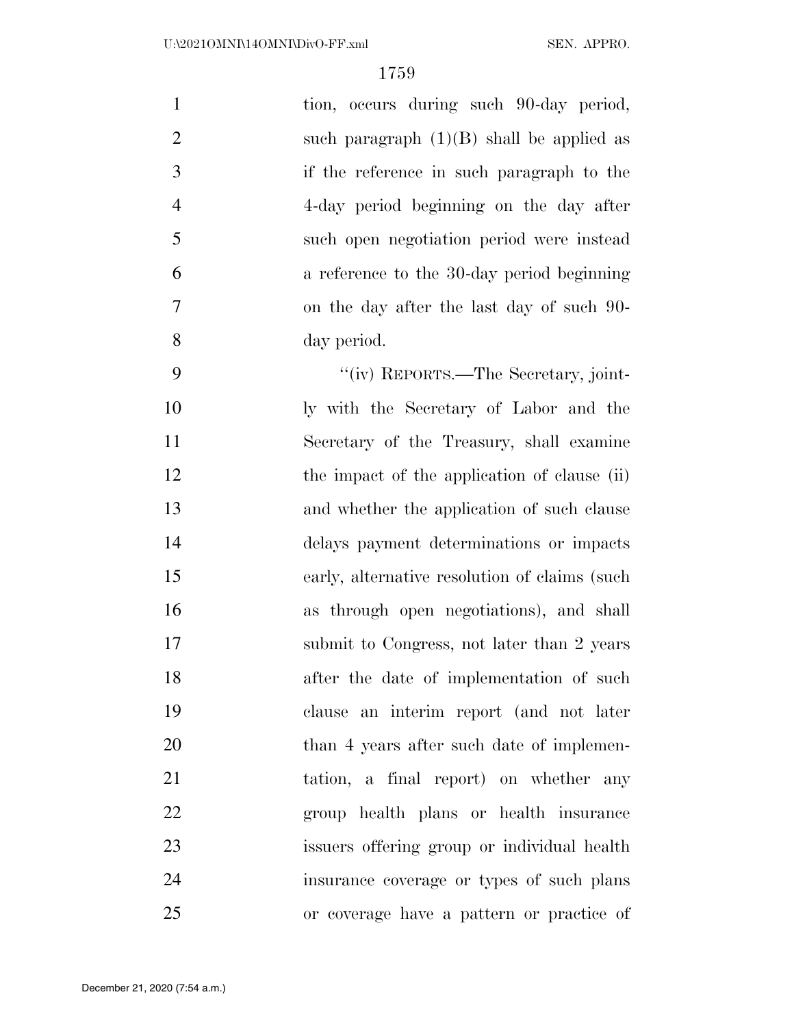| $\mathbf{1}$   | tion, occurs during such 90-day period,        |
|----------------|------------------------------------------------|
| $\overline{2}$ | such paragraph $(1)(B)$ shall be applied as    |
| 3              | if the reference in such paragraph to the      |
| $\overline{4}$ | 4-day period beginning on the day after        |
| 5              | such open negotiation period were instead      |
| 6              | a reference to the 30-day period beginning     |
| 7              | on the day after the last day of such 90-      |
| 8              | day period.                                    |
| 9              | "(iv) REPORTS.—The Secretary, joint-           |
| 10             | ly with the Secretary of Labor and the         |
| 11             | Secretary of the Treasury, shall examine       |
| 12             | the impact of the application of clause (ii)   |
| 13             | and whether the application of such clause     |
| 14             | delays payment determinations or impacts       |
| 15             | early, alternative resolution of claims (such) |
| 16             | as through open negotiations), and shall       |
| 17             | submit to Congress, not later than 2 years     |
| 18             | after the date of implementation of such       |
| 19             | clause an interim report (and not later        |
| 20             | than 4 years after such date of implemen-      |
| 21             | tation, a final report) on whether any         |
| 22             | group health plans or health insurance         |
| 23             | issuers offering group or individual health    |
| 24             | insurance coverage or types of such plans      |
| 25             | or coverage have a pattern or practice of      |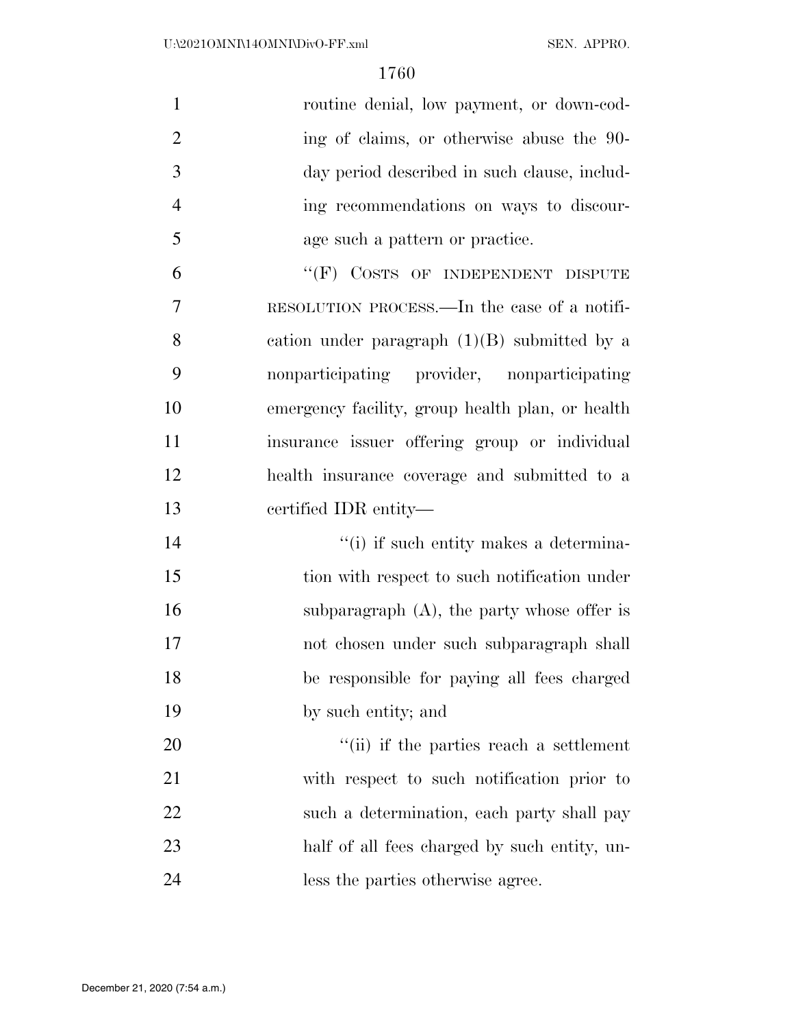| $\mathbf{1}$   | routine denial, low payment, or down-cod-        |
|----------------|--------------------------------------------------|
| $\overline{2}$ | ing of claims, or otherwise abuse the 90-        |
| 3              | day period described in such clause, includ-     |
| $\overline{4}$ | ing recommendations on ways to discour-          |
| 5              | age such a pattern or practice.                  |
| 6              | "(F) COSTS OF INDEPENDENT DISPUTE                |
| $\overline{7}$ | RESOLUTION PROCESS.—In the case of a notifi-     |
| 8              | cation under paragraph $(1)(B)$ submitted by a   |
| 9              | nonparticipating provider, nonparticipating      |
| 10             | emergency facility, group health plan, or health |
| 11             | insurance issuer offering group or individual    |
| 12             | health insurance coverage and submitted to a     |
| 13             | certified IDR entity—                            |
| 14             | "(i) if such entity makes a determina-           |
| 15             | tion with respect to such notification under     |
| 16             | subparagraph $(A)$ , the party whose offer is    |
|                |                                                  |
| 17             | not chosen under such subparagraph shall         |
| 18             | be responsible for paying all fees charged       |
| 19             | by such entity; and                              |
| 20             | "(ii) if the parties reach a settlement          |
| 21             | with respect to such notification prior to       |
| 22             | such a determination, each party shall pay       |
| 23             | half of all fees charged by such entity, un-     |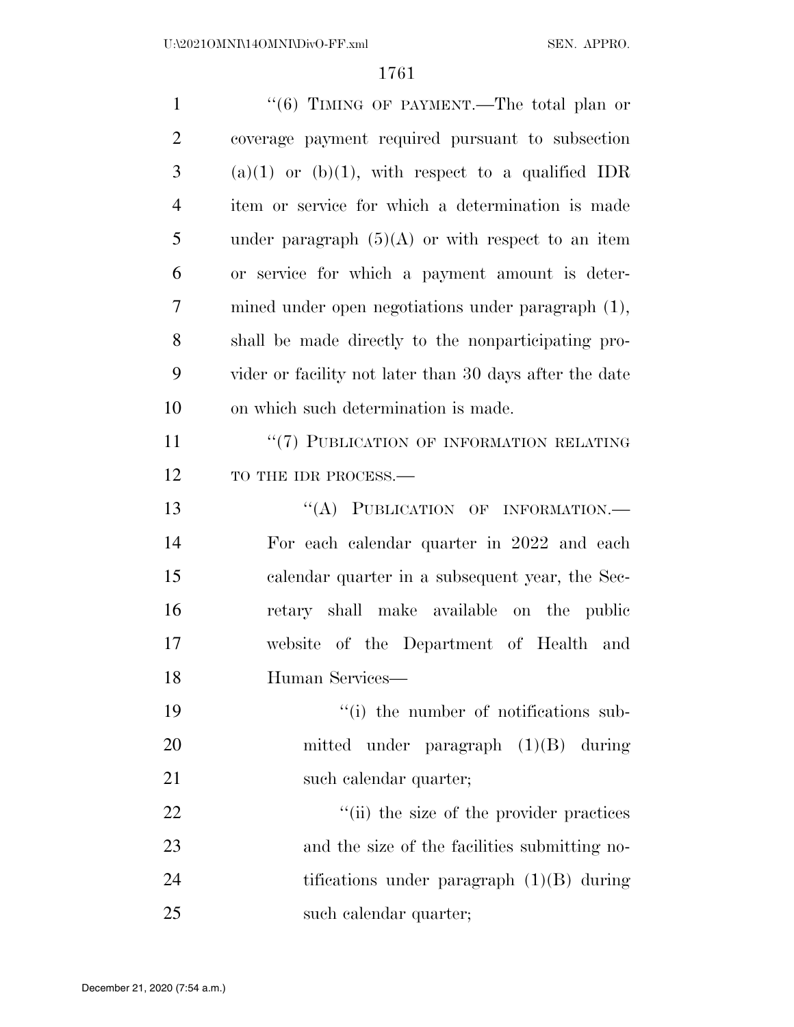| $\mathbf{1}$   | "(6) TIMING OF PAYMENT.—The total plan or               |
|----------------|---------------------------------------------------------|
| $\overline{2}$ | coverage payment required pursuant to subsection        |
| 3              | $(a)(1)$ or $(b)(1)$ , with respect to a qualified IDR  |
| $\overline{4}$ | item or service for which a determination is made       |
| 5              | under paragraph $(5)(A)$ or with respect to an item     |
| 6              | or service for which a payment amount is deter-         |
| 7              | mined under open negotiations under paragraph (1),      |
| 8              | shall be made directly to the nonparticipating pro-     |
| 9              | vider or facility not later than 30 days after the date |
| 10             | on which such determination is made.                    |
| 11             | "(7) PUBLICATION OF INFORMATION RELATING                |
| 12             | TO THE IDR PROCESS.-                                    |
| 13             | "(A) PUBLICATION OF INFORMATION.-                       |
| 14             | For each calendar quarter in 2022 and each              |
| 15             | calendar quarter in a subsequent year, the Sec-         |
| 16             | retary shall make available on the public               |
| 17             | website of the Department of Health and                 |
| 18             | Human Services-                                         |
| 19             | "(i) the number of notifications sub-                   |
| 20             | mitted under paragraph $(1)(B)$ during                  |
| 21             | such calendar quarter;                                  |
| 22             | "(ii) the size of the provider practices                |
| 23             | and the size of the facilities submitting no-           |
| 24             | tifications under paragraph $(1)(B)$ during             |
| 25             | such calendar quarter;                                  |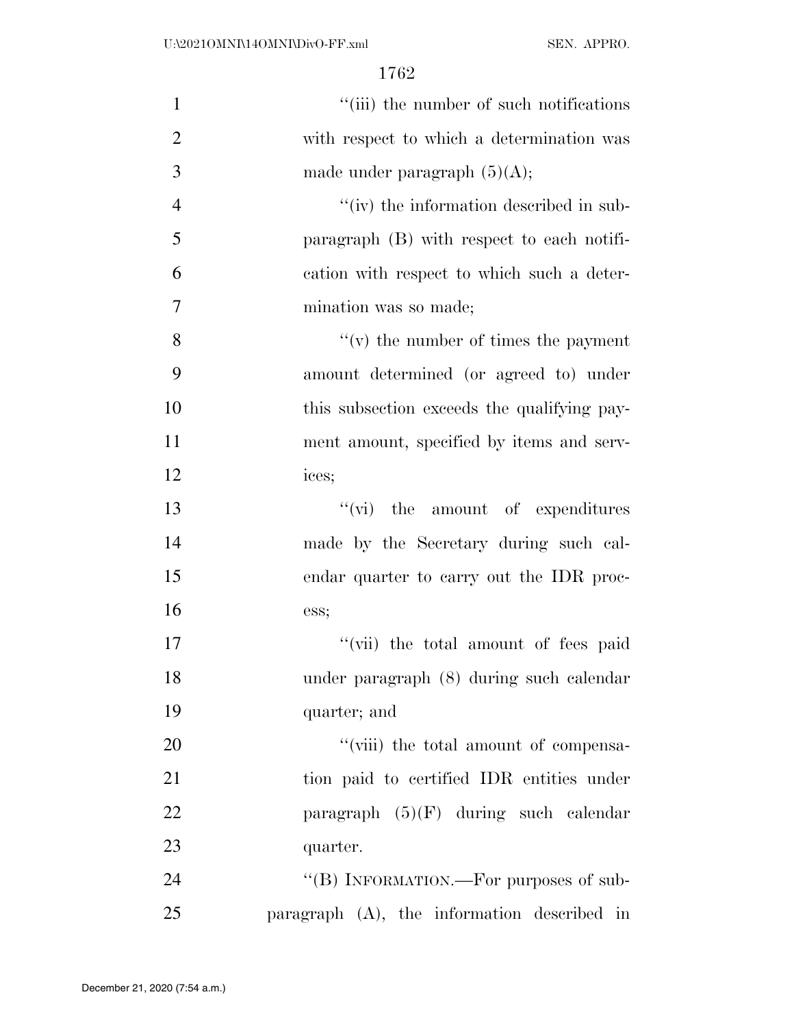| $\mathbf{1}$   | "(iii) the number of such notifications      |
|----------------|----------------------------------------------|
| $\overline{2}$ | with respect to which a determination was    |
| 3              | made under paragraph $(5)(A);$               |
| $\overline{4}$ | " $(iv)$ the information described in sub-   |
| 5              | paragraph $(B)$ with respect to each notifi- |
| 6              | cation with respect to which such a deter-   |
| $\tau$         | mination was so made;                        |
| 8              | $f'(v)$ the number of times the payment      |
| 9              | amount determined (or agreed to) under       |
| 10             | this subsection exceeds the qualifying pay-  |
| 11             | ment amount, specified by items and serv-    |
| 12             | ices;                                        |
| 13             | $\lq\lq$ (vi) the amount of expenditures     |
| 14             | made by the Secretary during such cal-       |
| 15             | endar quarter to carry out the IDR proc-     |
| 16             | ess;                                         |
| 17             | "(vii) the total amount of fees paid         |
| 18             | under paragraph (8) during such calendar     |
| 19             | quarter; and                                 |
| 20             | "(viii) the total amount of compensa-        |
| 21             | tion paid to certified IDR entities under    |
| 22             | paragraph $(5)(F)$ during such calendar      |
| 23             | quarter.                                     |
| 24             | "(B) INFORMATION.—For purposes of sub-       |
| 25             | paragraph (A), the information described in  |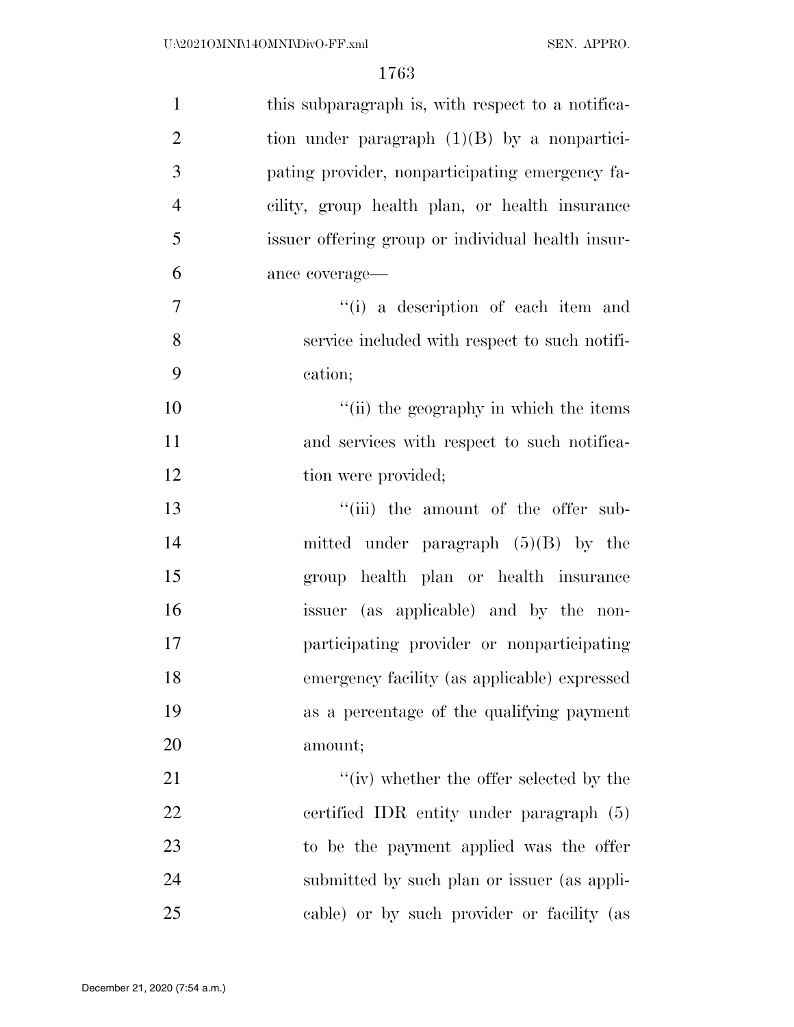| $\mathbf{1}$   | this subparagraph is, with respect to a notifica- |
|----------------|---------------------------------------------------|
| $\overline{2}$ | tion under paragraph $(1)(B)$ by a nonpartici-    |
| 3              | pating provider, nonparticipating emergency fa-   |
| $\overline{4}$ | cility, group health plan, or health insurance    |
| 5              | issuer offering group or individual health insur- |
| 6              | ance coverage-                                    |
| $\overline{7}$ | "(i) a description of each item and               |
| 8              | service included with respect to such notifi-     |
| 9              | cation;                                           |
| 10             | "(ii) the geography in which the items            |
| 11             | and services with respect to such notifica-       |
| 12             | tion were provided;                               |
| 13             | "(iii) the amount of the offer sub-               |
| 14             | mitted under paragraph $(5)(B)$ by the            |
| 15             | group health plan or health insurance             |
| 16             | issuer (as applicable) and by the non-            |
| 17             | participating provider or nonparticipating        |
| 18             | emergency facility (as applicable) expressed      |
| 19             | as a percentage of the qualifying payment         |
| 20             | amount;                                           |
| 21             | "(iv) whether the offer selected by the           |
| 22             | certified IDR entity under paragraph (5)          |
| 23             | to be the payment applied was the offer           |
| 24             | submitted by such plan or issuer (as appli-       |
| 25             | cable) or by such provider or facility (as        |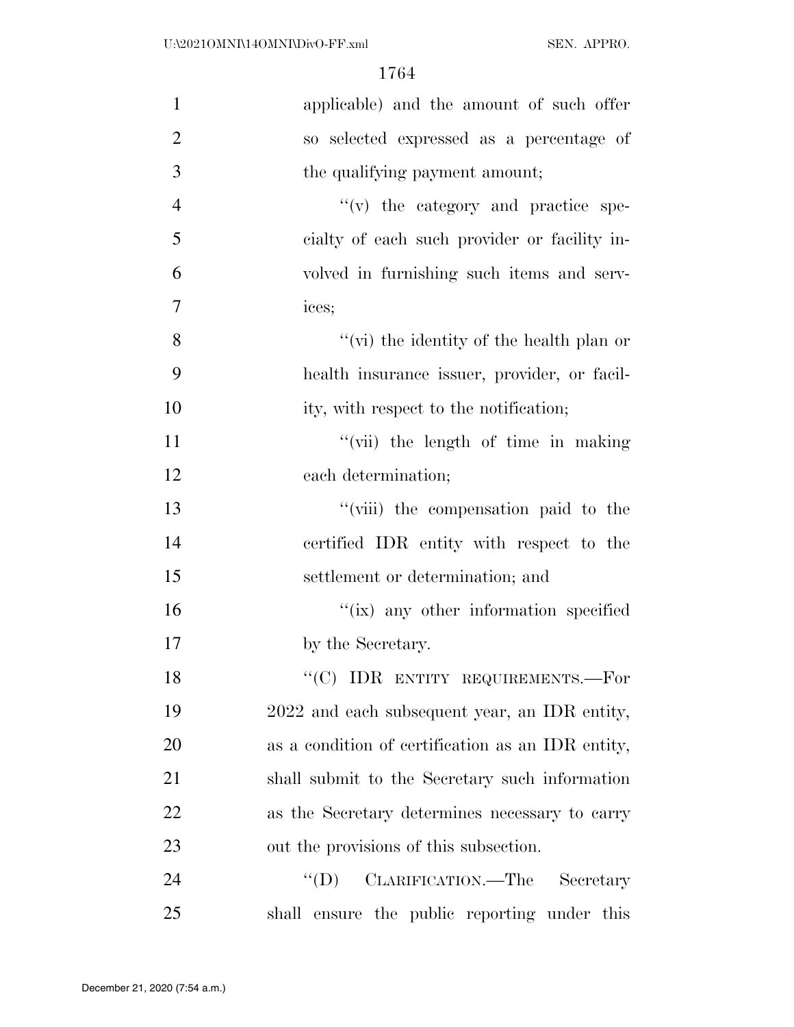| $\mathbf{1}$   | applicable) and the amount of such offer          |
|----------------|---------------------------------------------------|
| $\overline{2}$ | so selected expressed as a percentage of          |
| 3              | the qualifying payment amount;                    |
| $\overline{4}$ | $f'(v)$ the category and practice spe-            |
| 5              | eialty of each such provider or facility in-      |
| 6              | volved in furnishing such items and serv-         |
| $\overline{7}$ | ices;                                             |
| 8              | "(vi) the identity of the health plan or          |
| 9              | health insurance issuer, provider, or facil-      |
| 10             | ity, with respect to the notification;            |
| 11             | "(vii) the length of time in making               |
| 12             | each determination;                               |
| 13             | "(viii) the compensation paid to the              |
| 14             | certified IDR entity with respect to the          |
| 15             | settlement or determination; and                  |
| 16             | "(ix) any other information specified             |
| 17             | by the Secretary.                                 |
| 18             | "(C) IDR ENTITY REQUIREMENTS.—For                 |
| 19             | 2022 and each subsequent year, an IDR entity,     |
| 20             | as a condition of certification as an IDR entity, |
| 21             | shall submit to the Secretary such information    |
| 22             | as the Secretary determines necessary to carry    |
| 23             | out the provisions of this subsection.            |
| 24             | CLARIFICATION.—The<br>$\lq\lq (D)$<br>Secretary   |
| 25             | shall ensure the public reporting under this      |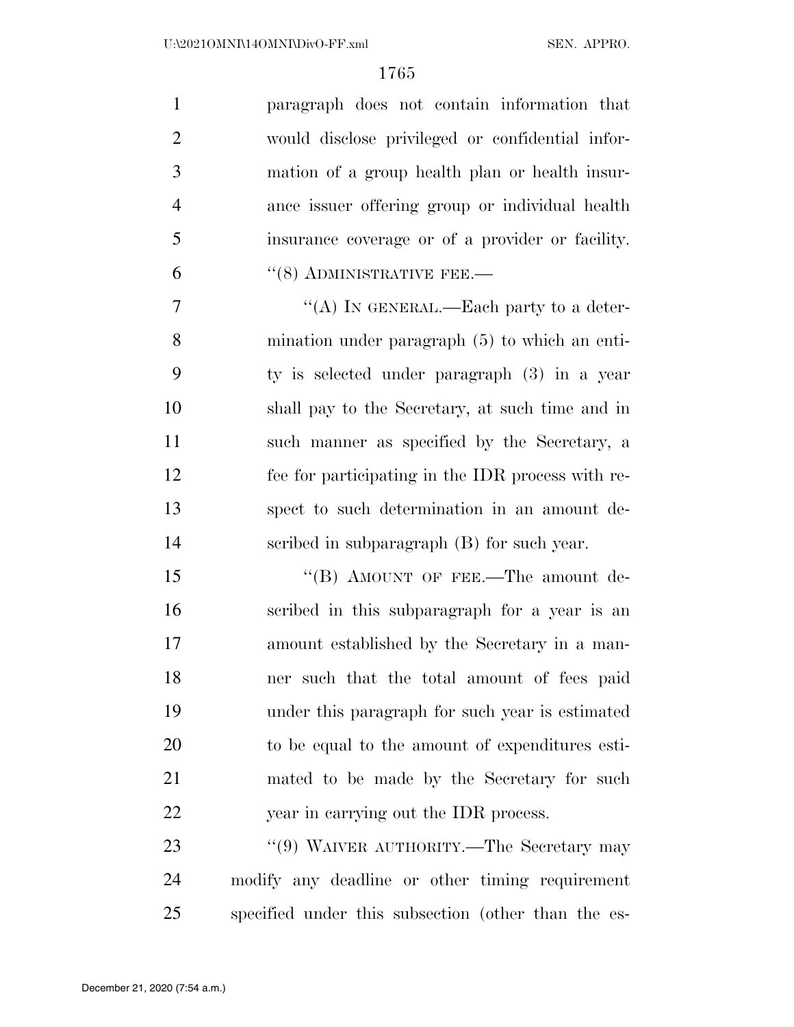| $\mathbf{1}$   | paragraph does not contain information that      |
|----------------|--------------------------------------------------|
| 2              | would disclose privileged or confidential infor- |
| 3              | mation of a group health plan or health insur-   |
| $\overline{4}$ | ance issuer offering group or individual health  |
| 5              | insurance coverage or of a provider or facility. |
| 6              | $\cdot$ (8) ADMINISTRATIVE FEE.—                 |

7 "'(A) IN GENERAL.—Each party to a deter- mination under paragraph (5) to which an enti- ty is selected under paragraph (3) in a year shall pay to the Secretary, at such time and in such manner as specified by the Secretary, a fee for participating in the IDR process with re- spect to such determination in an amount de-scribed in subparagraph (B) for such year.

15 "(B) AMOUNT OF FEE.—The amount de- scribed in this subparagraph for a year is an amount established by the Secretary in a man- ner such that the total amount of fees paid under this paragraph for such year is estimated to be equal to the amount of expenditures esti- mated to be made by the Secretary for such year in carrying out the IDR process.

23 "(9) WAIVER AUTHORITY.—The Secretary may modify any deadline or other timing requirement specified under this subsection (other than the es-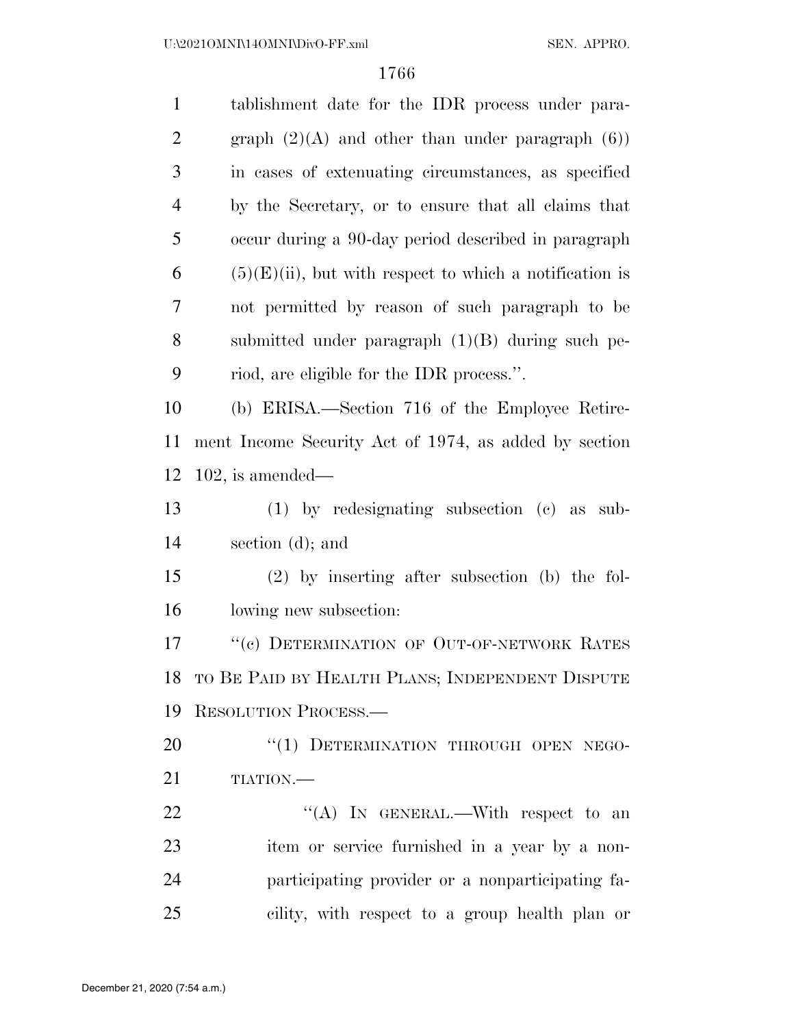| $\mathbf{1}$   | tablishment date for the IDR process under para-           |
|----------------|------------------------------------------------------------|
| $\overline{2}$ | graph $(2)(A)$ and other than under paragraph $(6)$        |
| 3              | in cases of extenuating circumstances, as specified        |
| $\overline{4}$ | by the Secretary, or to ensure that all claims that        |
| 5              | occur during a 90-day period described in paragraph        |
| 6              | $(5)(E)(ii)$ , but with respect to which a notification is |
| 7              | not permitted by reason of such paragraph to be            |
| 8              | submitted under paragraph $(1)(B)$ during such pe-         |
| 9              | riod, are eligible for the IDR process.".                  |
| 10             | (b) ERISA.—Section 716 of the Employee Retire-             |
| 11             | ment Income Security Act of 1974, as added by section      |
| 12             | $102$ , is amended—                                        |
| 13             | $(1)$ by redesignating subsection $(e)$ as sub-            |
| 14             | section $(d)$ ; and                                        |
| 15             | $(2)$ by inserting after subsection (b) the fol-           |
| 16             | lowing new subsection:                                     |
| 17             | "(c) DETERMINATION OF OUT-OF-NETWORK RATES                 |
| 18             | TO BE PAID BY HEALTH PLANS; INDEPENDENT DISPUTE            |
| 19             | RESOLUTION PROCESS.                                        |
| 20             | "(1) DETERMINATION THROUGH OPEN NEGO-                      |
| 21             | TIATION.                                                   |
| 22             | "(A) IN GENERAL.—With respect to an                        |
| 23             | item or service furnished in a year by a non-              |
| 24             | participating provider or a nonparticipating fa-           |
| 25             | cility, with respect to a group health plan or             |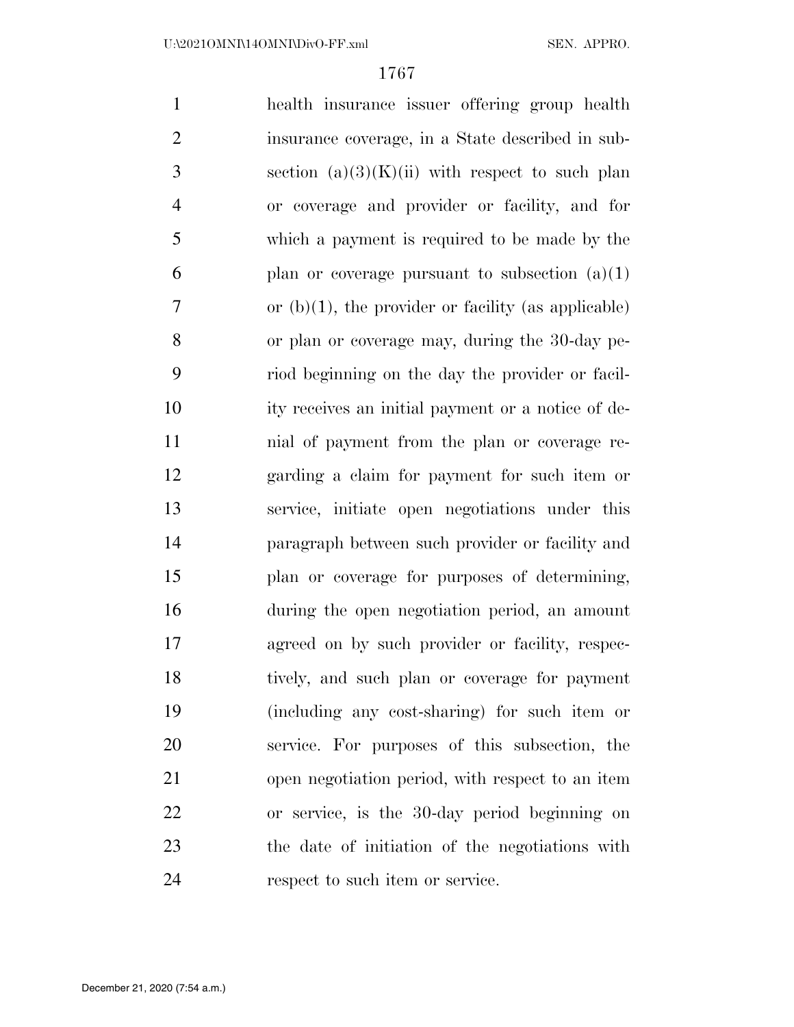health insurance issuer offering group health insurance coverage, in a State described in sub-3 section  $(a)(3)(K)(ii)$  with respect to such plan or coverage and provider or facility, and for which a payment is required to be made by the 6 plan or coverage pursuant to subsection  $(a)(1)$  $7 \quad$  or (b)(1), the provider or facility (as applicable) or plan or coverage may, during the 30-day pe- riod beginning on the day the provider or facil- ity receives an initial payment or a notice of de- nial of payment from the plan or coverage re- garding a claim for payment for such item or service, initiate open negotiations under this paragraph between such provider or facility and plan or coverage for purposes of determining, during the open negotiation period, an amount agreed on by such provider or facility, respec- tively, and such plan or coverage for payment (including any cost-sharing) for such item or service. For purposes of this subsection, the open negotiation period, with respect to an item or service, is the 30-day period beginning on the date of initiation of the negotiations with 24 respect to such item or service.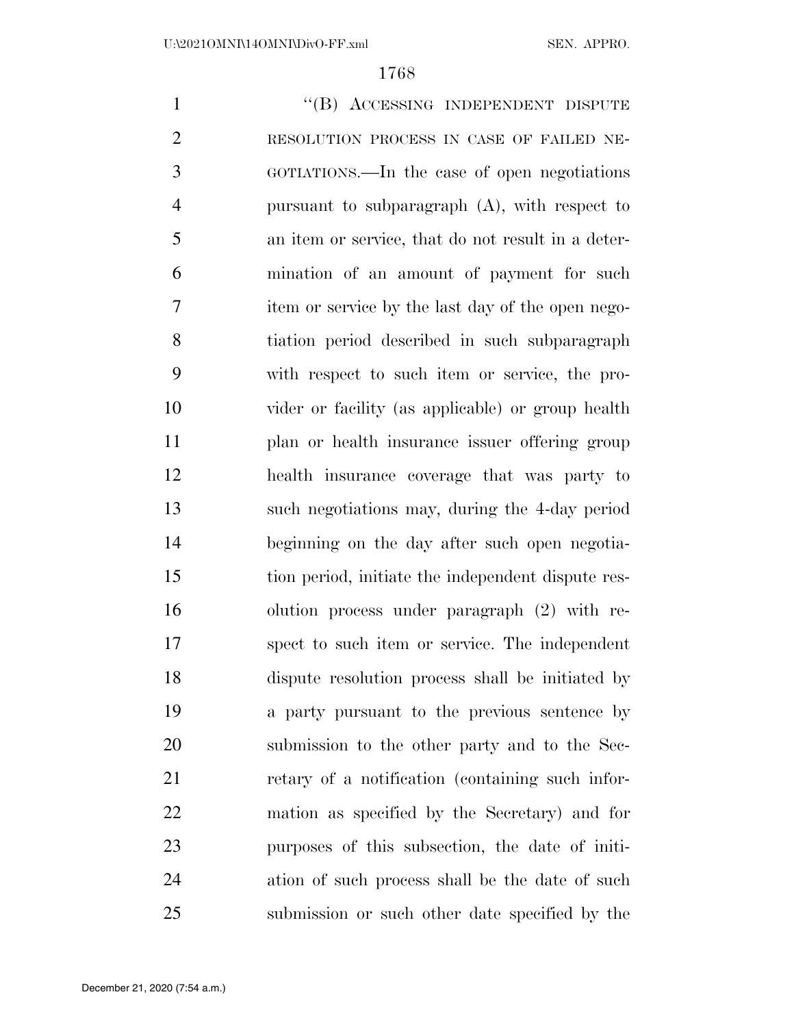1 "(B) ACCESSING INDEPENDENT DISPUTE RESOLUTION PROCESS IN CASE OF FAILED NE- GOTIATIONS.—In the case of open negotiations pursuant to subparagraph (A), with respect to an item or service, that do not result in a deter- mination of an amount of payment for such item or service by the last day of the open nego- tiation period described in such subparagraph with respect to such item or service, the pro- vider or facility (as applicable) or group health plan or health insurance issuer offering group health insurance coverage that was party to such negotiations may, during the 4-day period beginning on the day after such open negotia- tion period, initiate the independent dispute res- olution process under paragraph (2) with re- spect to such item or service. The independent dispute resolution process shall be initiated by a party pursuant to the previous sentence by submission to the other party and to the Sec- retary of a notification (containing such infor- mation as specified by the Secretary) and for purposes of this subsection, the date of initi- ation of such process shall be the date of such submission or such other date specified by the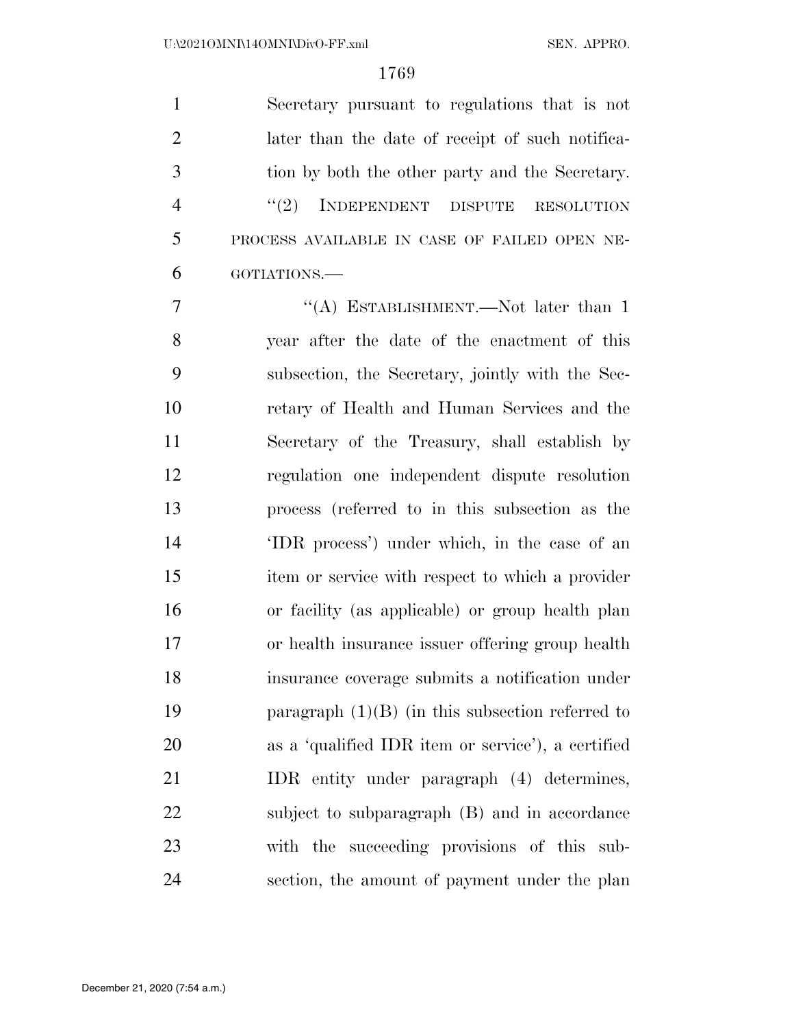Secretary pursuant to regulations that is not later than the date of receipt of such notifica- tion by both the other party and the Secretary. 4 "(2) INDEPENDENT DISPUTE RESOLUTION PROCESS AVAILABLE IN CASE OF FAILED OPEN NE-GOTIATIONS.—

7 "'(A) ESTABLISHMENT.—Not later than 1 year after the date of the enactment of this subsection, the Secretary, jointly with the Sec- retary of Health and Human Services and the Secretary of the Treasury, shall establish by regulation one independent dispute resolution process (referred to in this subsection as the 'IDR process') under which, in the case of an item or service with respect to which a provider or facility (as applicable) or group health plan or health insurance issuer offering group health insurance coverage submits a notification under paragraph (1)(B) (in this subsection referred to as a 'qualified IDR item or service'), a certified IDR entity under paragraph (4) determines, subject to subparagraph (B) and in accordance with the succeeding provisions of this sub-section, the amount of payment under the plan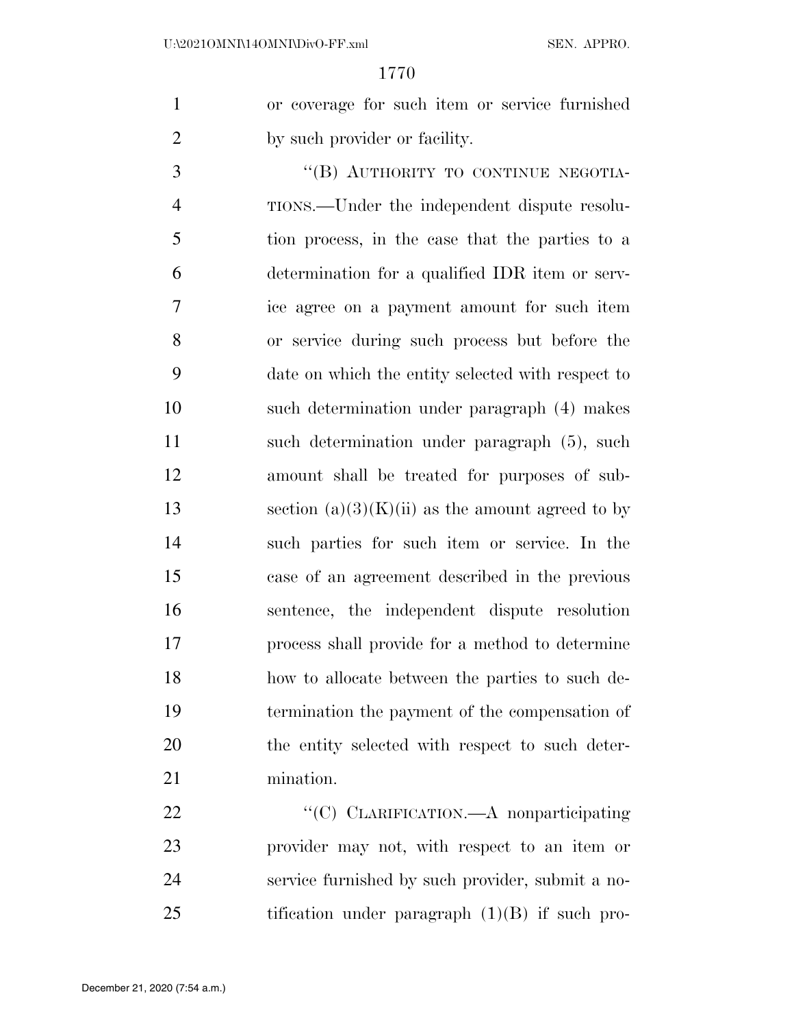or coverage for such item or service furnished 2 by such provider or facility.

3 "(B) AUTHORITY TO CONTINUE NEGOTIA- TIONS.—Under the independent dispute resolu- tion process, in the case that the parties to a determination for a qualified IDR item or serv- ice agree on a payment amount for such item or service during such process but before the date on which the entity selected with respect to such determination under paragraph (4) makes such determination under paragraph (5), such amount shall be treated for purposes of sub-13 section  $(a)(3)(K)(ii)$  as the amount agreed to by such parties for such item or service. In the case of an agreement described in the previous sentence, the independent dispute resolution process shall provide for a method to determine how to allocate between the parties to such de- termination the payment of the compensation of the entity selected with respect to such deter-mination.

22 "'(C) CLARIFICATION.—A nonparticipating provider may not, with respect to an item or service furnished by such provider, submit a no-tification under paragraph (1)(B) if such pro-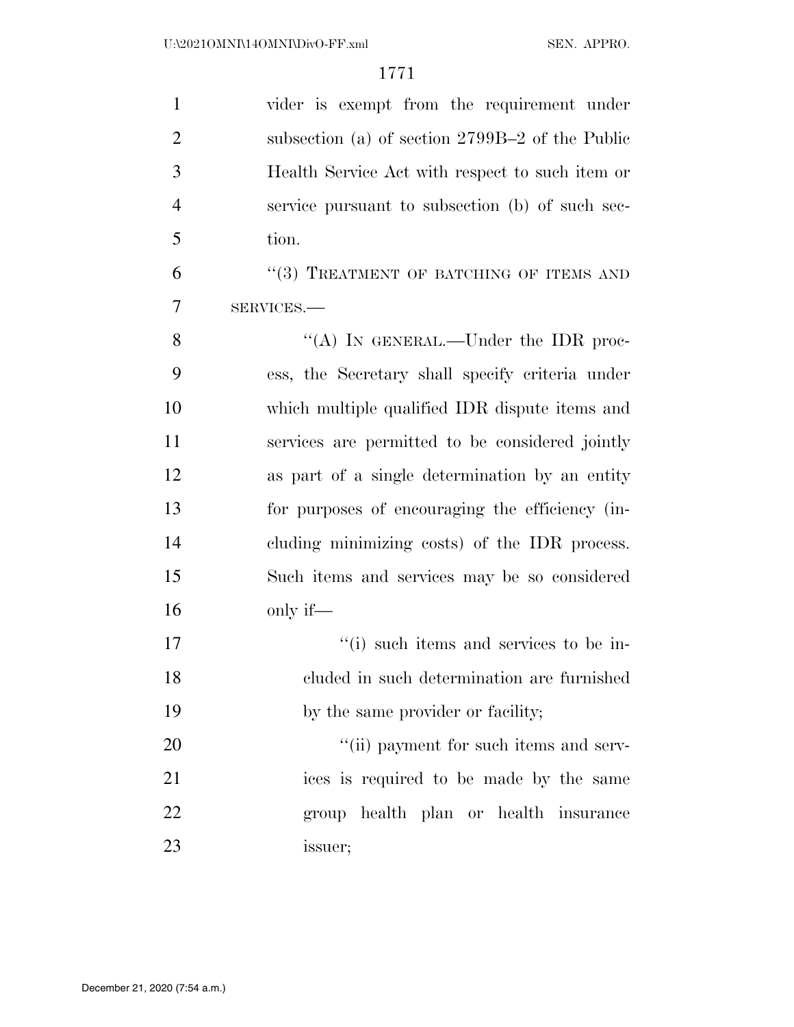| $\mathbf{1}$   | vider is exempt from the requirement under        |
|----------------|---------------------------------------------------|
| $\overline{2}$ | subsection (a) of section $2799B-2$ of the Public |
| 3              | Health Service Act with respect to such item or   |
| $\overline{4}$ | service pursuant to subsection (b) of such sec-   |
| 5              | tion.                                             |
| 6              | "(3) TREATMENT OF BATCHING OF ITEMS AND           |
| $\overline{7}$ | SERVICES.-                                        |
| 8              | "(A) IN GENERAL.—Under the IDR proc-              |
| 9              | ess, the Secretary shall specify criteria under   |
| 10             | which multiple qualified IDR dispute items and    |
| 11             | services are permitted to be considered jointly   |
| 12             | as part of a single determination by an entity    |
| 13             | for purposes of encouraging the efficiency (in-   |
| 14             | cluding minimizing costs) of the IDR process.     |
| 15             | Such items and services may be so considered      |
| 16             | only if—                                          |
| 17             | "(i) such items and services to be in-            |
| 18             | cluded in such determination are furnished        |
| 19             | by the same provider or facility;                 |
| 20             | "(ii) payment for such items and serv-            |
| 21             | ices is required to be made by the same           |
| 22             | group health plan or health insurance             |
| 23             | issuer;                                           |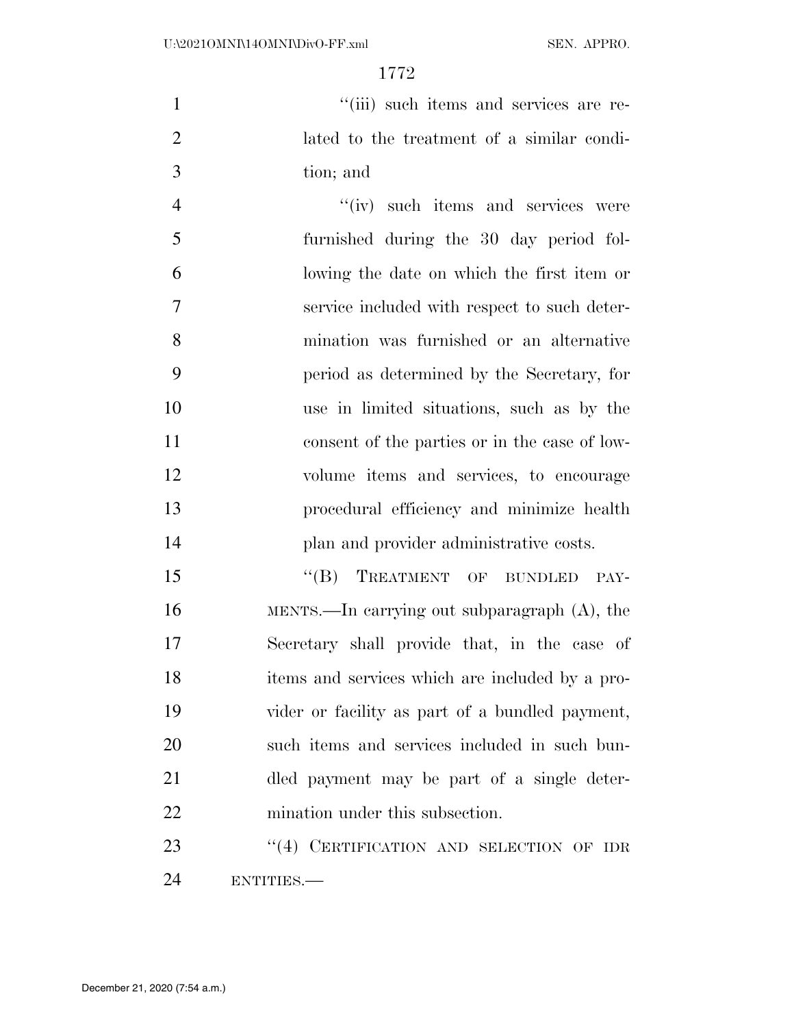1  $"$ (iii) such items and services are re- lated to the treatment of a similar condi-tion; and

 $''(iv)$  such items and services were furnished during the 30 day period fol- lowing the date on which the first item or service included with respect to such deter- mination was furnished or an alternative period as determined by the Secretary, for use in limited situations, such as by the consent of the parties or in the case of low- volume items and services, to encourage procedural efficiency and minimize health 14 plan and provider administrative costs.

15 "(B) TREATMENT OF BUNDLED PAY- MENTS.—In carrying out subparagraph (A), the Secretary shall provide that, in the case of items and services which are included by a pro- vider or facility as part of a bundled payment, such items and services included in such bun- dled payment may be part of a single deter-mination under this subsection.

23 "(4) CERTIFICATION AND SELECTION OF IDR ENTITIES.—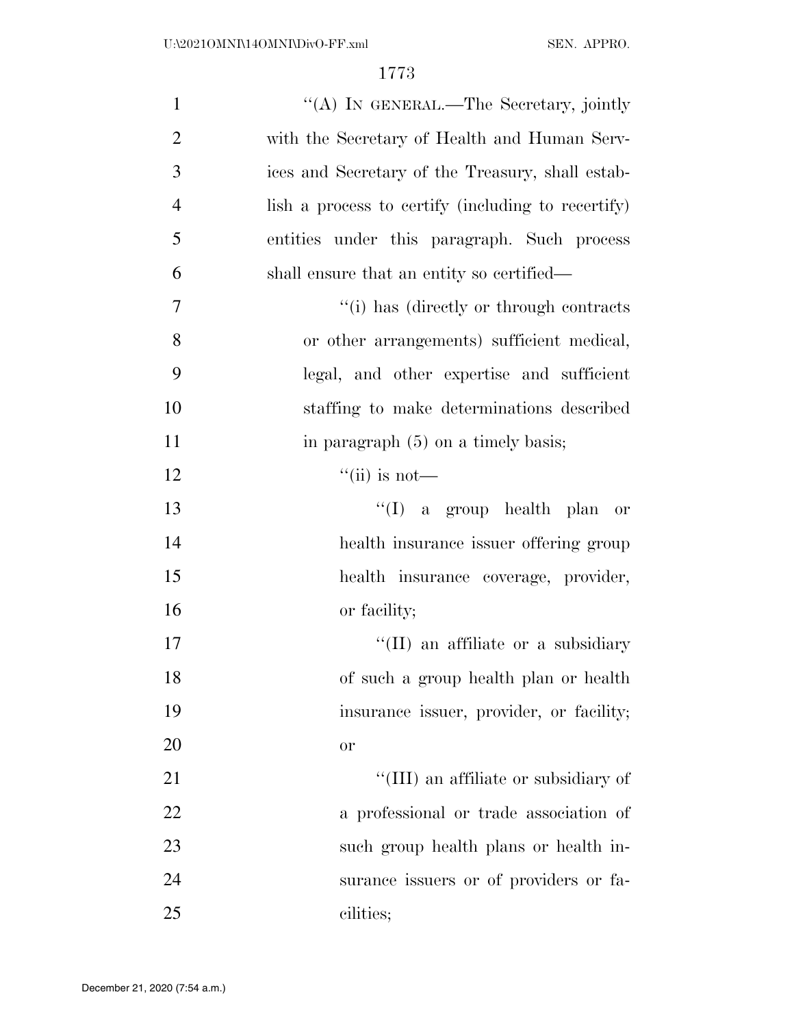| $\mathbf{1}$   | "(A) IN GENERAL.—The Secretary, jointly            |
|----------------|----------------------------------------------------|
| $\overline{2}$ | with the Secretary of Health and Human Serv-       |
| 3              | ices and Secretary of the Treasury, shall estab-   |
| $\overline{4}$ | lish a process to certify (including to recertify) |
| 5              | entities under this paragraph. Such process        |
| 6              | shall ensure that an entity so certified—          |
| 7              | "(i) has (directly or through contracts)"          |
| 8              | or other arrangements) sufficient medical,         |
| 9              | legal, and other expertise and sufficient          |
| 10             | staffing to make determinations described          |
| 11             | in paragraph $(5)$ on a timely basis;              |
| 12             | $\lq\lq$ (ii) is not—                              |
| 13             | "(I) a group health plan or                        |
| 14             | health insurance issuer offering group             |
| 15             | health insurance coverage, provider,               |
| 16             | or facility;                                       |
| 17             | "(II) an affiliate or a subsidiary                 |
| 18             | of such a group health plan or health              |
| 19             | insurance issuer, provider, or facility;           |
| 20             | <b>or</b>                                          |
| 21             | "(III) an affiliate or subsidiary of               |
| 22             | a professional or trade association of             |
| 23             | such group health plans or health in-              |
| 24             | surance issuers or of providers or fa-             |
| 25             | cilities;                                          |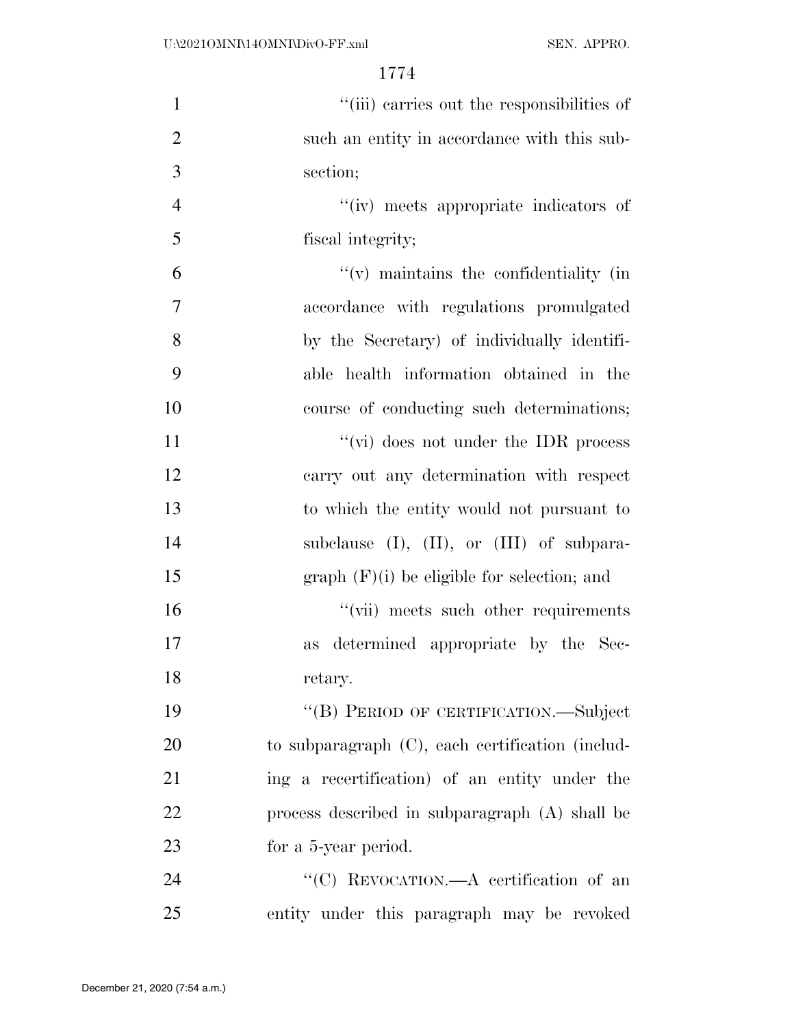| $\mathbf{1}$   | "(iii) carries out the responsibilities of          |
|----------------|-----------------------------------------------------|
| $\overline{2}$ | such an entity in accordance with this sub-         |
| 3              | section;                                            |
| $\overline{4}$ | "(iv) meets appropriate indicators of               |
| 5              | fiscal integrity;                                   |
| 6              | $f'(v)$ maintains the confidentiality (in           |
| 7              | accordance with regulations promulgated             |
| 8              | by the Secretary) of individually identifi-         |
| 9              | able health information obtained in the             |
| 10             | course of conducting such determinations;           |
| 11             | "(vi) does not under the IDR process                |
| 12             | carry out any determination with respect            |
| 13             | to which the entity would not pursuant to           |
| 14             | subclause $(I)$ , $(II)$ , or $(III)$ of subpara-   |
| 15             | $graph$ (F)(i) be eligible for selection; and       |
| 16             | "(vii) meets such other requirements                |
| 17             | as determined appropriate by the Sec-               |
| 18             | retary.                                             |
| 19             | "(B) PERIOD OF CERTIFICATION.—Subject               |
| 20             | to subparagraph $(C)$ , each certification (includ- |
| 21             | ing a recertification) of an entity under the       |
| 22             | process described in subparagraph (A) shall be      |
| 23             | for a 5-year period.                                |
| 24             | "(C) REVOCATION.—A certification of an              |
| 25             | entity under this paragraph may be revoked          |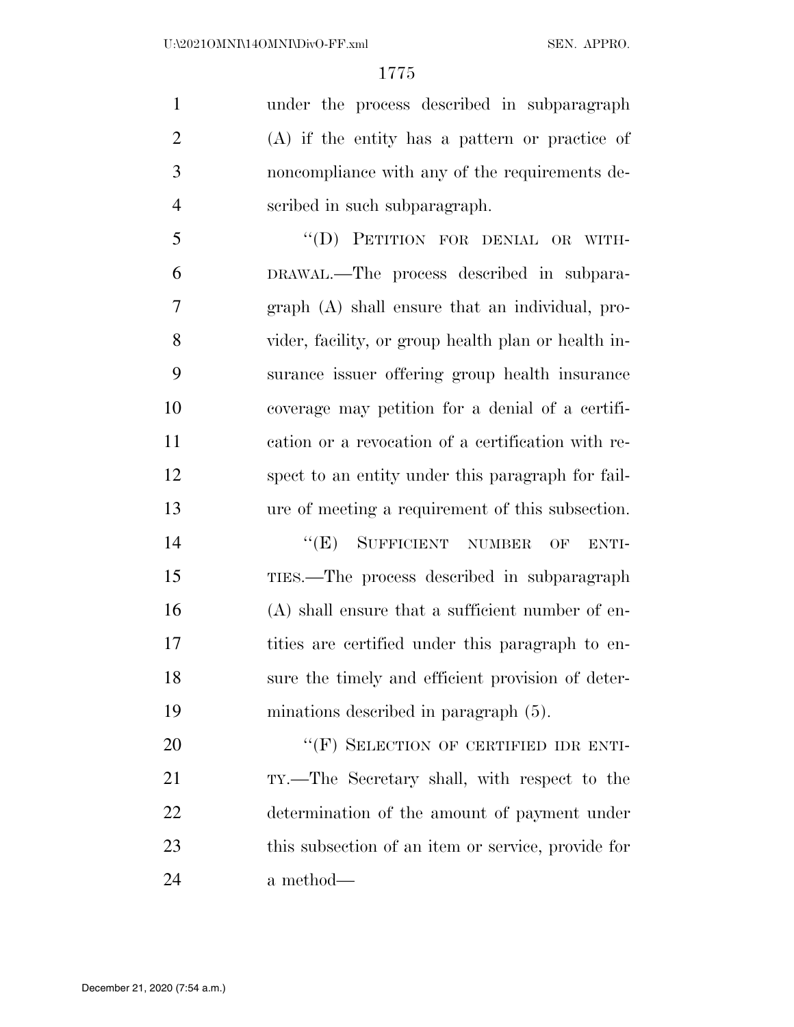under the process described in subparagraph (A) if the entity has a pattern or practice of noncompliance with any of the requirements de-scribed in such subparagraph.

 ''(D) PETITION FOR DENIAL OR WITH- DRAWAL.—The process described in subpara- graph (A) shall ensure that an individual, pro- vider, facility, or group health plan or health in- surance issuer offering group health insurance coverage may petition for a denial of a certifi- cation or a revocation of a certification with re- spect to an entity under this paragraph for fail-ure of meeting a requirement of this subsection.

14 "(E) SUFFICIENT NUMBER OF ENTI- TIES.—The process described in subparagraph (A) shall ensure that a sufficient number of en- tities are certified under this paragraph to en- sure the timely and efficient provision of deter-minations described in paragraph (5).

20 "(F) SELECTION OF CERTIFIED IDR ENTI- TY.—The Secretary shall, with respect to the determination of the amount of payment under this subsection of an item or service, provide for a method—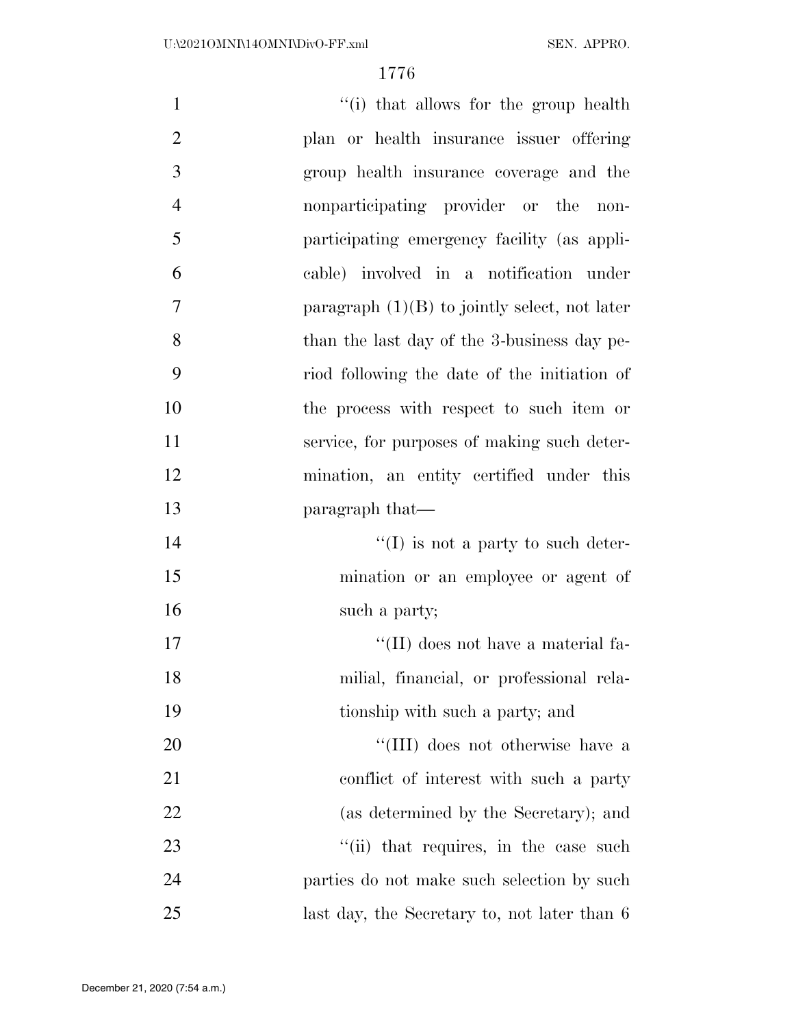| $\mathbf{1}$   | "(i) that allows for the group health           |
|----------------|-------------------------------------------------|
| $\overline{2}$ | plan or health insurance issuer offering        |
| 3              | group health insurance coverage and the         |
| $\overline{4}$ | nonparticipating provider or the<br>non-        |
| 5              | participating emergency facility (as appli-     |
| 6              | cable) involved in a notification under         |
| 7              | paragraph $(1)(B)$ to jointly select, not later |
| 8              | than the last day of the 3-business day pe-     |
| 9              | riod following the date of the initiation of    |
| 10             | the process with respect to such item or        |
| 11             | service, for purposes of making such deter-     |
| 12             | mination, an entity certified under this        |
| 13             | paragraph that—                                 |
| 14             | $\lq\lq$ (I) is not a party to such deter-      |
| 15             | mination or an employee or agent of             |
| 16             | such a party;                                   |
| 17             | "(II) does not have a material fa-              |
| 18             | milial, financial, or professional rela-        |
| 19             | tionship with such a party; and                 |
| 20             | "(III) does not otherwise have a                |
| 21             | conflict of interest with such a party          |
| 22             | (as determined by the Secretary); and           |
| 23             | "(ii) that requires, in the case such           |
| 24             | parties do not make such selection by such      |
| 25             | last day, the Secretary to, not later than 6    |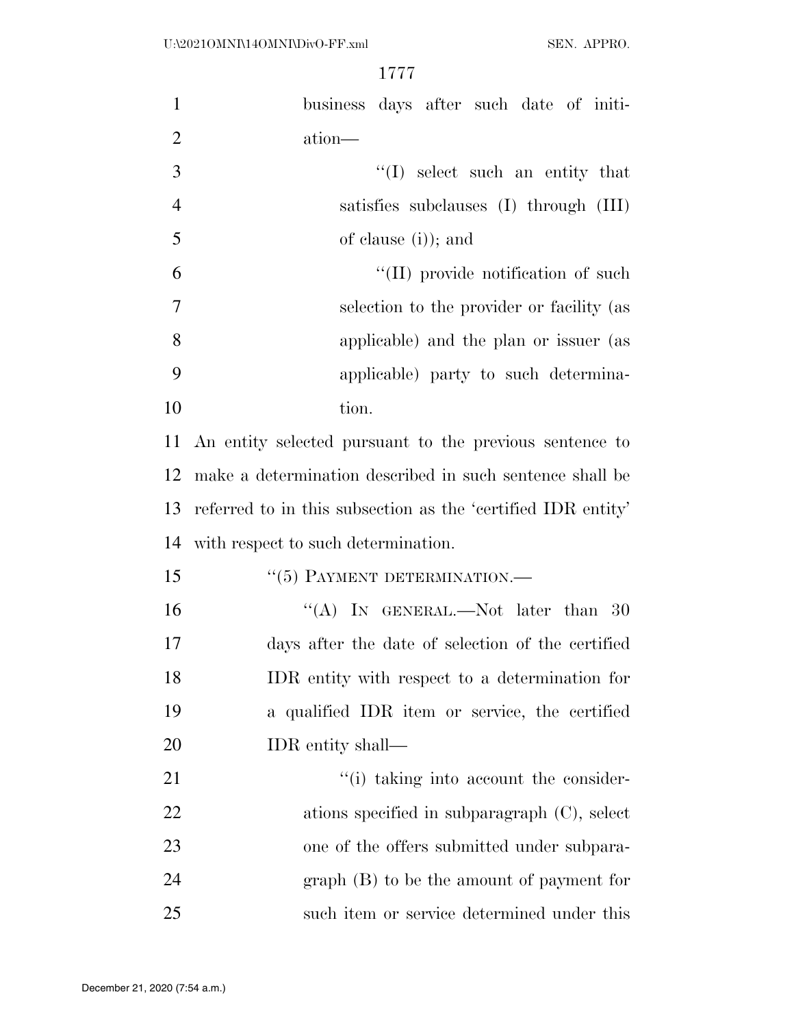| $\mathbf{1}$   | business days after such date of initi-                      |
|----------------|--------------------------------------------------------------|
| $\mathbf{2}$   | ation-                                                       |
| $\mathfrak{Z}$ | $\lq\lq$ select such an entity that                          |
| $\overline{4}$ | satisfies subclauses (I) through (III)                       |
| 5              | of clause $(i)$ ; and                                        |
| 6              | $\lq$ (II) provide notification of such                      |
| $\overline{7}$ | selection to the provider or facility (as                    |
| 8              | applicable) and the plan or issuer (as                       |
| 9              | applicable) party to such determina-                         |
| 10             | tion.                                                        |
| 11             | An entity selected pursuant to the previous sentence to      |
| 12             | make a determination described in such sentence shall be     |
| 13             | referred to in this subsection as the 'certified IDR entity' |
| 14             | with respect to such determination.                          |
| 15             | "(5) PAYMENT DETERMINATION.-                                 |
| 16             | "(A) IN GENERAL.—Not later than 30                           |
| 17             | days after the date of selection of the certified            |
| 18             | IDR entity with respect to a determination for               |
| 19             | a qualified IDR item or service, the certified               |
| 20             | IDR entity shall—                                            |
| 21             | "(i) taking into account the consider-                       |
| 22             | ations specified in subparagraph $(C)$ , select              |
| 23             | one of the offers submitted under subpara-                   |
| 24             | $graph(B)$ to be the amount of payment for                   |
| 25             | such item or service determined under this                   |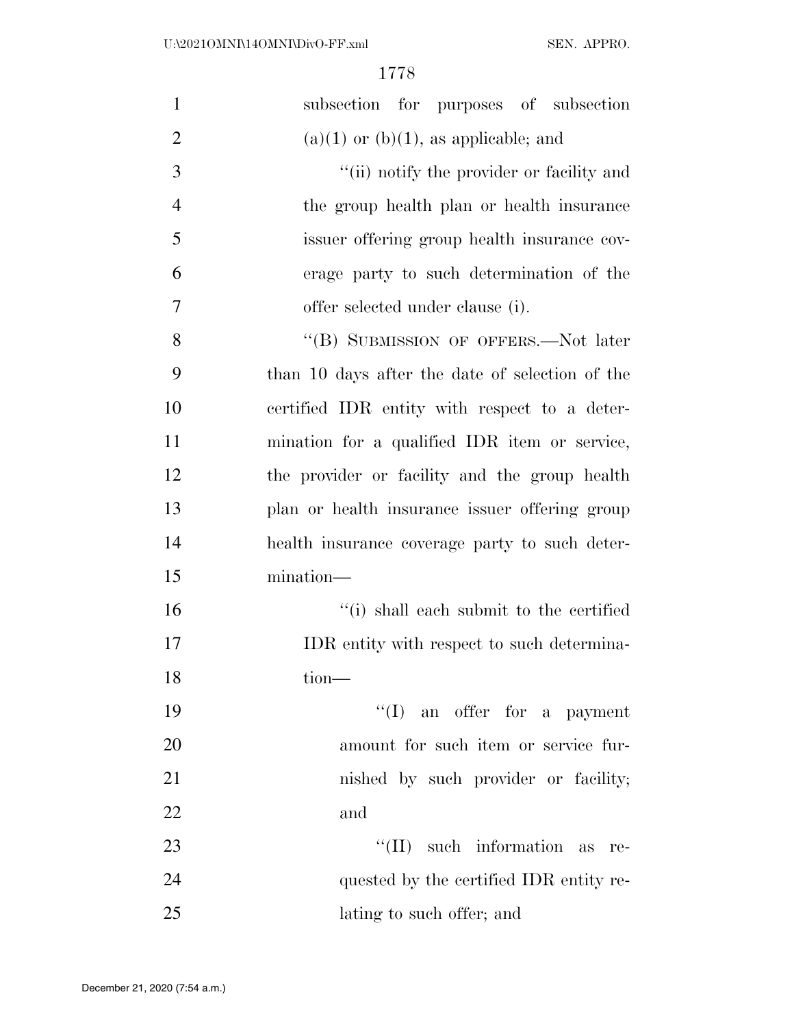| $\mathbf{1}$   | subsection for purposes of subsection           |
|----------------|-------------------------------------------------|
| $\overline{2}$ | $(a)(1)$ or $(b)(1)$ , as applicable; and       |
| 3              | "(ii) notify the provider or facility and       |
| $\overline{4}$ | the group health plan or health insurance       |
| 5              | issuer offering group health insurance cov-     |
| 6              | erage party to such determination of the        |
| 7              | offer selected under clause (i).                |
| 8              | "(B) SUBMISSION OF OFFERS.—Not later            |
| 9              | than 10 days after the date of selection of the |
| 10             | certified IDR entity with respect to a deter-   |
| 11             | mination for a qualified IDR item or service,   |
| 12             | the provider or facility and the group health   |
| 13             | plan or health insurance issuer offering group  |
| 14             | health insurance coverage party to such deter-  |
| 15             | mination-                                       |
| 16             | "(i) shall each submit to the certified         |
| 17             | IDR entity with respect to such determina-      |
| 18             | tion-                                           |
| 19             | $\lq\lq$ (I) an offer for a payment             |
| 20             | amount for such item or service fur-            |
| 21             | nished by such provider or facility;            |
| 22             | and                                             |
| 23             | $\lq\lq$ (II) such information as<br>re-        |
| 24             | quested by the certified IDR entity re-         |
| 25             | lating to such offer; and                       |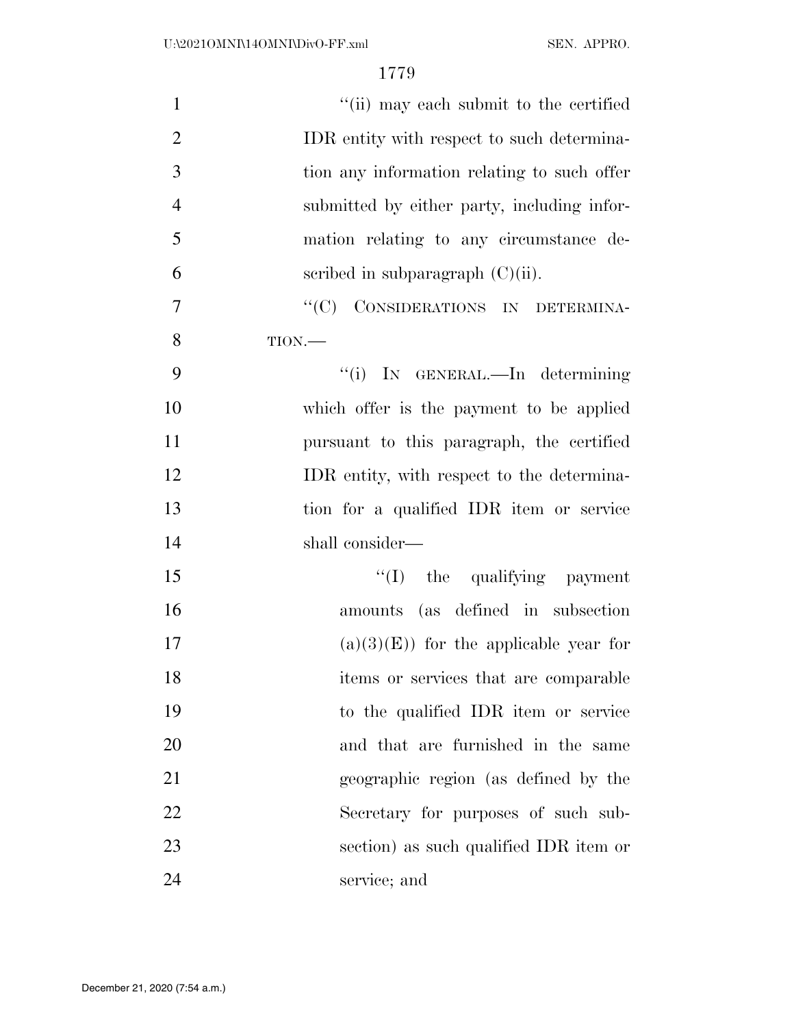| $\mathbf{1}$   | "(ii) may each submit to the certified      |
|----------------|---------------------------------------------|
| $\overline{2}$ | IDR entity with respect to such determina-  |
| 3              | tion any information relating to such offer |
| $\overline{4}$ | submitted by either party, including infor- |
| 5              | mation relating to any circumstance de-     |
| 6              | scribed in subparagraph $(C)(ii)$ .         |
| $\overline{7}$ | "(C) CONSIDERATIONS IN DETERMINA-           |
| 8              | TION.                                       |
| 9              | "(i) IN GENERAL.—In determining             |
| 10             | which offer is the payment to be applied    |
| 11             | pursuant to this paragraph, the certified   |
| 12             | IDR entity, with respect to the determina-  |
| 13             | tion for a qualified IDR item or service    |
| 14             | shall consider—                             |
| 15             | "(I) the qualifying payment                 |
| 16             | amounts (as defined in subsection           |
| 17             | $(a)(3)(E)$ for the applicable year for     |
| 18             | items or services that are comparable       |
| 19             | to the qualified IDR item or service        |
| 20             | and that are furnished in the same          |
| 21             | geographic region (as defined by the        |
| 22             | Secretary for purposes of such sub-         |
| 23             | section) as such qualified IDR item or      |
| 24             | service; and                                |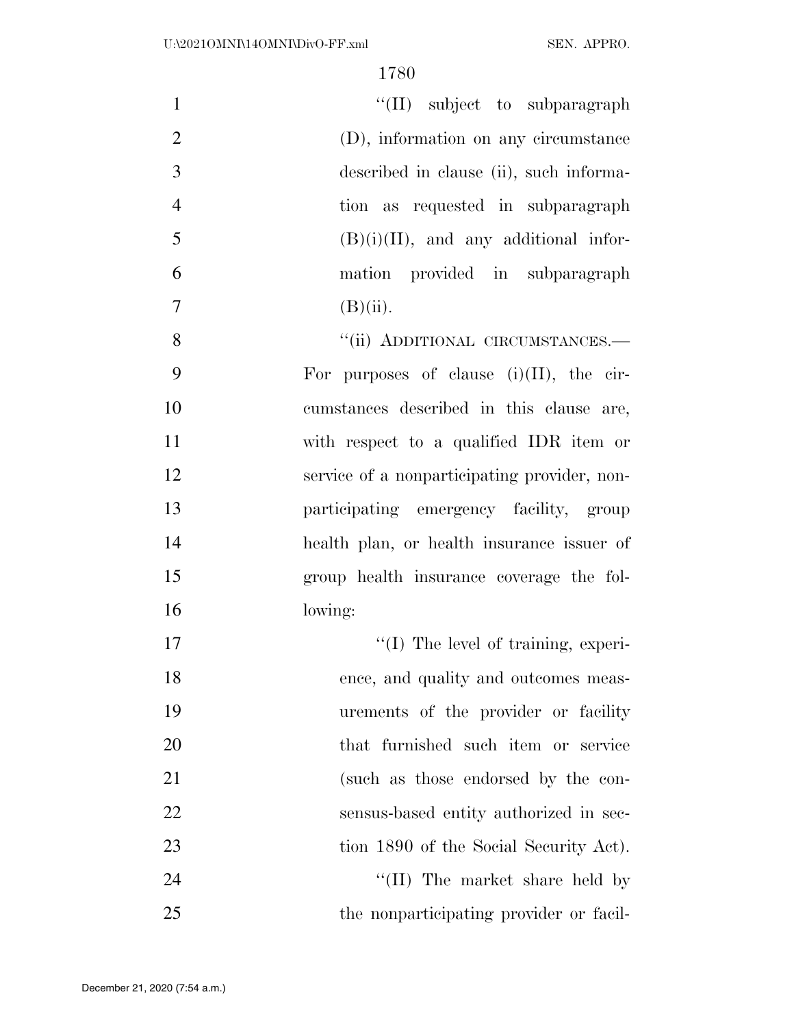| $\mathbf{1}$   | $\lq\lq$ (II) subject to subparagraph       |
|----------------|---------------------------------------------|
| 2              | (D), information on any circumstance        |
| 3              | described in clause (ii), such informa-     |
| $\overline{4}$ | tion as requested in subparagraph           |
| 5              | $(B)(i)(II)$ , and any additional infor-    |
| 6              | mation provided in subparagraph             |
| $\overline{7}$ | $(B)(ii)$ .                                 |
| 8              | "(ii) ADDITIONAL CIRCUMSTANCES.-            |
| 9              | For purposes of clause $(i)(II)$ , the cir- |
| 10             | cumstances described in this clause are     |

- cumstances described in this clause are, with respect to a qualified IDR item or service of a nonparticipating provider, non- participating emergency facility, group health plan, or health insurance issuer of group health insurance coverage the fol-lowing:
- 17  $\text{``(I)}$  The level of training, experi-18 ence, and quality and outcomes meas- urements of the provider or facility that furnished such item or service (such as those endorsed by the con- sensus-based entity authorized in sec-23 tion 1890 of the Social Security Act). 24 ''(II) The market share held by

the nonparticipating provider or facil-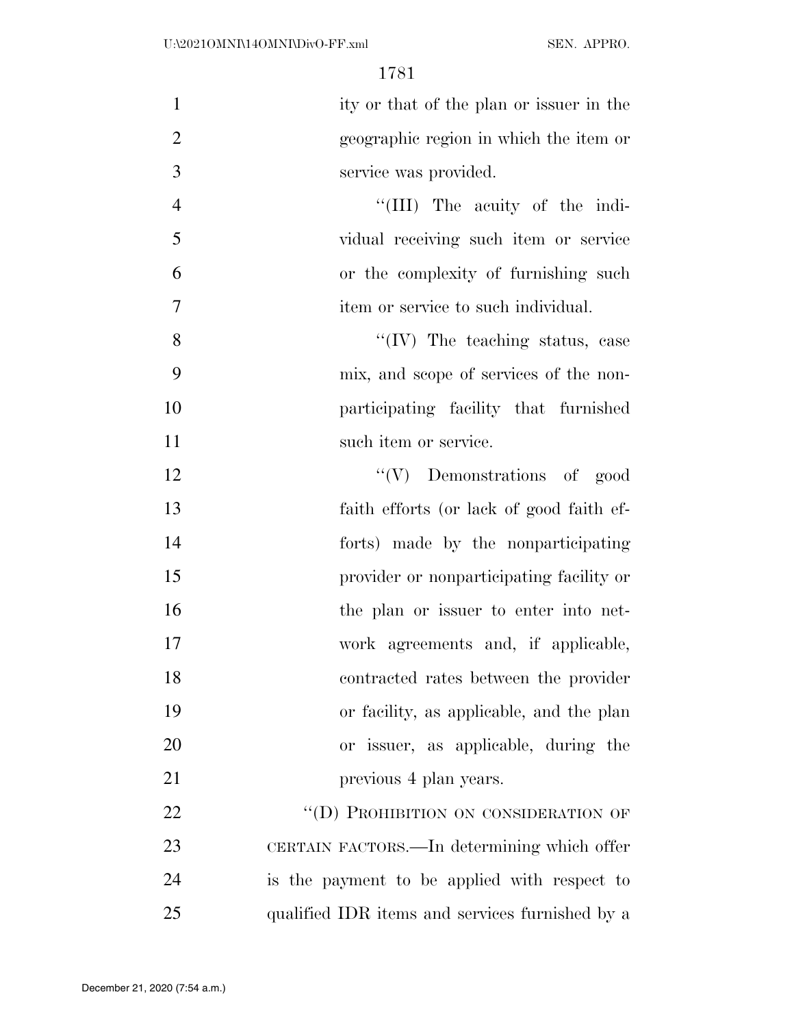| $\mathbf{1}$     | ity or that of the plan or issuer in the        |
|------------------|-------------------------------------------------|
| $\overline{2}$   | geographic region in which the item or          |
| 3                | service was provided.                           |
| $\overline{4}$   | "(III) The acuity of the indi-                  |
| 5                | vidual receiving such item or service           |
| 6                | or the complexity of furnishing such            |
| $\boldsymbol{7}$ | item or service to such individual.             |
| 8                | $\lq\lq$ (IV) The teaching status, case         |
| 9                | mix, and scope of services of the non-          |
| 10               | participating facility that furnished           |
| 11               | such item or service.                           |
| 12               | $\lq\lq(V)$ Demonstrations of good              |
| 13               | faith efforts (or lack of good faith ef-        |
| 14               | forts) made by the nonparticipating             |
| 15               | provider or nonparticipating facility or        |
| 16               | the plan or issuer to enter into net-           |
| 17               | work agreements and, if applicable,             |
| 18               | contracted rates between the provider           |
| 19               | or facility, as applicable, and the plan        |
| 20               | or issuer, as applicable, during the            |
| 21               | previous 4 plan years.                          |
| 22               | "(D) PROHIBITION ON CONSIDERATION OF            |
| 23               | CERTAIN FACTORS.—In determining which offer     |
| 24               | is the payment to be applied with respect to    |
| 25               | qualified IDR items and services furnished by a |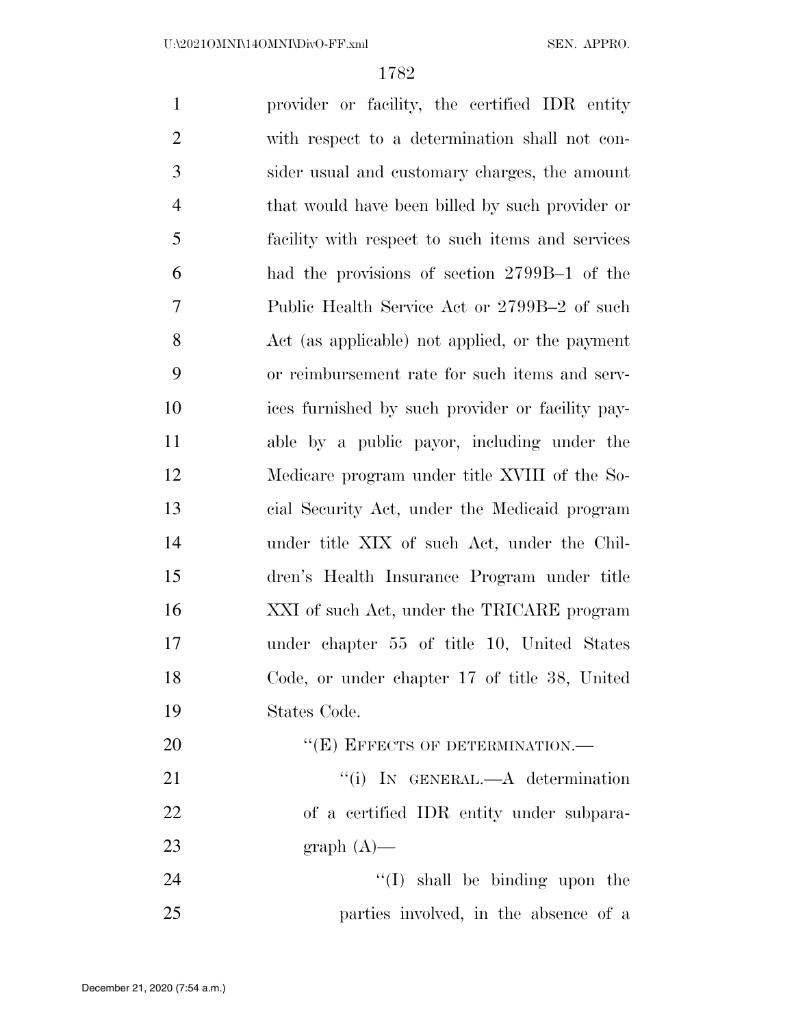provider or facility, the certified IDR entity with respect to a determination shall not con- sider usual and customary charges, the amount that would have been billed by such provider or facility with respect to such items and services had the provisions of section 2799B–1 of the Public Health Service Act or 2799B–2 of such Act (as applicable) not applied, or the payment or reimbursement rate for such items and serv- ices furnished by such provider or facility pay- able by a public payor, including under the Medicare program under title XVIII of the So- cial Security Act, under the Medicaid program under title XIX of such Act, under the Chil- dren's Health Insurance Program under title XXI of such Act, under the TRICARE program under chapter 55 of title 10, United States Code, or under chapter 17 of title 38, United States Code. 20 "(E) EFFECTS OF DETERMINATION.— 21 "'(i) IN GENERAL.—A determination of a certified IDR entity under subpara-23 graph  $(A)$ — 24 ''(I) shall be binding upon the

parties involved, in the absence of a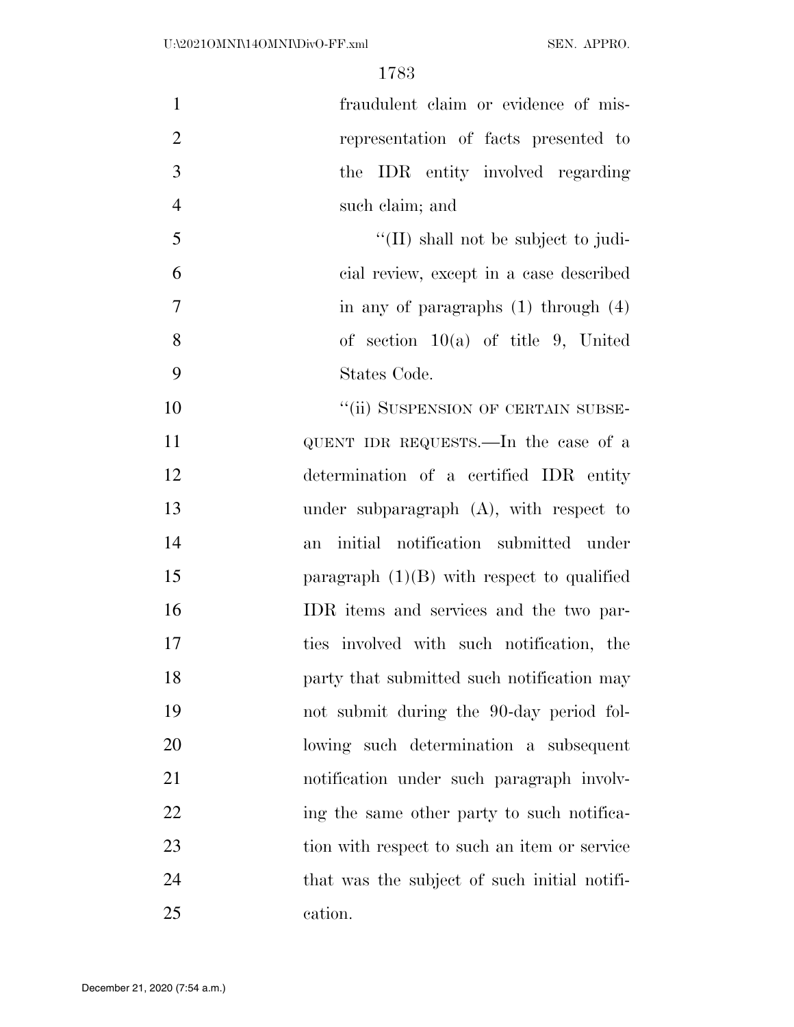fraudulent claim or evidence of mis- representation of facts presented to the IDR entity involved regarding such claim; and ''(II) shall not be subject to judi- cial review, except in a case described  $7 \quad$  in any of paragraphs (1) through (4) of section 10(a) of title 9, United States Code. 10 "(ii) SUSPENSION OF CERTAIN SUBSE- QUENT IDR REQUESTS.—In the case of a determination of a certified IDR entity under subparagraph (A), with respect to an initial notification submitted under 15 paragraph (1)(B) with respect to qualified IDR items and services and the two par- ties involved with such notification, the **party** that submitted such notification may not submit during the 90-day period fol- lowing such determination a subsequent notification under such paragraph involv-22 ing the same other party to such notifica-23 tion with respect to such an item or service that was the subject of such initial notifi-cation.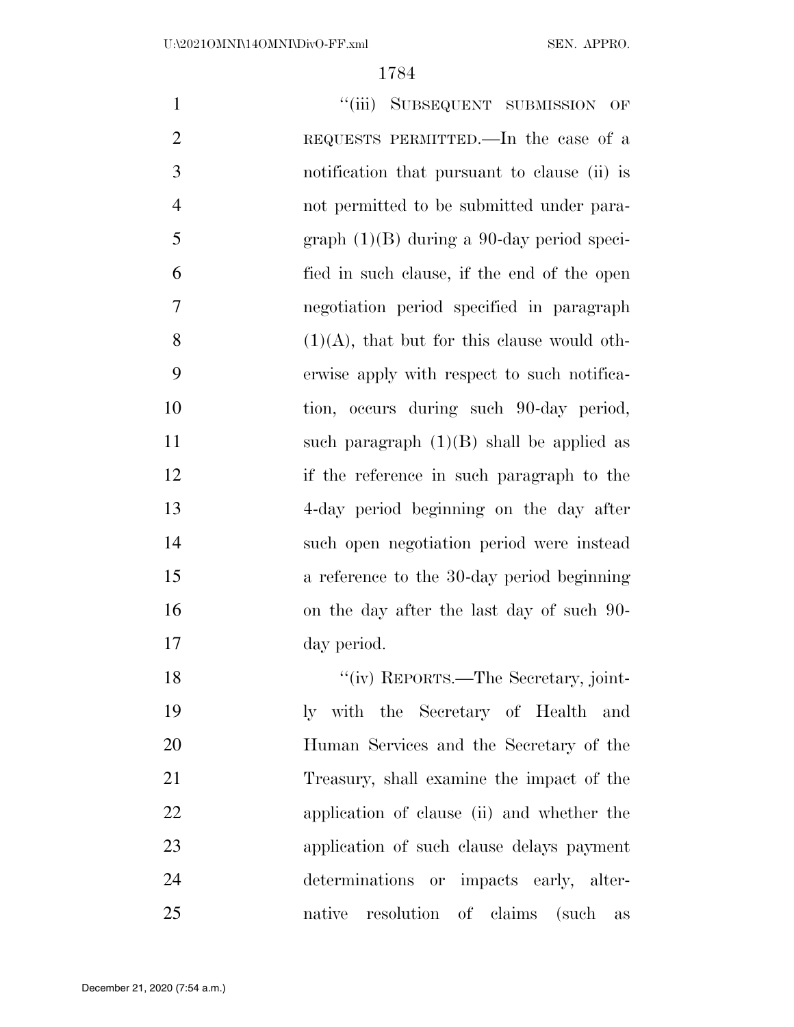| $\mathbf{1}$   | "(iii) SUBSEQUENT SUBMISSION OF                |
|----------------|------------------------------------------------|
| $\overline{2}$ | REQUESTS PERMITTED.—In the case of a           |
| 3              | notification that pursuant to clause (ii) is   |
| $\overline{4}$ | not permitted to be submitted under para-      |
| 5              | $graph (1)(B)$ during a 90-day period speci-   |
| 6              | fied in such clause, if the end of the open    |
| 7              | negotiation period specified in paragraph      |
| 8              | $(1)(A)$ , that but for this clause would oth- |
| 9              | erwise apply with respect to such notifica-    |
| 10             | tion, occurs during such 90-day period,        |
| 11             | such paragraph $(1)(B)$ shall be applied as    |
| 12             | if the reference in such paragraph to the      |
| 13             | 4-day period beginning on the day after        |
| 14             | such open negotiation period were instead      |
| 15             | a reference to the 30-day period beginning     |
| 16             | on the day after the last day of such 90-      |
| 17             | day period.                                    |
| 18             | "(iv) REPORTS.—The Secretary, joint-           |
| 19             | ly with the Secretary of Health and            |
| 20             | Human Services and the Secretary of the        |
| 21             | Treasury, shall examine the impact of the      |
| 22             | application of clause (ii) and whether the     |
| 23             | application of such clause delays payment      |
| 24             | determinations or impacts early, alter-        |
| 25             | native resolution of claims (such as           |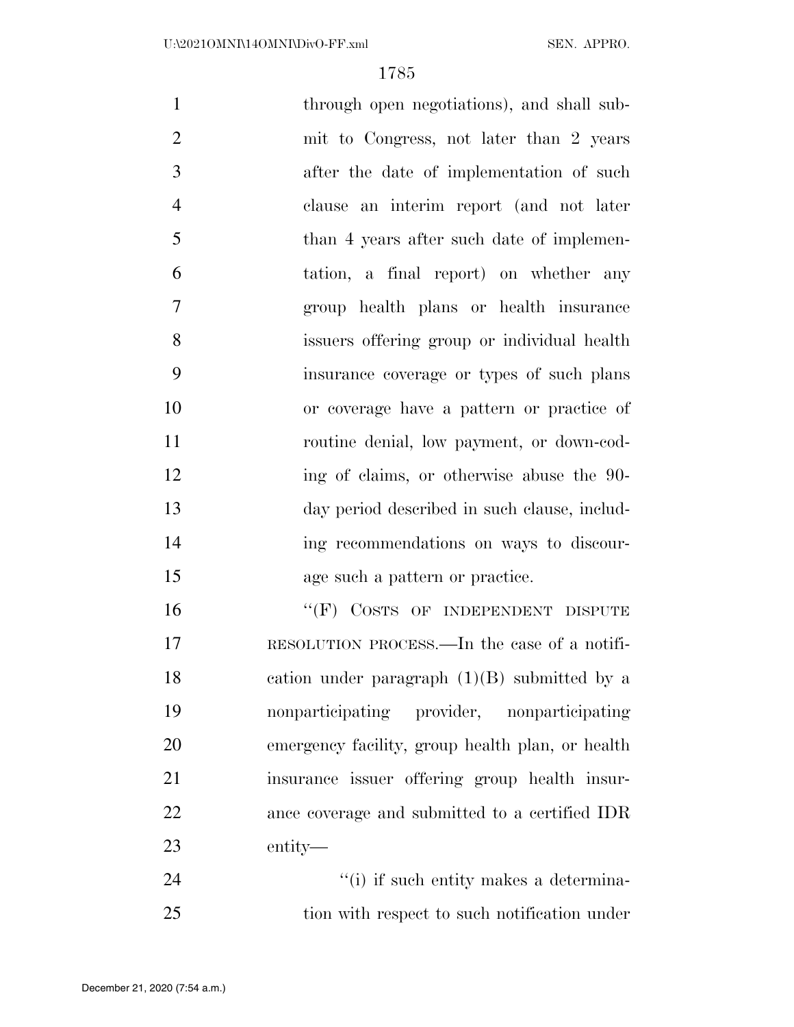| $\mathbf{1}$   | through open negotiations), and shall sub-       |
|----------------|--------------------------------------------------|
| $\overline{2}$ | mit to Congress, not later than 2 years          |
| 3              | after the date of implementation of such         |
| $\overline{4}$ | clause an interim report (and not later          |
| 5              | than 4 years after such date of implemen-        |
| 6              | tation, a final report) on whether any           |
| $\overline{7}$ | group health plans or health insurance           |
| 8              | issuers offering group or individual health      |
| 9              | insurance coverage or types of such plans        |
| 10             | or coverage have a pattern or practice of        |
| 11             | routine denial, low payment, or down-cod-        |
| 12             | ing of claims, or otherwise abuse the 90-        |
| 13             | day period described in such clause, includ-     |
| 14             | ing recommendations on ways to discour-          |
| 15             | age such a pattern or practice.                  |
| 16             | "(F) COSTS OF INDEPENDENT DISPUTE                |
| 17             | RESOLUTION PROCESS.—In the case of a notifi-     |
| 18             | cation under paragraph $(1)(B)$ submitted by a   |
| 19             | nonparticipating provider, nonparticipating      |
| 20             | emergency facility, group health plan, or health |
| 21             | insurance issuer offering group health insur-    |
| 22             | ance coverage and submitted to a certified IDR   |
| 23             | entity—                                          |
| 24             | "(i) if such entity makes a determina-           |

tion with respect to such notification under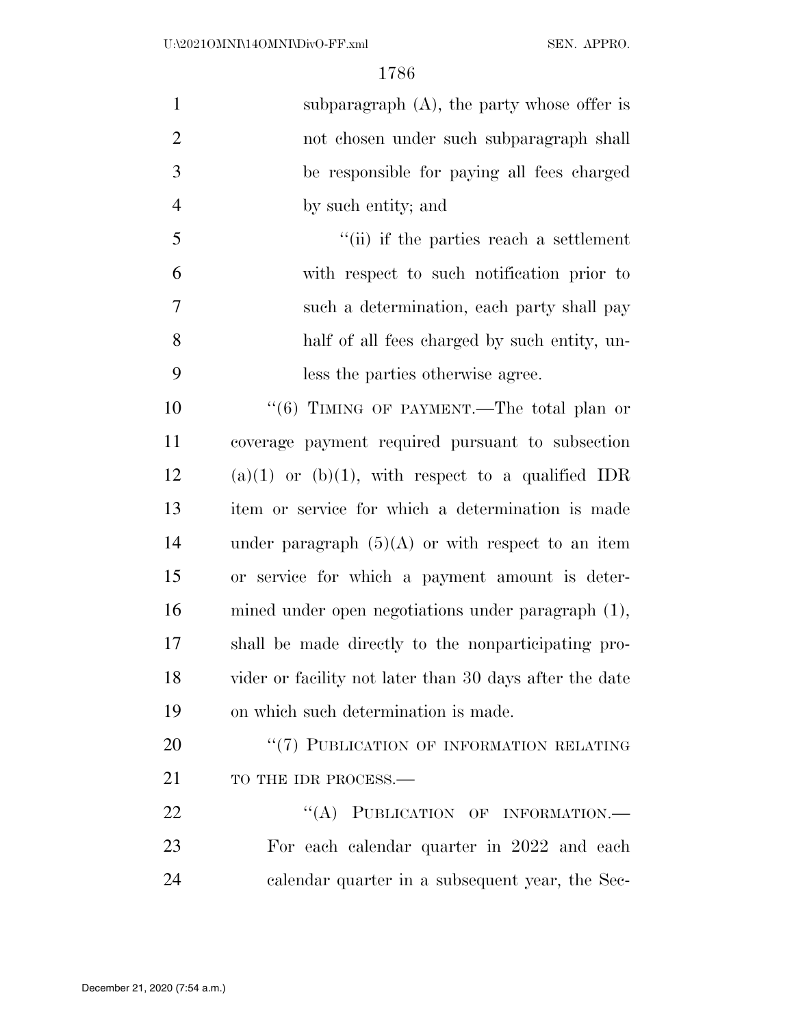| $\mathbf{1}$   | subparagraph $(A)$ , the party whose offer is           |
|----------------|---------------------------------------------------------|
| $\overline{2}$ | not chosen under such subparagraph shall                |
| 3              | be responsible for paying all fees charged              |
| $\overline{4}$ | by such entity; and                                     |
| 5              | "(ii) if the parties reach a settlement                 |
| 6              | with respect to such notification prior to              |
| 7              | such a determination, each party shall pay              |
| 8              | half of all fees charged by such entity, un-            |
| 9              | less the parties otherwise agree.                       |
| 10             | "(6) TIMING OF PAYMENT.—The total plan or               |
| 11             | coverage payment required pursuant to subsection        |
| 12             | $(a)(1)$ or $(b)(1)$ , with respect to a qualified IDR  |
| 13             | item or service for which a determination is made       |
| 14             | under paragraph $(5)(A)$ or with respect to an item     |
| 15             | or service for which a payment amount is deter-         |
| 16             | mined under open negotiations under paragraph (1),      |
| 17             | shall be made directly to the nonparticipating pro-     |
| 18             | vider or facility not later than 30 days after the date |
| 19             | on which such determination is made.                    |
| 20             | "(7) PUBLICATION OF INFORMATION RELATING                |
| 21             | TO THE IDR PROCESS.-                                    |
| 22             | "(A) PUBLICATION OF INFORMATION.-                       |
| 23             | For each calendar quarter in 2022 and each              |

calendar quarter in a subsequent year, the Sec-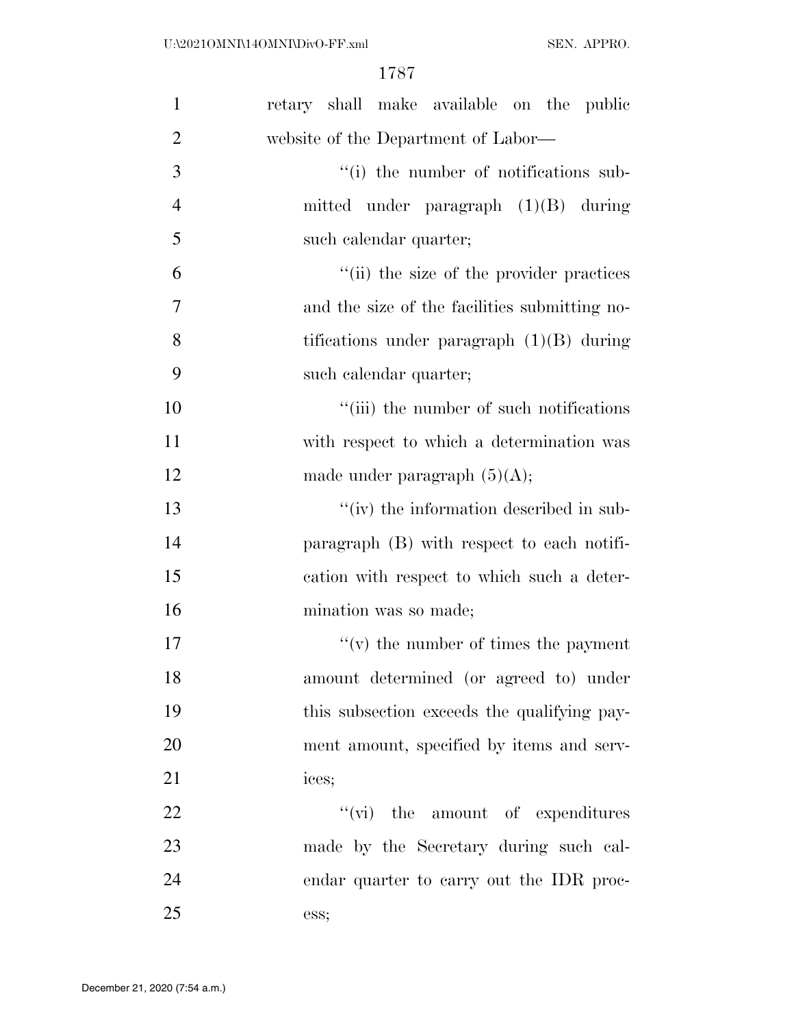| $\mathbf{1}$   | retary shall make available on the public     |
|----------------|-----------------------------------------------|
| $\overline{2}$ | website of the Department of Labor—           |
| 3              | "(i) the number of notifications sub-         |
| $\overline{4}$ | mitted under paragraph $(1)(B)$ during        |
| 5              | such calendar quarter;                        |
| 6              | "(ii) the size of the provider practices      |
| 7              | and the size of the facilities submitting no- |
| 8              | tifications under paragraph $(1)(B)$ during   |
| 9              | such calendar quarter;                        |
| 10             | "(iii) the number of such notifications       |
| 11             | with respect to which a determination was     |
| 12             | made under paragraph $(5)(A);$                |
| 13             | "(iv) the information described in sub-       |
| 14             | paragraph $(B)$ with respect to each notifi-  |
| 15             | cation with respect to which such a deter-    |
| 16             | mination was so made;                         |
| 17             | $f'(v)$ the number of times the payment       |
| 18             | amount determined (or agreed to) under        |
| 19             | this subsection exceeds the qualifying pay-   |
| 20             | ment amount, specified by items and serv-     |
| 21             | ices;                                         |
| 22             | $\lq\lq$ (vi) the amount of expenditures      |
| 23             | made by the Secretary during such cal-        |
| 24             | endar quarter to carry out the IDR proc-      |
| 25             | ess;                                          |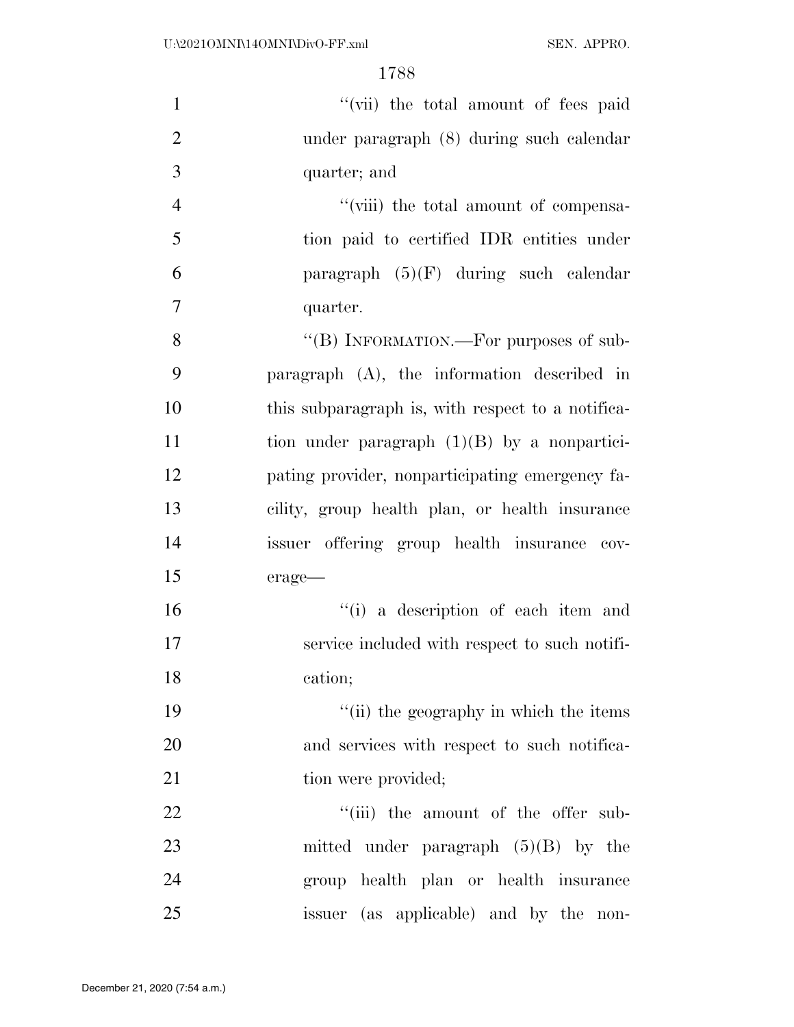| $\mathbf{1}$   | "(vii) the total amount of fees paid              |
|----------------|---------------------------------------------------|
| $\overline{2}$ | under paragraph (8) during such calendar          |
| 3              | quarter; and                                      |
| $\overline{4}$ | "(viii) the total amount of compensa-             |
| 5              | tion paid to certified IDR entities under         |
| 6              | paragraph $(5)(F)$ during such calendar           |
| $\tau$         | quarter.                                          |
| 8              | "(B) INFORMATION.—For purposes of sub-            |
| 9              | paragraph $(A)$ , the information described in    |
| 10             | this subparagraph is, with respect to a notifica- |
| 11             | tion under paragraph $(1)(B)$ by a nonpartici-    |
| 12             | pating provider, nonparticipating emergency fa-   |
| 13             | cility, group health plan, or health insurance    |
| 14             | issuer offering group health insurance cov-       |
| 15             | erage-                                            |
| 16             | "(i) a description of each item and               |
| 17             | service included with respect to such notifi-     |
| 18             | cation;                                           |
| 19             | "(ii) the geography in which the items            |
| 20             | and services with respect to such notifica-       |
| 21             | tion were provided;                               |
| 22             | "(iii) the amount of the offer sub-               |
| 23             | mitted under paragraph $(5)(B)$ by the            |
| 24             | group health plan or health insurance             |
| 25             | issuer (as applicable) and by the non-            |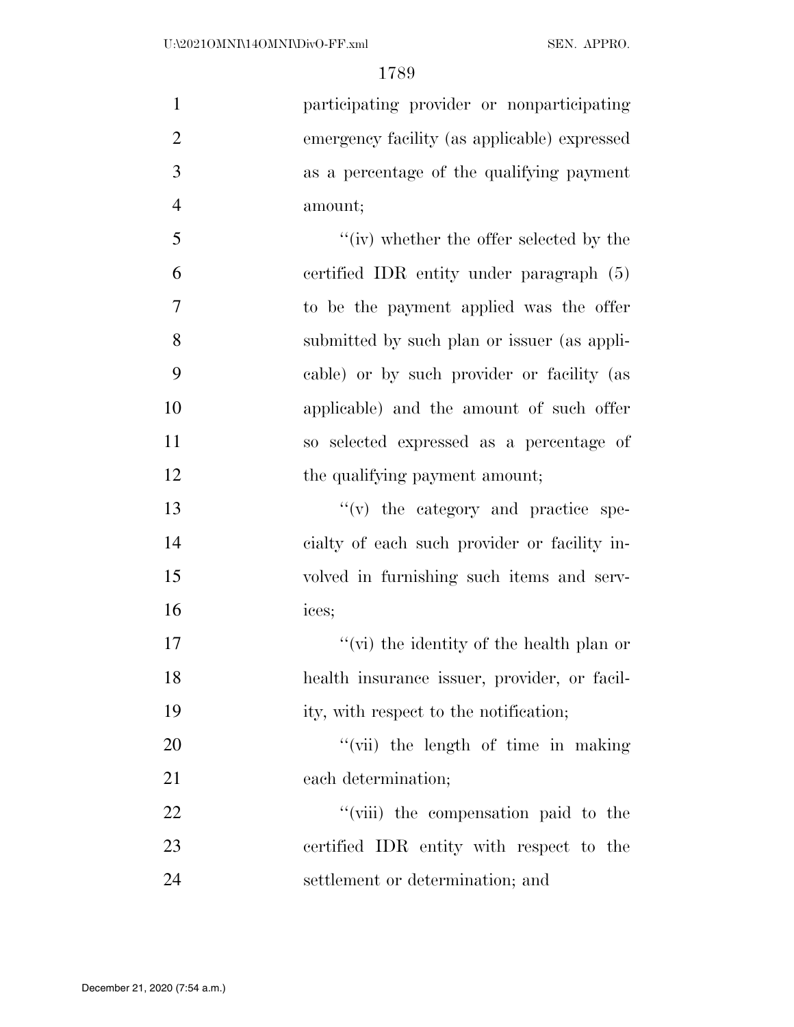| $\mathbf{1}$   | participating provider or nonparticipating   |
|----------------|----------------------------------------------|
| $\overline{2}$ | emergency facility (as applicable) expressed |
| 3              | as a percentage of the qualifying payment    |
| $\overline{4}$ | amount;                                      |
| 5              | "(iv) whether the offer selected by the      |
| 6              | certified IDR entity under paragraph $(5)$   |
| $\overline{7}$ | to be the payment applied was the offer      |
| 8              | submitted by such plan or issuer (as appli-  |
| 9              | cable) or by such provider or facility (as   |
| 10             | applicable) and the amount of such offer     |
| 11             | so selected expressed as a percentage of     |
| 12             | the qualifying payment amount;               |
| 13             | $f'(v)$ the category and practice spe-       |
| 14             | eialty of each such provider or facility in- |
| 15             | volved in furnishing such items and serv-    |
| 16             | ices;                                        |
| 17             | "(vi) the identity of the health plan or     |
| 18             | health insurance issuer, provider, or facil- |
| 19             | ity, with respect to the notification;       |
| 20             | "(vii) the length of time in making          |
| 21             | each determination;                          |
| 22             | "(viii) the compensation paid to the         |
| 23             | certified IDR entity with respect to the     |
| 24             | settlement or determination; and             |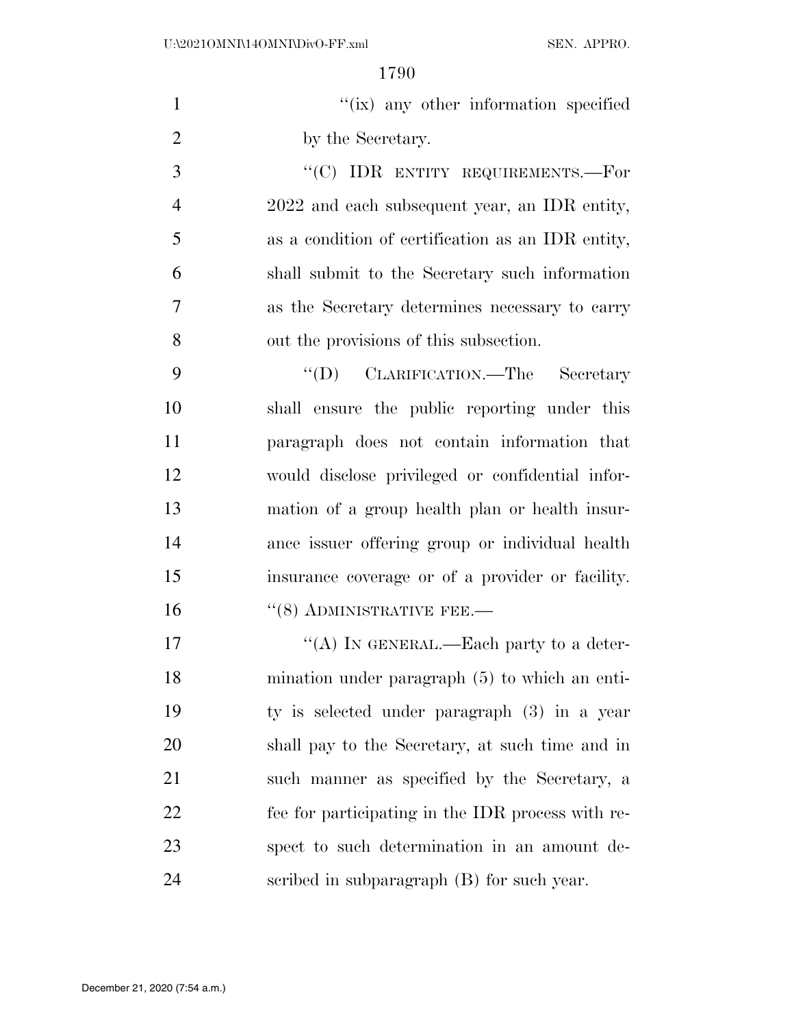| $\mathbf{1}$   | "(ix) any other information specified             |
|----------------|---------------------------------------------------|
| $\overline{2}$ | by the Secretary.                                 |
| 3              | "(C) IDR ENTITY REQUIREMENTS.—For                 |
| $\overline{4}$ | 2022 and each subsequent year, an IDR entity,     |
| 5              | as a condition of certification as an IDR entity, |
| 6              | shall submit to the Secretary such information    |
| 7              | as the Secretary determines necessary to carry    |
| 8              | out the provisions of this subsection.            |
| 9              | "(D) CLARIFICATION.—The Secretary                 |
| 10             | shall ensure the public reporting under this      |
| 11             | paragraph does not contain information that       |
| 12             | would disclose privileged or confidential infor-  |
| 13             | mation of a group health plan or health insur-    |
| 14             | ance issuer offering group or individual health   |
| 15             | insurance coverage or of a provider or facility.  |
| 16             | $``(8)$ ADMINISTRATIVE FEE.—                      |
| 17             | "(A) IN GENERAL.—Each party to a deter-           |
| 18             | mination under paragraph $(5)$ to which an enti-  |
| 19             | ty is selected under paragraph (3) in a year      |
| 20             | shall pay to the Secretary, at such time and in   |
| 21             | such manner as specified by the Secretary, a      |
| 22             | fee for participating in the IDR process with re- |
| 23             | spect to such determination in an amount de-      |
| 24             | scribed in subparagraph (B) for such year.        |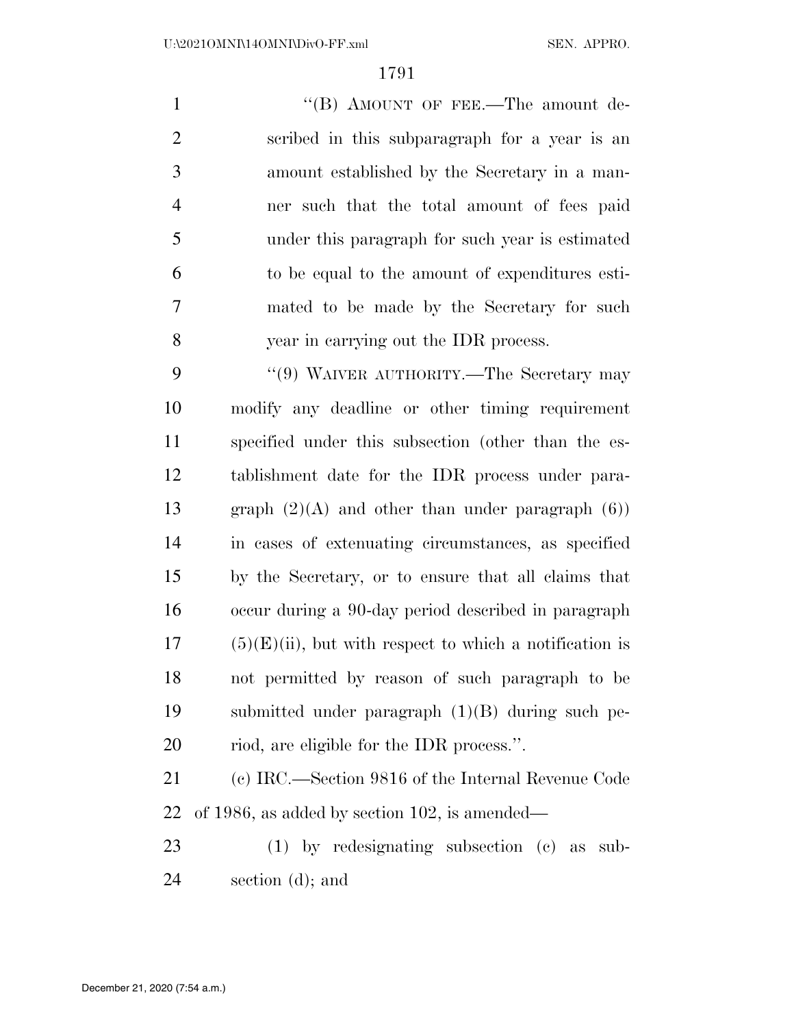1 "'(B) AMOUNT OF FEE.—The amount de- scribed in this subparagraph for a year is an amount established by the Secretary in a man- ner such that the total amount of fees paid under this paragraph for such year is estimated to be equal to the amount of expenditures esti- mated to be made by the Secretary for such year in carrying out the IDR process.

9 "(9) WAIVER AUTHORITY.—The Secretary may modify any deadline or other timing requirement specified under this subsection (other than the es- tablishment date for the IDR process under para-13 graph  $(2)(A)$  and other than under paragraph  $(6)$ ) in cases of extenuating circumstances, as specified by the Secretary, or to ensure that all claims that occur during a 90-day period described in paragraph (5)(E)(ii), but with respect to which a notification is not permitted by reason of such paragraph to be submitted under paragraph (1)(B) during such pe-riod, are eligible for the IDR process.''.

 (c) IRC.—Section 9816 of the Internal Revenue Code of 1986, as added by section 102, is amended—

 (1) by redesignating subsection (c) as sub-section (d); and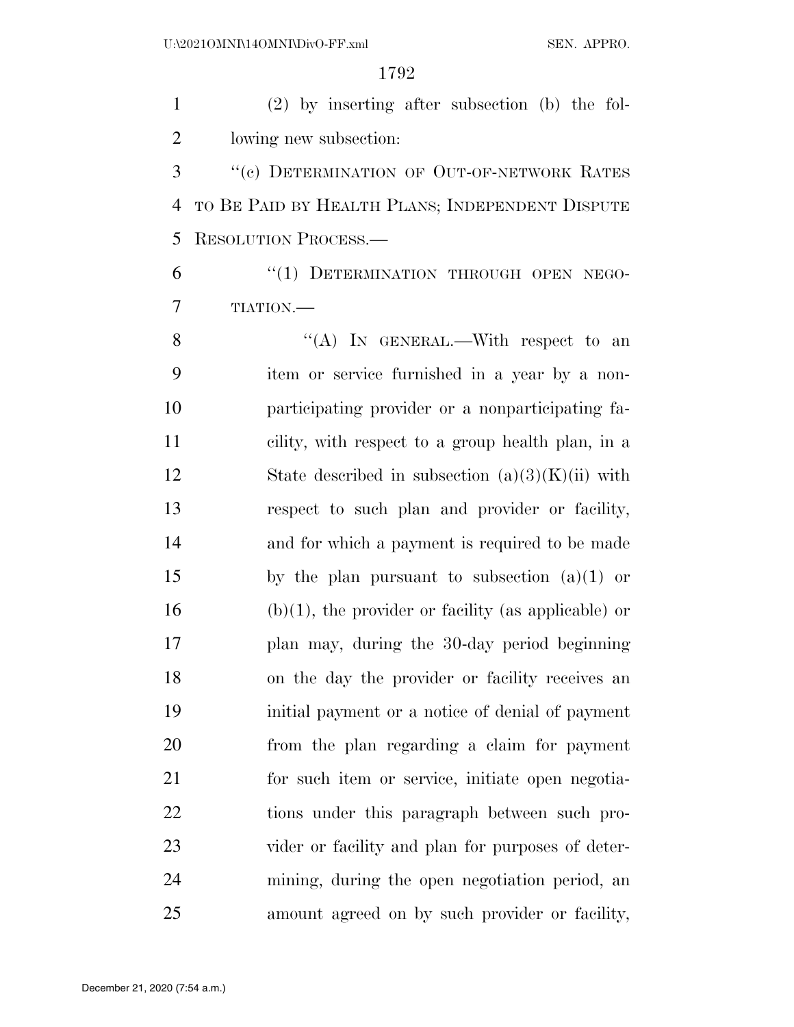(2) by inserting after subsection (b) the fol- lowing new subsection: 3 "(c) DETERMINATION OF OUT-OF-NETWORK RATES

 TO BE PAID BY HEALTH PLANS; INDEPENDENT DISPUTE RESOLUTION PROCESS.—

6 "(1) DETERMINATION THROUGH OPEN NEGO-TIATION.—

8 "(A) In GENERAL.—With respect to an item or service furnished in a year by a non- participating provider or a nonparticipating fa- cility, with respect to a group health plan, in a 12 State described in subsection  $(a)(3)(K)(ii)$  with respect to such plan and provider or facility, and for which a payment is required to be made by the plan pursuant to subsection (a)(1) or 16 (b)(1), the provider or facility (as applicable) or plan may, during the 30-day period beginning on the day the provider or facility receives an initial payment or a notice of denial of payment from the plan regarding a claim for payment for such item or service, initiate open negotia- tions under this paragraph between such pro- vider or facility and plan for purposes of deter- mining, during the open negotiation period, an amount agreed on by such provider or facility,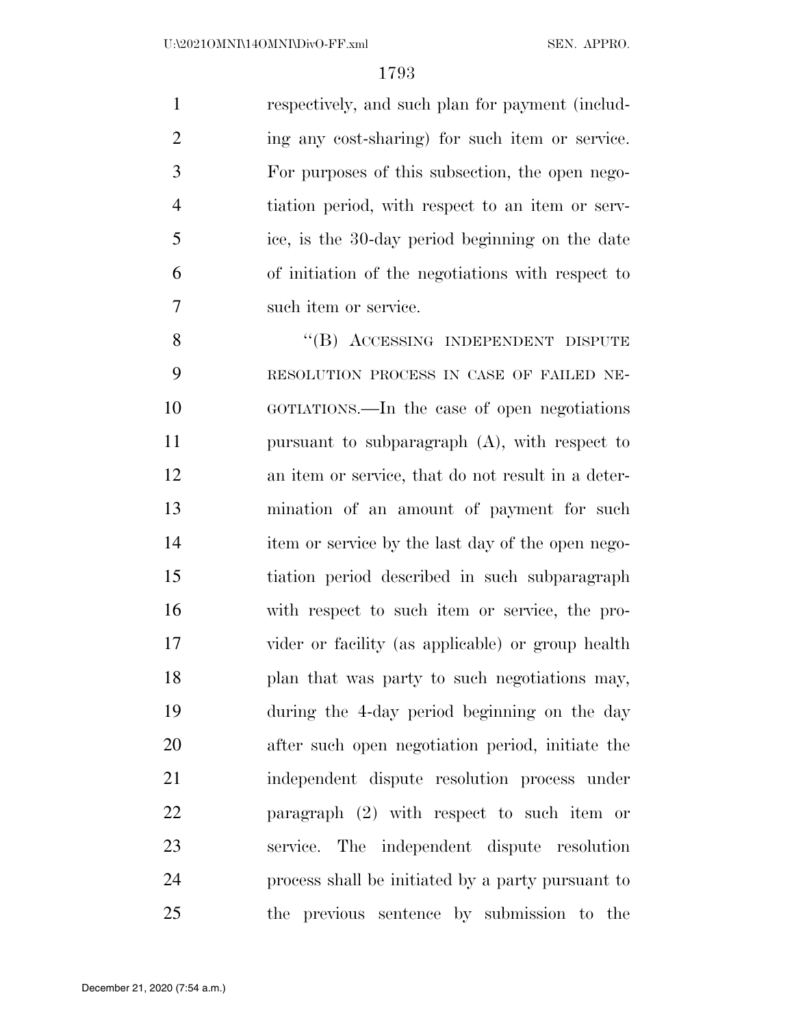respectively, and such plan for payment (includ-2 ing any cost-sharing) for such item or service. For purposes of this subsection, the open nego- tiation period, with respect to an item or serv- ice, is the 30-day period beginning on the date of initiation of the negotiations with respect to such item or service.

8 "(B) ACCESSING INDEPENDENT DISPUTE RESOLUTION PROCESS IN CASE OF FAILED NE- GOTIATIONS.—In the case of open negotiations pursuant to subparagraph (A), with respect to an item or service, that do not result in a deter- mination of an amount of payment for such item or service by the last day of the open nego- tiation period described in such subparagraph with respect to such item or service, the pro- vider or facility (as applicable) or group health 18 plan that was party to such negotiations may, during the 4-day period beginning on the day after such open negotiation period, initiate the independent dispute resolution process under paragraph (2) with respect to such item or service. The independent dispute resolution process shall be initiated by a party pursuant to the previous sentence by submission to the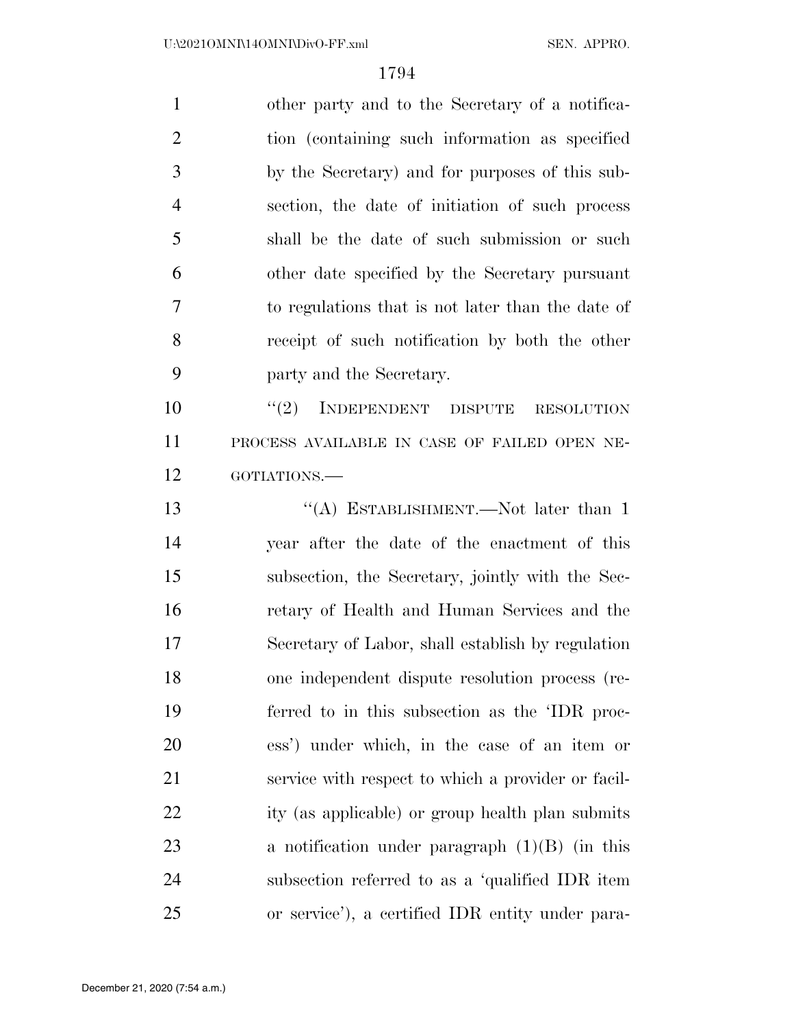other party and to the Secretary of a notifica- tion (containing such information as specified by the Secretary) and for purposes of this sub- section, the date of initiation of such process shall be the date of such submission or such other date specified by the Secretary pursuant to regulations that is not later than the date of receipt of such notification by both the other party and the Secretary.  $(2)$  INDEPENDENT DISPUTE RESOLUTION

 PROCESS AVAILABLE IN CASE OF FAILED OPEN NE-GOTIATIONS.—

13 "(A) ESTABLISHMENT.—Not later than 1 year after the date of the enactment of this subsection, the Secretary, jointly with the Sec- retary of Health and Human Services and the Secretary of Labor, shall establish by regulation one independent dispute resolution process (re- ferred to in this subsection as the 'IDR proc- ess') under which, in the case of an item or service with respect to which a provider or facil- ity (as applicable) or group health plan submits a notification under paragraph (1)(B) (in this subsection referred to as a 'qualified IDR item or service'), a certified IDR entity under para-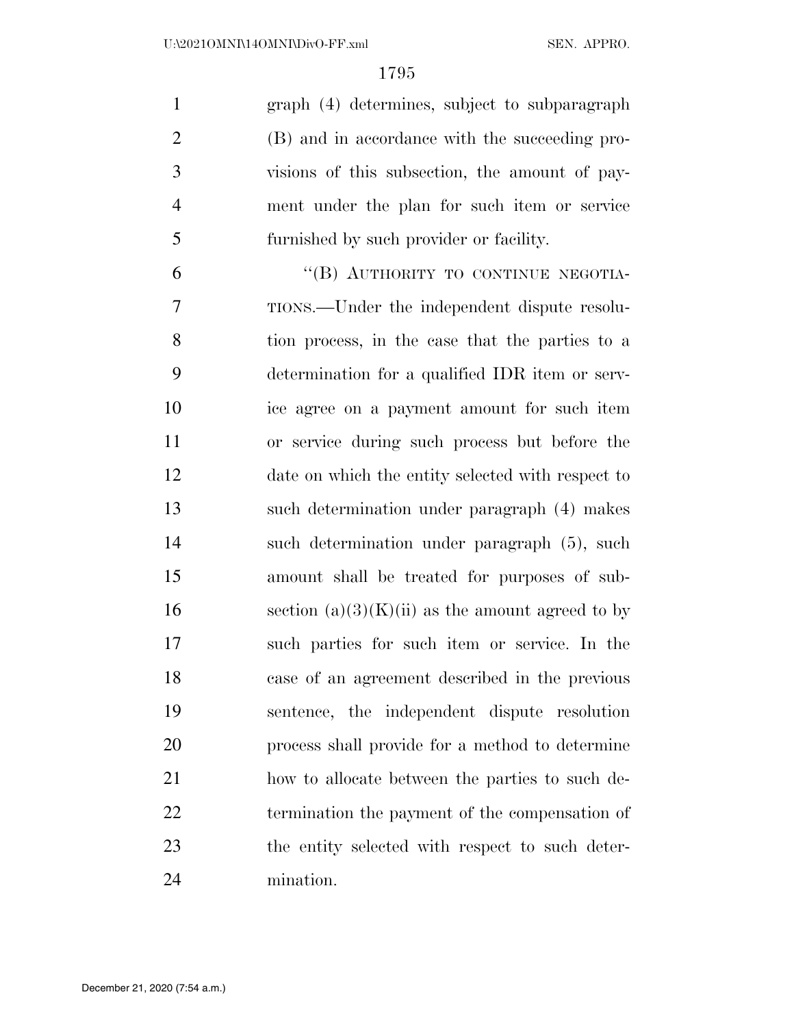graph (4) determines, subject to subparagraph (B) and in accordance with the succeeding pro- visions of this subsection, the amount of pay- ment under the plan for such item or service furnished by such provider or facility.

6 "(B) AUTHORITY TO CONTINUE NEGOTIA- TIONS.—Under the independent dispute resolu- tion process, in the case that the parties to a determination for a qualified IDR item or serv- ice agree on a payment amount for such item or service during such process but before the date on which the entity selected with respect to such determination under paragraph (4) makes such determination under paragraph (5), such amount shall be treated for purposes of sub-16 section  $(a)(3)(K)(ii)$  as the amount agreed to by such parties for such item or service. In the case of an agreement described in the previous sentence, the independent dispute resolution process shall provide for a method to determine how to allocate between the parties to such de- termination the payment of the compensation of the entity selected with respect to such deter-mination.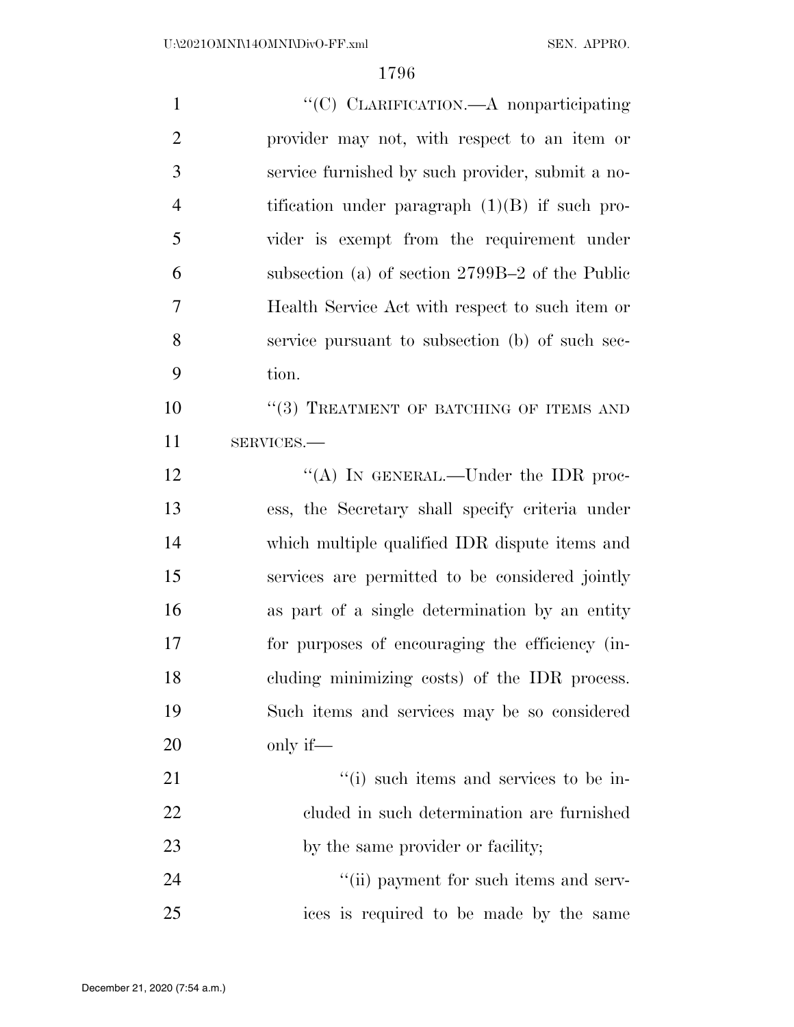| $\mathbf{1}$   | "(C) CLARIFICATION. A nonparticipating           |
|----------------|--------------------------------------------------|
| $\overline{2}$ | provider may not, with respect to an item or     |
| 3              | service furnished by such provider, submit a no- |
| $\overline{4}$ | tification under paragraph $(1)(B)$ if such pro- |
| 5              | vider is exempt from the requirement under       |
| 6              | subsection (a) of section 2799B-2 of the Public  |
| 7              | Health Service Act with respect to such item or  |
| 8              | service pursuant to subsection (b) of such sec-  |
| 9              | tion.                                            |
| 10             | "(3) TREATMENT OF BATCHING OF ITEMS AND          |
| 11             | SERVICES.-                                       |
| 12             | "(A) IN GENERAL.—Under the IDR proc-             |
| 13             | ess, the Secretary shall specify criteria under  |
| 14             | which multiple qualified IDR dispute items and   |
| 15             | services are permitted to be considered jointly  |
| 16             | as part of a single determination by an entity   |
| 17             | for purposes of encouraging the efficiency (in-  |
| 18             | cluding minimizing costs) of the IDR process.    |
| 19             | Such items and services may be so considered     |
| 20             | only if—                                         |
| 21             | "(i) such items and services to be in-           |
| 22             | cluded in such determination are furnished       |
| 23             | by the same provider or facility;                |
| 24             | "(ii) payment for such items and serv-           |
| 25             | ices is required to be made by the same          |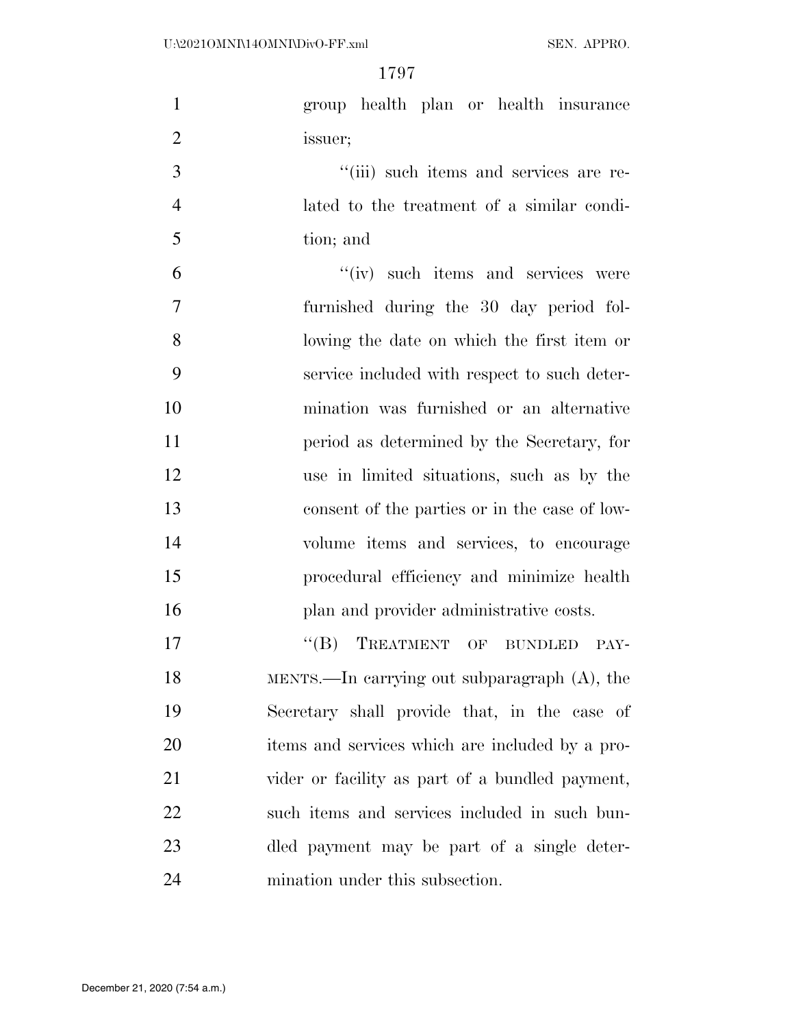| $\mathbf{1}$   | group health plan or health insurance           |
|----------------|-------------------------------------------------|
| $\overline{2}$ | issuer;                                         |
| 3              | "(iii) such items and services are re-          |
| $\overline{4}$ | lated to the treatment of a similar condi-      |
| 5              | tion; and                                       |
| 6              | "(iv) such items and services were              |
| $\overline{7}$ | furnished during the 30 day period fol-         |
| 8              | lowing the date on which the first item or      |
| 9              | service included with respect to such deter-    |
| 10             | mination was furnished or an alternative        |
| 11             | period as determined by the Secretary, for      |
| 12             | use in limited situations, such as by the       |
| 13             | consent of the parties or in the case of low-   |
| 14             | volume items and services, to encourage         |
| 15             | procedural efficiency and minimize health       |
| 16             | plan and provider administrative costs.         |
| 17             | "(B) TREATMENT OF BUNDLED PAY-                  |
| 18             | MENTS.—In carrying out subparagraph $(A)$ , the |
| 19             | Secretary shall provide that, in the case of    |
| 20             | items and services which are included by a pro- |
| 21             | vider or facility as part of a bundled payment, |
| 22             | such items and services included in such bun-   |
| 23             | dled payment may be part of a single deter-     |
| 24             | mination under this subsection.                 |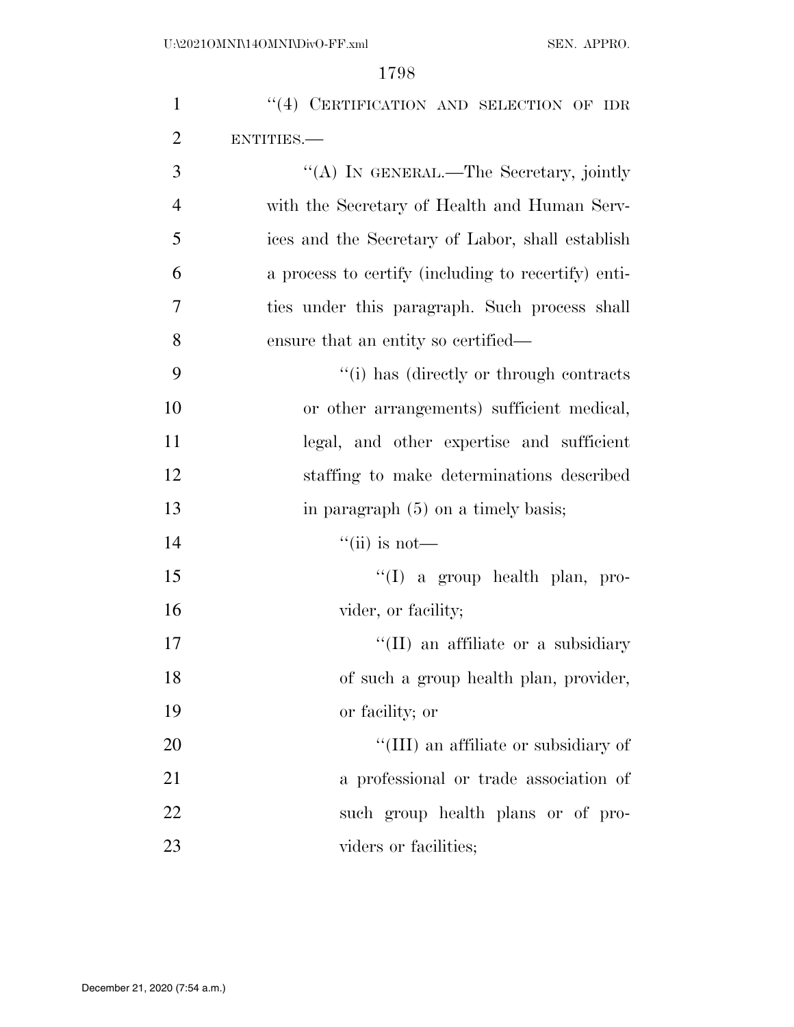| $\mathbf{1}$   | "(4) CERTIFICATION AND SELECTION OF IDR             |
|----------------|-----------------------------------------------------|
| $\overline{2}$ | ENTITIES.                                           |
| 3              | "(A) IN GENERAL.—The Secretary, jointly             |
| $\overline{4}$ | with the Secretary of Health and Human Serv-        |
| 5              | ices and the Secretary of Labor, shall establish    |
| 6              | a process to certify (including to recertify) enti- |
| 7              | ties under this paragraph. Such process shall       |
| 8              | ensure that an entity so certified—                 |
| 9              | "(i) has (directly or through contracts)"           |
| 10             | or other arrangements) sufficient medical,          |
| 11             | legal, and other expertise and sufficient           |
| 12             | staffing to make determinations described           |
| 13             | in paragraph $(5)$ on a timely basis;               |
| 14             | $\lq\lq$ (ii) is not—                               |
| 15             | $\lq\lq$ (I) a group health plan, pro-              |
| 16             | vider, or facility;                                 |
| 17             | "(II) an affiliate or a subsidiary                  |
| 18             | of such a group health plan, provider,              |
| 19             | or facility; or                                     |
| 20             | "(III) an affiliate or subsidiary of                |
| 21             | a professional or trade association of              |
| 22             | such group health plans or of pro-                  |
| 23             | viders or facilities;                               |
|                |                                                     |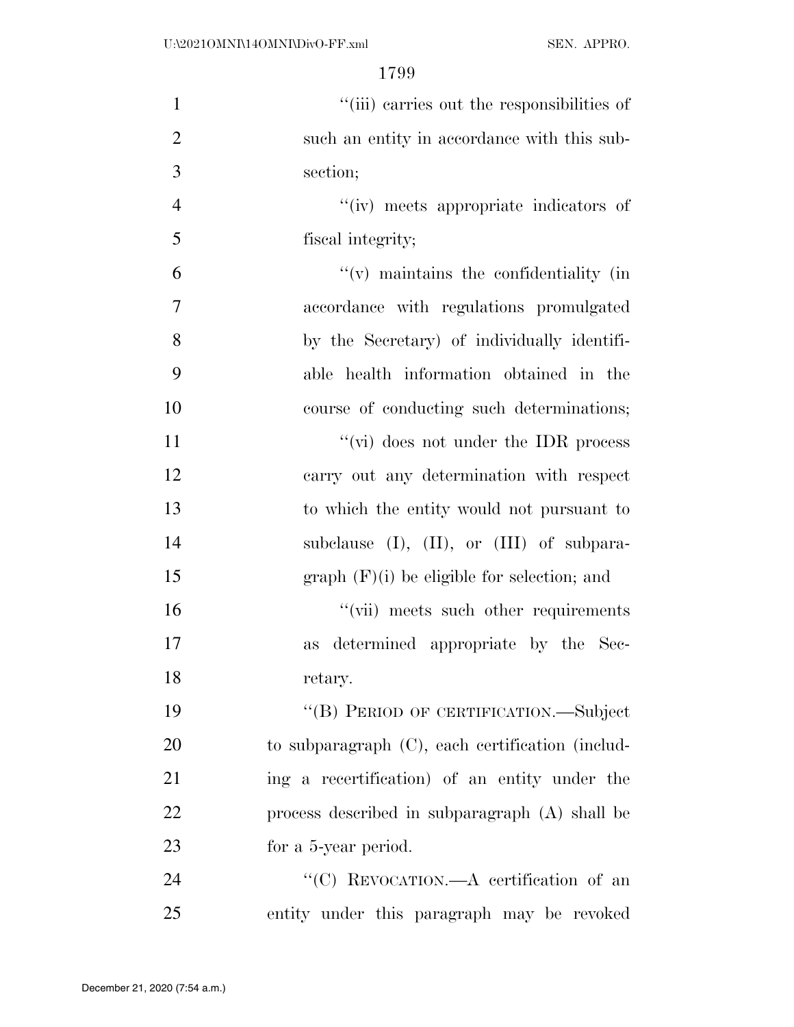| $\mathbf{1}$   | "(iii) carries out the responsibilities of        |
|----------------|---------------------------------------------------|
| $\overline{2}$ | such an entity in accordance with this sub-       |
| 3              | section;                                          |
| $\overline{4}$ | "(iv) meets appropriate indicators of             |
| 5              | fiscal integrity;                                 |
| 6              | $f'(v)$ maintains the confidentiality (in         |
| 7              | accordance with regulations promulgated           |
| 8              | by the Secretary) of individually identifi-       |
| 9              | able health information obtained in the           |
| 10             | course of conducting such determinations;         |
| 11             | $\lq\lq$ (vi) does not under the IDR process      |
| 12             | carry out any determination with respect          |
| 13             | to which the entity would not pursuant to         |
| 14             | subclause $(I)$ , $(II)$ , or $(III)$ of subpara- |
| 15             | $graph$ (F)(i) be eligible for selection; and     |
| 16             | "(vii) meets such other requirements              |
| 17             | as determined appropriate by the Sec-             |
| 18             | retary.                                           |
| 19             | "(B) PERIOD OF CERTIFICATION.—Subject             |
| 20             | to subparagraph (C), each certification (includ-  |
| 21             | ing a recertification) of an entity under the     |
| 22             | process described in subparagraph (A) shall be    |
| 23             | for a 5-year period.                              |
| 24             | "(C) REVOCATION.—A certification of an            |
| 25             | entity under this paragraph may be revoked        |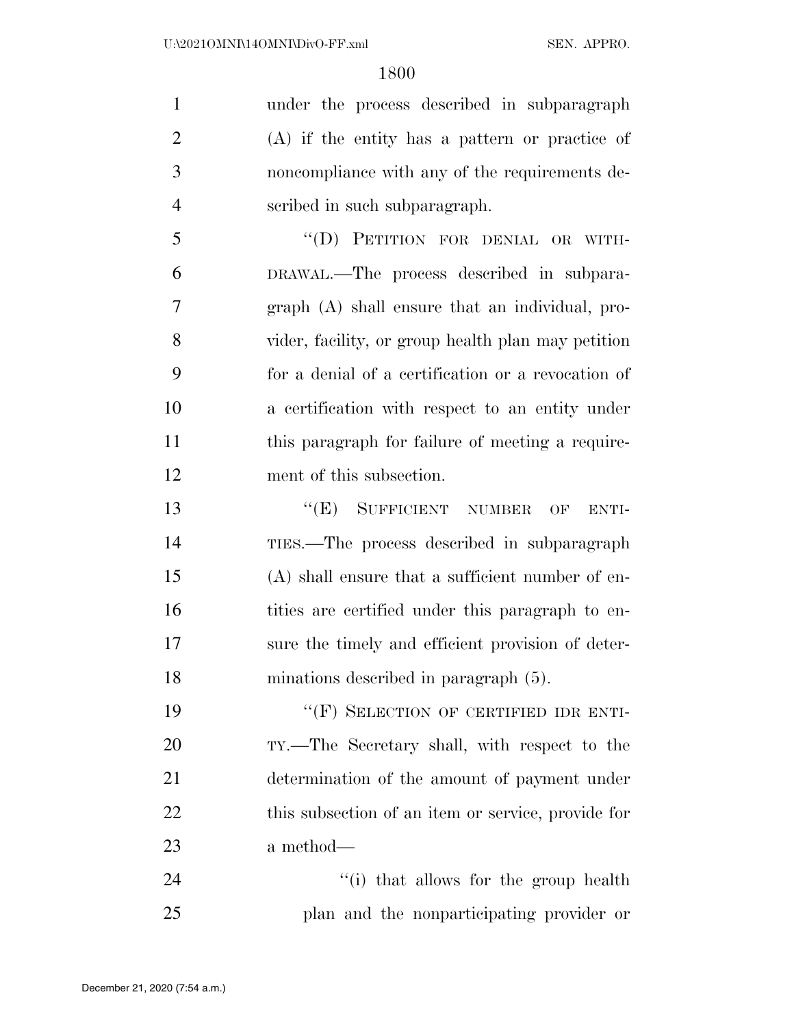under the process described in subparagraph (A) if the entity has a pattern or practice of noncompliance with any of the requirements de-scribed in such subparagraph.

 ''(D) PETITION FOR DENIAL OR WITH- DRAWAL.—The process described in subpara- graph (A) shall ensure that an individual, pro- vider, facility, or group health plan may petition for a denial of a certification or a revocation of a certification with respect to an entity under 11 this paragraph for failure of meeting a require-ment of this subsection.

**''(E)** SUFFICIENT NUMBER OF ENTI- TIES.—The process described in subparagraph (A) shall ensure that a sufficient number of en-16 tities are certified under this paragraph to en- sure the timely and efficient provision of deter-minations described in paragraph (5).

19 "(F) SELECTION OF CERTIFIED IDR ENTI- TY.—The Secretary shall, with respect to the determination of the amount of payment under 22 this subsection of an item or service, provide for a method—

24 ''(i) that allows for the group health plan and the nonparticipating provider or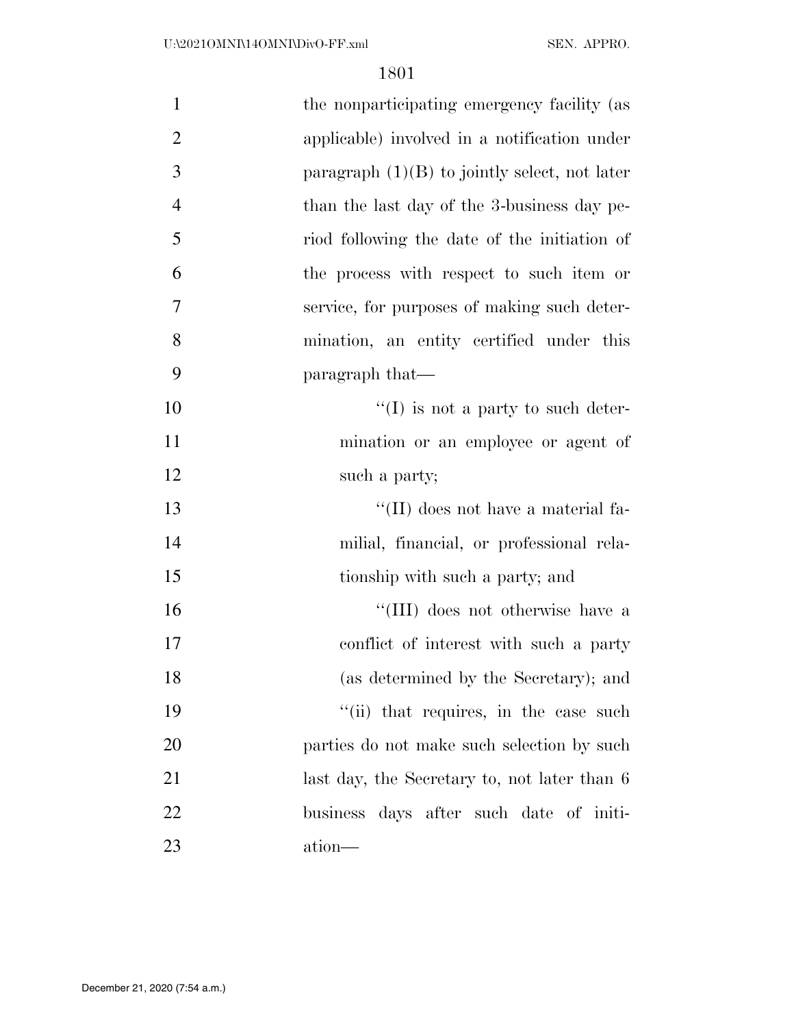| $\mathbf{1}$   | the nonparticipating emergency facility (as     |
|----------------|-------------------------------------------------|
| $\overline{2}$ | applicable) involved in a notification under    |
| 3              | paragraph $(1)(B)$ to jointly select, not later |
| $\overline{4}$ | than the last day of the 3-business day pe-     |
| 5              | riod following the date of the initiation of    |
| 6              | the process with respect to such item or        |
| 7              | service, for purposes of making such deter-     |
| 8              | mination, an entity certified under this        |
| 9              | paragraph that—                                 |
| 10             | $\lq\lq$ (I) is not a party to such deter-      |
| 11             | mination or an employee or agent of             |
| 12             | such a party;                                   |
| 13             | $\lq\lq$ (II) does not have a material fa-      |
| 14             | milial, financial, or professional rela-        |
| 15             | tionship with such a party; and                 |
| 16             | "(III) does not otherwise have a                |
| 17             | conflict of interest with such a party          |
| 18             | (as determined by the Secretary); and           |
| 19             | "(ii) that requires, in the case such           |
| 20             | parties do not make such selection by such      |
| 21             | last day, the Secretary to, not later than 6    |
| 22             | business days after such date of initi-         |
| 23             | ation-                                          |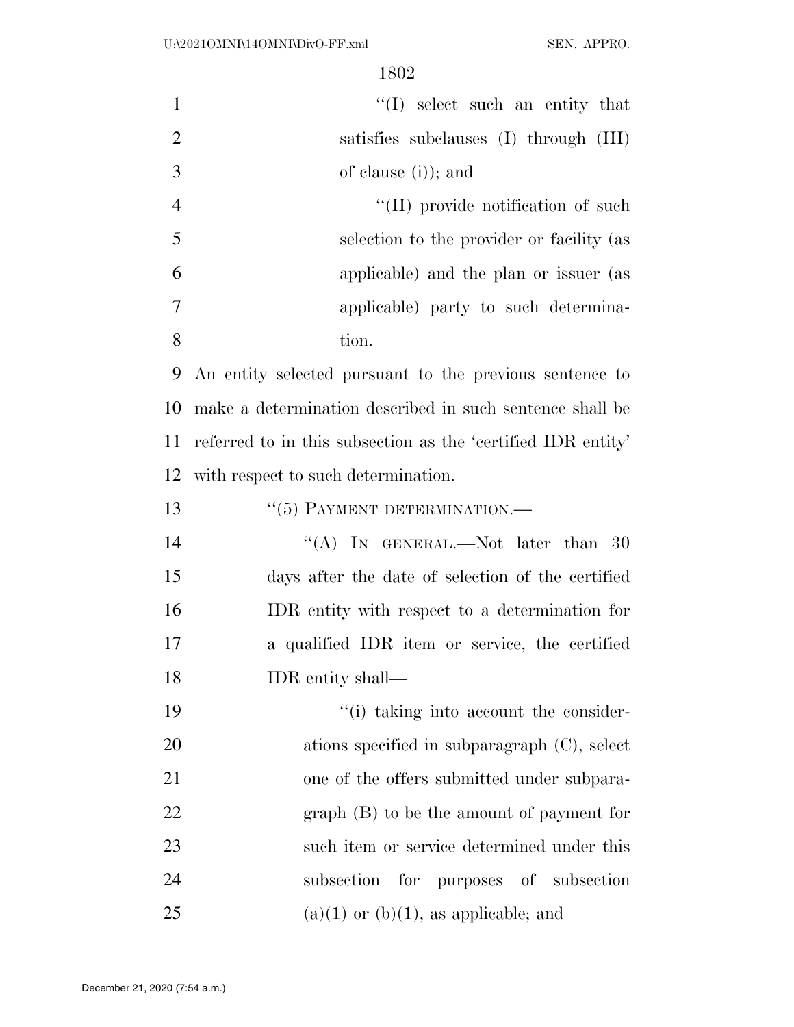| $\mathbf{1}$   | $\lq\lq$ select such an entity that                          |
|----------------|--------------------------------------------------------------|
| $\overline{2}$ | satisfies subclauses (I) through (III)                       |
| 3              | of clause (i)); and                                          |
| $\overline{4}$ | "(II) provide notification of such                           |
| 5              | selection to the provider or facility (as                    |
| 6              | applicable) and the plan or issuer (as                       |
| 7              | applicable) party to such determina-                         |
| 8              | tion.                                                        |
| 9              | An entity selected pursuant to the previous sentence to      |
| 10             | make a determination described in such sentence shall be     |
| 11             | referred to in this subsection as the 'certified IDR entity' |
| 12             | with respect to such determination.                          |
| 13             | "(5) PAYMENT DETERMINATION.-                                 |
| 14             | "(A) IN GENERAL.—Not later than 30                           |
| 15             | days after the date of selection of the certified            |
| 16             | IDR entity with respect to a determination for               |
| 17             | a qualified IDR item or service, the certified               |
| 18             | IDR entity shall—                                            |
| 19             | "(i) taking into account the consider-                       |
| 20             | ations specified in subparagraph $(C)$ , select              |
| 21             | one of the offers submitted under subpara-                   |
| 22             | $graph(B)$ to be the amount of payment for                   |
| 23             | such item or service determined under this                   |
| 24             | for purposes of subsection<br>subsection                     |
| 25             | $(a)(1)$ or $(b)(1)$ , as applicable; and                    |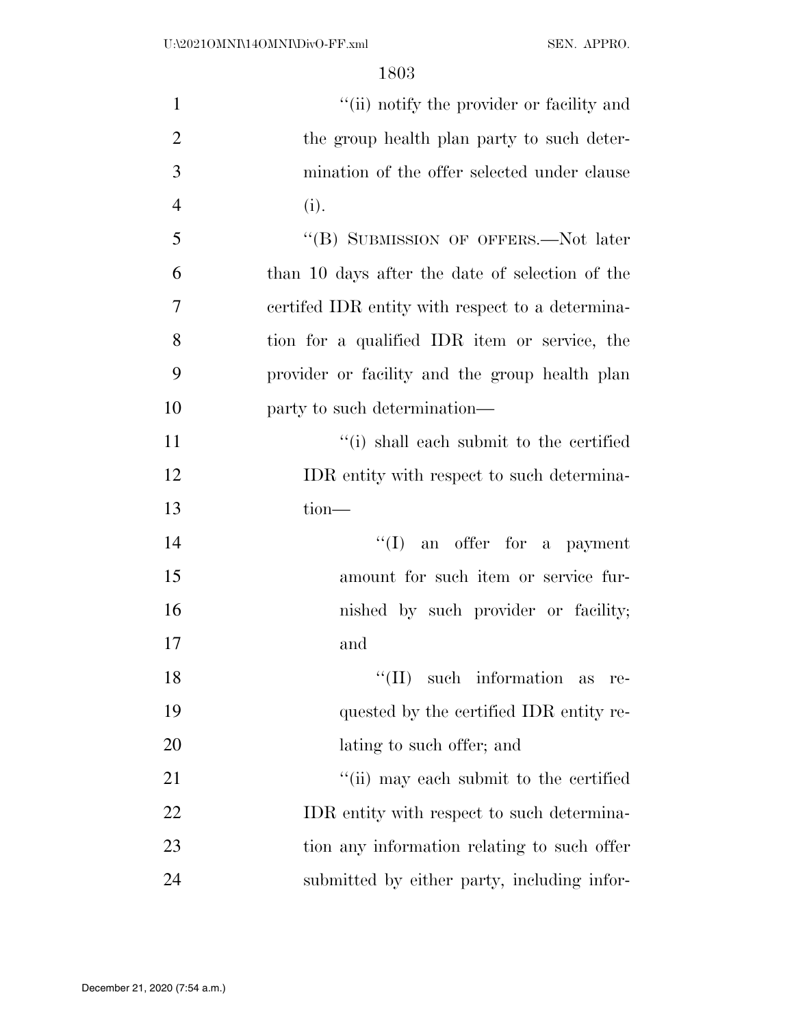| $\mathbf{1}$   | "(ii) notify the provider or facility and        |
|----------------|--------------------------------------------------|
| $\overline{2}$ | the group health plan party to such deter-       |
| 3              | mination of the offer selected under clause      |
| $\overline{4}$ | (i).                                             |
| 5              | "(B) SUBMISSION OF OFFERS.—Not later             |
| 6              | than 10 days after the date of selection of the  |
| 7              | certifed IDR entity with respect to a determina- |
| 8              | tion for a qualified IDR item or service, the    |
| 9              | provider or facility and the group health plan   |
| 10             | party to such determination—                     |
| 11             | "(i) shall each submit to the certified          |
| 12             | IDR entity with respect to such determina-       |
| 13             | $tion$ —                                         |
| 14             | $\lq\lq$ (I) an offer for a payment              |
| 15             | amount for such item or service fur-             |
| 16             | nished by such provider or facility;             |
| 17             | and                                              |
| 18             | $\lq\lq$ (II) such information<br>as<br>re-      |
| 19             | quested by the certified IDR entity re-          |
| 20             | lating to such offer; and                        |
| 21             | "(ii) may each submit to the certified           |
| 22             | IDR entity with respect to such determina-       |
| 23             | tion any information relating to such offer      |
| 24             | submitted by either party, including infor-      |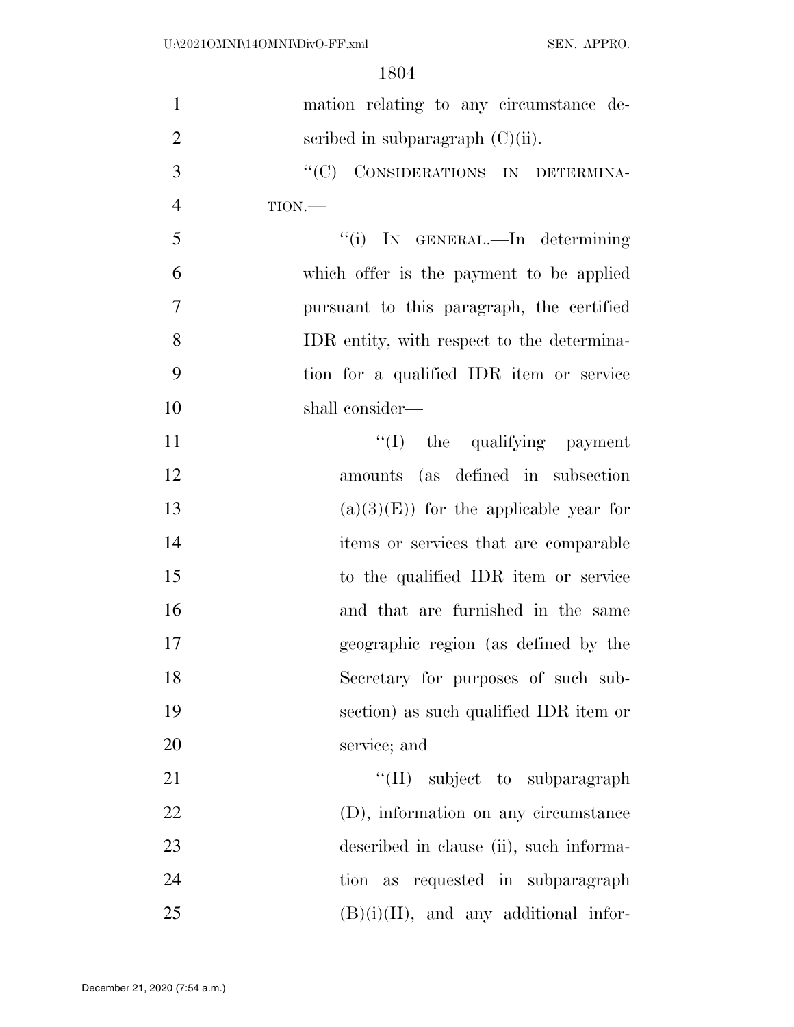| $\mathbf{1}$   | mation relating to any circumstance de-    |
|----------------|--------------------------------------------|
| $\overline{2}$ | scribed in subparagraph $(C)(ii)$ .        |
| 3              | "(C) CONSIDERATIONS IN DETERMINA-          |
| $\overline{4}$ | TION.                                      |
| 5              | "(i) IN GENERAL.—In determining            |
| 6              | which offer is the payment to be applied   |
| $\overline{7}$ | pursuant to this paragraph, the certified  |
| 8              | IDR entity, with respect to the determina- |
| 9              | tion for a qualified IDR item or service   |
| 10             | shall consider—                            |
| 11             | "(I) the qualifying payment                |
| 12             | amounts (as defined in subsection          |
| 13             | $(a)(3)(E)$ for the applicable year for    |
| 14             | items or services that are comparable      |
| 15             | to the qualified IDR item or service       |
| 16             | and that are furnished in the same         |
| 17             | geographic region (as defined by the       |
| 18             | Secretary for purposes of such sub-        |
| 19             | section) as such qualified IDR item or     |
| 20             | service; and                               |
| 21             | "(II) subject to subparagraph              |
| 22             | (D), information on any circumstance       |
| 23             | described in clause (ii), such informa-    |
| 24             | tion as requested in subparagraph          |
| 25             | $(B)(i)(II)$ , and any additional infor-   |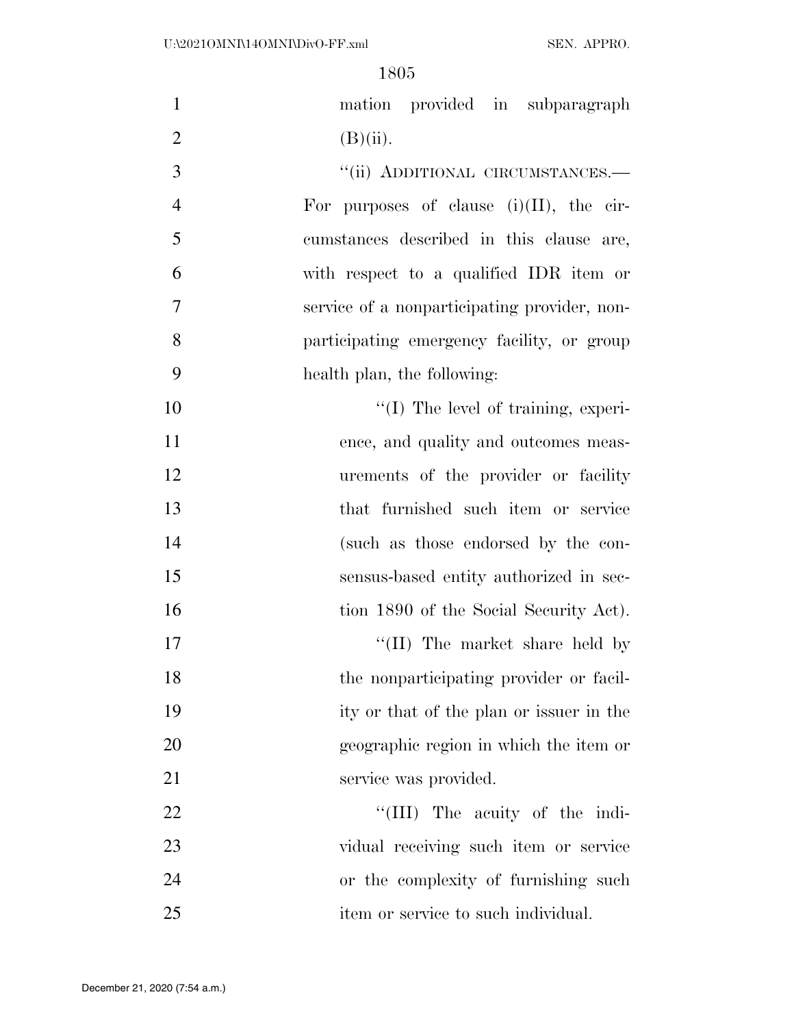| $\mathbf{1}$   | mation provided in subparagraph              |
|----------------|----------------------------------------------|
| $\overline{2}$ | $(B)(ii)$ .                                  |
| 3              | "(ii) ADDITIONAL CIRCUMSTANCES.-             |
| $\overline{4}$ | For purposes of clause $(i)(II)$ , the cir-  |
| 5              | cumstances described in this clause are,     |
| 6              | with respect to a qualified IDR item or      |
| 7              | service of a nonparticipating provider, non- |
| 8              | participating emergency facility, or group   |
| 9              | health plan, the following:                  |
| 10             | "(I) The level of training, experi-          |
| 11             | ence, and quality and outcomes meas-         |
| 12             | urements of the provider or facility         |
| 13             | that furnished such item or service          |
| 14             | (such as those endorsed by the con-          |
| 15             | sensus-based entity authorized in sec-       |
| 16             | tion 1890 of the Social Security Act).       |
| 17             | $\lq$ (II) The market share held by          |
| 18             | the nonparticipating provider or facil-      |
| 19             | ity or that of the plan or issuer in the     |
| 20             | geographic region in which the item or       |
| 21             | service was provided.                        |
| 22             | "(III) The acuity of the indi-               |
| 23             | vidual receiving such item or service        |
| 24             | or the complexity of furnishing such         |
| 25             | item or service to such individual.          |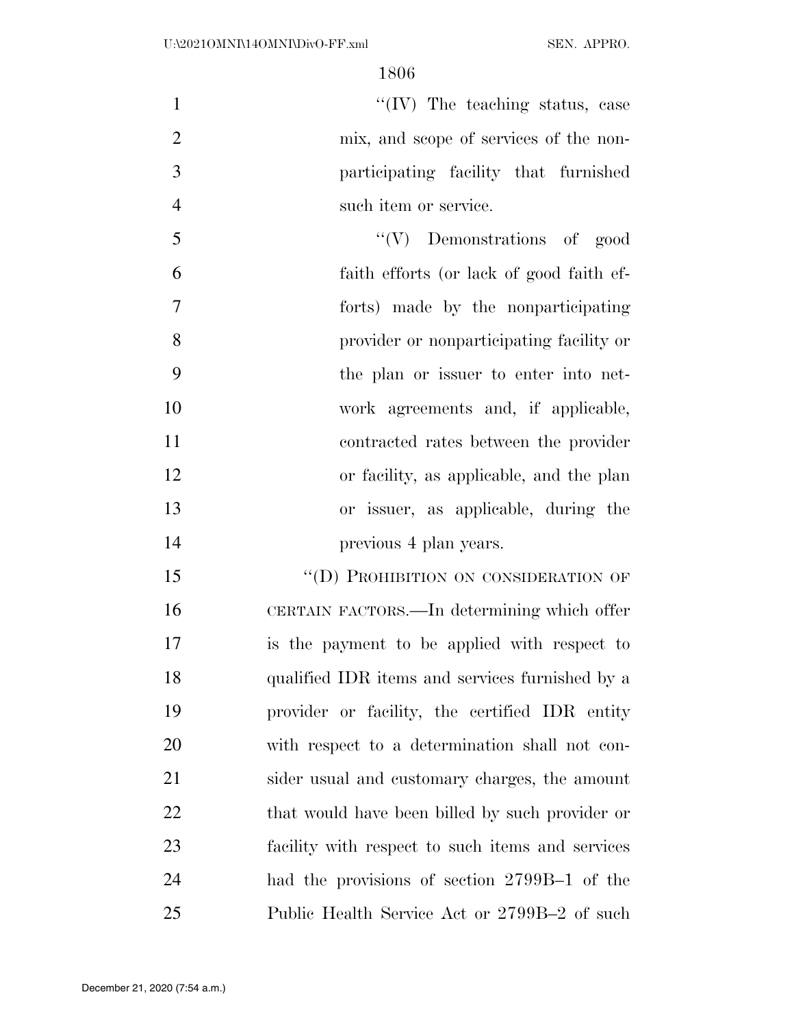$\text{``(IV)}$  The teaching status, case mix, and scope of services of the non- participating facility that furnished 4 such item or service.

5 ''(V) Demonstrations of good faith efforts (or lack of good faith ef- forts) made by the nonparticipating provider or nonparticipating facility or the plan or issuer to enter into net- work agreements and, if applicable, contracted rates between the provider or facility, as applicable, and the plan or issuer, as applicable, during the **previous 4 plan years.** 

15 "(D) PROHIBITION ON CONSIDERATION OF CERTAIN FACTORS.—In determining which offer is the payment to be applied with respect to qualified IDR items and services furnished by a provider or facility, the certified IDR entity with respect to a determination shall not con- sider usual and customary charges, the amount 22 that would have been billed by such provider or facility with respect to such items and services had the provisions of section 2799B–1 of the Public Health Service Act or 2799B–2 of such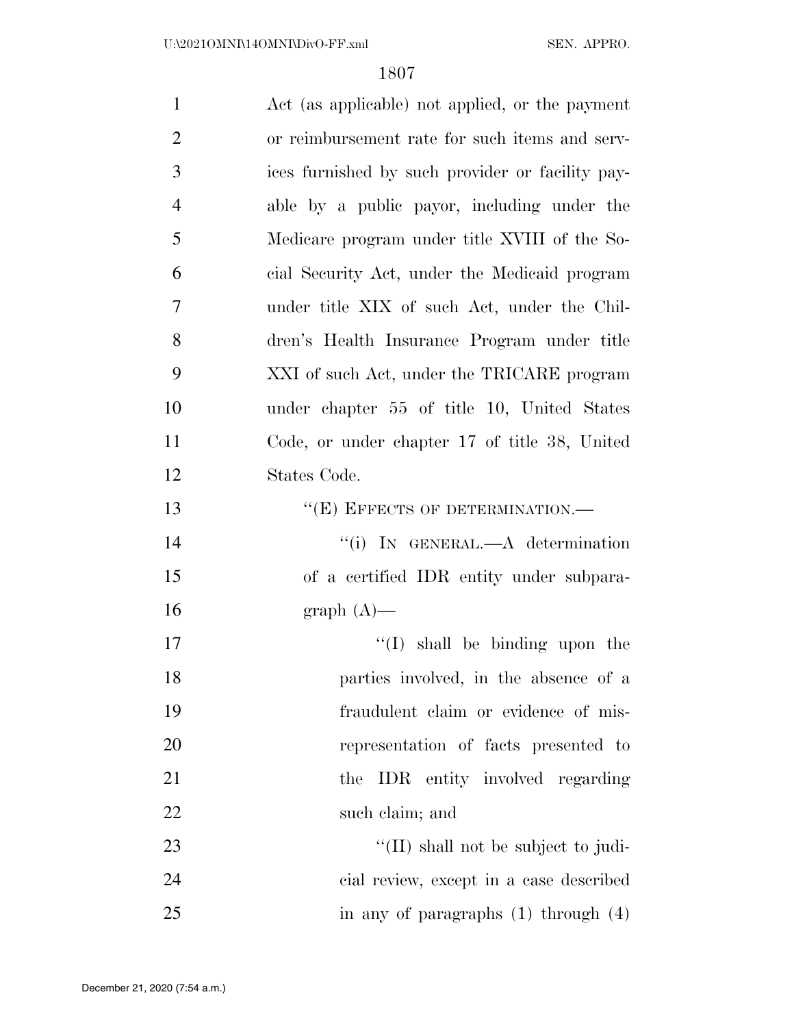| $\mathbf{1}$   | Act (as applicable) not applied, or the payment  |
|----------------|--------------------------------------------------|
| $\overline{2}$ | or reimbursement rate for such items and serv-   |
| 3              | ices furnished by such provider or facility pay- |
| $\overline{4}$ | able by a public payor, including under the      |
| 5              | Medicare program under title XVIII of the So-    |
| 6              | cial Security Act, under the Medicaid program    |
| 7              | under title XIX of such Act, under the Chil-     |
| 8              | dren's Health Insurance Program under title      |
| 9              | XXI of such Act, under the TRICARE program       |
| 10             | under chapter 55 of title 10, United States      |
| 11             | Code, or under chapter 17 of title 38, United    |
| 12             | States Code.                                     |
| 13             | $\lq\lq(E)$ EFFECTS OF DETERMINATION.—           |
| 14             | "(i) IN GENERAL.— $A$ determination              |
| 15             | of a certified IDR entity under subpara-         |
| 16             | $graph(A)$ —                                     |
| 17             | $\lq\lq$ shall be binding upon the               |
| 18             | parties involved, in the absence of a            |
| 19             | fraudulent claim or evidence of mis-             |
| 20             | representation of facts presented to             |
| 21             | the IDR entity involved regarding                |
| 22             | such claim; and                                  |
| 23             | $\lq$ (II) shall not be subject to judi-         |
| 24             | cial review, except in a case described          |
| 25             | in any of paragraphs $(1)$ through $(4)$         |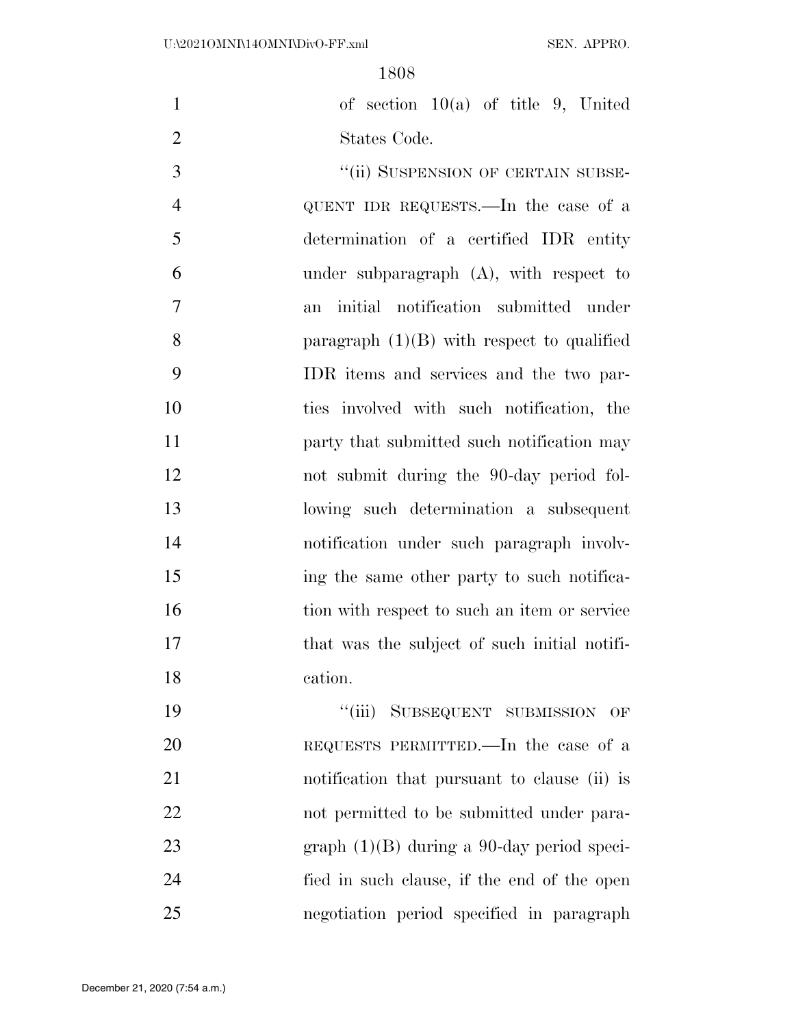of section 10(a) of title 9, United States Code.

3 "(ii) SUSPENSION OF CERTAIN SUBSE- QUENT IDR REQUESTS.—In the case of a determination of a certified IDR entity under subparagraph (A), with respect to an initial notification submitted under paragraph (1)(B) with respect to qualified IDR items and services and the two par- ties involved with such notification, the **party that submitted such notification may**  not submit during the 90-day period fol- lowing such determination a subsequent notification under such paragraph involv- ing the same other party to such notifica-16 tion with respect to such an item or service 17 that was the subject of such initial notifi-cation.

19 "'(iii) SUBSEQUENT SUBMISSION OF REQUESTS PERMITTED.—In the case of a notification that pursuant to clause (ii) is not permitted to be submitted under para- graph (1)(B) during a 90-day period speci- fied in such clause, if the end of the open negotiation period specified in paragraph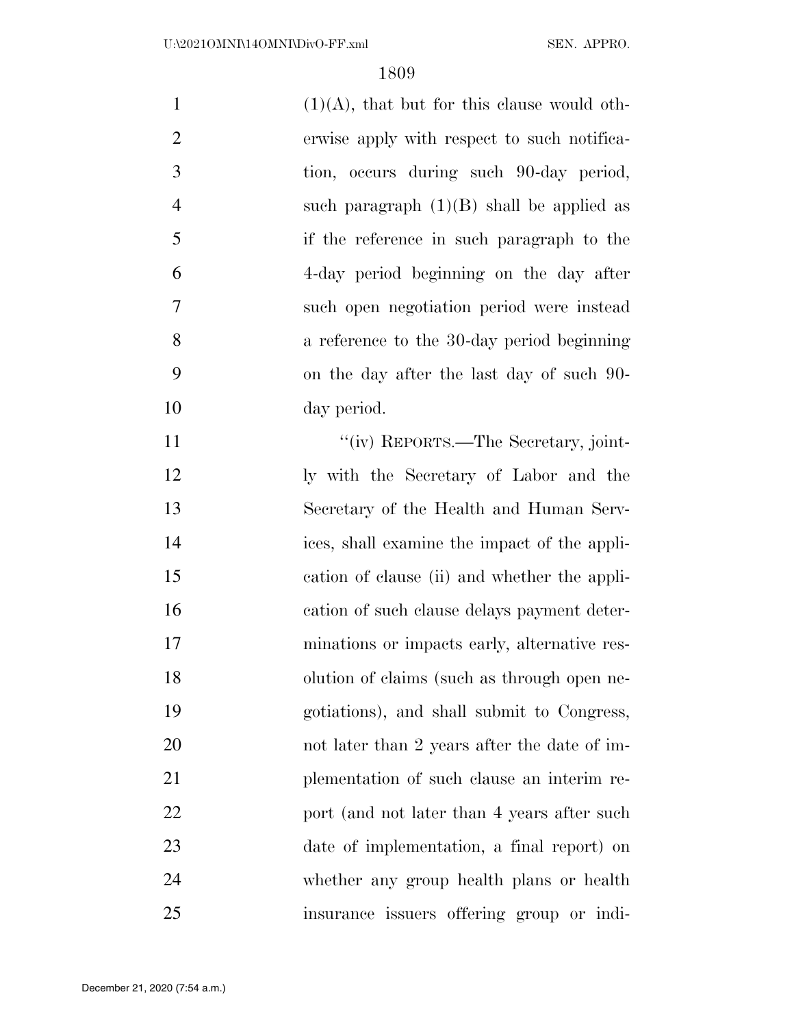| $\mathbf{1}$   | $(1)(A)$ , that but for this clause would oth- |
|----------------|------------------------------------------------|
| $\overline{2}$ | erwise apply with respect to such notifica-    |
| 3              | tion, occurs during such 90-day period,        |
| $\overline{4}$ | such paragraph $(1)(B)$ shall be applied as    |
| 5              | if the reference in such paragraph to the      |
| 6              | 4-day period beginning on the day after        |
| 7              | such open negotiation period were instead      |
| 8              | a reference to the 30-day period beginning     |
| 9              | on the day after the last day of such 90-      |
| 10             | day period.                                    |
| 11             | "(iv) REPORTS.—The Secretary, joint-           |
| 12             | ly with the Secretary of Labor and the         |
| 13             | Secretary of the Health and Human Serv-        |
| 14             | ices, shall examine the impact of the appli-   |
| 15             | cation of clause (ii) and whether the appli-   |
| 16             | cation of such clause delays payment deter-    |
| 17             | minations or impacts early, alternative res-   |
| 18             | olution of claims (such as through open ne-    |
| 19             | gotiations), and shall submit to Congress,     |
| 20             | not later than 2 years after the date of im-   |
| 21             | plementation of such clause an interim re-     |
| 22             | port (and not later than 4 years after such    |
| 23             | date of implementation, a final report) on     |
| 24             | whether any group health plans or health       |
| 25             | insurance issuers offering group or indi-      |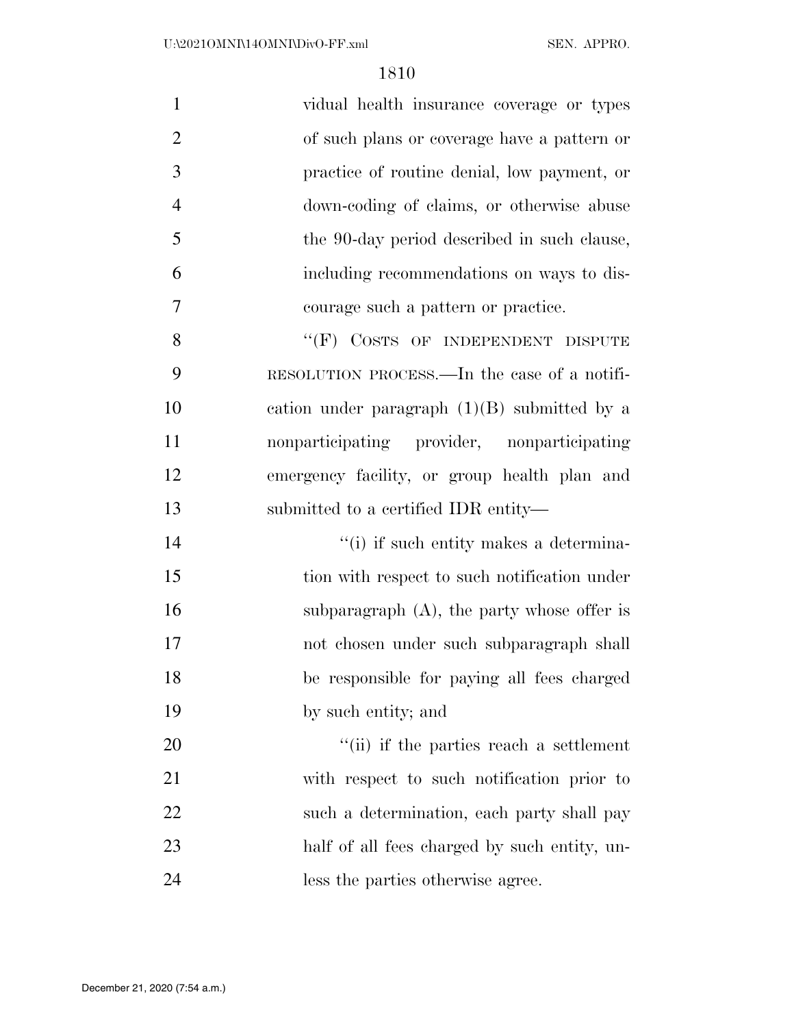| $\mathbf{1}$   | vidual health insurance coverage or types      |
|----------------|------------------------------------------------|
| $\overline{2}$ | of such plans or coverage have a pattern or    |
| 3              | practice of routine denial, low payment, or    |
| $\overline{4}$ | down-coding of claims, or otherwise abuse      |
| 5              | the 90-day period described in such clause,    |
| 6              | including recommendations on ways to dis-      |
| 7              | courage such a pattern or practice.            |
| 8              | "(F) COSTS OF INDEPENDENT DISPUTE              |
| 9              | RESOLUTION PROCESS.—In the case of a notifi-   |
| 10             | cation under paragraph $(1)(B)$ submitted by a |
| 11             | nonparticipating provider, nonparticipating    |
| 12             | emergency facility, or group health plan and   |
| 13             | submitted to a certified IDR entity—           |
| 14             | "(i) if such entity makes a determina-         |
|                |                                                |
| 15             | tion with respect to such notification under   |
| 16             | subparagraph $(A)$ , the party whose offer is  |
| 17             | not chosen under such subparagraph shall       |
| 18             | be responsible for paying all fees charged     |
| 19             | by such entity; and                            |
| 20             | "(ii) if the parties reach a settlement        |
| 21             | with respect to such notification prior to     |
| 22             | such a determination, each party shall pay     |
| 23             | half of all fees charged by such entity, un-   |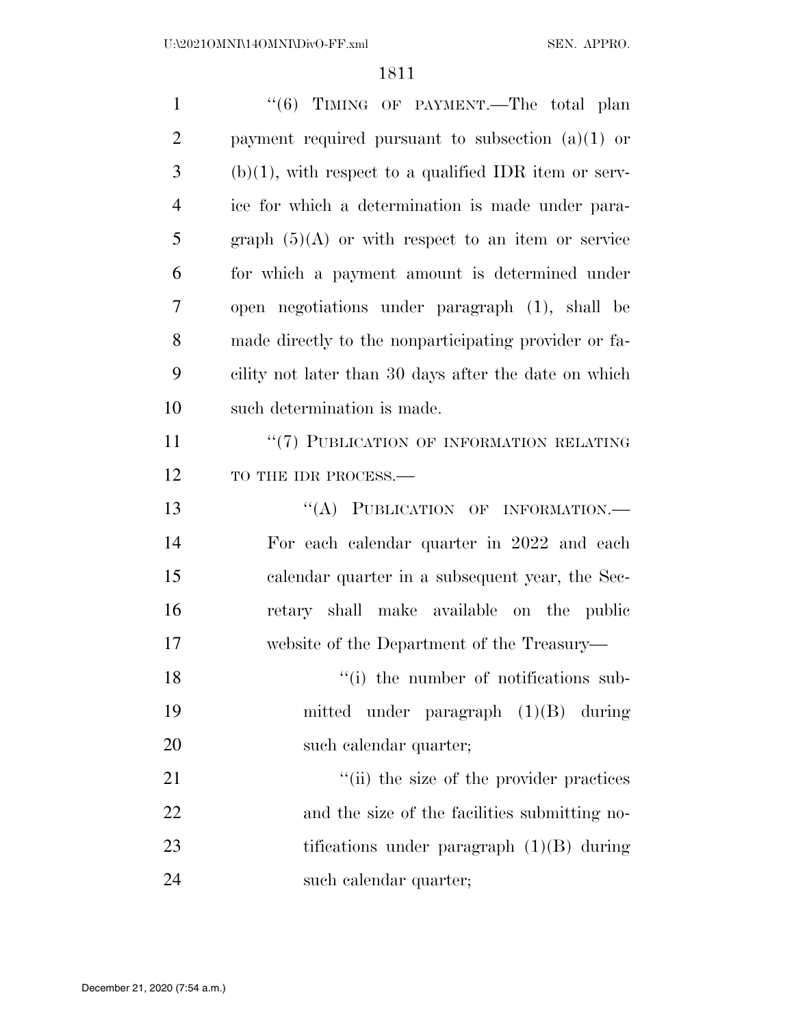| $\mathbf{1}$   | "(6) TIMING OF PAYMENT.—The total plan                   |
|----------------|----------------------------------------------------------|
| $\overline{2}$ | payment required pursuant to subsection $(a)(1)$ or      |
| 3              | $(b)(1)$ , with respect to a qualified IDR item or serv- |
| $\overline{4}$ | ice for which a determination is made under para-        |
| 5              | graph $(5)(A)$ or with respect to an item or service     |
| 6              | for which a payment amount is determined under           |
| 7              | open negotiations under paragraph (1), shall be          |
| 8              | made directly to the nonparticipating provider or fa-    |
| 9              | cility not later than 30 days after the date on which    |
| 10             | such determination is made.                              |
| 11             | "(7) PUBLICATION OF INFORMATION RELATING                 |
| 12             | TO THE IDR PROCESS.-                                     |
| 13             | "(A) PUBLICATION OF INFORMATION.-                        |
| 14             | For each calendar quarter in 2022 and each               |
| 15             | calendar quarter in a subsequent year, the Sec-          |
| 16             | retary shall make available on the public                |
| 17             | website of the Department of the Treasury—               |
| 18             | "(i) the number of notifications sub-                    |
| 19             | mitted under paragraph $(1)(B)$ during                   |
| 20             | such calendar quarter;                                   |
| 21             | "(ii) the size of the provider practices                 |
| 22             | and the size of the facilities submitting no-            |
| 23             | tifications under paragraph $(1)(B)$ during              |
| 24             | such calendar quarter;                                   |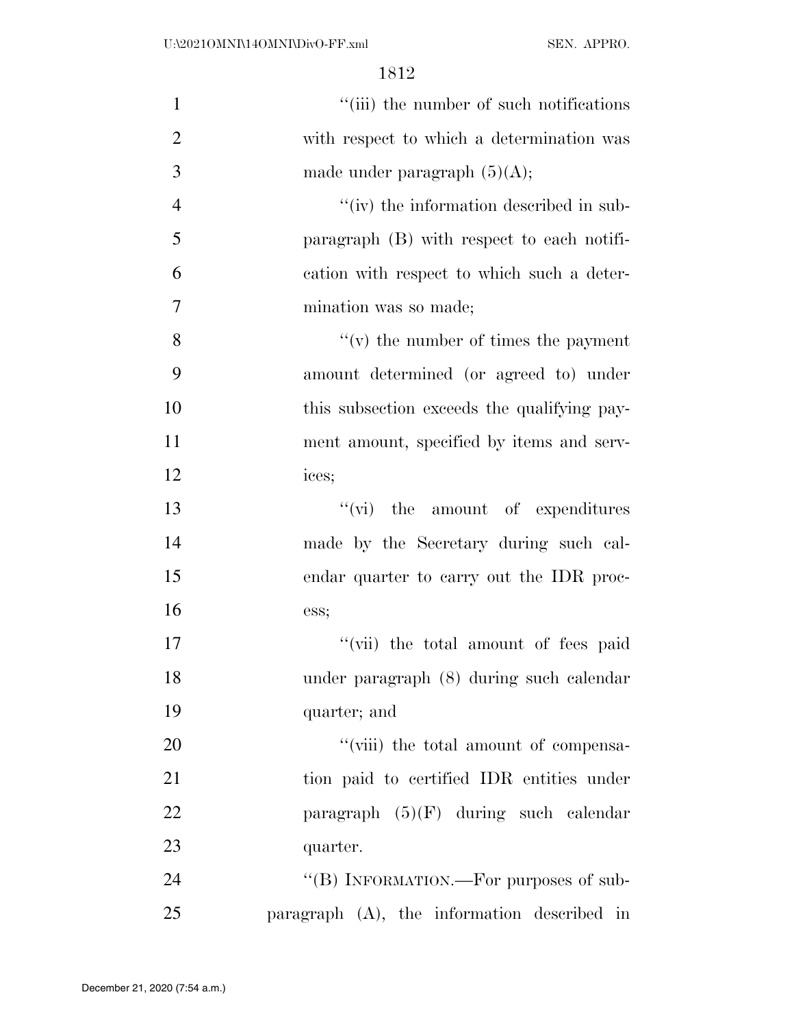| $\mathbf{1}$   | "(iii) the number of such notifications     |
|----------------|---------------------------------------------|
| $\overline{2}$ | with respect to which a determination was   |
| 3              | made under paragraph $(5)(A)$ ;             |
| $\overline{4}$ | "(iv) the information described in sub-     |
| 5              | paragraph (B) with respect to each notifi-  |
| 6              | cation with respect to which such a deter-  |
| $\overline{7}$ | mination was so made;                       |
| 8              | $f'(v)$ the number of times the payment     |
| 9              | amount determined (or agreed to) under      |
| 10             | this subsection exceeds the qualifying pay- |
| 11             | ment amount, specified by items and serv-   |
| 12             | ices;                                       |
| 13             | $\lq\lq$ (vi) the amount of expenditures    |
| 14             | made by the Secretary during such cal-      |
| 15             | endar quarter to carry out the IDR proc-    |
| 16             | ess;                                        |
| 17             | "(vii) the total amount of fees paid        |
| 18             | under paragraph (8) during such calendar    |
| 19             | quarter; and                                |
| 20             | "(viii) the total amount of compensa-       |
| 21             | tion paid to certified IDR entities under   |
| 22             | paragraph $(5)(F)$ during such calendar     |
| 23             | quarter.                                    |
| 24             | "(B) INFORMATION.—For purposes of sub-      |
| 25             | paragraph (A), the information described in |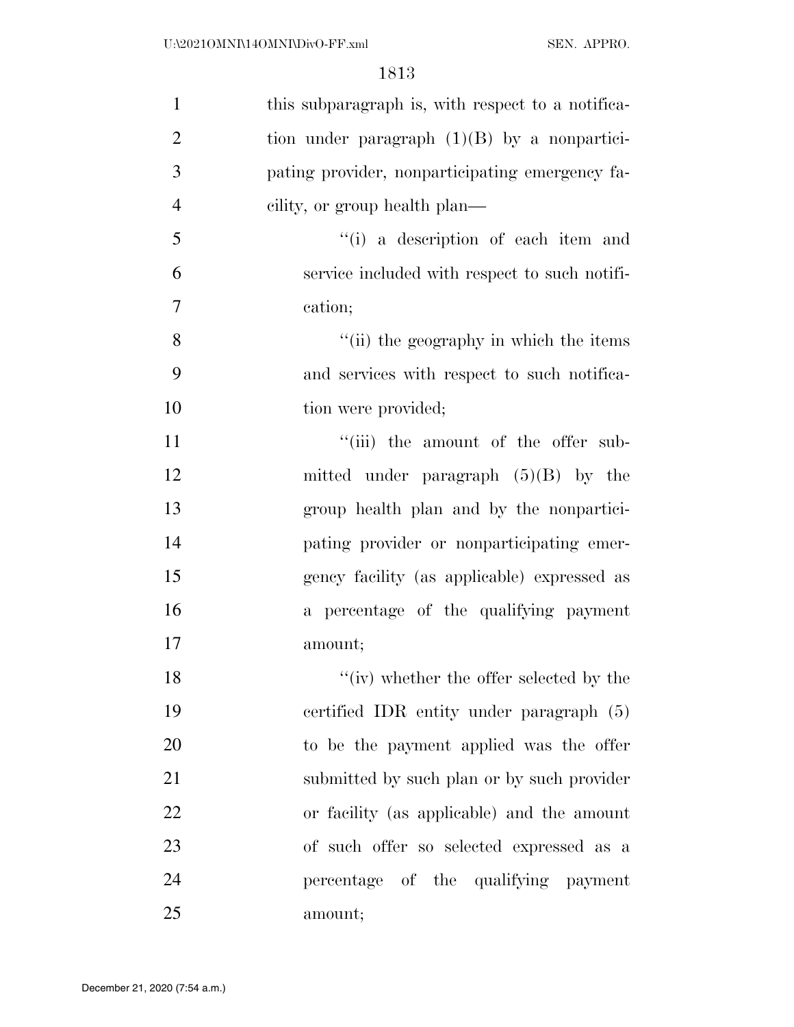| $\mathbf{1}$   | this subparagraph is, with respect to a notifica- |
|----------------|---------------------------------------------------|
| $\overline{2}$ | tion under paragraph $(1)(B)$ by a nonpartici-    |
| 3              | pating provider, nonparticipating emergency fa-   |
| $\overline{4}$ | eility, or group health plan—                     |
| 5              | "(i) a description of each item and               |
| 6              | service included with respect to such notifi-     |
| 7              | cation;                                           |
| 8              | "(ii) the geography in which the items            |
| 9              | and services with respect to such notifica-       |
| 10             | tion were provided;                               |
| 11             | "(iii) the amount of the offer sub-               |
| 12             | mitted under paragraph $(5)(B)$ by the            |
| 13             | group health plan and by the nonpartici-          |
| 14             | pating provider or nonparticipating emer-         |
| 15             | gency facility (as applicable) expressed as       |
| 16             | a percentage of the qualifying payment            |
| 17             | amount;                                           |
| 18             | $``(iv)$ whether the offer selected by the        |
| 19             | certified IDR entity under paragraph (5)          |
| 20             | to be the payment applied was the offer           |
| 21             | submitted by such plan or by such provider        |
| 22             | or facility (as applicable) and the amount        |
| 23             | of such offer so selected expressed as a          |
| 24             | percentage of the qualifying payment              |
| 25             | amount;                                           |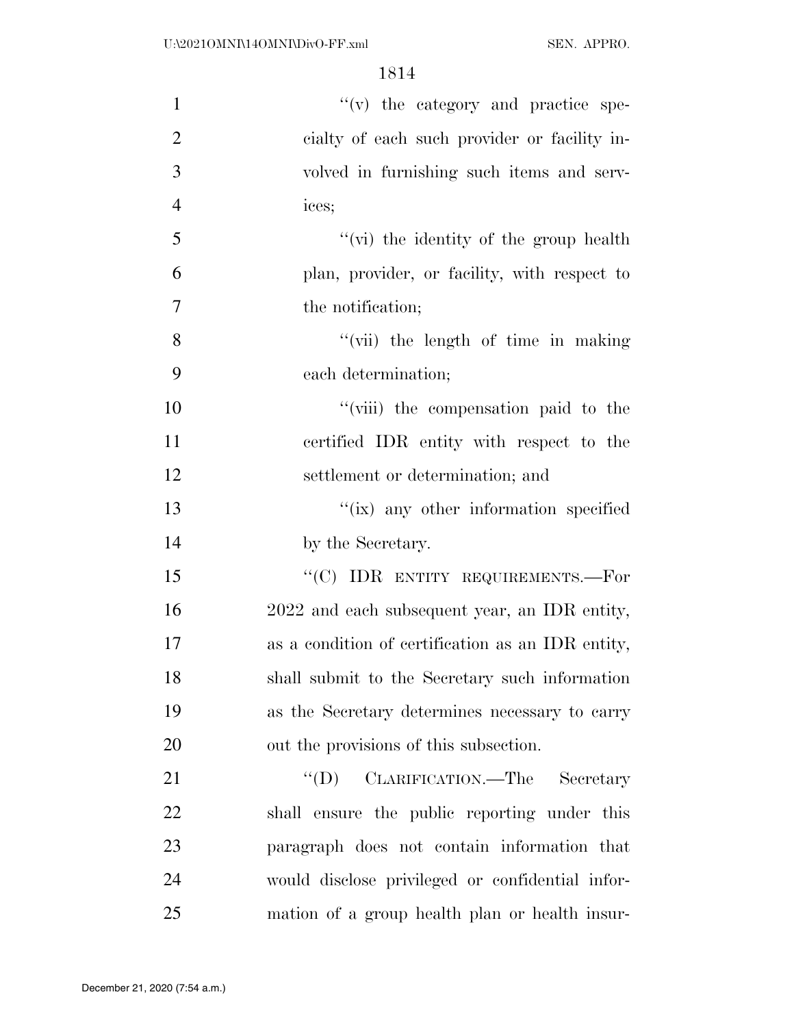| $\mathbf{1}$   | "(v) the category and practice spe-               |
|----------------|---------------------------------------------------|
| $\overline{2}$ | cialty of each such provider or facility in-      |
| 3              | volved in furnishing such items and serv-         |
| $\overline{4}$ | ices;                                             |
| 5              | "(vi) the identity of the group health            |
| 6              | plan, provider, or facility, with respect to      |
| $\tau$         | the notification;                                 |
| 8              | "(vii) the length of time in making               |
| 9              | each determination;                               |
| 10             | "(viii) the compensation paid to the              |
| 11             | certified IDR entity with respect to the          |
| 12             | settlement or determination; and                  |
| 13             | "(ix) any other information specified             |
| 14             | by the Secretary.                                 |
| 15             | "(C) IDR ENTITY REQUIREMENTS.—For                 |
| 16             | 2022 and each subsequent year, an IDR entity,     |
| 17             | as a condition of certification as an IDR entity, |
| 18             | shall submit to the Secretary such information    |
| 19             | as the Secretary determines necessary to carry    |
| 20             | out the provisions of this subsection.            |
| 21             | $\lq\lq (D)$<br>CLARIFICATION.—The Secretary      |
| 22             | shall ensure the public reporting under this      |
| 23             | paragraph does not contain information that       |
| 24             | would disclose privileged or confidential infor-  |
| 25             | mation of a group health plan or health insur-    |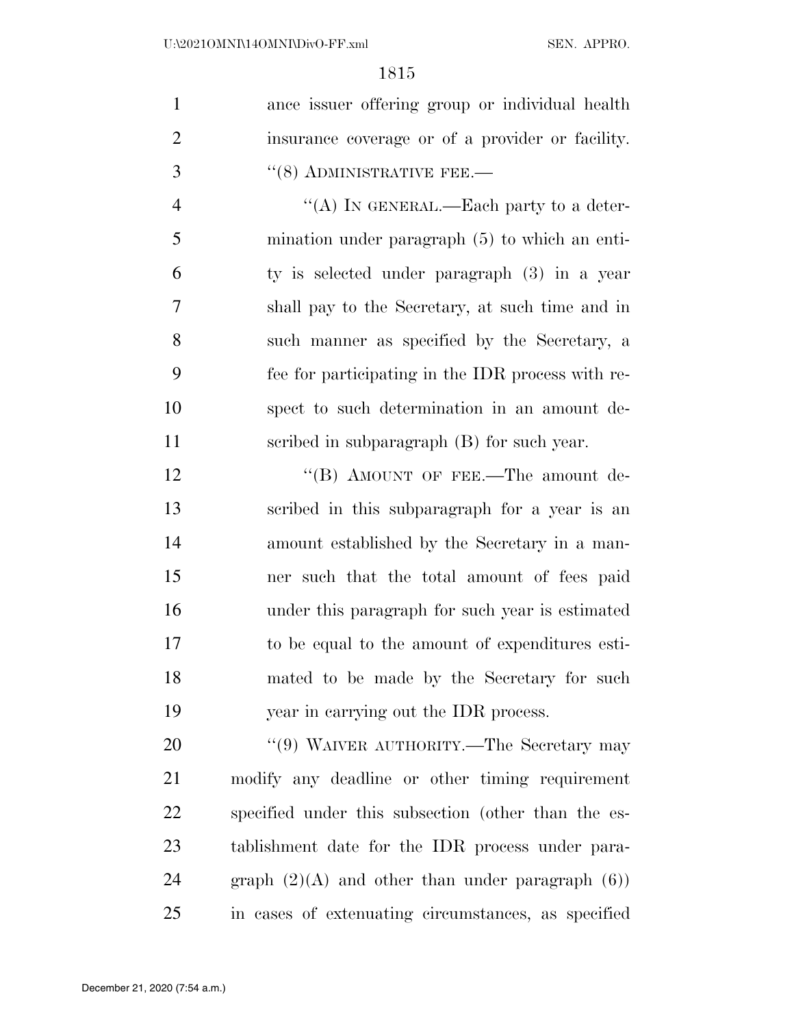| $\mathbf{1}$   | ance issuer offering group or individual health     |
|----------------|-----------------------------------------------------|
| $\overline{2}$ | insurance coverage or of a provider or facility.    |
| 3              | $\cdot\cdot$ (8) ADMINISTRATIVE FEE.—               |
| $\overline{4}$ | "(A) IN GENERAL.—Each party to a deter-             |
| 5              | mination under paragraph $(5)$ to which an enti-    |
| 6              | ty is selected under paragraph (3) in a year        |
| $\overline{7}$ | shall pay to the Secretary, at such time and in     |
| 8              | such manner as specified by the Secretary, a        |
| 9              | fee for participating in the IDR process with re-   |
| 10             | spect to such determination in an amount de-        |
| 11             | scribed in subparagraph (B) for such year.          |
| 12             | "(B) AMOUNT OF FEE.—The amount de-                  |
| 13             | scribed in this subparagraph for a year is an       |
| 14             | amount established by the Secretary in a man-       |
| 15             | ner such that the total amount of fees paid         |
| 16             | under this paragraph for such year is estimated     |
| 17             | to be equal to the amount of expenditures esti-     |
| 18             | mated to be made by the Secretary for such          |
| 19             | year in carrying out the IDR process.               |
| 20             | "(9) WAIVER AUTHORITY.—The Secretary may            |
| 21             | modify any deadline or other timing requirement     |
| 22             | specified under this subsection (other than the es- |
| 23             | tablishment date for the IDR process under para-    |
| 24             | graph $(2)(A)$ and other than under paragraph $(6)$ |

in cases of extenuating circumstances, as specified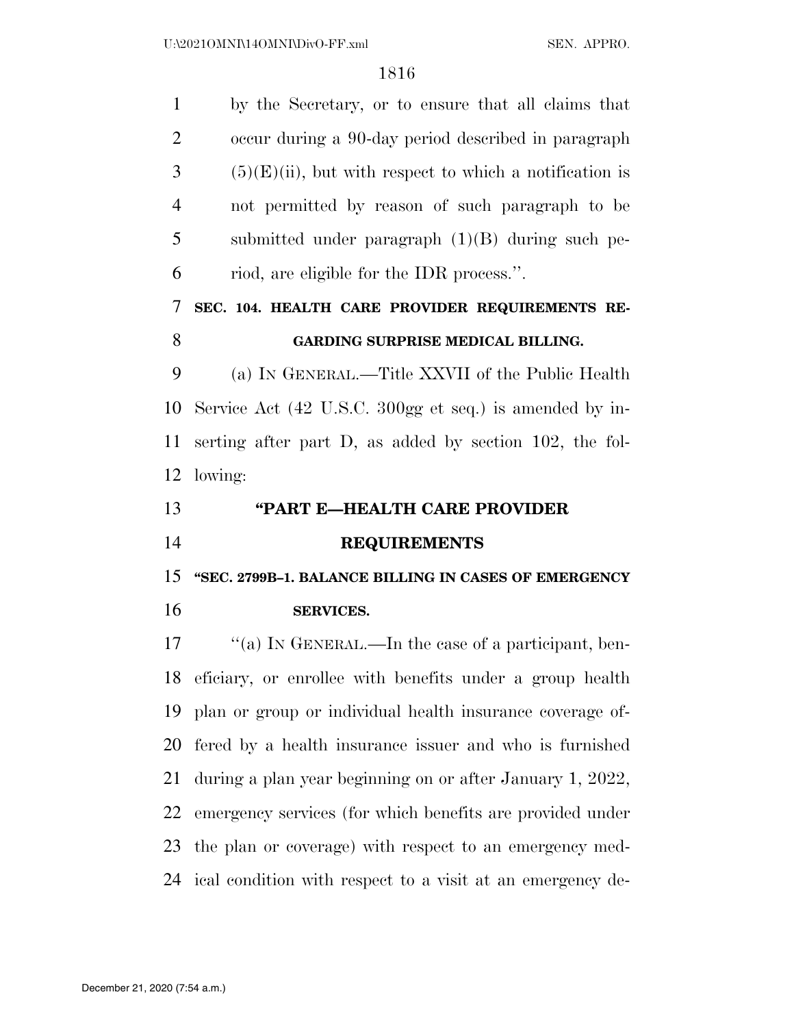| $\mathbf{1}$   | by the Secretary, or to ensure that all claims that         |
|----------------|-------------------------------------------------------------|
| $\overline{2}$ | occur during a 90-day period described in paragraph         |
| 3              | $(5)(E)(ii)$ , but with respect to which a notification is  |
| $\overline{4}$ | not permitted by reason of such paragraph to be             |
| 5              | submitted under paragraph $(1)(B)$ during such pe-          |
| 6              | riod, are eligible for the IDR process.".                   |
| 7              | SEC. 104. HEALTH CARE PROVIDER REQUIREMENTS RE-             |
| 8              | GARDING SURPRISE MEDICAL BILLING.                           |
| 9              | (a) IN GENERAL.—Title XXVII of the Public Health            |
| 10             | Service Act (42 U.S.C. 300gg et seq.) is amended by in-     |
| 11             | serting after part D, as added by section 102, the fol-     |
| 12             | lowing:                                                     |
|                |                                                             |
|                | "PART E-HEALTH CARE PROVIDER                                |
|                | <b>REQUIREMENTS</b>                                         |
| 13<br>14<br>15 | "SEC. 2799B-1. BALANCE BILLING IN CASES OF EMERGENCY        |
| 16             | <b>SERVICES.</b>                                            |
|                | "(a) IN GENERAL.—In the case of a participant, ben-         |
| 17             | 18 eficiary, or enrollee with benefits under a group health |
| 19             | plan or group or individual health insurance coverage of-   |
| 20             | fered by a health insurance issuer and who is furnished     |
| 21             | during a plan year beginning on or after January 1, 2022,   |
| 22             | emergency services (for which benefits are provided under   |
| 23             | the plan or coverage) with respect to an emergency med-     |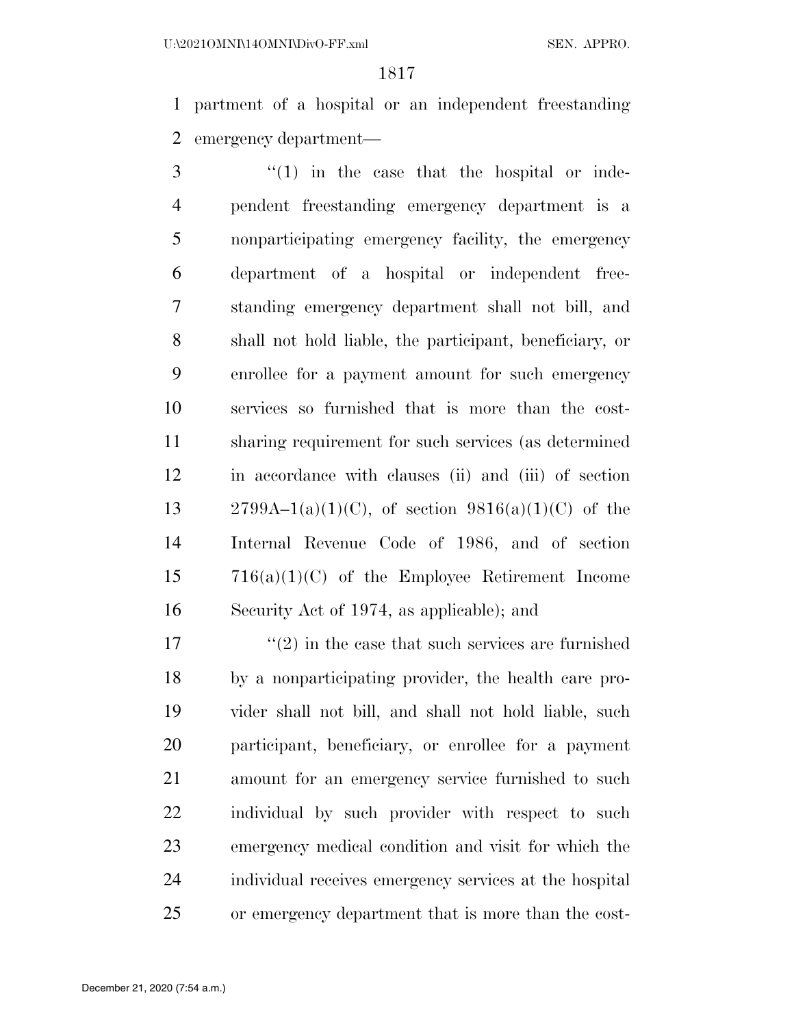partment of a hospital or an independent freestanding emergency department—

 ''(1) in the case that the hospital or inde- pendent freestanding emergency department is a nonparticipating emergency facility, the emergency department of a hospital or independent free- standing emergency department shall not bill, and shall not hold liable, the participant, beneficiary, or enrollee for a payment amount for such emergency services so furnished that is more than the cost- sharing requirement for such services (as determined in accordance with clauses (ii) and (iii) of section 13 2799A–1(a)(1)(C), of section  $9816(a)(1)(C)$  of the Internal Revenue Code of 1986, and of section 716(a)(1)(C) of the Employee Retirement Income Security Act of 1974, as applicable); and

 $\frac{17}{2}$  ''(2) in the case that such services are furnished by a nonparticipating provider, the health care pro- vider shall not bill, and shall not hold liable, such participant, beneficiary, or enrollee for a payment amount for an emergency service furnished to such individual by such provider with respect to such emergency medical condition and visit for which the individual receives emergency services at the hospital or emergency department that is more than the cost-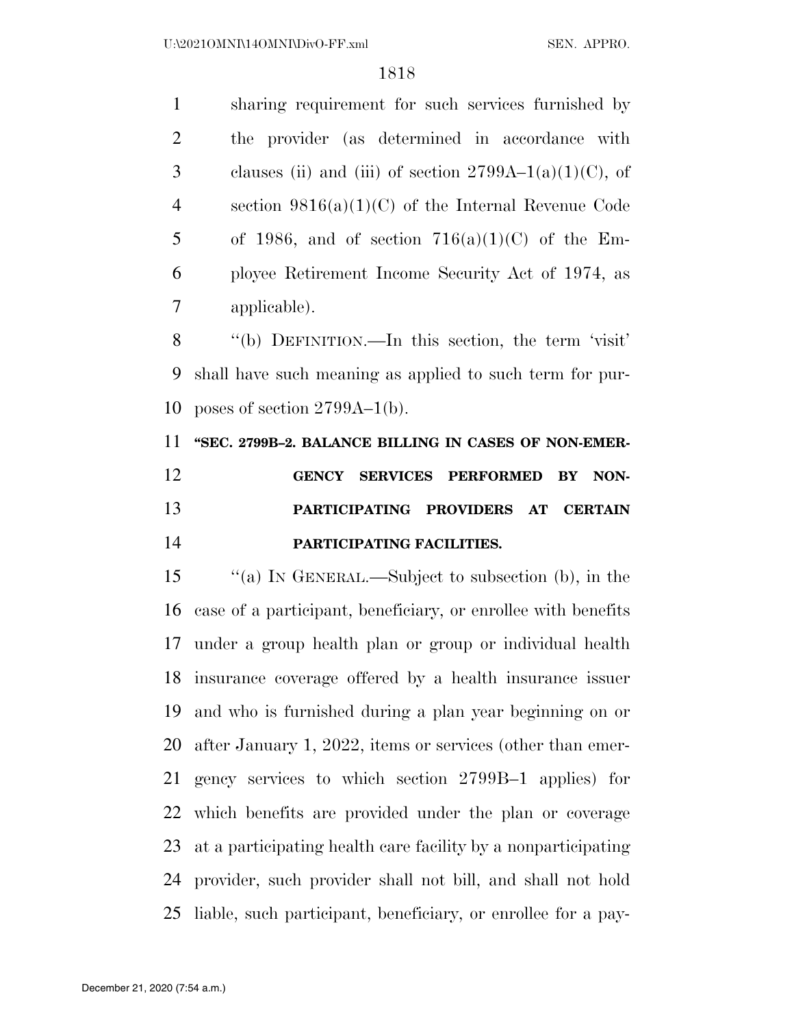sharing requirement for such services furnished by the provider (as determined in accordance with 3 clauses (ii) and (iii) of section  $2799A-1(a)(1)(C)$ , of section 9816(a)(1)(C) of the Internal Revenue Code 5 of 1986, and of section  $716(a)(1)(C)$  of the Em- ployee Retirement Income Security Act of 1974, as applicable).

 ''(b) DEFINITION.—In this section, the term 'visit' shall have such meaning as applied to such term for pur-poses of section 2799A–1(b).

**''SEC. 2799B–2. BALANCE BILLING IN CASES OF NON-EMER-**

 **GENCY SERVICES PERFORMED BY NON- PARTICIPATING PROVIDERS AT CERTAIN PARTICIPATING FACILITIES.** 

 ''(a) IN GENERAL.—Subject to subsection (b), in the case of a participant, beneficiary, or enrollee with benefits under a group health plan or group or individual health insurance coverage offered by a health insurance issuer and who is furnished during a plan year beginning on or after January 1, 2022, items or services (other than emer- gency services to which section 2799B–1 applies) for which benefits are provided under the plan or coverage at a participating health care facility by a nonparticipating provider, such provider shall not bill, and shall not hold liable, such participant, beneficiary, or enrollee for a pay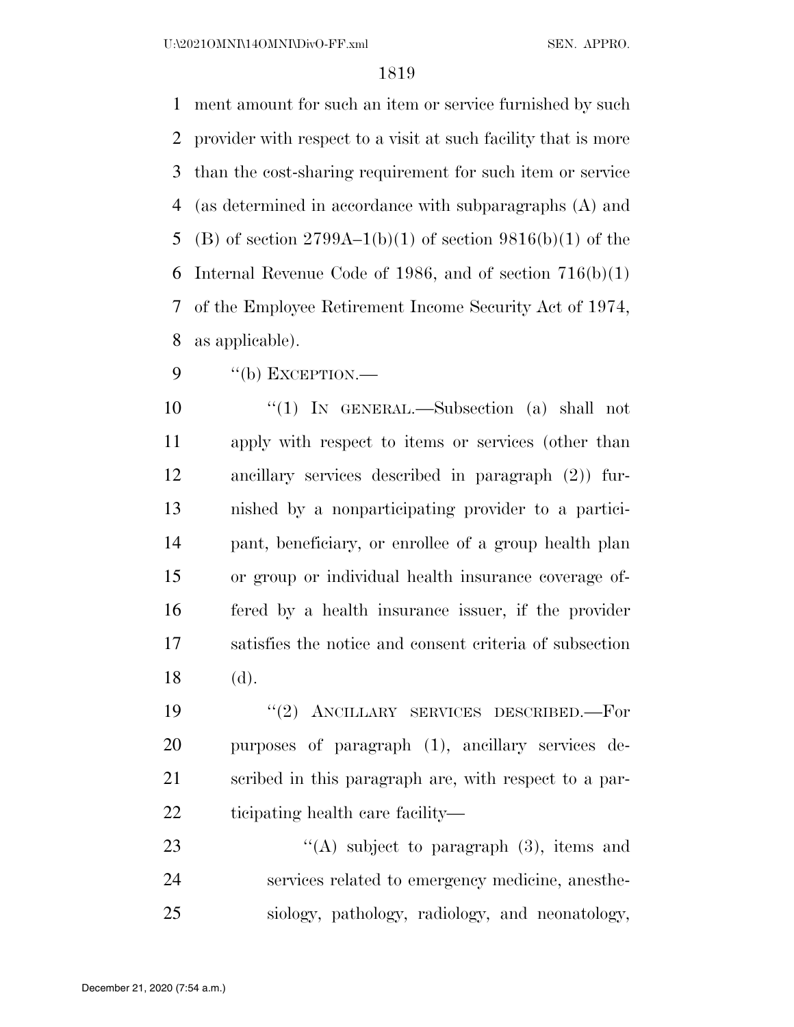U:\2021OMNI\14OMNI\DivO-FF.xml SEN. APPRO.

## 

 ment amount for such an item or service furnished by such provider with respect to a visit at such facility that is more than the cost-sharing requirement for such item or service (as determined in accordance with subparagraphs (A) and 5 (B) of section  $2799A-1(b)(1)$  of section  $9816(b)(1)$  of the 6 Internal Revenue Code of 1986, and of section  $716(b)(1)$  of the Employee Retirement Income Security Act of 1974, as applicable).

"(b) EXCEPTION.—

 ''(1) IN GENERAL.—Subsection (a) shall not apply with respect to items or services (other than ancillary services described in paragraph (2)) fur- nished by a nonparticipating provider to a partici- pant, beneficiary, or enrollee of a group health plan or group or individual health insurance coverage of- fered by a health insurance issuer, if the provider satisfies the notice and consent criteria of subsection (d).

 ''(2) ANCILLARY SERVICES DESCRIBED.—For purposes of paragraph (1), ancillary services de- scribed in this paragraph are, with respect to a par-ticipating health care facility—

23  $\langle (A) \rangle$  subject to paragraph (3), items and services related to emergency medicine, anesthe-siology, pathology, radiology, and neonatology,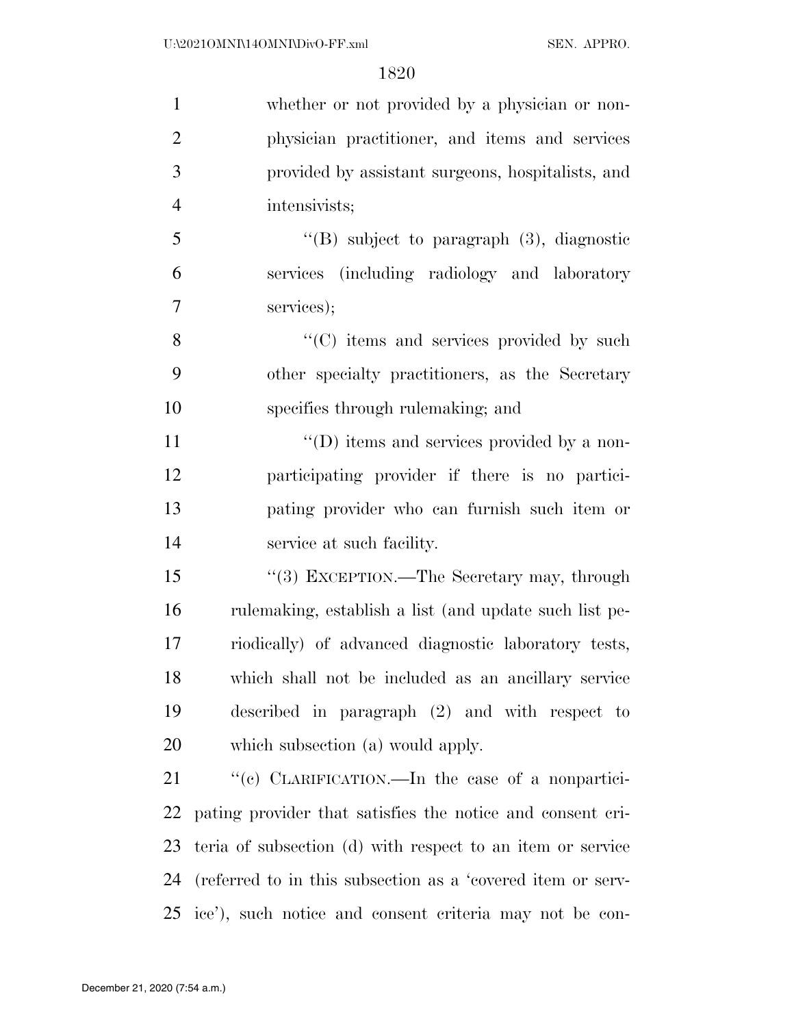| $\mathbf{1}$   | whether or not provided by a physician or non-              |
|----------------|-------------------------------------------------------------|
| $\overline{2}$ | physician practitioner, and items and services              |
| 3              | provided by assistant surgeons, hospitalists, and           |
| $\overline{4}$ | intensivists;                                               |
| 5              | "(B) subject to paragraph $(3)$ , diagnostic                |
| 6              | services (including radiology and laboratory                |
| 7              | services);                                                  |
| 8              | "(C) items and services provided by such                    |
| 9              | other specialty practitioners, as the Secretary             |
| 10             | specifies through rulemaking; and                           |
| 11             | "(D) items and services provided by a non-                  |
| 12             | participating provider if there is no partici-              |
| 13             | pating provider who can furnish such item or                |
| 14             | service at such facility.                                   |
| 15             | "(3) EXCEPTION.—The Secretary may, through                  |
| 16             | rulemaking, establish a list (and update such list pe-      |
| 17             | riodically) of advanced diagnostic laboratory tests,        |
| 18             | which shall not be included as an ancillary service         |
| 19             | described in paragraph $(2)$ and with respect to            |
| 20             | which subsection (a) would apply.                           |
| 21             | "(c) CLARIFICATION.—In the case of a nonpartici-            |
| 22             | pating provider that satisfies the notice and consent cri-  |
| 23             | teria of subsection (d) with respect to an item or service  |
| 24             | (referred to in this subsection as a 'covered item or serv- |
|                | 25 ice'), such notice and consent criteria may not be con-  |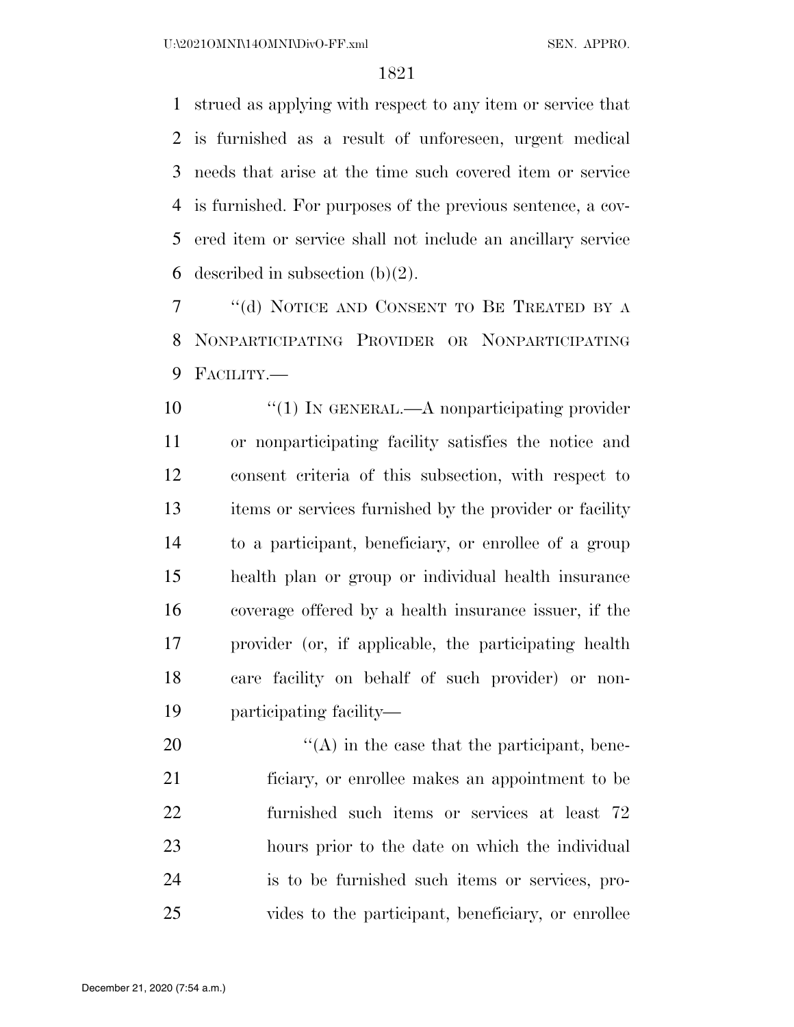strued as applying with respect to any item or service that is furnished as a result of unforeseen, urgent medical needs that arise at the time such covered item or service is furnished. For purposes of the previous sentence, a cov- ered item or service shall not include an ancillary service 6 described in subsection  $(b)(2)$ .

 ''(d) NOTICE AND CONSENT TO BE TREATED BY A NONPARTICIPATING PROVIDER OR NONPARTICIPATING FACILITY.—

 $\frac{1}{1}$  IN GENERAL.—A nonparticipating provider or nonparticipating facility satisfies the notice and consent criteria of this subsection, with respect to items or services furnished by the provider or facility to a participant, beneficiary, or enrollee of a group health plan or group or individual health insurance coverage offered by a health insurance issuer, if the provider (or, if applicable, the participating health care facility on behalf of such provider) or non-participating facility—

 $\mathcal{L}(A)$  in the case that the participant, bene- ficiary, or enrollee makes an appointment to be furnished such items or services at least 72 hours prior to the date on which the individual is to be furnished such items or services, pro-vides to the participant, beneficiary, or enrollee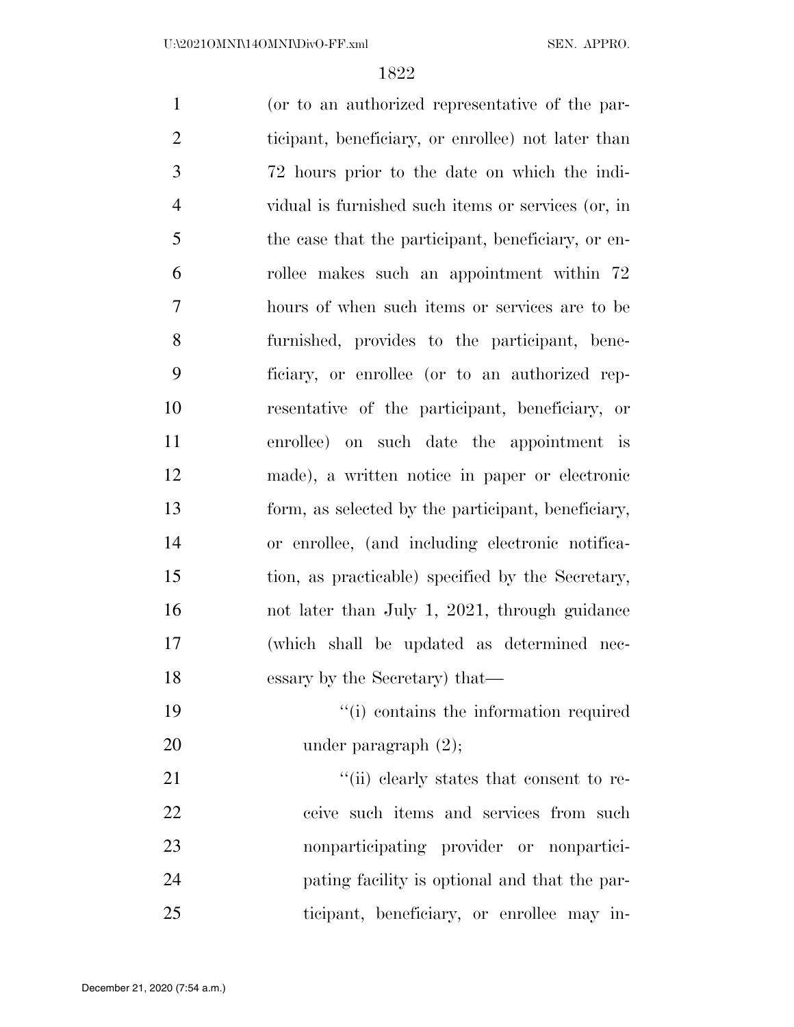(or to an authorized representative of the par- ticipant, beneficiary, or enrollee) not later than 72 hours prior to the date on which the indi- vidual is furnished such items or services (or, in the case that the participant, beneficiary, or en- rollee makes such an appointment within 72 hours of when such items or services are to be furnished, provides to the participant, bene- ficiary, or enrollee (or to an authorized rep- resentative of the participant, beneficiary, or enrollee) on such date the appointment is made), a written notice in paper or electronic form, as selected by the participant, beneficiary, or enrollee, (and including electronic notifica- tion, as practicable) specified by the Secretary, not later than July 1, 2021, through guidance (which shall be updated as determined nec- essary by the Secretary) that—  $\frac{1}{10}$  contains the information required 20 under paragraph  $(2)$ ; 21 ''(ii) clearly states that consent to re-22 ceive such items and services from such nonparticipating provider or nonpartici- pating facility is optional and that the par-ticipant, beneficiary, or enrollee may in-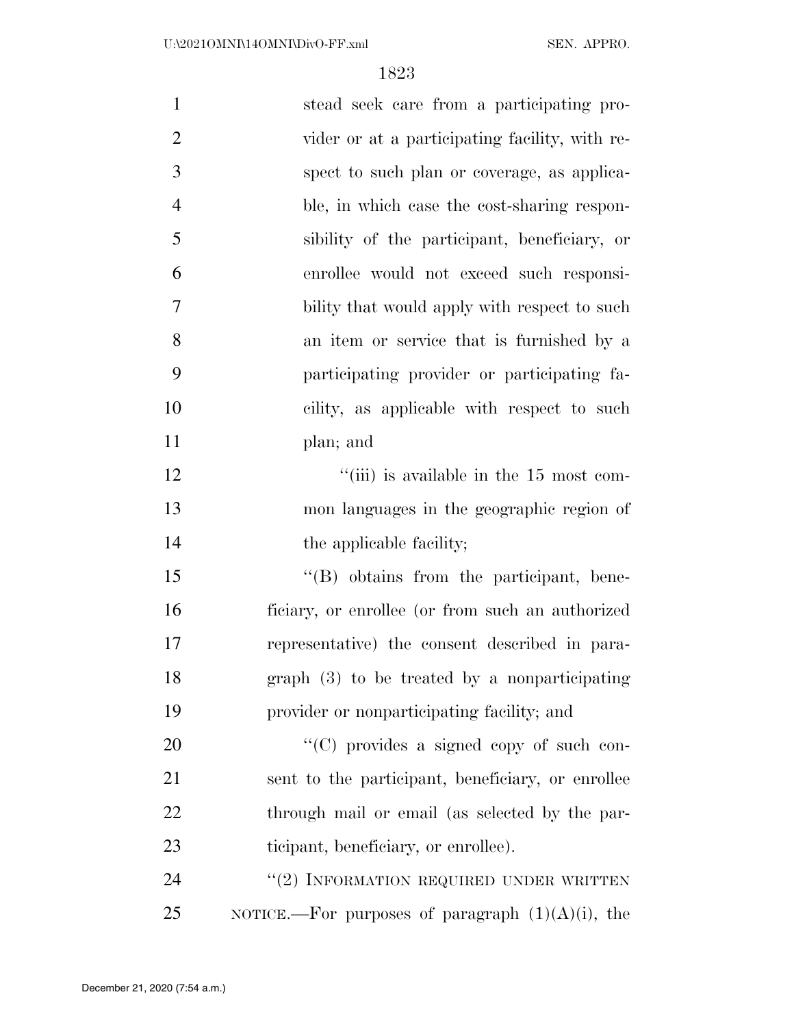| $\mathbf{1}$   | stead seek care from a participating pro-                 |
|----------------|-----------------------------------------------------------|
| $\overline{2}$ | vider or at a participating facility, with re-            |
| 3              | spect to such plan or coverage, as applica-               |
| $\overline{4}$ | ble, in which case the cost-sharing respon-               |
| 5              | sibility of the participant, beneficiary, or              |
| 6              | enrollee would not exceed such responsi-                  |
| 7              | bility that would apply with respect to such              |
| 8              | an item or service that is furnished by a                 |
| 9              | participating provider or participating fa-               |
| 10             | cility, as applicable with respect to such                |
| 11             | plan; and                                                 |
| 12             | $\lq$ <sup>"</sup> (iii) is available in the 15 most com- |
| 13             | mon languages in the geographic region of                 |
| 14             | the applicable facility;                                  |
| 15             | "(B) obtains from the participant, bene-                  |
| 16             | ficiary, or enrollee (or from such an authorized          |
| 17             | representative) the consent described in para-            |
| 18             | graph $(3)$ to be treated by a nonparticipating           |
| 19             | provider or nonparticipating facility; and                |
| 20             | "(C) provides a signed copy of such con-                  |
| 21             | sent to the participant, beneficiary, or enrollee         |
| 22             | through mail or email (as selected by the par-            |
| 23             | ticipant, beneficiary, or enrollee).                      |
| 24             | "(2) INFORMATION REQUIRED UNDER WRITTEN                   |
| 25             | NOTICE.—For purposes of paragraph $(1)(A)(i)$ , the       |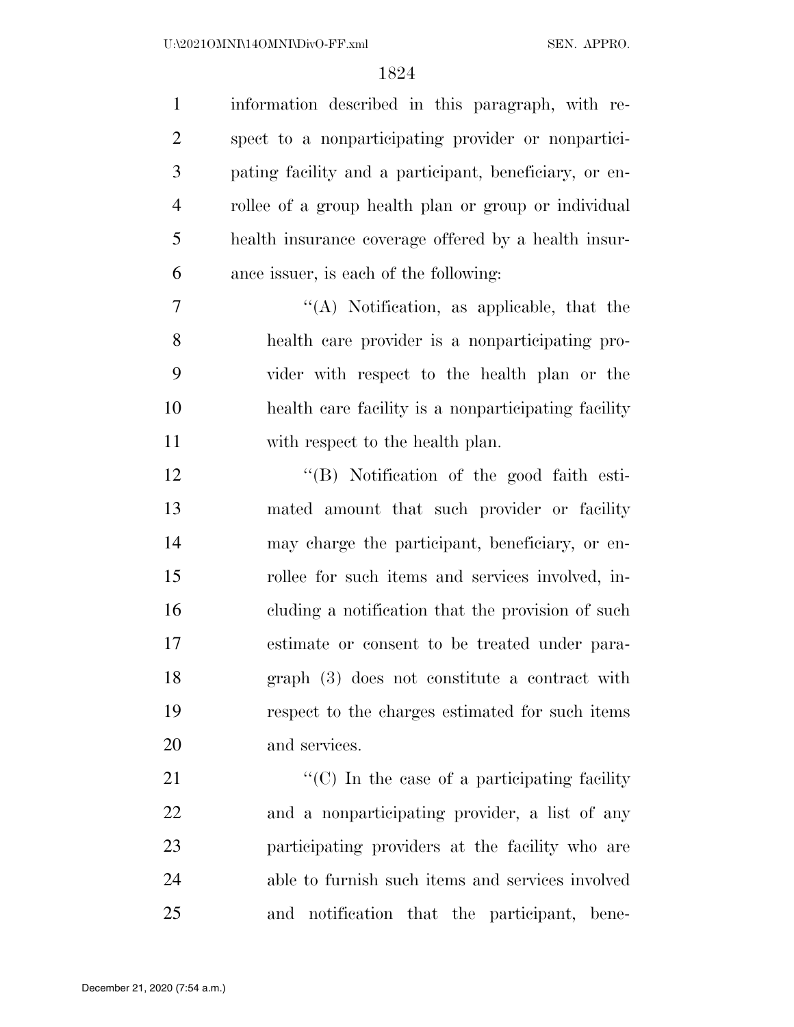| $\mathbf{1}$   | information described in this paragraph, with re-                 |
|----------------|-------------------------------------------------------------------|
| $\overline{2}$ | spect to a nonparticipating provider or nonpartici-               |
| 3              | pating facility and a participant, beneficiary, or en-            |
| $\overline{4}$ | rollee of a group health plan or group or individual              |
| 5              | health insurance coverage offered by a health insur-              |
| 6              | ance issuer, is each of the following:                            |
| 7              | $\lq\lq$ . Notification, as applicable, that the                  |
| 8              | health care provider is a nonparticipating pro-                   |
| 9              | vider with respect to the health plan or the                      |
| 10             | health care facility is a nonparticipating facility               |
| 11             | with respect to the health plan.                                  |
| 12             | "(B) Notification of the good faith esti-                         |
| 13             | mated amount that such provider or facility                       |
| 14             | may charge the participant, beneficiary, or en-                   |
| 15             | rollee for such items and services involved, in-                  |
| 16             | eluding a notification that the provision of such                 |
| 17             | estimate or consent to be treated under para-                     |
| 18             | graph (3) does not constitute a contract with                     |
| 19             | respect to the charges estimated for such items                   |
| 20             | and services.                                                     |
| 21             | $\lq\lq$ <sup>"</sup> (C) In the case of a participating facility |
| 22             | and a nonparticipating provider, a list of any                    |

participating providers at the facility who are

able to furnish such items and services involved

and notification that the participant, bene-

December 21, 2020 (7:54 a.m.)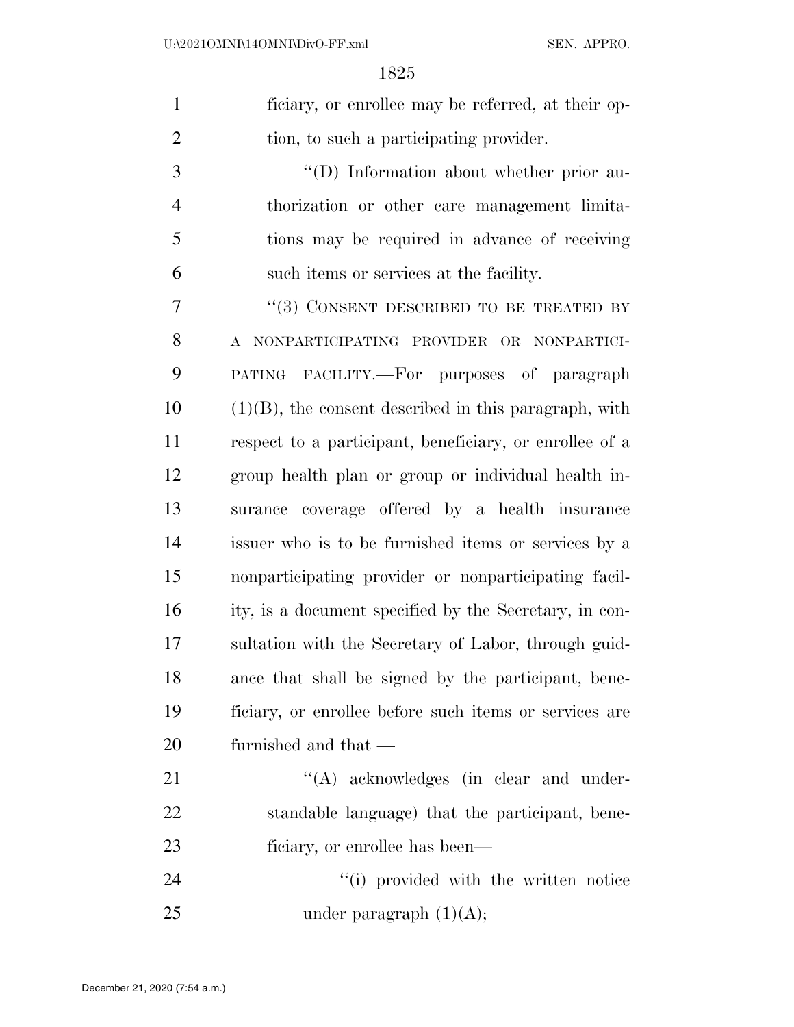ficiary, or enrollee may be referred, at their op-tion, to such a participating provider.

 $\langle (D) \rangle$  Information about whether prior au- thorization or other care management limita- tions may be required in advance of receiving such items or services at the facility.

7 "(3) CONSENT DESCRIBED TO BE TREATED BY A NONPARTICIPATING PROVIDER OR NONPARTICI- PATING FACILITY.—For purposes of paragraph (1)(B), the consent described in this paragraph, with respect to a participant, beneficiary, or enrollee of a group health plan or group or individual health in- surance coverage offered by a health insurance issuer who is to be furnished items or services by a nonparticipating provider or nonparticipating facil- ity, is a document specified by the Secretary, in con- sultation with the Secretary of Labor, through guid- ance that shall be signed by the participant, bene- ficiary, or enrollee before such items or services are furnished and that —

21  $\langle (A) \rangle$  acknowledges (in clear and under- standable language) that the participant, bene-ficiary, or enrollee has been—

24 ''(i) provided with the written notice 25 under paragraph  $(1)(A)$ ;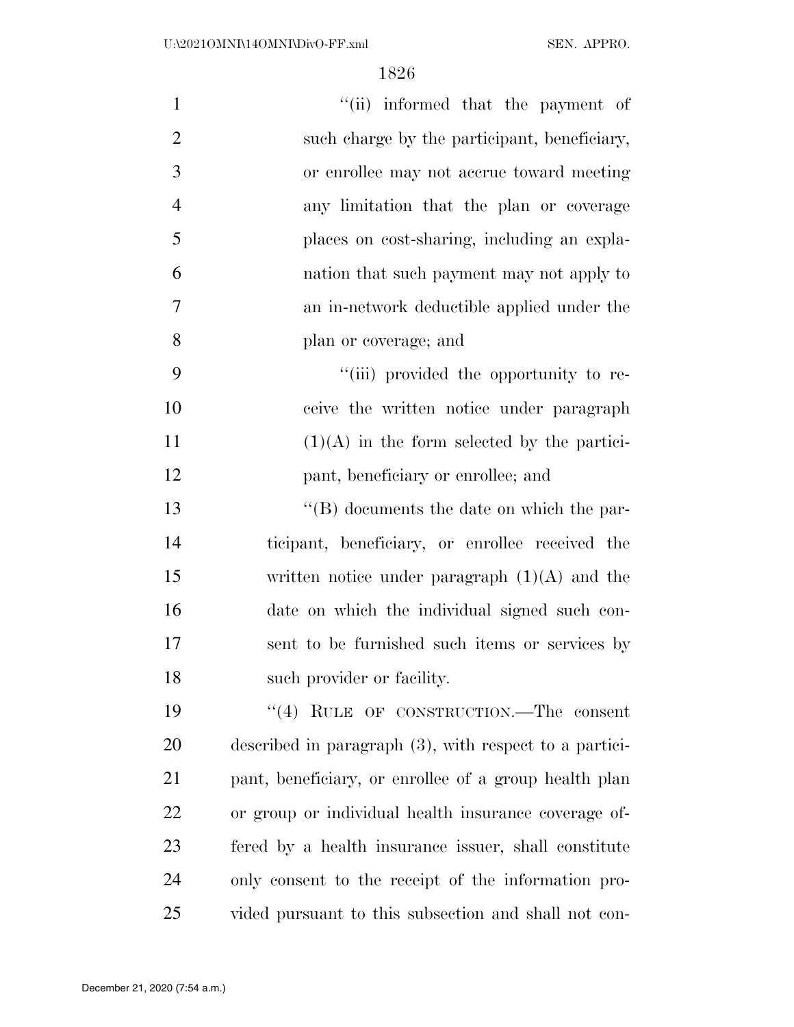| $\mathbf{1}$   | "(ii) informed that the payment of                        |
|----------------|-----------------------------------------------------------|
| $\overline{2}$ | such charge by the participant, beneficiary,              |
| 3              | or enrollee may not accrue toward meeting                 |
| $\overline{4}$ | any limitation that the plan or coverage                  |
| 5              | places on cost-sharing, including an expla-               |
| 6              | nation that such payment may not apply to                 |
| 7              | an in-network deductible applied under the                |
| 8              | plan or coverage; and                                     |
| 9              | "(iii) provided the opportunity to re-                    |
| 10             | ceive the written notice under paragraph                  |
| 11             | $(1)(A)$ in the form selected by the partici-             |
| 12             | pant, beneficiary or enrollee; and                        |
| 13             | $\lq\lq (B)$ documents the date on which the par-         |
| 14             | ticipant, beneficiary, or enrollee received the           |
| 15             | written notice under paragraph $(1)(A)$ and the           |
| 16             | date on which the individual signed such con-             |
| 17             | sent to be furnished such items or services by            |
| 18             | such provider or facility.                                |
| 19             | "(4) RULE OF CONSTRUCTION.—The consent                    |
| 20             | described in paragraph $(3)$ , with respect to a partici- |
| 21             | pant, beneficiary, or enrollee of a group health plan     |
| 22             | or group or individual health insurance coverage of-      |
| 23             | fered by a health insurance issuer, shall constitute      |
| 24             | only consent to the receipt of the information pro-       |
| 25             | vided pursuant to this subsection and shall not con-      |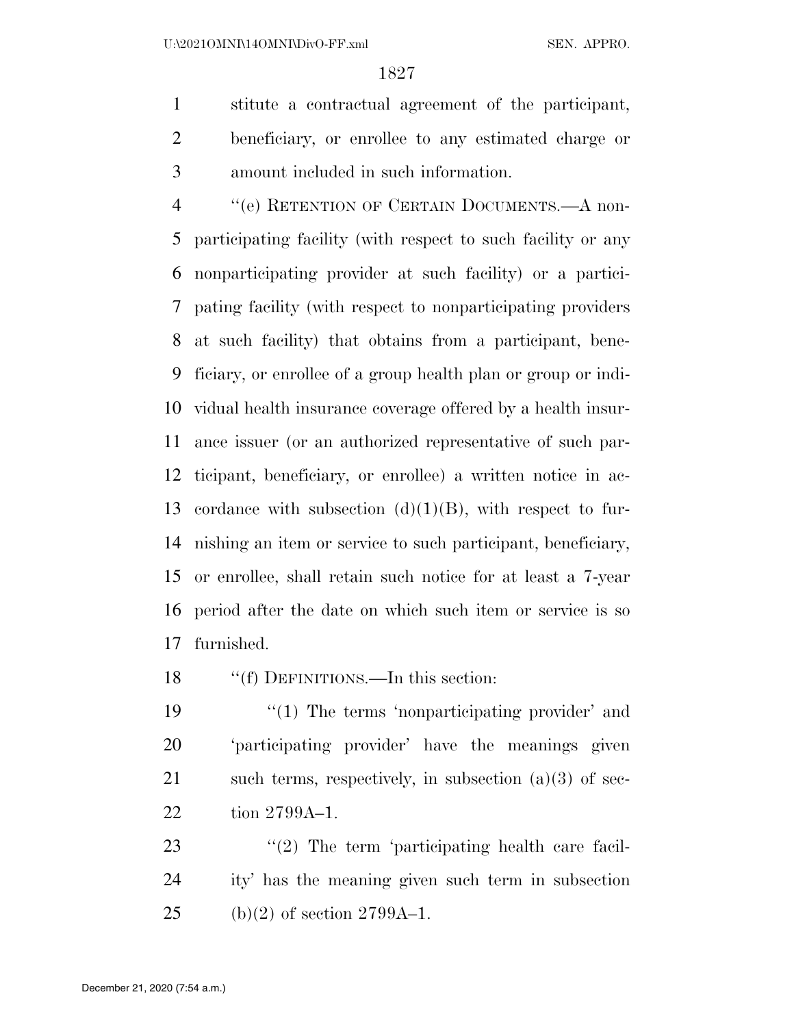stitute a contractual agreement of the participant, beneficiary, or enrollee to any estimated charge or amount included in such information.

 ''(e) RETENTION OF CERTAIN DOCUMENTS.—A non- participating facility (with respect to such facility or any nonparticipating provider at such facility) or a partici- pating facility (with respect to nonparticipating providers at such facility) that obtains from a participant, bene- ficiary, or enrollee of a group health plan or group or indi- vidual health insurance coverage offered by a health insur- ance issuer (or an authorized representative of such par- ticipant, beneficiary, or enrollee) a written notice in ac-13 cordance with subsection  $(d)(1)(B)$ , with respect to fur- nishing an item or service to such participant, beneficiary, or enrollee, shall retain such notice for at least a 7-year period after the date on which such item or service is so furnished.

''(f) DEFINITIONS.—In this section:

19 "(1) The terms 'nonparticipating provider' and 'participating provider' have the meanings given 21 such terms, respectively, in subsection  $(a)(3)$  of sec-tion 2799A–1.

23 ''(2) The term 'participating health care facil- ity' has the meaning given such term in subsection 25 (b)(2) of section  $2799A-1$ .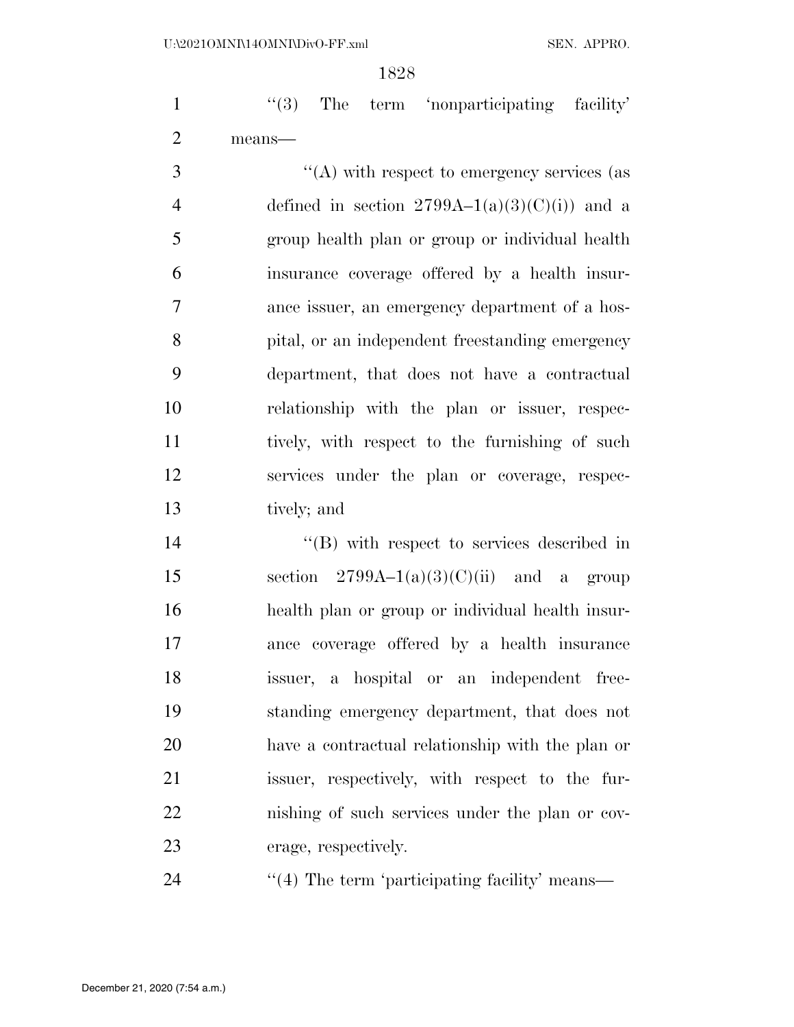1 ''(3) The term 'nonparticipating facility' means—

 $\langle (A)$  with respect to emergency services (as 4 defined in section  $2799A-1(a)(3)(C)(i)$  and a group health plan or group or individual health insurance coverage offered by a health insur- ance issuer, an emergency department of a hos- pital, or an independent freestanding emergency department, that does not have a contractual relationship with the plan or issuer, respec- tively, with respect to the furnishing of such services under the plan or coverage, respec-tively; and

 $\text{``(B)}$  with respect to services described in 15 section  $2799A-1(a)(3)(C)(ii)$  and a group health plan or group or individual health insur- ance coverage offered by a health insurance issuer, a hospital or an independent free- standing emergency department, that does not have a contractual relationship with the plan or issuer, respectively, with respect to the fur- nishing of such services under the plan or cov-erage, respectively.

24  $\frac{1}{4}$  The term 'participating facility' means—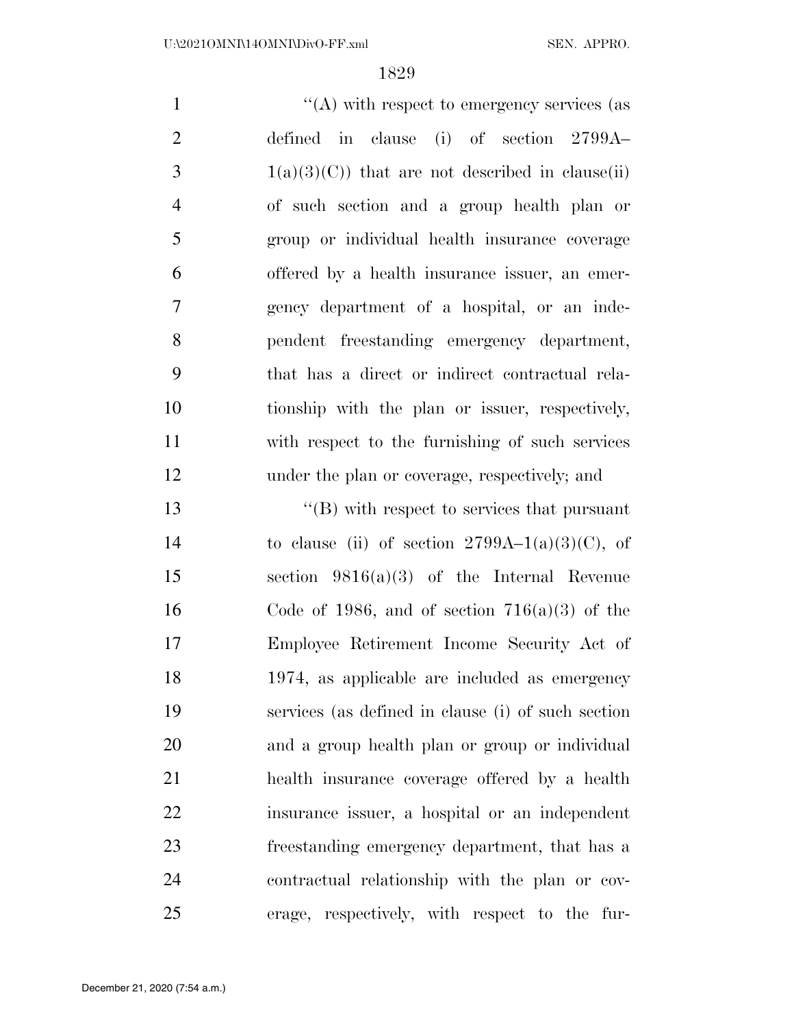$\langle (A)$  with respect to emergency services (as defined in clause (i) of section 2799A–  $3 \t1(a)(3)(C)$  that are not described in clause(ii) of such section and a group health plan or group or individual health insurance coverage offered by a health insurance issuer, an emer- gency department of a hospital, or an inde- pendent freestanding emergency department, that has a direct or indirect contractual rela- tionship with the plan or issuer, respectively, with respect to the furnishing of such services under the plan or coverage, respectively; and ''(B) with respect to services that pursuant

14 to clause (ii) of section  $2799A-1(a)(3)(C)$ , of section 9816(a)(3) of the Internal Revenue 16 Code of 1986, and of section  $716(a)(3)$  of the Employee Retirement Income Security Act of 1974, as applicable are included as emergency services (as defined in clause (i) of such section and a group health plan or group or individual health insurance coverage offered by a health insurance issuer, a hospital or an independent freestanding emergency department, that has a contractual relationship with the plan or cov-erage, respectively, with respect to the fur-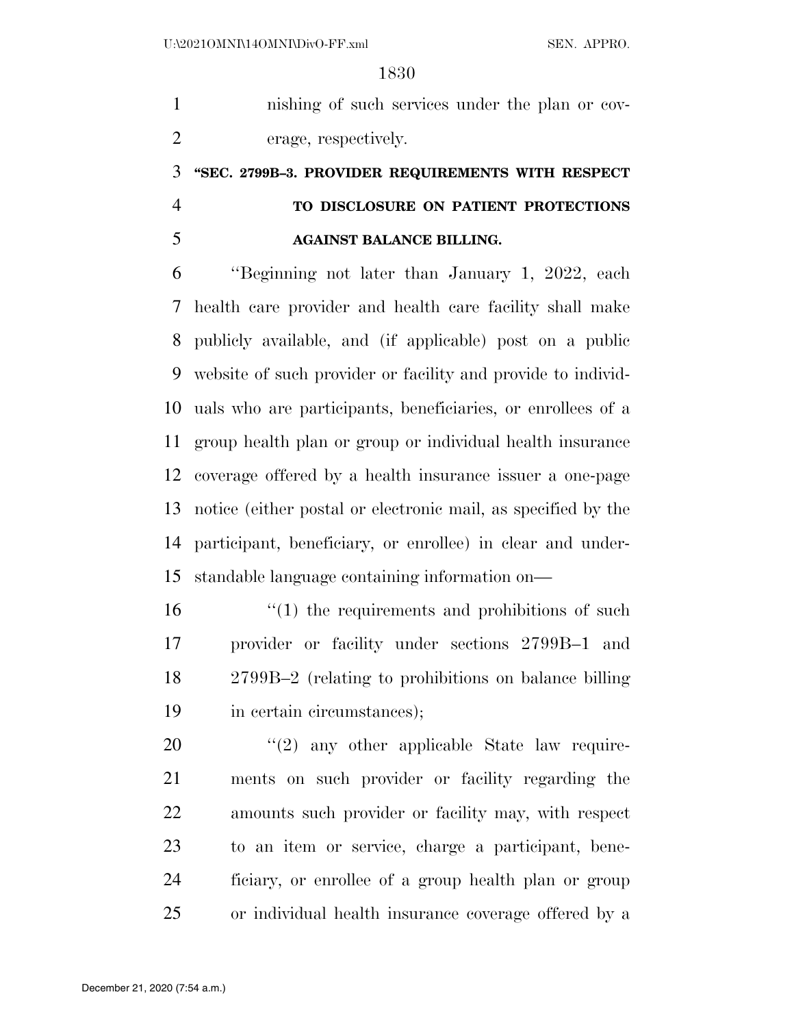nishing of such services under the plan or cov-erage, respectively.

# **''SEC. 2799B–3. PROVIDER REQUIREMENTS WITH RESPECT TO DISCLOSURE ON PATIENT PROTECTIONS**

# **AGAINST BALANCE BILLING.**

 ''Beginning not later than January 1, 2022, each health care provider and health care facility shall make publicly available, and (if applicable) post on a public website of such provider or facility and provide to individ- uals who are participants, beneficiaries, or enrollees of a group health plan or group or individual health insurance coverage offered by a health insurance issuer a one-page notice (either postal or electronic mail, as specified by the participant, beneficiary, or enrollee) in clear and under-standable language containing information on—

16 ''(1) the requirements and prohibitions of such provider or facility under sections 2799B–1 and 2799B–2 (relating to prohibitions on balance billing 19 in certain circumstances);

 ''(2) any other applicable State law require- ments on such provider or facility regarding the amounts such provider or facility may, with respect to an item or service, charge a participant, bene- ficiary, or enrollee of a group health plan or group or individual health insurance coverage offered by a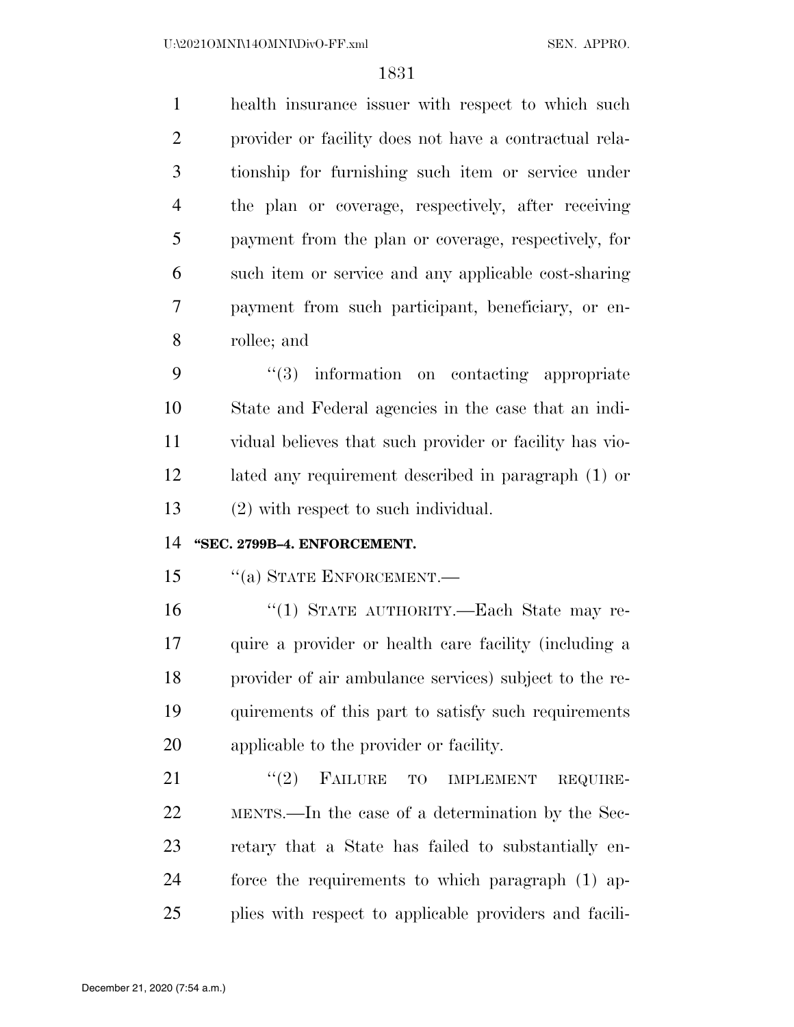health insurance issuer with respect to which such provider or facility does not have a contractual rela- tionship for furnishing such item or service under the plan or coverage, respectively, after receiving payment from the plan or coverage, respectively, for such item or service and any applicable cost-sharing payment from such participant, beneficiary, or en-rollee; and

 $\frac{4}{3}$  information on contacting appropriate State and Federal agencies in the case that an indi- vidual believes that such provider or facility has vio- lated any requirement described in paragraph (1) or (2) with respect to such individual.

# **''SEC. 2799B–4. ENFORCEMENT.**

15 "(a) STATE ENFORCEMENT.—

 ''(1) STATE AUTHORITY.—Each State may re- quire a provider or health care facility (including a provider of air ambulance services) subject to the re- quirements of this part to satisfy such requirements applicable to the provider or facility.

21 "(2) FAILURE TO IMPLEMENT REQUIRE- MENTS.—In the case of a determination by the Sec- retary that a State has failed to substantially en- force the requirements to which paragraph (1) ap-plies with respect to applicable providers and facili-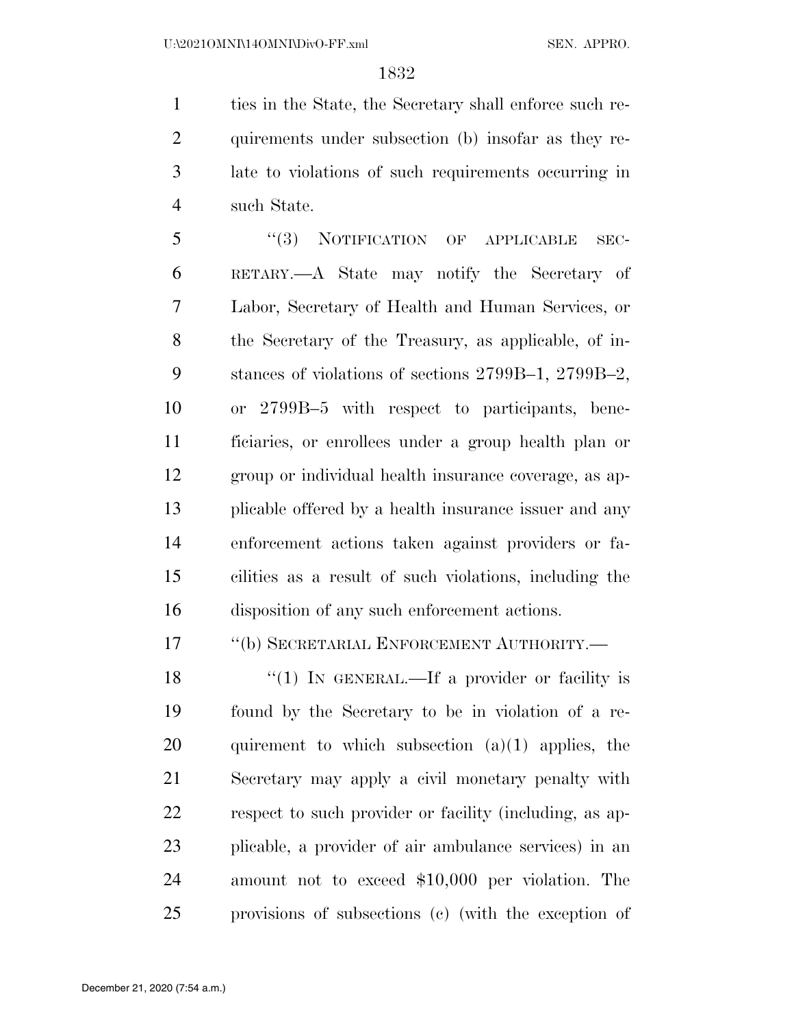ties in the State, the Secretary shall enforce such re- quirements under subsection (b) insofar as they re- late to violations of such requirements occurring in such State.

5 "(3) NOTIFICATION OF APPLICABLE SEC- RETARY.—A State may notify the Secretary of Labor, Secretary of Health and Human Services, or the Secretary of the Treasury, as applicable, of in- stances of violations of sections 2799B–1, 2799B–2, or 2799B–5 with respect to participants, bene- ficiaries, or enrollees under a group health plan or group or individual health insurance coverage, as ap- plicable offered by a health insurance issuer and any enforcement actions taken against providers or fa- cilities as a result of such violations, including the disposition of any such enforcement actions.

17 <sup>''</sup>(b) SECRETARIAL ENFORCEMENT AUTHORITY.—

 $\frac{1}{2}$  (1) In GENERAL.—If a provider or facility is found by the Secretary to be in violation of a re-20 quirement to which subsection  $(a)(1)$  applies, the Secretary may apply a civil monetary penalty with respect to such provider or facility (including, as ap- plicable, a provider of air ambulance services) in an amount not to exceed \$10,000 per violation. The provisions of subsections (c) (with the exception of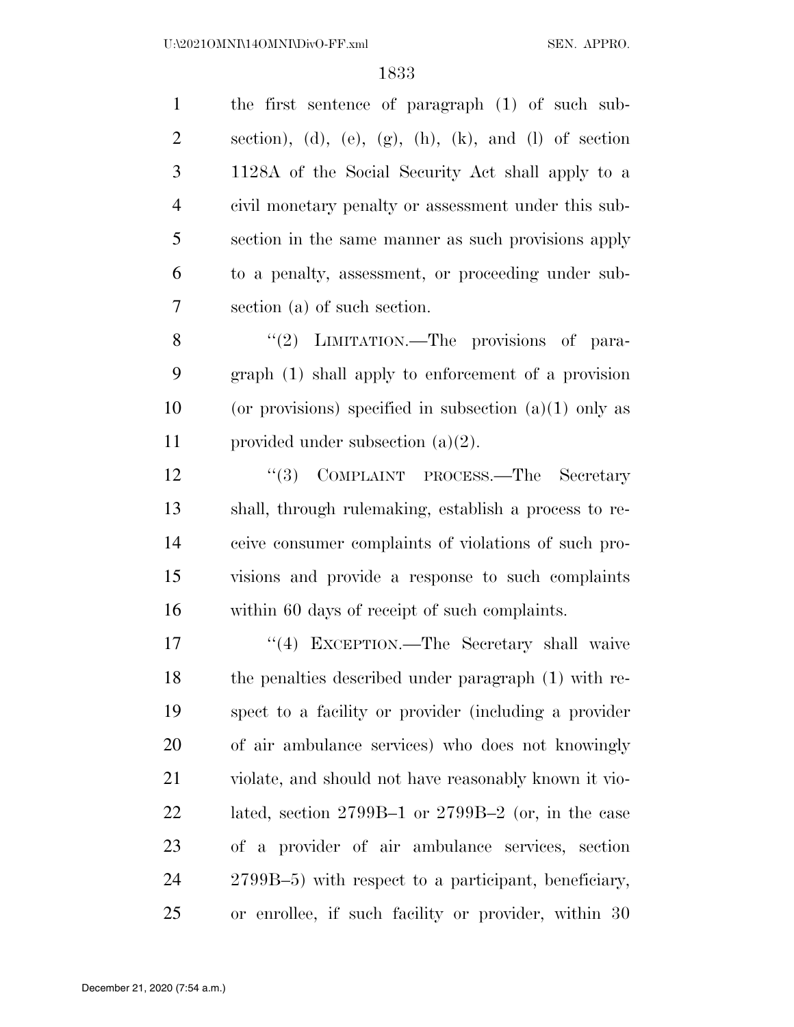the first sentence of paragraph (1) of such sub-2 section), (d), (e),  $(g)$ , (h), (k), and (l) of section 1128A of the Social Security Act shall apply to a civil monetary penalty or assessment under this sub- section in the same manner as such provisions apply to a penalty, assessment, or proceeding under sub-section (a) of such section.

8 "(2) LIMITATION.—The provisions of para- graph (1) shall apply to enforcement of a provision 10 (or provisions) specified in subsection  $(a)(1)$  only as provided under subsection (a)(2).

12 ''(3) COMPLAINT PROCESS.—The Secretary shall, through rulemaking, establish a process to re- ceive consumer complaints of violations of such pro- visions and provide a response to such complaints within 60 days of receipt of such complaints.

17 ''(4) EXCEPTION.—The Secretary shall waive the penalties described under paragraph (1) with re- spect to a facility or provider (including a provider of air ambulance services) who does not knowingly violate, and should not have reasonably known it vio- lated, section 2799B–1 or 2799B–2 (or, in the case of a provider of air ambulance services, section 2799B–5) with respect to a participant, beneficiary, or enrollee, if such facility or provider, within 30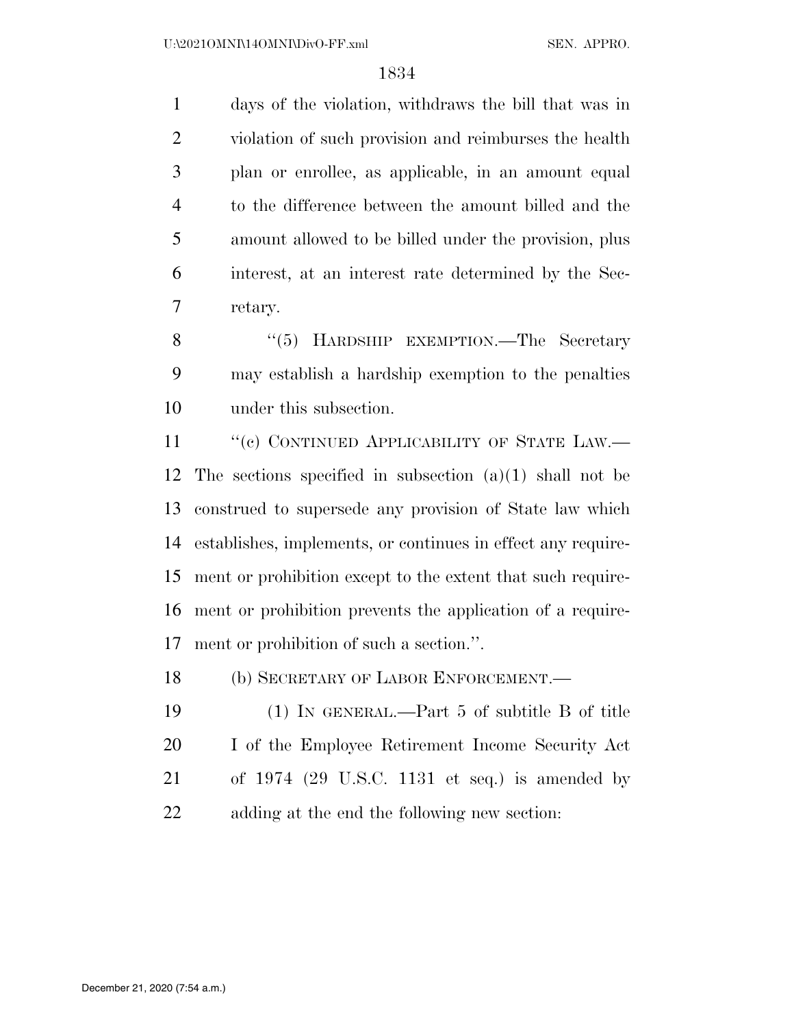days of the violation, withdraws the bill that was in violation of such provision and reimburses the health plan or enrollee, as applicable, in an amount equal to the difference between the amount billed and the amount allowed to be billed under the provision, plus interest, at an interest rate determined by the Sec-retary.

8 "(5) HARDSHIP EXEMPTION.—The Secretary may establish a hardship exemption to the penalties under this subsection.

11 "(c) CONTINUED APPLICABILITY OF STATE LAW.— The sections specified in subsection (a)(1) shall not be construed to supersede any provision of State law which establishes, implements, or continues in effect any require- ment or prohibition except to the extent that such require- ment or prohibition prevents the application of a require-ment or prohibition of such a section.''.

18 (b) SECRETARY OF LABOR ENFORCEMENT.

 (1) IN GENERAL.—Part 5 of subtitle B of title I of the Employee Retirement Income Security Act of 1974 (29 U.S.C. 1131 et seq.) is amended by adding at the end the following new section: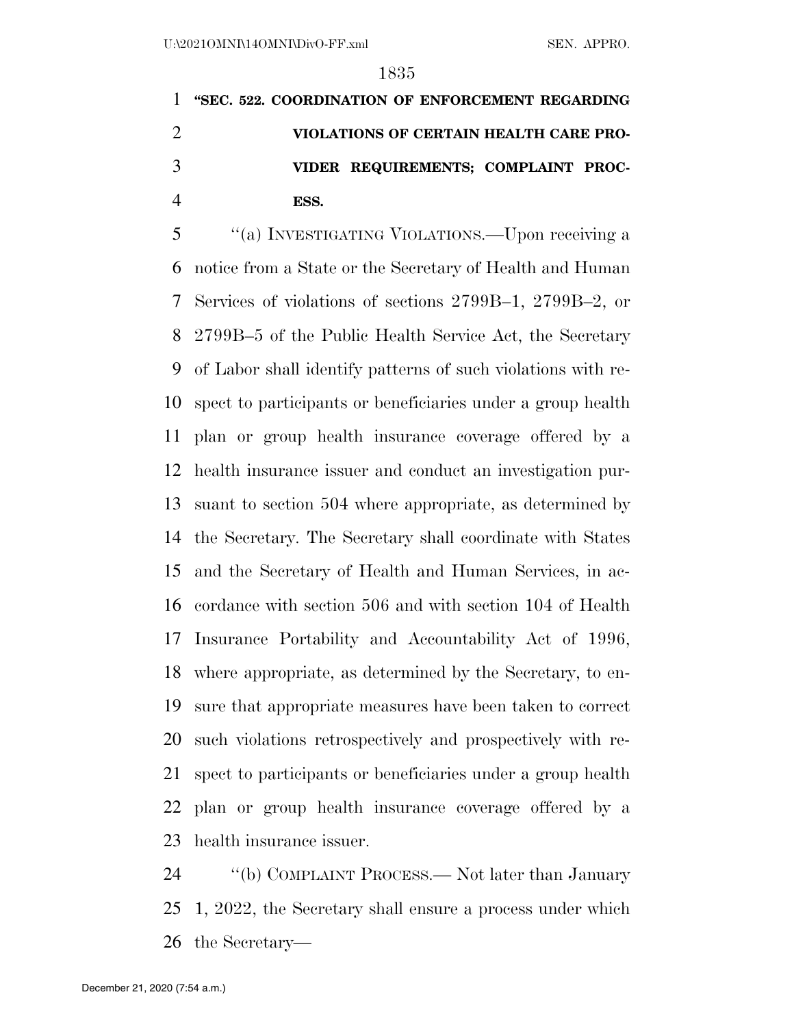**''SEC. 522. COORDINATION OF ENFORCEMENT REGARDING VIOLATIONS OF CERTAIN HEALTH CARE PRO- VIDER REQUIREMENTS; COMPLAINT PROC-ESS.** 

 ''(a) INVESTIGATING VIOLATIONS.—Upon receiving a notice from a State or the Secretary of Health and Human Services of violations of sections 2799B–1, 2799B–2, or 2799B–5 of the Public Health Service Act, the Secretary of Labor shall identify patterns of such violations with re- spect to participants or beneficiaries under a group health plan or group health insurance coverage offered by a health insurance issuer and conduct an investigation pur- suant to section 504 where appropriate, as determined by the Secretary. The Secretary shall coordinate with States and the Secretary of Health and Human Services, in ac- cordance with section 506 and with section 104 of Health Insurance Portability and Accountability Act of 1996, where appropriate, as determined by the Secretary, to en- sure that appropriate measures have been taken to correct such violations retrospectively and prospectively with re- spect to participants or beneficiaries under a group health plan or group health insurance coverage offered by a health insurance issuer.

 ''(b) COMPLAINT PROCESS.— Not later than January 1, 2022, the Secretary shall ensure a process under which the Secretary—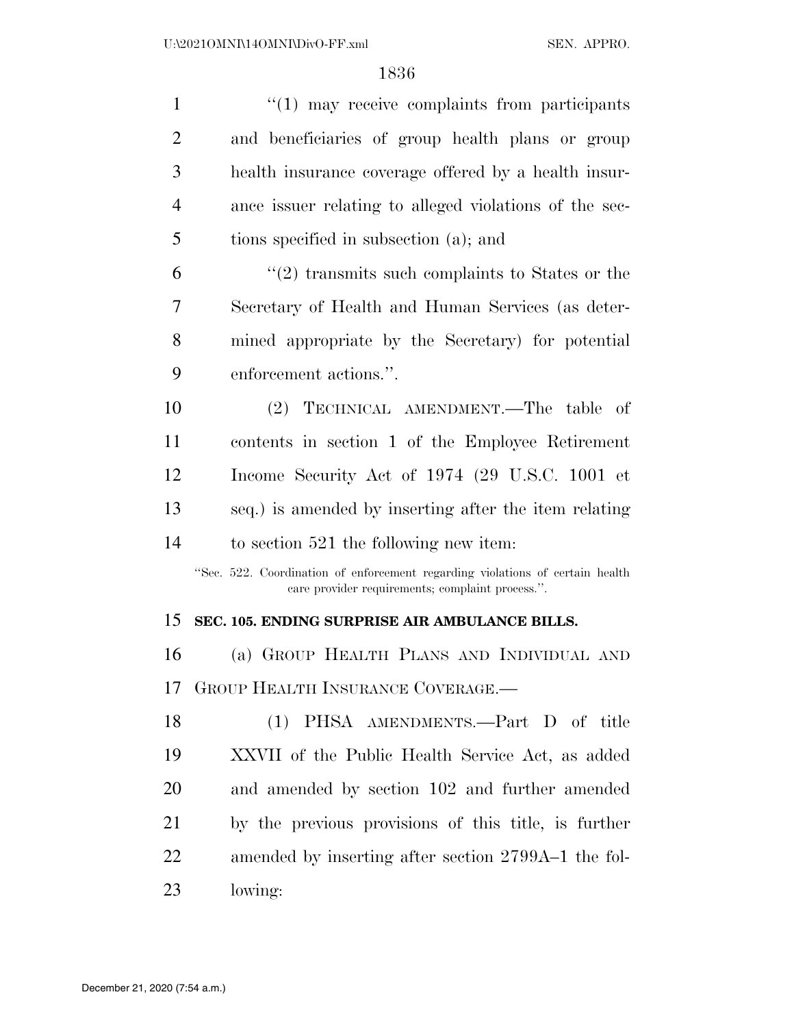| $\mathbf{1}$   | $\cdot\cdot(1)$ may receive complaints from participants                                                                          |
|----------------|-----------------------------------------------------------------------------------------------------------------------------------|
| $\overline{2}$ | and beneficiaries of group health plans or group                                                                                  |
| 3              | health insurance coverage offered by a health insur-                                                                              |
| $\overline{4}$ | ance issuer relating to alleged violations of the sec-                                                                            |
| 5              | tions specified in subsection (a); and                                                                                            |
| 6              | $\cdot\cdot\cdot(2)$ transmits such complaints to States or the                                                                   |
| 7              | Secretary of Health and Human Services (as deter-                                                                                 |
| 8              | mined appropriate by the Secretary) for potential                                                                                 |
| 9              | enforcement actions.".                                                                                                            |
| 10             | (2) TECHNICAL AMENDMENT.—The table of                                                                                             |
| 11             | contents in section 1 of the Employee Retirement                                                                                  |
| 12             | Income Security Act of 1974 (29 U.S.C. 1001 et                                                                                    |
| 13             | seq.) is amended by inserting after the item relating                                                                             |
| 14             | to section $521$ the following new item:                                                                                          |
|                | "Sec. 522. Coordination of enforcement regarding violations of certain health<br>care provider requirements; complaint process.". |
| 15             | SEC. 105. ENDING SURPRISE AIR AMBULANCE BILLS.                                                                                    |
| 16             | (a) GROUP HEALTH PLANS AND INDIVIDUAL AND                                                                                         |
| 17             | GROUP HEALTH INSURANCE COVERAGE.—                                                                                                 |
| 18             | PHSA AMENDMENTS.—Part D of title<br>(1)                                                                                           |
| 19             | XXVII of the Public Health Service Act, as added                                                                                  |
| 20             | and amended by section 102 and further amended                                                                                    |
| 21             | by the previous provisions of this title, is further                                                                              |
| 22             | amended by inserting after section 2799A–1 the fol-                                                                               |
| 23             | lowing:                                                                                                                           |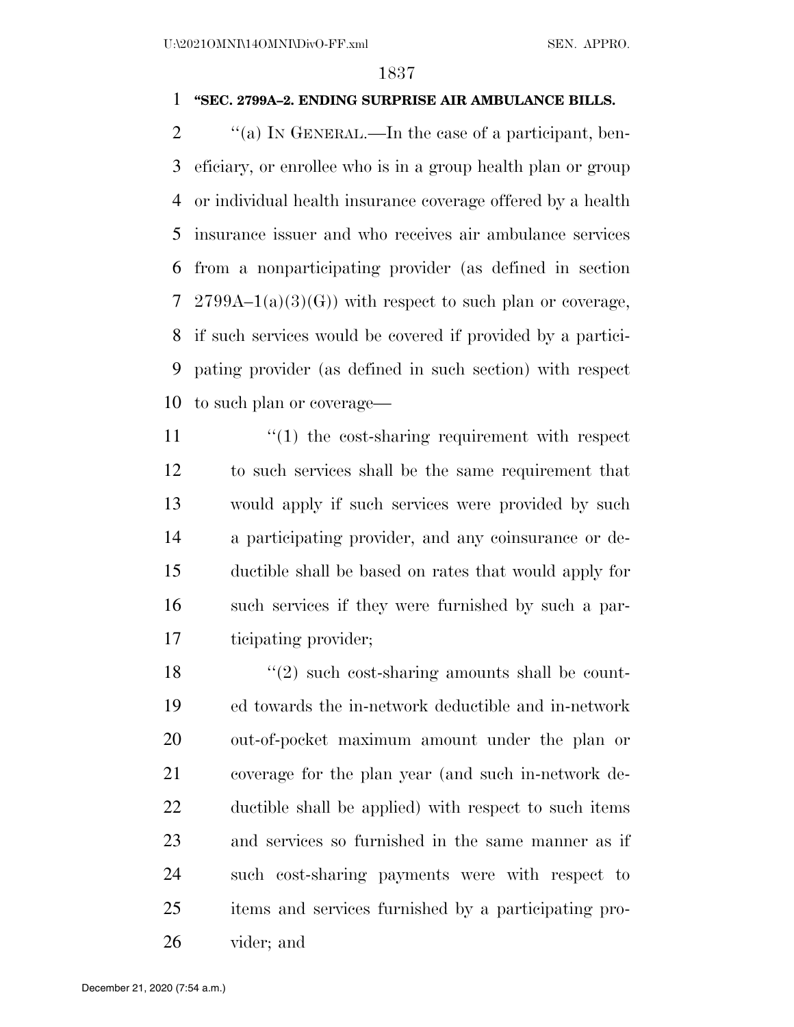### **''SEC. 2799A–2. ENDING SURPRISE AIR AMBULANCE BILLS.**

 $\gamma$  (a) In GENERAL.—In the case of a participant, ben- eficiary, or enrollee who is in a group health plan or group or individual health insurance coverage offered by a health insurance issuer and who receives air ambulance services from a nonparticipating provider (as defined in section 7 2799A–1(a)(3)(G)) with respect to such plan or coverage, if such services would be covered if provided by a partici- pating provider (as defined in such section) with respect to such plan or coverage—

 $\frac{1}{2}$  (1) the cost-sharing requirement with respect to such services shall be the same requirement that would apply if such services were provided by such a participating provider, and any coinsurance or de- ductible shall be based on rates that would apply for such services if they were furnished by such a par-ticipating provider;

 $\frac{18}{2}$  ''(2) such cost-sharing amounts shall be count- ed towards the in-network deductible and in-network out-of-pocket maximum amount under the plan or coverage for the plan year (and such in-network de- ductible shall be applied) with respect to such items and services so furnished in the same manner as if such cost-sharing payments were with respect to items and services furnished by a participating pro-vider; and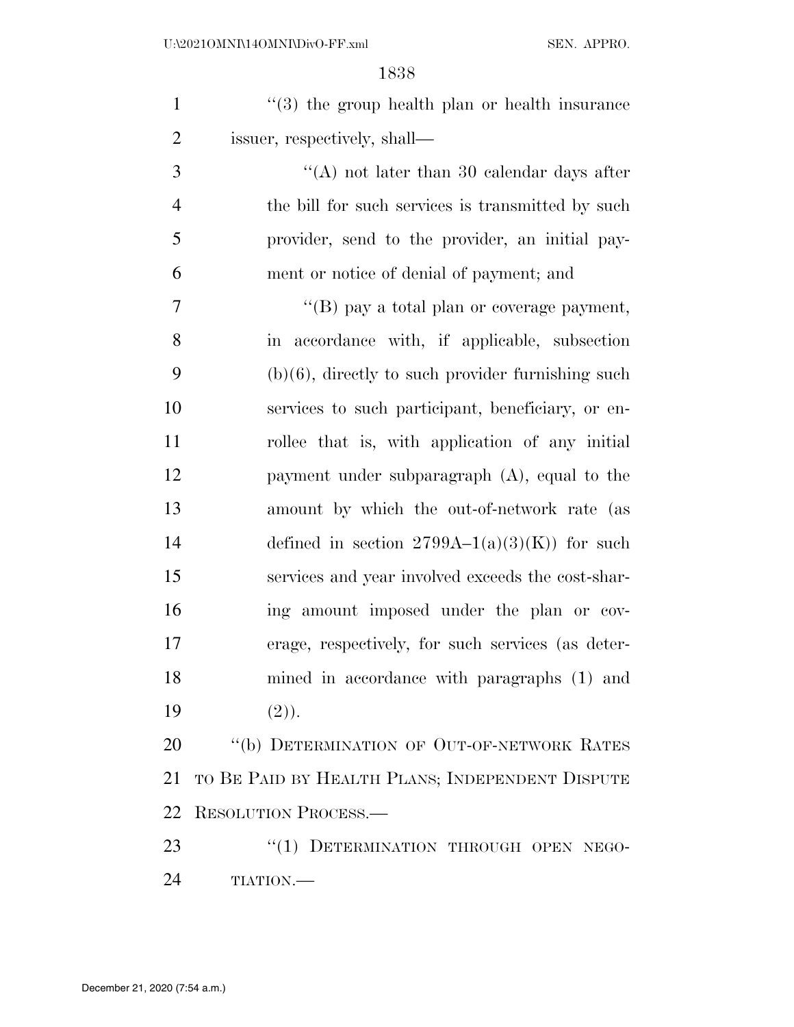| $\mathbf{1}$   | $(3)$ the group health plan or health insurance      |
|----------------|------------------------------------------------------|
| $\overline{2}$ | issuer, respectively, shall—                         |
| 3              | "(A) not later than 30 calendar days after           |
| $\overline{4}$ | the bill for such services is transmitted by such    |
| 5              | provider, send to the provider, an initial pay-      |
| 6              | ment or notice of denial of payment; and             |
| 7              | "(B) pay a total plan or coverage payment,           |
| 8              | in accordance with, if applicable, subsection        |
| 9              | $(b)(6)$ , directly to such provider furnishing such |
| 10             | services to such participant, beneficiary, or en-    |
| 11             | rollee that is, with application of any initial      |
| 12             | payment under subparagraph (A), equal to the         |
| 13             | amount by which the out-of-network rate (as          |
| 14             | defined in section $2799A-1(a)(3)(K)$ for such       |
| 15             | services and year involved exceeds the cost-shar-    |
| 16             | ing amount imposed under the plan or cov-            |
| 17             | erage, respectively, for such services (as deter-    |
| 18             | mined in accordance with paragraphs (1) and          |
| 19             | (2).                                                 |
| 20             | "(b) DETERMINATION OF OUT-OF-NETWORK RATES           |
| 21             | TO BE PAID BY HEALTH PLANS; INDEPENDENT DISPUTE      |
|                | 22 RESOLUTION PROCESS.                               |

23 "(1) DETERMINATION THROUGH OPEN NEGO-TIATION.—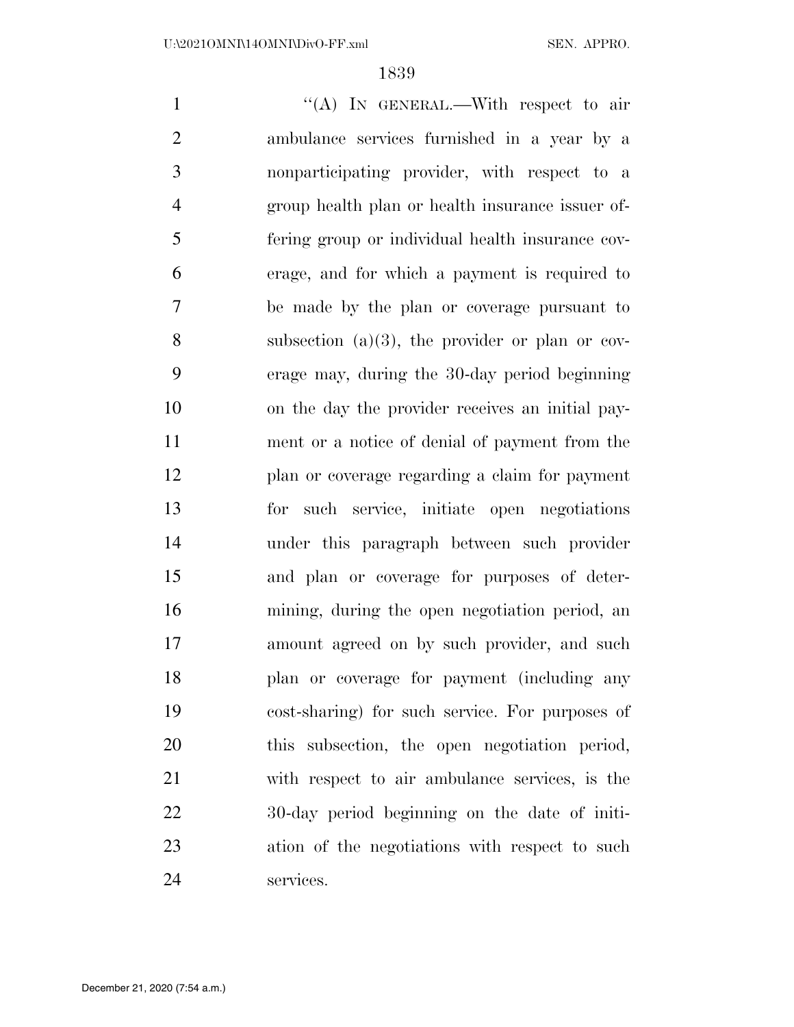1 "'(A) In GENERAL.—With respect to air ambulance services furnished in a year by a nonparticipating provider, with respect to a group health plan or health insurance issuer of- fering group or individual health insurance cov- erage, and for which a payment is required to be made by the plan or coverage pursuant to subsection (a)(3), the provider or plan or cov- erage may, during the 30-day period beginning on the day the provider receives an initial pay- ment or a notice of denial of payment from the plan or coverage regarding a claim for payment for such service, initiate open negotiations under this paragraph between such provider and plan or coverage for purposes of deter- mining, during the open negotiation period, an amount agreed on by such provider, and such plan or coverage for payment (including any cost-sharing) for such service. For purposes of this subsection, the open negotiation period, with respect to air ambulance services, is the 30-day period beginning on the date of initi- ation of the negotiations with respect to such services.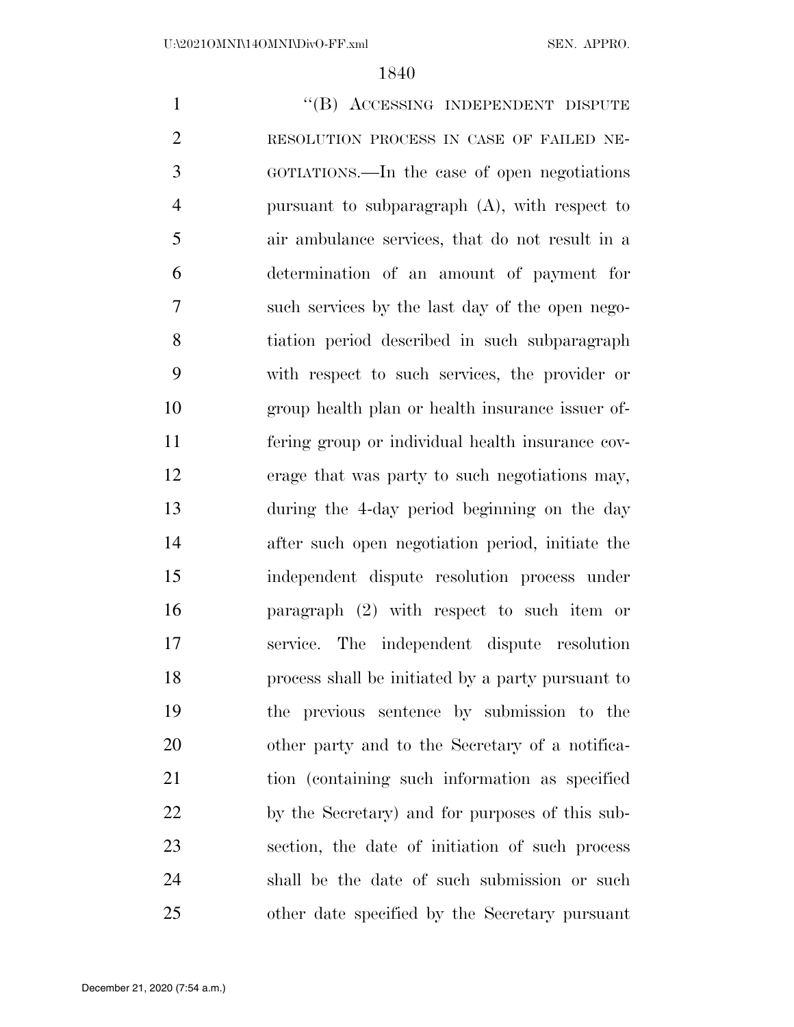1 "(B) ACCESSING INDEPENDENT DISPUTE RESOLUTION PROCESS IN CASE OF FAILED NE- GOTIATIONS.—In the case of open negotiations pursuant to subparagraph (A), with respect to air ambulance services, that do not result in a determination of an amount of payment for such services by the last day of the open nego- tiation period described in such subparagraph with respect to such services, the provider or group health plan or health insurance issuer of- fering group or individual health insurance cov- erage that was party to such negotiations may, during the 4-day period beginning on the day after such open negotiation period, initiate the independent dispute resolution process under paragraph (2) with respect to such item or service. The independent dispute resolution process shall be initiated by a party pursuant to the previous sentence by submission to the other party and to the Secretary of a notifica- tion (containing such information as specified by the Secretary) and for purposes of this sub- section, the date of initiation of such process shall be the date of such submission or such other date specified by the Secretary pursuant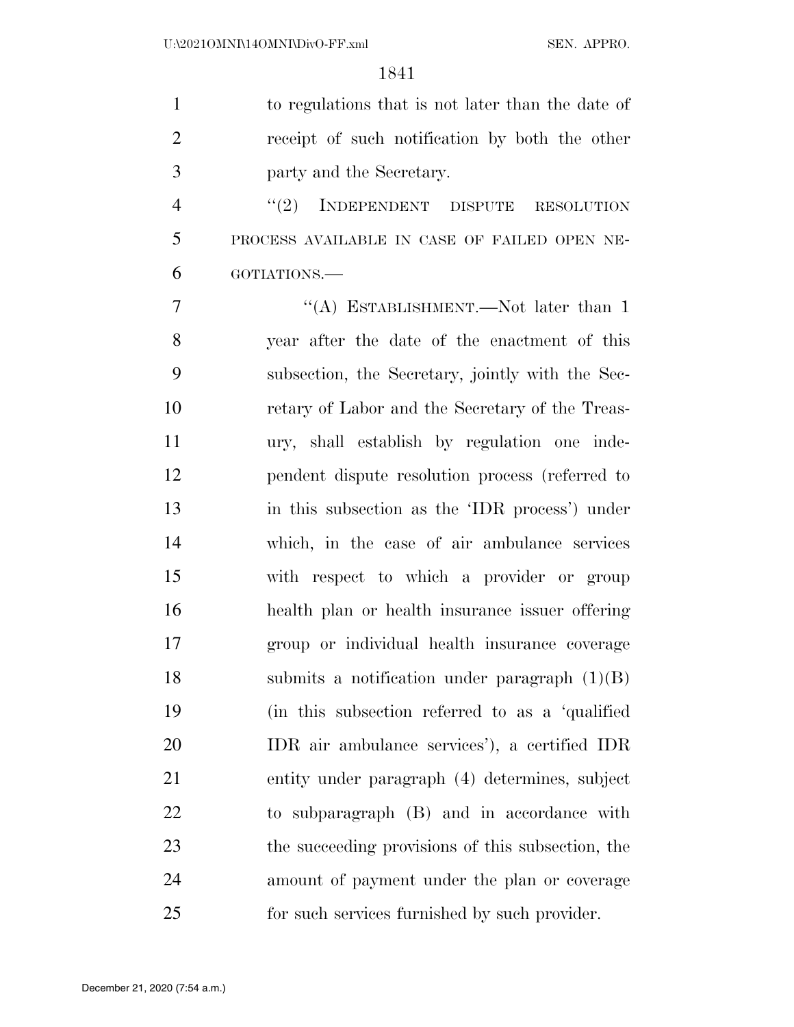| $\mathbf{1}$   | to regulations that is not later than the date of |
|----------------|---------------------------------------------------|
| $\overline{2}$ | receipt of such notification by both the other    |
| 3              | party and the Secretary.                          |
| $\overline{4}$ | INDEPENDENT DISPUTE<br>(2)<br><b>RESOLUTION</b>   |
| 5              | PROCESS AVAILABLE IN CASE OF FAILED OPEN NE-      |
| 6              | GOTIATIONS.-                                      |
| 7              | "(A) ESTABLISHMENT.—Not later than 1              |
| 8              | year after the date of the enactment of this      |
| 9              | subsection, the Secretary, jointly with the Sec-  |
| 10             | retary of Labor and the Secretary of the Treas-   |
| 11             | ury, shall establish by regulation one inde-      |
| 12             | pendent dispute resolution process (referred to   |
| 13             | in this subsection as the 'IDR process') under    |
| 14             | which, in the case of air ambulance services      |
| 15             | with respect to which a provider or group         |
| 16             | health plan or health insurance issuer offering   |
| 17             | group or individual health insurance coverage     |
| 18             | submits a notification under paragraph $(1)(B)$   |
| 19             | (in this subsection referred to as a 'qualified   |
| 20             | IDR air ambulance services'), a certified IDR     |
| 21             | entity under paragraph (4) determines, subject    |
| <u>22</u>      | to subparagraph (B) and in accordance with        |
| 23             | the succeeding provisions of this subsection, the |
| 24             | amount of payment under the plan or coverage      |
| 25             | for such services furnished by such provider.     |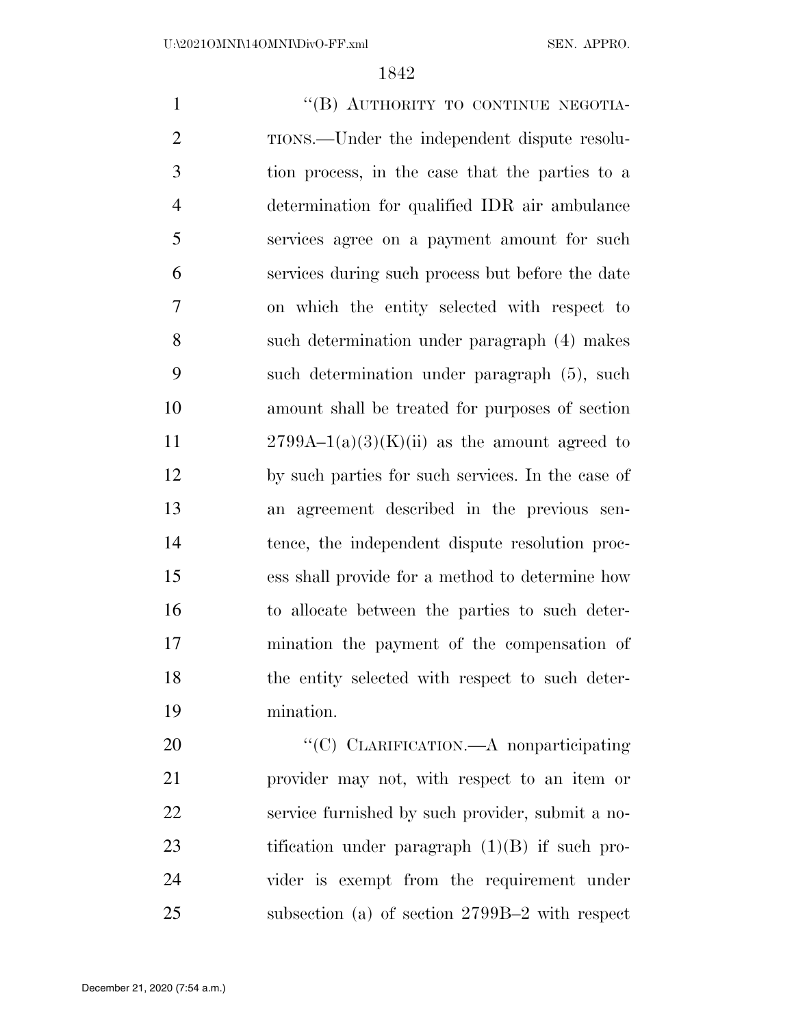1 "(B) AUTHORITY TO CONTINUE NEGOTIA- TIONS.—Under the independent dispute resolu- tion process, in the case that the parties to a determination for qualified IDR air ambulance services agree on a payment amount for such services during such process but before the date on which the entity selected with respect to such determination under paragraph (4) makes such determination under paragraph (5), such amount shall be treated for purposes of section  $2799A-1(a)(3)(K)(ii)$  as the amount agreed to by such parties for such services. In the case of an agreement described in the previous sen- tence, the independent dispute resolution proc- ess shall provide for a method to determine how to allocate between the parties to such deter- mination the payment of the compensation of 18 the entity selected with respect to such deter- mination. 20 "'(C) CLARIFICATION.—A nonparticipating

 provider may not, with respect to an item or service furnished by such provider, submit a no-23 tification under paragraph (1)(B) if such pro- vider is exempt from the requirement under subsection (a) of section 2799B–2 with respect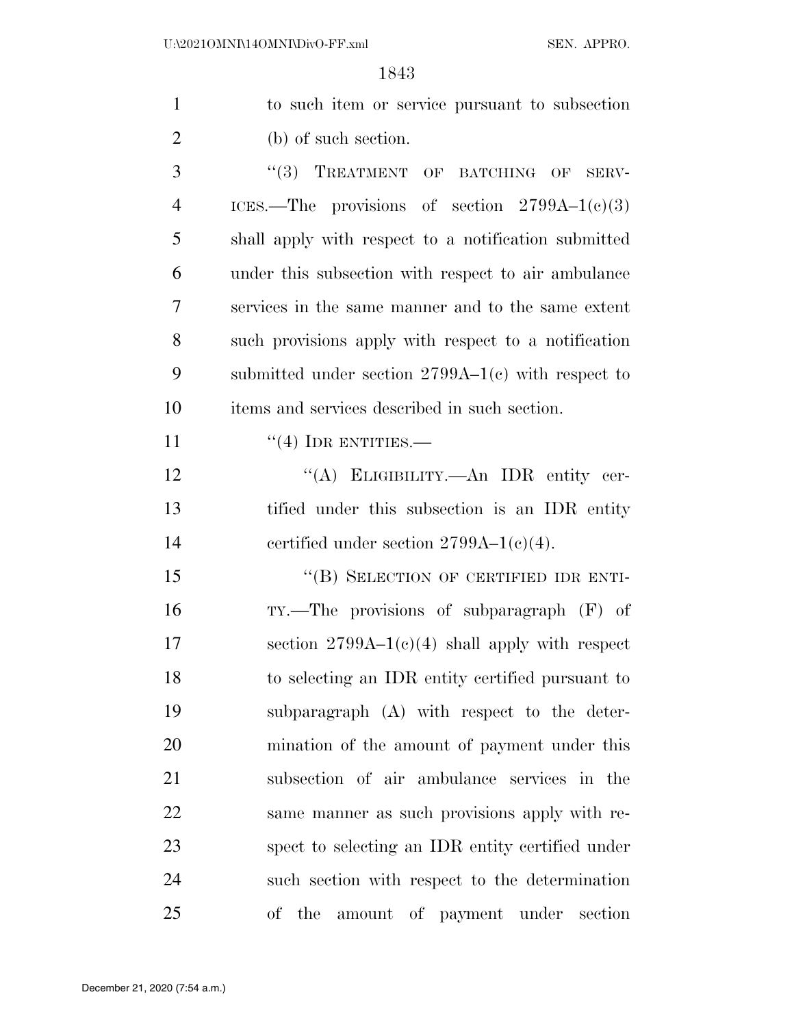| $\mathbf{1}$   | to such item or service pursuant to subsection       |
|----------------|------------------------------------------------------|
| $\overline{2}$ | (b) of such section.                                 |
| 3              | "(3) TREATMENT OF BATCHING OF SERV-                  |
| $\overline{4}$ | ICES.—The provisions of section $2799A-1(c)(3)$      |
| 5              | shall apply with respect to a notification submitted |
| 6              | under this subsection with respect to air ambulance  |
| 7              | services in the same manner and to the same extent   |
| 8              | such provisions apply with respect to a notification |
| 9              | submitted under section $2799A-1(c)$ with respect to |
| 10             | items and services described in such section.        |
| 11             | $\cdot\cdot$ (4) IDR ENTITIES.—                      |
| 12             | "(A) ELIGIBILITY.—An IDR entity cer-                 |
| 13             | tified under this subsection is an IDR entity        |
| 14             | certified under section $2799A-1(c)(4)$ .            |
| 15             | "(B) SELECTION OF CERTIFIED IDR ENTI-                |
| 16             | TY.—The provisions of subparagraph (F) of            |
| 17             | section $2799A-1(c)(4)$ shall apply with respect     |
| 18             | to selecting an IDR entity certified pursuant to     |
| 19             | subparagraph (A) with respect to the deter-          |
| 20             | mination of the amount of payment under this         |
| 21             | subsection of air ambulance services in the          |
| 22             | same manner as such provisions apply with re-        |
| 23             | spect to selecting an IDR entity certified under     |
| 24             | such section with respect to the determination       |
| 25             | of the amount of payment under section               |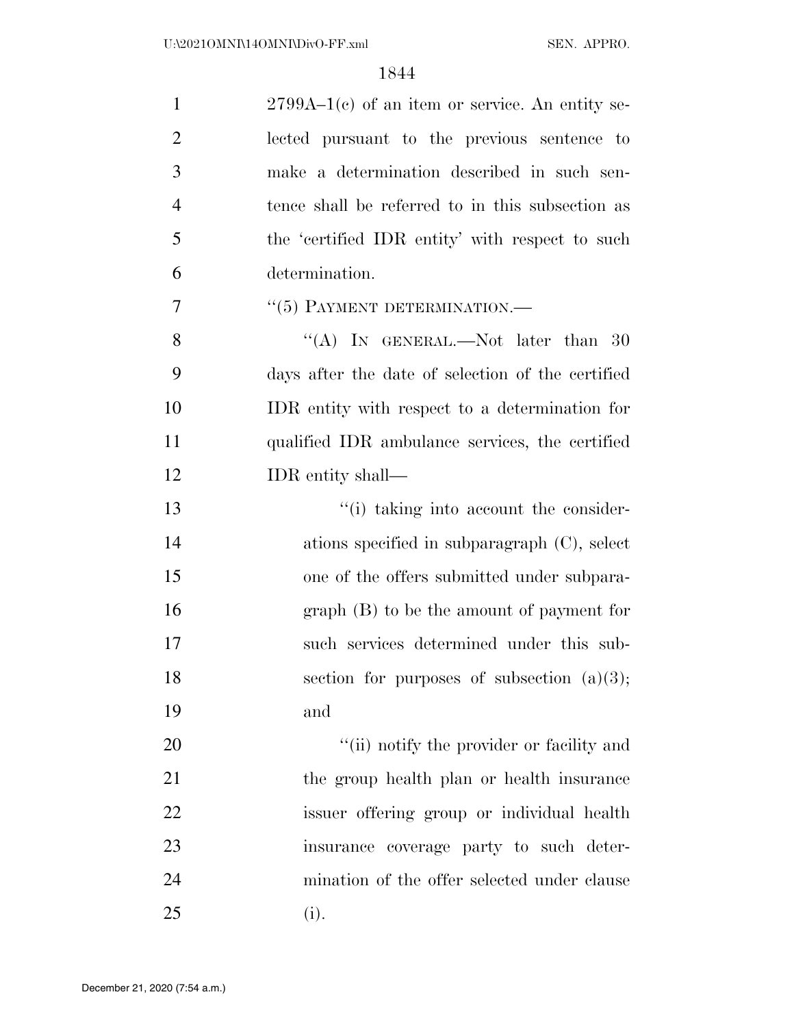| $\mathbf{1}$   | $2799A-1(c)$ of an item or service. An entity se- |
|----------------|---------------------------------------------------|
| $\overline{2}$ | lected pursuant to the previous sentence to       |
| 3              | make a determination described in such sen-       |
| $\overline{4}$ | tence shall be referred to in this subsection as  |
| 5              | the 'certified IDR entity' with respect to such   |
| 6              | determination.                                    |
| 7              | $``(5)$ PAYMENT DETERMINATION.—                   |
| 8              | "(A) IN GENERAL.—Not later than 30                |
| 9              | days after the date of selection of the certified |
| 10             | IDR entity with respect to a determination for    |
| 11             | qualified IDR ambulance services, the certified   |
| 12             | IDR entity shall—                                 |
| 13             | "(i) taking into account the consider-            |
| 14             | ations specified in subparagraph $(C)$ , select   |
| 15             | one of the offers submitted under subpara-        |
| 16             | $graph(B)$ to be the amount of payment for        |
| 17             | such services determined under this sub-          |
| 18             | section for purposes of subsection $(a)(3)$ ;     |
| 19             | and                                               |
| 20             | "(ii) notify the provider or facility and         |
| 21             | the group health plan or health insurance         |
| 22             | issuer offering group or individual health        |
| 23             | insurance coverage party to such deter-           |
| 24             | mination of the offer selected under clause       |
| 25             | (i).                                              |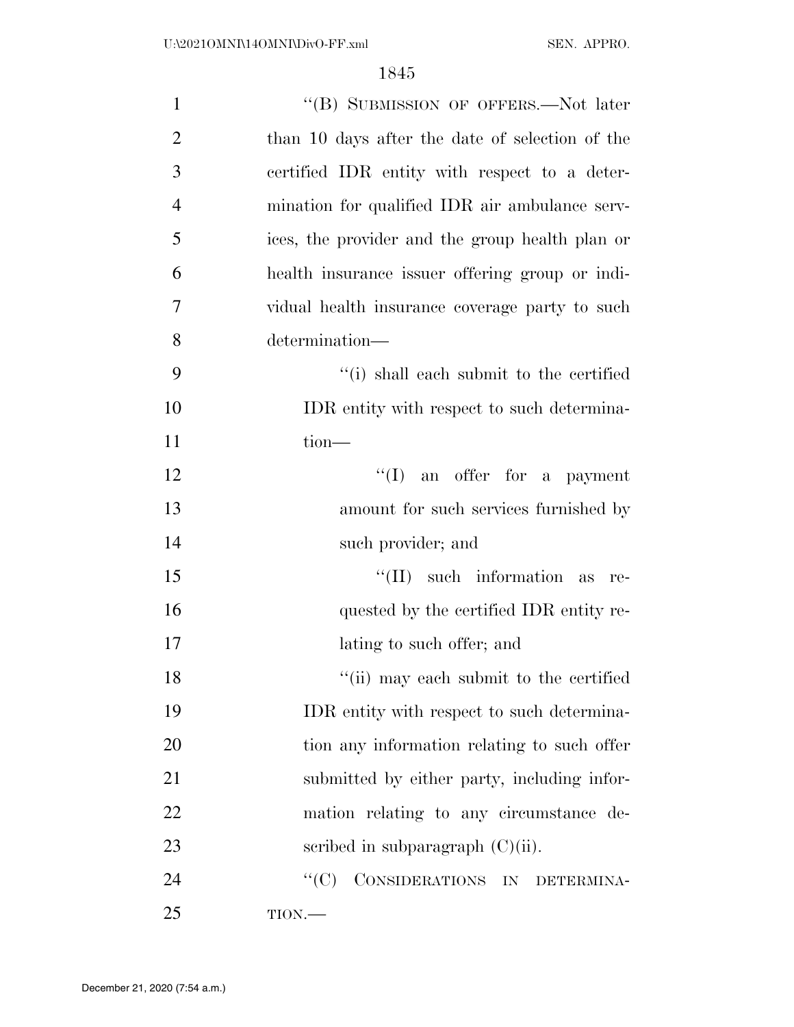| $\mathbf{1}$   | "(B) SUBMISSION OF OFFERS.—Not later            |
|----------------|-------------------------------------------------|
| $\overline{2}$ | than 10 days after the date of selection of the |
| 3              | certified IDR entity with respect to a deter-   |
| $\overline{4}$ | mination for qualified IDR air ambulance serv-  |
| 5              | ices, the provider and the group health plan or |
| 6              | health insurance issuer offering group or indi- |
| $\overline{7}$ | vidual health insurance coverage party to such  |
| 8              | determination-                                  |
| 9              | "(i) shall each submit to the certified         |
| 10             | IDR entity with respect to such determina-      |
| 11             | $tion$ —                                        |
| 12             | $\lq\lq$ (I) an offer for a payment             |
| 13             | amount for such services furnished by           |
| 14             | such provider; and                              |
| 15             | $\lq\lq$ (II) such information as<br>re-        |
| 16             | quested by the certified IDR entity re-         |
| 17             | lating to such offer; and                       |
| 18             | "(ii) may each submit to the certified          |
| 19             | IDR entity with respect to such determina-      |
| 20             | tion any information relating to such offer     |
| 21             | submitted by either party, including infor-     |
| 22             | mation relating to any circumstance de-         |
| 23             | scribed in subparagraph $(C)(ii)$ .             |
| 24             | CONSIDERATIONS IN DETERMINA-<br>``(C)           |
| 25             | $TION$ .                                        |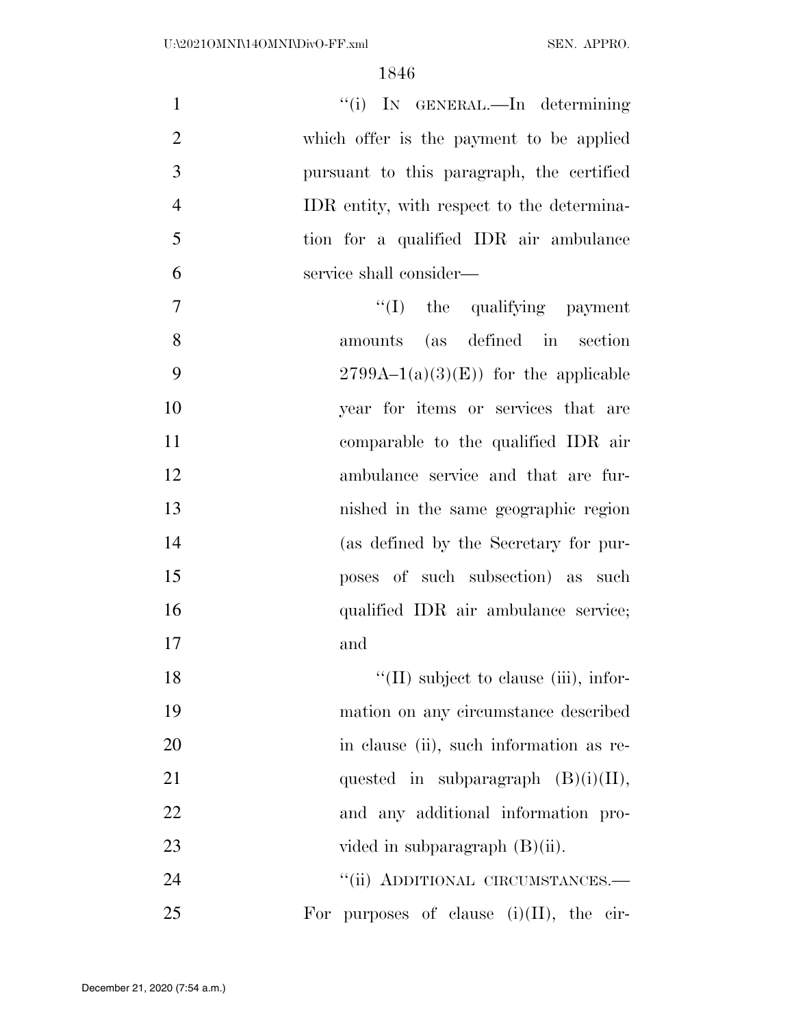| $\mathbf{1}$   | "(i) IN GENERAL.—In determining               |
|----------------|-----------------------------------------------|
| $\overline{2}$ | which offer is the payment to be applied      |
| 3              | pursuant to this paragraph, the certified     |
| $\overline{4}$ | IDR entity, with respect to the determina-    |
| 5              | tion for a qualified IDR air ambulance        |
| 6              | service shall consider—                       |
| $\overline{7}$ | $\lq\lq$ (I) the qualifying payment           |
| 8              | amounts (as defined in section                |
| 9              | $2799A-1(a)(3)(E)$ for the applicable         |
| 10             | year for items or services that are           |
| 11             | comparable to the qualified IDR air           |
| 12             | ambulance service and that are fur-           |
| 13             | nished in the same geographic region          |
| 14             | (as defined by the Secretary for pur-         |
| 15             | poses of such subsection) as such             |
| 16             | qualified IDR air ambulance service;          |
| 17             | and                                           |
| 18             | $\lq\lq$ (II) subject to clause (iii), infor- |
| 19             | mation on any circumstance described          |
| 20             | in clause (ii), such information as re-       |
| 21             | quested in subparagraph $(B)(i)(II)$ ,        |
| 22             | and any additional information pro-           |
| 23             | vided in subparagraph $(B)(ii)$ .             |
| 24             | "(ii) ADDITIONAL CIRCUMSTANCES.-              |
| 25             | For purposes of clause $(i)(II)$ , the cir-   |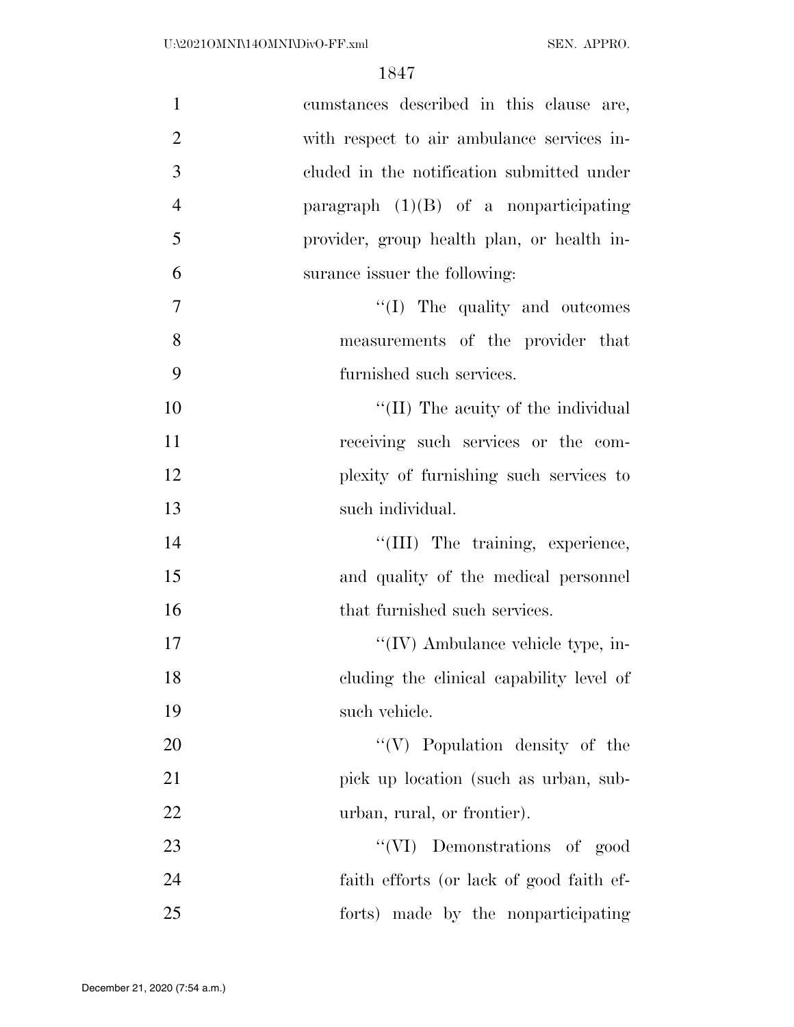| $\mathbf{1}$   | cumstances described in this clause are,   |
|----------------|--------------------------------------------|
| $\overline{2}$ | with respect to air ambulance services in- |
| 3              | cluded in the notification submitted under |
| $\overline{4}$ | paragraph $(1)(B)$ of a nonparticipating   |
| 5              | provider, group health plan, or health in- |
| 6              | surance issuer the following:              |
| 7              | "(I) The quality and outcomes              |
| 8              | measurements of the provider that          |
| 9              | furnished such services.                   |
| 10             | "(II) The acuity of the individual         |
| 11             | receiving such services or the com-        |
| 12             | plexity of furnishing such services to     |
| 13             | such individual.                           |
| 14             | "(III) The training, experience,           |
| 15             | and quality of the medical personnel       |
| 16             | that furnished such services.              |
| 17             | $\lq\lq$ (IV) Ambulance vehicle type, in-  |
| 18             | cluding the clinical capability level of   |
| 19             | such vehicle.                              |
| 20             | $``(V)$ Population density of the          |
| 21             | pick up location (such as urban, sub-      |
| 22             | urban, rural, or frontier).                |
| 23             | "(VI) Demonstrations of good               |
| 24             | faith efforts (or lack of good faith ef-   |
| 25             | forts) made by the nonparticipating        |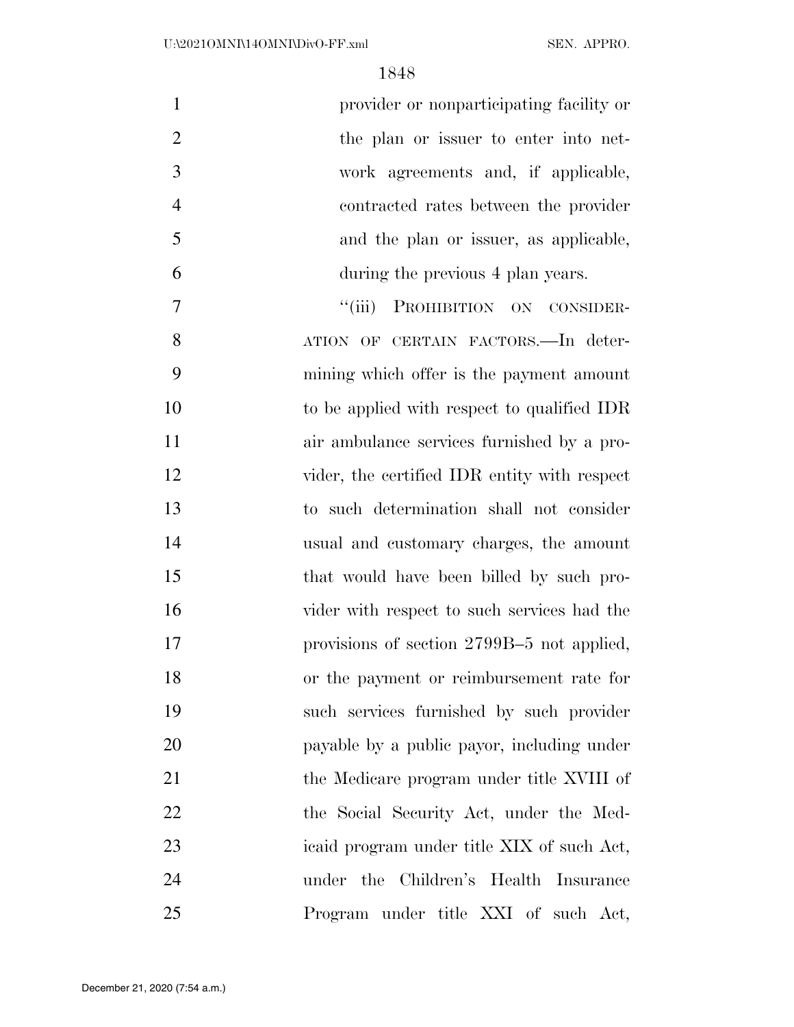| $\mathbf{1}$   | provider or nonparticipating facility or     |
|----------------|----------------------------------------------|
| $\mathfrak{2}$ | the plan or issuer to enter into net-        |
| 3              | work agreements and, if applicable,          |
| $\overline{4}$ | contracted rates between the provider        |
| 5              | and the plan or issuer, as applicable,       |
| 6              | during the previous 4 plan years.            |
| 7              | "(iii) PROHIBITION ON CONSIDER-              |
| 8              | ATION OF CERTAIN FACTORS. In deter-          |
| 9              | mining which offer is the payment amount     |
| 10             | to be applied with respect to qualified IDR  |
| 11             | air ambulance services furnished by a pro-   |
| 12             | vider, the certified IDR entity with respect |
| 13             | to such determination shall not consider     |
| 14             | usual and customary charges, the amount      |
| 15             | that would have been billed by such pro-     |
| 16             | vider with respect to such services had the  |
| 17             | provisions of section 2799B-5 not applied,   |
| 18             | or the payment or reimbursement rate for     |
| 19             | such services furnished by such provider     |
| 20             | payable by a public payor, including under   |
| 21             | the Medicare program under title XVIII of    |
| 22             | the Social Security Act, under the Med-      |
| 23             | icaid program under title XIX of such Act,   |
| 24             | under the Children's Health Insurance        |
| 25             | Program under title XXI of such Act,         |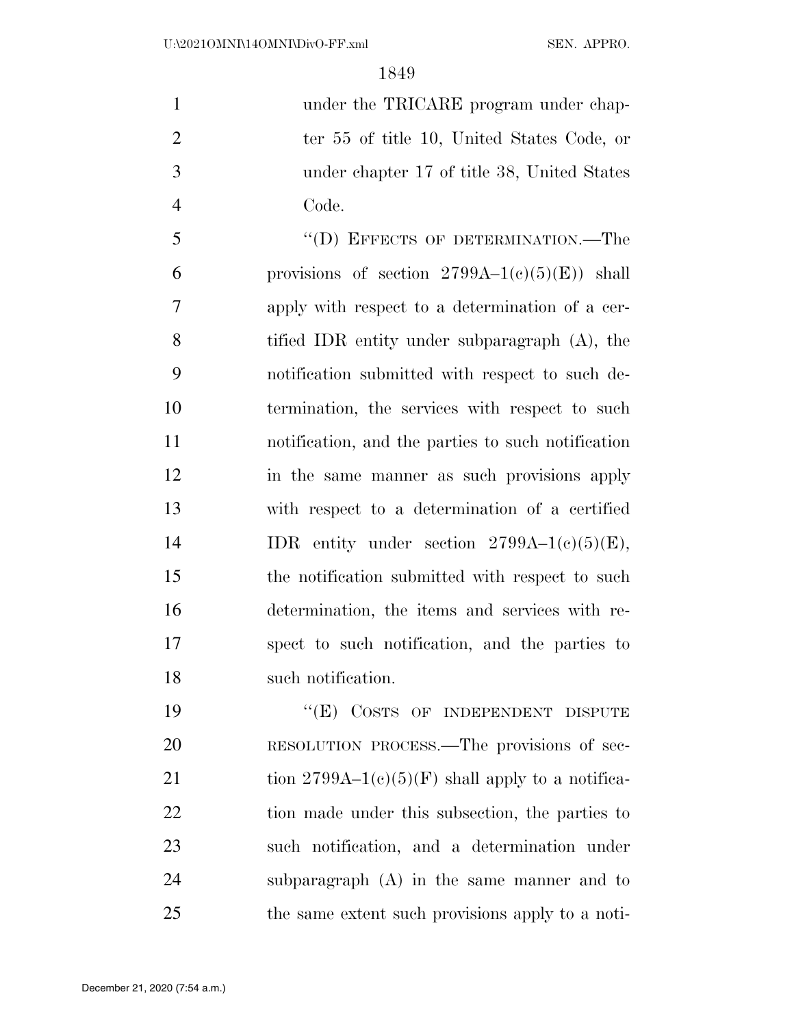1 under the TRICARE program under chap-2 ter 55 of title 10, United States Code, or under chapter 17 of title 38, United States Code.

5 "(D) EFFECTS OF DETERMINATION.—The 6 provisions of section  $2799A-1(c)(5)(E)$  shall apply with respect to a determination of a cer- tified IDR entity under subparagraph (A), the notification submitted with respect to such de- termination, the services with respect to such notification, and the parties to such notification in the same manner as such provisions apply with respect to a determination of a certified 14 IDR entity under section  $2799A-1(c)(5)(E)$ , the notification submitted with respect to such determination, the items and services with re- spect to such notification, and the parties to such notification.

19 "(E) COSTS OF INDEPENDENT DISPUTE RESOLUTION PROCESS.—The provisions of sec-21 tion  $2799A-1(c)(5)(F)$  shall apply to a notifica- tion made under this subsection, the parties to such notification, and a determination under subparagraph (A) in the same manner and to the same extent such provisions apply to a noti-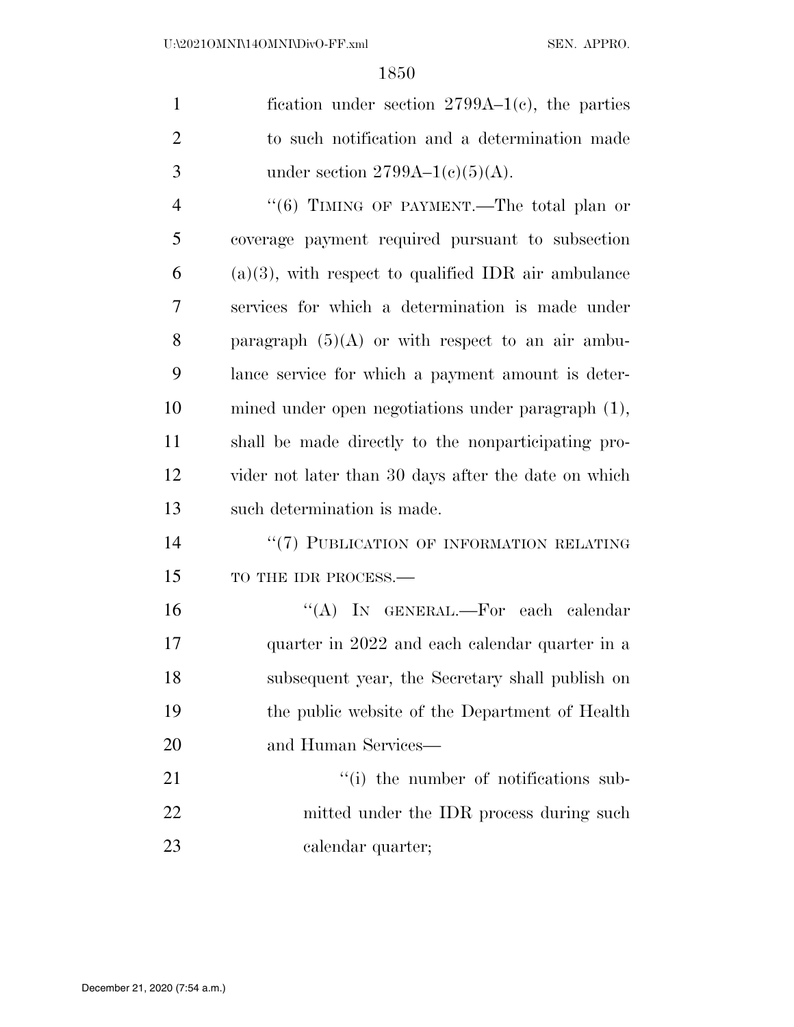| $\mathbf{1}$   | fication under section $2799A-1(c)$ , the parties      |
|----------------|--------------------------------------------------------|
| $\overline{2}$ | to such notification and a determination made          |
| 3              | under section $2799A-1(c)(5)(A)$ .                     |
| $\overline{4}$ | "(6) TIMING OF PAYMENT.—The total plan or              |
| 5              | coverage payment required pursuant to subsection       |
| 6              | $(a)(3)$ , with respect to qualified IDR air ambulance |
| 7              | services for which a determination is made under       |
| 8              | paragraph $(5)(A)$ or with respect to an air ambu-     |
| 9              | lance service for which a payment amount is deter-     |
| 10             | mined under open negotiations under paragraph (1),     |
| 11             | shall be made directly to the nonparticipating pro-    |
| 12             | vider not later than 30 days after the date on which   |
| 13             | such determination is made.                            |
| 14             | "(7) PUBLICATION OF INFORMATION RELATING               |
| 15             | TO THE IDR PROCESS.-                                   |
| 16             | "(A) IN GENERAL.—For each calendar                     |
| 17             | quarter in 2022 and each calendar quarter in a         |
| 18             | subsequent year, the Secretary shall publish on        |
| 19             | the public website of the Department of Health         |
| 20             | and Human Services—                                    |
| 21             | "(i) the number of notifications sub-                  |
| 22             | mitted under the IDR process during such               |
| 23             | calendar quarter;                                      |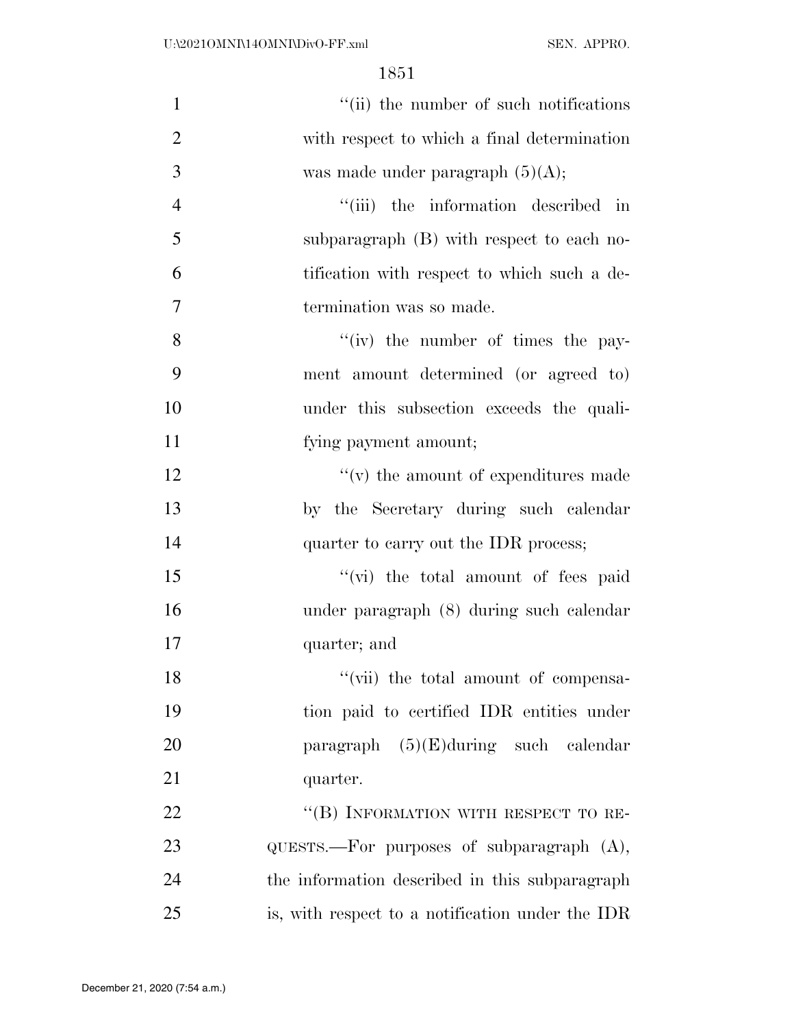| $\mathbf{1}$   | "(ii) the number of such notifications               |
|----------------|------------------------------------------------------|
| $\overline{2}$ | with respect to which a final determination          |
| 3              | was made under paragraph $(5)(A)$ ;                  |
| $\overline{4}$ | "(iii) the information described in                  |
| 5              | subparagraph (B) with respect to each no-            |
| 6              | tification with respect to which such a de-          |
| $\tau$         | termination was so made.                             |
| 8              | $f'(iv)$ the number of times the pay-                |
| 9              | ment amount determined (or agreed to)                |
| 10             | under this subsection exceeds the quali-             |
| 11             | fying payment amount;                                |
| 12             | $``(v)$ the amount of expenditures made              |
| 13             | by the Secretary during such calendar                |
| 14             | quarter to carry out the IDR process;                |
| 15             | "(vi) the total amount of fees paid                  |
| 16             | under paragraph (8) during such calendar             |
| 17             | quarter; and                                         |
| 18             | "(vii) the total amount of compensa-                 |
| 19             | tion paid to certified IDR entities under            |
| 20             | paragraph $(5)(E)$ during such calendar              |
| 21             | quarter.                                             |
| 22             | "(B) INFORMATION WITH RESPECT TO RE-                 |
| 23             | $\alpha$ UESTS.—For purposes of subparagraph $(A)$ , |
| 24             | the information described in this subparagraph       |
| 25             | is, with respect to a notification under the IDR     |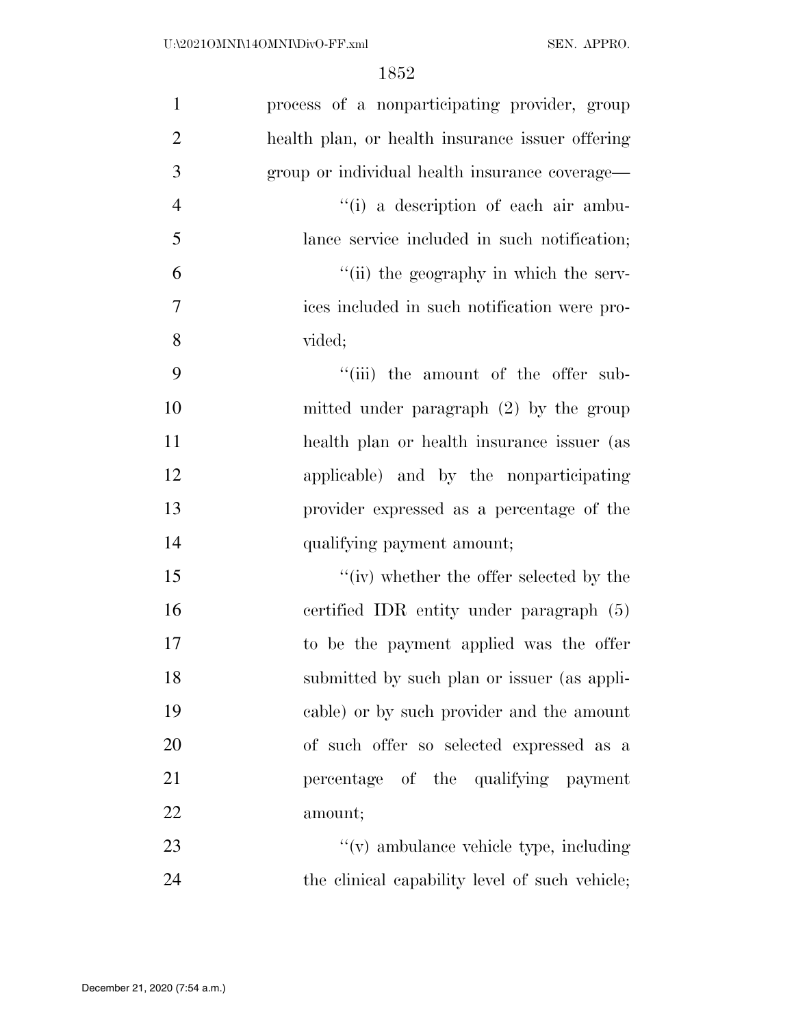| $\mathbf{1}$   | process of a nonparticipating provider, group    |
|----------------|--------------------------------------------------|
| $\overline{2}$ | health plan, or health insurance issuer offering |
| 3              | group or individual health insurance coverage—   |
| $\overline{4}$ | "(i) a description of each air ambu-             |
| 5              | lance service included in such notification;     |
| 6              | "(ii) the geography in which the serv-           |
| 7              | ices included in such notification were pro-     |
| 8              | vided;                                           |
| 9              | "(iii) the amount of the offer sub-              |
| 10             | mitted under paragraph $(2)$ by the group        |
| 11             | health plan or health insurance issuer (as       |
| 12             | applicable) and by the nonparticipating          |
| 13             | provider expressed as a percentage of the        |
| 14             | qualifying payment amount;                       |
| 15             | "(iv) whether the offer selected by the          |
| 16             | certified IDR entity under paragraph (5)         |
| 17             | to be the payment applied was the offer          |
| 18             | submitted by such plan or issuer (as appli-      |
| 19             | cable) or by such provider and the amount        |
| 20             | of such offer so selected expressed as a         |
| 21             | percentage of the qualifying payment             |
| 22             | amount;                                          |
| 23             | $f'(v)$ ambulance vehicle type, including        |
| 24             | the clinical capability level of such vehicle;   |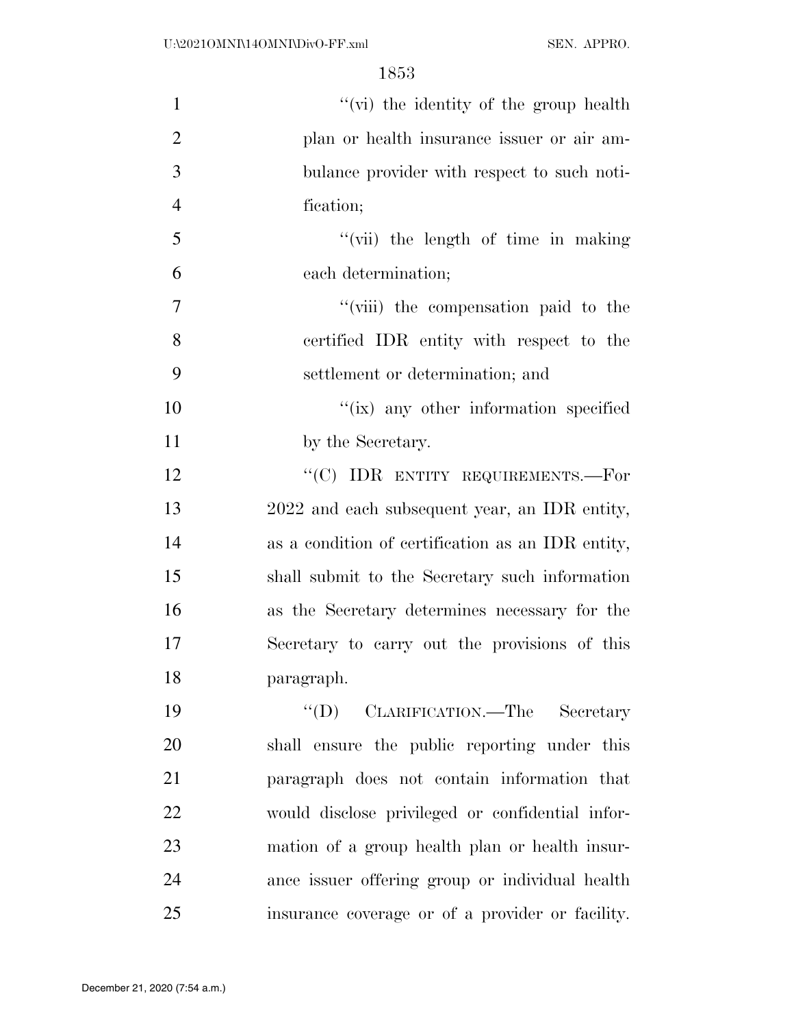| $\mathbf{1}$   | "(vi) the identity of the group health            |
|----------------|---------------------------------------------------|
| $\overline{2}$ | plan or health insurance issuer or air am-        |
| 3              | bulance provider with respect to such noti-       |
| $\overline{4}$ | fication;                                         |
| 5              | "(vii) the length of time in making               |
| 6              | each determination;                               |
| $\tau$         | "(viii) the compensation paid to the              |
| 8              | certified IDR entity with respect to the          |
| 9              | settlement or determination; and                  |
| 10             | $\lq\lq$ (ix) any other information specified     |
| 11             | by the Secretary.                                 |
| 12             | "(C) IDR ENTITY REQUIREMENTS.—For                 |
| 13             | 2022 and each subsequent year, an IDR entity,     |
| 14             | as a condition of certification as an IDR entity, |
| 15             | shall submit to the Secretary such information    |
| 16             | as the Secretary determines necessary for the     |
| 17             | Secretary to carry out the provisions of this     |
| 18             | paragraph.                                        |
| 19             | "(D) CLARIFICATION.—The Secretary                 |
| 20             | shall ensure the public reporting under this      |
| 21             | paragraph does not contain information that       |
| 22             | would disclose privileged or confidential infor-  |
| 23             | mation of a group health plan or health insur-    |
| 24             | ance issuer offering group or individual health   |
| 25             | insurance coverage or of a provider or facility.  |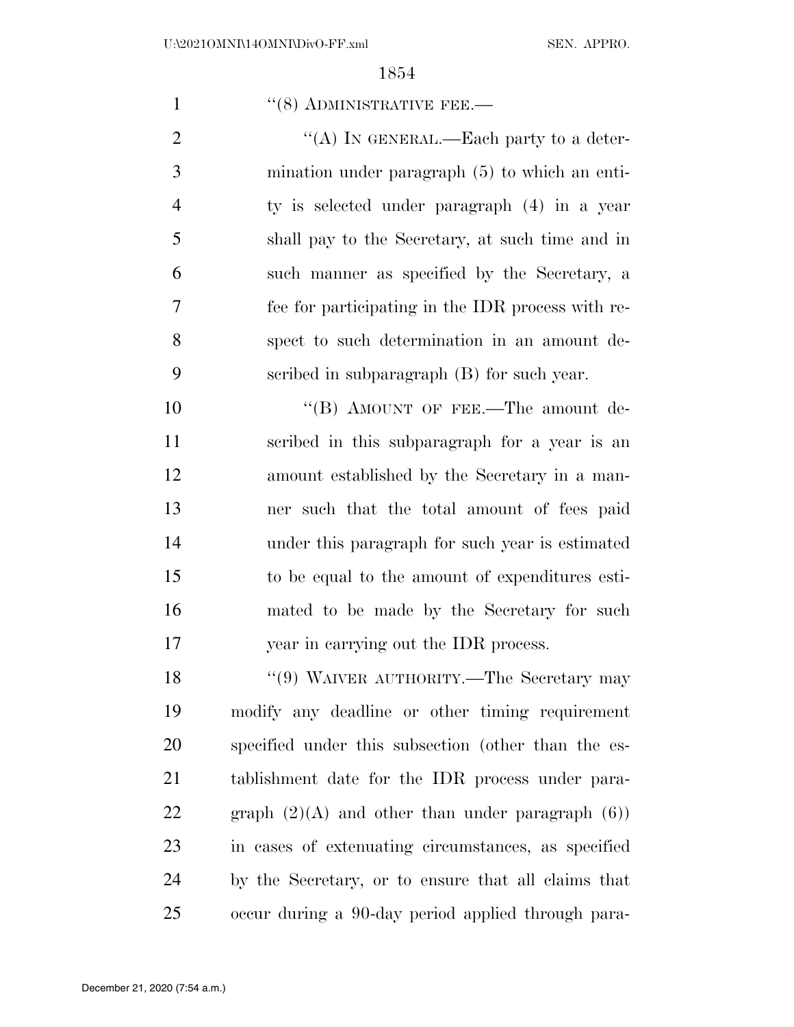1 ''(8) ADMINISTRATIVE FEE.—  $\text{``(A)}$  In GENERAL.—Each party to a deter- mination under paragraph (5) to which an enti- ty is selected under paragraph (4) in a year shall pay to the Secretary, at such time and in such manner as specified by the Secretary, a fee for participating in the IDR process with re- spect to such determination in an amount de- scribed in subparagraph (B) for such year. 10 "(B) AMOUNT OF FEE.—The amount de- scribed in this subparagraph for a year is an amount established by the Secretary in a man- ner such that the total amount of fees paid under this paragraph for such year is estimated to be equal to the amount of expenditures esti- mated to be made by the Secretary for such year in carrying out the IDR process. 18 "(9) WAIVER AUTHORITY.—The Secretary may modify any deadline or other timing requirement specified under this subsection (other than the es- tablishment date for the IDR process under para-22 graph  $(2)(A)$  and other than under paragraph  $(6)$ ) in cases of extenuating circumstances, as specified by the Secretary, or to ensure that all claims that occur during a 90-day period applied through para-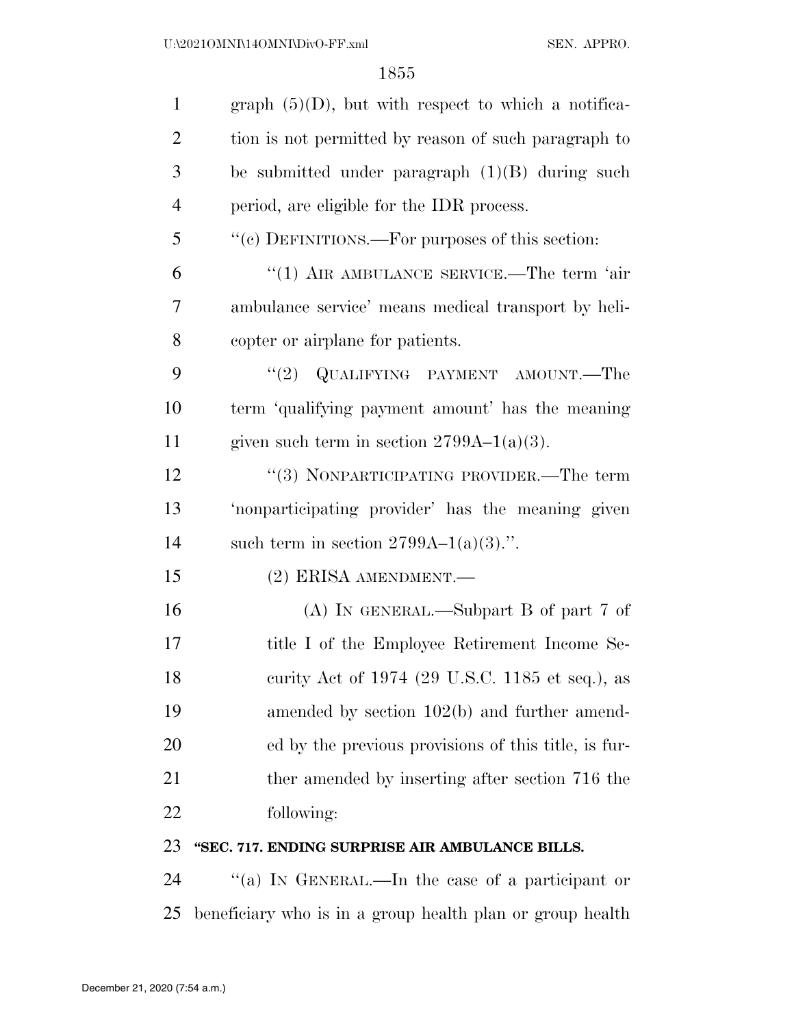| $\mathbf{1}$   | graph $(5)(D)$ , but with respect to which a notifica- |
|----------------|--------------------------------------------------------|
| $\overline{2}$ | tion is not permitted by reason of such paragraph to   |
| 3              | be submitted under paragraph $(1)(B)$ during such      |
| 4              | period, are eligible for the IDR process.              |
| 5              | "(c) DEFINITIONS.—For purposes of this section:        |
| 6              | $"(1)$ AIR AMBULANCE SERVICE.—The term 'air            |
| 7              | ambulance service' means medical transport by heli-    |
| 8              | copter or airplane for patients.                       |
| 9              | "(2) QUALIFYING PAYMENT AMOUNT.—The                    |
| 10             | term 'qualifying payment amount' has the meaning       |
| 11             | given such term in section $2799A-1(a)(3)$ .           |
| 12             | "(3) NONPARTICIPATING PROVIDER.—The term               |
| 13             | 'nonparticipating provider' has the meaning given      |
| 14             | such term in section $2799A-1(a)(3)$ .".               |
| 15             | (2) ERISA AMENDMENT.-                                  |
| 16             | (A) IN GENERAL.—Subpart B of part 7 of                 |
| 17             | title I of the Employee Retirement Income Se-          |
| 18             | curity Act of 1974 (29 U.S.C. 1185 et seq.), as        |
| 19             | amended by section $102(b)$ and further amend-         |
| 20             | ed by the previous provisions of this title, is fur-   |
| 21             | ther amended by inserting after section 716 the        |
| 22             | following:                                             |
| 23             | "SEC. 717. ENDING SURPRISE AIR AMBULANCE BILLS.        |
| 24             | "(a) In GENERAL.—In the case of a participant or       |

beneficiary who is in a group health plan or group health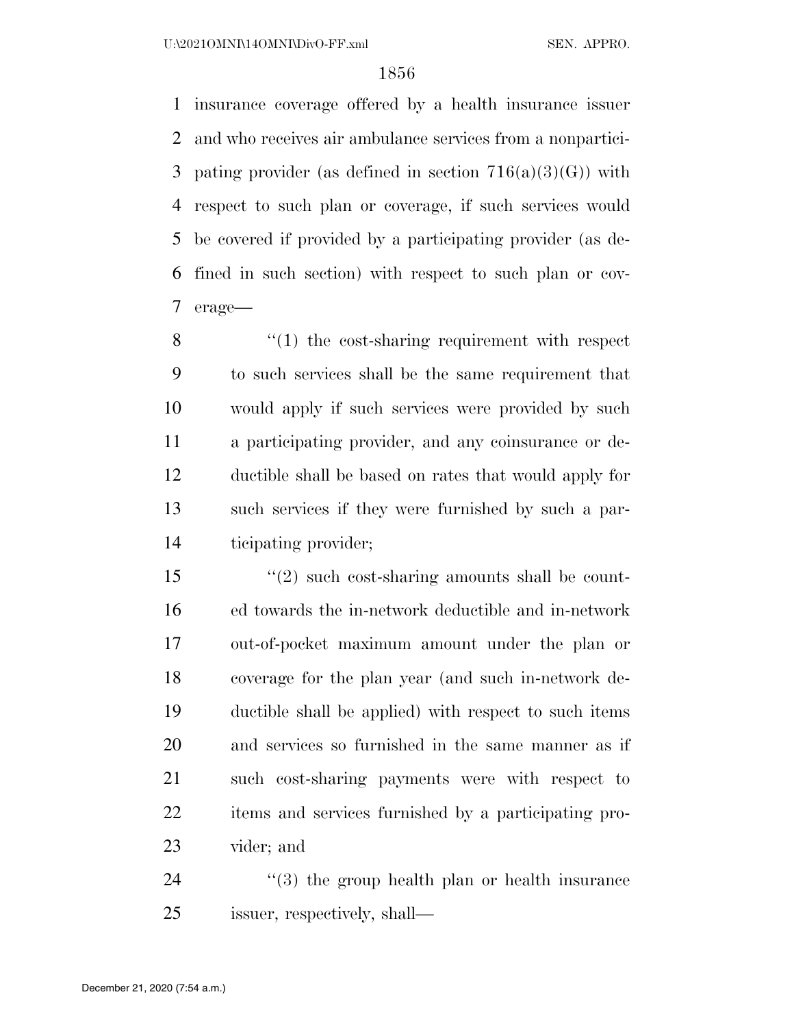insurance coverage offered by a health insurance issuer and who receives air ambulance services from a nonpartici-3 pating provider (as defined in section  $716(a)(3)(G)$ ) with respect to such plan or coverage, if such services would be covered if provided by a participating provider (as de- fined in such section) with respect to such plan or cov-erage—

8 "(1) the cost-sharing requirement with respect to such services shall be the same requirement that would apply if such services were provided by such a participating provider, and any coinsurance or de- ductible shall be based on rates that would apply for such services if they were furnished by such a par-ticipating provider;

15 ''(2) such cost-sharing amounts shall be count- ed towards the in-network deductible and in-network out-of-pocket maximum amount under the plan or coverage for the plan year (and such in-network de- ductible shall be applied) with respect to such items and services so furnished in the same manner as if such cost-sharing payments were with respect to items and services furnished by a participating pro-vider; and

24 ''(3) the group health plan or health insurance issuer, respectively, shall—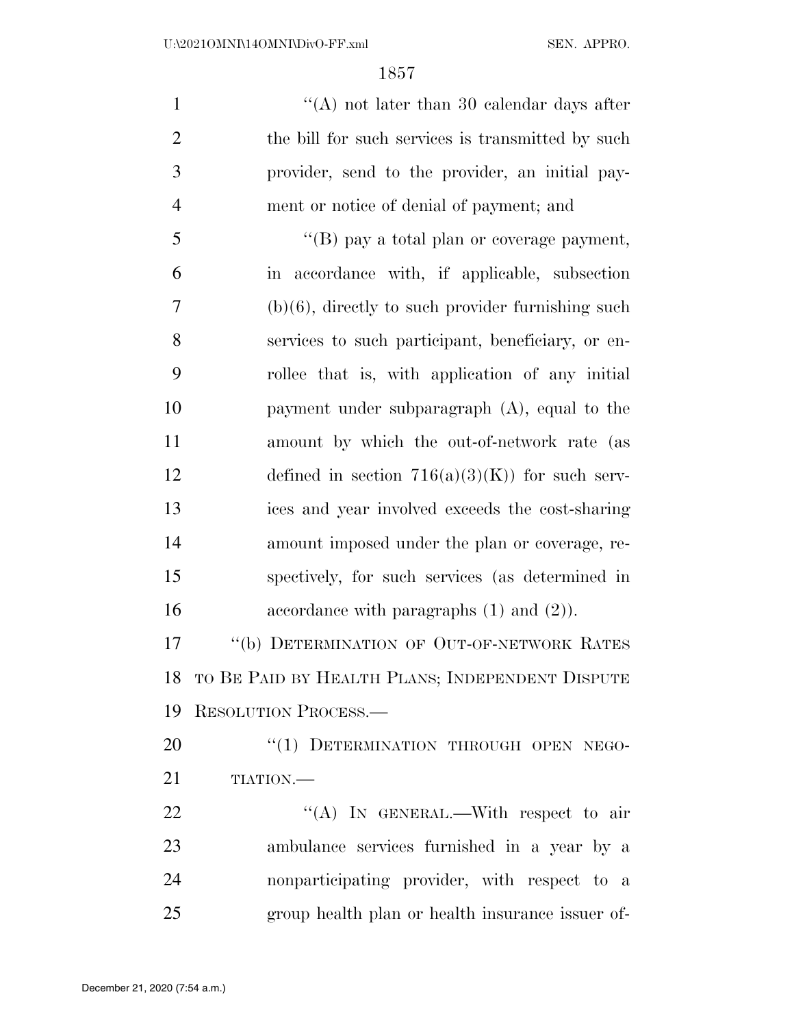| $\mathbf{1}$   | "(A) not later than 30 calendar days after           |
|----------------|------------------------------------------------------|
| $\overline{2}$ | the bill for such services is transmitted by such    |
| 3              | provider, send to the provider, an initial pay-      |
| $\overline{4}$ | ment or notice of denial of payment; and             |
| 5              | "(B) pay a total plan or coverage payment,           |
| 6              | in accordance with, if applicable, subsection        |
| 7              | $(b)(6)$ , directly to such provider furnishing such |
| 8              | services to such participant, beneficiary, or en-    |
| 9              | rollee that is, with application of any initial      |
| 10             | payment under subparagraph $(A)$ , equal to the      |
| 11             | amount by which the out-of-network rate (as          |
| 12             | defined in section $716(a)(3)(K)$ for such serv-     |
| 13             | ices and year involved exceeds the cost-sharing      |
| 14             | amount imposed under the plan or coverage, re-       |
| 15             | spectively, for such services (as determined in      |
| 16             | accordance with paragraphs $(1)$ and $(2)$ ).        |
| 17             | "(b) DETERMINATION OF OUT-OF-NETWORK RATES           |
|                | 18 TO BE PAID BY HEALTH PLANS; INDEPENDENT DISPUTE   |
| 19             | RESOLUTION PROCESS.                                  |
| 20             | "(1) DETERMINATION THROUGH OPEN NEGO-                |
| 21             | TIATION.                                             |
| 22             | "(A) IN GENERAL.—With respect to air                 |
| 23             | ambulance services furnished in a year by a          |

nonparticipating provider, with respect to a

group health plan or health insurance issuer of-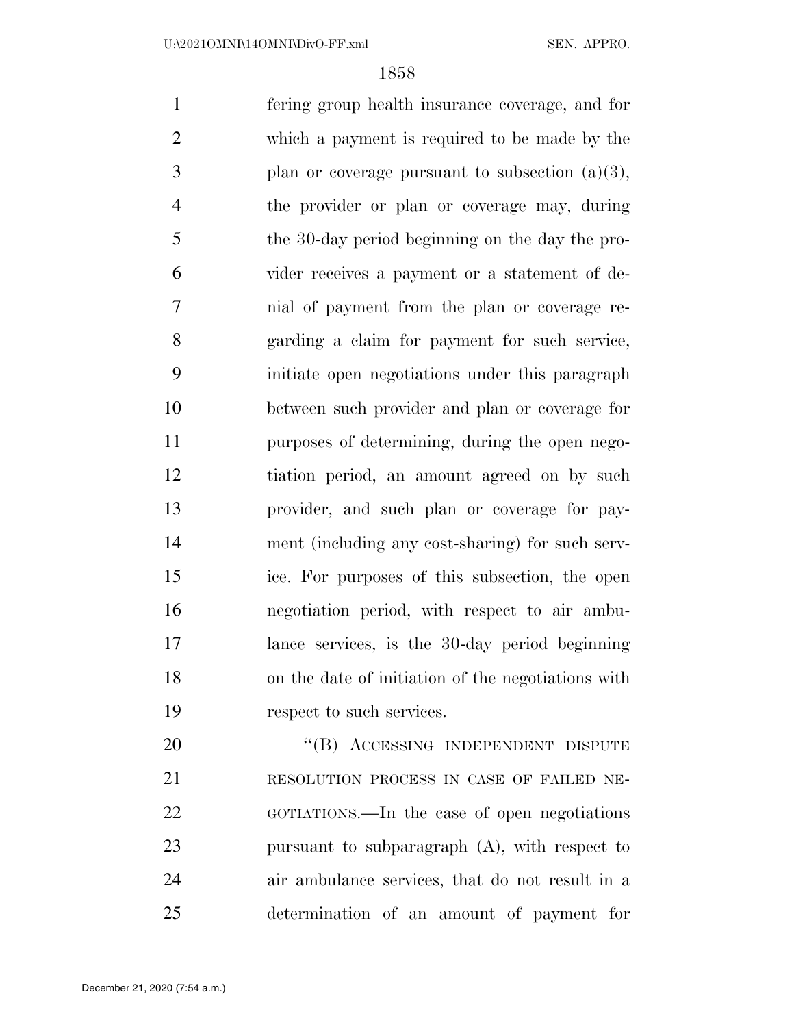fering group health insurance coverage, and for which a payment is required to be made by the plan or coverage pursuant to subsection  $(a)(3)$ , the provider or plan or coverage may, during the 30-day period beginning on the day the pro- vider receives a payment or a statement of de- nial of payment from the plan or coverage re- garding a claim for payment for such service, initiate open negotiations under this paragraph between such provider and plan or coverage for purposes of determining, during the open nego- tiation period, an amount agreed on by such provider, and such plan or coverage for pay- ment (including any cost-sharing) for such serv- ice. For purposes of this subsection, the open negotiation period, with respect to air ambu- lance services, is the 30-day period beginning on the date of initiation of the negotiations with respect to such services. 20 "(B) ACCESSING INDEPENDENT DISPUTE

 RESOLUTION PROCESS IN CASE OF FAILED NE- GOTIATIONS.—In the case of open negotiations pursuant to subparagraph (A), with respect to air ambulance services, that do not result in a determination of an amount of payment for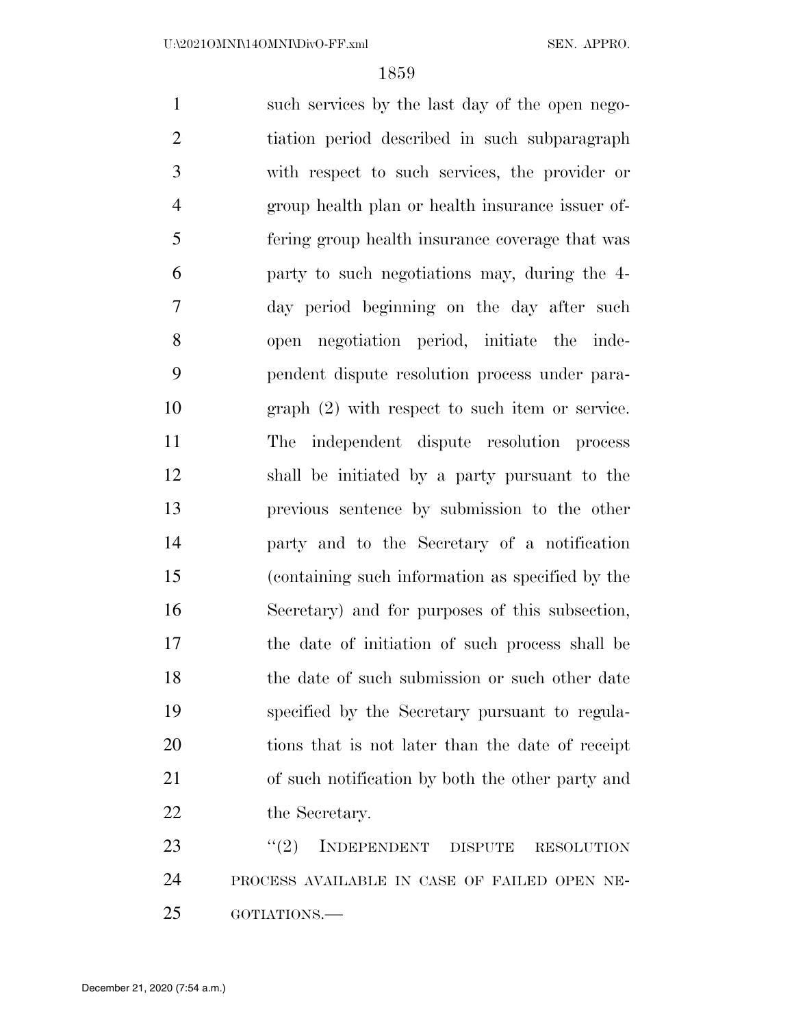such services by the last day of the open nego- tiation period described in such subparagraph with respect to such services, the provider or group health plan or health insurance issuer of- fering group health insurance coverage that was party to such negotiations may, during the 4- day period beginning on the day after such open negotiation period, initiate the inde- pendent dispute resolution process under para- graph (2) with respect to such item or service. The independent dispute resolution process shall be initiated by a party pursuant to the previous sentence by submission to the other party and to the Secretary of a notification (containing such information as specified by the Secretary) and for purposes of this subsection, the date of initiation of such process shall be 18 the date of such submission or such other date specified by the Secretary pursuant to regula- tions that is not later than the date of receipt of such notification by both the other party and 22 the Secretary. 23 "(2) INDEPENDENT DISPUTE RESOLUTION

 PROCESS AVAILABLE IN CASE OF FAILED OPEN NE-GOTIATIONS.—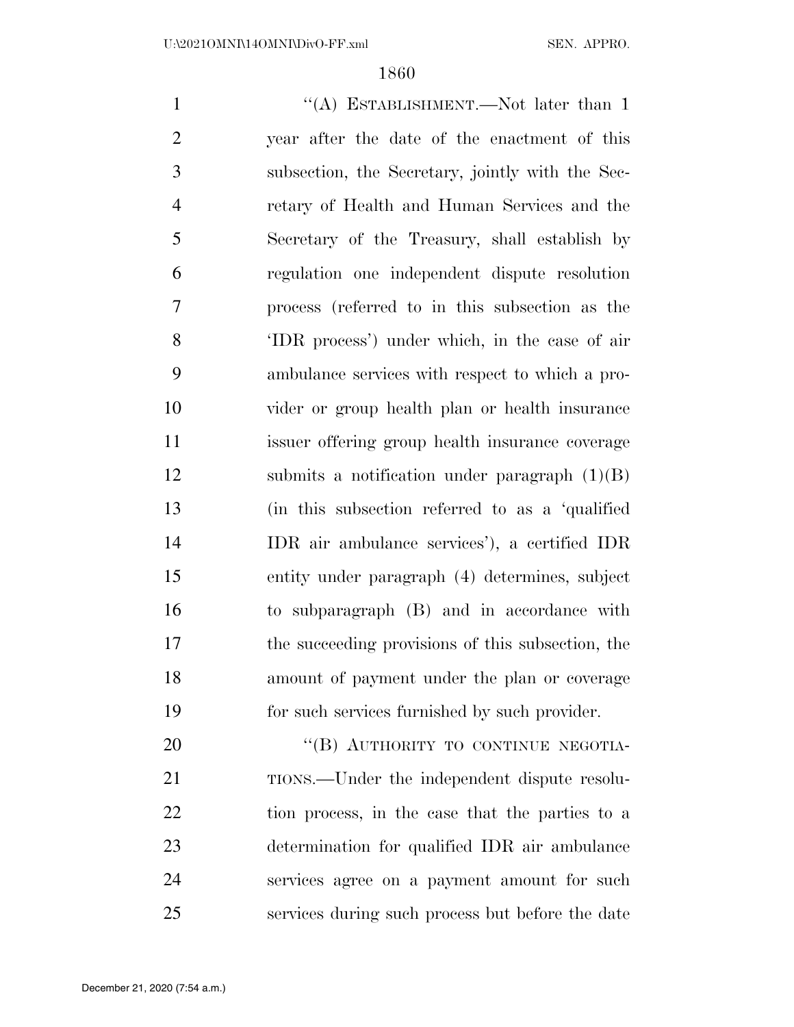1 ''(A) ESTABLISHMENT.—Not later than 1 year after the date of the enactment of this subsection, the Secretary, jointly with the Sec- retary of Health and Human Services and the Secretary of the Treasury, shall establish by regulation one independent dispute resolution process (referred to in this subsection as the 'IDR process') under which, in the case of air ambulance services with respect to which a pro- vider or group health plan or health insurance issuer offering group health insurance coverage submits a notification under paragraph (1)(B) (in this subsection referred to as a 'qualified IDR air ambulance services'), a certified IDR entity under paragraph (4) determines, subject to subparagraph (B) and in accordance with the succeeding provisions of this subsection, the amount of payment under the plan or coverage for such services furnished by such provider. 20 "(B) AUTHORITY TO CONTINUE NEGOTIA-

21 TIONS.—Under the independent dispute resolu-22 tion process, in the case that the parties to a determination for qualified IDR air ambulance services agree on a payment amount for such services during such process but before the date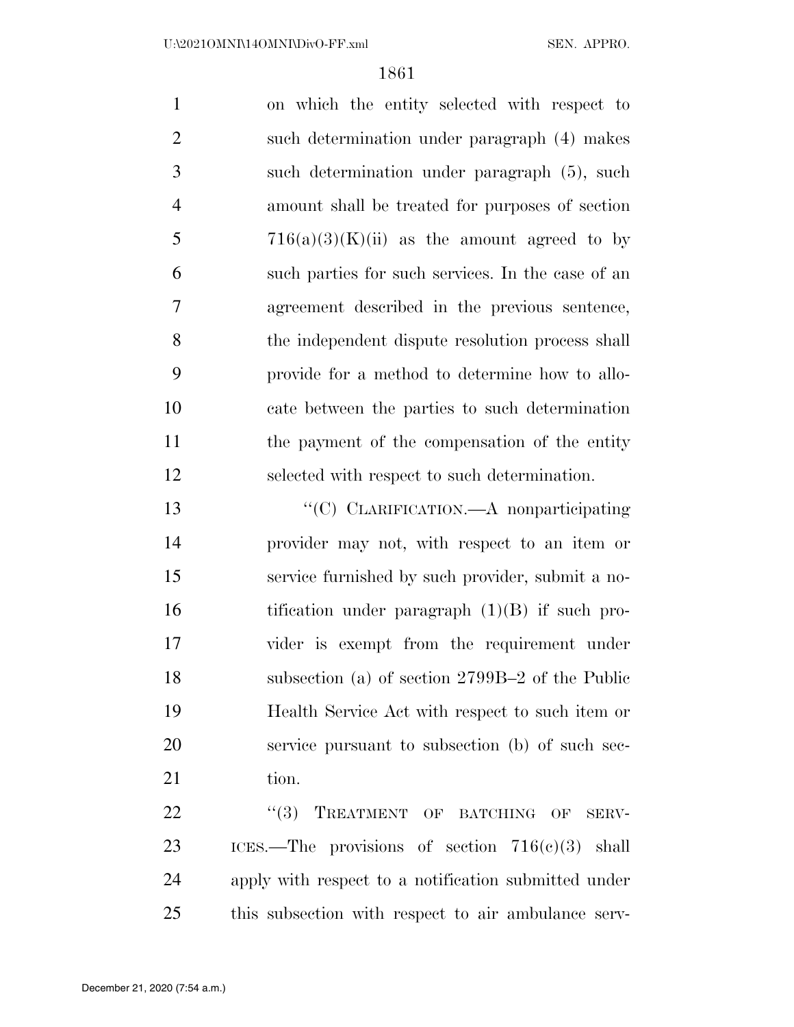on which the entity selected with respect to such determination under paragraph (4) makes such determination under paragraph (5), such amount shall be treated for purposes of section 5 716(a)(3)(K)(ii) as the amount agreed to by such parties for such services. In the case of an agreement described in the previous sentence, the independent dispute resolution process shall provide for a method to determine how to allo- cate between the parties to such determination the payment of the compensation of the entity selected with respect to such determination.

 ''(C) CLARIFICATION.—A nonparticipating provider may not, with respect to an item or service furnished by such provider, submit a no-16 tification under paragraph (1)(B) if such pro- vider is exempt from the requirement under subsection (a) of section 2799B–2 of the Public Health Service Act with respect to such item or service pursuant to subsection (b) of such sec-21 tion.

22 "(3) TREATMENT OF BATCHING OF SERV- ICES.—The provisions of section 716(c)(3) shall apply with respect to a notification submitted under this subsection with respect to air ambulance serv-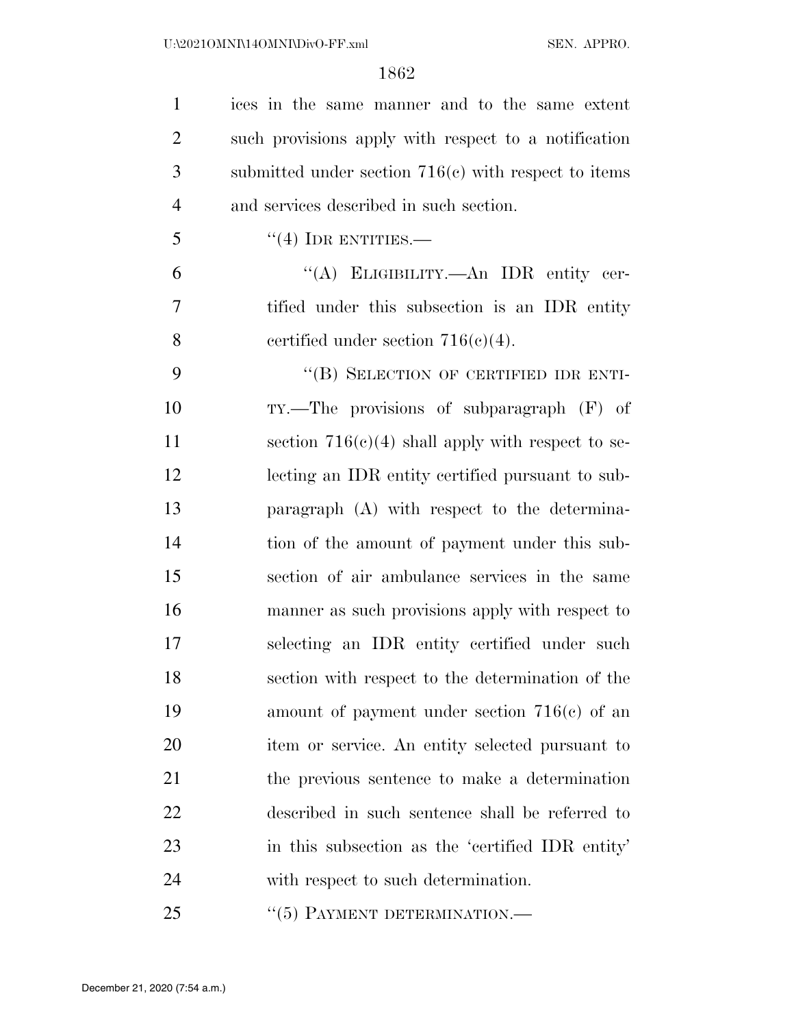| $\mathbf{1}$   | ices in the same manner and to the same extent         |
|----------------|--------------------------------------------------------|
| $\overline{2}$ | such provisions apply with respect to a notification   |
| 3              | submitted under section $716(c)$ with respect to items |
| $\overline{4}$ | and services described in such section.                |
| 5              | $\lq(4)$ IDR ENTITIES.—                                |
| 6              | "(A) ELIGIBILITY.—An IDR entity cer-                   |
| 7              | tified under this subsection is an IDR entity          |
| 8              | certified under section $716(c)(4)$ .                  |
| 9              | "(B) SELECTION OF CERTIFIED IDR ENTI-                  |
| 10             | $TY$ .—The provisions of subparagraph $(F)$ of         |
| 11             | section $716(c)(4)$ shall apply with respect to se-    |
| 12             | lecting an IDR entity certified pursuant to sub-       |
| 13             | paragraph (A) with respect to the determina-           |
| 14             | tion of the amount of payment under this sub-          |
| 15             | section of air ambulance services in the same          |
| 16             | manner as such provisions apply with respect to        |
| 17             | selecting an IDR entity certified under such           |
| 18             | section with respect to the determination of the       |
| 19             | amount of payment under section $716(c)$ of an         |
| 20             | item or service. An entity selected pursuant to        |
| 21             | the previous sentence to make a determination          |
| 22             | described in such sentence shall be referred to        |
| 23             | in this subsection as the 'certified IDR entity'       |
| 24             | with respect to such determination.                    |
| 25             | $\cdot\cdot$ (5) PAYMENT DETERMINATION.—               |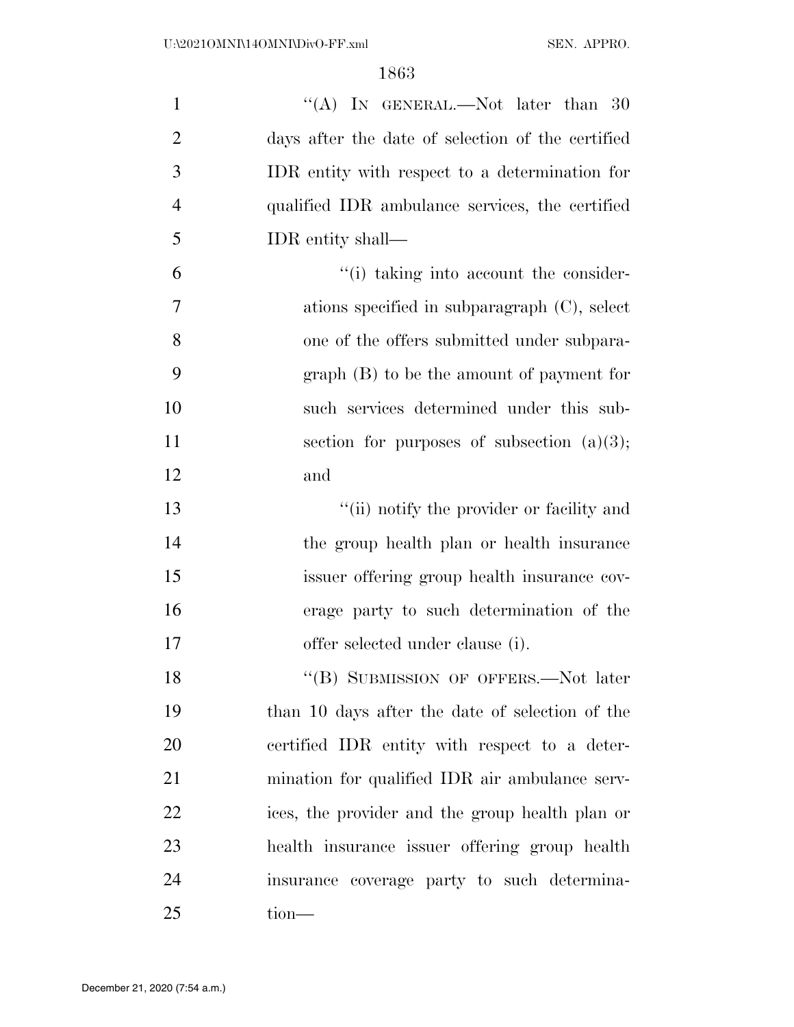| $\mathbf{1}$   | "(A) IN GENERAL.—Not later than $30$              |
|----------------|---------------------------------------------------|
| $\overline{2}$ | days after the date of selection of the certified |
| 3              | IDR entity with respect to a determination for    |
| $\overline{4}$ | qualified IDR ambulance services, the certified   |
| 5              | IDR entity shall—                                 |
| 6              | "(i) taking into account the consider-            |
| 7              | ations specified in subparagraph $(C)$ , select   |
| 8              | one of the offers submitted under subpara-        |
| 9              | $graph(B)$ to be the amount of payment for        |
| 10             | such services determined under this sub-          |
| 11             | section for purposes of subsection $(a)(3)$ ;     |
| 12             | and                                               |
| 13             | "(ii) notify the provider or facility and         |
| 14             | the group health plan or health insurance         |
| 15             | issuer offering group health insurance cov-       |
| 16             | erage party to such determination of the          |
| 17             | offer selected under clause (i).                  |
| 18             | "(B) SUBMISSION OF OFFERS.—Not later              |
| 19             | than 10 days after the date of selection of the   |
| 20             | certified IDR entity with respect to a deter-     |
| 21             | mination for qualified IDR air ambulance serv-    |
| 22             | ices, the provider and the group health plan or   |
| 23             | health insurance issuer offering group health     |
| 24             | insurance coverage party to such determina-       |
| 25             | tion—                                             |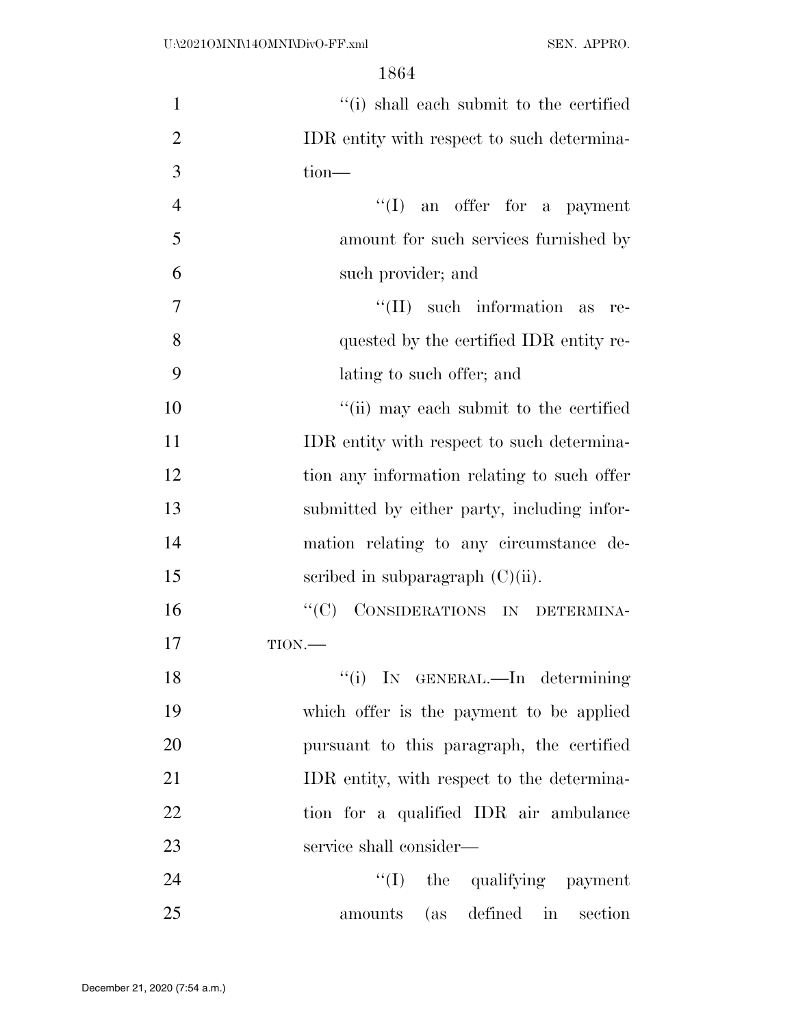| $\mathbf{1}$   | "(i) shall each submit to the certified     |
|----------------|---------------------------------------------|
| $\overline{2}$ | IDR entity with respect to such determina-  |
| 3              | tion-                                       |
| $\overline{4}$ | $\lq\lq$ (I) an offer for a payment         |
| 5              | amount for such services furnished by       |
| 6              | such provider; and                          |
| 7              | $\lq\lq$ (II) such information as<br>-re-   |
| 8              | quested by the certified IDR entity re-     |
| 9              | lating to such offer; and                   |
| 10             | "(ii) may each submit to the certified      |
| 11             | IDR entity with respect to such determina-  |
| 12             | tion any information relating to such offer |
| 13             | submitted by either party, including infor- |
| 14             | mation relating to any circumstance de-     |
| 15             | scribed in subparagraph $(C)(ii)$ .         |
| 16             | "(C) CONSIDERATIONS IN DETERMINA-           |
| 17             | $TION$ .                                    |
| 18             | "(i) IN GENERAL.—In determining             |
| 19             | which offer is the payment to be applied    |
| 20             | pursuant to this paragraph, the certified   |
| 21             | IDR entity, with respect to the determina-  |
| 22             | tion for a qualified IDR air ambulance      |
| 23             | service shall consider—                     |
| 24             | $\lq\lq$ (I) the qualifying payment         |
| 25             | amounts (as defined in section              |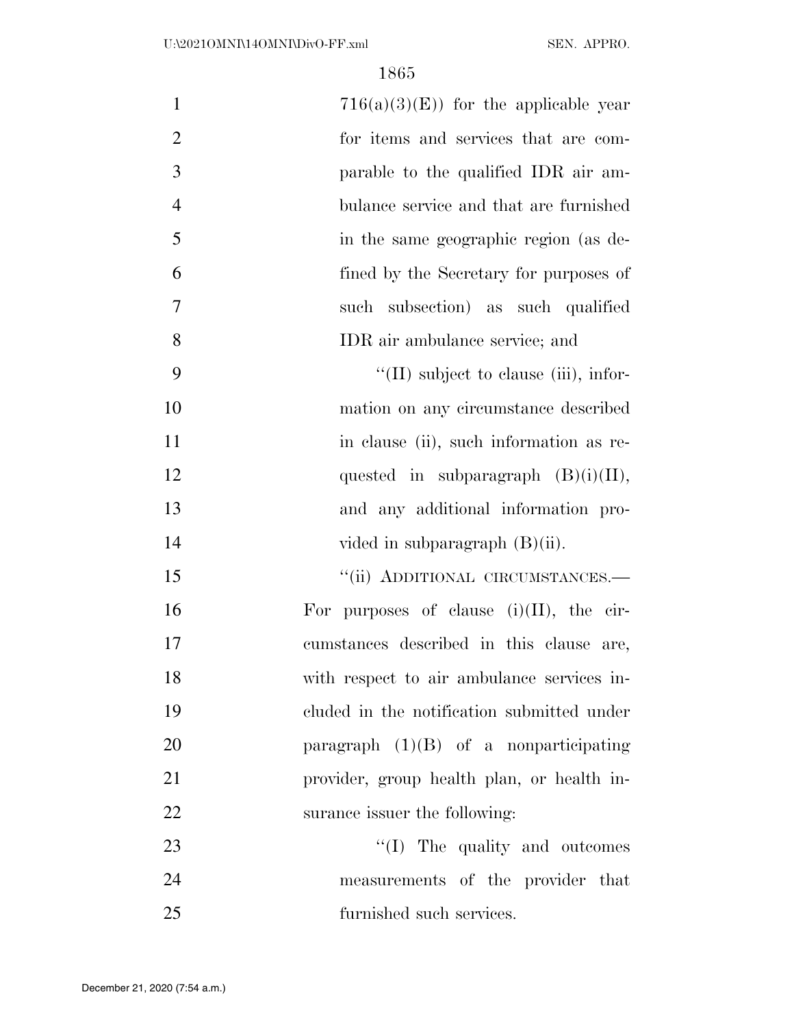| $\mathbf{1}$   | $716(a)(3)(E)$ for the applicable year        |
|----------------|-----------------------------------------------|
| $\overline{2}$ | for items and services that are com-          |
| 3              | parable to the qualified IDR air am-          |
| $\overline{4}$ | bulance service and that are furnished        |
| 5              | in the same geographic region (as de-         |
| 6              | fined by the Secretary for purposes of        |
| 7              | such subsection) as such qualified            |
| 8              | IDR air ambulance service; and                |
| 9              | $\lq\lq$ (II) subject to clause (iii), infor- |
| 10             | mation on any circumstance described          |
| 11             | in clause (ii), such information as re-       |
| 12             | quested in subparagraph $(B)(i)(II)$ ,        |
| 13             | and any additional information pro-           |
| 14             | vided in subparagraph $(B)(ii)$ .             |
| 15             | "(ii) ADDITIONAL CIRCUMSTANCES.-              |
| 16             | For purposes of clause $(i)(II)$ , the cir-   |
| 17             | cumstances described in this clause are,      |
| 18             | with respect to air ambulance services in-    |
| 19             | cluded in the notification submitted under    |
| 20             | paragraph $(1)(B)$ of a nonparticipating      |
| 21             | provider, group health plan, or health in-    |
| 22             | surance issuer the following:                 |
| 23             | "(I) The quality and outcomes                 |
| 24             | measurements of the provider that             |
| 25             | furnished such services.                      |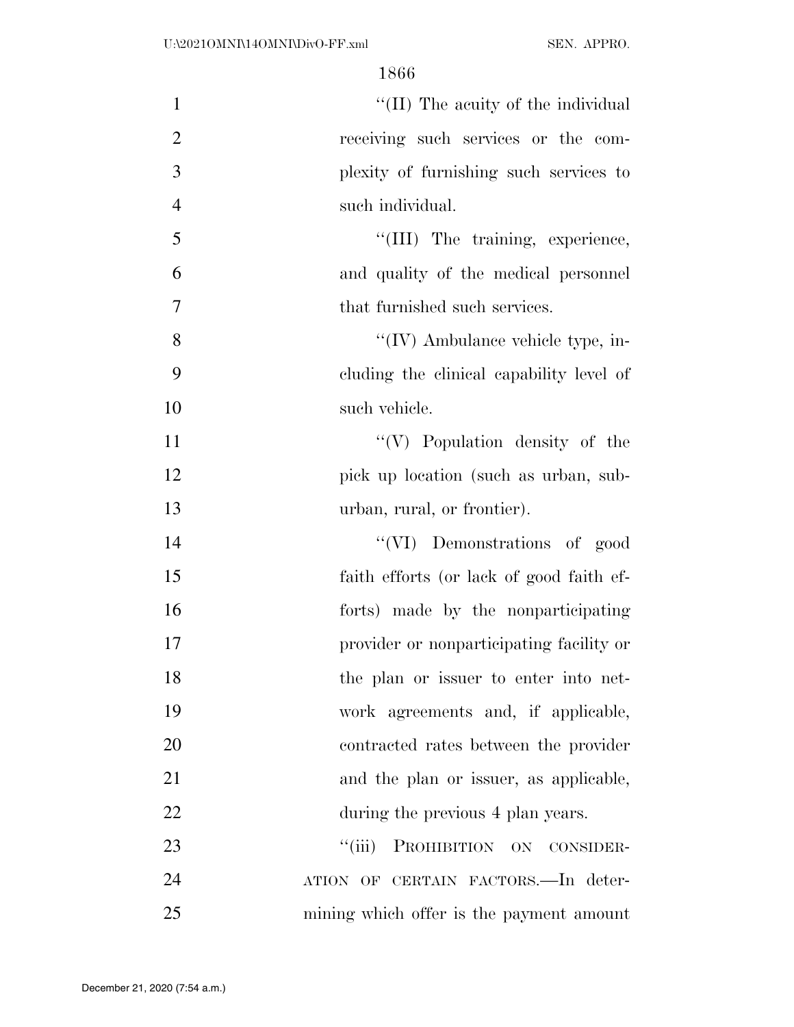$\frac{1}{\text{Im}(\text{Im} \times \text{Im} \times \text{Im} \times \text{Im} \times \text{Im} \times \text{Im} \times \text{Im} \times \text{Im} \times \text{Im} \times \text{Im} \times \text{Im} \times \text{Im} \times \text{Im} \times \text{Im} \times \text{Im} \times \text{Im} \times \text{Im} \times \text{Im} \times \text{Im} \times \text{Im} \times \text{Im} \times \text{Im} \times \text{Im} \times \text{Im} \times \text{Im} \times \text{Im} \times \text{Im} \times \text{Im} \times \text{Im} \times \text{Im} \$  receiving such services or the com- plexity of furnishing such services to such individual.

5  $\frac{1}{11}$  The training, experience, and quality of the medical personnel that furnished such services.

8 ''(IV) Ambulance vehicle type, in- cluding the clinical capability level of such vehicle.

11 ''(V) Population density of the pick up location (such as urban, sub-urban, rural, or frontier).

 ''(VI) Demonstrations of good faith efforts (or lack of good faith ef- forts) made by the nonparticipating provider or nonparticipating facility or the plan or issuer to enter into net- work agreements and, if applicable, contracted rates between the provider and the plan or issuer, as applicable, 22 during the previous 4 plan years.

23 "(iii) PROHIBITION ON CONSIDER- ATION OF CERTAIN FACTORS.—In deter-mining which offer is the payment amount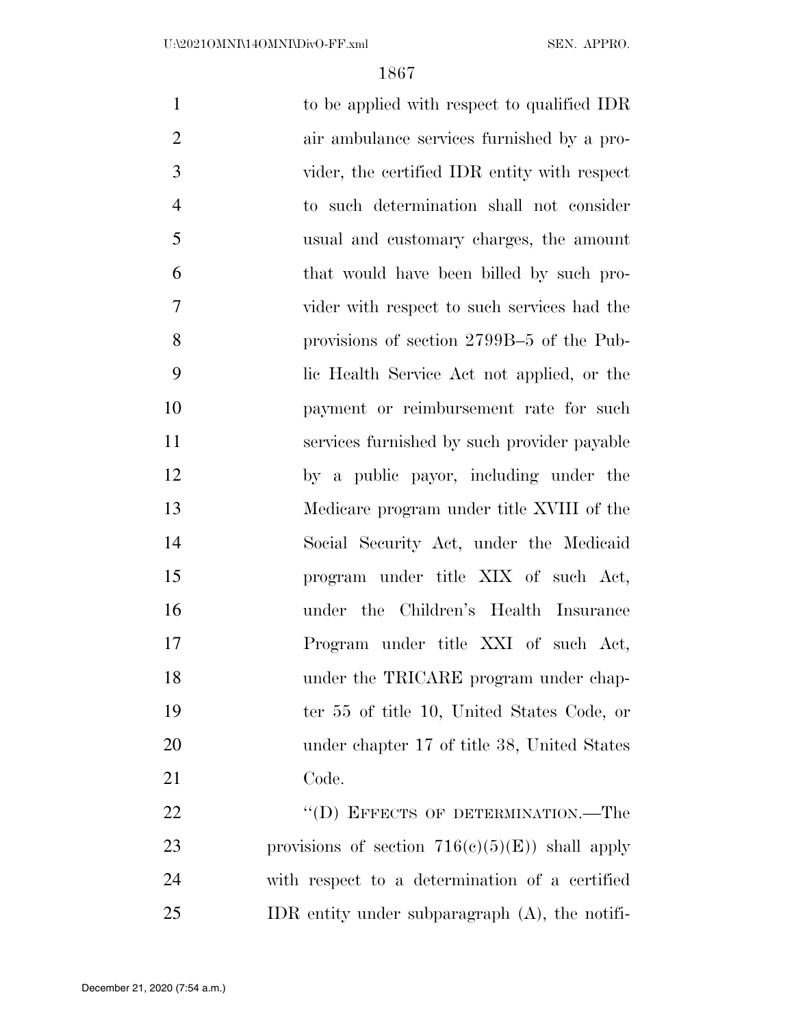| $\mathbf{1}$   | to be applied with respect to qualified IDR        |
|----------------|----------------------------------------------------|
| $\overline{2}$ | air ambulance services furnished by a pro-         |
| 3              | vider, the certified IDR entity with respect       |
| $\overline{4}$ | to such determination shall not consider           |
| 5              | usual and customary charges, the amount            |
| 6              | that would have been billed by such pro-           |
| 7              | vider with respect to such services had the        |
| 8              | provisions of section 2799B-5 of the Pub-          |
| 9              | lic Health Service Act not applied, or the         |
| 10             | payment or reimbursement rate for such             |
| 11             | services furnished by such provider payable        |
| 12             | by a public payor, including under the             |
| 13             | Medicare program under title XVIII of the          |
| 14             | Social Security Act, under the Medicaid            |
| 15             | program under title XIX of such Act,               |
| 16             | under the Children's Health Insurance              |
| 17             | Program under title XXI of such Act,               |
| 18             | under the TRICARE program under chap-              |
| 19             | ter 55 of title 10, United States Code, or         |
| 20             | under chapter 17 of title 38, United States        |
| 21             | Code.                                              |
| 22             | "(D) EFFECTS OF DETERMINATION.—The                 |
| 23             | provisions of section $716(c)(5)(E)$ ) shall apply |
| 24             | with respect to a determination of a certified     |
| 25             | IDR entity under subparagraph $(A)$ , the notifi-  |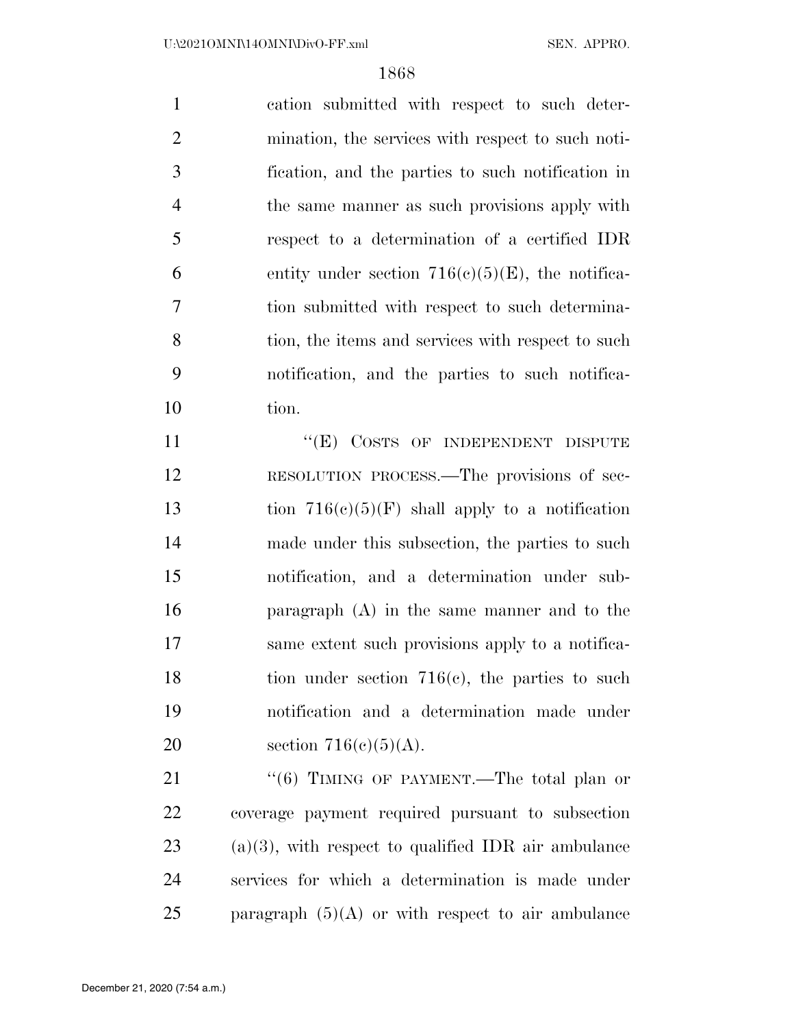cation submitted with respect to such deter- mination, the services with respect to such noti- fication, and the parties to such notification in the same manner as such provisions apply with respect to a determination of a certified IDR 6 entity under section  $716(e)(5)(E)$ , the notifica- tion submitted with respect to such determina-8 tion, the items and services with respect to such notification, and the parties to such notifica-10 tion.

11 "(E) COSTS OF INDEPENDENT DISPUTE RESOLUTION PROCESS.—The provisions of sec-13 tion  $716(c)(5)(F)$  shall apply to a notification made under this subsection, the parties to such notification, and a determination under sub- paragraph (A) in the same manner and to the same extent such provisions apply to a notifica-18 tion under section 716(c), the parties to such notification and a determination made under 20 section  $716(c)(5)(A)$ .

21 "(6) TIMING OF PAYMENT.—The total plan or coverage payment required pursuant to subsection 23 (a)(3), with respect to qualified IDR air ambulance services for which a determination is made under paragraph (5)(A) or with respect to air ambulance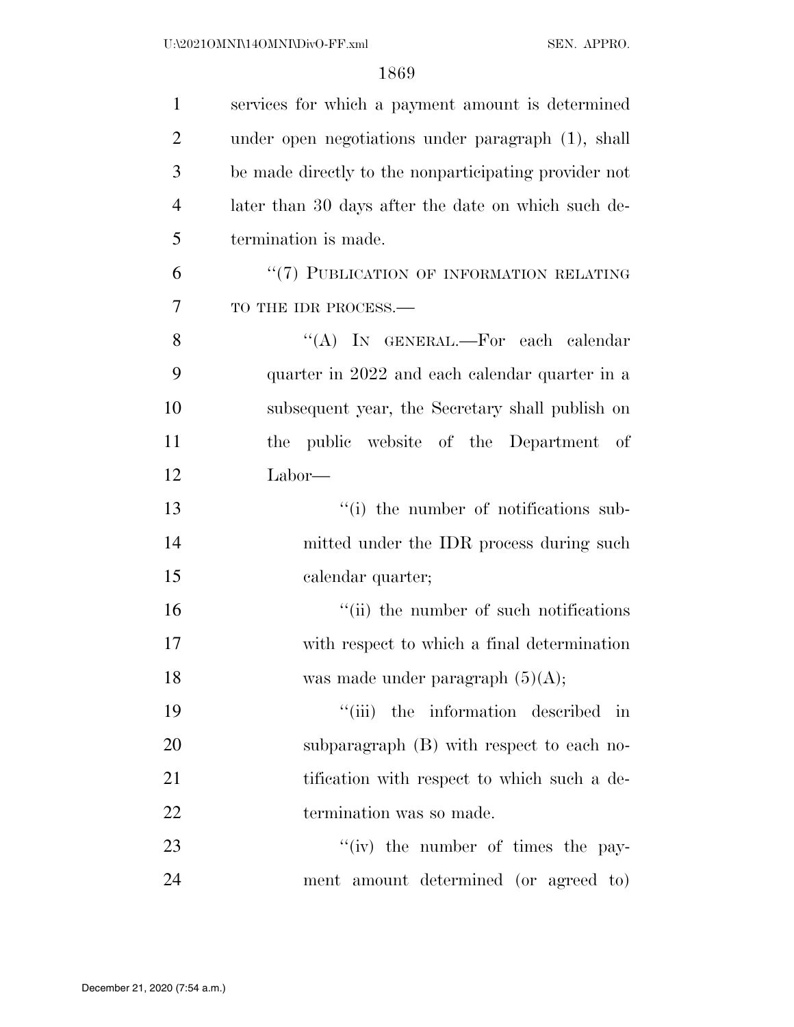| $\mathbf{1}$   | services for which a payment amount is determined     |
|----------------|-------------------------------------------------------|
| $\overline{2}$ | under open negotiations under paragraph (1), shall    |
| 3              | be made directly to the nonparticipating provider not |
| $\overline{4}$ | later than 30 days after the date on which such de-   |
| 5              | termination is made.                                  |
| 6              | "(7) PUBLICATION OF INFORMATION RELATING              |
| 7              | TO THE IDR PROCESS.-                                  |
| 8              | "(A) IN GENERAL.—For each calendar                    |
| 9              | quarter in 2022 and each calendar quarter in a        |
| 10             | subsequent year, the Secretary shall publish on       |
| 11             | public website of the Department of<br>the            |
| 12             | Labor—                                                |
| 13             | "(i) the number of notifications sub-                 |
| 14             | mitted under the IDR process during such              |
| 15             | calendar quarter;                                     |
| 16             | "(ii) the number of such notifications                |
| 17             | with respect to which a final determination           |
| 18             | was made under paragraph $(5)(A)$ ;                   |
| 19             | "(iii) the information described in                   |
| 20             | subparagraph (B) with respect to each no-             |
| 21             | tification with respect to which such a de-           |
| 22             | termination was so made.                              |
| 23             | $``(iv)$ the number of times the pay-                 |
| 24             | ment amount determined (or agreed to)                 |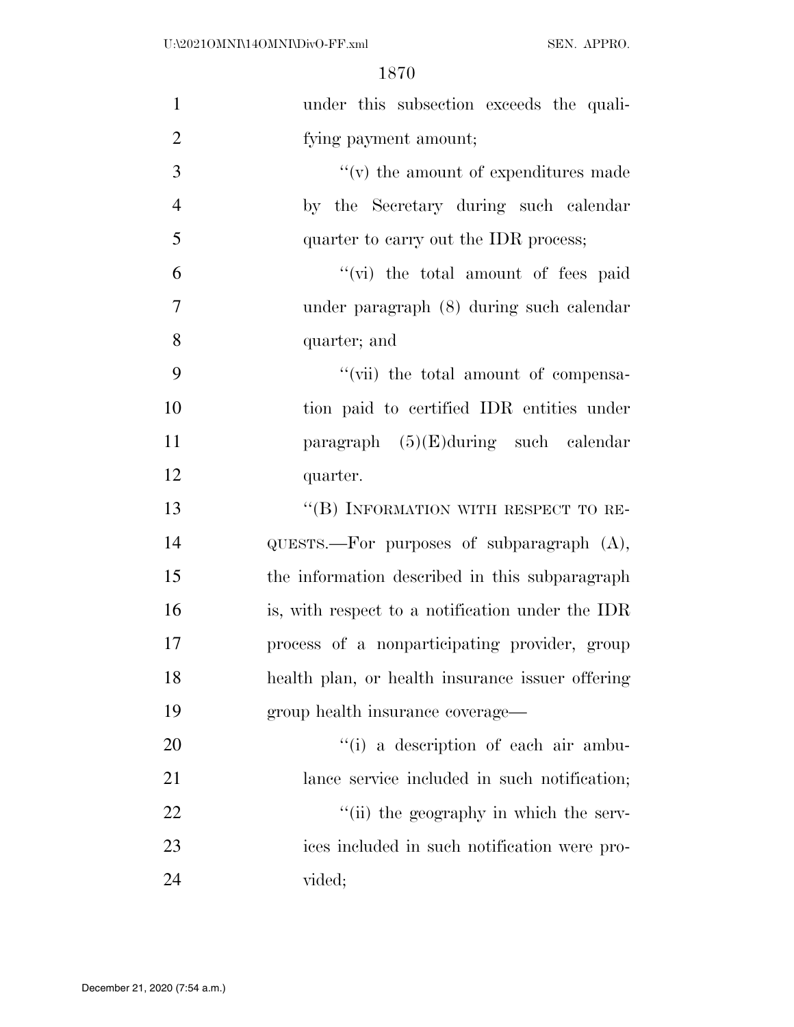| $\mathbf{1}$   | under this subsection exceeds the quali-         |
|----------------|--------------------------------------------------|
| $\overline{2}$ | fying payment amount;                            |
| 3              | $f'(v)$ the amount of expenditures made          |
| $\overline{4}$ | by the Secretary during such calendar            |
| 5              | quarter to carry out the IDR process;            |
| 6              | "(vi) the total amount of fees paid              |
| $\overline{7}$ | under paragraph (8) during such calendar         |
| 8              | quarter; and                                     |
| 9              | "(vii) the total amount of compensa-             |
| 10             | tion paid to certified IDR entities under        |
| 11             | paragraph $(5)(E)$ during such calendar          |
| 12             | quarter.                                         |
| 13             | "(B) INFORMATION WITH RESPECT TO RE-             |
| 14             | QUESTS.—For purposes of subparagraph (A),        |
| 15             | the information described in this subparagraph   |
| 16             | is, with respect to a notification under the IDR |
| 17             | process of a nonparticipating provider, group    |
| 18             | health plan, or health insurance issuer offering |
| 19             | group health insurance coverage—                 |
| 20             | "(i) a description of each air ambu-             |
| 21             | lance service included in such notification;     |
| 22             | "(ii) the geography in which the serv-           |
| 23             | ices included in such notification were pro-     |
| 24             | vided;                                           |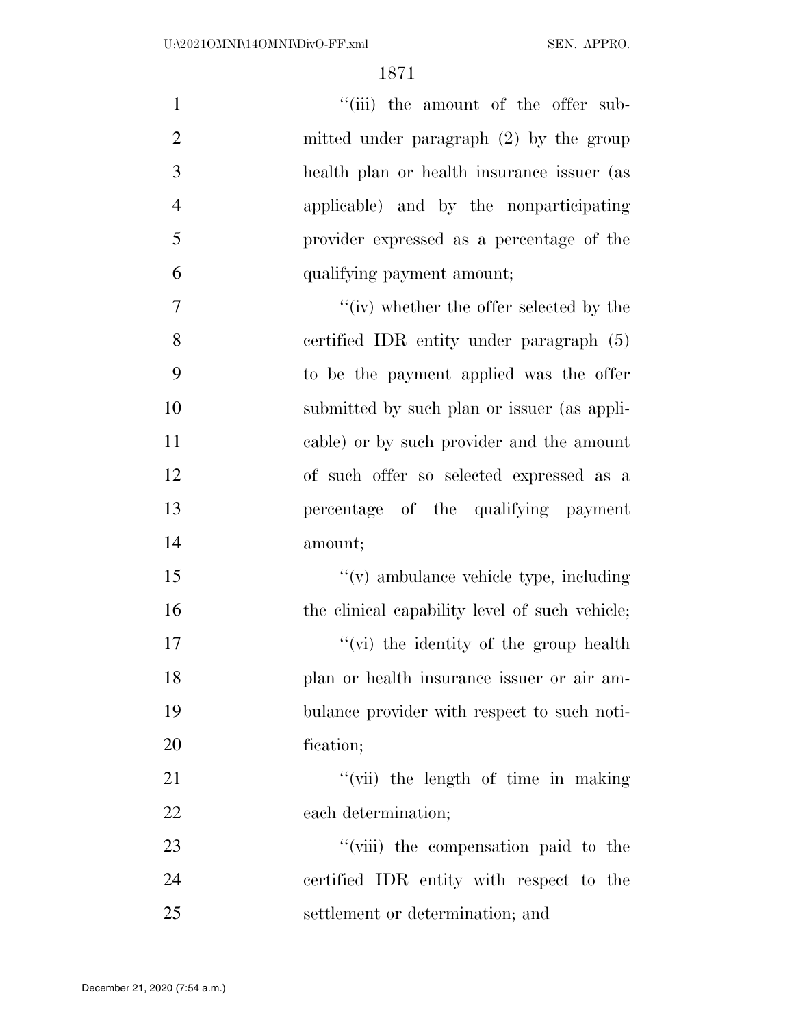| $\mathbf{1}$   | "(iii) the amount of the offer sub-            |
|----------------|------------------------------------------------|
| $\overline{2}$ | mitted under paragraph $(2)$ by the group      |
| 3              | health plan or health insurance issuer (as     |
| $\overline{4}$ | applicable) and by the nonparticipating        |
| 5              | provider expressed as a percentage of the      |
| 6              | qualifying payment amount;                     |
| 7              | "(iv) whether the offer selected by the        |
| 8              | certified IDR entity under paragraph (5)       |
| 9              | to be the payment applied was the offer        |
| 10             | submitted by such plan or issuer (as appli-    |
| 11             | cable) or by such provider and the amount      |
| 12             | of such offer so selected expressed as a       |
| 13             | percentage of the qualifying payment           |
| 14             | amount;                                        |
| 15             | $f'(v)$ ambulance vehicle type, including      |
| 16             | the clinical capability level of such vehicle; |
| 17             | "(vi) the identity of the group health         |
| 18             | plan or health insurance issuer or air am-     |
| 19             | bulance provider with respect to such noti-    |
| 20             | fication;                                      |
| 21             | "(vii) the length of time in making            |
| 22             | each determination;                            |
| 23             | "(viii) the compensation paid to the           |
| 24             | certified IDR entity with respect to the       |
| 25             | settlement or determination; and               |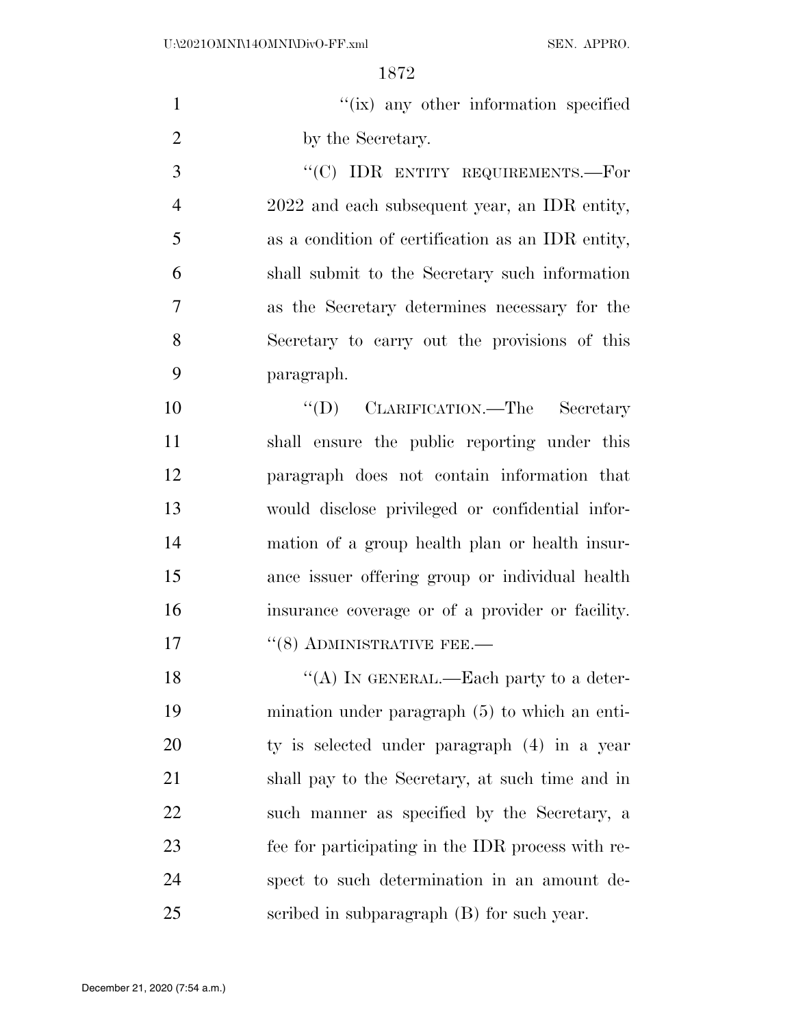| $\mathbf{1}$   | "(ix) any other information specified             |
|----------------|---------------------------------------------------|
| $\overline{2}$ | by the Secretary.                                 |
| 3              | "(C) IDR ENTITY REQUIREMENTS.—For                 |
| $\overline{4}$ | 2022 and each subsequent year, an IDR entity,     |
| 5              | as a condition of certification as an IDR entity, |
| 6              | shall submit to the Secretary such information    |
| 7              | as the Secretary determines necessary for the     |
| 8              | Secretary to carry out the provisions of this     |
| 9              | paragraph.                                        |
| 10             | "(D) CLARIFICATION.—The Secretary                 |
| 11             | shall ensure the public reporting under this      |
| 12             | paragraph does not contain information that       |
| 13             | would disclose privileged or confidential infor-  |
| 14             | mation of a group health plan or health insur-    |
| 15             | ance issuer offering group or individual health   |
| 16             | insurance coverage or of a provider or facility.  |
| 17             | $``(8)$ ADMINISTRATIVE FEE.—                      |
| 18             | "(A) IN GENERAL.—Each party to a deter-           |
| 19             | mination under paragraph $(5)$ to which an enti-  |
| 20             | ty is selected under paragraph (4) in a year      |
| 21             | shall pay to the Secretary, at such time and in   |
| 22             | such manner as specified by the Secretary, a      |
| 23             | fee for participating in the IDR process with re- |
| 24             | spect to such determination in an amount de-      |
| 25             | scribed in subparagraph (B) for such year.        |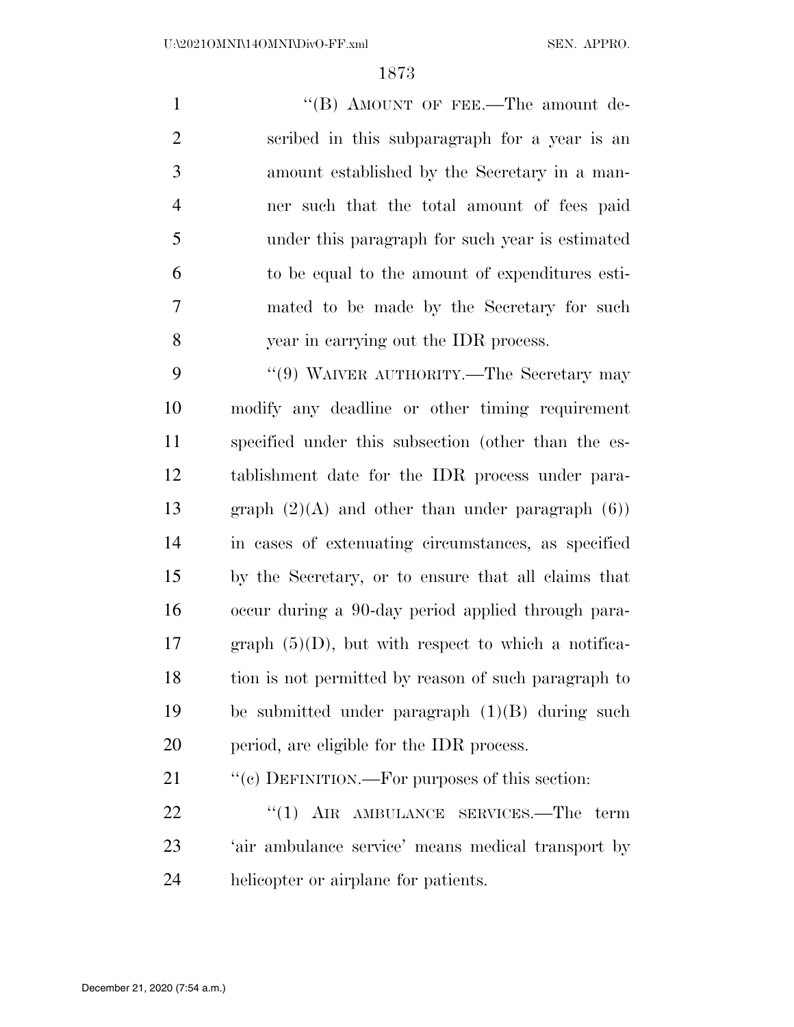1 "'(B) AMOUNT OF FEE.—The amount de- scribed in this subparagraph for a year is an amount established by the Secretary in a man- ner such that the total amount of fees paid under this paragraph for such year is estimated to be equal to the amount of expenditures esti- mated to be made by the Secretary for such year in carrying out the IDR process.

9 "(9) WAIVER AUTHORITY.—The Secretary may modify any deadline or other timing requirement specified under this subsection (other than the es- tablishment date for the IDR process under para-13 graph  $(2)(A)$  and other than under paragraph  $(6)$ ) in cases of extenuating circumstances, as specified by the Secretary, or to ensure that all claims that occur during a 90-day period applied through para-17 graph  $(5)(D)$ , but with respect to which a notifica- tion is not permitted by reason of such paragraph to be submitted under paragraph (1)(B) during such period, are eligible for the IDR process.

21 "(c) DEFINITION.—For purposes of this section:

22 "(1) AIR AMBULANCE SERVICES.—The term 'air ambulance service' means medical transport by helicopter or airplane for patients.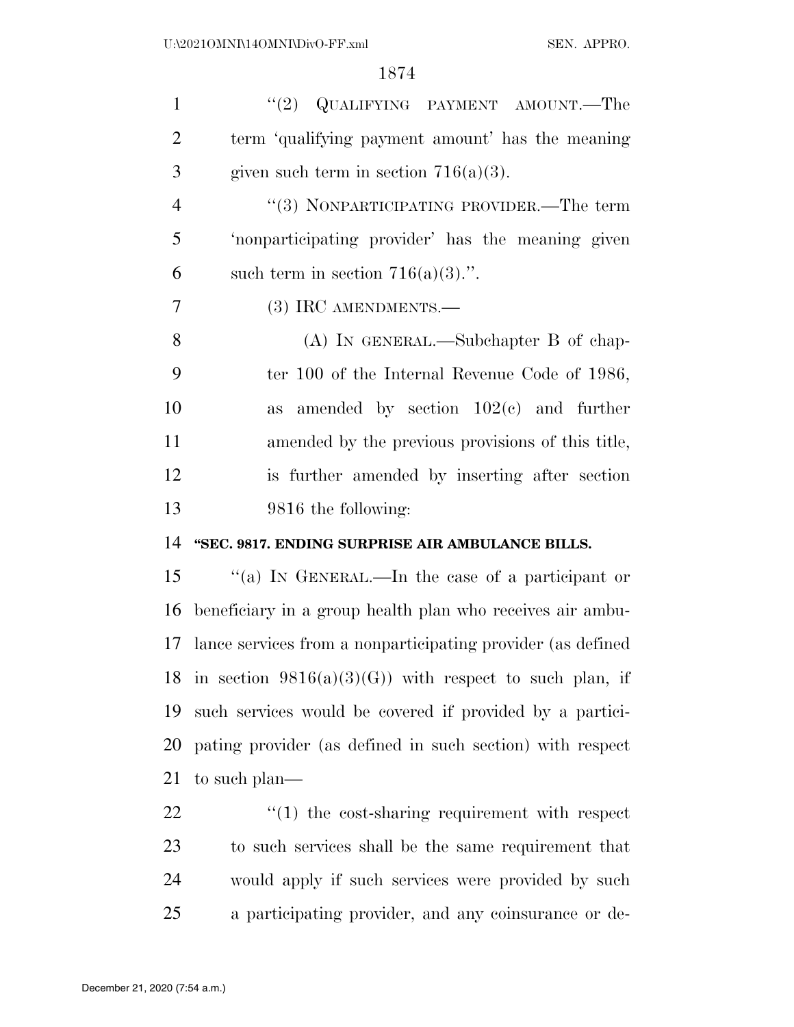| $\mathbf{1}$   | "(2) QUALIFYING PAYMENT AMOUNT.—The                         |
|----------------|-------------------------------------------------------------|
| $\overline{2}$ | term 'qualifying payment amount' has the meaning            |
| 3              | given such term in section $716(a)(3)$ .                    |
| $\overline{4}$ | "(3) NONPARTICIPATING PROVIDER.—The term                    |
| 5              | 'nonparticipating provider' has the meaning given           |
| 6              | such term in section $716(a)(3)$ .".                        |
| 7              | (3) IRC AMENDMENTS.—                                        |
| 8              | $(A)$ In GENERAL.—Subchapter B of chap-                     |
| 9              | ter 100 of the Internal Revenue Code of 1986,               |
| 10             | amended by section $102(e)$ and further<br>as               |
| 11             | amended by the previous provisions of this title,           |
| 12             | is further amended by inserting after section               |
| 13             | 9816 the following:                                         |
| 14             | "SEC. 9817. ENDING SURPRISE AIR AMBULANCE BILLS.            |
| 15             | "(a) IN GENERAL.—In the case of a participant or            |
| 16             | beneficiary in a group health plan who receives air ambu-   |
| 17             | lance services from a nonparticipating provider (as defined |
| 18             | in section $9816(a)(3)(G)$ with respect to such plan, if    |
| 19             | such services would be covered if provided by a partici-    |
| 20             | pating provider (as defined in such section) with respect   |
| 21             | to such plan—                                               |

22 ''(1) the cost-sharing requirement with respect to such services shall be the same requirement that would apply if such services were provided by such a participating provider, and any coinsurance or de-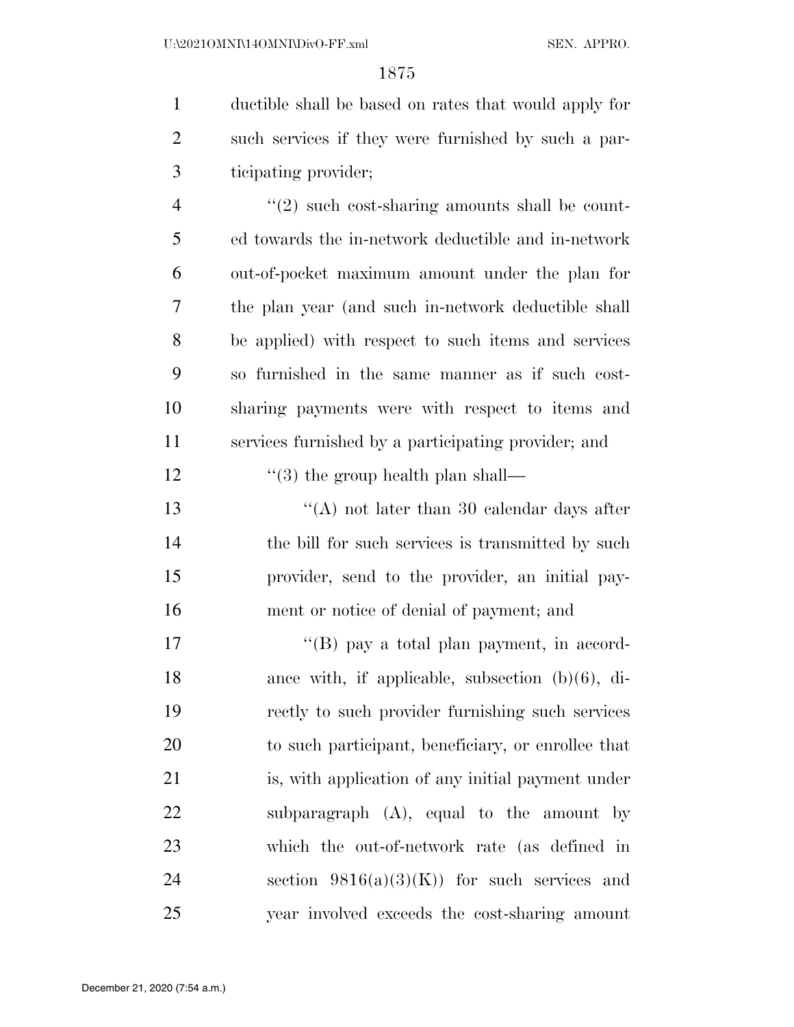ductible shall be based on rates that would apply for such services if they were furnished by such a par-ticipating provider;

 $\frac{4}{2}$  ''(2) such cost-sharing amounts shall be count- ed towards the in-network deductible and in-network out-of-pocket maximum amount under the plan for the plan year (and such in-network deductible shall be applied) with respect to such items and services so furnished in the same manner as if such cost- sharing payments were with respect to items and services furnished by a participating provider; and

12 ''(3) the group health plan shall—

13 ''(A) not later than 30 calendar days after 14 the bill for such services is transmitted by such provider, send to the provider, an initial pay-ment or notice of denial of payment; and

17 ''(B) pay a total plan payment, in accord- ance with, if applicable, subsection (b)(6), di- rectly to such provider furnishing such services to such participant, beneficiary, or enrollee that is, with application of any initial payment under subparagraph (A), equal to the amount by which the out-of-network rate (as defined in 24 section  $9816(a)(3)(K)$  for such services and year involved exceeds the cost-sharing amount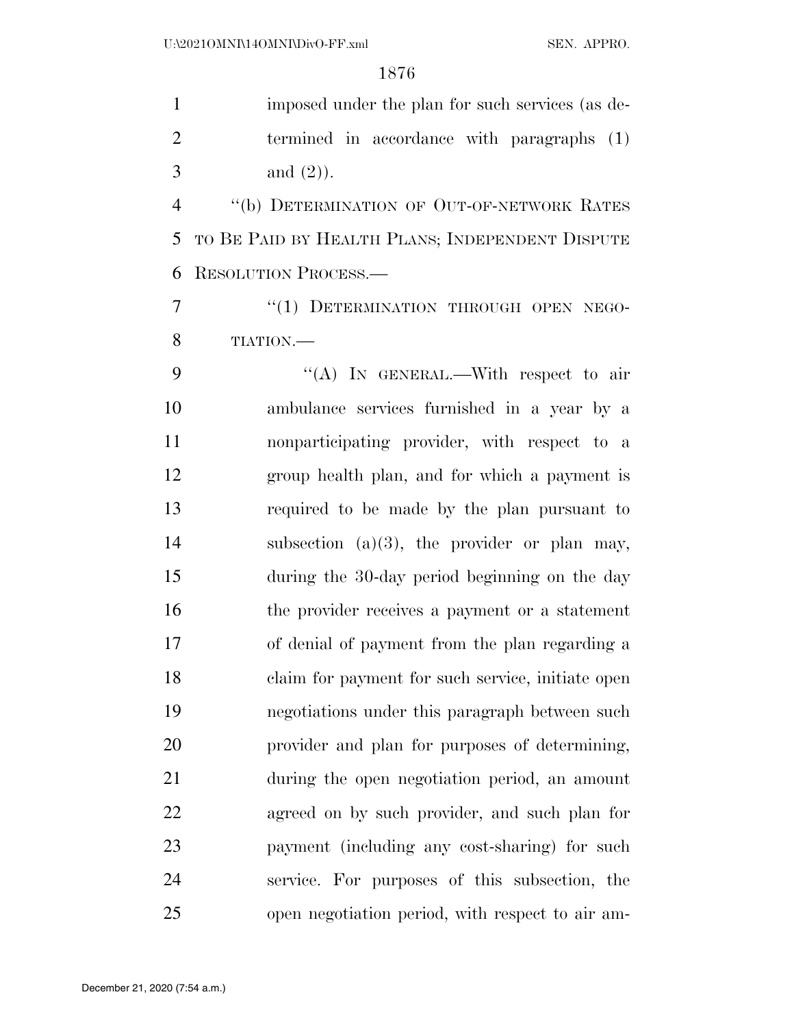imposed under the plan for such services (as de- termined in accordance with paragraphs (1) 3 and  $(2)$ ). ''(b) DETERMINATION OF OUT-OF-NETWORK RATES TO BE PAID BY HEALTH PLANS; INDEPENDENT DISPUTE RESOLUTION PROCESS.— 7 "(1) DETERMINATION THROUGH OPEN NEGO- TIATION.— 9 "(A) In GENERAL.—With respect to air ambulance services furnished in a year by a nonparticipating provider, with respect to a group health plan, and for which a payment is required to be made by the plan pursuant to subsection (a)(3), the provider or plan may, during the 30-day period beginning on the day the provider receives a payment or a statement of denial of payment from the plan regarding a claim for payment for such service, initiate open negotiations under this paragraph between such provider and plan for purposes of determining, during the open negotiation period, an amount agreed on by such provider, and such plan for payment (including any cost-sharing) for such service. For purposes of this subsection, the open negotiation period, with respect to air am-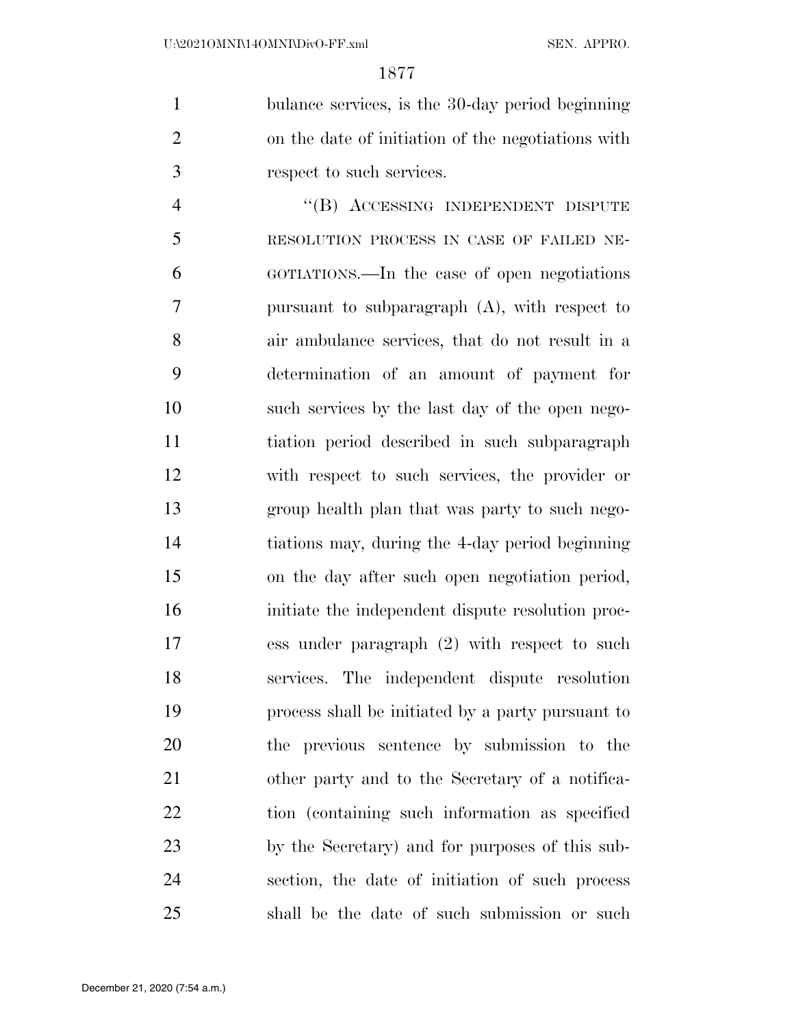bulance services, is the 30-day period beginning on the date of initiation of the negotiations with respect to such services.

4 "(B) ACCESSING INDEPENDENT DISPUTE RESOLUTION PROCESS IN CASE OF FAILED NE- GOTIATIONS.—In the case of open negotiations pursuant to subparagraph (A), with respect to air ambulance services, that do not result in a determination of an amount of payment for such services by the last day of the open nego- tiation period described in such subparagraph with respect to such services, the provider or group health plan that was party to such nego- tiations may, during the 4-day period beginning on the day after such open negotiation period, initiate the independent dispute resolution proc- ess under paragraph (2) with respect to such services. The independent dispute resolution process shall be initiated by a party pursuant to the previous sentence by submission to the other party and to the Secretary of a notifica- tion (containing such information as specified by the Secretary) and for purposes of this sub- section, the date of initiation of such process shall be the date of such submission or such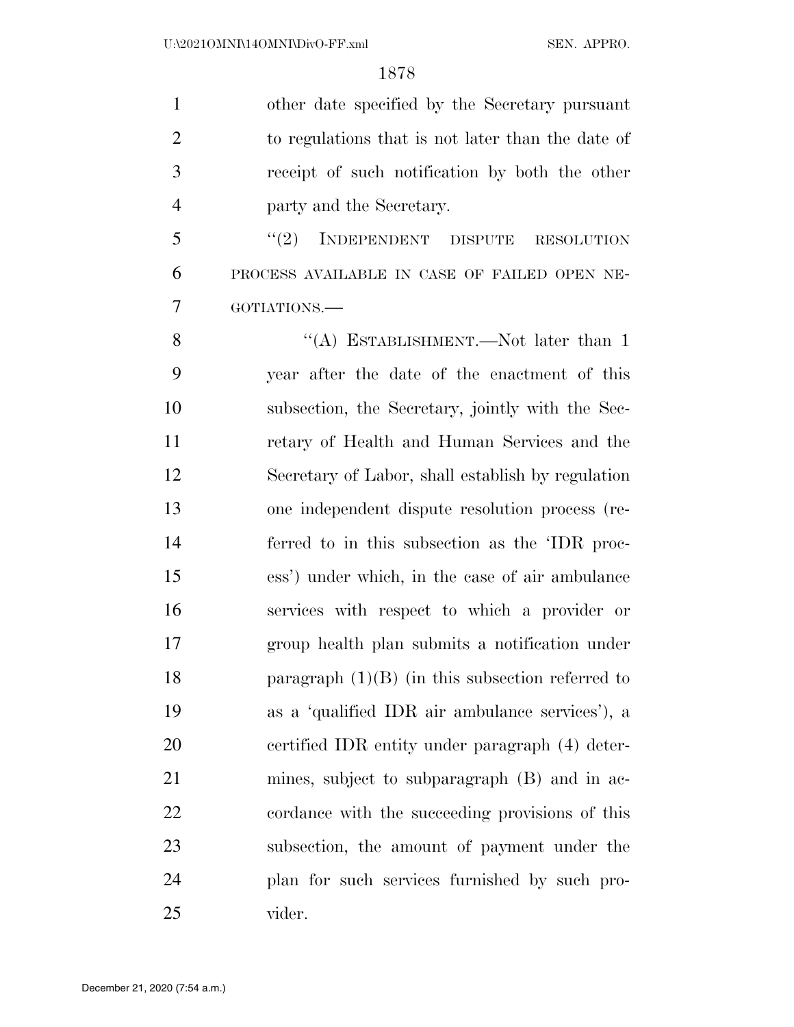other date specified by the Secretary pursuant to regulations that is not later than the date of receipt of such notification by both the other party and the Secretary. 5 "(2) INDEPENDENT DISPUTE RESOLUTION PROCESS AVAILABLE IN CASE OF FAILED OPEN NE- GOTIATIONS.— 8 "(A) ESTABLISHMENT.—Not later than 1

 year after the date of the enactment of this subsection, the Secretary, jointly with the Sec- retary of Health and Human Services and the Secretary of Labor, shall establish by regulation one independent dispute resolution process (re- ferred to in this subsection as the 'IDR proc- ess') under which, in the case of air ambulance services with respect to which a provider or group health plan submits a notification under paragraph (1)(B) (in this subsection referred to as a 'qualified IDR air ambulance services'), a certified IDR entity under paragraph (4) deter- mines, subject to subparagraph (B) and in ac- cordance with the succeeding provisions of this subsection, the amount of payment under the plan for such services furnished by such pro-vider.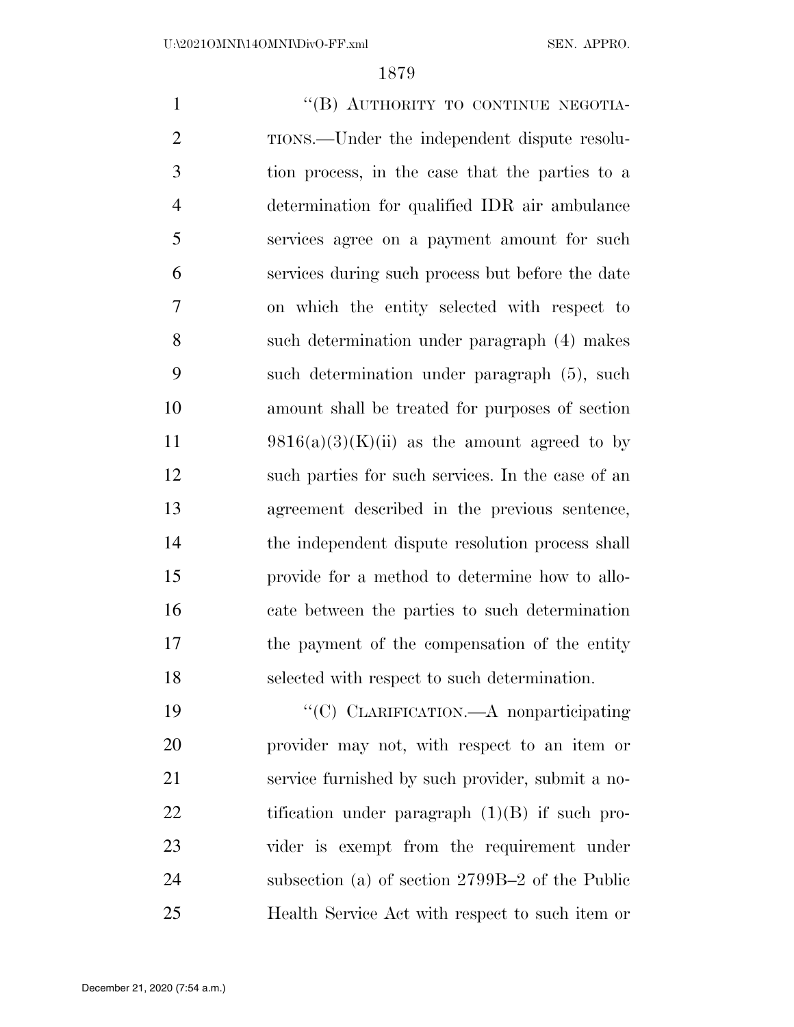1 "(B) AUTHORITY TO CONTINUE NEGOTIA- TIONS.—Under the independent dispute resolu- tion process, in the case that the parties to a determination for qualified IDR air ambulance services agree on a payment amount for such services during such process but before the date on which the entity selected with respect to such determination under paragraph (4) makes such determination under paragraph (5), such amount shall be treated for purposes of section 11 9816(a)(3)(K)(ii) as the amount agreed to by such parties for such services. In the case of an agreement described in the previous sentence, the independent dispute resolution process shall provide for a method to determine how to allo- cate between the parties to such determination the payment of the compensation of the entity selected with respect to such determination. 19 "'(C) CLARIFICATION.—A nonparticipating

 provider may not, with respect to an item or service furnished by such provider, submit a no-22 tification under paragraph (1)(B) if such pro- vider is exempt from the requirement under subsection (a) of section 2799B–2 of the Public Health Service Act with respect to such item or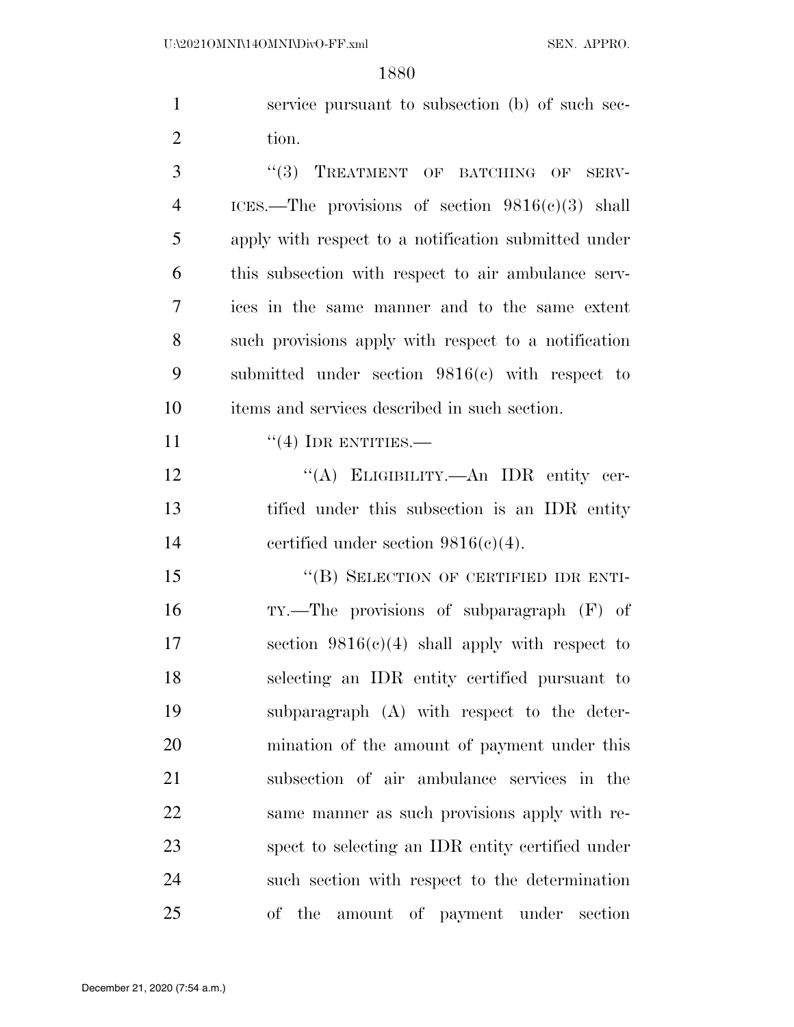service pursuant to subsection (b) of such sec-2 tion.

3 "(3) TREATMENT OF BATCHING OF SERV- ICES.—The provisions of section 9816(c)(3) shall apply with respect to a notification submitted under this subsection with respect to air ambulance serv- ices in the same manner and to the same extent such provisions apply with respect to a notification submitted under section 9816(c) with respect to items and services described in such section.

11  $((4)$  IDR ENTITIES.—

12 "(A) ELIGIBILITY.—An IDR entity cer- tified under this subsection is an IDR entity certified under section 9816(c)(4).

15 "(B) SELECTION OF CERTIFIED IDR ENTI- TY.—The provisions of subparagraph (F) of 17 section  $9816(c)(4)$  shall apply with respect to selecting an IDR entity certified pursuant to subparagraph (A) with respect to the deter- mination of the amount of payment under this subsection of air ambulance services in the same manner as such provisions apply with re- spect to selecting an IDR entity certified under such section with respect to the determination of the amount of payment under section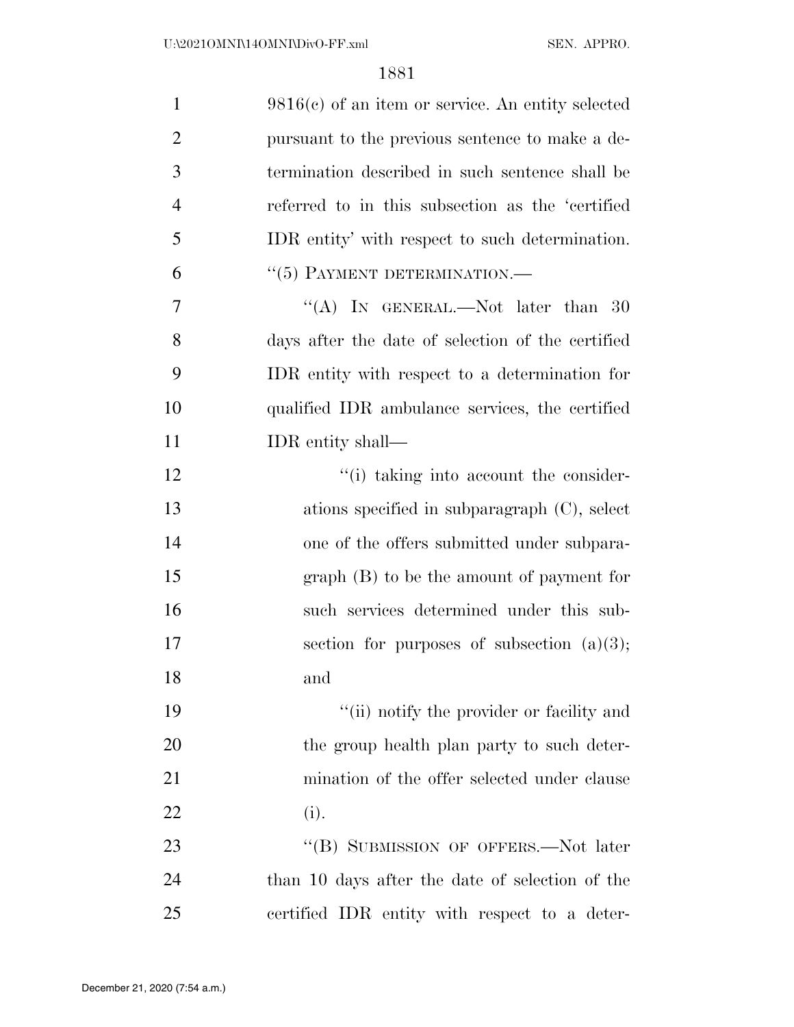| $\mathbf{1}$   | $9816(c)$ of an item or service. An entity selected |
|----------------|-----------------------------------------------------|
| $\overline{2}$ | pursuant to the previous sentence to make a de-     |
| 3              | termination described in such sentence shall be     |
| $\overline{4}$ | referred to in this subsection as the 'certified    |
| 5              | IDR entity' with respect to such determination.     |
| 6              | $``(5)$ PAYMENT DETERMINATION.—                     |
| 7              | "(A) IN GENERAL.—Not later than 30                  |
| 8              | days after the date of selection of the certified   |
| 9              | IDR entity with respect to a determination for      |
| 10             | qualified IDR ambulance services, the certified     |
| 11             | IDR entity shall—                                   |
| 12             | "(i) taking into account the consider-              |
| 13             | ations specified in subparagraph $(C)$ , select     |
| 14             | one of the offers submitted under subpara-          |
| 15             | $graph(B)$ to be the amount of payment for          |
| 16             | such services determined under this sub-            |
| 17             | section for purposes of subsection $(a)(3)$ ;       |
| 18             | and                                                 |
| 19             | "(ii) notify the provider or facility and           |
| 20             | the group health plan party to such deter-          |
| 21             | mination of the offer selected under clause         |
| 22             | (i).                                                |
| 23             | "(B) SUBMISSION OF OFFERS.—Not later                |
| 24             | than 10 days after the date of selection of the     |
| 25             | certified IDR entity with respect to a deter-       |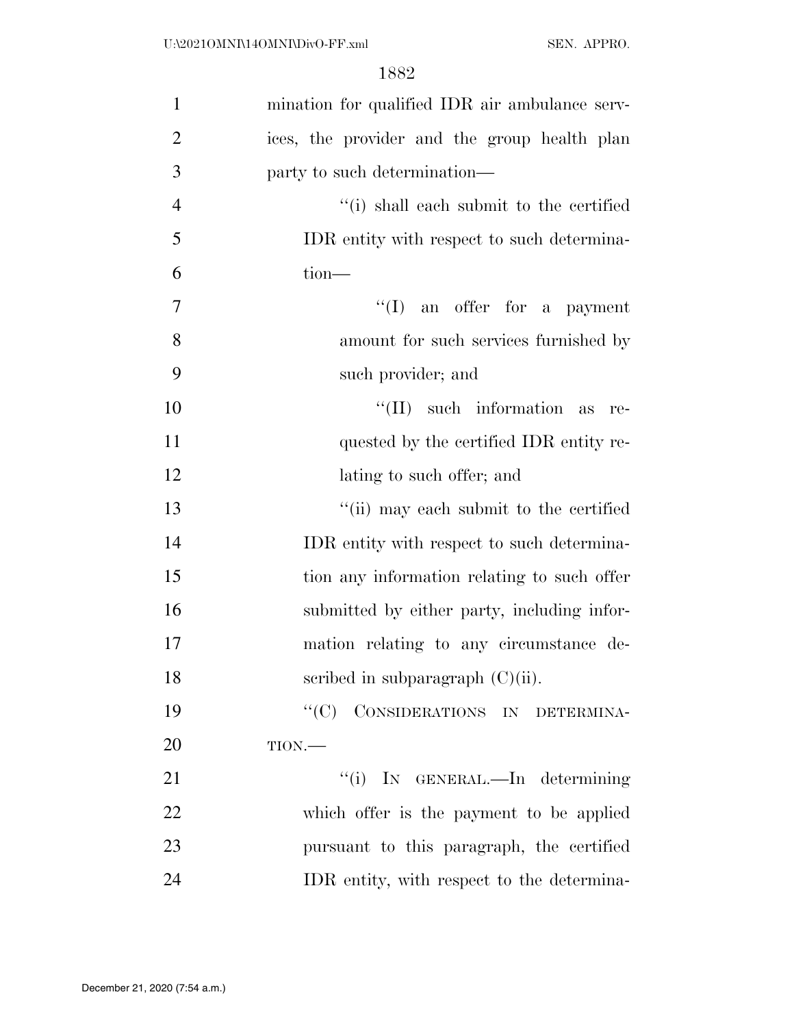| $\mathbf{1}$   | mination for qualified IDR air ambulance serv- |
|----------------|------------------------------------------------|
| $\overline{2}$ | ices, the provider and the group health plan   |
| 3              | party to such determination—                   |
| $\overline{4}$ | "(i) shall each submit to the certified        |
| 5              | IDR entity with respect to such determina-     |
| 6              | $tion$ —                                       |
| 7              | $\lq\lq$ (I) an offer for a payment            |
| 8              | amount for such services furnished by          |
| 9              | such provider; and                             |
| 10             | $\lq\lq$ (II) such information<br>as<br>re-    |
| 11             | quested by the certified IDR entity re-        |
| 12             | lating to such offer; and                      |
| 13             | "(ii) may each submit to the certified         |
| 14             | IDR entity with respect to such determina-     |
| 15             | tion any information relating to such offer    |
| 16             | submitted by either party, including infor-    |
| 17             | mation relating to any circumstance de-        |
| 18             | scribed in subparagraph $(C)(ii)$ .            |
| 19             | "(C) CONSIDERATIONS IN DETERMINA-              |
| 20             | $TION$ .                                       |
| 21             | "(i) IN GENERAL.—In determining                |
| 22             | which offer is the payment to be applied       |
| 23             | pursuant to this paragraph, the certified      |
| 24             | IDR entity, with respect to the determina-     |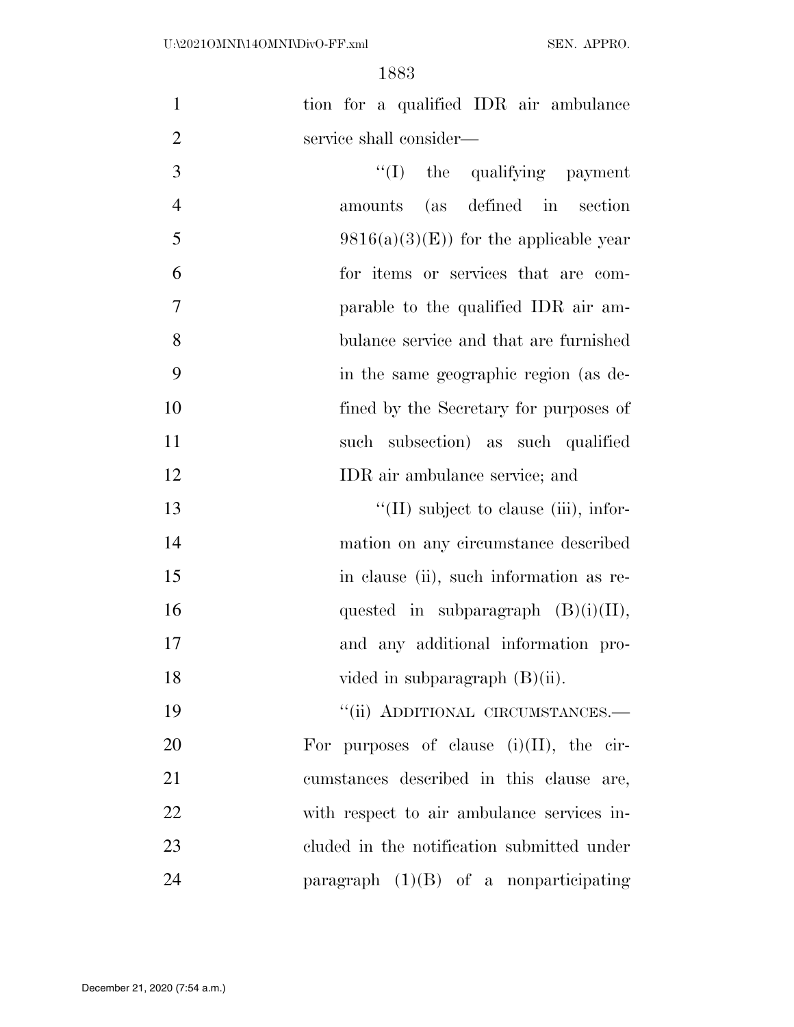| $\mathbf{1}$   | tion for a qualified IDR air ambulance        |
|----------------|-----------------------------------------------|
| $\overline{2}$ | service shall consider—                       |
| 3              | "(I) the qualifying payment                   |
| $\overline{4}$ | amounts (as defined in section                |
| 5              | $9816(a)(3)(E)$ for the applicable year       |
| 6              | for items or services that are com-           |
| $\overline{7}$ | parable to the qualified IDR air am-          |
| 8              | bulance service and that are furnished        |
| 9              | in the same geographic region (as de-         |
| 10             | fined by the Secretary for purposes of        |
| 11             | such subsection) as such qualified            |
| 12             | IDR air ambulance service; and                |
| 13             | $\lq\lq$ (II) subject to clause (iii), infor- |
| 14             | mation on any circumstance described          |
| 15             | in clause (ii), such information as re-       |
| 16             | quested in subparagraph $(B)(i)(II)$ ,        |
| 17             | and any additional information pro-           |
| 18             | vided in subparagraph $(B)(ii)$ .             |
| 19             | "(ii) ADDITIONAL CIRCUMSTANCES.-              |
| 20             | For purposes of clause $(i)(II)$ , the cir-   |
| 21             | cumstances described in this clause are,      |
| 22             | with respect to air ambulance services in-    |
| 23             | cluded in the notification submitted under    |
| 24             | paragraph $(1)(B)$ of a nonparticipating      |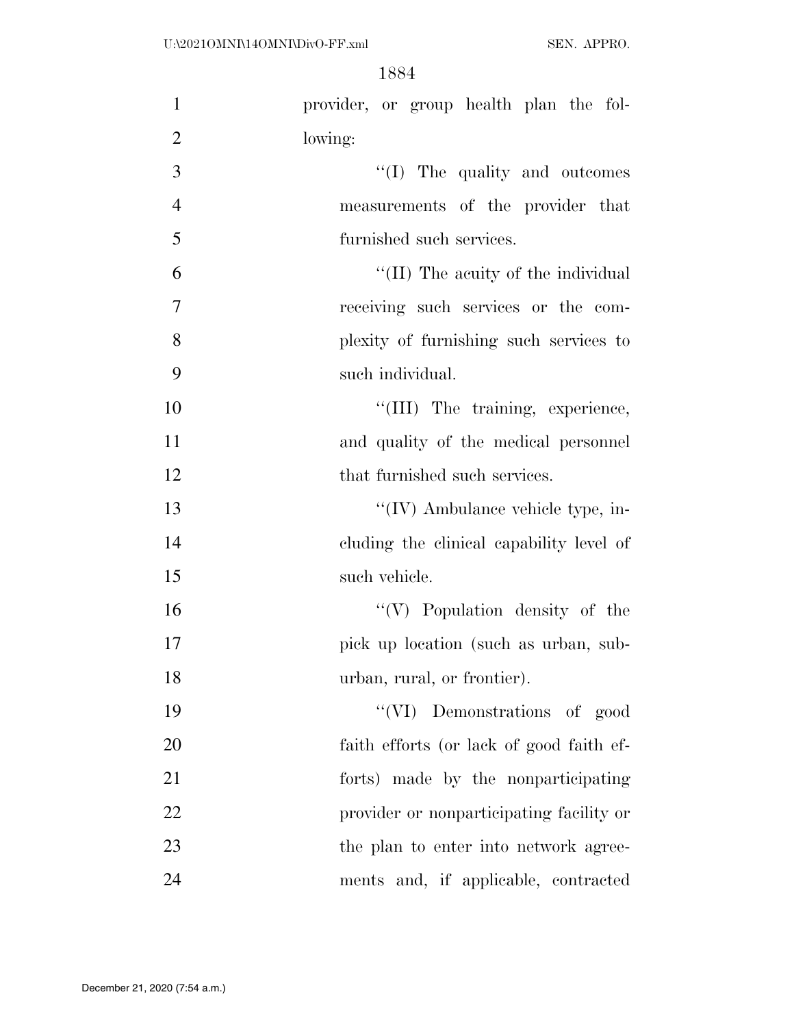| $\mathbf{1}$   | provider, or group health plan the fol-   |
|----------------|-------------------------------------------|
| $\overline{2}$ | lowing:                                   |
| 3              | $\lq\lq$ (I) The quality and outcomes     |
| $\overline{4}$ | measurements of the provider that         |
| 5              | furnished such services.                  |
| 6              | "(II) The acuity of the individual        |
| $\tau$         | receiving such services or the com-       |
| 8              | plexity of furnishing such services to    |
| 9              | such individual.                          |
| 10             | "(III) The training, experience,          |
| 11             | and quality of the medical personnel      |
| 12             | that furnished such services.             |
| 13             | $\lq\lq$ (IV) Ambulance vehicle type, in- |
| 14             | cluding the clinical capability level of  |
| 15             | such vehicle.                             |
| 16             | $\lq\lq(V)$ Population density of the     |
| 17             | pick up location (such as urban, sub-     |
| 18             | urban, rural, or frontier).               |
| 19             | "(VI) Demonstrations of good              |
| 20             | faith efforts (or lack of good faith ef-  |
| 21             | forts) made by the nonparticipating       |
| 22             | provider or nonparticipating facility or  |
| 23             | the plan to enter into network agree-     |
| 24             | ments and, if applicable, contracted      |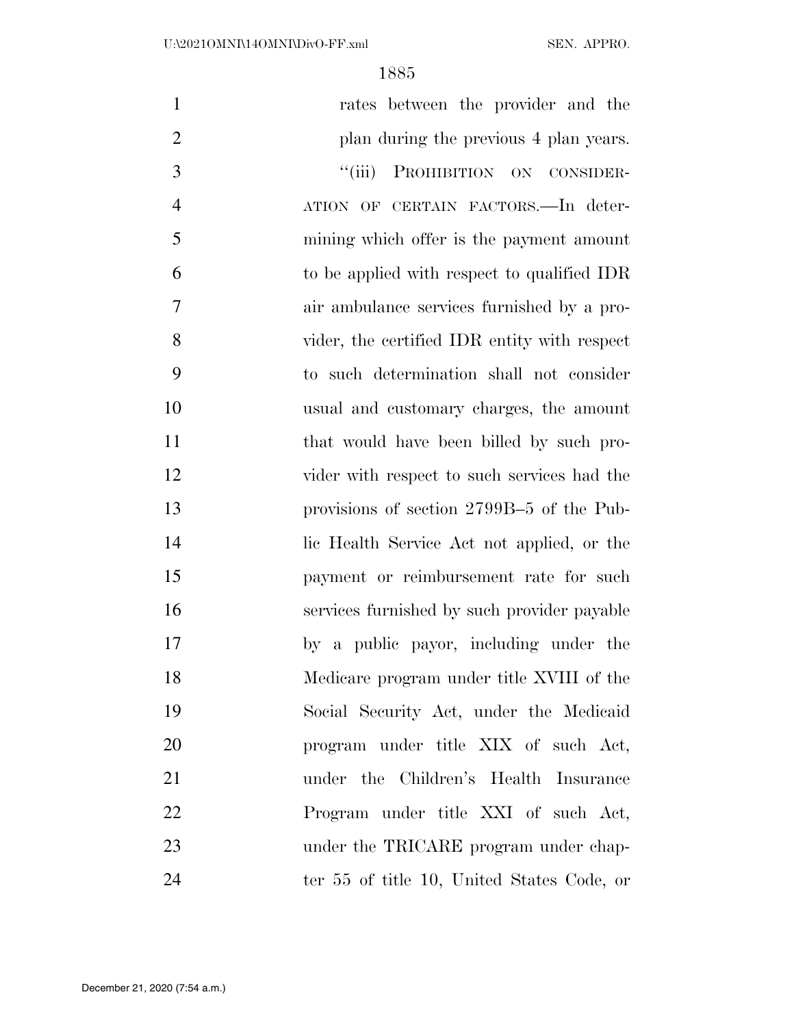| $\mathbf{1}$   | rates between the provider and the           |
|----------------|----------------------------------------------|
| $\overline{2}$ | plan during the previous 4 plan years.       |
| 3              | ``(iii)<br>PROHIBITION ON CONSIDER-          |
| $\overline{4}$ | ATION OF CERTAIN FACTORS. In deter-          |
| 5              | mining which offer is the payment amount     |
| 6              | to be applied with respect to qualified IDR  |
| $\overline{7}$ | air ambulance services furnished by a pro-   |
| 8              | vider, the certified IDR entity with respect |
| 9              | to such determination shall not consider     |
| 10             | usual and customary charges, the amount      |
| 11             | that would have been billed by such pro-     |
| 12             | vider with respect to such services had the  |
| 13             | provisions of section 2799B-5 of the Pub-    |
| 14             | lic Health Service Act not applied, or the   |
| 15             | payment or reimbursement rate for such       |
| 16             | services furnished by such provider payable  |
| 17             | by a public payor, including under the       |
| 18             | Medicare program under title XVIII of the    |
| 19             | Social Security Act, under the Medicaid      |
| 20             | program under title XIX of such Act,         |
| 21             | under the Children's Health Insurance        |
| 22             | Program under title XXI of such Act,         |
| 23             | under the TRICARE program under chap-        |
| 24             | ter 55 of title 10, United States Code, or   |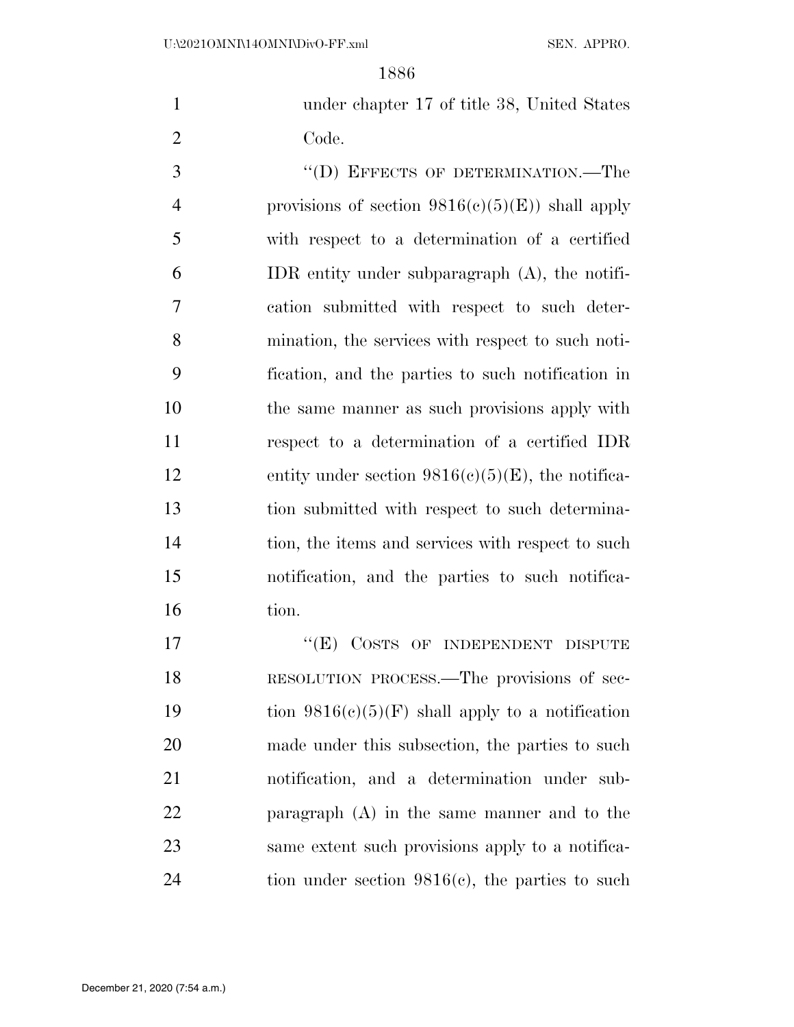under chapter 17 of title 38, United States Code.

3 "(D) EFFECTS OF DETERMINATION.—The 4 provisions of section  $9816(c)(5)(E)$  shall apply with respect to a determination of a certified IDR entity under subparagraph (A), the notifi- cation submitted with respect to such deter- mination, the services with respect to such noti- fication, and the parties to such notification in the same manner as such provisions apply with respect to a determination of a certified IDR 12 entity under section  $9816(c)(5)(E)$ , the notifica- tion submitted with respect to such determina-14 tion, the items and services with respect to such notification, and the parties to such notifica-tion.

17 "(E) COSTS OF INDEPENDENT DISPUTE RESOLUTION PROCESS.—The provisions of sec-19 tion  $9816(c)(5)(F)$  shall apply to a notification made under this subsection, the parties to such notification, and a determination under sub- paragraph (A) in the same manner and to the same extent such provisions apply to a notifica-tion under section 9816(c), the parties to such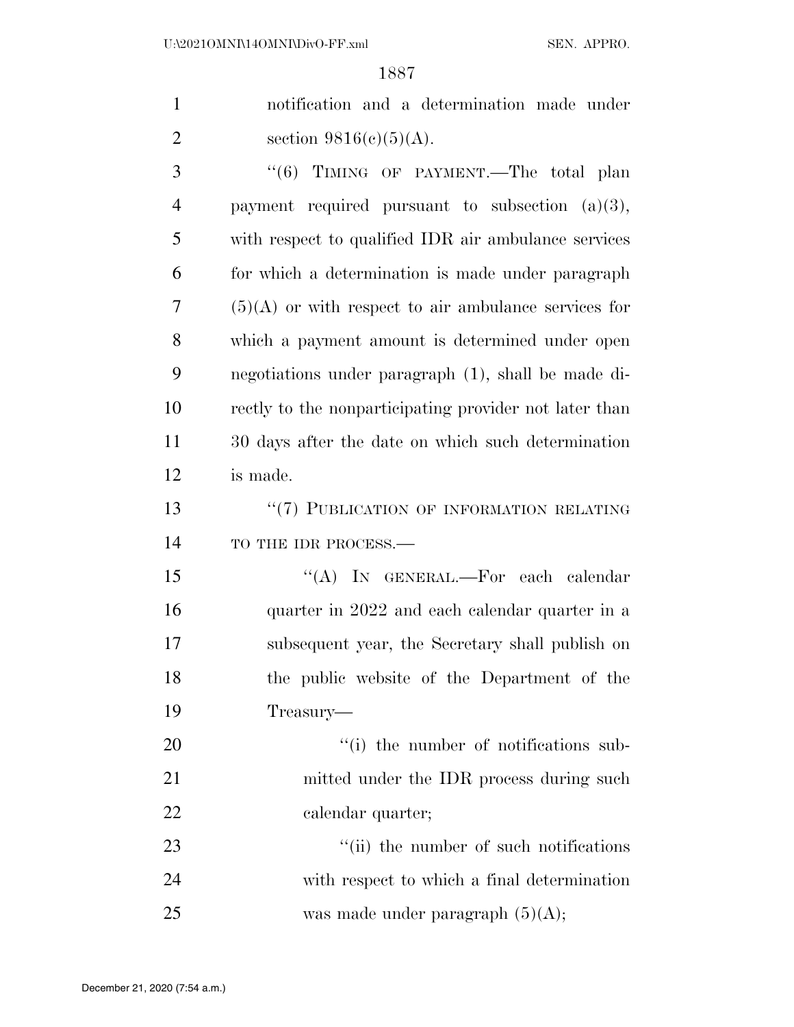1 notification and a determination made under 2 section  $9816(c)(5)(A)$ .

3 "(6) TIMING OF PAYMENT.—The total plan payment required pursuant to subsection (a)(3), with respect to qualified IDR air ambulance services for which a determination is made under paragraph (5)(A) or with respect to air ambulance services for which a payment amount is determined under open negotiations under paragraph (1), shall be made di- rectly to the nonparticipating provider not later than 30 days after the date on which such determination is made.

13 "(7) PUBLICATION OF INFORMATION RELATING 14 TO THE IDR PROCESS.—

15 "(A) In GENERAL.—For each calendar quarter in 2022 and each calendar quarter in a subsequent year, the Secretary shall publish on the public website of the Department of the Treasury—

20  $\frac{1}{1}$  the number of notifications sub-21 mitted under the IDR process during such 22 calendar quarter;

23  $\frac{1}{1}$  the number of such notifications 24 with respect to which a final determination 25 was made under paragraph  $(5)(A)$ ;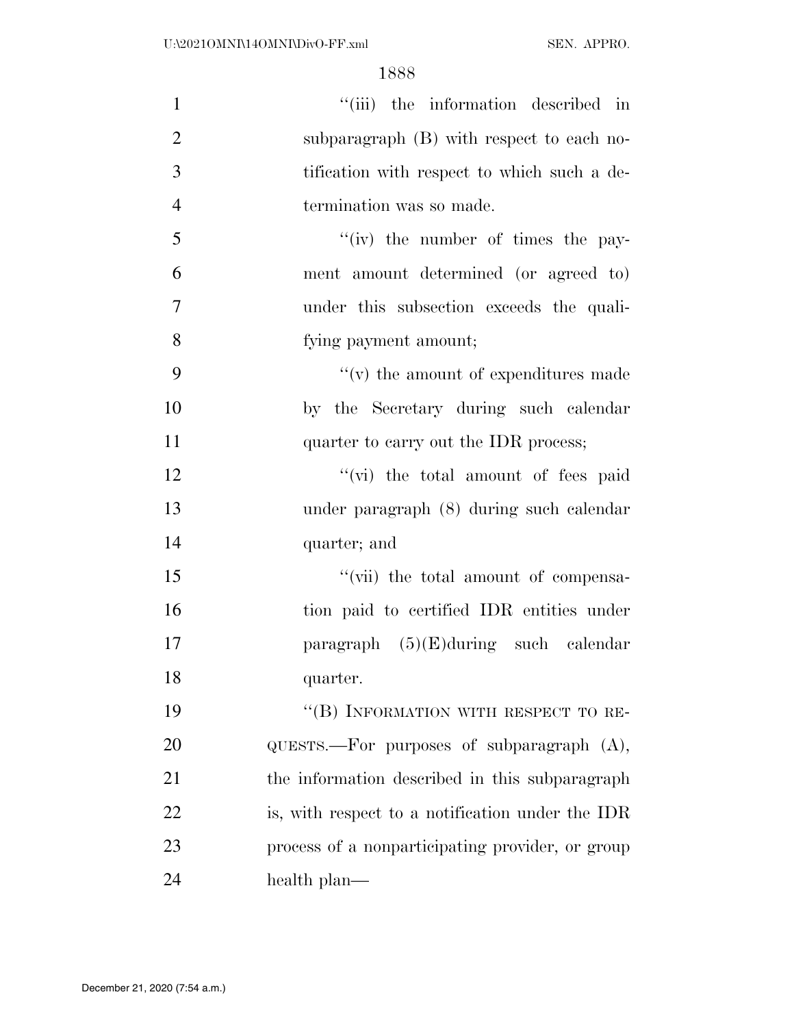| $\mathbf{1}$   | "(iii) the information described in                  |
|----------------|------------------------------------------------------|
| $\overline{2}$ | subparagraph (B) with respect to each no-            |
| 3              | tification with respect to which such a de-          |
| $\overline{4}$ | termination was so made.                             |
| 5              | $f'(iv)$ the number of times the pay-                |
| 6              | ment amount determined (or agreed to)                |
| $\overline{7}$ | under this subsection exceeds the quali-             |
| 8              | fying payment amount;                                |
| 9              | $f'(v)$ the amount of expenditures made              |
| 10             | by the Secretary during such calendar                |
| 11             | quarter to carry out the IDR process;                |
| 12             | "(vi) the total amount of fees paid                  |
| 13             | under paragraph (8) during such calendar             |
| 14             | quarter; and                                         |
| 15             | "(vii) the total amount of compensa-                 |
| 16             | tion paid to certified IDR entities under            |
| 17             | paragraph $(5)(E)$ during such calendar              |
| 18             | quarter.                                             |
| 19             | "(B) INFORMATION WITH RESPECT TO RE-                 |
| 20             | $\alpha$ UESTS.—For purposes of subparagraph $(A)$ , |
| 21             | the information described in this subparagraph       |
| 22             | is, with respect to a notification under the IDR     |
| 23             | process of a nonparticipating provider, or group     |
| 24             | health plan—                                         |
|                |                                                      |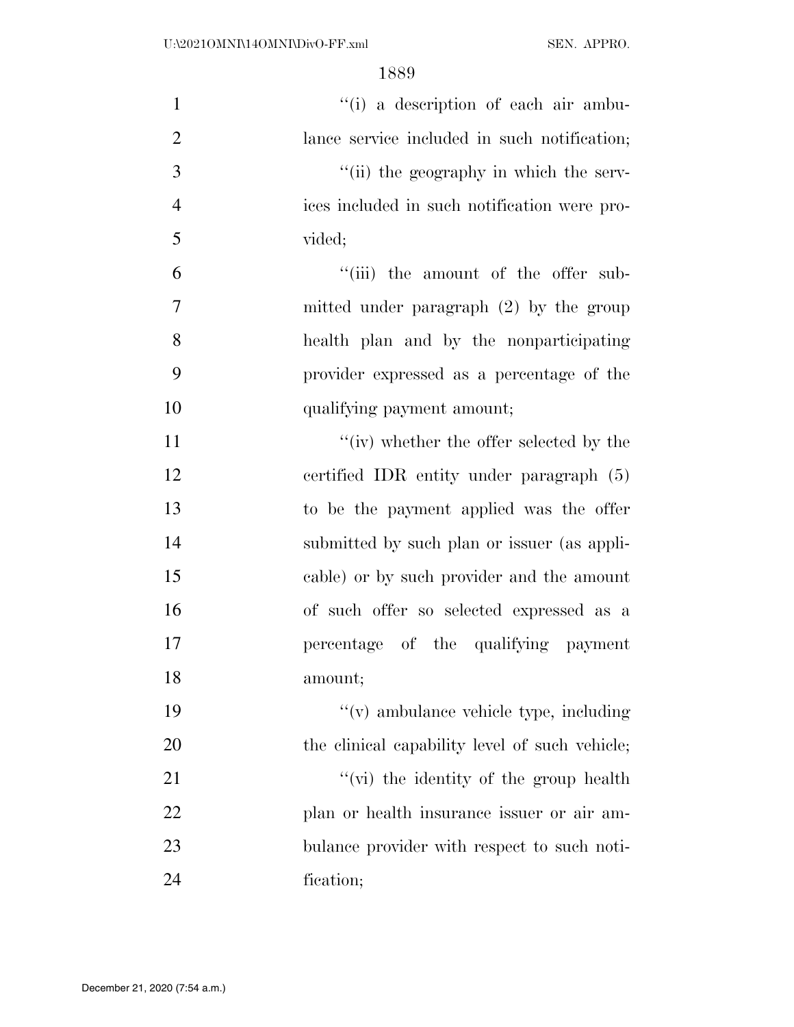| $\mathbf{1}$   | "(i) a description of each air ambu-           |
|----------------|------------------------------------------------|
| $\overline{2}$ | lance service included in such notification;   |
| 3              | "(ii) the geography in which the serv-         |
| $\overline{4}$ | ices included in such notification were pro-   |
| 5              | vided;                                         |
| 6              | "(iii) the amount of the offer sub-            |
| 7              | mitted under paragraph $(2)$ by the group      |
| 8              | health plan and by the nonparticipating        |
| 9              | provider expressed as a percentage of the      |
| 10             | qualifying payment amount;                     |
| 11             | "(iv) whether the offer selected by the        |
| 12             | certified IDR entity under paragraph (5)       |
| 13             | to be the payment applied was the offer        |
| 14             | submitted by such plan or issuer (as appli-    |
| 15             | cable) or by such provider and the amount      |
| 16             | of such offer so selected expressed as a       |
| 17             | percentage of the qualifying payment           |
| 18             | amount;                                        |
| 19             | $f'(v)$ ambulance vehicle type, including      |
| 20             | the clinical capability level of such vehicle; |
| 21             | "(vi) the identity of the group health         |
| 22             | plan or health insurance issuer or air am-     |
| 23             | bulance provider with respect to such noti-    |
| 24             | fication;                                      |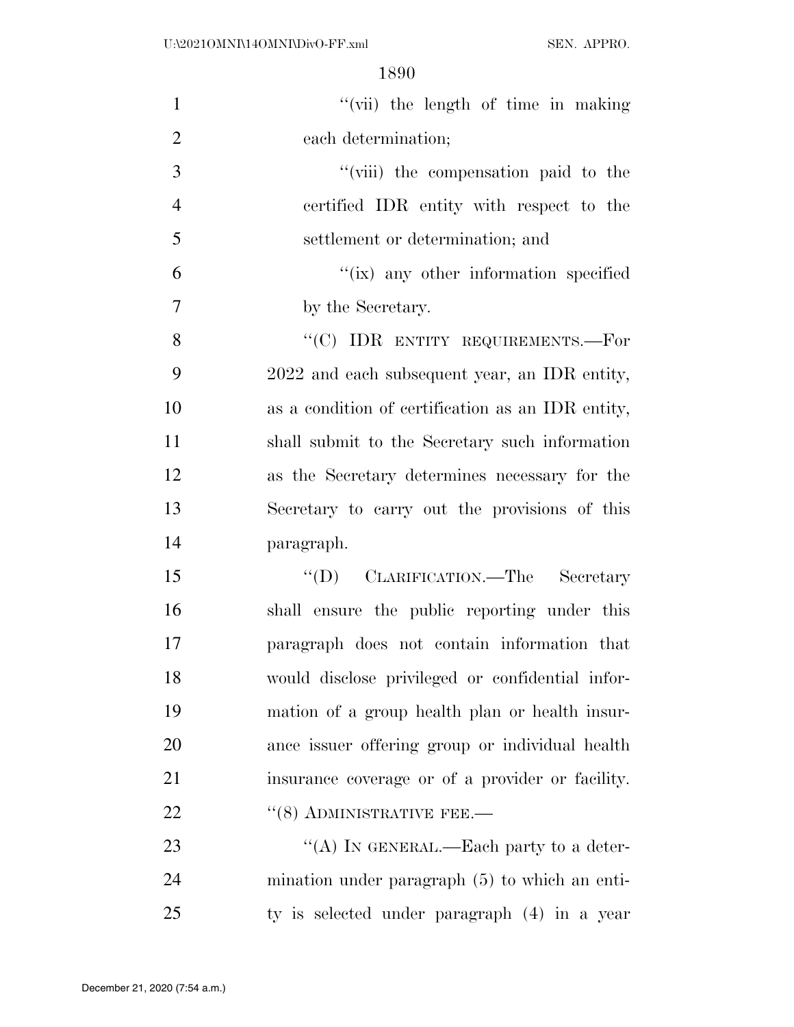| $\mathbf{1}$   | "(vii) the length of time in making               |
|----------------|---------------------------------------------------|
|                |                                                   |
| $\overline{2}$ | each determination;                               |
| 3              | "(viii) the compensation paid to the              |
| $\overline{4}$ | certified IDR entity with respect to the          |
| 5              | settlement or determination; and                  |
| 6              | "(ix) any other information specified             |
| 7              | by the Secretary.                                 |
| 8              | "(C) IDR ENTITY REQUIREMENTS.—For                 |
| 9              | 2022 and each subsequent year, an IDR entity,     |
| 10             | as a condition of certification as an IDR entity, |
| 11             | shall submit to the Secretary such information    |
| 12             | as the Secretary determines necessary for the     |
| 13             | Secretary to carry out the provisions of this     |
| 14             | paragraph.                                        |
| 15             | "(D) CLARIFICATION.—The Secretary                 |
| 16             | shall ensure the public reporting under this      |
| 17             | paragraph does not contain information that       |
| 18             | would disclose privileged or confidential infor-  |
| 19             | mation of a group health plan or health insur-    |
| 20             | ance issuer offering group or individual health   |
| 21             | insurance coverage or of a provider or facility.  |
| 22             | $(8)$ ADMINISTRATIVE FEE.—                        |
| 23             | "(A) IN GENERAL.—Each party to a deter-           |
| 24             | mination under paragraph $(5)$ to which an enti-  |
| 25             | ty is selected under paragraph (4) in a year      |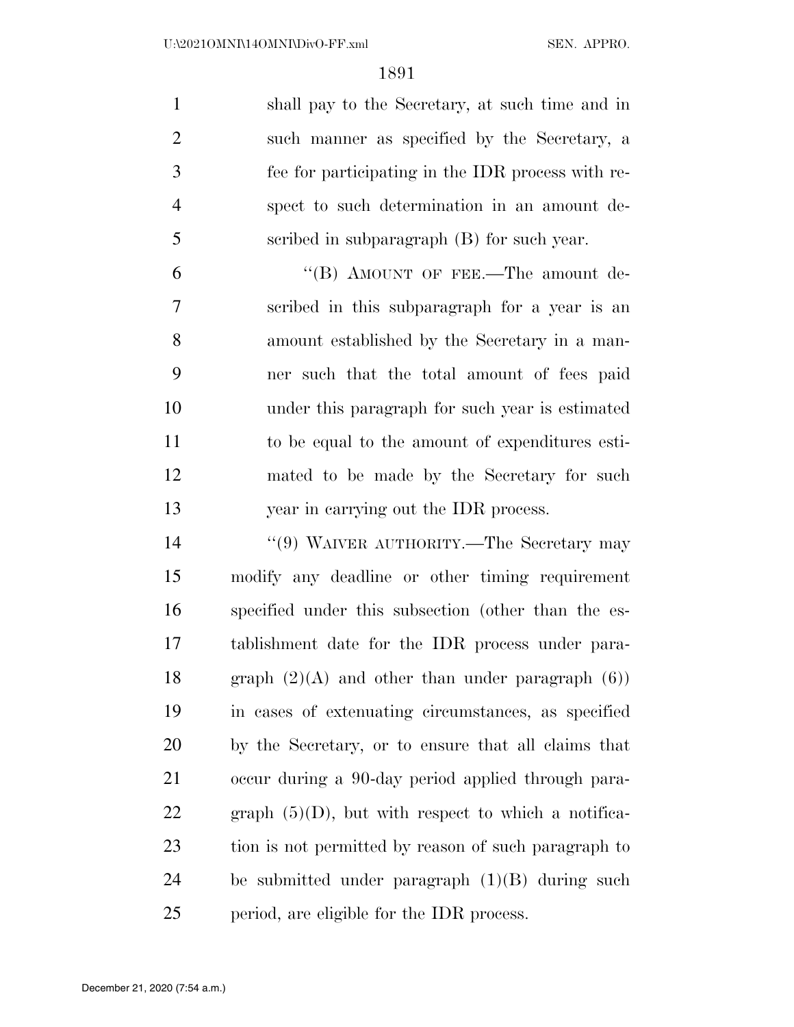shall pay to the Secretary, at such time and in such manner as specified by the Secretary, a fee for participating in the IDR process with re- spect to such determination in an amount de-scribed in subparagraph (B) for such year.

6 "(B) AMOUNT OF FEE.—The amount de- scribed in this subparagraph for a year is an amount established by the Secretary in a man- ner such that the total amount of fees paid under this paragraph for such year is estimated to be equal to the amount of expenditures esti- mated to be made by the Secretary for such year in carrying out the IDR process.

 ''(9) WAIVER AUTHORITY.—The Secretary may modify any deadline or other timing requirement specified under this subsection (other than the es- tablishment date for the IDR process under para-18 graph  $(2)(A)$  and other than under paragraph  $(6)$ ) in cases of extenuating circumstances, as specified by the Secretary, or to ensure that all claims that occur during a 90-day period applied through para-22 graph  $(5)(D)$ , but with respect to which a notifica- tion is not permitted by reason of such paragraph to be submitted under paragraph (1)(B) during such period, are eligible for the IDR process.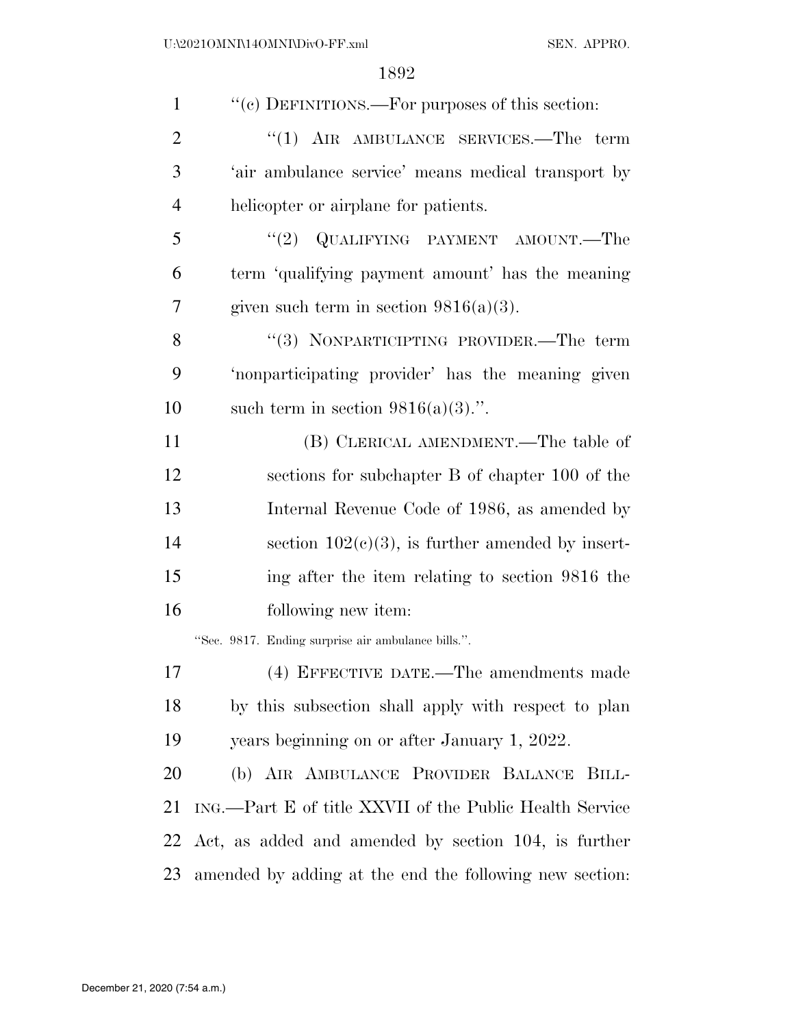| $\mathbf{1}$   | "(c) DEFINITIONS.—For purposes of this section:         |
|----------------|---------------------------------------------------------|
| $\overline{2}$ | " $(1)$ AIR AMBULANCE SERVICES.—The term                |
| 3              | 'air ambulance service' means medical transport by      |
| 4              | helicopter or airplane for patients.                    |
| 5              | "(2) $Q$ UALIFYING PAYMENT AMOUNT.—The                  |
| 6              | term 'qualifying payment amount' has the meaning        |
| 7              | given such term in section $9816(a)(3)$ .               |
| 8              | "(3) NONPARTICIPTING PROVIDER.—The term                 |
| 9              | 'nonparticipating provider' has the meaning given       |
| 10             | such term in section $9816(a)(3)$ .".                   |
| 11             | (B) CLERICAL AMENDMENT.—The table of                    |
| 12             | sections for subchapter B of chapter 100 of the         |
| 13             | Internal Revenue Code of 1986, as amended by            |
| 14             | section $102(c)(3)$ , is further amended by insert-     |
| 15             | ing after the item relating to section 9816 the         |
| 16             | following new item:                                     |
|                | "Sec. 9817. Ending surprise air ambulance bills.".      |
| 17             | (4) EFFECTIVE DATE.—The amendments made                 |
| 18             | by this subsection shall apply with respect to plan     |
| 19             | years beginning on or after January 1, 2022.            |
| 20             | (b) AIR AMBULANCE PROVIDER BALANCE BILL-                |
| 21             | ING.—Part E of title XXVII of the Public Health Service |
| 22             | Act, as added and amended by section 104, is further    |
| 23             | amended by adding at the end the following new section: |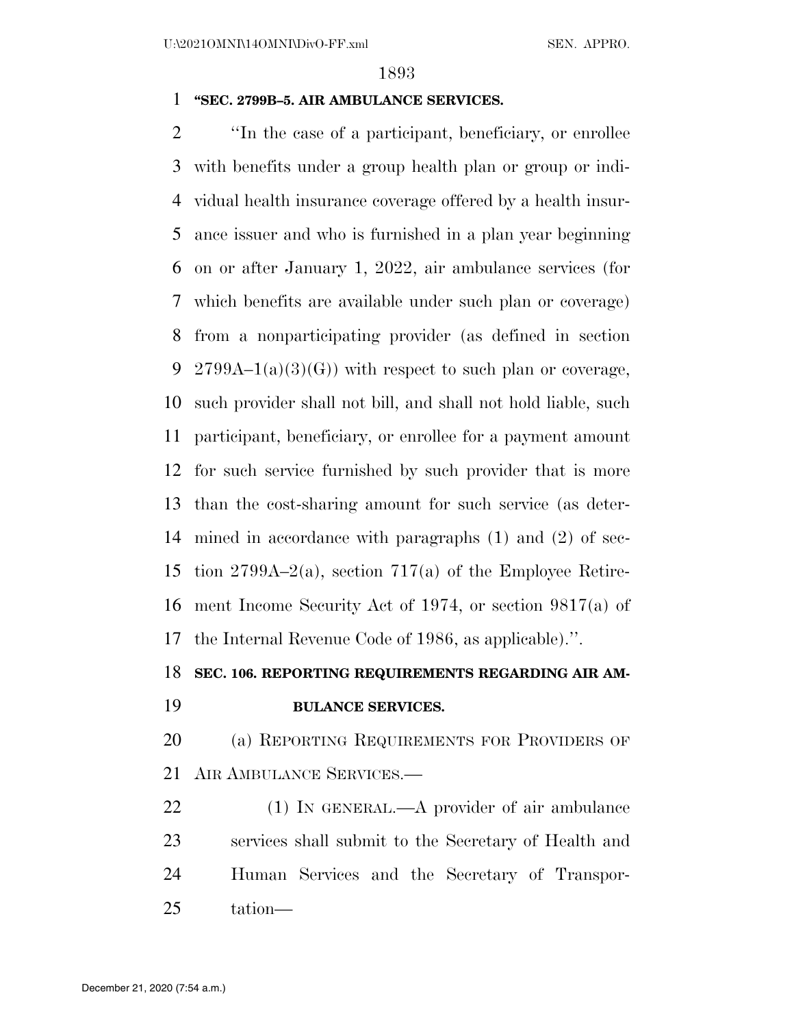## **''SEC. 2799B–5. AIR AMBULANCE SERVICES.**

 ''In the case of a participant, beneficiary, or enrollee with benefits under a group health plan or group or indi- vidual health insurance coverage offered by a health insur- ance issuer and who is furnished in a plan year beginning on or after January 1, 2022, air ambulance services (for which benefits are available under such plan or coverage) from a nonparticipating provider (as defined in section 9 2799A–1(a)(3)(G)) with respect to such plan or coverage, such provider shall not bill, and shall not hold liable, such participant, beneficiary, or enrollee for a payment amount for such service furnished by such provider that is more than the cost-sharing amount for such service (as deter- mined in accordance with paragraphs (1) and (2) of sec- tion 2799A–2(a), section 717(a) of the Employee Retire- ment Income Security Act of 1974, or section 9817(a) of the Internal Revenue Code of 1986, as applicable).''.

# **SEC. 106. REPORTING REQUIREMENTS REGARDING AIR AM-**

# **BULANCE SERVICES.**

 (a) REPORTING REQUIREMENTS FOR PROVIDERS OF AIR AMBULANCE SERVICES.—

22 (1) IN GENERAL.—A provider of air ambulance services shall submit to the Secretary of Health and Human Services and the Secretary of Transpor-tation—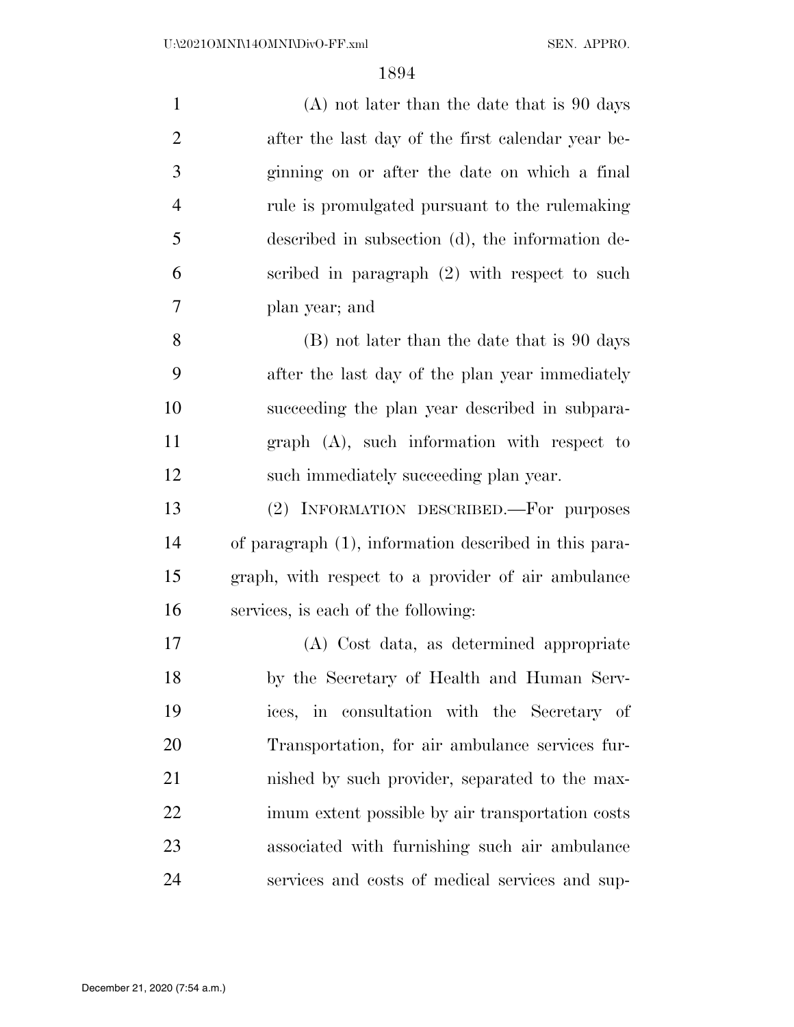| $\mathbf{1}$   | $(A)$ not later than the date that is 90 days         |
|----------------|-------------------------------------------------------|
| $\overline{2}$ | after the last day of the first calendar year be-     |
| 3              | ginning on or after the date on which a final         |
| $\overline{4}$ | rule is promulgated pursuant to the rule making       |
| 5              | described in subsection (d), the information de-      |
| 6              | scribed in paragraph $(2)$ with respect to such       |
| 7              | plan year; and                                        |
| 8              | (B) not later than the date that is 90 days           |
| 9              | after the last day of the plan year immediately       |
| 10             | succeeding the plan year described in subpara-        |
| 11             | $graph$ $(A)$ , such information with respect to      |
| 12             | such immediately succeeding plan year.                |
| 13             | (2) INFORMATION DESCRIBED. For purposes               |
| 14             | of paragraph (1), information described in this para- |
| 15             | graph, with respect to a provider of air ambulance    |
| 16             | services, is each of the following:                   |
| 17             | (A) Cost data, as determined appropriate              |
| 18             | by the Secretary of Health and Human Serv-            |
| 19             | ices, in consultation with the Secretary of           |
| 20             | Transportation, for air ambulance services fur-       |
| 21             | nished by such provider, separated to the max-        |
| 22             | imum extent possible by air transportation costs      |
| 23             | associated with furnishing such air ambulance         |
| 24             | services and costs of medical services and sup-       |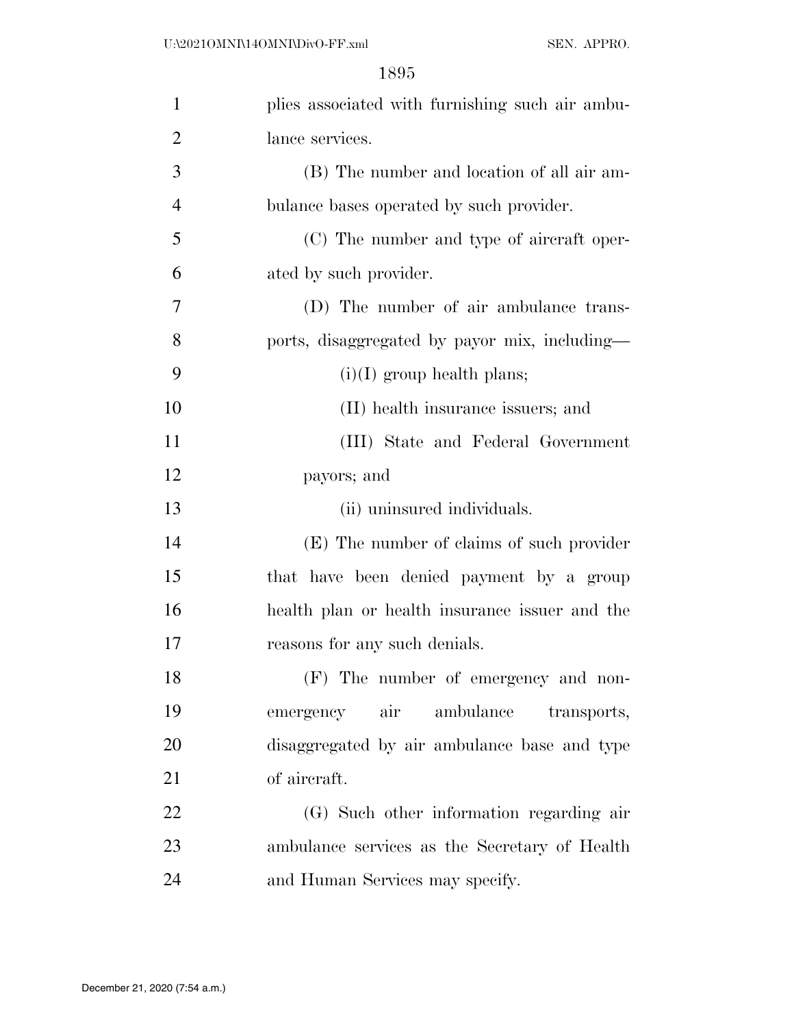| $\mathbf{1}$   | plies associated with furnishing such air ambu- |
|----------------|-------------------------------------------------|
| $\overline{c}$ | lance services.                                 |
| 3              | (B) The number and location of all air am-      |
| $\overline{4}$ | bulance bases operated by such provider.        |
| 5              | (C) The number and type of aircraft oper-       |
| 6              | ated by such provider.                          |
| 7              | (D) The number of air ambulance trans-          |
| 8              | ports, disaggregated by payor mix, including—   |
| 9              | $(i)(I)$ group health plans;                    |
| 10             | (II) health insurance issuers; and              |
| 11             | (III) State and Federal Government              |
| 12             | payors; and                                     |
| 13             | (ii) uninsured individuals.                     |
| 14             | (E) The number of claims of such provider       |
| 15             | that have been denied payment by a group        |
| 16             | health plan or health insurance issuer and the  |
| 17             | reasons for any such denials.                   |
| 18             | (F) The number of emergency and non-            |
| 19             | emergency air ambulance<br>transports,          |
| 20             | disaggregated by air ambulance base and type    |
| 21             | of aircraft.                                    |
| 22             | (G) Such other information regarding air        |
| 23             | ambulance services as the Secretary of Health   |
| 24             | and Human Services may specify.                 |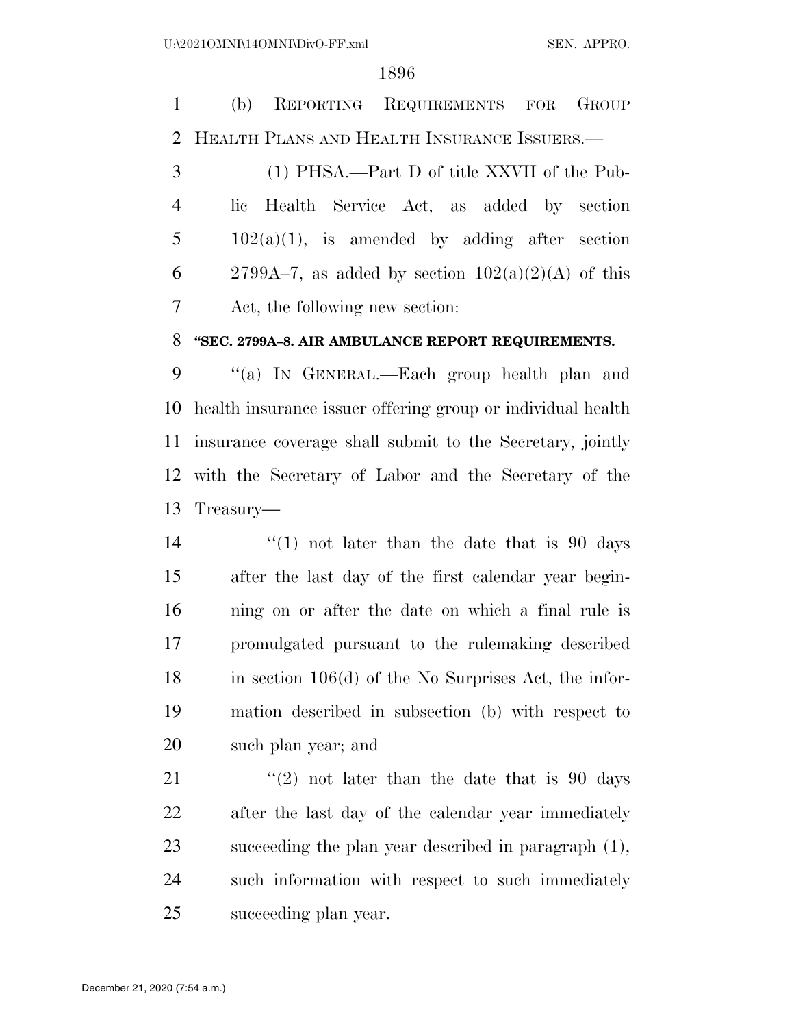(b) REPORTING REQUIREMENTS FOR GROUP HEALTH PLANS AND HEALTH INSURANCE ISSUERS.—

 (1) PHSA.—Part D of title XXVII of the Pub- lic Health Service Act, as added by section  $5 \t 102(a)(1)$ , is amended by adding after section 6 2799A–7, as added by section  $102(a)(2)(A)$  of this Act, the following new section:

# **''SEC. 2799A–8. AIR AMBULANCE REPORT REQUIREMENTS.**

 ''(a) IN GENERAL.—Each group health plan and health insurance issuer offering group or individual health insurance coverage shall submit to the Secretary, jointly with the Secretary of Labor and the Secretary of the Treasury—

 $\frac{1}{2}$  (1) not later than the date that is 90 days after the last day of the first calendar year begin- ning on or after the date on which a final rule is promulgated pursuant to the rulemaking described in section 106(d) of the No Surprises Act, the infor- mation described in subsection (b) with respect to such plan year; and

 $(2)$  not later than the date that is 90 days after the last day of the calendar year immediately succeeding the plan year described in paragraph (1), such information with respect to such immediately succeeding plan year.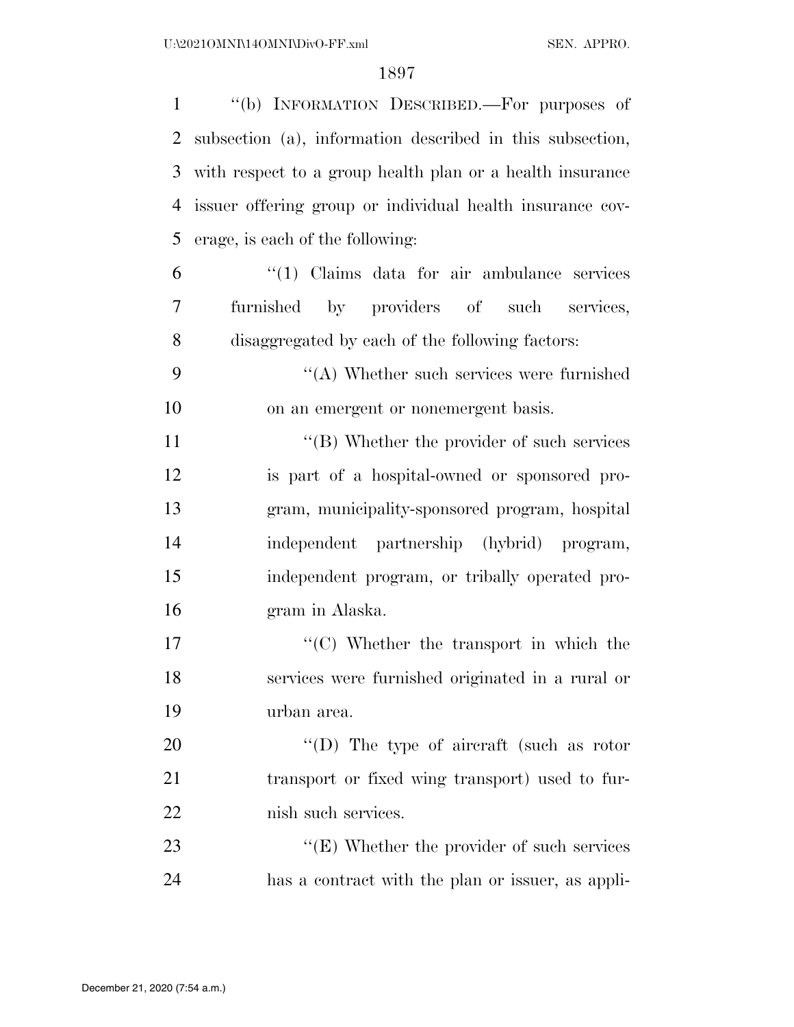| $\mathbf{1}$   | "(b) INFORMATION DESCRIBED.—For purposes of               |
|----------------|-----------------------------------------------------------|
| $\overline{2}$ | subsection (a), information described in this subsection, |
| 3              | with respect to a group health plan or a health insurance |
| 4              | issuer offering group or individual health insurance cov- |
| 5              | erage, is each of the following:                          |
| 6              | $\lq(1)$ Claims data for air ambulance services           |
| 7              | furnished by providers of such services,                  |
| 8              | disaggregated by each of the following factors:           |
| 9              | $\cdot$ (A) Whether such services were furnished          |
| 10             | on an emergent or nonemergent basis.                      |
| 11             | $\lq\lq$ (B) Whether the provider of such services        |
| 12             | is part of a hospital-owned or sponsored pro-             |
| 13             | gram, municipality-sponsored program, hospital            |
| 14             | independent partnership (hybrid) program,                 |
| 15             | independent program, or tribally operated pro-            |
| 16             | gram in Alaska.                                           |
| 17             | $\lq\lq$ . Whether the transport in which the             |
| 18             | services were furnished originated in a rural or          |
| 19             | urban area.                                               |
| 20             | "(D) The type of aircraft (such as rotor                  |
| 21             | transport or fixed wing transport) used to fur-           |
| 22             | nish such services.                                       |
| 23             | $\lq\lq$ (E) Whether the provider of such services        |
| 24             | has a contract with the plan or issuer, as appli-         |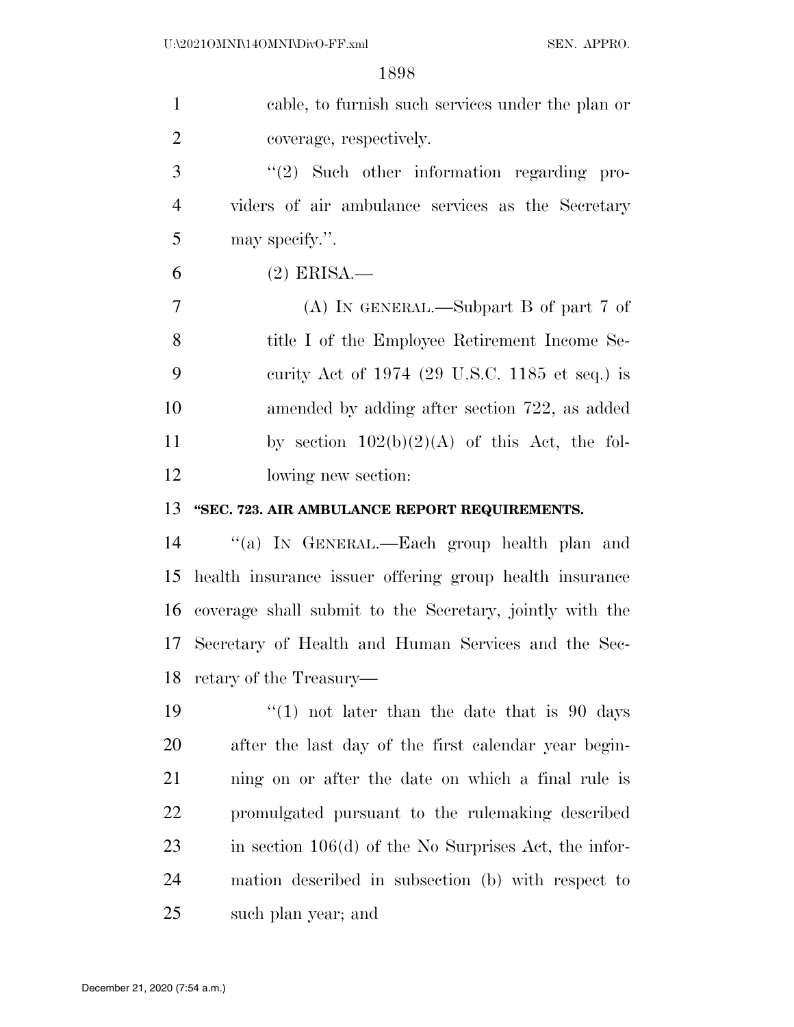| $\mathbf{1}$   | cable, to furnish such services under the plan or        |
|----------------|----------------------------------------------------------|
| $\overline{2}$ | coverage, respectively.                                  |
| 3              | $\lq(2)$ Such other information regarding pro-           |
| $\overline{4}$ | viders of air ambulance services as the Secretary        |
| 5              | may specify.".                                           |
| 6              | $(2)$ ERISA.—                                            |
| 7              | (A) IN GENERAL.—Subpart B of part 7 of                   |
| 8              | title I of the Employee Retirement Income Se-            |
| 9              | curity Act of $1974$ (29 U.S.C. 1185 et seq.) is         |
| 10             | amended by adding after section 722, as added            |
| 11             | by section $102(b)(2)(A)$ of this Act, the fol-          |
| 12             | lowing new section:                                      |
| 13             | "SEC. 723. AIR AMBULANCE REPORT REQUIREMENTS.            |
| 14             | "(a) IN GENERAL.—Each group health plan and              |
| 15             | health insurance issuer offering group health insurance  |
| 16             | coverage shall submit to the Secretary, jointly with the |
|                | 17 Secretary of Health and Human Services and the Sec-   |
| 18             | retary of the Treasury—                                  |
| 19             | "(1) not later than the date that is 90 days             |
| 20             | after the last day of the first calendar year begin-     |
| 21             | ning on or after the date on which a final rule is       |
| <u>22</u>      | promulgated pursuant to the rulemaking described         |
| 23             | in section $106(d)$ of the No Surprises Act, the infor-  |
| 24             | mation described in subsection (b) with respect to       |
| 25             | such plan year; and                                      |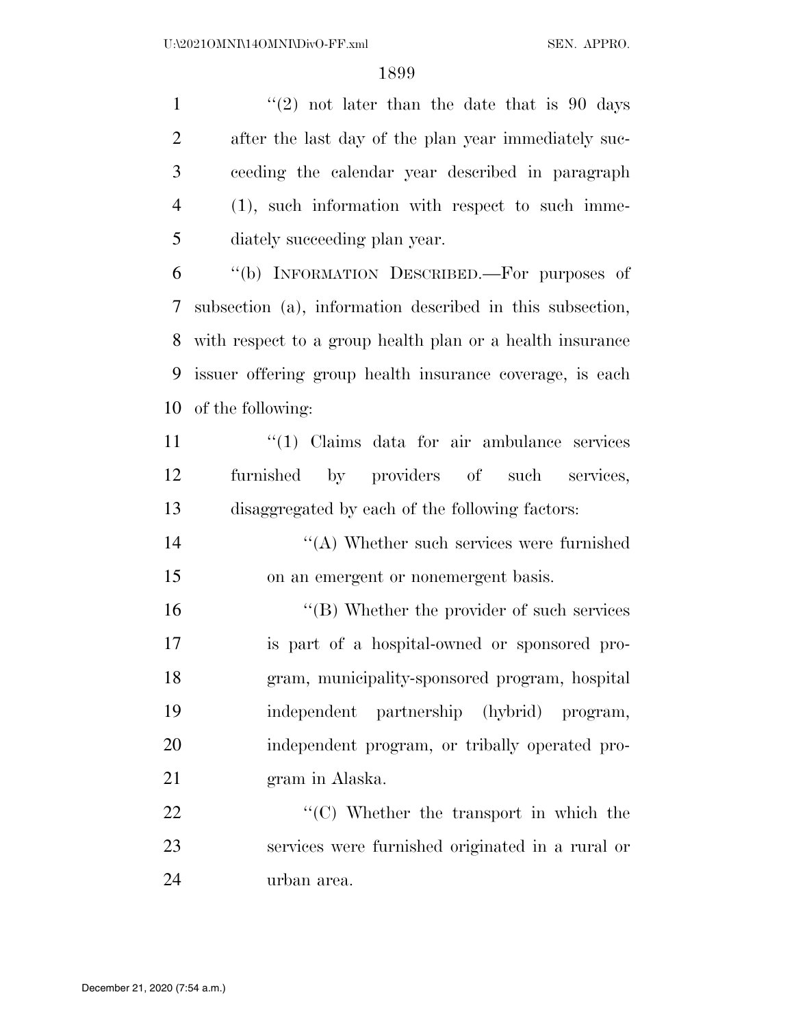$\frac{1}{2}$  not later than the date that is 90 days after the last day of the plan year immediately suc- ceeding the calendar year described in paragraph (1), such information with respect to such imme-diately succeeding plan year.

 ''(b) INFORMATION DESCRIBED.—For purposes of subsection (a), information described in this subsection, with respect to a group health plan or a health insurance issuer offering group health insurance coverage, is each of the following:

11 ''(1) Claims data for air ambulance services furnished by providers of such services, disaggregated by each of the following factors:

 ''(A) Whether such services were furnished on an emergent or nonemergent basis.

16 ''(B) Whether the provider of such services is part of a hospital-owned or sponsored pro- gram, municipality-sponsored program, hospital independent partnership (hybrid) program, independent program, or tribally operated pro-gram in Alaska.

22  $\cdot$  (C) Whether the transport in which the services were furnished originated in a rural or urban area.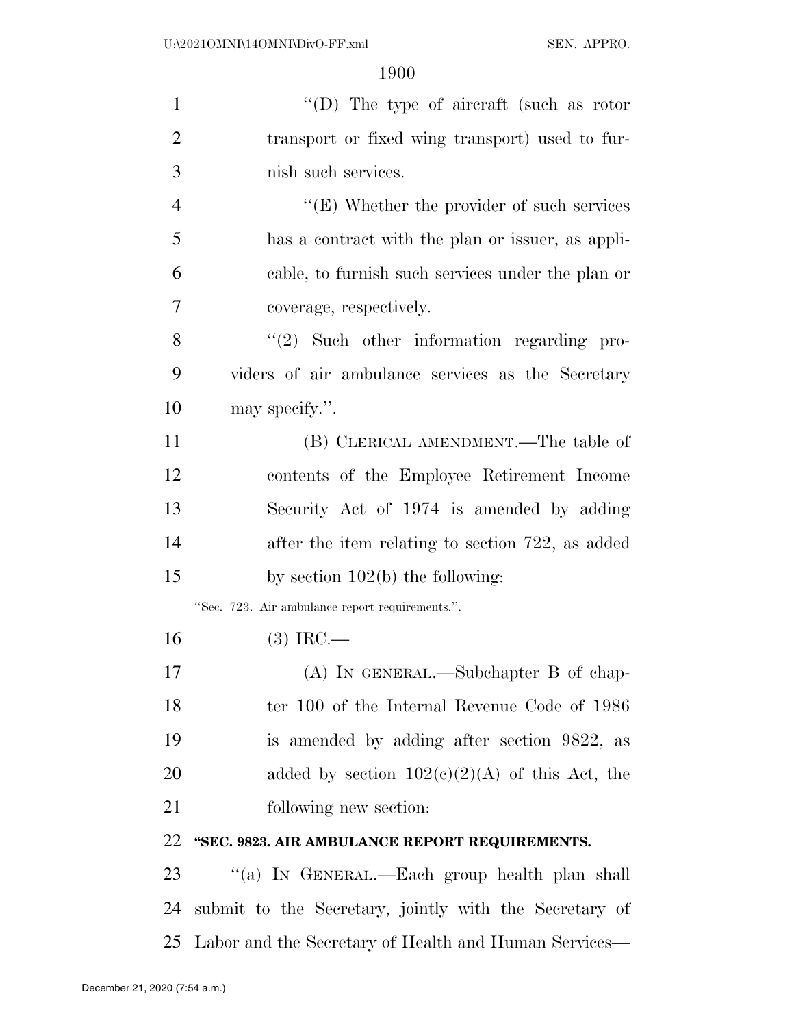| $\mathbf{1}$   | $``(D)$ The type of aircraft (such as rotor            |
|----------------|--------------------------------------------------------|
| $\overline{2}$ | transport or fixed wing transport) used to fur-        |
| 3              | nish such services.                                    |
| $\overline{4}$ | " $(E)$ Whether the provider of such services"         |
| 5              | has a contract with the plan or issuer, as appli-      |
| 6              | cable, to furnish such services under the plan or      |
| 7              | coverage, respectively.                                |
| 8              | $\lq(2)$ Such other information regarding pro-         |
| 9              | viders of air ambulance services as the Secretary      |
| 10             | may specify.".                                         |
| 11             | (B) CLERICAL AMENDMENT.—The table of                   |
| 12             | contents of the Employee Retirement Income             |
| 13             | Security Act of 1974 is amended by adding              |
| 14             | after the item relating to section 722, as added       |
| 15             | by section $102(b)$ the following:                     |
|                | "Sec. 723. Air ambulance report requirements.".        |
| 16             | $(3)$ IRC.—                                            |
| 17             | $(A)$ In GENERAL.—Subchapter B of chap-                |
| 18             | ter 100 of the Internal Revenue Code of 1986           |
| 19             | is amended by adding after section 9822, as            |
| 20             | added by section $102(c)(2)(A)$ of this Act, the       |
| 21             | following new section:                                 |
| 22             | "SEC. 9823. AIR AMBULANCE REPORT REQUIREMENTS.         |
| 23             | "(a) IN GENERAL.—Each group health plan shall          |
| 24             | submit to the Secretary, jointly with the Secretary of |
|                |                                                        |

Labor and the Secretary of Health and Human Services—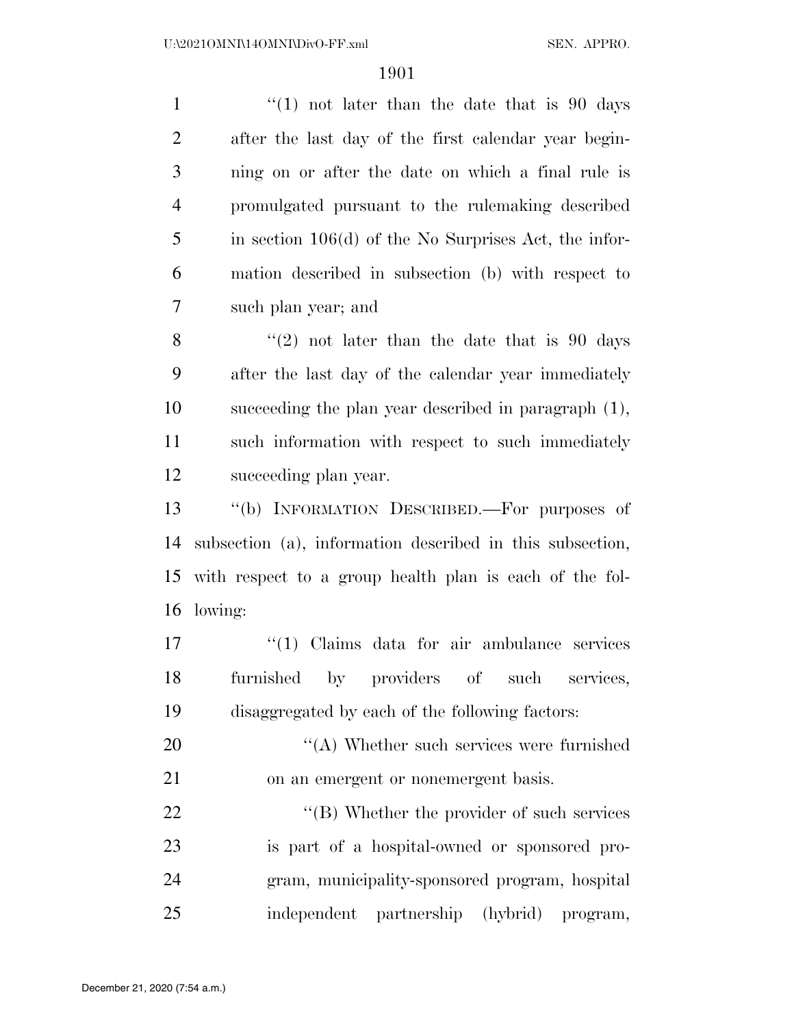$\frac{1}{1}$  (1) not later than the date that is 90 days after the last day of the first calendar year begin- ning on or after the date on which a final rule is promulgated pursuant to the rulemaking described in section 106(d) of the No Surprises Act, the infor- mation described in subsection (b) with respect to such plan year; and

 $\frac{8}{2}$  ''(2) not later than the date that is 90 days after the last day of the calendar year immediately succeeding the plan year described in paragraph (1), such information with respect to such immediately succeeding plan year.

 ''(b) INFORMATION DESCRIBED.—For purposes of subsection (a), information described in this subsection, with respect to a group health plan is each of the fol-lowing:

17 ''(1) Claims data for air ambulance services furnished by providers of such services, disaggregated by each of the following factors:

20 ''(A) Whether such services were furnished on an emergent or nonemergent basis.

22 ''(B) Whether the provider of such services is part of a hospital-owned or sponsored pro- gram, municipality-sponsored program, hospital independent partnership (hybrid) program,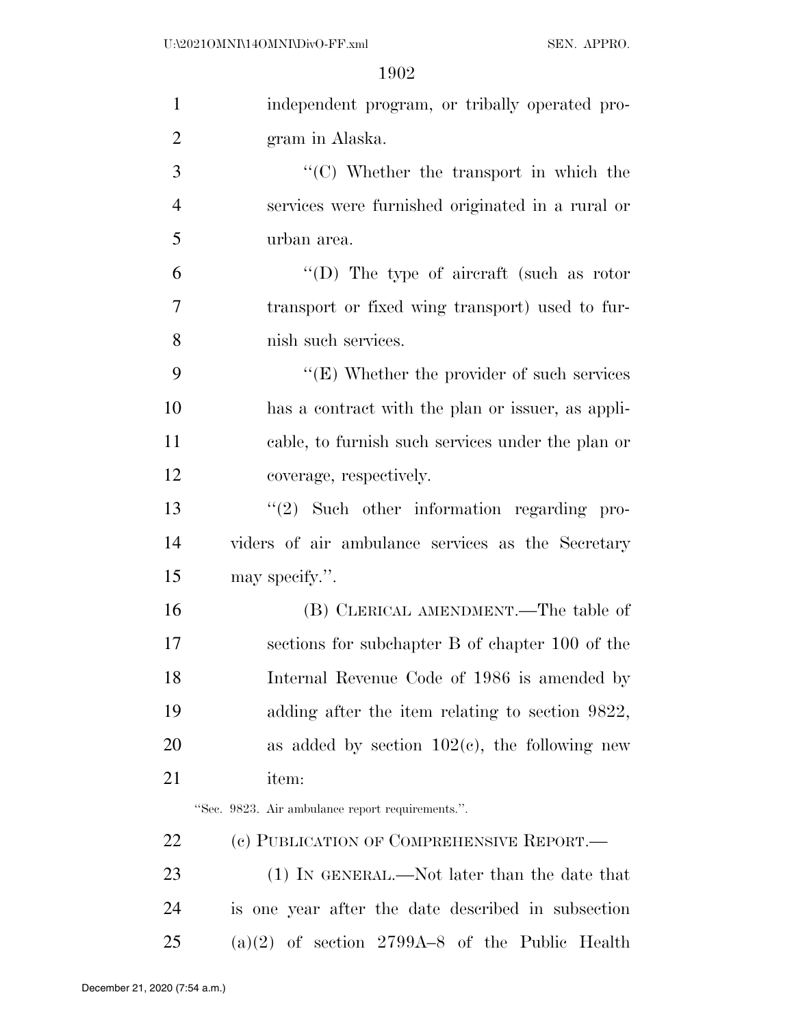| $\mathbf{1}$   | independent program, or tribally operated pro-     |
|----------------|----------------------------------------------------|
| $\overline{2}$ | gram in Alaska.                                    |
| 3              | $\lq\lq$ (C) Whether the transport in which the    |
| $\overline{4}$ | services were furnished originated in a rural or   |
| 5              | urban area.                                        |
| 6              | "(D) The type of aircraft (such as rotor           |
| 7              | transport or fixed wing transport) used to fur-    |
| 8              | nish such services.                                |
| 9              | " $(E)$ Whether the provider of such services"     |
| 10             | has a contract with the plan or issuer, as appli-  |
| 11             | cable, to furnish such services under the plan or  |
| 12             | coverage, respectively.                            |
| 13             | $\lq(2)$ Such other information regarding pro-     |
| 14             | viders of air ambulance services as the Secretary  |
| 15             | may specify.".                                     |
| 16             | (B) CLERICAL AMENDMENT.—The table of               |
| 17             | sections for subchapter B of chapter 100 of the    |
| 18             | Internal Revenue Code of 1986 is amended by        |
| 19             | adding after the item relating to section 9822,    |
| 20             | as added by section $102(c)$ , the following new   |
| 21             | item:                                              |
|                | "Sec. 9823. Air ambulance report requirements.".   |
| 22             | (c) PUBLICATION OF COMPREHENSIVE REPORT.-          |
| 23             | (1) IN GENERAL.—Not later than the date that       |
|                |                                                    |
| 24             | is one year after the date described in subsection |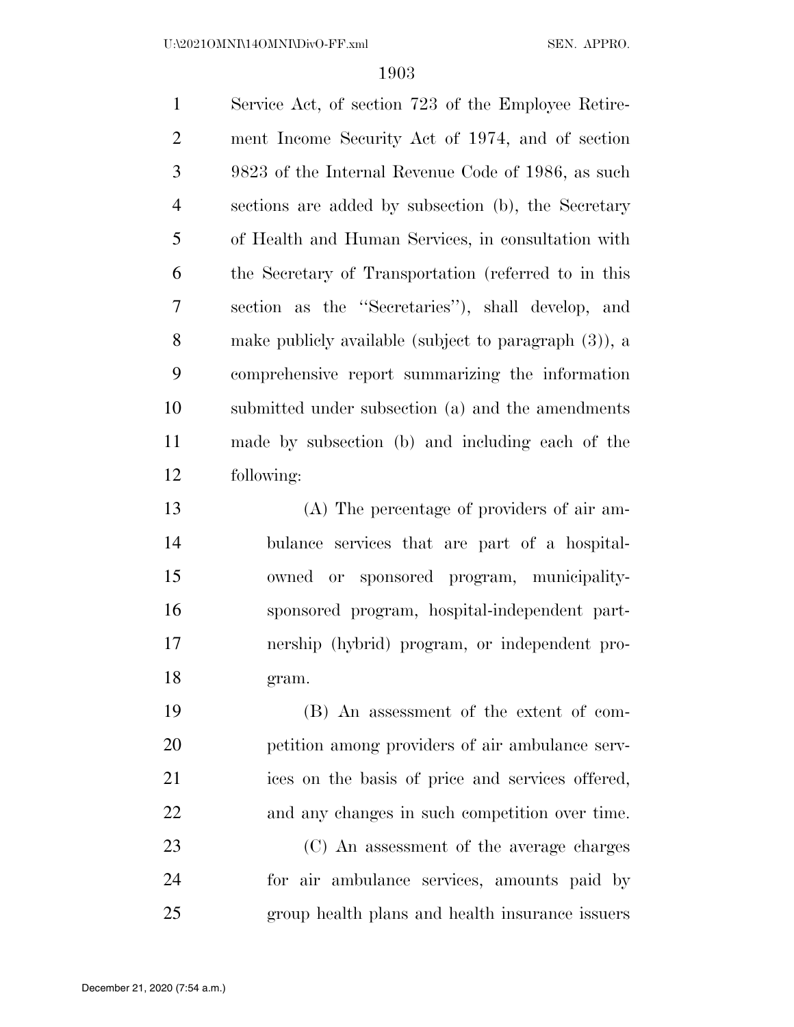Service Act, of section 723 of the Employee Retire- ment Income Security Act of 1974, and of section 9823 of the Internal Revenue Code of 1986, as such sections are added by subsection (b), the Secretary of Health and Human Services, in consultation with the Secretary of Transportation (referred to in this section as the ''Secretaries''), shall develop, and make publicly available (subject to paragraph (3)), a comprehensive report summarizing the information submitted under subsection (a) and the amendments made by subsection (b) and including each of the following:

 (A) The percentage of providers of air am- bulance services that are part of a hospital- owned or sponsored program, municipality- sponsored program, hospital-independent part- nership (hybrid) program, or independent pro-gram.

 (B) An assessment of the extent of com- petition among providers of air ambulance serv- ices on the basis of price and services offered, and any changes in such competition over time.

 (C) An assessment of the average charges for air ambulance services, amounts paid by group health plans and health insurance issuers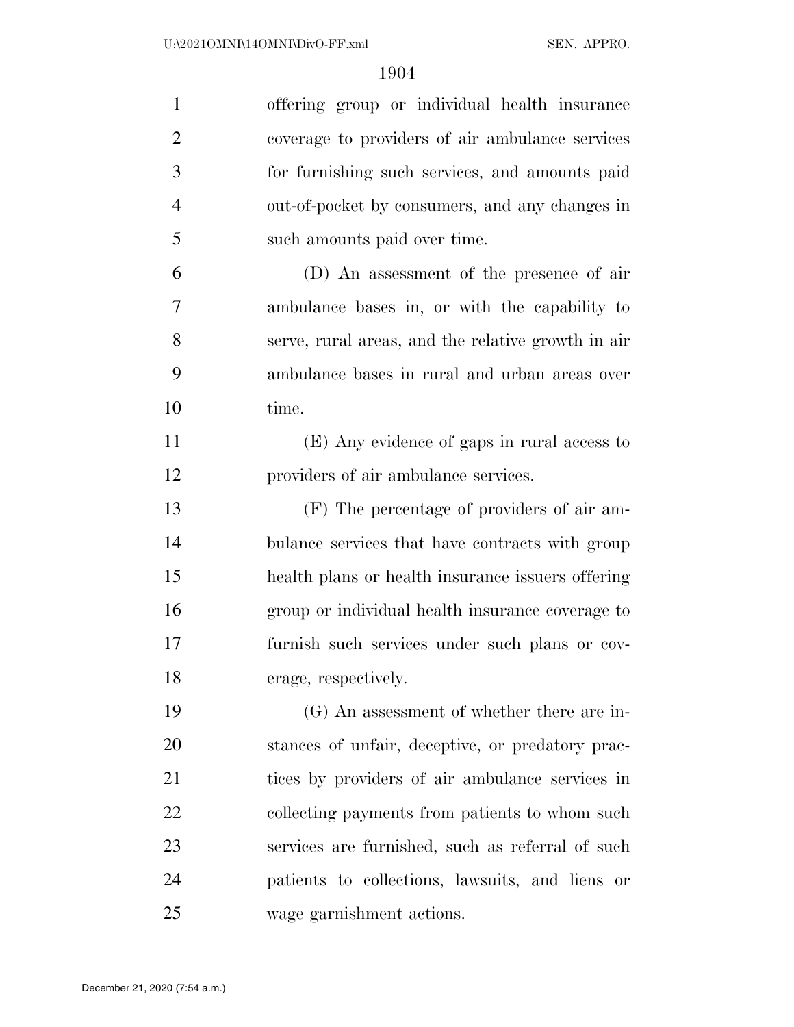| $\mathbf{1}$   | offering group or individual health insurance      |
|----------------|----------------------------------------------------|
| $\overline{2}$ | coverage to providers of air ambulance services    |
| 3              | for furnishing such services, and amounts paid     |
| $\overline{4}$ | out-of-pocket by consumers, and any changes in     |
| 5              | such amounts paid over time.                       |
| 6              | (D) An assessment of the presence of air           |
| 7              | ambulance bases in, or with the capability to      |
| 8              | serve, rural areas, and the relative growth in air |
| 9              | ambulance bases in rural and urban areas over      |
| 10             | time.                                              |
| 11             | (E) Any evidence of gaps in rural access to        |
| 12             | providers of air ambulance services.               |
| 13             | (F) The percentage of providers of air am-         |
| 14             | bulance services that have contracts with group    |
| 15             | health plans or health insurance issuers offering  |
| 16             | group or individual health insurance coverage to   |
| 17             | furnish such services under such plans or cov-     |
| 18             | erage, respectively.                               |
| 19             | $(G)$ An assessment of whether there are in-       |
| 20             | stances of unfair, deceptive, or predatory prac-   |
| 21             | tices by providers of air ambulance services in    |
| 22             | collecting payments from patients to whom such     |
| 23             | services are furnished, such as referral of such   |
| 24             | patients to collections, lawsuits, and liens or    |
| 25             | wage garnishment actions.                          |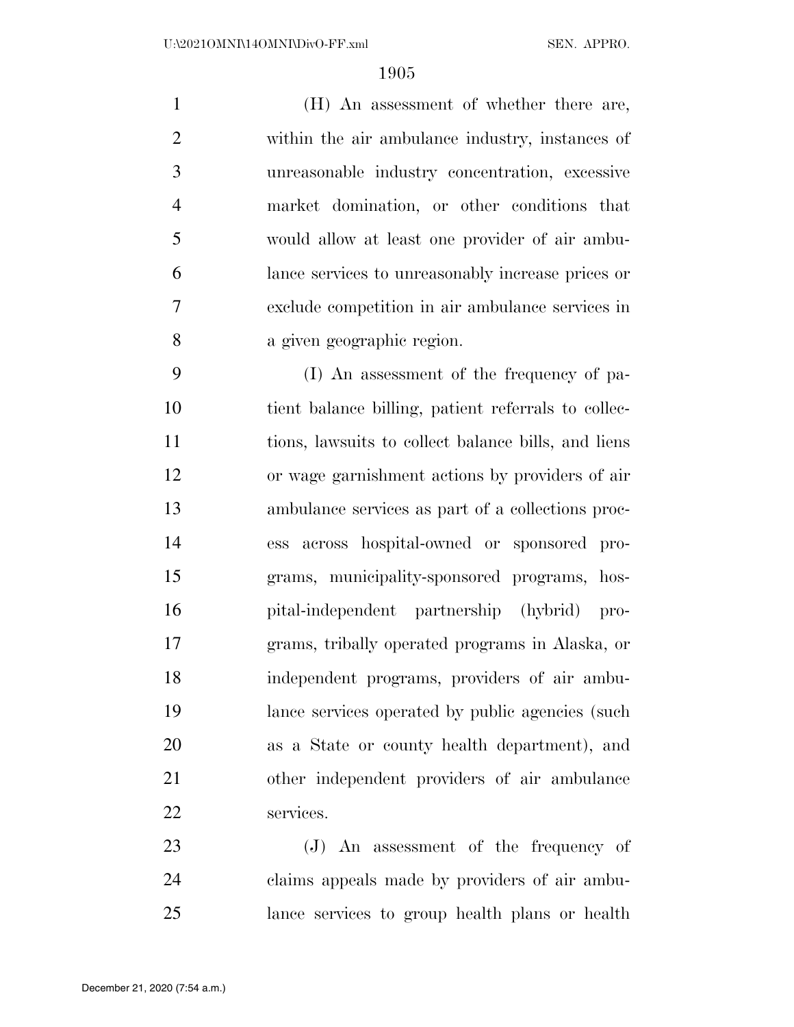(H) An assessment of whether there are, within the air ambulance industry, instances of unreasonable industry concentration, excessive market domination, or other conditions that would allow at least one provider of air ambu- lance services to unreasonably increase prices or exclude competition in air ambulance services in a given geographic region.

 (I) An assessment of the frequency of pa- tient balance billing, patient referrals to collec- tions, lawsuits to collect balance bills, and liens or wage garnishment actions by providers of air ambulance services as part of a collections proc- ess across hospital-owned or sponsored pro- grams, municipality-sponsored programs, hos- pital-independent partnership (hybrid) pro- grams, tribally operated programs in Alaska, or independent programs, providers of air ambu- lance services operated by public agencies (such as a State or county health department), and other independent providers of air ambulance services.

 (J) An assessment of the frequency of claims appeals made by providers of air ambu-lance services to group health plans or health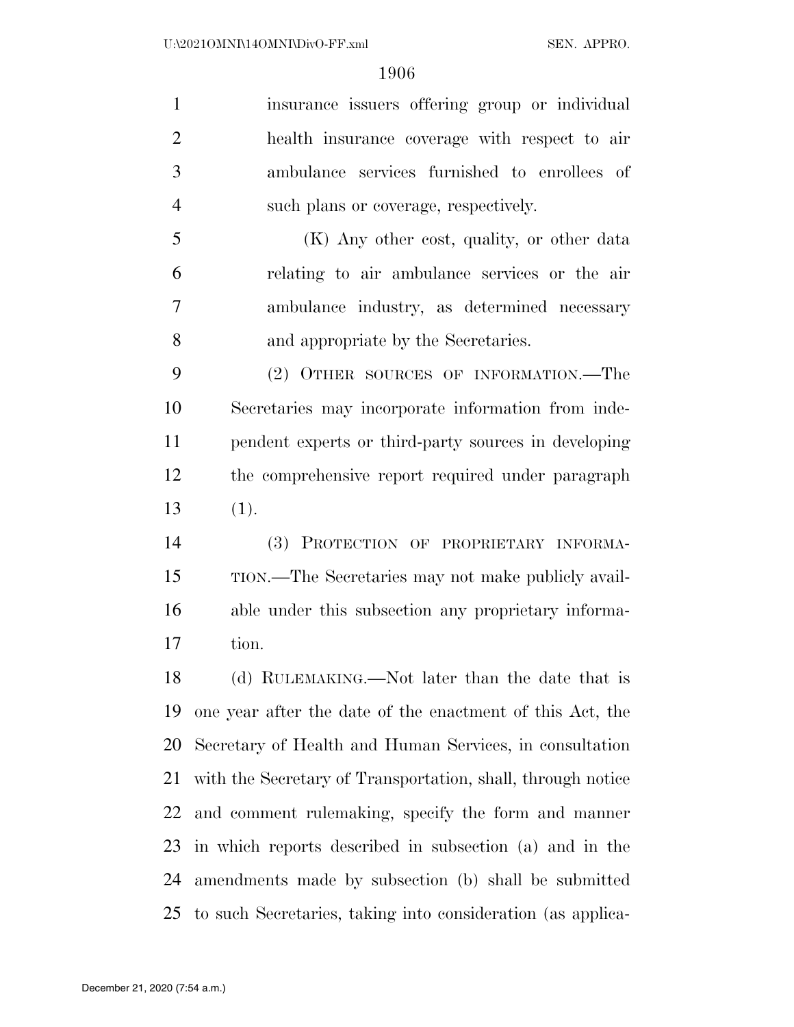insurance issuers offering group or individual health insurance coverage with respect to air ambulance services furnished to enrollees of such plans or coverage, respectively.

 (K) Any other cost, quality, or other data relating to air ambulance services or the air ambulance industry, as determined necessary and appropriate by the Secretaries.

 (2) OTHER SOURCES OF INFORMATION.—The Secretaries may incorporate information from inde- pendent experts or third-party sources in developing the comprehensive report required under paragraph (1).

 (3) PROTECTION OF PROPRIETARY INFORMA- TION.—The Secretaries may not make publicly avail- able under this subsection any proprietary informa-tion.

 (d) RULEMAKING.—Not later than the date that is one year after the date of the enactment of this Act, the Secretary of Health and Human Services, in consultation with the Secretary of Transportation, shall, through notice and comment rulemaking, specify the form and manner in which reports described in subsection (a) and in the amendments made by subsection (b) shall be submitted to such Secretaries, taking into consideration (as applica-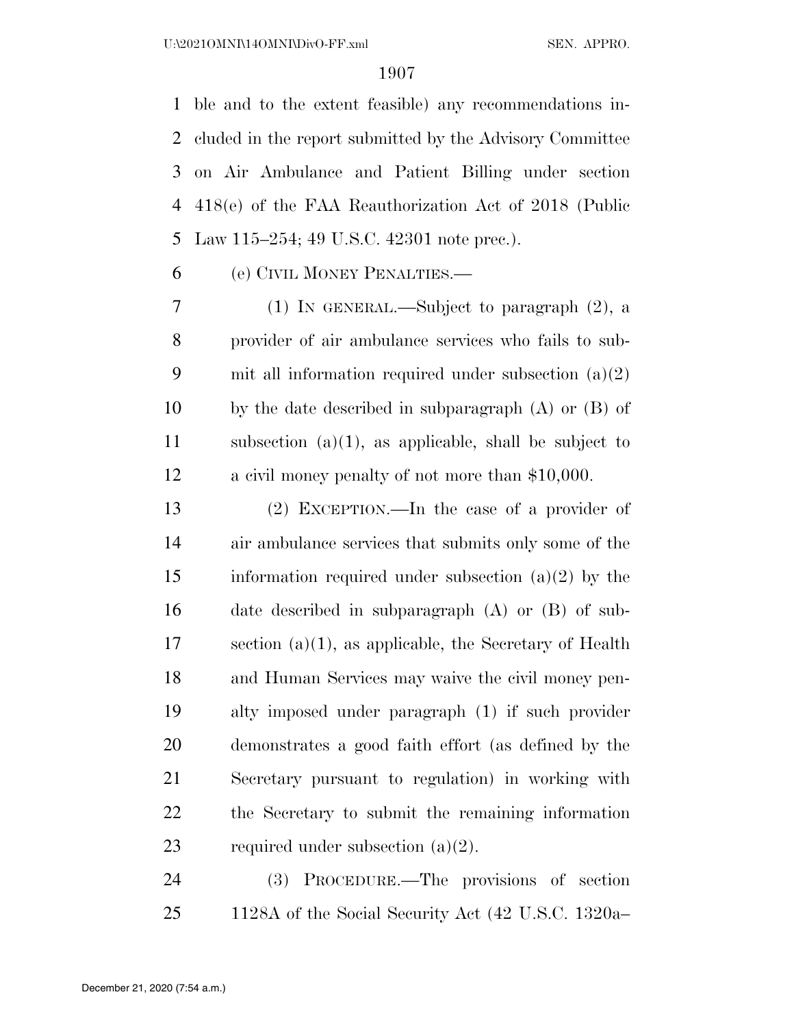ble and to the extent feasible) any recommendations in- cluded in the report submitted by the Advisory Committee on Air Ambulance and Patient Billing under section 418(e) of the FAA Reauthorization Act of 2018 (Public Law 115–254; 49 U.S.C. 42301 note prec.).

(e) CIVIL MONEY PENALTIES.—

 (1) IN GENERAL.—Subject to paragraph (2), a provider of air ambulance services who fails to sub- mit all information required under subsection (a)(2) by the date described in subparagraph (A) or (B) of subsection (a)(1), as applicable, shall be subject to a civil money penalty of not more than \$10,000.

 (2) EXCEPTION.—In the case of a provider of air ambulance services that submits only some of the 15 information required under subsection  $(a)(2)$  by the date described in subparagraph (A) or (B) of sub- section (a)(1), as applicable, the Secretary of Health and Human Services may waive the civil money pen- alty imposed under paragraph (1) if such provider demonstrates a good faith effort (as defined by the Secretary pursuant to regulation) in working with the Secretary to submit the remaining information 23 required under subsection  $(a)(2)$ .

 (3) PROCEDURE.—The provisions of section 1128A of the Social Security Act (42 U.S.C. 1320a–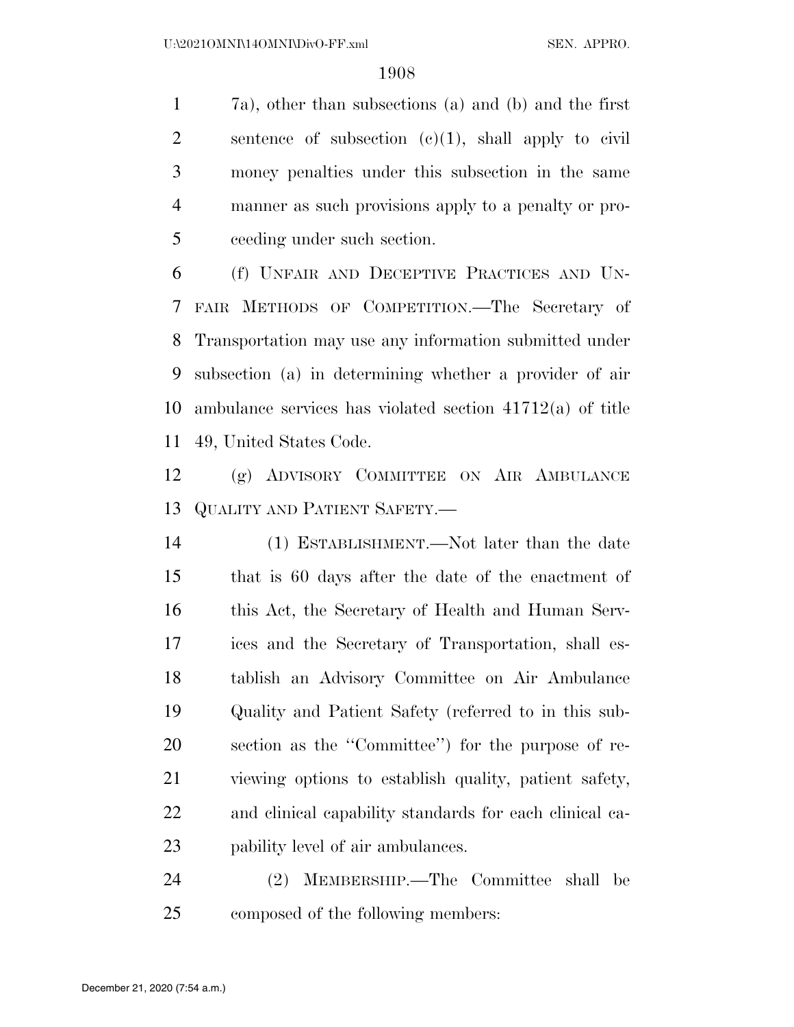7a), other than subsections (a) and (b) and the first 2 sentence of subsection  $(c)(1)$ , shall apply to civil money penalties under this subsection in the same manner as such provisions apply to a penalty or pro-ceeding under such section.

 (f) UNFAIR AND DECEPTIVE PRACTICES AND UN- FAIR METHODS OF COMPETITION.—The Secretary of Transportation may use any information submitted under subsection (a) in determining whether a provider of air ambulance services has violated section 41712(a) of title 49, United States Code.

 (g) ADVISORY COMMITTEE ON AIR AMBULANCE QUALITY AND PATIENT SAFETY.—

 (1) ESTABLISHMENT.—Not later than the date that is 60 days after the date of the enactment of this Act, the Secretary of Health and Human Serv- ices and the Secretary of Transportation, shall es- tablish an Advisory Committee on Air Ambulance Quality and Patient Safety (referred to in this sub- section as the ''Committee'') for the purpose of re- viewing options to establish quality, patient safety, and clinical capability standards for each clinical ca-pability level of air ambulances.

 (2) MEMBERSHIP.—The Committee shall be composed of the following members: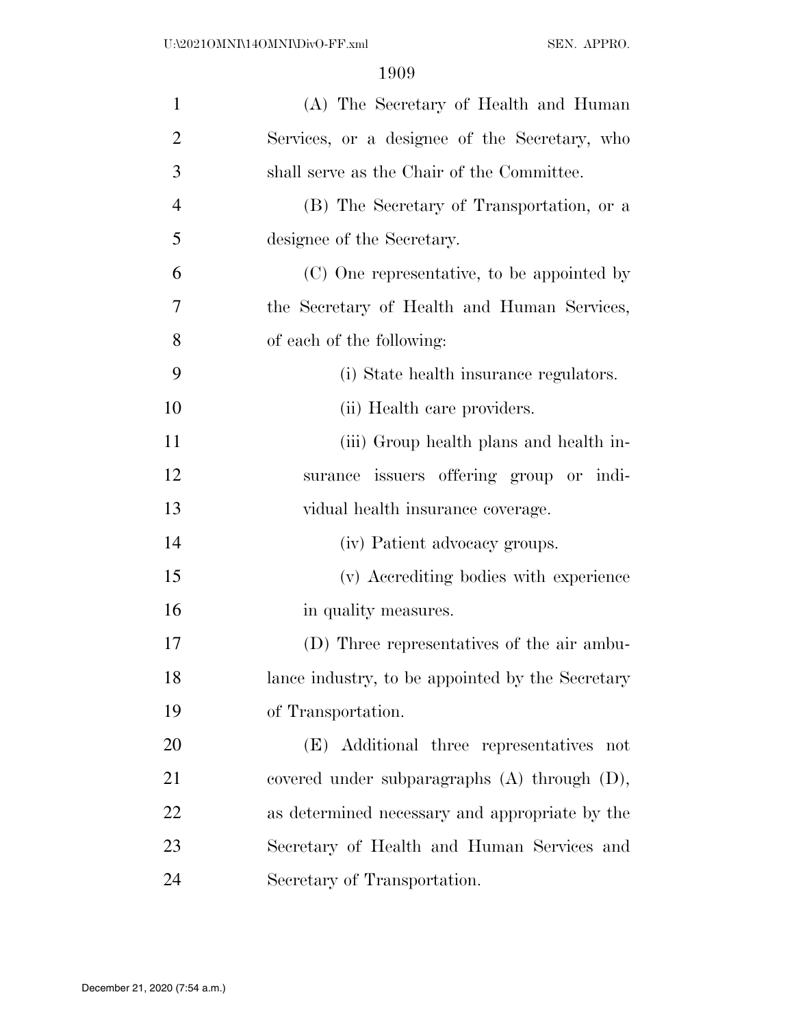| $\mathbf{1}$   | (A) The Secretary of Health and Human             |
|----------------|---------------------------------------------------|
| $\overline{2}$ | Services, or a designee of the Secretary, who     |
| 3              | shall serve as the Chair of the Committee.        |
| $\overline{4}$ | (B) The Secretary of Transportation, or a         |
| 5              | designee of the Secretary.                        |
| 6              | (C) One representative, to be appointed by        |
| 7              | the Secretary of Health and Human Services,       |
| 8              | of each of the following:                         |
| 9              | (i) State health insurance regulators.            |
| 10             | (ii) Health care providers.                       |
| 11             | (iii) Group health plans and health in-           |
| 12             | surance issuers offering group or indi-           |
| 13             | vidual health insurance coverage.                 |
| 14             | (iv) Patient advocacy groups.                     |
| 15             | (v) Accrediting bodies with experience            |
| 16             | in quality measures.                              |
| 17             | (D) Three representatives of the air ambu-        |
| 18             | lance industry, to be appointed by the Secretary  |
| 19             | of Transportation.                                |
| 20             | (E) Additional three representatives not          |
| 21             | covered under subparagraphs $(A)$ through $(D)$ , |
| 22             | as determined necessary and appropriate by the    |
| 23             | Secretary of Health and Human Services and        |
| 24             | Secretary of Transportation.                      |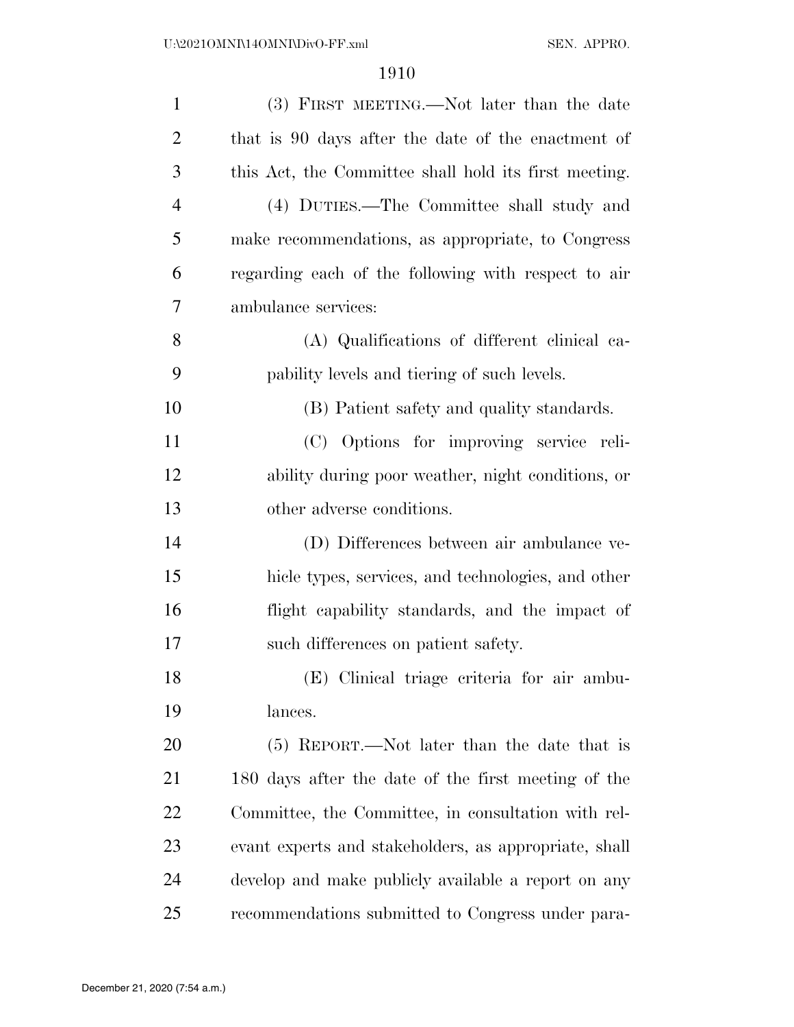| $\mathbf{1}$   | (3) FIRST MEETING.—Not later than the date            |
|----------------|-------------------------------------------------------|
| $\overline{2}$ | that is 90 days after the date of the enactment of    |
| 3              | this Act, the Committee shall hold its first meeting. |
| $\overline{4}$ | (4) DUTIES.—The Committee shall study and             |
| 5              | make recommendations, as appropriate, to Congress     |
| 6              | regarding each of the following with respect to air   |
| 7              | ambulance services:                                   |
| 8              | (A) Qualifications of different clinical ca-          |
| 9              | pability levels and tiering of such levels.           |
| 10             | (B) Patient safety and quality standards.             |
| 11             | (C) Options for improving service reli-               |
| 12             | ability during poor weather, night conditions, or     |
| 13             | other adverse conditions.                             |
| 14             | (D) Differences between air ambulance ve-             |
| 15             | hicle types, services, and technologies, and other    |
| 16             | flight capability standards, and the impact of        |
| 17             | such differences on patient safety.                   |
| 18             | (E) Clinical triage criteria for air ambu-            |
| 19             | lances.                                               |
| 20             | $(5)$ REPORT.—Not later than the date that is         |
| 21             | 180 days after the date of the first meeting of the   |
| 22             | Committee, the Committee, in consultation with rel-   |
| 23             | evant experts and stakeholders, as appropriate, shall |
| 24             | develop and make publicly available a report on any   |
| 25             | recommendations submitted to Congress under para-     |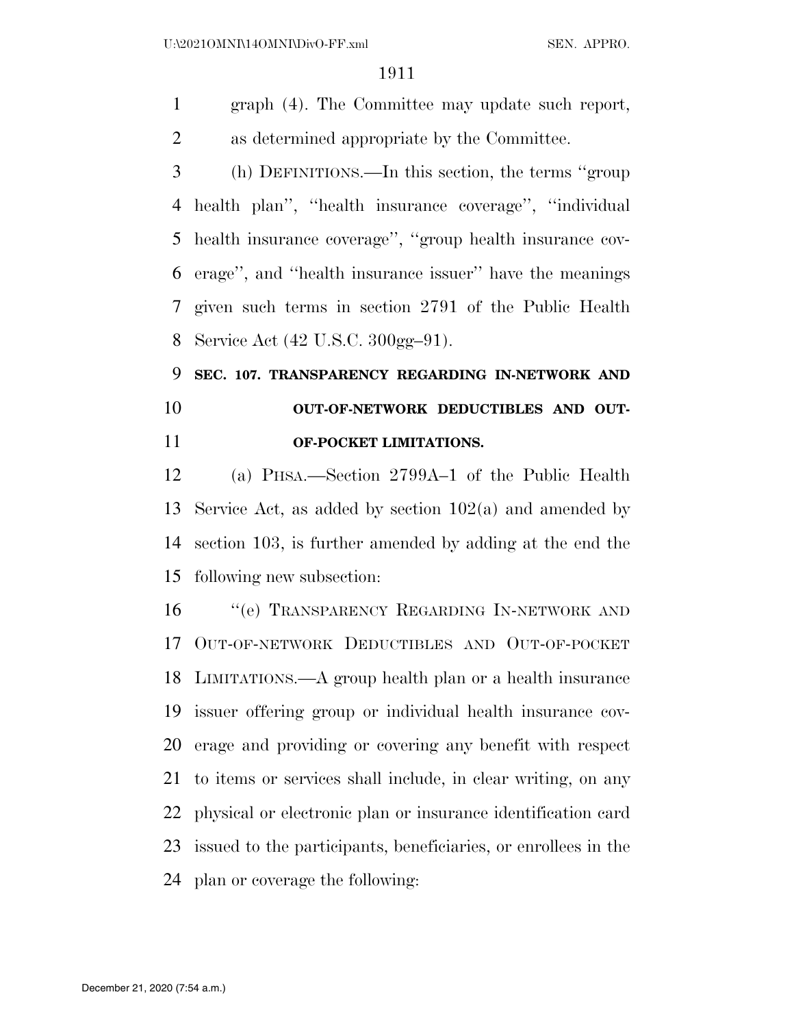graph (4). The Committee may update such report, as determined appropriate by the Committee.

 (h) DEFINITIONS.—In this section, the terms ''group health plan'', ''health insurance coverage'', ''individual health insurance coverage'', ''group health insurance cov- erage'', and ''health insurance issuer'' have the meanings given such terms in section 2791 of the Public Health Service Act (42 U.S.C. 300gg–91).

# **SEC. 107. TRANSPARENCY REGARDING IN-NETWORK AND OUT-OF-NETWORK DEDUCTIBLES AND OUT-OF-POCKET LIMITATIONS.**

 (a) PHSA.—Section 2799A–1 of the Public Health Service Act, as added by section 102(a) and amended by section 103, is further amended by adding at the end the following new subsection:

 ''(e) TRANSPARENCY REGARDING IN-NETWORK AND OUT-OF-NETWORK DEDUCTIBLES AND OUT-OF-POCKET LIMITATIONS.—A group health plan or a health insurance issuer offering group or individual health insurance cov- erage and providing or covering any benefit with respect to items or services shall include, in clear writing, on any physical or electronic plan or insurance identification card issued to the participants, beneficiaries, or enrollees in the plan or coverage the following: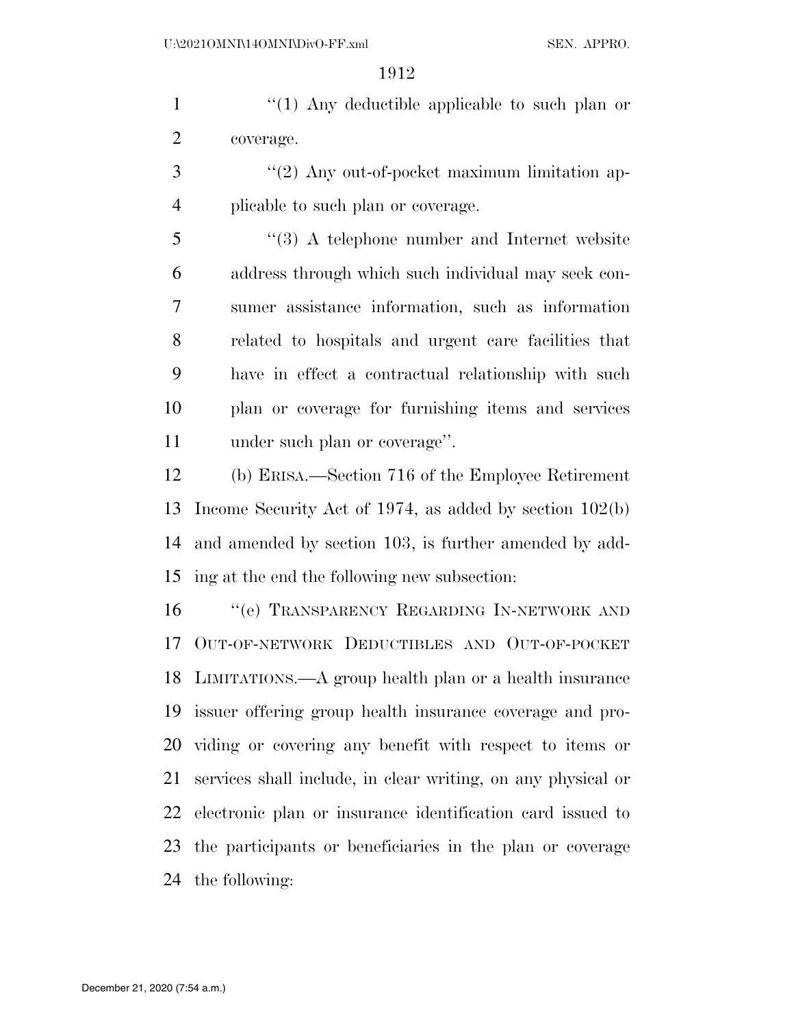1 ''(1) Any deductible applicable to such plan or coverage.

 ''(2) Any out-of-pocket maximum limitation ap-plicable to such plan or coverage.

 ''(3) A telephone number and Internet website address through which such individual may seek con- sumer assistance information, such as information related to hospitals and urgent care facilities that have in effect a contractual relationship with such plan or coverage for furnishing items and services under such plan or coverage''.

 (b) ERISA.—Section 716 of the Employee Retirement Income Security Act of 1974, as added by section 102(b) and amended by section 103, is further amended by add-ing at the end the following new subsection:

 ''(e) TRANSPARENCY REGARDING IN-NETWORK AND OUT-OF-NETWORK DEDUCTIBLES AND OUT-OF-POCKET LIMITATIONS.—A group health plan or a health insurance issuer offering group health insurance coverage and pro- viding or covering any benefit with respect to items or services shall include, in clear writing, on any physical or electronic plan or insurance identification card issued to the participants or beneficiaries in the plan or coverage the following: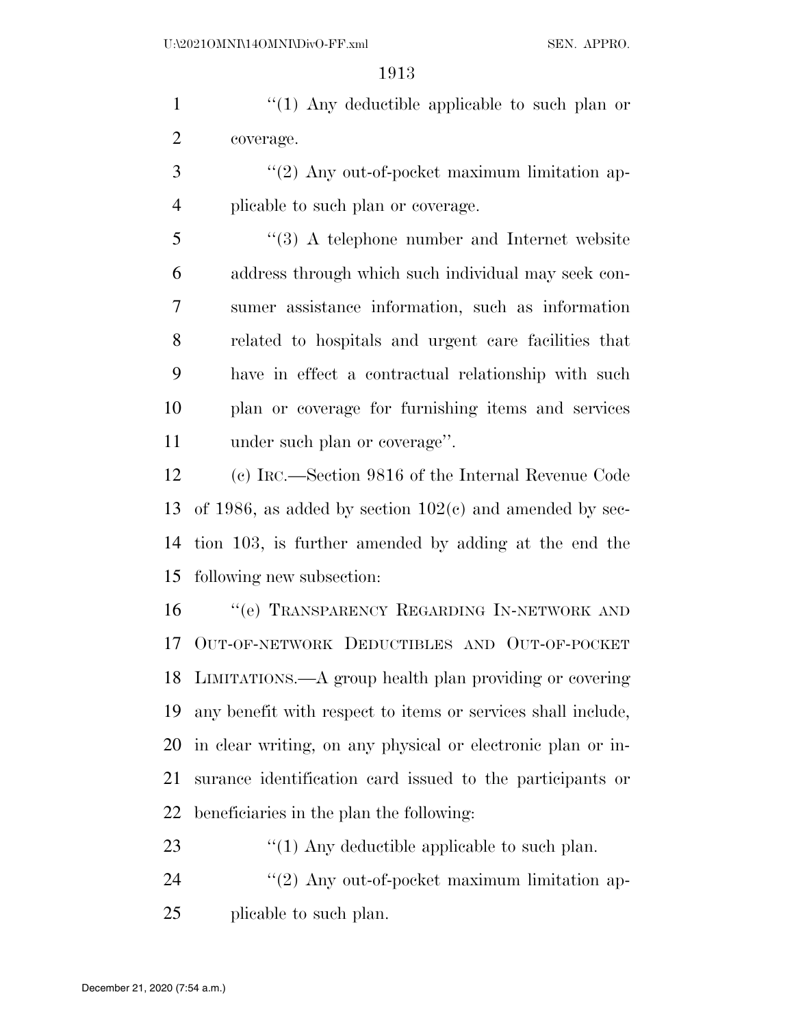1 ''(1) Any deductible applicable to such plan or coverage.

3 "(2) Any out-of-pocket maximum limitation ap-plicable to such plan or coverage.

 ''(3) A telephone number and Internet website address through which such individual may seek con- sumer assistance information, such as information related to hospitals and urgent care facilities that have in effect a contractual relationship with such plan or coverage for furnishing items and services under such plan or coverage''.

 (c) IRC.—Section 9816 of the Internal Revenue Code 13 of 1986, as added by section  $102(c)$  and amended by sec- tion 103, is further amended by adding at the end the following new subsection:

 ''(e) TRANSPARENCY REGARDING IN-NETWORK AND OUT-OF-NETWORK DEDUCTIBLES AND OUT-OF-POCKET LIMITATIONS.—A group health plan providing or covering any benefit with respect to items or services shall include, in clear writing, on any physical or electronic plan or in- surance identification card issued to the participants or beneficiaries in the plan the following:

23  $\frac{1}{2}$  (1) Any deductible applicable to such plan.

24 "(2) Any out-of-pocket maximum limitation ap-plicable to such plan.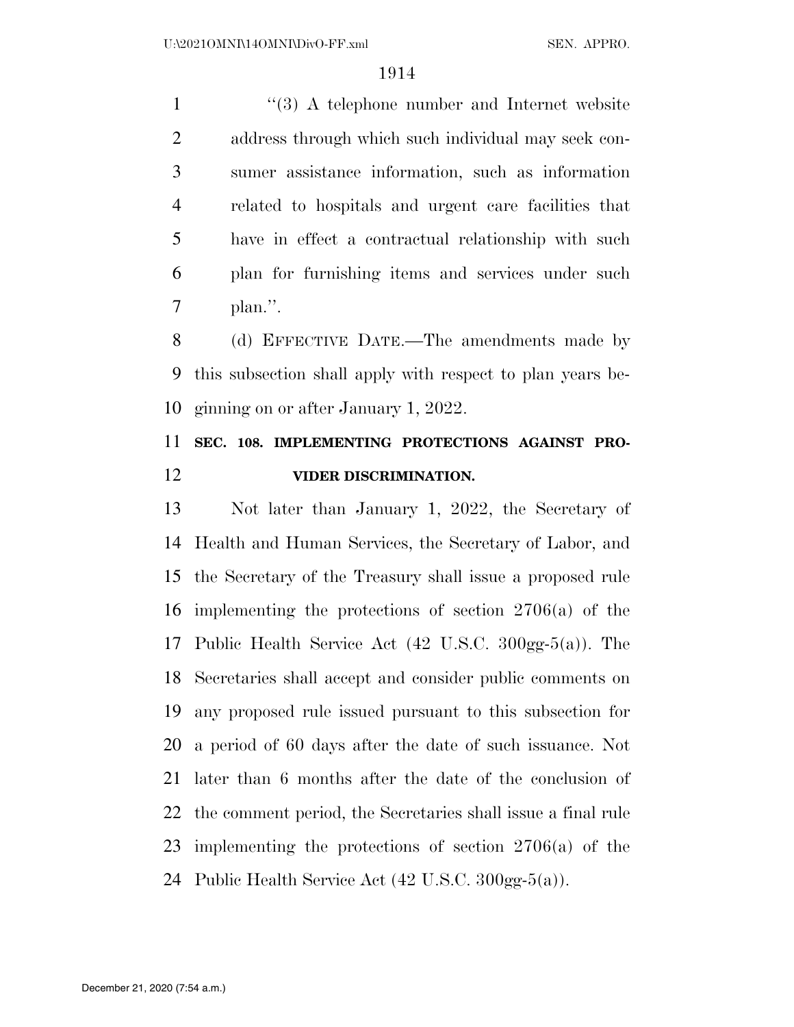1 ''(3) A telephone number and Internet website address through which such individual may seek con- sumer assistance information, such as information related to hospitals and urgent care facilities that have in effect a contractual relationship with such plan for furnishing items and services under such plan.''.

 (d) EFFECTIVE DATE.—The amendments made by this subsection shall apply with respect to plan years be-ginning on or after January 1, 2022.

# **SEC. 108. IMPLEMENTING PROTECTIONS AGAINST PRO-VIDER DISCRIMINATION.**

 Not later than January 1, 2022, the Secretary of Health and Human Services, the Secretary of Labor, and the Secretary of the Treasury shall issue a proposed rule implementing the protections of section 2706(a) of the Public Health Service Act (42 U.S.C. 300gg-5(a)). The Secretaries shall accept and consider public comments on any proposed rule issued pursuant to this subsection for a period of 60 days after the date of such issuance. Not later than 6 months after the date of the conclusion of the comment period, the Secretaries shall issue a final rule implementing the protections of section 2706(a) of the Public Health Service Act (42 U.S.C. 300gg-5(a)).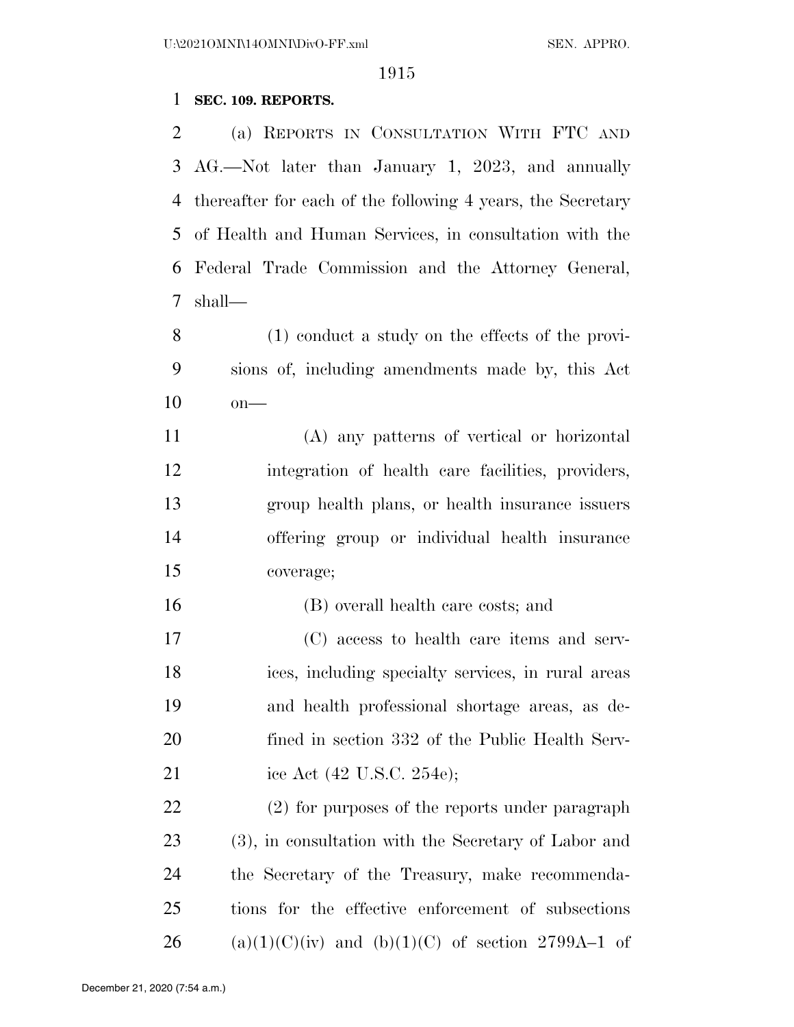# **SEC. 109. REPORTS.**

 (a) REPORTS IN CONSULTATION WITH FTC AND AG.—Not later than January 1, 2023, and annually thereafter for each of the following 4 years, the Secretary of Health and Human Services, in consultation with the Federal Trade Commission and the Attorney General, shall—

 (1) conduct a study on the effects of the provi- sions of, including amendments made by, this Act on—

 (A) any patterns of vertical or horizontal integration of health care facilities, providers, group health plans, or health insurance issuers offering group or individual health insurance coverage;

(B) overall health care costs; and

 (C) access to health care items and serv- ices, including specialty services, in rural areas and health professional shortage areas, as de- fined in section 332 of the Public Health Serv-21 ice Act (42 U.S.C. 254e);

 (2) for purposes of the reports under paragraph (3), in consultation with the Secretary of Labor and the Secretary of the Treasury, make recommenda- tions for the effective enforcement of subsections 26 (a)(1)(C)(iv) and (b)(1)(C) of section 2799A–1 of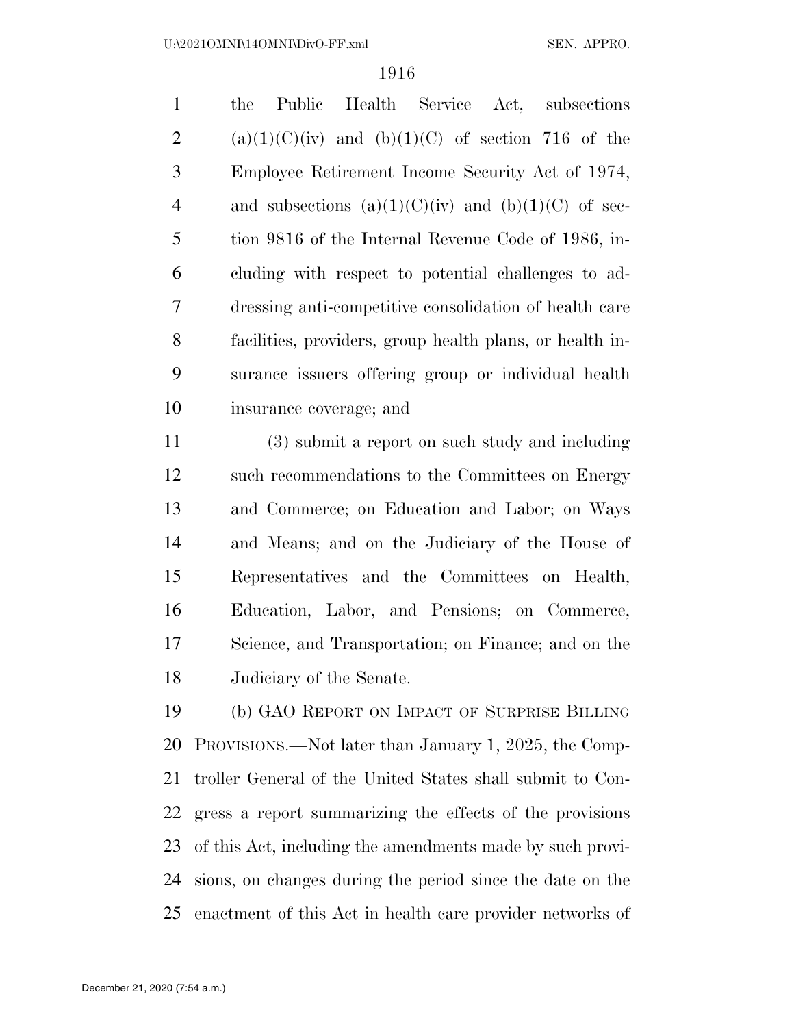| $\mathbf{1}$   | Public Health Service Act, subsections<br>the            |
|----------------|----------------------------------------------------------|
| 2              | $(a)(1)(C)(iv)$ and $(b)(1)(C)$ of section 716 of the    |
| 3              | Employee Retirement Income Security Act of 1974,         |
| $\overline{4}$ | and subsections $(a)(1)(C)(iv)$ and $(b)(1)(C)$ of sec-  |
| 5              | tion 9816 of the Internal Revenue Code of 1986, in-      |
| 6              | cluding with respect to potential challenges to ad-      |
| 7              | dressing anti-competitive consolidation of health care   |
| 8              | facilities, providers, group health plans, or health in- |
| 9              | surance issuers offering group or individual health      |
| 10             | insurance coverage; and                                  |

 (3) submit a report on such study and including such recommendations to the Committees on Energy and Commerce; on Education and Labor; on Ways and Means; and on the Judiciary of the House of Representatives and the Committees on Health, Education, Labor, and Pensions; on Commerce, Science, and Transportation; on Finance; and on the Judiciary of the Senate.

 (b) GAO REPORT ON IMPACT OF SURPRISE BILLING PROVISIONS.—Not later than January 1, 2025, the Comp- troller General of the United States shall submit to Con- gress a report summarizing the effects of the provisions of this Act, including the amendments made by such provi- sions, on changes during the period since the date on the enactment of this Act in health care provider networks of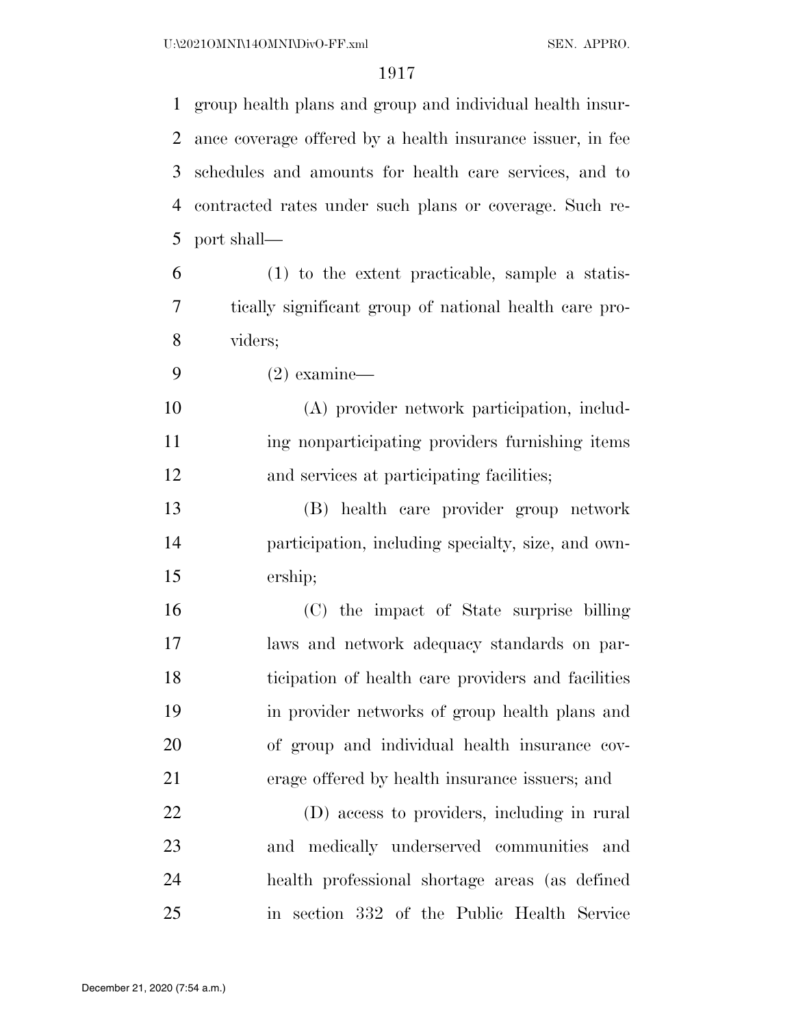group health plans and group and individual health insur- ance coverage offered by a health insurance issuer, in fee schedules and amounts for health care services, and to contracted rates under such plans or coverage. Such re-port shall—

 (1) to the extent practicable, sample a statis- tically significant group of national health care pro-viders;

(2) examine—

 (A) provider network participation, includ-11 ing nonparticipating providers furnishing items and services at participating facilities;

 (B) health care provider group network participation, including specialty, size, and own-ership;

 (C) the impact of State surprise billing laws and network adequacy standards on par- ticipation of health care providers and facilities in provider networks of group health plans and of group and individual health insurance cov-erage offered by health insurance issuers; and

 (D) access to providers, including in rural and medically underserved communities and health professional shortage areas (as defined in section 332 of the Public Health Service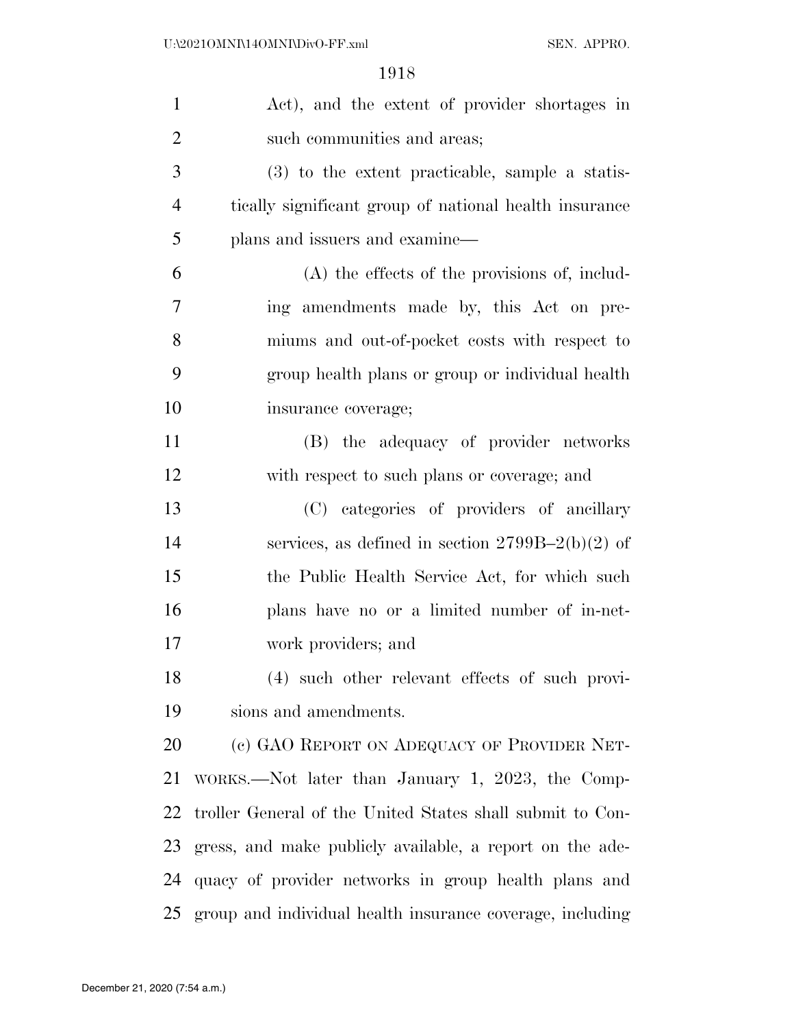| $\mathbf{1}$   | Act), and the extent of provider shortages in                |
|----------------|--------------------------------------------------------------|
| $\overline{2}$ | such communities and areas;                                  |
| 3              | (3) to the extent practicable, sample a statis-              |
| $\overline{4}$ | tically significant group of national health insurance       |
| 5              | plans and issuers and examine—                               |
| 6              | $(A)$ the effects of the provisions of, includ-              |
| 7              | ing amendments made by, this Act on pre-                     |
| 8              | miums and out-of-pocket costs with respect to                |
| 9              | group health plans or group or individual health             |
| 10             | insurance coverage;                                          |
| 11             | (B) the adequacy of provider networks                        |
| 12             | with respect to such plans or coverage; and                  |
| 13             | (C) categories of providers of ancillary                     |
| 14             | services, as defined in section $2799B-2(b)(2)$ of           |
| 15             | the Public Health Service Act, for which such                |
| 16             | plans have no or a limited number of in-net-                 |
| 17             | work providers; and                                          |
| 18             | (4) such other relevant effects of such provi-               |
| 19             | sions and amendments.                                        |
| 20             | (c) GAO REPORT ON ADEQUACY OF PROVIDER NET-                  |
| 21             | WORKS.—Not later than January 1, 2023, the Comp-             |
| 22             | troller General of the United States shall submit to Con-    |
| 23             | gress, and make publicly available, a report on the ade-     |
| 24             | quacy of provider networks in group health plans and         |
|                | 25 group and individual health insurance coverage, including |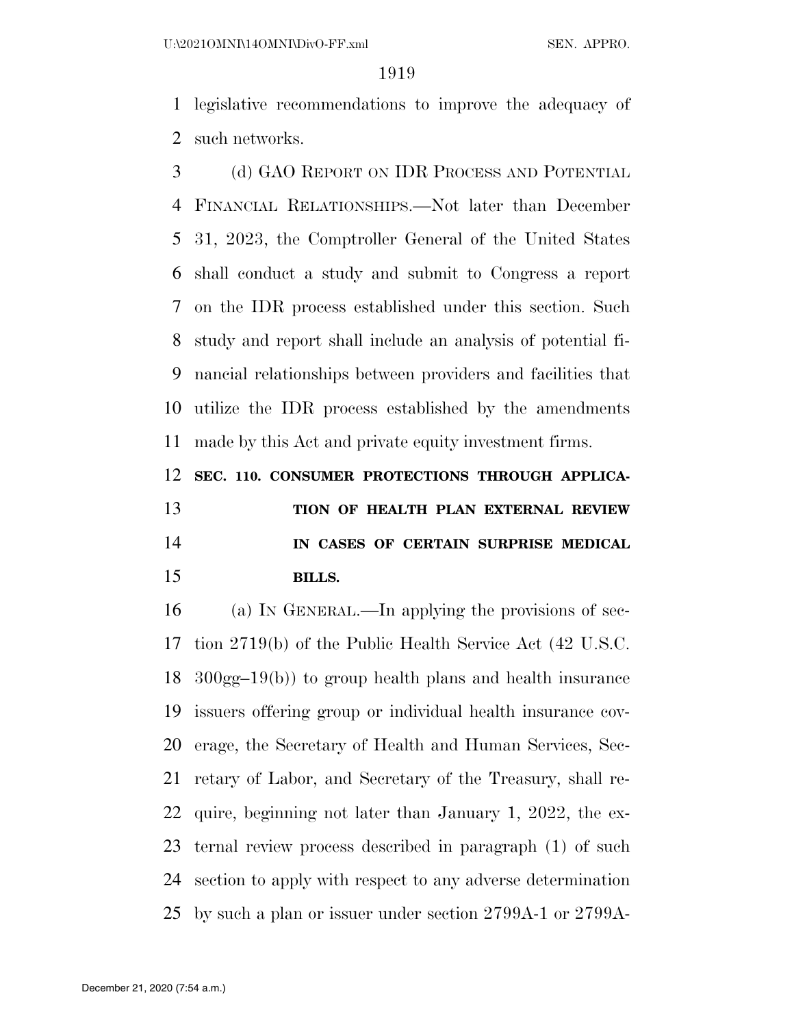U:\2021OMNI\14OMNI\DivO-FF.xml SEN. APPRO.

#### 

 legislative recommendations to improve the adequacy of such networks.

 (d) GAO REPORT ON IDR PROCESS AND POTENTIAL FINANCIAL RELATIONSHIPS.—Not later than December 31, 2023, the Comptroller General of the United States shall conduct a study and submit to Congress a report on the IDR process established under this section. Such study and report shall include an analysis of potential fi- nancial relationships between providers and facilities that utilize the IDR process established by the amendments made by this Act and private equity investment firms.

**SEC. 110. CONSUMER PROTECTIONS THROUGH APPLICA-**

# **TION OF HEALTH PLAN EXTERNAL REVIEW IN CASES OF CERTAIN SURPRISE MEDICAL BILLS.**

 (a) IN GENERAL.—In applying the provisions of sec- tion 2719(b) of the Public Health Service Act (42 U.S.C. 300gg–19(b)) to group health plans and health insurance issuers offering group or individual health insurance cov- erage, the Secretary of Health and Human Services, Sec- retary of Labor, and Secretary of the Treasury, shall re- quire, beginning not later than January 1, 2022, the ex- ternal review process described in paragraph (1) of such section to apply with respect to any adverse determination by such a plan or issuer under section 2799A-1 or 2799A-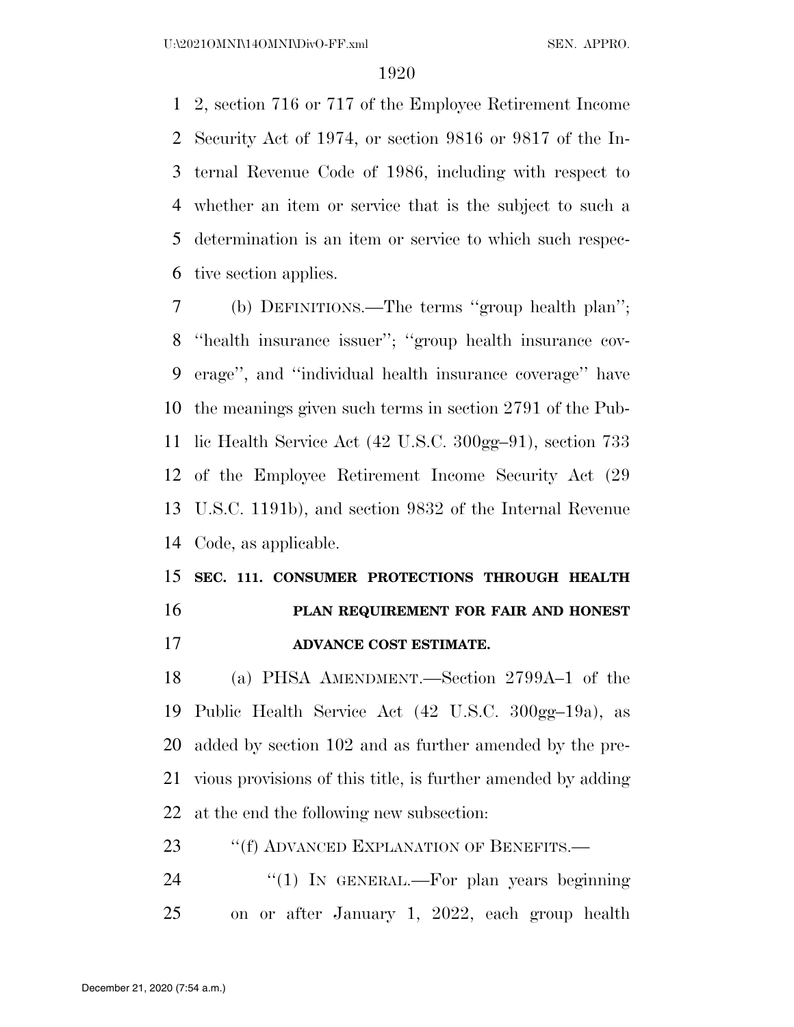2, section 716 or 717 of the Employee Retirement Income Security Act of 1974, or section 9816 or 9817 of the In- ternal Revenue Code of 1986, including with respect to whether an item or service that is the subject to such a determination is an item or service to which such respec-tive section applies.

 (b) DEFINITIONS.—The terms ''group health plan''; ''health insurance issuer''; ''group health insurance cov- erage'', and ''individual health insurance coverage'' have the meanings given such terms in section 2791 of the Pub- lic Health Service Act (42 U.S.C. 300gg–91), section 733 of the Employee Retirement Income Security Act (29 U.S.C. 1191b), and section 9832 of the Internal Revenue Code, as applicable.

## **SEC. 111. CONSUMER PROTECTIONS THROUGH HEALTH PLAN REQUIREMENT FOR FAIR AND HONEST**

**ADVANCE COST ESTIMATE.** 

 (a) PHSA AMENDMENT.—Section 2799A–1 of the Public Health Service Act (42 U.S.C. 300gg–19a), as added by section 102 and as further amended by the pre- vious provisions of this title, is further amended by adding at the end the following new subsection:

23 "If ADVANCED EXPLANATION OF BENEFITS.—

24 "(1) In GENERAL.—For plan years beginning on or after January 1, 2022, each group health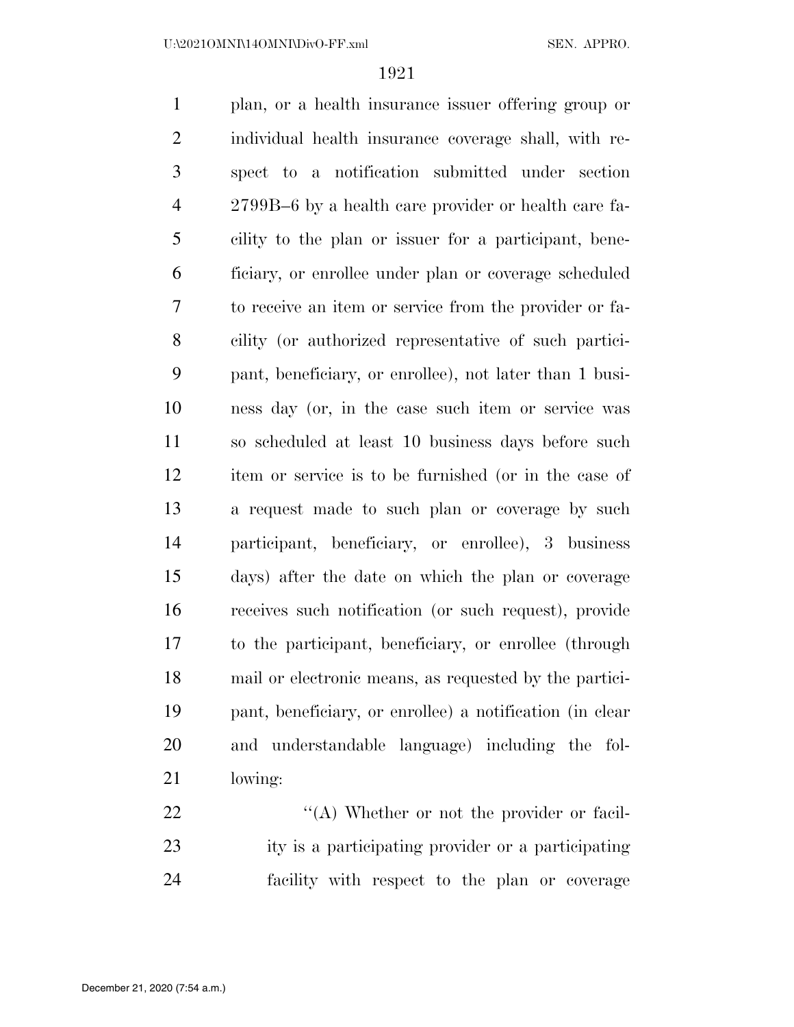plan, or a health insurance issuer offering group or individual health insurance coverage shall, with re- spect to a notification submitted under section 2799B–6 by a health care provider or health care fa- cility to the plan or issuer for a participant, bene- ficiary, or enrollee under plan or coverage scheduled to receive an item or service from the provider or fa- cility (or authorized representative of such partici- pant, beneficiary, or enrollee), not later than 1 busi- ness day (or, in the case such item or service was so scheduled at least 10 business days before such item or service is to be furnished (or in the case of a request made to such plan or coverage by such participant, beneficiary, or enrollee), 3 business days) after the date on which the plan or coverage receives such notification (or such request), provide to the participant, beneficiary, or enrollee (through mail or electronic means, as requested by the partici- pant, beneficiary, or enrollee) a notification (in clear and understandable language) including the fol-lowing:

22  $\langle (A)$  Whether or not the provider or facil- ity is a participating provider or a participating facility with respect to the plan or coverage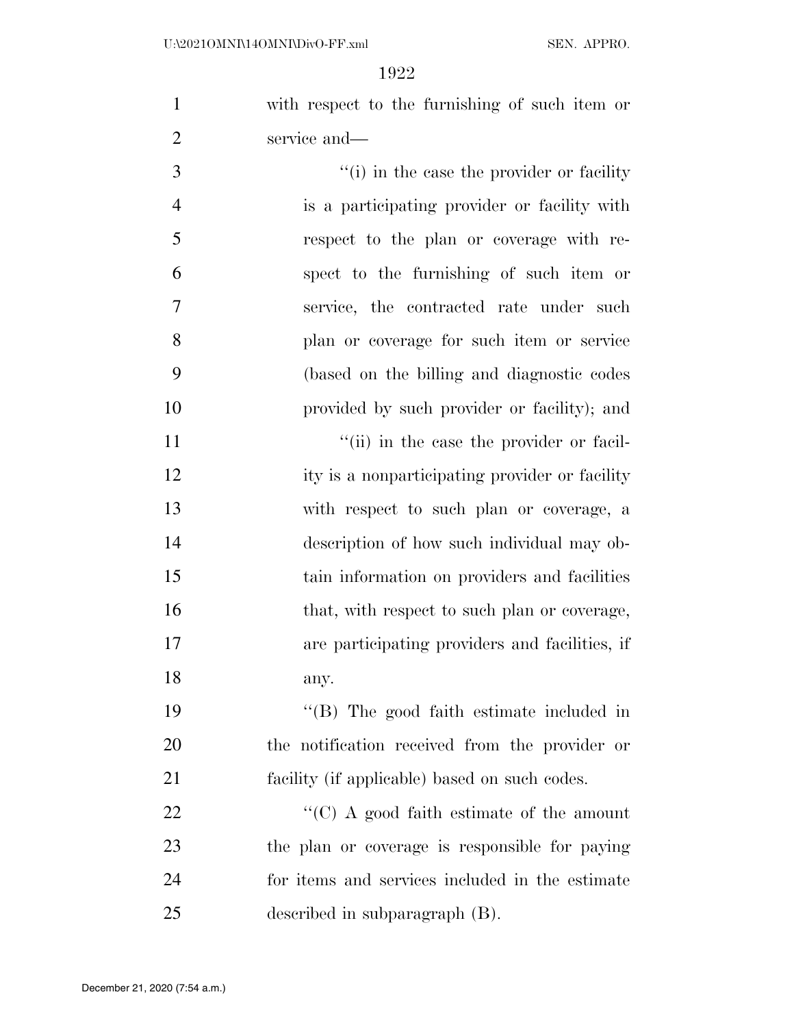with respect to the furnishing of such item or service and—

3 (i) in the case the provider or facility is a participating provider or facility with respect to the plan or coverage with re- spect to the furnishing of such item or service, the contracted rate under such plan or coverage for such item or service (based on the billing and diagnostic codes provided by such provider or facility); and

 $\frac{1}{\sin \theta}$  in the case the provider or facil-12 ity is a nonparticipating provider or facility with respect to such plan or coverage, a description of how such individual may ob- tain information on providers and facilities 16 that, with respect to such plan or coverage, are participating providers and facilities, if any.

 ''(B) The good faith estimate included in the notification received from the provider or facility (if applicable) based on such codes.

 $\cdot$  (C) A good faith estimate of the amount the plan or coverage is responsible for paying for items and services included in the estimate described in subparagraph (B).

December 21, 2020 (7:54 a.m.)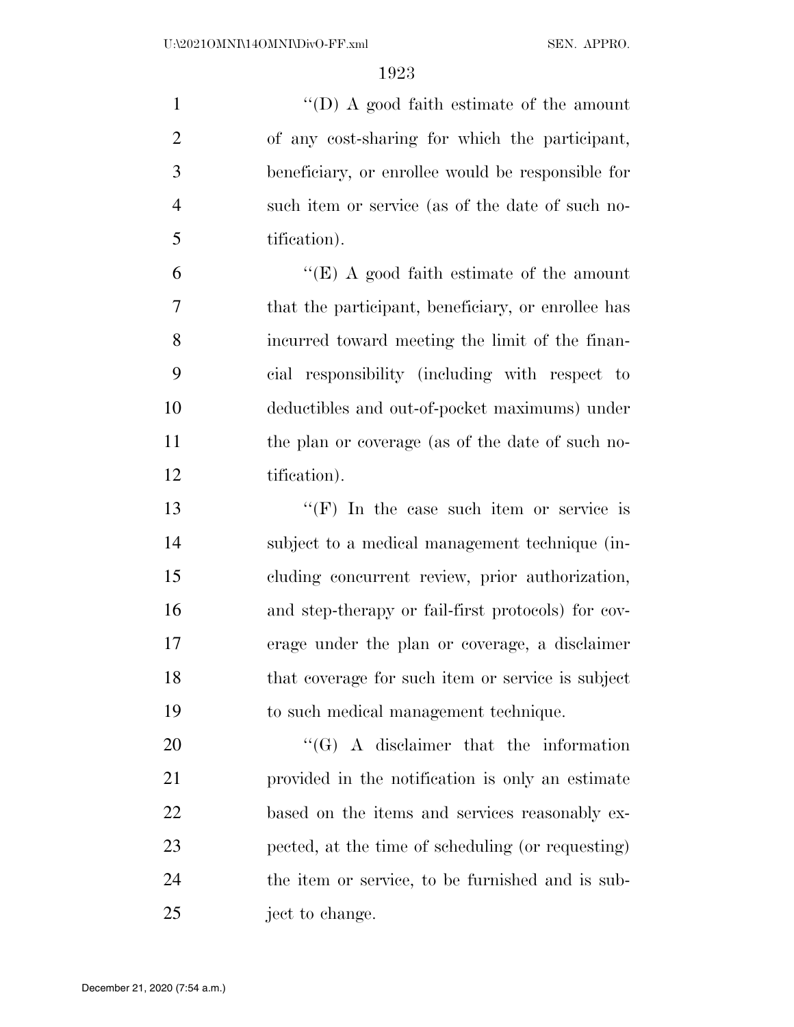1 ''(D) A good faith estimate of the amount of any cost-sharing for which the participant, beneficiary, or enrollee would be responsible for such item or service (as of the date of such no-tification).

 ''(E) A good faith estimate of the amount that the participant, beneficiary, or enrollee has incurred toward meeting the limit of the finan- cial responsibility (including with respect to deductibles and out-of-pocket maximums) under the plan or coverage (as of the date of such no-tification).

 ''(F) In the case such item or service is subject to a medical management technique (in- cluding concurrent review, prior authorization, and step-therapy or fail-first protocols) for cov- erage under the plan or coverage, a disclaimer that coverage for such item or service is subject to such medical management technique.

20 "'(G) A disclaimer that the information provided in the notification is only an estimate 22 based on the items and services reasonably ex- pected, at the time of scheduling (or requesting) the item or service, to be furnished and is sub-ject to change.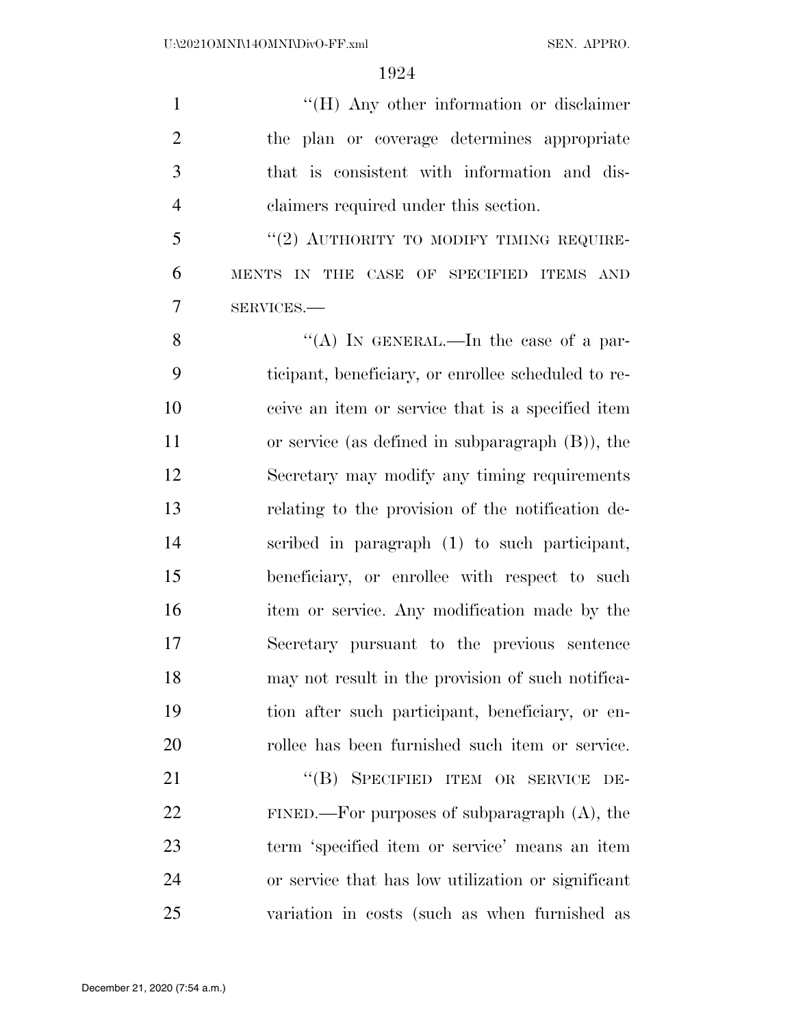$\langle$  (H) Any other information or disclaimer the plan or coverage determines appropriate that is consistent with information and dis-claimers required under this section.

 "(2) AUTHORITY TO MODIFY TIMING REQUIRE- MENTS IN THE CASE OF SPECIFIED ITEMS AND SERVICES.—

8 "(A) In GENERAL.—In the case of a par- ticipant, beneficiary, or enrollee scheduled to re- ceive an item or service that is a specified item or service (as defined in subparagraph (B)), the Secretary may modify any timing requirements relating to the provision of the notification de- scribed in paragraph (1) to such participant, beneficiary, or enrollee with respect to such item or service. Any modification made by the Secretary pursuant to the previous sentence may not result in the provision of such notifica- tion after such participant, beneficiary, or en-rollee has been furnished such item or service.

21 "(B) SPECIFIED ITEM OR SERVICE DE- FINED.—For purposes of subparagraph (A), the term 'specified item or service' means an item or service that has low utilization or significant variation in costs (such as when furnished as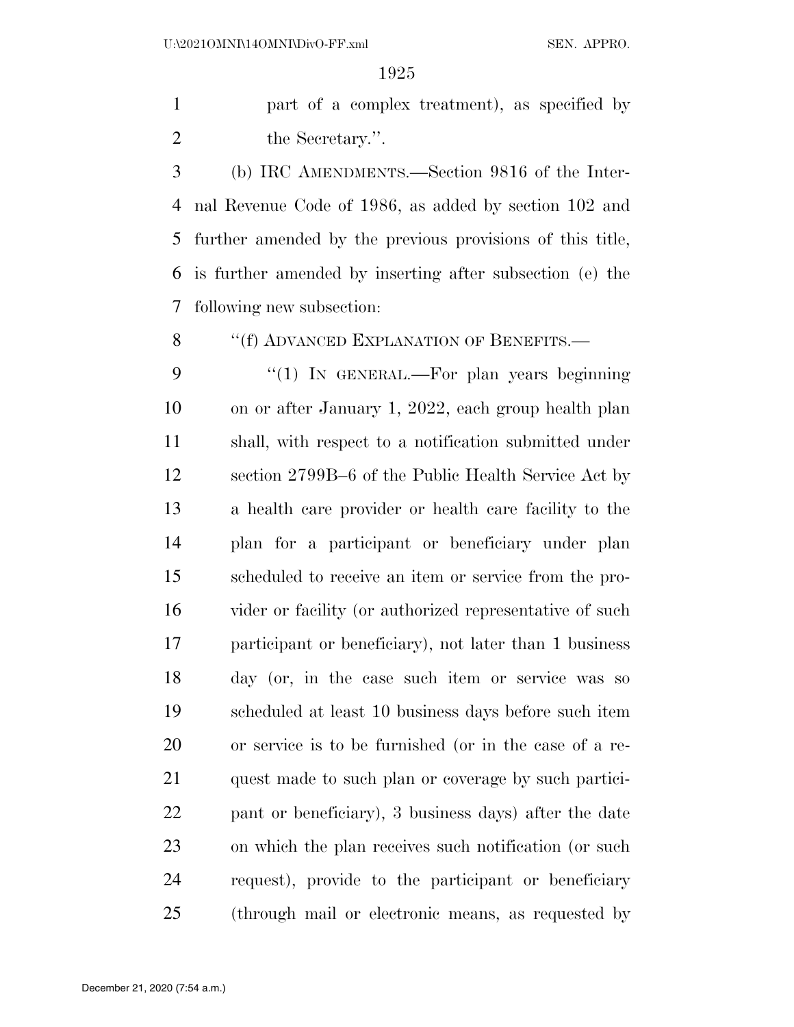part of a complex treatment), as specified by 2 the Secretary.".

 (b) IRC AMENDMENTS.—Section 9816 of the Inter- nal Revenue Code of 1986, as added by section 102 and further amended by the previous provisions of this title, is further amended by inserting after subsection (e) the following new subsection:

8 "(f) ADVANCED EXPLANATION OF BENEFITS.—

9 "(1) In GENERAL.—For plan years beginning on or after January 1, 2022, each group health plan shall, with respect to a notification submitted under section 2799B–6 of the Public Health Service Act by a health care provider or health care facility to the plan for a participant or beneficiary under plan scheduled to receive an item or service from the pro- vider or facility (or authorized representative of such participant or beneficiary), not later than 1 business day (or, in the case such item or service was so scheduled at least 10 business days before such item or service is to be furnished (or in the case of a re- quest made to such plan or coverage by such partici- pant or beneficiary), 3 business days) after the date on which the plan receives such notification (or such request), provide to the participant or beneficiary (through mail or electronic means, as requested by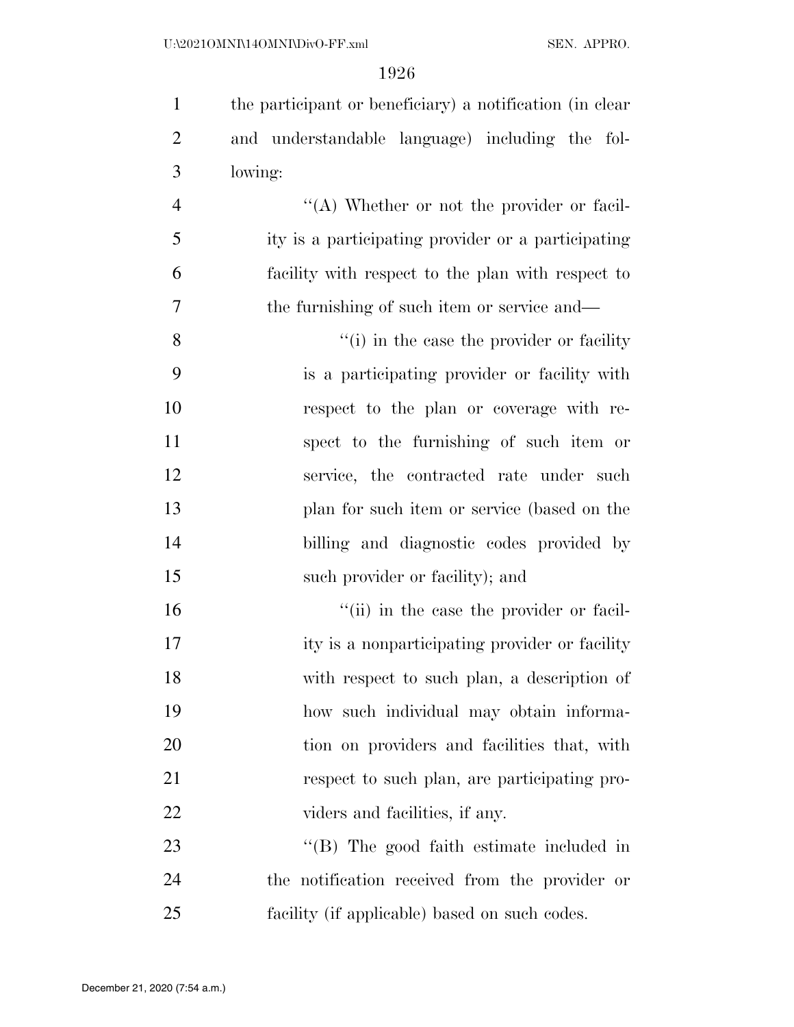| $\mathbf{1}$   | the participant or beneficiary) a notification (in clear |
|----------------|----------------------------------------------------------|
| $\overline{2}$ | and understandable language) including the fol-          |
| 3              | lowing:                                                  |
| $\overline{4}$ | "(A) Whether or not the provider or facil-               |
| 5              | ity is a participating provider or a participating       |
| 6              | facility with respect to the plan with respect to        |
| 7              | the furnishing of such item or service and—              |
| 8              | "(i) in the case the provider or facility                |
| 9              | is a participating provider or facility with             |
| 10             | respect to the plan or coverage with re-                 |
| 11             | spect to the furnishing of such item or                  |
| 12             | service, the contracted rate under such                  |
| 13             | plan for such item or service (based on the              |
| 14             | billing and diagnostic codes provided by                 |
| 15             | such provider or facility); and                          |
| 16             | "(ii) in the case the provider or facil-                 |
| 17             | ity is a nonparticipating provider or facility           |
| 18             | with respect to such plan, a description of              |
| 19             | how such individual may obtain informa-                  |
| 20             | tion on providers and facilities that, with              |
| 21             | respect to such plan, are participating pro-             |
| 22             | viders and facilities, if any.                           |
| 23             | "(B) The good faith estimate included in                 |
| 24             | the notification received from the provider or           |
| 25             | facility (if applicable) based on such codes.            |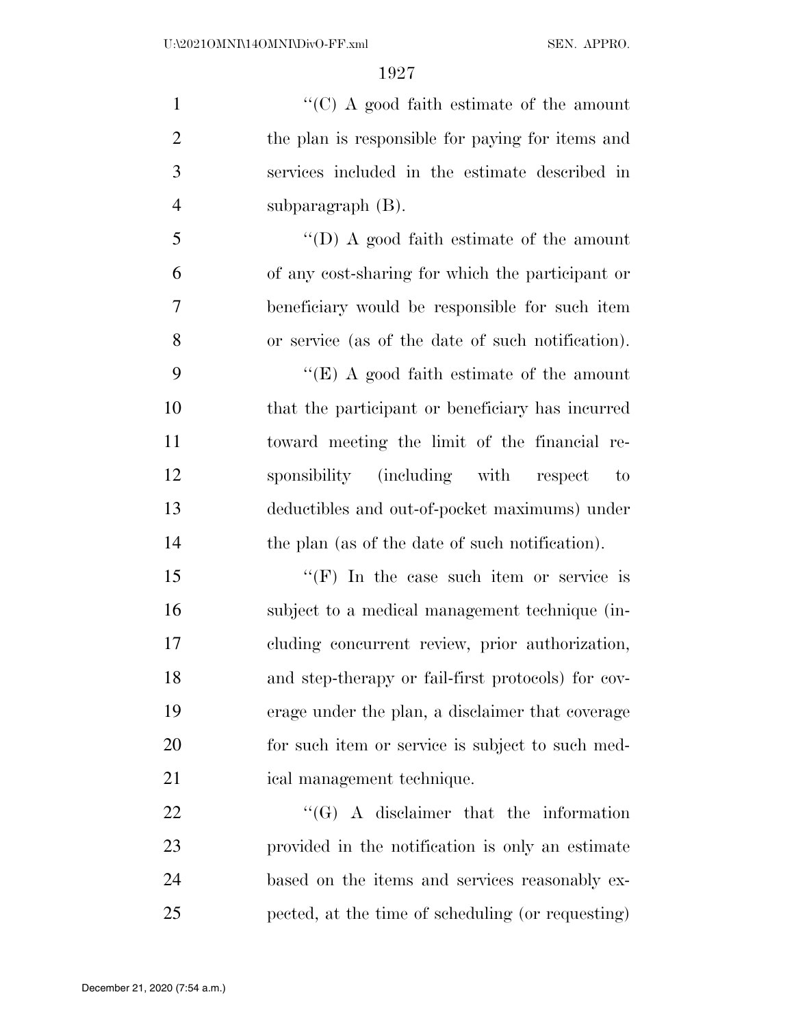$\cdot$  (C) A good faith estimate of the amount the plan is responsible for paying for items and services included in the estimate described in subparagraph (B).

 ''(D) A good faith estimate of the amount of any cost-sharing for which the participant or beneficiary would be responsible for such item or service (as of the date of such notification).

 ''(E) A good faith estimate of the amount that the participant or beneficiary has incurred toward meeting the limit of the financial re- sponsibility (including with respect to deductibles and out-of-pocket maximums) under 14 the plan (as of the date of such notification).

15 "'(F) In the case such item or service is subject to a medical management technique (in- cluding concurrent review, prior authorization, and step-therapy or fail-first protocols) for cov- erage under the plan, a disclaimer that coverage for such item or service is subject to such med-ical management technique.

22 "'(G) A disclaimer that the information provided in the notification is only an estimate based on the items and services reasonably ex-pected, at the time of scheduling (or requesting)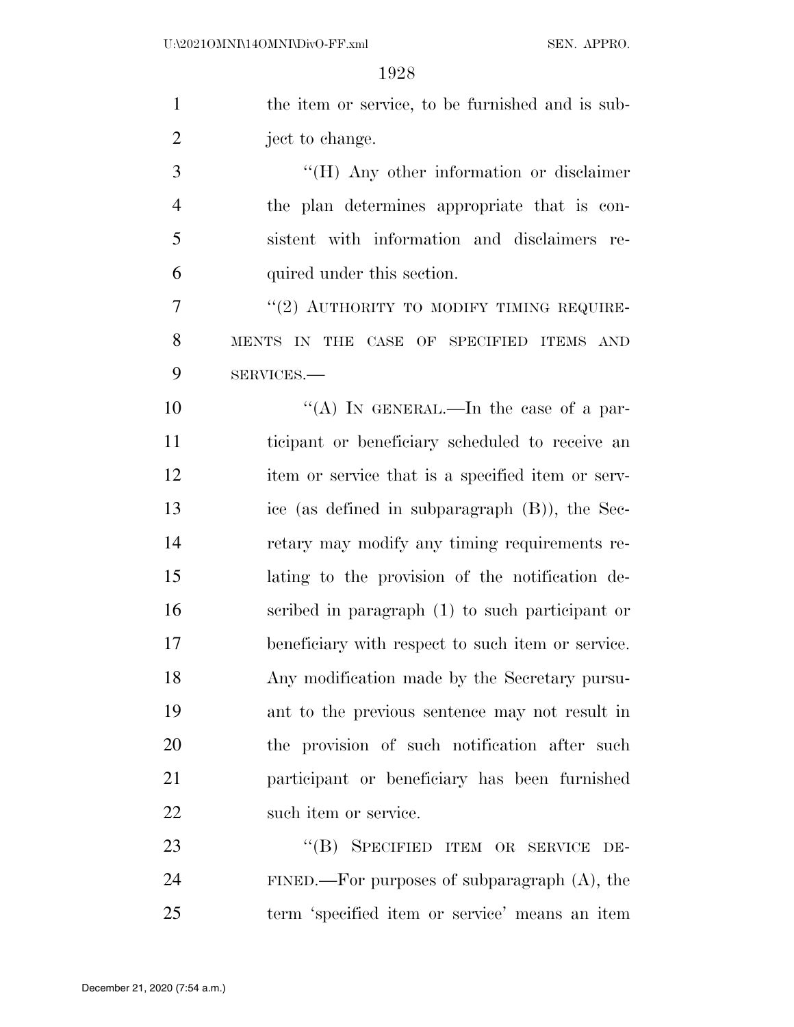|                | 1928                                               |
|----------------|----------------------------------------------------|
| $\mathbf{1}$   | the item or service, to be furnished and is sub-   |
| $\overline{2}$ | ject to change.                                    |
| 3              | "(H) Any other information or disclaimer           |
| $\overline{4}$ | the plan determines appropriate that is con-       |
| 5              | sistent with information and disclaimers re-       |
| 6              | quired under this section.                         |
| 7              | "(2) AUTHORITY TO MODIFY TIMING REQUIRE-           |
| 8              | MENTS IN THE CASE OF SPECIFIED ITEMS AND           |
| 9              | SERVICES.-                                         |
| 10             | "(A) IN GENERAL.—In the case of a par-             |
| 11             | ticipant or beneficiary scheduled to receive an    |
| 12             | item or service that is a specified item or serv-  |
| 13             | ice (as defined in subparagraph $(B)$ ), the Sec-  |
| 14             | retary may modify any timing requirements re-      |
| 15             | lating to the provision of the notification de-    |
| 16             | scribed in paragraph (1) to such participant or    |
| 17             | beneficiary with respect to such item or service.  |
| 18             | Any modification made by the Secretary pursu-      |
| 19             | ant to the previous sentence may not result in     |
| 20             | the provision of such notification after such      |
| 21             | participant or beneficiary has been furnished      |
| 22             | such item or service.                              |
| 23             | "(B) SPECIFIED ITEM OR SERVICE DE-                 |
| 24             | $FINED$ . For purposes of subparagraph $(A)$ , the |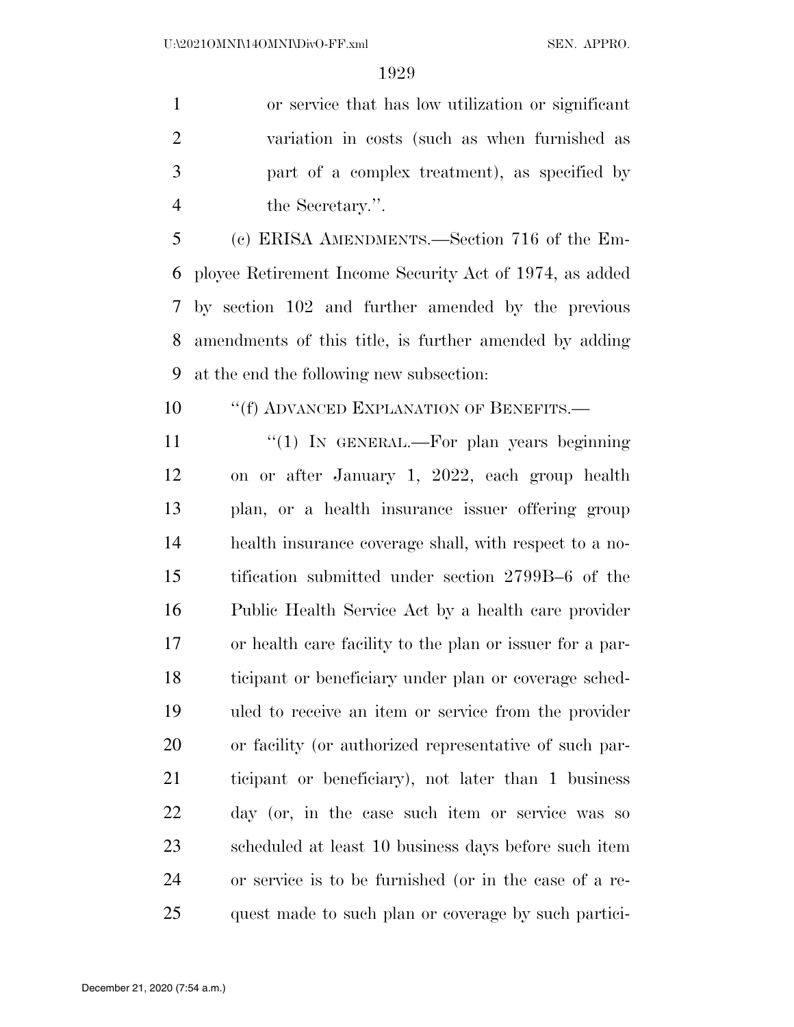or service that has low utilization or significant variation in costs (such as when furnished as part of a complex treatment), as specified by the Secretary.''.

 (c) ERISA AMENDMENTS.—Section 716 of the Em- ployee Retirement Income Security Act of 1974, as added by section 102 and further amended by the previous amendments of this title, is further amended by adding at the end the following new subsection:

**''**(f) ADVANCED EXPLANATION OF BENEFITS.

11 "(1) In GENERAL.—For plan years beginning on or after January 1, 2022, each group health plan, or a health insurance issuer offering group health insurance coverage shall, with respect to a no- tification submitted under section 2799B–6 of the Public Health Service Act by a health care provider or health care facility to the plan or issuer for a par- ticipant or beneficiary under plan or coverage sched- uled to receive an item or service from the provider or facility (or authorized representative of such par- ticipant or beneficiary), not later than 1 business day (or, in the case such item or service was so scheduled at least 10 business days before such item or service is to be furnished (or in the case of a re-quest made to such plan or coverage by such partici-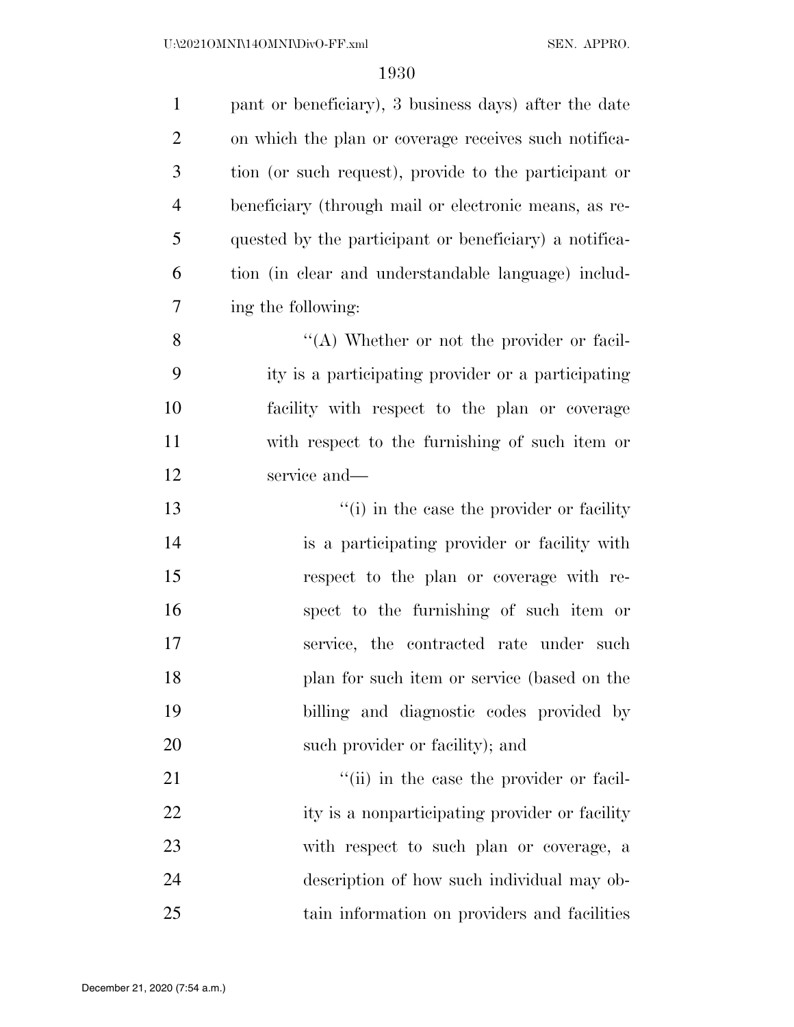| $\mathbf{1}$   | pant or beneficiary), 3 business days) after the date  |
|----------------|--------------------------------------------------------|
| $\overline{2}$ | on which the plan or coverage receives such notifica-  |
| 3              | tion (or such request), provide to the participant or  |
| $\overline{4}$ | beneficiary (through mail or electronic means, as re-  |
| 5              | quested by the participant or beneficiary) a notifica- |
| 6              | tion (in clear and understandable language) includ-    |
| 7              | ing the following:                                     |
| 8              | "(A) Whether or not the provider or facil-             |
| 9              | ity is a participating provider or a participating     |
| 10             | facility with respect to the plan or coverage          |
| 11             | with respect to the furnishing of such item or         |
| 12             | service and-                                           |
| 13             | "(i) in the case the provider or facility"             |
| 14             | is a participating provider or facility with           |
| 15             | respect to the plan or coverage with re-               |
| 16             | spect to the furnishing of such item or                |
| 17             | service, the contracted rate under such                |
| 18             | plan for such item or service (based on the            |
| 19             | billing and diagnostic codes provided by               |
| 20             | such provider or facility); and                        |
| 21             | "(ii) in the case the provider or facil-               |
| 22             | ity is a nonparticipating provider or facility         |
| 23             | with respect to such plan or coverage, a               |
| 24             | description of how such individual may ob-             |
| 25             | tain information on providers and facilities           |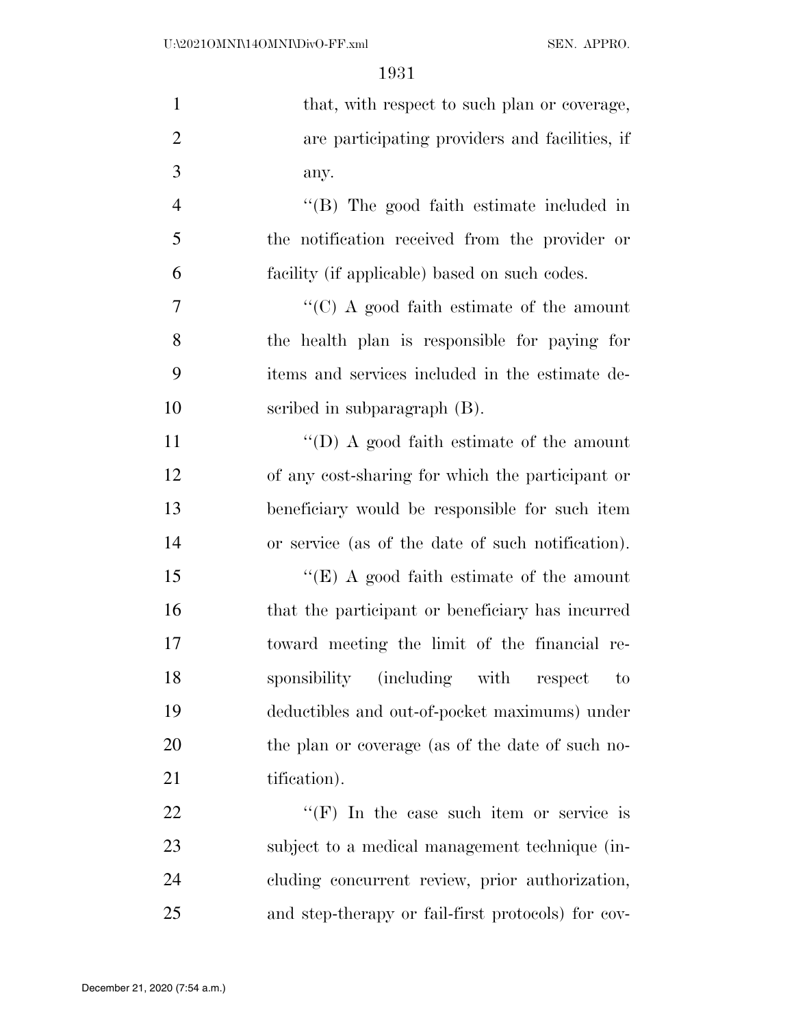| $\mathbf{1}$   | that, with respect to such plan or coverage,       |
|----------------|----------------------------------------------------|
| $\overline{2}$ | are participating providers and facilities, if     |
| 3              | any.                                               |
| $\overline{4}$ | "(B) The good faith estimate included in           |
| 5              | the notification received from the provider or     |
| 6              | facility (if applicable) based on such codes.      |
| 7              | " $(C)$ A good faith estimate of the amount        |
| 8              | the health plan is responsible for paying for      |
| 9              | items and services included in the estimate de-    |
| 10             | scribed in subparagraph (B).                       |
| 11             | "(D) A good faith estimate of the amount           |
| 12             | of any cost-sharing for which the participant or   |
| 13             | beneficiary would be responsible for such item     |
| 14             | or service (as of the date of such notification).  |
| 15             | "(E) A good faith estimate of the amount           |
| 16             | that the participant or beneficiary has incurred   |
| 17             | toward meeting the limit of the financial re-      |
| 18             | sponsibility (including with respect<br>to         |
| 19             | deductibles and out-of-pocket maximums) under      |
| 20             | the plan or coverage (as of the date of such no-   |
| 21             | tification).                                       |
| 22             | "(F) In the case such item or service is           |
| 23             | subject to a medical management technique (in-     |
| 24             | cluding concurrent review, prior authorization,    |
| 25             | and step-therapy or fail-first protocols) for cov- |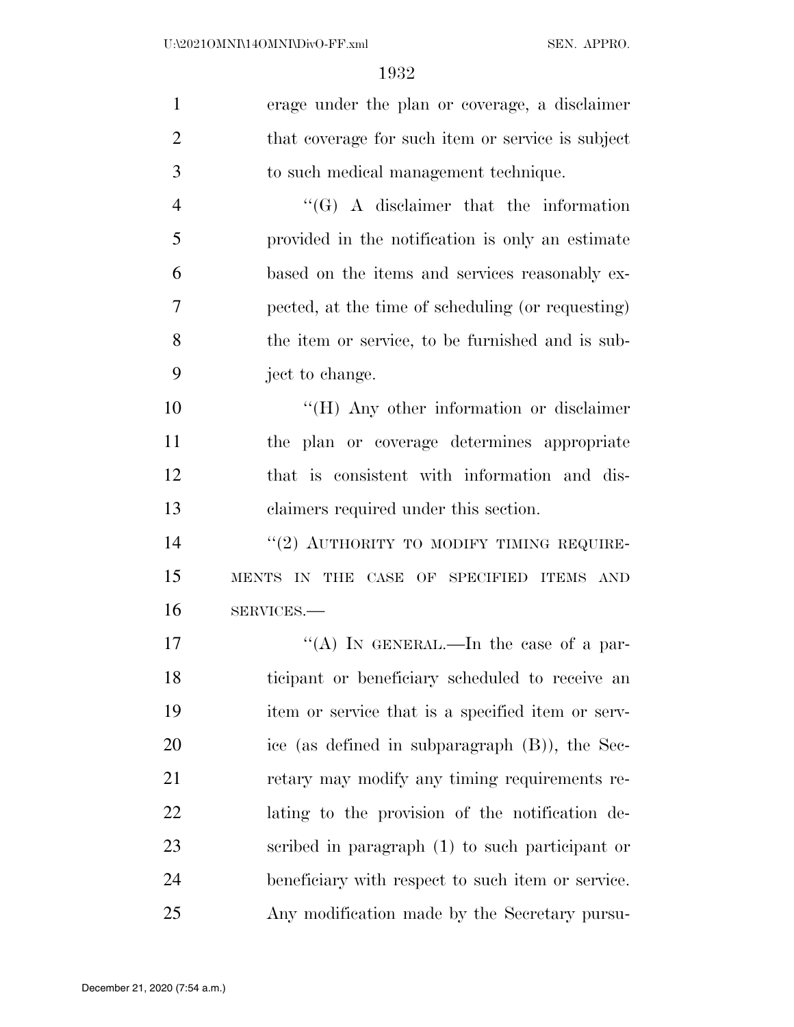| $\mathbf{1}$   | erage under the plan or coverage, a disclaimer    |
|----------------|---------------------------------------------------|
| $\overline{2}$ | that coverage for such item or service is subject |
| 3              | to such medical management technique.             |
| $\overline{4}$ | $\lq\lq (G)$ A disclaimer that the information    |
| 5              | provided in the notification is only an estimate  |
| 6              | based on the items and services reasonably ex-    |
| 7              | pected, at the time of scheduling (or requesting) |
| 8              | the item or service, to be furnished and is sub-  |
| 9              | ject to change.                                   |
| 10             | $H(H)$ Any other information or disclaimer        |
| 11             | the plan or coverage determines appropriate       |
| 12             | that is consistent with information and dis-      |
| 13             | claimers required under this section.             |
| 14             | "(2) AUTHORITY TO MODIFY TIMING REQUIRE-          |
| 15             | MENTS IN THE CASE OF SPECIFIED ITEMS AND          |
| 16             | SERVICES.-                                        |
| 17             | "(A) IN GENERAL.—In the case of a par-            |
| 18             | ticipant or beneficiary scheduled to receive an   |
| 19             | item or service that is a specified item or serv- |
| 20             | ice (as defined in subparagraph $(B)$ ), the Sec- |
| 21             | retary may modify any timing requirements re-     |
| 22             | lating to the provision of the notification de-   |
| 23             | scribed in paragraph (1) to such participant or   |
| 24             | beneficiary with respect to such item or service. |
| 25             | Any modification made by the Secretary pursu-     |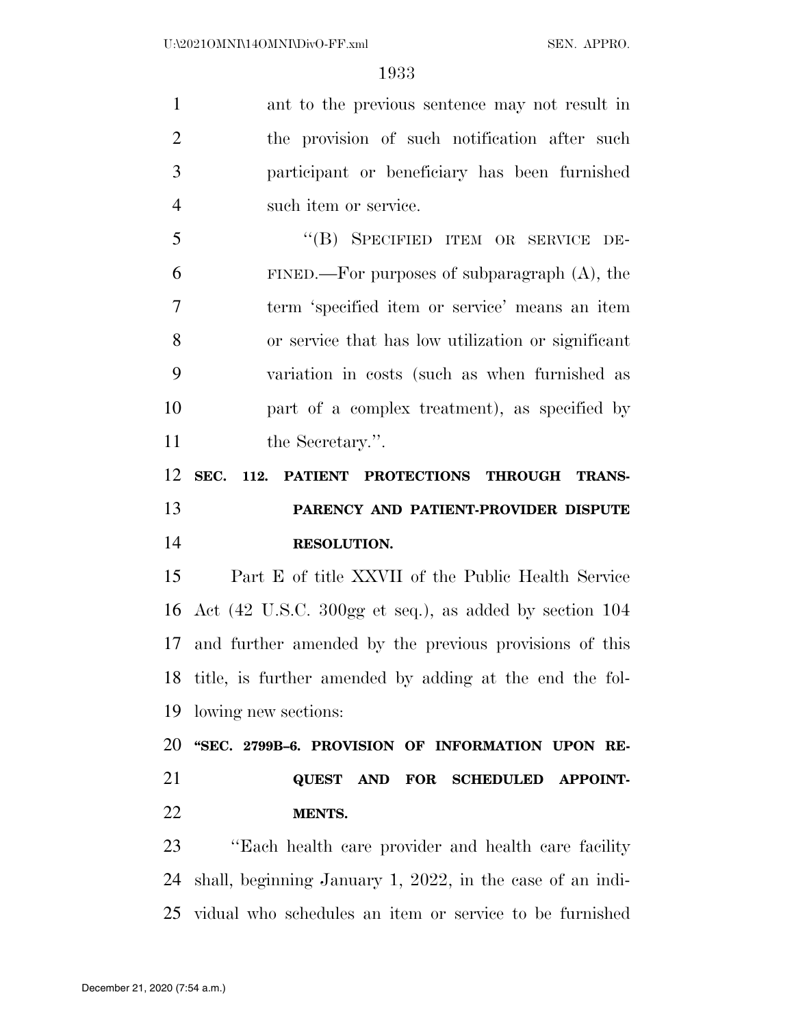ant to the previous sentence may not result in the provision of such notification after such participant or beneficiary has been furnished such item or service. ''(B) SPECIFIED ITEM OR SERVICE DE-6 FINED.—For purposes of subparagraph  $(A)$ , the term 'specified item or service' means an item or service that has low utilization or significant variation in costs (such as when furnished as part of a complex treatment), as specified by 11 the Secretary.". **SEC. 112. PATIENT PROTECTIONS THROUGH TRANS- PARENCY AND PATIENT-PROVIDER DISPUTE RESOLUTION.**  Part E of title XXVII of the Public Health Service Act (42 U.S.C. 300gg et seq.), as added by section 104

 and further amended by the previous provisions of this title, is further amended by adding at the end the fol-lowing new sections:

 **''SEC. 2799B–6. PROVISION OF INFORMATION UPON RE- QUEST AND FOR SCHEDULED APPOINT-MENTS.** 

 ''Each health care provider and health care facility shall, beginning January 1, 2022, in the case of an indi-vidual who schedules an item or service to be furnished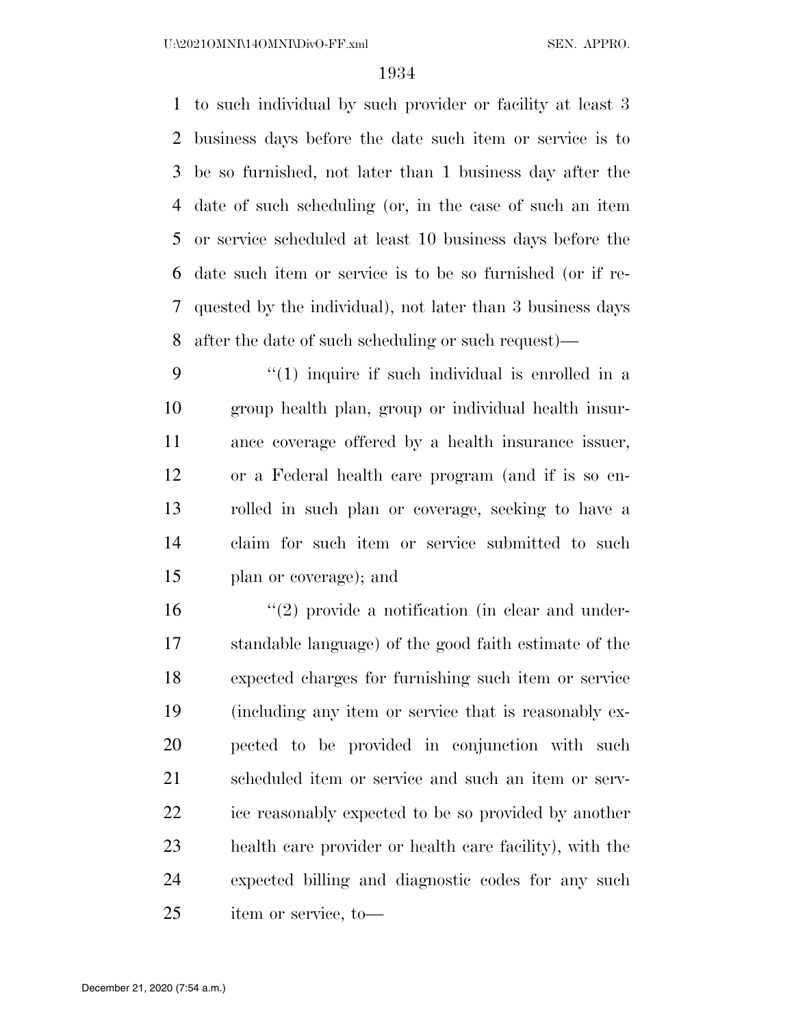to such individual by such provider or facility at least 3 business days before the date such item or service is to be so furnished, not later than 1 business day after the date of such scheduling (or, in the case of such an item or service scheduled at least 10 business days before the date such item or service is to be so furnished (or if re- quested by the individual), not later than 3 business days after the date of such scheduling or such request)—

 $\frac{4}{1}$  inquire if such individual is enrolled in a group health plan, group or individual health insur- ance coverage offered by a health insurance issuer, or a Federal health care program (and if is so en- rolled in such plan or coverage, seeking to have a claim for such item or service submitted to such plan or coverage); and

 $\frac{1}{2}$  provide a notification (in clear and under- standable language) of the good faith estimate of the expected charges for furnishing such item or service (including any item or service that is reasonably ex- pected to be provided in conjunction with such scheduled item or service and such an item or serv- ice reasonably expected to be so provided by another health care provider or health care facility), with the expected billing and diagnostic codes for any such item or service, to—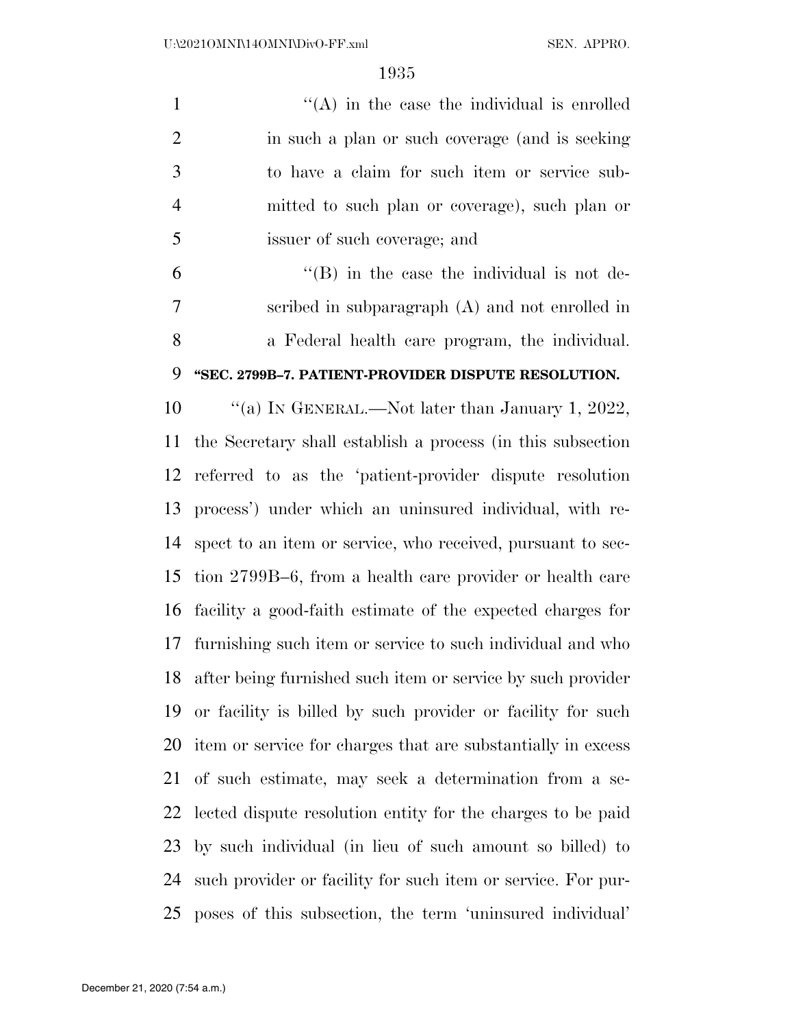$"({\rm A})$  in the case the individual is enrolled 2 in such a plan or such coverage (and is seeking to have a claim for such item or service sub- mitted to such plan or coverage), such plan or issuer of such coverage; and

 $^{\circ}$   $^{\circ}$  (B) in the case the individual is not de- scribed in subparagraph (A) and not enrolled in a Federal health care program, the individual.

## **''SEC. 2799B–7. PATIENT-PROVIDER DISPUTE RESOLUTION.**

 ''(a) IN GENERAL.—Not later than January 1, 2022, the Secretary shall establish a process (in this subsection referred to as the 'patient-provider dispute resolution process') under which an uninsured individual, with re- spect to an item or service, who received, pursuant to sec- tion 2799B–6, from a health care provider or health care facility a good-faith estimate of the expected charges for furnishing such item or service to such individual and who after being furnished such item or service by such provider or facility is billed by such provider or facility for such item or service for charges that are substantially in excess of such estimate, may seek a determination from a se- lected dispute resolution entity for the charges to be paid by such individual (in lieu of such amount so billed) to such provider or facility for such item or service. For pur-poses of this subsection, the term 'uninsured individual'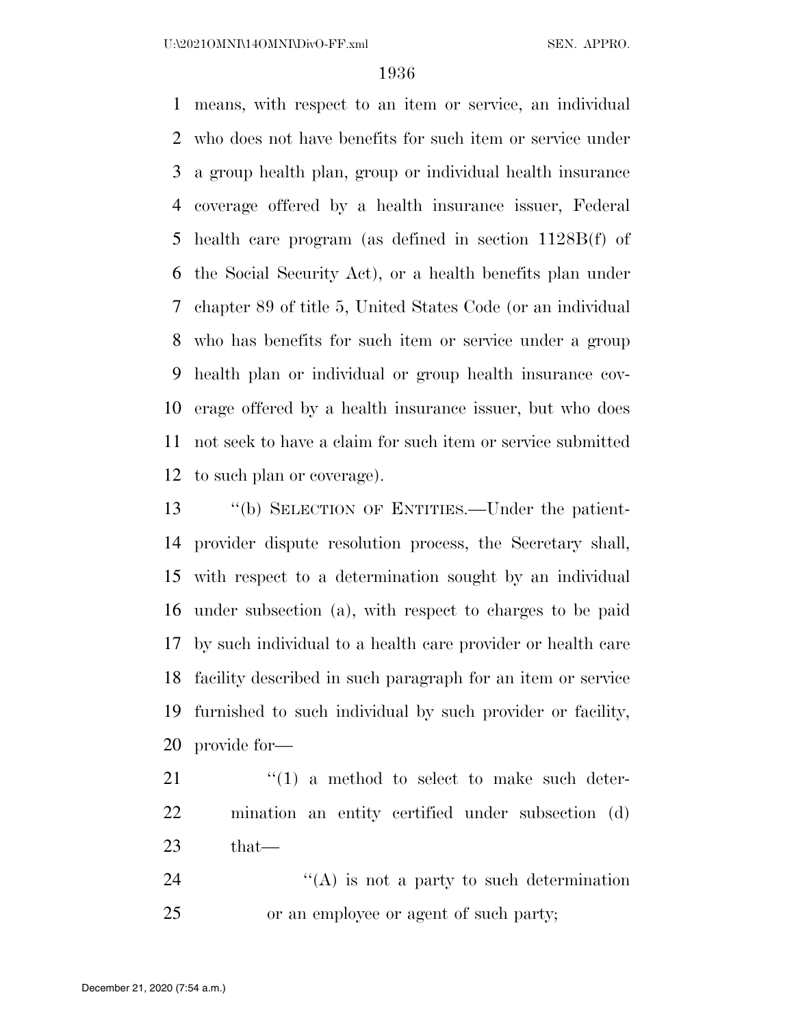means, with respect to an item or service, an individual who does not have benefits for such item or service under a group health plan, group or individual health insurance coverage offered by a health insurance issuer, Federal health care program (as defined in section 1128B(f) of the Social Security Act), or a health benefits plan under chapter 89 of title 5, United States Code (or an individual who has benefits for such item or service under a group health plan or individual or group health insurance cov- erage offered by a health insurance issuer, but who does not seek to have a claim for such item or service submitted to such plan or coverage).

 ''(b) SELECTION OF ENTITIES.—Under the patient- provider dispute resolution process, the Secretary shall, with respect to a determination sought by an individual under subsection (a), with respect to charges to be paid by such individual to a health care provider or health care facility described in such paragraph for an item or service furnished to such individual by such provider or facility, provide for—

 ''(1) a method to select to make such deter- mination an entity certified under subsection (d) that

24 ''(A) is not a party to such determination or an employee or agent of such party;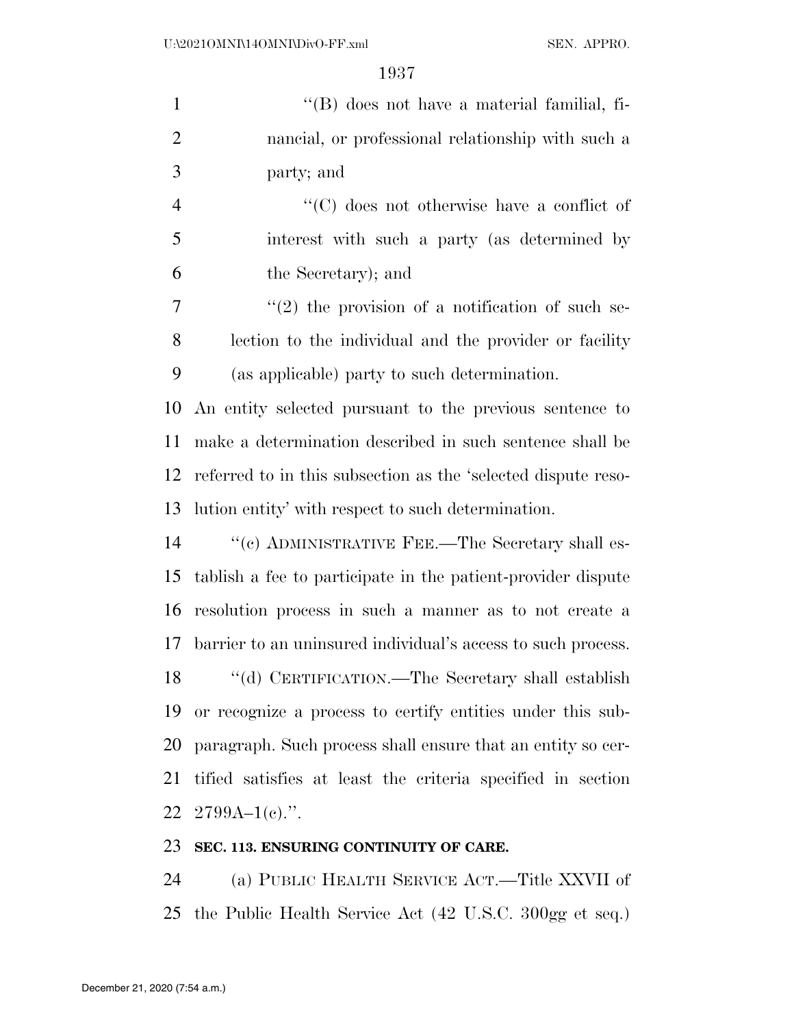| $\mathbf{1}$   | $\lq\lq$ does not have a material familial, fi-               |
|----------------|---------------------------------------------------------------|
| $\overline{2}$ | nancial, or professional relationship with such a             |
| 3              | party; and                                                    |
| $\overline{4}$ | $\cdot$ (C) does not otherwise have a conflict of             |
| 5              | interest with such a party (as determined by                  |
| 6              | the Secretary); and                                           |
| 7              | $\lq(2)$ the provision of a notification of such se-          |
| 8              | lection to the individual and the provider or facility        |
| 9              | (as applicable) party to such determination.                  |
| 10             | An entity selected pursuant to the previous sentence to       |
| 11             | make a determination described in such sentence shall be      |
| 12             | referred to in this subsection as the 'selected dispute reso- |
| 13             | lution entity' with respect to such determination.            |
| 14             | "(c) ADMINISTRATIVE FEE.—The Secretary shall es-              |
| 15             | tablish a fee to participate in the patient-provider dispute  |
| 16             | resolution process in such a manner as to not create a        |
| 17             | barrier to an uninsured individual's access to such process.  |
| 18             | "(d) CERTIFICATION.—The Secretary shall establish             |
| 19             | or recognize a process to certify entities under this sub-    |
| 20             | paragraph. Such process shall ensure that an entity so cer-   |
| 21             | tified satisfies at least the criteria specified in section   |
|                | 22 2799A-1(c).".                                              |
|                |                                                               |

## **SEC. 113. ENSURING CONTINUITY OF CARE.**

 (a) PUBLIC HEALTH SERVICE ACT.—Title XXVII of the Public Health Service Act (42 U.S.C. 300gg et seq.)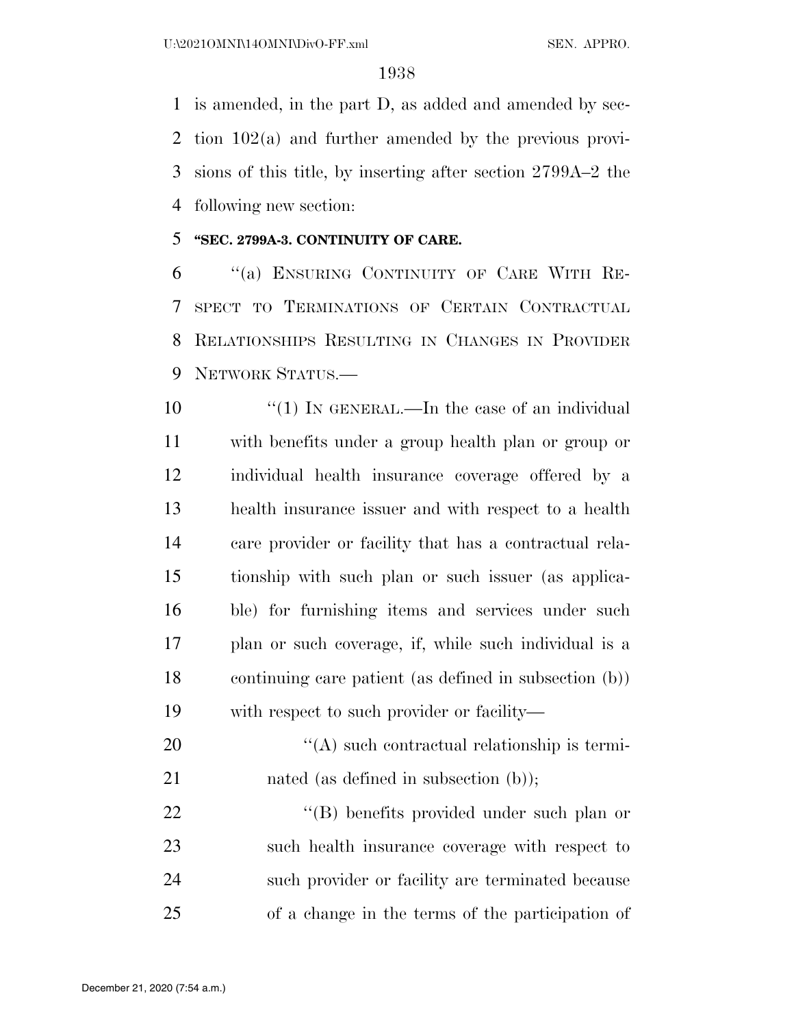is amended, in the part D, as added and amended by sec- tion 102(a) and further amended by the previous provi- sions of this title, by inserting after section 2799A–2 the following new section:

### **''SEC. 2799A-3. CONTINUITY OF CARE.**

 ''(a) ENSURING CONTINUITY OF CARE WITH RE- SPECT TO TERMINATIONS OF CERTAIN CONTRACTUAL RELATIONSHIPS RESULTING IN CHANGES IN PROVIDER NETWORK STATUS.—

 $\frac{10}{10}$  IN GENERAL.—In the case of an individual with benefits under a group health plan or group or individual health insurance coverage offered by a health insurance issuer and with respect to a health care provider or facility that has a contractual rela- tionship with such plan or such issuer (as applica- ble) for furnishing items and services under such plan or such coverage, if, while such individual is a continuing care patient (as defined in subsection (b)) with respect to such provider or facility—

20  $\langle (A) \rangle$  such contractual relationship is termi-21 nated (as defined in subsection (b));

22 ''(B) benefits provided under such plan or such health insurance coverage with respect to such provider or facility are terminated because of a change in the terms of the participation of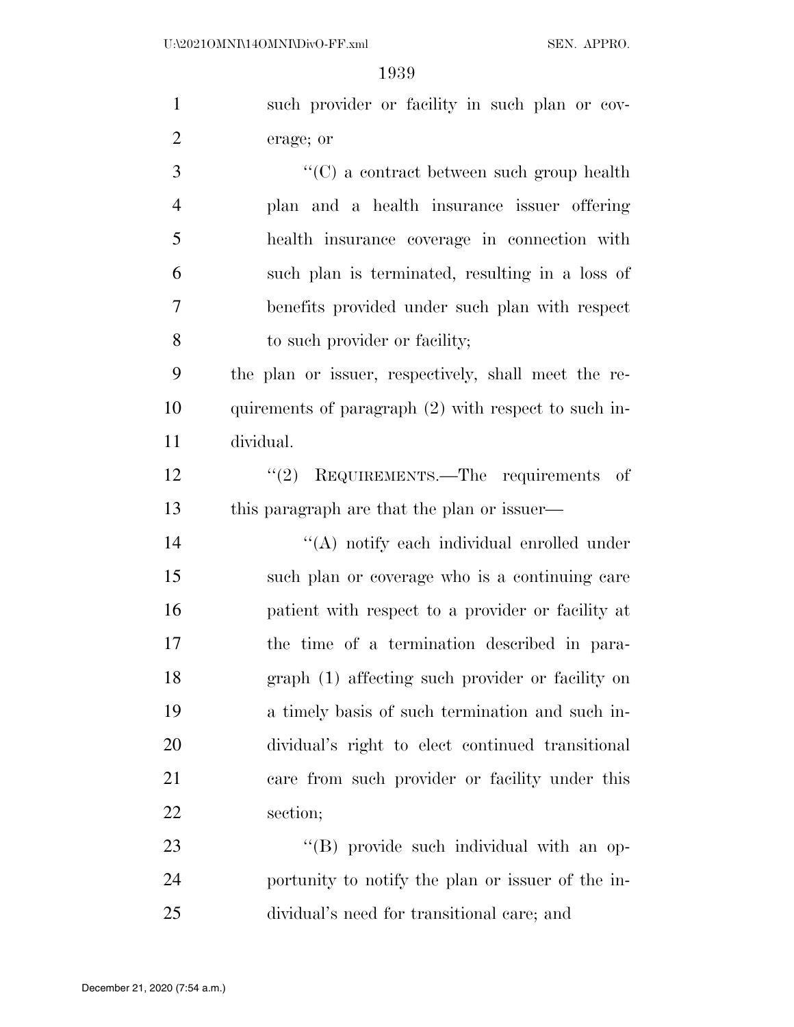| $\mathbf{1}$   | such provider or facility in such plan or cov-       |
|----------------|------------------------------------------------------|
| $\overline{2}$ | erage; or                                            |
| 3              | $\lq\lq$ (C) a contract between such group health    |
| $\overline{4}$ | plan and a health insurance issuer offering          |
| 5              | health insurance coverage in connection with         |
| 6              | such plan is terminated, resulting in a loss of      |
| $\tau$         | benefits provided under such plan with respect       |
| 8              | to such provider or facility;                        |
| 9              | the plan or issuer, respectively, shall meet the re- |
| 10             | quirements of paragraph (2) with respect to such in- |
| 11             | dividual.                                            |
| 12             | $"(2)$ REQUIREMENTS.—The requirements of             |
| 13             | this paragraph are that the plan or issuer—          |
| 14             | "(A) notify each individual enrolled under           |
| 15             | such plan or coverage who is a continuing care       |
| 16             | patient with respect to a provider or facility at    |
| 17             | the time of a termination described in para-         |
| 18             | graph (1) affecting such provider or facility on     |
| 19             | a timely basis of such termination and such in-      |
| 20             | dividual's right to elect continued transitional     |
| 21             | care from such provider or facility under this       |
| 22             | section;                                             |
| 23             | "(B) provide such individual with an op-             |
| 24             | portunity to notify the plan or issuer of the in-    |
| 25             | dividual's need for transitional care; and           |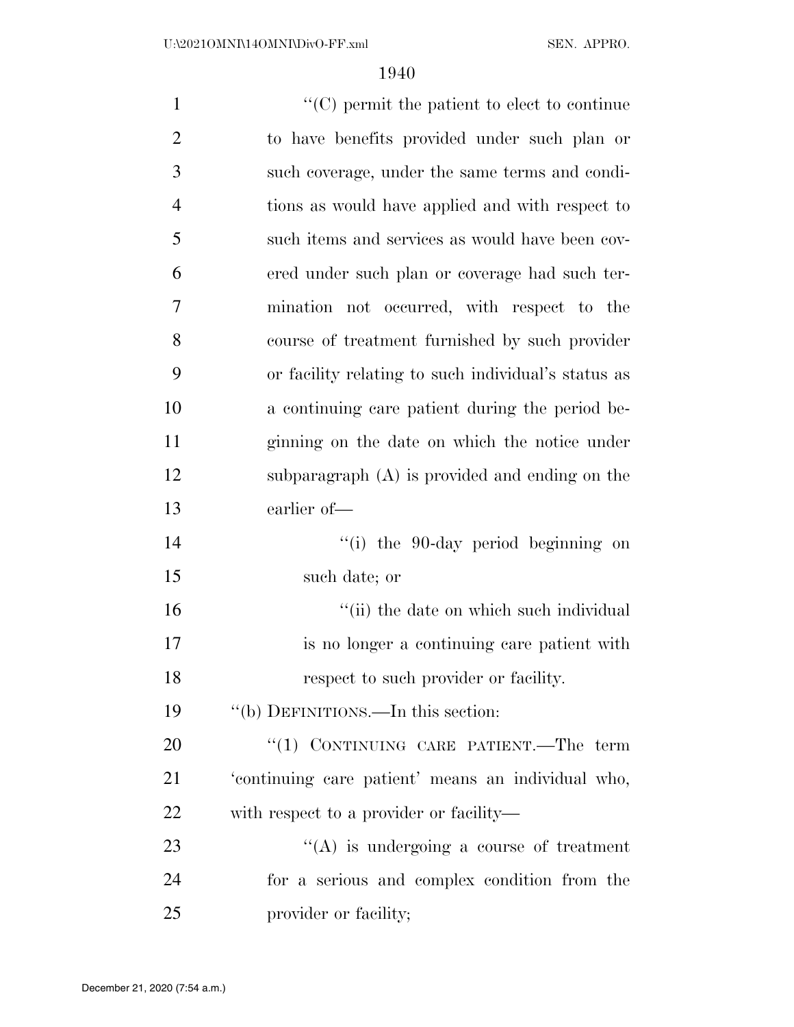| $\mathbf{1}$     | $\lq\lq$ (C) permit the patient to elect to continue |
|------------------|------------------------------------------------------|
| $\overline{2}$   | to have benefits provided under such plan or         |
| 3                | such coverage, under the same terms and condi-       |
| $\overline{4}$   | tions as would have applied and with respect to      |
| 5                | such items and services as would have been cov-      |
| 6                | ered under such plan or coverage had such ter-       |
| $\boldsymbol{7}$ | mination not occurred, with respect to the           |
| 8                | course of treatment furnished by such provider       |
| 9                | or facility relating to such individual's status as  |
| 10               | a continuing care patient during the period be-      |
| 11               | ginning on the date on which the notice under        |
| 12               | subparagraph $(A)$ is provided and ending on the     |
| 13               | earlier of-                                          |
| 14               | "(i) the 90-day period beginning on                  |
| 15               | such date; or                                        |
| 16               | "(ii) the date on which such individual              |
| 17               | is no longer a continuing care patient with          |
| 18               | respect to such provider or facility.                |
| 19               | "(b) DEFINITIONS.—In this section:                   |
| 20               | "(1) CONTINUING CARE PATIENT.—The term               |
| 21               | 'continuing care patient' means an individual who,   |
| 22               | with respect to a provider or facility—              |
| 23               | $\lq\lq$ is undergoing a course of treatment         |
| 24               | for a serious and complex condition from the         |
| 25               | provider or facility;                                |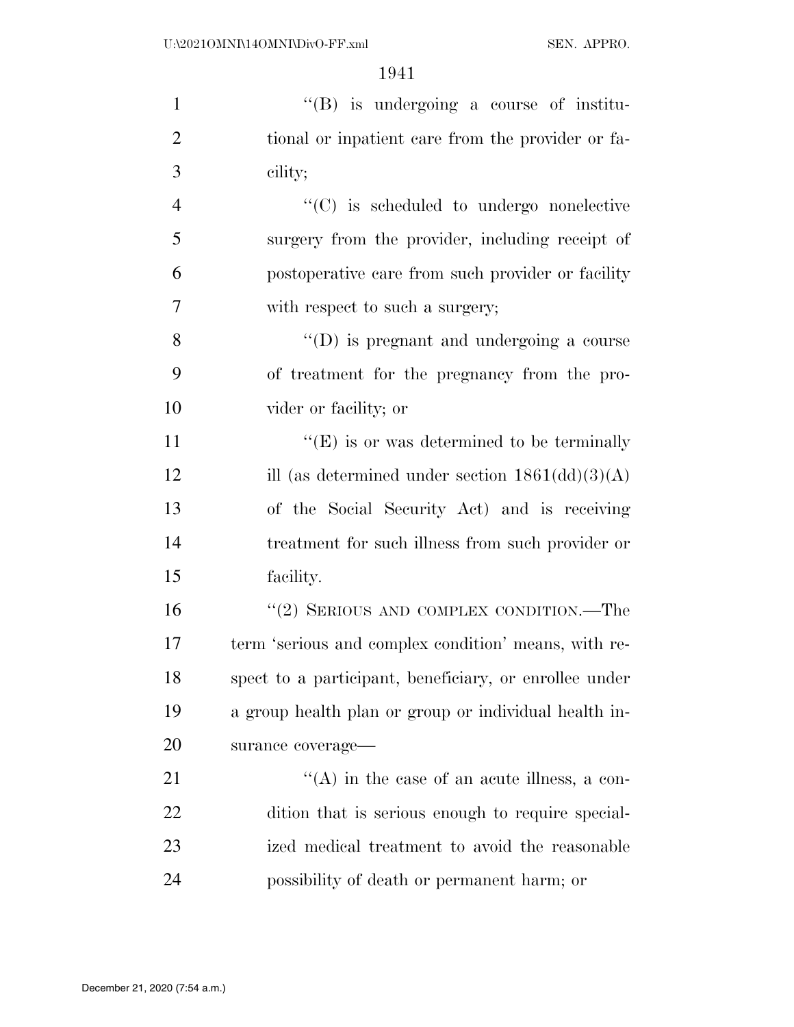| $\mathbf{1}$   | $\lq\lq(B)$ is undergoing a course of institu-                    |
|----------------|-------------------------------------------------------------------|
| $\overline{2}$ | tional or inpatient care from the provider or fa-                 |
| 3              | cility;                                                           |
| $\overline{4}$ | $\lq\lq$ (C) is scheduled to undergo nonelective                  |
| 5              | surgery from the provider, including receipt of                   |
| 6              | postoperative care from such provider or facility                 |
| 7              | with respect to such a surgery;                                   |
| 8              | $\lq\lq$ (D) is pregnant and undergoing a course                  |
| 9              | of treatment for the pregnancy from the pro-                      |
| 10             | vider or facility; or                                             |
| 11             | $\lq\lq(E)$ is or was determined to be terminally                 |
| 12             | ill (as determined under section $1861(\text{dd})(3)(\text{A})$ ) |
| 13             | of the Social Security Act) and is receiving                      |
| 14             | treatment for such illness from such provider or                  |
| 15             | facility.                                                         |
| 16             | "(2) SERIOUS AND COMPLEX CONDITION.—The                           |
| 17             | term 'serious and complex condition' means, with re-              |
| 18             | spect to a participant, beneficiary, or enrollee under            |
| 19             | a group health plan or group or individual health in-             |
| 20             | surance coverage-                                                 |
| 21             | $\lq\lq$ in the case of an acute illness, a con-                  |
| 22             | dition that is serious enough to require special-                 |
| 23             | ized medical treatment to avoid the reasonable                    |
| 24             | possibility of death or permanent harm; or                        |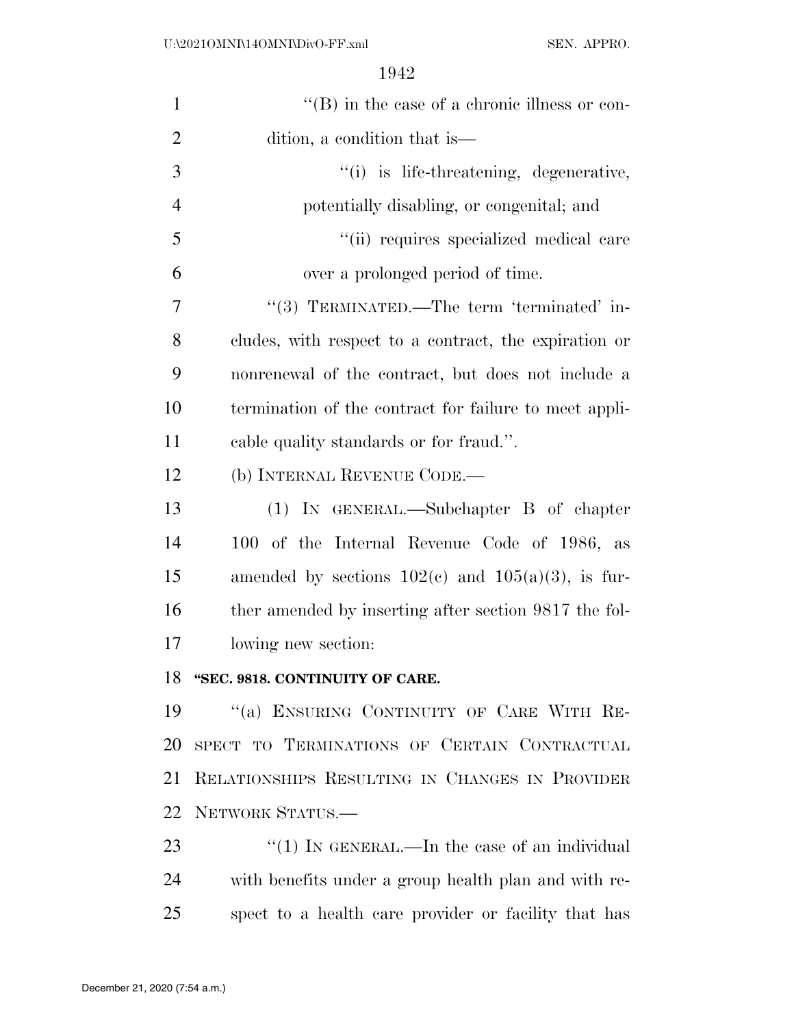| $\mathbf{1}$   | $\lq\lq (B)$ in the case of a chronic illness or con-  |
|----------------|--------------------------------------------------------|
| $\overline{2}$ | dition, a condition that is—                           |
| 3              | "(i) is life-threatening, degenerative,                |
| $\overline{4}$ | potentially disabling, or congenital; and              |
| 5              | "(ii) requires specialized medical care                |
| 6              | over a prolonged period of time.                       |
| 7              | "(3) TERMINATED.—The term 'terminated' in-             |
| 8              | cludes, with respect to a contract, the expiration or  |
| 9              | nonrenewal of the contract, but does not include a     |
| 10             | termination of the contract for failure to meet appli- |
| 11             | cable quality standards or for fraud.".                |
| 12             | (b) INTERNAL REVENUE CODE.—                            |
| 13             | $(1)$ IN GENERAL.—Subchapter B of chapter              |
| 14             | 100 of the Internal Revenue Code of 1986, as           |
| 15             | amended by sections $102(c)$ and $105(a)(3)$ , is fur- |
| 16             | ther amended by inserting after section 9817 the fol-  |
| 17             | lowing new section:                                    |
| 18             | "SEC. 9818. CONTINUITY OF CARE.                        |
| 19             | "(a) ENSURING CONTINUITY OF CARE WITH RE-              |
| 20             | SPECT TO TERMINATIONS OF CERTAIN CONTRACTUAL           |
| 21             | RELATIONSHIPS RESULTING IN CHANGES IN PROVIDER         |
| 22             | NETWORK STATUS.-                                       |
| 23             | " $(1)$ In GENERAL.—In the case of an individual       |
| 24             | with benefits under a group health plan and with re-   |
| 25             | spect to a health care provider or facility that has   |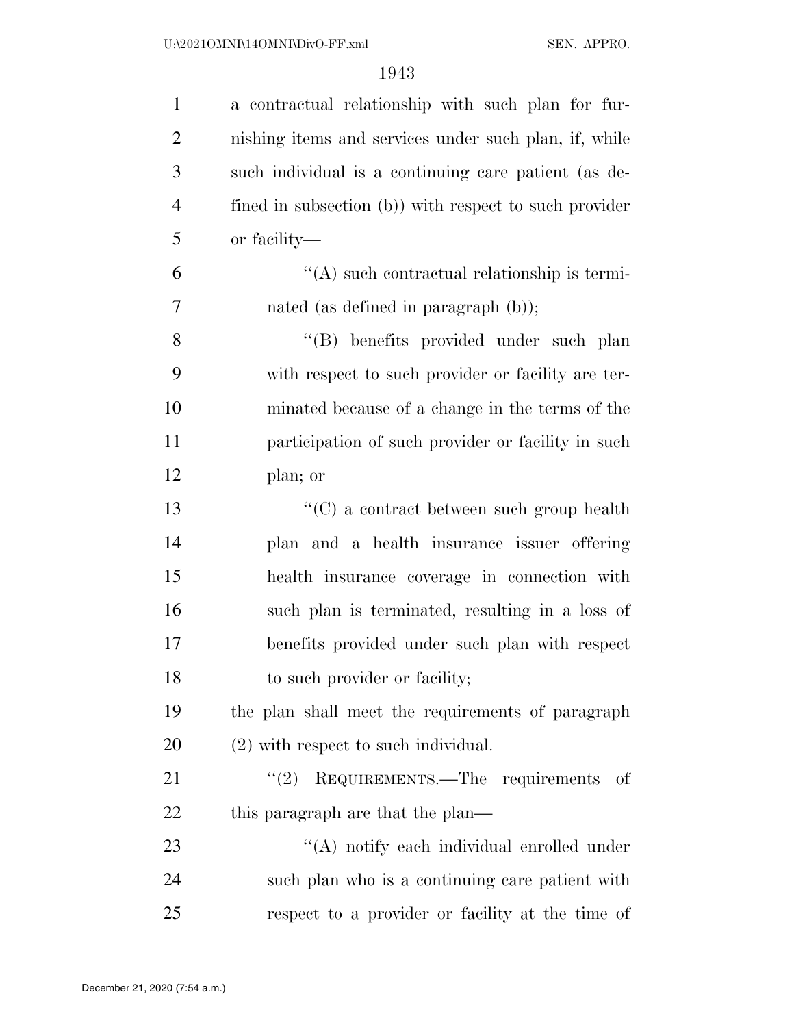| $\mathbf{1}$   | a contractual relationship with such plan for fur-     |
|----------------|--------------------------------------------------------|
| $\overline{2}$ | nishing items and services under such plan, if, while  |
| 3              | such individual is a continuing care patient (as de-   |
| $\overline{4}$ | fined in subsection (b)) with respect to such provider |
| 5              | or facility—                                           |
| 6              | "(A) such contractual relationship is termi-           |
| 7              | nated (as defined in paragraph (b));                   |
| 8              | "(B) benefits provided under such plan                 |
| 9              | with respect to such provider or facility are ter-     |
| 10             | minated because of a change in the terms of the        |
| 11             | participation of such provider or facility in such     |
| 12             | plan; or                                               |
| 13             | $\cdot\cdot$ (C) a contract between such group health  |
| 14             | plan and a health insurance issuer offering            |
| 15             | health insurance coverage in connection with           |
| 16             | such plan is terminated, resulting in a loss of        |
| 17             | benefits provided under such plan with respect         |
| 18             | to such provider or facility;                          |
| 19             | the plan shall meet the requirements of paragraph      |
| 20             | $(2)$ with respect to such individual.                 |
| 21             | $"(2)$ REQUIREMENTS. The requirements<br>- of          |
| 22             | this paragraph are that the plan—                      |
| 23             | "(A) notify each individual enrolled under             |
| 24             | such plan who is a continuing care patient with        |
| 25             | respect to a provider or facility at the time of       |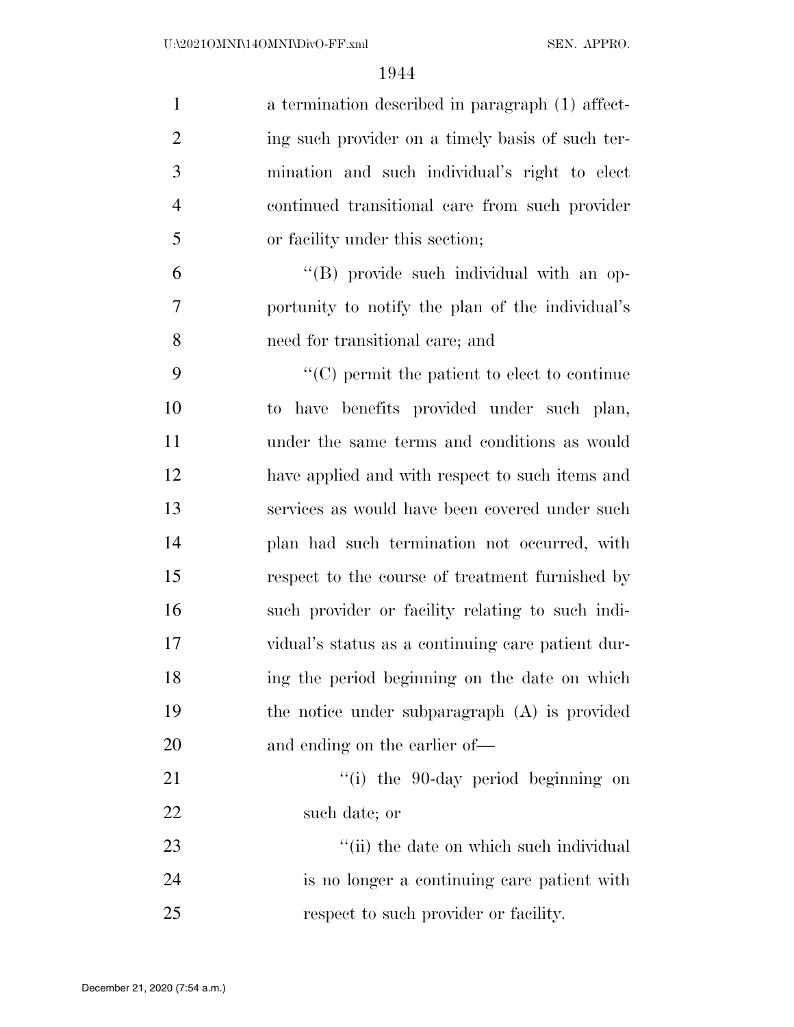| $\mathbf{1}$   | a termination described in paragraph (1) affect-         |
|----------------|----------------------------------------------------------|
| $\overline{2}$ | ing such provider on a timely basis of such ter-         |
| 3              | mination and such individual's right to elect            |
| $\overline{4}$ | continued transitional care from such provider           |
| 5              | or facility under this section;                          |
| 6              | "(B) provide such individual with an op-                 |
| 7              | portunity to notify the plan of the individual's         |
| 8              | need for transitional care; and                          |
| 9              | $\cdot\cdot$ (C) permit the patient to elect to continue |
| 10             | to have benefits provided under such plan,               |
| 11             | under the same terms and conditions as would             |
| 12             | have applied and with respect to such items and          |
| 13             | services as would have been covered under such           |
| 14             | plan had such termination not occurred, with             |
| 15             | respect to the course of treatment furnished by          |
| 16             | such provider or facility relating to such indi-         |
| 17             | vidual's status as a continuing care patient dur-        |
| 18             | ing the period beginning on the date on which            |
| 19             | the notice under subparagraph $(A)$ is provided          |
| 20             | and ending on the earlier of—                            |
| 21             | "(i) the 90-day period beginning on                      |
| 22             | such date; or                                            |
| 23             | "(ii) the date on which such individual                  |
| 24             | is no longer a continuing care patient with              |
| 25             | respect to such provider or facility.                    |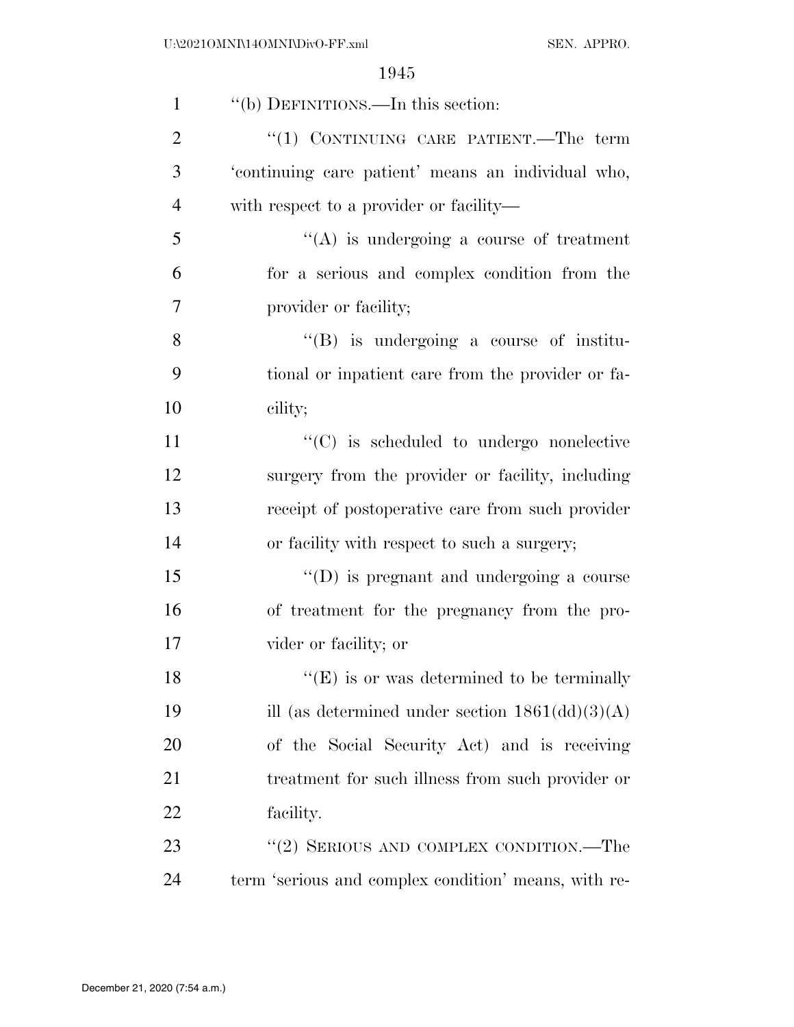| $\mathbf{1}$   | "(b) DEFINITIONS.—In this section:                                |
|----------------|-------------------------------------------------------------------|
| $\overline{2}$ | "(1) CONTINUING CARE PATIENT.—The term                            |
| 3              | 'continuing care patient' means an individual who,                |
| $\overline{4}$ | with respect to a provider or facility—                           |
| 5              | $\lq\lq$ is undergoing a course of treatment                      |
| 6              | for a serious and complex condition from the                      |
| 7              | provider or facility;                                             |
| 8              | $\lq\lq (B)$ is undergoing a course of institu-                   |
| 9              | tional or inpatient care from the provider or fa-                 |
| 10             | cility;                                                           |
| 11             | $\lq\lq$ (C) is scheduled to undergo nonelective                  |
| 12             | surgery from the provider or facility, including                  |
| 13             | receipt of postoperative care from such provider                  |
| 14             | or facility with respect to such a surgery;                       |
| 15             | $\lq\lq$ (D) is pregnant and undergoing a course                  |
| 16             | of treatment for the pregnancy from the pro-                      |
| 17             | vider or facility; or                                             |
| 18             | $\lq\lq$ <sup>"</sup> (E) is or was determined to be terminally   |
| 19             | ill (as determined under section $1861(\text{dd})(3)(\text{A})$ ) |
| 20             | of the Social Security Act) and is receiving                      |
| 21             | treatment for such illness from such provider or                  |
| 22             | facility.                                                         |
| 23             | "(2) SERIOUS AND COMPLEX CONDITION.—The                           |
| 24             | term 'serious and complex condition' means, with re-              |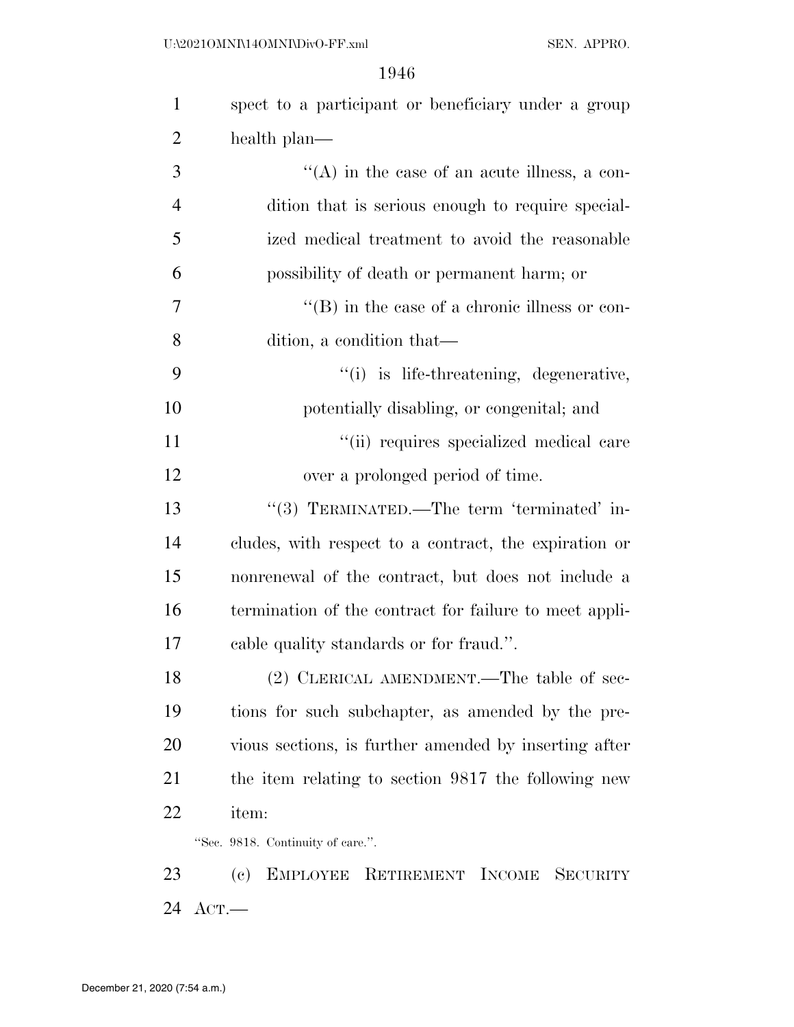| $\mathbf{1}$   | spect to a participant or beneficiary under a group    |
|----------------|--------------------------------------------------------|
| 2              | health plan—                                           |
| 3              | $\lq\lq$ in the case of an acute illness, a con-       |
| $\overline{4}$ | dition that is serious enough to require special-      |
| 5              | ized medical treatment to avoid the reasonable         |
| 6              | possibility of death or permanent harm; or             |
| 7              | $\lq\lq$ (B) in the case of a chronic illness or con-  |
| 8              | dition, a condition that—                              |
| 9              | "(i) is life-threatening, degenerative,                |
| 10             | potentially disabling, or congenital; and              |
| 11             | "(ii) requires specialized medical care                |
| 12             | over a prolonged period of time.                       |
| 13             | "(3) TERMINATED.—The term 'terminated' in-             |
| 14             | cludes, with respect to a contract, the expiration or  |
| 15             | nonrenewal of the contract, but does not include a     |
| 16             | termination of the contract for failure to meet appli- |
| 17             | cable quality standards or for fraud.".                |
| 18             | $(2)$ CLERICAL AMENDMENT.—The table of sec-            |
| 19             | tions for such subchapter, as amended by the pre-      |
| 20             | vious sections, is further amended by inserting after  |
| 21             | the item relating to section 9817 the following new    |
| 22             | item:                                                  |
|                | "Sec. 9818. Continuity of care.".                      |
| 23             | (c) EMPLOYEE RETIREMENT INCOME SECURITY                |
| 24             | $_{\rm ACT.}$                                          |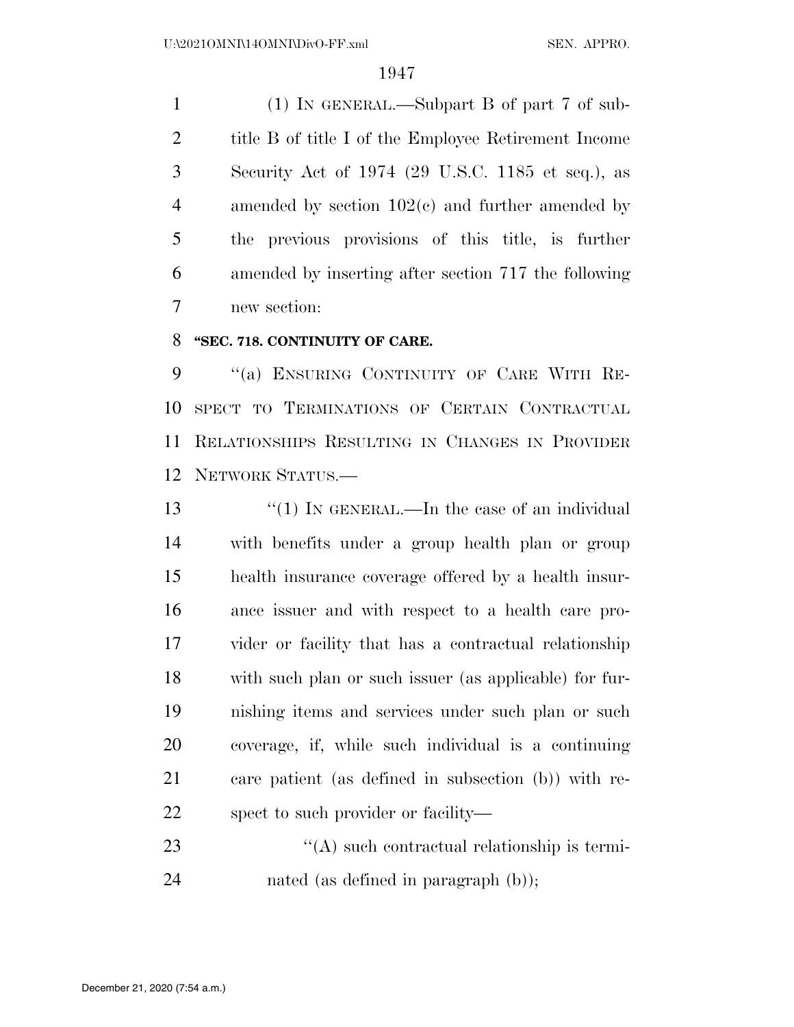(1) IN GENERAL.—Subpart B of part 7 of sub- title B of title I of the Employee Retirement Income Security Act of 1974 (29 U.S.C. 1185 et seq.), as amended by section 102(c) and further amended by the previous provisions of this title, is further amended by inserting after section 717 the following new section:

### **''SEC. 718. CONTINUITY OF CARE.**

9 "(a) ENSURING CONTINUITY OF CARE WITH RE- SPECT TO TERMINATIONS OF CERTAIN CONTRACTUAL RELATIONSHIPS RESULTING IN CHANGES IN PROVIDER NETWORK STATUS.—

13 "(1) IN GENERAL.—In the case of an individual with benefits under a group health plan or group health insurance coverage offered by a health insur- ance issuer and with respect to a health care pro- vider or facility that has a contractual relationship with such plan or such issuer (as applicable) for fur- nishing items and services under such plan or such coverage, if, while such individual is a continuing care patient (as defined in subsection (b)) with re-spect to such provider or facility—

23  $\bullet$  (A) such contractual relationship is termi-nated (as defined in paragraph (b));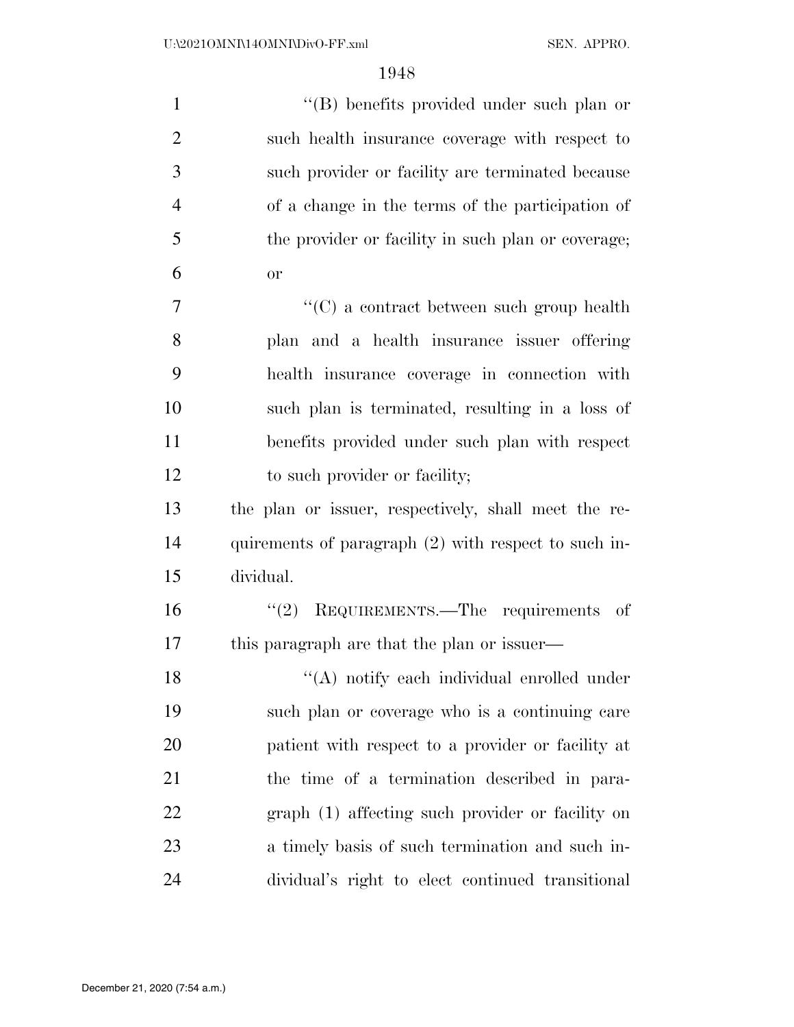| $\mathbf{1}$   | "(B) benefits provided under such plan or            |
|----------------|------------------------------------------------------|
| $\overline{2}$ | such health insurance coverage with respect to       |
| 3              | such provider or facility are terminated because     |
| $\overline{4}$ | of a change in the terms of the participation of     |
| 5              | the provider or facility in such plan or coverage;   |
| 6              | <b>or</b>                                            |
| 7              | $\lq\lq$ (C) a contract between such group health    |
| 8              | plan and a health insurance issuer offering          |
| 9              | health insurance coverage in connection with         |
| 10             | such plan is terminated, resulting in a loss of      |
| 11             | benefits provided under such plan with respect       |
| 12             | to such provider or facility;                        |
| 13             | the plan or issuer, respectively, shall meet the re- |
| 14             | quirements of paragraph (2) with respect to such in- |
| 15             | dividual.                                            |
| 16             | REQUIREMENTS.—The requirements of<br>(2)             |
| 17             | this paragraph are that the plan or issuer—          |
| 18             | "(A) notify each individual enrolled under           |
| 19             | such plan or coverage who is a continuing care       |
| 20             | patient with respect to a provider or facility at    |
| 21             | the time of a termination described in para-         |
| 22             | graph (1) affecting such provider or facility on     |
| 23             | a timely basis of such termination and such in-      |
| 24             | dividual's right to elect continued transitional     |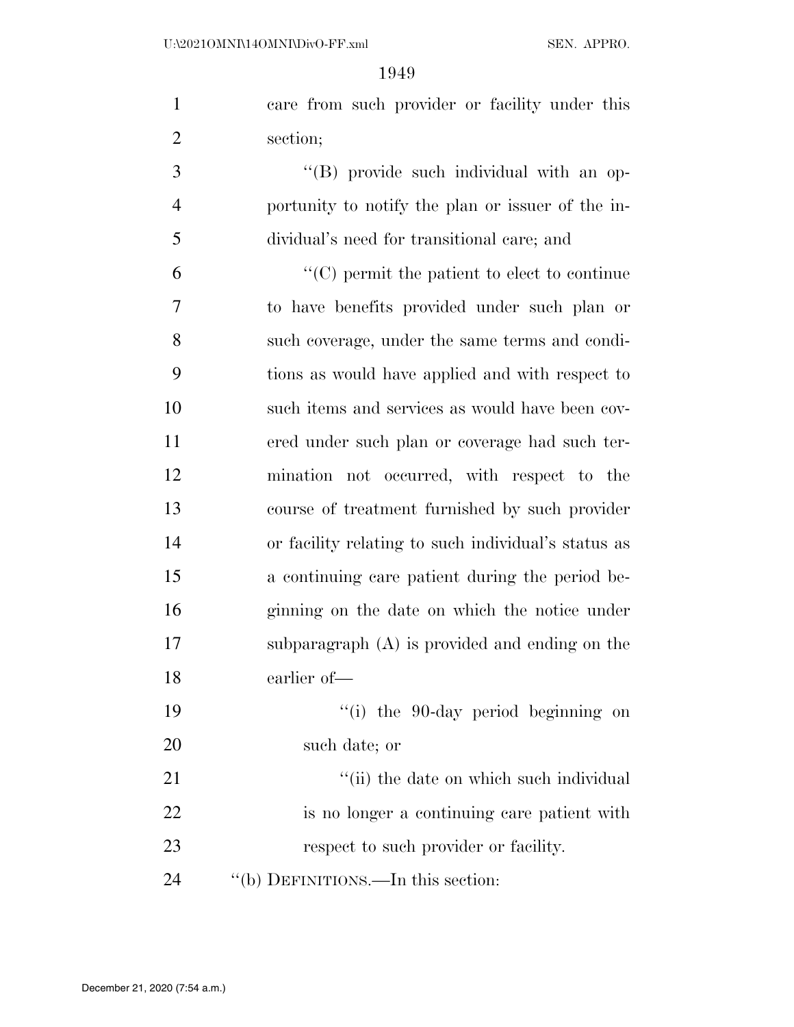U:\2021OMNI\14OMNI\DivO-FF.xml SEN. APPRO.

| $\mathbf{1}$   | care from such provider or facility under this       |
|----------------|------------------------------------------------------|
| $\overline{2}$ | section;                                             |
| 3              | "(B) provide such individual with an op-             |
| $\overline{4}$ | portunity to notify the plan or issuer of the in-    |
| 5              | dividual's need for transitional care; and           |
| 6              | $\lq\lq$ (C) permit the patient to elect to continue |
| 7              | to have benefits provided under such plan or         |
| 8              | such coverage, under the same terms and condi-       |
| 9              | tions as would have applied and with respect to      |
| 10             | such items and services as would have been cov-      |
| 11             | ered under such plan or coverage had such ter-       |
| 12             | mination not occurred, with respect to the           |
| 13             | course of treatment furnished by such provider       |
| 14             | or facility relating to such individual's status as  |
| 15             | a continuing care patient during the period be-      |
| 16             | ginning on the date on which the notice under        |
| 17             | subparagraph $(A)$ is provided and ending on the     |
| 18             | earlier of-                                          |
| 19             | "(i) the 90-day period beginning on                  |
| 20             | such date; or                                        |
| 21             | "(ii) the date on which such individual              |
| 22             | is no longer a continuing care patient with          |
| 23             | respect to such provider or facility.                |
| 24             | "(b) DEFINITIONS.—In this section:                   |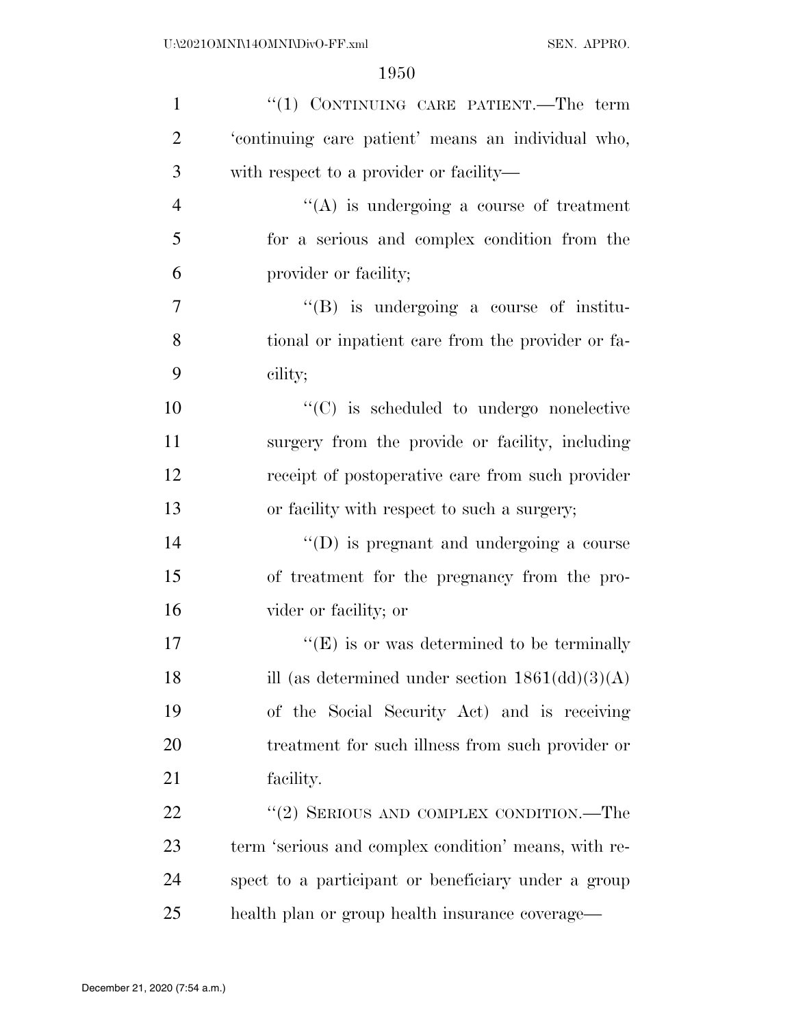| $\mathbf{1}$   | "(1) CONTINUING CARE PATIENT.—The term                          |
|----------------|-----------------------------------------------------------------|
| $\overline{2}$ | 'continuing care patient' means an individual who,              |
| 3              | with respect to a provider or facility—                         |
| $\overline{4}$ | $\lq\lq$ is undergoing a course of treatment                    |
| 5              | for a serious and complex condition from the                    |
| 6              | provider or facility;                                           |
| 7              | $\lq\lq(B)$ is undergoing a course of institu-                  |
| 8              | tional or inpatient care from the provider or fa-               |
| 9              | cility;                                                         |
| 10             | $\cdot$ (C) is scheduled to undergo nonelective                 |
| 11             | surgery from the provide or facility, including                 |
| 12             | receipt of postoperative care from such provider                |
| 13             | or facility with respect to such a surgery;                     |
| 14             | $\lq\lq$ (D) is pregnant and undergoing a course                |
| 15             | of treatment for the pregnancy from the pro-                    |
| 16             | vider or facility; or                                           |
| 17             | $\lq\lq(E)$ is or was determined to be terminally               |
| 18             | ill (as determined under section $1861(\text{dd})(3)(\text{A})$ |
| 19             | of the Social Security Act) and is receiving                    |
| 20             | treatment for such illness from such provider or                |
| 21             | facility.                                                       |
| 22             | "(2) SERIOUS AND COMPLEX CONDITION.—The                         |
| 23             | term 'serious and complex condition' means, with re-            |
| 24             | spect to a participant or beneficiary under a group             |
| 25             | health plan or group health insurance coverage—                 |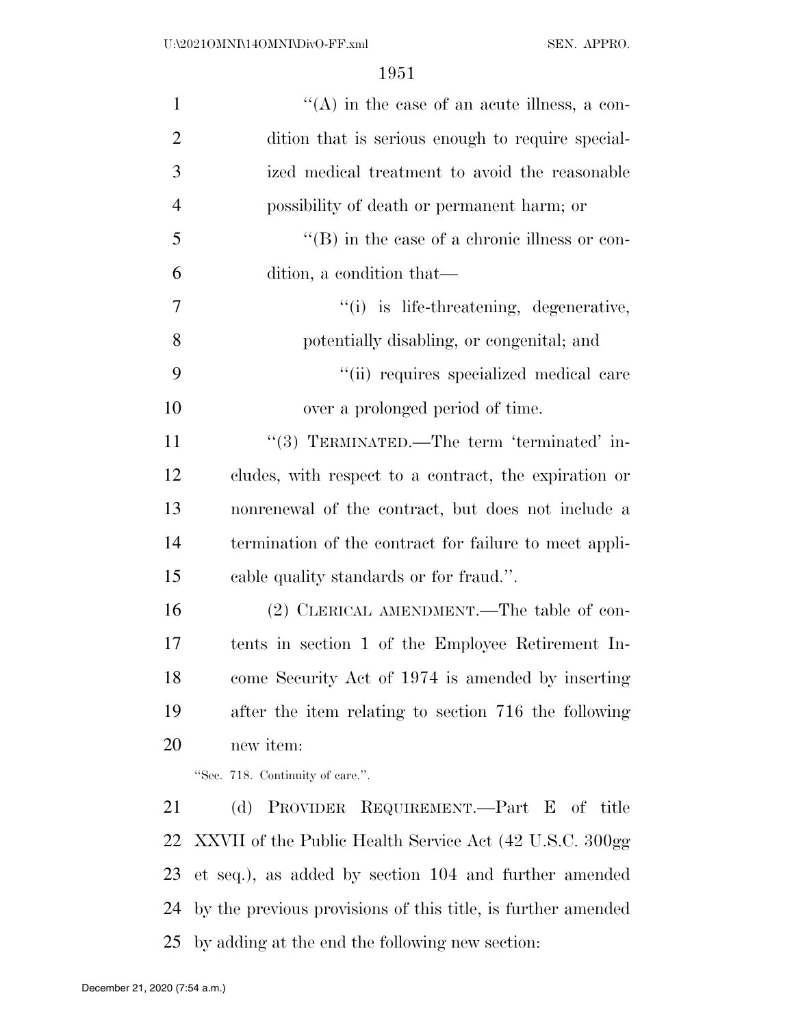| $\mathbf{1}$   | $\lq\lq$ in the case of an acute illness, a con-             |
|----------------|--------------------------------------------------------------|
| $\overline{2}$ | dition that is serious enough to require special-            |
| 3              | ized medical treatment to avoid the reasonable               |
| 4              | possibility of death or permanent harm; or                   |
| 5              | $\lq\lq (B)$ in the case of a chronic illness or con-        |
| 6              | dition, a condition that—                                    |
| 7              | "(i) is life-threatening, degenerative,                      |
| 8              | potentially disabling, or congenital; and                    |
| 9              | "(ii) requires specialized medical care                      |
| 10             | over a prolonged period of time.                             |
| 11             | "(3) TERMINATED.—The term 'terminated' in-                   |
| 12             | cludes, with respect to a contract, the expiration or        |
| 13             | nonrenewal of the contract, but does not include a           |
| 14             | termination of the contract for failure to meet appli-       |
| 15             | cable quality standards or for fraud.".                      |
| 16             | (2) CLERICAL AMENDMENT.—The table of con-                    |
| 17             | tents in section 1 of the Employee Retirement In-            |
| 18             | come Security Act of 1974 is amended by inserting            |
| 19             | after the item relating to section 716 the following         |
| 20             | new item:                                                    |
|                | "Sec. 718. Continuity of care.".                             |
| 21             | PROVIDER REQUIREMENT.—Part E of title<br>(d)                 |
| 22             | XXVII of the Public Health Service Act (42 U.S.C. 300gg)     |
| 23             | et seq.), as added by section 104 and further amended        |
| 24             | by the previous provisions of this title, is further amended |

by adding at the end the following new section: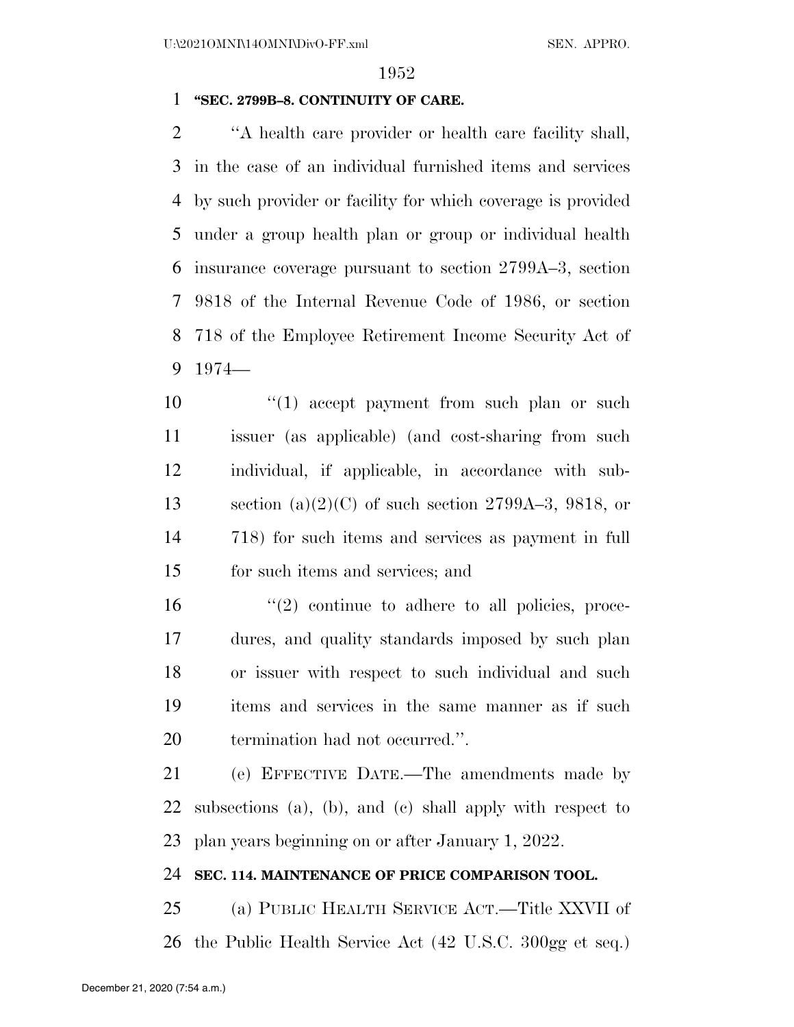## **''SEC. 2799B–8. CONTINUITY OF CARE.**

 ''A health care provider or health care facility shall, in the case of an individual furnished items and services by such provider or facility for which coverage is provided under a group health plan or group or individual health insurance coverage pursuant to section 2799A–3, section 9818 of the Internal Revenue Code of 1986, or section 718 of the Employee Retirement Income Security Act of 1974—

10 ''(1) accept payment from such plan or such issuer (as applicable) (and cost-sharing from such individual, if applicable, in accordance with sub-13 section  $(a)(2)(C)$  of such section 2799A–3, 9818, or 718) for such items and services as payment in full for such items and services; and

 ''(2) continue to adhere to all policies, proce- dures, and quality standards imposed by such plan or issuer with respect to such individual and such items and services in the same manner as if such termination had not occurred.''.

 (e) EFFECTIVE DATE.—The amendments made by subsections (a), (b), and (c) shall apply with respect to plan years beginning on or after January 1, 2022.

#### **SEC. 114. MAINTENANCE OF PRICE COMPARISON TOOL.**

 (a) PUBLIC HEALTH SERVICE ACT.—Title XXVII of the Public Health Service Act (42 U.S.C. 300gg et seq.)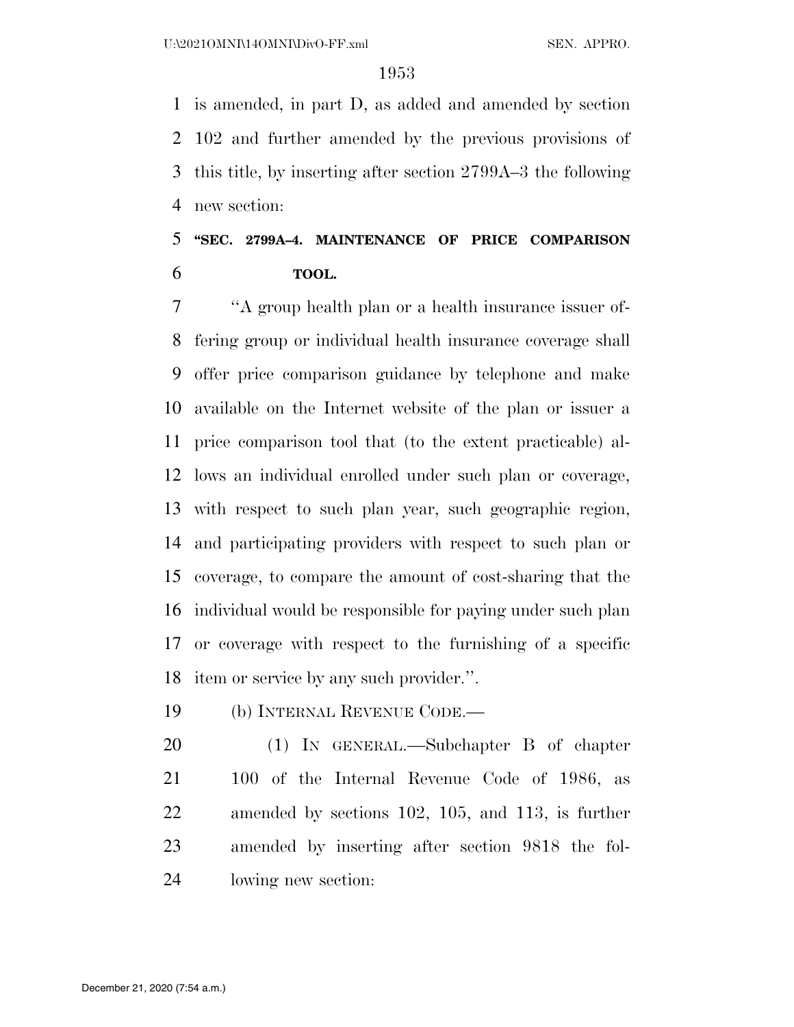is amended, in part D, as added and amended by section 102 and further amended by the previous provisions of this title, by inserting after section 2799A–3 the following new section:

# **''SEC. 2799A–4. MAINTENANCE OF PRICE COMPARISON TOOL.**

 ''A group health plan or a health insurance issuer of- fering group or individual health insurance coverage shall offer price comparison guidance by telephone and make available on the Internet website of the plan or issuer a price comparison tool that (to the extent practicable) al- lows an individual enrolled under such plan or coverage, with respect to such plan year, such geographic region, and participating providers with respect to such plan or coverage, to compare the amount of cost-sharing that the individual would be responsible for paying under such plan or coverage with respect to the furnishing of a specific item or service by any such provider.''.

(b) INTERNAL REVENUE CODE.—

 (1) IN GENERAL.—Subchapter B of chapter 100 of the Internal Revenue Code of 1986, as amended by sections 102, 105, and 113, is further amended by inserting after section 9818 the fol-lowing new section: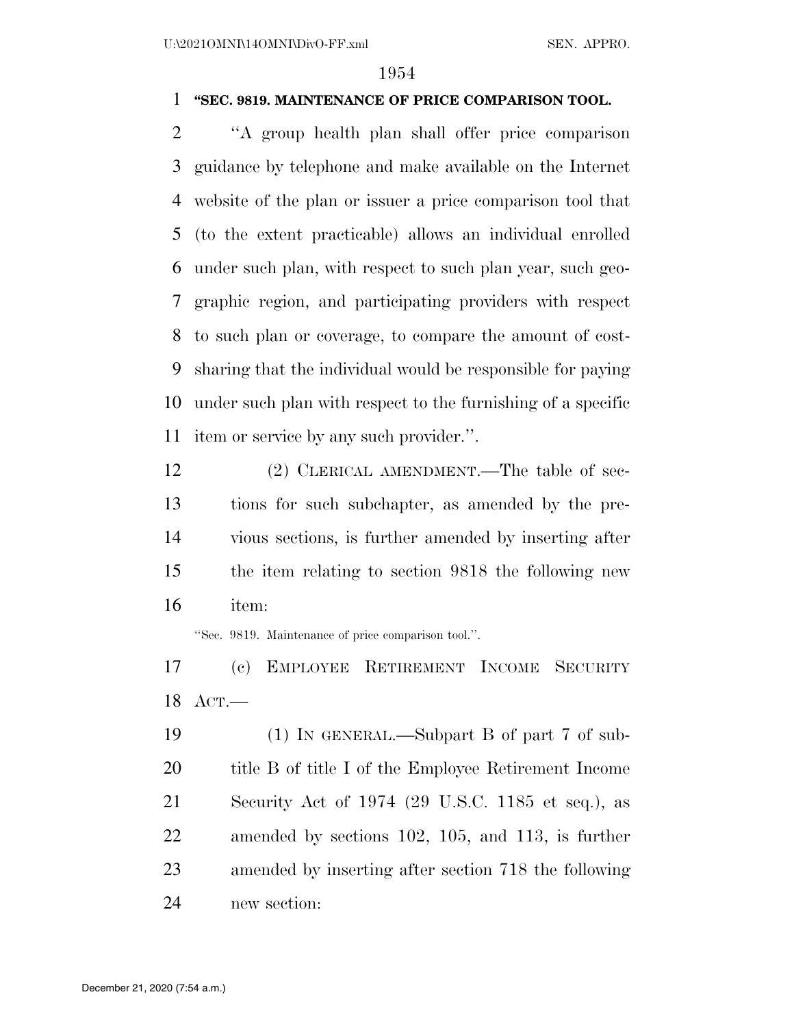## **''SEC. 9819. MAINTENANCE OF PRICE COMPARISON TOOL.**

 ''A group health plan shall offer price comparison guidance by telephone and make available on the Internet website of the plan or issuer a price comparison tool that (to the extent practicable) allows an individual enrolled under such plan, with respect to such plan year, such geo- graphic region, and participating providers with respect to such plan or coverage, to compare the amount of cost- sharing that the individual would be responsible for paying under such plan with respect to the furnishing of a specific item or service by any such provider.''.

12 (2) CLERICAL AMENDMENT.—The table of sec- tions for such subchapter, as amended by the pre- vious sections, is further amended by inserting after the item relating to section 9818 the following new item:

''Sec. 9819. Maintenance of price comparison tool.''.

 (c) EMPLOYEE RETIREMENT INCOME SECURITY ACT.—

 (1) IN GENERAL.—Subpart B of part 7 of sub- title B of title I of the Employee Retirement Income Security Act of 1974 (29 U.S.C. 1185 et seq.), as amended by sections 102, 105, and 113, is further amended by inserting after section 718 the following new section: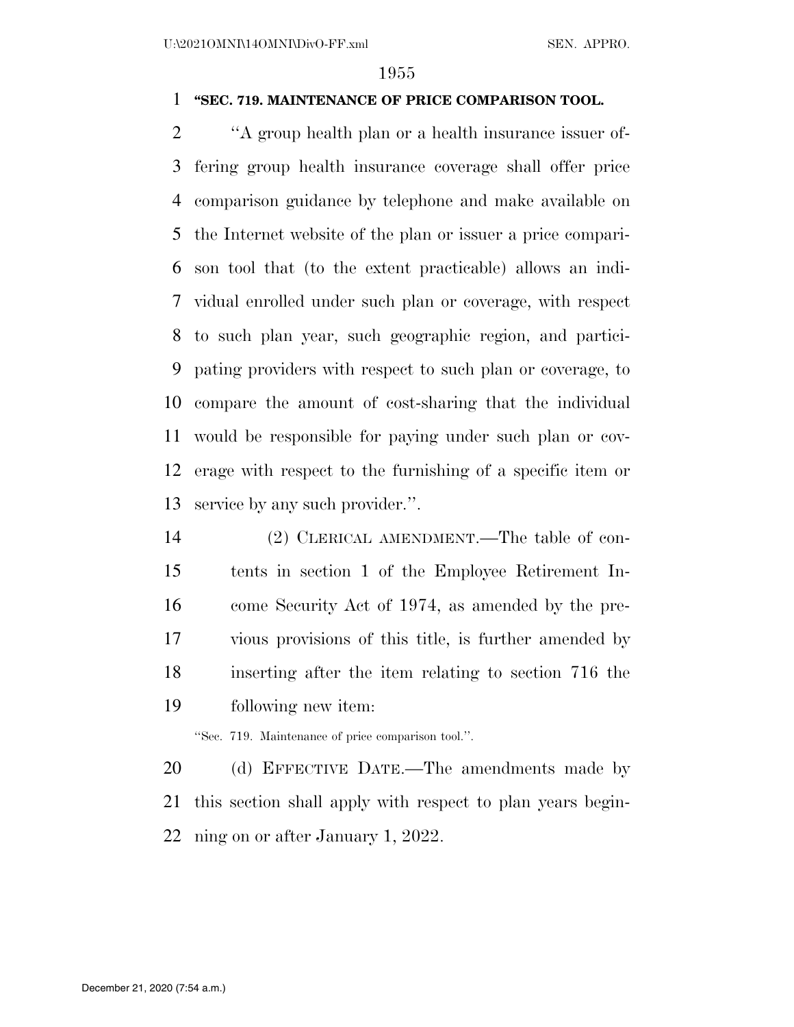## **''SEC. 719. MAINTENANCE OF PRICE COMPARISON TOOL.**

 ''A group health plan or a health insurance issuer of- fering group health insurance coverage shall offer price comparison guidance by telephone and make available on the Internet website of the plan or issuer a price compari- son tool that (to the extent practicable) allows an indi- vidual enrolled under such plan or coverage, with respect to such plan year, such geographic region, and partici- pating providers with respect to such plan or coverage, to compare the amount of cost-sharing that the individual would be responsible for paying under such plan or cov- erage with respect to the furnishing of a specific item or service by any such provider.''.

 (2) CLERICAL AMENDMENT.—The table of con- tents in section 1 of the Employee Retirement In- come Security Act of 1974, as amended by the pre- vious provisions of this title, is further amended by inserting after the item relating to section 716 the following new item:

''Sec. 719. Maintenance of price comparison tool.''.

20 (d) EFFECTIVE DATE.—The amendments made by this section shall apply with respect to plan years begin-ning on or after January 1, 2022.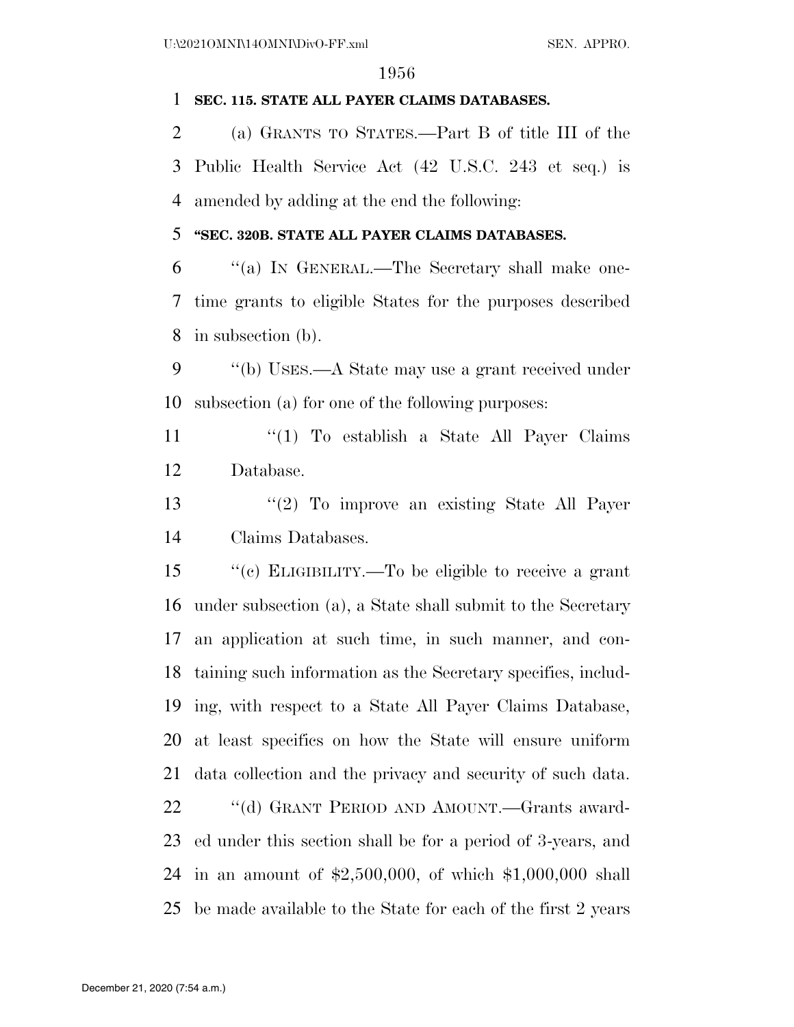## **SEC. 115. STATE ALL PAYER CLAIMS DATABASES.**

 (a) GRANTS TO STATES.—Part B of title III of the Public Health Service Act (42 U.S.C. 243 et seq.) is amended by adding at the end the following:

# **''SEC. 320B. STATE ALL PAYER CLAIMS DATABASES.**

 ''(a) IN GENERAL.—The Secretary shall make one- time grants to eligible States for the purposes described in subsection (b).

 ''(b) USES.—A State may use a grant received under subsection (a) for one of the following purposes:

11 ''(1) To establish a State All Payer Claims Database.

 ''(2) To improve an existing State All Payer Claims Databases.

 ''(c) ELIGIBILITY.—To be eligible to receive a grant under subsection (a), a State shall submit to the Secretary an application at such time, in such manner, and con- taining such information as the Secretary specifies, includ- ing, with respect to a State All Payer Claims Database, at least specifics on how the State will ensure uniform data collection and the privacy and security of such data. ''(d) GRANT PERIOD AND AMOUNT.—Grants award- ed under this section shall be for a period of 3-years, and in an amount of \$2,500,000, of which \$1,000,000 shall

be made available to the State for each of the first 2 years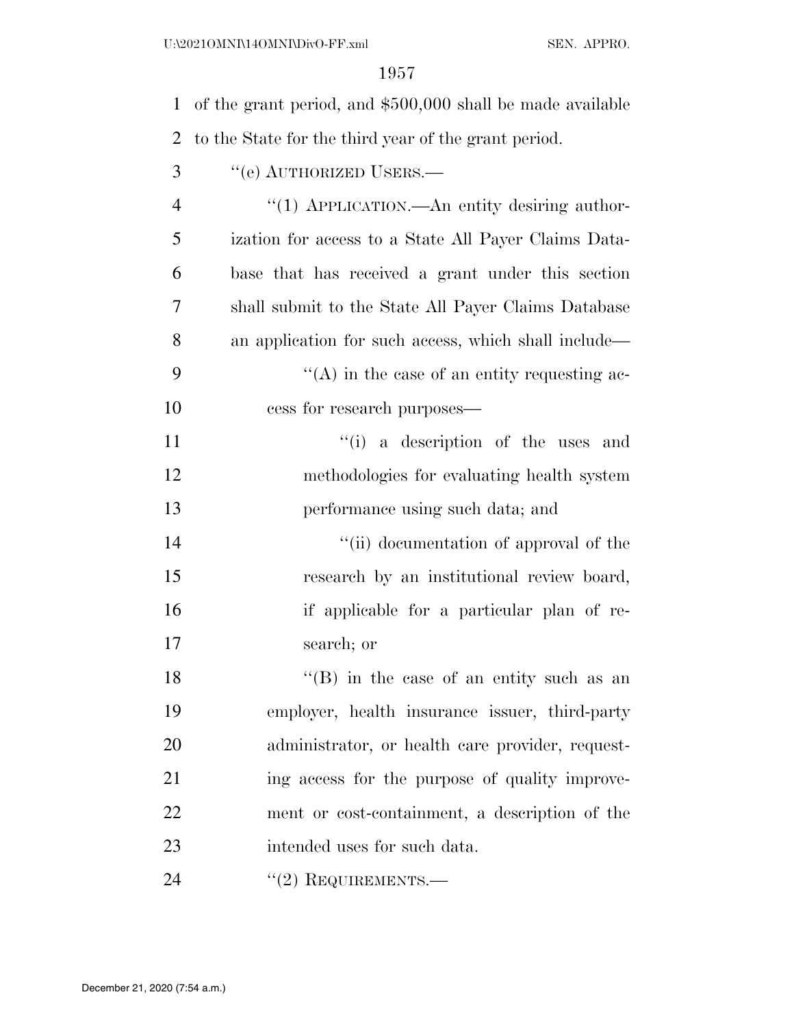| $\mathbf{1}$   | of the grant period, and \$500,000 shall be made available |
|----------------|------------------------------------------------------------|
| 2              | to the State for the third year of the grant period.       |
| 3              | "(e) AUTHORIZED USERS.—                                    |
| $\overline{4}$ | "(1) APPLICATION.—An entity desiring author-               |
| 5              | ization for access to a State All Payer Claims Data-       |
| 6              | base that has received a grant under this section          |
| 7              | shall submit to the State All Payer Claims Database        |
| 8              | an application for such access, which shall include—       |
| 9              | $\lq\lq$ in the case of an entity requesting ac-           |
| 10             | cess for research purposes—                                |
| 11             | "(i) a description of the uses and                         |
| 12             | methodologies for evaluating health system                 |
| 13             | performance using such data; and                           |
| 14             | "(ii) documentation of approval of the                     |
| 15             | research by an institutional review board,                 |
| 16             | if applicable for a particular plan of re-                 |
| 17             | search; or                                                 |
| 18             | "(B) in the case of an entity such as an                   |
| 19             | employer, health insurance issuer, third-party             |
| 20             | administrator, or health care provider, request-           |
| 21             | ing access for the purpose of quality improve-             |
| 22             | ment or cost-containment, a description of the             |
| 23             | intended uses for such data.                               |
| 24             | $"(2)$ REQUIREMENTS.—                                      |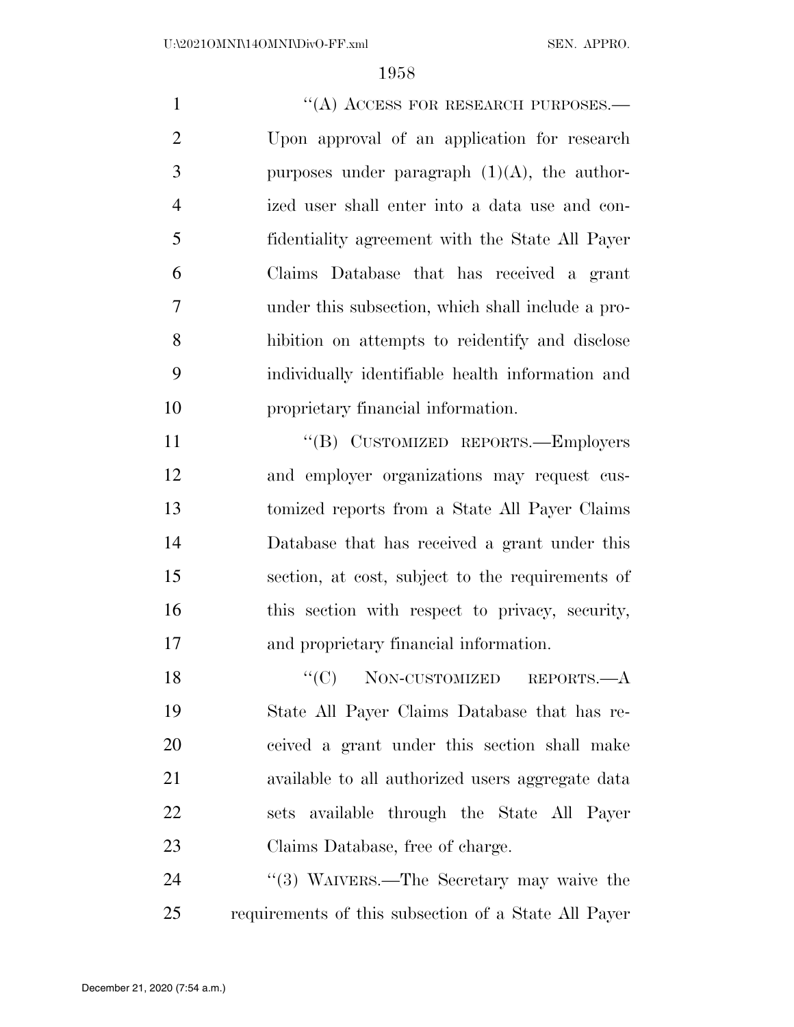1 "(A) ACCESS FOR RESEARCH PURPOSES.— Upon approval of an application for research 3 purposes under paragraph  $(1)(A)$ , the author- ized user shall enter into a data use and con- fidentiality agreement with the State All Payer Claims Database that has received a grant under this subsection, which shall include a pro- hibition on attempts to reidentify and disclose individually identifiable health information and proprietary financial information.

11 "(B) CUSTOMIZED REPORTS.—Employers and employer organizations may request cus- tomized reports from a State All Payer Claims Database that has received a grant under this section, at cost, subject to the requirements of 16 this section with respect to privacy, security, and proprietary financial information.

18 "(C) NON-CUSTOMIZED REPORTS.—A State All Payer Claims Database that has re- ceived a grant under this section shall make available to all authorized users aggregate data sets available through the State All Payer Claims Database, free of charge.

24 "(3) WAIVERS.—The Secretary may waive the requirements of this subsection of a State All Payer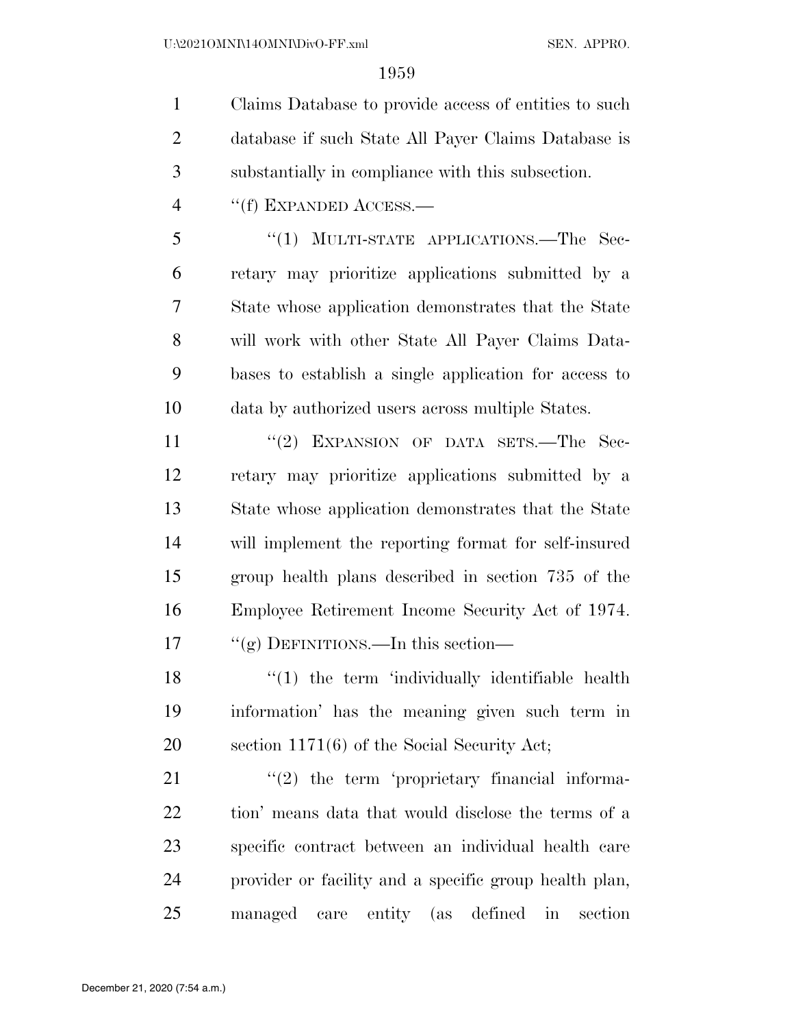Claims Database to provide access of entities to such database if such State All Payer Claims Database is substantially in compliance with this subsection.

''(f) EXPANDED ACCESS.—

 ''(1) MULTI-STATE APPLICATIONS.—The Sec- retary may prioritize applications submitted by a State whose application demonstrates that the State will work with other State All Payer Claims Data- bases to establish a single application for access to data by authorized users across multiple States.

11 "(2) EXPANSION OF DATA SETS.—The Sec- retary may prioritize applications submitted by a State whose application demonstrates that the State will implement the reporting format for self-insured group health plans described in section 735 of the Employee Retirement Income Security Act of 1974. 17 "(g) DEFINITIONS.—In this section—

18 ''(1) the term 'individually identifiable health information' has the meaning given such term in section 1171(6) of the Social Security Act;

 "(2) the term 'proprietary financial informa- tion' means data that would disclose the terms of a specific contract between an individual health care provider or facility and a specific group health plan, managed care entity (as defined in section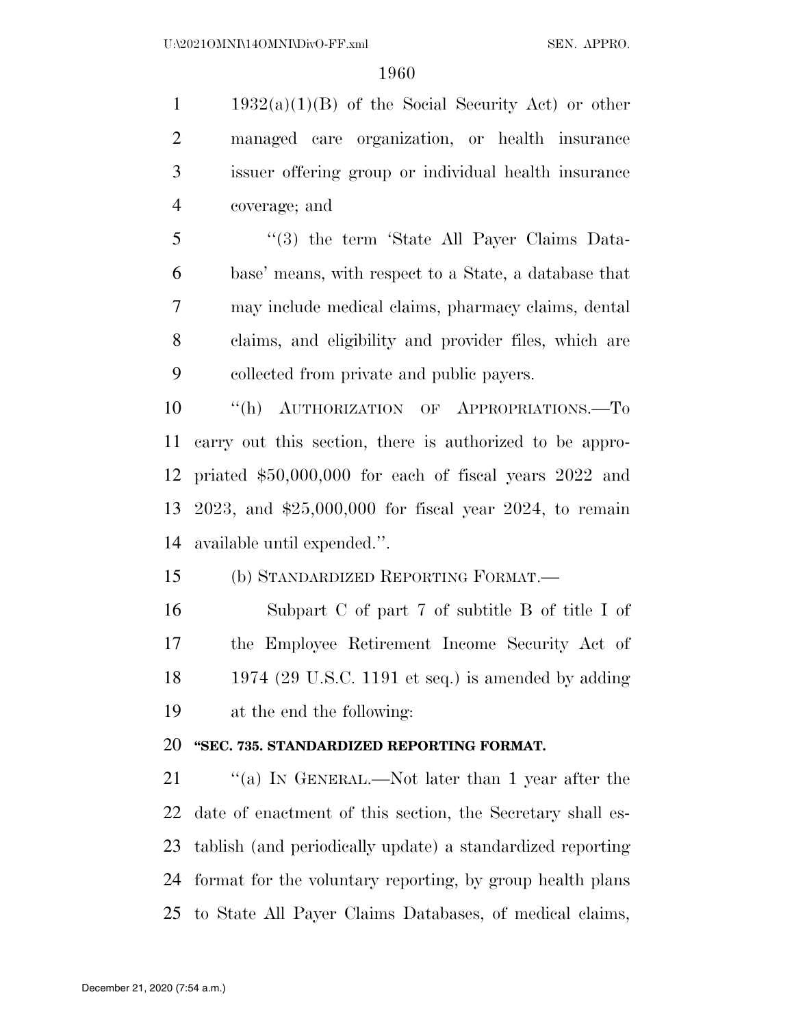1 1932(a)(1)(B) of the Social Security Act) or other managed care organization, or health insurance issuer offering group or individual health insurance coverage; and

 ''(3) the term 'State All Payer Claims Data- base' means, with respect to a State, a database that may include medical claims, pharmacy claims, dental claims, and eligibility and provider files, which are collected from private and public payers.

10 "(h) AUTHORIZATION OF APPROPRIATIONS.—To carry out this section, there is authorized to be appro- priated \$50,000,000 for each of fiscal years 2022 and 2023, and \$25,000,000 for fiscal year 2024, to remain available until expended.''.

(b) STANDARDIZED REPORTING FORMAT.—

 Subpart C of part 7 of subtitle B of title I of the Employee Retirement Income Security Act of 1974 (29 U.S.C. 1191 et seq.) is amended by adding at the end the following:

# **''SEC. 735. STANDARDIZED REPORTING FORMAT.**

21 "(a) IN GENERAL.—Not later than 1 year after the date of enactment of this section, the Secretary shall es- tablish (and periodically update) a standardized reporting format for the voluntary reporting, by group health plans to State All Payer Claims Databases, of medical claims,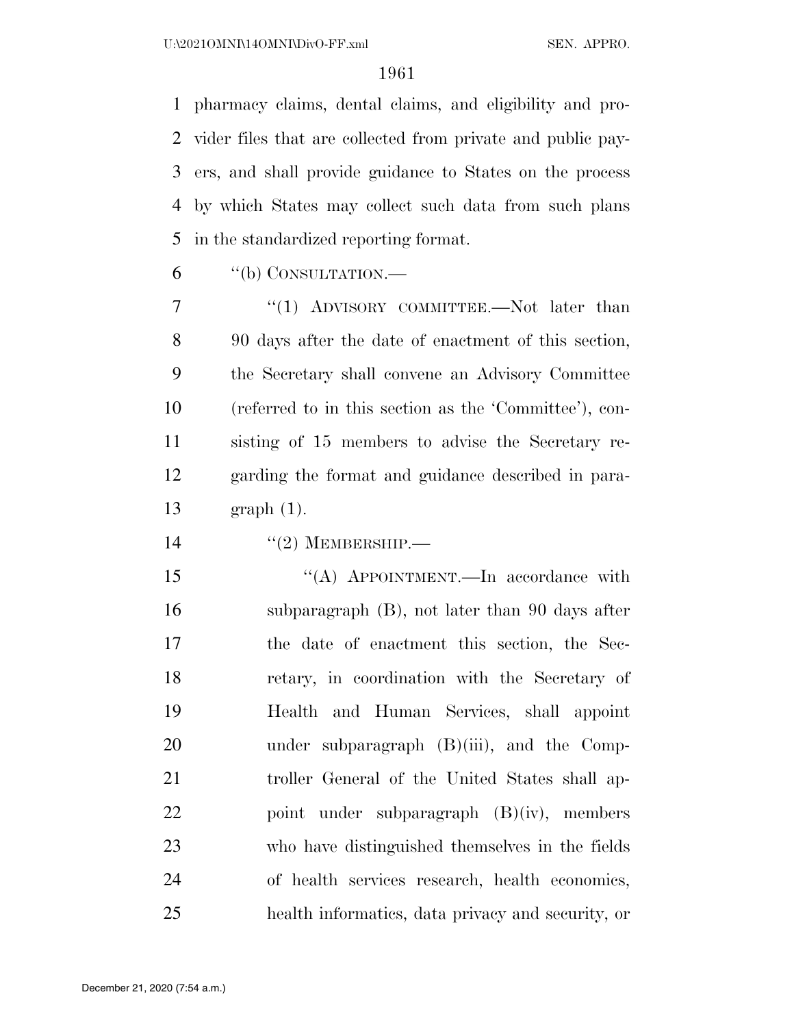pharmacy claims, dental claims, and eligibility and pro- vider files that are collected from private and public pay- ers, and shall provide guidance to States on the process by which States may collect such data from such plans in the standardized reporting format.

"(b) CONSULTATION.—

7 "(1) ADVISORY COMMITTEE.—Not later than 90 days after the date of enactment of this section, the Secretary shall convene an Advisory Committee (referred to in this section as the 'Committee'), con- sisting of 15 members to advise the Secretary re- garding the format and guidance described in para-graph (1).

 $(2)$  MEMBERSHIP.—

15 "(A) APPOINTMENT.—In accordance with subparagraph (B), not later than 90 days after the date of enactment this section, the Sec- retary, in coordination with the Secretary of Health and Human Services, shall appoint 20 under subparagraph (B)(iii), and the Comp- troller General of the United States shall ap- point under subparagraph (B)(iv), members who have distinguished themselves in the fields of health services research, health economics, health informatics, data privacy and security, or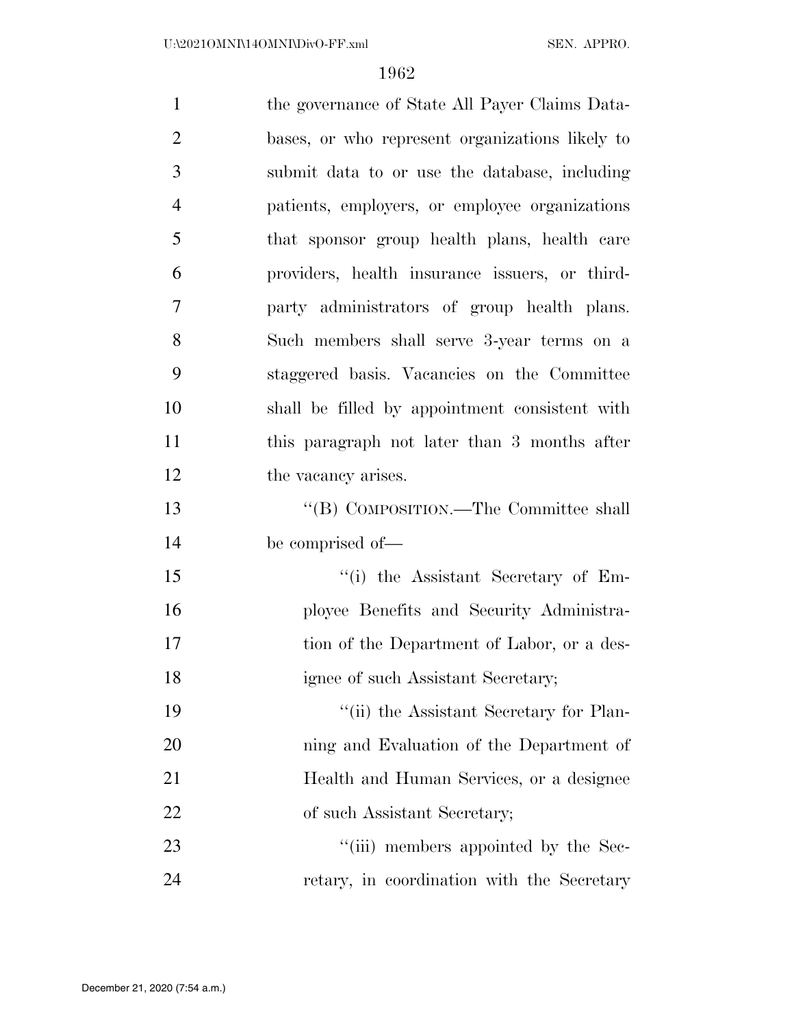| $\mathbf{1}$   | the governance of State All Payer Claims Data-  |
|----------------|-------------------------------------------------|
| $\overline{2}$ | bases, or who represent organizations likely to |
| 3              | submit data to or use the database, including   |
| $\overline{4}$ | patients, employers, or employee organizations  |
| 5              | that sponsor group health plans, health care    |
| 6              | providers, health insurance issuers, or third-  |
| 7              | party administrators of group health plans.     |
| 8              | Such members shall serve 3-year terms on a      |
| 9              | staggered basis. Vacancies on the Committee     |
| 10             | shall be filled by appointment consistent with  |
| 11             | this paragraph not later than 3 months after    |
| 12             | the vacancy arises.                             |
| 13             | "(B) COMPOSITION.—The Committee shall           |
| 14             | be comprised of—                                |
| 15             | "(i) the Assistant Secretary of Em-             |
| 16             | ployee Benefits and Security Administra-        |
| 17             | tion of the Department of Labor, or a des-      |
| 18             | ignee of such Assistant Secretary;              |
| 19             | "(ii) the Assistant Secretary for Plan-         |
| 20             | ning and Evaluation of the Department of        |
| 21             | Health and Human Services, or a designee        |
| 22             | of such Assistant Secretary;                    |
| 23             | "(iii) members appointed by the Sec-            |
| 24             | retary, in coordination with the Secretary      |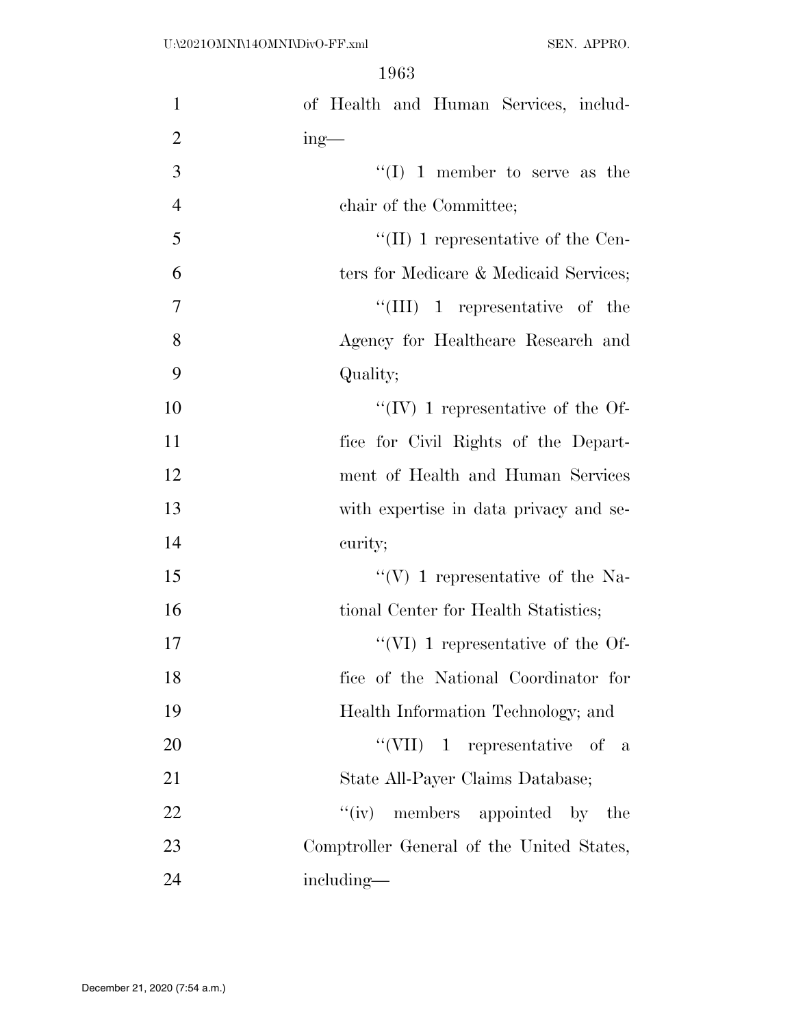| $\mathbf{1}$   | of Health and Human Services, includ-     |
|----------------|-------------------------------------------|
| $\overline{2}$ | $ing$ —                                   |
| 3              | "(I) 1 member to serve as the             |
| $\overline{4}$ | chair of the Committee;                   |
| 5              | "(II) 1 representative of the Cen-        |
| 6              | ters for Medicare & Medicaid Services;    |
| $\tau$         | "(III) 1 representative of the            |
| 8              | Agency for Healthcare Research and        |
| 9              | Quality;                                  |
| 10             | $\lq\lq (IV)$ 1 representative of the Of- |
| 11             | fice for Civil Rights of the Depart-      |
| 12             | ment of Health and Human Services         |
| 13             | with expertise in data privacy and se-    |
| 14             | curity;                                   |
| 15             | "(V) 1 representative of the Na-          |
| 16             | tional Center for Health Statistics;      |
| 17             | $\lq\lq$ (VI) 1 representative of the Of- |
| 18             | fice of the National Coordinator for      |
| 19             | Health Information Technology; and        |
| 20             | "(VII) 1 representative of a              |
| 21             | State All-Payer Claims Database;          |
| 22             | ``(iv)<br>members appointed by the        |
| 23             | Comptroller General of the United States, |
| 24             | including—                                |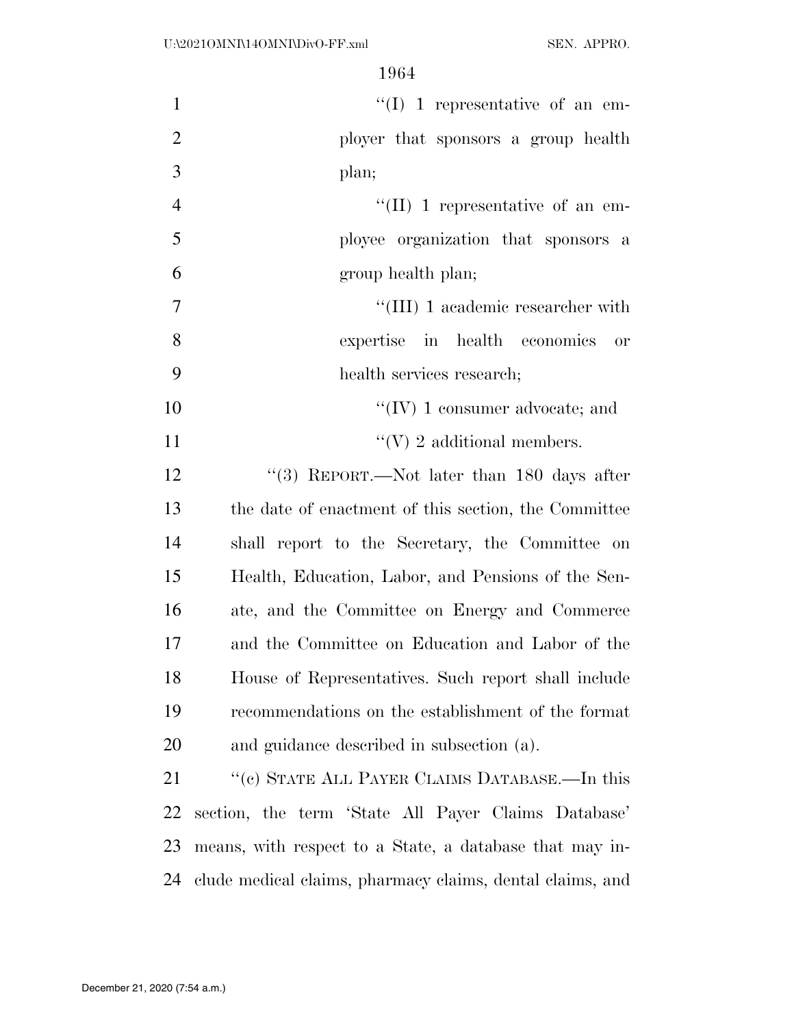| $\mathbf{1}$   | $\lq\lq$ (I) 1 representative of an em-                   |
|----------------|-----------------------------------------------------------|
| $\overline{2}$ | ployer that sponsors a group health                       |
| 3              | plan;                                                     |
| $\overline{4}$ | $\lq\lq$ (II) 1 representative of an em-                  |
| 5              | ployee organization that sponsors a                       |
| 6              | group health plan;                                        |
| $\overline{7}$ | $``(III)$ 1 academic researcher with                      |
| 8              | expertise in health economics or                          |
| 9              | health services research;                                 |
| 10             | "(IV) 1 consumer advocate; and                            |
| 11             | "(V) 2 additional members.                                |
| 12             | "(3) REPORT.—Not later than 180 days after                |
| 13             | the date of enactment of this section, the Committee      |
| 14             | shall report to the Secretary, the Committee on           |
| 15             | Health, Education, Labor, and Pensions of the Sen-        |
| 16             | ate, and the Committee on Energy and Commerce             |
| 17             | and the Committee on Education and Labor of the           |
| 18             | House of Representatives. Such report shall include       |
| 19             | recommendations on the establishment of the format        |
| 20             | and guidance described in subsection (a).                 |
| 21             | "(c) STATE ALL PAYER CLAIMS DATABASE.—In this             |
| 22             | section, the term 'State All Payer Claims Database'       |
| 23             | means, with respect to a State, a database that may in-   |
| 24             | clude medical claims, pharmacy claims, dental claims, and |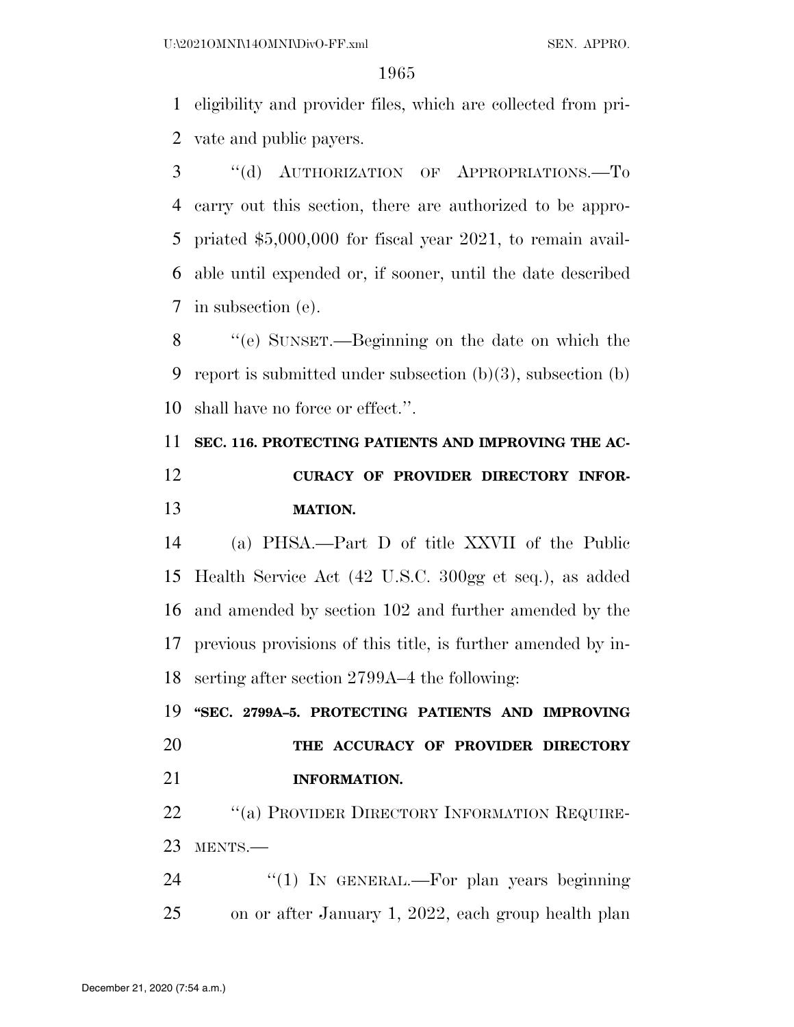eligibility and provider files, which are collected from pri-vate and public payers.

 ''(d) AUTHORIZATION OF APPROPRIATIONS.—To carry out this section, there are authorized to be appro- priated \$5,000,000 for fiscal year 2021, to remain avail- able until expended or, if sooner, until the date described in subsection (e).

 ''(e) SUNSET.—Beginning on the date on which the report is submitted under subsection (b)(3), subsection (b) shall have no force or effect.''.

# **SEC. 116. PROTECTING PATIENTS AND IMPROVING THE AC- CURACY OF PROVIDER DIRECTORY INFOR-MATION.**

 (a) PHSA.—Part D of title XXVII of the Public Health Service Act (42 U.S.C. 300gg et seq.), as added and amended by section 102 and further amended by the previous provisions of this title, is further amended by in-serting after section 2799A–4 the following:

 **''SEC. 2799A–5. PROTECTING PATIENTS AND IMPROVING THE ACCURACY OF PROVIDER DIRECTORY INFORMATION.** 

22 "(a) PROVIDER DIRECTORY INFORMATION REQUIRE-MENTS.—

24 "(1) In GENERAL.—For plan years beginning on or after January 1, 2022, each group health plan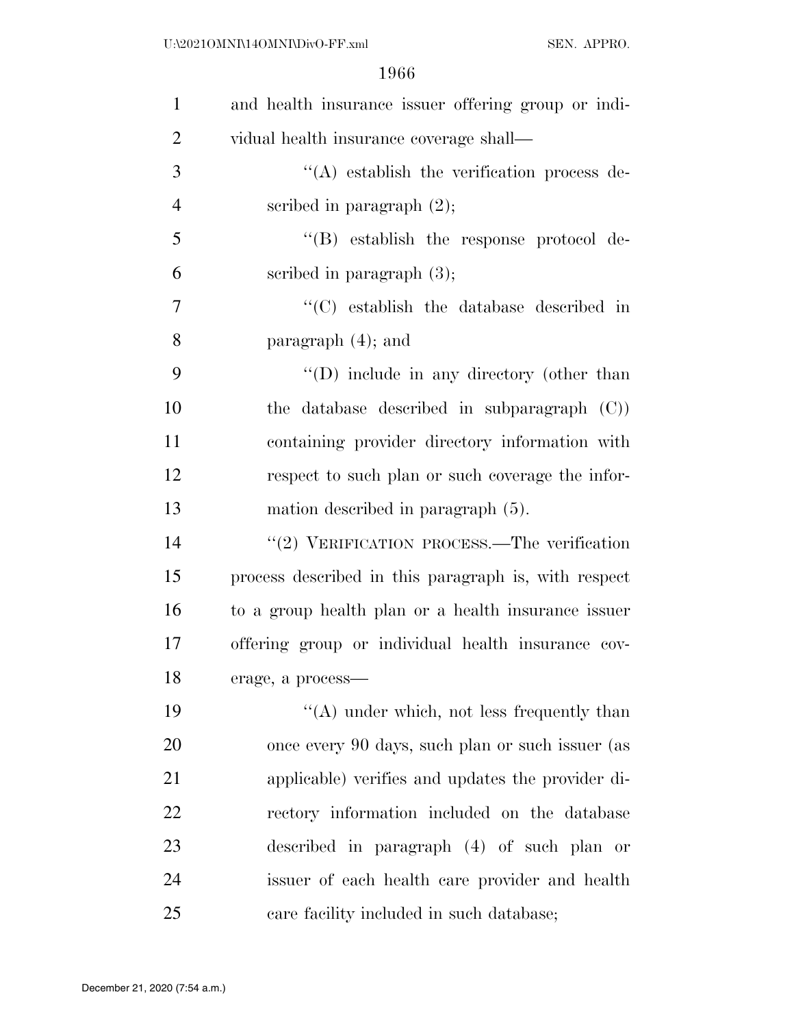| $\mathbf{1}$   | and health insurance issuer offering group or indi-  |
|----------------|------------------------------------------------------|
| $\overline{2}$ | vidual health insurance coverage shall—              |
| 3              | $\lq\lq$ establish the verification process de-      |
| $\overline{4}$ | scribed in paragraph $(2)$ ;                         |
| 5              | $\lq\lq$ establish the response protocol de-         |
| 6              | scribed in paragraph $(3)$ ;                         |
| 7              | "(C) establish the database described in             |
| 8              | paragraph $(4)$ ; and                                |
| 9              | $\lq\lq$ (D) include in any directory (other than    |
| 10             | the database described in subparagraph $(C)$ )       |
| 11             | containing provider directory information with       |
| 12             | respect to such plan or such coverage the infor-     |
| 13             | mation described in paragraph (5).                   |
| 14             | " $(2)$ VERIFICATION PROCESS.—The verification       |
| 15             | process described in this paragraph is, with respect |
| 16             | to a group health plan or a health insurance issuer  |
| 17             | offering group or individual health insurance cov-   |
| 18             | erage, a process-                                    |
| 19             | $\lq\lq$ under which, not less frequently than       |
| 20             | once every 90 days, such plan or such issuer (as     |
| 21             | applicable) verifies and updates the provider di-    |
| 22             | rectory information included on the database         |
| 23             | described in paragraph (4) of such plan or           |
| 24             | issuer of each health care provider and health       |
| 25             | care facility included in such database;             |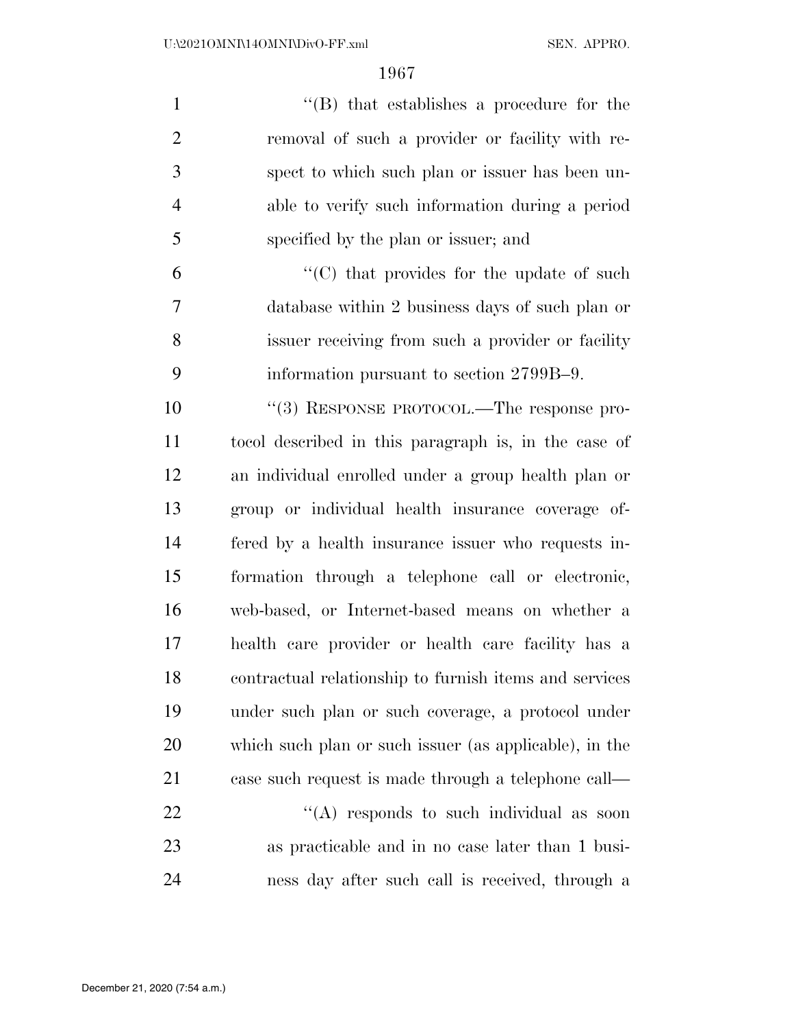| $\mathbf{1}$   | "(B) that establishes a procedure for the              |
|----------------|--------------------------------------------------------|
| $\overline{2}$ | removal of such a provider or facility with re-        |
| 3              | spect to which such plan or issuer has been un-        |
| $\overline{4}$ | able to verify such information during a period        |
| 5              | specified by the plan or issuer; and                   |
| 6              | "(C) that provides for the update of such              |
| 7              | database within 2 business days of such plan or        |
| 8              | issuer receiving from such a provider or facility      |
| 9              | information pursuant to section 2799B-9.               |
| 10             | "(3) RESPONSE PROTOCOL.—The response pro-              |
| 11             | to col described in this paragraph is, in the case of  |
| 12             | an individual enrolled under a group health plan or    |
| 13             | group or individual health insurance coverage of-      |
| 14             | fered by a health insurance issuer who requests in-    |
| 15             | formation through a telephone call or electronic,      |
| 16             | web-based, or Internet-based means on whether a        |
| 17             | health care provider or health care facility has a     |
| 18             | contractual relationship to furnish items and services |
| 19             | under such plan or such coverage, a protocol under     |
| 20             | which such plan or such issuer (as applicable), in the |
| 21             | case such request is made through a telephone call—    |
| 22             | "(A) responds to such individual as soon               |
| 23             | as practicable and in no case later than 1 busi-       |
| 24             | ness day after such call is received, through a        |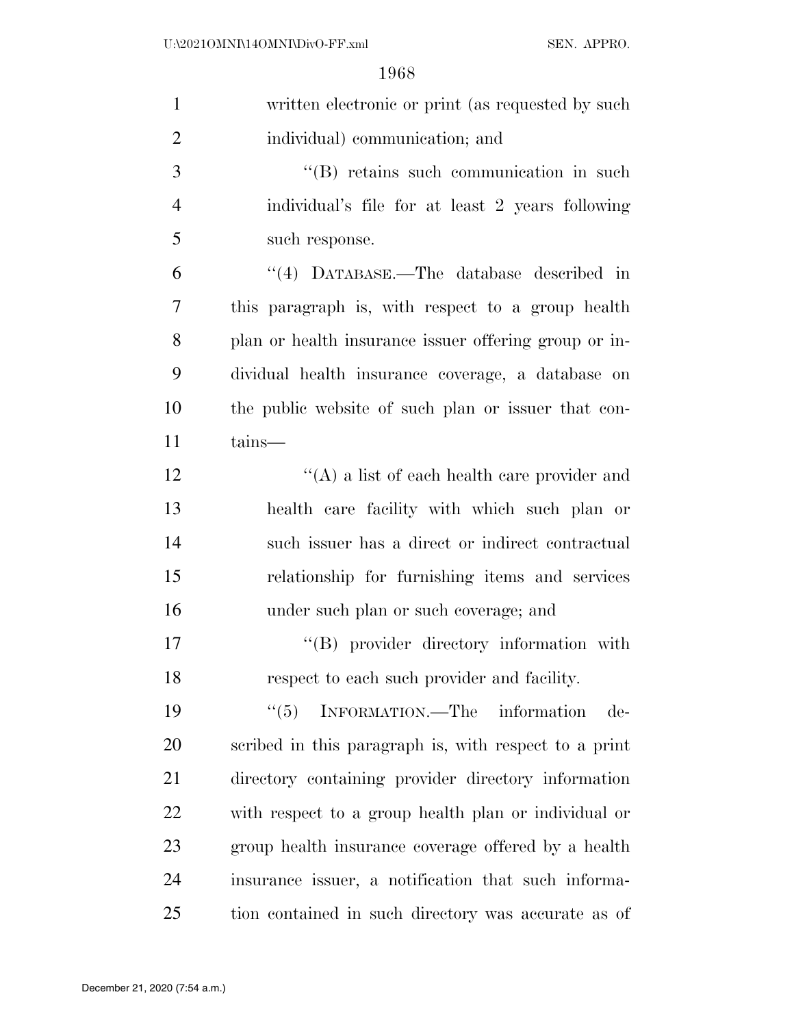| $\mathbf{1}$   | written electronic or print (as requested by such     |
|----------------|-------------------------------------------------------|
| $\overline{2}$ | individual) communication; and                        |
| 3              | $\lq\lq$ retains such communication in such           |
| $\overline{4}$ | individual's file for at least 2 years following      |
| 5              | such response.                                        |
| 6              | "(4) DATABASE.—The database described in              |
| 7              | this paragraph is, with respect to a group health     |
| 8              | plan or health insurance issuer offering group or in- |
| 9              | dividual health insurance coverage, a database on     |
| 10             | the public website of such plan or issuer that con-   |
| 11             | tains—                                                |
| 12             | $\lq\lq$ a list of each health care provider and      |
| 13             | health care facility with which such plan or          |
| 14             | such issuer has a direct or indirect contractual      |
| 15             | relationship for furnishing items and services        |
| 16             | under such plan or such coverage; and                 |
| 17             | "(B) provider directory information with              |
| 18             | respect to each such provider and facility.           |
| 19             | INFORMATION.—The information<br>``(5)<br>$de-$        |
| 20             | scribed in this paragraph is, with respect to a print |
| 21             | directory containing provider directory information   |
| 22             | with respect to a group health plan or individual or  |
| 23             | group health insurance coverage offered by a health   |
| 24             | insurance issuer, a notification that such informa-   |
| 25             | tion contained in such directory was accurate as of   |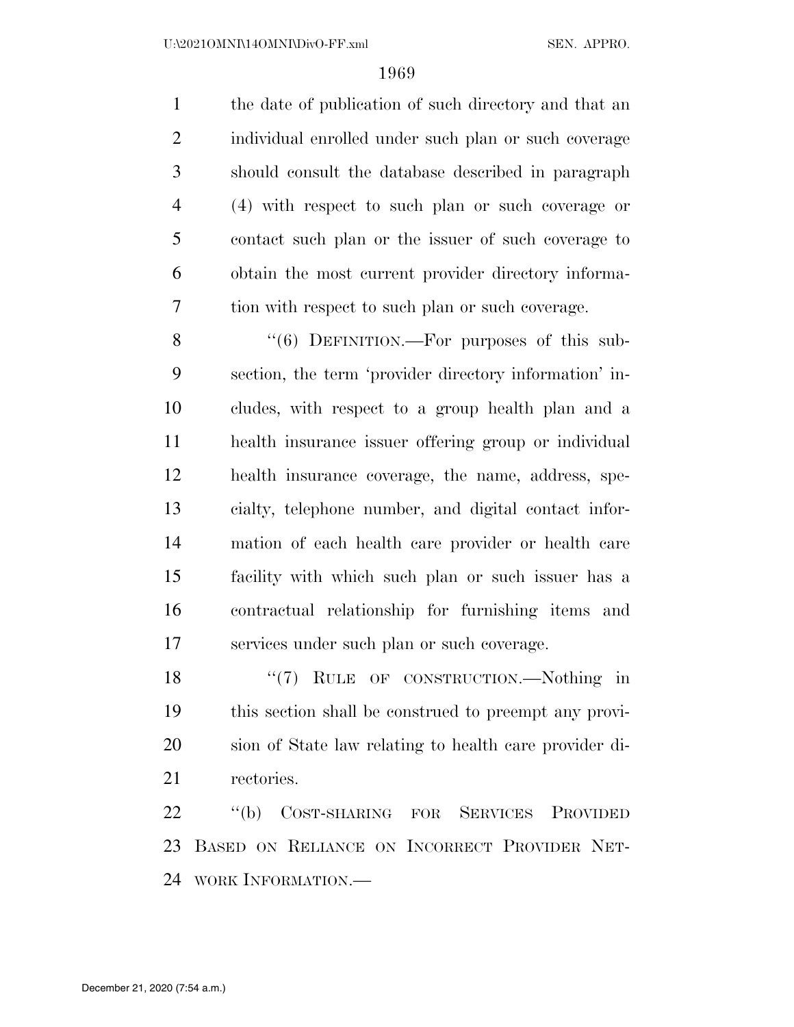the date of publication of such directory and that an individual enrolled under such plan or such coverage should consult the database described in paragraph (4) with respect to such plan or such coverage or contact such plan or the issuer of such coverage to obtain the most current provider directory informa-tion with respect to such plan or such coverage.

8 "(6) DEFINITION.—For purposes of this sub- section, the term 'provider directory information' in- cludes, with respect to a group health plan and a health insurance issuer offering group or individual health insurance coverage, the name, address, spe- cialty, telephone number, and digital contact infor- mation of each health care provider or health care facility with which such plan or such issuer has a contractual relationship for furnishing items and services under such plan or such coverage.

18 "(7) RULE OF CONSTRUCTION.—Nothing in this section shall be construed to preempt any provi- sion of State law relating to health care provider di-rectories.

 ''(b) COST-SHARING FOR SERVICES PROVIDED BASED ON RELIANCE ON INCORRECT PROVIDER NET-WORK INFORMATION.—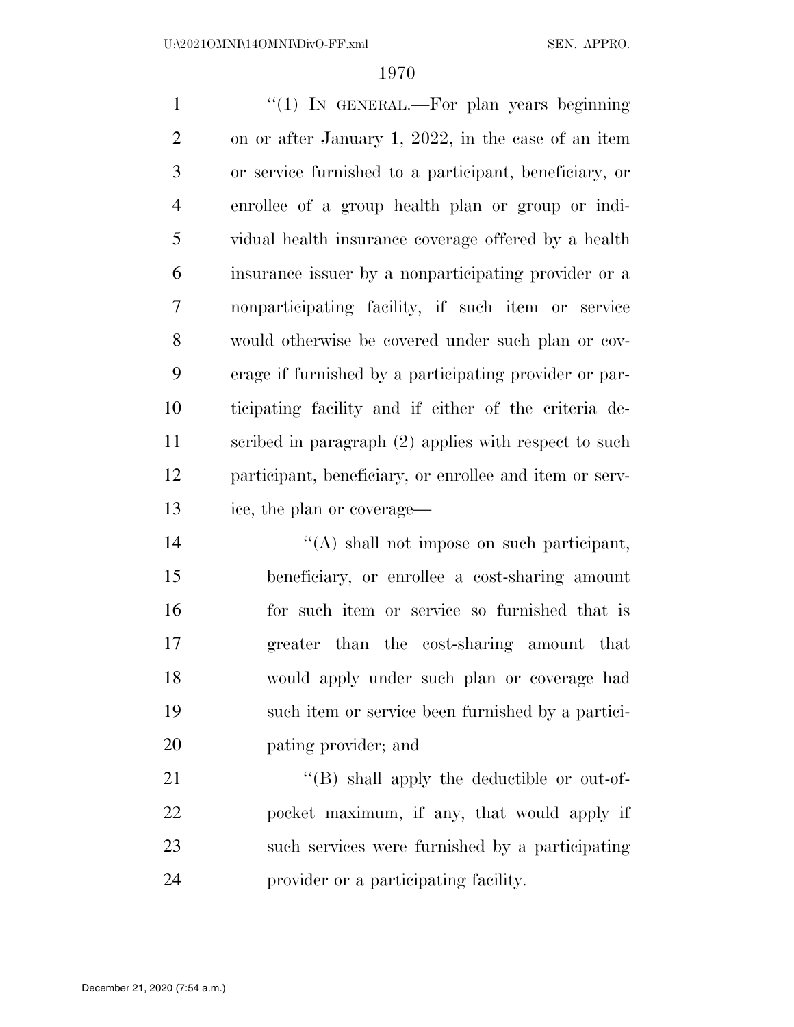1 "(1) In GENERAL.—For plan years beginning on or after January 1, 2022, in the case of an item or service furnished to a participant, beneficiary, or enrollee of a group health plan or group or indi- vidual health insurance coverage offered by a health insurance issuer by a nonparticipating provider or a nonparticipating facility, if such item or service would otherwise be covered under such plan or cov- erage if furnished by a participating provider or par- ticipating facility and if either of the criteria de- scribed in paragraph (2) applies with respect to such participant, beneficiary, or enrollee and item or serv-ice, the plan or coverage—

 ''(A) shall not impose on such participant, beneficiary, or enrollee a cost-sharing amount for such item or service so furnished that is greater than the cost-sharing amount that would apply under such plan or coverage had such item or service been furnished by a partici-pating provider; and

 $\langle (B)$  shall apply the deductible or out-of- pocket maximum, if any, that would apply if such services were furnished by a participating provider or a participating facility.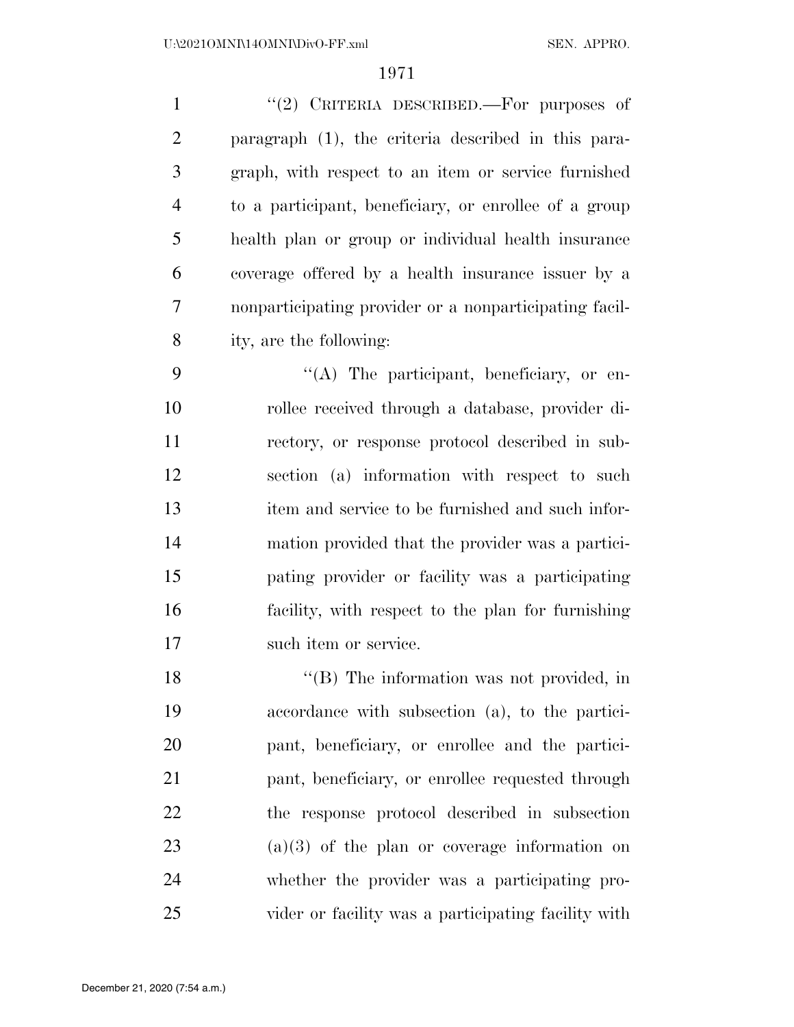1 "(2) CRITERIA DESCRIBED.—For purposes of paragraph (1), the criteria described in this para- graph, with respect to an item or service furnished to a participant, beneficiary, or enrollee of a group health plan or group or individual health insurance coverage offered by a health insurance issuer by a nonparticipating provider or a nonparticipating facil-ity, are the following:

 $\langle (A)$  The participant, beneficiary, or en- rollee received through a database, provider di- rectory, or response protocol described in sub- section (a) information with respect to such item and service to be furnished and such infor- mation provided that the provider was a partici- pating provider or facility was a participating facility, with respect to the plan for furnishing 17 such item or service.

18 "(B) The information was not provided, in accordance with subsection (a), to the partici- pant, beneficiary, or enrollee and the partici- pant, beneficiary, or enrollee requested through the response protocol described in subsection (a)(3) of the plan or coverage information on whether the provider was a participating pro-vider or facility was a participating facility with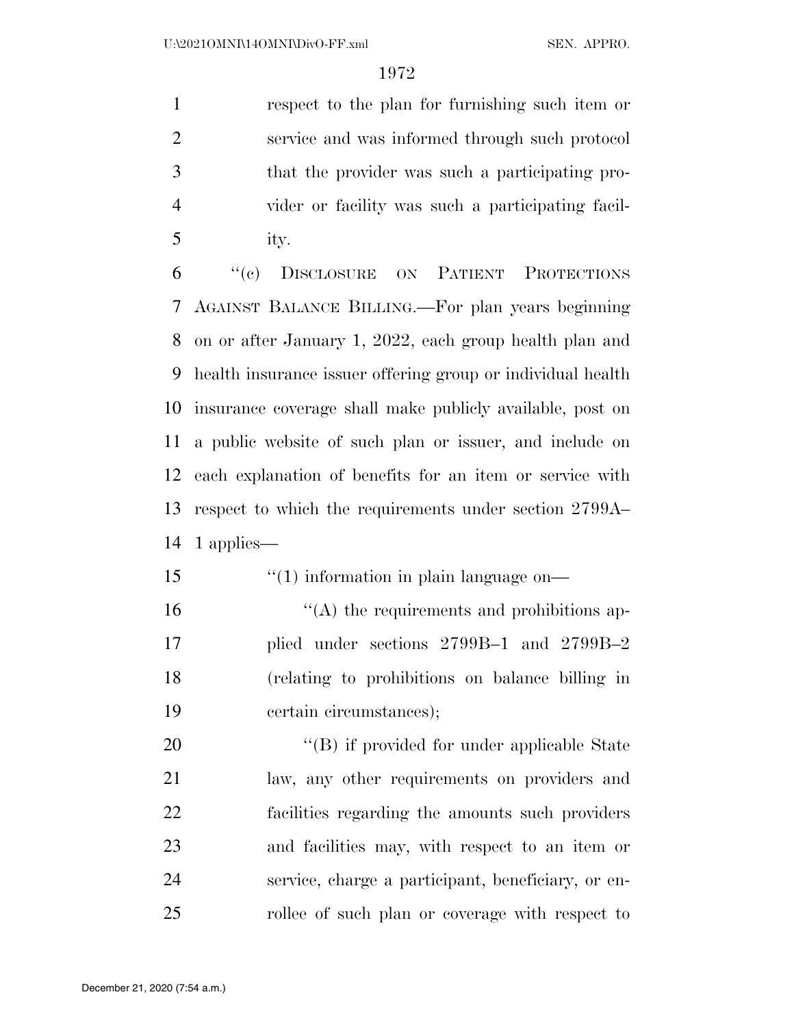respect to the plan for furnishing such item or service and was informed through such protocol that the provider was such a participating pro- vider or facility was such a participating facil-ity.

 ''(c) DISCLOSURE ON PATIENT PROTECTIONS AGAINST BALANCE BILLING.—For plan years beginning on or after January 1, 2022, each group health plan and health insurance issuer offering group or individual health insurance coverage shall make publicly available, post on a public website of such plan or issuer, and include on each explanation of benefits for an item or service with respect to which the requirements under section 2799A– 1 applies—

- 15  $\frac{1}{10}$  information in plain language on—  $\mathcal{L}(\mathbf{A})$  the requirements and prohibitions ap-plied under sections 2799B–1 and 2799B–2
- (relating to prohibitions on balance billing in certain circumstances);

 $\langle (B)$  if provided for under applicable State law, any other requirements on providers and facilities regarding the amounts such providers and facilities may, with respect to an item or service, charge a participant, beneficiary, or en-rollee of such plan or coverage with respect to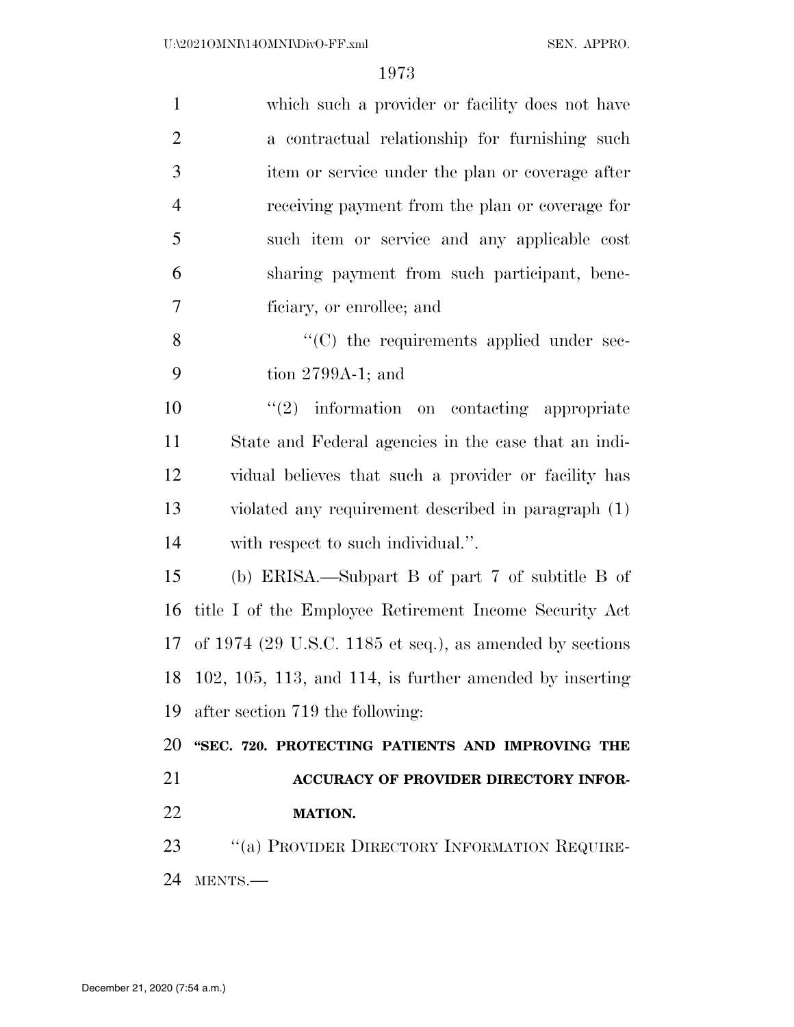| $\mathbf{1}$   | which such a provider or facility does not have            |
|----------------|------------------------------------------------------------|
| $\overline{2}$ | a contractual relationship for furnishing such             |
| 3              | item or service under the plan or coverage after           |
| $\overline{4}$ | receiving payment from the plan or coverage for            |
| 5              | such item or service and any applicable cost               |
| 6              | sharing payment from such participant, bene-               |
| 7              | ficiary, or enrollee; and                                  |
| 8              | "(C) the requirements applied under sec-                   |
| 9              | tion $2799A-1$ ; and                                       |
| 10             | $\lq(2)$ information on contacting appropriate             |
| 11             | State and Federal agencies in the case that an indi-       |
| 12             | vidual believes that such a provider or facility has       |
| 13             | violated any requirement described in paragraph (1)        |
| 14             | with respect to such individual.".                         |
| 15             | (b) ERISA.—Subpart B of part 7 of subtitle B of            |
| 16             | title I of the Employee Retirement Income Security Act     |
| 17             | of $1974$ (29 U.S.C. 1185 et seq.), as amended by sections |
|                | 18 102, 105, 113, and 114, is further amended by inserting |
| 19             | after section 719 the following:                           |
| 20             | "SEC. 720. PROTECTING PATIENTS AND IMPROVING THE           |
| 21             | ACCURACY OF PROVIDER DIRECTORY INFOR-                      |
| 22             | <b>MATION.</b>                                             |
| 23             | $\lq\lq (a)$ PROVIDER DIRECTORY INFORMATION REQUIRE-       |
| 24             | MENTS.-                                                    |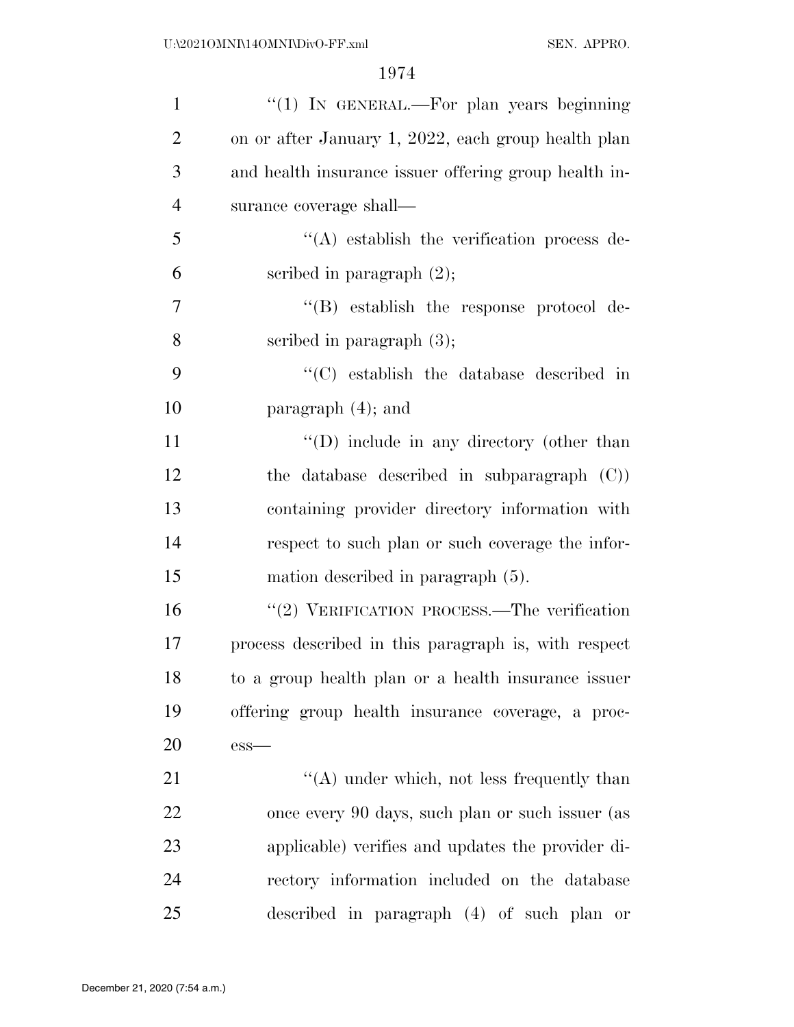| $\mathbf{1}$   | "(1) IN GENERAL.—For plan years beginning             |
|----------------|-------------------------------------------------------|
| $\overline{2}$ | on or after January 1, 2022, each group health plan   |
| 3              | and health insurance issuer offering group health in- |
| $\overline{4}$ | surance coverage shall—                               |
| 5              | $\lq\lq$ establish the verification process de-       |
| 6              | scribed in paragraph $(2)$ ;                          |
| 7              | $\lq\lq$ establish the response protocol de-          |
| 8              | scribed in paragraph $(3)$ ;                          |
| 9              | "(C) establish the database described in              |
| 10             | paragraph $(4)$ ; and                                 |
| 11             | "(D) include in any directory (other than             |
| 12             | the database described in subparagraph $(C)$          |
| 13             | containing provider directory information with        |
| 14             | respect to such plan or such coverage the infor-      |
| 15             | mation described in paragraph (5).                    |
| 16             | "(2) VERIFICATION PROCESS.—The verification           |
| 17             | process described in this paragraph is, with respect  |
| 18             | to a group health plan or a health insurance issuer   |
| 19             | offering group health insurance coverage, a proc-     |
| 20             | $ess-$                                                |
| 21             | $\lq\lq$ under which, not less frequently than        |
| 22             | once every 90 days, such plan or such issuer (as      |
| 23             | applicable) verifies and updates the provider di-     |
| 24             | rectory information included on the database          |
| 25             | described in paragraph (4) of such plan or            |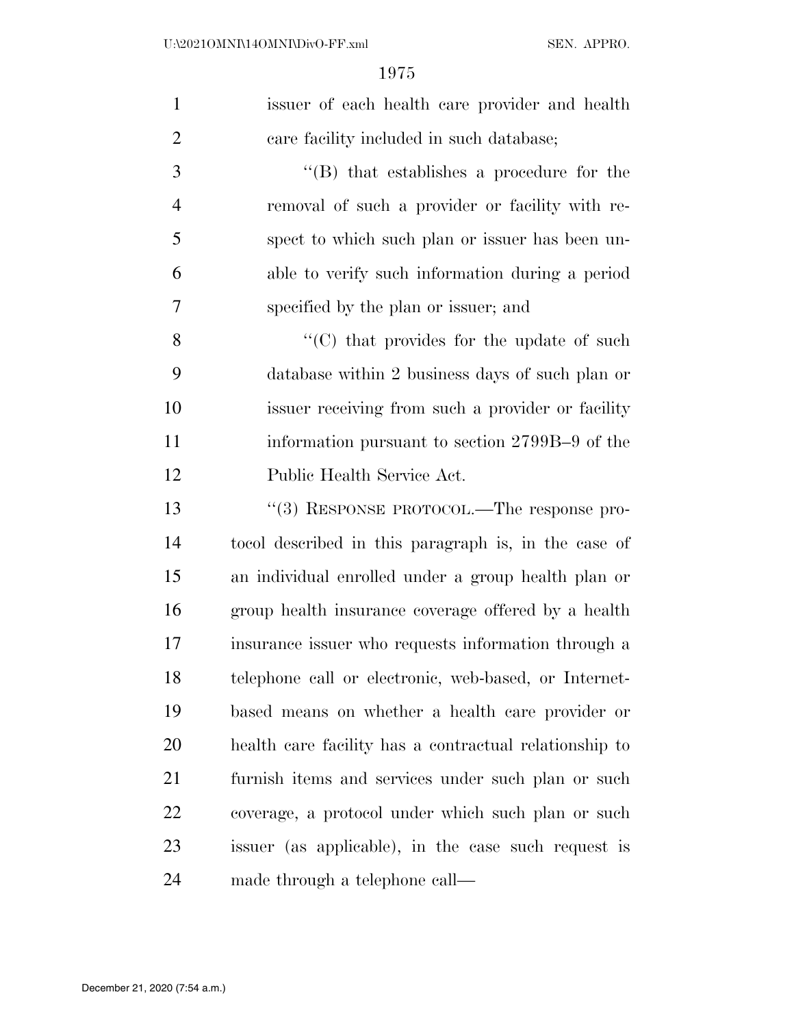| $\mathbf{1}$   | issuer of each health care provider and health         |
|----------------|--------------------------------------------------------|
| $\overline{2}$ | care facility included in such database;               |
| 3              | "(B) that establishes a procedure for the              |
| $\overline{4}$ | removal of such a provider or facility with re-        |
| 5              | spect to which such plan or issuer has been un-        |
| 6              | able to verify such information during a period        |
| $\overline{7}$ | specified by the plan or issuer; and                   |
| 8              | "(C) that provides for the update of such              |
| 9              | database within 2 business days of such plan or        |
| 10             | issuer receiving from such a provider or facility      |
| 11             | information pursuant to section 2799B-9 of the         |
| 12             | Public Health Service Act.                             |
| 13             | "(3) RESPONSE PROTOCOL.—The response pro-              |
| 14             | to col described in this paragraph is, in the case of  |
| 15             | an individual enrolled under a group health plan or    |
| 16             | group health insurance coverage offered by a health    |
| 17             | insurance issuer who requests information through a    |
| 18             | telephone call or electronic, web-based, or Internet-  |
| 19             | based means on whether a health care provider or       |
| 20             | health care facility has a contractual relationship to |
| 21             | furnish items and services under such plan or such     |
| 22             | coverage, a protocol under which such plan or such     |
| 23             | issuer (as applicable), in the case such request is    |
| 24             | made through a telephone call—                         |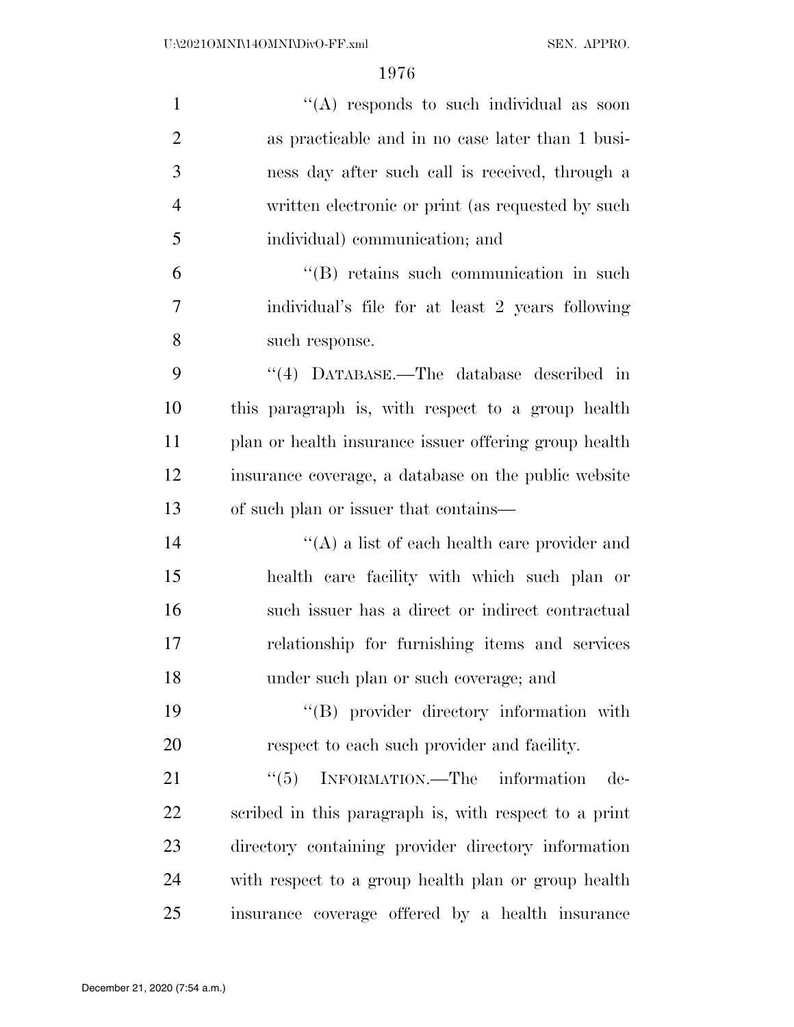| $\mathbf{1}$   | "(A) responds to such individual as soon              |
|----------------|-------------------------------------------------------|
| $\overline{2}$ | as practicable and in no case later than 1 busi-      |
| 3              | ness day after such call is received, through a       |
| $\overline{4}$ | written electronic or print (as requested by such     |
| 5              | individual) communication; and                        |
| 6              | "(B) retains such communication in such               |
| 7              | individual's file for at least 2 years following      |
| 8              | such response.                                        |
| 9              | "(4) DATABASE.—The database described in              |
| 10             | this paragraph is, with respect to a group health     |
| 11             | plan or health insurance issuer offering group health |
| 12             | insurance coverage, a database on the public website  |
| 13             | of such plan or issuer that contains—                 |
| 14             | $\lq\lq$ a list of each health care provider and      |
| 15             | health care facility with which such plan or          |
| 16             | such issuer has a direct or indirect contractual      |
| 17             | relationship for furnishing items and services        |
| 18             | under such plan or such coverage; and                 |
| 19             | "(B) provider directory information with              |
| 20             | respect to each such provider and facility.           |
| 21             | ``(5)<br>INFORMATION.—The information<br>de-          |
| 22             | scribed in this paragraph is, with respect to a print |
| 23             | directory containing provider directory information   |
| 24             | with respect to a group health plan or group health   |
| 25             | insurance coverage offered by a health insurance      |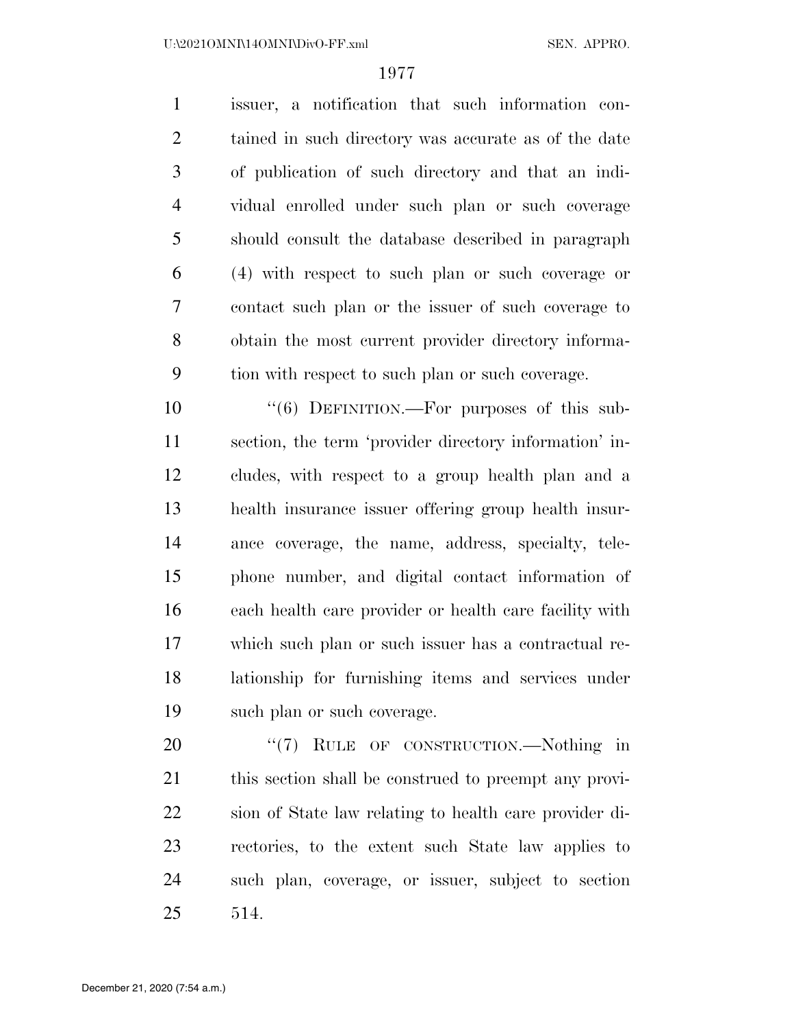issuer, a notification that such information con- tained in such directory was accurate as of the date of publication of such directory and that an indi- vidual enrolled under such plan or such coverage should consult the database described in paragraph (4) with respect to such plan or such coverage or contact such plan or the issuer of such coverage to obtain the most current provider directory informa-tion with respect to such plan or such coverage.

10 "(6) DEFINITION.—For purposes of this sub- section, the term 'provider directory information' in- cludes, with respect to a group health plan and a health insurance issuer offering group health insur- ance coverage, the name, address, specialty, tele- phone number, and digital contact information of each health care provider or health care facility with which such plan or such issuer has a contractual re- lationship for furnishing items and services under such plan or such coverage.

20 "(7) RULE OF CONSTRUCTION.—Nothing in 21 this section shall be construed to preempt any provi- sion of State law relating to health care provider di- rectories, to the extent such State law applies to such plan, coverage, or issuer, subject to section 514.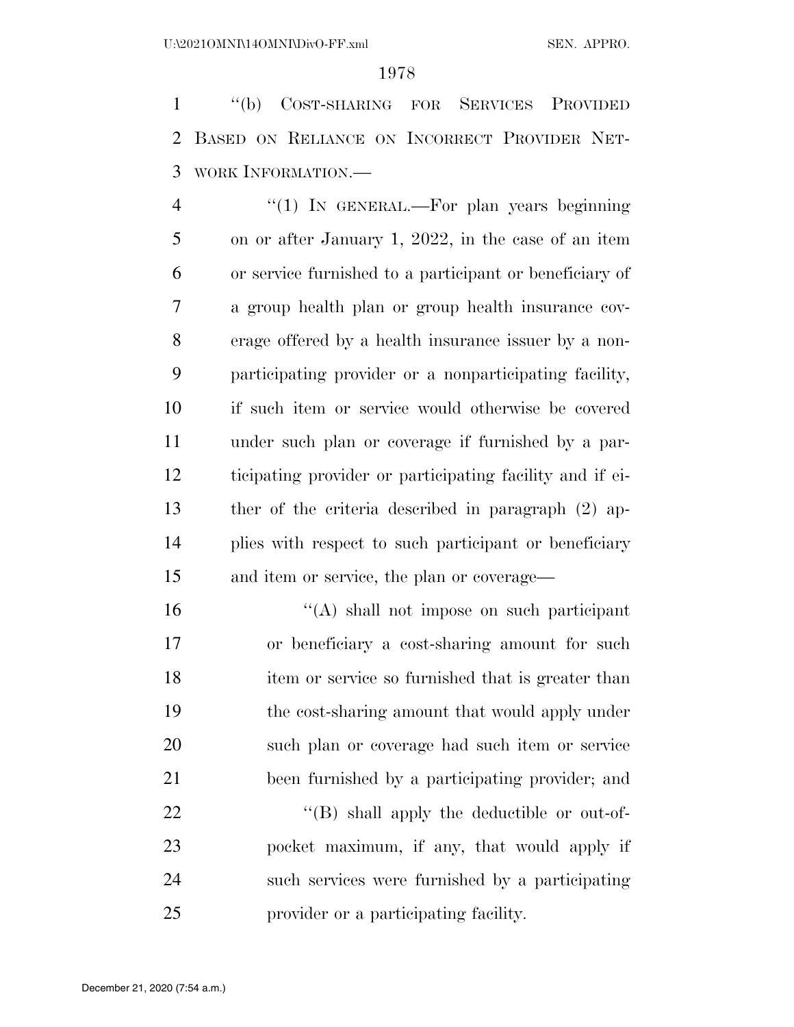''(b) COST-SHARING FOR SERVICES PROVIDED BASED ON RELIANCE ON INCORRECT PROVIDER NET-WORK INFORMATION.—

4 "(1) In GENERAL.—For plan years beginning on or after January 1, 2022, in the case of an item or service furnished to a participant or beneficiary of a group health plan or group health insurance cov- erage offered by a health insurance issuer by a non- participating provider or a nonparticipating facility, if such item or service would otherwise be covered under such plan or coverage if furnished by a par- ticipating provider or participating facility and if ei- ther of the criteria described in paragraph (2) ap- plies with respect to such participant or beneficiary and item or service, the plan or coverage—

 ''(A) shall not impose on such participant or beneficiary a cost-sharing amount for such item or service so furnished that is greater than the cost-sharing amount that would apply under such plan or coverage had such item or service been furnished by a participating provider; and

22 "(B) shall apply the deductible or out-of- pocket maximum, if any, that would apply if such services were furnished by a participating provider or a participating facility.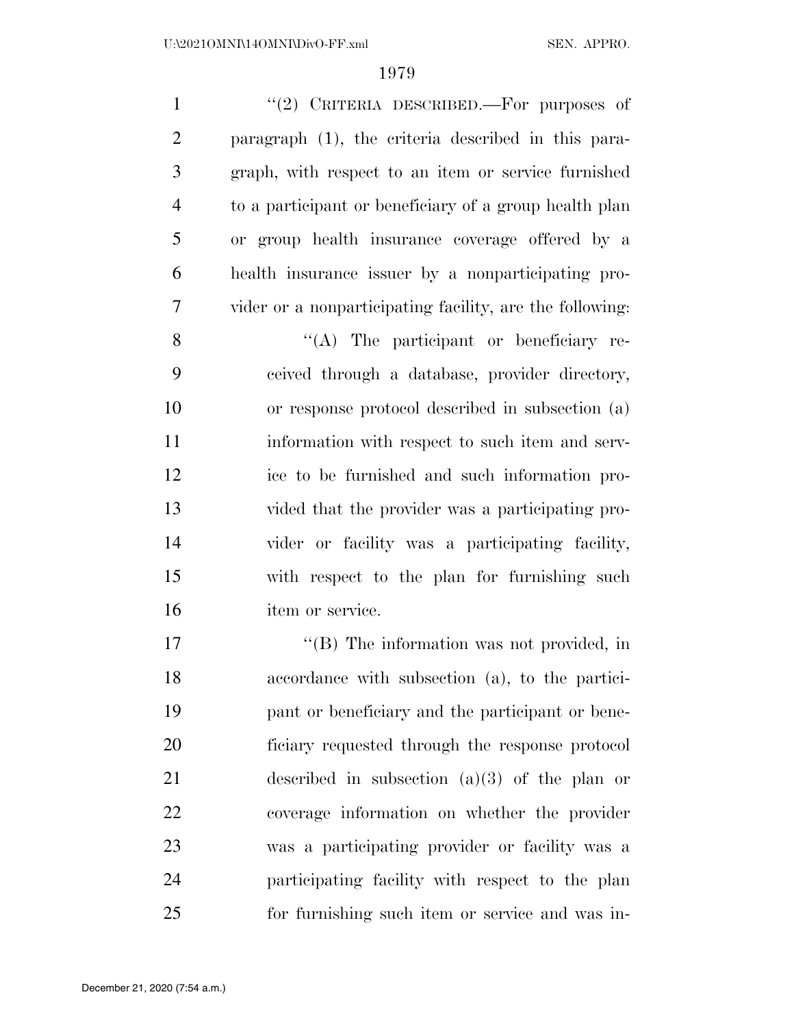1 "(2) CRITERIA DESCRIBED.—For purposes of paragraph (1), the criteria described in this para- graph, with respect to an item or service furnished to a participant or beneficiary of a group health plan or group health insurance coverage offered by a health insurance issuer by a nonparticipating pro-vider or a nonparticipating facility, are the following:

 $\langle (A)$  The participant or beneficiary re- ceived through a database, provider directory, or response protocol described in subsection (a) information with respect to such item and serv- ice to be furnished and such information pro- vided that the provider was a participating pro- vider or facility was a participating facility, with respect to the plan for furnishing such item or service.

 $\text{``(B)}$  The information was not provided, in accordance with subsection (a), to the partici- pant or beneficiary and the participant or bene- ficiary requested through the response protocol described in subsection (a)(3) of the plan or coverage information on whether the provider was a participating provider or facility was a participating facility with respect to the plan for furnishing such item or service and was in-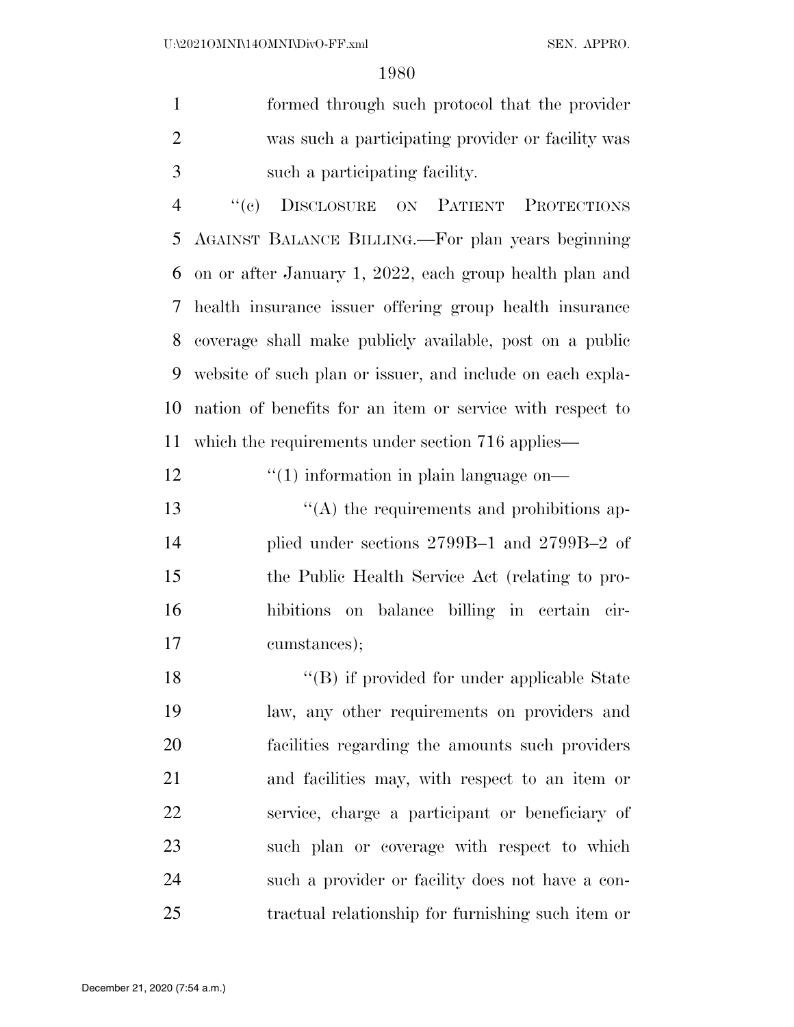formed through such protocol that the provider was such a participating provider or facility was such a participating facility.

 ''(c) DISCLOSURE ON PATIENT PROTECTIONS AGAINST BALANCE BILLING.—For plan years beginning on or after January 1, 2022, each group health plan and health insurance issuer offering group health insurance coverage shall make publicly available, post on a public website of such plan or issuer, and include on each expla- nation of benefits for an item or service with respect to which the requirements under section 716 applies—

12  $\frac{1}{2}$  (1) information in plain language on—

13 ''(A) the requirements and prohibitions ap- plied under sections 2799B–1 and 2799B–2 of the Public Health Service Act (relating to pro- hibitions on balance billing in certain cir-cumstances);

18 "(B) if provided for under applicable State law, any other requirements on providers and facilities regarding the amounts such providers and facilities may, with respect to an item or service, charge a participant or beneficiary of such plan or coverage with respect to which such a provider or facility does not have a con-tractual relationship for furnishing such item or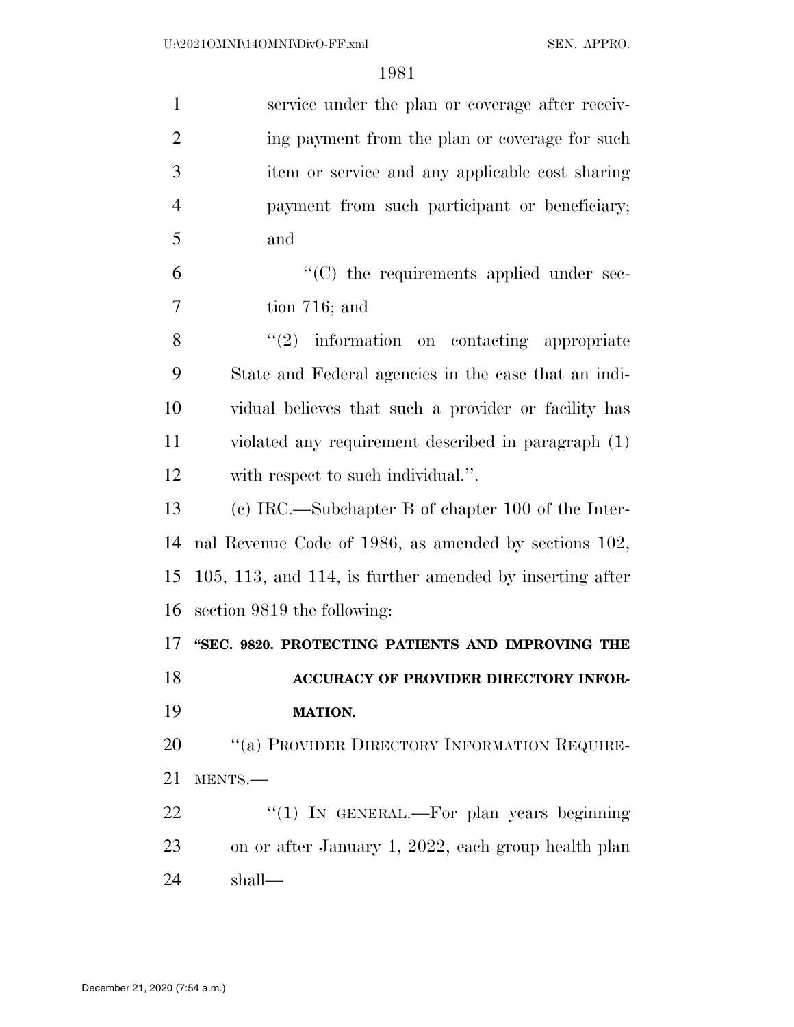| $\mathbf{1}$   | service under the plan or coverage after receiv-         |
|----------------|----------------------------------------------------------|
| $\overline{2}$ | ing payment from the plan or coverage for such           |
| 3              | item or service and any applicable cost sharing          |
| $\overline{4}$ | payment from such participant or beneficiary;            |
| 5              | and                                                      |
| 6              | "(C) the requirements applied under sec-                 |
| 7              | tion $716$ ; and                                         |
| 8              | $"(2)$ information on contacting appropriate             |
| 9              | State and Federal agencies in the case that an indi-     |
| 10             | vidual believes that such a provider or facility has     |
| 11             | violated any requirement described in paragraph (1)      |
| 12             | with respect to such individual.".                       |
| 13             | (c) IRC.—Subchapter B of chapter 100 of the Inter-       |
| 14             | nal Revenue Code of 1986, as amended by sections 102,    |
| 15             | 105, 113, and 114, is further amended by inserting after |
| 16             | section 9819 the following:                              |
| 17             | "SEC. 9820. PROTECTING PATIENTS AND IMPROVING THE        |
| 18             | ACCURACY OF PROVIDER DIRECTORY INFOR-                    |
| 19             | <b>MATION.</b>                                           |
| 20             | "(a) PROVIDER DIRECTORY INFORMATION REQUIRE-             |
| 21             | MENTS.-                                                  |
| 22             | "(1) IN GENERAL.—For plan years beginning                |
| 23             | on or after January 1, 2022, each group health plan      |
| 24             | shall—                                                   |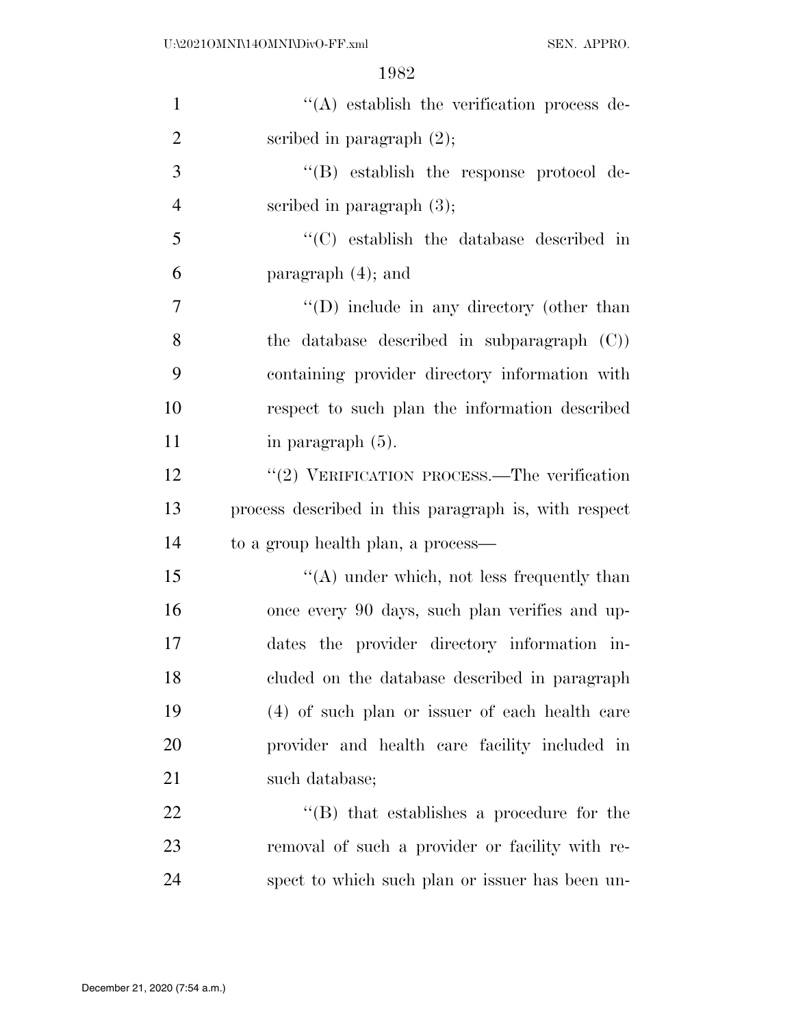| $\mathbf{1}$   | $\lq\lq$ establish the verification process de-      |
|----------------|------------------------------------------------------|
| $\overline{2}$ | scribed in paragraph $(2)$ ;                         |
| 3              | $\lq\lq$ establish the response protocol de-         |
| $\overline{4}$ | scribed in paragraph $(3)$ ;                         |
| 5              | $\cdot$ (C) establish the database described in      |
| 6              | paragraph $(4)$ ; and                                |
| 7              | $\lq\lq$ (D) include in any directory (other than    |
| 8              | the database described in subparagraph $(C)$ )       |
| 9              | containing provider directory information with       |
| 10             | respect to such plan the information described       |
| 11             | in paragraph $(5)$ .                                 |
| 12             | " $(2)$ VERIFICATION PROCESS.—The verification       |
| 13             | process described in this paragraph is, with respect |
| 14             | to a group health plan, a process—                   |
| 15             | $\lq\lq$ under which, not less frequently than       |
| 16             | once every 90 days, such plan verifies and up-       |
| 17             | dates the provider directory information in-         |
| 18             | cluded on the database described in paragraph        |
| 19             | (4) of such plan or issuer of each health care       |
| 20             | provider and health care facility included in        |
| 21             | such database;                                       |
| 22             | $\lq\lq$ that establishes a procedure for the        |
| 23             | removal of such a provider or facility with re-      |
| 24             | spect to which such plan or issuer has been un-      |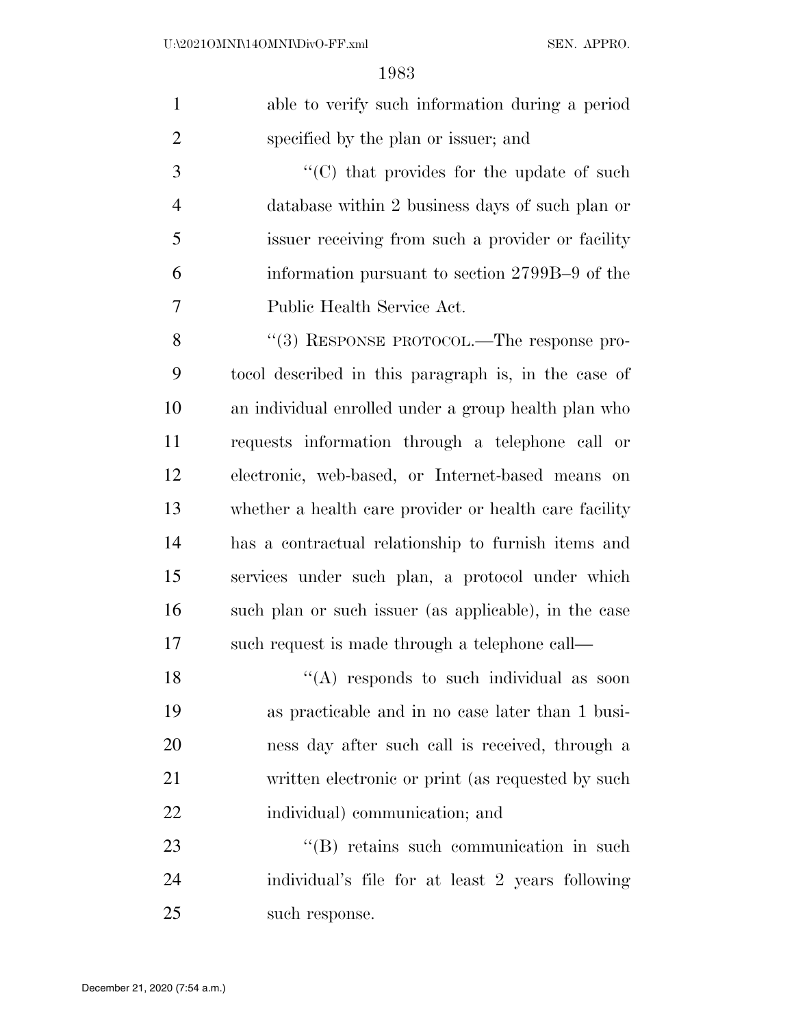| $\mathbf{1}$   | able to verify such information during a period        |
|----------------|--------------------------------------------------------|
| $\overline{2}$ | specified by the plan or issuer; and                   |
| 3              | $\lq\lq$ (C) that provides for the update of such      |
| $\overline{4}$ | database within 2 business days of such plan or        |
| 5              | issuer receiving from such a provider or facility      |
| 6              | information pursuant to section 2799B-9 of the         |
| 7              | Public Health Service Act.                             |
| 8              | "(3) RESPONSE PROTOCOL.—The response pro-              |
| 9              | to col described in this paragraph is, in the case of  |
| 10             | an individual enrolled under a group health plan who   |
| 11             | requests information through a telephone call or       |
| 12             | electronic, web-based, or Internet-based means on      |
| 13             | whether a health care provider or health care facility |
| 14             | has a contractual relationship to furnish items and    |
| 15             | services under such plan, a protocol under which       |
| 16             | such plan or such issuer (as applicable), in the case  |
| 17             | such request is made through a telephone call—         |
| 18             | "(A) responds to such individual as soon               |
| 19             | as practicable and in no case later than 1 busi-       |
| 20             | ness day after such call is received, through a        |
| 21             | written electronic or print (as requested by such      |
| 22             | individual) communication; and                         |
| 23             | "(B) retains such communication in such                |
| 24             | individual's file for at least 2 years following       |
| 25             | such response.                                         |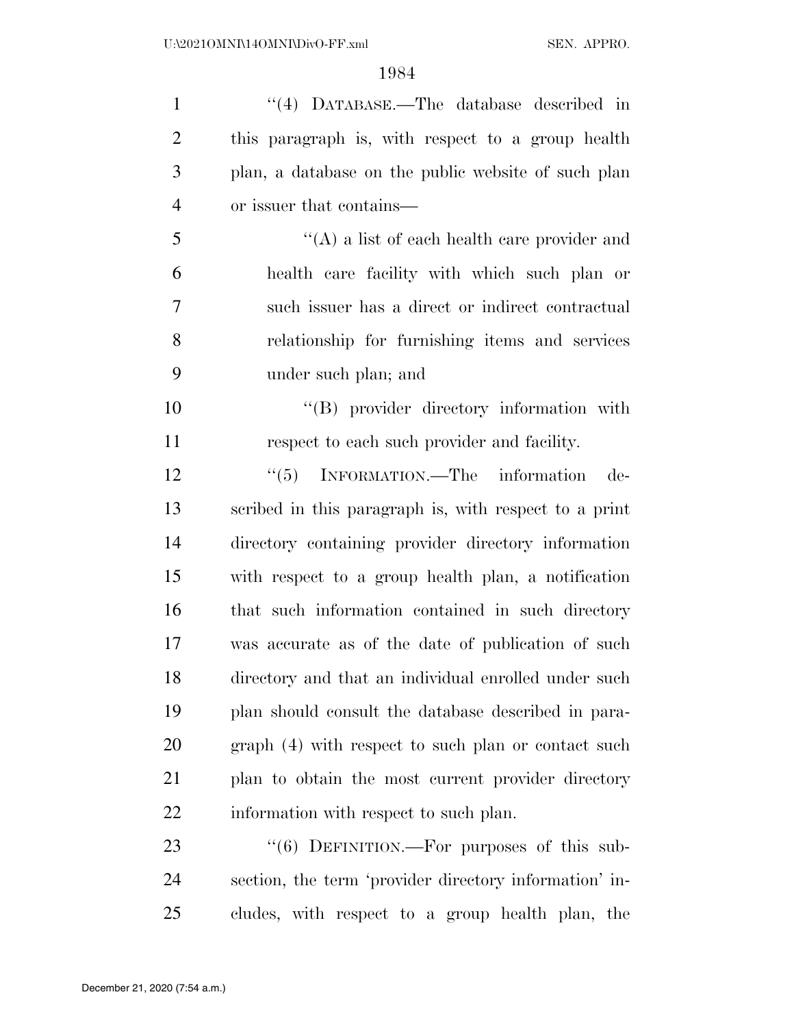''(4) DATABASE.—The database described in this paragraph is, with respect to a group health plan, a database on the public website of such plan or issuer that contains— ''(A) a list of each health care provider and health care facility with which such plan or such issuer has a direct or indirect contractual relationship for furnishing items and services under such plan; and  $\text{``(B)}$  provider directory information with respect to each such provider and facility. 12 "(5) INFORMATION.—The information de- scribed in this paragraph is, with respect to a print directory containing provider directory information with respect to a group health plan, a notification that such information contained in such directory was accurate as of the date of publication of such directory and that an individual enrolled under such plan should consult the database described in para- graph (4) with respect to such plan or contact such plan to obtain the most current provider directory information with respect to such plan. 23 "(6) DEFINITION.—For purposes of this sub-

 section, the term 'provider directory information' in-cludes, with respect to a group health plan, the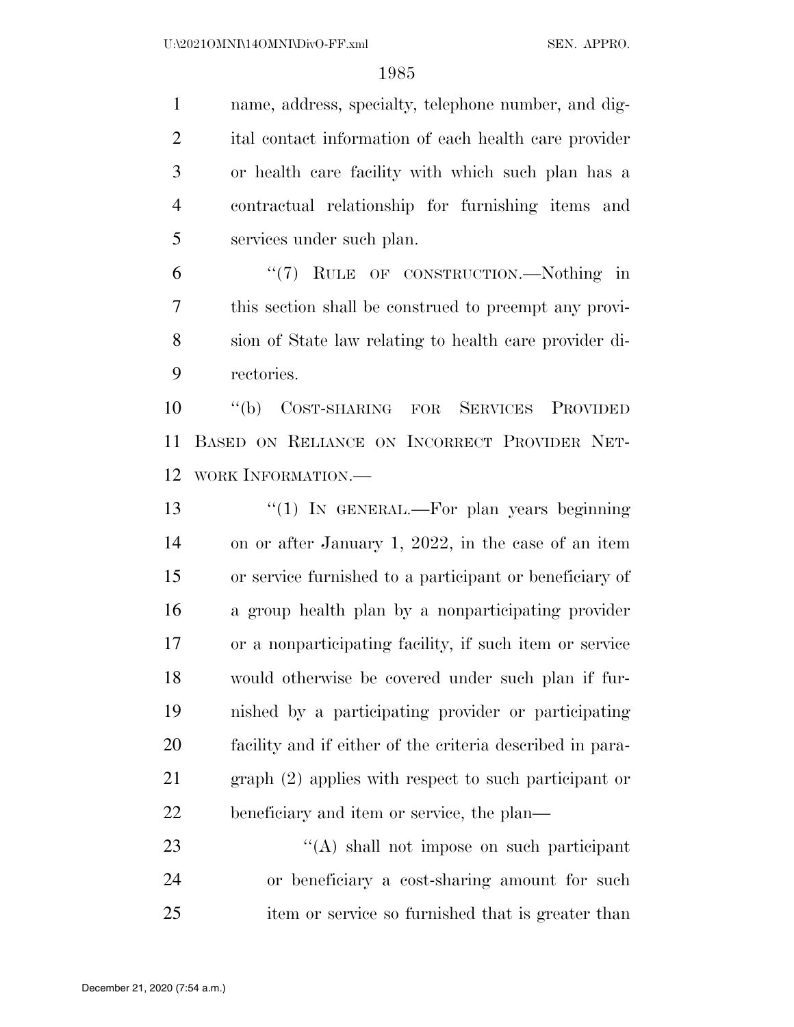name, address, specialty, telephone number, and dig- ital contact information of each health care provider or health care facility with which such plan has a contractual relationship for furnishing items and services under such plan.

 ''(7) RULE OF CONSTRUCTION.—Nothing in this section shall be construed to preempt any provi- sion of State law relating to health care provider di-rectories.

 ''(b) COST-SHARING FOR SERVICES PROVIDED BASED ON RELIANCE ON INCORRECT PROVIDER NET-WORK INFORMATION.—

13 "(1) In GENERAL.—For plan years beginning on or after January 1, 2022, in the case of an item or service furnished to a participant or beneficiary of a group health plan by a nonparticipating provider or a nonparticipating facility, if such item or service would otherwise be covered under such plan if fur- nished by a participating provider or participating facility and if either of the criteria described in para- graph (2) applies with respect to such participant or beneficiary and item or service, the plan—

23 ''(A) shall not impose on such participant or beneficiary a cost-sharing amount for such item or service so furnished that is greater than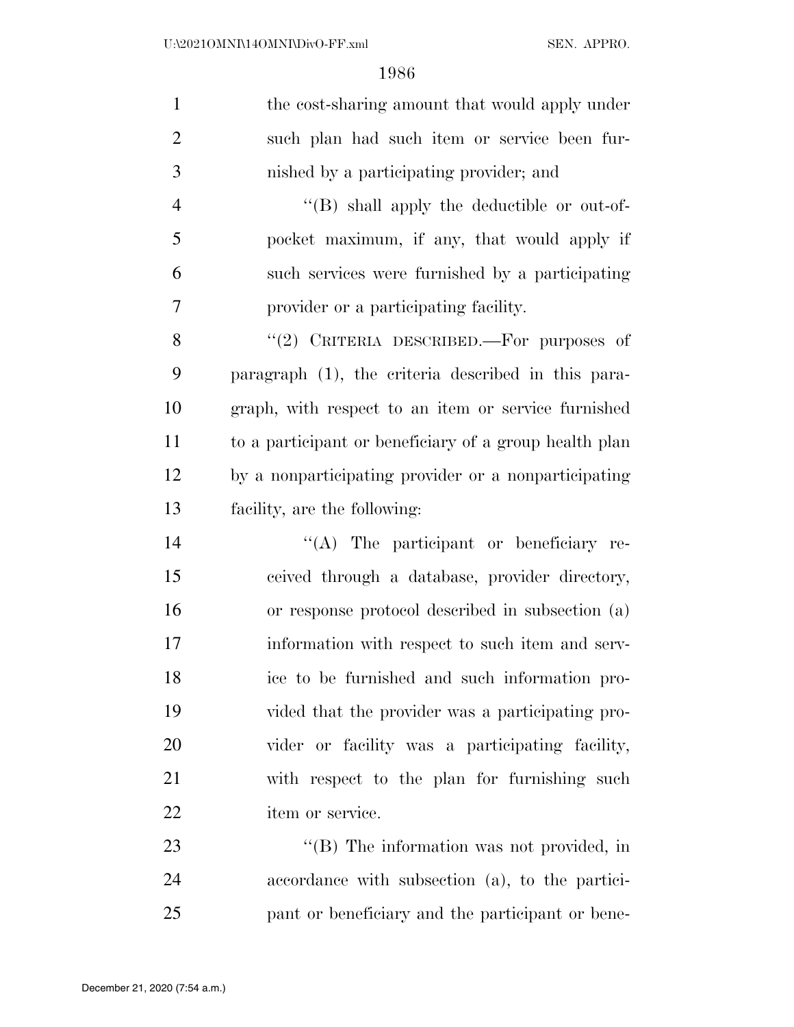| $\mathbf{1}$   | the cost-sharing amount that would apply under         |
|----------------|--------------------------------------------------------|
| $\overline{2}$ | such plan had such item or service been fur-           |
| 3              | nished by a participating provider; and                |
| $\overline{4}$ | "(B) shall apply the deductible or out-of-             |
| 5              | pocket maximum, if any, that would apply if            |
| 6              | such services were furnished by a participating        |
| $\tau$         | provider or a participating facility.                  |
| 8              | "(2) CRITERIA DESCRIBED.—For purposes of               |
| 9              | paragraph (1), the criteria described in this para-    |
| 10             | graph, with respect to an item or service furnished    |
| 11             | to a participant or beneficiary of a group health plan |
| 12             | by a nonparticipating provider or a nonparticipating   |
| 13             | facility, are the following:                           |
| 14             | $\lq\lq$ . The participant or beneficiary re-          |
| 15             | ceived through a database, provider directory,         |
| 16             | or response protocol described in subsection (a)       |
| 17             | information with respect to such item and serv-        |
| 18             | ice to be furnished and such information pro-          |
| 19             | vided that the provider was a participating pro-       |
| 20             | vider or facility was a participating facility,        |
| 21             | with respect to the plan for furnishing such           |
| 22             | item or service.                                       |
| 23             | $\lq\lq$ (B) The information was not provided, in      |
| 24             | accordance with subsection (a), to the partici-        |
| 25             | pant or beneficiary and the participant or bene-       |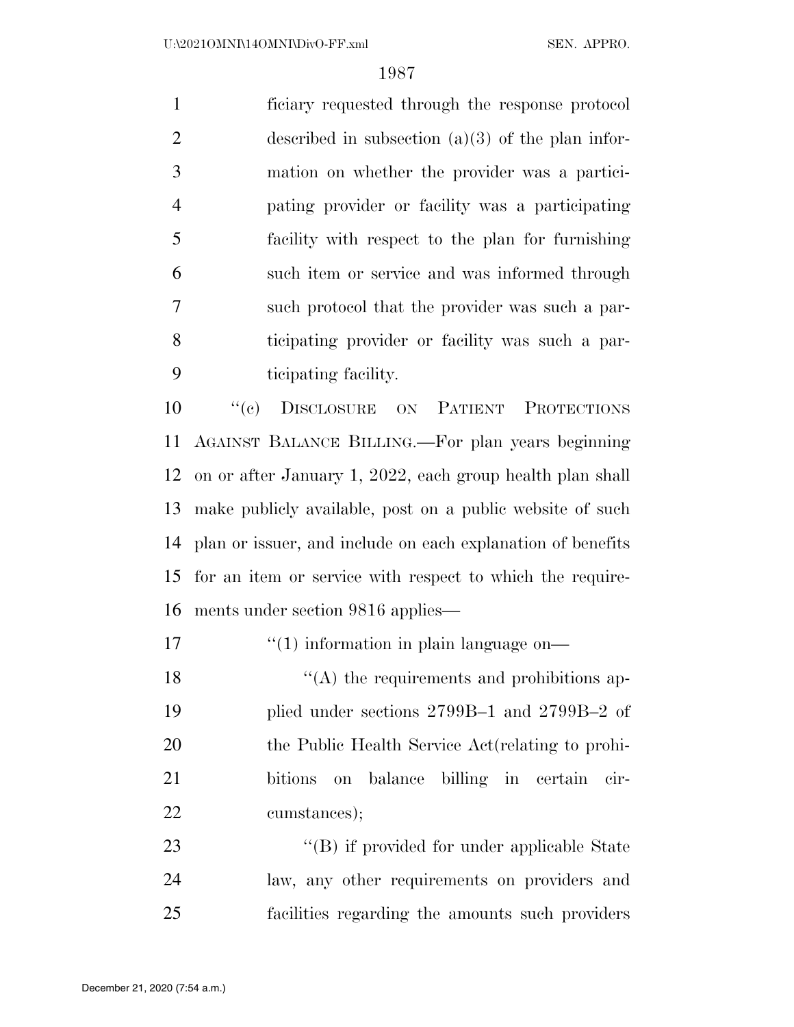ficiary requested through the response protocol 2 described in subsection  $(a)(3)$  of the plan infor- mation on whether the provider was a partici- pating provider or facility was a participating facility with respect to the plan for furnishing such item or service and was informed through such protocol that the provider was such a par- ticipating provider or facility was such a par-ticipating facility.

 ''(c) DISCLOSURE ON PATIENT PROTECTIONS AGAINST BALANCE BILLING.—For plan years beginning on or after January 1, 2022, each group health plan shall make publicly available, post on a public website of such plan or issuer, and include on each explanation of benefits for an item or service with respect to which the require-ments under section 9816 applies—

17  $\frac{1}{10}$  information in plain language on—

 $\mathcal{L}(\mathbf{A})$  the requirements and prohibitions ap- plied under sections 2799B–1 and 2799B–2 of the Public Health Service Act(relating to prohi- bitions on balance billing in certain cir-cumstances);

23 ''(B) if provided for under applicable State law, any other requirements on providers and facilities regarding the amounts such providers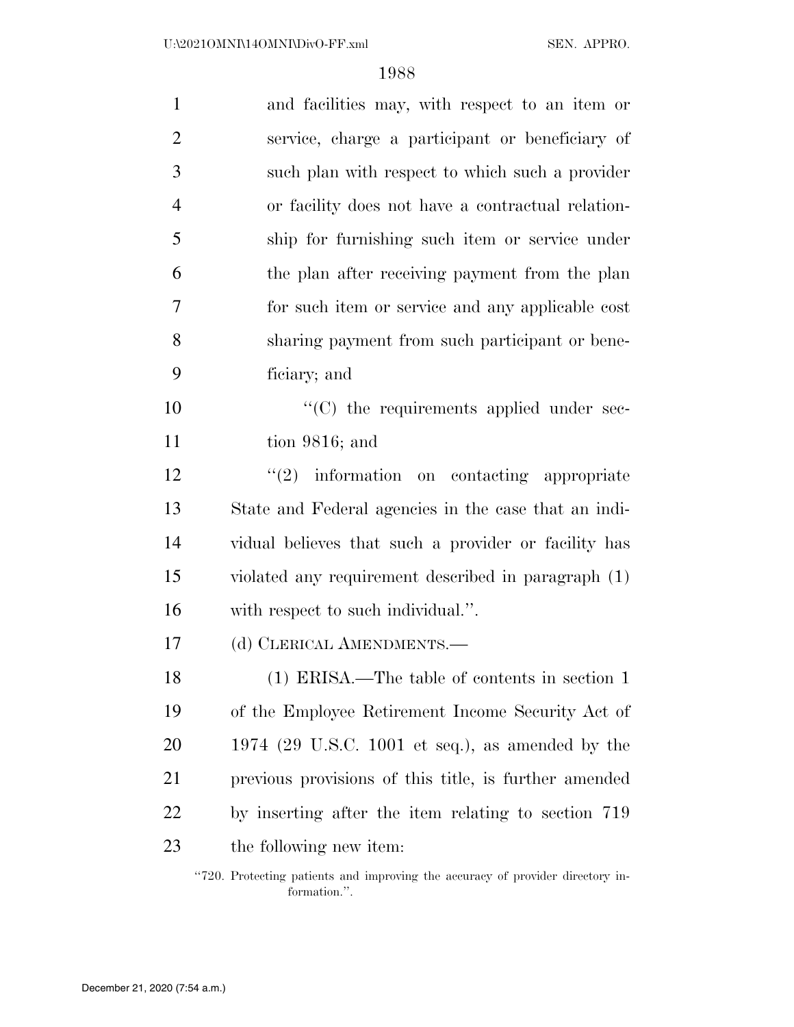| $\mathbf{1}$   | and facilities may, with respect to an item or        |
|----------------|-------------------------------------------------------|
| $\overline{2}$ | service, charge a participant or beneficiary of       |
| 3              | such plan with respect to which such a provider       |
| $\overline{4}$ | or facility does not have a contractual relation-     |
| 5              | ship for furnishing such item or service under        |
| 6              | the plan after receiving payment from the plan        |
| 7              | for such item or service and any applicable cost      |
| 8              | sharing payment from such participant or bene-        |
| 9              | ficiary; and                                          |
| 10             | "(C) the requirements applied under sec-              |
| 11             | tion $9816$ ; and                                     |
| 12             | $\lq(2)$ information on contacting appropriate        |
| 13             | State and Federal agencies in the case that an indi-  |
| 14             | vidual believes that such a provider or facility has  |
| 15             | violated any requirement described in paragraph (1)   |
| 16             | with respect to such individual.".                    |
| 17             | (d) CLERICAL AMENDMENTS.-                             |
| 18             | $(1)$ ERISA.—The table of contents in section 1       |
| 19             | of the Employee Retirement Income Security Act of     |
| 20             | $1974$ (29 U.S.C. 1001 et seq.), as amended by the    |
| 21             | previous provisions of this title, is further amended |
| 22             | by inserting after the item relating to section 719   |
| 23             | the following new item:                               |
|                |                                                       |

''720. Protecting patients and improving the accuracy of provider directory information.''.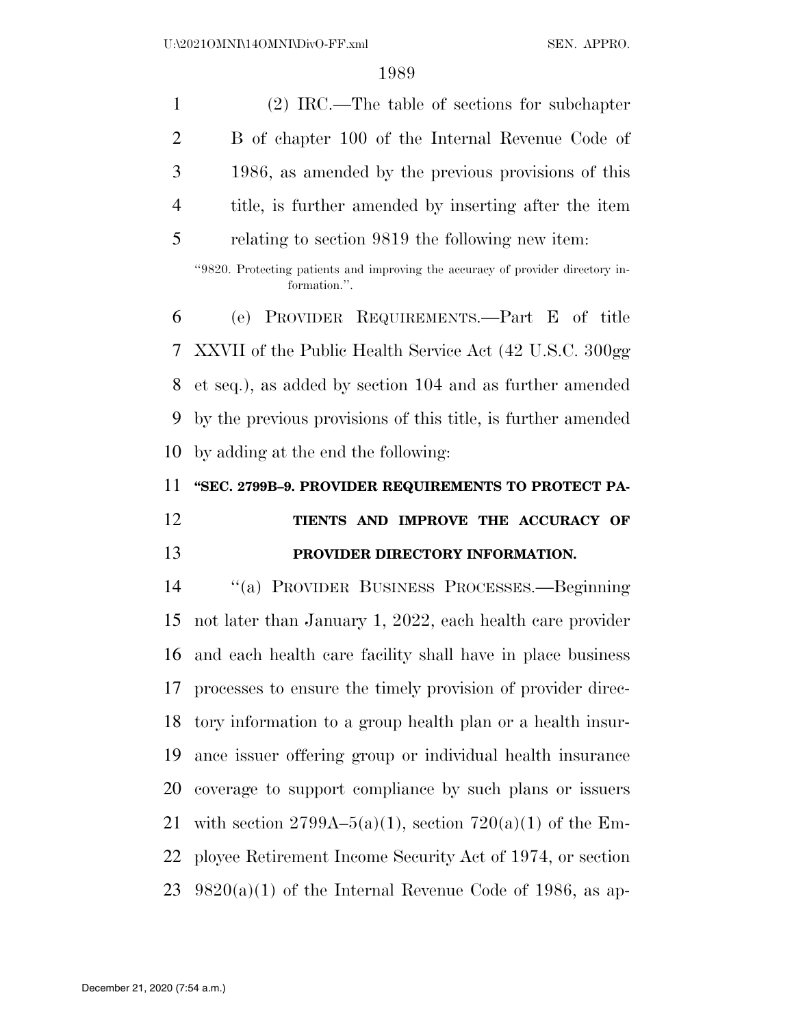| $\mathbf{1}$   | $(2)$ IRC.—The table of sections for subchapter                                                 |
|----------------|-------------------------------------------------------------------------------------------------|
| $\overline{2}$ | B of chapter 100 of the Internal Revenue Code of                                                |
| 3              | 1986, as amended by the previous provisions of this                                             |
| $\overline{4}$ | title, is further amended by inserting after the item                                           |
| 5              | relating to section 9819 the following new item:                                                |
|                | "9820. Protecting patients and improving the accuracy of provider directory in-<br>formation.". |
| 6              | (e) PROVIDER REQUIREMENTS.—Part E of title                                                      |
| 7              | XXVII of the Public Health Service Act (42 U.S.C. 300gg)                                        |
| 8              | et seq.), as added by section 104 and as further amended                                        |
| 9              | by the previous provisions of this title, is further amended                                    |
| 10             | by adding at the end the following:                                                             |
|                |                                                                                                 |
| 11             | "SEC. 2799B-9. PROVIDER REQUIREMENTS TO PROTECT PA-                                             |
|                | TIENTS AND IMPROVE THE ACCURACY OF                                                              |
| 12<br>13       | PROVIDER DIRECTORY INFORMATION.                                                                 |
| 14             | "(a) PROVIDER BUSINESS PROCESSES.—Beginning                                                     |
| 15             | not later than January 1, 2022, each health care provider                                       |
| 16             | and each health care facility shall have in place business                                      |
| 17             | processes to ensure the timely provision of provider direc-                                     |
| 18             | tory information to a group health plan or a health insur-                                      |
| 19             | ance issuer offering group or individual health insurance                                       |
| 20             | coverage to support compliance by such plans or issuers                                         |
| 21             | with section 2799A-5(a)(1), section 720(a)(1) of the Em-                                        |
| 22             | ployee Retirement Income Security Act of 1974, or section                                       |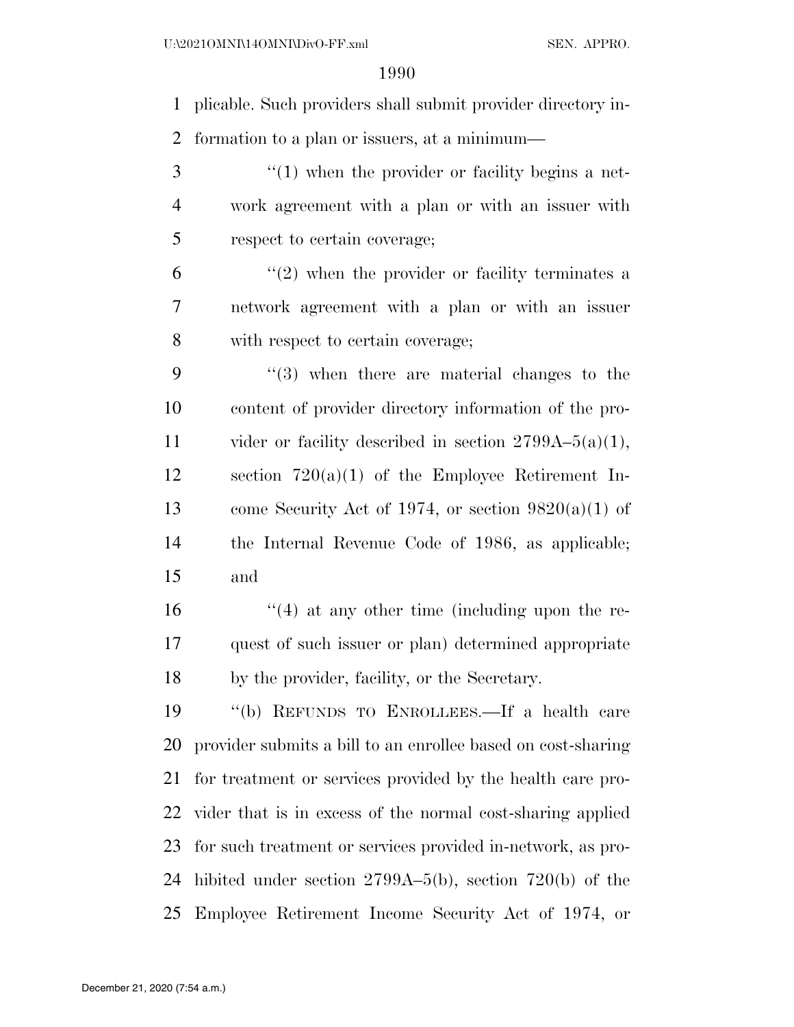plicable. Such providers shall submit provider directory in-formation to a plan or issuers, at a minimum—

3 (1) when the provider or facility begins a net- work agreement with a plan or with an issuer with respect to certain coverage;

 $(2)$  when the provider or facility terminates a network agreement with a plan or with an issuer with respect to certain coverage;

 ''(3) when there are material changes to the content of provider directory information of the pro-11 vider or facility described in section  $2799A-5(a)(1)$ , section 720(a)(1) of the Employee Retirement In-13 come Security Act of 1974, or section  $9820(a)(1)$  of the Internal Revenue Code of 1986, as applicable; and

 ''(4) at any other time (including upon the re- quest of such issuer or plan) determined appropriate by the provider, facility, or the Secretary.

 ''(b) REFUNDS TO ENROLLEES.—If a health care provider submits a bill to an enrollee based on cost-sharing for treatment or services provided by the health care pro- vider that is in excess of the normal cost-sharing applied for such treatment or services provided in-network, as pro- hibited under section 2799A–5(b), section 720(b) of the Employee Retirement Income Security Act of 1974, or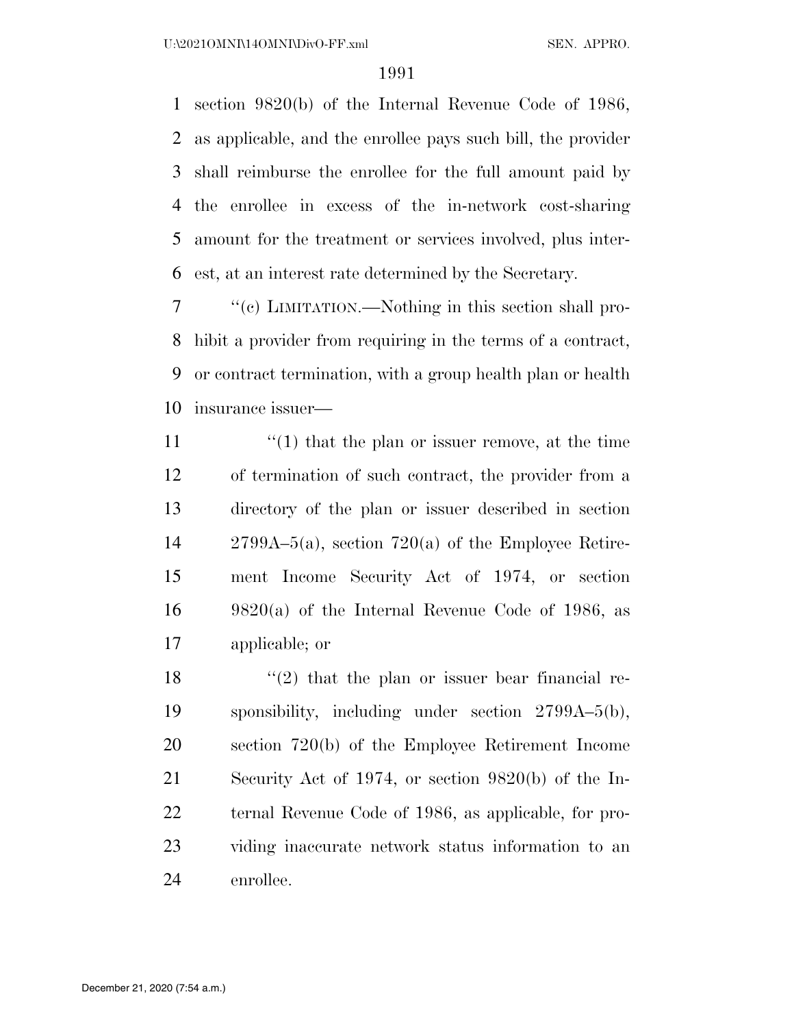section 9820(b) of the Internal Revenue Code of 1986, as applicable, and the enrollee pays such bill, the provider shall reimburse the enrollee for the full amount paid by the enrollee in excess of the in-network cost-sharing amount for the treatment or services involved, plus inter-est, at an interest rate determined by the Secretary.

 ''(c) LIMITATION.—Nothing in this section shall pro- hibit a provider from requiring in the terms of a contract, or contract termination, with a group health plan or health insurance issuer—

 $\langle (1)$  that the plan or issuer remove, at the time of termination of such contract, the provider from a directory of the plan or issuer described in section 2799A–5(a), section 720(a) of the Employee Retire- ment Income Security Act of 1974, or section  $16 \qquad 9820(a)$  of the Internal Revenue Code of 1986, as applicable; or

 $\frac{1}{2}$  that the plan or issuer bear financial re- sponsibility, including under section 2799A–5(b), section 720(b) of the Employee Retirement Income Security Act of 1974, or section 9820(b) of the In- ternal Revenue Code of 1986, as applicable, for pro- viding inaccurate network status information to an enrollee.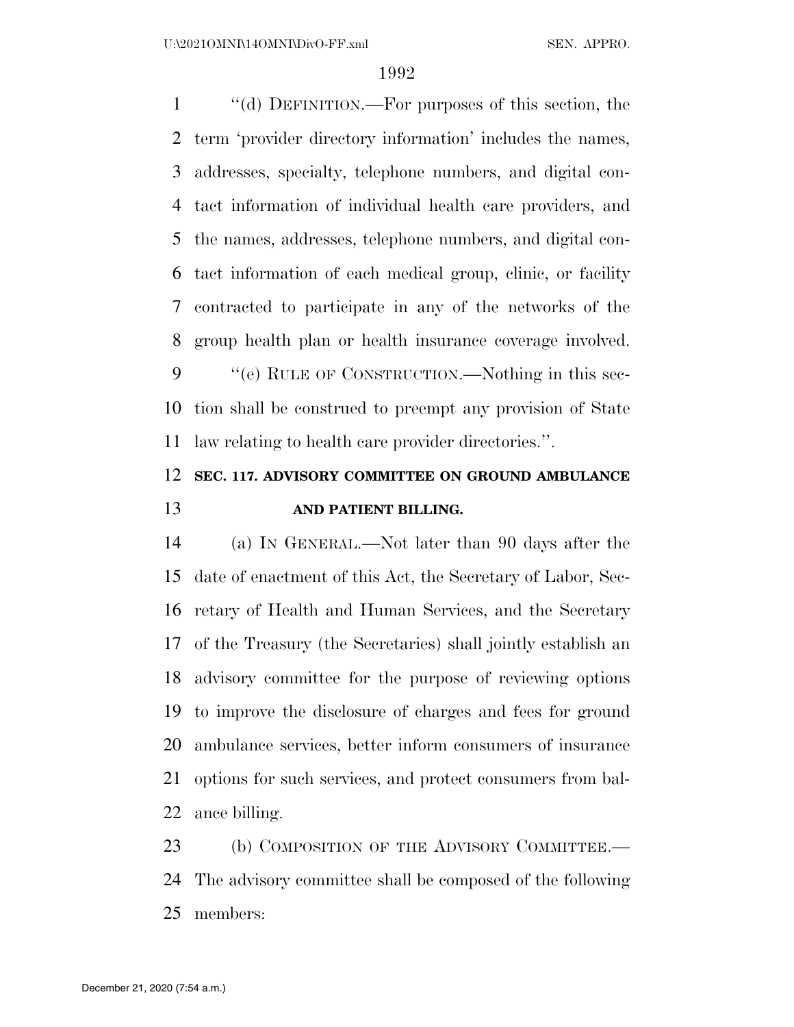''(d) DEFINITION.—For purposes of this section, the term 'provider directory information' includes the names, addresses, specialty, telephone numbers, and digital con- tact information of individual health care providers, and the names, addresses, telephone numbers, and digital con- tact information of each medical group, clinic, or facility contracted to participate in any of the networks of the group health plan or health insurance coverage involved.

 ''(e) RULE OF CONSTRUCTION.—Nothing in this sec- tion shall be construed to preempt any provision of State law relating to health care provider directories.''.

# **SEC. 117. ADVISORY COMMITTEE ON GROUND AMBULANCE AND PATIENT BILLING.**

 (a) IN GENERAL.—Not later than 90 days after the date of enactment of this Act, the Secretary of Labor, Sec- retary of Health and Human Services, and the Secretary of the Treasury (the Secretaries) shall jointly establish an advisory committee for the purpose of reviewing options to improve the disclosure of charges and fees for ground ambulance services, better inform consumers of insurance options for such services, and protect consumers from bal-ance billing.

23 (b) COMPOSITION OF THE ADVISORY COMMITTEE. The advisory committee shall be composed of the following members: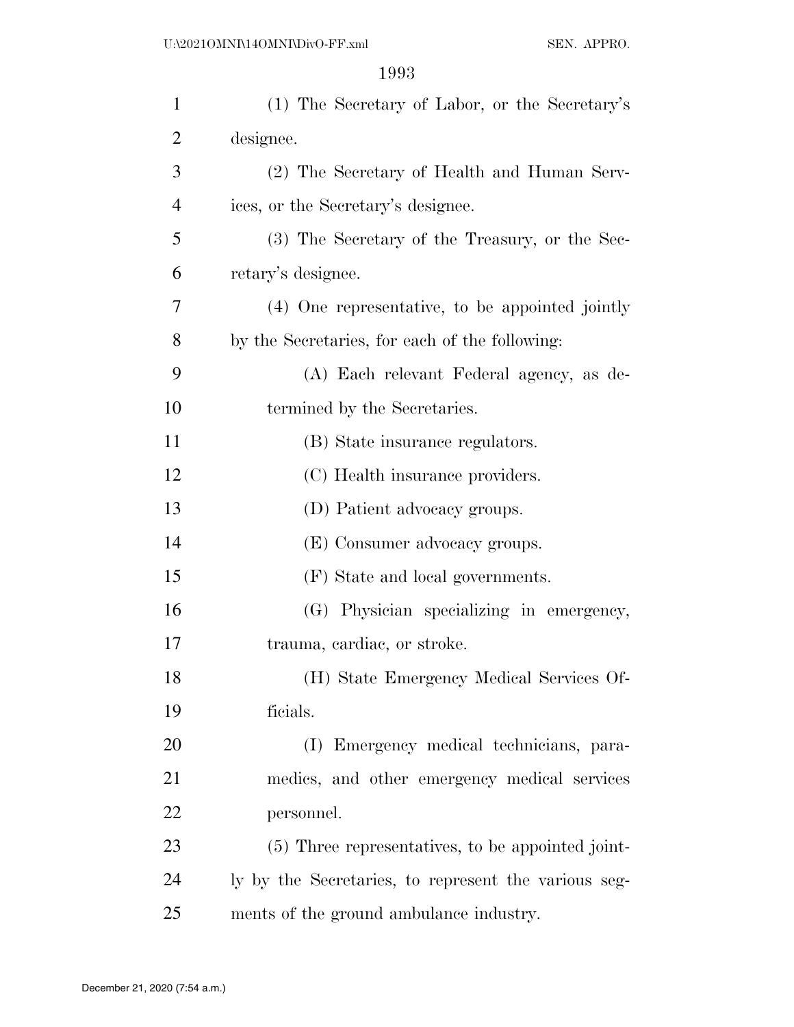| $\mathbf{1}$   | (1) The Secretary of Labor, or the Secretary's       |
|----------------|------------------------------------------------------|
| $\overline{2}$ | designee.                                            |
| 3              | (2) The Secretary of Health and Human Serv-          |
| $\overline{4}$ | ices, or the Secretary's designee.                   |
| 5              | (3) The Secretary of the Treasury, or the Sec-       |
| 6              | retary's designee.                                   |
| 7              | (4) One representative, to be appointed jointly      |
| 8              | by the Secretaries, for each of the following:       |
| 9              | (A) Each relevant Federal agency, as de-             |
| 10             | termined by the Secretaries.                         |
| 11             | (B) State insurance regulators.                      |
| 12             | (C) Health insurance providers.                      |
| 13             | (D) Patient advocacy groups.                         |
| 14             | (E) Consumer advocacy groups.                        |
| 15             | (F) State and local governments.                     |
| 16             | (G) Physician specializing in emergency,             |
| 17             | trauma, cardiac, or stroke.                          |
| 18             | (H) State Emergency Medical Services Of-             |
| 19             | ficials.                                             |
| 20             | (I) Emergency medical technicians, para-             |
| 21             | medics, and other emergency medical services         |
| 22             | personnel.                                           |
| 23             | (5) Three representatives, to be appointed joint-    |
| 24             | ly by the Secretaries, to represent the various seg- |
| 25             | ments of the ground ambulance industry.              |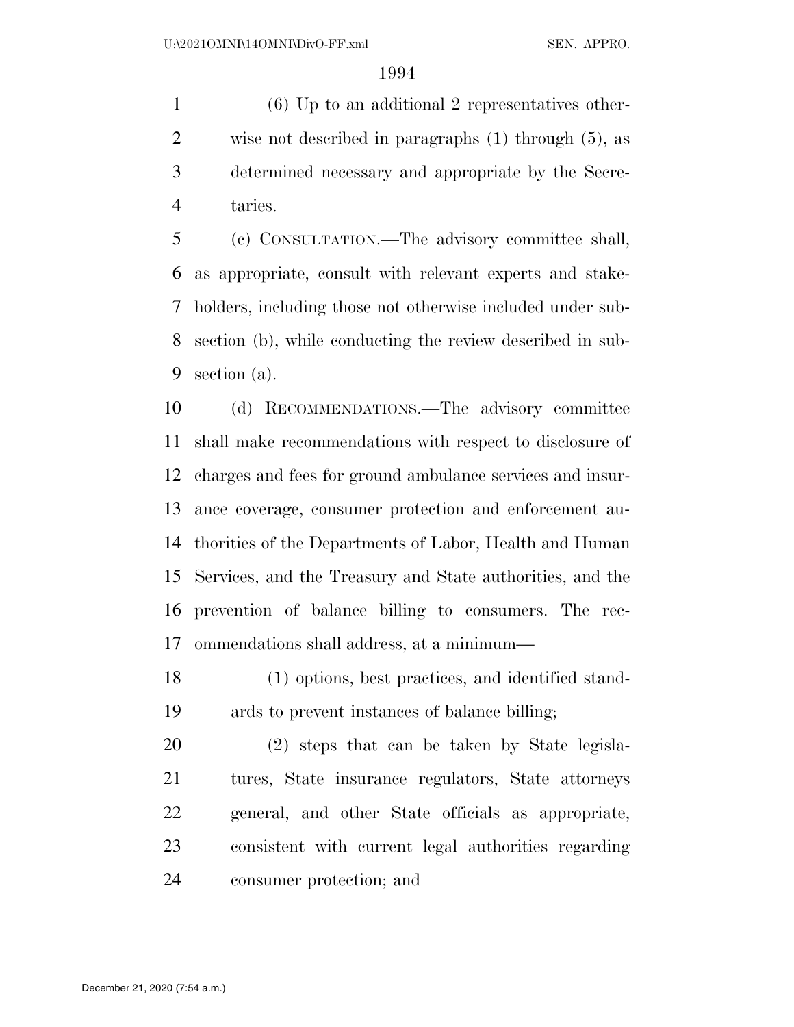(6) Up to an additional 2 representatives other- wise not described in paragraphs (1) through (5), as determined necessary and appropriate by the Secre-taries.

 (c) CONSULTATION.—The advisory committee shall, as appropriate, consult with relevant experts and stake- holders, including those not otherwise included under sub- section (b), while conducting the review described in sub-section (a).

 (d) RECOMMENDATIONS.—The advisory committee shall make recommendations with respect to disclosure of charges and fees for ground ambulance services and insur- ance coverage, consumer protection and enforcement au- thorities of the Departments of Labor, Health and Human Services, and the Treasury and State authorities, and the prevention of balance billing to consumers. The rec-ommendations shall address, at a minimum—

 (1) options, best practices, and identified stand-ards to prevent instances of balance billing;

 (2) steps that can be taken by State legisla- tures, State insurance regulators, State attorneys general, and other State officials as appropriate, consistent with current legal authorities regarding consumer protection; and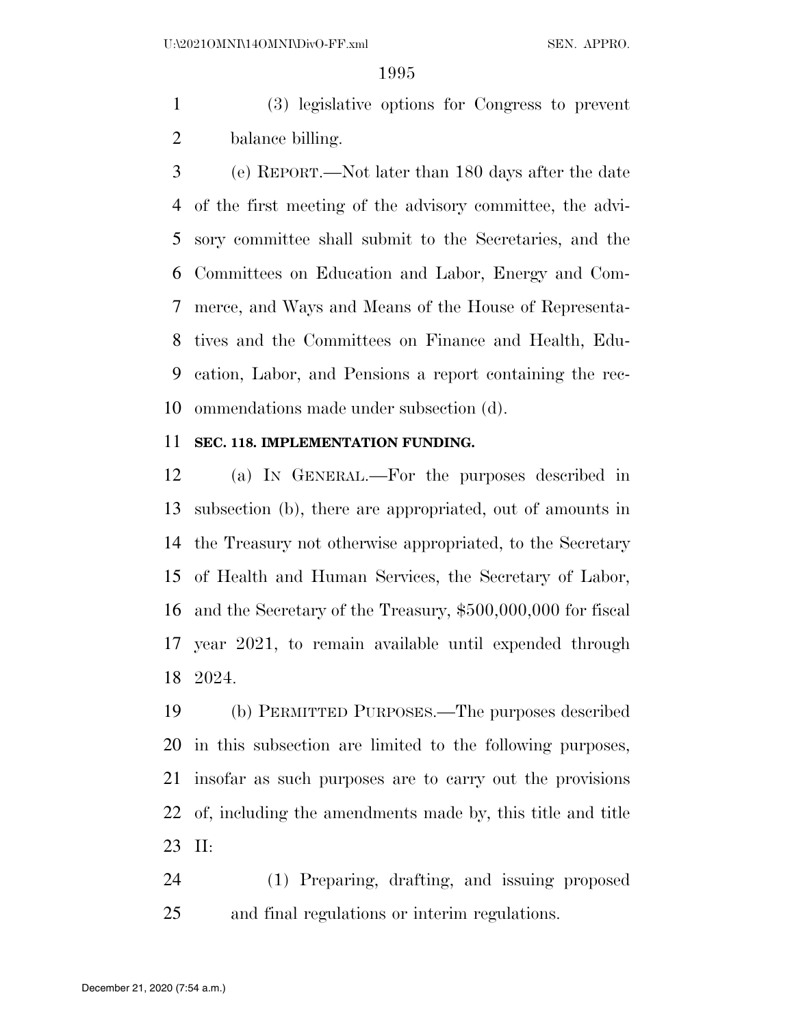(3) legislative options for Congress to prevent balance billing.

 (e) REPORT.—Not later than 180 days after the date of the first meeting of the advisory committee, the advi- sory committee shall submit to the Secretaries, and the Committees on Education and Labor, Energy and Com- merce, and Ways and Means of the House of Representa- tives and the Committees on Finance and Health, Edu- cation, Labor, and Pensions a report containing the rec-ommendations made under subsection (d).

# **SEC. 118. IMPLEMENTATION FUNDING.**

 (a) IN GENERAL.—For the purposes described in subsection (b), there are appropriated, out of amounts in the Treasury not otherwise appropriated, to the Secretary of Health and Human Services, the Secretary of Labor, and the Secretary of the Treasury, \$500,000,000 for fiscal year 2021, to remain available until expended through 2024.

 (b) PERMITTED PURPOSES.—The purposes described in this subsection are limited to the following purposes, insofar as such purposes are to carry out the provisions of, including the amendments made by, this title and title II:

 (1) Preparing, drafting, and issuing proposed and final regulations or interim regulations.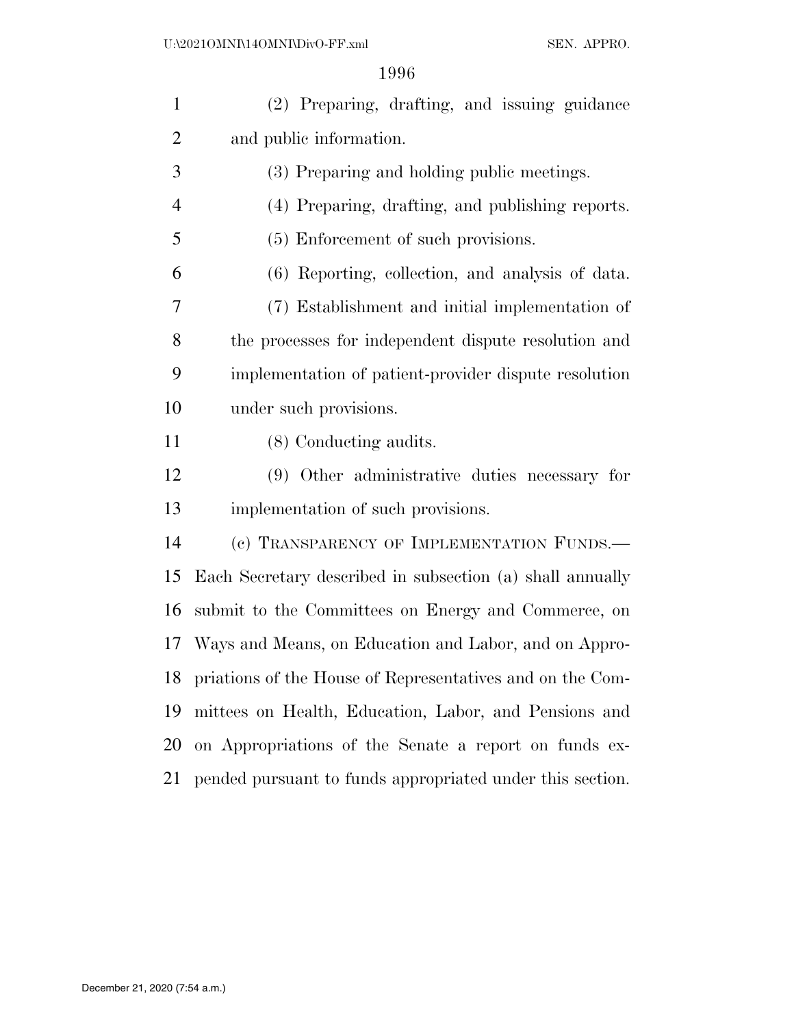| $\mathbf{1}$   | (2) Preparing, drafting, and issuing guidance                |  |
|----------------|--------------------------------------------------------------|--|
| $\overline{2}$ | and public information.                                      |  |
| 3              | (3) Preparing and holding public meetings.                   |  |
| $\overline{4}$ | (4) Preparing, drafting, and publishing reports.             |  |
| 5              | (5) Enforcement of such provisions.                          |  |
| 6              | (6) Reporting, collection, and analysis of data.             |  |
| 7              | (7) Establishment and initial implementation of              |  |
| 8              | the processes for independent dispute resolution and         |  |
| 9              | implementation of patient-provider dispute resolution        |  |
| 10             | under such provisions.                                       |  |
| 11             | (8) Conducting audits.                                       |  |
| 12             | (9) Other administrative duties necessary for                |  |
| 13             | implementation of such provisions.                           |  |
| 14             | (c) TRANSPARENCY OF IMPLEMENTATION FUNDS.—                   |  |
| 15             | Each Secretary described in subsection (a) shall annually    |  |
| 16             | submit to the Committees on Energy and Commerce, on          |  |
|                | 17 Ways and Means, on Education and Labor, and on Appro-     |  |
|                | 18 priations of the House of Representatives and on the Com- |  |
| 19             | mittees on Health, Education, Labor, and Pensions and        |  |
| 20             | on Appropriations of the Senate a report on funds ex-        |  |
| 21             | pended pursuant to funds appropriated under this section.    |  |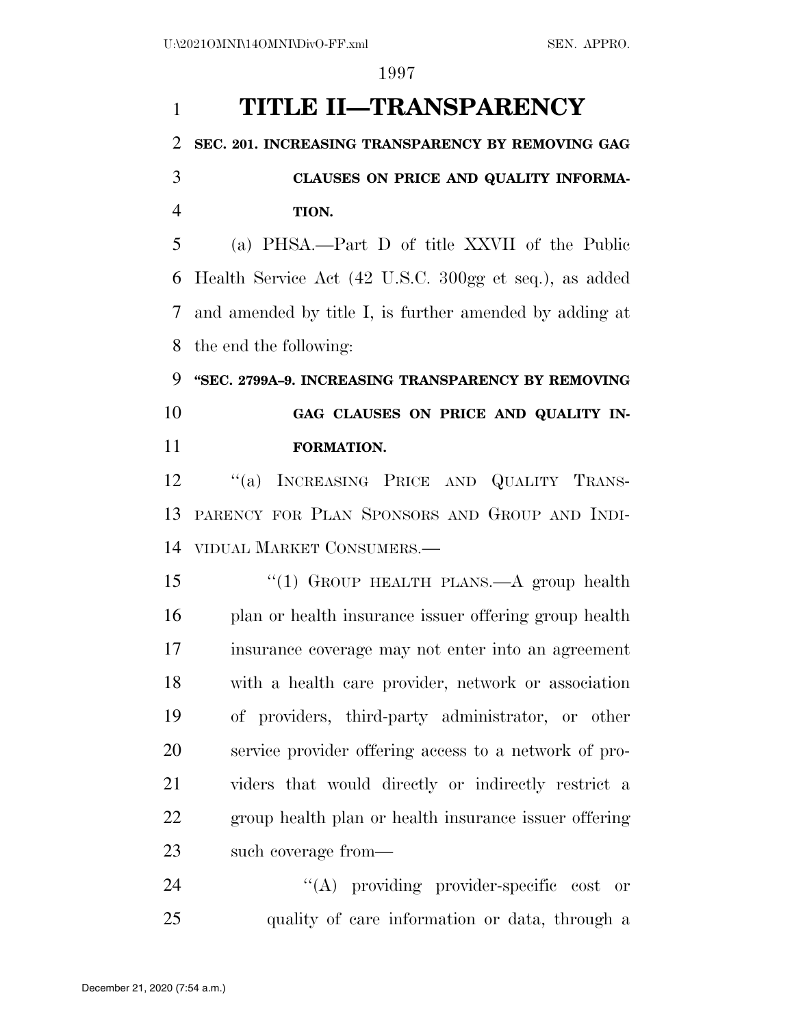# **TITLE II—TRANSPARENCY SEC. 201. INCREASING TRANSPARENCY BY REMOVING GAG CLAUSES ON PRICE AND QUALITY INFORMA- TION.**  (a) PHSA.—Part D of title XXVII of the Public Health Service Act (42 U.S.C. 300gg et seq.), as added and amended by title I, is further amended by adding at the end the following: **''SEC. 2799A–9. INCREASING TRANSPARENCY BY REMOVING GAG CLAUSES ON PRICE AND QUALITY IN- FORMATION.**  ''(a) INCREASING PRICE AND QUALITY TRANS- PARENCY FOR PLAN SPONSORS AND GROUP AND INDI- VIDUAL MARKET CONSUMERS.— ''(1) GROUP HEALTH PLANS.—A group health plan or health insurance issuer offering group health insurance coverage may not enter into an agreement with a health care provider, network or association of providers, third-party administrator, or other service provider offering access to a network of pro- viders that would directly or indirectly restrict a group health plan or health insurance issuer offering such coverage from— 24  $\langle (A)$  providing provider-specific cost or

quality of care information or data, through a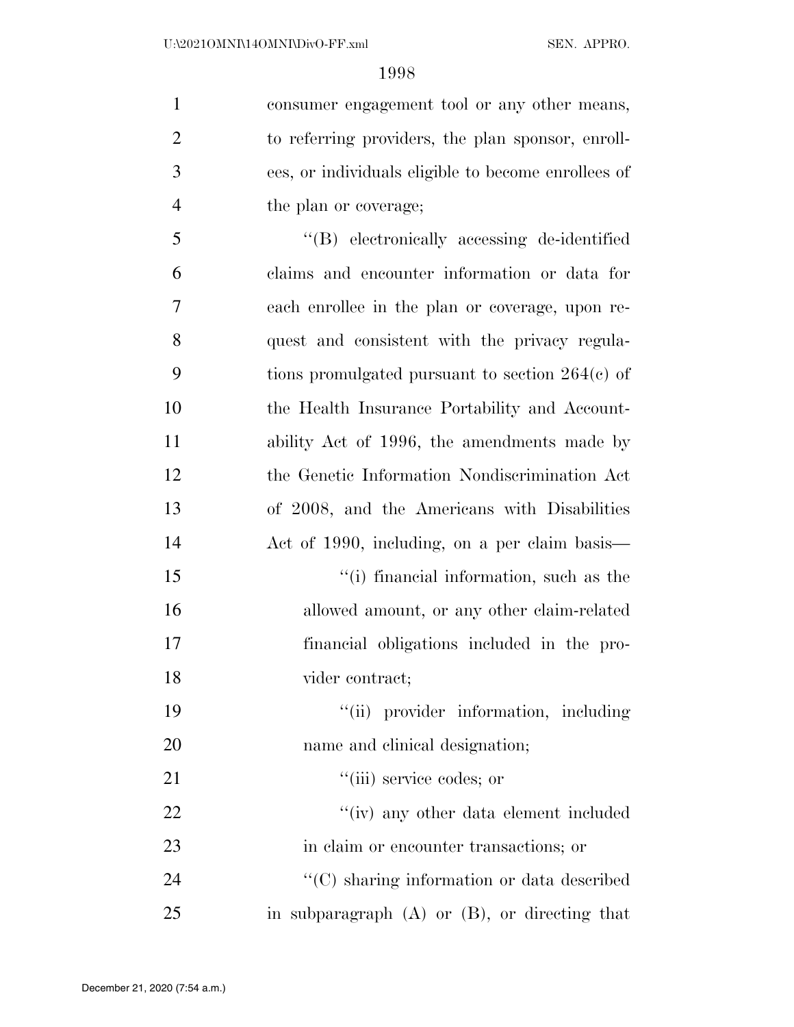consumer engagement tool or any other means, to referring providers, the plan sponsor, enroll- ees, or individuals eligible to become enrollees of the plan or coverage;

 ''(B) electronically accessing de-identified claims and encounter information or data for each enrollee in the plan or coverage, upon re- quest and consistent with the privacy regula- tions promulgated pursuant to section 264(c) of the Health Insurance Portability and Account- ability Act of 1996, the amendments made by the Genetic Information Nondiscrimination Act of 2008, and the Americans with Disabilities Act of 1990, including, on a per claim basis— ''(i) financial information, such as the allowed amount, or any other claim-related financial obligations included in the pro- vider contract;  $"$ (ii) provider information, including name and clinical designation;  $\frac{1}{\sin}$  service codes; or

22 ''(iv) any other data element included in claim or encounter transactions; or ''(C) sharing information or data described in subparagraph (A) or (B), or directing that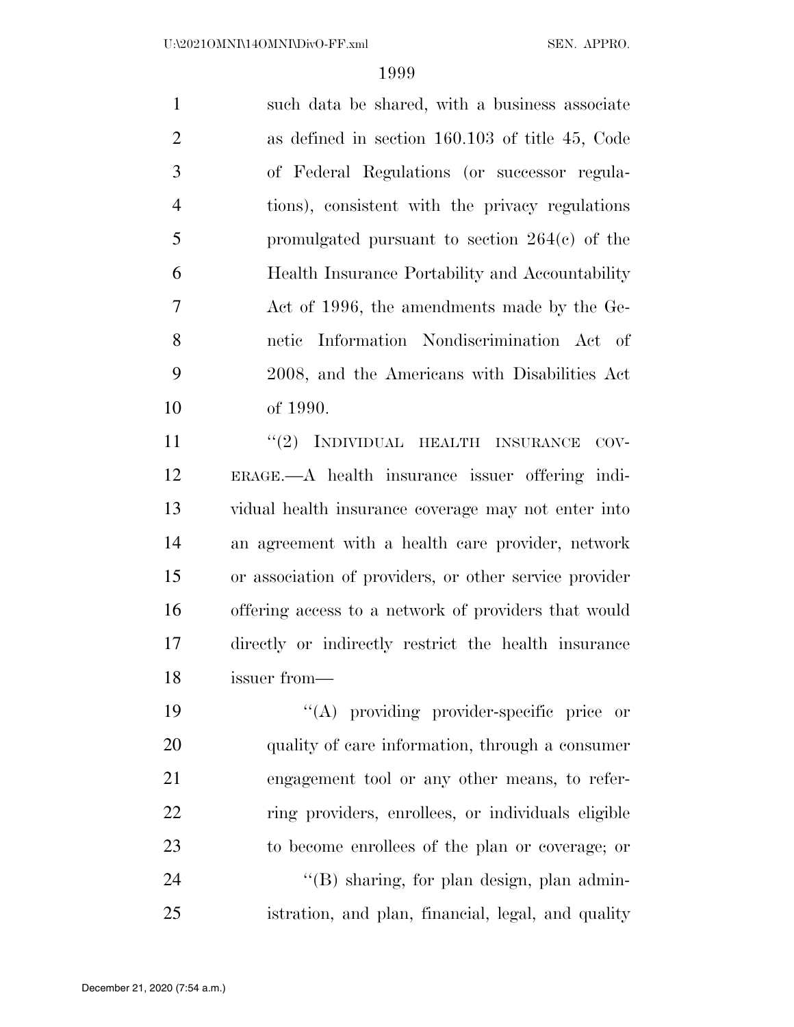such data be shared, with a business associate as defined in section 160.103 of title 45, Code of Federal Regulations (or successor regula- tions), consistent with the privacy regulations promulgated pursuant to section 264(c) of the Health Insurance Portability and Accountability Act of 1996, the amendments made by the Ge- netic Information Nondiscrimination Act of 2008, and the Americans with Disabilities Act of 1990.

11 "(2) INDIVIDUAL HEALTH INSURANCE COV- ERAGE.—A health insurance issuer offering indi- vidual health insurance coverage may not enter into an agreement with a health care provider, network or association of providers, or other service provider offering access to a network of providers that would directly or indirectly restrict the health insurance issuer from—

 ''(A) providing provider-specific price or quality of care information, through a consumer engagement tool or any other means, to refer- ring providers, enrollees, or individuals eligible to become enrollees of the plan or coverage; or 24 "(B) sharing, for plan design, plan admin-istration, and plan, financial, legal, and quality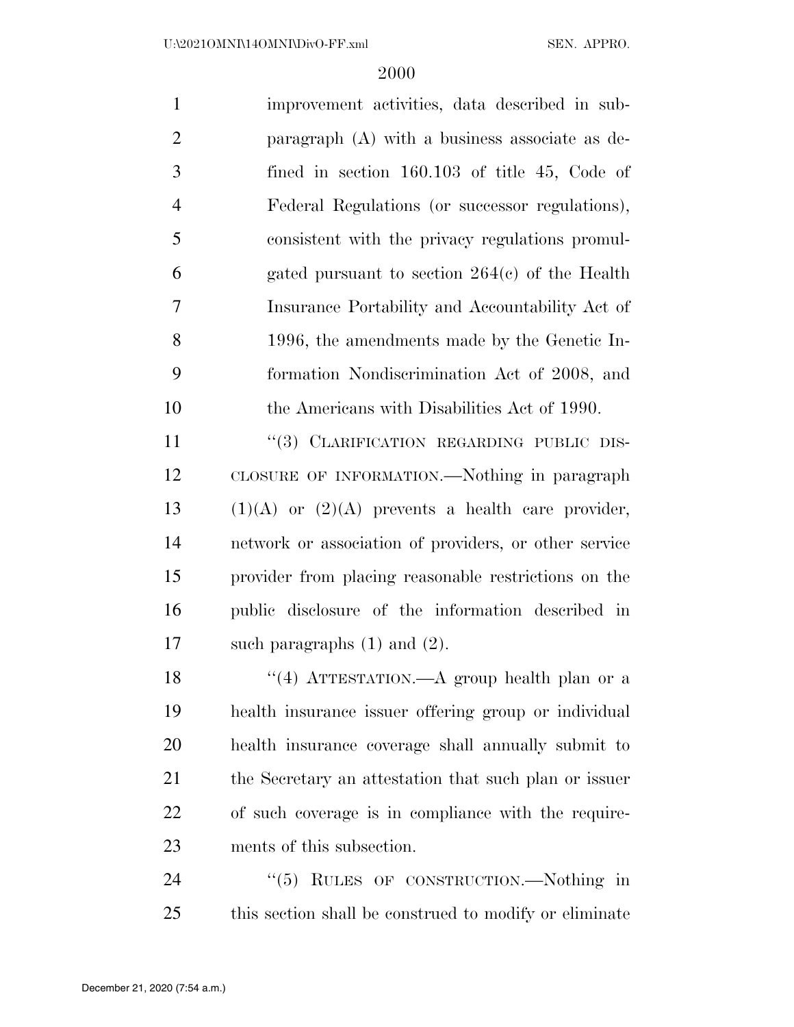| $\mathbf{1}$   | improvement activities, data described in sub-   |
|----------------|--------------------------------------------------|
| 2              | paragraph $(A)$ with a business associate as de- |
| 3              | fined in section $160.103$ of title 45, Code of  |
| $\overline{4}$ | Federal Regulations (or successor regulations),  |
| 5              | consistent with the privacy regulations promul-  |
| 6              | gated pursuant to section $264(c)$ of the Health |
| $\overline{7}$ | Insurance Portability and Accountability Act of  |
| 8              | 1996, the amendments made by the Genetic In-     |
| 9              | formation Nondiscrimination Act of 2008, and     |
| 10             | the Americans with Disabilities Act of 1990.     |
| 11             | "(3) CLARIFICATION REGARDING PUBLIC DIS-         |

 CLOSURE OF INFORMATION.—Nothing in paragraph  $(1)(A)$  or  $(2)(A)$  prevents a health care provider, network or association of providers, or other service provider from placing reasonable restrictions on the public disclosure of the information described in such paragraphs (1) and (2).

18 ''(4) ATTESTATION.—A group health plan or a health insurance issuer offering group or individual health insurance coverage shall annually submit to the Secretary an attestation that such plan or issuer of such coverage is in compliance with the require-ments of this subsection.

24 "(5) RULES OF CONSTRUCTION.—Nothing in this section shall be construed to modify or eliminate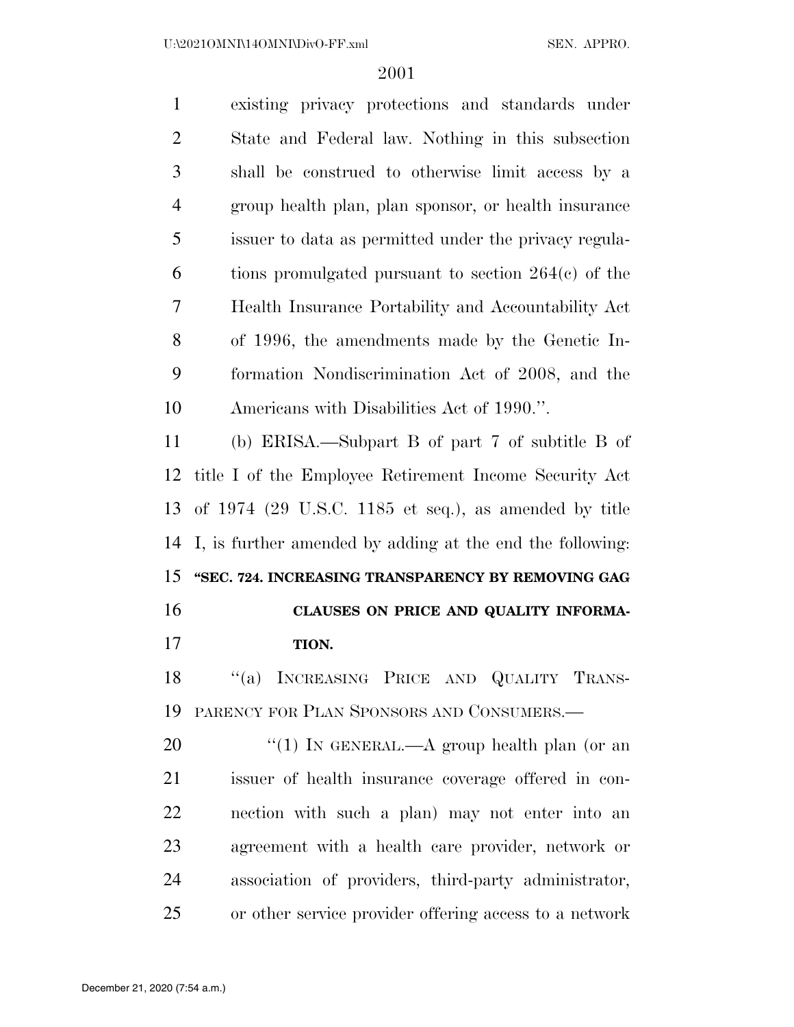| $\mathbf{1}$   | existing privacy protections and standards under          |
|----------------|-----------------------------------------------------------|
| $\overline{2}$ | State and Federal law. Nothing in this subsection         |
| 3              | shall be construed to otherwise limit access by a         |
| $\overline{4}$ | group health plan, plan sponsor, or health insurance      |
| 5              | issuer to data as permitted under the privacy regula-     |
| 6              | tions promulgated pursuant to section $264(c)$ of the     |
| 7              | Health Insurance Portability and Accountability Act       |
| 8              | of 1996, the amendments made by the Genetic In-           |
| 9              | formation Nondiscrimination Act of 2008, and the          |
| 10             | Americans with Disabilities Act of 1990.".                |
| 11             | (b) ERISA.—Subpart B of part 7 of subtitle B of           |
| 12             | title I of the Employee Retirement Income Security Act    |
| 13             | of 1974 (29 U.S.C. 1185 et seq.), as amended by title     |
|                |                                                           |
| 14             | I, is further amended by adding at the end the following: |
| 15             | "SEC. 724. INCREASING TRANSPARENCY BY REMOVING GAG        |
| 16             | CLAUSES ON PRICE AND QUALITY INFORMA-                     |
| 17             | TION.                                                     |
| 18             | "(a) INCREASING PRICE AND QUALITY TRANS-                  |
| 19             | PARENCY FOR PLAN SPONSORS AND CONSUMERS.                  |
| 20             | "(1) IN GENERAL.—A group health plan (or an               |
| 21             | issuer of health insurance coverage offered in con-       |
| 22             | nection with such a plan) may not enter into an           |
| 23             | agreement with a health care provider, network or         |
| 24             | association of providers, third-party administrator,      |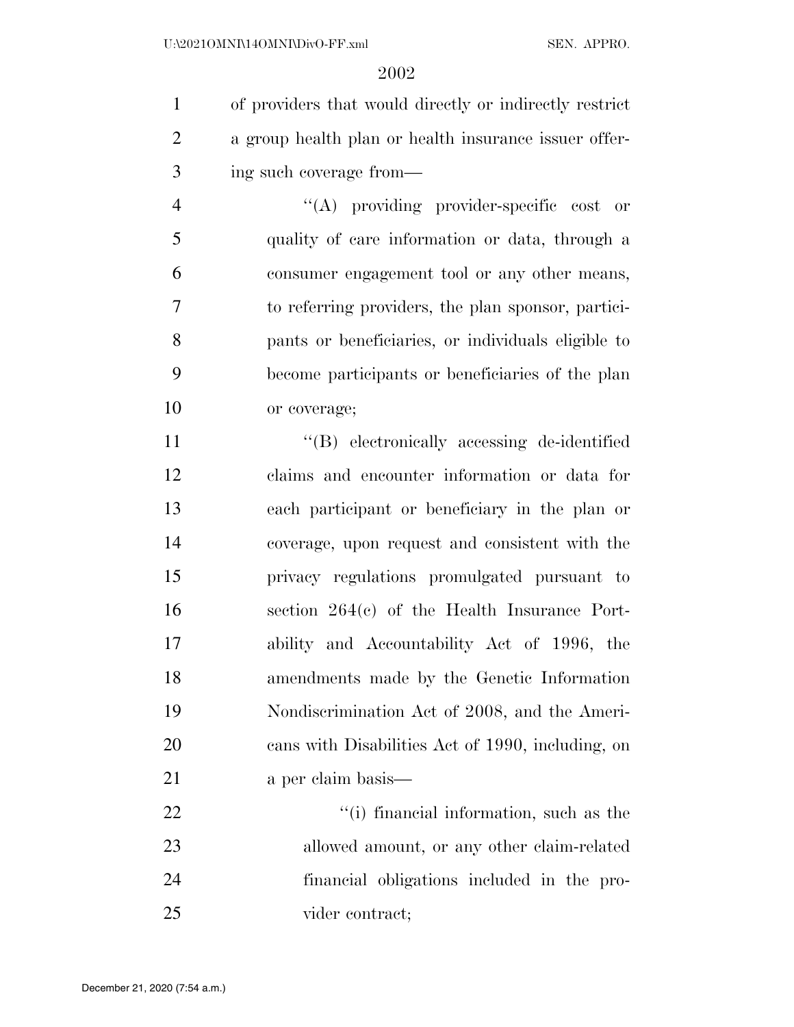of providers that would directly or indirectly restrict a group health plan or health insurance issuer offer-ing such coverage from—

 ''(A) providing provider-specific cost or quality of care information or data, through a consumer engagement tool or any other means, to referring providers, the plan sponsor, partici- pants or beneficiaries, or individuals eligible to become participants or beneficiaries of the plan or coverage;

 ''(B) electronically accessing de-identified claims and encounter information or data for each participant or beneficiary in the plan or coverage, upon request and consistent with the privacy regulations promulgated pursuant to section 264(c) of the Health Insurance Port- ability and Accountability Act of 1996, the amendments made by the Genetic Information Nondiscrimination Act of 2008, and the Ameri- cans with Disabilities Act of 1990, including, on 21 a per claim basis—

 $\frac{1}{2}$   $\frac{1}{2}$   $\frac{1}{2}$  financial information, such as the allowed amount, or any other claim-related financial obligations included in the pro-vider contract;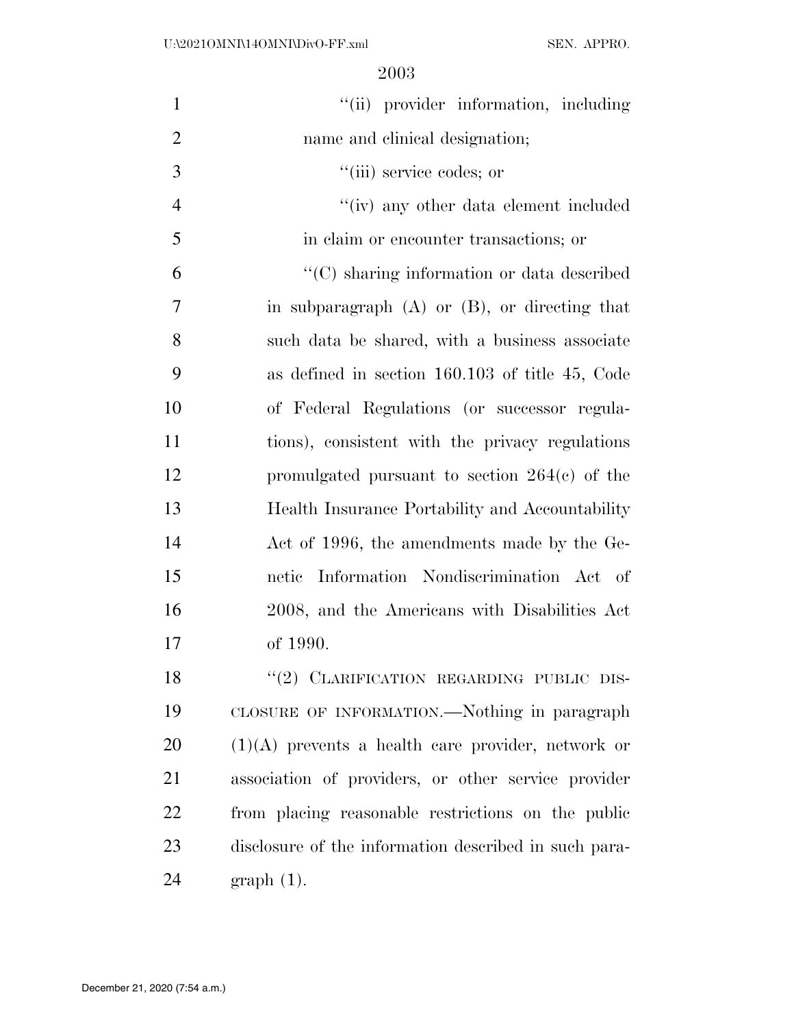| $\mathbf{1}$   | "(ii) provider information, including                 |
|----------------|-------------------------------------------------------|
| $\overline{2}$ | name and clinical designation;                        |
| 3              | "(iii) service codes; or                              |
| $\overline{4}$ | "(iv) any other data element included                 |
| 5              | in claim or encounter transactions; or                |
| 6              | "(C) sharing information or data described            |
| 7              | in subparagraph $(A)$ or $(B)$ , or directing that    |
| 8              | such data be shared, with a business associate        |
| 9              | as defined in section $160.103$ of title 45, Code     |
| 10             | of Federal Regulations (or successor regula-          |
| 11             | tions), consistent with the privacy regulations       |
| 12             | promulgated pursuant to section $264(e)$ of the       |
| 13             | Health Insurance Portability and Accountability       |
| 14             | Act of 1996, the amendments made by the Ge-           |
| 15             | netic Information Nondiscrimination Act of            |
| 16             | 2008, and the Americans with Disabilities Act         |
| 17             | of 1990.                                              |
| 18             | "(2) CLARIFICATION REGARDING PUBLIC DIS-              |
| 19             | CLOSURE OF INFORMATION.—Nothing in paragraph          |
| <b>20</b>      | $(1)(A)$ prevents a health care provider, network or  |
| 21             | association of providers, or other service provider   |
| 22             | from placing reasonable restrictions on the public    |
| 23             | disclosure of the information described in such para- |
| 24             | $graph(1)$ .                                          |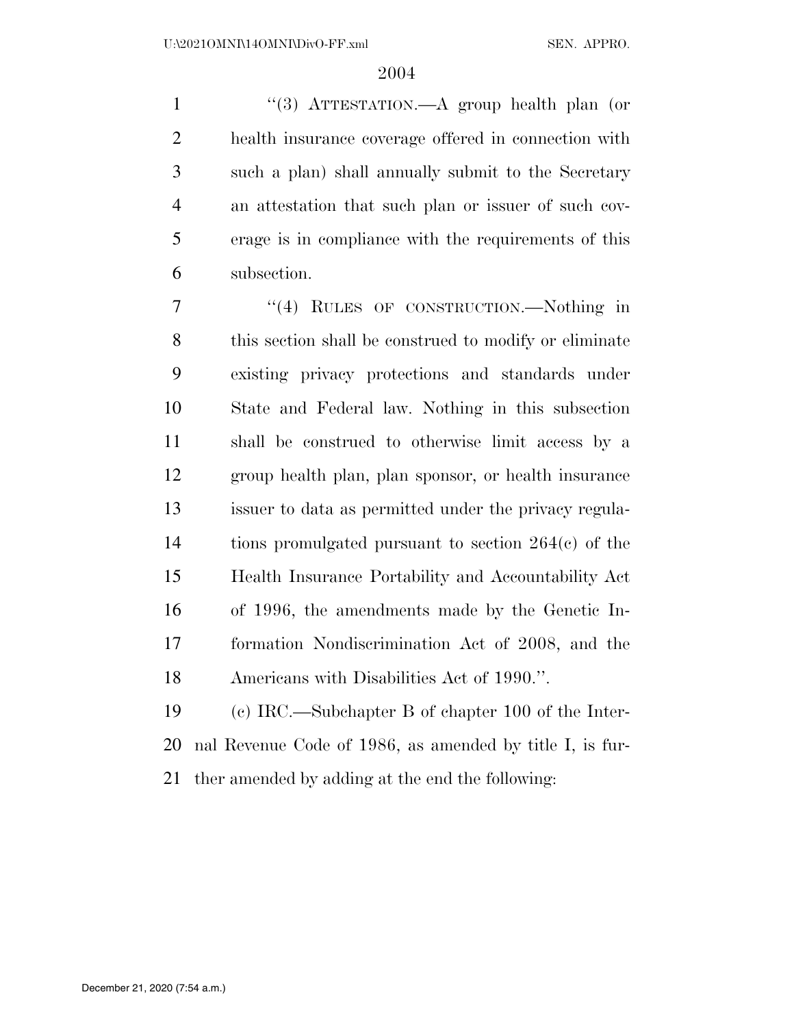''(3) ATTESTATION.—A group health plan (or health insurance coverage offered in connection with such a plan) shall annually submit to the Secretary an attestation that such plan or issuer of such cov- erage is in compliance with the requirements of this subsection.

 ''(4) RULES OF CONSTRUCTION.—Nothing in this section shall be construed to modify or eliminate existing privacy protections and standards under State and Federal law. Nothing in this subsection shall be construed to otherwise limit access by a group health plan, plan sponsor, or health insurance issuer to data as permitted under the privacy regula- tions promulgated pursuant to section 264(c) of the Health Insurance Portability and Accountability Act of 1996, the amendments made by the Genetic In- formation Nondiscrimination Act of 2008, and the Americans with Disabilities Act of 1990.''.

 (c) IRC.—Subchapter B of chapter 100 of the Inter- nal Revenue Code of 1986, as amended by title I, is fur-ther amended by adding at the end the following: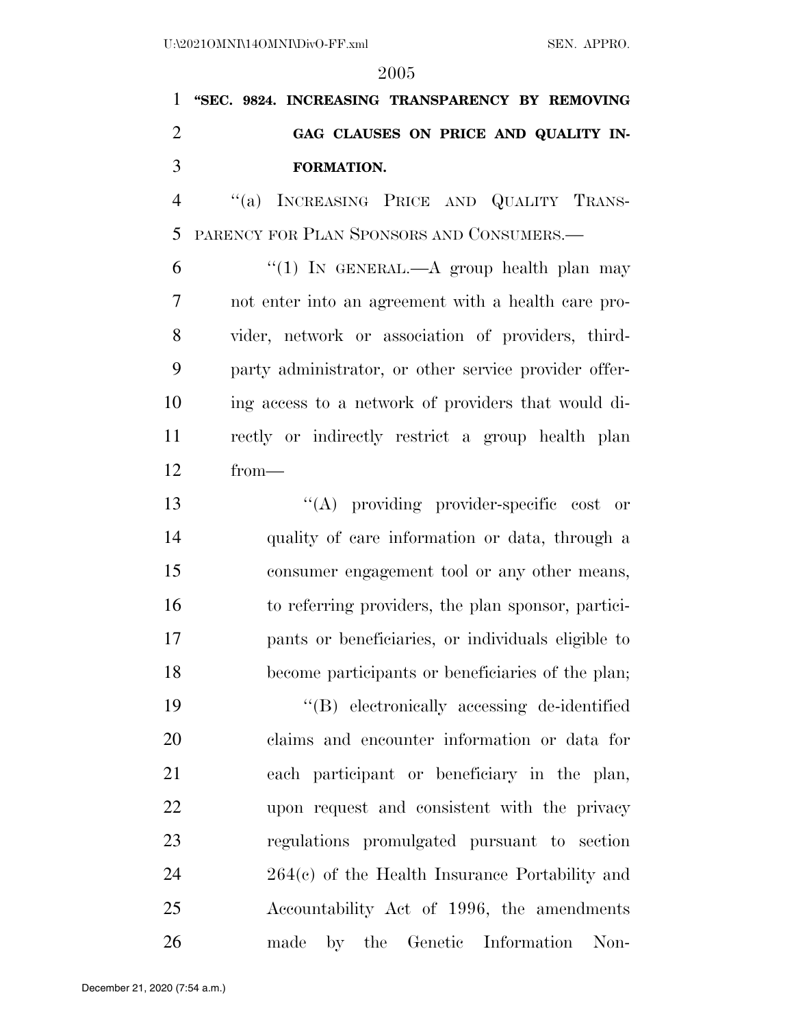**''SEC. 9824. INCREASING TRANSPARENCY BY REMOVING GAG CLAUSES ON PRICE AND QUALITY IN-FORMATION.** 

 ''(a) INCREASING PRICE AND QUALITY TRANS-PARENCY FOR PLAN SPONSORS AND CONSUMERS.—

6 "(1) IN GENERAL.—A group health plan may not enter into an agreement with a health care pro- vider, network or association of providers, third- party administrator, or other service provider offer- ing access to a network of providers that would di- rectly or indirectly restrict a group health plan from—

 $\langle (A)$  providing provider-specific cost or quality of care information or data, through a consumer engagement tool or any other means, to referring providers, the plan sponsor, partici- pants or beneficiaries, or individuals eligible to become participants or beneficiaries of the plan;

 ''(B) electronically accessing de-identified claims and encounter information or data for each participant or beneficiary in the plan, upon request and consistent with the privacy regulations promulgated pursuant to section 264(c) of the Health Insurance Portability and Accountability Act of 1996, the amendments made by the Genetic Information Non-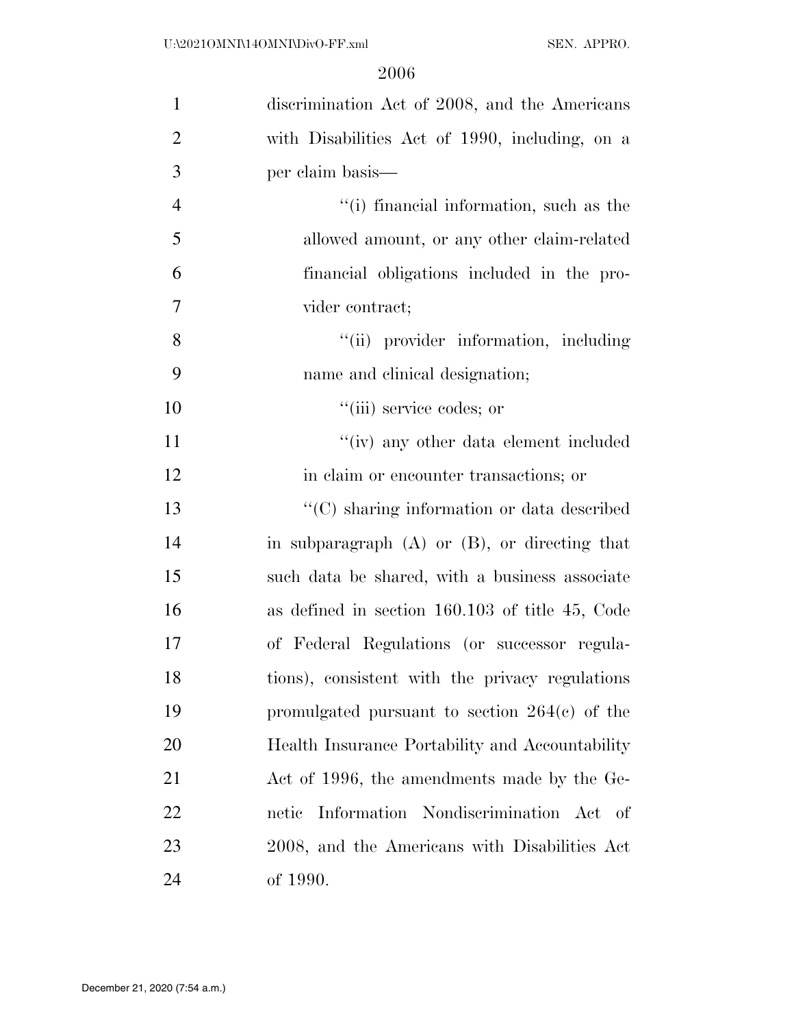| $\mathbf{1}$   | discrimination Act of 2008, and the Americans      |
|----------------|----------------------------------------------------|
| $\overline{2}$ | with Disabilities Act of 1990, including, on a     |
| 3              | per claim basis—                                   |
| $\overline{4}$ | "(i) financial information, such as the            |
| 5              | allowed amount, or any other claim-related         |
| 6              | financial obligations included in the pro-         |
| 7              | vider contract;                                    |
| 8              | "(ii) provider information, including              |
| 9              | name and clinical designation;                     |
| 10             | "(iii) service codes; or                           |
| 11             | "(iv) any other data element included              |
| 12             | in claim or encounter transactions; or             |
| 13             | "(C) sharing information or data described         |
| 14             | in subparagraph $(A)$ or $(B)$ , or directing that |
| 15             | such data be shared, with a business associate     |
| 16             | as defined in section 160.103 of title 45, Code    |
| 17             | of Federal Regulations (or successor regula-       |
| 18             | tions), consistent with the privacy regulations    |
| 19             | promulgated pursuant to section $264(c)$ of the    |
| 20             | Health Insurance Portability and Accountability    |
| 21             | Act of 1996, the amendments made by the Ge-        |
| 22             | Information Nondiscrimination Act of<br>netic      |
| 23             | 2008, and the Americans with Disabilities Act      |
| 24             | of 1990.                                           |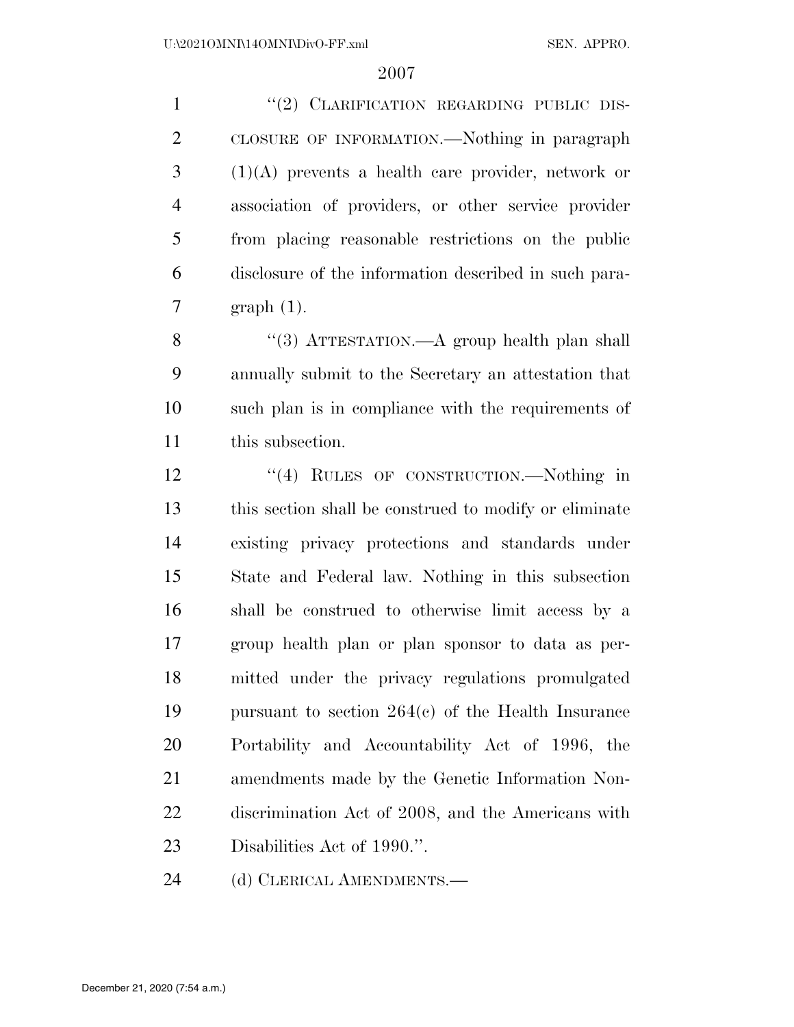1 "(2) CLARIFICATION REGARDING PUBLIC DIS- CLOSURE OF INFORMATION.—Nothing in paragraph (1)(A) prevents a health care provider, network or association of providers, or other service provider from placing reasonable restrictions on the public disclosure of the information described in such para-graph (1).

8 "(3) ATTESTATION.—A group health plan shall annually submit to the Secretary an attestation that such plan is in compliance with the requirements of this subsection.

12 "(4) RULES OF CONSTRUCTION.—Nothing in this section shall be construed to modify or eliminate existing privacy protections and standards under State and Federal law. Nothing in this subsection shall be construed to otherwise limit access by a group health plan or plan sponsor to data as per- mitted under the privacy regulations promulgated pursuant to section 264(c) of the Health Insurance Portability and Accountability Act of 1996, the amendments made by the Genetic Information Non- discrimination Act of 2008, and the Americans with Disabilities Act of 1990.''.

24 (d) CLERICAL AMENDMENTS.—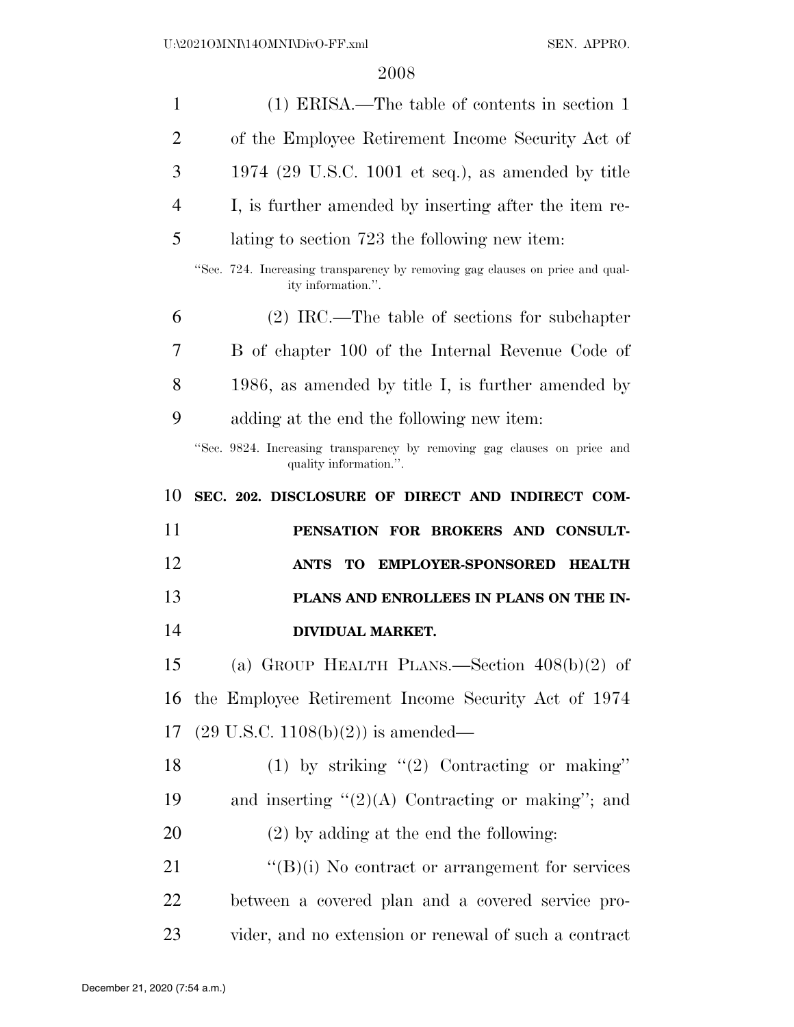| $\mathbf{1}$   | (1) ERISA.—The table of contents in section 1                                                       |
|----------------|-----------------------------------------------------------------------------------------------------|
| $\overline{2}$ | of the Employee Retirement Income Security Act of                                                   |
| 3              | 1974 (29 U.S.C. 1001 et seq.), as amended by title                                                  |
| $\overline{4}$ | I, is further amended by inserting after the item re-                                               |
| 5              | lating to section 723 the following new item:                                                       |
|                | "Sec. 724. Increasing transparency by removing gag clauses on price and qual-<br>ity information.". |
| 6              | $(2)$ IRC.—The table of sections for subchapter                                                     |
| 7              | B of chapter 100 of the Internal Revenue Code of                                                    |
| 8              | 1986, as amended by title I, is further amended by                                                  |
| 9              | adding at the end the following new item:                                                           |
|                | "Sec. 9824. Increasing transparency by removing gag clauses on price and<br>quality information.".  |
| 10             | SEC. 202. DISCLOSURE OF DIRECT AND INDIRECT COM-                                                    |
|                |                                                                                                     |
| 11             | PENSATION FOR BROKERS AND CONSULT-                                                                  |
| 12             | TO EMPLOYER-SPONSORED HEALTH<br>ANTS                                                                |
| 13             | PLANS AND ENROLLEES IN PLANS ON THE IN-                                                             |
| 14             | <b>DIVIDUAL MARKET.</b>                                                                             |
| 15             | (a) GROUP HEALTH PLANS.—Section $408(b)(2)$ of                                                      |
| 16             | the Employee Retirement Income Security Act of 1974                                                 |
| 17             | $(29 \text{ U.S.C. } 1108(b)(2))$ is amended—                                                       |
| 18             | (1) by striking $"(2)$ Contracting or making"                                                       |
| 19             | and inserting $\lq(2)(A)$ Contracting or making"; and                                               |
| 20             | $(2)$ by adding at the end the following:                                                           |
| 21             | $\lq\lq(B)(i)$ No contract or arrangement for services                                              |
| 22             | between a covered plan and a covered service pro-                                                   |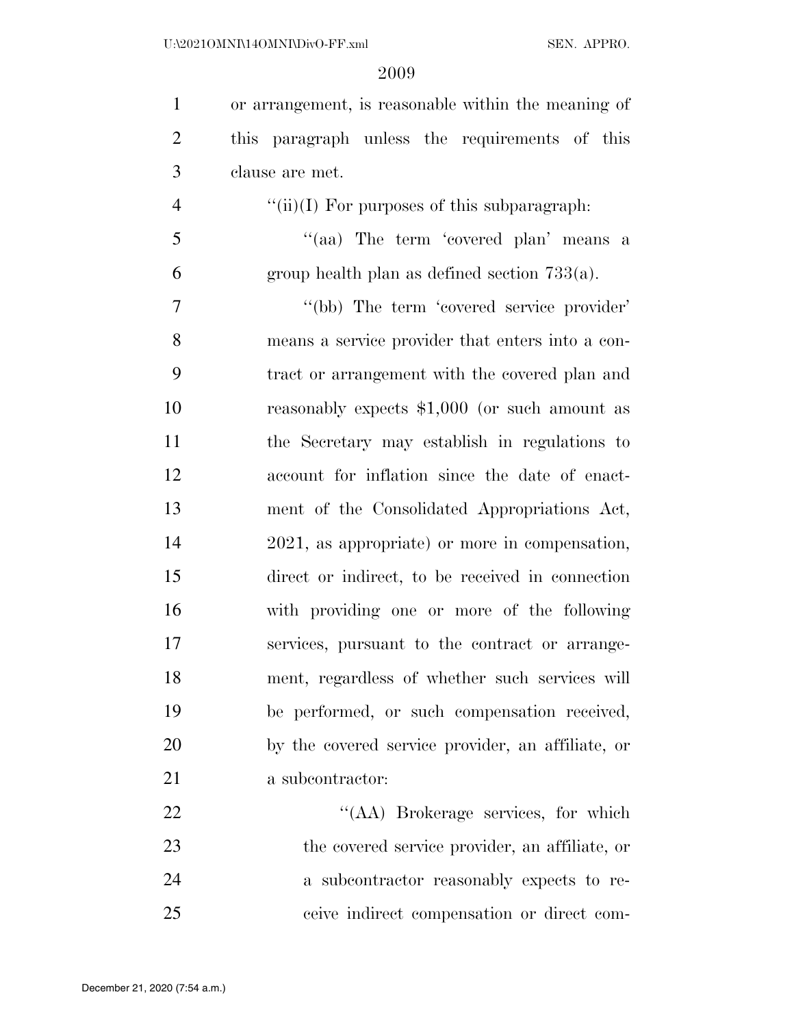| $\mathbf{1}$   | or arrangement, is reasonable within the meaning of |
|----------------|-----------------------------------------------------|
| $\overline{2}$ | this paragraph unless the requirements of this      |
| 3              | clause are met.                                     |
| $\overline{4}$ | " $(iii)(I)$ For purposes of this subparagraph:     |
| $\mathfrak{S}$ | "(aa) The term 'covered plan' means a               |
| 6              | group health plan as defined section $733(a)$ .     |
| $\tau$         | "(bb) The term 'covered service provider'           |
| 8              | means a service provider that enters into a con-    |
| 9              | tract or arrangement with the covered plan and      |
| 10             | reasonably expects $$1,000$ (or such amount as      |
| 11             | the Secretary may establish in regulations to       |
| 12             | account for inflation since the date of enact-      |
| 13             | ment of the Consolidated Appropriations Act,        |
| 14             | 2021, as appropriate) or more in compensation,      |
| 15             | direct or indirect, to be received in connection    |
| 16             | with providing one or more of the following         |
| 17             | services, pursuant to the contract or arrange-      |
| 18             | ment, regardless of whether such services will      |
| 19             | be performed, or such compensation received,        |
| 20             | by the covered service provider, an affiliate, or   |
| 21             | a subcontractor:                                    |
| 22             | "(AA) Brokerage services, for which                 |
| 23             | the covered service provider, an affiliate, or      |
| 24             | a subcontractor reasonably expects to re-           |
| 25             | ceive indirect compensation or direct com-          |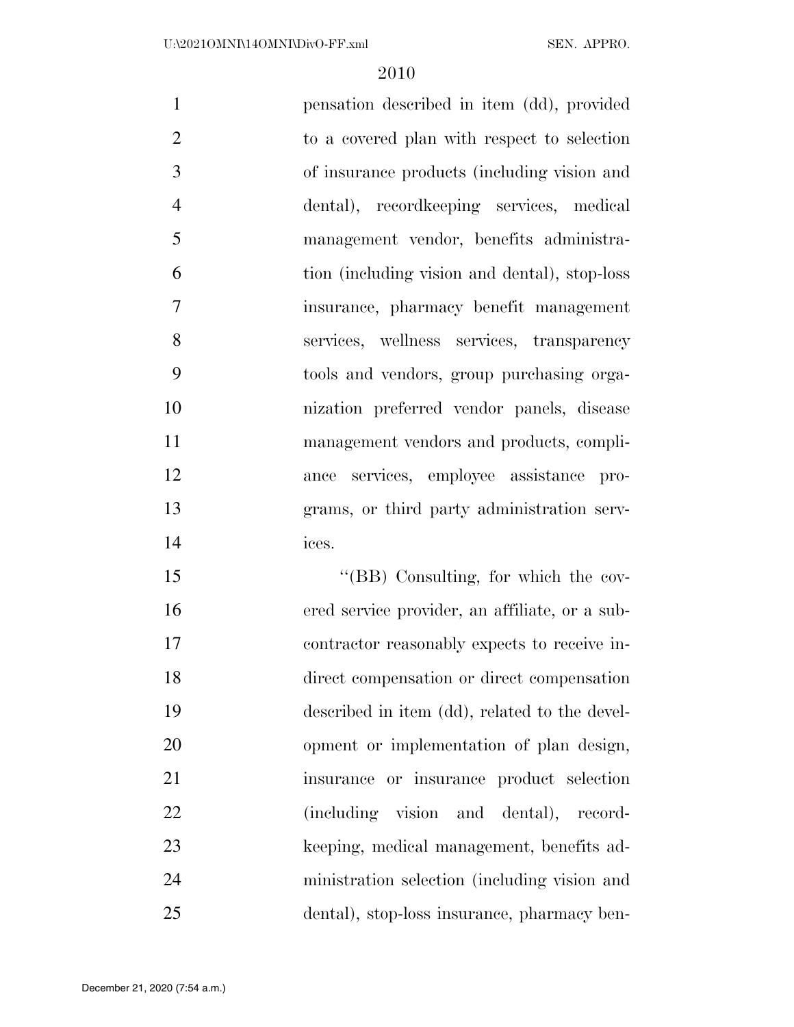| $\mathbf{1}$   | pensation described in item (dd), provided    |
|----------------|-----------------------------------------------|
| $\overline{2}$ | to a covered plan with respect to selection   |
| 3              | of insurance products (including vision and   |
| $\overline{4}$ | dental), record keeping services, medical     |
| 5              | management vendor, benefits administra-       |
| 6              | tion (including vision and dental), stop-loss |
| 7              | insurance, pharmacy benefit management        |
| 8              | services, wellness services, transparency     |
| 9              | tools and vendors, group purchasing orga-     |
| 10             | nization preferred vendor panels, disease     |
| 11             | management vendors and products, compli-      |
| 12             | ance services, employee assistance pro-       |
| 13             | grams, or third party administration serv-    |
| 14             | ices.                                         |
|                |                                               |

 ''(BB) Consulting, for which the cov- ered service provider, an affiliate, or a sub- contractor reasonably expects to receive in- direct compensation or direct compensation described in item (dd), related to the devel- opment or implementation of plan design, insurance or insurance product selection (including vision and dental), record- keeping, medical management, benefits ad- ministration selection (including vision and dental), stop-loss insurance, pharmacy ben-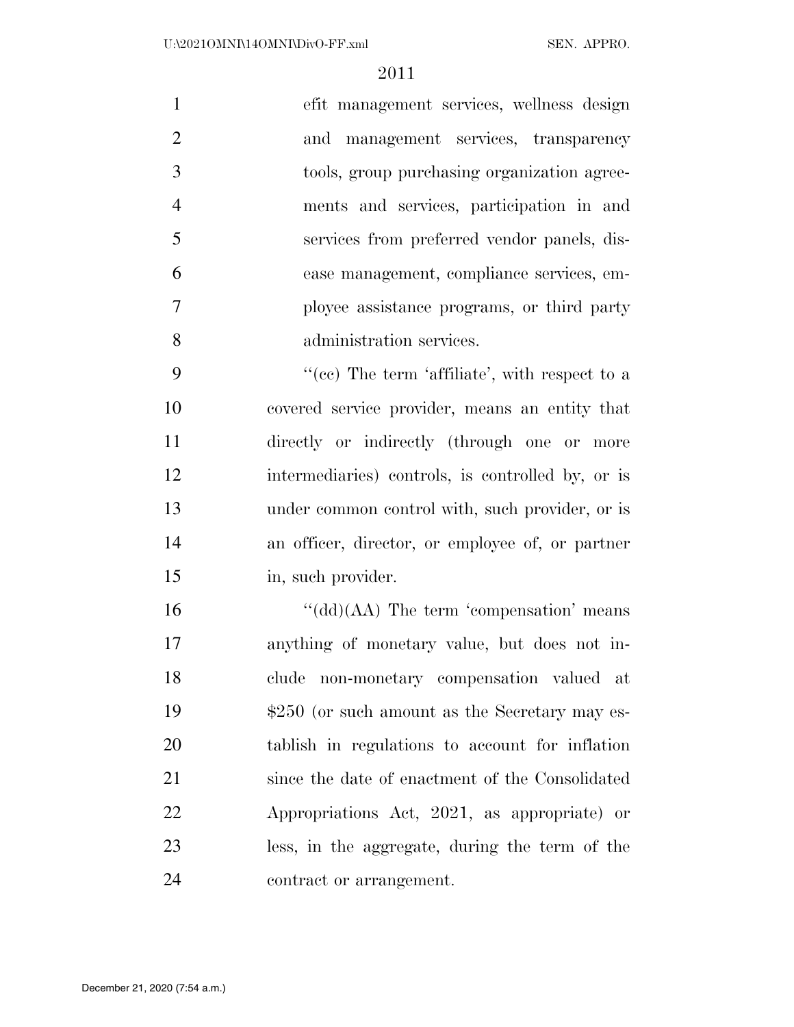|   | efit management services, wellness design   |
|---|---------------------------------------------|
|   | and management services, transparency       |
|   | tools, group purchasing organization agree- |
|   | ments and services, participation in and    |
|   | services from preferred vendor panels, dis- |
| 6 | ease management, compliance services, em-   |
|   | ployee assistance programs, or third party  |
| 8 | administration services.                    |

9 ''(cc) The term 'affiliate', with respect to a covered service provider, means an entity that directly or indirectly (through one or more intermediaries) controls, is controlled by, or is under common control with, such provider, or is an officer, director, or employee of, or partner in, such provider.

16 "(dd)(AA) The term 'compensation' means anything of monetary value, but does not in- clude non-monetary compensation valued at  $$250$  (or such amount as the Secretary may es- tablish in regulations to account for inflation since the date of enactment of the Consolidated Appropriations Act, 2021, as appropriate) or less, in the aggregate, during the term of the contract or arrangement.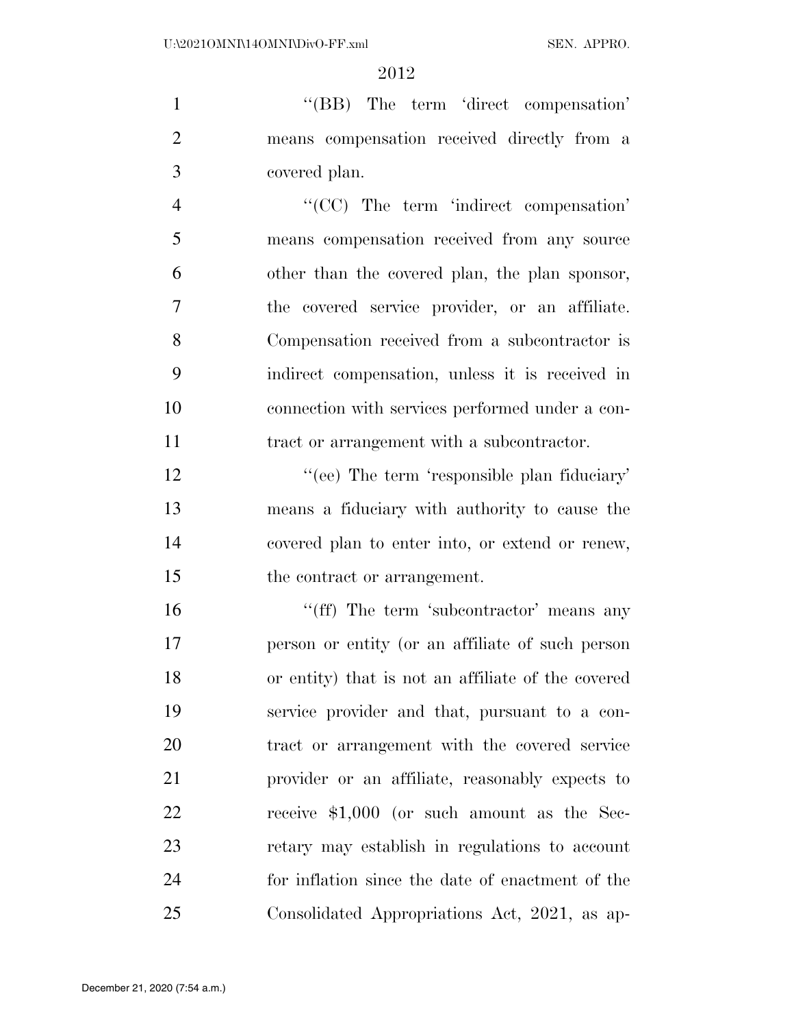1 ''(BB) The term 'direct compensation' means compensation received directly from a covered plan.

 ''(CC) The term 'indirect compensation' means compensation received from any source other than the covered plan, the plan sponsor, the covered service provider, or an affiliate. Compensation received from a subcontractor is indirect compensation, unless it is received in connection with services performed under a con-tract or arrangement with a subcontractor.

12 "(ee) The term 'responsible plan fiduciary' means a fiduciary with authority to cause the covered plan to enter into, or extend or renew, the contract or arrangement.

16 "(ff) The term 'subcontractor' means any person or entity (or an affiliate of such person or entity) that is not an affiliate of the covered service provider and that, pursuant to a con- tract or arrangement with the covered service provider or an affiliate, reasonably expects to receive \$1,000 (or such amount as the Sec- retary may establish in regulations to account for inflation since the date of enactment of the Consolidated Appropriations Act, 2021, as ap-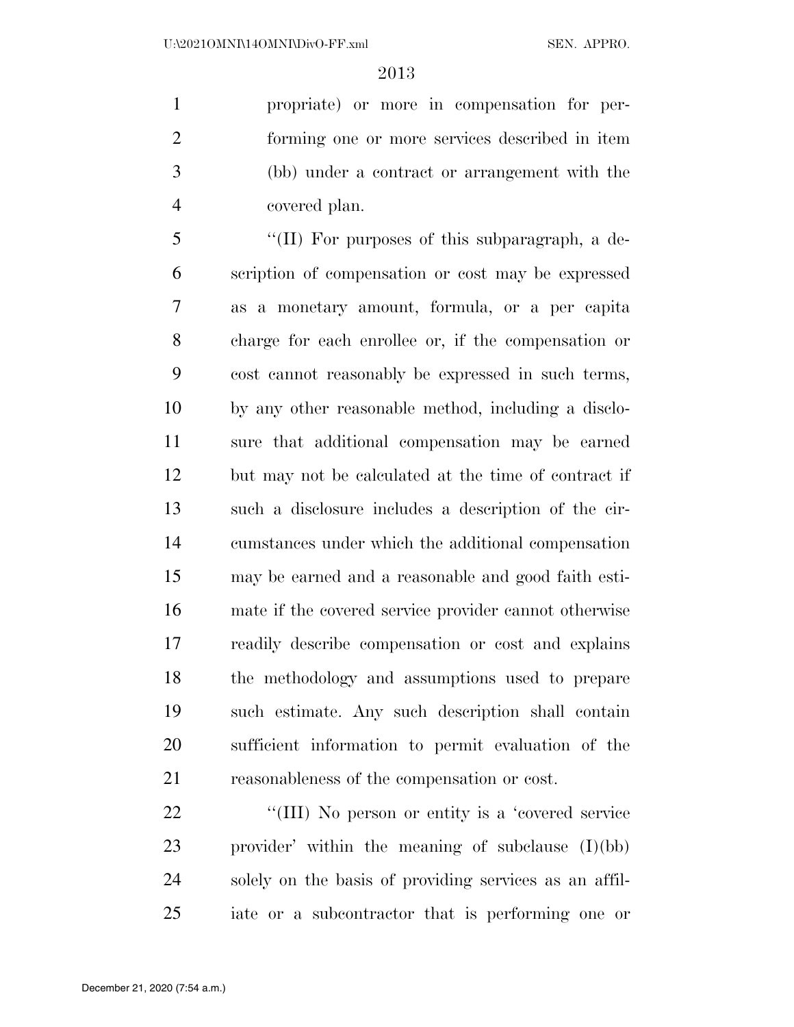propriate) or more in compensation for per- forming one or more services described in item (bb) under a contract or arrangement with the covered plan.

 ''(II) For purposes of this subparagraph, a de- scription of compensation or cost may be expressed as a monetary amount, formula, or a per capita charge for each enrollee or, if the compensation or cost cannot reasonably be expressed in such terms, by any other reasonable method, including a disclo- sure that additional compensation may be earned but may not be calculated at the time of contract if such a disclosure includes a description of the cir- cumstances under which the additional compensation may be earned and a reasonable and good faith esti- mate if the covered service provider cannot otherwise readily describe compensation or cost and explains the methodology and assumptions used to prepare such estimate. Any such description shall contain sufficient information to permit evaluation of the reasonableness of the compensation or cost.

22 "(III) No person or entity is a 'covered service provider' within the meaning of subclause (I)(bb) solely on the basis of providing services as an affil-iate or a subcontractor that is performing one or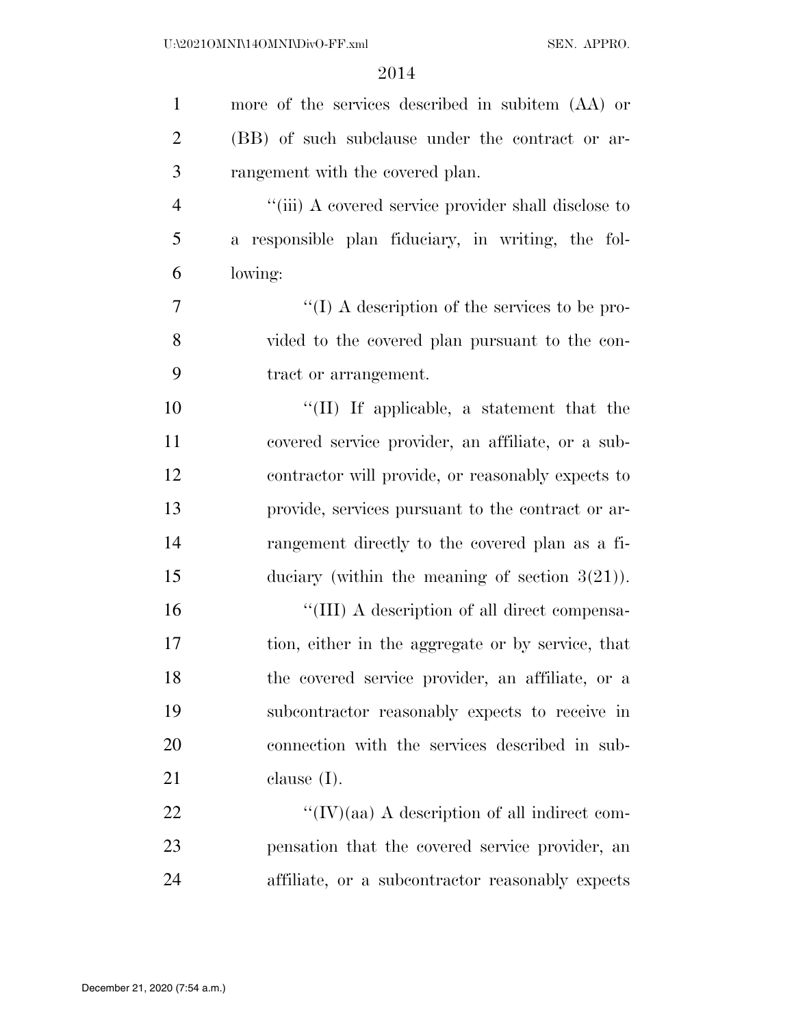| $\mathbf{1}$   | more of the services described in subitem (AA) or    |
|----------------|------------------------------------------------------|
| $\overline{2}$ | (BB) of such subclause under the contract or ar-     |
| 3              | rangement with the covered plan.                     |
| $\overline{4}$ | "(iii) A covered service provider shall disclose to  |
| 5              | a responsible plan fiduciary, in writing, the fol-   |
| 6              | lowing:                                              |
| 7              | " $(I)$ A description of the services to be pro-     |
| 8              | vided to the covered plan pursuant to the con-       |
| 9              | tract or arrangement.                                |
| 10             | "(II) If applicable, a statement that the            |
| 11             | covered service provider, an affiliate, or a sub-    |
| 12             | contractor will provide, or reasonably expects to    |
| 13             | provide, services pursuant to the contract or ar-    |
| 14             | rangement directly to the covered plan as a fi-      |
| 15             | duciary (within the meaning of section $3(21)$ ).    |
| 16             | "(III) A description of all direct compensa-         |
| 17             | tion, either in the aggregate or by service, that    |
| 18             | the covered service provider, an affiliate, or a     |
| 19             | subcontractor reasonably expects to receive in       |
| <b>20</b>      | connection with the services described in sub-       |
| 21             | clause $(I)$ .                                       |
| 22             | $\lq\lq$ (IV)(aa) A description of all indirect com- |
| 23             | pensation that the covered service provider, an      |
| 24             | affiliate, or a subcontractor reasonably expects     |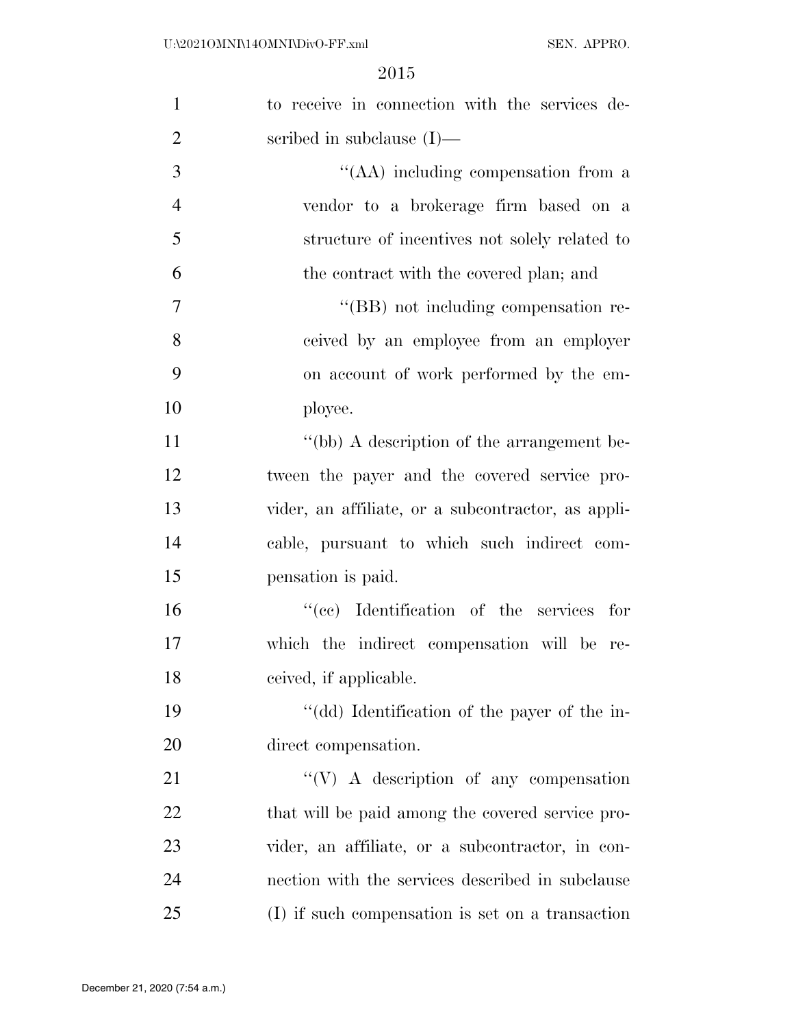| $\mathbf{1}$   | to receive in connection with the services de-     |
|----------------|----------------------------------------------------|
| $\overline{2}$ | scribed in subclause $(I)$ —                       |
| 3              | "(AA) including compensation from a                |
| $\overline{4}$ | vendor to a brokerage firm based on a              |
| 5              | structure of incentives not solely related to      |
| 6              | the contract with the covered plan; and            |
| $\overline{7}$ | "(BB) not including compensation re-               |
| 8              | ceived by an employee from an employer             |
| 9              | on account of work performed by the em-            |
| 10             | ployee.                                            |
| 11             | "(bb) A description of the arrangement be-         |
| 12             | tween the payer and the covered service pro-       |
| 13             | vider, an affiliate, or a subcontractor, as appli- |
| 14             | cable, pursuant to which such indirect com-        |
| 15             | pensation is paid.                                 |
| 16             | "(cc) Identification of the services for           |
| 17             | which the indirect compensation will be re-        |
| 18             | ceived, if applicable.                             |
| 19             | "(dd) Identification of the payer of the in-       |
| 20             | direct compensation.                               |
| 21             | $\lq\lq(V)$ A description of any compensation      |
| 22             | that will be paid among the covered service pro-   |
| 23             | vider, an affiliate, or a subcontractor, in con-   |
| 24             | nection with the services described in subclause   |
| 25             | (I) if such compensation is set on a transaction   |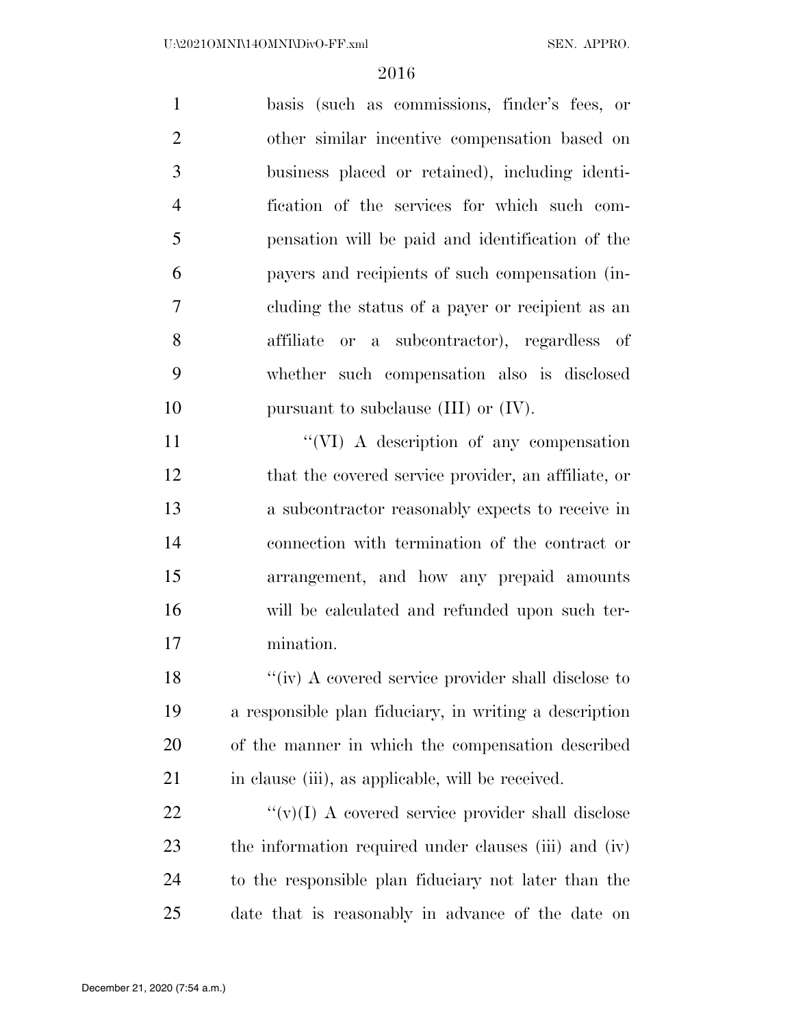basis (such as commissions, finder's fees, or other similar incentive compensation based on business placed or retained), including identi- fication of the services for which such com- pensation will be paid and identification of the payers and recipients of such compensation (in- cluding the status of a payer or recipient as an affiliate or a subcontractor), regardless of whether such compensation also is disclosed 10 pursuant to subclause (III) or (IV).

11 "'(VI) A description of any compensation that the covered service provider, an affiliate, or a subcontractor reasonably expects to receive in connection with termination of the contract or arrangement, and how any prepaid amounts will be calculated and refunded upon such ter-mination.

18 ''(iv) A covered service provider shall disclose to a responsible plan fiduciary, in writing a description of the manner in which the compensation described 21 in clause (iii), as applicable, will be received.

 $\langle \langle v \rangle (I)$  A covered service provider shall disclose the information required under clauses (iii) and (iv) to the responsible plan fiduciary not later than the date that is reasonably in advance of the date on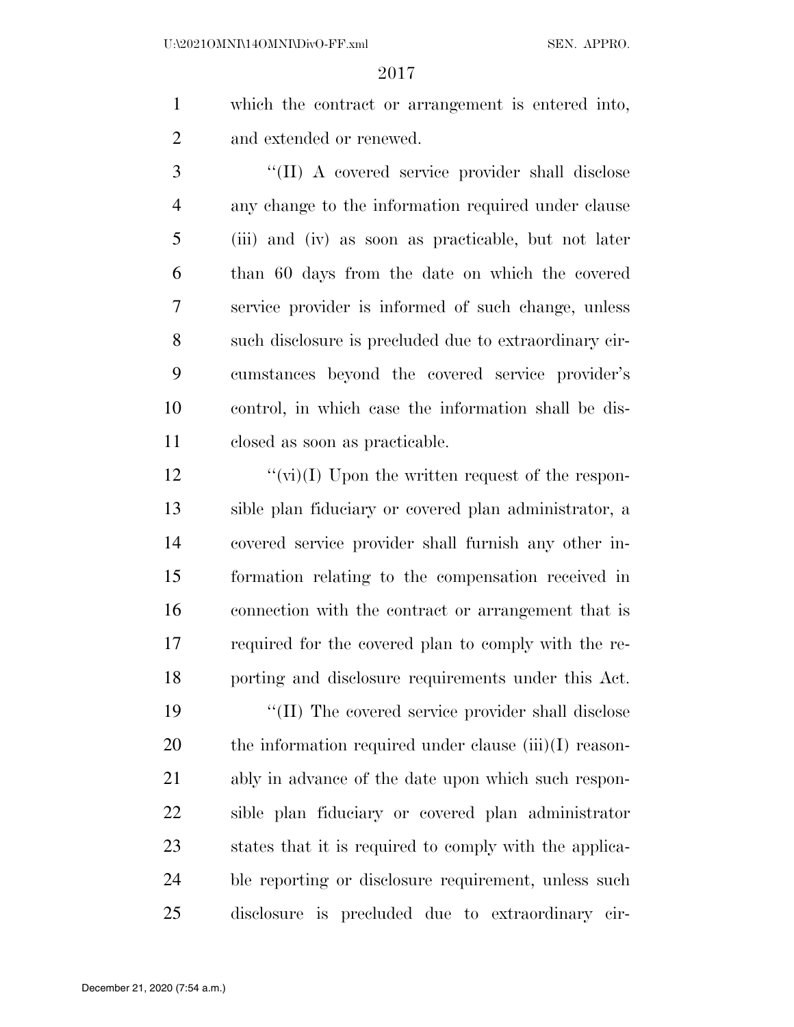which the contract or arrangement is entered into, and extended or renewed.

3 "(II) A covered service provider shall disclose any change to the information required under clause (iii) and (iv) as soon as practicable, but not later than 60 days from the date on which the covered service provider is informed of such change, unless such disclosure is precluded due to extraordinary cir- cumstances beyond the covered service provider's control, in which case the information shall be dis-closed as soon as practicable.

 $\frac{u'(v)}{v(1)}$  Upon the written request of the respon- sible plan fiduciary or covered plan administrator, a covered service provider shall furnish any other in- formation relating to the compensation received in connection with the contract or arrangement that is required for the covered plan to comply with the re-porting and disclosure requirements under this Act.

 $\frac{1}{2}$  (II) The covered service provider shall disclose 20 the information required under clause (iii)(I) reason- ably in advance of the date upon which such respon- sible plan fiduciary or covered plan administrator states that it is required to comply with the applica- ble reporting or disclosure requirement, unless such disclosure is precluded due to extraordinary cir-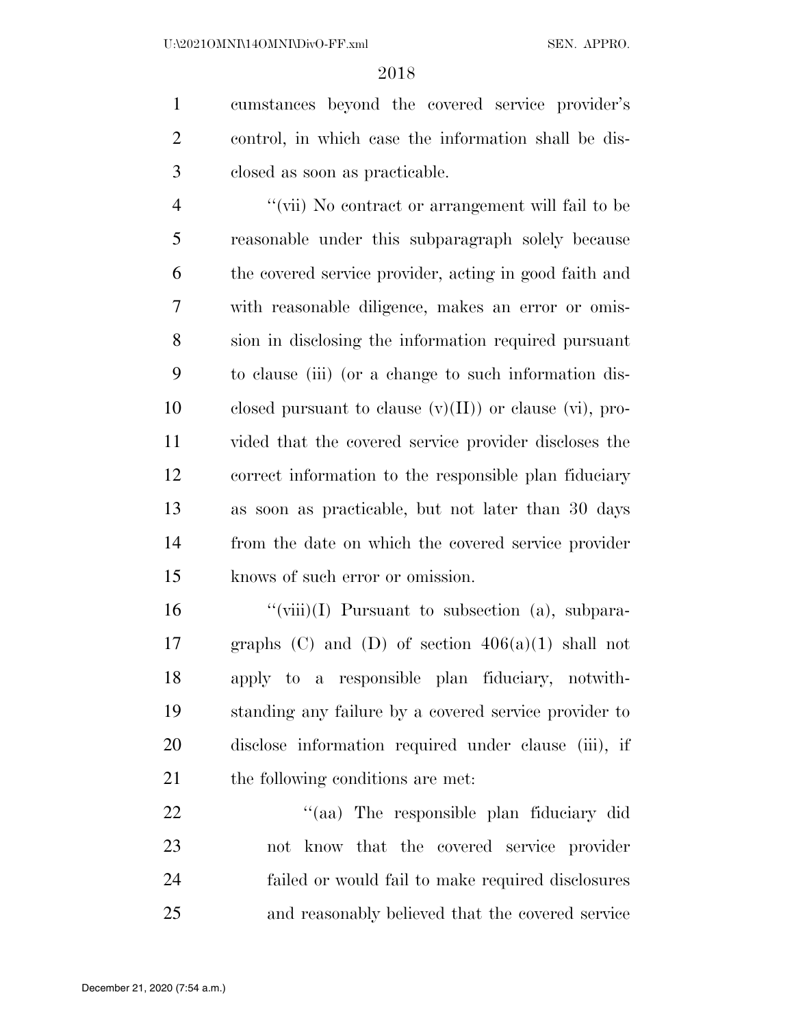cumstances beyond the covered service provider's control, in which case the information shall be dis-closed as soon as practicable.

 ''(vii) No contract or arrangement will fail to be reasonable under this subparagraph solely because the covered service provider, acting in good faith and with reasonable diligence, makes an error or omis- sion in disclosing the information required pursuant to clause (iii) (or a change to such information dis-10 closed pursuant to clause  $(v)(II)$  or clause  $(vi)$ , pro- vided that the covered service provider discloses the correct information to the responsible plan fiduciary as soon as practicable, but not later than 30 days from the date on which the covered service provider knows of such error or omission.

 $\frac{1}{2}$   $\frac{1}{2}$   $\frac{1}{2}$   $\frac{1}{2}$  Pursuant to subsection (a), subpara-17 graphs  $(C)$  and  $(D)$  of section  $406(a)(1)$  shall not apply to a responsible plan fiduciary, notwith- standing any failure by a covered service provider to disclose information required under clause (iii), if 21 the following conditions are met.

22 "(aa) The responsible plan fiduciary did not know that the covered service provider failed or would fail to make required disclosures and reasonably believed that the covered service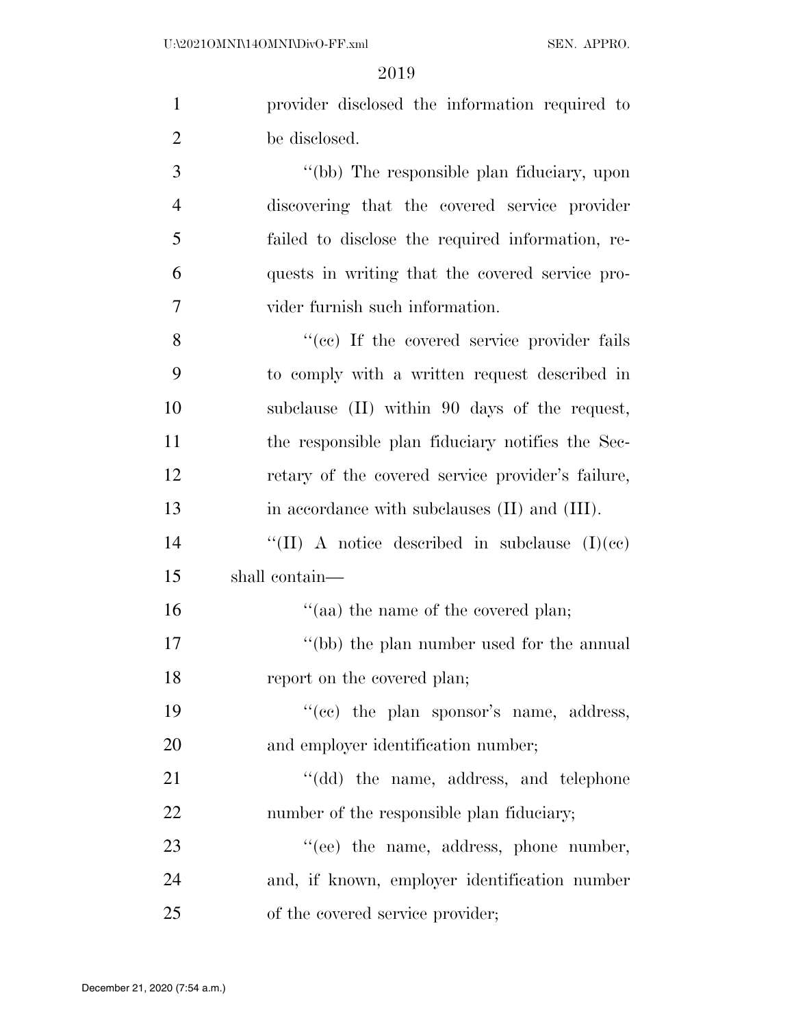| $\mathbf{1}$   | provider disclosed the information required to    |
|----------------|---------------------------------------------------|
| $\overline{2}$ | be disclosed.                                     |
| 3              | "(bb) The responsible plan fiduciary, upon        |
| 4              | discovering that the covered service provider     |
| 5              | failed to disclose the required information, re-  |
| 6              | quests in writing that the covered service pro-   |
| 7              | vider furnish such information.                   |
| 8              | "(cc) If the covered service provider fails       |
| 9              | to comply with a written request described in     |
| 10             | subclause (II) within 90 days of the request,     |
| 11             | the responsible plan fiduciary notifies the Sec-  |
| 12             | retary of the covered service provider's failure, |
| 13             | in accordance with subclauses (II) and (III).     |
| 14             | "(II) A notice described in subclause $(I)(ec)$   |
| 15             | shall contain—                                    |
| 16             | "(aa) the name of the covered plan;               |
| 17             | "(bb) the plan number used for the annual         |
| 18             | report on the covered plan;                       |
| 19             | "(cc) the plan sponsor's name, address,           |
| 20             | and employer identification number;               |
| 21             | "(dd) the name, address, and telephone            |
| 22             | number of the responsible plan fiduciary;         |
| 23             | "(ee) the name, address, phone number,            |
| 24             | and, if known, employer identification number     |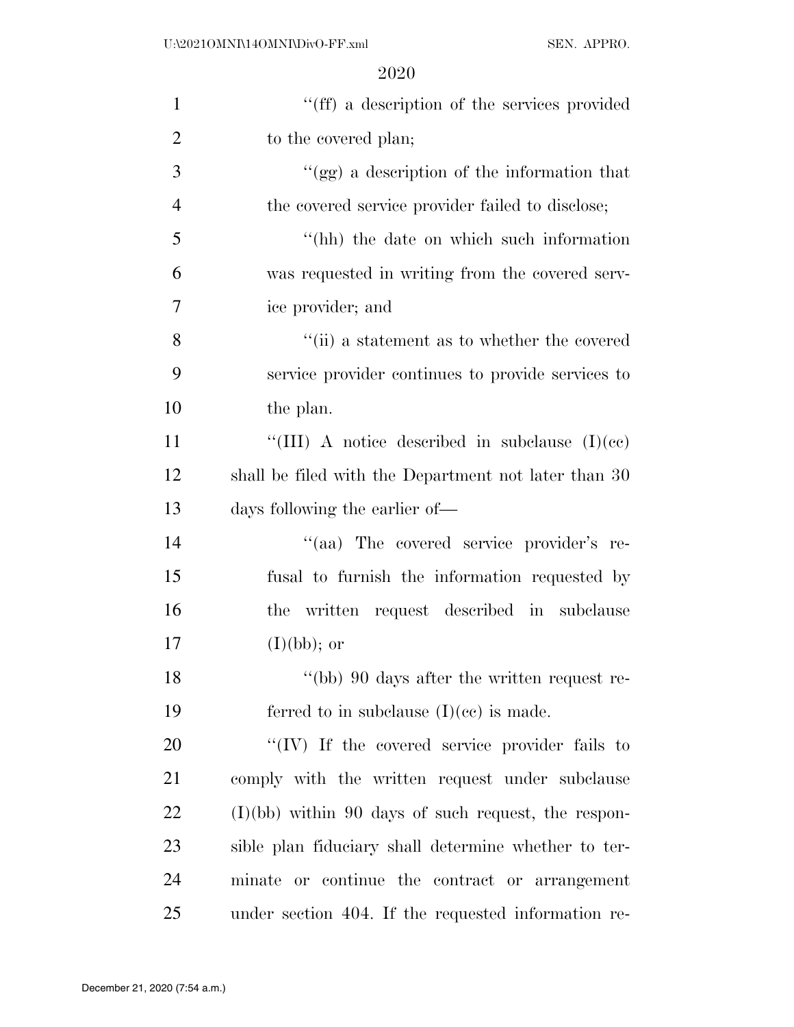| $\mathbf{1}$   | "(ff) a description of the services provided          |
|----------------|-------------------------------------------------------|
| $\overline{2}$ | to the covered plan;                                  |
| 3              | "(gg) a description of the information that           |
| $\overline{4}$ | the covered service provider failed to disclose;      |
| 5              | "(hh) the date on which such information              |
| 6              | was requested in writing from the covered serv-       |
| 7              | ice provider; and                                     |
| 8              | "(ii) a statement as to whether the covered           |
| 9              | service provider continues to provide services to     |
| 10             | the plan.                                             |
| 11             | "(III) A notice described in subclause $(I)(ce)$      |
| 12             | shall be filed with the Department not later than 30  |
| 13             | days following the earlier of—                        |
| 14             | "(aa) The covered service provider's re-              |
| 15             | fusal to furnish the information requested by         |
| 16             | the written request described in subclause            |
| 17             | $(I)(bb);$ or                                         |
| 18             | "(bb) 90 days after the written request re-           |
| 19             | ferred to in subclause $(I)(ce)$ is made.             |
| 20             | "(IV) If the covered service provider fails to        |
| 21             | comply with the written request under subclause       |
| 22             | $(I)(bb)$ within 90 days of such request, the respon- |
| 23             | sible plan fiduciary shall determine whether to ter-  |
| 24             | minate or continue the contract or arrangement        |
| 25             | under section 404. If the requested information re-   |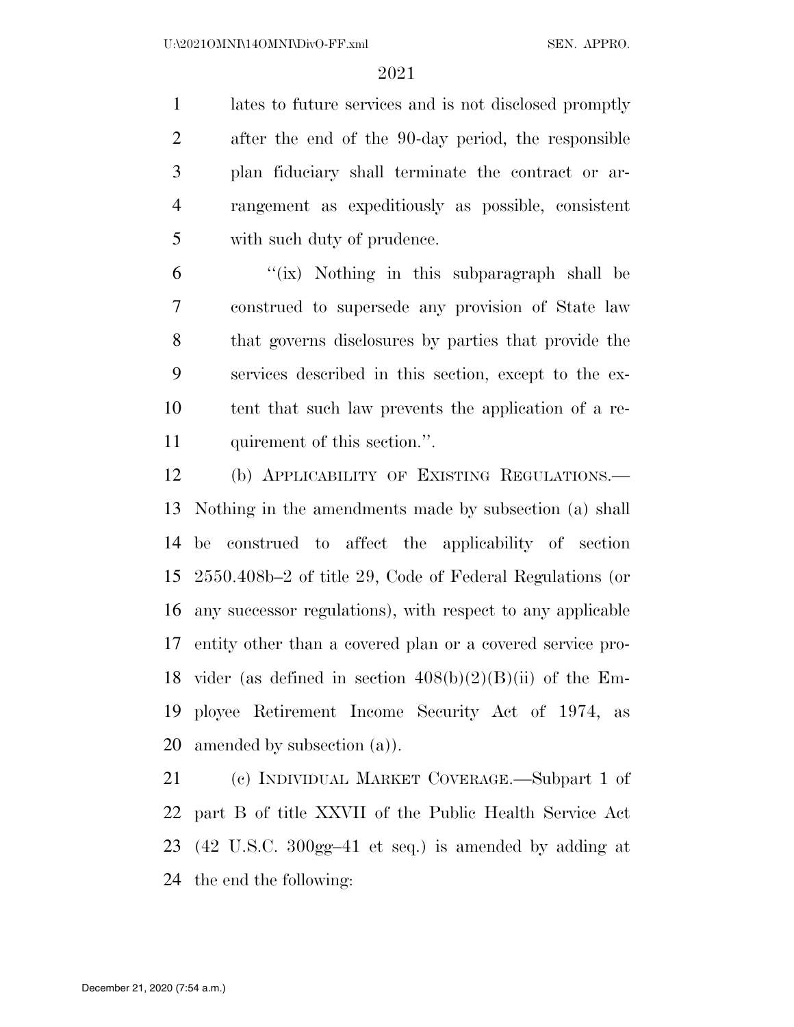lates to future services and is not disclosed promptly after the end of the 90-day period, the responsible plan fiduciary shall terminate the contract or ar- rangement as expeditiously as possible, consistent with such duty of prudence.

 "(ix) Nothing in this subparagraph shall be construed to supersede any provision of State law that governs disclosures by parties that provide the services described in this section, except to the ex- tent that such law prevents the application of a re-11 quirement of this section.".

 (b) APPLICABILITY OF EXISTING REGULATIONS.— Nothing in the amendments made by subsection (a) shall be construed to affect the applicability of section 2550.408b–2 of title 29, Code of Federal Regulations (or any successor regulations), with respect to any applicable entity other than a covered plan or a covered service pro-18 vider (as defined in section  $408(b)(2)(B)(ii)$  of the Em- ployee Retirement Income Security Act of 1974, as amended by subsection (a)).

 (c) INDIVIDUAL MARKET COVERAGE.—Subpart 1 of part B of title XXVII of the Public Health Service Act (42 U.S.C. 300gg–41 et seq.) is amended by adding at the end the following: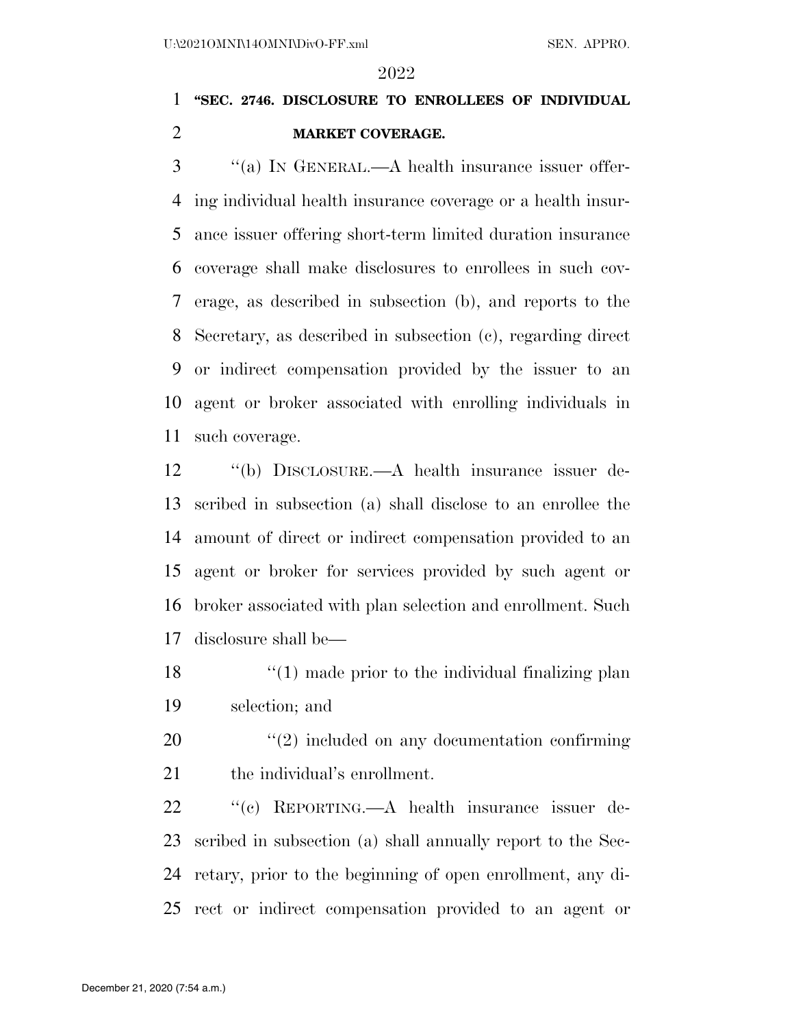# **''SEC. 2746. DISCLOSURE TO ENROLLEES OF INDIVIDUAL MARKET COVERAGE.**

 ''(a) IN GENERAL.—A health insurance issuer offer- ing individual health insurance coverage or a health insur- ance issuer offering short-term limited duration insurance coverage shall make disclosures to enrollees in such cov- erage, as described in subsection (b), and reports to the Secretary, as described in subsection (c), regarding direct or indirect compensation provided by the issuer to an agent or broker associated with enrolling individuals in such coverage.

 ''(b) DISCLOSURE.—A health insurance issuer de- scribed in subsection (a) shall disclose to an enrollee the amount of direct or indirect compensation provided to an agent or broker for services provided by such agent or broker associated with plan selection and enrollment. Such disclosure shall be—

 $\frac{18}{2}$  ''(1) made prior to the individual finalizing plan selection; and

20  $\frac{1}{2}$  (2) included on any documentation confirming 21 the individual's enrollment.

 ''(c) REPORTING.—A health insurance issuer de- scribed in subsection (a) shall annually report to the Sec- retary, prior to the beginning of open enrollment, any di-rect or indirect compensation provided to an agent or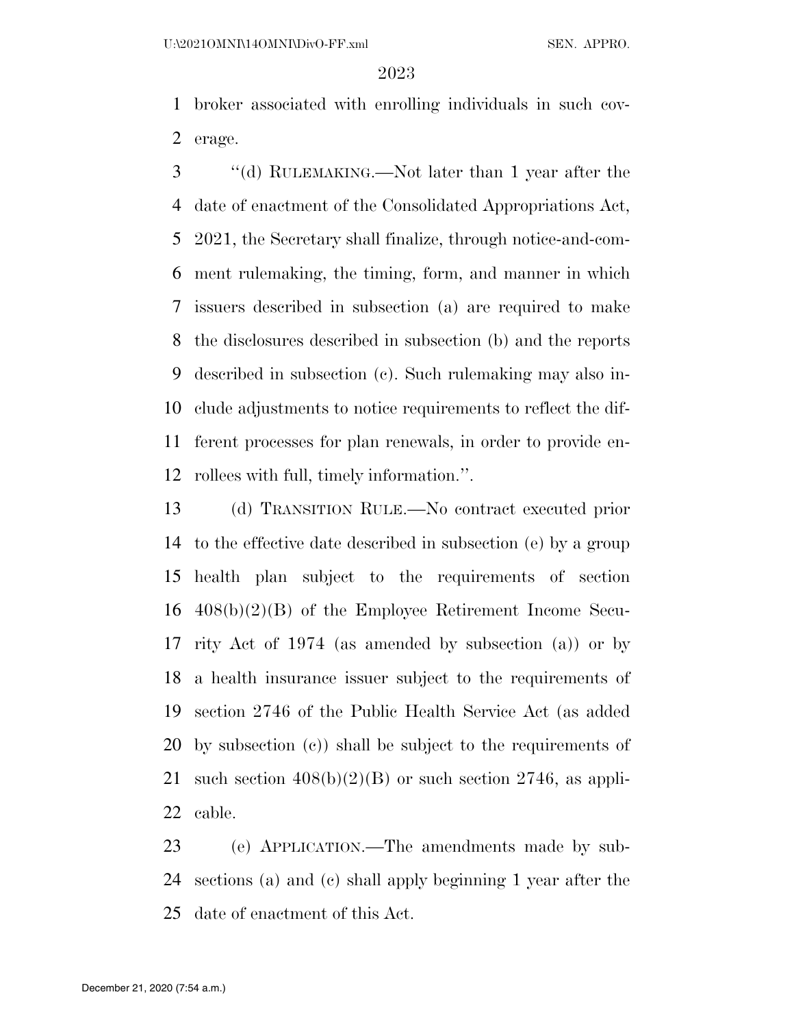broker associated with enrolling individuals in such cov-erage.

 ''(d) RULEMAKING.—Not later than 1 year after the date of enactment of the Consolidated Appropriations Act, 2021, the Secretary shall finalize, through notice-and-com- ment rulemaking, the timing, form, and manner in which issuers described in subsection (a) are required to make the disclosures described in subsection (b) and the reports described in subsection (c). Such rulemaking may also in- clude adjustments to notice requirements to reflect the dif- ferent processes for plan renewals, in order to provide en-rollees with full, timely information.''.

 (d) TRANSITION RULE.—No contract executed prior to the effective date described in subsection (e) by a group health plan subject to the requirements of section 408(b)(2)(B) of the Employee Retirement Income Secu- rity Act of 1974 (as amended by subsection (a)) or by a health insurance issuer subject to the requirements of section 2746 of the Public Health Service Act (as added by subsection (c)) shall be subject to the requirements of 21 such section  $408(b)(2)(B)$  or such section 2746, as appli-cable.

 (e) APPLICATION.—The amendments made by sub- sections (a) and (c) shall apply beginning 1 year after the date of enactment of this Act.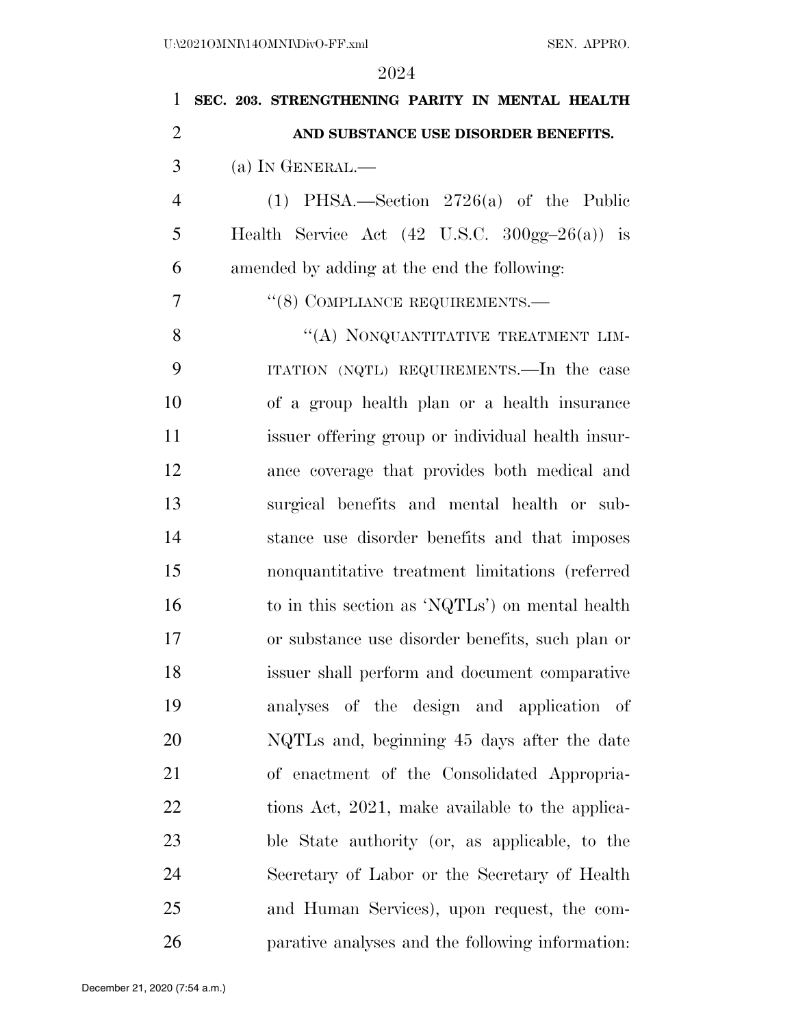| 1              | SEC. 203. STRENGTHENING PARITY IN MENTAL HEALTH                    |
|----------------|--------------------------------------------------------------------|
| $\overline{2}$ | AND SUBSTANCE USE DISORDER BENEFITS.                               |
| 3              | $(a)$ In GENERAL.—                                                 |
| $\overline{4}$ | $(1)$ PHSA.—Section 2726(a) of the Public                          |
| 5              | Health Service Act $(42 \text{ U.S.C. } 300 \text{gg} - 26(a))$ is |
| 6              | amended by adding at the end the following:                        |
| 7              | "(8) COMPLIANCE REQUIREMENTS.—                                     |
| 8              | "(A) NONQUANTITATIVE TREATMENT LIM-                                |
| 9              | ITATION (NQTL) REQUIREMENTS.—In the case                           |
| 10             | of a group health plan or a health insurance                       |
| 11             | issuer offering group or individual health insur-                  |
| 12             | ance coverage that provides both medical and                       |
| 13             | surgical benefits and mental health or sub-                        |
| 14             | stance use disorder benefits and that imposes                      |
| 15             | nonquantitative treatment limitations (referred                    |
| 16             | to in this section as 'NQTLs') on mental health                    |
| 17             | or substance use disorder benefits, such plan or                   |
| 18             | issuer shall perform and document comparative                      |
| 19             | analyses of the design and application of                          |
| 20             | NQTLs and, beginning 45 days after the date                        |
| 21             | of enactment of the Consolidated Appropria-                        |
| 22             | tions Act, 2021, make available to the applica-                    |
| 23             | ble State authority (or, as applicable, to the                     |
| 24             | Secretary of Labor or the Secretary of Health                      |
| 25             | and Human Services), upon request, the com-                        |
| 26             | parative analyses and the following information:                   |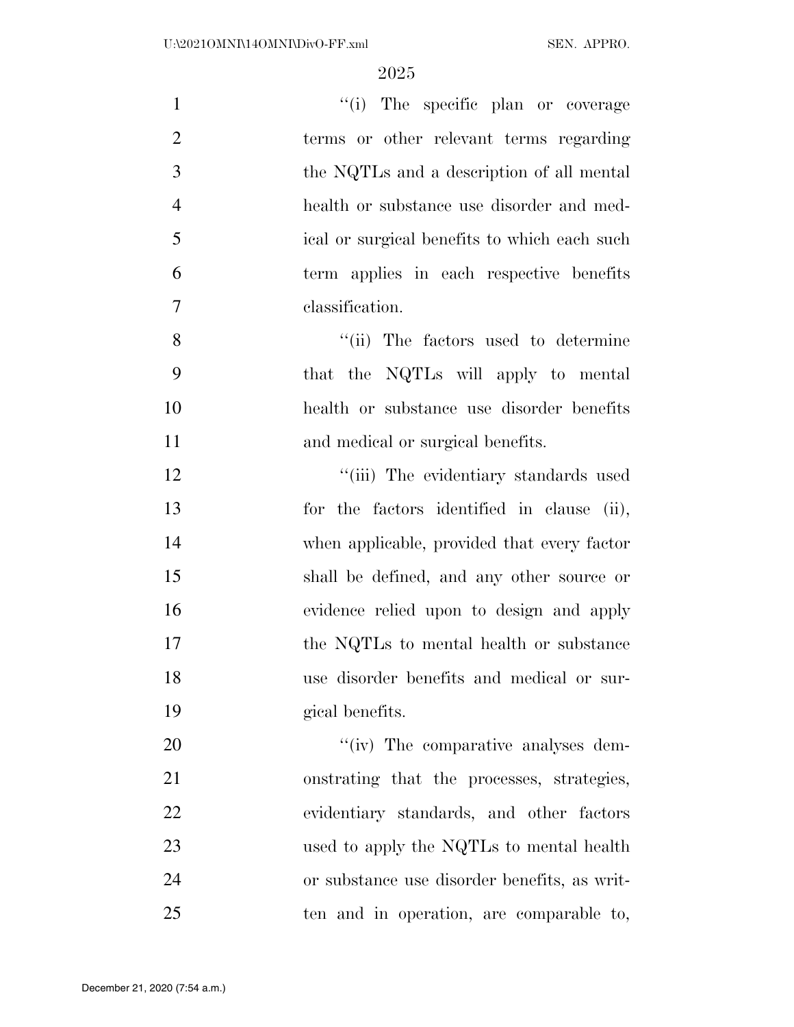| $\mathbf{1}$   | "(i) The specific plan or coverage           |
|----------------|----------------------------------------------|
| $\overline{2}$ | terms or other relevant terms regarding      |
| 3              | the NQTLs and a description of all mental    |
| $\overline{4}$ | health or substance use disorder and med-    |
| 5              | ical or surgical benefits to which each such |
| 6              | term applies in each respective benefits     |
| $\overline{7}$ | classification.                              |
| 8              | "(ii) The factors used to determine          |
| 9              | that the NQTLs will apply to mental          |
| 10             | health or substance use disorder benefits    |
| 11             | and medical or surgical benefits.            |
| 12             | "(iii) The evidentiary standards used        |
| 13             | for the factors identified in clause (ii),   |
| 14             | when applicable, provided that every factor  |
| 15             | shall be defined, and any other source or    |
| 16             | evidence relied upon to design and apply     |
| 17             | the NQTLs to mental health or substance      |
| 18             | use disorder benefits and medical or sur-    |
| 19             | gical benefits.                              |
| 20             | "(iv) The comparative analyses dem-          |
| 21             | onstrating that the processes, strategies,   |
| 22             | evidentiary standards, and other factors     |
| 23             | used to apply the NQTLs to mental health     |
| 24             | or substance use disorder benefits, as writ- |
| 25             | ten and in operation, are comparable to,     |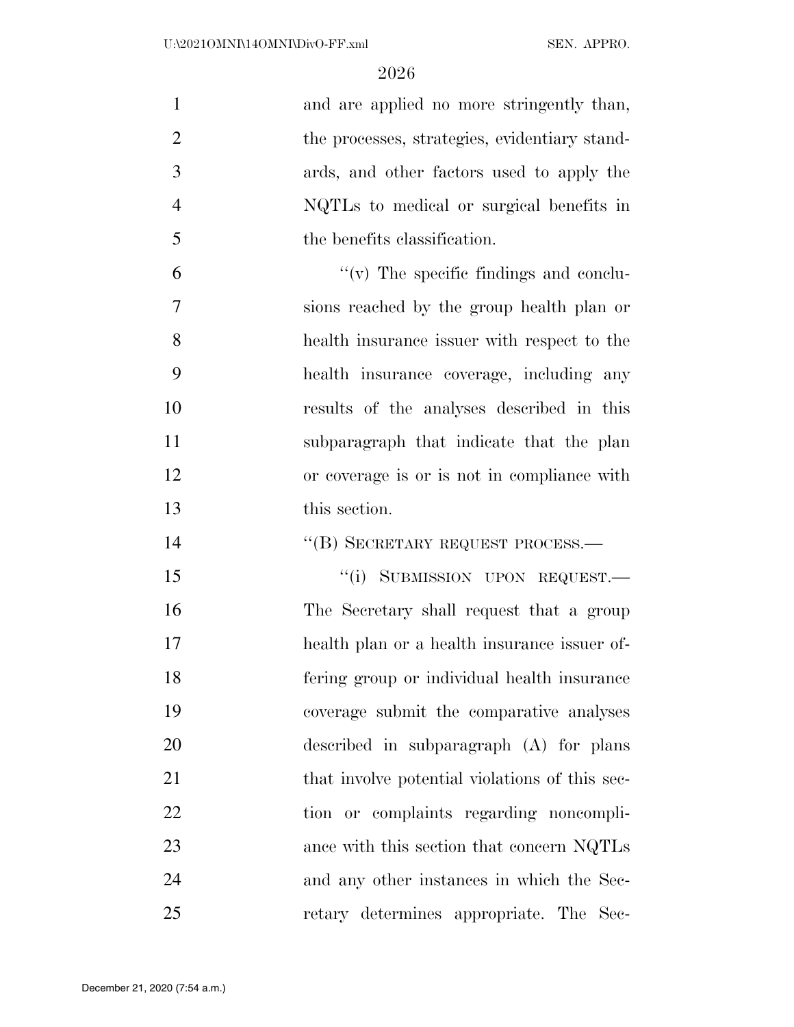| $\mathbf{1}$   | and are applied no more stringently than,      |
|----------------|------------------------------------------------|
| $\overline{2}$ | the processes, strategies, evidentiary stand-  |
| 3              | ards, and other factors used to apply the      |
| $\overline{4}$ | NQTLs to medical or surgical benefits in       |
| 5              | the benefits classification.                   |
| 6              | $\lq\lq$ (v) The specific findings and conclu- |
| $\overline{7}$ | sions reached by the group health plan or      |
| 8              | health insurance issuer with respect to the    |
| 9              | health insurance coverage, including any       |
| 10             | results of the analyses described in this      |
| 11             | subparagraph that indicate that the plan       |
| 12             | or coverage is or is not in compliance with    |
| 13             | this section.                                  |
| 14             | "(B) SECRETARY REQUEST PROCESS.-               |
| 15             | "(i) SUBMISSION UPON REQUEST.-                 |
| 16             | The Secretary shall request that a group       |
| 17             | health plan or a health insurance issuer of-   |
| 18             | fering group or individual health insurance    |
| 19             | coverage submit the comparative analyses       |
| 20             | described in subparagraph (A) for plans        |
| 21             | that involve potential violations of this sec- |
| 22             | tion or complaints regarding noncompli-        |
| 23             | ance with this section that concern NQTLs      |
| 24             | and any other instances in which the Sec-      |
| 25             | retary determines appropriate. The Sec-        |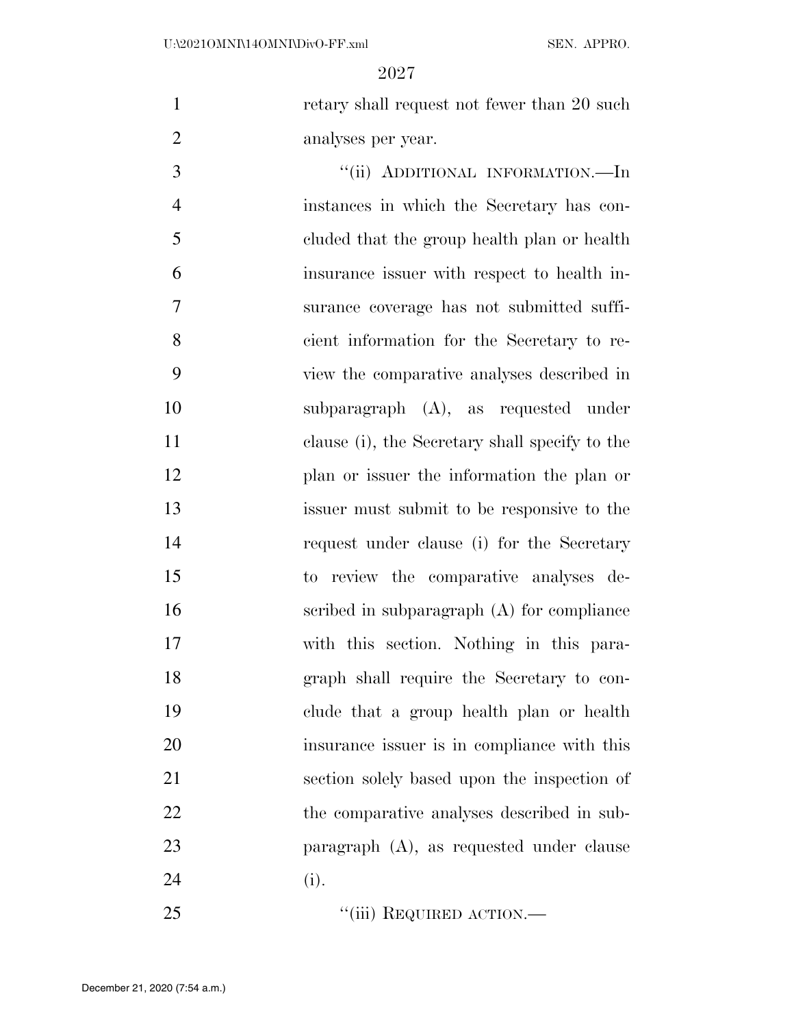1 retary shall request not fewer than 20 such analyses per year.

3 "(ii) ADDITIONAL INFORMATION.—In instances in which the Secretary has con- cluded that the group health plan or health insurance issuer with respect to health in- surance coverage has not submitted suffi- cient information for the Secretary to re- view the comparative analyses described in subparagraph (A), as requested under clause (i), the Secretary shall specify to the plan or issuer the information the plan or issuer must submit to be responsive to the request under clause (i) for the Secretary to review the comparative analyses de- scribed in subparagraph (A) for compliance with this section. Nothing in this para- graph shall require the Secretary to con- clude that a group health plan or health insurance issuer is in compliance with this section solely based upon the inspection of 22 the comparative analyses described in sub- paragraph (A), as requested under clause 24 (i).

25 "'(iii) REQUIRED ACTION.—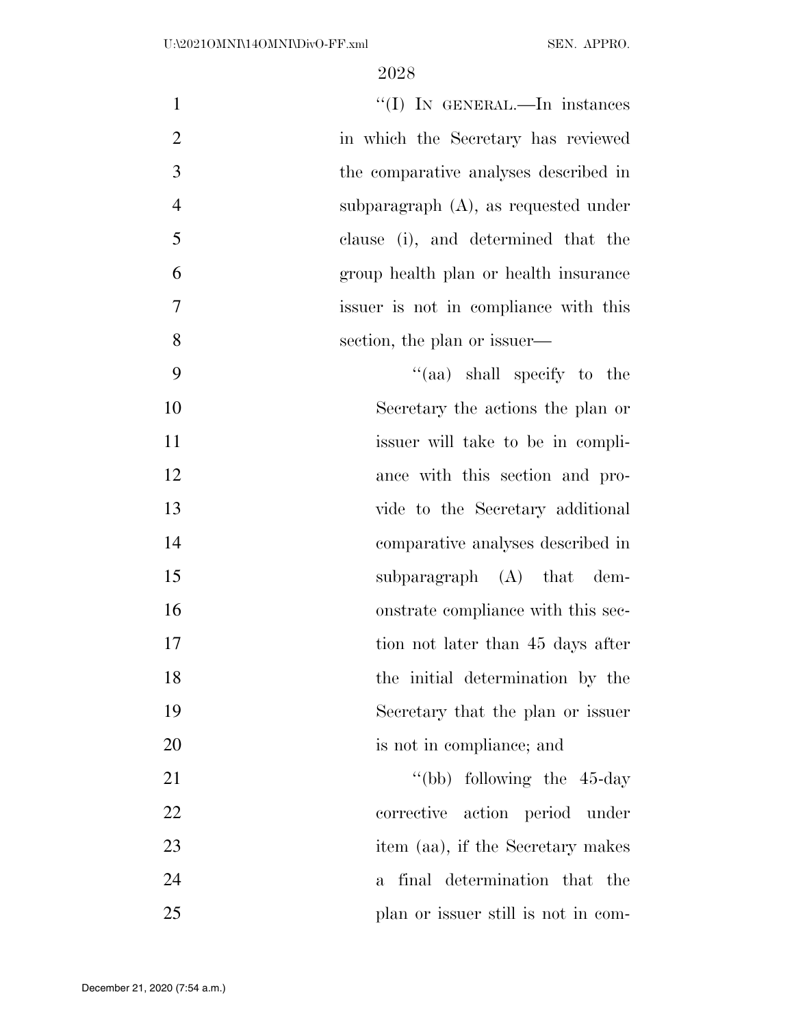| $\mathbf{1}$       | "(I) IN GENERAL.—In instances           |
|--------------------|-----------------------------------------|
| $\mathbf{2}$       | in which the Secretary has reviewed     |
| 3                  | the comparative analyses described in   |
| $\overline{4}$     | subparagraph $(A)$ , as requested under |
| 5                  | clause (i), and determined that the     |
| 6                  | group health plan or health insurance   |
| 7                  | issuer is not in compliance with this   |
| 8                  | section, the plan or issuer—            |
| 9                  | "(aa) shall specify to the              |
| 10                 | Secretary the actions the plan or       |
| 11                 | issuer will take to be in compli-       |
| 12                 | ance with this section and pro-         |
| 13                 | vide to the Secretary additional        |
| 14                 | comparative analyses described in       |
| 15                 | subparagraph $(A)$ that dem-            |
| 16                 | onstrate compliance with this sec-      |
| 17                 | tion not later than 45 days after       |
| 18                 | the initial determination by the        |
| 19                 | Secretary that the plan or issuer       |
| 20                 | is not in compliance; and               |
| 21                 | "(bb) following the $45$ -day           |
| 22                 | corrective action period under          |
| 23                 | item (aa), if the Secretary makes       |
| 24<br>$\mathbf{a}$ | final determination that the            |
| 25                 | plan or issuer still is not in com-     |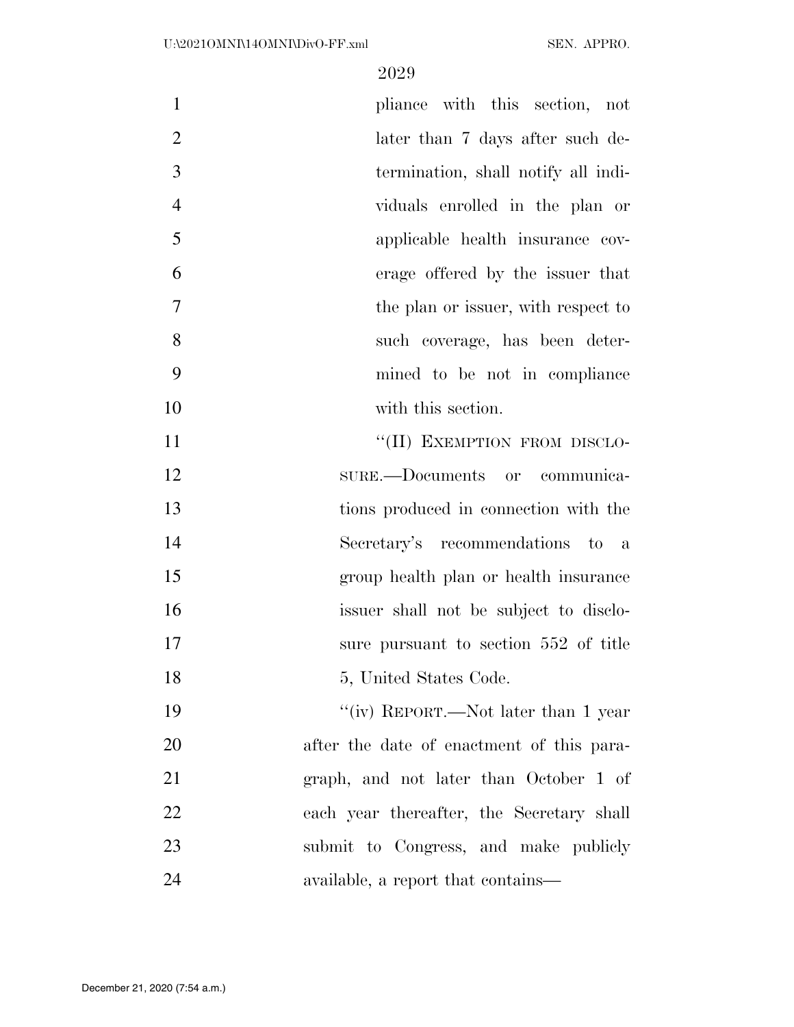| $\mathbf{1}$   | pliance with this section, not            |
|----------------|-------------------------------------------|
| $\overline{2}$ | later than 7 days after such de-          |
| 3              | termination, shall notify all indi-       |
| $\overline{4}$ | viduals enrolled in the plan or           |
| 5              | applicable health insurance cov-          |
| 6              | erage offered by the issuer that          |
| $\tau$         | the plan or issuer, with respect to       |
| 8              | such coverage, has been deter-            |
| 9              | mined to be not in compliance             |
| 10             | with this section.                        |
| 11             | "(II) EXEMPTION FROM DISCLO-              |
| 12             | sure.—Documents or communica-             |
| 13             | tions produced in connection with the     |
| 14             | Secretary's recommendations to a          |
| 15             | group health plan or health insurance     |
| 16             | issuer shall not be subject to disclo-    |
| 17             | sure pursuant to section 552 of title     |
| 18             | 5, United States Code.                    |
| 19             | "(iv) REPORT.—Not later than 1 year       |
| 20             | after the date of enactment of this para- |
| 21             | graph, and not later than October 1 of    |
| 22             | each year thereafter, the Secretary shall |
| 23             | submit to Congress, and make publicly     |
| 24             | available, a report that contains—        |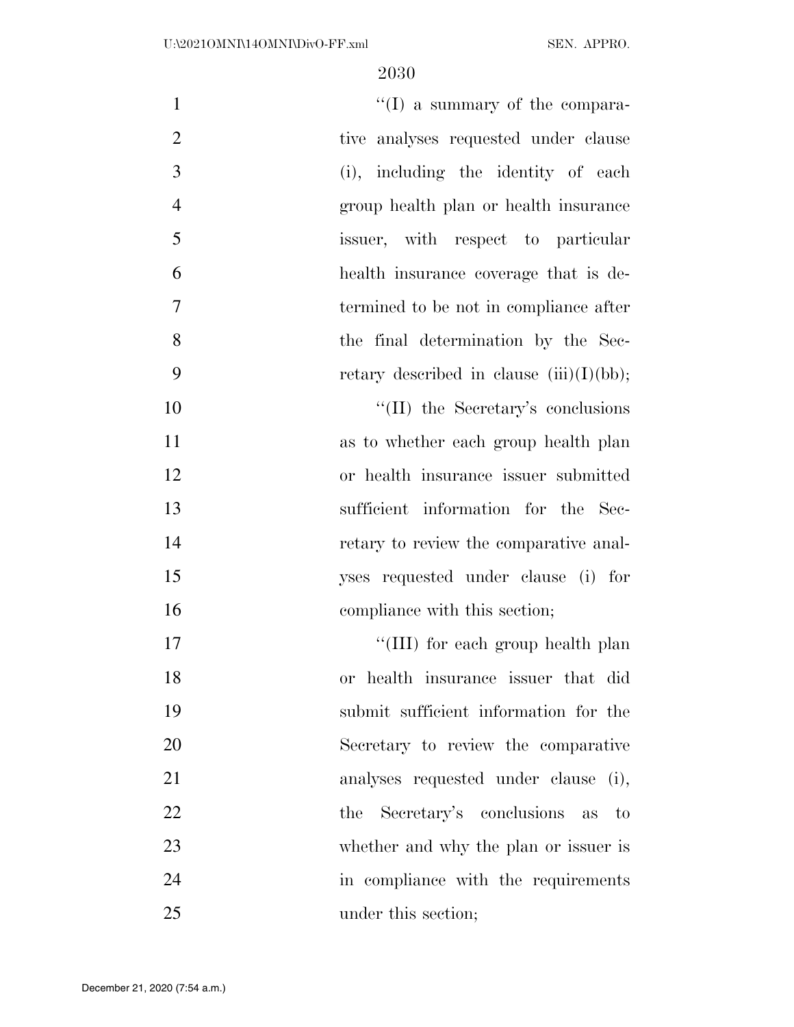| $\mathbf{1}$   | $\lq\lq$ a summary of the compara-          |
|----------------|---------------------------------------------|
| $\overline{2}$ | tive analyses requested under clause        |
| 3              | (i), including the identity of each         |
| $\overline{4}$ | group health plan or health insurance       |
| 5              | issuer, with respect to particular          |
| 6              | health insurance coverage that is de-       |
| 7              | termined to be not in compliance after      |
| 8              | the final determination by the Sec-         |
| 9              | retary described in clause $(iii)(I)(bb)$ ; |
| 10             | "(II) the Secretary's conclusions           |
| 11             | as to whether each group health plan        |
| 12             | or health insurance issuer submitted        |
| 13             | sufficient information for the Sec-         |
| 14             | retary to review the comparative anal-      |
| 15             | yses requested under clause (i) for         |
| 16             | compliance with this section;               |
| 17             | "(III) for each group health plan           |
| 18             | or health insurance issuer that did         |
| 19             | submit sufficient information for the       |
| 20             | Secretary to review the comparative         |
| 21             | analyses requested under clause (i),        |
| 22             | the Secretary's conclusions as to           |
| 23             | whether and why the plan or issuer is       |
| 24             | in compliance with the requirements         |
| 25             | under this section;                         |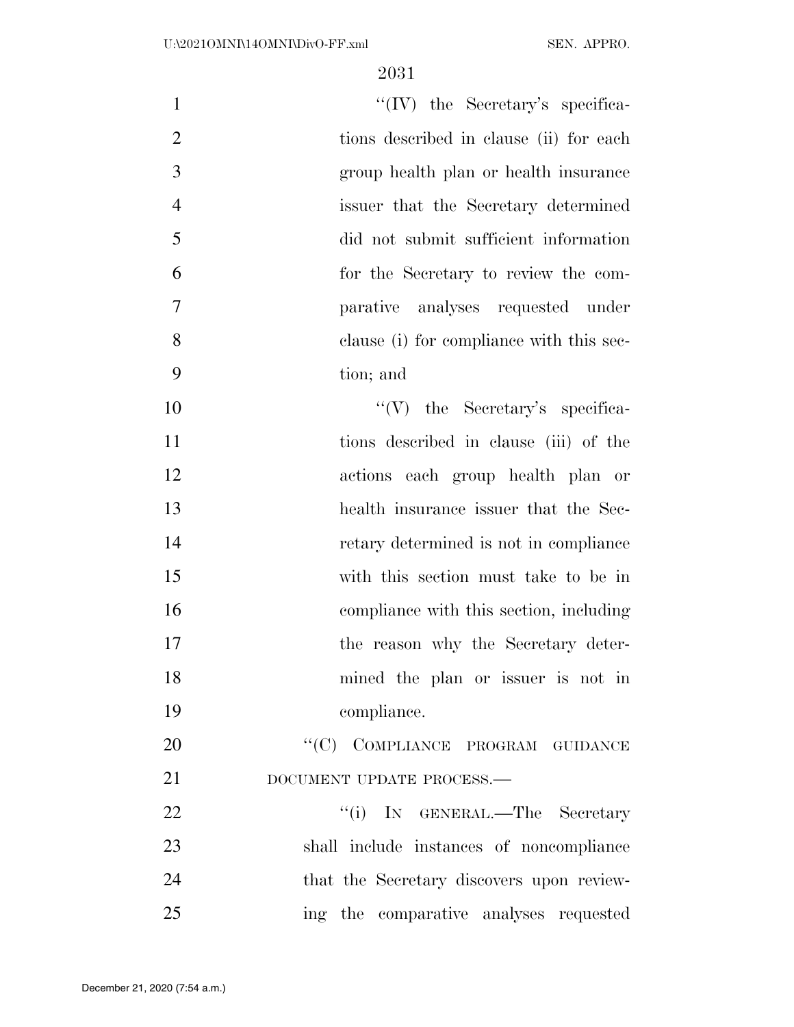| $\mathbf{1}$   | $``(IV)$ the Secretary's specifica-       |
|----------------|-------------------------------------------|
| $\overline{2}$ | tions described in clause (ii) for each   |
| 3              | group health plan or health insurance     |
| $\overline{4}$ | issuer that the Secretary determined      |
| 5              | did not submit sufficient information     |
| 6              | for the Secretary to review the com-      |
| 7              | parative analyses requested under         |
| 8              | clause (i) for compliance with this sec-  |
| 9              | tion; and                                 |
| 10             | $\lq\lq (V)$ the Secretary's specifica-   |
| 11             | tions described in clause (iii) of the    |
| 12             | actions each group health plan or         |
| 13             | health insurance issuer that the Sec-     |
| 14             | retary determined is not in compliance    |
| 15             | with this section must take to be in      |
| 16             | compliance with this section, including   |
| 17             | the reason why the Secretary deter-       |
| 18             | mined the plan or issuer is not in        |
| 19             | compliance.                               |
| 20             | "(C) COMPLIANCE PROGRAM GUIDANCE          |
| 21             | DOCUMENT UPDATE PROCESS.-                 |
| 22             | "(i) IN GENERAL.—The Secretary            |
| 23             | shall include instances of noncompliance  |
| 24             | that the Secretary discovers upon review- |
| 25             | ing the comparative analyses requested    |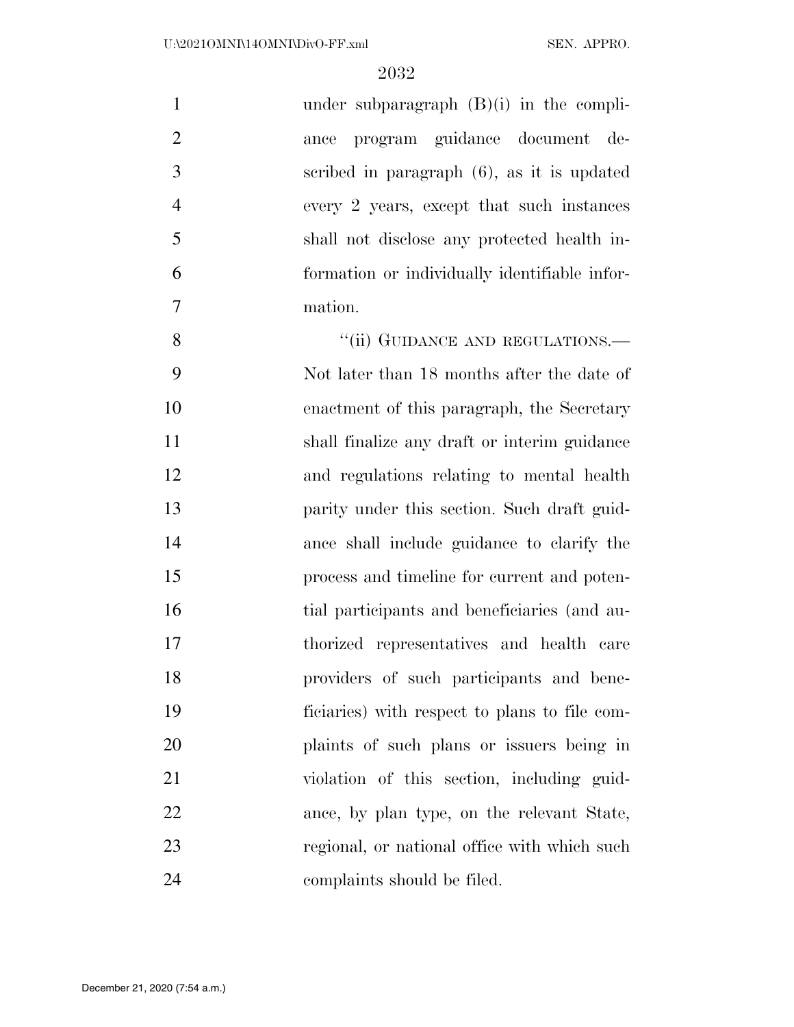| $\mathbf{1}$   | under subparagraph $(B)(i)$ in the compli-    |
|----------------|-----------------------------------------------|
| $\overline{2}$ | program guidance document de-<br>ance         |
| 3              | scribed in paragraph (6), as it is updated    |
| $\overline{4}$ | every 2 years, except that such instances     |
| 5              | shall not disclose any protected health in-   |
| 6              | formation or individually identifiable infor- |
| 7              | mation.                                       |
| 8              | "(ii) GUIDANCE AND REGULATIONS.—              |
| 9              | Not later than 18 months after the date of    |
| 10             | enactment of this paragraph, the Secretary    |
| 11             | shall finalize any draft or interim guidance  |
| 12             | and regulations relating to mental health     |
| 13             | parity under this section. Such draft guid-   |
| 14             | ance shall include guidance to clarify the    |
| 15             | process and timeline for current and poten-   |
| 16             | tial participants and beneficiaries (and au-  |
| 17             | thorized representatives and health care      |
| 18             | providers of such participants and bene-      |
| 19             | ficiaries) with respect to plans to file com- |
| 20             | plaints of such plans or issuers being in     |
| 21             | violation of this section, including guid-    |
| 22             | ance, by plan type, on the relevant State,    |
| 23             | regional, or national office with which such  |
| 24             | complaints should be filed.                   |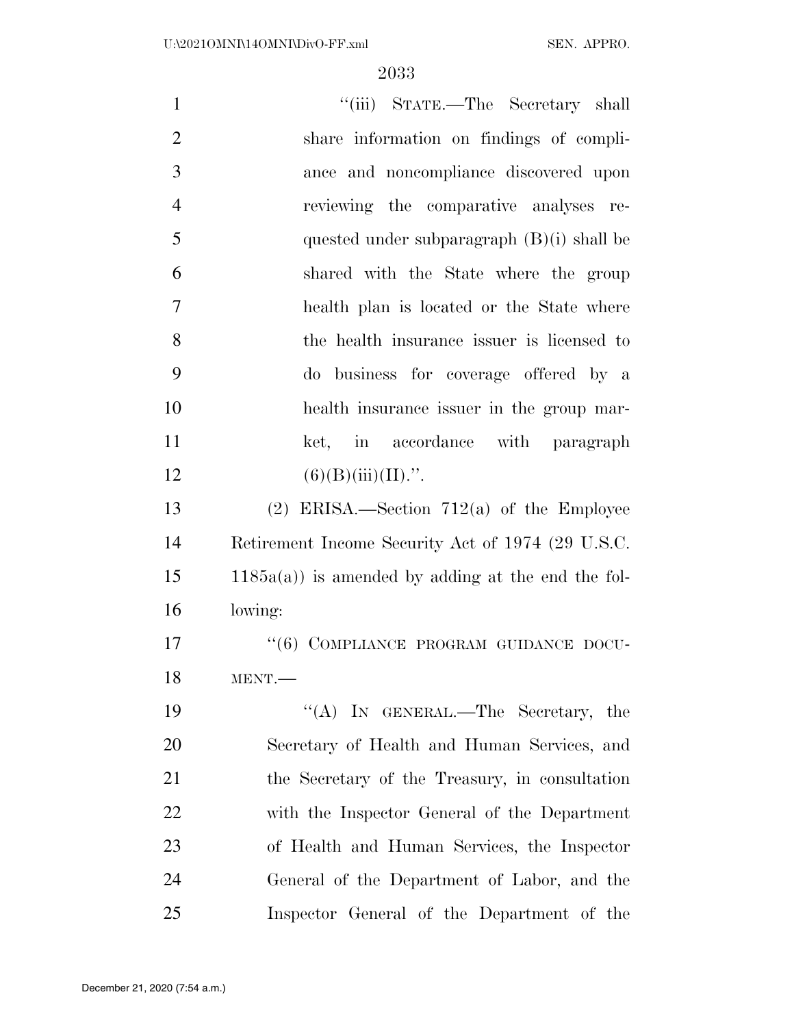| $\mathbf{1}$   | "(iii) STATE.—The Secretary shall                     |
|----------------|-------------------------------------------------------|
| $\overline{2}$ | share information on findings of compli-              |
| 3              | ance and noncompliance discovered upon                |
| $\overline{4}$ | reviewing the comparative analyses re-                |
| 5              | quested under subparagraph $(B)(i)$ shall be          |
| 6              | shared with the State where the group                 |
| 7              | health plan is located or the State where             |
| 8              | the health insurance issuer is licensed to            |
| 9              | do business for coverage offered by a                 |
| 10             | health insurance issuer in the group mar-             |
| 11             | ket, in accordance with paragraph                     |
| 12             | $(6)(B)(iii)(II)$ .".                                 |
| 13             | $(2)$ ERISA.—Section 712(a) of the Employee           |
| 14             | Retirement Income Security Act of 1974 (29 U.S.C.     |
| 15             | $1185a(a)$ ) is amended by adding at the end the fol- |
| 16             | lowing:                                               |
| 17             | "(6) COMPLIANCE PROGRAM GUIDANCE DOCU-                |
| 18             | MENT.                                                 |
| 19             | "(A) IN GENERAL.—The Secretary, the                   |
| 20             | Secretary of Health and Human Services, and           |
| 21             | the Secretary of the Treasury, in consultation        |
| 22             | with the Inspector General of the Department          |
| 23             | of Health and Human Services, the Inspector           |
| 24             | General of the Department of Labor, and the           |
| 25             | Inspector General of the Department of the            |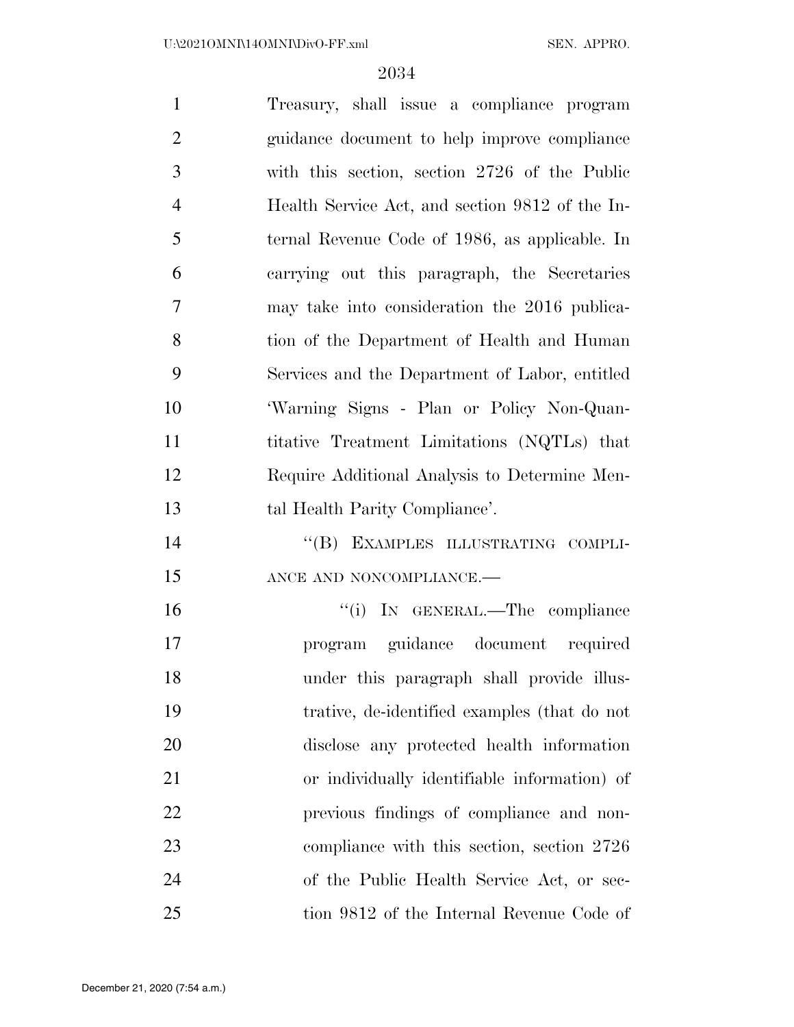| $\mathbf{1}$   | Treasury, shall issue a compliance program      |
|----------------|-------------------------------------------------|
| $\overline{2}$ | guidance document to help improve compliance    |
| 3              | with this section, section 2726 of the Public   |
| $\overline{4}$ | Health Service Act, and section 9812 of the In- |
| 5              | ternal Revenue Code of 1986, as applicable. In  |
| 6              | carrying out this paragraph, the Secretaries    |
| 7              | may take into consideration the 2016 publica-   |
| 8              | tion of the Department of Health and Human      |
| 9              | Services and the Department of Labor, entitled  |
| 10             | 'Warning Signs - Plan or Policy Non-Quan-       |
| 11             | titative Treatment Limitations (NQTLs) that     |
| 12             | Require Additional Analysis to Determine Men-   |
| 13             | tal Health Parity Compliance'.                  |
| 14             | "(B) EXAMPLES ILLUSTRATING COMPLI-              |
| 15             | ANCE AND NONCOMPLIANCE.-                        |
| 16             | "(i) IN GENERAL.—The compliance                 |
| 17             | program guidance document required              |
| 18             | under this paragraph shall provide illus-       |
| 19             | trative, de-identified examples (that do not    |
| 20             | disclose any protected health information       |
| 21             | or individually identifiable information) of    |
| 22             | previous findings of compliance and non-        |
| 23             | compliance with this section, section 2726      |
| 24             | of the Public Health Service Act, or sec-       |
| 25             | tion 9812 of the Internal Revenue Code of       |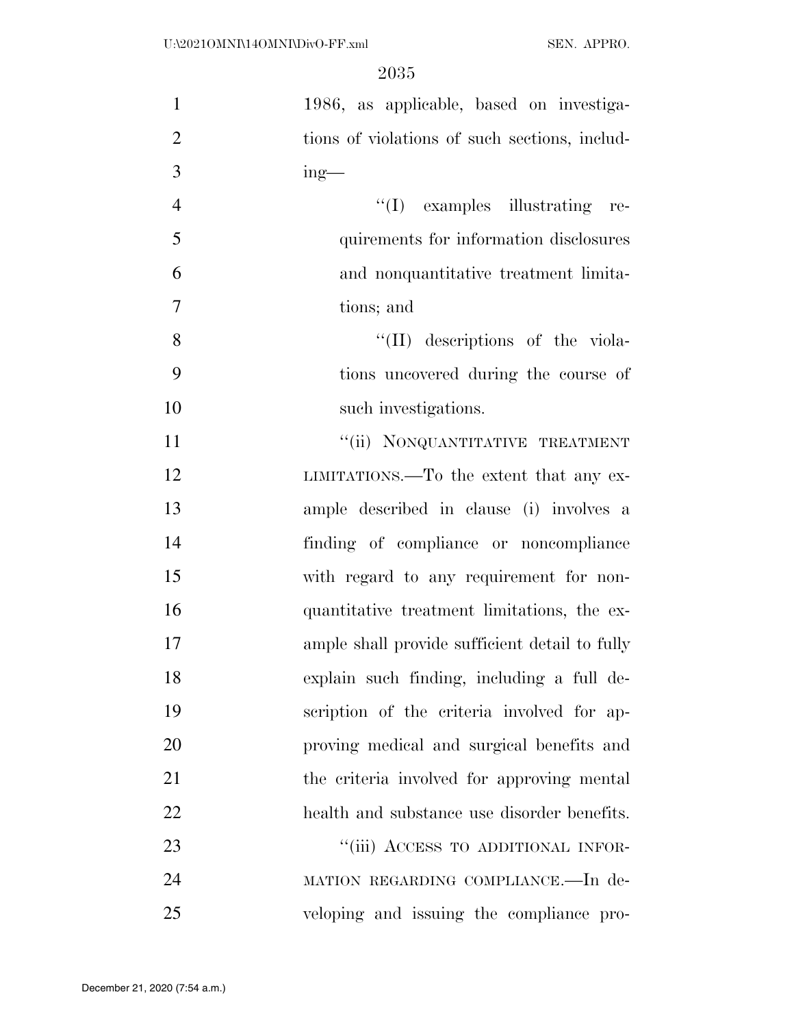| $\mathbf{1}$   | 1986, as applicable, based on investiga-       |
|----------------|------------------------------------------------|
| $\overline{2}$ | tions of violations of such sections, includ-  |
| 3              | $ing$ —                                        |
| $\overline{4}$ | $\lq\lq$ examples illustrating re-             |
| 5              | quirements for information disclosures         |
| 6              | and nonquantitative treatment limita-          |
| 7              | tions; and                                     |
| 8              | "(II) descriptions of the viola-               |
| 9              | tions uncovered during the course of           |
| 10             | such investigations.                           |
| 11             | "(ii) NONQUANTITATIVE TREATMENT                |
| 12             | LIMITATIONS.—To the extent that any ex-        |
| 13             | ample described in clause (i) involves a       |
| 14             | finding of compliance or noncompliance         |
| 15             | with regard to any requirement for non-        |
| 16             | quantitative treatment limitations, the ex-    |
| 17             | ample shall provide sufficient detail to fully |
| 18             | explain such finding, including a full de-     |
| 19             | scription of the criteria involved for ap-     |
| 20             | proving medical and surgical benefits and      |
| 21             | the criteria involved for approving mental     |
| 22             | health and substance use disorder benefits.    |
| 23             | "(iii) ACCESS TO ADDITIONAL INFOR-             |
| 24             | MATION REGARDING COMPLIANCE.—In de-            |
| 25             | veloping and issuing the compliance pro-       |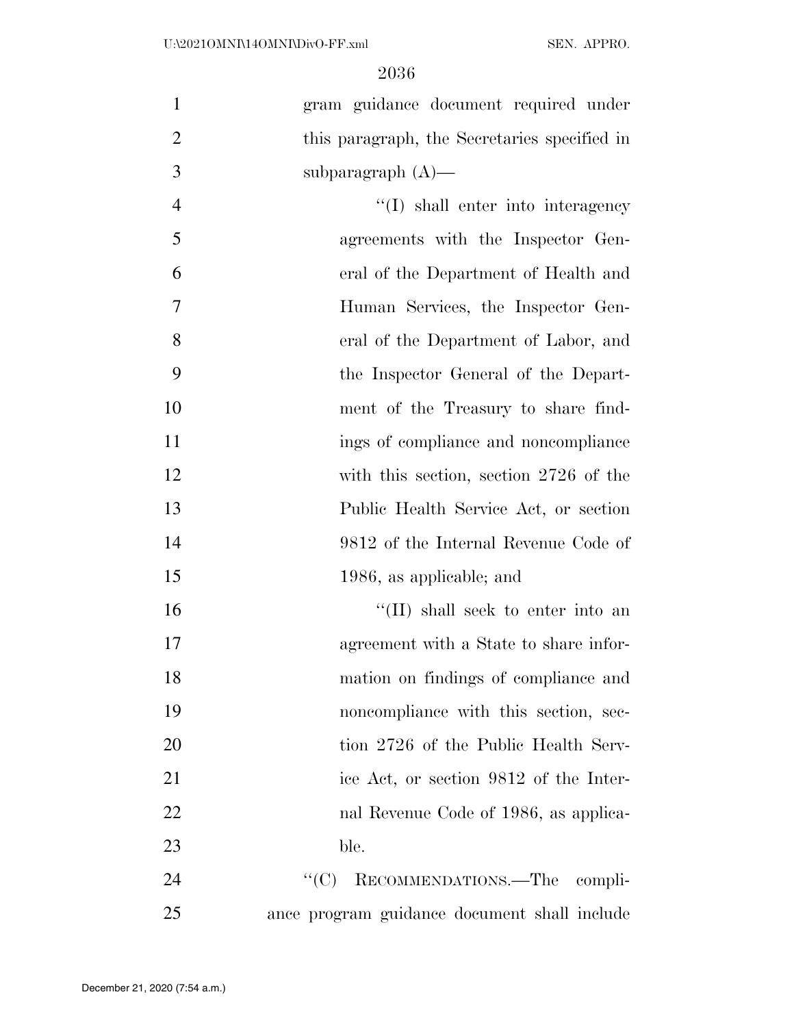| $\mathbf{1}$   | gram guidance document required under        |
|----------------|----------------------------------------------|
| $\overline{2}$ | this paragraph, the Secretaries specified in |
| 3              | subparagraph $(A)$ —                         |
| $\overline{4}$ | $\lq\lq$ shall enter into interagency        |
| 5              | agreements with the Inspector Gen-           |
| 6              | eral of the Department of Health and         |
| 7              | Human Services, the Inspector Gen-           |
| 8              | eral of the Department of Labor, and         |
| 9              | the Inspector General of the Depart-         |
| 10             | ment of the Treasury to share find-          |
| 11             | ings of compliance and noncompliance         |
| 12             | with this section, section 2726 of the       |
| 13             | Public Health Service Act, or section        |
| 14             | 9812 of the Internal Revenue Code of         |
| 15             | 1986, as applicable; and                     |
| 16             | "(II) shall seek to enter into an            |
| 17             | agreement with a State to share infor-       |
| 18             | mation on findings of compliance and         |
| 19             | noncompliance with this section, sec-        |
| 20             | tion 2726 of the Public Health Serv-         |
| 21             | ice Act, or section 9812 of the Inter-       |
| 22             | nal Revenue Code of 1986, as applica-        |
| 23             | ble.                                         |
| 24             | RECOMMENDATIONS.-The compli-<br>``(C)        |
| 25             | ance program guidance document shall include |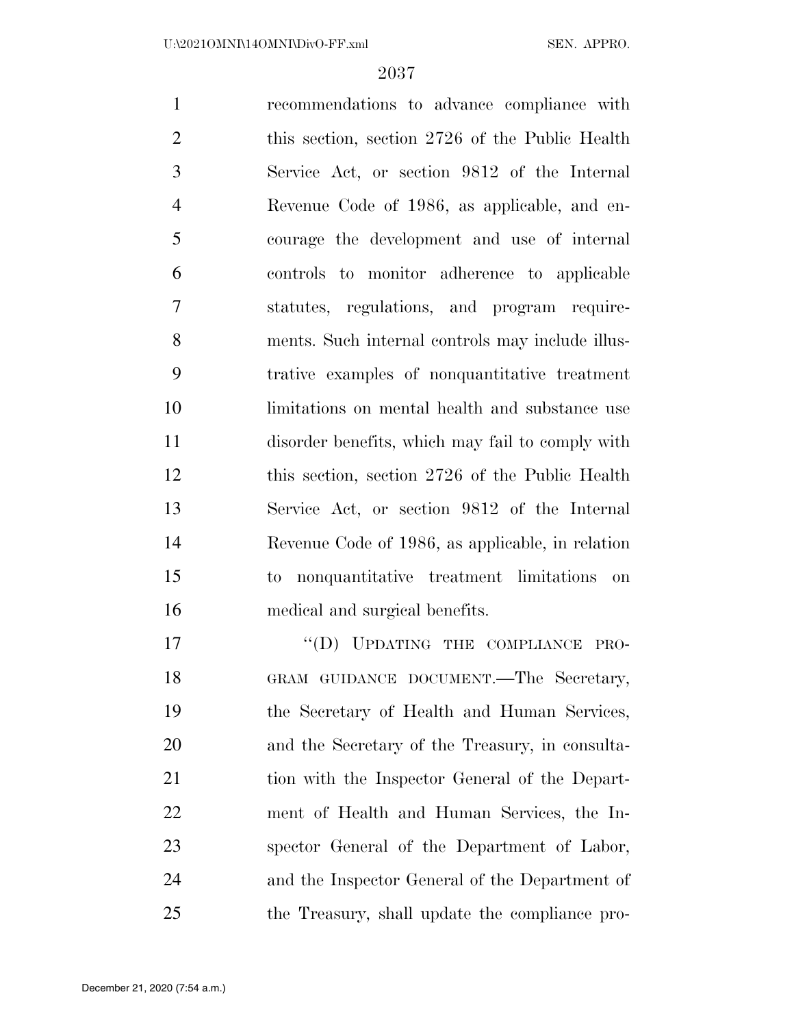recommendations to advance compliance with 2 this section, section 2726 of the Public Health Service Act, or section 9812 of the Internal Revenue Code of 1986, as applicable, and en- courage the development and use of internal controls to monitor adherence to applicable statutes, regulations, and program require- ments. Such internal controls may include illus- trative examples of nonquantitative treatment limitations on mental health and substance use disorder benefits, which may fail to comply with this section, section 2726 of the Public Health Service Act, or section 9812 of the Internal Revenue Code of 1986, as applicable, in relation to nonquantitative treatment limitations on medical and surgical benefits. 17 "(D) UPDATING THE COMPLIANCE PRO-

18 GRAM GUIDANCE DOCUMENT.—The Secretary, the Secretary of Health and Human Services, and the Secretary of the Treasury, in consulta-21 tion with the Inspector General of the Depart- ment of Health and Human Services, the In- spector General of the Department of Labor, and the Inspector General of the Department of the Treasury, shall update the compliance pro-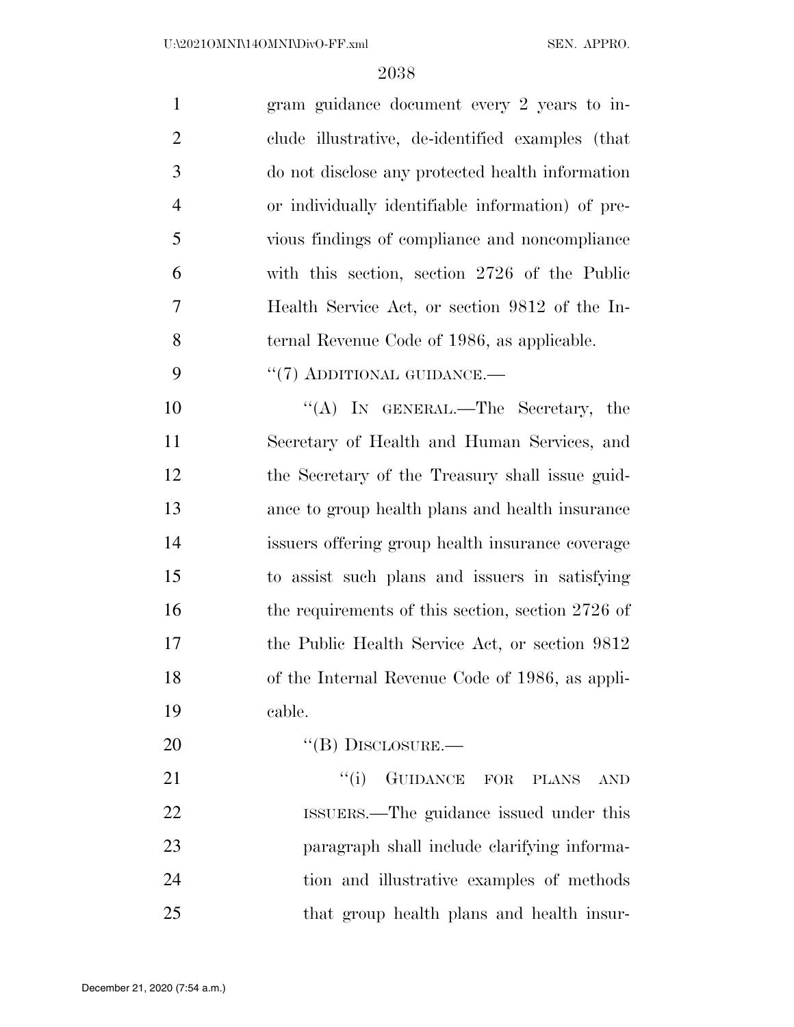| $\mathbf{1}$    | gram guidance document every 2 years to in-         |
|-----------------|-----------------------------------------------------|
| $\overline{2}$  | clude illustrative, de-identified examples (that    |
| 3               | do not disclose any protected health information    |
| $\overline{4}$  | or individually identifiable information) of pre-   |
| 5               | vious findings of compliance and noncompliance      |
| 6               | with this section, section 2726 of the Public       |
| 7               | Health Service Act, or section 9812 of the In-      |
| 8               | ternal Revenue Code of 1986, as applicable.         |
| 9               | "(7) ADDITIONAL GUIDANCE.—                          |
| 10              | "(A) IN GENERAL.—The Secretary, the                 |
| 11              | Secretary of Health and Human Services, and         |
| 12              | the Secretary of the Treasury shall issue guid-     |
| 13              | ance to group health plans and health insurance     |
| 14              | issuers offering group health insurance coverage    |
| 15              | to assist such plans and issuers in satisfying      |
| 16              | the requirements of this section, section $2726$ of |
| 17              | the Public Health Service Act, or section 9812      |
| 18              | of the Internal Revenue Code of 1986, as appli-     |
| 19              | cable.                                              |
| 20              | $\lq\lq$ (B) DISCLOSURE.—                           |
| $\overline{21}$ | "(i) GUIDANCE FOR PLANS AND                         |

21 "(i) GUIDANCE FOR PLANS AND ISSUERS.—The guidance issued under this paragraph shall include clarifying informa- tion and illustrative examples of methods that group health plans and health insur-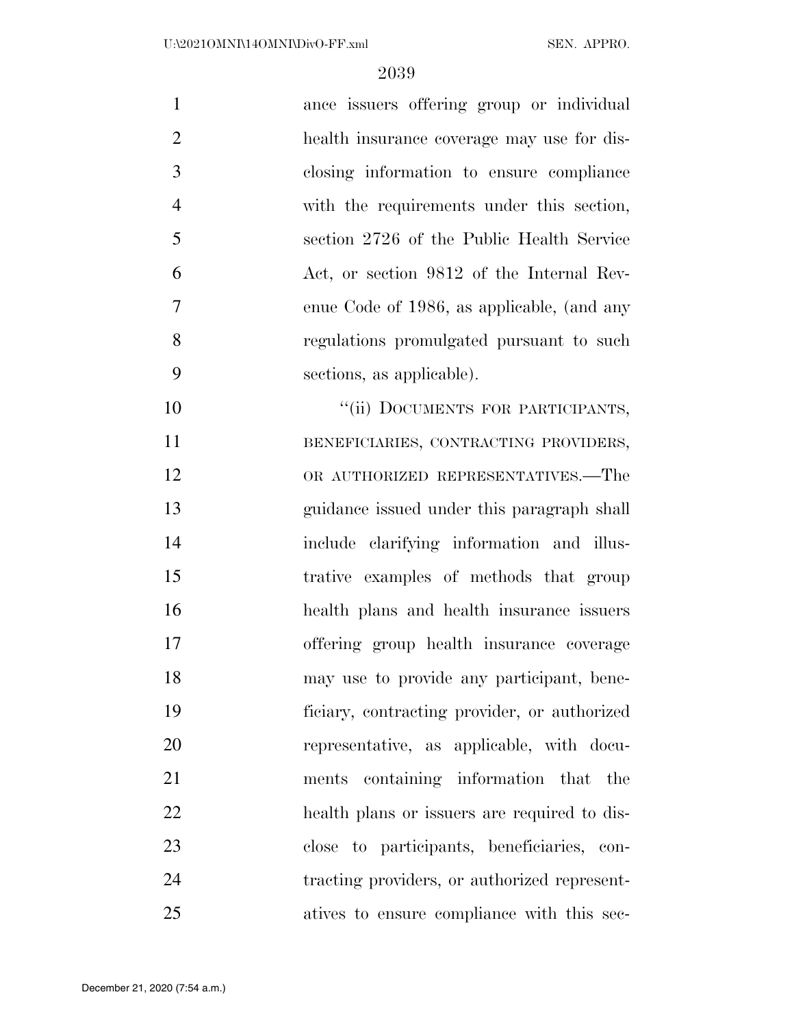| $\mathbf{1}$   | ance issuers offering group or individual    |
|----------------|----------------------------------------------|
| $\overline{2}$ | health insurance coverage may use for dis-   |
| 3              | closing information to ensure compliance     |
| $\overline{4}$ | with the requirements under this section,    |
| 5              | section 2726 of the Public Health Service    |
| 6              | Act, or section 9812 of the Internal Rev-    |
| $\overline{7}$ | enue Code of 1986, as applicable, (and any   |
| 8              | regulations promulgated pursuant to such     |
| 9              | sections, as applicable).                    |
| 10             | "(ii) DOCUMENTS FOR PARTICIPANTS,            |
| 11             | BENEFICIARIES, CONTRACTING PROVIDERS,        |
| 12             | OR AUTHORIZED REPRESENTATIVES.—The           |
| 13             | guidance issued under this paragraph shall   |
| 14             | include clarifying information and illus-    |
| 15             | trative examples of methods that group       |
| 16             | health plans and health insurance issuers    |
| 17             | offering group health insurance coverage     |
| 18             | may use to provide any participant, bene-    |
| 19             | ficiary, contracting provider, or authorized |
| 20             | representative, as applicable, with docu-    |
| 21             | containing information that the<br>ments     |
| 22             | health plans or issuers are required to dis- |
| 23             | close to participants, beneficiaries, con-   |
| 24             | tracting providers, or authorized represent- |
| 25             | atives to ensure compliance with this sec-   |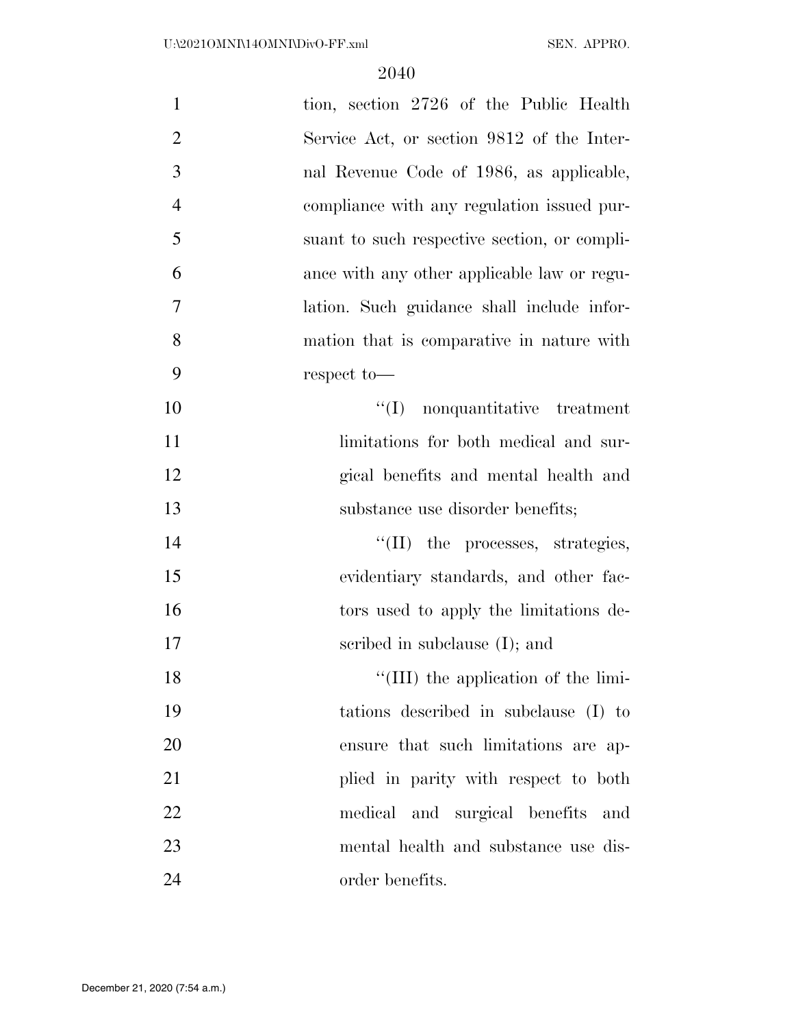| $\mathbf{1}$   | tion, section 2726 of the Public Health      |
|----------------|----------------------------------------------|
| $\overline{2}$ | Service Act, or section 9812 of the Inter-   |
| 3              | nal Revenue Code of 1986, as applicable,     |
| $\overline{4}$ | compliance with any regulation issued pur-   |
| 5              | suant to such respective section, or compli- |
| 6              | ance with any other applicable law or regu-  |
| $\overline{7}$ | lation. Such guidance shall include infor-   |
| 8              | mation that is comparative in nature with    |
| 9              | respect to-                                  |
| 10             | $\lq\lq$ nonquantitative treatment           |
| 11             | limitations for both medical and sur-        |
| 12             | gical benefits and mental health and         |
|                |                                              |
| 13             | substance use disorder benefits;             |
| 14             | $\lq\lq$ (II) the processes, strategies,     |
| 15             | evidentiary standards, and other fac-        |
| 16             | tors used to apply the limitations de-       |
| 17             | scribed in subclause $(I)$ ; and             |
| 18             | "(III) the application of the limi-          |
| 19             | tations described in subclause (I) to        |
| 20             | ensure that such limitations are ap-         |
| 21             | plied in parity with respect to both         |
| 22             | medical and surgical benefits and            |
| 23             | mental health and substance use dis-         |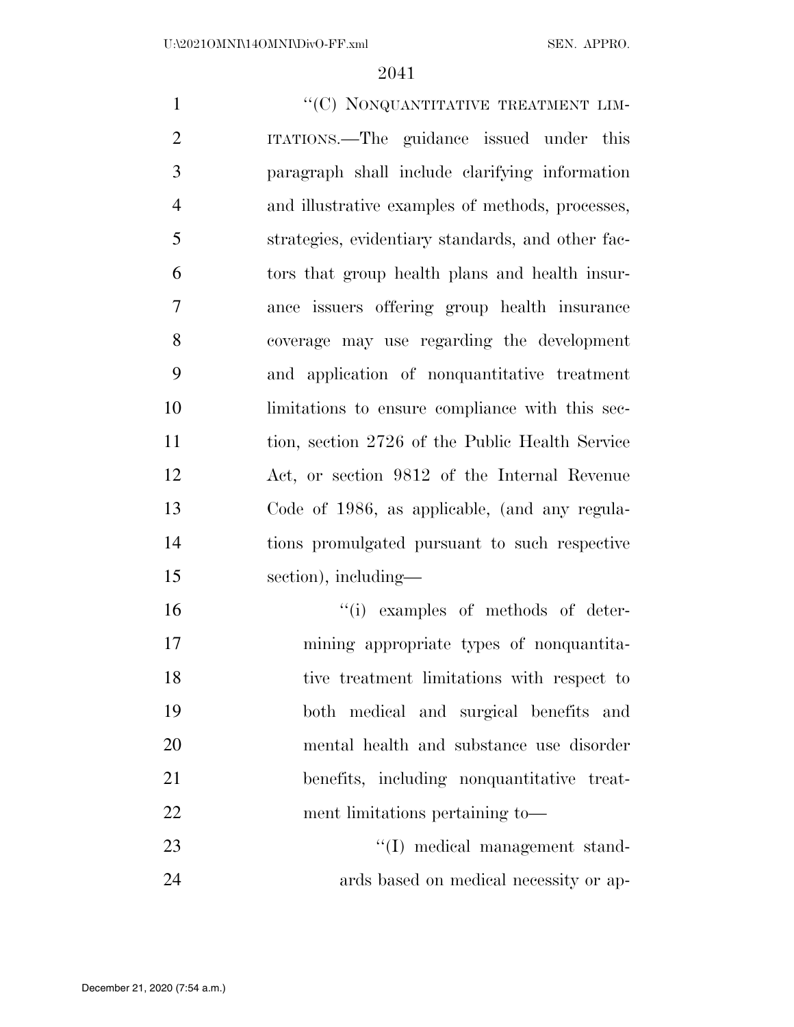$``$ (C) NONQUANTITATIVE TREATMENT LIM- ITATIONS.—The guidance issued under this paragraph shall include clarifying information and illustrative examples of methods, processes, strategies, evidentiary standards, and other fac- tors that group health plans and health insur- ance issuers offering group health insurance coverage may use regarding the development and application of nonquantitative treatment limitations to ensure compliance with this sec- tion, section 2726 of the Public Health Service Act, or section 9812 of the Internal Revenue Code of 1986, as applicable, (and any regula- tions promulgated pursuant to such respective section), including—  $"$ (i) examples of methods of deter- mining appropriate types of nonquantita- tive treatment limitations with respect to both medical and surgical benefits and mental health and substance use disorder benefits, including nonquantitative treat-ment limitations pertaining to—

23 ''(I) medical management stand-ards based on medical necessity or ap-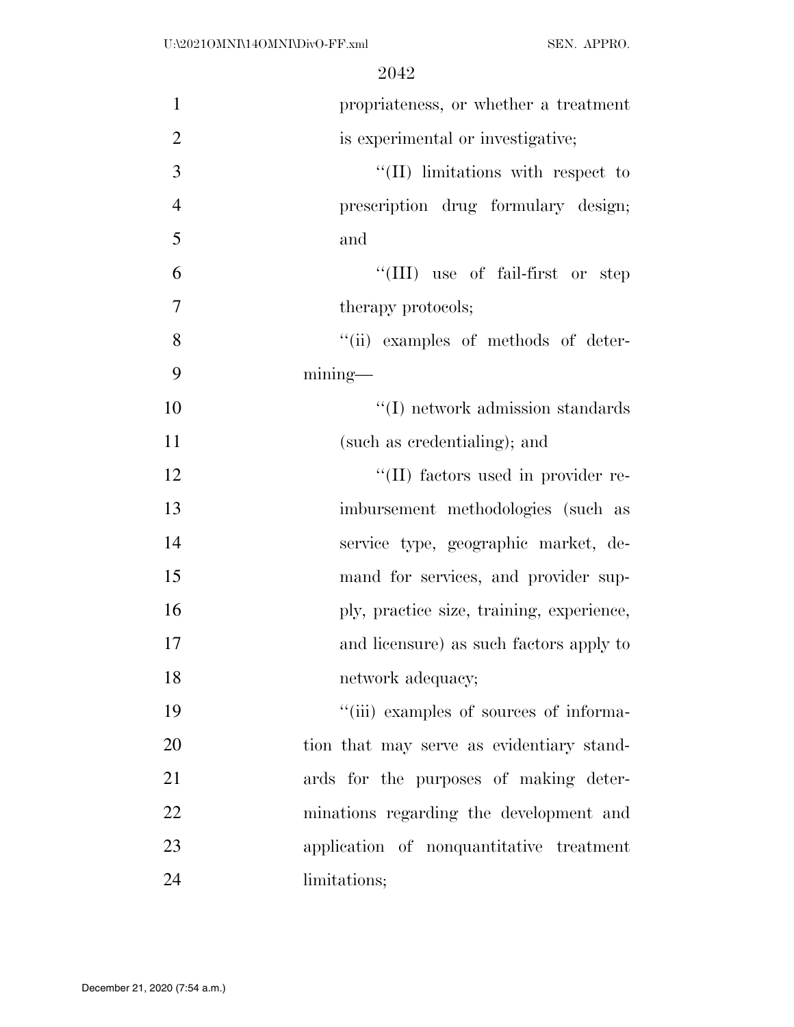| $\mathbf{1}$   | propriateness, or whether a treatment     |
|----------------|-------------------------------------------|
| $\overline{2}$ | is experimental or investigative;         |
| 3              | "(II) limitations with respect to         |
| $\overline{4}$ | prescription drug formulary design;       |
| 5              | and                                       |
| 6              | "(III) use of fail-first or step          |
| $\overline{7}$ | therapy protocols;                        |
| 8              | "(ii) examples of methods of deter-       |
| 9              | $mining$ —                                |
| 10             | $\lq\lq$ (I) network admission standards  |
| 11             | (such as credentialing); and              |
| 12             | "(II) factors used in provider re-        |
| 13             | imbursement methodologies (such as        |
| 14             | service type, geographic market, de-      |
| 15             | mand for services, and provider sup-      |
| 16             | ply, practice size, training, experience, |
| 17             | and licensure) as such factors apply to   |
| 18             | network adequacy;                         |
| 19             | "(iii) examples of sources of informa-    |
| 20             | tion that may serve as evidentiary stand- |
| 21             | ards for the purposes of making deter-    |
| 22             | minations regarding the development and   |
| 23             | application of nonquantitative treatment  |
| 24             | limitations;                              |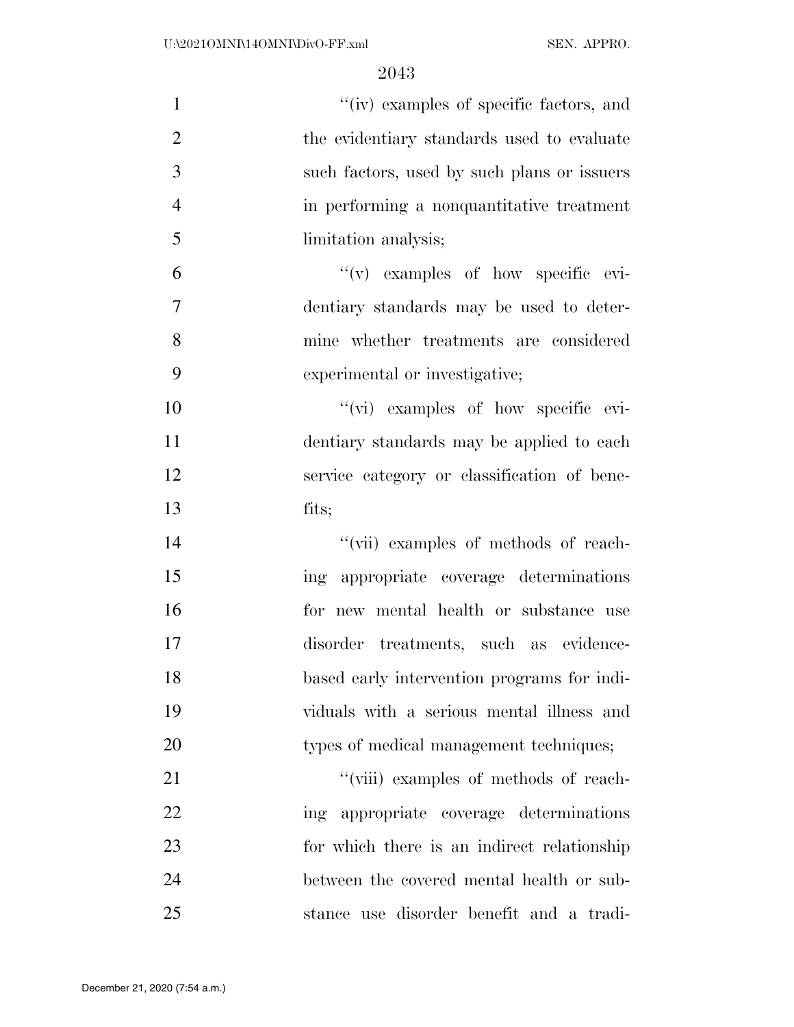| $\mathbf{1}$   | "(iv) examples of specific factors, and     |
|----------------|---------------------------------------------|
| $\overline{2}$ | the evidentiary standards used to evaluate  |
| 3              | such factors, used by such plans or issuers |
| $\overline{4}$ | in performing a nonquantitative treatment   |
| 5              | limitation analysis;                        |
| 6              | $f'(v)$ examples of how specific evi-       |
| 7              | dentiary standards may be used to deter-    |
| 8              | mine whether treatments are considered      |
| 9              | experimental or investigative;              |
| 10             | "(vi) examples of how specific evi-         |
| 11             | dentiary standards may be applied to each   |
| 12             | service category or classification of bene- |
| 13             | fits;                                       |
| 14             | "(vii) examples of methods of reach-        |
| 15             | ing appropriate coverage determinations     |
| 16             | for new mental health or substance use      |
| 17             | disorder treatments, such as evidence-      |
| 18             | based early intervention programs for indi- |
| 19             | viduals with a serious mental illness and   |
| 20             | types of medical management techniques;     |
| 21             | "(viii) examples of methods of reach-       |
| 22             | ing appropriate coverage determinations     |
| 23             | for which there is an indirect relationship |
| 24             | between the covered mental health or sub-   |
| 25             | stance use disorder benefit and a tradi-    |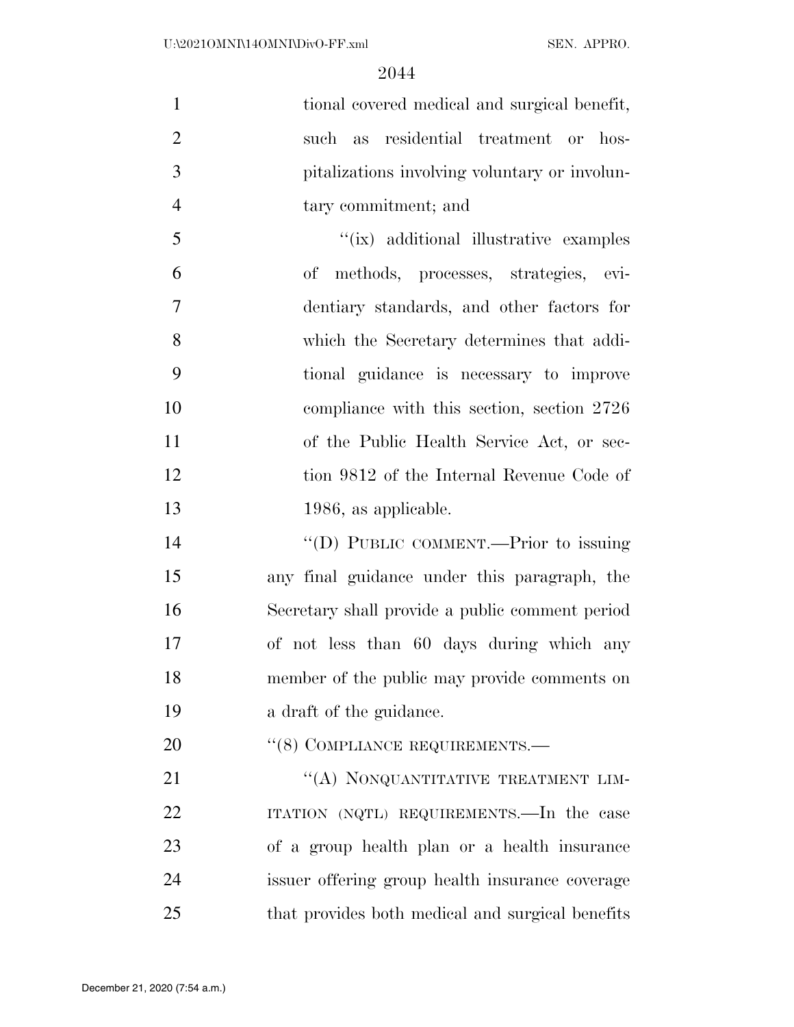| $\mathbf{1}$   | tional covered medical and surgical benefit,     |
|----------------|--------------------------------------------------|
| $\overline{2}$ | residential treatment or<br>hos-<br>such<br>as   |
| 3              | pitalizations involving voluntary or involun-    |
| $\overline{4}$ | tary commitment; and                             |
| 5              | "(ix) additional illustrative examples           |
| 6              | methods, processes, strategies, evi-<br>оf       |
| 7              | dentiary standards, and other factors for        |
| 8              | which the Secretary determines that addi-        |
| 9              | tional guidance is necessary to improve          |
| 10             | compliance with this section, section 2726       |
| 11             | of the Public Health Service Act, or sec-        |
| 12             | tion 9812 of the Internal Revenue Code of        |
| 13             | 1986, as applicable.                             |
| 14             | "(D) PUBLIC COMMENT.—Prior to issuing            |
| 15             | any final guidance under this paragraph, the     |
| 16             | Secretary shall provide a public comment period  |
| 17             | of not less than 60 days during which any        |
| 18             | member of the public may provide comments on     |
| 19             | a draft of the guidance.                         |
| 20             | "(8) COMPLIANCE REQUIREMENTS.—                   |
| 21             | "(A) NONQUANTITATIVE TREATMENT LIM-              |
| 22             | ITATION (NQTL) REQUIREMENTS.—In the case         |
| 23             | of a group health plan or a health insurance     |
| 24             | issuer offering group health insurance coverage  |
| 25             | that provides both medical and surgical benefits |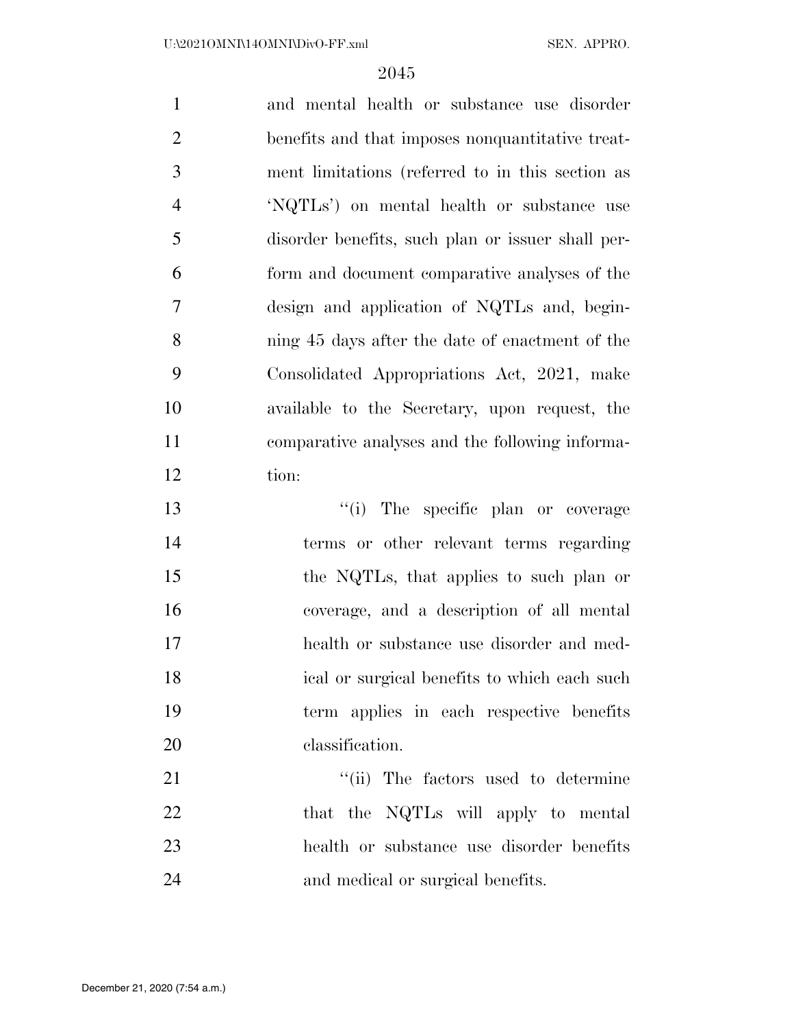and mental health or substance use disorder benefits and that imposes nonquantitative treat- ment limitations (referred to in this section as 'NQTLs') on mental health or substance use disorder benefits, such plan or issuer shall per- form and document comparative analyses of the design and application of NQTLs and, begin- ning 45 days after the date of enactment of the Consolidated Appropriations Act, 2021, make available to the Secretary, upon request, the comparative analyses and the following informa- tion:  $\frac{1}{2}$  The specific plan or coverage terms or other relevant terms regarding the NQTLs, that applies to such plan or coverage, and a description of all mental health or substance use disorder and med-

 ical or surgical benefits to which each such term applies in each respective benefits classification.

 $\frac{1}{1}$  The factors used to determine 22 that the NQTLs will apply to mental health or substance use disorder benefits and medical or surgical benefits.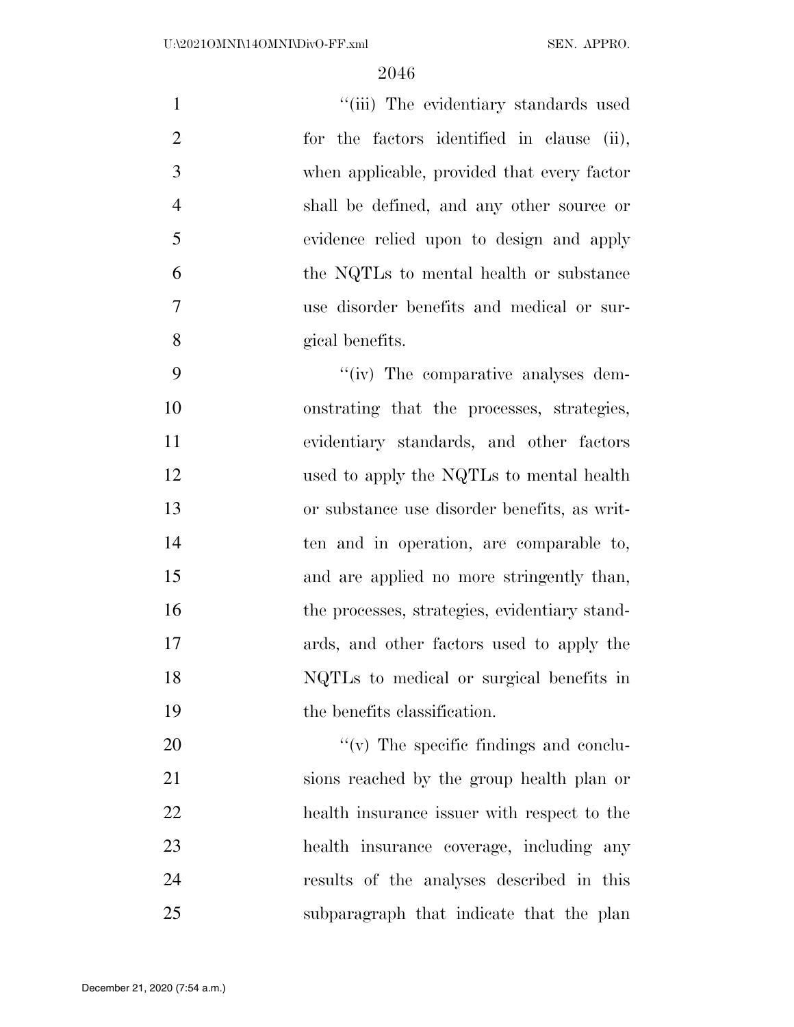| $\mathbf{1}$   | "(iii) The evidentiary standards used       |
|----------------|---------------------------------------------|
| 2              | for the factors identified in clause (ii),  |
| 3              | when applicable, provided that every factor |
| $\overline{4}$ | shall be defined, and any other source or   |
| 5              | evidence relied upon to design and apply    |
| 6              | the NQTLs to mental health or substance     |
| $\overline{7}$ | use disorder benefits and medical or sur-   |
| 8              | gical benefits.                             |
|                |                                             |

 $\frac{u^2}{v}$  The comparative analyses dem- onstrating that the processes, strategies, evidentiary standards, and other factors 12 used to apply the NQTLs to mental health or substance use disorder benefits, as writ- ten and in operation, are comparable to, and are applied no more stringently than, 16 the processes, strategies, evidentiary stand- ards, and other factors used to apply the NQTLs to medical or surgical benefits in the benefits classification.

 $''(v)$  The specific findings and conclu- sions reached by the group health plan or health insurance issuer with respect to the health insurance coverage, including any results of the analyses described in this subparagraph that indicate that the plan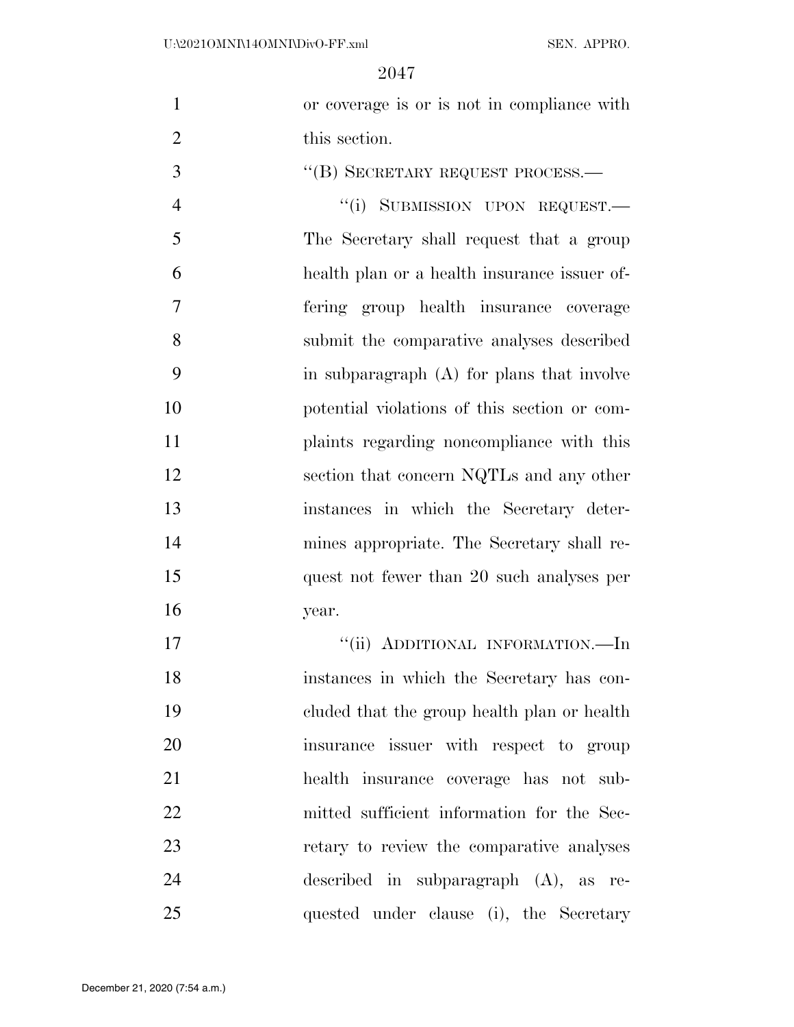| $\mathbf{1}$   | or coverage is or is not in compliance with  |
|----------------|----------------------------------------------|
| $\overline{2}$ | this section.                                |
| 3              | "(B) SECRETARY REQUEST PROCESS.-             |
| $\overline{4}$ | "(i) SUBMISSION UPON REQUEST.—               |
| 5              | The Secretary shall request that a group     |
| 6              | health plan or a health insurance issuer of- |
| 7              | fering group health insurance coverage       |
| 8              | submit the comparative analyses described    |
| 9              | in subparagraph (A) for plans that involve   |
| 10             | potential violations of this section or com- |
| 11             | plaints regarding noncompliance with this    |
| 12             | section that concern NQTLs and any other     |
| 13             | instances in which the Secretary deter-      |
| 14             | mines appropriate. The Secretary shall re-   |
| 15             | quest not fewer than 20 such analyses per    |
| 16             | year.                                        |
| 17             | "(ii) ADDITIONAL INFORMATION.—In             |
| 18             | instances in which the Secretary has con-    |
| 19             | cluded that the group health plan or health  |
| 20             | insurance issuer with respect to group       |
| 21             | health insurance coverage has not sub-       |
| 22             | mitted sufficient information for the Sec-   |
| 23             | retary to review the comparative analyses    |
| 24             | described in subparagraph $(A)$ , as re-     |
| 25             | quested under clause (i), the Secretary      |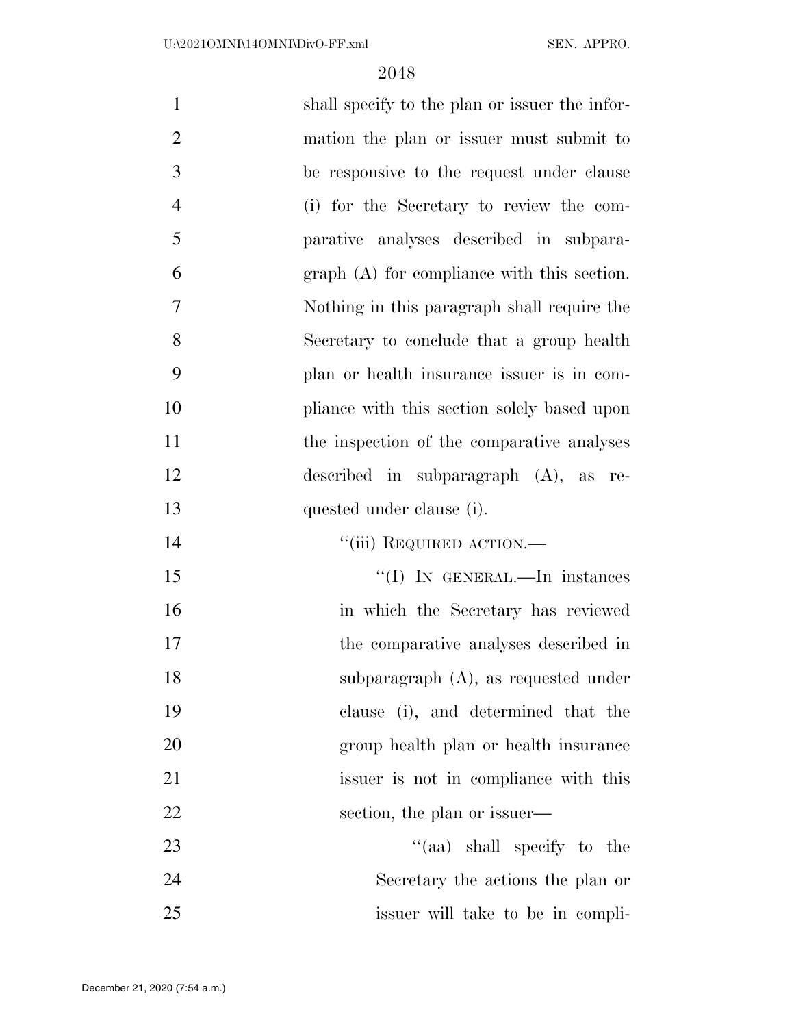| $\mathbf{1}$   | shall specify to the plan or issuer the infor- |
|----------------|------------------------------------------------|
| $\overline{2}$ | mation the plan or issuer must submit to       |
| 3              | be responsive to the request under clause      |
| $\overline{4}$ | (i) for the Secretary to review the com-       |
| 5              | parative analyses described in subpara-        |
| 6              | $graph(A)$ for compliance with this section.   |
| 7              | Nothing in this paragraph shall require the    |
| 8              | Secretary to conclude that a group health      |
| 9              | plan or health insurance issuer is in com-     |
| 10             | pliance with this section solely based upon    |
| 11             | the inspection of the comparative analyses     |
| 12             | described in subparagraph $(A)$ , as re-       |
| 13             | quested under clause (i).                      |
| 14             | "(iii) REQUIRED ACTION.—                       |
| 15             | "(I) IN GENERAL.—In instances                  |
| 16             | in which the Secretary has reviewed            |
| 17             | the comparative analyses described in          |
| 18             | subparagraph $(A)$ , as requested under        |
| 19             | clause (i), and determined that the            |
| 20             | group health plan or health insurance          |
| 21             | issuer is not in compliance with this          |
| 22             | section, the plan or issuer—                   |
| 23             | "(aa) shall specify to the                     |
| 24             | Secretary the actions the plan or              |
|                |                                                |

issuer will take to be in compli-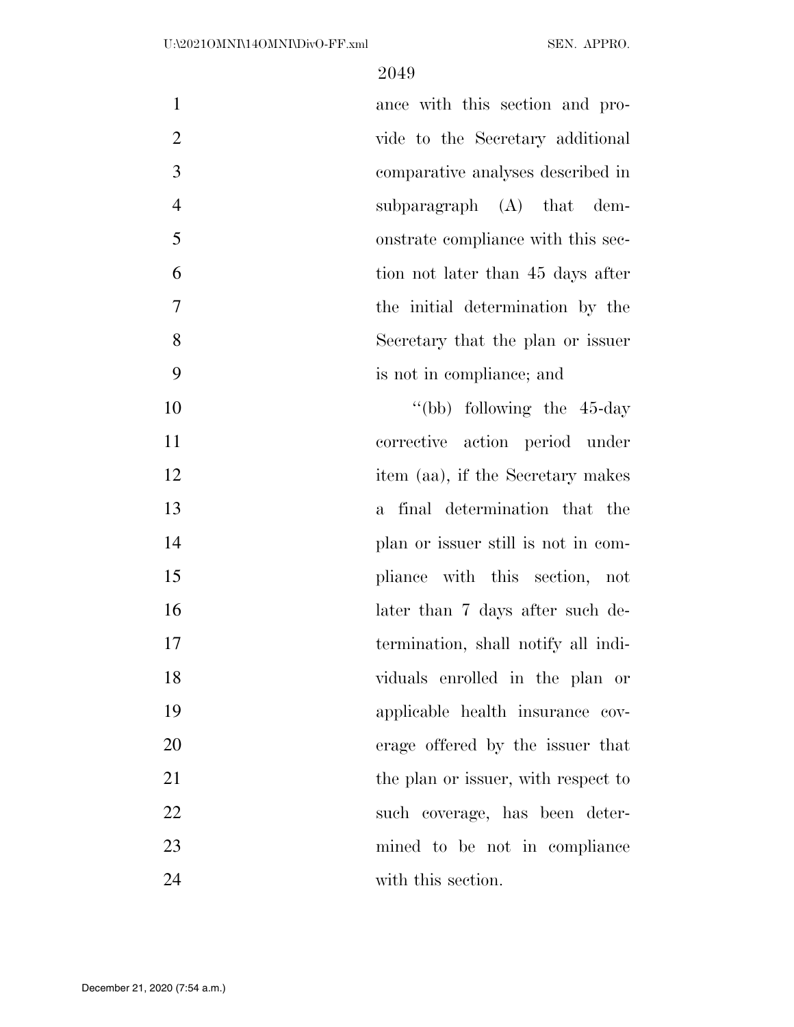| $\mathbf{1}$   | ance with this section and pro-     |
|----------------|-------------------------------------|
| $\overline{2}$ | vide to the Secretary additional    |
| 3              | comparative analyses described in   |
| $\overline{4}$ | subparagraph $(A)$ that dem-        |
| 5              | onstrate compliance with this sec-  |
| 6              | tion not later than 45 days after   |
| $\tau$         | the initial determination by the    |
| 8              | Secretary that the plan or issuer   |
| 9              | is not in compliance; and           |
| 10             | "(bb) following the $45$ -day       |
| 11             | corrective action period under      |
| 12             | item (aa), if the Secretary makes   |
| 13             | a final determination that the      |
| 14             | plan or issuer still is not in com- |
| 15             | pliance with this section, not      |
| 16             | later than 7 days after such de-    |
| 17             | termination, shall notify all indi- |
| 18             | viduals enrolled in the plan or     |
| 19             | applicable health insurance cov-    |
| 20             | erage offered by the issuer that    |
| 21             | the plan or issuer, with respect to |
| 22             | such coverage, has been deter-      |
| 23             | mined to be not in compliance       |
| 24             | with this section.                  |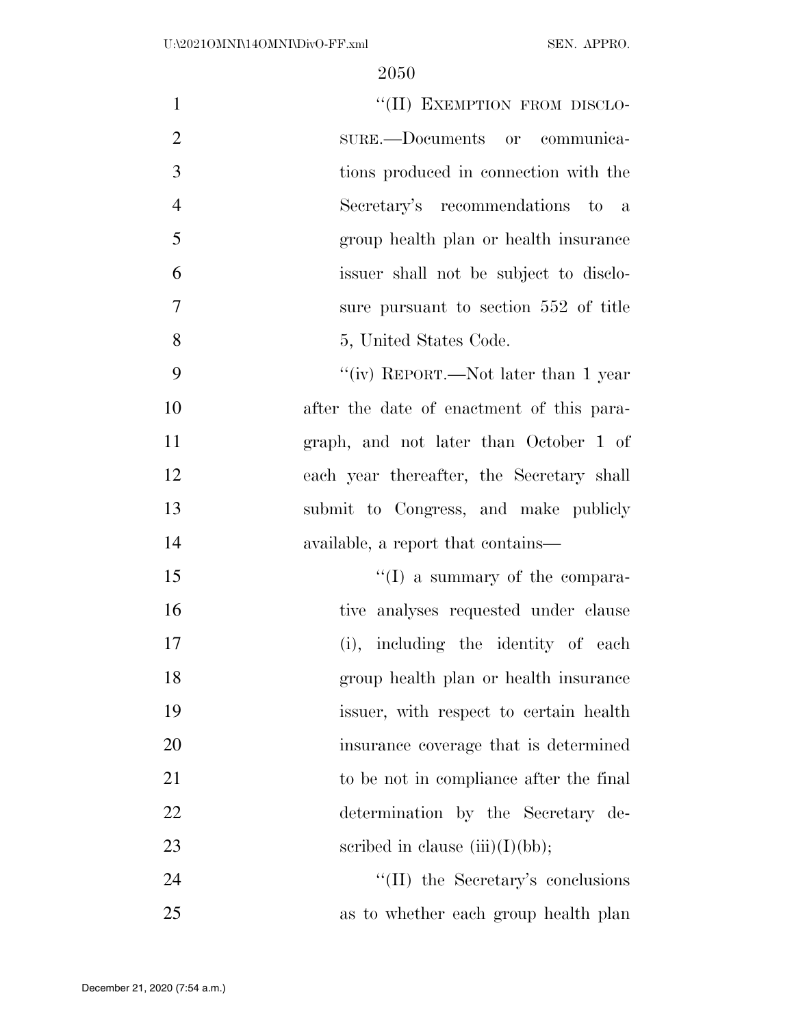| "(II) EXEMPTION FROM DISCLO-<br>$\mathbf{1}$       |  |
|----------------------------------------------------|--|
| $\overline{2}$<br>sure.—Documents or communica-    |  |
| 3<br>tions produced in connection with the         |  |
| $\overline{4}$<br>Secretary's recommendations to a |  |
| 5<br>group health plan or health insurance         |  |
| 6<br>issuer shall not be subject to disclo-        |  |
| $\tau$<br>sure pursuant to section 552 of title    |  |
| 8<br>5, United States Code.                        |  |
| 9<br>"(iv) REPORT.—Not later than 1 year           |  |
| 10<br>after the date of enactment of this para-    |  |
| 11<br>graph, and not later than October 1 of       |  |
| 12<br>each year thereafter, the Secretary shall    |  |
| submit to Congress, and make publicly<br>13        |  |
| 14<br>available, a report that contains—           |  |
| $\lq\lq$ a summary of the compara-<br>15           |  |
| 16<br>tive analyses requested under clause         |  |
| 17<br>(i), including the identity of each          |  |
| 18<br>group health plan or health insurance        |  |
| 19<br>issuer, with respect to certain health       |  |
| 20<br>insurance coverage that is determined        |  |
| 21<br>to be not in compliance after the final      |  |
| 22<br>determination by the Secretary de-           |  |
| 23<br>scribed in clause $(iii)(I)(bb);$            |  |
| 24<br>$\lq\lq$ (II) the Secretary's conclusions    |  |
| 25<br>as to whether each group health plan         |  |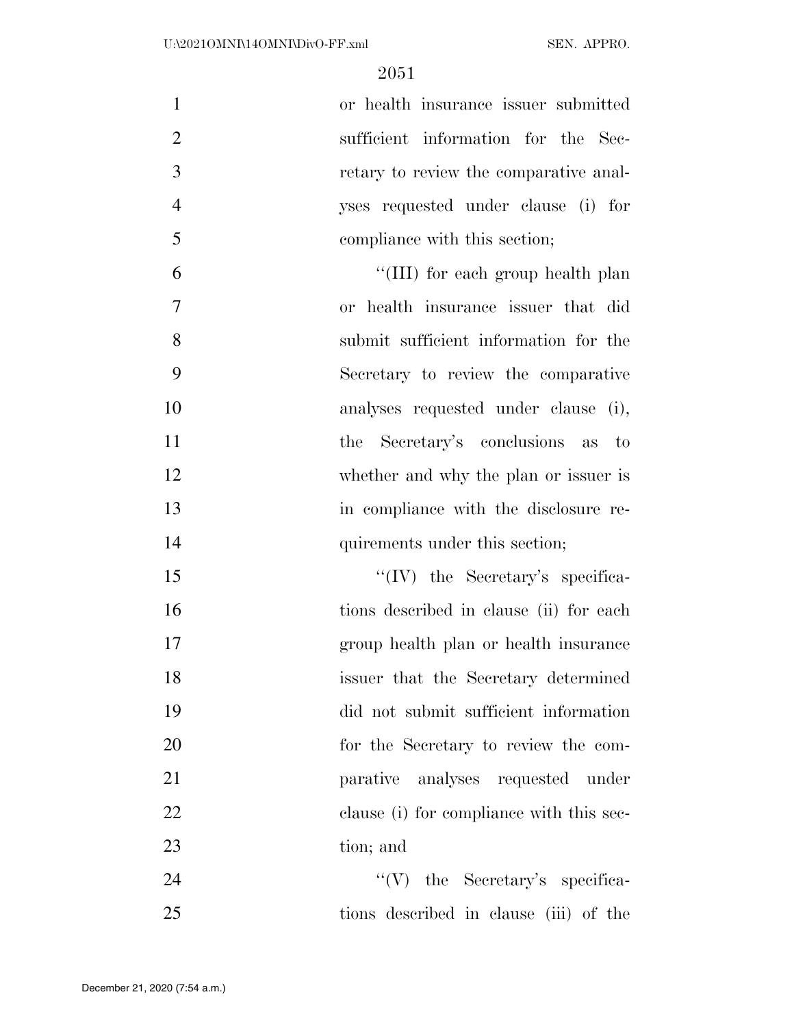or health insurance issuer submitted 2 sufficient information for the Sec- retary to review the comparative anal- yses requested under clause (i) for compliance with this section;

6 ''(III) for each group health plan or health insurance issuer that did submit sufficient information for the Secretary to review the comparative analyses requested under clause (i), the Secretary's conclusions as to whether and why the plan or issuer is in compliance with the disclosure re-14 quirements under this section;

15 ''(IV) the Secretary's specifica- tions described in clause (ii) for each group health plan or health insurance issuer that the Secretary determined did not submit sufficient information for the Secretary to review the com- parative analyses requested under 22 clause (i) for compliance with this sec-tion; and

24 ''(V) the Secretary's specifica-tions described in clause (iii) of the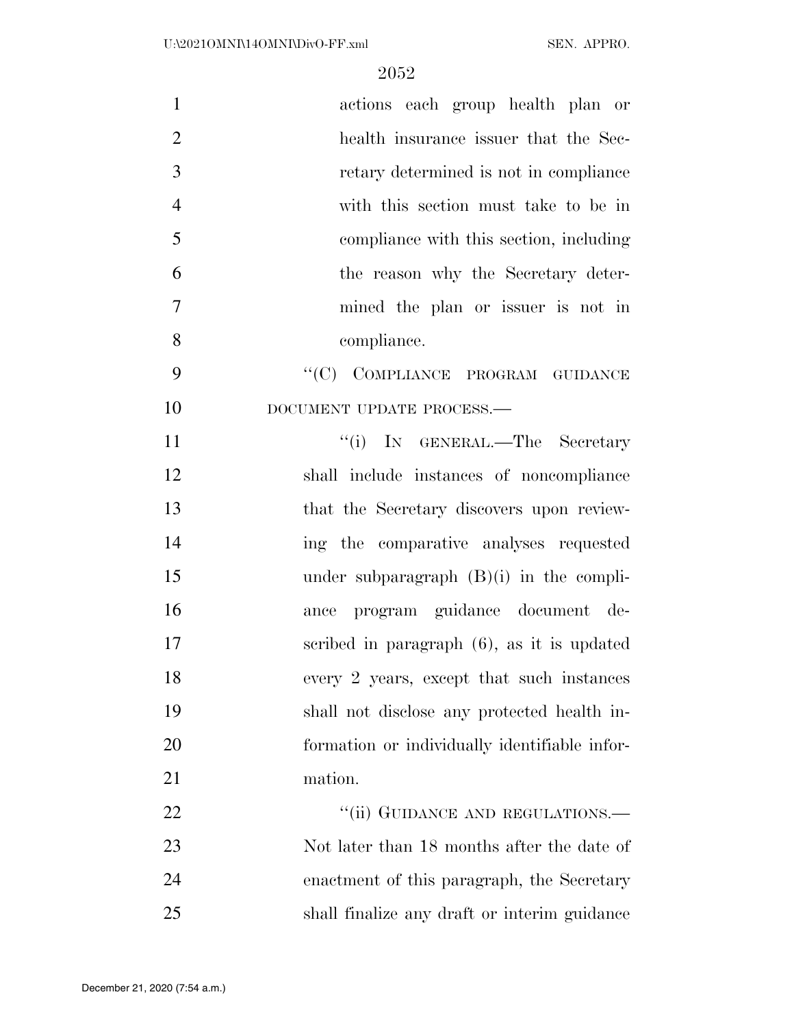| $\mathbf{1}$   | actions each group health plan or             |
|----------------|-----------------------------------------------|
| $\overline{2}$ | health insurance issuer that the Sec-         |
| $\mathfrak{Z}$ | retary determined is not in compliance        |
| $\overline{4}$ | with this section must take to be in          |
| 5              | compliance with this section, including       |
| 6              | the reason why the Secretary deter-           |
| $\tau$         | mined the plan or issuer is not in            |
| 8              | compliance.                                   |
| 9              | "(C) COMPLIANCE PROGRAM GUIDANCE              |
| 10             | DOCUMENT UPDATE PROCESS.-                     |
| 11             | "(i) IN GENERAL.—The Secretary                |
| 12             | shall include instances of noncompliance      |
| 13             | that the Secretary discovers upon review-     |
| 14             | ing the comparative analyses requested        |
| 15             | under subparagraph $(B)(i)$ in the compli-    |
| 16             | ance program guidance document de-            |
| 17             | scribed in paragraph $(6)$ , as it is updated |
| 18             | every 2 years, except that such instances     |
| 19             | shall not disclose any protected health in-   |
| 20             | formation or individually identifiable infor- |
| 21             | mation.                                       |
| 22             | "(ii) GUIDANCE AND REGULATIONS.-              |
| 23             | Not later than 18 months after the date of    |
| 24             | enactment of this paragraph, the Secretary    |
| 25             | shall finalize any draft or interim guidance  |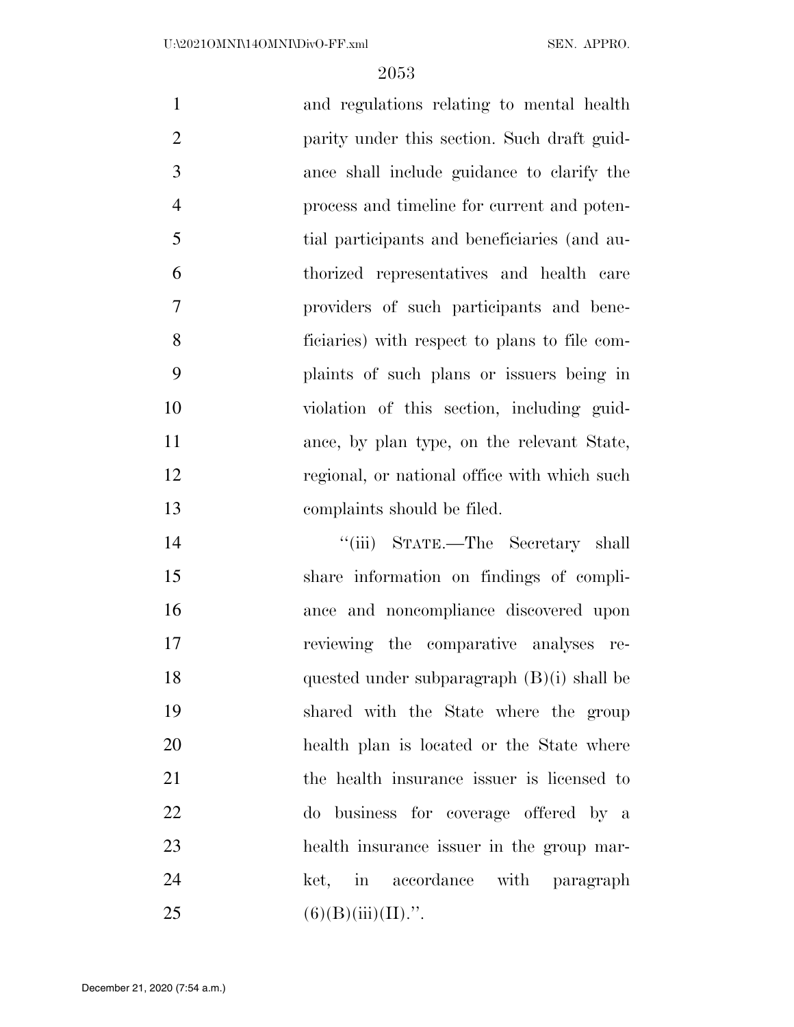| $\mathbf{1}$   | and regulations relating to mental health     |
|----------------|-----------------------------------------------|
| $\overline{2}$ | parity under this section. Such draft guid-   |
| 3              | ance shall include guidance to clarify the    |
| $\overline{4}$ | process and timeline for current and poten-   |
| 5              | tial participants and beneficiaries (and au-  |
| 6              | thorized representatives and health care      |
| $\overline{7}$ | providers of such participants and bene-      |
| 8              | ficiaries) with respect to plans to file com- |
| 9              | plaints of such plans or issuers being in     |
| 10             | violation of this section, including guid-    |
| 11             | ance, by plan type, on the relevant State,    |
| 12             | regional, or national office with which such  |
| 13             | complaints should be filed.                   |
|                |                                               |

14 ''(iii) STATE.—The Secretary shall share information on findings of compli- ance and noncompliance discovered upon reviewing the comparative analyses re- quested under subparagraph (B)(i) shall be shared with the State where the group health plan is located or the State where the health insurance issuer is licensed to do business for coverage offered by a health insurance issuer in the group mar-24 ket, in accordance with paragraph 25 (6)(B)(iii)(II).".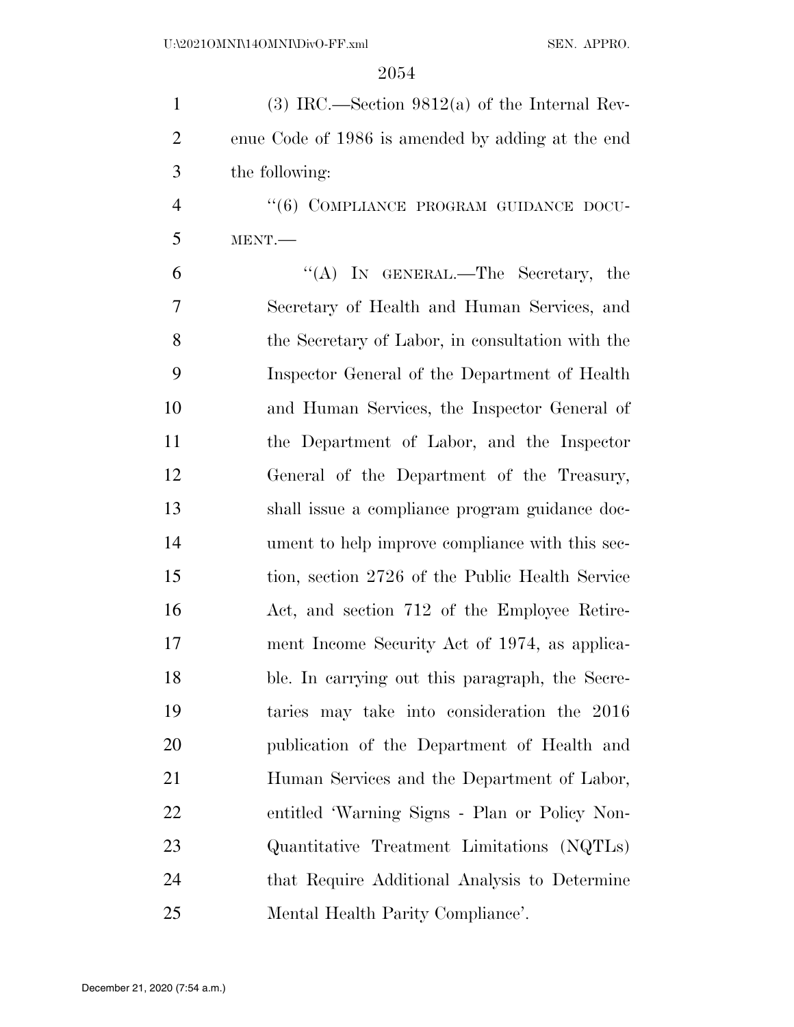| $\mathbf{1}$   | $(3)$ IRC.—Section 9812(a) of the Internal Rev-   |
|----------------|---------------------------------------------------|
| $\overline{2}$ | enue Code of 1986 is amended by adding at the end |
| 3              | the following:                                    |
| $\overline{4}$ | "(6) COMPLIANCE PROGRAM GUIDANCE DOCU-            |
| 5              | MENT.                                             |
| 6              | "(A) IN GENERAL.—The Secretary, the               |
| 7              | Secretary of Health and Human Services, and       |
| 8              | the Secretary of Labor, in consultation with the  |
| 9              | Inspector General of the Department of Health     |
| 10             | and Human Services, the Inspector General of      |
| 11             | the Department of Labor, and the Inspector        |
| 12             | General of the Department of the Treasury,        |
| 13             | shall issue a compliance program guidance doc-    |
| 14             | ument to help improve compliance with this sec-   |
| 15             | tion, section 2726 of the Public Health Service   |
| 16             | Act, and section 712 of the Employee Retire-      |
| 17             | ment Income Security Act of 1974, as applica-     |
| 18             | ble. In carrying out this paragraph, the Secre-   |
| 19             | taries may take into consideration the 2016       |
| 20             | publication of the Department of Health and       |
| 21             | Human Services and the Department of Labor,       |
| 22             | entitled 'Warning Signs - Plan or Policy Non-     |
| 23             | Quantitative Treatment Limitations (NQTLs)        |
| 24             | that Require Additional Analysis to Determine     |
| 25             | Mental Health Parity Compliance'.                 |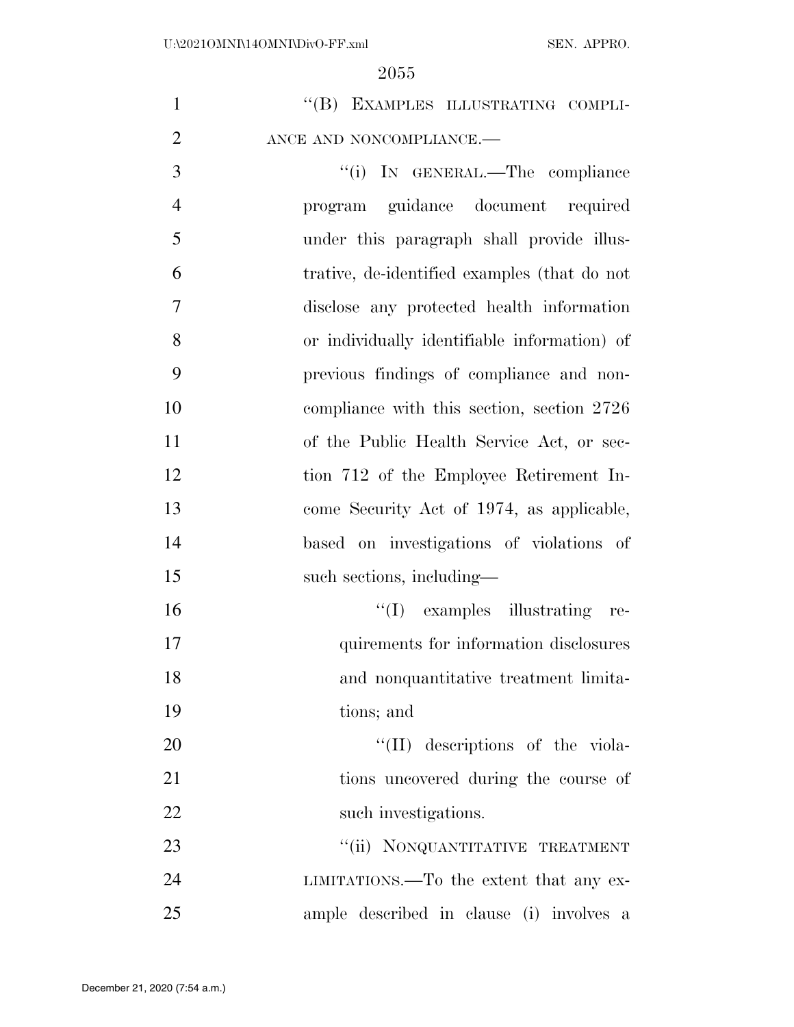| $\mathbf{1}$   | "(B) EXAMPLES ILLUSTRATING COMPLI-           |
|----------------|----------------------------------------------|
| $\overline{2}$ | ANCE AND NONCOMPLIANCE.-                     |
| 3              | "(i) IN GENERAL.—The compliance              |
| $\overline{4}$ | program guidance document required           |
| 5              | under this paragraph shall provide illus-    |
| 6              | trative, de-identified examples (that do not |
| $\overline{7}$ | disclose any protected health information    |
| 8              | or individually identifiable information) of |
| 9              | previous findings of compliance and non-     |
| 10             | compliance with this section, section 2726   |
| 11             | of the Public Health Service Act, or sec-    |
| 12             | tion 712 of the Employee Retirement In-      |
| 13             | come Security Act of 1974, as applicable,    |
| 14             | based on investigations of violations of     |
| 15             | such sections, including—                    |
| 16             | $\lq\lq$ (I) examples illustrating re-       |
| 17             | quirements for information disclosures       |
| 18             | and nonquantitative treatment limita-        |
| 19             | tions; and                                   |
| 20             | $\lq\lq$ (II) descriptions of the viola-     |
| 21             | tions uncovered during the course of         |
| 22             | such investigations.                         |
| 23             | "(ii) NONQUANTITATIVE TREATMENT              |
| 24             | LIMITATIONS.—To the extent that any ex-      |
| 25             | ample described in clause (i) involves a     |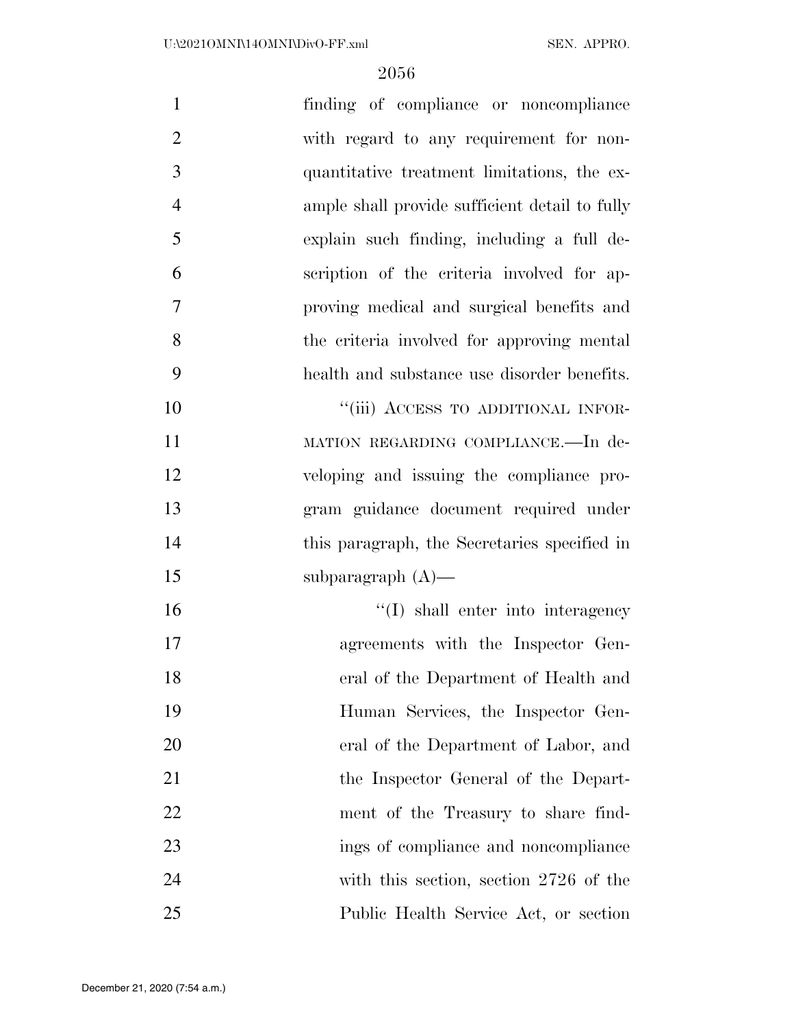| $\mathbf{1}$   | finding of compliance or noncompliance         |
|----------------|------------------------------------------------|
| $\overline{2}$ | with regard to any requirement for non-        |
| 3              | quantitative treatment limitations, the ex-    |
| $\overline{4}$ | ample shall provide sufficient detail to fully |
| 5              | explain such finding, including a full de-     |
| 6              | scription of the criteria involved for ap-     |
| $\overline{7}$ | proving medical and surgical benefits and      |
| 8              | the criteria involved for approving mental     |
| 9              | health and substance use disorder benefits.    |
| 10             | "(iii) ACCESS TO ADDITIONAL INFOR-             |
| 11             | MATION REGARDING COMPLIANCE.-In de-            |
| 12             | veloping and issuing the compliance pro-       |
| 13             | gram guidance document required under          |
| 14             | this paragraph, the Secretaries specified in   |
| 15             | subparagraph $(A)$ —                           |
| 16             | $\lq\lq$ shall enter into interagency          |
| 17             | agreements with the Inspector Gen-             |
| 18             | eral of the Department of Health and           |
| 19             | Human Services, the Inspector Gen-             |
| 20             | eral of the Department of Labor, and           |
| 21             | the Inspector General of the Depart-           |
| 22             | ment of the Treasury to share find-            |
| 23             | ings of compliance and noncompliance           |
| 24             | with this section, section 2726 of the         |
| 25             | Public Health Service Act, or section          |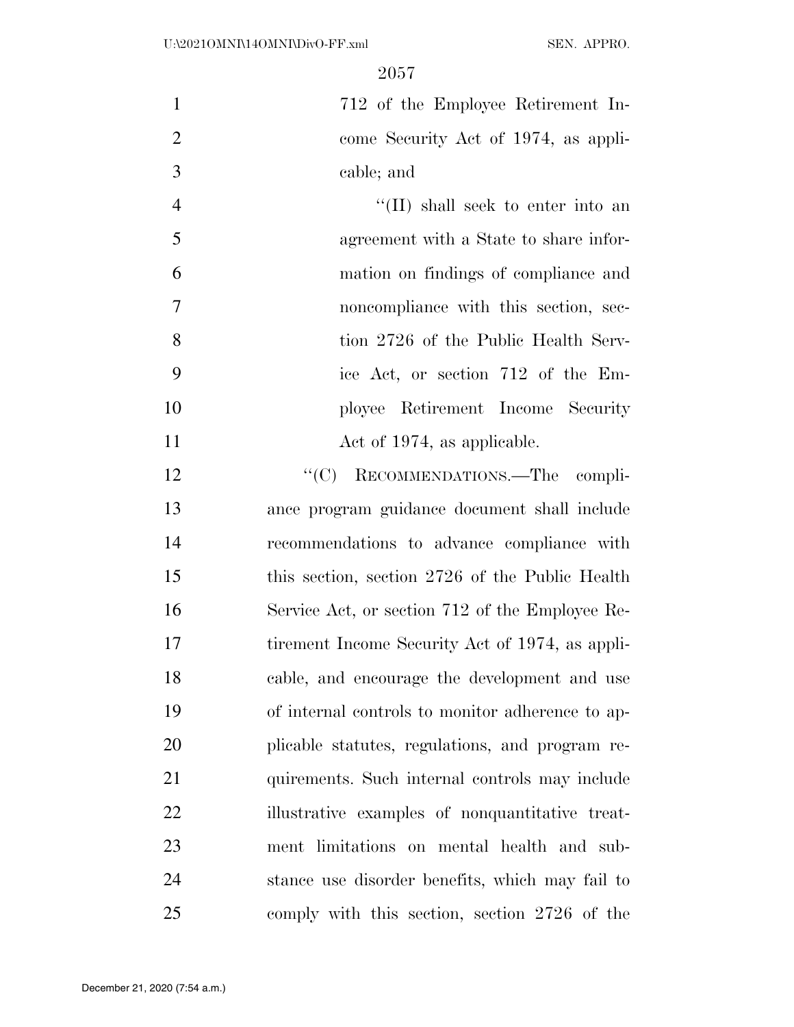712 of the Employee Retirement In- come Security Act of 1974, as appli-cable; and

4 ''(II) shall seek to enter into an agreement with a State to share infor- mation on findings of compliance and noncompliance with this section, sec- tion 2726 of the Public Health Serv- ice Act, or section 712 of the Em- ployee Retirement Income Security 11 Act of 1974, as applicable.

12 "'(C) RECOMMENDATIONS.—The compli- ance program guidance document shall include recommendations to advance compliance with this section, section 2726 of the Public Health Service Act, or section 712 of the Employee Re-17 tirement Income Security Act of 1974, as appli- cable, and encourage the development and use of internal controls to monitor adherence to ap- plicable statutes, regulations, and program re-21 quirements. Such internal controls may include 22 illustrative examples of nonquantitative treat- ment limitations on mental health and sub- stance use disorder benefits, which may fail to comply with this section, section 2726 of the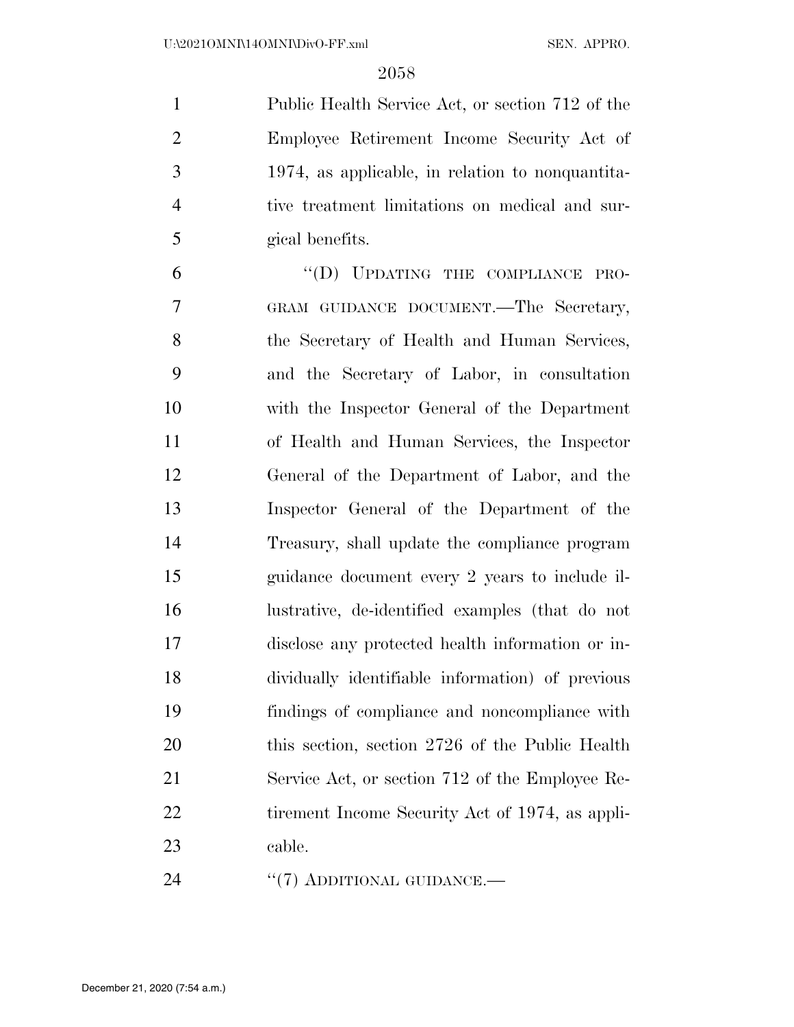Public Health Service Act, or section 712 of the Employee Retirement Income Security Act of 1974, as applicable, in relation to nonquantita- tive treatment limitations on medical and sur-gical benefits.

6 "(D) UPDATING THE COMPLIANCE PRO- GRAM GUIDANCE DOCUMENT.—The Secretary, the Secretary of Health and Human Services, and the Secretary of Labor, in consultation with the Inspector General of the Department of Health and Human Services, the Inspector General of the Department of Labor, and the Inspector General of the Department of the Treasury, shall update the compliance program guidance document every 2 years to include il- lustrative, de-identified examples (that do not disclose any protected health information or in- dividually identifiable information) of previous findings of compliance and noncompliance with 20 this section, section 2726 of the Public Health Service Act, or section 712 of the Employee Re-22 tirement Income Security Act of 1974, as appli-cable.

24 "(7) ADDITIONAL GUIDANCE.—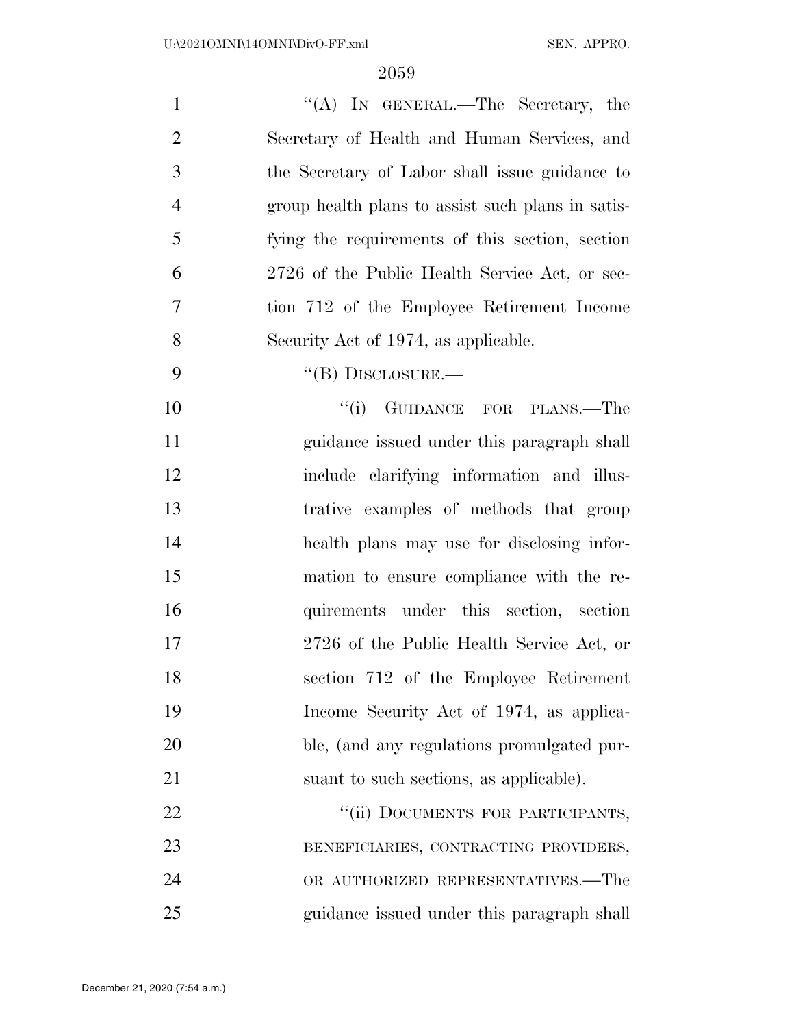| $\mathbf{1}$   | "(A) IN GENERAL.—The Secretary, the               |
|----------------|---------------------------------------------------|
| $\overline{2}$ | Secretary of Health and Human Services, and       |
| 3              | the Secretary of Labor shall issue guidance to    |
| $\overline{4}$ | group health plans to assist such plans in satis- |
| 5              | fying the requirements of this section, section   |
| 6              | 2726 of the Public Health Service Act, or sec-    |
| 7              | tion 712 of the Employee Retirement Income        |
| 8              | Security Act of 1974, as applicable.              |
| 9              | $\lq\lq$ (B) DISCLOSURE.—                         |
| 10             | "(i) GUIDANCE FOR PLANS.—The                      |
| 11             | guidance issued under this paragraph shall        |
| 12             | include clarifying information and illus-         |
| 13             | trative examples of methods that group            |
| 14             | health plans may use for disclosing infor-        |
| 15             | mation to ensure compliance with the re-          |
| 16             | quirements under this section, section            |
| 17             | 2726 of the Public Health Service Act, or         |
| 18             | section 712 of the Employee Retirement            |
| 19             | Income Security Act of 1974, as applica-          |
| 20             | ble, (and any regulations promulgated pur-        |
| 21             | suant to such sections, as applicable).           |
| 22             | "(ii) DOCUMENTS FOR PARTICIPANTS,                 |
| 23             | BENEFICIARIES, CONTRACTING PROVIDERS,             |
| 24             | OR AUTHORIZED REPRESENTATIVES.—The                |
| 25             | guidance issued under this paragraph shall        |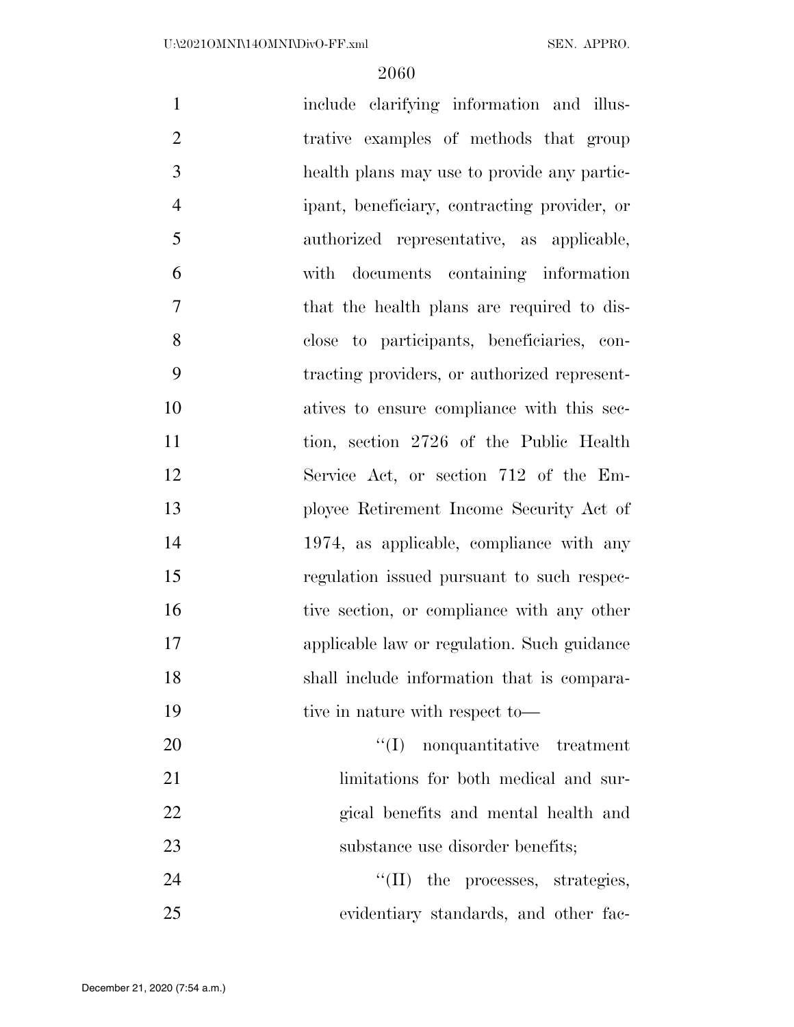| $\mathbf{1}$   | include clarifying information and illus-    |
|----------------|----------------------------------------------|
| $\overline{2}$ | trative examples of methods that group       |
| 3              | health plans may use to provide any partic-  |
| $\overline{4}$ | ipant, beneficiary, contracting provider, or |
| 5              | authorized representative, as applicable,    |
| 6              | with documents containing information        |
| $\tau$         | that the health plans are required to dis-   |
| 8              | close to participants, beneficiaries, con-   |
| 9              | tracting providers, or authorized represent- |
| 10             | atives to ensure compliance with this sec-   |
| 11             | tion, section 2726 of the Public Health      |
| 12             | Service Act, or section 712 of the Em-       |
| 13             | ployee Retirement Income Security Act of     |
| 14             | 1974, as applicable, compliance with any     |
| 15             | regulation issued pursuant to such respec-   |
| 16             | tive section, or compliance with any other   |
| 17             | applicable law or regulation. Such guidance  |
| 18             | shall include information that is compara-   |
| 19             | tive in nature with respect to—              |
| 20             | $\lq\lq$ nonquantitative treatment           |
| 21             | limitations for both medical and sur-        |
| 22             | gical benefits and mental health and         |
| 23             | substance use disorder benefits;             |
| 24             | $\lq\lq$ (II) the processes, strategies,     |
| 25             | evidentiary standards, and other fac-        |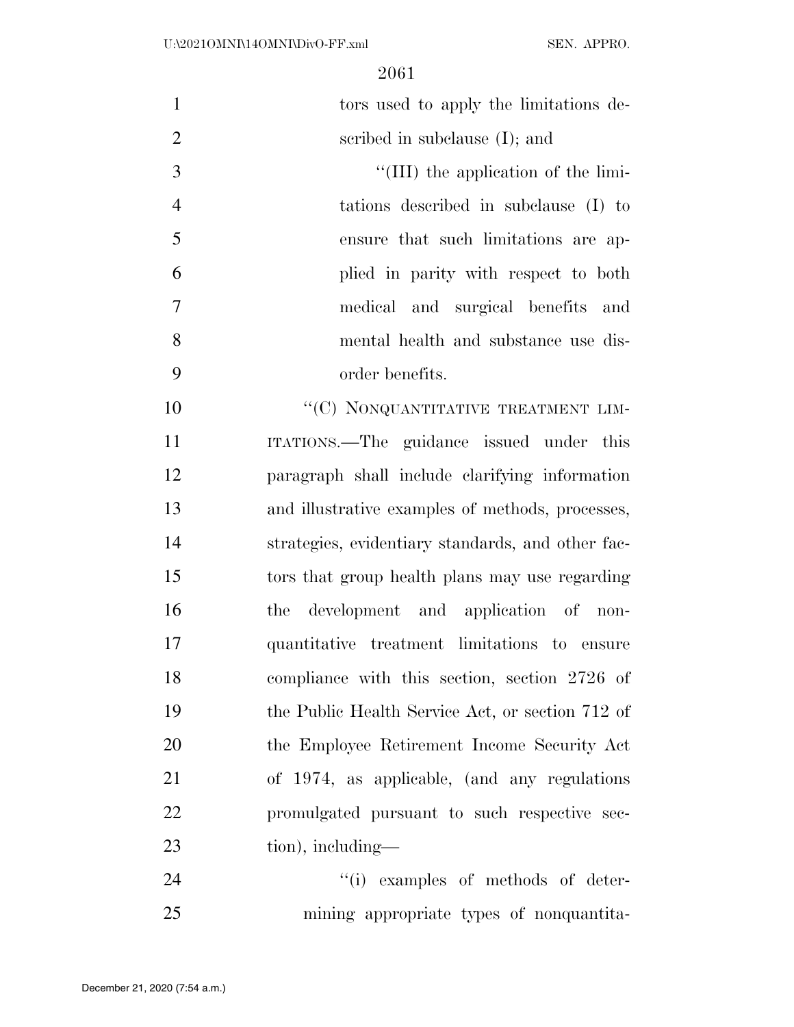| $\mathbf{1}$   | tors used to apply the limitations de-            |
|----------------|---------------------------------------------------|
| $\overline{2}$ | scribed in subclause $(I)$ ; and                  |
| 3              | $\lq$ (III) the application of the limi-          |
| $\overline{4}$ | tations described in subclause (I) to             |
| 5              | ensure that such limitations are ap-              |
| 6              | plied in parity with respect to both              |
| $\overline{7}$ | medical and surgical benefits and                 |
| 8              | mental health and substance use dis-              |
| 9              | order benefits.                                   |
| 10             | "(C) NONQUANTITATIVE TREATMENT LIM-               |
| 11             | ITATIONS.—The guidance issued under this          |
| 12             | paragraph shall include clarifying information    |
| 13             | and illustrative examples of methods, processes,  |
| 14             | strategies, evidentiary standards, and other fac- |
| 15             | tors that group health plans may use regarding    |
| 16             | development and application of non-<br>the        |
| 17             | quantitative treatment limitations to ensure      |
| 18             | compliance with this section, section 2726 of     |
| 19             | the Public Health Service Act, or section 712 of  |
| 20             | the Employee Retirement Income Security Act       |
| 21             | of 1974, as applicable, (and any regulations      |
| 22             | promulgated pursuant to such respective sec-      |
| 23             | $\frac{1}{2}$ including—                          |
| 24             | "(i) examples of methods of deter-                |

mining appropriate types of nonquantita-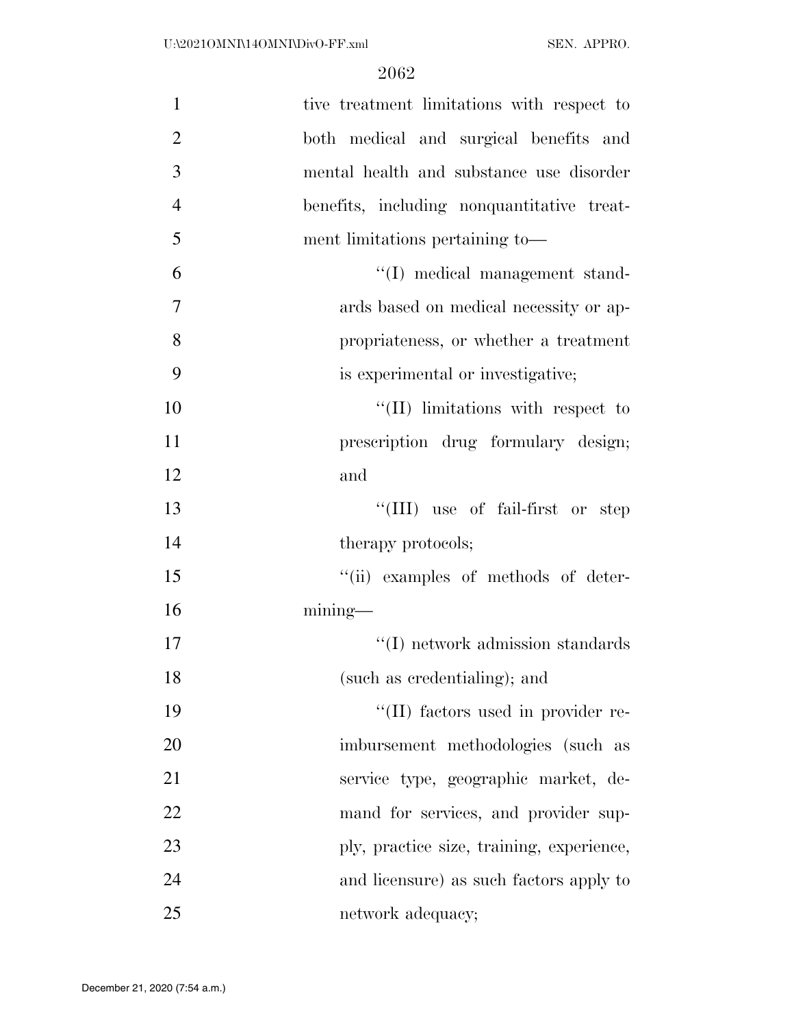| $\mathbf{1}$   | tive treatment limitations with respect to |
|----------------|--------------------------------------------|
| $\overline{2}$ | both medical and surgical benefits and     |
| 3              | mental health and substance use disorder   |
| $\overline{4}$ | benefits, including nonquantitative treat- |
| 5              | ment limitations pertaining to-            |
| 6              | "(I) medical management stand-             |
| $\overline{7}$ | ards based on medical necessity or ap-     |
| 8              | propriateness, or whether a treatment      |
| 9              | is experimental or investigative;          |
| 10             | "(II) limitations with respect to          |
| 11             | prescription drug formulary design;        |
| 12             | and                                        |
| 13             | "(III) use of fail-first or step           |
| 14             | therapy protocols;                         |
| 15             | "(ii) examples of methods of deter-        |
| 16             | $mining$ —                                 |
| 17             | "(I) network admission standards           |
| 18             | (such as credentialing); and               |
| 19             | "(II) factors used in provider re-         |
| 20             | imbursement methodologies (such as         |
| 21             | service type, geographic market, de-       |
| 22             | mand for services, and provider sup-       |
| 23             | ply, practice size, training, experience,  |
| 24             | and licensure) as such factors apply to    |
| 25             | network adequacy;                          |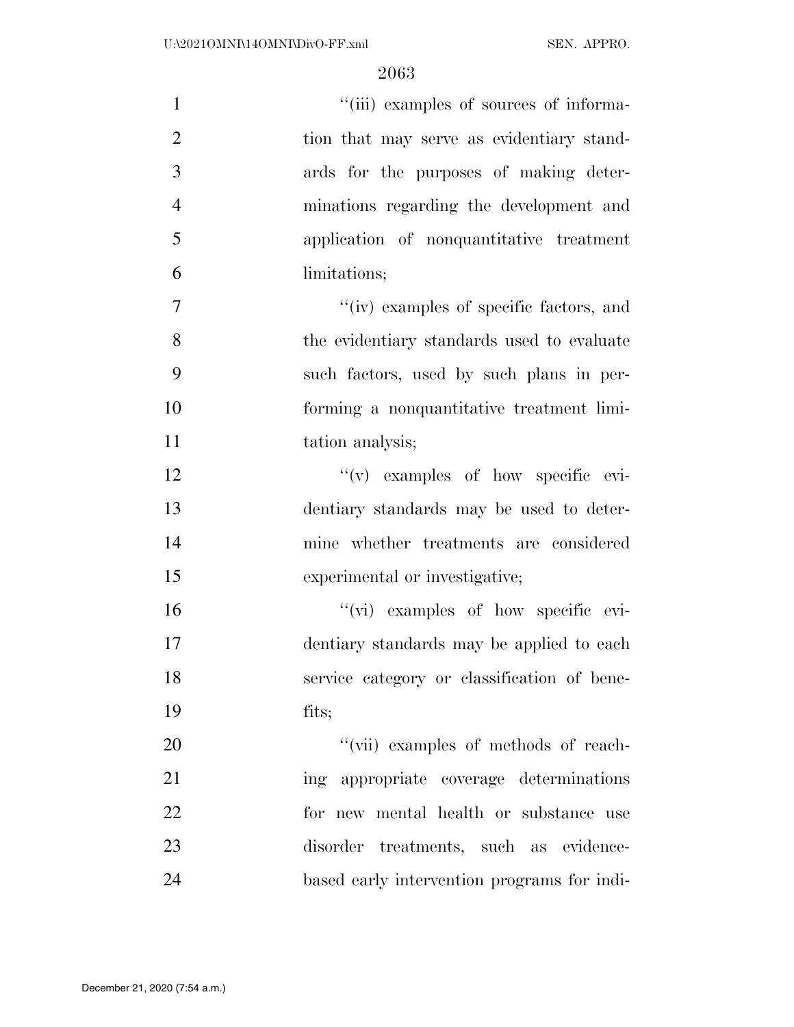| $\mathbf{1}$   | "(iii) examples of sources of informa-      |
|----------------|---------------------------------------------|
| $\overline{2}$ | tion that may serve as evidentiary stand-   |
| 3              | ards for the purposes of making deter-      |
| $\overline{4}$ | minations regarding the development and     |
| 5              | application of nonquantitative treatment    |
| 6              | limitations;                                |
| $\tau$         | "(iv) examples of specific factors, and     |
| 8              | the evidentiary standards used to evaluate  |
| 9              | such factors, used by such plans in per-    |
| 10             | forming a nonquantitative treatment limi-   |
| 11             | tation analysis;                            |
| 12             | "(v) examples of how specific evi-          |
| 13             | dentiary standards may be used to deter-    |
| 14             | mine whether treatments are considered      |
| 15             | experimental or investigative;              |
| 16             | "(vi) examples of how specific evi-         |
| 17             | dentiary standards may be applied to each   |
| 18             | service category or classification of bene- |
| 19             | fits;                                       |
| 20             | "(vii) examples of methods of reach-        |
| 21             | ing appropriate coverage determinations     |
| 22             | for new mental health or substance use      |
| 23             | disorder treatments, such as evidence-      |
| 24             | based early intervention programs for indi- |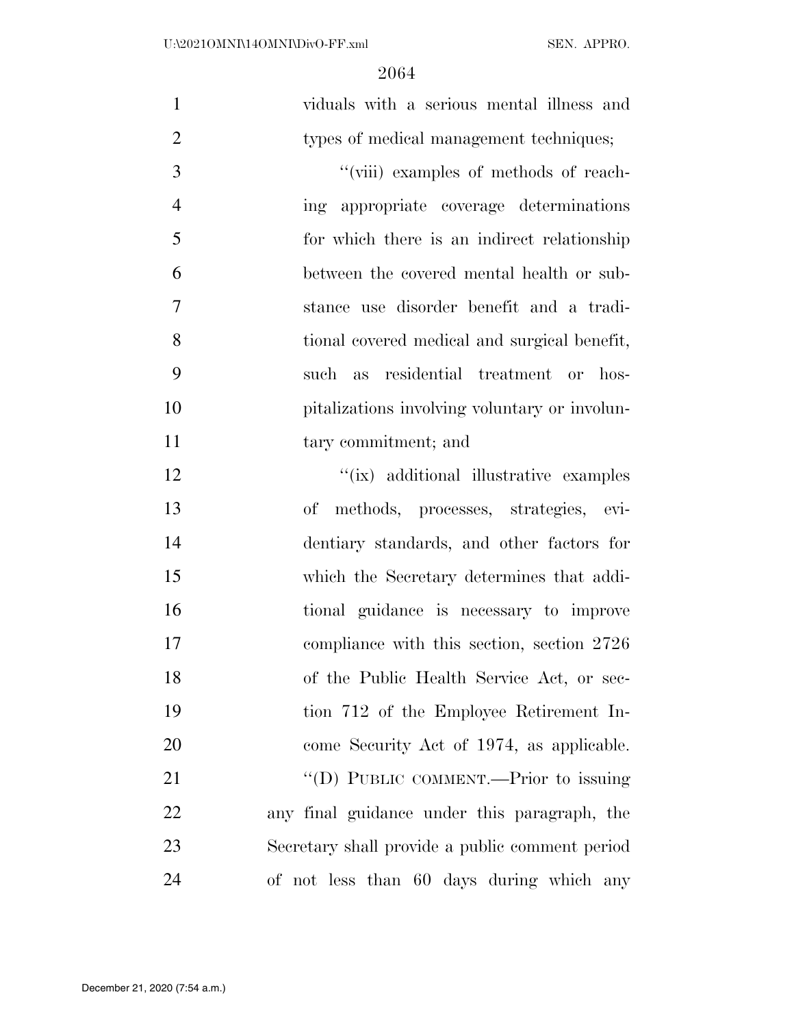| $\mathbf{1}$   | viduals with a serious mental illness and       |
|----------------|-------------------------------------------------|
| $\overline{2}$ | types of medical management techniques;         |
| 3              | "(viii) examples of methods of reach-           |
| $\overline{4}$ | ing appropriate coverage determinations         |
| 5              | for which there is an indirect relationship     |
| 6              | between the covered mental health or sub-       |
| $\overline{7}$ | stance use disorder benefit and a tradi-        |
| 8              | tional covered medical and surgical benefit,    |
| 9              | such as residential treatment or hos-           |
| 10             | pitalizations involving voluntary or involun-   |
| 11             | tary commitment; and                            |
| 12             | "(ix) additional illustrative examples          |
| 13             | methods, processes, strategies, evi-<br>of      |
| 14             | dentiary standards, and other factors for       |
| 15             | which the Secretary determines that addi-       |
| 16             | tional guidance is necessary to improve         |
| 17             | compliance with this section, section 2726      |
| 18             | of the Public Health Service Act, or sec-       |
| 19             | tion 712 of the Employee Retirement In-         |
| 20             | come Security Act of 1974, as applicable.       |
| 21             | "(D) PUBLIC COMMENT.—Prior to issuing           |
| 22             | any final guidance under this paragraph, the    |
| 23             | Secretary shall provide a public comment period |
| 24             | of not less than 60 days during which any       |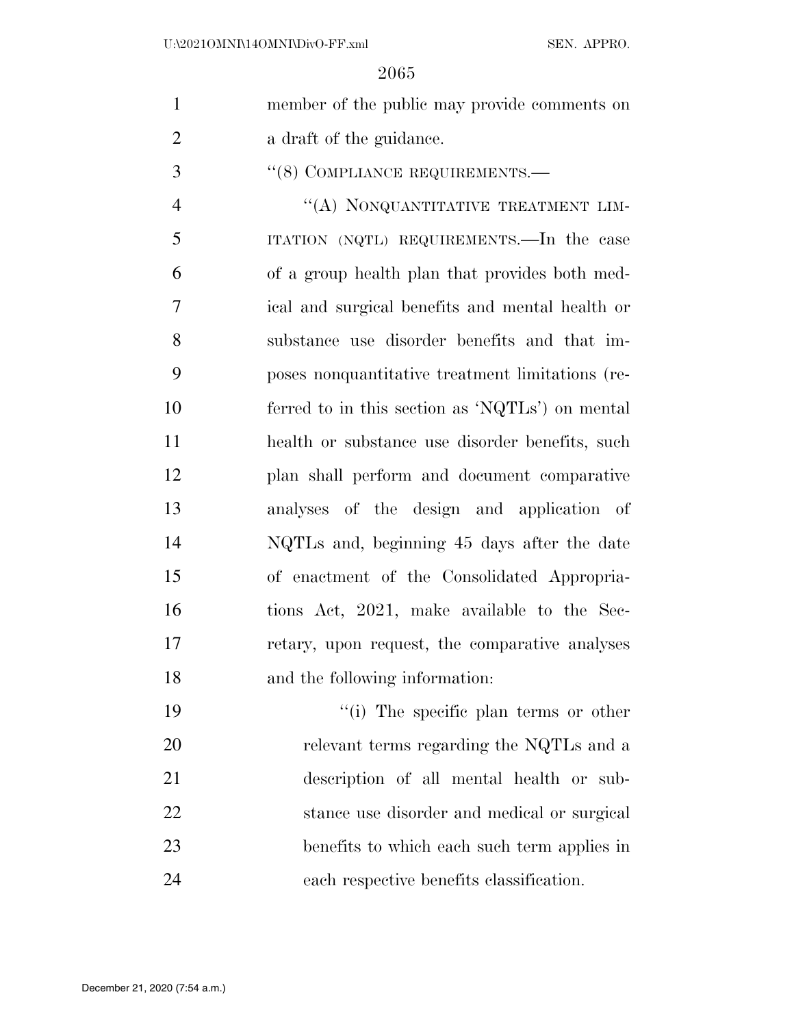| $\mathbf{1}$   | member of the public may provide comments on     |
|----------------|--------------------------------------------------|
| $\overline{2}$ | a draft of the guidance.                         |
| 3              | "(8) COMPLIANCE REQUIREMENTS.—                   |
| $\overline{4}$ | "(A) NONQUANTITATIVE TREATMENT LIM-              |
| 5              | ITATION (NQTL) REQUIREMENTS.—In the case         |
| 6              | of a group health plan that provides both med-   |
| $\tau$         | ical and surgical benefits and mental health or  |
| 8              | substance use disorder benefits and that im-     |
| 9              | poses nonquantitative treatment limitations (re- |
| 10             | ferred to in this section as 'NQTLs') on mental  |
| 11             | health or substance use disorder benefits, such  |
| 12             | plan shall perform and document comparative      |
| 13             | analyses of the design and application of        |
| 14             | NQTLs and, beginning 45 days after the date      |
| 15             | of enactment of the Consolidated Appropria-      |
| 16             | tions Act, 2021, make available to the Sec-      |
| 17             | retary, upon request, the comparative analyses   |
| 18             | and the following information:                   |
| 19             | "(i) The specific plan terms or other            |
| 20             | relevant terms regarding the NQTLs and a         |
| 21             | description of all mental health or sub-         |
| 22             | stance use disorder and medical or surgical      |
| 23             | benefits to which each such term applies in      |

each respective benefits classification.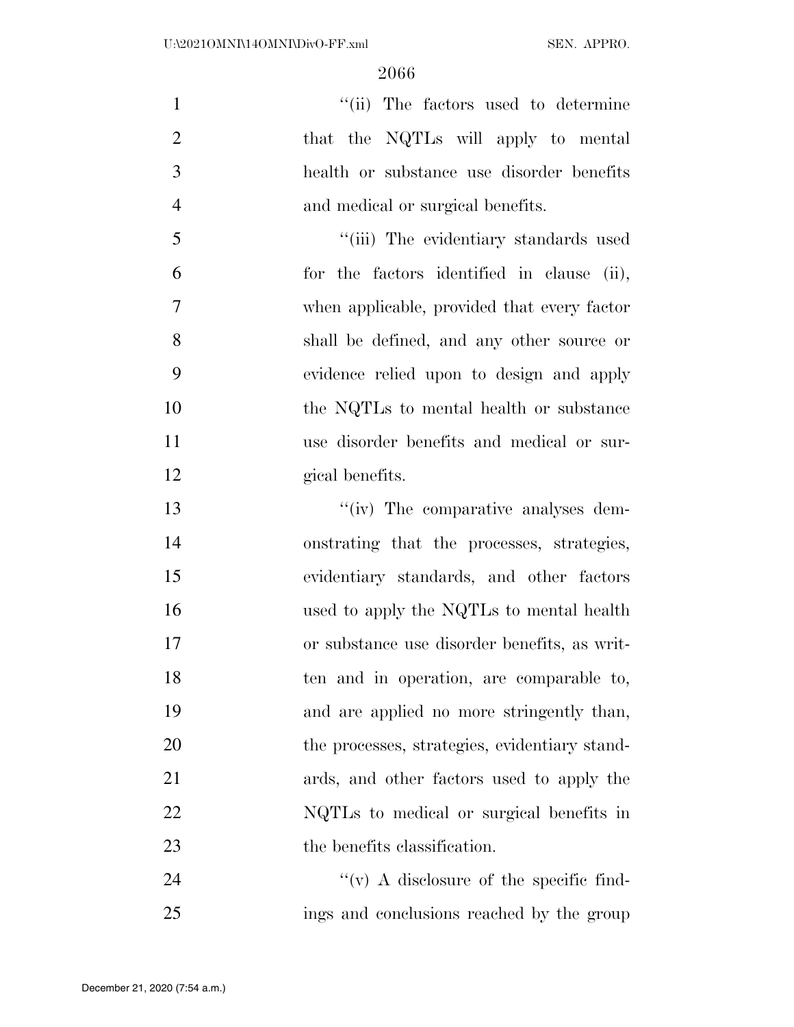$''(ii)$  The factors used to determine 2 that the NQTLs will apply to mental health or substance use disorder benefits and medical or surgical benefits.

5 "(iii) The evidentiary standards used for the factors identified in clause (ii), when applicable, provided that every factor shall be defined, and any other source or evidence relied upon to design and apply 10 the NQTLs to mental health or substance use disorder benefits and medical or sur-gical benefits.

 $\frac{1}{2}$  The comparative analyses dem- onstrating that the processes, strategies, evidentiary standards, and other factors used to apply the NQTLs to mental health or substance use disorder benefits, as writ- ten and in operation, are comparable to, and are applied no more stringently than, 20 the processes, strategies, evidentiary stand- ards, and other factors used to apply the NQTLs to medical or surgical benefits in 23 the benefits classification.

24  $''(v)$  A disclosure of the specific find-ings and conclusions reached by the group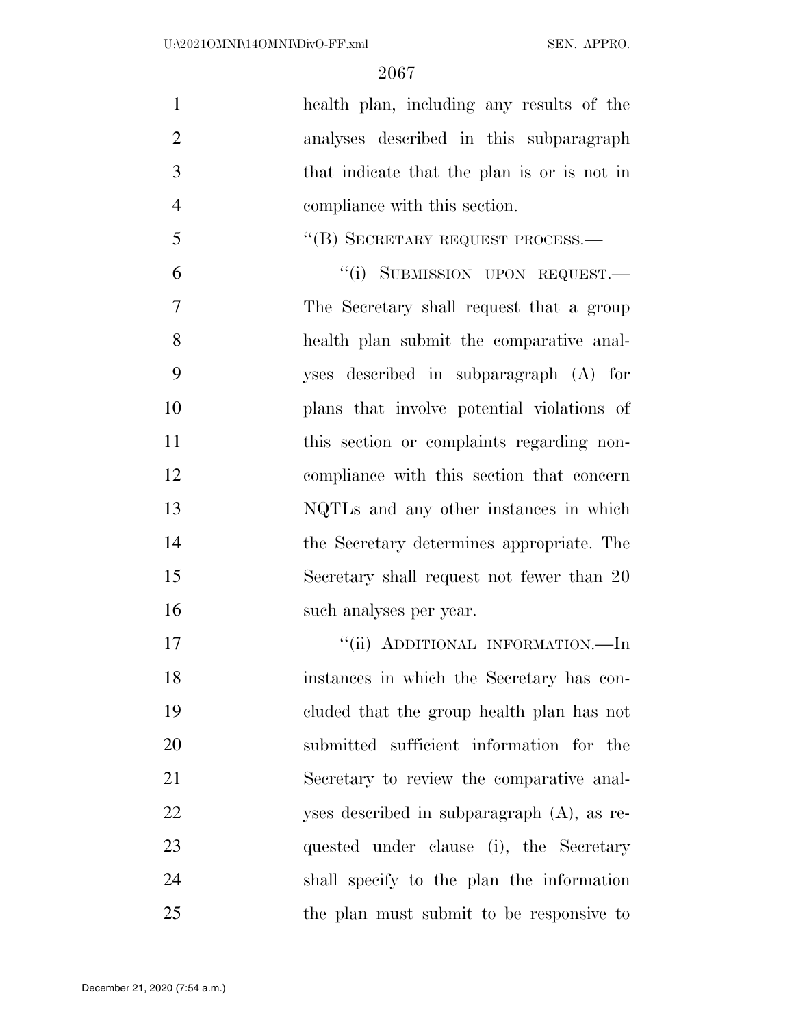health plan, including any results of the analyses described in this subparagraph that indicate that the plan is or is not in compliance with this section. 5 "(B) SECRETARY REQUEST PROCESS.— 6 "(i) SUBMISSION UPON REQUEST. The Secretary shall request that a group health plan submit the comparative anal- yses described in subparagraph (A) for plans that involve potential violations of 11 this section or complaints regarding non- compliance with this section that concern NQTLs and any other instances in which the Secretary determines appropriate. The Secretary shall request not fewer than 20 such analyses per year. 17 "'(ii) ADDITIONAL INFORMATION.—In instances in which the Secretary has con- cluded that the group health plan has not submitted sufficient information for the Secretary to review the comparative anal- yses described in subparagraph (A), as re- quested under clause (i), the Secretary shall specify to the plan the information

the plan must submit to be responsive to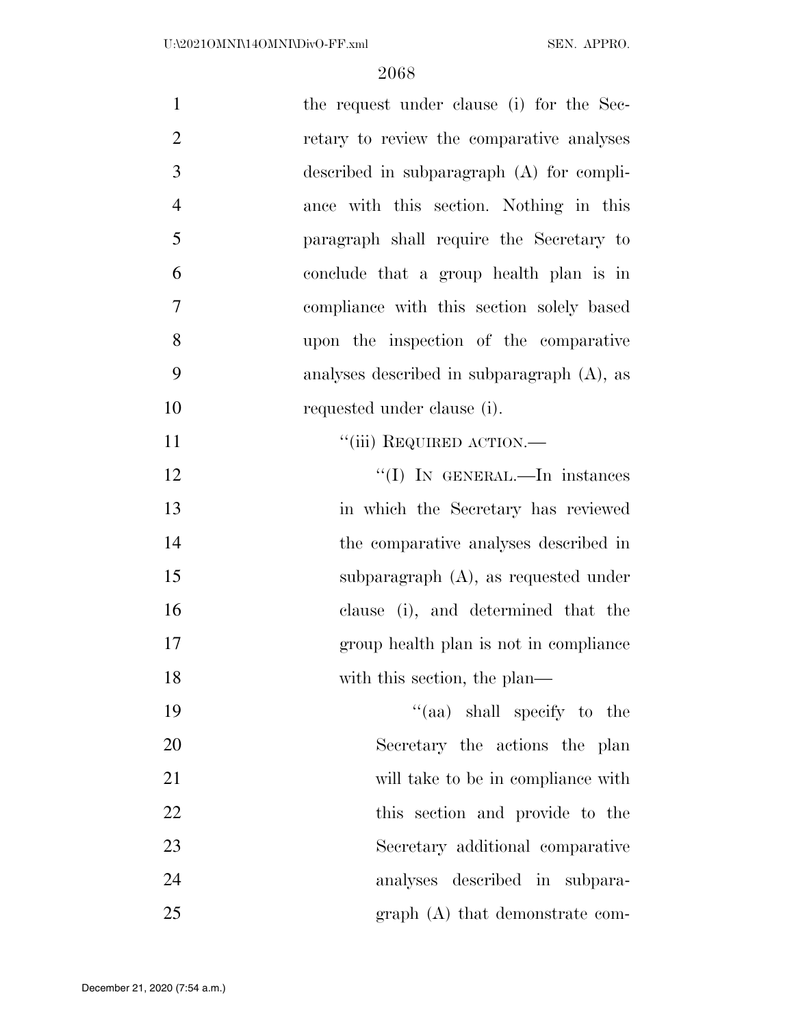| $\mathbf{1}$   | the request under clause (i) for the Sec-     |
|----------------|-----------------------------------------------|
| $\overline{2}$ | retary to review the comparative analyses     |
| 3              | described in subparagraph (A) for compli-     |
| $\overline{4}$ | ance with this section. Nothing in this       |
| 5              | paragraph shall require the Secretary to      |
| 6              | conclude that a group health plan is in       |
| $\overline{7}$ | compliance with this section solely based     |
| 8              | upon the inspection of the comparative        |
| 9              | analyses described in subparagraph $(A)$ , as |
| 10             | requested under clause (i).                   |
| 11             | "(iii) REQUIRED ACTION.—                      |
| 12             | "(I) IN GENERAL.—In instances                 |
| 13             | in which the Secretary has reviewed           |
| 14             | the comparative analyses described in         |
| 15             | subparagraph (A), as requested under          |
| 16             | clause (i), and determined that the           |
| 17             | group health plan is not in compliance        |
| 18             | with this section, the plan—                  |
| 19             | "(aa) shall specify to the                    |
| 20             | Secretary the actions the plan                |
| 21             | will take to be in compliance with            |
| 22             | this section and provide to the               |
| 23             | Secretary additional comparative              |
| 24             | analyses described in subpara-                |
| 25             | $graph(A)$ that demonstrate com-              |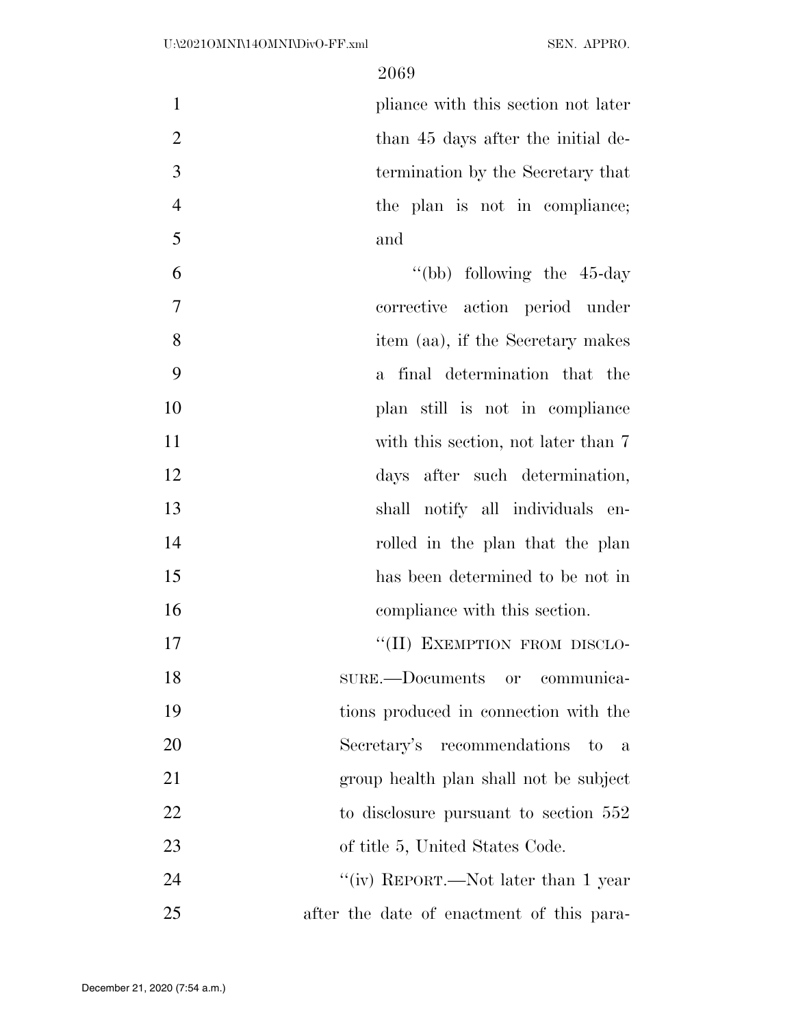1 pliance with this section not later 2 than 45 days after the initial de- termination by the Secretary that the plan is not in compliance; and

 ''(bb) following the 45-day corrective action period under item (aa), if the Secretary makes a final determination that the plan still is not in compliance 11 with this section, not later than 7 days after such determination, shall notify all individuals en-14 rolled in the plan that the plan has been determined to be not in compliance with this section. 17 "(II) EXEMPTION FROM DISCLO-

 SURE.—Documents or communica- tions produced in connection with the Secretary's recommendations to a group health plan shall not be subject 22 to disclosure pursuant to section 552 23 of title 5, United States Code. 24 ''(iv) REPORT.—Not later than 1 year

after the date of enactment of this para-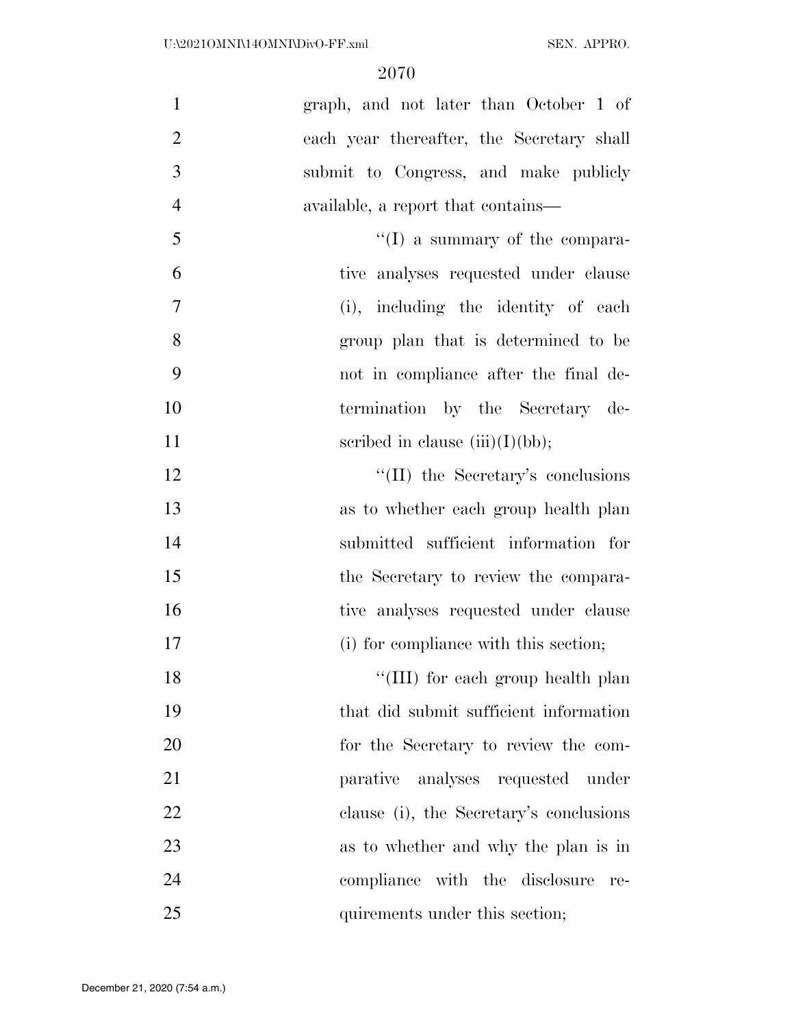| $\mathbf{1}$   | graph, and not later than October 1 of    |
|----------------|-------------------------------------------|
| $\overline{2}$ | each year thereafter, the Secretary shall |
| 3              | submit to Congress, and make publicly     |
| $\overline{4}$ | available, a report that contains—        |
| 5              | $\lq\lq$ a summary of the compara-        |
| 6              | tive analyses requested under clause      |
| $\overline{7}$ | (i), including the identity of each       |
| 8              | group plan that is determined to be       |
| 9              | not in compliance after the final de-     |
| 10             | termination by the Secretary de-          |
| 11             | scribed in clause $(iii)(I)(bb)$ ;        |
| 12             | $\lq\lq$ (II) the Secretary's conclusions |
| 13             | as to whether each group health plan      |
| 14             | submitted sufficient information for      |
| 15             | the Secretary to review the compara-      |
| 16             | tive analyses requested under clause      |
| 17             | (i) for compliance with this section;     |
| 18             | "(III) for each group health plan         |
| 19             | that did submit sufficient information    |
| 20             | for the Secretary to review the com-      |
| 21             | parative analyses requested under         |
| 22             | clause (i), the Secretary's conclusions   |
| 23             | as to whether and why the plan is in      |
| 24             | compliance with the disclosure<br>re-     |
| 25             | quirements under this section;            |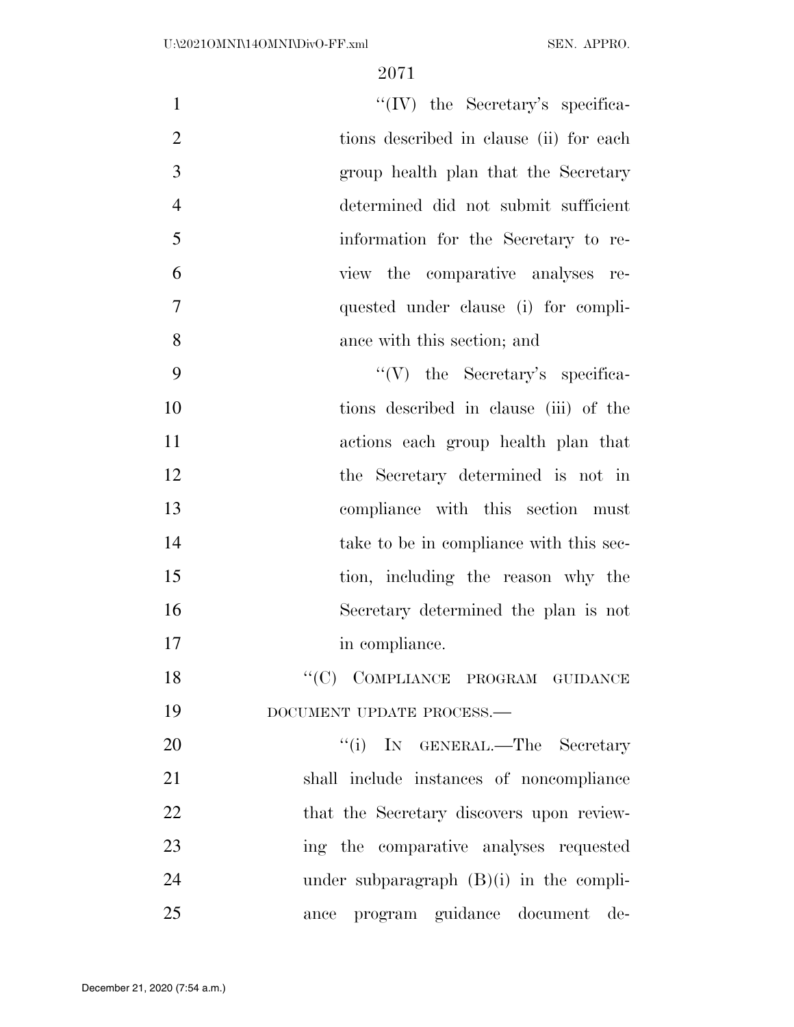| "(IV) the Secretary's specifica-<br>$\mathbf{1}$          |
|-----------------------------------------------------------|
| $\overline{2}$<br>tions described in clause (ii) for each |
| 3<br>group health plan that the Secretary                 |
| $\overline{4}$<br>determined did not submit sufficient    |
| 5<br>information for the Secretary to re-                 |
| 6<br>view the comparative analyses re-                    |
| $\tau$<br>quested under clause (i) for compli-            |
| 8<br>ance with this section; and                          |
| 9<br>$``(V)$ the Secretary's specifica-                   |
| 10<br>tions described in clause (iii) of the              |
| 11<br>actions each group health plan that                 |
| 12<br>the Secretary determined is not in                  |
| 13<br>compliance with this section must                   |
| 14<br>take to be in compliance with this sec-             |
| 15<br>tion, including the reason why the                  |
| 16<br>Secretary determined the plan is not                |
| 17<br>in compliance.                                      |
| $``(C)$ COMPLIANCE PROGRAM GUIDANCE<br>18                 |
| 19<br>DOCUMENT UPDATE PROCESS.-                           |
| 20<br>"(i) IN GENERAL.—The Secretary                      |
| 21<br>shall include instances of noncompliance            |
| 22<br>that the Secretary discovers upon review-           |
| 23<br>ing the comparative analyses requested              |
| 24<br>under subparagraph $(B)(i)$ in the compli-          |
| 25<br>ance program guidance document de-                  |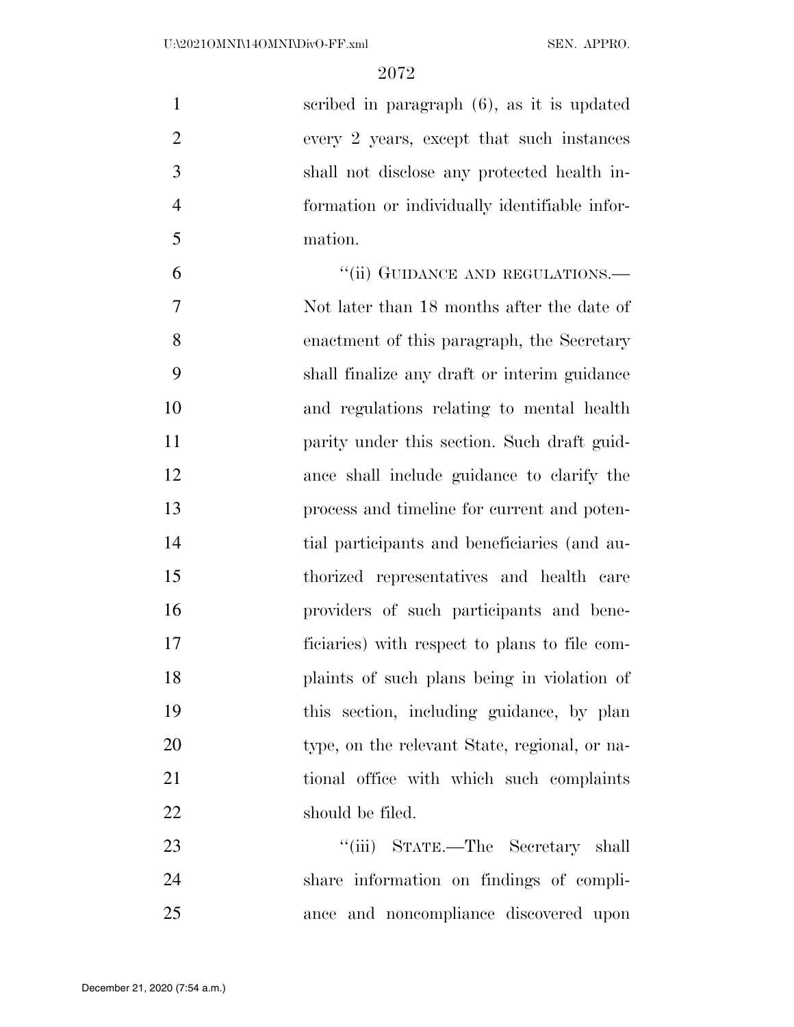scribed in paragraph (6), as it is updated every 2 years, except that such instances shall not disclose any protected health in- formation or individually identifiable infor-mation.

6 "(ii) GUIDANCE AND REGULATIONS.— Not later than 18 months after the date of enactment of this paragraph, the Secretary shall finalize any draft or interim guidance and regulations relating to mental health **parity under this section.** Such draft guid- ance shall include guidance to clarify the process and timeline for current and poten- tial participants and beneficiaries (and au- thorized representatives and health care providers of such participants and bene- ficiaries) with respect to plans to file com- plaints of such plans being in violation of this section, including guidance, by plan type, on the relevant State, regional, or na- tional office with which such complaints 22 should be filed.

23 "'(iii) STATE.—The Secretary shall share information on findings of compli-ance and noncompliance discovered upon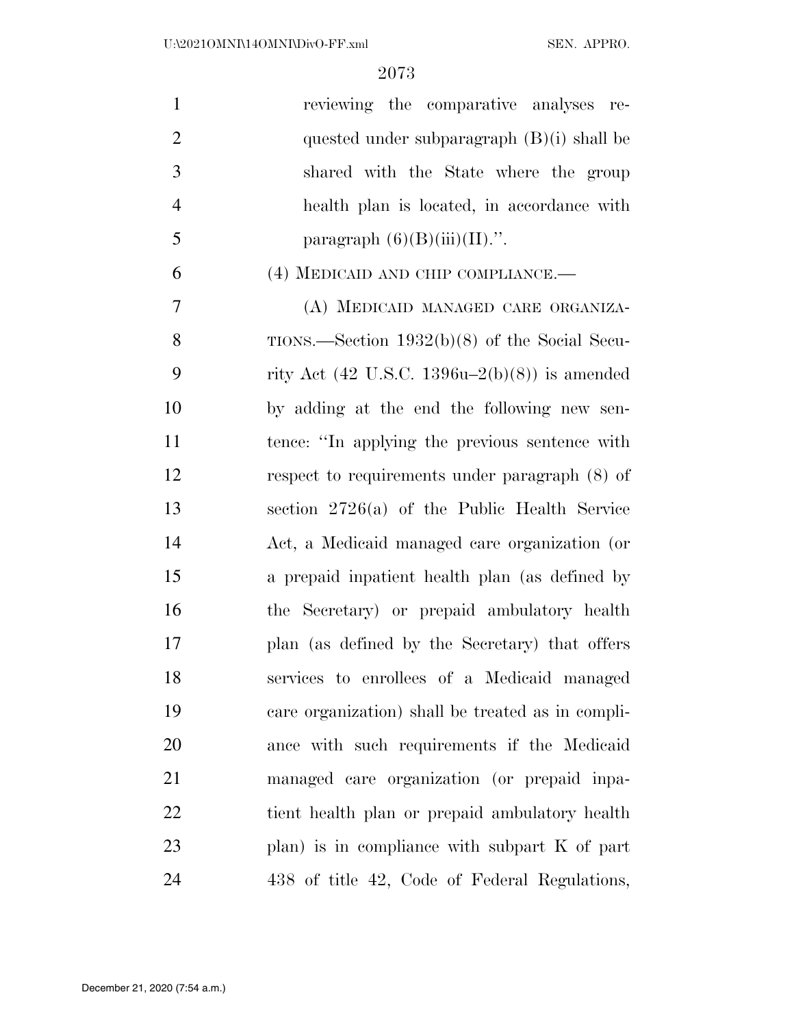| $\mathbf{1}$   | reviewing the comparative analyses re-            |
|----------------|---------------------------------------------------|
| $\overline{2}$ | quested under subparagraph $(B)(i)$ shall be      |
| 3              | shared with the State where the group             |
| $\overline{4}$ | health plan is located, in accordance with        |
| 5              | paragraph $(6)(B)(iii)(II)$ .".                   |
| 6              | (4) MEDICAID AND CHIP COMPLIANCE.—                |
| $\overline{7}$ | (A) MEDICAID MANAGED CARE ORGANIZA-               |
| 8              | TIONS.—Section $1932(b)(8)$ of the Social Secu-   |
| 9              | rity Act (42 U.S.C. 1396u–2(b)(8)) is amended     |
| 10             | by adding at the end the following new sen-       |
| 11             | tence: "In applying the previous sentence with    |
| 12             | respect to requirements under paragraph (8) of    |
| 13             | section $2726(a)$ of the Public Health Service    |
| 14             | Act, a Medicaid managed care organization (or     |
| 15             | a prepaid inpatient health plan (as defined by    |
| 16             | the Secretary) or prepaid ambulatory health       |
| 17             | plan (as defined by the Secretary) that offers    |
| 18             | services to enrollees of a Medicaid managed       |
| 19             | care organization) shall be treated as in compli- |
| <b>20</b>      | ance with such requirements if the Medicaid       |
| 21             | managed care organization (or prepaid inpa-       |
| 22             | tient health plan or prepaid ambulatory health    |
| 23             | plan) is in compliance with subpart $K$ of part   |
| 24             | 438 of title 42, Code of Federal Regulations,     |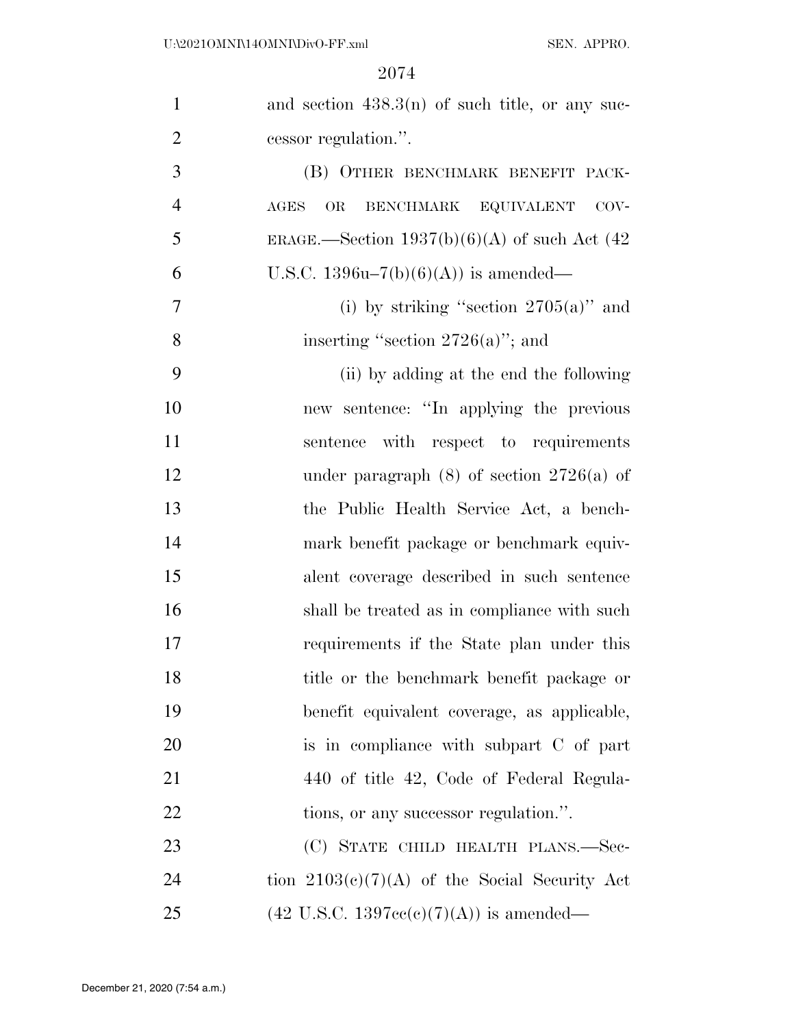| $\mathbf{1}$   | and section $438.3(n)$ of such title, or any suc-           |
|----------------|-------------------------------------------------------------|
| $\overline{2}$ | cessor regulation.".                                        |
| 3              | (B) OTHER BENCHMARK BENEFIT PACK-                           |
| $\overline{4}$ | BENCHMARK EQUIVALENT<br>$\operatorname{AGES}$<br>OR<br>COV- |
| 5              | ERAGE.—Section $1937(b)(6)(A)$ of such Act (42              |
| 6              | U.S.C. $1396u-7(b)(6)(A)$ is amended—                       |
| 7              | (i) by striking "section $2705(a)$ " and                    |
| $8\,$          | inserting "section $2726(a)$ "; and                         |
| 9              | (ii) by adding at the end the following                     |
| 10             | new sentence: "In applying the previous                     |
| 11             | sentence with respect to requirements                       |
| 12             | under paragraph $(8)$ of section $2726(a)$ of               |
| 13             | the Public Health Service Act, a bench-                     |
| 14             | mark benefit package or benchmark equiv-                    |
| 15             | alent coverage described in such sentence                   |
| 16             | shall be treated as in compliance with such                 |
| 17             | requirements if the State plan under this                   |
| 18             | title or the benchmark benefit package or                   |
| 19             | benefit equivalent coverage, as applicable,                 |
| 20             | is in compliance with subpart C of part                     |
| 21             | 440 of title 42, Code of Federal Regula-                    |
| 22             | tions, or any successor regulation.".                       |
| 23             | (C) STATE CHILD HEALTH PLANS.—Sec-                          |
| 24             | tion $2103(c)(7)(A)$ of the Social Security Act             |
| 25             | $(42 \text{ U.S.C. } 1397\text{cc}(c)(7)(A))$ is amended—   |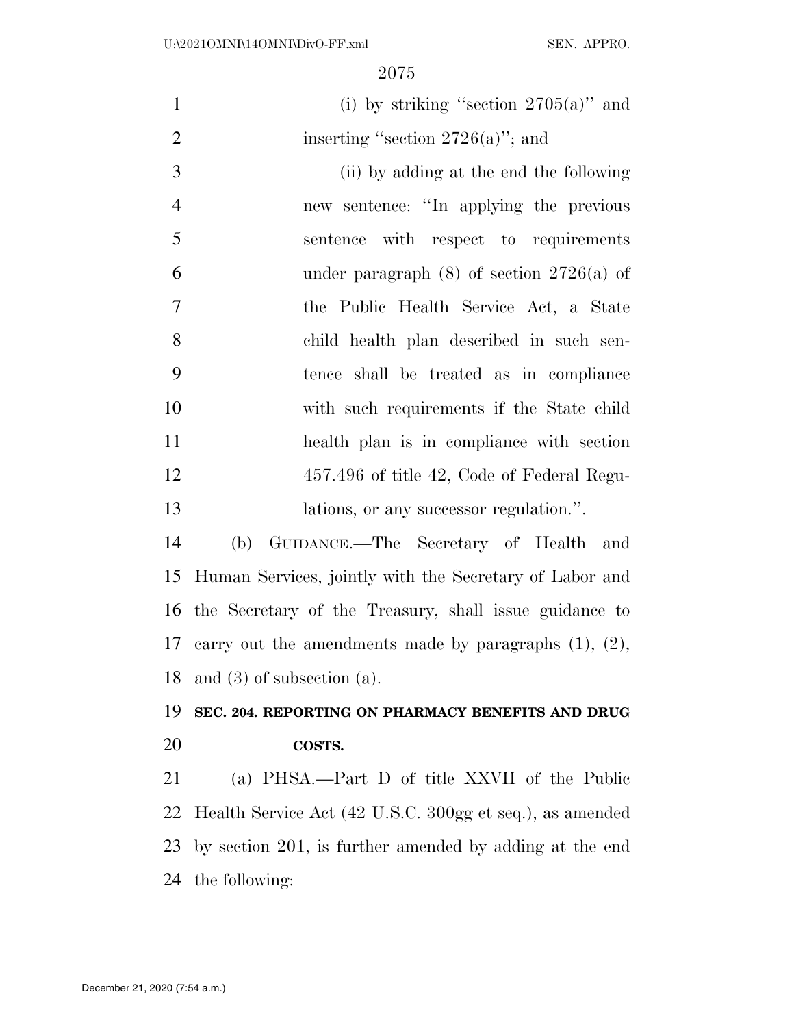| $\mathbf{1}$   | (i) by striking "section $2705(a)$ " and                    |
|----------------|-------------------------------------------------------------|
| $\overline{2}$ | inserting "section $2726(a)$ "; and                         |
| 3              | (ii) by adding at the end the following                     |
| $\overline{4}$ | new sentence: "In applying the previous                     |
| 5              | sentence with respect to requirements                       |
| 6              | under paragraph $(8)$ of section $2726(a)$ of               |
| 7              | the Public Health Service Act, a State                      |
| 8              | child health plan described in such sen-                    |
| 9              | tence shall be treated as in compliance                     |
| 10             | with such requirements if the State child                   |
| 11             | health plan is in compliance with section                   |
| 12             | 457.496 of title 42, Code of Federal Regu-                  |
| 13             | lations, or any successor regulation.".                     |
| 14             | (b) GUIDANCE.—The Secretary of Health and                   |
| 15             | Human Services, jointly with the Secretary of Labor and     |
| 16             | the Secretary of the Treasury, shall issue guidance to      |
| 17             | carry out the amendments made by paragraphs $(1)$ , $(2)$ , |
| 18             | and $(3)$ of subsection $(a)$ .                             |
| 19             | SEC. 204. REPORTING ON PHARMACY BENEFITS AND DRUG           |
| 20             | COSTS.                                                      |
| 21             | (a) PHSA.—Part D of title XXVII of the Public               |
| 22             | Health Service Act (42 U.S.C. 300gg et seq.), as amended    |
| 23             | by section 201, is further amended by adding at the end     |
| 24             | the following:                                              |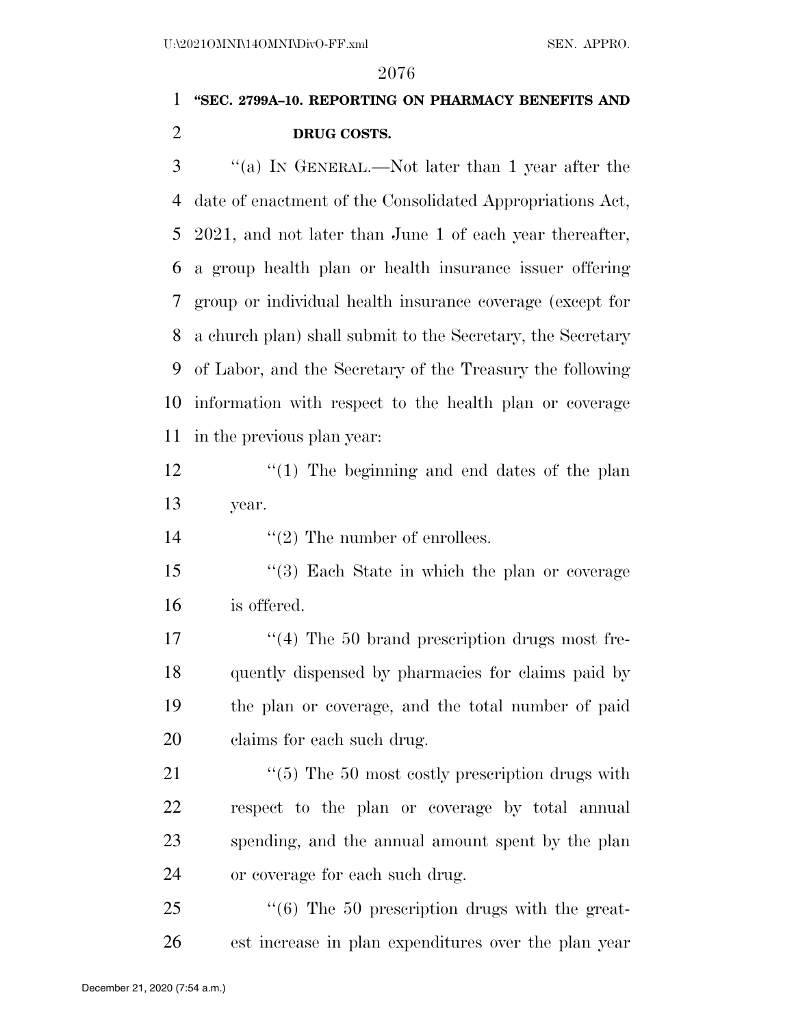# **''SEC. 2799A–10. REPORTING ON PHARMACY BENEFITS AND DRUG COSTS.**

 ''(a) IN GENERAL.—Not later than 1 year after the date of enactment of the Consolidated Appropriations Act, 2021, and not later than June 1 of each year thereafter, a group health plan or health insurance issuer offering group or individual health insurance coverage (except for a church plan) shall submit to the Secretary, the Secretary of Labor, and the Secretary of the Treasury the following information with respect to the health plan or coverage in the previous plan year:

 $\frac{12}{2}$  ''(1) The beginning and end dates of the plan year.

14  $\frac{1}{2}$  The number of enrollees.

 ''(3) Each State in which the plan or coverage is offered.

17 ''(4) The 50 brand prescription drugs most fre- quently dispensed by pharmacies for claims paid by the plan or coverage, and the total number of paid claims for each such drug.

21 ''(5) The 50 most costly prescription drugs with respect to the plan or coverage by total annual spending, and the annual amount spent by the plan or coverage for each such drug.

25  $\frac{1}{6}$  The 50 prescription drugs with the great-est increase in plan expenditures over the plan year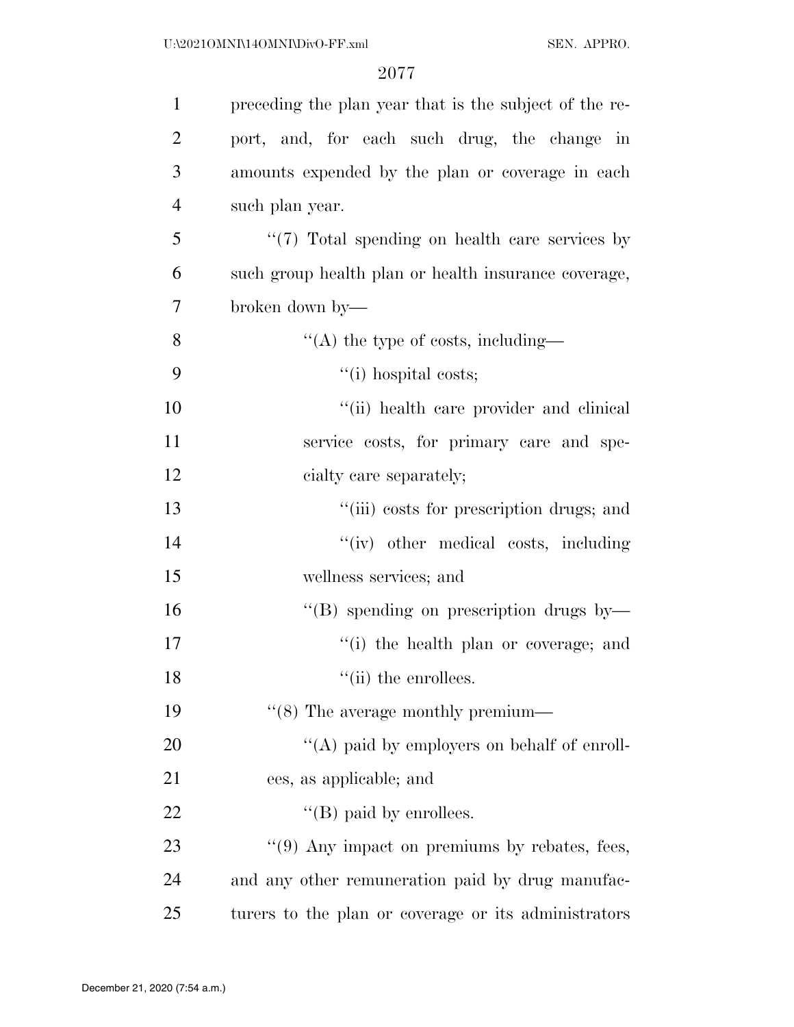| $\mathbf{1}$   | preceding the plan year that is the subject of the re- |
|----------------|--------------------------------------------------------|
| $\overline{2}$ | port, and, for each such drug, the change in           |
| 3              | amounts expended by the plan or coverage in each       |
| $\overline{4}$ | such plan year.                                        |
| 5              | "(7) Total spending on health care services by         |
| 6              | such group health plan or health insurance coverage,   |
| 7              | broken down by—                                        |
| 8              | "(A) the type of costs, including—                     |
| 9              | $``(i)$ hospital costs;                                |
| 10             | "(ii) health care provider and clinical                |
| 11             | service costs, for primary care and spe-               |
| 12             | cialty care separately;                                |
| 13             | "(iii) costs for prescription drugs; and               |
| 14             | "(iv) other medical costs, including                   |
| 15             | wellness services; and                                 |
| 16             | "(B) spending on prescription drugs by-                |
| 17             | "(i) the health plan or coverage; and                  |
| 18             | $``$ (ii) the enrollees.                               |
| 19             | $\lq(8)$ The average monthly premium—                  |
| 20             | "(A) paid by employers on behalf of enroll-            |
| 21             | ees, as applicable; and                                |
| 22             | $\lq\lq$ (B) paid by enrollees.                        |
| 23             | $\lq(9)$ Any impact on premiums by rebates, fees,      |
| 24             | and any other remuneration paid by drug manufac-       |
| 25             | turers to the plan or coverage or its administrators   |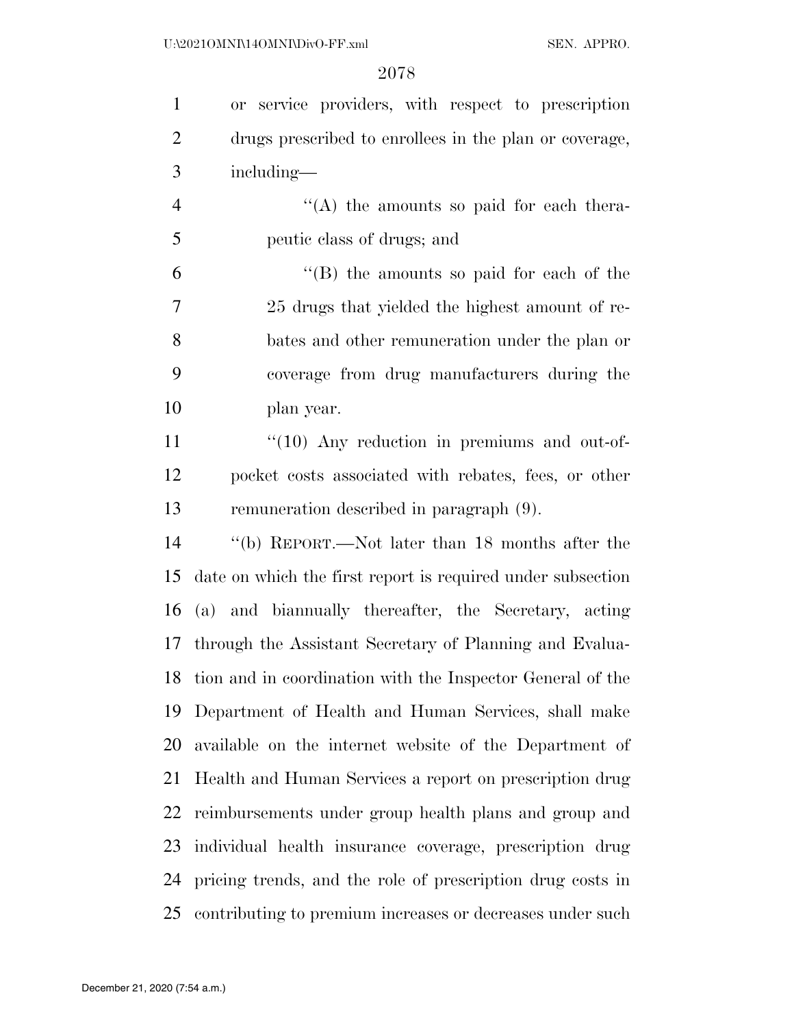| $\mathbf{1}$   | or service providers, with respect to prescription          |
|----------------|-------------------------------------------------------------|
| $\overline{2}$ | drugs prescribed to enrollees in the plan or coverage,      |
| 3              | including—                                                  |
| $\overline{4}$ | $\lq\lq$ the amounts so paid for each thera-                |
| 5              | peutic class of drugs; and                                  |
| 6              | $\cdot$ (B) the amounts so paid for each of the             |
| 7              | 25 drugs that yielded the highest amount of re-             |
| 8              | bates and other remuneration under the plan or              |
| 9              | coverage from drug manufacturers during the                 |
| 10             | plan year.                                                  |
| 11             | $\lq(10)$ Any reduction in premiums and out-of-             |
| 12             | pocket costs associated with rebates, fees, or other        |
| 13             | remuneration described in paragraph (9).                    |
| 14             | "(b) REPORT.—Not later than 18 months after the             |
| 15             | date on which the first report is required under subsection |
| 16             | (a) and biannually thereafter, the Secretary, acting        |
| 17             | through the Assistant Secretary of Planning and Evalua-     |
| 18             | tion and in coordination with the Inspector General of the  |
| 19             | Department of Health and Human Services, shall make         |
| 20             | available on the internet website of the Department of      |
| 21             | Health and Human Services a report on prescription drug     |
| 22             | reimbursements under group health plans and group and       |
| 23             | individual health insurance coverage, prescription drug     |
| 24             | pricing trends, and the role of prescription drug costs in  |
| 25             | contributing to premium increases or decreases under such   |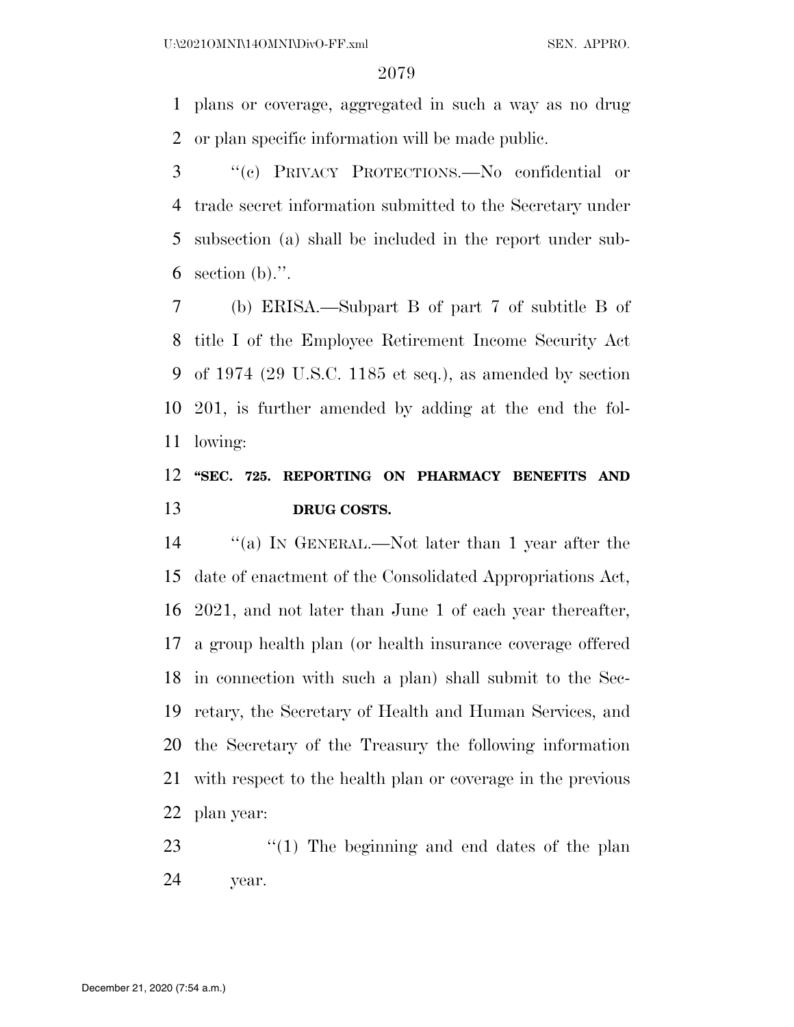plans or coverage, aggregated in such a way as no drug or plan specific information will be made public.

 ''(c) PRIVACY PROTECTIONS.—No confidential or trade secret information submitted to the Secretary under subsection (a) shall be included in the report under sub-6 section (b).".

 (b) ERISA.—Subpart B of part 7 of subtitle B of title I of the Employee Retirement Income Security Act of 1974 (29 U.S.C. 1185 et seq.), as amended by section 201, is further amended by adding at the end the fol-lowing:

# **''SEC. 725. REPORTING ON PHARMACY BENEFITS AND DRUG COSTS.**

 ''(a) IN GENERAL.—Not later than 1 year after the date of enactment of the Consolidated Appropriations Act, 2021, and not later than June 1 of each year thereafter, a group health plan (or health insurance coverage offered in connection with such a plan) shall submit to the Sec- retary, the Secretary of Health and Human Services, and the Secretary of the Treasury the following information with respect to the health plan or coverage in the previous plan year:

23 ''(1) The beginning and end dates of the plan year.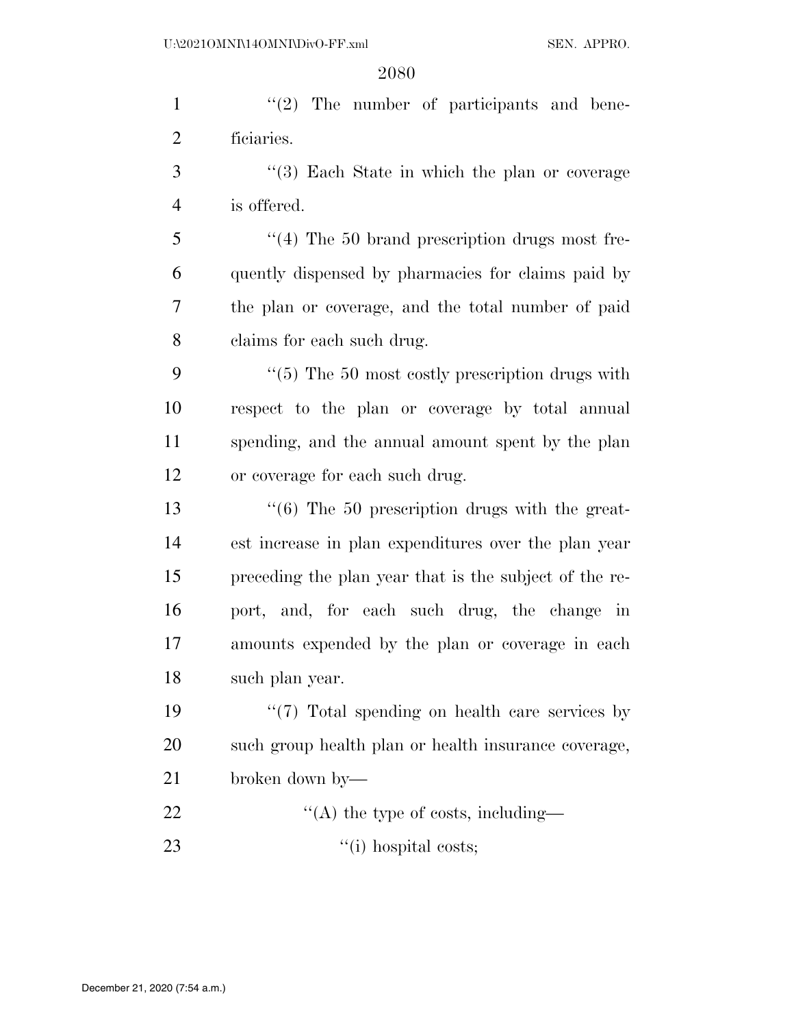1 ''(2) The number of participants and bene- ficiaries. ''(3) Each State in which the plan or coverage is offered. ''(4) The 50 brand prescription drugs most fre- quently dispensed by pharmacies for claims paid by the plan or coverage, and the total number of paid claims for each such drug. 9 "(5) The 50 most costly prescription drugs with respect to the plan or coverage by total annual spending, and the annual amount spent by the plan or coverage for each such drug.  $\frac{13}{16}$  The 50 prescription drugs with the great- est increase in plan expenditures over the plan year preceding the plan year that is the subject of the re- port, and, for each such drug, the change in amounts expended by the plan or coverage in each such plan year.  $\frac{1}{2}$   $\frac{1}{2}$  Total spending on health care services by such group health plan or health insurance coverage, broken down by—  $\text{``(A) the type of costs, including}$ 23 '(i) hospital costs;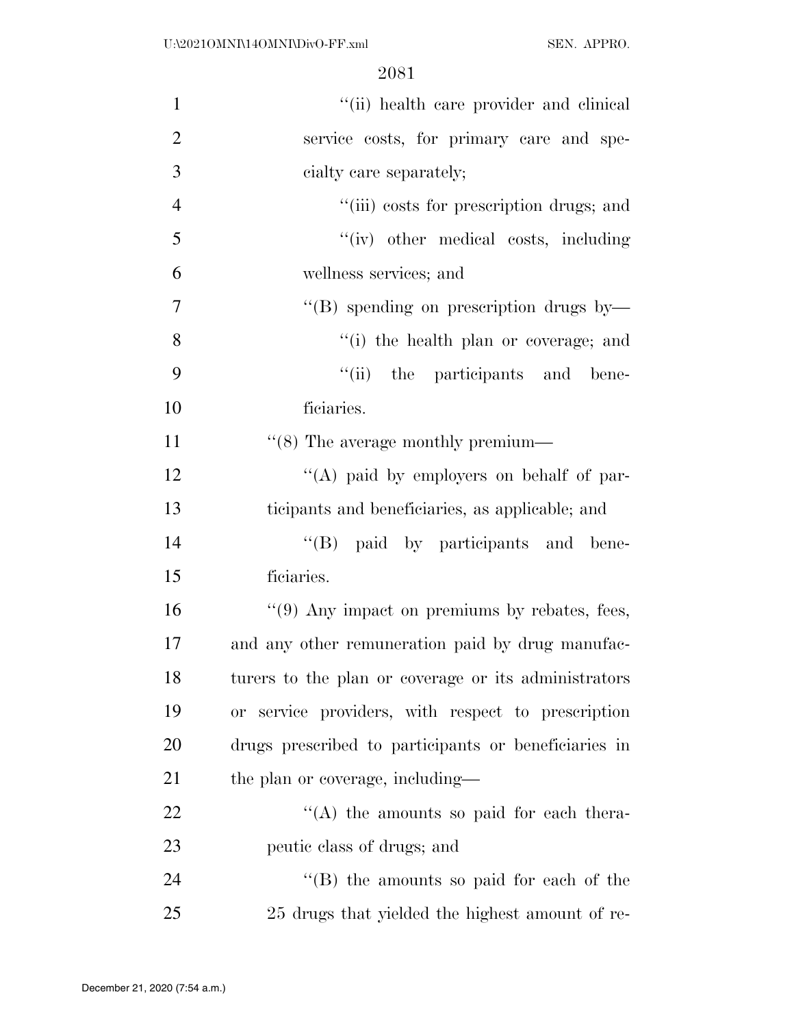| $\mathbf{1}$   | "(ii) health care provider and clinical              |
|----------------|------------------------------------------------------|
| $\overline{2}$ | service costs, for primary care and spe-             |
| 3              | cialty care separately;                              |
| $\overline{4}$ | "(iii) costs for prescription drugs; and             |
| 5              | "(iv) other medical costs, including                 |
| 6              | wellness services; and                               |
| 7              | "(B) spending on prescription drugs by-              |
| 8              | "(i) the health plan or coverage; and                |
| 9              | "(ii) the participants and bene-                     |
| 10             | ficiaries.                                           |
| 11             | $\cdot\cdot$ (8) The average monthly premium—        |
| 12             | "(A) paid by employers on behalf of par-             |
| 13             | ticipants and beneficiaries, as applicable; and      |
| 14             | "(B) paid by participants and bene-                  |
| 15             | ficiaries.                                           |
| 16             | $\lq(9)$ Any impact on premiums by rebates, fees,    |
| 17             | and any other remuneration paid by drug manufac-     |
| 18             | turers to the plan or coverage or its administrators |
| 19             | or service providers, with respect to prescription   |
| 20             | drugs prescribed to participants or beneficiaries in |
| 21             | the plan or coverage, including—                     |
| 22             | $\lq\lq$ the amounts so paid for each thera-         |
| 23             | peutic class of drugs; and                           |
| 24             | "(B) the amounts so paid for each of the             |
| 25             | 25 drugs that yielded the highest amount of re-      |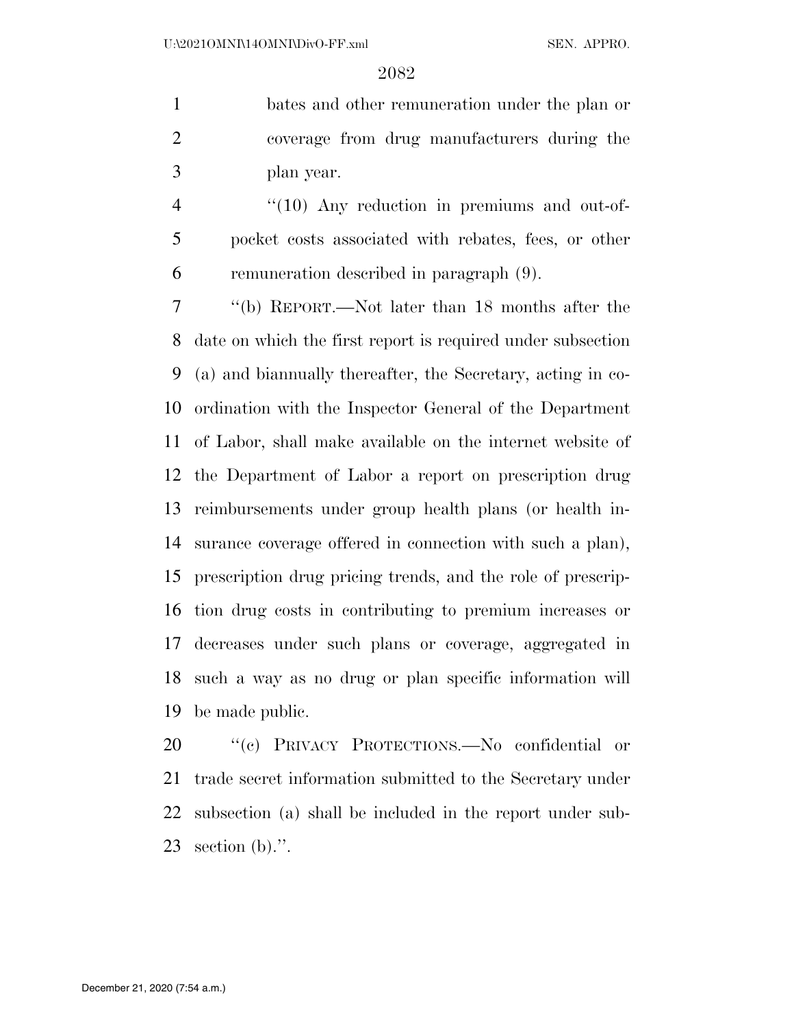bates and other remuneration under the plan or coverage from drug manufacturers during the plan year.

4 "(10) Any reduction in premiums and out-of- pocket costs associated with rebates, fees, or other remuneration described in paragraph (9).

 ''(b) REPORT.—Not later than 18 months after the date on which the first report is required under subsection (a) and biannually thereafter, the Secretary, acting in co- ordination with the Inspector General of the Department of Labor, shall make available on the internet website of the Department of Labor a report on prescription drug reimbursements under group health plans (or health in- surance coverage offered in connection with such a plan), prescription drug pricing trends, and the role of prescrip- tion drug costs in contributing to premium increases or decreases under such plans or coverage, aggregated in such a way as no drug or plan specific information will be made public.

20 "(c) PRIVACY PROTECTIONS.—No confidential or trade secret information submitted to the Secretary under subsection (a) shall be included in the report under sub-section (b).''.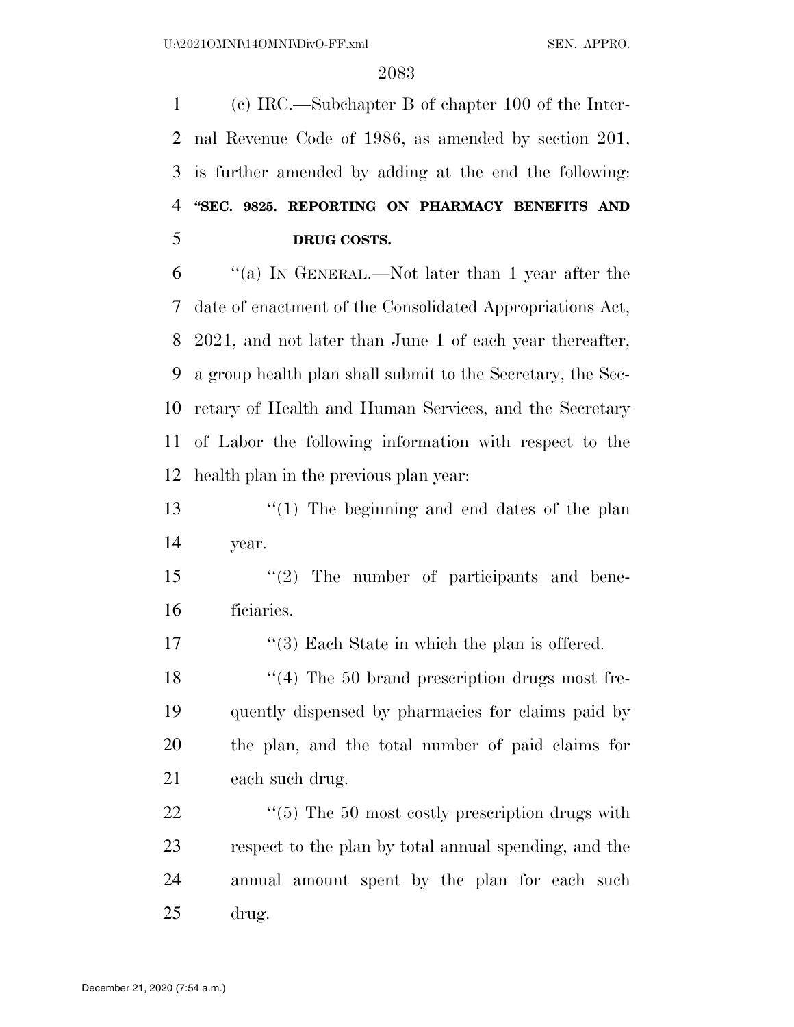(c) IRC.—Subchapter B of chapter 100 of the Inter- nal Revenue Code of 1986, as amended by section 201, is further amended by adding at the end the following: **''SEC. 9825. REPORTING ON PHARMACY BENEFITS AND DRUG COSTS.** 

 ''(a) IN GENERAL.—Not later than 1 year after the date of enactment of the Consolidated Appropriations Act, 2021, and not later than June 1 of each year thereafter, a group health plan shall submit to the Secretary, the Sec- retary of Health and Human Services, and the Secretary of Labor the following information with respect to the health plan in the previous plan year:

 ''(1) The beginning and end dates of the plan year.

 ''(2) The number of participants and bene-ficiaries.

17 ''(3) Each State in which the plan is offered.

18 ''(4) The 50 brand prescription drugs most fre- quently dispensed by pharmacies for claims paid by the plan, and the total number of paid claims for each such drug.

 $\frac{1}{2}$  (5) The 50 most costly prescription drugs with respect to the plan by total annual spending, and the annual amount spent by the plan for each such drug.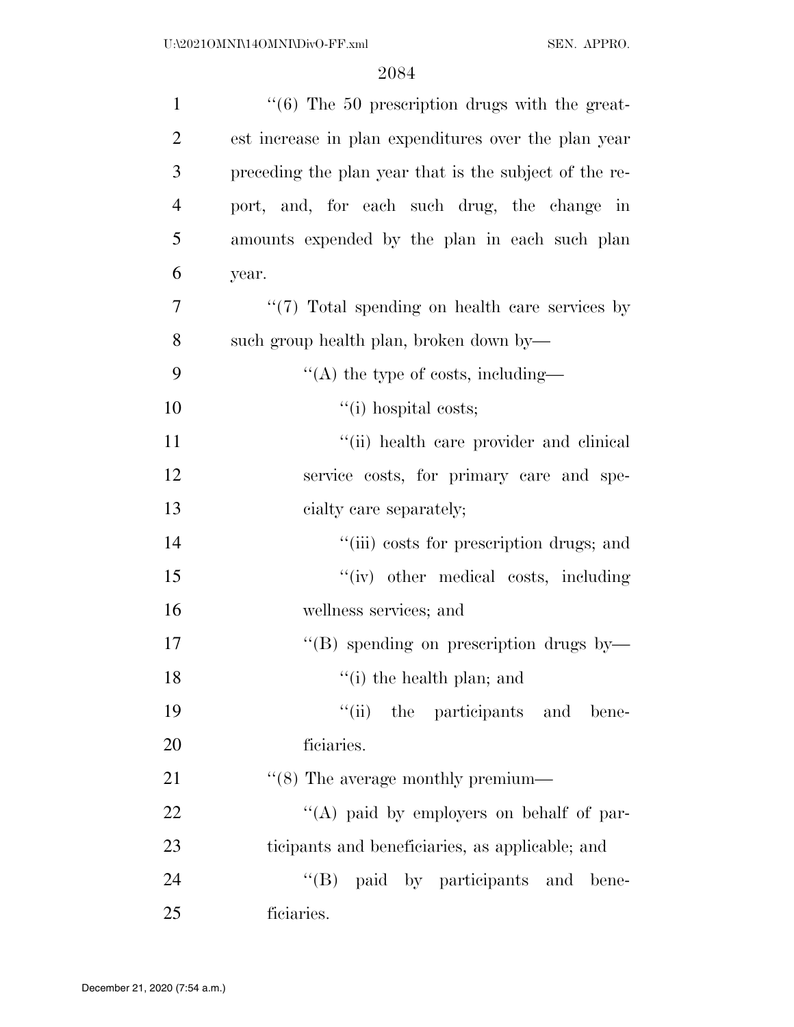| $\mathbf{1}$   | $\cdot\cdot\cdot$ (6) The 50 prescription drugs with the great- |
|----------------|-----------------------------------------------------------------|
| $\overline{2}$ | est increase in plan expenditures over the plan year            |
| 3              | preceding the plan year that is the subject of the re-          |
| $\overline{4}$ | port, and, for each such drug, the change in                    |
| 5              | amounts expended by the plan in each such plan                  |
| 6              | year.                                                           |
| 7              | "(7) Total spending on health care services by                  |
| 8              | such group health plan, broken down by—                         |
| 9              | $\lq\lq$ the type of costs, including—                          |
| 10             | $``(i)$ hospital costs;                                         |
| 11             | "(ii) health care provider and clinical                         |
| 12             | service costs, for primary care and spe-                        |
| 13             | cialty care separately;                                         |
| 14             | "(iii) costs for prescription drugs; and                        |
| 15             | "(iv) other medical costs, including                            |
| 16             | wellness services; and                                          |
| 17             | $\lq\lq (B)$ spending on prescription drugs by—                 |
| 18             | $f'(i)$ the health plan; and                                    |
| 19             | ``(ii)<br>the participants and bene-                            |
| 20             | ficiaries.                                                      |
| 21             | $\cdot\cdot$ (8) The average monthly premium—                   |
| 22             | "(A) paid by employers on behalf of par-                        |
| 23             | ticipants and beneficiaries, as applicable; and                 |
| 24             | $\mathrm{``(B)}$<br>paid by participants and bene-              |
| 25             | ficiaries.                                                      |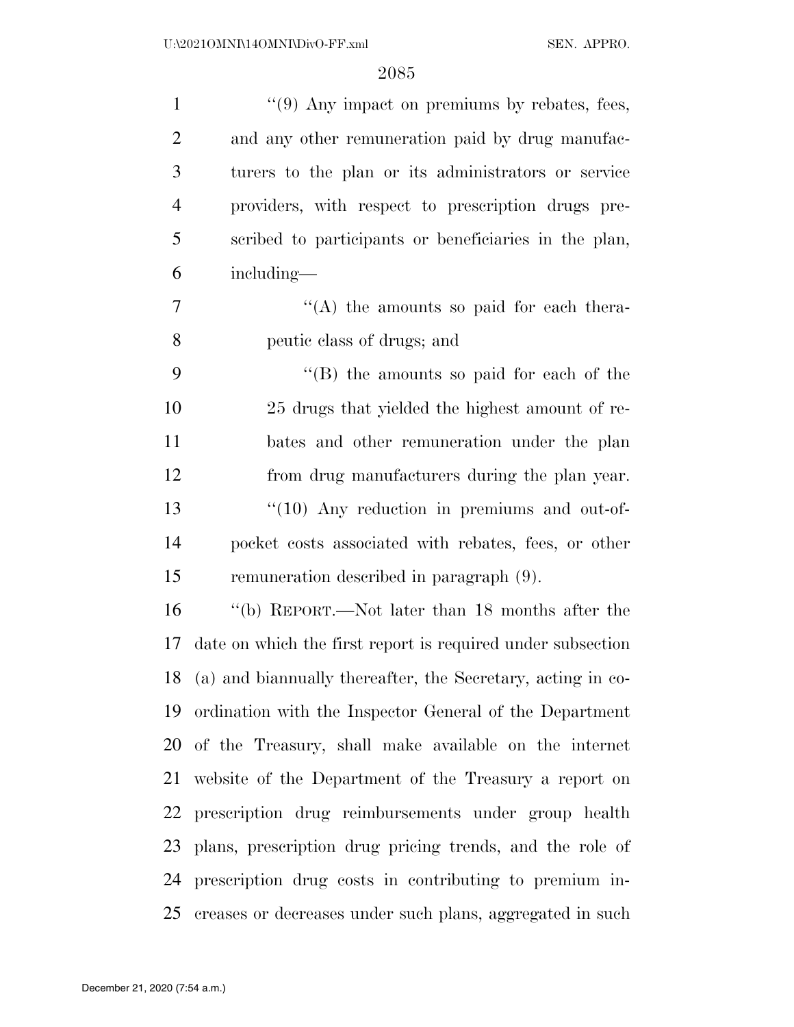| $\mathbf{1}$   | $\lq(9)$ Any impact on premiums by rebates, fees,              |
|----------------|----------------------------------------------------------------|
| $\overline{2}$ | and any other remuneration paid by drug manufac-               |
| 3              | turers to the plan or its administrators or service            |
| $\overline{4}$ | providers, with respect to prescription drugs pre-             |
| 5              | scribed to participants or beneficiaries in the plan,          |
| 6              | including—                                                     |
| 7              | "(A) the amounts so paid for each thera-                       |
| 8              | peutic class of drugs; and                                     |
| 9              | $\lq\lq (B)$ the amounts so paid for each of the               |
| 10             | 25 drugs that yielded the highest amount of re-                |
| 11             | bates and other remuneration under the plan                    |
| 12             | from drug manufacturers during the plan year.                  |
| 13             | $\lq(10)$ Any reduction in premiums and out-of-                |
| 14             | pocket costs associated with rebates, fees, or other           |
| 15             | remuneration described in paragraph (9).                       |
| 16             | "(b) REPORT.—Not later than 18 months after the                |
| 17             | date on which the first report is required under subsection    |
|                | 18 (a) and biannually thereafter, the Secretary, acting in co- |
|                | 19 ordination with the Inspector General of the Department     |
|                | 20 of the Treasury, shall make available on the internet       |
|                | 21 website of the Department of the Treasury a report on       |
| 22             | prescription drug reimbursements under group health            |
|                | 23 plans, prescription drug pricing trends, and the role of    |
| 24             | prescription drug costs in contributing to premium in-         |
| 25             | creases or decreases under such plans, aggregated in such      |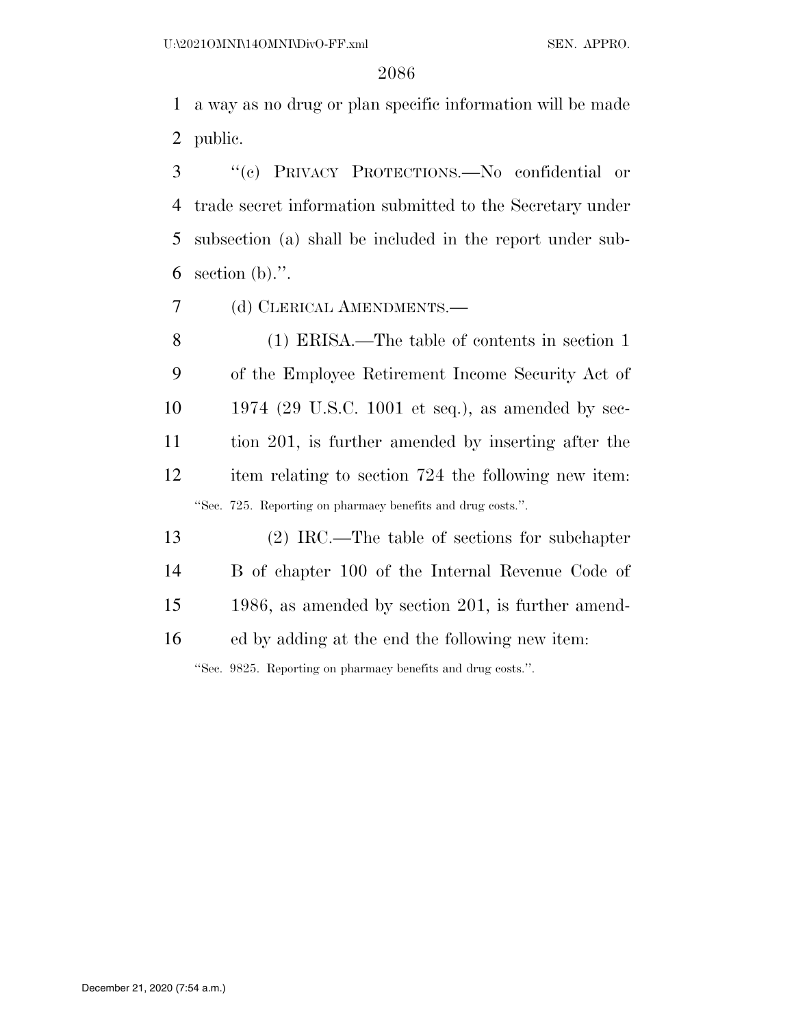a way as no drug or plan specific information will be made public.

 ''(c) PRIVACY PROTECTIONS.—No confidential or trade secret information submitted to the Secretary under subsection (a) shall be included in the report under sub-6 section (b).".

(d) CLERICAL AMENDMENTS.—

 (1) ERISA.—The table of contents in section 1 of the Employee Retirement Income Security Act of 1974 (29 U.S.C. 1001 et seq.), as amended by sec- tion 201, is further amended by inserting after the item relating to section 724 the following new item: ''Sec. 725. Reporting on pharmacy benefits and drug costs.''.

 (2) IRC.—The table of sections for subchapter B of chapter 100 of the Internal Revenue Code of 1986, as amended by section 201, is further amend-ed by adding at the end the following new item:

''Sec. 9825. Reporting on pharmacy benefits and drug costs.''.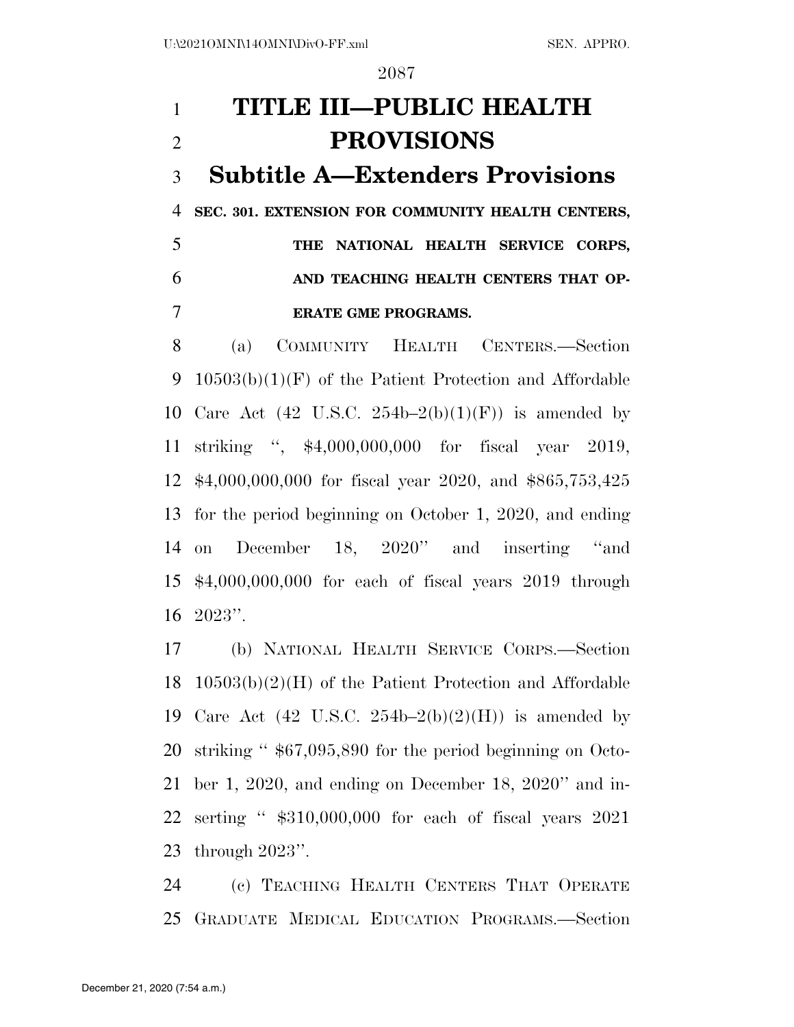# **TITLE III—PUBLIC HEALTH PROVISIONS Subtitle A—Extenders Provisions SEC. 301. EXTENSION FOR COMMUNITY HEALTH CENTERS, THE NATIONAL HEALTH SERVICE CORPS, AND TEACHING HEALTH CENTERS THAT OP-ERATE GME PROGRAMS.**

 (a) COMMUNITY HEALTH CENTERS.—Section 10503(b)(1)(F) of the Patient Protection and Affordable 10 Care Act (42 U.S.C.  $254b-2(b)(1)(F)$ ) is amended by striking '', \$4,000,000,000 for fiscal year 2019, \$4,000,000,000 for fiscal year 2020, and \$865,753,425 for the period beginning on October 1, 2020, and ending on December 18, 2020'' and inserting ''and \$4,000,000,000 for each of fiscal years 2019 through 2023''.

 (b) NATIONAL HEALTH SERVICE CORPS.—Section 10503(b)(2)(H) of the Patient Protection and Affordable 19 Care Act (42 U.S.C.  $254b-2(b)(2)(H)$ ) is amended by striking '' \$67,095,890 for the period beginning on Octo- ber 1, 2020, and ending on December 18, 2020'' and in- serting '' \$310,000,000 for each of fiscal years 2021 through 2023''.

 (c) TEACHING HEALTH CENTERS THAT OPERATE GRADUATE MEDICAL EDUCATION PROGRAMS.—Section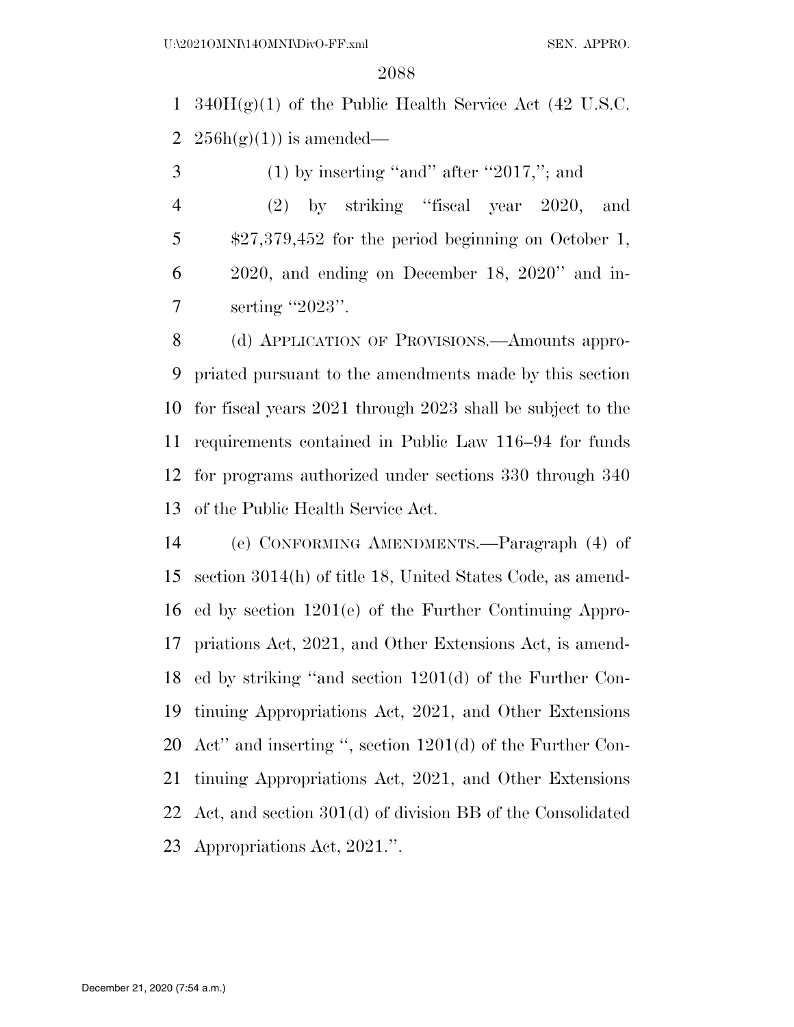1 340 $H(g)(1)$  of the Public Health Service Act (42 U.S.C. 2  $256h(g(1))$  is amended—

 $3 \qquad (1)$  by inserting "and" after "2017,"; and

 (2) by striking ''fiscal year 2020, and \$27,379,452 for the period beginning on October 1, 2020, and ending on December 18, 2020'' and in-7 serting "2023".

 (d) APPLICATION OF PROVISIONS.—Amounts appro- priated pursuant to the amendments made by this section for fiscal years 2021 through 2023 shall be subject to the requirements contained in Public Law 116–94 for funds for programs authorized under sections 330 through 340 of the Public Health Service Act.

 (e) CONFORMING AMENDMENTS.—Paragraph (4) of section 3014(h) of title 18, United States Code, as amend- ed by section 1201(e) of the Further Continuing Appro- priations Act, 2021, and Other Extensions Act, is amend- ed by striking ''and section 1201(d) of the Further Con- tinuing Appropriations Act, 2021, and Other Extensions Act'' and inserting '', section 1201(d) of the Further Con- tinuing Appropriations Act, 2021, and Other Extensions Act, and section 301(d) of division BB of the Consolidated Appropriations Act, 2021.''.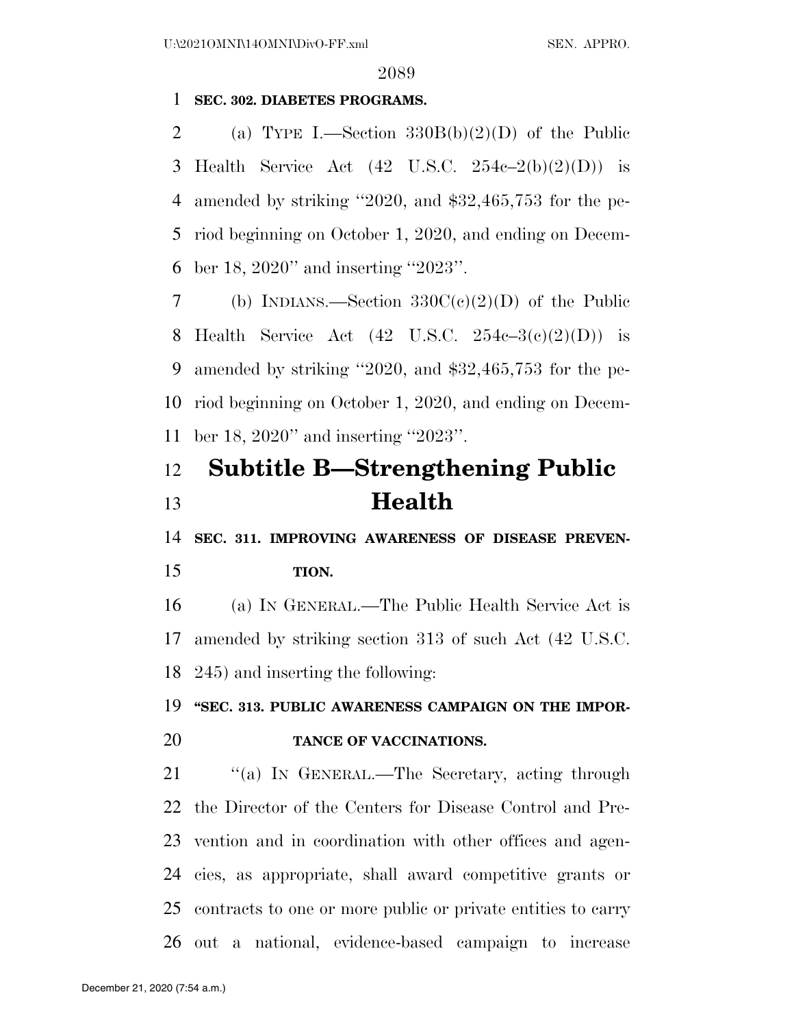#### **SEC. 302. DIABETES PROGRAMS.**

2 (a) TYPE I.—Section  $330B(b)(2)(D)$  of the Public 3 Health Service Act  $(42 \text{ U.S.C. } 254e-2(b)(2)(D))$  is amended by striking ''2020, and \$32,465,753 for the pe- riod beginning on October 1, 2020, and ending on Decem-ber 18, 2020'' and inserting ''2023''.

7 (b) INDIANS.—Section  $330C(c)(2)(D)$  of the Public 8 Health Service Act  $(42 \text{ U.S.C. } 254c-3(c)(2)(D))$  is amended by striking ''2020, and \$32,465,753 for the pe- riod beginning on October 1, 2020, and ending on Decem-ber 18, 2020'' and inserting ''2023''.

# **Subtitle B—Strengthening Public Health**

 **SEC. 311. IMPROVING AWARENESS OF DISEASE PREVEN-TION.** 

 (a) IN GENERAL.—The Public Health Service Act is amended by striking section 313 of such Act (42 U.S.C. 245) and inserting the following:

# **''SEC. 313. PUBLIC AWARENESS CAMPAIGN ON THE IMPOR-TANCE OF VACCINATIONS.**

21 "(a) IN GENERAL.—The Secretary, acting through the Director of the Centers for Disease Control and Pre- vention and in coordination with other offices and agen- cies, as appropriate, shall award competitive grants or contracts to one or more public or private entities to carry out a national, evidence-based campaign to increase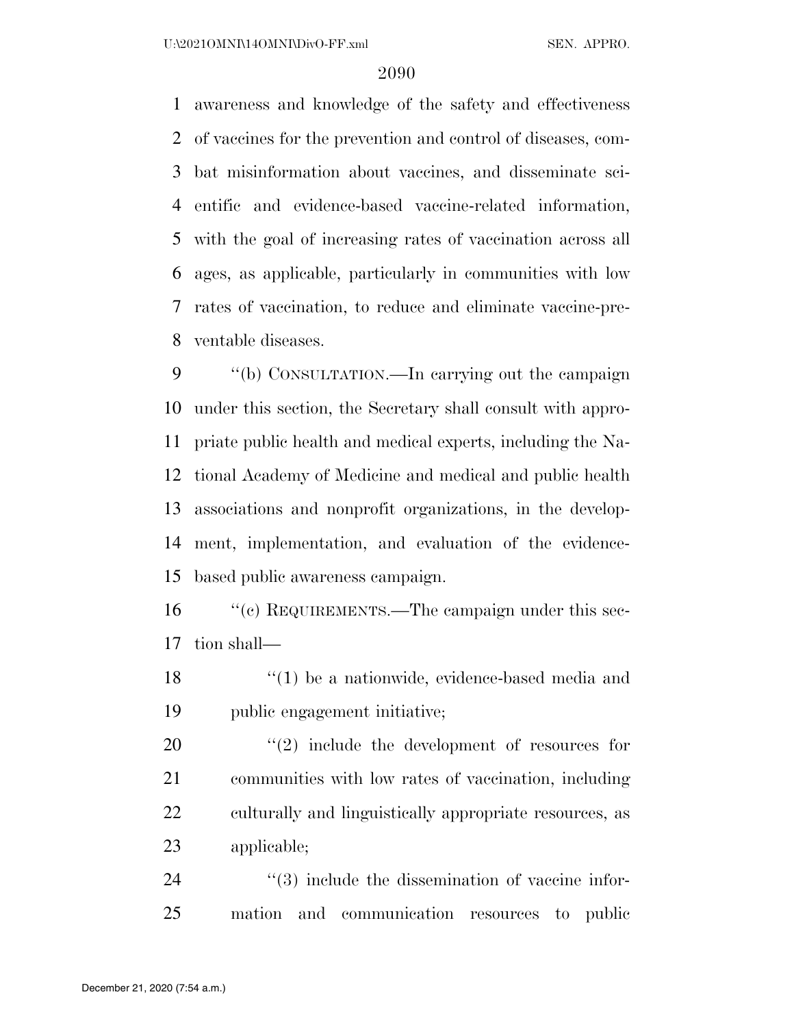awareness and knowledge of the safety and effectiveness of vaccines for the prevention and control of diseases, com- bat misinformation about vaccines, and disseminate sci- entific and evidence-based vaccine-related information, with the goal of increasing rates of vaccination across all ages, as applicable, particularly in communities with low rates of vaccination, to reduce and eliminate vaccine-pre-ventable diseases.

 ''(b) CONSULTATION.—In carrying out the campaign under this section, the Secretary shall consult with appro- priate public health and medical experts, including the Na- tional Academy of Medicine and medical and public health associations and nonprofit organizations, in the develop- ment, implementation, and evaluation of the evidence-based public awareness campaign.

 ''(c) REQUIREMENTS.—The campaign under this sec-tion shall—

18 ''(1) be a nationwide, evidence-based media and public engagement initiative;

  $\qquad$   $\qquad$   $\qquad$   $\qquad$   $\qquad$   $\qquad$   $\qquad$   $\qquad$   $\qquad$   $\qquad$   $\qquad$   $\qquad$   $\qquad$   $\qquad$   $\qquad$   $\qquad$   $\qquad$   $\qquad$   $\qquad$   $\qquad$   $\qquad$   $\qquad$   $\qquad$   $\qquad$   $\qquad$   $\qquad$   $\qquad$   $\qquad$   $\qquad$   $\qquad$   $\qquad$   $\qquad$   $\qquad$   $\qquad$   $\qquad$   $\qquad$  communities with low rates of vaccination, including culturally and linguistically appropriate resources, as applicable;

24  $(3)$  include the dissemination of vaccine infor-mation and communication resources to public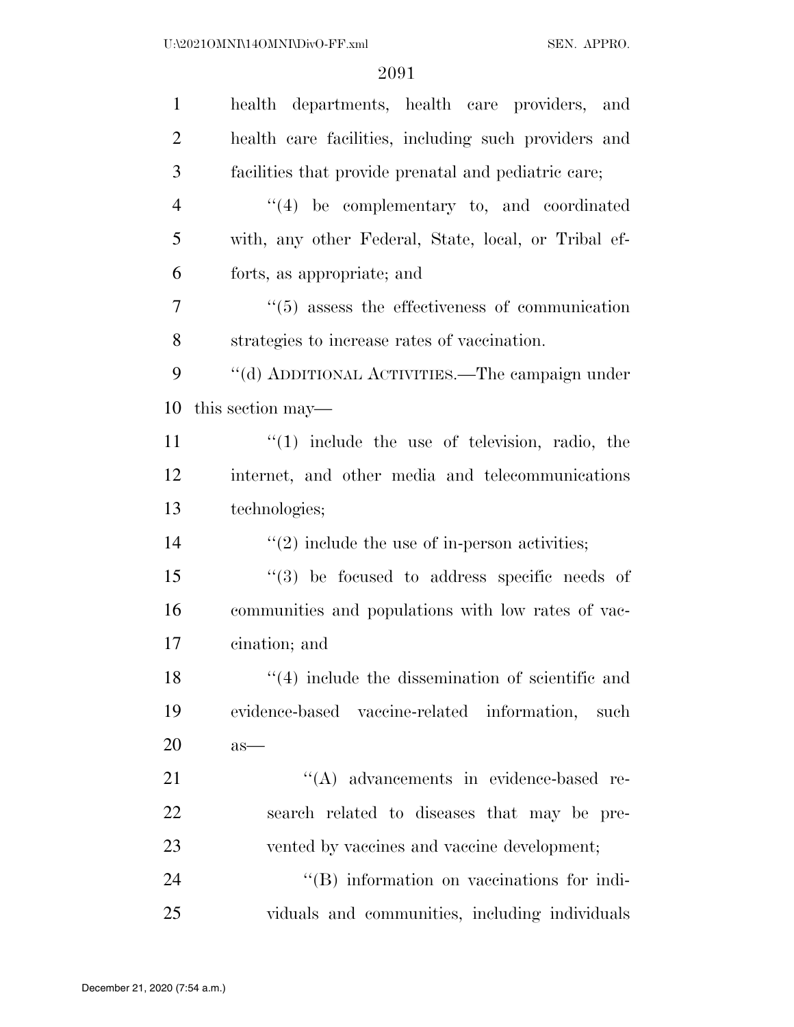| $\mathbf{1}$   | health departments, health care providers, and             |
|----------------|------------------------------------------------------------|
| $\overline{2}$ | health care facilities, including such providers and       |
| 3              | facilities that provide prenatal and pediatric care;       |
| $\overline{4}$ | $\lq(4)$ be complementary to, and coordinated              |
| 5              | with, any other Federal, State, local, or Tribal ef-       |
| 6              | forts, as appropriate; and                                 |
| 7              | $\cdot\cdot$ (5) assess the effectiveness of communication |
| 8              | strategies to increase rates of vaccination.               |
| 9              | "(d) ADDITIONAL ACTIVITIES.—The campaign under             |
| 10             | this section may—                                          |
| 11             | $(1)$ include the use of television, radio, the            |
| 12             | internet, and other media and telecommunications           |
| 13             | technologies;                                              |
| 14             | $\lq(2)$ include the use of in-person activities;          |
| 15             | $(3)$ be focused to address specific needs of              |
| 16             | communities and populations with low rates of vac-         |
| 17             | cination; and                                              |
| 18             | $(4)$ include the dissemination of scientific and          |
| 19             | evidence-based vaccine-related information,<br>such        |
| <b>20</b>      | $as-$                                                      |
| 21             | $\lq\lq$ advancements in evidence-based re-                |
| 22             | search related to diseases that may be pre-                |
| 23             | vented by vaccines and vaccine development;                |
|                |                                                            |
| 24             | "(B) information on vaccinations for indi-                 |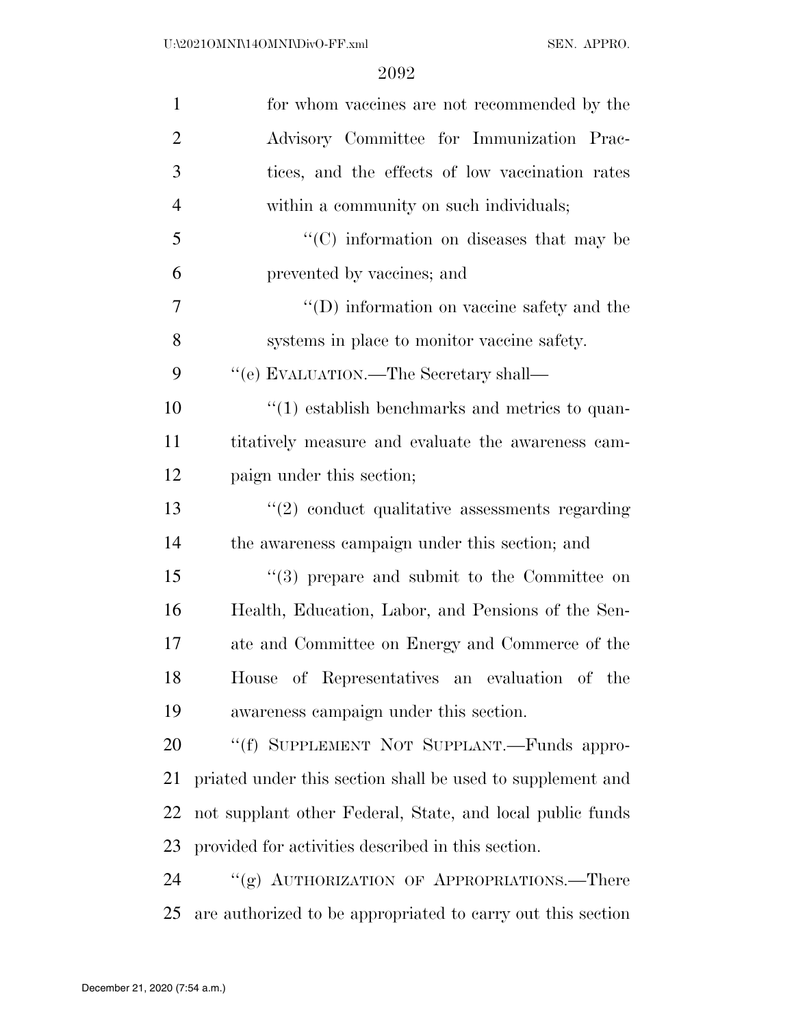| $\mathbf{1}$   | for whom vaccines are not recommended by the                |
|----------------|-------------------------------------------------------------|
| $\overline{2}$ | Advisory Committee for Immunization Prac-                   |
| 3              | tices, and the effects of low vaccination rates             |
| $\overline{4}$ | within a community on such individuals;                     |
| 5              | $\cdot$ (C) information on diseases that may be             |
| 6              | prevented by vaccines; and                                  |
| $\overline{7}$ | "(D) information on vaccine safety and the                  |
| 8              | systems in place to monitor vaccine safety.                 |
| 9              | "(e) EVALUATION.—The Secretary shall—                       |
| 10             | $\cdot$ (1) establish benchmarks and metrics to quan-       |
| 11             | titatively measure and evaluate the awareness cam-          |
| 12             | paign under this section;                                   |
| 13             | $\lq(2)$ conduct qualitative assessments regarding          |
| 14             | the awareness campaign under this section; and              |
| 15             | $(3)$ prepare and submit to the Committee on                |
| 16             | Health, Education, Labor, and Pensions of the Sen-          |
| 17             | ate and Committee on Energy and Commerce of the             |
| 18             | House of Representatives an evaluation of the               |
| 19             | awareness campaign under this section.                      |
| 20             | "(f) SUPPLEMENT NOT SUPPLANT.—Funds appro-                  |
| 21             | priated under this section shall be used to supplement and  |
| 22             | not supplant other Federal, State, and local public funds   |
| 23             | provided for activities described in this section.          |
| 24             | "(g) AUTHORIZATION OF APPROPRIATIONS.—There                 |
| 25             | are authorized to be appropriated to carry out this section |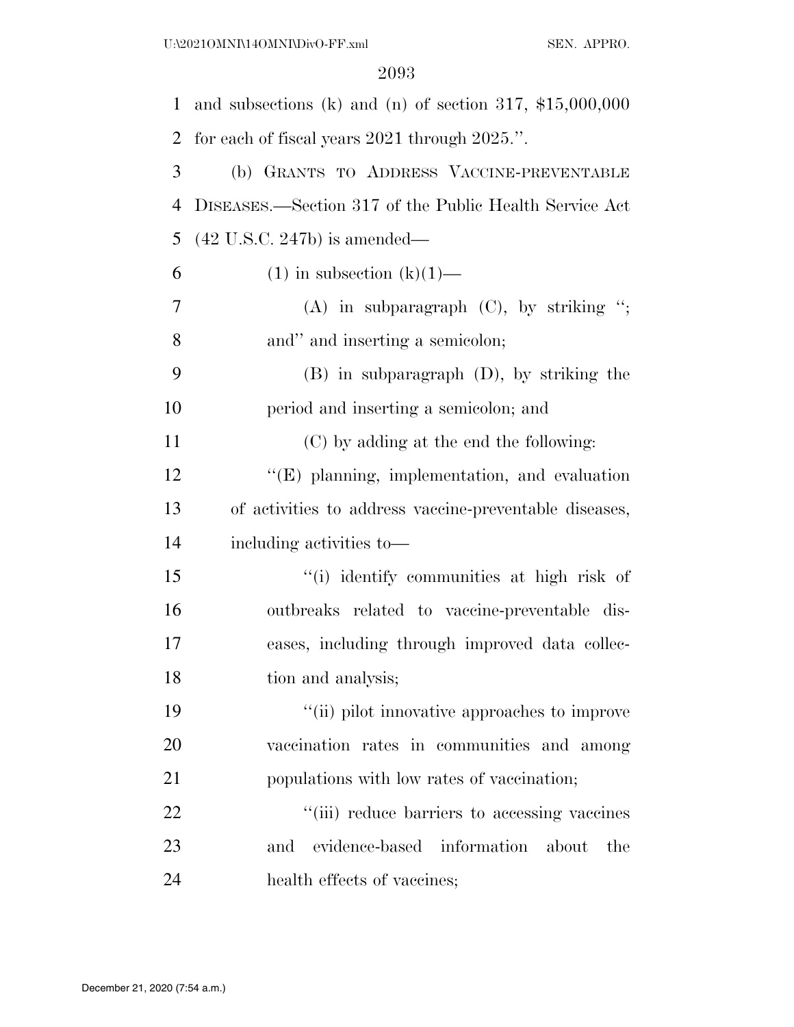| 1              | and subsections (k) and (n) of section 317, $$15,000,000$ |
|----------------|-----------------------------------------------------------|
| 2              | for each of fiscal years $2021$ through $2025$ .".        |
| 3              | (b) GRANTS TO ADDRESS VACCINE-PREVENTABLE                 |
| $\overline{4}$ | DISEASES.—Section 317 of the Public Health Service Act    |
| 5              | $(42 \text{ U.S.C. } 247b)$ is amended—                   |
| 6              | $(1)$ in subsection $(k)(1)$ —                            |
| 7              | $(A)$ in subparagraph $(C)$ , by striking ";              |
| 8              | and" and inserting a semicolon;                           |
| 9              | $(B)$ in subparagraph $(D)$ , by striking the             |
| 10             | period and inserting a semicolon; and                     |
| 11             | (C) by adding at the end the following:                   |
| 12             | $\lq\lq$ (E) planning, implementation, and evaluation     |
| 13             | of activities to address vaccine-preventable diseases,    |
| 14             | including activities to-                                  |
| 15             | "(i) identify communities at high risk of                 |
| 16             | outbreaks related to vaccine-preventable dis-             |
| 17             | eases, including through improved data collec-            |
| 18             | tion and analysis;                                        |
| 19             | "(ii) pilot innovative approaches to improve              |
| 20             | vaccination rates in communities and among                |
| 21             | populations with low rates of vaccination;                |
| 22             | "(iii) reduce barriers to accessing vaccines              |
| 23             | evidence-based<br>information<br>and<br>about<br>the      |
| 24             | health effects of vaccines;                               |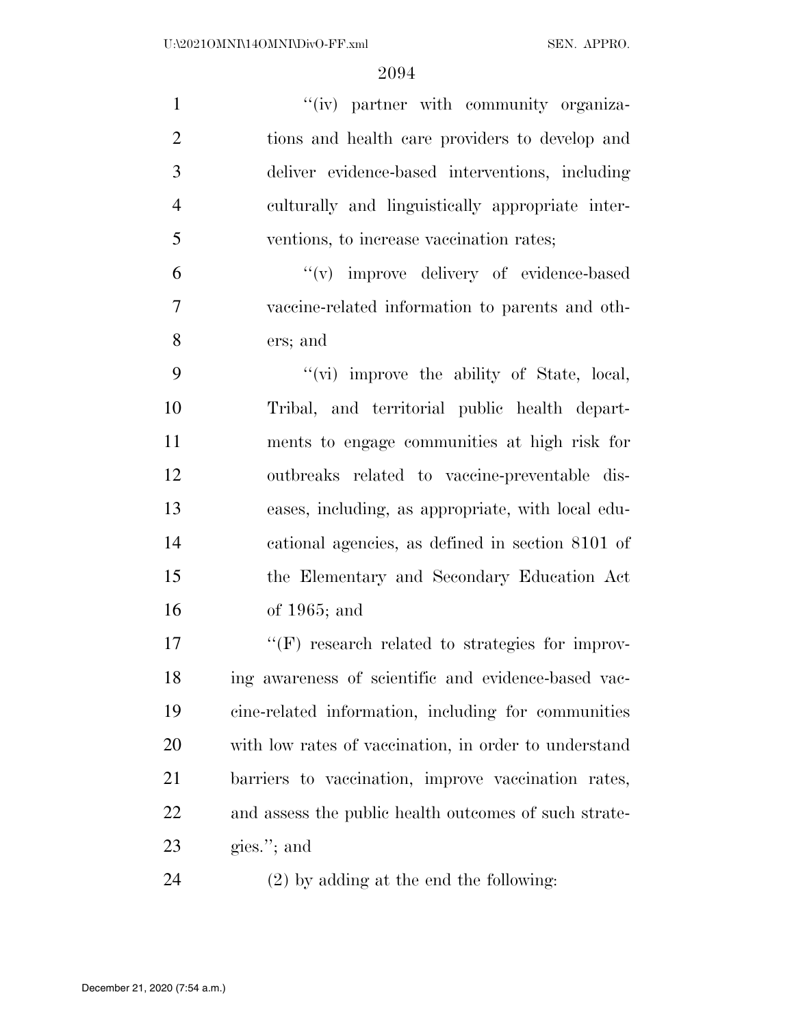| $\mathbf{1}$   | "(iv) partner with community organiza-                 |
|----------------|--------------------------------------------------------|
| $\overline{2}$ | tions and health care providers to develop and         |
| 3              | deliver evidence-based interventions, including        |
| $\overline{4}$ | culturally and linguistically appropriate inter-       |
| 5              | ventions, to increase vaccination rates;               |
| 6              | "(v) improve delivery of evidence-based                |
| 7              | vaccine-related information to parents and oth-        |
| 8              | ers; and                                               |
| 9              | "(vi) improve the ability of State, local,             |
| 10             | Tribal, and territorial public health depart-          |
| 11             | ments to engage communities at high risk for           |
| 12             | outbreaks related to vaccine-preventable dis-          |
| 13             | eases, including, as appropriate, with local edu-      |
| 14             | cational agencies, as defined in section 8101 of       |
| 15             | the Elementary and Secondary Education Act             |
| 16             | of $1965$ ; and                                        |
| 17             | $\lq\lq(F)$ research related to strategies for improv- |
| 18             | ing awareness of scientific and evidence-based vac-    |
| 19             | cine-related information, including for communities    |
| 20             | with low rates of vaccination, in order to understand  |
| 21             | barriers to vaccination, improve vaccination rates,    |
| 22             | and assess the public health outcomes of such strate-  |
| 23             | gies."; and                                            |
| 24             | $(2)$ by adding at the end the following:              |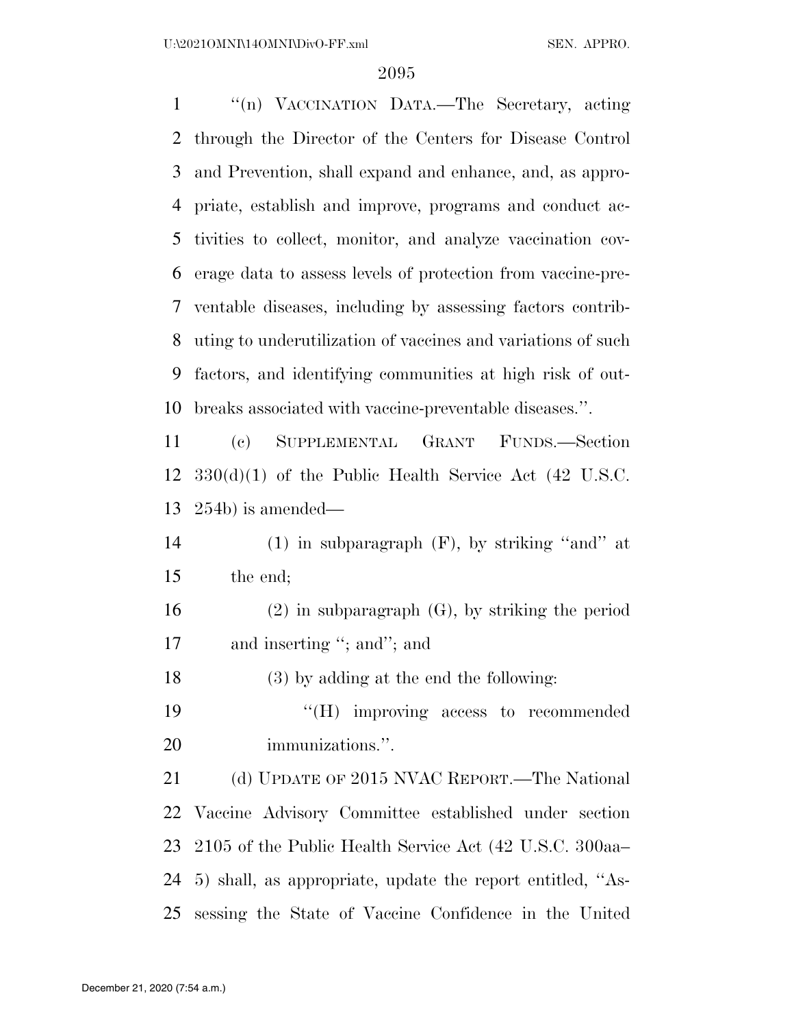''(n) VACCINATION DATA.—The Secretary, acting through the Director of the Centers for Disease Control and Prevention, shall expand and enhance, and, as appro- priate, establish and improve, programs and conduct ac- tivities to collect, monitor, and analyze vaccination cov- erage data to assess levels of protection from vaccine-pre- ventable diseases, including by assessing factors contrib- uting to underutilization of vaccines and variations of such factors, and identifying communities at high risk of out-breaks associated with vaccine-preventable diseases.''.

 (c) SUPPLEMENTAL GRANT FUNDS.—Section 330(d)(1) of the Public Health Service Act (42 U.S.C. 254b) is amended—

 (1) in subparagraph (F), by striking ''and'' at the end;

 (2) in subparagraph (G), by striking the period and inserting ''; and''; and

(3) by adding at the end the following:

19  $\text{``(H)}$  improving access to recommended immunizations.''.

 (d) UPDATE OF 2015 NVAC REPORT.—The National Vaccine Advisory Committee established under section 2105 of the Public Health Service Act (42 U.S.C. 300aa– 5) shall, as appropriate, update the report entitled, ''As-sessing the State of Vaccine Confidence in the United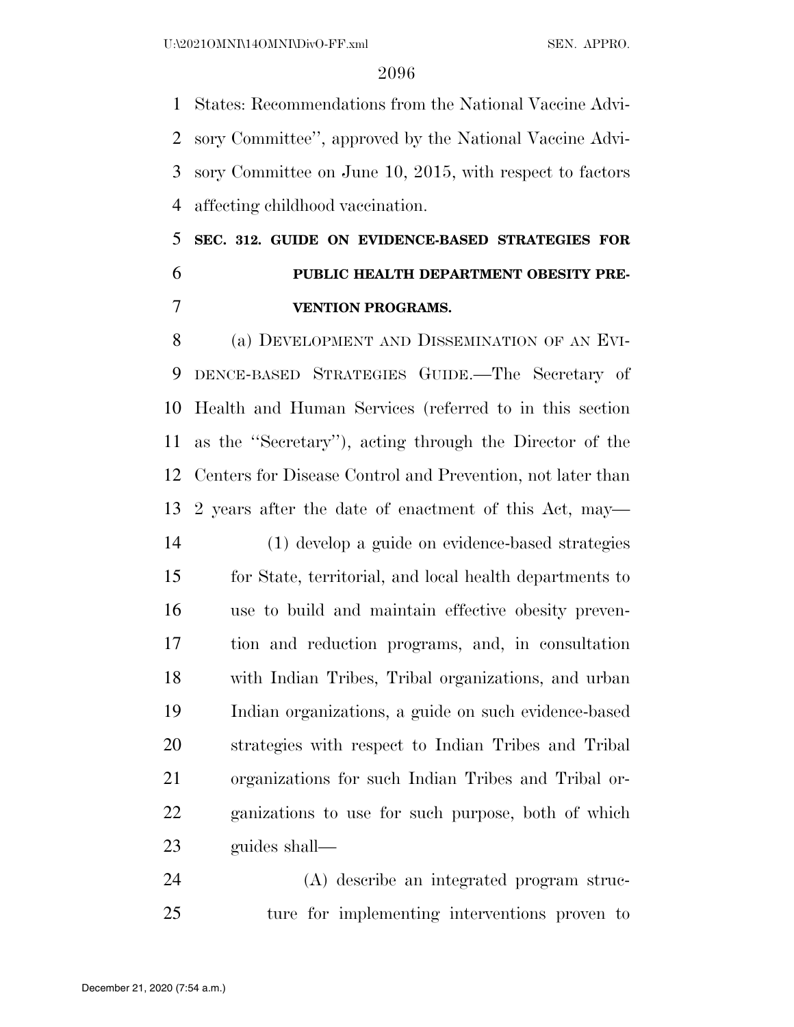States: Recommendations from the National Vaccine Advi- sory Committee'', approved by the National Vaccine Advi- sory Committee on June 10, 2015, with respect to factors affecting childhood vaccination.

# **SEC. 312. GUIDE ON EVIDENCE-BASED STRATEGIES FOR PUBLIC HEALTH DEPARTMENT OBESITY PRE-VENTION PROGRAMS.**

 (a) DEVELOPMENT AND DISSEMINATION OF AN EVI- DENCE-BASED STRATEGIES GUIDE.—The Secretary of Health and Human Services (referred to in this section as the ''Secretary''), acting through the Director of the Centers for Disease Control and Prevention, not later than 2 years after the date of enactment of this Act, may—

 (1) develop a guide on evidence-based strategies for State, territorial, and local health departments to use to build and maintain effective obesity preven- tion and reduction programs, and, in consultation with Indian Tribes, Tribal organizations, and urban Indian organizations, a guide on such evidence-based strategies with respect to Indian Tribes and Tribal organizations for such Indian Tribes and Tribal or- ganizations to use for such purpose, both of which guides shall—

 (A) describe an integrated program struc-ture for implementing interventions proven to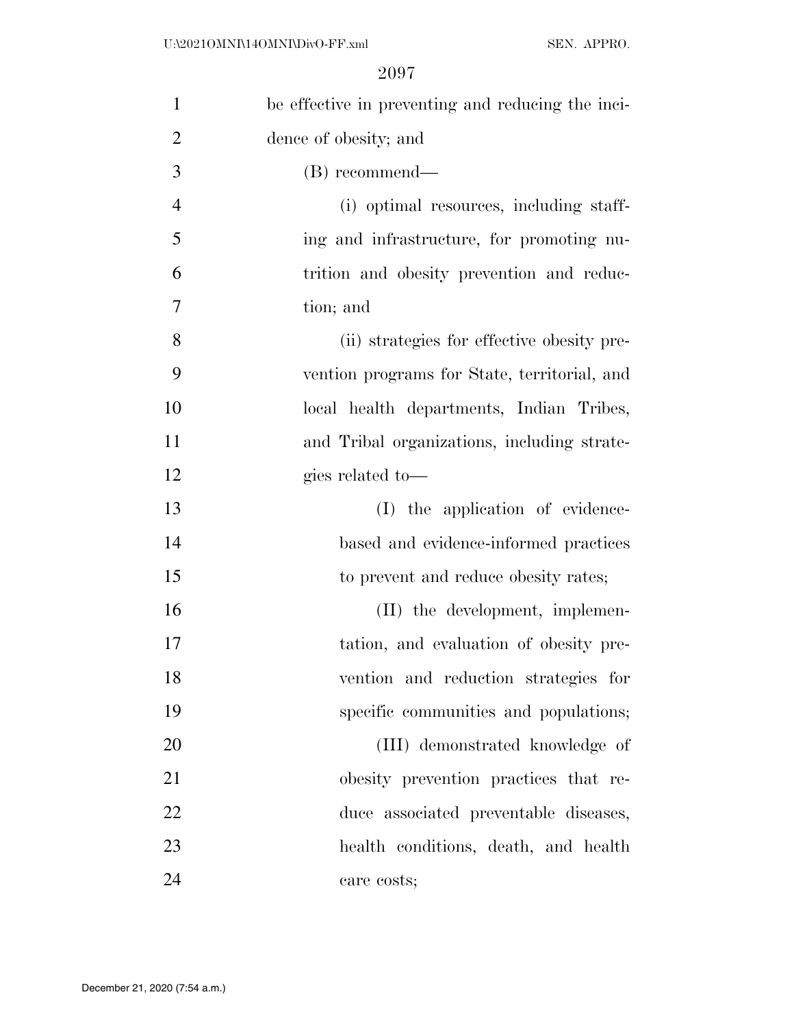| $\mathbf{1}$   | be effective in preventing and reducing the inci- |
|----------------|---------------------------------------------------|
| $\overline{2}$ | dence of obesity; and                             |
| 3              | (B) recommend—                                    |
| $\overline{4}$ | (i) optimal resources, including staff-           |
| 5              | ing and infrastructure, for promoting nu-         |
| 6              | trition and obesity prevention and reduc-         |
| 7              | tion; and                                         |
| 8              | (ii) strategies for effective obesity pre-        |
| 9              | vention programs for State, territorial, and      |
| 10             | local health departments, Indian Tribes,          |
| 11             | and Tribal organizations, including strate-       |
| 12             | gies related to-                                  |
| 13             | (I) the application of evidence-                  |
| 14             | based and evidence-informed practices             |
| 15             | to prevent and reduce obesity rates;              |
| 16             | (II) the development, implemen-                   |
| 17             | tation, and evaluation of obesity pre-            |
| 18             | vention and reduction strategies for              |
| 19             | specific communities and populations;             |
| 20             | (III) demonstrated knowledge of                   |
| 21             | obesity prevention practices that re-             |
| 22             | duce associated preventable diseases,             |
| 23             | health conditions, death, and health              |
| 24             | care costs;                                       |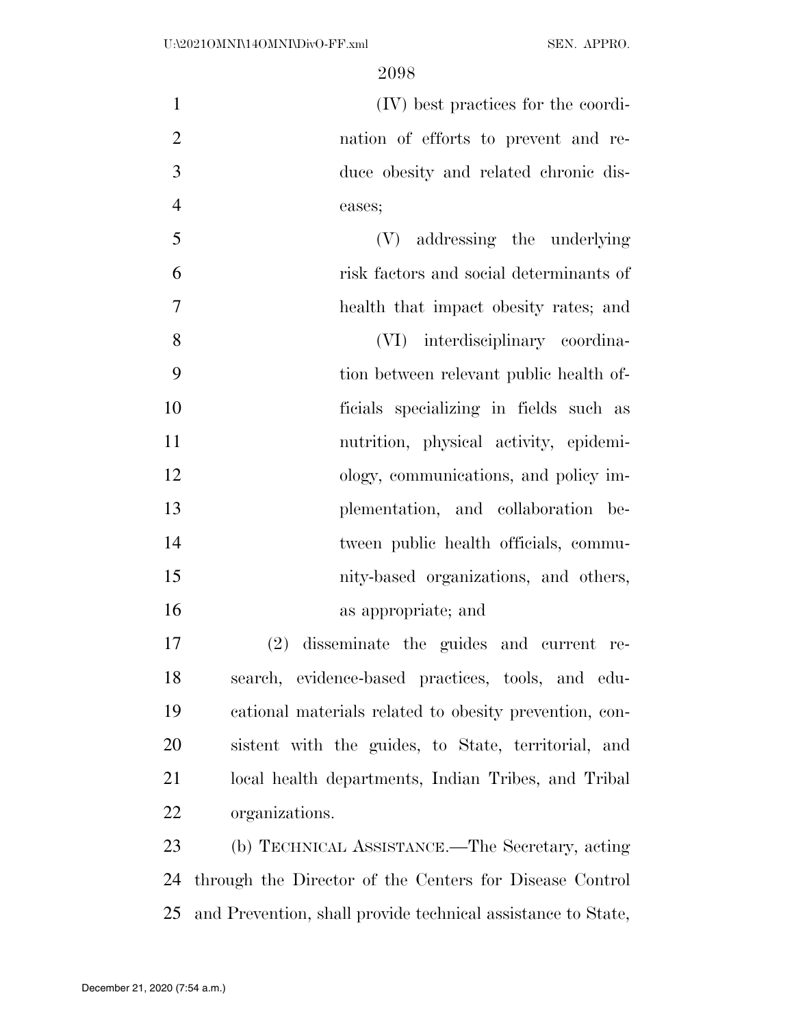(IV) best practices for the coordi- nation of efforts to prevent and re- duce obesity and related chronic dis-eases;

 (V) addressing the underlying risk factors and social determinants of health that impact obesity rates; and (VI) interdisciplinary coordina- tion between relevant public health of- ficials specializing in fields such as nutrition, physical activity, epidemi- ology, communications, and policy im- plementation, and collaboration be-14 tween public health officials, commu- nity-based organizations, and others, as appropriate; and

 (2) disseminate the guides and current re- search, evidence-based practices, tools, and edu- cational materials related to obesity prevention, con- sistent with the guides, to State, territorial, and local health departments, Indian Tribes, and Tribal organizations.

 (b) TECHNICAL ASSISTANCE.—The Secretary, acting through the Director of the Centers for Disease Control and Prevention, shall provide technical assistance to State,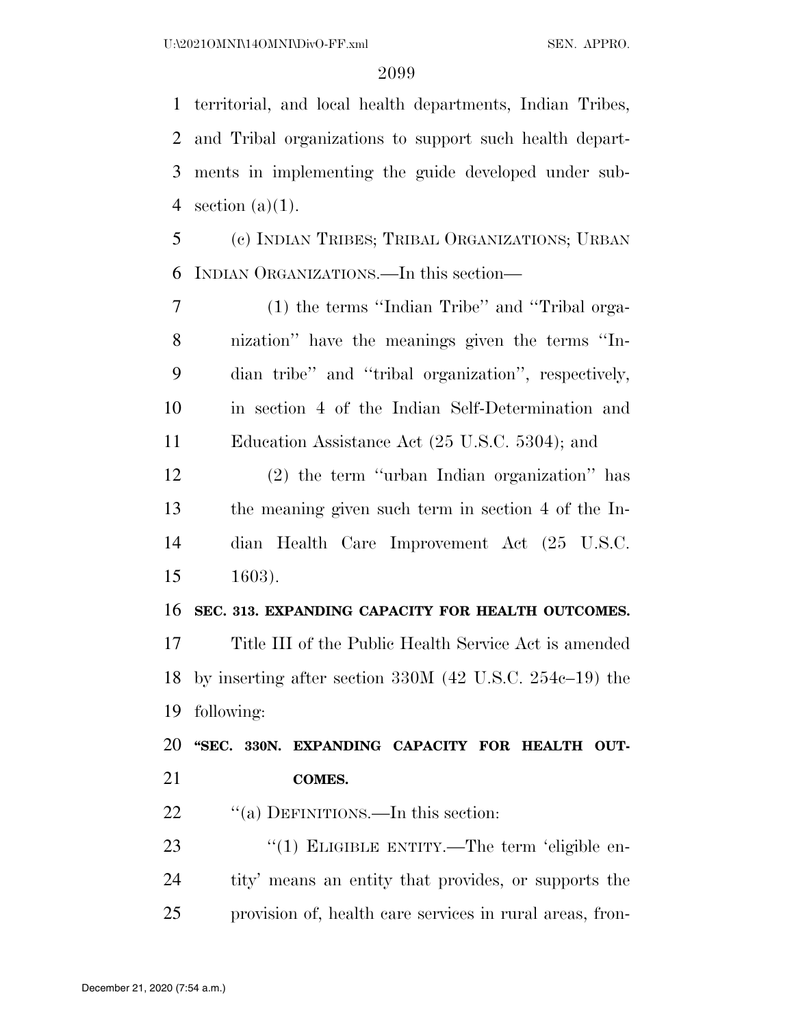territorial, and local health departments, Indian Tribes, and Tribal organizations to support such health depart- ments in implementing the guide developed under sub-4 section  $(a)(1)$ .

 (c) INDIAN TRIBES; TRIBAL ORGANIZATIONS; URBAN INDIAN ORGANIZATIONS.—In this section—

 (1) the terms ''Indian Tribe'' and ''Tribal orga- nization'' have the meanings given the terms ''In- dian tribe'' and ''tribal organization'', respectively, in section 4 of the Indian Self-Determination and Education Assistance Act (25 U.S.C. 5304); and

 (2) the term ''urban Indian organization'' has the meaning given such term in section 4 of the In- dian Health Care Improvement Act (25 U.S.C. 1603).

#### **SEC. 313. EXPANDING CAPACITY FOR HEALTH OUTCOMES.**

 Title III of the Public Health Service Act is amended by inserting after section 330M (42 U.S.C. 254c–19) the following:

 **''SEC. 330N. EXPANDING CAPACITY FOR HEALTH OUT-COMES.** 

22 "(a) DEFINITIONS.—In this section:

23 "(1) ELIGIBLE ENTITY.—The term 'eligible en- tity' means an entity that provides, or supports the provision of, health care services in rural areas, fron-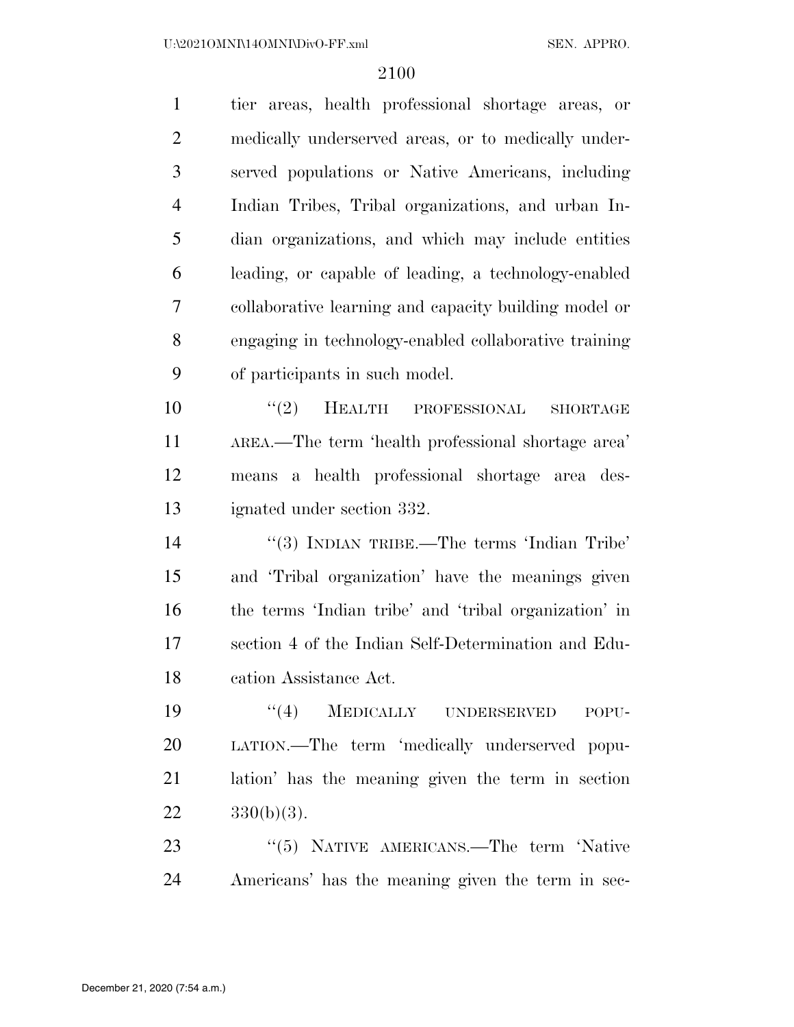| $\mathbf{1}$   | tier areas, health professional shortage areas, or    |
|----------------|-------------------------------------------------------|
| $\overline{2}$ | medically underserved areas, or to medically under-   |
| 3              | served populations or Native Americans, including     |
| $\overline{4}$ | Indian Tribes, Tribal organizations, and urban In-    |
| 5              | dian organizations, and which may include entities    |
| 6              | leading, or capable of leading, a technology-enabled  |
| 7              | collaborative learning and capacity building model or |
| 8              | engaging in technology-enabled collaborative training |
| 9              | of participants in such model.                        |
| 10             | "(2) HEALTH PROFESSIONAL<br><b>SHORTAGE</b>           |
| 11             | AREA.—The term 'health professional shortage area'    |
| 12             | means a health professional shortage area des-        |
| 13             | ignated under section 332.                            |
| 14             | "(3) INDIAN TRIBE.—The terms 'Indian Tribe'           |
| 15             | and 'Tribal organization' have the meanings given     |
| 16             | the terms 'Indian tribe' and 'tribal organization' in |
| 17             | section 4 of the Indian Self-Determination and Edu-   |
| 18             | cation Assistance Act.                                |
| 19             | ``(4)<br>MEDICALLY UNDERSERVED<br>POPU-               |
| 20             | LATION.—The term 'medically underserved popu-         |
| 21             | lation' has the meaning given the term in section     |
| 22             | $330(b)(3)$ .                                         |
| 23             | "(5) NATIVE AMERICANS.—The term 'Native               |

Americans' has the meaning given the term in sec-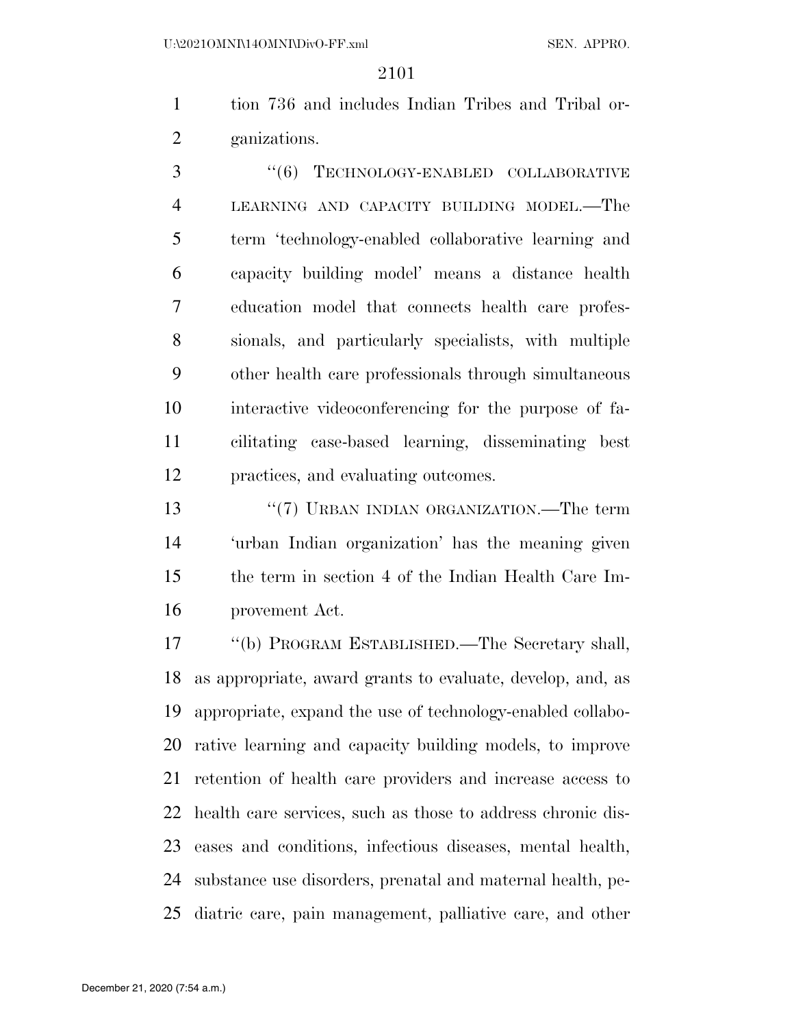tion 736 and includes Indian Tribes and Tribal or-ganizations.

3 "(6) TECHNOLOGY-ENABLED COLLABORATIVE LEARNING AND CAPACITY BUILDING MODEL.—The term 'technology-enabled collaborative learning and capacity building model' means a distance health education model that connects health care profes- sionals, and particularly specialists, with multiple other health care professionals through simultaneous interactive videoconferencing for the purpose of fa- cilitating case-based learning, disseminating best practices, and evaluating outcomes.

 ''(7) URBAN INDIAN ORGANIZATION.—The term 'urban Indian organization' has the meaning given the term in section 4 of the Indian Health Care Im-provement Act.

 ''(b) PROGRAM ESTABLISHED.—The Secretary shall, as appropriate, award grants to evaluate, develop, and, as appropriate, expand the use of technology-enabled collabo- rative learning and capacity building models, to improve retention of health care providers and increase access to health care services, such as those to address chronic dis- eases and conditions, infectious diseases, mental health, substance use disorders, prenatal and maternal health, pe-diatric care, pain management, palliative care, and other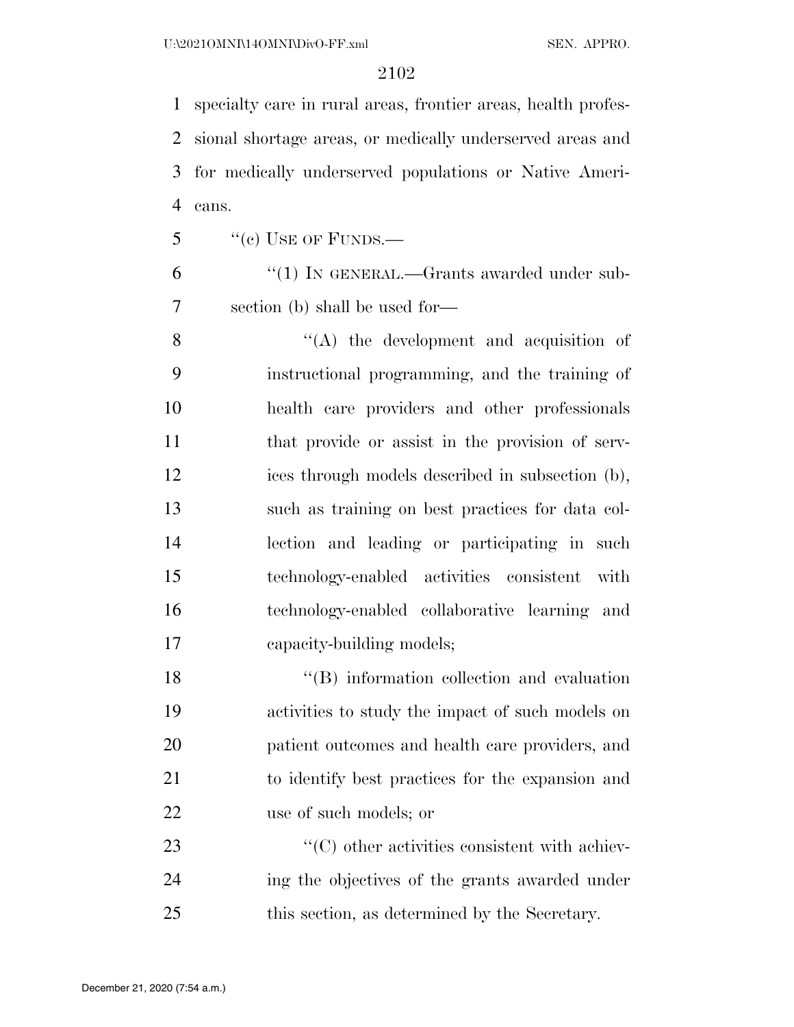specialty care in rural areas, frontier areas, health profes- sional shortage areas, or medically underserved areas and for medically underserved populations or Native Ameri-cans.

 $\frac{1}{2}$  ''(c) USE OF FUNDS.—

6 "(1) IN GENERAL.—Grants awarded under sub-section (b) shall be used for—

 ''(A) the development and acquisition of instructional programming, and the training of health care providers and other professionals 11 that provide or assist in the provision of serv- ices through models described in subsection (b), such as training on best practices for data col- lection and leading or participating in such technology-enabled activities consistent with technology-enabled collaborative learning and capacity-building models;

18 ''(B) information collection and evaluation activities to study the impact of such models on patient outcomes and health care providers, and to identify best practices for the expansion and use of such models; or

23  $\cdot$  (C) other activities consistent with achiev- ing the objectives of the grants awarded under this section, as determined by the Secretary.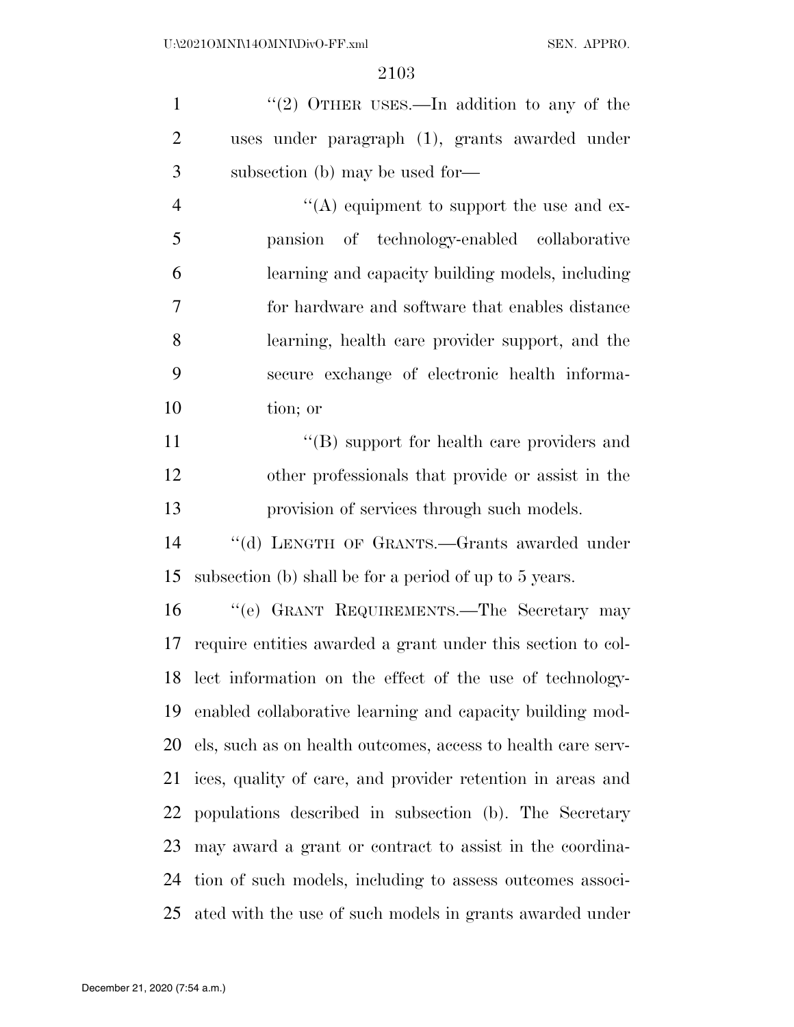1 "(2) OTHER USES.—In addition to any of the uses under paragraph (1), grants awarded under subsection (b) may be used for—

4 ''(A) equipment to support the use and ex- pansion of technology-enabled collaborative learning and capacity building models, including for hardware and software that enables distance learning, health care provider support, and the secure exchange of electronic health informa-tion; or

11 ''(B) support for health care providers and other professionals that provide or assist in the provision of services through such models.

 ''(d) LENGTH OF GRANTS.—Grants awarded under subsection (b) shall be for a period of up to 5 years.

 ''(e) GRANT REQUIREMENTS.—The Secretary may require entities awarded a grant under this section to col- lect information on the effect of the use of technology- enabled collaborative learning and capacity building mod- els, such as on health outcomes, access to health care serv- ices, quality of care, and provider retention in areas and populations described in subsection (b). The Secretary may award a grant or contract to assist in the coordina- tion of such models, including to assess outcomes associ-ated with the use of such models in grants awarded under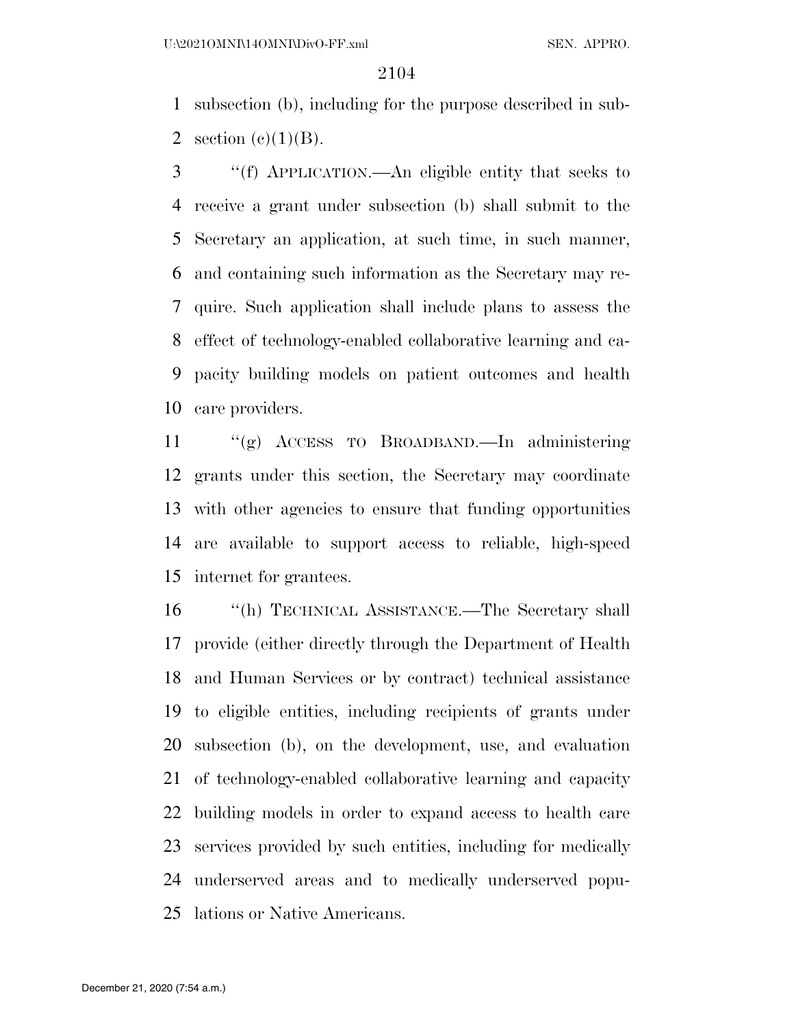subsection (b), including for the purpose described in sub-2 section  $(e)(1)(B)$ .

 ''(f) APPLICATION.—An eligible entity that seeks to receive a grant under subsection (b) shall submit to the Secretary an application, at such time, in such manner, and containing such information as the Secretary may re- quire. Such application shall include plans to assess the effect of technology-enabled collaborative learning and ca- pacity building models on patient outcomes and health care providers.

 ''(g) ACCESS TO BROADBAND.—In administering grants under this section, the Secretary may coordinate with other agencies to ensure that funding opportunities are available to support access to reliable, high-speed internet for grantees.

 ''(h) TECHNICAL ASSISTANCE.—The Secretary shall provide (either directly through the Department of Health and Human Services or by contract) technical assistance to eligible entities, including recipients of grants under subsection (b), on the development, use, and evaluation of technology-enabled collaborative learning and capacity building models in order to expand access to health care services provided by such entities, including for medically underserved areas and to medically underserved popu-lations or Native Americans.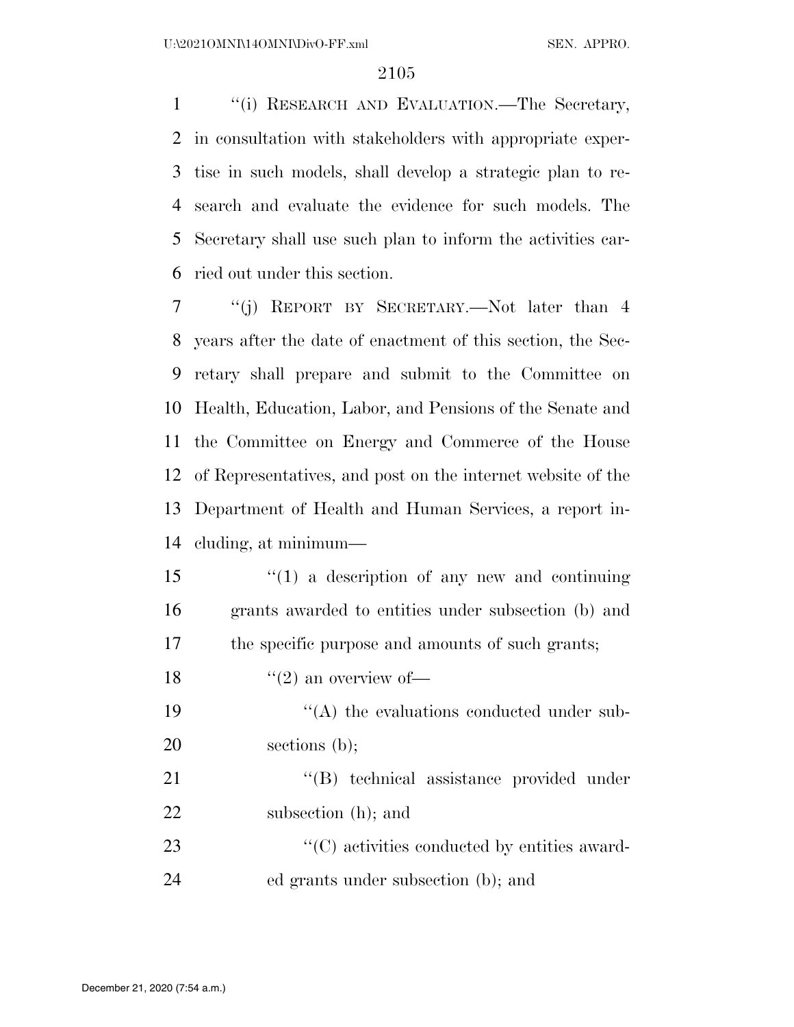''(i) RESEARCH AND EVALUATION.—The Secretary, in consultation with stakeholders with appropriate exper- tise in such models, shall develop a strategic plan to re- search and evaluate the evidence for such models. The Secretary shall use such plan to inform the activities car-ried out under this section.

 ''(j) REPORT BY SECRETARY.—Not later than 4 years after the date of enactment of this section, the Sec- retary shall prepare and submit to the Committee on Health, Education, Labor, and Pensions of the Senate and the Committee on Energy and Commerce of the House of Representatives, and post on the internet website of the Department of Health and Human Services, a report in-cluding, at minimum—

 ''(1) a description of any new and continuing grants awarded to entities under subsection (b) and the specific purpose and amounts of such grants;

18  $\frac{16}{2}$  an overview of —

19  $\langle (A)$  the evaluations conducted under sub-sections (b);

21 ''(B) technical assistance provided under subsection (h); and

23  $\cdot$  (C) activities conducted by entities award-ed grants under subsection (b); and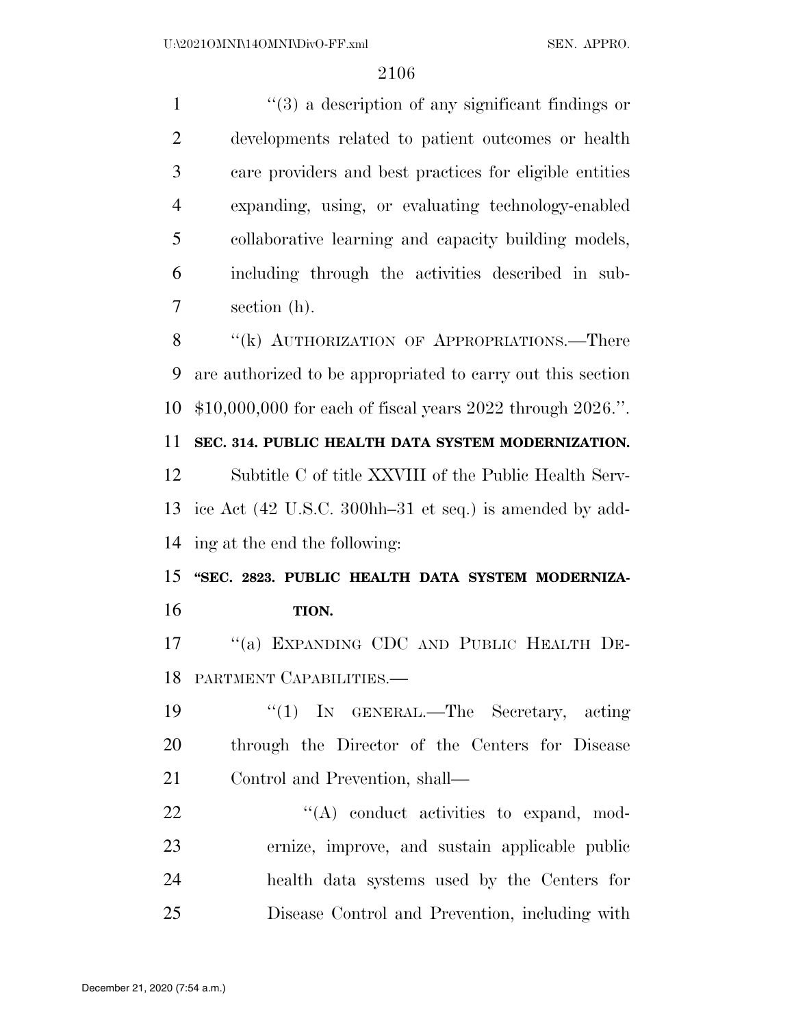1 ''(3) a description of any significant findings or developments related to patient outcomes or health care providers and best practices for eligible entities expanding, using, or evaluating technology-enabled collaborative learning and capacity building models, including through the activities described in sub-section (h).

8 "(k) AUTHORIZATION OF APPROPRIATIONS.—There are authorized to be appropriated to carry out this section \$10,000,000 for each of fiscal years 2022 through 2026.''.

**SEC. 314. PUBLIC HEALTH DATA SYSTEM MODERNIZATION.** 

 Subtitle C of title XXVIII of the Public Health Serv- ice Act (42 U.S.C. 300hh–31 et seq.) is amended by add-ing at the end the following:

 **''SEC. 2823. PUBLIC HEALTH DATA SYSTEM MODERNIZA-TION.** 

 ''(a) EXPANDING CDC AND PUBLIC HEALTH DE-PARTMENT CAPABILITIES.—

 ''(1) IN GENERAL.—The Secretary, acting through the Director of the Centers for Disease Control and Prevention, shall—

 $\langle (A) \rangle$  conduct activities to expand, mod- ernize, improve, and sustain applicable public health data systems used by the Centers for Disease Control and Prevention, including with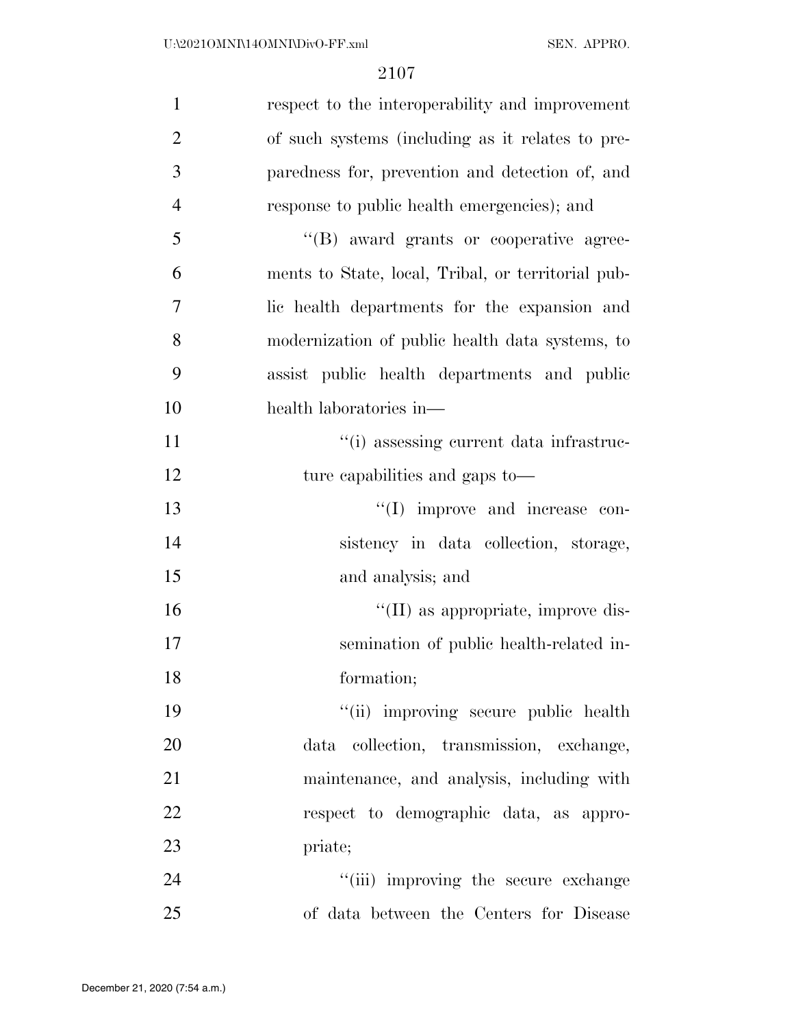| $\mathbf{1}$   | respect to the interoperability and improvement    |
|----------------|----------------------------------------------------|
| $\overline{2}$ | of such systems (including as it relates to pre-   |
| 3              | paredness for, prevention and detection of, and    |
| $\overline{4}$ | response to public health emergencies); and        |
| 5              | "(B) award grants or cooperative agree-            |
| 6              | ments to State, local, Tribal, or territorial pub- |
| $\overline{7}$ | lic health departments for the expansion and       |
| 8              | modernization of public health data systems, to    |
| 9              | assist public health departments and public        |
| 10             | health laboratories in-                            |
| 11             | "(i) assessing current data infrastruc-            |
| 12             | ture capabilities and gaps to—                     |
| 13             | $\lq\lq$ (I) improve and increase con-             |
| 14             | sistency in data collection, storage,              |
| 15             | and analysis; and                                  |
| 16             | $\lq\lq$ (II) as appropriate, improve dis-         |
| 17             | semination of public health-related in-            |
| 18             | formation;                                         |
| 19             | "(ii) improving secure public health               |
| 20             | data collection, transmission, exchange,           |
| 21             | maintenance, and analysis, including with          |
| 22             | respect to demographic data, as appro-             |
| 23             | priate;                                            |
| 24             | "(iii) improving the secure exchange               |
| 25             | of data between the Centers for Disease            |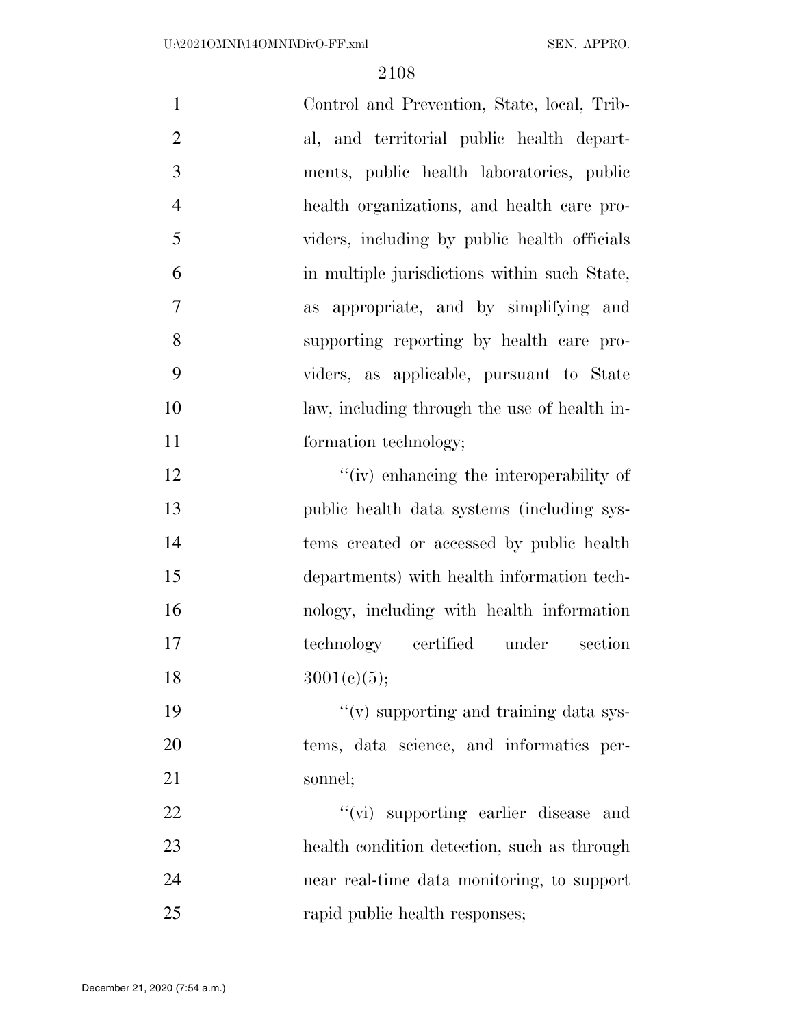| $\mathbf{1}$   | Control and Prevention, State, local, Trib-  |
|----------------|----------------------------------------------|
| $\overline{2}$ | al, and territorial public health depart-    |
| 3              | ments, public health laboratories, public    |
| $\overline{4}$ | health organizations, and health care pro-   |
| 5              | viders, including by public health officials |
| 6              | in multiple jurisdictions within such State, |
| 7              | as appropriate, and by simplifying and       |
| 8              | supporting reporting by health care pro-     |
| 9              | viders, as applicable, pursuant to State     |
| 10             | law, including through the use of health in- |
| 11             | formation technology;                        |
| 12             | "(iv) enhancing the interoperability of      |
| 13             | public health data systems (including sys-   |
| 14             | tems created or accessed by public health    |
| 15             | departments) with health information tech-   |
| 16             | nology, including with health information    |
| 17             | technology certified under<br>section        |
| 18             | 3001(e)(5);                                  |
| 19             | "(v) supporting and training data sys-       |
| 20             | tems, data science, and informatics per-     |
| 21             | sonnel;                                      |
| 22             | "(vi) supporting earlier disease and         |
| 23             | health condition detection, such as through  |
| 24             | near real-time data monitoring, to support   |
| 25             | rapid public health responses;               |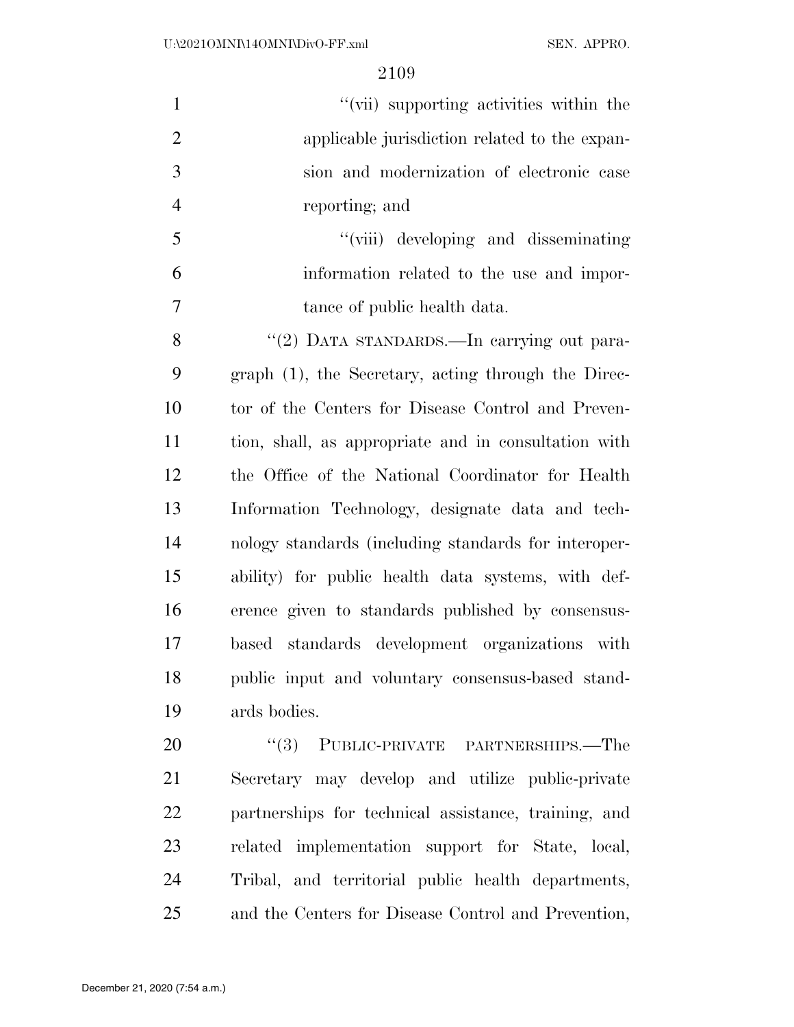| $\mathbf{1}$   | "(vii) supporting activities within the              |
|----------------|------------------------------------------------------|
| $\overline{2}$ | applicable jurisdiction related to the expan-        |
| $\mathfrak{Z}$ | sion and modernization of electronic case            |
| $\overline{4}$ | reporting; and                                       |
| 5              | "(viii) developing and disseminating                 |
| 6              | information related to the use and impor-            |
| $\tau$         | tance of public health data.                         |
| 8              | "(2) DATA STANDARDS.—In carrying out para-           |
| 9              | graph (1), the Secretary, acting through the Direc-  |
| 10             | tor of the Centers for Disease Control and Preven-   |
| 11             | tion, shall, as appropriate and in consultation with |
| 12             | the Office of the National Coordinator for Health    |
| 13             | Information Technology, designate data and tech-     |
| 14             | nology standards (including standards for interoper- |
| 15             | ability) for public health data systems, with def-   |
| 16             | erence given to standards published by consensus-    |
| 17             | based standards development organizations with       |
| 18             | public input and voluntary consensus-based stand-    |
| 19             | ards bodies.                                         |
| 20             | "(3) PUBLIC-PRIVATE PARTNERSHIPS.—The                |
| 21             | Secretary may develop and utilize public-private     |
| 22             | partnerships for technical assistance, training, and |
| 23             | related implementation support for State, local,     |
| 24             | Tribal, and territorial public health departments,   |

and the Centers for Disease Control and Prevention,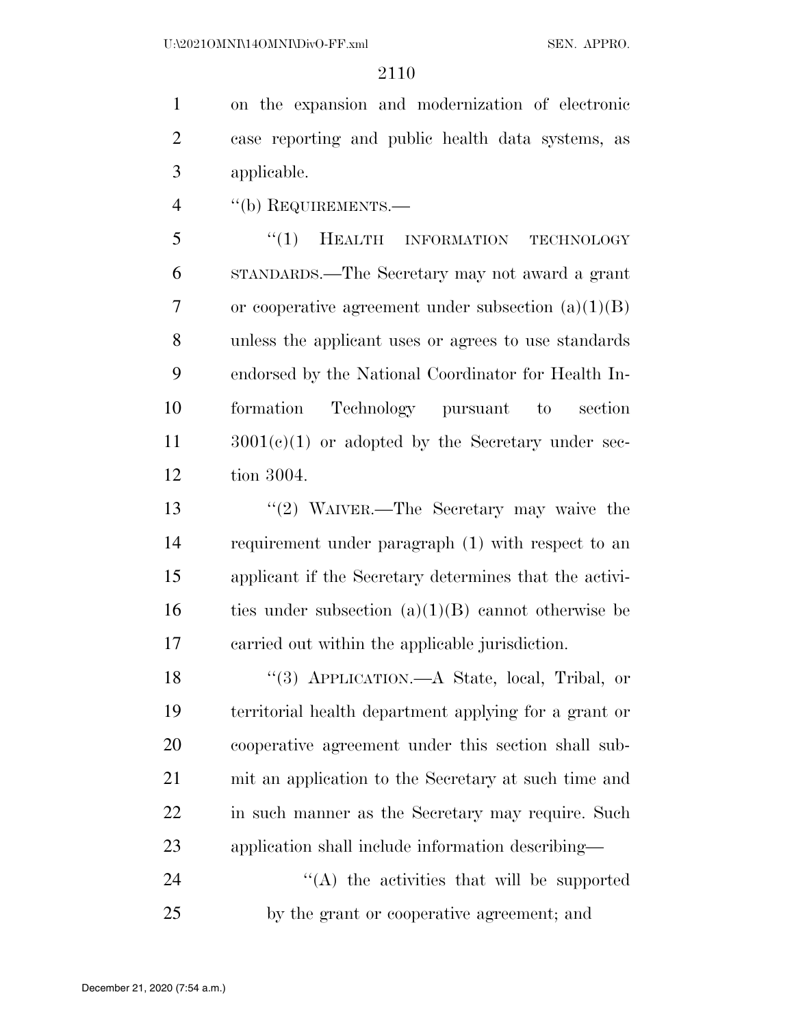on the expansion and modernization of electronic case reporting and public health data systems, as applicable.

''(b) REQUIREMENTS.—

5 "(1) HEALTH INFORMATION TECHNOLOGY STANDARDS.—The Secretary may not award a grant or cooperative agreement under subsection (a)(1)(B) unless the applicant uses or agrees to use standards endorsed by the National Coordinator for Health In- formation Technology pursuant to section 3001(c)(1) or adopted by the Secretary under sec-tion 3004.

 ''(2) WAIVER.—The Secretary may waive the requirement under paragraph (1) with respect to an applicant if the Secretary determines that the activi-16 ties under subsection  $(a)(1)(B)$  cannot otherwise be carried out within the applicable jurisdiction.

 ''(3) APPLICATION.—A State, local, Tribal, or territorial health department applying for a grant or cooperative agreement under this section shall sub- mit an application to the Secretary at such time and in such manner as the Secretary may require. Such application shall include information describing—

24 ''(A) the activities that will be supported by the grant or cooperative agreement; and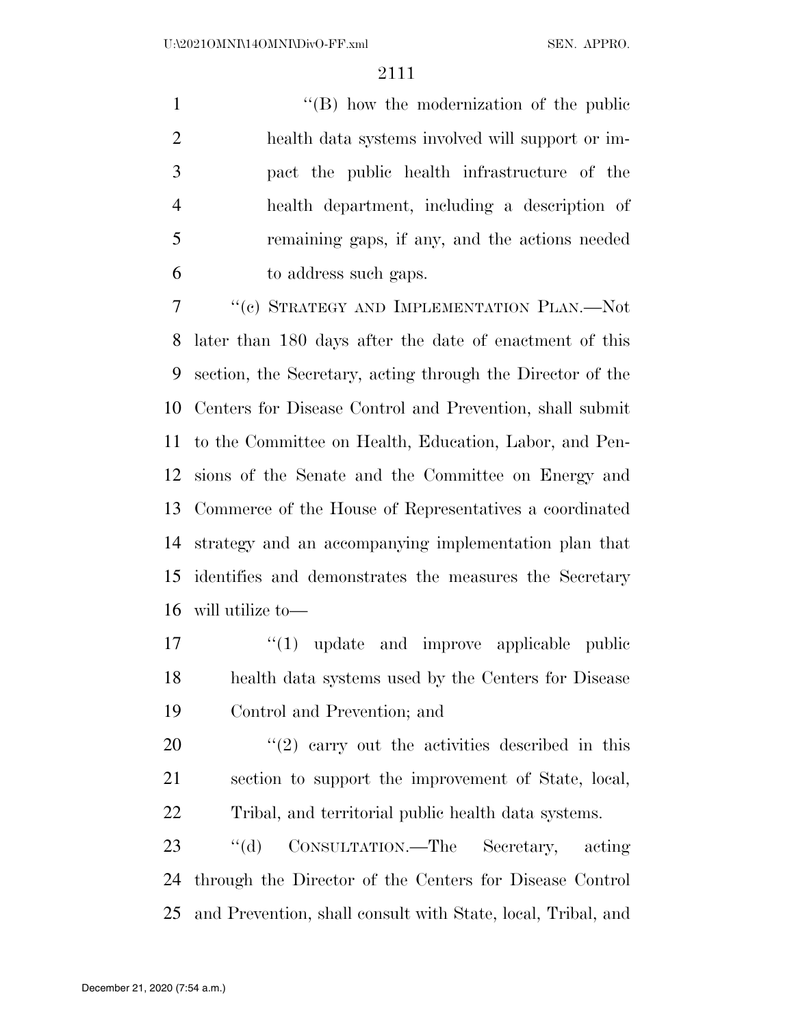1 ''(B) how the modernization of the public health data systems involved will support or im- pact the public health infrastructure of the health department, including a description of remaining gaps, if any, and the actions needed to address such gaps.

 ''(c) STRATEGY AND IMPLEMENTATION PLAN.—Not later than 180 days after the date of enactment of this section, the Secretary, acting through the Director of the Centers for Disease Control and Prevention, shall submit to the Committee on Health, Education, Labor, and Pen- sions of the Senate and the Committee on Energy and Commerce of the House of Representatives a coordinated strategy and an accompanying implementation plan that identifies and demonstrates the measures the Secretary will utilize to—

17  $\frac{1}{2}$   $\frac{1}{2}$  update and improve applicable public health data systems used by the Centers for Disease Control and Prevention; and

  $\qquad$   $\qquad$   $(2)$  carry out the activities described in this section to support the improvement of State, local, Tribal, and territorial public health data systems.

 ''(d) CONSULTATION.—The Secretary, acting through the Director of the Centers for Disease Control and Prevention, shall consult with State, local, Tribal, and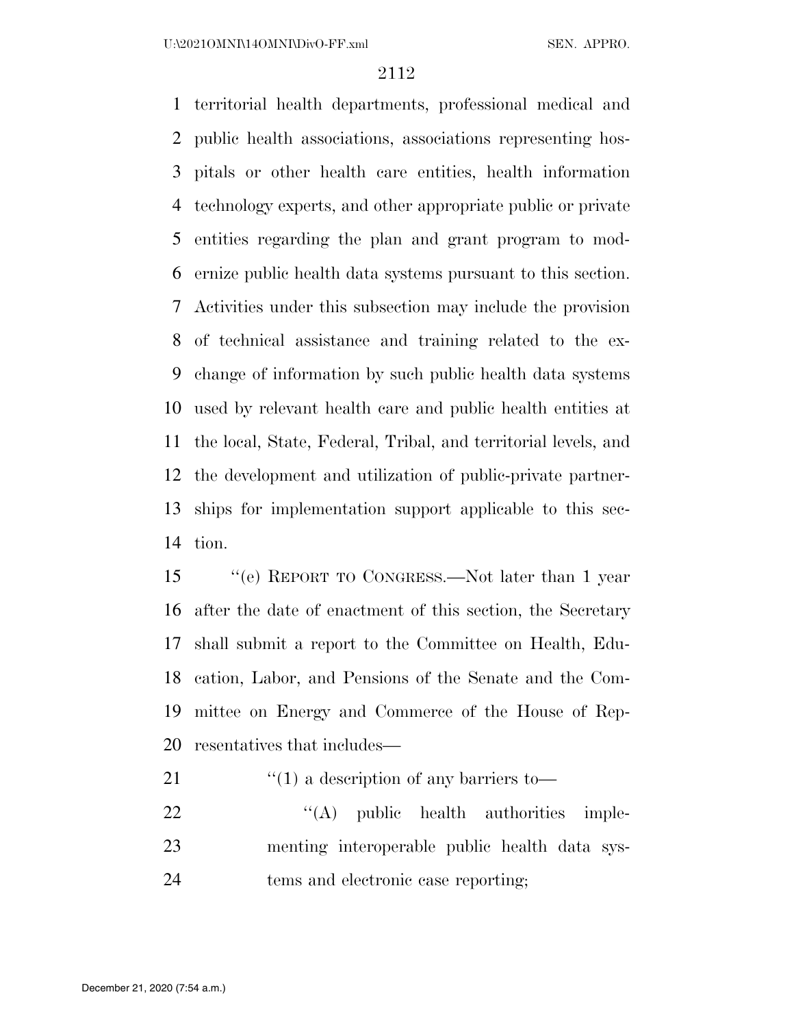territorial health departments, professional medical and public health associations, associations representing hos- pitals or other health care entities, health information technology experts, and other appropriate public or private entities regarding the plan and grant program to mod- ernize public health data systems pursuant to this section. Activities under this subsection may include the provision of technical assistance and training related to the ex- change of information by such public health data systems used by relevant health care and public health entities at the local, State, Federal, Tribal, and territorial levels, and the development and utilization of public-private partner- ships for implementation support applicable to this sec-tion.

 ''(e) REPORT TO CONGRESS.—Not later than 1 year after the date of enactment of this section, the Secretary shall submit a report to the Committee on Health, Edu- cation, Labor, and Pensions of the Senate and the Com- mittee on Energy and Commerce of the House of Rep-resentatives that includes—

21 ''(1) a description of any barriers to

22 "'(A) public health authorities imple- menting interoperable public health data sys-tems and electronic case reporting;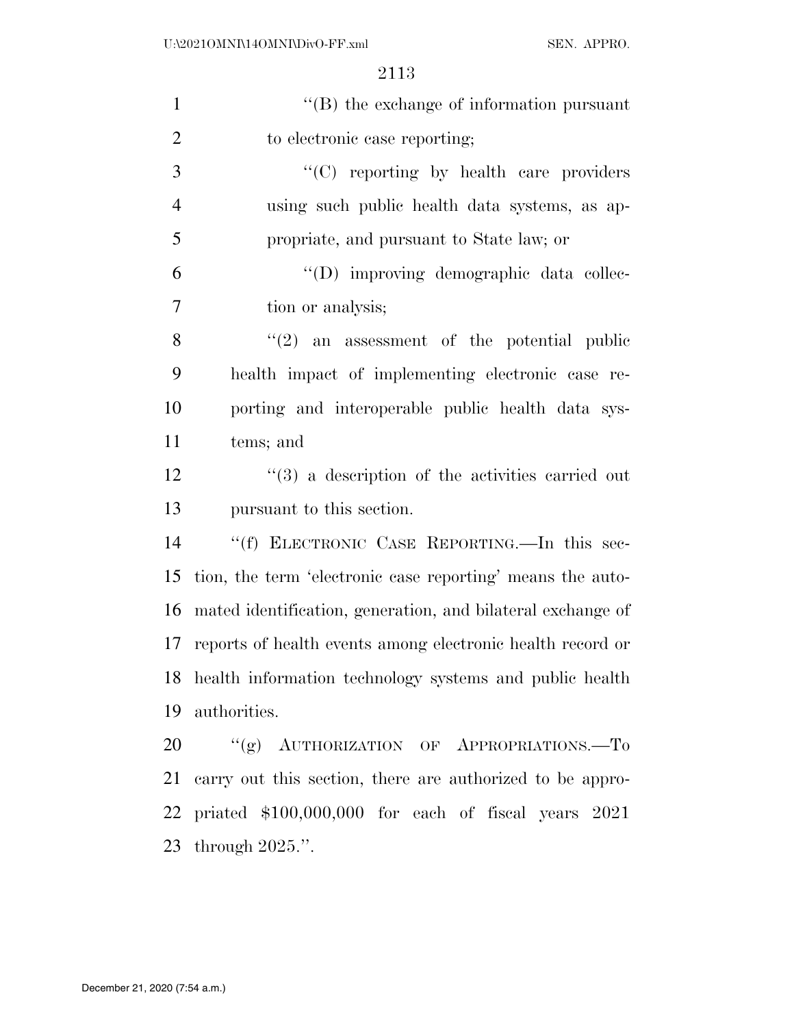| $\mathbf{1}$   | $\lq\lq$ the exchange of information pursuant                    |
|----------------|------------------------------------------------------------------|
| $\overline{2}$ | to electronic case reporting;                                    |
| 3              | $\lq\lq$ reporting by health care providers                      |
| $\overline{4}$ | using such public health data systems, as ap-                    |
| 5              | propriate, and pursuant to State law; or                         |
| 6              | "(D) improving demographic data collec-                          |
| $\overline{7}$ | tion or analysis;                                                |
| 8              | $\cdot\cdot\cdot(2)$ an assessment of the potential public       |
| 9              | health impact of implementing electronic case re-                |
| 10             | porting and interoperable public health data sys-                |
| 11             | tems; and                                                        |
| 12             | $\cdot\cdot\cdot(3)$ a description of the activities carried out |
| 13             | pursuant to this section.                                        |
| 14             | "(f) ELECTRONIC CASE REPORTING. In this sec-                     |
| 15             | tion, the term 'electronic case reporting' means the auto-       |
| 16             | mated identification, generation, and bilateral exchange of      |
| 17             | reports of health events among electronic health record or       |
|                | 18 health information technology systems and public health       |
| 19             | authorities.                                                     |
| 20             | "(g) AUTHORIZATION OF APPROPRIATIONS.—To                         |
| 21             | carry out this section, there are authorized to be appro-        |
|                | 22 priated \$100,000,000 for each of fiscal years 2021           |
|                |                                                                  |

through 2025.''.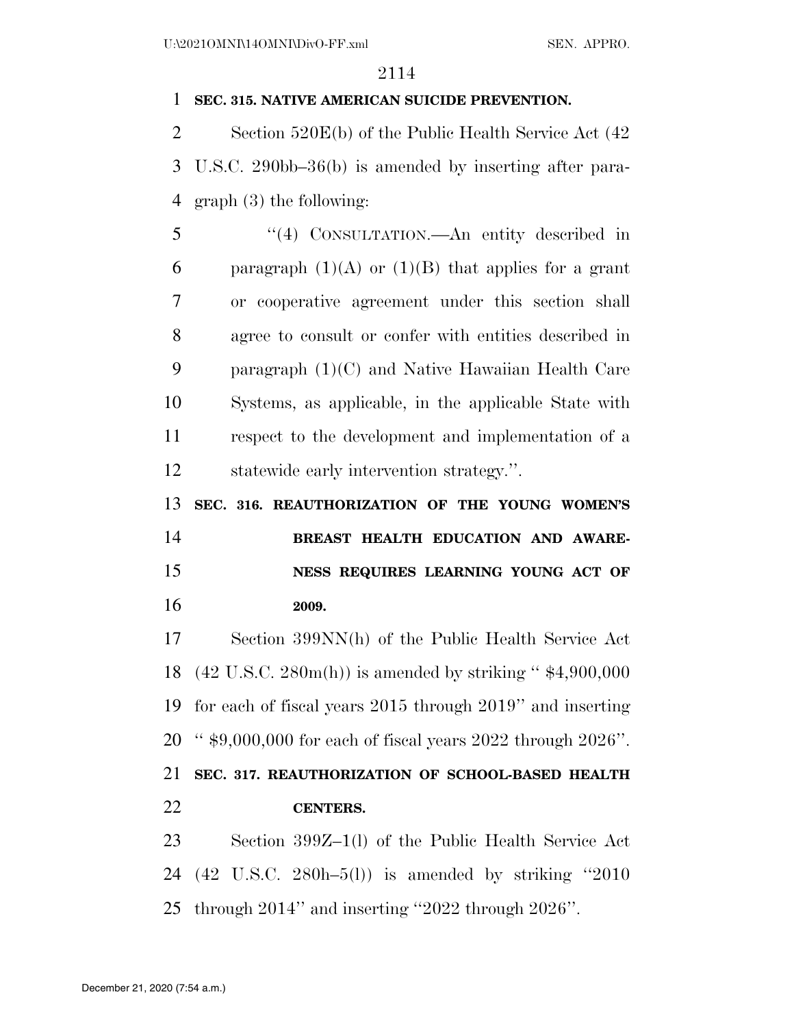#### **SEC. 315. NATIVE AMERICAN SUICIDE PREVENTION.**

 Section 520E(b) of the Public Health Service Act (42 U.S.C. 290bb–36(b) is amended by inserting after para-graph (3) the following:

 ''(4) CONSULTATION.—An entity described in 6 paragraph  $(1)(A)$  or  $(1)(B)$  that applies for a grant or cooperative agreement under this section shall agree to consult or confer with entities described in paragraph (1)(C) and Native Hawaiian Health Care Systems, as applicable, in the applicable State with respect to the development and implementation of a statewide early intervention strategy.''.

**SEC. 316. REAUTHORIZATION OF THE YOUNG WOMEN'S** 

 **BREAST HEALTH EDUCATION AND AWARE- NESS REQUIRES LEARNING YOUNG ACT OF 2009.** 

 Section 399NN(h) of the Public Health Service Act (42 U.S.C. 280m(h)) is amended by striking '' \$4,900,000 for each of fiscal years 2015 through 2019'' and inserting '' \$9,000,000 for each of fiscal years 2022 through 2026''.

# **SEC. 317. REAUTHORIZATION OF SCHOOL-BASED HEALTH CENTERS.**

 Section 399Z–1(l) of the Public Health Service Act (42 U.S.C. 280h–5(l)) is amended by striking ''2010 through 2014'' and inserting ''2022 through 2026''.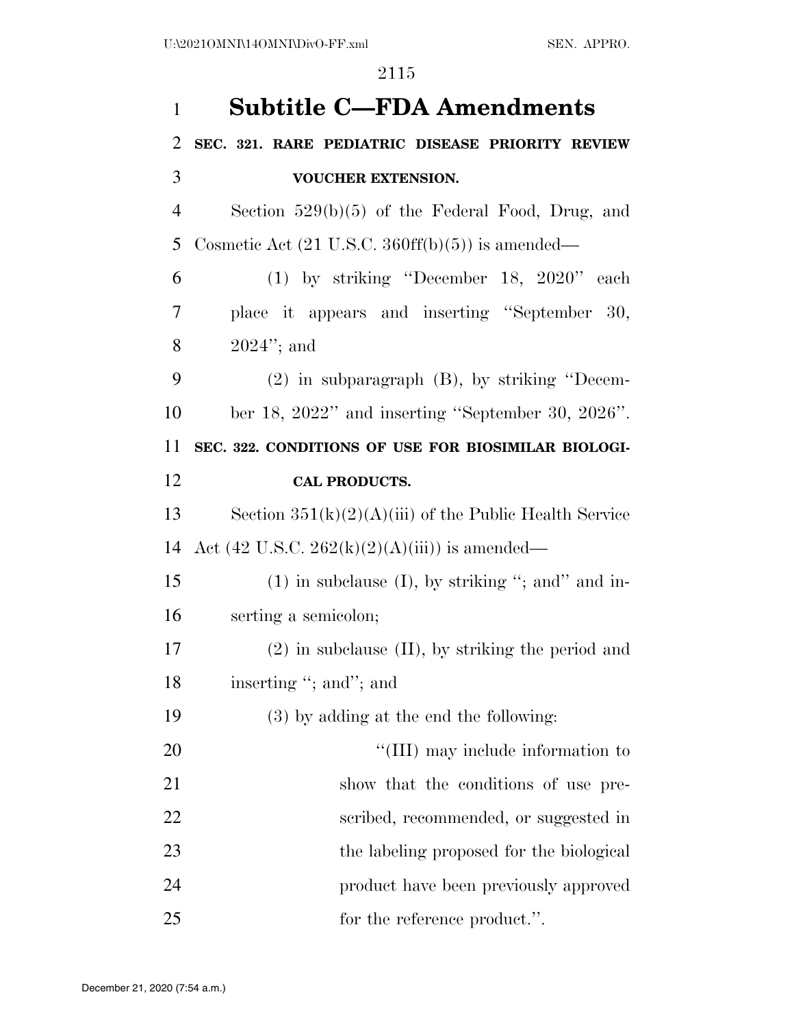| $\mathbf{1}$ | <b>Subtitle C-FDA Amendments</b>                                              |
|--------------|-------------------------------------------------------------------------------|
| 2            | SEC. 321. RARE PEDIATRIC DISEASE PRIORITY REVIEW                              |
| 3            | <b>VOUCHER EXTENSION.</b>                                                     |
| 4            | Section $529(b)(5)$ of the Federal Food, Drug, and                            |
| 5            | Cosmetic Act $(21 \text{ U.S.C. } 360\text{ff(b)}(5))$ is amended—            |
| 6            | $(1)$ by striking "December 18, 2020" each                                    |
| 7            | place it appears and inserting "September 30,                                 |
| 8            | $2024$ "; and                                                                 |
| 9            | $(2)$ in subparagraph $(B)$ , by striking "Decem-                             |
| 10           | ber 18, $2022$ " and inserting "September 30, $2026$ ".                       |
| 11           | SEC. 322. CONDITIONS OF USE FOR BIOSIMILAR BIOLOGI-                           |
| 12           | <b>CAL PRODUCTS.</b>                                                          |
| 13           | Section $351(k)(2)(A(iii))$ of the Public Health Service                      |
| 14           | Act $(42 \text{ U.S.C. } 262(\text{k})(2)(\text{A})(\text{iii}))$ is amended— |
| 15           | $(1)$ in subclause $(I)$ , by striking "; and in-                             |
| 16           | serting a semicolon;                                                          |
| 17           | $(2)$ in subclause $(II)$ , by striking the period and                        |
| 18           | inserting "; and"; and                                                        |
| 19           | $(3)$ by adding at the end the following:                                     |
| 20           | "(III) may include information to                                             |
| 21           | show that the conditions of use pre-                                          |
| 22           | scribed, recommended, or suggested in                                         |
| 23           | the labeling proposed for the biological                                      |
| 24           | product have been previously approved                                         |
| 25           | for the reference product.".                                                  |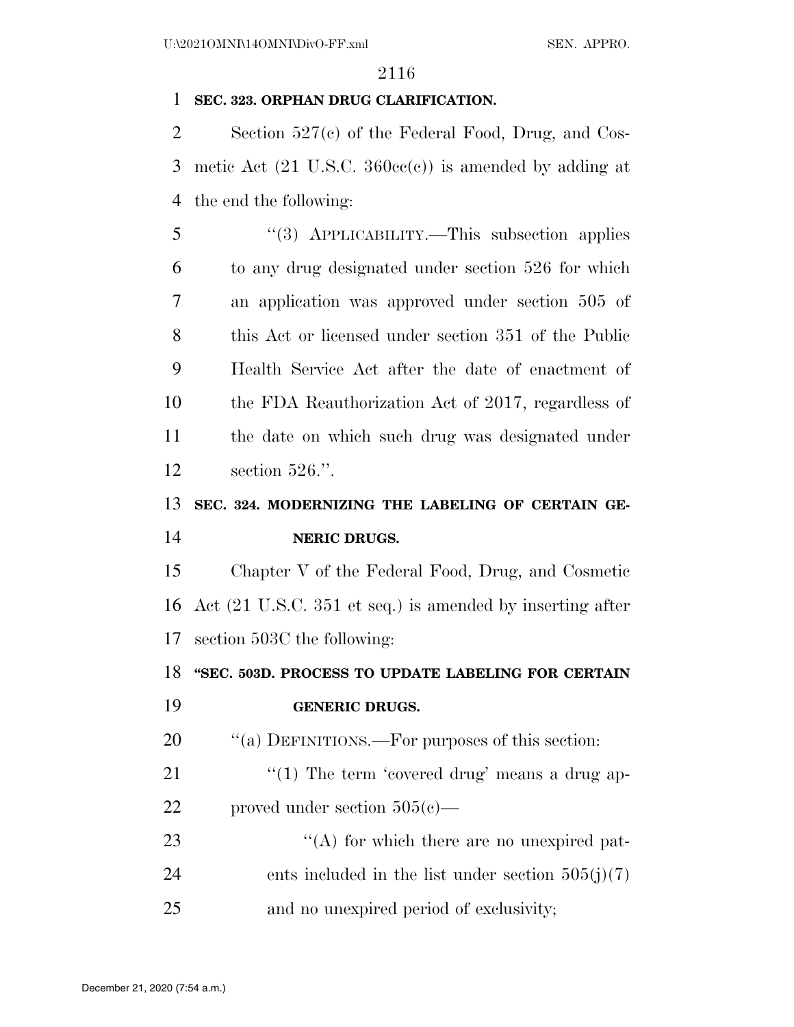#### **SEC. 323. ORPHAN DRUG CLARIFICATION.**

 Section 527(c) of the Federal Food, Drug, and Cos- metic Act (21 U.S.C. 360cc(c)) is amended by adding at the end the following:

 ''(3) APPLICABILITY.—This subsection applies to any drug designated under section 526 for which an application was approved under section 505 of this Act or licensed under section 351 of the Public Health Service Act after the date of enactment of the FDA Reauthorization Act of 2017, regardless of the date on which such drug was designated under section 526.''.

# **SEC. 324. MODERNIZING THE LABELING OF CERTAIN GE-**

# **NERIC DRUGS.**

 Chapter V of the Federal Food, Drug, and Cosmetic Act (21 U.S.C. 351 et seq.) is amended by inserting after section 503C the following:

#### **''SEC. 503D. PROCESS TO UPDATE LABELING FOR CERTAIN**

#### **GENERIC DRUGS.**

20  $\frac{1}{20}$   $\frac{1}{20}$  DEFINITIONS.—For purposes of this section:

21 ''(1) The term 'covered drug' means a drug ap-proved under section 505(c)—

23 ''(A) for which there are no unexpired pat-24 ents included in the list under section  $505(j)(7)$ and no unexpired period of exclusivity;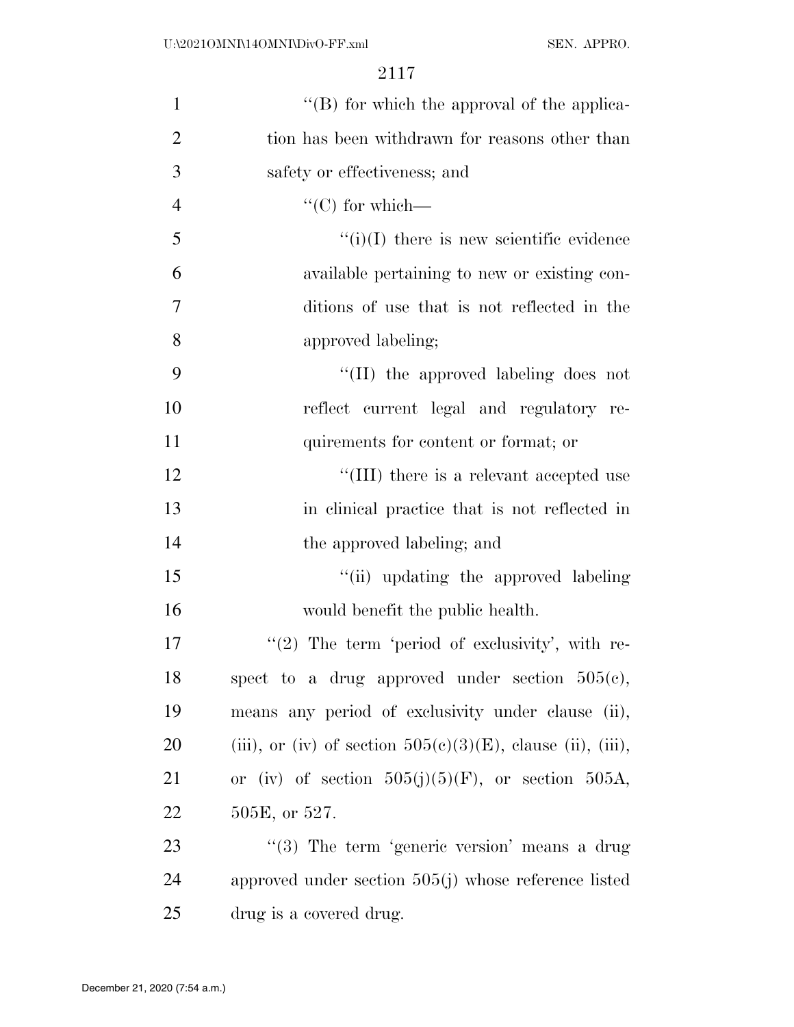| $\mathbf{1}$   | "(B) for which the approval of the applica-                    |
|----------------|----------------------------------------------------------------|
| $\overline{2}$ | tion has been withdrawn for reasons other than                 |
| 3              | safety or effectiveness; and                                   |
| $\overline{4}$ | "(C) for which—                                                |
| 5              | $\lq\lq(i)(I)$ there is new scientific evidence                |
| 6              | available pertaining to new or existing con-                   |
| 7              | ditions of use that is not reflected in the                    |
| 8              | approved labeling;                                             |
| 9              | "(II) the approved labeling does not                           |
| 10             | reflect current legal and regulatory re-                       |
| 11             | quirements for content or format; or                           |
| 12             | "(III) there is a relevant accepted use                        |
| 13             | in clinical practice that is not reflected in                  |
| 14             | the approved labeling; and                                     |
| 15             | "(ii) updating the approved labeling                           |
| 16             | would benefit the public health.                               |
| 17             | $\lq(2)$ The term 'period of exclusivity', with re-            |
| 18             | spect to a drug approved under section $505(c)$ ,              |
| 19             | means any period of exclusivity under clause (ii),             |
| 20             | (iii), or (iv) of section $505(e)(3)(E)$ , clause (ii), (iii), |
| 21             | or (iv) of section $505(j)(5)(F)$ , or section $505A$ ,        |
| 22             | 505E, or 527.                                                  |
| 23             | "(3) The term 'generic version' means a drug                   |
| 24             | approved under section $505(j)$ whose reference listed         |
| 25             | drug is a covered drug.                                        |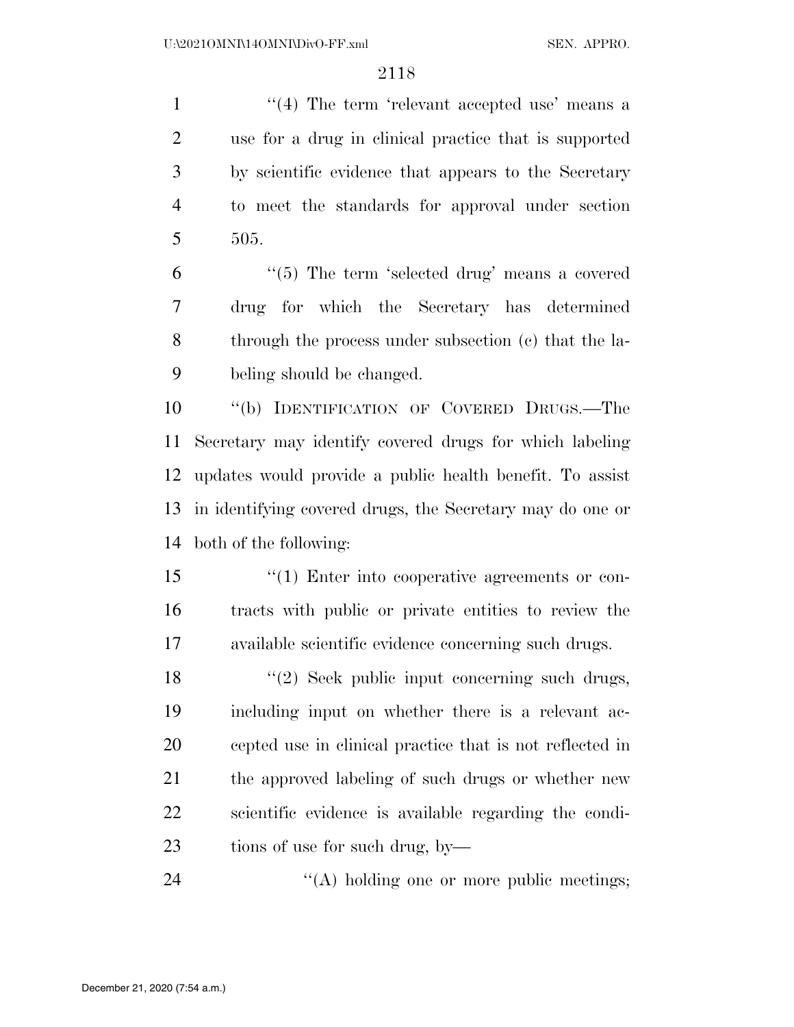1 ''(4) The term 'relevant accepted use' means a use for a drug in clinical practice that is supported by scientific evidence that appears to the Secretary to meet the standards for approval under section 505.

 ''(5) The term 'selected drug' means a covered drug for which the Secretary has determined through the process under subsection (c) that the la-beling should be changed.

 ''(b) IDENTIFICATION OF COVERED DRUGS.—The Secretary may identify covered drugs for which labeling updates would provide a public health benefit. To assist in identifying covered drugs, the Secretary may do one or both of the following:

15  $\frac{1}{2}$  (1) Enter into cooperative agreements or con- tracts with public or private entities to review the available scientific evidence concerning such drugs.

18 ''(2) Seek public input concerning such drugs, including input on whether there is a relevant ac- cepted use in clinical practice that is not reflected in the approved labeling of such drugs or whether new scientific evidence is available regarding the condi-tions of use for such drug, by—

24 ''(A) holding one or more public meetings;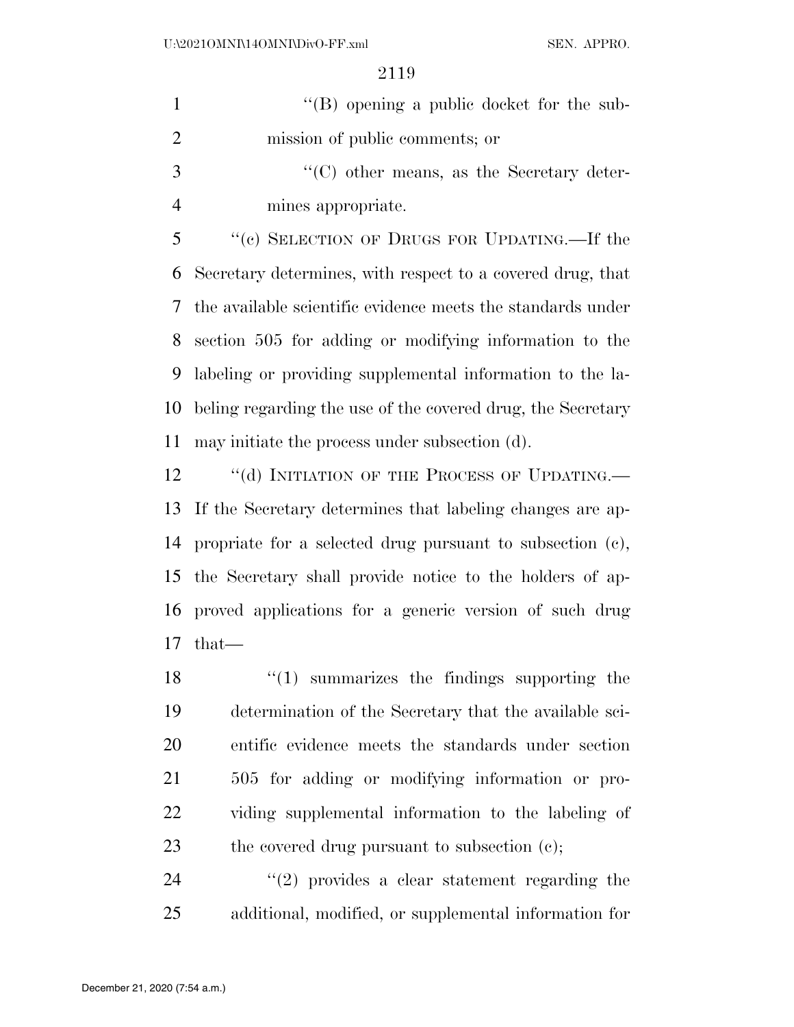1 ''(B) opening a public docket for the sub- mission of public comments; or 3 ''(C) other means, as the Secretary deter-mines appropriate.

 ''(c) SELECTION OF DRUGS FOR UPDATING.—If the Secretary determines, with respect to a covered drug, that the available scientific evidence meets the standards under section 505 for adding or modifying information to the labeling or providing supplemental information to the la- beling regarding the use of the covered drug, the Secretary may initiate the process under subsection (d).

12 "(d) INITIATION OF THE PROCESS OF UPDATING.— If the Secretary determines that labeling changes are ap- propriate for a selected drug pursuant to subsection (c), the Secretary shall provide notice to the holders of ap- proved applications for a generic version of such drug that—

 $\frac{1}{2}$   $\frac{1}{2}$  summarizes the findings supporting the determination of the Secretary that the available sci- entific evidence meets the standards under section 505 for adding or modifying information or pro- viding supplemental information to the labeling of 23 the covered drug pursuant to subsection (c);

24  $(2)$  provides a clear statement regarding the additional, modified, or supplemental information for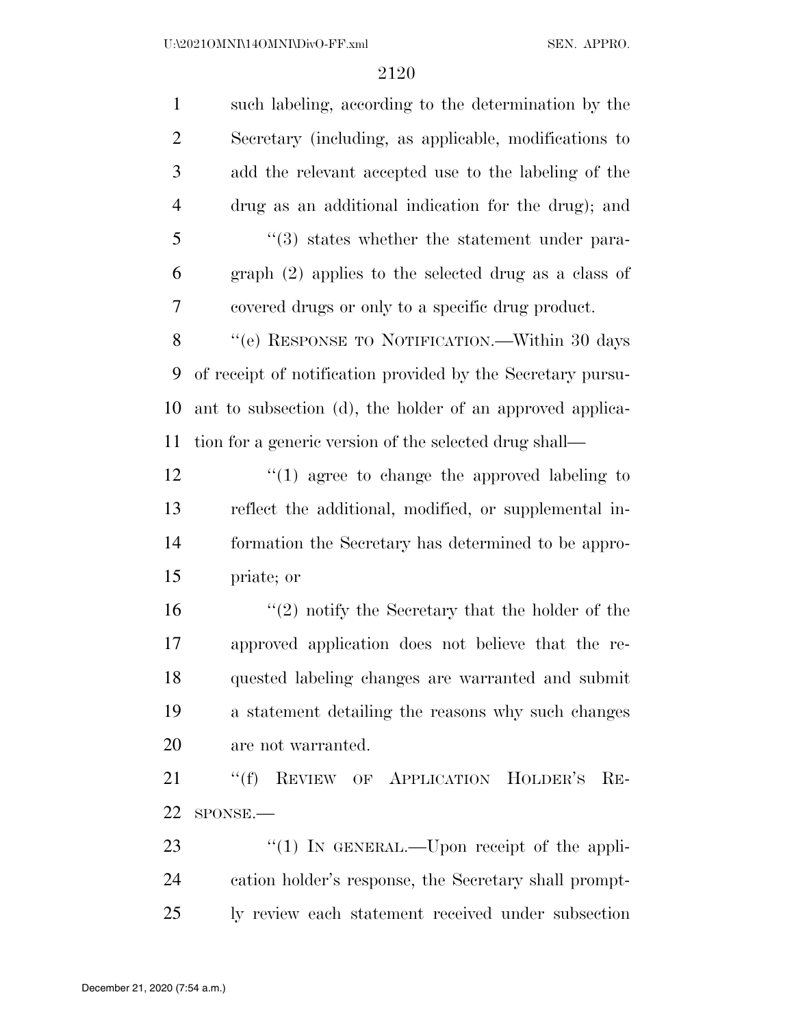| $\mathbf{1}$   | such labeling, according to the determination by the        |
|----------------|-------------------------------------------------------------|
| $\overline{2}$ | Secretary (including, as applicable, modifications to       |
| 3              | add the relevant accepted use to the labeling of the        |
| $\overline{4}$ | drug as an additional indication for the drug); and         |
| 5              | "(3) states whether the statement under para-               |
| 6              | graph (2) applies to the selected drug as a class of        |
| 7              | covered drugs or only to a specific drug product.           |
| 8              | "(e) RESPONSE TO NOTIFICATION.—Within 30 days               |
| 9              | of receipt of notification provided by the Secretary pursu- |
| 10             | ant to subsection (d), the holder of an approved applica-   |
| 11             | tion for a generic version of the selected drug shall—      |
| 12             | $\lq(1)$ agree to change the approved labeling to           |
| 13             | reflect the additional, modified, or supplemental in-       |
| 14             | formation the Secretary has determined to be appro-         |
| 15             | priate; or                                                  |
| 16             | $(2)$ notify the Secretary that the holder of the           |
| 17             | approved application does not believe that the re-          |
| 18             | quested labeling changes are warranted and submit           |
| 19             | a statement detailing the reasons why such changes          |
| 20             | are not warranted.                                          |
| 21             | "(f) REVIEW OF APPLICATION HOLDER'S RE-                     |
| 22             | SPONSE.-                                                    |
| 23             | "(1) IN GENERAL.—Upon receipt of the appli-                 |
| 24             | cation holder's response, the Secretary shall prompt-       |
| 25             | ly review each statement received under subsection          |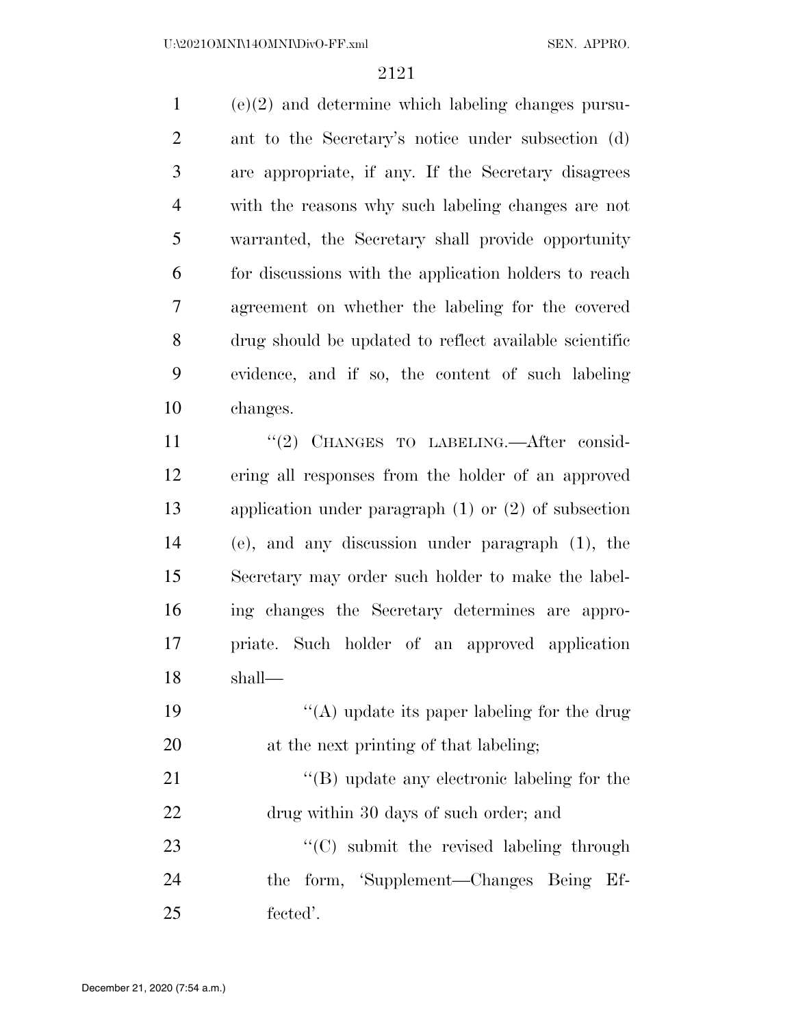(e)(2) and determine which labeling changes pursu- ant to the Secretary's notice under subsection (d) are appropriate, if any. If the Secretary disagrees with the reasons why such labeling changes are not warranted, the Secretary shall provide opportunity for discussions with the application holders to reach agreement on whether the labeling for the covered drug should be updated to reflect available scientific evidence, and if so, the content of such labeling changes.

11 "(2) CHANGES TO LABELING.—After consid- ering all responses from the holder of an approved application under paragraph (1) or (2) of subsection (e), and any discussion under paragraph (1), the Secretary may order such holder to make the label- ing changes the Secretary determines are appro- priate. Such holder of an approved application shall—

19  $\langle (A) \rangle$  update its paper labeling for the drug at the next printing of that labeling;

21 ''(B) update any electronic labeling for the drug within 30 days of such order; and

23 ''(C) submit the revised labeling through the form, 'Supplement—Changes Being Ef-fected'.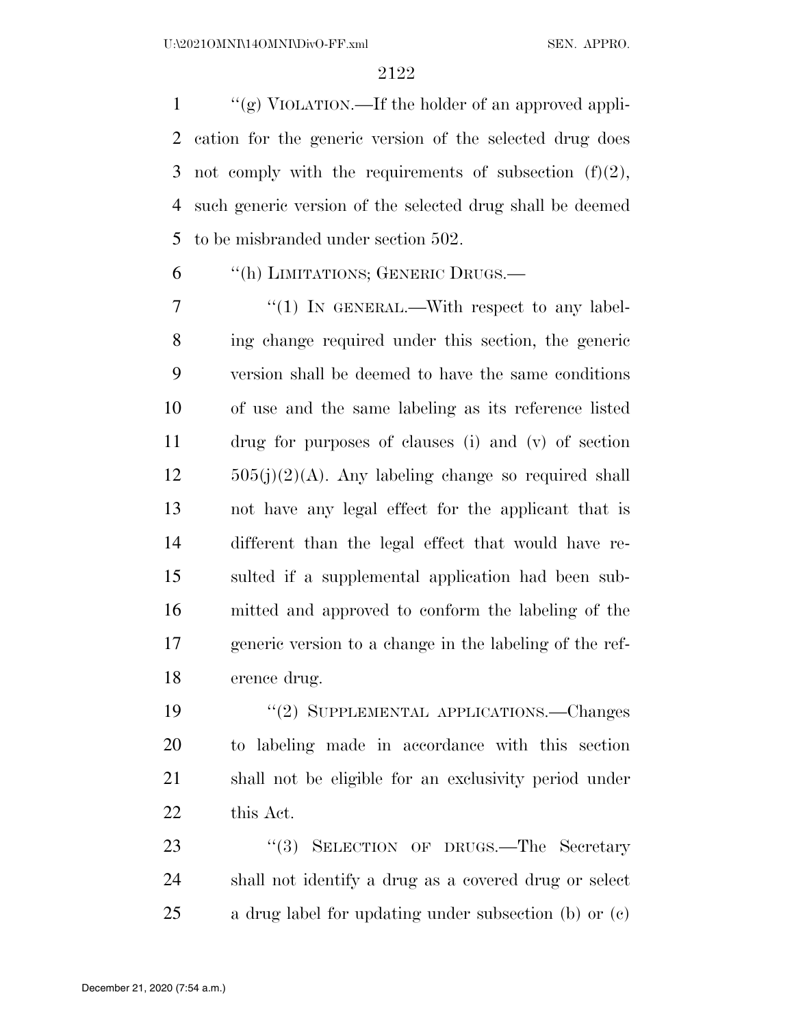$\mathcal{L}$  ''(g) VIOLATION.—If the holder of an approved appli- cation for the generic version of the selected drug does 3 not comply with the requirements of subsection  $(f)(2)$ , such generic version of the selected drug shall be deemed to be misbranded under section 502.

''(h) LIMITATIONS; GENERIC DRUGS.—

7 "(1) In GENERAL.—With respect to any label- ing change required under this section, the generic version shall be deemed to have the same conditions of use and the same labeling as its reference listed drug for purposes of clauses (i) and (v) of section  $12 \qquad 505(j)(2)(A)$ . Any labeling change so required shall not have any legal effect for the applicant that is different than the legal effect that would have re- sulted if a supplemental application had been sub- mitted and approved to conform the labeling of the generic version to a change in the labeling of the ref-erence drug.

 ''(2) SUPPLEMENTAL APPLICATIONS.—Changes to labeling made in accordance with this section shall not be eligible for an exclusivity period under this Act.

23 "(3) SELECTION OF DRUGS.—The Secretary shall not identify a drug as a covered drug or select a drug label for updating under subsection (b) or (c)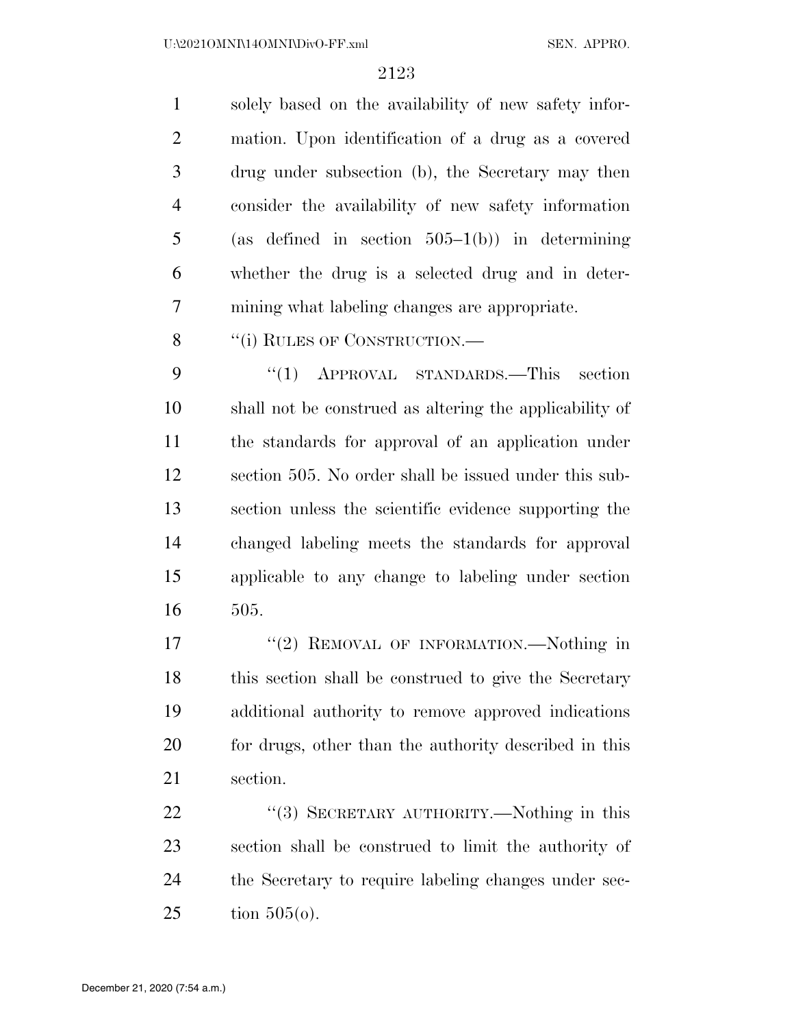solely based on the availability of new safety infor- mation. Upon identification of a drug as a covered drug under subsection (b), the Secretary may then consider the availability of new safety information 5 (as defined in section  $505-1(b)$ ) in determining whether the drug is a selected drug and in deter-mining what labeling changes are appropriate.

8 "(i) RULES OF CONSTRUCTION.—

 ''(1) APPROVAL STANDARDS.—This section shall not be construed as altering the applicability of the standards for approval of an application under section 505. No order shall be issued under this sub- section unless the scientific evidence supporting the changed labeling meets the standards for approval applicable to any change to labeling under section 505.

17 "(2) REMOVAL OF INFORMATION.—Nothing in this section shall be construed to give the Secretary additional authority to remove approved indications 20 for drugs, other than the authority described in this section.

22 "(3) SECRETARY AUTHORITY.—Nothing in this section shall be construed to limit the authority of the Secretary to require labeling changes under sec-tion 505(o).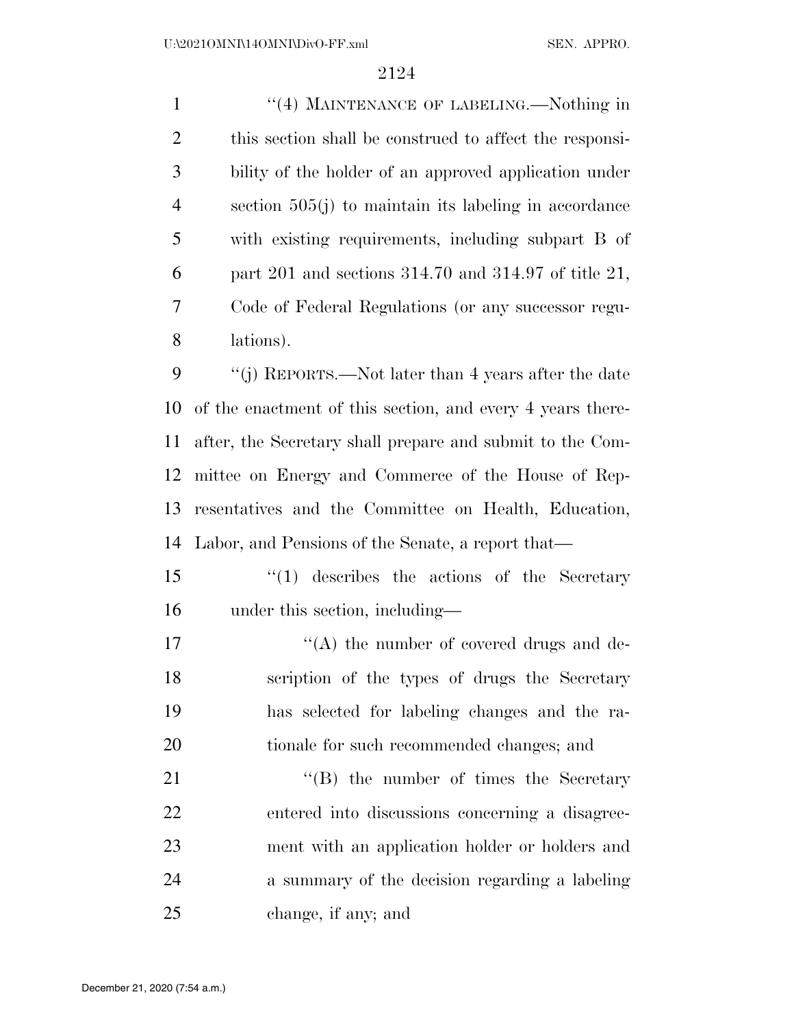1 "(4) MAINTENANCE OF LABELING.—Nothing in this section shall be construed to affect the responsi- bility of the holder of an approved application under section 505(j) to maintain its labeling in accordance with existing requirements, including subpart B of part 201 and sections 314.70 and 314.97 of title 21, Code of Federal Regulations (or any successor regu-lations).

 ''(j) REPORTS.—Not later than 4 years after the date of the enactment of this section, and every 4 years there- after, the Secretary shall prepare and submit to the Com- mittee on Energy and Commerce of the House of Rep- resentatives and the Committee on Health, Education, Labor, and Pensions of the Senate, a report that—

- ''(1) describes the actions of the Secretary under this section, including—
- 17  $\langle (A)$  the number of covered drugs and de- scription of the types of drugs the Secretary has selected for labeling changes and the ra-tionale for such recommended changes; and

21 ''(B) the number of times the Secretary entered into discussions concerning a disagree- ment with an application holder or holders and a summary of the decision regarding a labeling change, if any; and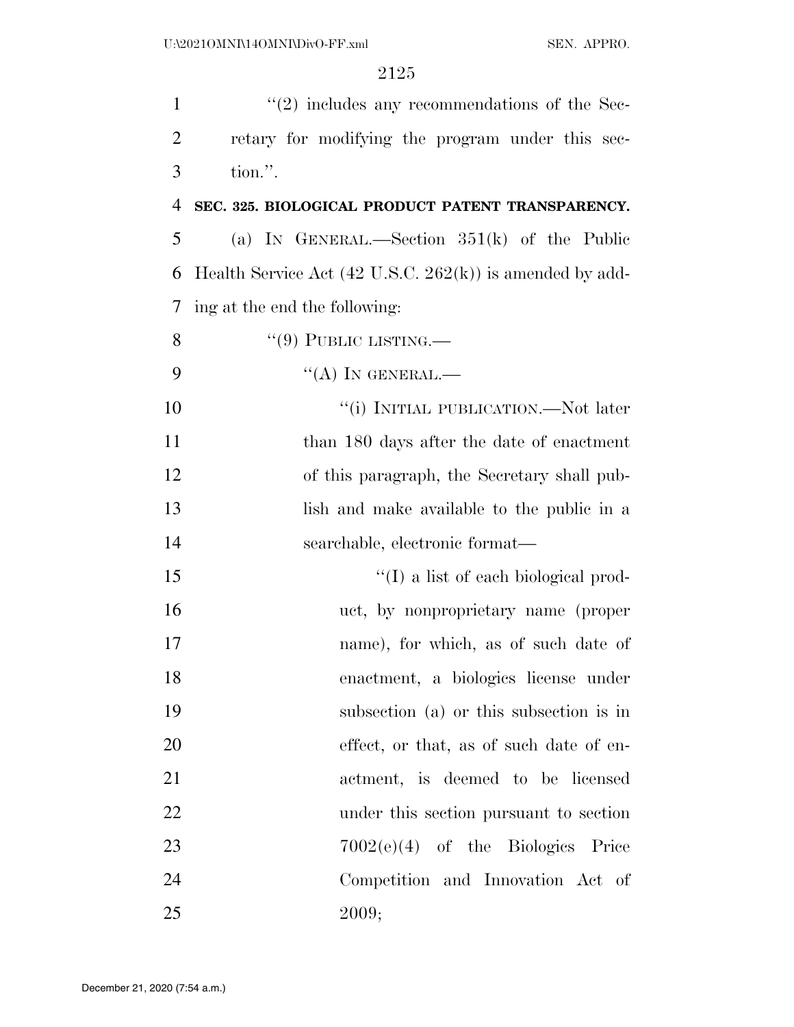| 1              | $\lq(2)$ includes any recommendations of the Sec-                          |
|----------------|----------------------------------------------------------------------------|
| $\overline{2}$ | retary for modifying the program under this sec-                           |
| 3              | tion.".                                                                    |
| $\overline{4}$ | SEC. 325. BIOLOGICAL PRODUCT PATENT TRANSPARENCY.                          |
| 5              | (a) IN GENERAL.—Section $351(k)$ of the Public                             |
| 6              | Health Service Act $(42 \text{ U.S.C. } 262(\text{k}))$ is amended by add- |
| 7              | ing at the end the following:                                              |
| 8              | $``(9)$ PUBLIC LISTING.—                                                   |
| 9              | $\lq\lq (A)$ In GENERAL.—                                                  |
| 10             | "(i) INITIAL PUBLICATION.—Not later                                        |
| 11             | than 180 days after the date of enactment                                  |
| 12             | of this paragraph, the Secretary shall pub-                                |
| 13             | lish and make available to the public in a                                 |
| 14             | searchable, electronic format—                                             |
| 15             | $\lq\lq$ (I) a list of each biological prod-                               |
| 16             | uct, by nonproprietary name (proper                                        |
| 17             | name), for which, as of such date of                                       |
| 18             | enactment, a biologics license under                                       |
| 19             | subsection (a) or this subsection is in                                    |
| 20             | effect, or that, as of such date of en-                                    |
| 21             | actment, is deemed to be licensed                                          |
| 22             | under this section pursuant to section                                     |
| 23             | $7002(e)(4)$ of the Biologics Price                                        |
| 24             | Competition and Innovation Act of                                          |
| 25             | 2009;                                                                      |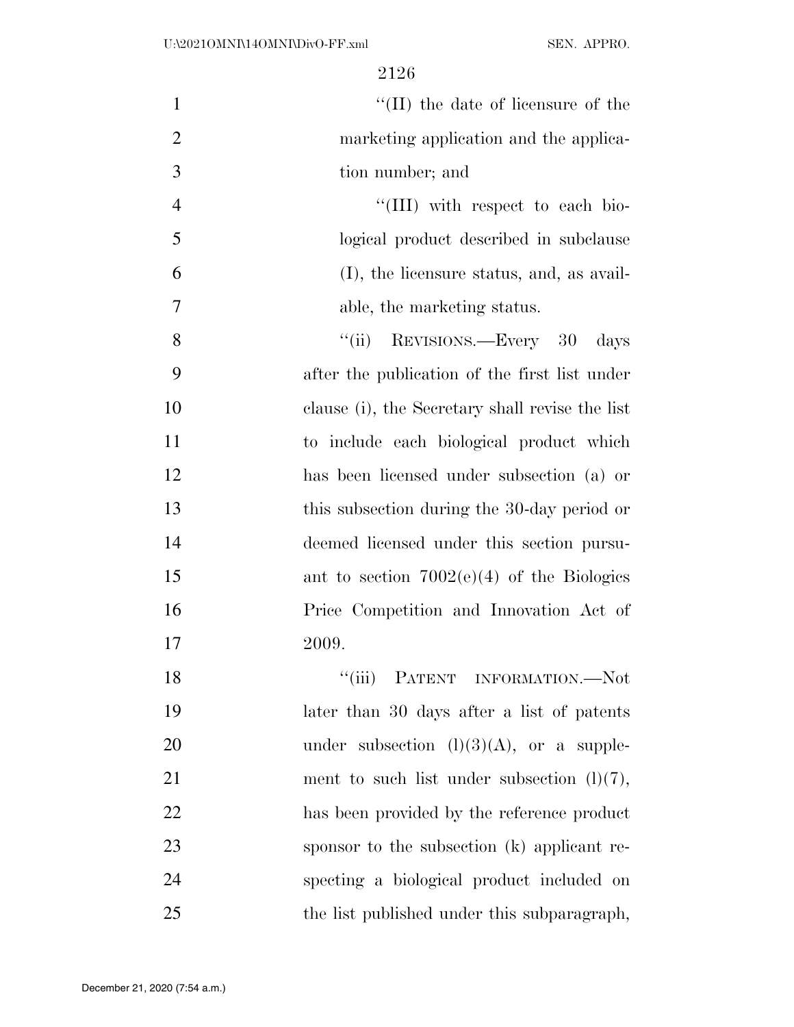| $\mathbf{1}$   | $\lq\lq$ (II) the date of licensure of the      |
|----------------|-------------------------------------------------|
| $\overline{2}$ | marketing application and the applica-          |
| 3              | tion number; and                                |
| $\overline{4}$ | "(III) with respect to each bio-                |
| 5              | logical product described in subclause          |
| 6              | (I), the licensure status, and, as avail-       |
| 7              | able, the marketing status.                     |
| 8              | REVISIONS.—Every 30<br>``(ii)<br>days           |
| 9              | after the publication of the first list under   |
| 10             | clause (i), the Secretary shall revise the list |
| 11             | to include each biological product which        |
| 12             | has been licensed under subsection (a) or       |
| 13             | this subsection during the 30-day period or     |
| 14             | deemed licensed under this section pursu-       |
| 15             | ant to section $7002(e)(4)$ of the Biologies    |
| 16             | Price Competition and Innovation Act of         |
| 17             | 2009.                                           |
| 18             | "(iii) PATENT INFORMATION.—Not                  |
| 19             | later than 30 days after a list of patents      |
| 20             | under subsection $(l)(3)(A)$ , or a supple-     |
| 21             | ment to such list under subsection $(l)(7)$ ,   |
| 22             | has been provided by the reference product      |
| 23             | sponsor to the subsection (k) applicant re-     |
| 24             | specting a biological product included on       |
| 25             | the list published under this subparagraph,     |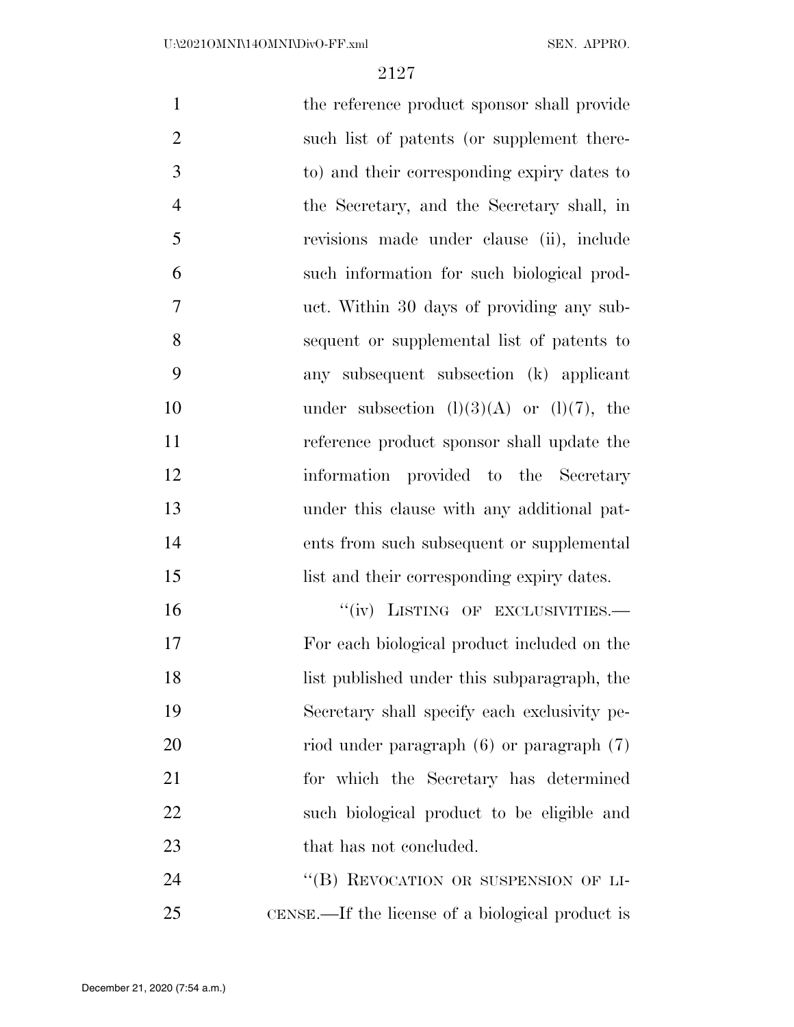| $\mathbf{1}$   | the reference product sponsor shall provide      |
|----------------|--------------------------------------------------|
| $\overline{2}$ | such list of patents (or supplement there-       |
| 3              | to) and their corresponding expiry dates to      |
| $\overline{4}$ | the Secretary, and the Secretary shall, in       |
| 5              | revisions made under clause (ii), include        |
| 6              | such information for such biological prod-       |
| $\overline{7}$ | uct. Within 30 days of providing any sub-        |
| 8              | sequent or supplemental list of patents to       |
| 9              | any subsequent subsection (k) applicant          |
| 10             | under subsection $(l)(3)(A)$ or $(l)(7)$ , the   |
| 11             | reference product sponsor shall update the       |
| 12             | information provided to the Secretary            |
| 13             | under this clause with any additional pat-       |
| 14             | ents from such subsequent or supplemental        |
| 15             | list and their corresponding expiry dates.       |
| 16             | "(iv) LISTING OF EXCLUSIVITIES.-                 |
| 17             | For each biological product included on the      |
| 18             | list published under this subparagraph, the      |
| 19             | Secretary shall specify each exclusivity pe-     |
| 20             | riod under paragraph $(6)$ or paragraph $(7)$    |
| 21             | for which the Secretary has determined           |
| 22             | such biological product to be eligible and       |
| 23             | that has not concluded.                          |
| 24             | "(B) REVOCATION OR SUSPENSION OF LI-             |
| 25             | CENSE.—If the license of a biological product is |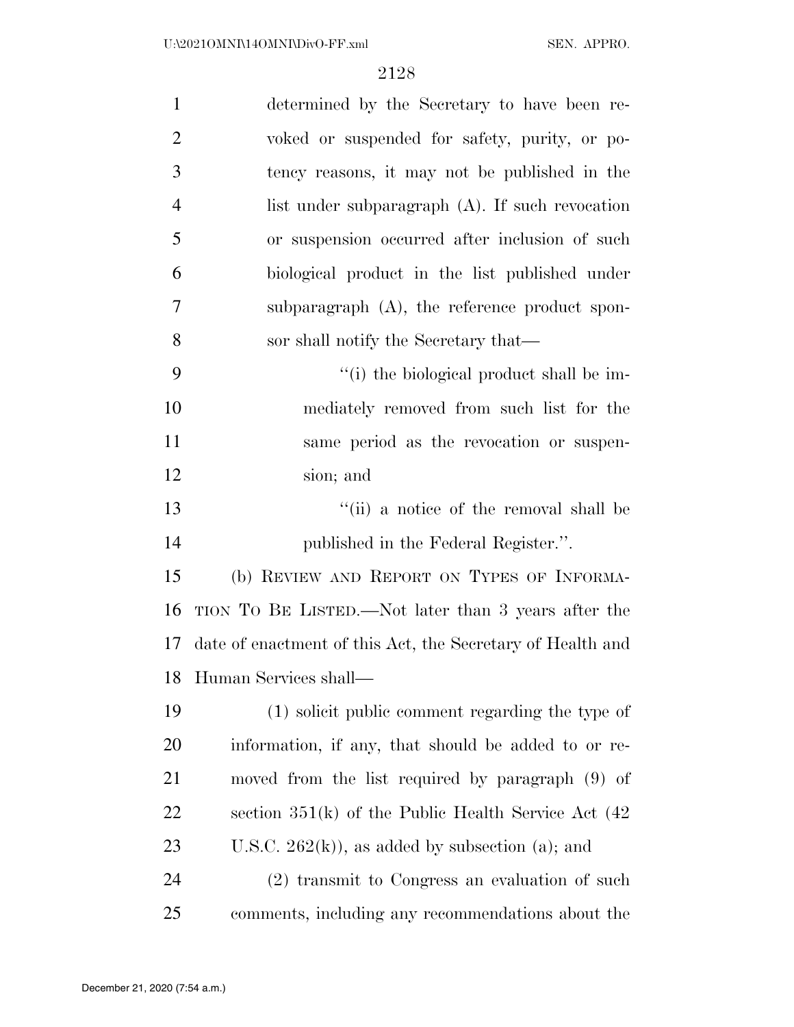| $\mathbf{1}$   | determined by the Secretary to have been re-               |
|----------------|------------------------------------------------------------|
| $\overline{2}$ | voked or suspended for safety, purity, or po-              |
| 3              | tency reasons, it may not be published in the              |
| $\overline{4}$ | list under subparagraph $(A)$ . If such revocation         |
| 5              | or suspension occurred after inclusion of such             |
| 6              | biological product in the list published under             |
| 7              | subparagraph $(A)$ , the reference product spon-           |
| 8              | sor shall notify the Secretary that—                       |
| 9              | "(i) the biological product shall be im-                   |
| 10             | mediately removed from such list for the                   |
| 11             | same period as the revocation or suspen-                   |
| 12             | sion; and                                                  |
| 13             | "(ii) a notice of the removal shall be                     |
| 14             | published in the Federal Register.".                       |
| 15             | (b) REVIEW AND REPORT ON TYPES OF INFORMA-                 |
| 16             | TION TO BE LISTED.—Not later than 3 years after the        |
| 17             | date of enactment of this Act, the Secretary of Health and |
| 18             | Human Services shall-                                      |
| 19             | (1) solicit public comment regarding the type of           |
| <b>20</b>      | information, if any, that should be added to or re-        |
| 21             | moved from the list required by paragraph (9) of           |
| 22             | section $351(k)$ of the Public Health Service Act $(42)$   |
| 23             | U.S.C. $262(k)$ , as added by subsection (a); and          |
| 24             | (2) transmit to Congress an evaluation of such             |
| 25             | comments, including any recommendations about the          |